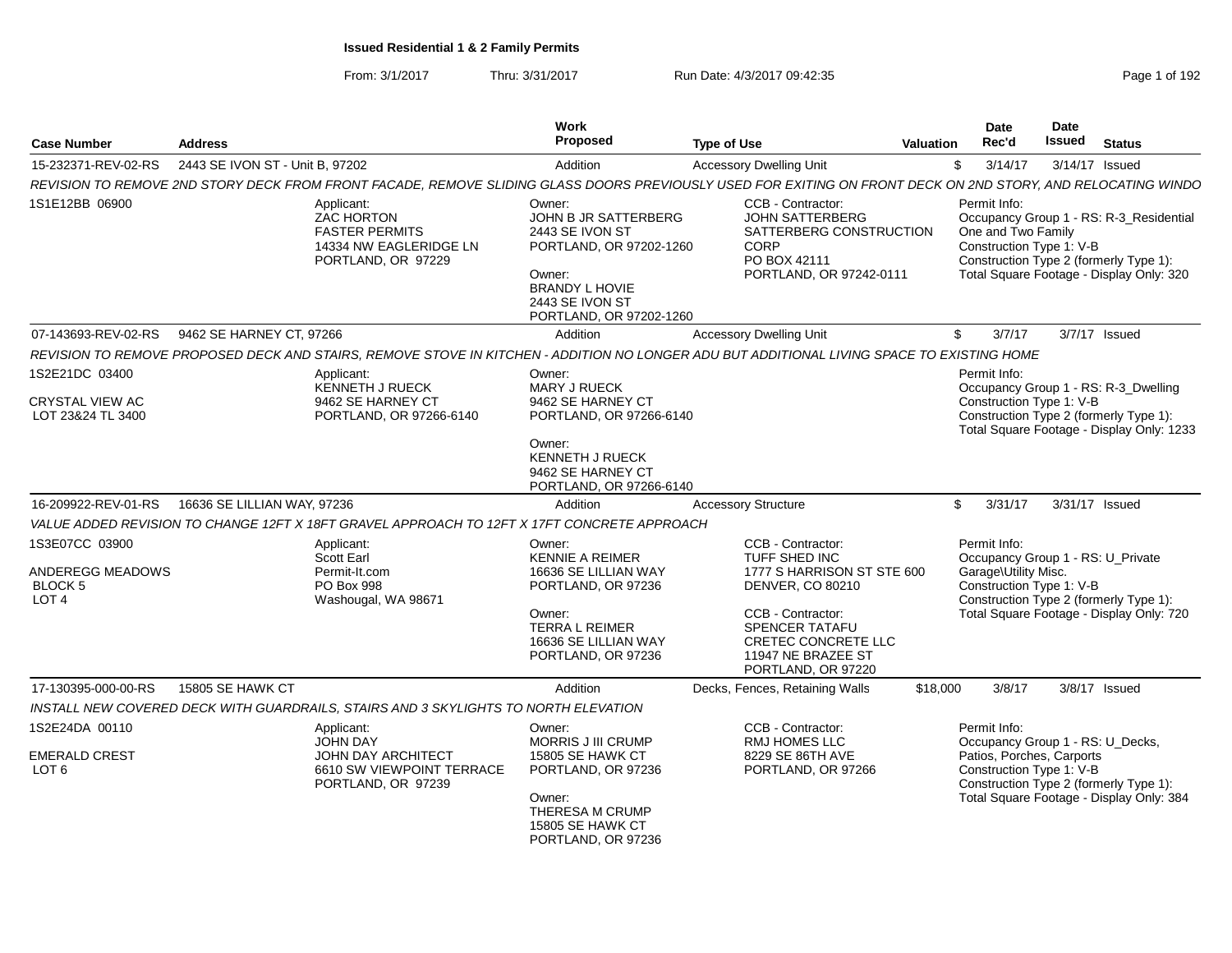From: 3/1/2017Thru: 3/31/2017 **Run Date: 4/3/2017 09:42:35** Page 1 of 192

| <b>Case Number</b>                                                | <b>Address</b>                  |                                                                                                                                                              | Work<br>Proposed                                                                                                                                                | <b>Type of Use</b>                                                                                                                                                                             | Valuation | Date<br>Rec'd                        | Date<br>Issued                                                                            | <b>Status</b>                                                                                                                 |
|-------------------------------------------------------------------|---------------------------------|--------------------------------------------------------------------------------------------------------------------------------------------------------------|-----------------------------------------------------------------------------------------------------------------------------------------------------------------|------------------------------------------------------------------------------------------------------------------------------------------------------------------------------------------------|-----------|--------------------------------------|-------------------------------------------------------------------------------------------|-------------------------------------------------------------------------------------------------------------------------------|
| 15-232371-REV-02-RS                                               | 2443 SE IVON ST - Unit B, 97202 |                                                                                                                                                              | Addition                                                                                                                                                        | <b>Accessory Dwelling Unit</b>                                                                                                                                                                 |           | \$<br>3/14/17                        |                                                                                           | 3/14/17 Issued                                                                                                                |
|                                                                   |                                 | REVISION TO REMOVE 2ND STORY DECK FROM FRONT FACADE, REMOVE SLIDING GLASS DOORS PREVIOUSLY USED FOR EXITING ON FRONT DECK ON 2ND STORY, AND RELOCATING WINDO |                                                                                                                                                                 |                                                                                                                                                                                                |           |                                      |                                                                                           |                                                                                                                               |
| 1S1E12BB 06900                                                    |                                 | Applicant:<br><b>ZAC HORTON</b><br><b>FASTER PERMITS</b><br>14334 NW EAGLERIDGE LN<br>PORTLAND, OR 97229                                                     | Owner:<br>JOHN B JR SATTERBERG<br>2443 SE IVON ST<br>PORTLAND, OR 97202-1260<br>Owner:<br><b>BRANDY L HOVIE</b><br>2443 SE IVON ST<br>PORTLAND, OR 97202-1260   | CCB - Contractor:<br>JOHN SATTERBERG<br>SATTERBERG CONSTRUCTION<br>CORP<br>PO BOX 42111<br>PORTLAND, OR 97242-0111                                                                             |           | Permit Info:                         | One and Two Family<br>Construction Type 1: V-B                                            | Occupancy Group 1 - RS: R-3_Residential<br>Construction Type 2 (formerly Type 1):<br>Total Square Footage - Display Only: 320 |
| 07-143693-REV-02-RS                                               | 9462 SE HARNEY CT, 97266        |                                                                                                                                                              | Addition                                                                                                                                                        | <b>Accessory Dwelling Unit</b>                                                                                                                                                                 |           | \$<br>3/7/17                         |                                                                                           | 3/7/17 Issued                                                                                                                 |
|                                                                   |                                 | REVISION TO REMOVE PROPOSED DECK AND STAIRS, REMOVE STOVE IN KITCHEN - ADDITION NO LONGER ADU BUT ADDITIONAL LIVING SPACE TO EXISTING HOME                   |                                                                                                                                                                 |                                                                                                                                                                                                |           |                                      |                                                                                           |                                                                                                                               |
| 1S2E21DC 03400<br><b>CRYSTAL VIEW AC</b><br>LOT 23&24 TL 3400     |                                 | Applicant:<br><b>KENNETH J RUECK</b><br>9462 SE HARNEY CT<br>PORTLAND, OR 97266-6140                                                                         | Owner:<br>MARY J RUECK<br>9462 SE HARNEY CT<br>PORTLAND, OR 97266-6140<br>Owner:<br><b>KENNETH J RUECK</b><br>9462 SE HARNEY CT<br>PORTLAND, OR 97266-6140      |                                                                                                                                                                                                |           | Permit Info:                         | Construction Type 1: V-B                                                                  | Occupancy Group 1 - RS: R-3_Dwelling<br>Construction Type 2 (formerly Type 1):<br>Total Square Footage - Display Only: 1233   |
| 16-209922-REV-01-RS                                               | 16636 SE LILLIAN WAY, 97236     |                                                                                                                                                              | Addition                                                                                                                                                        | <b>Accessory Structure</b>                                                                                                                                                                     |           | \$<br>3/31/17                        |                                                                                           | 3/31/17 Issued                                                                                                                |
|                                                                   |                                 | VALUE ADDED REVISION TO CHANGE 12FT X 18FT GRAVEL APPROACH TO 12FT X 17FT CONCRETE APPROACH                                                                  |                                                                                                                                                                 |                                                                                                                                                                                                |           |                                      |                                                                                           |                                                                                                                               |
| 1S3E07CC 03900<br>ANDEREGG MEADOWS<br>BLOCK 5<br>LOT <sub>4</sub> |                                 | Applicant:<br><b>Scott Earl</b><br>Permit-It.com<br>PO Box 998<br>Washougal, WA 98671                                                                        | Owner:<br><b>KENNIE A REIMER</b><br>16636 SE LILLIAN WAY<br>PORTLAND, OR 97236<br>Owner:<br><b>TERRA L REIMER</b><br>16636 SE LILLIAN WAY<br>PORTLAND, OR 97236 | CCB - Contractor:<br>TUFF SHED INC<br>1777 S HARRISON ST STE 600<br>DENVER, CO 80210<br>CCB - Contractor:<br>SPENCER TATAFU<br>CRETEC CONCRETE LLC<br>11947 NE BRAZEE ST<br>PORTLAND, OR 97220 |           | Permit Info:<br>Garage\Utility Misc. | Construction Type 1: V-B                                                                  | Occupancy Group 1 - RS: U_Private<br>Construction Type 2 (formerly Type 1):<br>Total Square Footage - Display Only: 720       |
| 17-130395-000-00-RS                                               | 15805 SE HAWK CT                |                                                                                                                                                              | Addition                                                                                                                                                        | Decks, Fences, Retaining Walls                                                                                                                                                                 | \$18,000  | 3/8/17                               |                                                                                           | $3/8/17$ Issued                                                                                                               |
|                                                                   |                                 | INSTALL NEW COVERED DECK WITH GUARDRAILS, STAIRS AND 3 SKYLIGHTS TO NORTH ELEVATION                                                                          |                                                                                                                                                                 |                                                                                                                                                                                                |           |                                      |                                                                                           |                                                                                                                               |
| 1S2E24DA 00110<br><b>EMERALD CREST</b><br>LOT <sub>6</sub>        |                                 | Applicant:<br><b>JOHN DAY</b><br>JOHN DAY ARCHITECT<br>6610 SW VIEWPOINT TERRACE<br>PORTLAND, OR 97239                                                       | Owner:<br>MORRIS J III CRUMP<br>15805 SE HAWK CT<br>PORTLAND, OR 97236<br>Owner:<br>THERESA M CRUMP<br>15805 SE HAWK CT<br>PORTLAND, OR 97236                   | CCB - Contractor:<br>RMJ HOMES LLC<br>8229 SE 86TH AVE<br>PORTLAND, OR 97266                                                                                                                   |           | Permit Info:                         | Occupancy Group 1 - RS: U_Decks,<br>Patios, Porches, Carports<br>Construction Type 1: V-B | Construction Type 2 (formerly Type 1):<br>Total Square Footage - Display Only: 384                                            |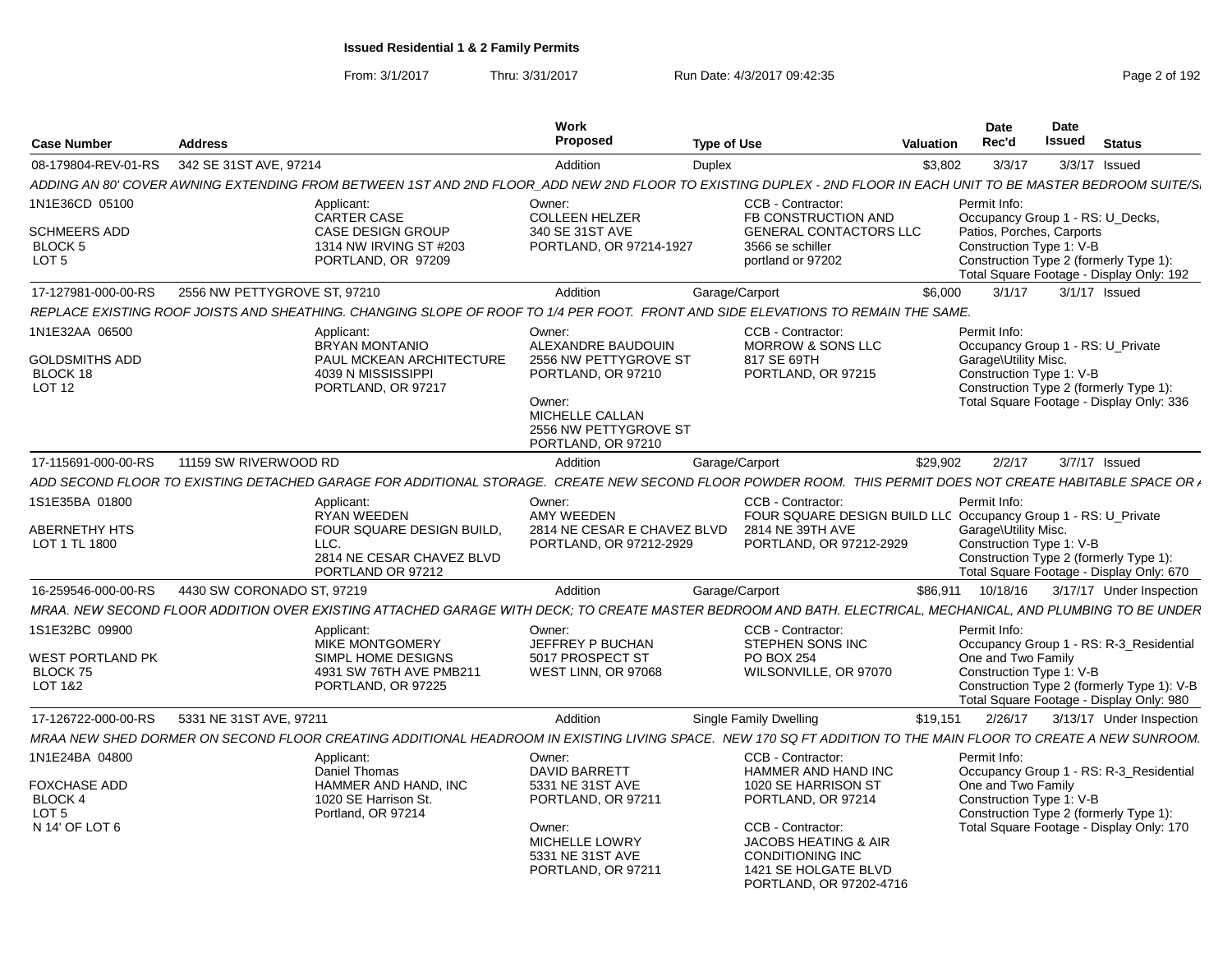From: 3/1/2017Thru: 3/31/2017 Run Date: 4/3/2017 09:42:35 Page 2 of 192

| <b>Case Number</b>                                                                     | <b>Address</b>               |                                                                                                   | <b>Work</b><br>Proposed                                                                                                                                 | <b>Type of Use</b>                                                                                                                                                                                               | <b>Valuation</b> | <b>Date</b><br>Rec'd                                                                                  | Date<br><b>Issued</b> | <b>Status</b>                                                                                                                     |
|----------------------------------------------------------------------------------------|------------------------------|---------------------------------------------------------------------------------------------------|---------------------------------------------------------------------------------------------------------------------------------------------------------|------------------------------------------------------------------------------------------------------------------------------------------------------------------------------------------------------------------|------------------|-------------------------------------------------------------------------------------------------------|-----------------------|-----------------------------------------------------------------------------------------------------------------------------------|
| 08-179804-REV-01-RS                                                                    | 342 SE 31ST AVE, 97214       |                                                                                                   | Addition                                                                                                                                                | <b>Duplex</b>                                                                                                                                                                                                    | \$3,802          | 3/3/17                                                                                                |                       | $3/3/17$ Issued                                                                                                                   |
|                                                                                        |                              |                                                                                                   |                                                                                                                                                         | ADDING AN 80' COVER AWNING EXTENDING FROM BETWEEN 1ST AND 2ND FLOOR  ADD NEW 2ND FLOOR TO EXISTING DUPLEX - 2ND FLOOR IN EACH UNIT TO BE MASTER BEDROOM SUITE/S                                                  |                  |                                                                                                       |                       |                                                                                                                                   |
| 1N1E36CD 05100                                                                         | Applicant:                   | CARTER CASE                                                                                       | Owner:<br><b>COLLEEN HELZER</b>                                                                                                                         | CCB - Contractor:<br>FB CONSTRUCTION AND                                                                                                                                                                         |                  | Permit Info:<br>Occupancy Group 1 - RS: U_Decks,                                                      |                       |                                                                                                                                   |
| <b>SCHMEERS ADD</b><br><b>BLOCK 5</b><br>LOT <sub>5</sub>                              |                              | <b>CASE DESIGN GROUP</b><br>1314 NW IRVING ST #203<br>PORTLAND, OR 97209                          | 340 SE 31ST AVE<br>PORTLAND, OR 97214-1927                                                                                                              | <b>GENERAL CONTACTORS LLC</b><br>3566 se schiller<br>portland or 97202                                                                                                                                           |                  | Patios, Porches, Carports<br>Construction Type 1: V-B                                                 |                       | Construction Type 2 (formerly Type 1):<br>Total Square Footage - Display Only: 192                                                |
| 17-127981-000-00-RS                                                                    | 2556 NW PETTYGROVE ST, 97210 |                                                                                                   | Addition                                                                                                                                                | Garage/Carport                                                                                                                                                                                                   | \$6,000          | 3/1/17                                                                                                |                       | $3/1/17$ Issued                                                                                                                   |
|                                                                                        |                              |                                                                                                   |                                                                                                                                                         | REPLACE EXISTING ROOF JOISTS AND SHEATHING. CHANGING SLOPE OF ROOF TO 1/4 PER FOOT. FRONT AND SIDE ELEVATIONS TO REMAIN THE SAME.                                                                                |                  |                                                                                                       |                       |                                                                                                                                   |
| 1N1E32AA 06500<br><b>GOLDSMITHS ADD</b><br>BLOCK 18<br><b>LOT 12</b>                   | Applicant:                   | <b>BRYAN MONTANIO</b><br>PAUL MCKEAN ARCHITECTURE<br>4039 N MISSISSIPPI<br>PORTLAND, OR 97217     | Owner:<br>ALEXANDRE BAUDOUIN<br>2556 NW PETTYGROVE ST<br>PORTLAND, OR 97210<br>Owner:<br>MICHELLE CALLAN<br>2556 NW PETTYGROVE ST<br>PORTLAND, OR 97210 | CCB - Contractor:<br>MORROW & SONS LLC<br>817 SE 69TH<br>PORTLAND, OR 97215                                                                                                                                      |                  | Permit Info:<br>Occupancy Group 1 - RS: U_Private<br>Garage\Utility Misc.<br>Construction Type 1: V-B |                       | Construction Type 2 (formerly Type 1):<br>Total Square Footage - Display Only: 336                                                |
| 17-115691-000-00-RS                                                                    | 11159 SW RIVERWOOD RD        |                                                                                                   | Addition                                                                                                                                                | Garage/Carport                                                                                                                                                                                                   | \$29.902         | 2/2/17                                                                                                |                       | 3/7/17 Issued                                                                                                                     |
|                                                                                        |                              |                                                                                                   |                                                                                                                                                         | ADD SECOND FLOOR TO EXISTING DETACHED GARAGE FOR ADDITIONAL STORAGE.  CREATE NEW SECOND FLOOR POWDER ROOM.  THIS PERMIT DOES NOT CREATE HABITABLE SPACE OR <sub>'</sub>                                          |                  |                                                                                                       |                       |                                                                                                                                   |
| 1S1E35BA 01800<br>ABERNETHY HTS<br>LOT 1 TL 1800                                       | Applicant:<br>LLC.           | <b>RYAN WEEDEN</b><br>FOUR SQUARE DESIGN BUILD,<br>2814 NE CESAR CHAVEZ BLVD<br>PORTLAND OR 97212 | Owner:<br>AMY WEEDEN<br>2814 NE CESAR E CHAVEZ BLVD<br>PORTLAND, OR 97212-2929                                                                          | CCB - Contractor:<br>FOUR SQUARE DESIGN BUILD LLC Occupancy Group 1 - RS: U Private<br>2814 NE 39TH AVE<br>PORTLAND, OR 97212-2929                                                                               |                  | Permit Info:<br>Garage\Utility Misc.<br>Construction Type 1: V-B                                      |                       | Construction Type 2 (formerly Type 1):<br>Total Square Footage - Display Only: 670                                                |
| 16-259546-000-00-RS                                                                    | 4430 SW CORONADO ST, 97219   |                                                                                                   | Addition                                                                                                                                                | Garage/Carport                                                                                                                                                                                                   |                  | \$86,911  10/18/16                                                                                    |                       | 3/17/17 Under Inspection                                                                                                          |
|                                                                                        |                              |                                                                                                   |                                                                                                                                                         | MRAA. NEW SECOND FLOOR ADDITION OVER EXISTING ATTACHED GARAGE WITH DECK; TO CREATE MASTER BEDROOM AND BATH. ELECTRICAL, MECHANICAL, AND PLUMBING TO BE UNDER                                                     |                  |                                                                                                       |                       |                                                                                                                                   |
| 1S1E32BC 09900<br>WEST PORTLAND PK<br>BLOCK 75<br>LOT 1&2                              | Applicant:                   | MIKE MONTGOMERY<br>SIMPL HOME DESIGNS<br>4931 SW 76TH AVE PMB211<br>PORTLAND, OR 97225            | Owner:<br>JEFFREY P BUCHAN<br>5017 PROSPECT ST<br>WEST LINN, OR 97068                                                                                   | CCB - Contractor:<br>STEPHEN SONS INC<br><b>PO BOX 254</b><br>WILSONVILLE, OR 97070                                                                                                                              |                  | Permit Info:<br>One and Two Family<br>Construction Type 1: V-B                                        |                       | Occupancy Group 1 - RS: R-3_Residential<br>Construction Type 2 (formerly Type 1): V-B<br>Total Square Footage - Display Only: 980 |
| 17-126722-000-00-RS                                                                    | 5331 NE 31ST AVE, 97211      |                                                                                                   | Addition                                                                                                                                                | <b>Single Family Dwelling</b>                                                                                                                                                                                    | \$19.151         | 2/26/17                                                                                               |                       | 3/13/17 Under Inspection                                                                                                          |
|                                                                                        |                              |                                                                                                   |                                                                                                                                                         | MRAA NEW SHED DORMER ON SECOND FLOOR CREATING ADDITIONAL HEADROOM IN EXISTING LIVING SPACE.  NEW 170 SQ FT ADDITION TO THE MAIN FLOOR TO CREATE A NEW SUNROOM.                                                   |                  |                                                                                                       |                       |                                                                                                                                   |
| 1N1E24BA 04800<br>FOXCHASE ADD<br><b>BLOCK 4</b><br>LOT <sub>5</sub><br>N 14' OF LOT 6 | Applicant:                   | Daniel Thomas<br>HAMMER AND HAND, INC<br>1020 SE Harrison St.<br>Portland, OR 97214               | Owner:<br><b>DAVID BARRETT</b><br>5331 NE 31ST AVE<br>PORTLAND, OR 97211<br>Owner:<br>MICHELLE LOWRY<br>5331 NE 31ST AVE<br>PORTLAND, OR 97211          | CCB - Contractor:<br>HAMMER AND HAND INC<br>1020 SE HARRISON ST<br>PORTLAND, OR 97214<br>CCB - Contractor:<br>JACOBS HEATING & AIR<br><b>CONDITIONING INC</b><br>1421 SE HOLGATE BLVD<br>PORTLAND, OR 97202-4716 |                  | Permit Info:<br>One and Two Family<br>Construction Type 1: V-B                                        |                       | Occupancy Group 1 - RS: R-3_Residential<br>Construction Type 2 (formerly Type 1):<br>Total Square Footage - Display Only: 170     |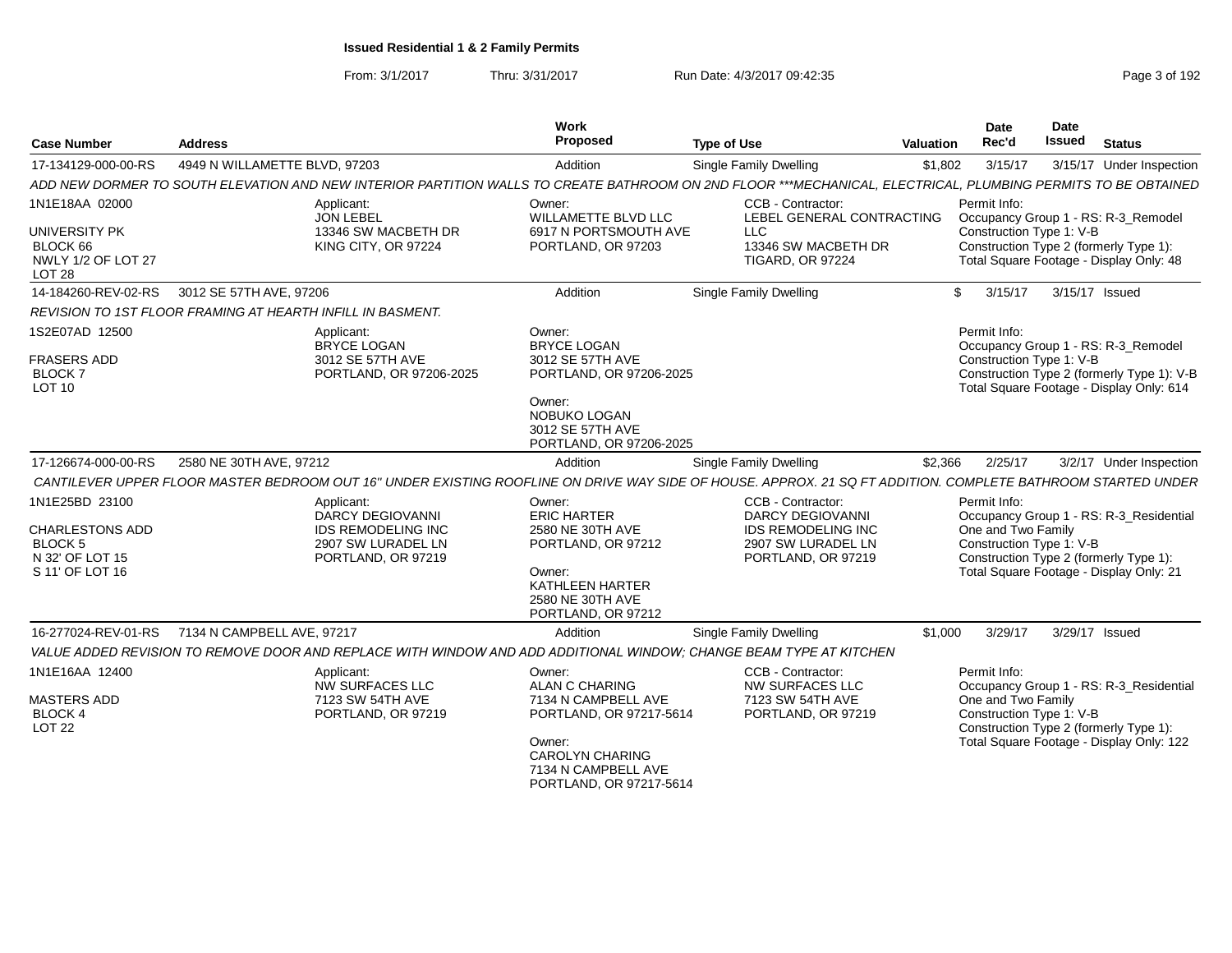From: 3/1/2017Thru: 3/31/2017 Run Date: 4/3/2017 09:42:35 Page 3 of 192

| <b>Case Number</b>                                                                        | <b>Address</b>                                             |                                                                                                                | Work<br>Proposed                                                                                                                              | <b>Type of Use</b>                                                                                                                                            | <b>Valuation</b> | <b>Date</b><br>Rec'd                                           | <b>Date</b><br>Issued | <b>Status</b>                                                                                                                 |
|-------------------------------------------------------------------------------------------|------------------------------------------------------------|----------------------------------------------------------------------------------------------------------------|-----------------------------------------------------------------------------------------------------------------------------------------------|---------------------------------------------------------------------------------------------------------------------------------------------------------------|------------------|----------------------------------------------------------------|-----------------------|-------------------------------------------------------------------------------------------------------------------------------|
| 17-134129-000-00-RS                                                                       | 4949 N WILLAMETTE BLVD, 97203                              |                                                                                                                | Addition                                                                                                                                      | <b>Single Family Dwelling</b>                                                                                                                                 | \$1,802          | 3/15/17                                                        |                       | 3/15/17 Under Inspection                                                                                                      |
|                                                                                           |                                                            |                                                                                                                |                                                                                                                                               | ADD NEW DORMER TO SOUTH ELEVATION AND NEW INTERIOR PARTITION WALLS TO CREATE BATHROOM ON 2ND FLOOR ***MECHANICAL, ELECTRICAL, PLUMBING PERMITS TO BE OBTAINED |                  |                                                                |                       |                                                                                                                               |
| 1N1E18AA 02000                                                                            |                                                            | Applicant:<br><b>JON LEBEL</b>                                                                                 | Owner:<br><b>WILLAMETTE BLVD LLC</b>                                                                                                          | CCB - Contractor:<br>LEBEL GENERAL CONTRACTING                                                                                                                |                  | Permit Info:                                                   |                       | Occupancy Group 1 - RS: R-3_Remodel                                                                                           |
| UNIVERSITY PK<br>BLOCK 66<br>NWLY 1/2 OF LOT 27<br><b>LOT 28</b>                          |                                                            | 13346 SW MACBETH DR<br>KING CITY, OR 97224                                                                     | 6917 N PORTSMOUTH AVE<br>PORTLAND, OR 97203                                                                                                   | <b>LLC</b><br>13346 SW MACBETH DR<br><b>TIGARD, OR 97224</b>                                                                                                  |                  | Construction Type 1: V-B                                       |                       | Construction Type 2 (formerly Type 1):<br>Total Square Footage - Display Only: 48                                             |
| 14-184260-REV-02-RS                                                                       | 3012 SE 57TH AVE, 97206                                    |                                                                                                                | Addition                                                                                                                                      | Single Family Dwelling                                                                                                                                        | \$               | 3/15/17                                                        | 3/15/17 Issued        |                                                                                                                               |
|                                                                                           | REVISION TO 1ST FLOOR FRAMING AT HEARTH INFILL IN BASMENT. |                                                                                                                |                                                                                                                                               |                                                                                                                                                               |                  |                                                                |                       |                                                                                                                               |
| 1S2E07AD 12500<br><b>FRASERS ADD</b><br><b>BLOCK7</b><br><b>LOT 10</b>                    |                                                            | Applicant:<br><b>BRYCE LOGAN</b><br>3012 SE 57TH AVE<br>PORTLAND, OR 97206-2025                                | Owner:<br><b>BRYCE LOGAN</b><br>3012 SE 57TH AVE<br>PORTLAND, OR 97206-2025                                                                   |                                                                                                                                                               |                  | Permit Info:<br>Construction Type 1: V-B                       |                       | Occupancy Group 1 - RS: R-3_Remodel<br>Construction Type 2 (formerly Type 1): V-B<br>Total Square Footage - Display Only: 614 |
|                                                                                           |                                                            |                                                                                                                | Owner:<br>NOBUKO LOGAN<br>3012 SE 57TH AVE<br>PORTLAND, OR 97206-2025                                                                         |                                                                                                                                                               |                  |                                                                |                       |                                                                                                                               |
| 17-126674-000-00-RS                                                                       | 2580 NE 30TH AVE, 97212                                    |                                                                                                                | Addition                                                                                                                                      | <b>Single Family Dwelling</b>                                                                                                                                 | \$2,366          | 2/25/17                                                        |                       | 3/2/17 Under Inspection                                                                                                       |
|                                                                                           |                                                            |                                                                                                                |                                                                                                                                               | CANTILEVER UPPER FLOOR MASTER BEDROOM OUT 16" UNDER EXISTING ROOFLINE ON DRIVE WAY SIDE OF HOUSE. APPROX. 21 SQ FT ADDITION. COMPLETE BATHROOM STARTED UNDER  |                  |                                                                |                       |                                                                                                                               |
| 1N1E25BD 23100<br><b>CHARLESTONS ADD</b><br>BLOCK 5<br>N 32' OF LOT 15<br>S 11' OF LOT 16 |                                                            | Applicant:<br><b>DARCY DEGIOVANNI</b><br><b>IDS REMODELING INC</b><br>2907 SW LURADEL LN<br>PORTLAND, OR 97219 | Owner:<br><b>ERIC HARTER</b><br>2580 NE 30TH AVE<br>PORTLAND, OR 97212<br>Owner:<br>KATHLEEN HARTER<br>2580 NE 30TH AVE<br>PORTLAND, OR 97212 | CCB - Contractor:<br><b>DARCY DEGIOVANNI</b><br><b>IDS REMODELING INC</b><br>2907 SW LURADEL LN<br>PORTLAND, OR 97219                                         |                  | Permit Info:<br>One and Two Family<br>Construction Type 1: V-B |                       | Occupancy Group 1 - RS: R-3_Residential<br>Construction Type 2 (formerly Type 1):<br>Total Square Footage - Display Only: 21  |
| 16-277024-REV-01-RS                                                                       | 7134 N CAMPBELL AVE, 97217                                 |                                                                                                                | Addition                                                                                                                                      | Single Family Dwelling                                                                                                                                        | \$1,000          | 3/29/17                                                        | 3/29/17 Issued        |                                                                                                                               |
|                                                                                           |                                                            |                                                                                                                |                                                                                                                                               | VALUE ADDED REVISION TO REMOVE DOOR AND REPLACE WITH WINDOW AND ADD ADDITIONAL WINDOW: CHANGE BEAM TYPE AT KITCHEN                                            |                  |                                                                |                       |                                                                                                                               |
| 1N1E16AA 12400<br><b>MASTERS ADD</b><br><b>BLOCK 4</b><br><b>LOT 22</b>                   |                                                            | Applicant:<br><b>NW SURFACES LLC</b><br>7123 SW 54TH AVE<br>PORTLAND, OR 97219                                 | Owner:<br><b>ALAN C CHARING</b><br>7134 N CAMPBELL AVE<br>PORTLAND, OR 97217-5614<br>Owner:                                                   | CCB - Contractor:<br>NW SURFACES LLC<br>7123 SW 54TH AVE<br>PORTLAND, OR 97219                                                                                |                  | Permit Info:<br>One and Two Family<br>Construction Type 1: V-B |                       | Occupancy Group 1 - RS: R-3_Residential<br>Construction Type 2 (formerly Type 1):<br>Total Square Footage - Display Only: 122 |
|                                                                                           |                                                            |                                                                                                                | <b>CAROLYN CHARING</b><br>7134 N CAMPBELL AVE<br>PORTLAND, OR 97217-5614                                                                      |                                                                                                                                                               |                  |                                                                |                       |                                                                                                                               |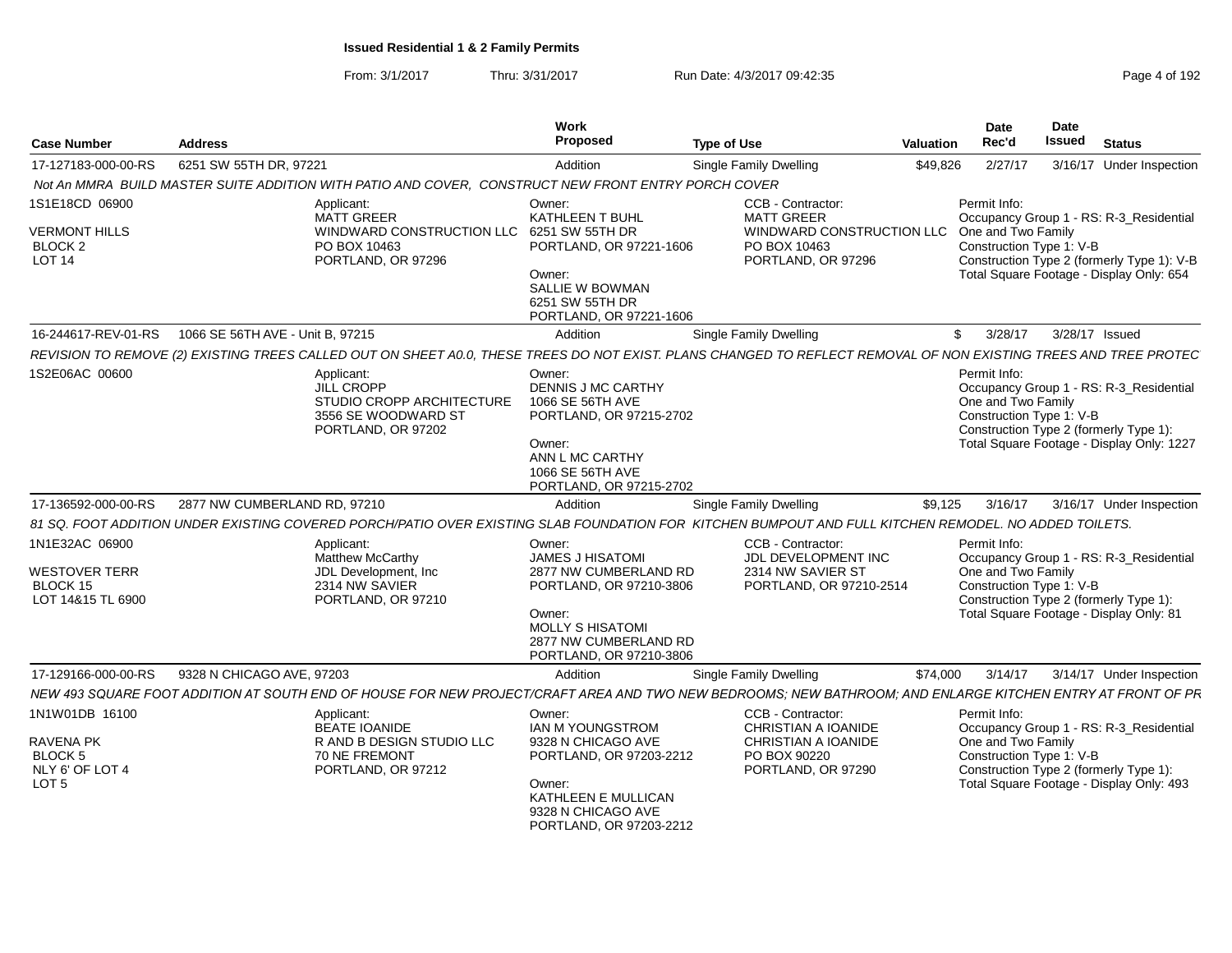From: 3/1/2017Thru: 3/31/2017 Run Date: 4/3/2017 09:42:35 Page 4 of 192

| <b>Case Number</b>                                                 | <b>Address</b>                                                                                                                                                   | Work<br>Proposed                                                                                                                                               | <b>Type of Use</b>                                                               | <b>Valuation</b> | Date<br>Rec'd                                                  | <b>Date</b><br><b>Issued</b> | <b>Status</b>                                                                                                                  |
|--------------------------------------------------------------------|------------------------------------------------------------------------------------------------------------------------------------------------------------------|----------------------------------------------------------------------------------------------------------------------------------------------------------------|----------------------------------------------------------------------------------|------------------|----------------------------------------------------------------|------------------------------|--------------------------------------------------------------------------------------------------------------------------------|
| 17-127183-000-00-RS                                                | 6251 SW 55TH DR. 97221                                                                                                                                           | Addition                                                                                                                                                       | Single Family Dwelling                                                           | \$49,826         | 2/27/17                                                        |                              | 3/16/17 Under Inspection                                                                                                       |
|                                                                    | Not An MMRA BUILD MASTER SUITE ADDITION WITH PATIO AND COVER, CONSTRUCT NEW FRONT ENTRY PORCH COVER                                                              |                                                                                                                                                                |                                                                                  |                  |                                                                |                              |                                                                                                                                |
| 1S1E18CD 06900                                                     | Applicant:<br><b>MATT GREER</b>                                                                                                                                  | Owner:<br>KATHLEEN T BUHL                                                                                                                                      | <b>CCB - Contractor:</b><br><b>MATT GREER</b>                                    |                  | Permit Info:                                                   |                              | Occupancy Group 1 - RS: R-3_Residential                                                                                        |
| <b>VERMONT HILLS</b><br>BLOCK <sub>2</sub><br><b>LOT 14</b>        | WINDWARD CONSTRUCTION LLC<br>PO BOX 10463<br>PORTLAND, OR 97296                                                                                                  | 6251 SW 55TH DR<br>PORTLAND, OR 97221-1606<br>Owner:<br>SALLIE W BOWMAN<br>6251 SW 55TH DR                                                                     | WINDWARD CONSTRUCTION LLC<br>PO BOX 10463<br>PORTLAND, OR 97296                  |                  | One and Two Family<br>Construction Type 1: V-B                 |                              | Construction Type 2 (formerly Type 1): V-B<br>Total Square Footage - Display Only: 654                                         |
|                                                                    |                                                                                                                                                                  | PORTLAND, OR 97221-1606                                                                                                                                        |                                                                                  |                  |                                                                |                              |                                                                                                                                |
| 16-244617-REV-01-RS                                                | 1066 SE 56TH AVE - Unit B. 97215                                                                                                                                 | Addition                                                                                                                                                       | Single Family Dwelling                                                           | \$               | 3/28/17                                                        |                              | 3/28/17 Issued                                                                                                                 |
|                                                                    | REVISION TO REMOVE (2) EXISTING TREES CALLED OUT ON SHEET A0.0, THESE TREES DO NOT EXIST. PLANS CHANGED TO REFLECT REMOVAL OF NON EXISTING TREES AND TREE PROTEC |                                                                                                                                                                |                                                                                  |                  |                                                                |                              |                                                                                                                                |
| 1S2E06AC 00600                                                     | Applicant:<br>JILL CROPP<br>STUDIO CROPP ARCHITECTURE<br>3556 SE WOODWARD ST<br>PORTLAND, OR 97202                                                               | Owner:<br><b>DENNIS J MC CARTHY</b><br>1066 SE 56TH AVE<br>PORTLAND, OR 97215-2702<br>Owner:<br>ANN L MC CARTHY<br>1066 SE 56TH AVE<br>PORTLAND, OR 97215-2702 |                                                                                  |                  | Permit Info:<br>One and Two Family<br>Construction Type 1: V-B |                              | Occupancy Group 1 - RS: R-3_Residential<br>Construction Type 2 (formerly Type 1):<br>Total Square Footage - Display Only: 1227 |
| 17-136592-000-00-RS                                                | 2877 NW CUMBERLAND RD, 97210                                                                                                                                     | Addition                                                                                                                                                       | Single Family Dwelling                                                           | \$9.125          | 3/16/17                                                        |                              | 3/16/17 Under Inspection                                                                                                       |
|                                                                    | 81 SQ, FOOT ADDITION UNDER EXISTING COVERED PORCH/PATIO OVER EXISTING SLAB FOUNDATION FOR KITCHEN BUMPOUT AND FULL KITCHEN REMODEL. NO ADDED TOILETS.            |                                                                                                                                                                |                                                                                  |                  |                                                                |                              |                                                                                                                                |
| 1N1E32AC 06900                                                     | Applicant:                                                                                                                                                       | Owner:                                                                                                                                                         | CCB - Contractor:                                                                |                  | Permit Info:                                                   |                              |                                                                                                                                |
|                                                                    | <b>Matthew McCarthy</b>                                                                                                                                          | <b>JAMES J HISATOMI</b><br>2877 NW CUMBERLAND RD                                                                                                               | JDL DEVELOPMENT INC<br>2314 NW SAVIER ST                                         |                  | One and Two Family                                             |                              | Occupancy Group 1 - RS: R-3_Residential                                                                                        |
| WESTOVER TERR<br>BLOCK 15                                          | JDL Development, Inc.<br>2314 NW SAVIER                                                                                                                          | PORTLAND, OR 97210-3806                                                                                                                                        | PORTLAND, OR 97210-2514                                                          |                  | Construction Type 1: V-B                                       |                              |                                                                                                                                |
| LOT 14&15 TL 6900                                                  | PORTLAND, OR 97210                                                                                                                                               | Owner:<br>MOLLY S HISATOMI<br>2877 NW CUMBERLAND RD<br>PORTLAND, OR 97210-3806                                                                                 |                                                                                  |                  |                                                                |                              | Construction Type 2 (formerly Type 1):<br>Total Square Footage - Display Only: 81                                              |
| 17-129166-000-00-RS                                                | 9328 N CHICAGO AVE, 97203                                                                                                                                        | Addition                                                                                                                                                       | <b>Single Family Dwelling</b>                                                    | \$74,000         | 3/14/17                                                        |                              | 3/14/17 Under Inspection                                                                                                       |
|                                                                    | NEW 493 SQUARE FOOT ADDITION AT SOUTH END OF HOUSE FOR NEW PROJECT/CRAFT AREA AND TWO NEW BEDROOMS; NEW BATHROOM; AND ENLARGE KITCHEN ENTRY AT FRONT OF PR       |                                                                                                                                                                |                                                                                  |                  |                                                                |                              |                                                                                                                                |
| 1N1W01DB 16100                                                     | Applicant:                                                                                                                                                       | Owner:                                                                                                                                                         | CCB - Contractor:                                                                |                  | Permit Info:                                                   |                              |                                                                                                                                |
| <b>RAVENA PK</b><br>BLOCK 5<br>NLY 6' OF LOT 4<br>LOT <sub>5</sub> | <b>BEATE IOANIDE</b><br>R AND B DESIGN STUDIO LLC<br><b>70 NE FREMONT</b><br>PORTLAND, OR 97212                                                                  | IAN M YOUNGSTROM<br>9328 N CHICAGO AVE<br>PORTLAND, OR 97203-2212<br>Owner:                                                                                    | CHRISTIAN A IOANIDE<br>CHRISTIAN A IOANIDE<br>PO BOX 90220<br>PORTLAND, OR 97290 |                  | One and Two Family<br>Construction Type 1: V-B                 |                              | Occupancy Group 1 - RS: R-3_Residential<br>Construction Type 2 (formerly Type 1):<br>Total Square Footage - Display Only: 493  |
|                                                                    |                                                                                                                                                                  | KATHLEEN E MULLICAN<br>9328 N CHICAGO AVE<br>PORTLAND, OR 97203-2212                                                                                           |                                                                                  |                  |                                                                |                              |                                                                                                                                |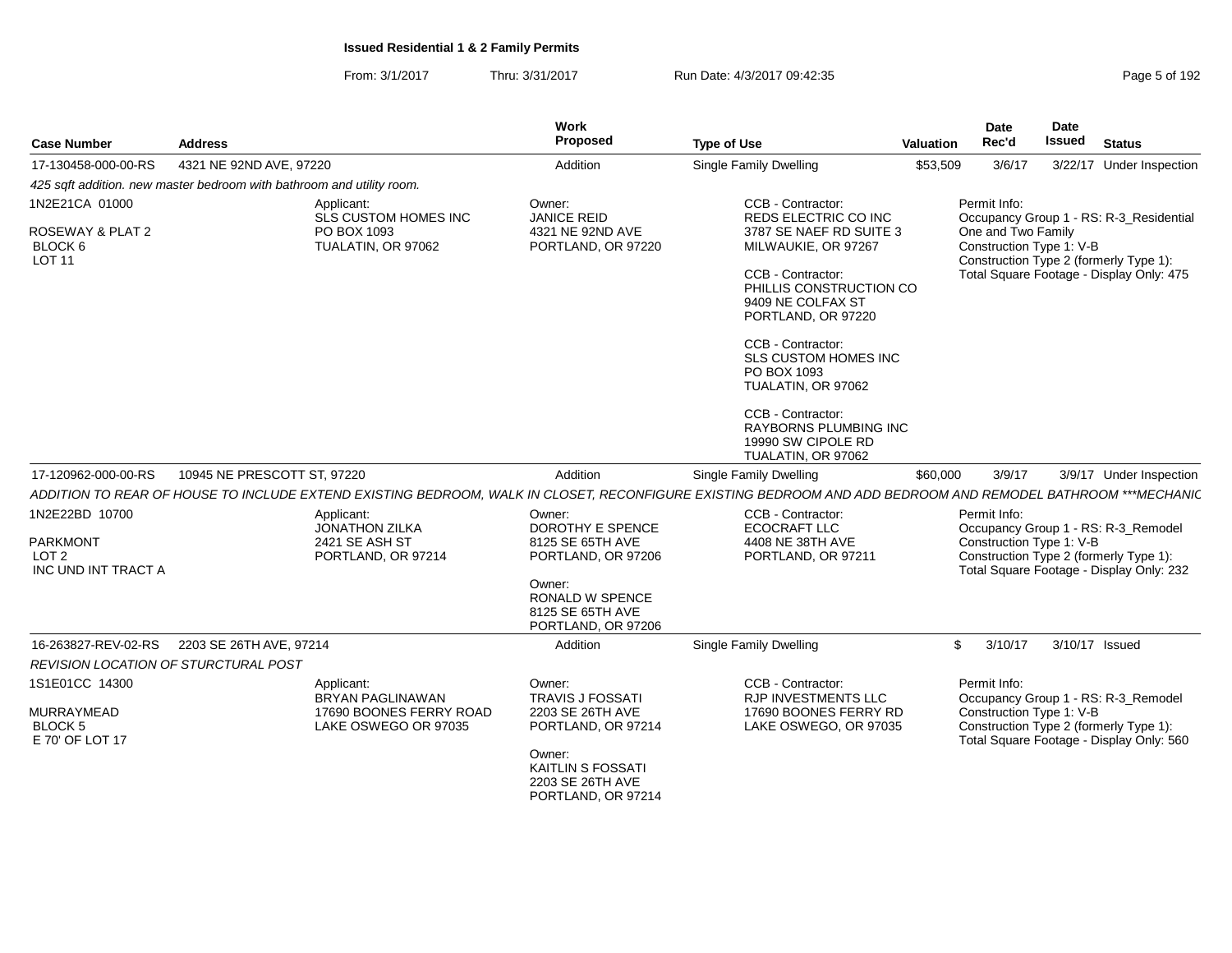| <b>Case Number</b>                                    | <b>Address</b>                                                        |                                                                             | Work<br>Proposed                                                             | <b>Type of Use</b>                                                                                                                                          | Valuation | Date<br>Rec'd                                  | <b>Date</b><br><b>Issued</b> | <b>Status</b>                                                                      |
|-------------------------------------------------------|-----------------------------------------------------------------------|-----------------------------------------------------------------------------|------------------------------------------------------------------------------|-------------------------------------------------------------------------------------------------------------------------------------------------------------|-----------|------------------------------------------------|------------------------------|------------------------------------------------------------------------------------|
| 17-130458-000-00-RS                                   | 4321 NE 92ND AVE, 97220                                               |                                                                             | Addition                                                                     | Single Family Dwelling                                                                                                                                      | \$53,509  | 3/6/17                                         |                              | 3/22/17 Under Inspection                                                           |
|                                                       | 425 sqft addition. new master bedroom with bathroom and utility room. |                                                                             |                                                                              |                                                                                                                                                             |           |                                                |                              |                                                                                    |
| 1N2E21CA 01000                                        |                                                                       | Applicant:<br>SLS CUSTOM HOMES INC                                          | Owner:<br><b>JANICE REID</b>                                                 | CCB - Contractor:<br>REDS ELECTRIC CO INC                                                                                                                   |           | Permit Info:                                   |                              | Occupancy Group 1 - RS: R-3 Residential                                            |
| ROSEWAY & PLAT 2<br>BLOCK 6<br><b>LOT 11</b>          |                                                                       | PO BOX 1093<br>TUALATIN, OR 97062                                           | 4321 NE 92ND AVE<br>PORTLAND, OR 97220                                       | 3787 SE NAEF RD SUITE 3<br>MILWAUKIE, OR 97267                                                                                                              |           | One and Two Family<br>Construction Type 1: V-B |                              | Construction Type 2 (formerly Type 1):                                             |
|                                                       |                                                                       |                                                                             |                                                                              | CCB - Contractor:<br>PHILLIS CONSTRUCTION CO<br>9409 NE COLFAX ST<br>PORTLAND, OR 97220                                                                     |           |                                                |                              | Total Square Footage - Display Only: 475                                           |
|                                                       |                                                                       |                                                                             |                                                                              | CCB - Contractor:<br>SLS CUSTOM HOMES INC<br>PO BOX 1093<br>TUALATIN, OR 97062                                                                              |           |                                                |                              |                                                                                    |
|                                                       |                                                                       |                                                                             |                                                                              | CCB - Contractor:<br><b>RAYBORNS PLUMBING INC</b><br>19990 SW CIPOLE RD<br>TUALATIN, OR 97062                                                               |           |                                                |                              |                                                                                    |
| 17-120962-000-00-RS                                   | 10945 NE PRESCOTT ST, 97220                                           |                                                                             | Addition                                                                     | Single Family Dwelling                                                                                                                                      | \$60,000  | 3/9/17                                         |                              | 3/9/17 Under Inspection                                                            |
|                                                       |                                                                       |                                                                             |                                                                              | ADDITION TO REAR OF HOUSE TO INCLUDE EXTEND EXISTING BEDROOM, WALK IN CLOSET, RECONFIGURE EXISTING BEDROOM AND ADD BEDROOM AND REMODEL BATHROOM ***MECHANI( |           |                                                |                              |                                                                                    |
| 1N2E22BD 10700<br><b>PARKMONT</b><br>LOT <sub>2</sub> |                                                                       | Applicant:<br><b>JONATHON ZILKA</b><br>2421 SE ASH ST<br>PORTLAND, OR 97214 | Owner:<br>DOROTHY E SPENCE<br>8125 SE 65TH AVE<br>PORTLAND, OR 97206         | CCB - Contractor:<br><b>ECOCRAFT LLC</b><br>4408 NE 38TH AVE<br>PORTLAND, OR 97211                                                                          |           | Permit Info:<br>Construction Type 1: V-B       |                              | Occupancy Group 1 - RS: R-3_Remodel<br>Construction Type 2 (formerly Type 1):      |
| INC UND INT TRACT A                                   |                                                                       |                                                                             | Owner:<br><b>RONALD W SPENCE</b><br>8125 SE 65TH AVE<br>PORTLAND, OR 97206   |                                                                                                                                                             |           |                                                |                              | Total Square Footage - Display Only: 232                                           |
| 16-263827-REV-02-RS                                   | 2203 SE 26TH AVE, 97214                                               |                                                                             | Addition                                                                     | <b>Single Family Dwelling</b>                                                                                                                               |           | $\mathbb{S}$<br>3/10/17                        |                              | 3/10/17 Issued                                                                     |
|                                                       | REVISION LOCATION OF STURCTURAL POST                                  |                                                                             |                                                                              |                                                                                                                                                             |           |                                                |                              |                                                                                    |
| 1S1E01CC 14300                                        |                                                                       | Applicant:<br><b>BRYAN PAGLINAWAN</b>                                       | Owner:<br><b>TRAVIS J FOSSATI</b>                                            | CCB - Contractor:<br><b>RJP INVESTMENTS LLC</b>                                                                                                             |           | Permit Info:                                   |                              | Occupancy Group 1 - RS: R-3 Remodel                                                |
| <b>MURRAYMEAD</b><br>BLOCK 5<br>E 70' OF LOT 17       |                                                                       | 17690 BOONES FERRY ROAD<br>LAKE OSWEGO OR 97035                             | 2203 SE 26TH AVE<br>PORTLAND, OR 97214                                       | 17690 BOONES FERRY RD<br>LAKE OSWEGO, OR 97035                                                                                                              |           | Construction Type 1: V-B                       |                              | Construction Type 2 (formerly Type 1):<br>Total Square Footage - Display Only: 560 |
|                                                       |                                                                       |                                                                             | Owner:<br><b>KAITLIN S FOSSATI</b><br>2203 SE 26TH AVE<br>PORTLAND, OR 97214 |                                                                                                                                                             |           |                                                |                              |                                                                                    |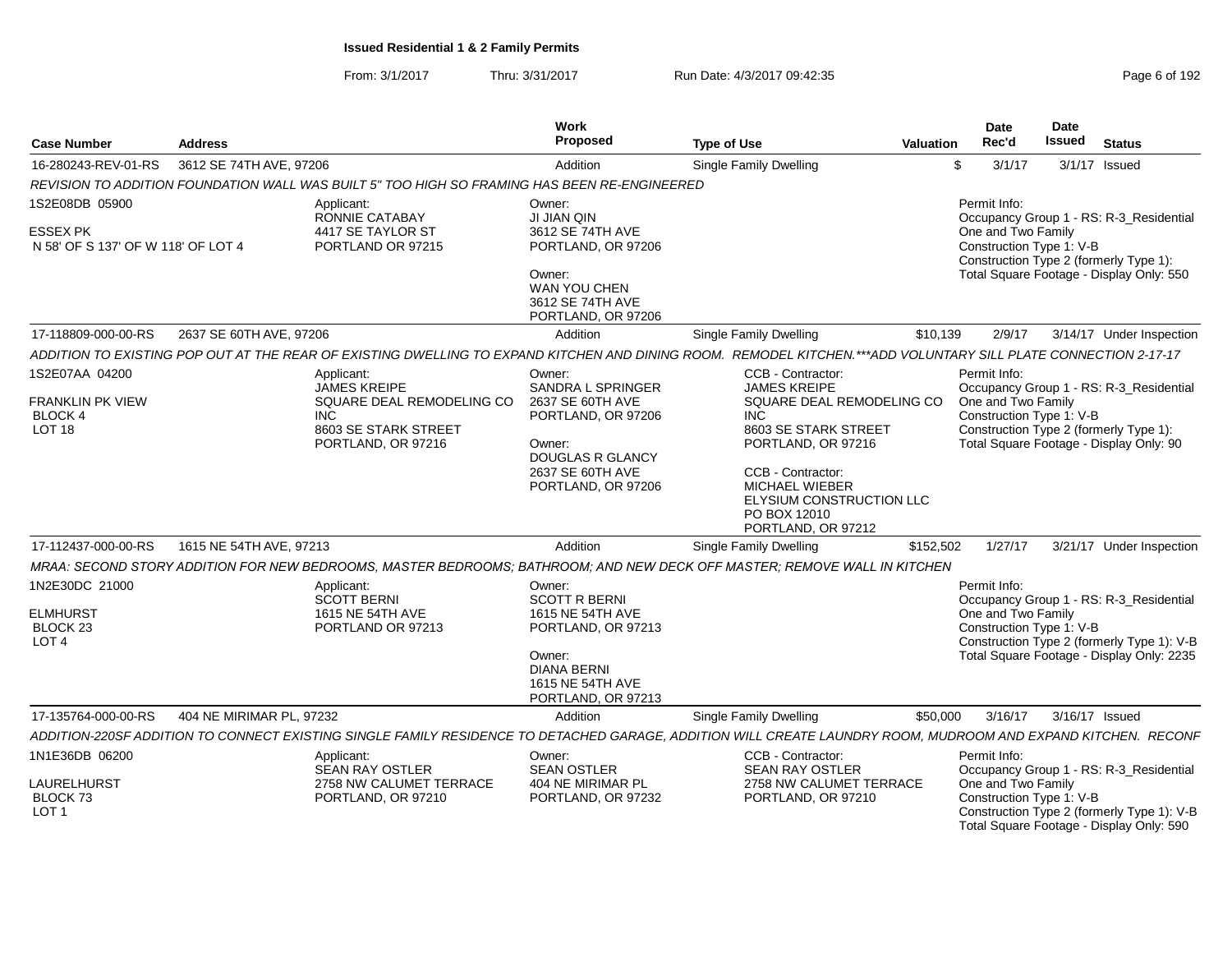| <b>Case Number</b>                                                           | <b>Address</b>           |                                                                                                                                                                 | Work<br>Proposed                                                                                                                                   | <b>Type of Use</b>                                                                                                                                                       | Valuation | Date<br>Rec'd                                                  | <b>Date</b><br><b>Issued</b> | <b>Status</b>                                                                                                                      |
|------------------------------------------------------------------------------|--------------------------|-----------------------------------------------------------------------------------------------------------------------------------------------------------------|----------------------------------------------------------------------------------------------------------------------------------------------------|--------------------------------------------------------------------------------------------------------------------------------------------------------------------------|-----------|----------------------------------------------------------------|------------------------------|------------------------------------------------------------------------------------------------------------------------------------|
| 16-280243-REV-01-RS                                                          | 3612 SE 74TH AVE, 97206  |                                                                                                                                                                 | Addition                                                                                                                                           | <b>Single Family Dwelling</b>                                                                                                                                            | -\$       | 3/1/17                                                         |                              | 3/1/17 Issued                                                                                                                      |
|                                                                              |                          | REVISION TO ADDITION FOUNDATION WALL WAS BUILT 5" TOO HIGH SO FRAMING HAS BEEN RE-ENGINEERED                                                                    |                                                                                                                                                    |                                                                                                                                                                          |           |                                                                |                              |                                                                                                                                    |
| 1S2E08DB 05900                                                               |                          | Applicant:<br>RONNIE CATABAY                                                                                                                                    | Owner:<br>JI JIAN QIN                                                                                                                              |                                                                                                                                                                          |           | Permit Info:                                                   |                              | Occupancy Group 1 - RS: R-3 Residential                                                                                            |
| <b>ESSEX PK</b><br>N 58' OF S 137' OF W 118' OF LOT 4                        |                          | 4417 SE TAYLOR ST<br>PORTLAND OR 97215                                                                                                                          | 3612 SE 74TH AVE<br>PORTLAND, OR 97206                                                                                                             |                                                                                                                                                                          |           | One and Two Family<br>Construction Type 1: V-B                 |                              | Construction Type 2 (formerly Type 1):                                                                                             |
|                                                                              |                          |                                                                                                                                                                 | Owner:<br>WAN YOU CHEN<br>3612 SE 74TH AVE<br>PORTLAND, OR 97206                                                                                   |                                                                                                                                                                          |           |                                                                |                              | Total Square Footage - Display Only: 550                                                                                           |
| 17-118809-000-00-RS                                                          | 2637 SE 60TH AVE, 97206  |                                                                                                                                                                 | Addition                                                                                                                                           | Single Family Dwelling                                                                                                                                                   | \$10,139  | 2/9/17                                                         |                              | 3/14/17 Under Inspection                                                                                                           |
|                                                                              |                          | ADDITION TO EXISTING POP OUT AT THE REAR OF EXISTING DWELLING TO EXPAND KITCHEN AND DINING ROOM. REMODEL KITCHEN.***ADD VOLUNTARY SILL PLATE CONNECTION 2-17-17 |                                                                                                                                                    |                                                                                                                                                                          |           |                                                                |                              |                                                                                                                                    |
| 1S2E07AA 04200<br>FRANKLIN PK VIEW                                           |                          | Applicant:<br><b>JAMES KREIPE</b><br>SQUARE DEAL REMODELING CO                                                                                                  | Owner:<br><b>SANDRA L SPRINGER</b><br>2637 SE 60TH AVE                                                                                             | CCB - Contractor:<br><b>JAMES KREIPE</b><br>SQUARE DEAL REMODELING CO                                                                                                    |           | Permit Info:<br>One and Two Family                             |                              | Occupancy Group 1 - RS: R-3_Residential                                                                                            |
| <b>BLOCK 4</b><br><b>LOT 18</b>                                              |                          | <b>INC</b><br>8603 SE STARK STREET<br>PORTLAND, OR 97216                                                                                                        | PORTLAND, OR 97206<br>Owner:<br>DOUGLAS R GLANCY<br>2637 SE 60TH AVE<br>PORTLAND, OR 97206                                                         | INC<br>8603 SE STARK STREET<br>PORTLAND, OR 97216<br><b>CCB - Contractor:</b><br><b>MICHAEL WIEBER</b><br>ELYSIUM CONSTRUCTION LLC<br>PO BOX 12010<br>PORTLAND, OR 97212 |           | Construction Type 1: V-B                                       |                              | Construction Type 2 (formerly Type 1):<br>Total Square Footage - Display Only: 90                                                  |
| 17-112437-000-00-RS                                                          | 1615 NE 54TH AVE, 97213  |                                                                                                                                                                 | Addition                                                                                                                                           | Single Family Dwelling                                                                                                                                                   | \$152,502 | 1/27/17                                                        |                              | 3/21/17 Under Inspection                                                                                                           |
|                                                                              |                          | MRAA: SECOND STORY ADDITION FOR NEW BEDROOMS, MASTER BEDROOMS; BATHROOM; AND NEW DECK OFF MASTER; REMOVE WALL IN KITCHEN                                        |                                                                                                                                                    |                                                                                                                                                                          |           |                                                                |                              |                                                                                                                                    |
| 1N2E30DC 21000<br><b>ELMHURST</b><br>BLOCK <sub>23</sub><br>LOT <sub>4</sub> |                          | Applicant:<br><b>SCOTT BERNI</b><br>1615 NE 54TH AVE<br>PORTLAND OR 97213                                                                                       | Owner:<br><b>SCOTT R BERNI</b><br>1615 NE 54TH AVE<br>PORTLAND, OR 97213<br>Owner:<br><b>DIANA BERNI</b><br>1615 NE 54TH AVE<br>PORTLAND, OR 97213 |                                                                                                                                                                          |           | Permit Info:<br>One and Two Family<br>Construction Type 1: V-B |                              | Occupancy Group 1 - RS: R-3 Residential<br>Construction Type 2 (formerly Type 1): V-B<br>Total Square Footage - Display Only: 2235 |
| 17-135764-000-00-RS                                                          | 404 NE MIRIMAR PL, 97232 |                                                                                                                                                                 | Addition                                                                                                                                           | Single Family Dwelling                                                                                                                                                   | \$50,000  | 3/16/17                                                        | 3/16/17 Issued               |                                                                                                                                    |
|                                                                              |                          | ADDITION-220SF ADDITION TO CONNECT EXISTING SINGLE FAMILY RESIDENCE TO DETACHED GARAGE. ADDITION WILL CREATE LAUNDRY ROOM, MUDROOM AND EXPAND KITCHEN. RECONF   |                                                                                                                                                    |                                                                                                                                                                          |           |                                                                |                              |                                                                                                                                    |
| 1N1E36DB 06200                                                               |                          | Applicant:<br>SEAN RAY OSTLER                                                                                                                                   | Owner:<br><b>SEAN OSTLER</b>                                                                                                                       | CCB - Contractor:<br><b>SEAN RAY OSTLER</b>                                                                                                                              |           | Permit Info:                                                   |                              | Occupancy Group 1 - RS: R-3_Residential                                                                                            |
| LAURELHURST<br>BLOCK 73<br>LOT <sub>1</sub>                                  |                          | 2758 NW CALUMET TERRACE<br>PORTLAND, OR 97210                                                                                                                   | 404 NE MIRIMAR PL<br>PORTLAND, OR 97232                                                                                                            | 2758 NW CALUMET TERRACE<br>PORTLAND, OR 97210                                                                                                                            |           | One and Two Family<br>Construction Type 1: V-B                 |                              | Construction Type 2 (formerly Type 1): V-B<br>Total Square Footage - Display Only: 590                                             |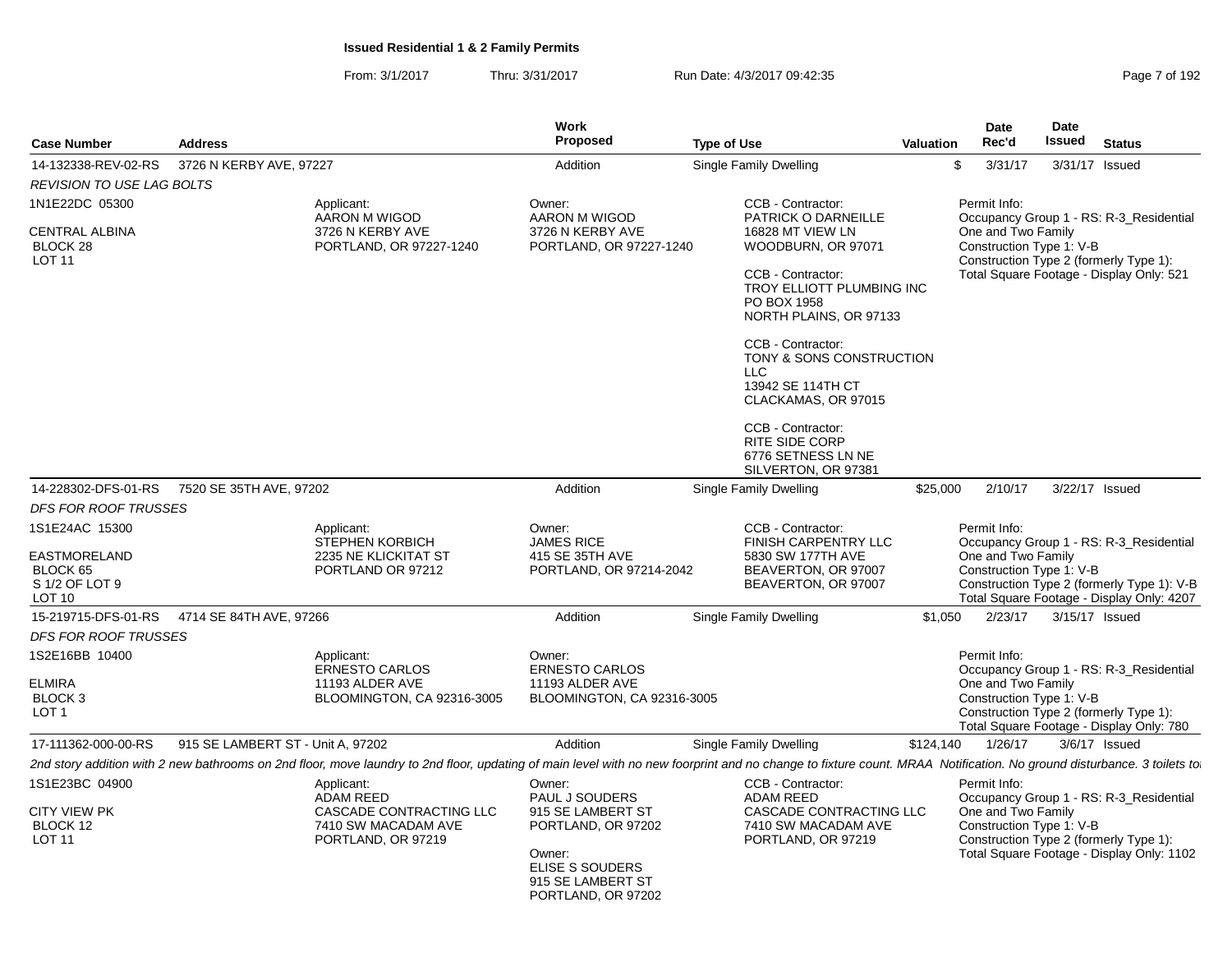| <b>Address</b>                                                                                                                                                                                                                                                                                                                                                                                                                                             |                                   |                                                                                                                                                                                                                      | Work<br><b>Proposed</b>                                                                                                                     | <b>Type of Use</b> |                                                                                                                                                                                                                                                                                                                                                                     | <b>Valuation</b> | <b>Date</b><br>Rec'd                                           | <b>Date</b><br><b>Issued</b> | <b>Status</b>                                                                                                                      |
|------------------------------------------------------------------------------------------------------------------------------------------------------------------------------------------------------------------------------------------------------------------------------------------------------------------------------------------------------------------------------------------------------------------------------------------------------------|-----------------------------------|----------------------------------------------------------------------------------------------------------------------------------------------------------------------------------------------------------------------|---------------------------------------------------------------------------------------------------------------------------------------------|--------------------|---------------------------------------------------------------------------------------------------------------------------------------------------------------------------------------------------------------------------------------------------------------------------------------------------------------------------------------------------------------------|------------------|----------------------------------------------------------------|------------------------------|------------------------------------------------------------------------------------------------------------------------------------|
| <b>Case Number</b><br>14-132338-REV-02-RS<br><b>REVISION TO USE LAG BOLTS</b><br>1N1E22DC 05300<br>CENTRAL ALBINA<br>BLOCK 28<br><b>LOT 11</b><br>14-228302-DFS-01-RS<br><b>DFS FOR ROOF TRUSSES</b><br>1S1E24AC 15300<br>EASTMORELAND<br>BLOCK 65<br>S 1/2 OF LOT 9<br><b>LOT 10</b><br>15-219715-DFS-01-RS<br><b>DFS FOR ROOF TRUSSES</b><br>1S2E16BB 10400<br>ELMIRA<br>BLOCK <sub>3</sub><br>LOT <sub>1</sub><br>17-111362-000-00-RS<br>1S1E23BC 04900 |                                   |                                                                                                                                                                                                                      |                                                                                                                                             |                    |                                                                                                                                                                                                                                                                                                                                                                     |                  |                                                                |                              |                                                                                                                                    |
|                                                                                                                                                                                                                                                                                                                                                                                                                                                            | 3726 N KERBY AVE, 97227           |                                                                                                                                                                                                                      | Addition                                                                                                                                    |                    | Single Family Dwelling                                                                                                                                                                                                                                                                                                                                              |                  | \$<br>3/31/17                                                  |                              | 3/31/17 Issued                                                                                                                     |
|                                                                                                                                                                                                                                                                                                                                                                                                                                                            |                                   |                                                                                                                                                                                                                      |                                                                                                                                             |                    |                                                                                                                                                                                                                                                                                                                                                                     |                  |                                                                |                              |                                                                                                                                    |
|                                                                                                                                                                                                                                                                                                                                                                                                                                                            |                                   | Applicant:<br>AARON M WIGOD<br>3726 N KERBY AVE<br>PORTLAND, OR 97227-1240                                                                                                                                           | Owner:<br>AARON M WIGOD<br>3726 N KERBY AVE<br>PORTLAND, OR 97227-1240                                                                      |                    | CCB - Contractor:<br><b>PATRICK O DARNEILLE</b><br>16828 MT VIEW LN<br>WOODBURN, OR 97071<br>CCB - Contractor:<br>TROY ELLIOTT PLUMBING INC<br>PO BOX 1958<br>NORTH PLAINS, OR 97133<br>CCB - Contractor:<br>TONY & SONS CONSTRUCTION<br><b>LLC</b><br>13942 SE 114TH CT<br>CLACKAMAS, OR 97015<br>CCB - Contractor:<br><b>RITE SIDE CORP</b><br>6776 SETNESS LN NE |                  | Permit Info:<br>One and Two Family<br>Construction Type 1: V-B |                              | Occupancy Group 1 - RS: R-3_Residential<br>Construction Type 2 (formerly Type 1):<br>Total Square Footage - Display Only: 521      |
|                                                                                                                                                                                                                                                                                                                                                                                                                                                            |                                   |                                                                                                                                                                                                                      |                                                                                                                                             |                    | SILVERTON, OR 97381                                                                                                                                                                                                                                                                                                                                                 |                  |                                                                |                              |                                                                                                                                    |
|                                                                                                                                                                                                                                                                                                                                                                                                                                                            | 7520 SE 35TH AVE, 97202           |                                                                                                                                                                                                                      | Addition                                                                                                                                    |                    | <b>Single Family Dwelling</b>                                                                                                                                                                                                                                                                                                                                       | \$25,000         | 2/10/17                                                        |                              | 3/22/17 Issued                                                                                                                     |
|                                                                                                                                                                                                                                                                                                                                                                                                                                                            |                                   |                                                                                                                                                                                                                      |                                                                                                                                             |                    |                                                                                                                                                                                                                                                                                                                                                                     |                  |                                                                |                              |                                                                                                                                    |
|                                                                                                                                                                                                                                                                                                                                                                                                                                                            |                                   | Applicant:<br><b>STEPHEN KORBICH</b><br>2235 NE KLICKITAT ST<br>PORTLAND OR 97212                                                                                                                                    | Owner:<br><b>JAMES RICE</b><br>415 SE 35TH AVE<br>PORTLAND, OR 97214-2042                                                                   |                    | CCB - Contractor:<br>FINISH CARPENTRY LLC<br>5830 SW 177TH AVE<br>BEAVERTON, OR 97007<br>BEAVERTON, OR 97007                                                                                                                                                                                                                                                        |                  | Permit Info:<br>One and Two Family<br>Construction Type 1: V-B |                              | Occupancy Group 1 - RS: R-3_Residential<br>Construction Type 2 (formerly Type 1): V-B<br>Total Square Footage - Display Only: 4207 |
|                                                                                                                                                                                                                                                                                                                                                                                                                                                            | 4714 SE 84TH AVE, 97266           |                                                                                                                                                                                                                      | Addition                                                                                                                                    |                    | Single Family Dwelling                                                                                                                                                                                                                                                                                                                                              | \$1,050          | 2/23/17                                                        |                              | 3/15/17 Issued                                                                                                                     |
|                                                                                                                                                                                                                                                                                                                                                                                                                                                            |                                   |                                                                                                                                                                                                                      |                                                                                                                                             |                    |                                                                                                                                                                                                                                                                                                                                                                     |                  |                                                                |                              |                                                                                                                                    |
|                                                                                                                                                                                                                                                                                                                                                                                                                                                            |                                   | Applicant:<br><b>ERNESTO CARLOS</b><br>11193 ALDER AVE<br>BLOOMINGTON, CA 92316-3005                                                                                                                                 | Owner:<br><b>ERNESTO CARLOS</b><br>11193 ALDER AVE<br>BLOOMINGTON, CA 92316-3005                                                            |                    |                                                                                                                                                                                                                                                                                                                                                                     |                  | Permit Info:<br>One and Two Family<br>Construction Type 1: V-B |                              | Occupancy Group 1 - RS: R-3 Residential<br>Construction Type 2 (formerly Type 1):<br>Total Square Footage - Display Only: 780      |
|                                                                                                                                                                                                                                                                                                                                                                                                                                                            | 915 SE LAMBERT ST - Unit A, 97202 |                                                                                                                                                                                                                      | Addition                                                                                                                                    |                    | Single Family Dwelling                                                                                                                                                                                                                                                                                                                                              | \$124,140        | 1/26/17                                                        |                              | $3/6/17$ Issued                                                                                                                    |
|                                                                                                                                                                                                                                                                                                                                                                                                                                                            |                                   | 2nd story addition with 2 new bathrooms on 2nd floor, move laundry to 2nd floor, updating of main level with no new foorprint and no change to fixture count. MRAA Notification. No ground disturbance. 3 toilets to |                                                                                                                                             |                    |                                                                                                                                                                                                                                                                                                                                                                     |                  |                                                                |                              |                                                                                                                                    |
| <b>CITY VIEW PK</b><br>BLOCK 12<br><b>LOT 11</b>                                                                                                                                                                                                                                                                                                                                                                                                           |                                   | Applicant:<br><b>ADAM REED</b><br>CASCADE CONTRACTING LLC<br>7410 SW MACADAM AVE<br>PORTLAND, OR 97219                                                                                                               | Owner:<br>PAUL J SOUDERS<br>915 SE LAMBERT ST<br>PORTLAND, OR 97202<br>Owner:<br>ELISE S SOUDERS<br>915 SE LAMBERT ST<br>PORTLAND, OR 97202 |                    | CCB - Contractor:<br><b>ADAM REED</b><br>CASCADE CONTRACTING LLC<br>7410 SW MACADAM AVE<br>PORTLAND, OR 97219                                                                                                                                                                                                                                                       |                  | Permit Info:<br>One and Two Family<br>Construction Type 1: V-B |                              | Occupancy Group 1 - RS: R-3_Residential<br>Construction Type 2 (formerly Type 1):<br>Total Square Footage - Display Only: 1102     |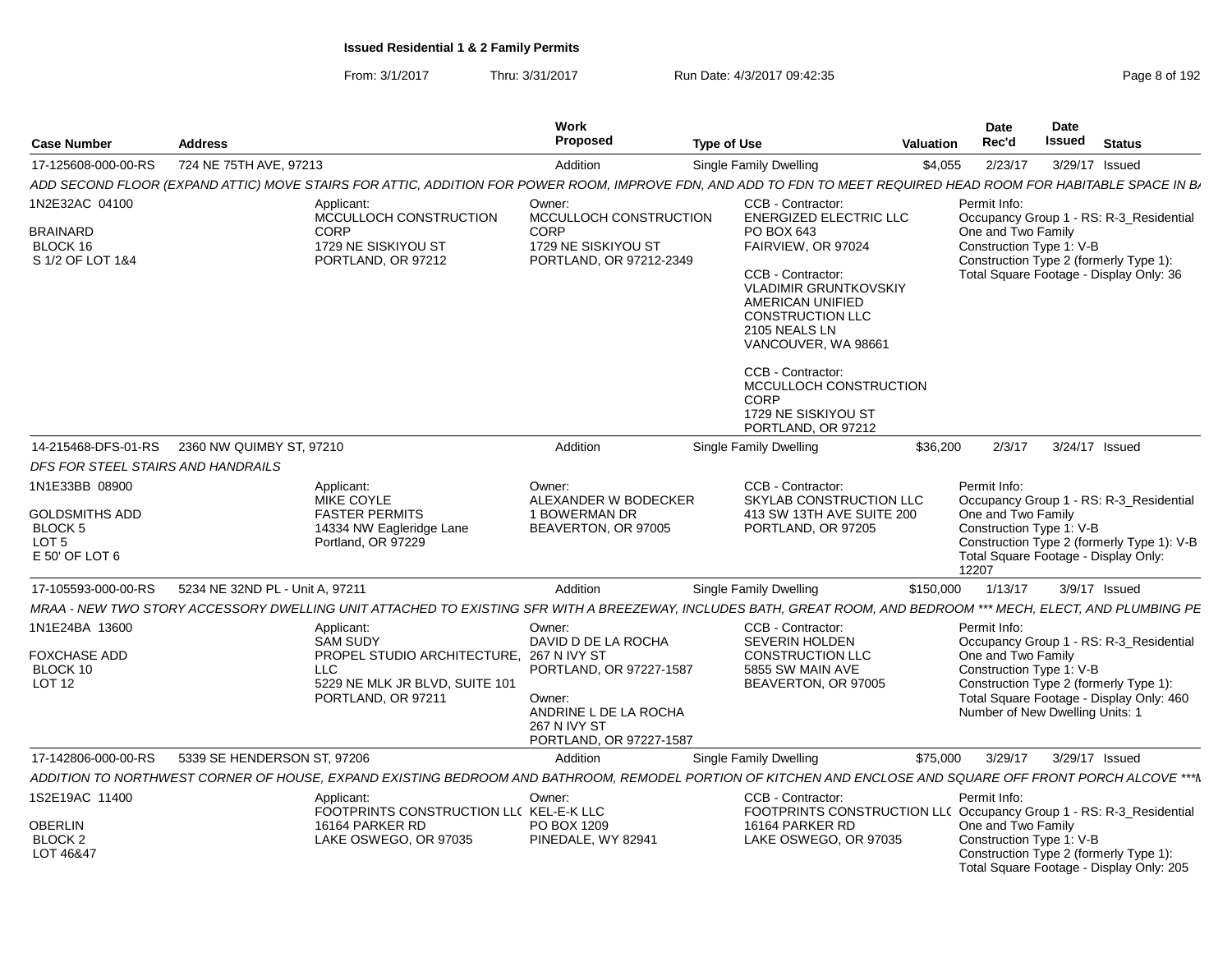|                                                                        |                                                                                                                                                                  | Work<br>Proposed                                                                                                                              |                                                                                                                                                                                                                                                                                                                                        |                  | <b>Date</b><br>Rec'd                                                                              | Date<br><b>Issued</b> |                                                                                                                               |
|------------------------------------------------------------------------|------------------------------------------------------------------------------------------------------------------------------------------------------------------|-----------------------------------------------------------------------------------------------------------------------------------------------|----------------------------------------------------------------------------------------------------------------------------------------------------------------------------------------------------------------------------------------------------------------------------------------------------------------------------------------|------------------|---------------------------------------------------------------------------------------------------|-----------------------|-------------------------------------------------------------------------------------------------------------------------------|
| <b>Case Number</b>                                                     | <b>Address</b>                                                                                                                                                   |                                                                                                                                               | <b>Type of Use</b>                                                                                                                                                                                                                                                                                                                     | <b>Valuation</b> |                                                                                                   |                       | <b>Status</b>                                                                                                                 |
| 17-125608-000-00-RS                                                    | 724 NE 75TH AVE, 97213                                                                                                                                           | Addition                                                                                                                                      | Single Family Dwelling                                                                                                                                                                                                                                                                                                                 | \$4,055          | 2/23/17                                                                                           |                       | 3/29/17 Issued                                                                                                                |
|                                                                        | ADD SECOND FLOOR (EXPAND ATTIC) MOVE STAIRS FOR ATTIC, ADDITION FOR POWER ROOM, IMPROVE FDN, AND ADD TO FDN TO MEET REQUIRED HEAD ROOM FOR HABITABLE SPACE IN BJ |                                                                                                                                               |                                                                                                                                                                                                                                                                                                                                        |                  |                                                                                                   |                       |                                                                                                                               |
| 1N2E32AC 04100<br><b>BRAINARD</b><br>BLOCK 16<br>S 1/2 OF LOT 1&4      | Applicant:<br>MCCULLOCH CONSTRUCTION<br><b>CORP</b><br>1729 NE SISKIYOU ST<br>PORTLAND, OR 97212                                                                 | Owner:<br>MCCULLOCH CONSTRUCTION<br><b>CORP</b><br>1729 NE SISKIYOU ST<br>PORTLAND, OR 97212-2349                                             | CCB - Contractor:<br><b>ENERGIZED ELECTRIC LLC</b><br>PO BOX 643<br>FAIRVIEW, OR 97024<br>CCB - Contractor:<br><b>VLADIMIR GRUNTKOVSKIY</b><br>AMERICAN UNIFIED<br><b>CONSTRUCTION LLC</b><br>2105 NEALS LN<br>VANCOUVER, WA 98661<br>CCB - Contractor:<br>MCCULLOCH CONSTRUCTION<br>CORP<br>1729 NE SISKIYOU ST<br>PORTLAND, OR 97212 |                  | Permit Info:<br>One and Two Family<br>Construction Type 1: V-B                                    |                       | Occupancy Group 1 - RS: R-3 Residential<br>Construction Type 2 (formerly Type 1):<br>Total Square Footage - Display Only: 36  |
|                                                                        | 14-215468-DFS-01-RS 2360 NW QUIMBY ST. 97210                                                                                                                     | Addition                                                                                                                                      | Single Family Dwelling                                                                                                                                                                                                                                                                                                                 | \$36,200         | 2/3/17                                                                                            |                       | 3/24/17 Issued                                                                                                                |
| DFS FOR STEEL STAIRS AND HANDRAILS                                     |                                                                                                                                                                  |                                                                                                                                               |                                                                                                                                                                                                                                                                                                                                        |                  |                                                                                                   |                       |                                                                                                                               |
| 1N1E33BB 08900                                                         |                                                                                                                                                                  | Owner:                                                                                                                                        | CCB - Contractor:                                                                                                                                                                                                                                                                                                                      |                  | Permit Info:                                                                                      |                       |                                                                                                                               |
| <b>GOLDSMITHS ADD</b><br>BLOCK 5<br>LOT <sub>5</sub><br>E 50' OF LOT 6 | Applicant:<br>MIKE COYLE<br><b>FASTER PERMITS</b><br>14334 NW Eagleridge Lane<br>Portland, OR 97229                                                              | ALEXANDER W BODECKER<br>1 BOWERMAN DR<br>BEAVERTON, OR 97005                                                                                  | SKYLAB CONSTRUCTION LLC<br>413 SW 13TH AVE SUITE 200<br>PORTLAND, OR 97205                                                                                                                                                                                                                                                             |                  | One and Two Family<br>Construction Type 1: V-B<br>12207                                           |                       | Occupancy Group 1 - RS: R-3 Residential<br>Construction Type 2 (formerly Type 1): V-B<br>Total Square Footage - Display Only: |
| 17-105593-000-00-RS                                                    | 5234 NE 32ND PL - Unit A, 97211                                                                                                                                  | Addition                                                                                                                                      | Single Family Dwelling                                                                                                                                                                                                                                                                                                                 | \$150,000        | 1/13/17                                                                                           |                       | 3/9/17 Issued                                                                                                                 |
|                                                                        | MRAA - NEW TWO STORY ACCESSORY DWELLING UNIT ATTACHED TO EXISTING SFR WITH A BREEZEWAY, INCLUDES BATH, GREAT ROOM, AND BEDROOM *** MECH, ELECT, AND PLUMBING PE  |                                                                                                                                               |                                                                                                                                                                                                                                                                                                                                        |                  |                                                                                                   |                       |                                                                                                                               |
| 1N1E24BA 13600<br><b>FOXCHASE ADD</b><br>BLOCK 10<br>LOT <sub>12</sub> | Applicant:<br><b>SAM SUDY</b><br>PROPEL STUDIO ARCHITECTURE. 267 N IVY ST<br><b>LLC</b><br>5229 NE MLK JR BLVD, SUITE 101<br>PORTLAND, OR 97211                  | Owner:<br>DAVID D DE LA ROCHA<br>PORTLAND, OR 97227-1587<br>Owner:<br>ANDRINE L DE LA ROCHA<br><b>267 N IVY ST</b><br>PORTLAND, OR 97227-1587 | CCB - Contractor:<br><b>SEVERIN HOLDEN</b><br><b>CONSTRUCTION LLC</b><br>5855 SW MAIN AVE<br>BEAVERTON, OR 97005                                                                                                                                                                                                                       |                  | Permit Info:<br>One and Two Family<br>Construction Type 1: V-B<br>Number of New Dwelling Units: 1 |                       | Occupancy Group 1 - RS: R-3 Residential<br>Construction Type 2 (formerly Type 1):<br>Total Square Footage - Display Only: 460 |
| 17-142806-000-00-RS                                                    | 5339 SE HENDERSON ST, 97206                                                                                                                                      | Addition                                                                                                                                      | Single Family Dwelling                                                                                                                                                                                                                                                                                                                 | \$75,000         | 3/29/17                                                                                           |                       | 3/29/17 Issued                                                                                                                |
|                                                                        | ADDITION TO NORTHWEST CORNER OF HOUSE, EXPAND EXISTING BEDROOM AND BATHROOM, REMODEL PORTION OF KITCHEN AND ENCLOSE AND SQUARE OFF FRONT PORCH ALCOVE ***M       |                                                                                                                                               |                                                                                                                                                                                                                                                                                                                                        |                  |                                                                                                   |                       |                                                                                                                               |
| 1S2E19AC 11400<br>OBERLIN<br>BLOCK 2<br>LOT 46&47                      | Applicant:<br>FOOTPRINTS CONSTRUCTION LLC KEL-E-K LLC<br>16164 PARKER RD<br>LAKE OSWEGO, OR 97035                                                                | Owner:<br>PO BOX 1209<br>PINEDALE, WY 82941                                                                                                   | CCB - Contractor:<br>FOOTPRINTS CONSTRUCTION LL( Occupancy Group 1 - RS: R-3_Residential<br>16164 PARKER RD<br>LAKE OSWEGO, OR 97035                                                                                                                                                                                                   |                  | Permit Info:<br>One and Two Family<br>Construction Type 1: V-B                                    |                       | Construction Type 2 (formerly Type 1):<br>Total Square Footage - Display Only: 205                                            |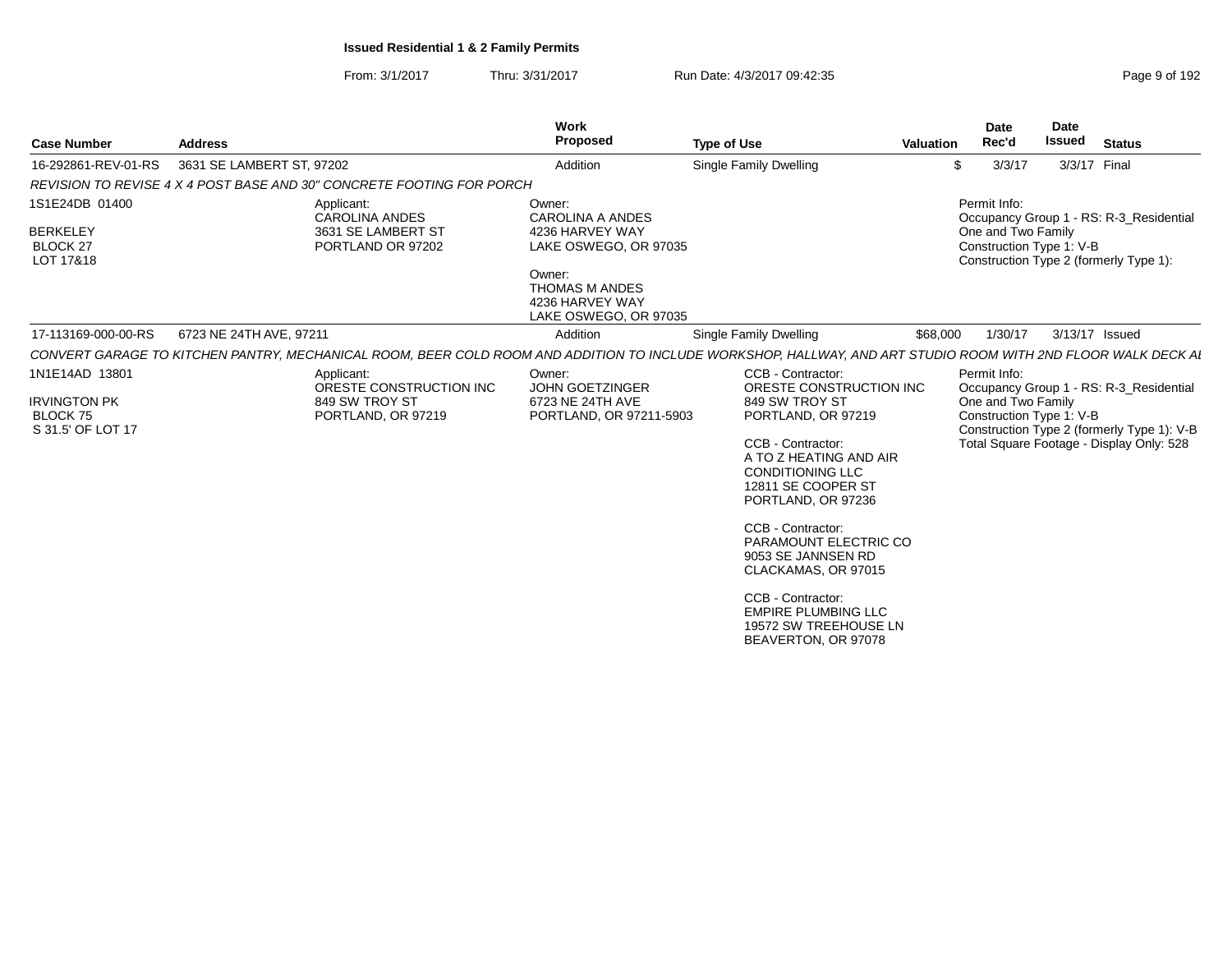## From: 3/1/2017Thru: 3/31/2017 **Run Date: 4/3/2017 09:42:35** Page 9 of 1921

| <b>Case Number</b>                                                            | <b>Address</b>                                                                                                                                               | Work<br>Proposed                                                                                                                                             | <b>Type of Use</b>                                                                                                                                                                                                                                                                                                                                                                                       | <b>Valuation</b> | <b>Date</b><br>Rec'd                                           | <b>Date</b><br><b>Issued</b> | <b>Status</b>                                                                                                                     |
|-------------------------------------------------------------------------------|--------------------------------------------------------------------------------------------------------------------------------------------------------------|--------------------------------------------------------------------------------------------------------------------------------------------------------------|----------------------------------------------------------------------------------------------------------------------------------------------------------------------------------------------------------------------------------------------------------------------------------------------------------------------------------------------------------------------------------------------------------|------------------|----------------------------------------------------------------|------------------------------|-----------------------------------------------------------------------------------------------------------------------------------|
| 16-292861-REV-01-RS                                                           | 3631 SE LAMBERT ST, 97202                                                                                                                                    | Addition                                                                                                                                                     | Single Family Dwelling                                                                                                                                                                                                                                                                                                                                                                                   | \$               | 3/3/17                                                         | 3/3/17 Final                 |                                                                                                                                   |
|                                                                               | REVISION TO REVISE 4 X 4 POST BASE AND 30" CONCRETE FOOTING FOR PORCH                                                                                        |                                                                                                                                                              |                                                                                                                                                                                                                                                                                                                                                                                                          |                  |                                                                |                              |                                                                                                                                   |
| 1S1E24DB 01400<br><b>BERKELEY</b><br>BLOCK <sub>27</sub><br>LOT 17&18         | Applicant:<br><b>CAROLINA ANDES</b><br>3631 SE LAMBERT ST<br>PORTLAND OR 97202                                                                               | Owner:<br><b>CAROLINA A ANDES</b><br>4236 HARVEY WAY<br>LAKE OSWEGO, OR 97035<br>Owner:<br><b>THOMAS M ANDES</b><br>4236 HARVEY WAY<br>LAKE OSWEGO, OR 97035 |                                                                                                                                                                                                                                                                                                                                                                                                          |                  | Permit Info:<br>One and Two Family<br>Construction Type 1: V-B |                              | Occupancy Group 1 - RS: R-3_Residential<br>Construction Type 2 (formerly Type 1):                                                 |
| 17-113169-000-00-RS                                                           | 6723 NE 24TH AVE, 97211                                                                                                                                      | Addition                                                                                                                                                     | <b>Single Family Dwelling</b>                                                                                                                                                                                                                                                                                                                                                                            | \$68,000         | 1/30/17                                                        |                              | 3/13/17 Issued                                                                                                                    |
|                                                                               | CONVERT GARAGE TO KITCHEN PANTRY, MECHANICAL ROOM, BEER COLD ROOM AND ADDITION TO INCLUDE WORKSHOP, HALLWAY, AND ART STUDIO ROOM WITH 2ND FLOOR WALK DECK AI |                                                                                                                                                              |                                                                                                                                                                                                                                                                                                                                                                                                          |                  |                                                                |                              |                                                                                                                                   |
| 1N1E14AD 13801<br><b>IRVINGTON PK</b><br><b>BLOCK 75</b><br>S 31.5' OF LOT 17 | Applicant:<br>ORESTE CONSTRUCTION INC<br>849 SW TROY ST<br>PORTLAND, OR 97219                                                                                | Owner:<br><b>JOHN GOETZINGER</b><br>6723 NE 24TH AVE<br>PORTLAND, OR 97211-5903                                                                              | CCB - Contractor:<br>ORESTE CONSTRUCTION INC<br>849 SW TROY ST<br>PORTLAND, OR 97219<br>CCB - Contractor:<br>A TO Z HEATING AND AIR<br><b>CONDITIONING LLC</b><br>12811 SE COOPER ST<br>PORTLAND, OR 97236<br>CCB - Contractor:<br>PARAMOUNT ELECTRIC CO<br>9053 SE JANNSEN RD<br>CLACKAMAS, OR 97015<br>CCB - Contractor:<br><b>EMPIRE PLUMBING LLC</b><br>19572 SW TREEHOUSE LN<br>BEAVERTON, OR 97078 |                  | Permit Info:<br>One and Two Family<br>Construction Type 1: V-B |                              | Occupancy Group 1 - RS: R-3_Residential<br>Construction Type 2 (formerly Type 1): V-B<br>Total Square Footage - Display Only: 528 |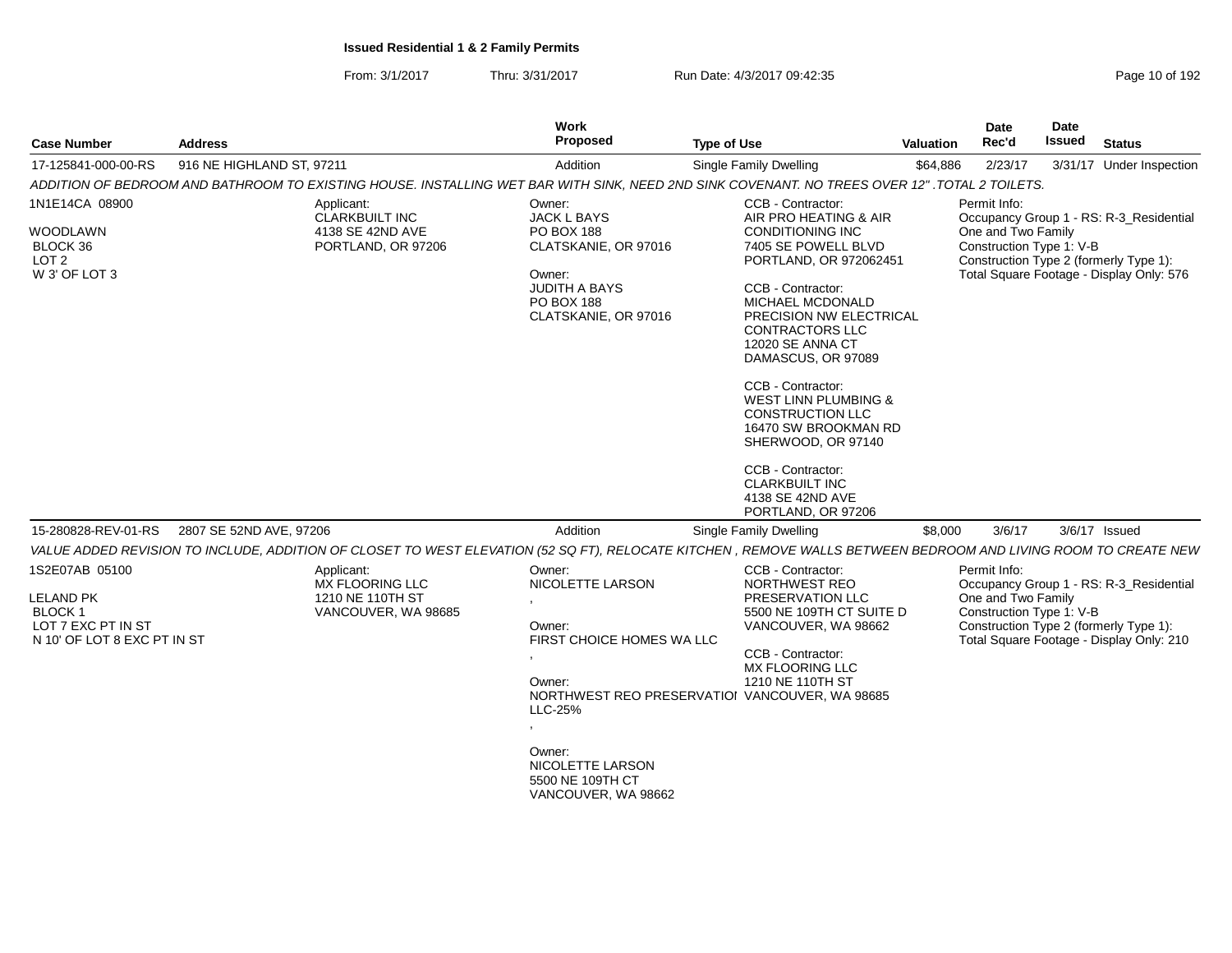| <b>Case Number</b>                                                                                 | <b>Address</b>            |                                                                               | <b>Work</b><br>Proposed                                                                                                                                                | <b>Type of Use</b>                                                                                                                                                                                                                                                                                                                                                                                                                                                        | <b>Valuation</b> | Date<br>Rec'd                                                  | Date<br>Issued | <b>Status</b>                                                                                                                 |
|----------------------------------------------------------------------------------------------------|---------------------------|-------------------------------------------------------------------------------|------------------------------------------------------------------------------------------------------------------------------------------------------------------------|---------------------------------------------------------------------------------------------------------------------------------------------------------------------------------------------------------------------------------------------------------------------------------------------------------------------------------------------------------------------------------------------------------------------------------------------------------------------------|------------------|----------------------------------------------------------------|----------------|-------------------------------------------------------------------------------------------------------------------------------|
| 17-125841-000-00-RS                                                                                | 916 NE HIGHLAND ST, 97211 |                                                                               | Addition                                                                                                                                                               | <b>Single Family Dwelling</b>                                                                                                                                                                                                                                                                                                                                                                                                                                             | \$64,886         | 2/23/17                                                        |                | 3/31/17 Under Inspection                                                                                                      |
|                                                                                                    |                           |                                                                               |                                                                                                                                                                        | ADDITION OF BEDROOM AND BATHROOM TO EXISTING HOUSE. INSTALLING WET BAR WITH SINK, NEED 2ND SINK COVENANT. NO TREES OVER 12" .TOTAL 2 TOILETS.                                                                                                                                                                                                                                                                                                                             |                  |                                                                |                |                                                                                                                               |
| 1N1E14CA 08900<br>WOODLAWN<br>BLOCK 36<br>LOT <sub>2</sub><br>W 3' OF LOT 3                        |                           | Applicant:<br><b>CLARKBUILT INC</b><br>4138 SE 42ND AVE<br>PORTLAND, OR 97206 | Owner:<br>JACK L BAYS<br>PO BOX 188<br>CLATSKANIE, OR 97016<br>Owner:<br>JUDITH A BAYS<br>PO BOX 188<br>CLATSKANIE, OR 97016                                           | CCB - Contractor:<br>AIR PRO HEATING & AIR<br><b>CONDITIONING INC</b><br>7405 SE POWELL BLVD<br>PORTLAND, OR 972062451<br>CCB - Contractor:<br>MICHAEL MCDONALD<br>PRECISION NW ELECTRICAL<br>CONTRACTORS LLC<br>12020 SE ANNA CT<br>DAMASCUS, OR 97089<br>CCB - Contractor:<br><b>WEST LINN PLUMBING &amp;</b><br>CONSTRUCTION LLC<br>16470 SW BROOKMAN RD<br>SHERWOOD, OR 97140<br>CCB - Contractor:<br><b>CLARKBUILT INC</b><br>4138 SE 42ND AVE<br>PORTLAND, OR 97206 |                  | Permit Info:<br>One and Two Family<br>Construction Type 1: V-B |                | Occupancy Group 1 - RS: R-3_Residential<br>Construction Type 2 (formerly Type 1):<br>Total Square Footage - Display Only: 576 |
| 15-280828-REV-01-RS                                                                                | 2807 SE 52ND AVE, 97206   |                                                                               | Addition                                                                                                                                                               | Single Family Dwelling                                                                                                                                                                                                                                                                                                                                                                                                                                                    | \$8,000          | 3/6/17                                                         |                | 3/6/17 Issued                                                                                                                 |
|                                                                                                    |                           |                                                                               |                                                                                                                                                                        | VALUE ADDED REVISION TO INCLUDE, ADDITION OF CLOSET TO WEST ELEVATION (52 SQ FT), RELOCATE KITCHEN, REMOVE WALLS BETWEEN BEDROOM AND LIVING ROOM TO CREATE NEW                                                                                                                                                                                                                                                                                                            |                  |                                                                |                |                                                                                                                               |
| 1S2E07AB 05100<br><b>LELAND PK</b><br>BLOCK 1<br>LOT 7 EXC PT IN ST<br>N 10' OF LOT 8 EXC PT IN ST |                           | Applicant:<br>MX FLOORING LLC<br>1210 NE 110TH ST<br>VANCOUVER, WA 98685      | Owner:<br>NICOLETTE LARSON<br>Owner:<br>FIRST CHOICE HOMES WA LLC<br>Owner:<br><b>LLC-25%</b><br>Owner:<br>NICOLETTE LARSON<br>5500 NE 109TH CT<br>VANCOUVER, WA 98662 | CCB - Contractor:<br>NORTHWEST REO<br>PRESERVATION LLC<br>5500 NE 109TH CT SUITE D<br>VANCOUVER, WA 98662<br>CCB - Contractor:<br>MX FLOORING LLC<br>1210 NE 110TH ST<br>NORTHWEST REO PRESERVATIOI VANCOUVER, WA 98685                                                                                                                                                                                                                                                   |                  | Permit Info:<br>One and Two Family<br>Construction Type 1: V-B |                | Occupancy Group 1 - RS: R-3_Residential<br>Construction Type 2 (formerly Type 1):<br>Total Square Footage - Display Only: 210 |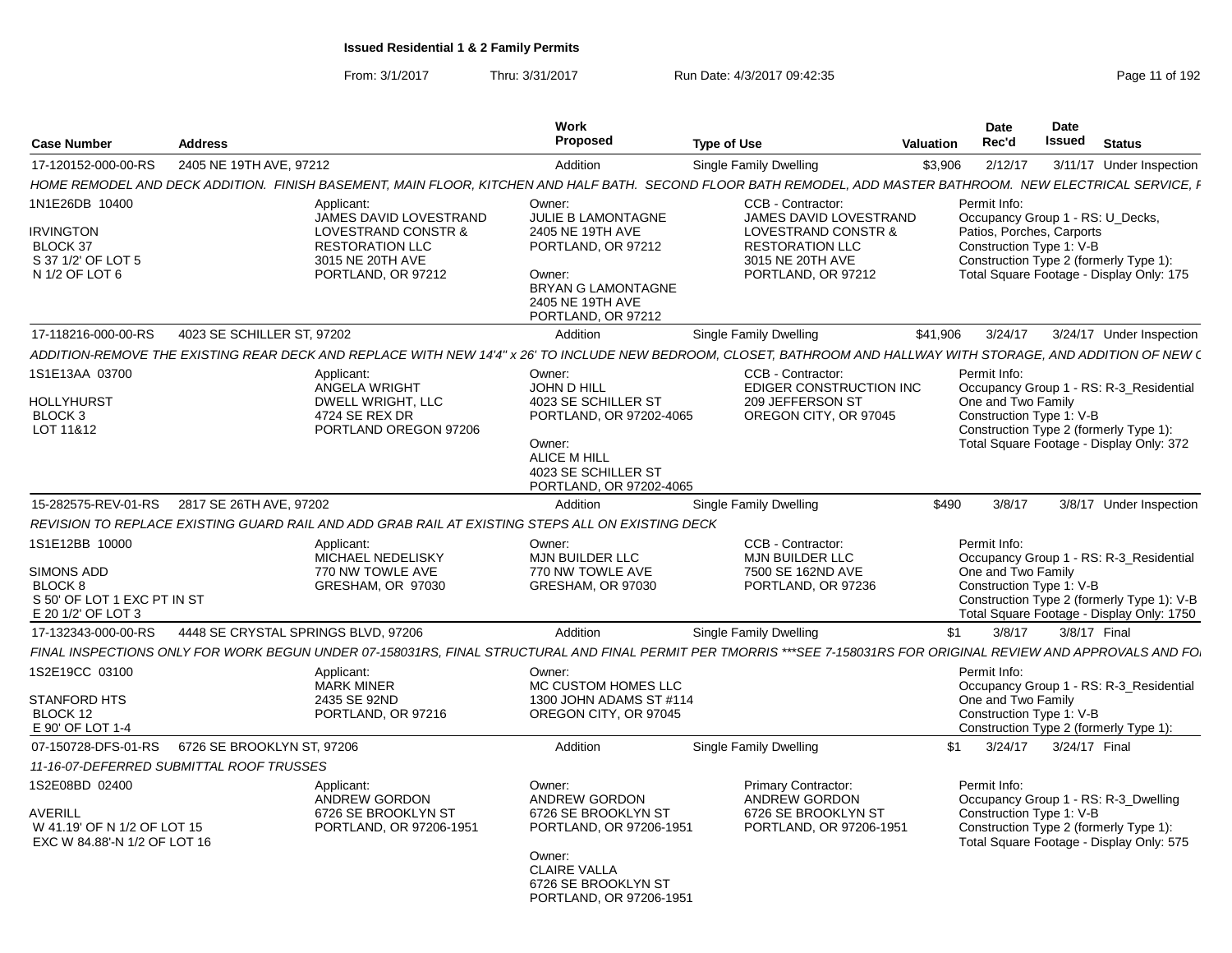From: 3/1/2017Thru: 3/31/2017 **Run Date: 4/3/2017 09:42:35** Page 11 of 192

|                                                                                                     |                                     |                                                                                                                                                                   | Work                                                                                                                                                                |                                                                                                                                        |                  | <b>Date</b>                                                           | <b>Date</b>   |                                                                                                                                    |
|-----------------------------------------------------------------------------------------------------|-------------------------------------|-------------------------------------------------------------------------------------------------------------------------------------------------------------------|---------------------------------------------------------------------------------------------------------------------------------------------------------------------|----------------------------------------------------------------------------------------------------------------------------------------|------------------|-----------------------------------------------------------------------|---------------|------------------------------------------------------------------------------------------------------------------------------------|
| <b>Case Number</b>                                                                                  | <b>Address</b>                      |                                                                                                                                                                   | <b>Proposed</b>                                                                                                                                                     | <b>Type of Use</b>                                                                                                                     | <b>Valuation</b> | Rec'd                                                                 | <b>Issued</b> | <b>Status</b>                                                                                                                      |
| 17-120152-000-00-RS                                                                                 | 2405 NE 19TH AVE, 97212             |                                                                                                                                                                   | Addition                                                                                                                                                            | Single Family Dwelling                                                                                                                 | \$3,906          | 2/12/17                                                               |               | 3/11/17 Under Inspection                                                                                                           |
|                                                                                                     |                                     | HOME REMODEL AND DECK ADDITION. FINISH BASEMENT, MAIN FLOOR, KITCHEN AND HALF BATH. SECOND FLOOR BATH REMODEL, ADD MASTER BATHROOM. NEW ELECTRICAL SERVICE, I     |                                                                                                                                                                     |                                                                                                                                        |                  |                                                                       |               |                                                                                                                                    |
| 1N1E26DB 10400<br><b>IRVINGTON</b><br><b>BLOCK 37</b><br>S 37 1/2' OF LOT 5<br>N 1/2 OF LOT 6       |                                     | Applicant:<br>JAMES DAVID LOVESTRAND<br>LOVESTRAND CONSTR &<br><b>RESTORATION LLC</b><br>3015 NE 20TH AVE<br>PORTLAND, OR 97212                                   | Owner:<br>JULIE B LAMONTAGNE<br>2405 NE 19TH AVE<br>PORTLAND, OR 97212<br>Owner:<br><b>BRYAN G LAMONTAGNE</b><br>2405 NE 19TH AVE<br>PORTLAND, OR 97212             | CCB - Contractor:<br>JAMES DAVID LOVESTRAND<br>LOVESTRAND CONSTR &<br><b>RESTORATION LLC</b><br>3015 NE 20TH AVE<br>PORTLAND, OR 97212 |                  | Permit Info:<br>Patios, Porches, Carports<br>Construction Type 1: V-B |               | Occupancy Group 1 - RS: U_Decks,<br>Construction Type 2 (formerly Type 1):<br>Total Square Footage - Display Only: 175             |
| 17-118216-000-00-RS                                                                                 | 4023 SE SCHILLER ST, 97202          |                                                                                                                                                                   | Addition                                                                                                                                                            | Single Family Dwelling                                                                                                                 | \$41,906         | 3/24/17                                                               |               | 3/24/17 Under Inspection                                                                                                           |
|                                                                                                     |                                     | ADDITION-REMOVE THE EXISTING REAR DECK AND REPLACE WITH NEW 14'4" x 26' TO INCLUDE NEW BEDROOM. CLOSET. BATHROOM AND HALLWAY WITH STORAGE. AND ADDITION OF NEW (  |                                                                                                                                                                     |                                                                                                                                        |                  |                                                                       |               |                                                                                                                                    |
| 1S1E13AA 03700<br>HOLLYHURST<br>BLOCK 3<br>LOT 11&12                                                |                                     | Applicant:<br>ANGELA WRIGHT<br>DWELL WRIGHT, LLC<br>4724 SE REX DR<br>PORTLAND OREGON 97206                                                                       | Owner:<br><b>JOHN D HILL</b><br>4023 SE SCHILLER ST<br>PORTLAND, OR 97202-4065<br>Owner:<br><b>ALICE M HILL</b><br>4023 SE SCHILLER ST<br>PORTLAND, OR 97202-4065   | CCB - Contractor:<br><b>EDIGER CONSTRUCTION INC</b><br>209 JEFFERSON ST<br>OREGON CITY, OR 97045                                       |                  | Permit Info:<br>One and Two Family<br>Construction Type 1: V-B        |               | Occupancy Group 1 - RS: R-3_Residential<br>Construction Type 2 (formerly Type 1):<br>Total Square Footage - Display Only: 372      |
| 15-282575-REV-01-RS                                                                                 | 2817 SE 26TH AVE, 97202             |                                                                                                                                                                   | Addition                                                                                                                                                            | Single Family Dwelling                                                                                                                 | \$490            | 3/8/17                                                                |               | 3/8/17 Under Inspection                                                                                                            |
|                                                                                                     |                                     | REVISION TO REPLACE EXISTING GUARD RAIL AND ADD GRAB RAIL AT EXISTING STEPS ALL ON EXISTING DECK                                                                  |                                                                                                                                                                     |                                                                                                                                        |                  |                                                                       |               |                                                                                                                                    |
| 1S1E12BB 10000<br><b>SIMONS ADD</b><br>BLOCK 8<br>S 50' OF LOT 1 EXC PT IN ST<br>E 20 1/2' OF LOT 3 |                                     | Applicant:<br>MICHAEL NEDELISKY<br>770 NW TOWLE AVE<br>GRESHAM, OR 97030                                                                                          | Owner:<br><b>MJN BUILDER LLC</b><br>770 NW TOWLE AVE<br>GRESHAM, OR 97030                                                                                           | CCB - Contractor:<br><b>MJN BUILDER LLC</b><br>7500 SE 162ND AVE<br>PORTLAND, OR 97236                                                 |                  | Permit Info:<br>One and Two Family<br>Construction Type 1: V-B        |               | Occupancy Group 1 - RS: R-3 Residential<br>Construction Type 2 (formerly Type 1): V-B<br>Total Square Footage - Display Only: 1750 |
| 17-132343-000-00-RS                                                                                 | 4448 SE CRYSTAL SPRINGS BLVD, 97206 |                                                                                                                                                                   | Addition                                                                                                                                                            | Single Family Dwelling                                                                                                                 | \$1              | 3/8/17                                                                |               | 3/8/17 Final                                                                                                                       |
|                                                                                                     |                                     | FINAL INSPECTIONS ONLY FOR WORK BEGUN UNDER 07-158031RS. FINAL STRUCTURAL AND FINAL PERMIT PER TMORRIS ***SEE 7-158031RS FOR ORIGINAL REVIEW AND APPROVALS AND FO |                                                                                                                                                                     |                                                                                                                                        |                  |                                                                       |               |                                                                                                                                    |
| 1S2E19CC 03100<br><b>STANFORD HTS</b><br><b>BLOCK 12</b><br>E 90' OF LOT 1-4                        |                                     | Applicant:<br><b>MARK MINER</b><br>2435 SE 92ND<br>PORTLAND, OR 97216                                                                                             | Owner:<br>MC CUSTOM HOMES LLC<br>1300 JOHN ADAMS ST #114<br>OREGON CITY, OR 97045                                                                                   |                                                                                                                                        |                  | Permit Info:<br>One and Two Family<br>Construction Type 1: V-B        |               | Occupancy Group 1 - RS: R-3_Residential<br>Construction Type 2 (formerly Type 1):                                                  |
| 07-150728-DFS-01-RS                                                                                 | 6726 SE BROOKLYN ST, 97206          |                                                                                                                                                                   | Addition                                                                                                                                                            | Single Family Dwelling                                                                                                                 | \$1              | 3/24/17                                                               | 3/24/17 Final |                                                                                                                                    |
| 11-16-07-DEFERRED SUBMITTAL ROOF TRUSSES                                                            |                                     |                                                                                                                                                                   |                                                                                                                                                                     |                                                                                                                                        |                  |                                                                       |               |                                                                                                                                    |
| 1S2E08BD 02400<br>AVERILL<br>W 41.19' OF N 1/2 OF LOT 15<br>EXC W 84.88'-N 1/2 OF LOT 16            |                                     | Applicant:<br><b>ANDREW GORDON</b><br>6726 SE BROOKLYN ST<br>PORTLAND, OR 97206-1951                                                                              | Owner:<br><b>ANDREW GORDON</b><br>6726 SE BROOKLYN ST<br>PORTLAND, OR 97206-1951<br>Owner:<br><b>CLAIRE VALLA</b><br>6726 SE BROOKLYN ST<br>PORTLAND, OR 97206-1951 | <b>Primary Contractor:</b><br><b>ANDREW GORDON</b><br>6726 SE BROOKLYN ST<br>PORTLAND, OR 97206-1951                                   |                  | Permit Info:<br>Construction Type 1: V-B                              |               | Occupancy Group 1 - RS: R-3 Dwelling<br>Construction Type 2 (formerly Type 1):<br>Total Square Footage - Display Only: 575         |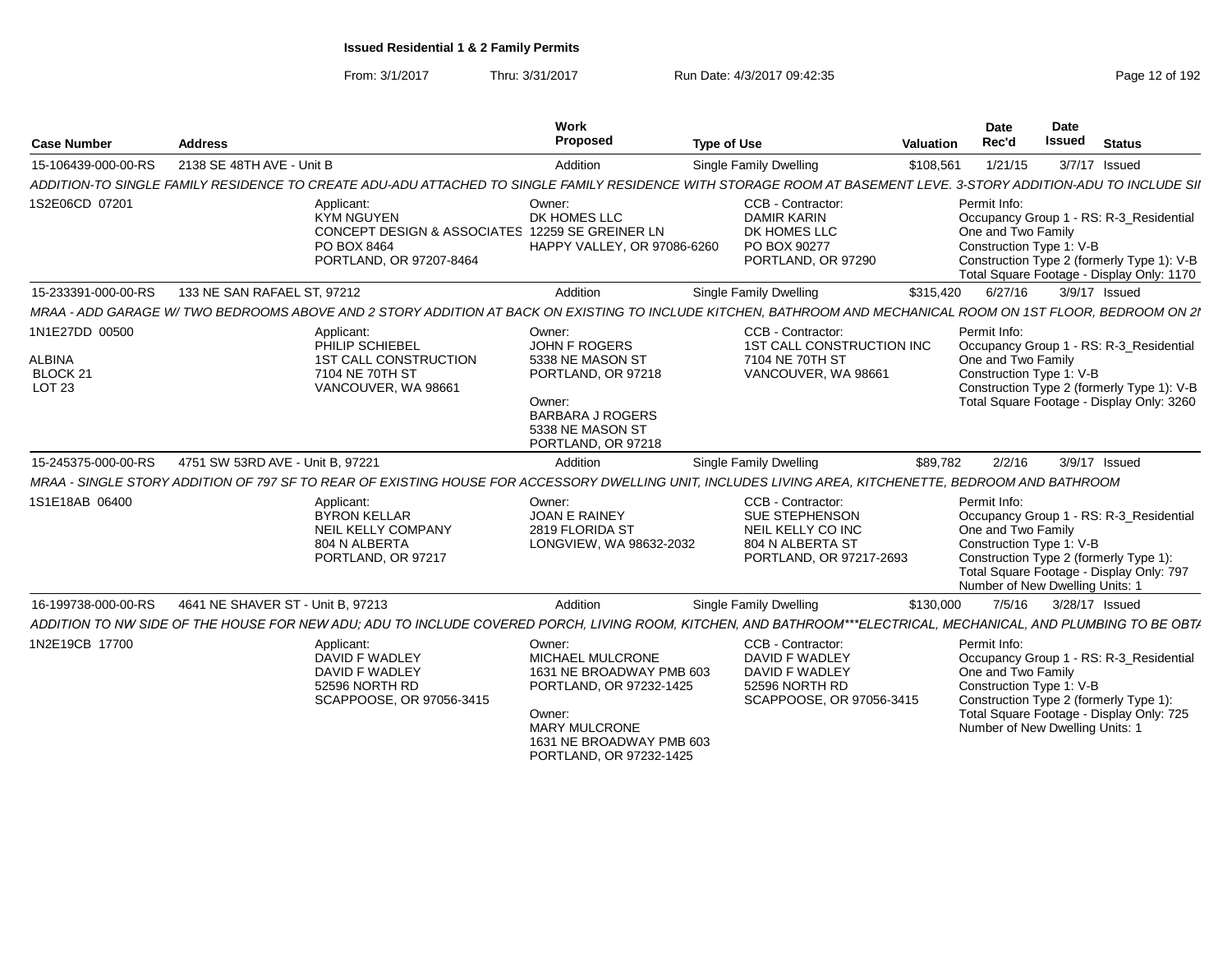From: 3/1/2017Thru: 3/31/2017 Run Date: 4/3/2017 09:42:35 Page 12 of 192

| <b>Case Number</b>                                    | <b>Address</b>                                                                                                                                                    | Work<br>Proposed                                                                                                                                                                  | <b>Type of Use</b>                                                                                             | <b>Valuation</b> | Date<br>Rec'd                                                                                     | <b>Date</b><br><b>Issued</b> | <b>Status</b>                                                                                                                      |
|-------------------------------------------------------|-------------------------------------------------------------------------------------------------------------------------------------------------------------------|-----------------------------------------------------------------------------------------------------------------------------------------------------------------------------------|----------------------------------------------------------------------------------------------------------------|------------------|---------------------------------------------------------------------------------------------------|------------------------------|------------------------------------------------------------------------------------------------------------------------------------|
| 15-106439-000-00-RS                                   | 2138 SE 48TH AVE - Unit B                                                                                                                                         | Addition                                                                                                                                                                          | Single Family Dwelling                                                                                         | \$108,561        | 1/21/15                                                                                           |                              | 3/7/17 Issued                                                                                                                      |
|                                                       | ADDITION-TO SINGLE FAMILY RESIDENCE TO CREATE ADU-ADU ATTACHED TO SINGLE FAMILY RESIDENCE WITH STORAGE ROOM AT BASEMENT LEVE. 3-STORY ADDITION-ADU TO INCLUDE SII |                                                                                                                                                                                   |                                                                                                                |                  |                                                                                                   |                              |                                                                                                                                    |
| 1S2E06CD 07201                                        | Applicant:<br><b>KYM NGUYEN</b><br>CONCEPT DESIGN & ASSOCIATES 12259 SE GREINER LN<br>PO BOX 8464<br>PORTLAND, OR 97207-8464                                      | Owner:<br>DK HOMES LLC<br>HAPPY VALLEY, OR 97086-6260                                                                                                                             | CCB - Contractor:<br><b>DAMIR KARIN</b><br>DK HOMES LLC<br>PO BOX 90277<br>PORTLAND, OR 97290                  |                  | Permit Info:<br>One and Two Family<br>Construction Type 1: V-B                                    |                              | Occupancy Group 1 - RS: R-3 Residential<br>Construction Type 2 (formerly Type 1): V-B<br>Total Square Footage - Display Only: 1170 |
| 15-233391-000-00-RS                                   | 133 NE SAN RAFAEL ST. 97212                                                                                                                                       | Addition                                                                                                                                                                          | Single Family Dwelling                                                                                         | \$315,420        | 6/27/16                                                                                           |                              | 3/9/17 Issued                                                                                                                      |
|                                                       | MRAA - ADD GARAGE W/TWO BEDROOMS ABOVE AND 2 STORY ADDITION AT BACK ON EXISTING TO INCLUDE KITCHEN, BATHROOM AND MECHANICAL ROOM ON 1ST FLOOR, BEDROOM ON 21      |                                                                                                                                                                                   |                                                                                                                |                  |                                                                                                   |                              |                                                                                                                                    |
| 1N1E27DD 00500<br><b>ALBINA</b><br>BLOCK 21<br>LOT 23 | Applicant:<br>PHILIP SCHIEBEL<br><b>1ST CALL CONSTRUCTION</b><br>7104 NE 70TH ST<br>VANCOUVER, WA 98661                                                           | Owner:<br><b>JOHN F ROGERS</b><br>5338 NE MASON ST<br>PORTLAND, OR 97218<br>Owner:<br><b>BARBARA J ROGERS</b><br>5338 NE MASON ST<br>PORTLAND, OR 97218                           | CCB - Contractor:<br>1ST CALL CONSTRUCTION INC<br>7104 NE 70TH ST<br>VANCOUVER, WA 98661                       |                  | Permit Info:<br>One and Two Family<br>Construction Type 1: V-B                                    |                              | Occupancy Group 1 - RS: R-3 Residential<br>Construction Type 2 (formerly Type 1): V-B<br>Total Square Footage - Display Only: 3260 |
| 15-245375-000-00-RS                                   | 4751 SW 53RD AVE - Unit B, 97221                                                                                                                                  | Addition                                                                                                                                                                          | <b>Single Family Dwelling</b>                                                                                  | \$89,782         | 2/2/16                                                                                            |                              | 3/9/17 Issued                                                                                                                      |
|                                                       | MRAA - SINGLE STORY ADDITION OF 797 SF TO REAR OF EXISTING HOUSE FOR ACCESSORY DWELLING UNIT, INCLUDES LIVING AREA, KITCHENETTE, BEDROOM AND BATHROOM             |                                                                                                                                                                                   |                                                                                                                |                  |                                                                                                   |                              |                                                                                                                                    |
| 1S1E18AB 06400                                        | Applicant:<br>BYRON KELLAR<br><b>NEIL KELLY COMPANY</b><br>804 N ALBERTA<br>PORTLAND, OR 97217                                                                    | Owner:<br><b>JOAN E RAINEY</b><br>2819 FLORIDA ST<br>LONGVIEW, WA 98632-2032                                                                                                      | CCB - Contractor:<br><b>SUE STEPHENSON</b><br>NEIL KELLY CO INC<br>804 N ALBERTA ST<br>PORTLAND, OR 97217-2693 |                  | Permit Info:<br>One and Two Family<br>Construction Type 1: V-B<br>Number of New Dwelling Units: 1 |                              | Occupancy Group 1 - RS: R-3_Residential<br>Construction Type 2 (formerly Type 1):<br>Total Square Footage - Display Only: 797      |
| 16-199738-000-00-RS                                   | 4641 NE SHAVER ST - Unit B, 97213                                                                                                                                 | Addition                                                                                                                                                                          | Single Family Dwelling                                                                                         | \$130,000        | 7/5/16                                                                                            |                              | 3/28/17 Issued                                                                                                                     |
|                                                       | ADDITION TO NW SIDE OF THE HOUSE FOR NEW ADU: ADU TO INCLUDE COVERED PORCH. LIVING ROOM. KITCHEN. AND BATHROOM***ELECTRICAL. MECHANICAL. AND PLUMBING TO BE OBT/  |                                                                                                                                                                                   |                                                                                                                |                  |                                                                                                   |                              |                                                                                                                                    |
| 1N2E19CB 17700                                        | Applicant:<br>DAVID F WADLEY<br>DAVID F WADLEY<br>52596 NORTH RD<br>SCAPPOOSE, OR 97056-3415                                                                      | Owner:<br><b>MICHAEL MULCRONE</b><br>1631 NE BROADWAY PMB 603<br>PORTLAND, OR 97232-1425<br>Owner:<br><b>MARY MULCRONE</b><br>1631 NE BROADWAY PMB 603<br>PORTLAND, OR 97232-1425 | CCB - Contractor:<br>DAVID F WADLEY<br>DAVID F WADLEY<br>52596 NORTH RD<br>SCAPPOOSE, OR 97056-3415            |                  | Permit Info:<br>One and Two Family<br>Construction Type 1: V-B<br>Number of New Dwelling Units: 1 |                              | Occupancy Group 1 - RS: R-3_Residential<br>Construction Type 2 (formerly Type 1):<br>Total Square Footage - Display Only: 725      |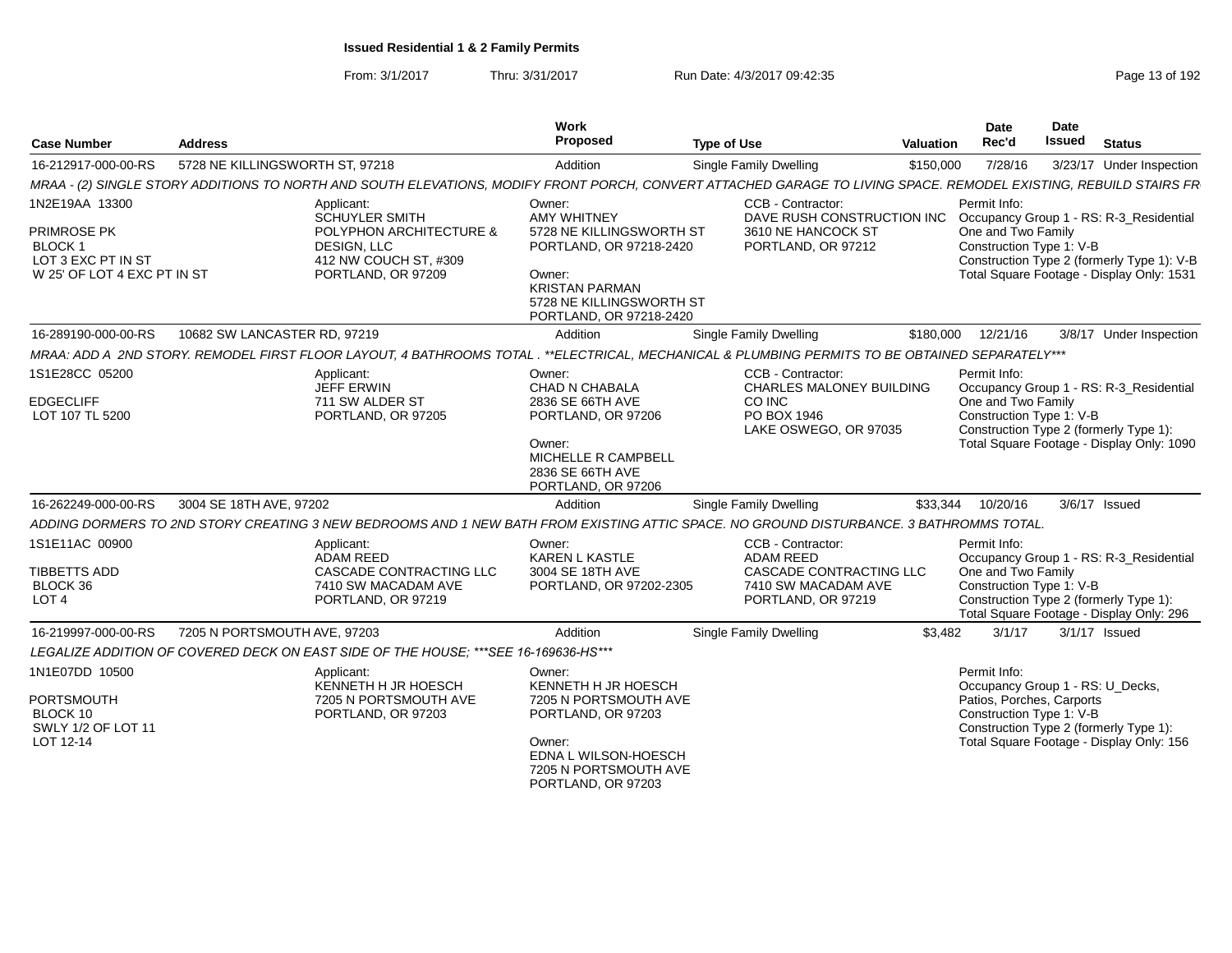| <b>Case Number</b>                                                                            | <b>Address</b>                                                       | Work<br>Proposed                                                                                                                                                  |                                                                                                                                           | <b>Type of Use</b>                                                                                            | Valuation | <b>Date</b><br>Rec'd                                                                                      | Date<br><b>Issued</b> | <b>Status</b>                                                                                                                      |
|-----------------------------------------------------------------------------------------------|----------------------------------------------------------------------|-------------------------------------------------------------------------------------------------------------------------------------------------------------------|-------------------------------------------------------------------------------------------------------------------------------------------|---------------------------------------------------------------------------------------------------------------|-----------|-----------------------------------------------------------------------------------------------------------|-----------------------|------------------------------------------------------------------------------------------------------------------------------------|
| 16-212917-000-00-RS                                                                           | 5728 NE KILLINGSWORTH ST. 97218                                      | Addition                                                                                                                                                          |                                                                                                                                           | Single Family Dwelling                                                                                        | \$150,000 | 7/28/16                                                                                                   |                       | 3/23/17 Under Inspection                                                                                                           |
|                                                                                               |                                                                      | MRAA - (2) SINGLE STORY ADDITIONS TO NORTH AND SOUTH ELEVATIONS, MODIFY FRONT PORCH, CONVERT ATTACHED GARAGE TO LIVING SPACE. REMODEL EXISTING, REBUILD STAIRS FR |                                                                                                                                           |                                                                                                               |           |                                                                                                           |                       |                                                                                                                                    |
| 1N2E19AA 13300<br>PRIMROSE PK<br>BLOCK 1<br>LOT 3 EXC PT IN ST<br>W 25' OF LOT 4 EXC PT IN ST | Applicant:<br><b>SCHUYLER SMITH</b><br>DESIGN, LLC                   | Owner:<br><b>AMY WHITNEY</b><br>POLYPHON ARCHITECTURE &<br>412 NW COUCH ST, #309<br>PORTLAND, OR 97209<br>Owner:<br><b>KRISTAN PARMAN</b>                         | 5728 NE KILLINGSWORTH ST<br>PORTLAND, OR 97218-2420<br>5728 NE KILLINGSWORTH ST<br>PORTLAND, OR 97218-2420                                | CCB - Contractor:<br>DAVE RUSH CONSTRUCTION INC<br>3610 NE HANCOCK ST<br>PORTLAND, OR 97212                   |           | Permit Info:<br>One and Two Family<br>Construction Type 1: V-B                                            |                       | Occupancy Group 1 - RS: R-3 Residential<br>Construction Type 2 (formerly Type 1): V-B<br>Total Square Footage - Display Only: 1531 |
| 16-289190-000-00-RS                                                                           | 10682 SW LANCASTER RD, 97219                                         | Addition                                                                                                                                                          |                                                                                                                                           | Single Family Dwelling                                                                                        | \$180,000 | 12/21/16                                                                                                  |                       | 3/8/17 Under Inspection                                                                                                            |
|                                                                                               | MRAA: ADD A 2ND STORY. REMODEL FIRST FLOOR LAYOUT, 4 BATHROOMS TOTAL |                                                                                                                                                                   |                                                                                                                                           | **ELECTRICAL. MECHANICAL & PLUMBING PERMITS TO BE OBTAINED SEPARATELY***                                      |           |                                                                                                           |                       |                                                                                                                                    |
| 1S1E28CC 05200<br><b>EDGECLIFF</b><br>LOT 107 TL 5200                                         | Applicant:<br>JEFF ERWIN<br>711 SW ALDER ST                          | Owner:<br>CHAD N CHABALA<br>2836 SE 66TH AVE<br>PORTLAND, OR 97205<br>Owner:<br>2836 SE 66TH AVE                                                                  | PORTLAND, OR 97206<br>MICHELLE R CAMPBELL<br>PORTLAND, OR 97206                                                                           | CCB - Contractor:<br><b>CHARLES MALONEY BUILDING</b><br>CO INC<br>PO BOX 1946<br>LAKE OSWEGO, OR 97035        |           | Permit Info:<br>One and Two Family<br>Construction Type 1: V-B                                            |                       | Occupancy Group 1 - RS: R-3 Residential<br>Construction Type 2 (formerly Type 1):<br>Total Square Footage - Display Only: 1090     |
| 16-262249-000-00-RS                                                                           | 3004 SE 18TH AVE, 97202                                              | Addition                                                                                                                                                          |                                                                                                                                           | Single Family Dwelling                                                                                        | \$33,344  | 10/20/16                                                                                                  |                       | 3/6/17 Issued                                                                                                                      |
|                                                                                               |                                                                      | ADDING DORMERS TO 2ND STORY CREATING 3 NEW BEDROOMS AND 1 NEW BATH FROM EXISTING ATTIC SPACE. NO GROUND DISTURBANCE, 3 BATHROMMS TOTAL                            |                                                                                                                                           |                                                                                                               |           |                                                                                                           |                       |                                                                                                                                    |
| 1S1E11AC 00900<br>TIBBETTS ADD<br>BLOCK 36<br>LOT <sub>4</sub>                                | Applicant:<br>ADAM REED                                              | Owner:<br><b>KAREN L KASTLE</b><br>CASCADE CONTRACTING LLC<br>3004 SE 18TH AVE<br>7410 SW MACADAM AVE<br>PORTLAND, OR 97219                                       | PORTLAND, OR 97202-2305                                                                                                                   | CCB - Contractor:<br><b>ADAM REED</b><br>CASCADE CONTRACTING LLC<br>7410 SW MACADAM AVE<br>PORTLAND, OR 97219 |           | Permit Info:<br>One and Two Family<br>Construction Type 1: V-B                                            |                       | Occupancy Group 1 - RS: R-3_Residential<br>Construction Type 2 (formerly Type 1):<br>Total Square Footage - Display Only: 296      |
| 16-219997-000-00-RS                                                                           | 7205 N PORTSMOUTH AVE, 97203                                         | Addition                                                                                                                                                          |                                                                                                                                           | Single Family Dwelling                                                                                        | \$3.482   | 3/1/17                                                                                                    |                       | $3/1/17$ Issued                                                                                                                    |
|                                                                                               |                                                                      | LEGALIZE ADDITION OF COVERED DECK ON EAST SIDE OF THE HOUSE; *** SEE 16-169636-HS***                                                                              |                                                                                                                                           |                                                                                                               |           |                                                                                                           |                       |                                                                                                                                    |
| 1N1E07DD 10500<br><b>PORTSMOUTH</b><br>BLOCK 10<br>SWLY 1/2 OF LOT 11<br>LOT 12-14            | Applicant:                                                           | Owner:<br>KENNETH H JR HOESCH<br>7205 N PORTSMOUTH AVE<br>PORTLAND, OR 97203<br>Owner:                                                                            | KENNETH H JR HOESCH<br>7205 N PORTSMOUTH AVE<br>PORTLAND, OR 97203<br>EDNA L WILSON-HOESCH<br>7205 N PORTSMOUTH AVE<br>PORTLAND, OR 97203 |                                                                                                               |           | Permit Info:<br>Occupancy Group 1 - RS: U_Decks,<br>Patios, Porches, Carports<br>Construction Type 1: V-B |                       | Construction Type 2 (formerly Type 1):<br>Total Square Footage - Display Only: 156                                                 |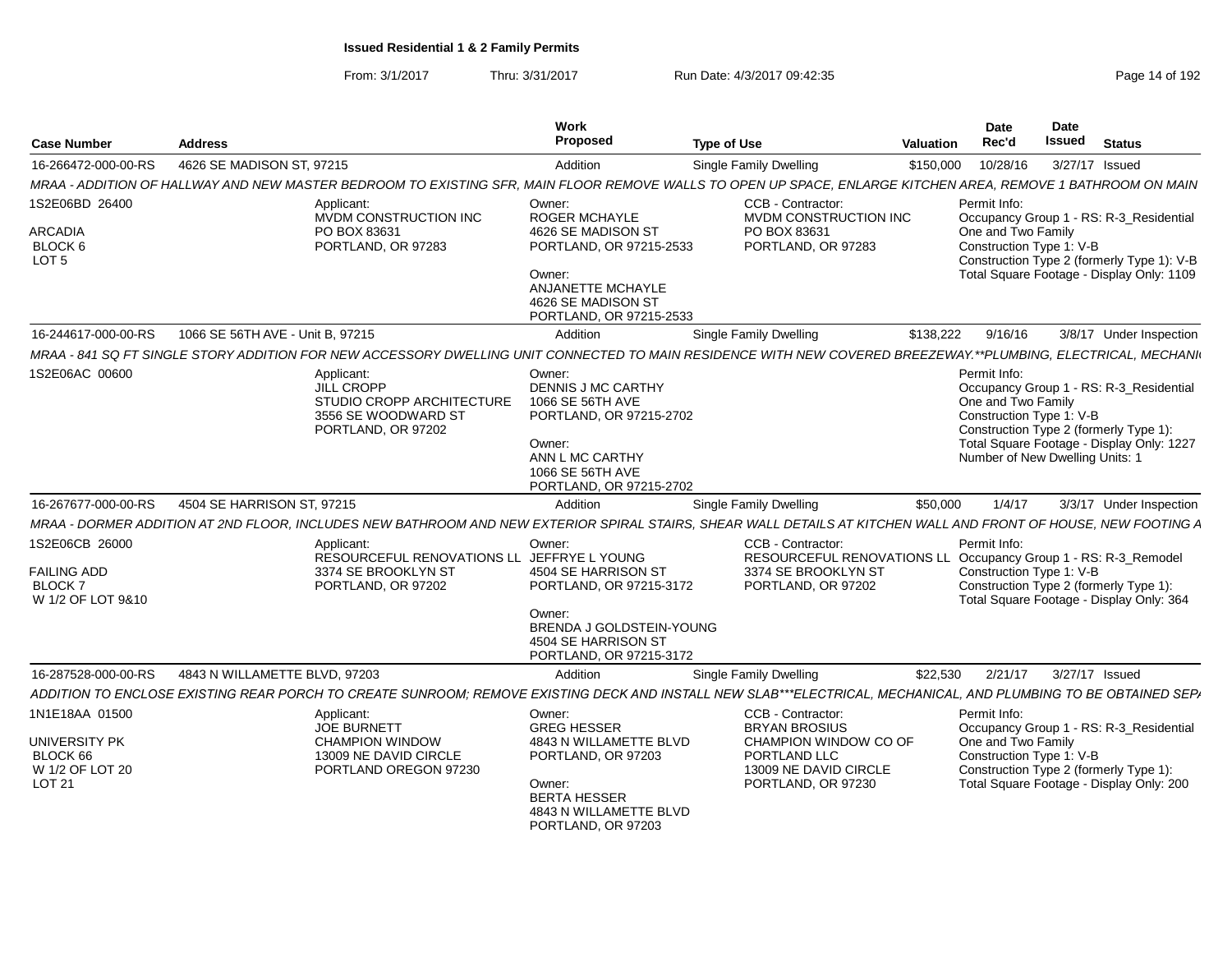| <b>Case Number</b>                                | <b>Address</b>                   |                                                                                                                                                                 | Work<br>Proposed                                                                                                                                               | <b>Type of Use</b>                                                                  | Valuation | <b>Date</b><br>Rec'd                                                                              | Date<br>Issued | <b>Status</b>                                                                                                                  |
|---------------------------------------------------|----------------------------------|-----------------------------------------------------------------------------------------------------------------------------------------------------------------|----------------------------------------------------------------------------------------------------------------------------------------------------------------|-------------------------------------------------------------------------------------|-----------|---------------------------------------------------------------------------------------------------|----------------|--------------------------------------------------------------------------------------------------------------------------------|
| 16-266472-000-00-RS                               | 4626 SE MADISON ST, 97215        |                                                                                                                                                                 | Addition                                                                                                                                                       | <b>Single Family Dwelling</b>                                                       | \$150,000 | 10/28/16                                                                                          | 3/27/17 Issued |                                                                                                                                |
|                                                   |                                  | MRAA - ADDITION OF HALLWAY AND NEW MASTER BEDROOM TO EXISTING SFR. MAIN FLOOR REMOVE WALLS TO OPEN UP SPACE. ENLARGE KITCHEN AREA. REMOVE 1 BATHROOM ON MAIN    |                                                                                                                                                                |                                                                                     |           |                                                                                                   |                |                                                                                                                                |
| 1S2E06BD 26400                                    |                                  | Applicant<br>MVDM CONSTRUCTION INC                                                                                                                              | Owner:<br><b>ROGER MCHAYLE</b>                                                                                                                                 | CCB - Contractor:<br>MVDM CONSTRUCTION INC                                          |           | Permit Info:                                                                                      |                | Occupancy Group 1 - RS: R-3_Residential                                                                                        |
| <b>ARCADIA</b><br>BLOCK 6<br>LOT <sub>5</sub>     |                                  | PO BOX 83631<br>PORTLAND, OR 97283                                                                                                                              | 4626 SE MADISON ST<br>PORTLAND, OR 97215-2533                                                                                                                  | PO BOX 83631<br>PORTLAND, OR 97283                                                  |           | One and Two Family<br>Construction Type 1: V-B                                                    |                | Construction Type 2 (formerly Type 1): V-B                                                                                     |
|                                                   |                                  |                                                                                                                                                                 | Owner:<br><b>ANJANETTE MCHAYLE</b><br>4626 SE MADISON ST<br>PORTLAND, OR 97215-2533                                                                            |                                                                                     |           |                                                                                                   |                | Total Square Footage - Display Only: 1109                                                                                      |
| 16-244617-000-00-RS                               | 1066 SE 56TH AVE - Unit B. 97215 |                                                                                                                                                                 | Addition                                                                                                                                                       | Single Family Dwelling                                                              | \$138,222 | 9/16/16                                                                                           |                | 3/8/17 Under Inspection                                                                                                        |
|                                                   |                                  | MRAA - 841 SQ FT SINGLE STORY ADDITION FOR NEW ACCESSORY DWELLING UNIT CONNECTED TO MAIN RESIDENCE WITH NEW COVERED BREEZEWAY.**PLUMBING. ELECTRICAL. MECHANI   |                                                                                                                                                                |                                                                                     |           |                                                                                                   |                |                                                                                                                                |
| 1S2E06AC 00600                                    |                                  | Applicant:<br>JILL CROPP<br>STUDIO CROPP ARCHITECTURE<br>3556 SE WOODWARD ST<br>PORTLAND, OR 97202                                                              | Owner:<br><b>DENNIS J MC CARTHY</b><br>1066 SE 56TH AVE<br>PORTLAND, OR 97215-2702<br>Owner:<br>ANN L MC CARTHY<br>1066 SE 56TH AVE<br>PORTLAND, OR 97215-2702 |                                                                                     |           | Permit Info:<br>One and Two Family<br>Construction Type 1: V-B<br>Number of New Dwelling Units: 1 |                | Occupancy Group 1 - RS: R-3_Residential<br>Construction Type 2 (formerly Type 1):<br>Total Square Footage - Display Only: 1227 |
| 16-267677-000-00-RS                               | 4504 SE HARRISON ST. 97215       |                                                                                                                                                                 | Addition                                                                                                                                                       | Single Family Dwelling                                                              | \$50,000  | 1/4/17                                                                                            |                | 3/3/17 Under Inspection                                                                                                        |
|                                                   |                                  | MRAA - DORMER ADDITION AT 2ND FLOOR. INCLUDES NEW BATHROOM AND NEW EXTERIOR SPIRAL STAIRS. SHEAR WALL DETAILS AT KITCHEN WALL AND FRONT OF HOUSE. NEW FOOTING A |                                                                                                                                                                |                                                                                     |           |                                                                                                   |                |                                                                                                                                |
| 1S2E06CB 26000                                    |                                  | Applicant:<br>RESOURCEFUL RENOVATIONS LL JEFFRYE L YOUNG                                                                                                        | Owner:                                                                                                                                                         | CCB - Contractor:<br>RESOURCEFUL RENOVATIONS LL Occupancy Group 1 - RS: R-3_Remodel |           | Permit Info:                                                                                      |                |                                                                                                                                |
| FAILING ADD<br><b>BLOCK7</b><br>W 1/2 OF LOT 9&10 |                                  | 3374 SE BROOKLYN ST<br>PORTLAND, OR 97202                                                                                                                       | 4504 SE HARRISON ST<br>PORTLAND, OR 97215-3172                                                                                                                 | 3374 SE BROOKLYN ST<br>PORTLAND, OR 97202                                           |           | Construction Type 1: V-B                                                                          |                | Construction Type 2 (formerly Type 1):<br>Total Square Footage - Display Only: 364                                             |
|                                                   |                                  |                                                                                                                                                                 | Owner:<br>BRENDA J GOLDSTEIN-YOUNG<br>4504 SE HARRISON ST<br>PORTLAND, OR 97215-3172                                                                           |                                                                                     |           |                                                                                                   |                |                                                                                                                                |
| 16-287528-000-00-RS                               | 4843 N WILLAMETTE BLVD, 97203    |                                                                                                                                                                 | Addition                                                                                                                                                       | Single Family Dwelling                                                              | \$22,530  | 2/21/17                                                                                           | 3/27/17 Issued |                                                                                                                                |
|                                                   |                                  | ADDITION TO ENCLOSE EXISTING REAR PORCH TO CREATE SUNROOM: REMOVE EXISTING DECK AND INSTALL NEW SLAB***ELECTRICAL. MECHANICAL. AND PLUMBING TO BE OBTAINED SEP/ |                                                                                                                                                                |                                                                                     |           |                                                                                                   |                |                                                                                                                                |
| 1N1E18AA 01500                                    |                                  | Applicant:<br><b>JOE BURNETT</b>                                                                                                                                | Owner:<br><b>GREG HESSER</b>                                                                                                                                   | CCB - Contractor:<br><b>BRYAN BROSIUS</b>                                           |           | Permit Info:                                                                                      |                | Occupancy Group 1 - RS: R-3_Residential                                                                                        |
| UNIVERSITY PK<br>BLOCK 66<br>W 1/2 OF LOT 20      |                                  | <b>CHAMPION WINDOW</b><br>13009 NE DAVID CIRCLE<br>PORTLAND OREGON 97230                                                                                        | 4843 N WILLAMETTE BLVD<br>PORTLAND, OR 97203                                                                                                                   | CHAMPION WINDOW CO OF<br>PORTLAND LLC<br>13009 NE DAVID CIRCLE                      |           | One and Two Family<br>Construction Type 1: V-B                                                    |                | Construction Type 2 (formerly Type 1):                                                                                         |
| <b>LOT 21</b>                                     |                                  |                                                                                                                                                                 | Owner:<br><b>BERTA HESSER</b><br>4843 N WILLAMETTE BLVD<br>PORTLAND, OR 97203                                                                                  | PORTLAND, OR 97230                                                                  |           |                                                                                                   |                | Total Square Footage - Display Only: 200                                                                                       |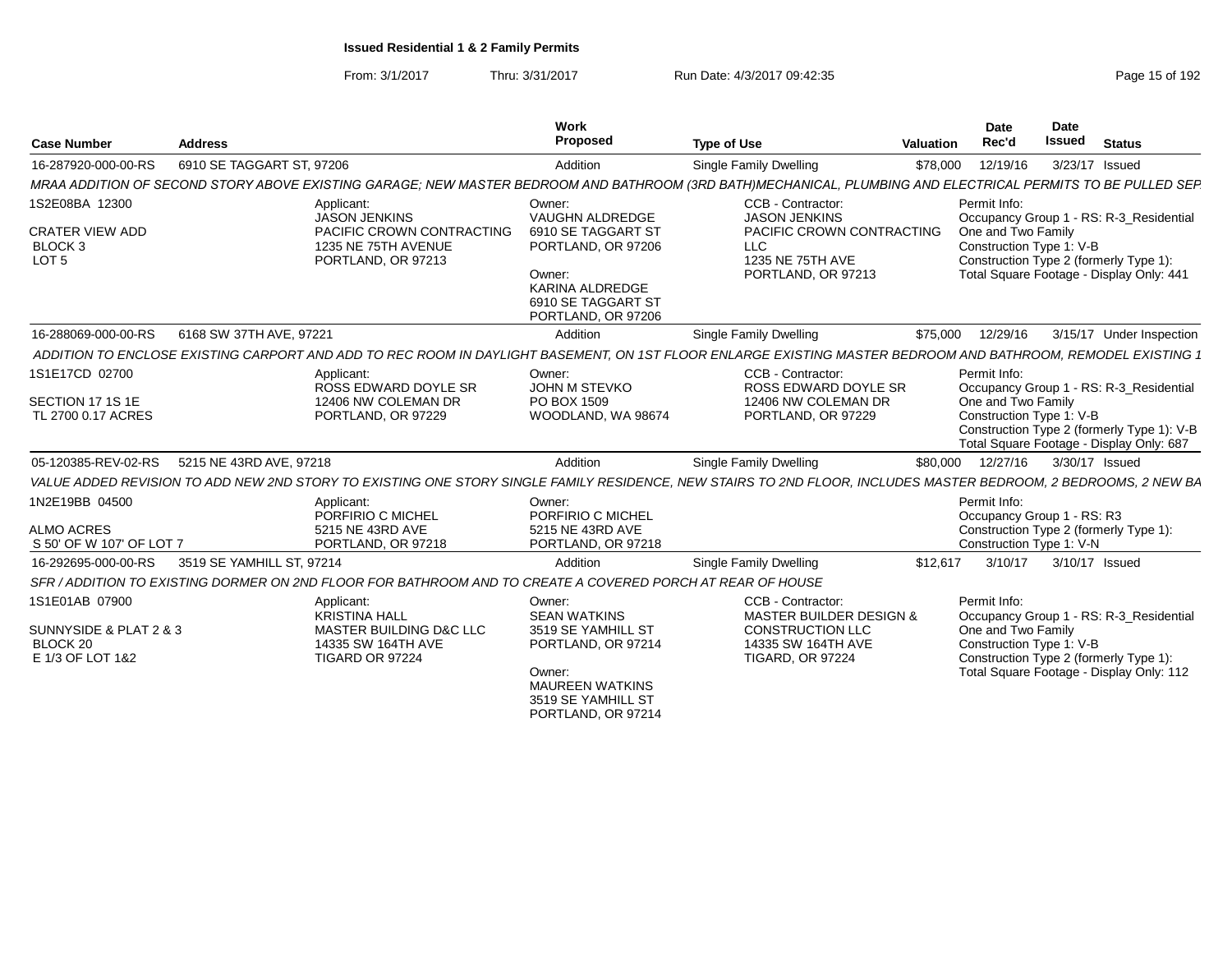From: 3/1/2017Thru: 3/31/2017 Run Date: 4/3/2017 09:42:35 Run Date: 4/3/2017 09:42:35

| <b>Case Number</b>                                                                 | <b>Address</b>            |                                                                                                              | Work<br>Proposed                                                                                                                                      | <b>Type of Use</b>                                                                                                                                              | Valuation | <b>Date</b><br>Rec'd                                                                                     | <b>Date</b><br><b>Issued</b> | <b>Status</b>                                                                          |
|------------------------------------------------------------------------------------|---------------------------|--------------------------------------------------------------------------------------------------------------|-------------------------------------------------------------------------------------------------------------------------------------------------------|-----------------------------------------------------------------------------------------------------------------------------------------------------------------|-----------|----------------------------------------------------------------------------------------------------------|------------------------------|----------------------------------------------------------------------------------------|
| 16-287920-000-00-RS                                                                | 6910 SE TAGGART ST, 97206 |                                                                                                              | Addition                                                                                                                                              | Single Family Dwelling                                                                                                                                          | \$78,000  | 12/19/16                                                                                                 | 3/23/17 Issued               |                                                                                        |
|                                                                                    |                           |                                                                                                              |                                                                                                                                                       | MRAA ADDITION OF SECOND STORY ABOVE EXISTING GARAGE; NEW MASTER BEDROOM AND BATHROOM (3RD BATH)MECHANICAL, PLUMBING AND ELECTRICAL PERMITS TO BE PULLED SEP     |           |                                                                                                          |                              |                                                                                        |
| 1S2E08BA 12300<br><b>CRATER VIEW ADD</b><br>BLOCK <sub>3</sub><br>LOT <sub>5</sub> |                           | Applicant:<br><b>JASON JENKINS</b><br>PACIFIC CROWN CONTRACTING<br>1235 NE 75TH AVENUE<br>PORTLAND, OR 97213 | Owner:<br><b>VAUGHN ALDREDGE</b><br>6910 SE TAGGART ST<br>PORTLAND, OR 97206<br>Owner:<br>KARINA ALDREDGE<br>6910 SE TAGGART ST<br>PORTLAND, OR 97206 | CCB - Contractor:<br><b>JASON JENKINS</b><br>PACIFIC CROWN CONTRACTING<br><b>LLC</b><br>1235 NE 75TH AVE<br>PORTLAND, OR 97213                                  |           | Permit Info:<br>One and Two Family<br>Construction Type 1: V-B<br>Construction Type 2 (formerly Type 1): |                              | Occupancy Group 1 - RS: R-3 Residential<br>Total Square Footage - Display Only: 441    |
| 16-288069-000-00-RS                                                                | 6168 SW 37TH AVE, 97221   |                                                                                                              | Addition                                                                                                                                              | Single Family Dwelling                                                                                                                                          | \$75,000  | 12/29/16                                                                                                 |                              | 3/15/17 Under Inspection                                                               |
|                                                                                    |                           |                                                                                                              |                                                                                                                                                       | ADDITION TO ENCLOSE EXISTING CARPORT AND ADD TO REC ROOM IN DAYLIGHT BASEMENT. ON 1ST FLOOR ENLARGE EXISTING MASTER BEDROOM AND BATHROOM. REMODEL EXISTING 1    |           |                                                                                                          |                              |                                                                                        |
| 1S1E17CD 02700<br>SECTION 17 1S 1E<br>TL 2700 0.17 ACRES                           |                           | Applicant:<br>ROSS EDWARD DOYLE SR<br>12406 NW COLEMAN DR<br>PORTLAND, OR 97229                              | Owner:<br>JOHN M STEVKO<br>PO BOX 1509<br>WOODLAND, WA 98674                                                                                          | CCB - Contractor:<br>ROSS EDWARD DOYLE SR<br>12406 NW COLEMAN DR<br>PORTLAND, OR 97229                                                                          |           | Permit Info:<br>One and Two Family<br>Construction Type 1: V-B                                           |                              | Occupancy Group 1 - RS: R-3_Residential                                                |
|                                                                                    |                           |                                                                                                              |                                                                                                                                                       |                                                                                                                                                                 |           |                                                                                                          |                              | Construction Type 2 (formerly Type 1): V-B<br>Total Square Footage - Display Only: 687 |
| 05-120385-REV-02-RS                                                                | 5215 NE 43RD AVE, 97218   |                                                                                                              | Addition                                                                                                                                              | Single Family Dwelling                                                                                                                                          | \$80,000  | 12/27/16                                                                                                 | 3/30/17 Issued               |                                                                                        |
|                                                                                    |                           |                                                                                                              |                                                                                                                                                       | VALUE ADDED REVISION TO ADD NEW 2ND STORY TO EXISTING ONE STORY SINGLE FAMILY RESIDENCE. NEW STAIRS TO 2ND FLOOR, INCLUDES MASTER BEDROOM, 2 BEDROOMS, 2 NEW BA |           |                                                                                                          |                              |                                                                                        |
| 1N2E19BB 04500                                                                     |                           | Applicant:<br>PORFIRIO C MICHEL                                                                              | Owner:<br>PORFIRIO C MICHEL                                                                                                                           |                                                                                                                                                                 |           | Permit Info:<br>Occupancy Group 1 - RS: R3                                                               |                              |                                                                                        |
| <b>ALMO ACRES</b><br>S 50' OF W 107' OF LOT 7                                      |                           | 5215 NE 43RD AVE<br>PORTLAND, OR 97218                                                                       | 5215 NE 43RD AVE<br>PORTLAND, OR 97218                                                                                                                |                                                                                                                                                                 |           | Construction Type 2 (formerly Type 1):<br>Construction Type 1: V-N                                       |                              |                                                                                        |
| 16-292695-000-00-RS                                                                | 3519 SE YAMHILL ST, 97214 |                                                                                                              | Addition                                                                                                                                              | Single Family Dwelling                                                                                                                                          | \$12,617  | 3/10/17                                                                                                  | 3/10/17 Issued               |                                                                                        |
|                                                                                    |                           | SFR / ADDITION TO EXISTING DORMER ON 2ND FLOOR FOR BATHROOM AND TO CREATE A COVERED PORCH AT REAR OF HOUSE   |                                                                                                                                                       |                                                                                                                                                                 |           |                                                                                                          |                              |                                                                                        |
| 1S1E01AB 07900<br>SUNNYSIDE & PLAT 2 & 3                                           |                           | Applicant:<br><b>KRISTINA HALL</b><br><b>MASTER BUILDING D&amp;C LLC</b>                                     | Owner:<br><b>SEAN WATKINS</b><br>3519 SE YAMHILL ST                                                                                                   | CCB - Contractor:<br>MASTER BUILDER DESIGN &<br><b>CONSTRUCTION LLC</b>                                                                                         |           | Permit Info:<br>One and Two Family                                                                       |                              | Occupancy Group 1 - RS: R-3 Residential                                                |
| BLOCK 20<br>E 1/3 OF LOT 1&2                                                       |                           | 14335 SW 164TH AVE<br><b>TIGARD OR 97224</b>                                                                 | PORTLAND, OR 97214<br>Owner:<br><b>MAUREEN WATKINS</b><br>3519 SE YAMHILL ST                                                                          | 14335 SW 164TH AVE<br><b>TIGARD, OR 97224</b>                                                                                                                   |           | Construction Type 1: V-B<br>Construction Type 2 (formerly Type 1):                                       |                              | Total Square Footage - Display Only: 112                                               |

PORTLAND, OR 97214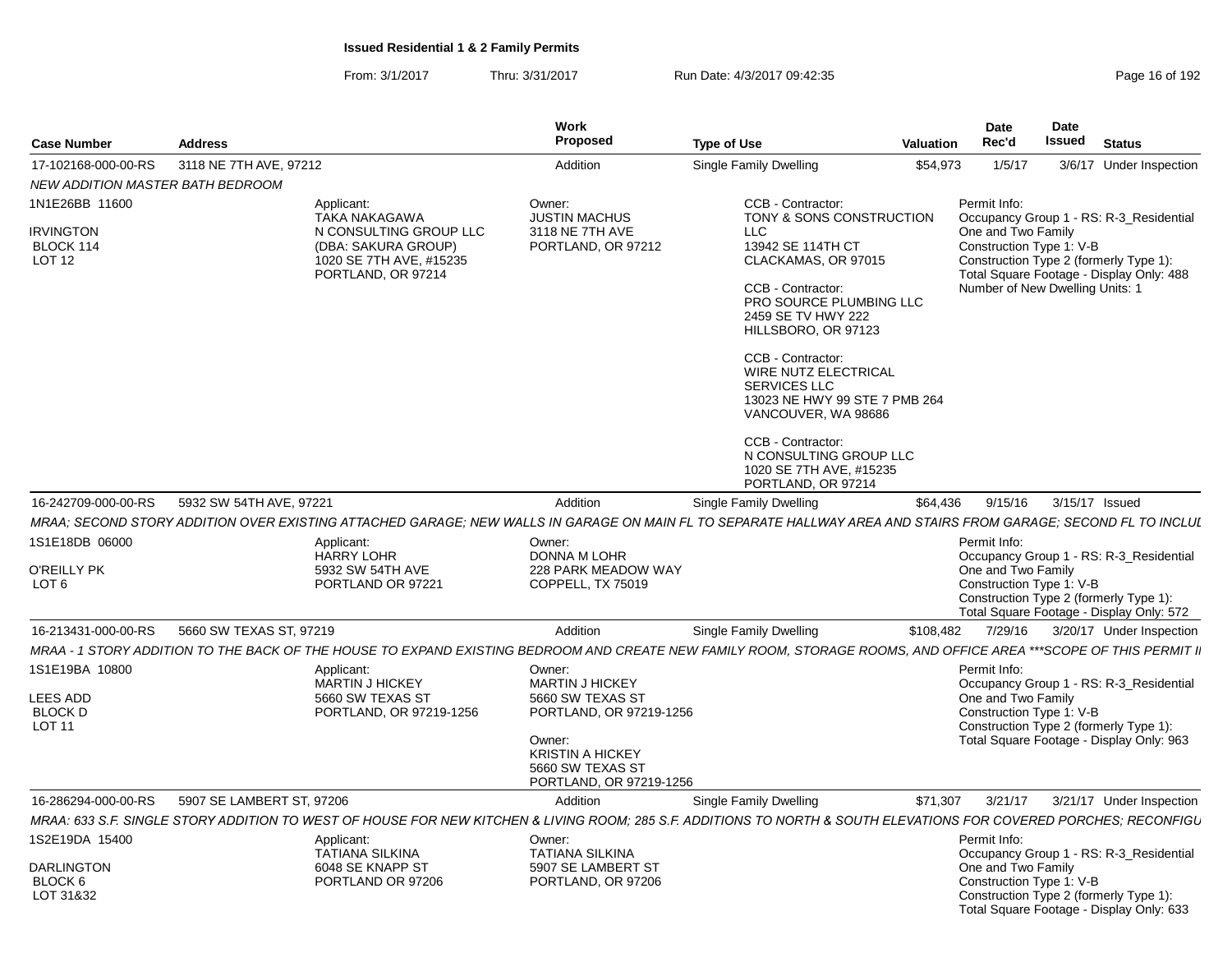From: 3/1/2017Thru: 3/31/2017 **Run Date: 4/3/2017 09:42:35** Pag

| Page 16 of 192 |  |  |
|----------------|--|--|
|----------------|--|--|

| <b>Case Number</b>                                                   | <b>Address</b>            |                                                                                                                                                                    | Work<br>Proposed                                                                                                                                                    | <b>Type of Use</b>                                                                                                                                                                                                                                                                                                                                                              | Valuation | <b>Date</b><br>Rec'd                                                                                                                                                                                                               | Date<br><b>Issued</b> | <b>Status</b>            |  |
|----------------------------------------------------------------------|---------------------------|--------------------------------------------------------------------------------------------------------------------------------------------------------------------|---------------------------------------------------------------------------------------------------------------------------------------------------------------------|---------------------------------------------------------------------------------------------------------------------------------------------------------------------------------------------------------------------------------------------------------------------------------------------------------------------------------------------------------------------------------|-----------|------------------------------------------------------------------------------------------------------------------------------------------------------------------------------------------------------------------------------------|-----------------------|--------------------------|--|
| 17-102168-000-00-RS                                                  | 3118 NE 7TH AVE, 97212    |                                                                                                                                                                    | Addition                                                                                                                                                            | Single Family Dwelling                                                                                                                                                                                                                                                                                                                                                          | \$54,973  | 1/5/17                                                                                                                                                                                                                             |                       | 3/6/17 Under Inspection  |  |
| NEW ADDITION MASTER BATH BEDROOM                                     |                           |                                                                                                                                                                    |                                                                                                                                                                     |                                                                                                                                                                                                                                                                                                                                                                                 |           |                                                                                                                                                                                                                                    |                       |                          |  |
| 1N1E26BB 11600<br><b>IRVINGTON</b><br>BLOCK 114<br>LOT <sub>12</sub> |                           | Applicant:<br>TAKA NAKAGAWA<br>N CONSULTING GROUP LLC<br>(DBA: SAKURA GROUP)<br>1020 SE 7TH AVE, #15235<br>PORTLAND, OR 97214                                      | Owner:<br><b>JUSTIN MACHUS</b><br>3118 NE 7TH AVE<br>PORTLAND, OR 97212                                                                                             | CCB - Contractor:<br>TONY & SONS CONSTRUCTION<br><b>LLC</b><br>13942 SE 114TH CT<br>CLACKAMAS, OR 97015<br>CCB - Contractor:<br>PRO SOURCE PLUMBING LLC<br>2459 SE TV HWY 222<br>HILLSBORO, OR 97123<br>CCB - Contractor:<br>WIRE NUTZ ELECTRICAL<br><b>SERVICES LLC</b><br>13023 NE HWY 99 STE 7 PMB 264<br>VANCOUVER, WA 98686<br>CCB - Contractor:<br>N CONSULTING GROUP LLC |           | Permit Info:<br>Occupancy Group 1 - RS: R-3_Residential<br>One and Two Family<br>Construction Type 1: V-B<br>Construction Type 2 (formerly Type 1):<br>Total Square Footage - Display Only: 488<br>Number of New Dwelling Units: 1 |                       |                          |  |
|                                                                      |                           |                                                                                                                                                                    |                                                                                                                                                                     | 1020 SE 7TH AVE, #15235<br>PORTLAND, OR 97214                                                                                                                                                                                                                                                                                                                                   |           |                                                                                                                                                                                                                                    |                       |                          |  |
| 16-242709-000-00-RS                                                  | 5932 SW 54TH AVE, 97221   |                                                                                                                                                                    | Addition                                                                                                                                                            | Single Family Dwelling                                                                                                                                                                                                                                                                                                                                                          | \$64,436  | 9/15/16                                                                                                                                                                                                                            | 3/15/17 Issued        |                          |  |
|                                                                      |                           | MRAA: SECOND STORY ADDITION OVER EXISTING ATTACHED GARAGE; NEW WALLS IN GARAGE ON MAIN FL TO SEPARATE HALLWAY AREA AND STAIRS FROM GARAGE; SECOND FL TO INCLUI     |                                                                                                                                                                     |                                                                                                                                                                                                                                                                                                                                                                                 |           |                                                                                                                                                                                                                                    |                       |                          |  |
| 1S1E18DB 06000<br>O'REILLY PK<br>LOT <sub>6</sub>                    |                           | Applicant:<br><b>HARRY LOHR</b><br>5932 SW 54TH AVE<br>PORTLAND OR 97221                                                                                           | Owner:<br><b>DONNA M LOHR</b><br>228 PARK MEADOW WAY<br>COPPELL, TX 75019                                                                                           |                                                                                                                                                                                                                                                                                                                                                                                 |           | Permit Info:<br>Occupancy Group 1 - RS: R-3_Residential<br>One and Two Family<br>Construction Type 1: V-B<br>Construction Type 2 (formerly Type 1):<br>Total Square Footage - Display Only: 572                                    |                       |                          |  |
| 16-213431-000-00-RS                                                  | 5660 SW TEXAS ST, 97219   |                                                                                                                                                                    | Addition                                                                                                                                                            | <b>Single Family Dwelling</b>                                                                                                                                                                                                                                                                                                                                                   | \$108,482 | 7/29/16                                                                                                                                                                                                                            |                       | 3/20/17 Under Inspection |  |
|                                                                      |                           | MRAA - 1 STORY ADDITION TO THE BACK OF THE HOUSE TO EXPAND EXISTING BEDROOM AND CREATE NEW FAMILY ROOM, STORAGE ROOMS, AND OFFICE AREA ***SCOPE OF THIS PERMIT I   |                                                                                                                                                                     |                                                                                                                                                                                                                                                                                                                                                                                 |           |                                                                                                                                                                                                                                    |                       |                          |  |
| 1S1E19BA 10800<br><b>LEES ADD</b><br><b>BLOCK D</b><br><b>LOT 11</b> |                           | Applicant:<br><b>MARTIN J HICKEY</b><br>5660 SW TEXAS ST<br>PORTLAND, OR 97219-1256                                                                                | Owner:<br><b>MARTIN J HICKEY</b><br>5660 SW TEXAS ST<br>PORTLAND, OR 97219-1256<br>Owner:<br><b>KRISTIN A HICKEY</b><br>5660 SW TEXAS ST<br>PORTLAND, OR 97219-1256 |                                                                                                                                                                                                                                                                                                                                                                                 |           | Permit Info:<br>Occupancy Group 1 - RS: R-3_Residential<br>One and Two Family<br>Construction Type 1: V-B<br>Construction Type 2 (formerly Type 1):<br>Total Square Footage - Display Only: 963                                    |                       |                          |  |
| 16-286294-000-00-RS                                                  | 5907 SE LAMBERT ST, 97206 |                                                                                                                                                                    | Addition                                                                                                                                                            | Single Family Dwelling                                                                                                                                                                                                                                                                                                                                                          | \$71,307  | 3/21/17                                                                                                                                                                                                                            |                       | 3/21/17 Under Inspection |  |
|                                                                      |                           | MRAA: 633 S.F. SINGLE STORY ADDITION TO WEST OF HOUSE FOR NEW KITCHEN & LIVING ROOM; 285 S.F. ADDITIONS TO NORTH & SOUTH ELEVATIONS FOR COVERED PORCHES; RECONFIGU |                                                                                                                                                                     |                                                                                                                                                                                                                                                                                                                                                                                 |           |                                                                                                                                                                                                                                    |                       |                          |  |
| 1S2E19DA 15400<br>DARLINGTON<br>BLOCK <sub>6</sub><br>LOT 31&32      |                           | Applicant:<br>TATIANA SILKINA<br>6048 SE KNAPP ST<br>PORTLAND OR 97206                                                                                             | Owner:<br><b>TATIANA SILKINA</b><br>5907 SE LAMBERT ST<br>PORTLAND, OR 97206                                                                                        |                                                                                                                                                                                                                                                                                                                                                                                 |           | Permit Info:<br>Occupancy Group 1 - RS: R-3_Residential<br>One and Two Family<br>Construction Type 1: V-B<br>Construction Type 2 (formerly Type 1):<br>Total Square Footage - Display Only: 633                                    |                       |                          |  |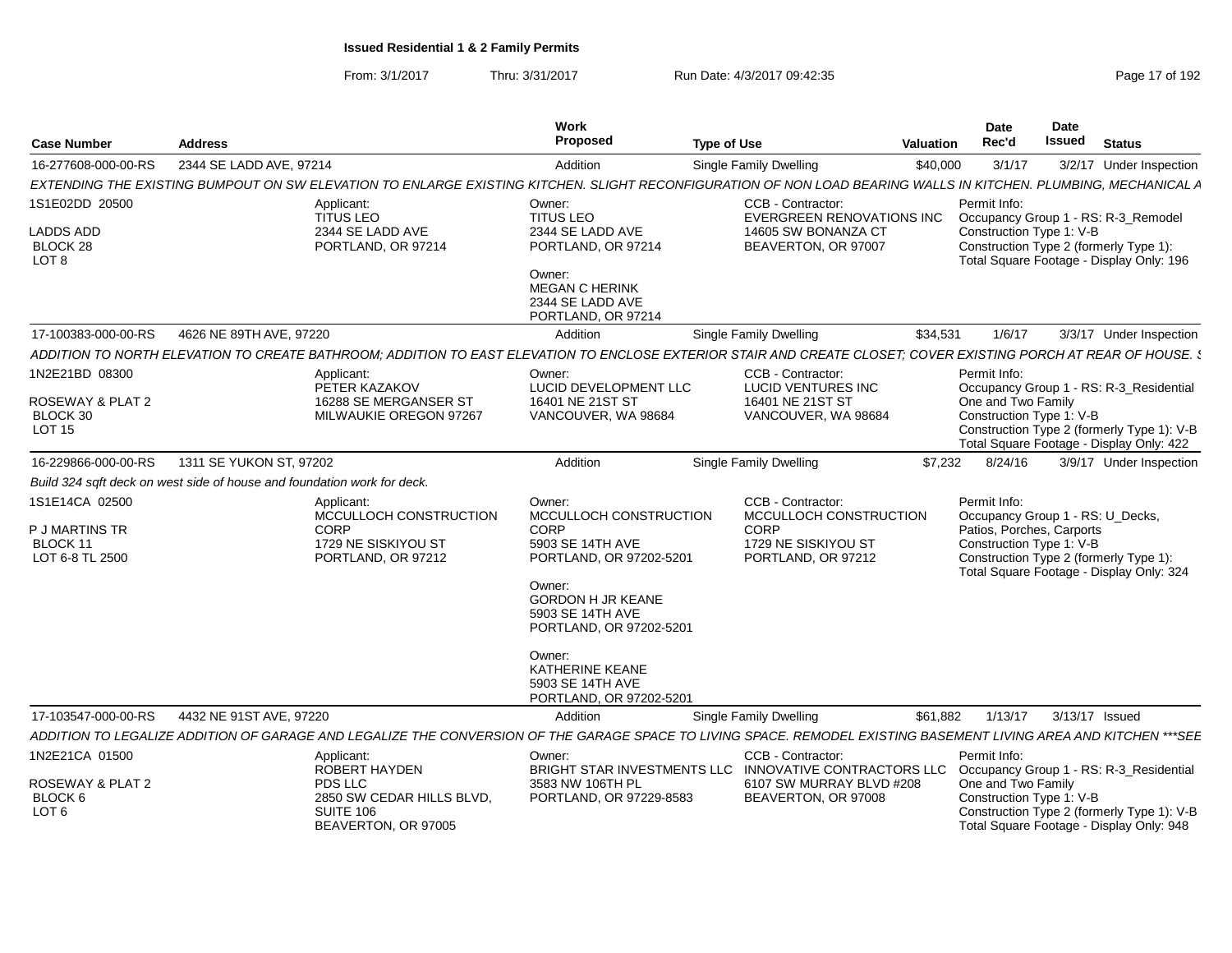|                                                                         |                         |                                                                                    | Work<br>Proposed                                                                  |                                                                                                                                                                   |                  | Date<br>Rec'd                                                                             | Date<br><b>Issued</b> | <b>Status</b>                                                                          |
|-------------------------------------------------------------------------|-------------------------|------------------------------------------------------------------------------------|-----------------------------------------------------------------------------------|-------------------------------------------------------------------------------------------------------------------------------------------------------------------|------------------|-------------------------------------------------------------------------------------------|-----------------------|----------------------------------------------------------------------------------------|
| <b>Case Number</b>                                                      | <b>Address</b>          |                                                                                    |                                                                                   | <b>Type of Use</b>                                                                                                                                                | <b>Valuation</b> |                                                                                           |                       |                                                                                        |
| 16-277608-000-00-RS                                                     | 2344 SE LADD AVE, 97214 |                                                                                    | Addition                                                                          | <b>Single Family Dwelling</b>                                                                                                                                     | \$40,000         | 3/1/17                                                                                    |                       | 3/2/17 Under Inspection                                                                |
|                                                                         |                         |                                                                                    |                                                                                   | EXTENDING THE EXISTING BUMPOUT ON SW ELEVATION TO ENLARGE EXISTING KITCHEN. SLIGHT RECONFIGURATION OF NON LOAD BEARING WALLS IN KITCHEN. PLUMBING, MECHANICAL A   |                  | Permit Info:                                                                              |                       |                                                                                        |
| 1S1E02DD 20500                                                          |                         | Applicant:<br><b>TITUS LEO</b>                                                     | Owner:<br><b>TITUS LEO</b>                                                        | CCB - Contractor:<br>EVERGREEN RENOVATIONS INC                                                                                                                    |                  |                                                                                           |                       | Occupancy Group 1 - RS: R-3_Remodel                                                    |
| LADDS ADD                                                               |                         | 2344 SE LADD AVE                                                                   | 2344 SE LADD AVE                                                                  | 14605 SW BONANZA CT                                                                                                                                               |                  | Construction Type 1: V-B                                                                  |                       |                                                                                        |
| BLOCK 28<br>LOT <sub>8</sub>                                            |                         | PORTLAND, OR 97214                                                                 | PORTLAND, OR 97214                                                                | BEAVERTON, OR 97007                                                                                                                                               |                  |                                                                                           |                       | Construction Type 2 (formerly Type 1):<br>Total Square Footage - Display Only: 196     |
|                                                                         |                         |                                                                                    | Owner:<br><b>MEGAN C HERINK</b><br>2344 SE LADD AVE<br>PORTLAND, OR 97214         |                                                                                                                                                                   |                  |                                                                                           |                       |                                                                                        |
| 17-100383-000-00-RS                                                     | 4626 NE 89TH AVE, 97220 |                                                                                    | Addition                                                                          | Single Family Dwelling                                                                                                                                            | \$34,531         | 1/6/17                                                                                    |                       | 3/3/17 Under Inspection                                                                |
|                                                                         |                         |                                                                                    |                                                                                   | ADDITION TO NORTH ELEVATION TO CREATE BATHROOM; ADDITION TO EAST ELEVATION TO ENCLOSE EXTERIOR STAIR AND CREATE CLOSET; COVER EXISTING PORCH AT REAR OF HOUSE. \$ |                  |                                                                                           |                       |                                                                                        |
| 1N2E21BD 08300                                                          |                         | Applicant:<br>PETER KAZAKOV                                                        | Owner:<br>LUCID DEVELOPMENT LLC                                                   | CCB - Contractor:<br>LUCID VENTURES INC                                                                                                                           |                  | Permit Info:                                                                              |                       | Occupancy Group 1 - RS: R-3_Residential                                                |
| ROSEWAY & PLAT 2<br>BLOCK 30<br>LOT <sub>15</sub>                       |                         | 16288 SE MERGANSER ST<br>MILWAUKIE OREGON 97267                                    | 16401 NE 21ST ST<br>VANCOUVER, WA 98684                                           | 16401 NE 21ST ST<br>VANCOUVER, WA 98684                                                                                                                           |                  | One and Two Family<br>Construction Type 1: V-B                                            |                       | Construction Type 2 (formerly Type 1): V-B<br>Total Square Footage - Display Only: 422 |
| 16-229866-000-00-RS                                                     | 1311 SE YUKON ST, 97202 |                                                                                    | Addition                                                                          | <b>Single Family Dwelling</b>                                                                                                                                     | \$7,232          | 8/24/16                                                                                   |                       | 3/9/17 Under Inspection                                                                |
| Build 324 sqft deck on west side of house and foundation work for deck. |                         |                                                                                    |                                                                                   |                                                                                                                                                                   |                  |                                                                                           |                       |                                                                                        |
| 1S1E14CA 02500                                                          |                         | Applicant:                                                                         | Owner:                                                                            | CCB - Contractor:                                                                                                                                                 |                  | Permit Info:                                                                              |                       |                                                                                        |
| P J MARTINS TR<br><b>BLOCK 11</b><br>LOT 6-8 TL 2500                    |                         | MCCULLOCH CONSTRUCTION<br><b>CORP</b><br>1729 NE SISKIYOU ST<br>PORTLAND, OR 97212 | MCCULLOCH CONSTRUCTION<br>CORP<br>5903 SE 14TH AVE<br>PORTLAND, OR 97202-5201     | MCCULLOCH CONSTRUCTION<br><b>CORP</b><br>1729 NE SISKIYOU ST<br>PORTLAND, OR 97212                                                                                |                  | Occupancy Group 1 - RS: U_Decks,<br>Patios, Porches, Carports<br>Construction Type 1: V-B |                       | Construction Type 2 (formerly Type 1):                                                 |
|                                                                         |                         |                                                                                    | Owner:<br><b>GORDON H JR KEANE</b><br>5903 SE 14TH AVE<br>PORTLAND, OR 97202-5201 |                                                                                                                                                                   |                  |                                                                                           |                       | Total Square Footage - Display Only: 324                                               |
|                                                                         |                         |                                                                                    | Owner:<br><b>KATHERINE KEANE</b><br>5903 SE 14TH AVE<br>PORTLAND, OR 97202-5201   |                                                                                                                                                                   |                  |                                                                                           |                       |                                                                                        |
| 17-103547-000-00-RS                                                     | 4432 NE 91ST AVE, 97220 |                                                                                    | Addition                                                                          | <b>Single Family Dwelling</b>                                                                                                                                     | \$61,882         | 1/13/17                                                                                   |                       | 3/13/17 Issued                                                                         |
|                                                                         |                         |                                                                                    |                                                                                   | ADDITION TO LEGALIZE ADDITION OF GARAGE AND LEGALIZE THE CONVERSION OF THE GARAGE SPACE TO LIVING SPACE. REMODEL EXISTING BASEMENT LIVING AREA AND KITCHEN ***SEE |                  |                                                                                           |                       |                                                                                        |
| 1N2E21CA 01500                                                          |                         | Applicant:<br>ROBERT HAYDEN                                                        | Owner:                                                                            | CCB - Contractor:<br>BRIGHT STAR INVESTMENTS LLC INNOVATIVE CONTRACTORS LLC                                                                                       |                  | Permit Info:                                                                              |                       | Occupancy Group 1 - RS: R-3 Residential                                                |
| ROSEWAY & PLAT 2<br>BLOCK 6                                             |                         | PDS LLC<br>2850 SW CEDAR HILLS BLVD,                                               | 3583 NW 106TH PL<br>PORTLAND, OR 97229-8583                                       | 6107 SW MURRAY BLVD #208<br>BEAVERTON, OR 97008                                                                                                                   |                  | One and Two Family<br>Construction Type 1: V-B                                            |                       |                                                                                        |
| LOT <sub>6</sub>                                                        |                         | SUITE 106<br>BEAVERTON, OR 97005                                                   |                                                                                   |                                                                                                                                                                   |                  |                                                                                           |                       | Construction Type 2 (formerly Type 1): V-B<br>Total Square Footage - Display Only: 948 |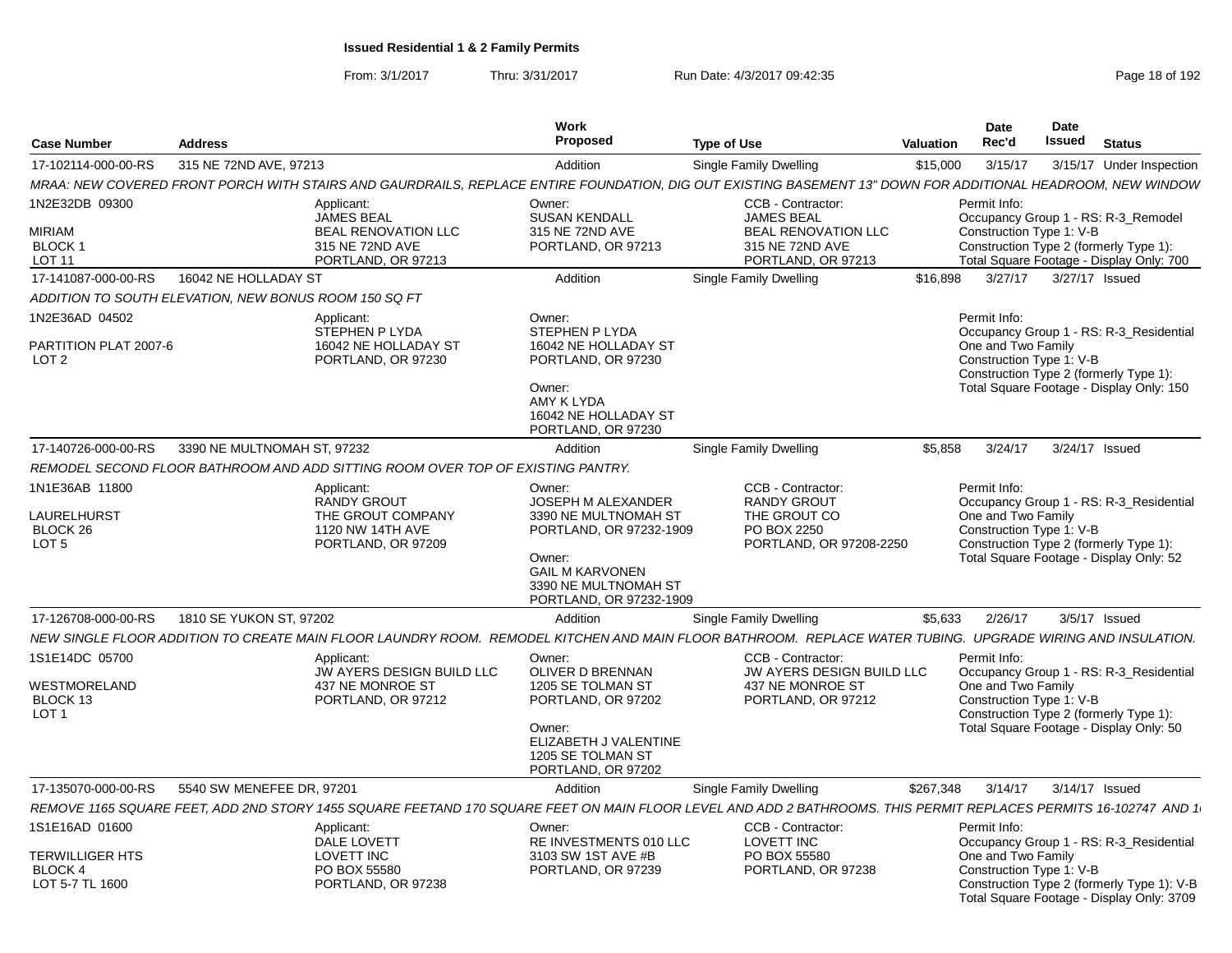| <b>Case Number</b>                                                    | <b>Address</b>                                        |                                                                                                                                                                  | <b>Work</b><br>Proposed                                                                                                                                                       | <b>Type of Use</b>                                                                                            | <b>Valuation</b> | <b>Date</b><br>Rec'd                                           | Date<br>Issued             | <b>Status</b>                                                                                                                      |
|-----------------------------------------------------------------------|-------------------------------------------------------|------------------------------------------------------------------------------------------------------------------------------------------------------------------|-------------------------------------------------------------------------------------------------------------------------------------------------------------------------------|---------------------------------------------------------------------------------------------------------------|------------------|----------------------------------------------------------------|----------------------------|------------------------------------------------------------------------------------------------------------------------------------|
| 17-102114-000-00-RS                                                   | 315 NE 72ND AVE, 97213                                |                                                                                                                                                                  | Addition                                                                                                                                                                      | Single Family Dwelling                                                                                        | \$15,000         | 3/15/17                                                        |                            | 3/15/17 Under Inspection                                                                                                           |
|                                                                       |                                                       | MRAA: NEW COVERED FRONT PORCH WITH STAIRS AND GAURDRAILS, REPLACE ENTIRE FOUNDATION, DIG OUT EXISTING BASEMENT 13" DOWN FOR ADDITIONAL HEADROOM, NEW WINDOW      |                                                                                                                                                                               |                                                                                                               |                  |                                                                |                            |                                                                                                                                    |
| 1N2E32DB 09300<br>MIRIAM<br>BLOCK 1<br>LOT 11                         |                                                       | Applicant:<br>JAMES BEAL<br><b>BEAL RENOVATION LLC</b><br>315 NE 72ND AVE<br>PORTLAND, OR 97213                                                                  | Owner:<br><b>SUSAN KENDALL</b><br>315 NE 72ND AVE<br>PORTLAND, OR 97213                                                                                                       | CCB - Contractor:<br><b>JAMES BEAL</b><br><b>BEAL RENOVATION LLC</b><br>315 NE 72ND AVE<br>PORTLAND, OR 97213 |                  | Permit Info:<br>Construction Type 1: V-B                       |                            | Occupancy Group 1 - RS: R-3_Remodel<br>Construction Type 2 (formerly Type 1):<br>Total Square Footage - Display Only: 700          |
| 17-141087-000-00-RS                                                   | 16042 NE HOLLADAY ST                                  |                                                                                                                                                                  | Addition                                                                                                                                                                      | Single Family Dwelling                                                                                        | \$16,898         |                                                                | 3/27/17   3/27/17   Issued |                                                                                                                                    |
|                                                                       | ADDITION TO SOUTH ELEVATION, NEW BONUS ROOM 150 SQ FT |                                                                                                                                                                  |                                                                                                                                                                               |                                                                                                               |                  |                                                                |                            |                                                                                                                                    |
| 1N2E36AD 04502<br>PARTITION PLAT 2007-6<br>LOT <sub>2</sub>           |                                                       | Applicant:<br>STEPHEN P LYDA<br>16042 NE HOLLADAY ST<br>PORTLAND, OR 97230                                                                                       | Owner:<br>STEPHEN P LYDA<br>16042 NE HOLLADAY ST<br>PORTLAND, OR 97230<br>Owner:<br><b>AMY K LYDA</b><br>16042 NE HOLLADAY ST<br>PORTLAND, OR 97230                           |                                                                                                               |                  | Permit Info:<br>One and Two Family<br>Construction Type 1: V-B |                            | Occupancy Group 1 - RS: R-3 Residential<br>Construction Type 2 (formerly Type 1):<br>Total Square Footage - Display Only: 150      |
| 17-140726-000-00-RS                                                   | 3390 NE MULTNOMAH ST, 97232                           |                                                                                                                                                                  | Addition                                                                                                                                                                      | Single Family Dwelling                                                                                        | \$5,858          | 3/24/17                                                        | 3/24/17 Issued             |                                                                                                                                    |
|                                                                       |                                                       | REMODEL SECOND FLOOR BATHROOM AND ADD SITTING ROOM OVER TOP OF EXISTING PANTRY.                                                                                  |                                                                                                                                                                               |                                                                                                               |                  |                                                                |                            |                                                                                                                                    |
| 1N1E36AB 11800<br>LAURELHURST<br>BLOCK 26<br>LOT <sub>5</sub>         |                                                       | Applicant:<br><b>RANDY GROUT</b><br>THE GROUT COMPANY<br>1120 NW 14TH AVE<br>PORTLAND, OR 97209                                                                  | Owner:<br><b>JOSEPH M ALEXANDER</b><br>3390 NE MULTNOMAH ST<br>PORTLAND, OR 97232-1909<br>Owner:<br><b>GAIL M KARVONEN</b><br>3390 NE MULTNOMAH ST<br>PORTLAND, OR 97232-1909 | CCB - Contractor:<br><b>RANDY GROUT</b><br>THE GROUT CO<br>PO BOX 2250<br>PORTLAND, OR 97208-2250             |                  | Permit Info:<br>One and Two Family<br>Construction Type 1: V-B |                            | Occupancy Group 1 - RS: R-3 Residential<br>Construction Type 2 (formerly Type 1):<br>Total Square Footage - Display Only: 52       |
| 17-126708-000-00-RS                                                   | 1810 SE YUKON ST, 97202                               |                                                                                                                                                                  | Addition                                                                                                                                                                      | <b>Single Family Dwelling</b>                                                                                 | \$5,633          | 2/26/17                                                        |                            | 3/5/17 Issued                                                                                                                      |
|                                                                       |                                                       | NEW SINGLE FLOOR ADDITION TO CREATE MAIN FLOOR LAUNDRY ROOM. REMODEL KITCHEN AND MAIN FLOOR BATHROOM. REPLACE WATER TUBING. UPGRADE WIRING AND INSULATION.       |                                                                                                                                                                               |                                                                                                               |                  |                                                                |                            |                                                                                                                                    |
| 1S1E14DC 05700<br>WESTMORELAND<br>BLOCK 13<br>LOT <sub>1</sub>        |                                                       | Applicant:<br>JW AYERS DESIGN BUILD LLC<br>437 NE MONROE ST<br>PORTLAND, OR 97212                                                                                | Owner:<br>OLIVER D BRENNAN<br>1205 SE TOLMAN ST<br>PORTLAND, OR 97202<br>Owner:<br>ELIZABETH J VALENTINE<br>1205 SE TOLMAN ST<br>PORTLAND, OR 97202                           | CCB - Contractor:<br>JW AYERS DESIGN BUILD LLC<br>437 NE MONROE ST<br>PORTLAND, OR 97212                      |                  | Permit Info:<br>One and Two Family<br>Construction Type 1: V-B |                            | Occupancy Group 1 - RS: R-3 Residential<br>Construction Type 2 (formerly Type 1):<br>Total Square Footage - Display Only: 50       |
| 17-135070-000-00-RS                                                   | 5540 SW MENEFEE DR, 97201                             |                                                                                                                                                                  | Addition                                                                                                                                                                      | <b>Single Family Dwelling</b>                                                                                 | \$267,348        | 3/14/17                                                        | 3/14/17 Issued             |                                                                                                                                    |
|                                                                       |                                                       | REMOVE 1165 SQUARE FEET, ADD 2ND STORY 1455 SQUARE FEETAND 170 SQUARE FEET ON MAIN FLOOR LEVEL AND ADD 2 BATHROOMS. THIS PERMIT REPLACES PERMITS 16-102747 AND 1 |                                                                                                                                                                               |                                                                                                               |                  |                                                                |                            |                                                                                                                                    |
| 1S1E16AD 01600<br>TERWILLIGER HTS<br><b>BLOCK4</b><br>LOT 5-7 TL 1600 |                                                       | Applicant:<br><b>DALE LOVETT</b><br>LOVETT INC<br>PO BOX 55580<br>PORTLAND, OR 97238                                                                             | Owner:<br>RE INVESTMENTS 010 LLC<br>3103 SW 1ST AVE #B<br>PORTLAND, OR 97239                                                                                                  | CCB - Contractor:<br><b>LOVETT INC</b><br>PO BOX 55580<br>PORTLAND, OR 97238                                  |                  | Permit Info:<br>One and Two Family<br>Construction Type 1: V-B |                            | Occupancy Group 1 - RS: R-3_Residential<br>Construction Type 2 (formerly Type 1): V-B<br>Total Square Footage - Display Only: 3709 |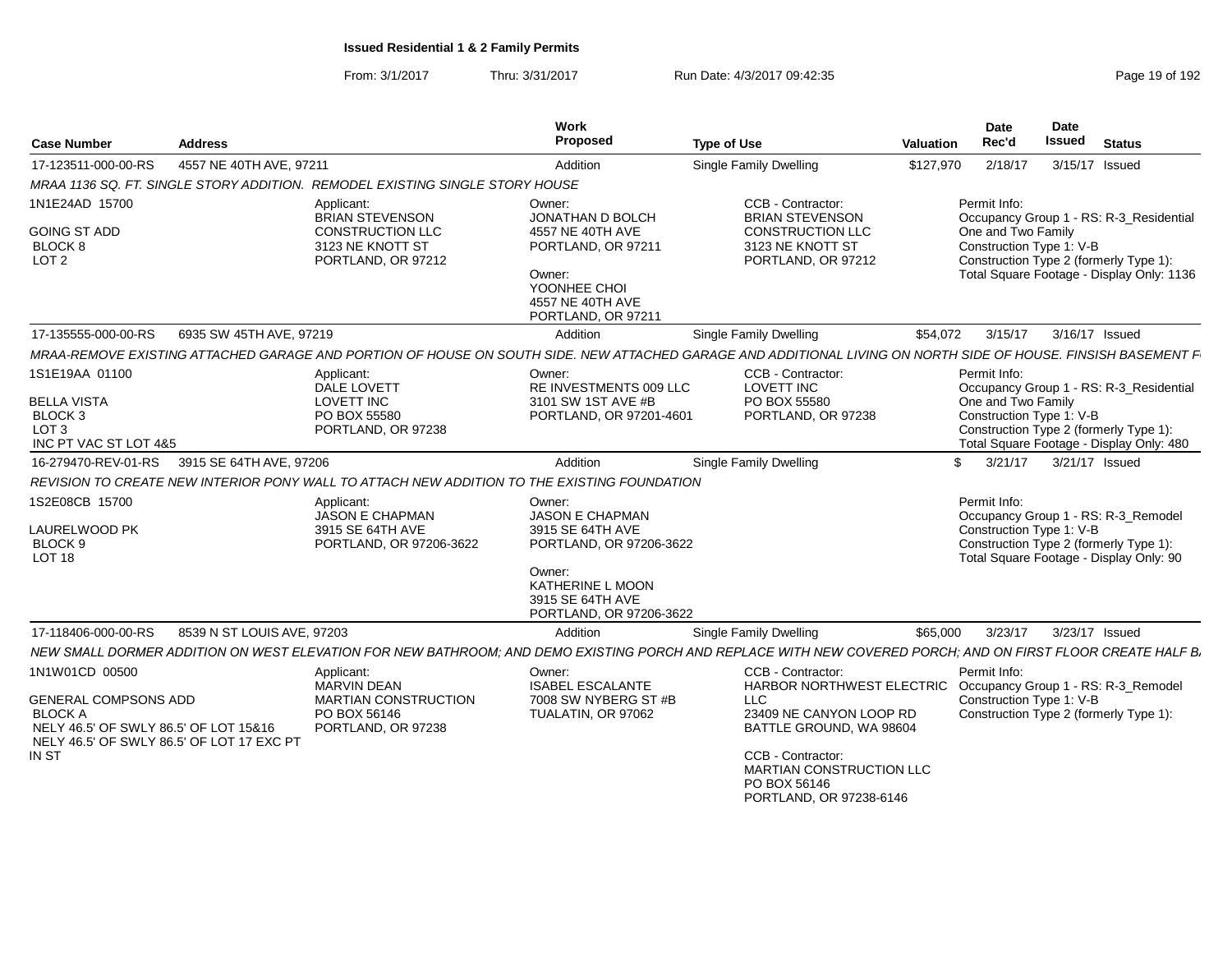| <b>Case Number</b>                                                                                                                                             | <b>Address</b>             |                                                                                                       | Work<br>Proposed                                                                                                                                             | <b>Type of Use</b>                                                                                                                                                                                                                          | Valuation    | Date<br>Rec'd                                                  | <b>Date</b><br><b>Issued</b> | <b>Status</b>                                                                                                                  |
|----------------------------------------------------------------------------------------------------------------------------------------------------------------|----------------------------|-------------------------------------------------------------------------------------------------------|--------------------------------------------------------------------------------------------------------------------------------------------------------------|---------------------------------------------------------------------------------------------------------------------------------------------------------------------------------------------------------------------------------------------|--------------|----------------------------------------------------------------|------------------------------|--------------------------------------------------------------------------------------------------------------------------------|
| 17-123511-000-00-RS                                                                                                                                            | 4557 NE 40TH AVE, 97211    |                                                                                                       | Addition                                                                                                                                                     | Single Family Dwelling                                                                                                                                                                                                                      | \$127,970    | 2/18/17                                                        |                              | 3/15/17 Issued                                                                                                                 |
|                                                                                                                                                                |                            | MRAA 1136 SQ. FT. SINGLE STORY ADDITION. REMODEL EXISTING SINGLE STORY HOUSE                          |                                                                                                                                                              |                                                                                                                                                                                                                                             |              |                                                                |                              |                                                                                                                                |
| 1N1E24AD 15700<br><b>GOING ST ADD</b><br><b>BLOCK 8</b><br>LOT <sub>2</sub>                                                                                    |                            | Applicant:<br><b>BRIAN STEVENSON</b><br>CONSTRUCTION LLC<br>3123 NE KNOTT ST<br>PORTLAND, OR 97212    | Owner:<br>JONATHAN D BOLCH<br>4557 NE 40TH AVE<br>PORTLAND, OR 97211<br>Owner:<br>YOONHEE CHOI<br>4557 NE 40TH AVE<br>PORTLAND, OR 97211                     | CCB - Contractor:<br><b>BRIAN STEVENSON</b><br>CONSTRUCTION LLC<br>3123 NE KNOTT ST<br>PORTLAND, OR 97212                                                                                                                                   |              | Permit Info:<br>One and Two Family<br>Construction Type 1: V-B |                              | Occupancy Group 1 - RS: R-3_Residential<br>Construction Type 2 (formerly Type 1):<br>Total Square Footage - Display Only: 1136 |
| 17-135555-000-00-RS                                                                                                                                            | 6935 SW 45TH AVE, 97219    |                                                                                                       | Addition                                                                                                                                                     | Single Family Dwelling                                                                                                                                                                                                                      | \$54,072     | 3/15/17                                                        |                              | 3/16/17 Issued                                                                                                                 |
|                                                                                                                                                                |                            |                                                                                                       |                                                                                                                                                              | MRAA-REMOVE EXISTING ATTACHED GARAGE AND PORTION OF HOUSE ON SOUTH SIDE. NEW ATTACHED GARAGE AND ADDITIONAL LIVING ON NORTH SIDE OF HOUSE. FINSISH BASEMENT F                                                                               |              |                                                                |                              |                                                                                                                                |
| 1S1E19AA 01100<br><b>BELLA VISTA</b><br>BLOCK <sub>3</sub><br>LOT <sub>3</sub><br>INC PT VAC ST LOT 4&5                                                        |                            | Applicant:<br>DALE LOVETT<br><b>LOVETT INC</b><br>PO BOX 55580<br>PORTLAND, OR 97238                  | Owner:<br>RE INVESTMENTS 009 LLC<br>3101 SW 1ST AVE #B<br>PORTLAND, OR 97201-4601                                                                            | CCB - Contractor:<br><b>LOVETT INC</b><br>PO BOX 55580<br>PORTLAND, OR 97238                                                                                                                                                                |              | Permit Info:<br>One and Two Family<br>Construction Type 1: V-B |                              | Occupancy Group 1 - RS: R-3_Residential<br>Construction Type 2 (formerly Type 1):<br>Total Square Footage - Display Only: 480  |
| 16-279470-REV-01-RS 3915 SE 64TH AVE, 97206                                                                                                                    |                            |                                                                                                       | Addition                                                                                                                                                     | Single Family Dwelling                                                                                                                                                                                                                      | $\mathbb{S}$ | 3/21/17                                                        |                              | 3/21/17 Issued                                                                                                                 |
|                                                                                                                                                                |                            | REVISION TO CREATE NEW INTERIOR PONY WALL TO ATTACH NEW ADDITION TO THE EXISTING FOUNDATION           |                                                                                                                                                              |                                                                                                                                                                                                                                             |              |                                                                |                              |                                                                                                                                |
| 1S2E08CB 15700<br>LAURELWOOD PK<br>BLOCK 9<br><b>LOT 18</b>                                                                                                    |                            | Applicant:<br>JASON E CHAPMAN<br>3915 SE 64TH AVE<br>PORTLAND, OR 97206-3622                          | Owner:<br><b>JASON E CHAPMAN</b><br>3915 SE 64TH AVE<br>PORTLAND, OR 97206-3622<br>Owner:<br>KATHERINE L MOON<br>3915 SE 64TH AVE<br>PORTLAND, OR 97206-3622 |                                                                                                                                                                                                                                             |              | Permit Info:<br>Construction Type 1: V-B                       |                              | Occupancy Group 1 - RS: R-3_Remodel<br>Construction Type 2 (formerly Type 1):<br>Total Square Footage - Display Only: 90       |
| 17-118406-000-00-RS                                                                                                                                            | 8539 N ST LOUIS AVE, 97203 |                                                                                                       | Addition                                                                                                                                                     | Single Family Dwelling                                                                                                                                                                                                                      | \$65,000     | 3/23/17                                                        |                              | 3/23/17 Issued                                                                                                                 |
|                                                                                                                                                                |                            |                                                                                                       |                                                                                                                                                              | NEW SMALL DORMER ADDITION ON WEST ELEVATION FOR NEW BATHROOM; AND DEMO EXISTING PORCH AND REPLACE WITH NEW COVERED PORCH; AND ON FIRST FLOOR CREATE HALF B,                                                                                 |              |                                                                |                              |                                                                                                                                |
| 1N1W01CD 00500<br><b>GENERAL COMPSONS ADD</b><br><b>BLOCK A</b><br>NELY 46.5' OF SWLY 86.5' OF LOT 15&16<br>NELY 46.5' OF SWLY 86.5' OF LOT 17 EXC PT<br>IN ST |                            | Applicant:<br><b>MARVIN DEAN</b><br><b>MARTIAN CONSTRUCTION</b><br>PO BOX 56146<br>PORTLAND, OR 97238 | Owner:<br><b>ISABEL ESCALANTE</b><br>7008 SW NYBERG ST #B<br>TUALATIN, OR 97062                                                                              | CCB - Contractor:<br>HARBOR NORTHWEST ELECTRIC Occupancy Group 1 - RS: R-3_Remodel<br>LLC<br>23409 NE CANYON LOOP RD<br>BATTLE GROUND. WA 98604<br>CCB - Contractor:<br>MARTIAN CONSTRUCTION LLC<br>PO BOX 56146<br>PORTLAND, OR 97238-6146 |              | Permit Info:<br>Construction Type 1: V-B                       |                              | Construction Type 2 (formerly Type 1):                                                                                         |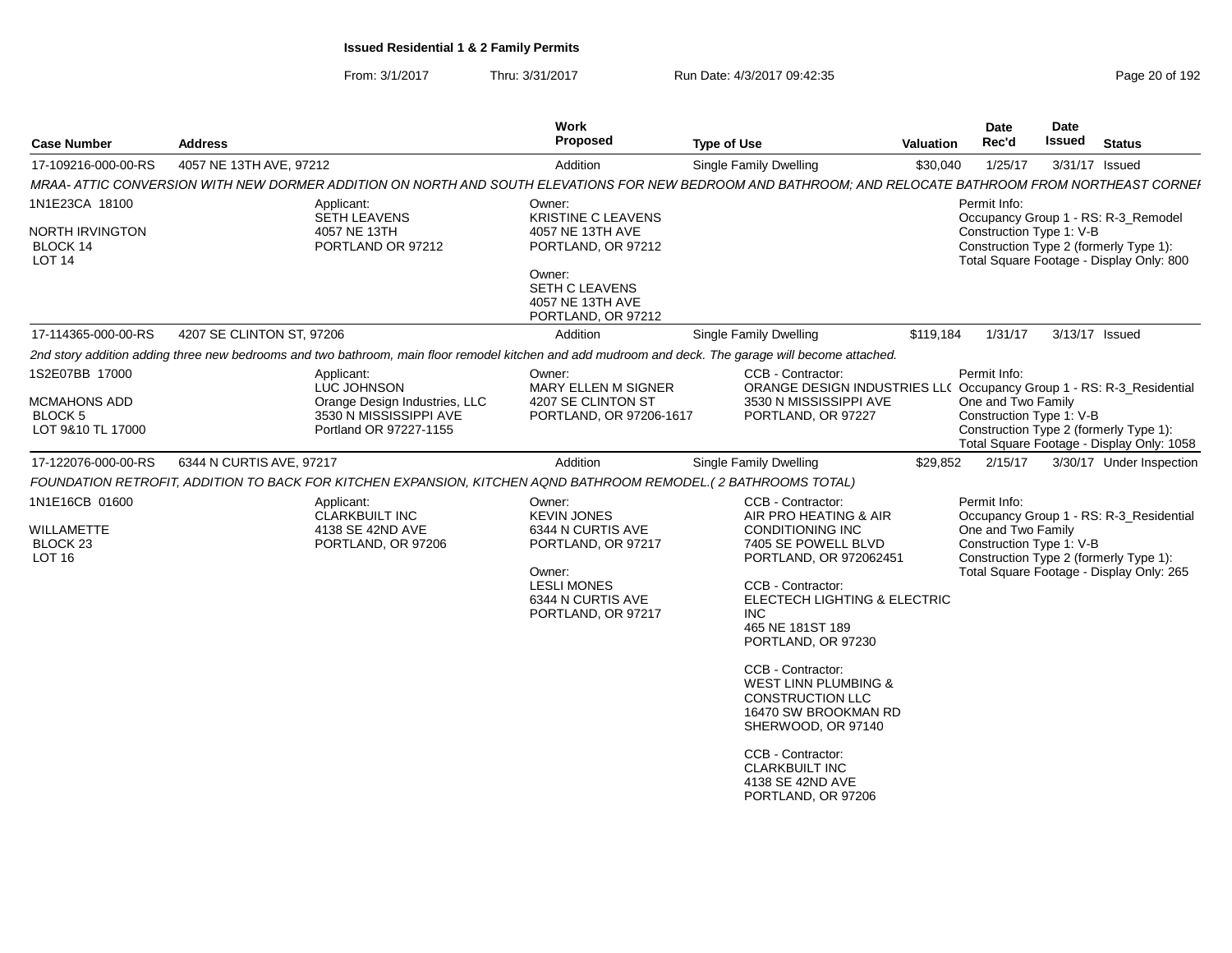From: 3/1/2017Thru: 3/31/2017 Run Date: 4/3/2017 09:42:35 Page 20 of 192

| Proposed<br><b>Issued</b><br>Rec'd<br><b>Type of Use</b><br>Valuation<br><b>Status</b><br>17-109216-000-00-RS 4057 NE 13TH AVE, 97212<br>3/31/17 Issued<br>Addition<br>Single Family Dwelling<br>\$30,040 1/25/17<br>MRAA- ATTIC CONVERSION WITH NEW DORMER ADDITION ON NORTH AND SOUTH ELEVATIONS FOR NEW BEDROOM AND BATHROOM; AND RELOCATE BATHROOM FROM NORTHEAST CORNEI<br>Owner:<br>Applicant:<br>Permit Info:<br>SETH LEAVENS<br><b>KRISTINE C LEAVENS</b><br>Occupancy Group 1 - RS: R-3_Remodel<br>4057 NE 13TH<br>4057 NE 13TH AVE<br>Construction Type 1: V-B<br>PORTLAND OR 97212<br>Construction Type 2 (formerly Type 1):<br>PORTLAND, OR 97212<br>Total Square Footage - Display Only: 800<br>Owner:<br>SETH C LEAVENS<br>4057 NE 13TH AVE<br>PORTLAND, OR 97212<br>17-114365-000-00-RS 4207 SE CLINTON ST, 97206<br>\$119,184  1/31/17  3/13/17  Issued<br>Addition<br>Single Family Dwelling<br>2nd story addition adding three new bedrooms and two bathroom, main floor remodel kitchen and add mudroom and deck. The garage will become attached.<br>CCB - Contractor:<br>Owner:<br>Permit Info:<br>Applicant:<br>LUC JOHNSON<br>ORANGE DESIGN INDUSTRIES LL( Occupancy Group 1 - RS: R-3_Residential<br>MARY ELLEN M SIGNER<br>One and Two Family<br>Orange Design Industries, LLC<br>4207 SE CLINTON ST<br>3530 N MISSISSIPPI AVE |
|---------------------------------------------------------------------------------------------------------------------------------------------------------------------------------------------------------------------------------------------------------------------------------------------------------------------------------------------------------------------------------------------------------------------------------------------------------------------------------------------------------------------------------------------------------------------------------------------------------------------------------------------------------------------------------------------------------------------------------------------------------------------------------------------------------------------------------------------------------------------------------------------------------------------------------------------------------------------------------------------------------------------------------------------------------------------------------------------------------------------------------------------------------------------------------------------------------------------------------------------------------------------------------------------------------------------------------------------------------|
|                                                                                                                                                                                                                                                                                                                                                                                                                                                                                                                                                                                                                                                                                                                                                                                                                                                                                                                                                                                                                                                                                                                                                                                                                                                                                                                                                         |
|                                                                                                                                                                                                                                                                                                                                                                                                                                                                                                                                                                                                                                                                                                                                                                                                                                                                                                                                                                                                                                                                                                                                                                                                                                                                                                                                                         |
|                                                                                                                                                                                                                                                                                                                                                                                                                                                                                                                                                                                                                                                                                                                                                                                                                                                                                                                                                                                                                                                                                                                                                                                                                                                                                                                                                         |
|                                                                                                                                                                                                                                                                                                                                                                                                                                                                                                                                                                                                                                                                                                                                                                                                                                                                                                                                                                                                                                                                                                                                                                                                                                                                                                                                                         |
|                                                                                                                                                                                                                                                                                                                                                                                                                                                                                                                                                                                                                                                                                                                                                                                                                                                                                                                                                                                                                                                                                                                                                                                                                                                                                                                                                         |
|                                                                                                                                                                                                                                                                                                                                                                                                                                                                                                                                                                                                                                                                                                                                                                                                                                                                                                                                                                                                                                                                                                                                                                                                                                                                                                                                                         |
|                                                                                                                                                                                                                                                                                                                                                                                                                                                                                                                                                                                                                                                                                                                                                                                                                                                                                                                                                                                                                                                                                                                                                                                                                                                                                                                                                         |
| 3530 N MISSISSIPPI AVE<br>PORTLAND, OR 97206-1617<br>PORTLAND, OR 97227<br>Construction Type 1: V-B<br>Portland OR 97227-1155<br>Construction Type 2 (formerly Type 1):<br>Total Square Footage - Display Only: 1058                                                                                                                                                                                                                                                                                                                                                                                                                                                                                                                                                                                                                                                                                                                                                                                                                                                                                                                                                                                                                                                                                                                                    |
| 17-122076-000-00-RS   6344 N CURTIS AVE, 97217<br>Addition<br>Single Family Dwelling<br>\$29,852 2/15/17 3/30/17 Under Inspection                                                                                                                                                                                                                                                                                                                                                                                                                                                                                                                                                                                                                                                                                                                                                                                                                                                                                                                                                                                                                                                                                                                                                                                                                       |
| FOUNDATION RETROFIT, ADDITION TO BACK FOR KITCHEN EXPANSION, KITCHEN AQND BATHROOM REMODEL.(2 BATHROOMS TOTAL)                                                                                                                                                                                                                                                                                                                                                                                                                                                                                                                                                                                                                                                                                                                                                                                                                                                                                                                                                                                                                                                                                                                                                                                                                                          |
| CCB - Contractor:<br>Owner:<br>Permit Info:<br>Applicant:                                                                                                                                                                                                                                                                                                                                                                                                                                                                                                                                                                                                                                                                                                                                                                                                                                                                                                                                                                                                                                                                                                                                                                                                                                                                                               |
| <b>CLARKBUILT INC</b><br><b>KEVIN JONES</b><br>AIR PRO HEATING & AIR<br>Occupancy Group 1 - RS: R-3_Residential<br>4138 SE 42ND AVE<br>CONDITIONING INC<br>One and Two Family<br>6344 N CURTIS AVE<br>7405 SE POWELL BLVD<br>Construction Type 1: V-B<br>PORTLAND, OR 97206<br>PORTLAND, OR 97217<br>PORTLAND, OR 972062451<br>Construction Type 2 (formerly Type 1):<br>Total Square Footage - Display Only: 265<br>Owner:<br>CCB - Contractor:<br><b>LESLI MONES</b><br>ELECTECH LIGHTING & ELECTRIC<br>6344 N CURTIS AVE<br>PORTLAND, OR 97217<br><b>INC</b><br>465 NE 181ST 189<br>PORTLAND, OR 97230<br>CCB - Contractor:<br><b>WEST LINN PLUMBING &amp;</b><br><b>CONSTRUCTION LLC</b>                                                                                                                                                                                                                                                                                                                                                                                                                                                                                                                                                                                                                                                            |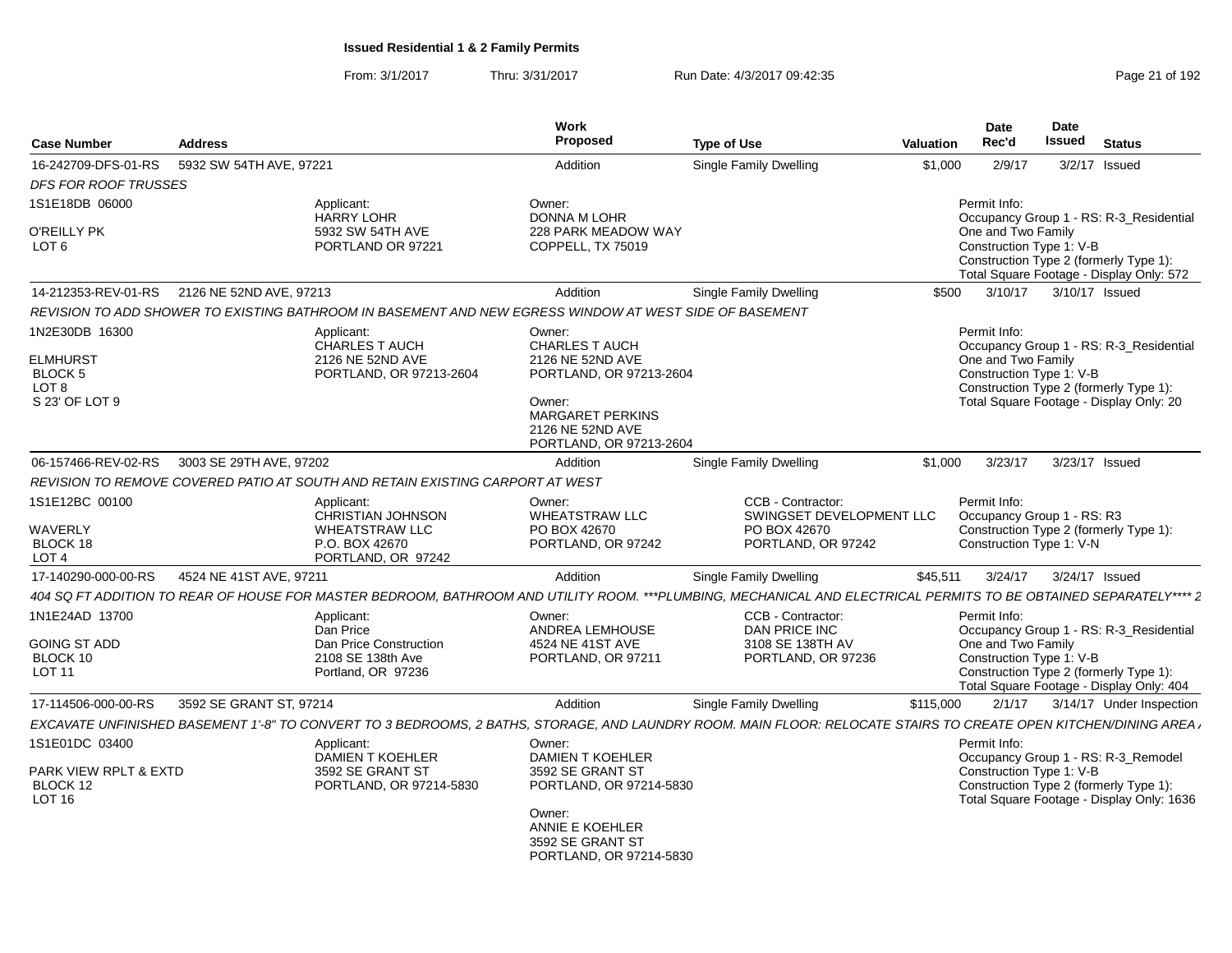From: 3/1/2017Thru: 3/31/2017 Run Date: 4/3/2017 09:42:35 Page 21 of 192

| <b>Case Number</b>                                                | <b>Address</b>                              |                                                                                                        | Work<br>Proposed                                                         | <b>Type of Use</b>                                                                                                                                                | <b>Valuation</b> | Date<br>Rec'd                                  | <b>Date</b><br>Issued<br><b>Status</b>                                              |
|-------------------------------------------------------------------|---------------------------------------------|--------------------------------------------------------------------------------------------------------|--------------------------------------------------------------------------|-------------------------------------------------------------------------------------------------------------------------------------------------------------------|------------------|------------------------------------------------|-------------------------------------------------------------------------------------|
| 16-242709-DFS-01-RS                                               | 5932 SW 54TH AVE, 97221                     |                                                                                                        | Addition                                                                 | <b>Single Family Dwelling</b>                                                                                                                                     | \$1,000          | 2/9/17                                         | $3/2/17$ Issued                                                                     |
| <b>DFS FOR ROOF TRUSSES</b>                                       |                                             |                                                                                                        |                                                                          |                                                                                                                                                                   |                  |                                                |                                                                                     |
| 1S1E18DB 06000                                                    |                                             | Applicant:<br><b>HARRY LOHR</b>                                                                        | Owner:<br>DONNA M LOHR                                                   |                                                                                                                                                                   |                  | Permit Info:                                   | Occupancy Group 1 - RS: R-3 Residential                                             |
| O'REILLY PK<br>LOT <sub>6</sub>                                   |                                             | 5932 SW 54TH AVE<br>PORTLAND OR 97221                                                                  | 228 PARK MEADOW WAY<br>COPPELL, TX 75019                                 |                                                                                                                                                                   |                  | One and Two Family<br>Construction Type 1: V-B | Construction Type 2 (formerly Type 1):<br>Total Square Footage - Display Only: 572  |
|                                                                   | 14-212353-REV-01-RS 2126 NE 52ND AVE, 97213 |                                                                                                        | Addition                                                                 | <b>Single Family Dwelling</b>                                                                                                                                     | \$500            | 3/10/17                                        | 3/10/17 Issued                                                                      |
|                                                                   |                                             | REVISION TO ADD SHOWER TO EXISTING BATHROOM IN BASEMENT AND NEW EGRESS WINDOW AT WEST SIDE OF BASEMENT |                                                                          |                                                                                                                                                                   |                  |                                                |                                                                                     |
| 1N2E30DB 16300<br><b>ELMHURST</b>                                 |                                             | Applicant:<br><b>CHARLES T AUCH</b><br>2126 NE 52ND AVE                                                | Owner:<br>CHARLES T AUCH<br>2126 NE 52ND AVE                             |                                                                                                                                                                   |                  | Permit Info:<br>One and Two Family             | Occupancy Group 1 - RS: R-3 Residential                                             |
| BLOCK 5<br>LOT <sub>8</sub><br>S 23' OF LOT 9                     |                                             | PORTLAND, OR 97213-2604                                                                                | PORTLAND, OR 97213-2604<br>Owner:                                        |                                                                                                                                                                   |                  | Construction Type 1: V-B                       | Construction Type 2 (formerly Type 1):<br>Total Square Footage - Display Only: 20   |
|                                                                   |                                             |                                                                                                        | <b>MARGARET PERKINS</b><br>2126 NE 52ND AVE<br>PORTLAND, OR 97213-2604   |                                                                                                                                                                   |                  |                                                |                                                                                     |
| 06-157466-REV-02-RS                                               | 3003 SE 29TH AVE, 97202                     |                                                                                                        | Addition                                                                 | Single Family Dwelling                                                                                                                                            | \$1.000          | 3/23/17                                        | 3/23/17 Issued                                                                      |
|                                                                   |                                             | REVISION TO REMOVE COVERED PATIO AT SOUTH AND RETAIN EXISTING CARPORT AT WEST                          |                                                                          |                                                                                                                                                                   |                  |                                                |                                                                                     |
| 1S1E12BC 00100                                                    |                                             | Applicant:<br>CHRISTIAN JOHNSON                                                                        | Owner:<br><b>WHEATSTRAW LLC</b>                                          | CCB - Contractor:<br>SWINGSET DEVELOPMENT LLC                                                                                                                     |                  | Permit Info:                                   | Occupancy Group 1 - RS: R3                                                          |
| WAVERLY<br>BLOCK 18<br>LOT <sub>4</sub>                           |                                             | <b>WHEATSTRAW LLC</b><br>P.O. BOX 42670<br>PORTLAND, OR 97242                                          | PO BOX 42670<br>PORTLAND, OR 97242                                       | PO BOX 42670<br>PORTLAND, OR 97242                                                                                                                                |                  | Construction Type 1: V-N                       | Construction Type 2 (formerly Type 1):                                              |
| 17-140290-000-00-RS                                               | 4524 NE 41ST AVE, 97211                     |                                                                                                        | Addition                                                                 | <b>Single Family Dwelling</b>                                                                                                                                     | \$45,511         | 3/24/17                                        | 3/24/17 Issued                                                                      |
|                                                                   |                                             |                                                                                                        |                                                                          | 404 SQ FT ADDITION TO REAR OF HOUSE FOR MASTER BEDROOM, BATHROOM AND UTILITY ROOM. ***PLUMBING, MECHANICAL AND ELECTRICAL PERMITS TO BE OBTAINED SEPARATELY**** 2 |                  |                                                |                                                                                     |
| 1N1E24AD 13700                                                    |                                             | Applicant:<br>Dan Price                                                                                | Owner:<br>ANDREA LEMHOUSE                                                | CCB - Contractor:<br>DAN PRICE INC                                                                                                                                |                  | Permit Info:                                   | Occupancy Group 1 - RS: R-3_Residential                                             |
| <b>GOING ST ADD</b><br>BLOCK 10<br>LOT 11                         |                                             | Dan Price Construction<br>2108 SE 138th Ave<br>Portland, OR 97236                                      | 4524 NE 41ST AVE<br>PORTLAND, OR 97211                                   | 3108 SE 138TH AV<br>PORTLAND, OR 97236                                                                                                                            |                  | One and Two Family<br>Construction Type 1: V-B | Construction Type 2 (formerly Type 1):                                              |
|                                                                   |                                             |                                                                                                        |                                                                          |                                                                                                                                                                   |                  |                                                | Total Square Footage - Display Only: 404                                            |
| 17-114506-000-00-RS                                               | 3592 SE GRANT ST. 97214                     |                                                                                                        | Addition                                                                 | Single Family Dwelling                                                                                                                                            | \$115,000        |                                                | 2/1/17 3/14/17 Under Inspection                                                     |
|                                                                   |                                             |                                                                                                        |                                                                          | EXCAVATE UNFINISHED BASEMENT 1'-8" TO CONVERT TO 3 BEDROOMS, 2 BATHS, STORAGE, AND LAUNDRY ROOM. MAIN FLOOR: RELOCATE STAIRS TO CREATE OPEN KITCHEN/DINING AREA.  |                  |                                                |                                                                                     |
| 1S1E01DC 03400                                                    |                                             | Applicant:<br>DAMIEN T KOEHLER                                                                         | Owner:<br><b>DAMIEN T KOEHLER</b>                                        |                                                                                                                                                                   |                  | Permit Info:                                   | Occupancy Group 1 - RS: R-3_Remodel                                                 |
| <b>PARK VIEW RPLT &amp; EXTD</b><br>BLOCK 12<br>LOT <sub>16</sub> |                                             | 3592 SE GRANT ST<br>PORTLAND, OR 97214-5830                                                            | 3592 SE GRANT ST<br>PORTLAND, OR 97214-5830                              |                                                                                                                                                                   |                  | Construction Type 1: V-B                       | Construction Type 2 (formerly Type 1):<br>Total Square Footage - Display Only: 1636 |
|                                                                   |                                             |                                                                                                        | Owner:<br>ANNIE E KOEHLER<br>3592 SE GRANT ST<br>PORTLAND, OR 97214-5830 |                                                                                                                                                                   |                  |                                                |                                                                                     |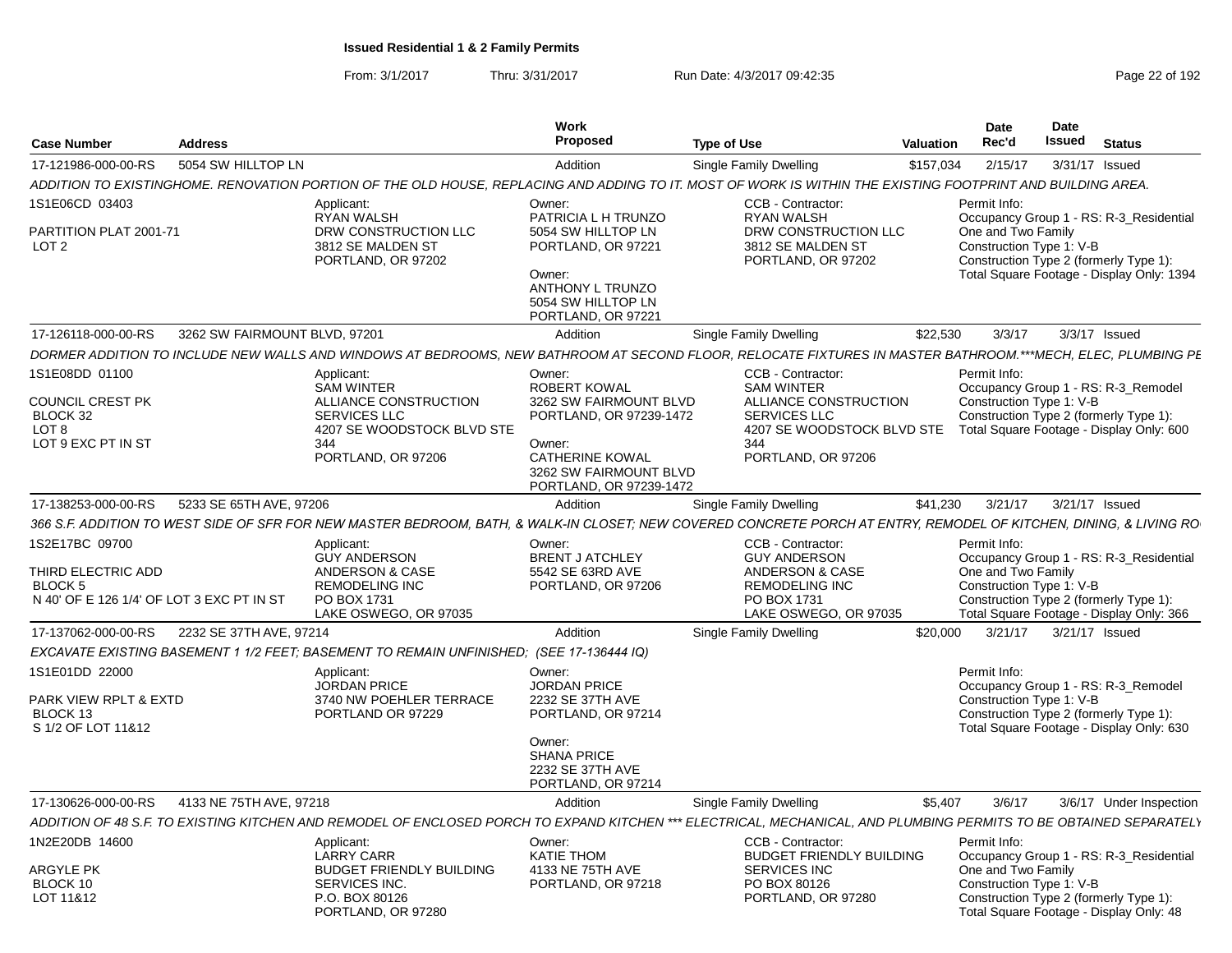From: 3/1/2017Thru: 3/31/2017 Run Date: 4/3/2017 09:42:35 Page 22 of 192

|                                                             |                                                                                                                                                                    | Work                          |                                                   |           | Date                     | <b>Date</b> |                                                                                    |
|-------------------------------------------------------------|--------------------------------------------------------------------------------------------------------------------------------------------------------------------|-------------------------------|---------------------------------------------------|-----------|--------------------------|-------------|------------------------------------------------------------------------------------|
| <b>Case Number</b><br>Address                               |                                                                                                                                                                    | Proposed                      | Type of Use                                       | Valuation | Rec'd                    | Issued      | <b>Status</b>                                                                      |
| 5054 SW HILLTOP LN<br>17-121986-000-00-RS                   |                                                                                                                                                                    | Addition                      | Single Family Dwelling                            | \$157,034 | 2/15/17                  |             | 3/31/17 Issued                                                                     |
|                                                             | ADDITION TO EXISTINGHOME. RENOVATION PORTION OF THE OLD HOUSE, REPLACING AND ADDING TO IT. MOST OF WORK IS WITHIN THE EXISTING FOOTPRINT AND BUILDING AREA.        |                               |                                                   |           |                          |             |                                                                                    |
| 1S1E06CD 03403                                              | Applicant:                                                                                                                                                         | Owner:                        | CCB - Contractor:                                 |           | Permit Info:             |             |                                                                                    |
|                                                             | <b>RYAN WALSH</b>                                                                                                                                                  | PATRICIA L H TRUNZO           | <b>RYAN WALSH</b>                                 |           |                          |             | Occupancy Group 1 - RS: R-3_Residential                                            |
| PARTITION PLAT 2001-71                                      | DRW CONSTRUCTION LLC                                                                                                                                               | 5054 SW HILLTOP LN            | DRW CONSTRUCTION LLC                              |           | One and Two Family       |             |                                                                                    |
| LOT <sub>2</sub>                                            | 3812 SE MALDEN ST<br>PORTLAND, OR 97202                                                                                                                            | PORTLAND, OR 97221            | 3812 SE MALDEN ST<br>PORTLAND, OR 97202           |           | Construction Type 1: V-B |             | Construction Type 2 (formerly Type 1):                                             |
|                                                             |                                                                                                                                                                    | Owner:                        |                                                   |           |                          |             | Total Square Footage - Display Only: 1394                                          |
|                                                             |                                                                                                                                                                    | ANTHONY L TRUNZO              |                                                   |           |                          |             |                                                                                    |
|                                                             |                                                                                                                                                                    | 5054 SW HILLTOP LN            |                                                   |           |                          |             |                                                                                    |
|                                                             |                                                                                                                                                                    | PORTLAND, OR 97221            |                                                   |           |                          |             |                                                                                    |
| 17-126118-000-00-RS                                         | 3262 SW FAIRMOUNT BLVD, 97201                                                                                                                                      | Addition                      | <b>Single Family Dwelling</b>                     | \$22,530  | 3/3/17                   |             | 3/3/17 Issued                                                                      |
|                                                             | DORMER ADDITION TO INCLUDE NEW WALLS AND WINDOWS AT BEDROOMS, NEW BATHROOM AT SECOND FLOOR, RELOCATE FIXTURES IN MASTER BATHROOM.***MECH, ELEC, PLUMBING PE        |                               |                                                   |           |                          |             |                                                                                    |
| 1S1E08DD 01100                                              | Applicant:                                                                                                                                                         | Owner:                        | CCB - Contractor:                                 |           | Permit Info:             |             |                                                                                    |
|                                                             | <b>SAM WINTER</b>                                                                                                                                                  | ROBERT KOWAL                  | <b>SAM WINTER</b>                                 |           |                          |             | Occupancy Group 1 - RS: R-3_Remodel                                                |
| <b>COUNCIL CREST PK</b>                                     | ALLIANCE CONSTRUCTION                                                                                                                                              | 3262 SW FAIRMOUNT BLVD        | ALLIANCE CONSTRUCTION                             |           | Construction Type 1: V-B |             |                                                                                    |
| BLOCK 32<br>LOT 8                                           | SERVICES LLC<br>4207 SE WOODSTOCK BLVD STE                                                                                                                         | PORTLAND, OR 97239-1472       | <b>SERVICES LLC</b><br>4207 SE WOODSTOCK BLVD STE |           |                          |             | Construction Type 2 (formerly Type 1):<br>Total Square Footage - Display Only: 600 |
| LOT 9 EXC PT IN ST                                          | 344                                                                                                                                                                | Owner:                        | 344                                               |           |                          |             |                                                                                    |
|                                                             | PORTLAND, OR 97206                                                                                                                                                 | <b>CATHERINE KOWAL</b>        | PORTLAND, OR 97206                                |           |                          |             |                                                                                    |
|                                                             |                                                                                                                                                                    | 3262 SW FAIRMOUNT BLVD        |                                                   |           |                          |             |                                                                                    |
|                                                             |                                                                                                                                                                    | PORTLAND, OR 97239-1472       |                                                   |           |                          |             |                                                                                    |
| 17-138253-000-00-RS<br>5233 SE 65TH AVE, 97206              |                                                                                                                                                                    | Addition                      | Single Family Dwelling                            | \$41,230  | 3/21/17                  |             | 3/21/17 Issued                                                                     |
|                                                             | 366 S.F. ADDITION TO WEST SIDE OF SFR FOR NEW MASTER BEDROOM, BATH, & WALK-IN CLOSET; NEW COVERED CONCRETE PORCH AT ENTRY, REMODEL OF KITCHEN, DINING, & LIVING RO |                               |                                                   |           |                          |             |                                                                                    |
| 1S2E17BC 09700                                              | Applicant:                                                                                                                                                         | Owner:                        | CCB - Contractor:                                 |           | Permit Info:             |             |                                                                                    |
|                                                             | <b>GUY ANDERSON</b>                                                                                                                                                | <b>BRENT J ATCHLEY</b>        | <b>GUY ANDERSON</b>                               |           |                          |             | Occupancy Group 1 - RS: R-3_Residential                                            |
| THIRD ELECTRIC ADD                                          | <b>ANDERSON &amp; CASE</b>                                                                                                                                         | 5542 SE 63RD AVE              | <b>ANDERSON &amp; CASE</b>                        |           | One and Two Family       |             |                                                                                    |
| <b>BLOCK 5</b><br>N 40' OF E 126 1/4' OF LOT 3 EXC PT IN ST | REMODELING INC<br>PO BOX 1731                                                                                                                                      | PORTLAND, OR 97206            | <b>REMODELING INC</b><br>PO BOX 1731              |           | Construction Type 1: V-B |             |                                                                                    |
|                                                             | LAKE OSWEGO, OR 97035                                                                                                                                              |                               | LAKE OSWEGO, OR 97035                             |           |                          |             | Construction Type 2 (formerly Type 1):<br>Total Square Footage - Display Only: 366 |
| 2232 SE 37TH AVE, 97214<br>17-137062-000-00-RS              |                                                                                                                                                                    | Addition                      | Single Family Dwelling                            | \$20,000  | 3/21/17                  |             | 3/21/17 Issued                                                                     |
|                                                             | EXCAVATE EXISTING BASEMENT 1 1/2 FEET; BASEMENT TO REMAIN UNFINISHED; (SEE 17-136444 IQ)                                                                           |                               |                                                   |           |                          |             |                                                                                    |
|                                                             |                                                                                                                                                                    |                               |                                                   |           |                          |             |                                                                                    |
| 1S1E01DD 22000                                              | Applicant:<br><b>JORDAN PRICE</b>                                                                                                                                  | Owner:<br><b>JORDAN PRICE</b> |                                                   |           | Permit Info:             |             | Occupancy Group 1 - RS: R-3_Remodel                                                |
| PARK VIEW RPLT & EXTD                                       | 3740 NW POEHLER TERRACE                                                                                                                                            | 2232 SE 37TH AVE              |                                                   |           | Construction Type 1: V-B |             |                                                                                    |
| BLOCK 13                                                    | PORTLAND OR 97229                                                                                                                                                  | PORTLAND, OR 97214            |                                                   |           |                          |             | Construction Type 2 (formerly Type 1):                                             |
| S 1/2 OF LOT 11&12                                          |                                                                                                                                                                    |                               |                                                   |           |                          |             | Total Square Footage - Display Only: 630                                           |
|                                                             |                                                                                                                                                                    | Owner:<br><b>SHANA PRICE</b>  |                                                   |           |                          |             |                                                                                    |
|                                                             |                                                                                                                                                                    | 2232 SE 37TH AVE              |                                                   |           |                          |             |                                                                                    |
|                                                             |                                                                                                                                                                    | PORTLAND, OR 97214            |                                                   |           |                          |             |                                                                                    |
| 17-130626-000-00-RS<br>4133 NE 75TH AVE, 97218              |                                                                                                                                                                    | Addition                      | Single Family Dwelling                            | \$5.407   | 3/6/17                   |             | 3/6/17 Under Inspection                                                            |
|                                                             | ADDITION OF 48 S.F. TO EXISTING KITCHEN AND REMODEL OF ENCLOSED PORCH TO EXPAND KITCHEN *** ELECTRICAL, MECHANICAL, AND PLUMBING PERMITS TO BE OBTAINED SEPARATELY |                               |                                                   |           |                          |             |                                                                                    |
| 1N2E20DB 14600                                              | Applicant:                                                                                                                                                         | Owner:                        | CCB - Contractor:                                 |           | Permit Info:             |             |                                                                                    |
|                                                             | <b>LARRY CARR</b>                                                                                                                                                  | KATIE THOM                    | <b>BUDGET FRIENDLY BUILDING</b>                   |           |                          |             | Occupancy Group 1 - RS: R-3_Residential                                            |
| <b>ARGYLE PK</b>                                            | BUDGET FRIENDLY BUILDING                                                                                                                                           | 4133 NE 75TH AVE              | <b>SERVICES INC</b>                               |           | One and Two Family       |             |                                                                                    |
| BLOCK 10                                                    | SERVICES INC.                                                                                                                                                      | PORTLAND, OR 97218            | PO BOX 80126                                      |           | Construction Type 1: V-B |             |                                                                                    |
| LOT 11&12                                                   | P.O. BOX 80126<br>PORTLAND, OR 97280                                                                                                                               |                               | PORTLAND, OR 97280                                |           |                          |             | Construction Type 2 (formerly Type 1):<br>Total Square Footage - Display Only: 48  |
|                                                             |                                                                                                                                                                    |                               |                                                   |           |                          |             |                                                                                    |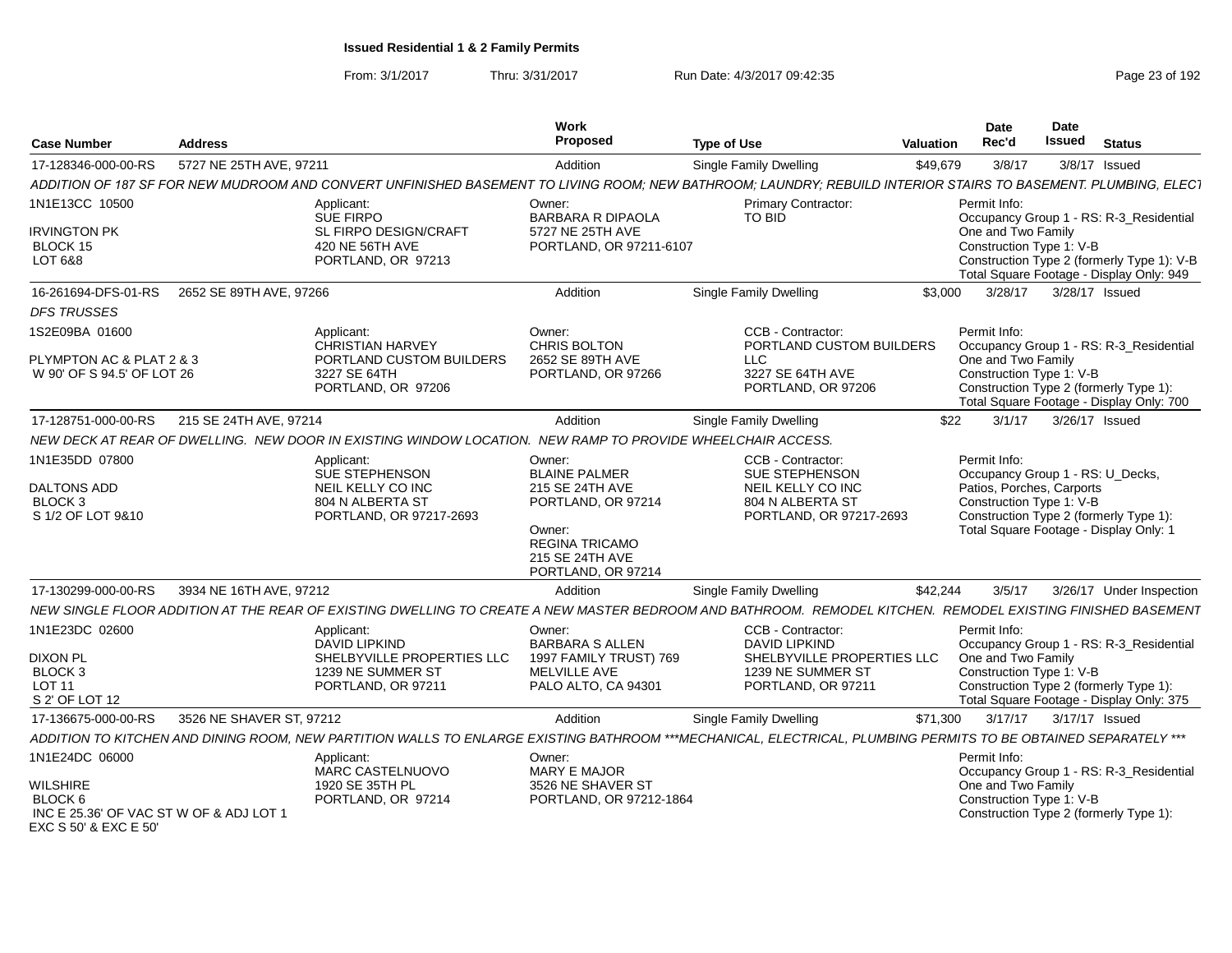| <b>Case Number</b>                                               | <b>Address</b>           |                                                                                                                                                                 | Work<br>Proposed                                                         | <b>Type of Use</b>                            | Valuation | <b>Date</b><br>Rec'd                             | Date<br><b>Issued</b> | <b>Status</b>                                                                          |
|------------------------------------------------------------------|--------------------------|-----------------------------------------------------------------------------------------------------------------------------------------------------------------|--------------------------------------------------------------------------|-----------------------------------------------|-----------|--------------------------------------------------|-----------------------|----------------------------------------------------------------------------------------|
| 17-128346-000-00-RS                                              | 5727 NE 25TH AVE, 97211  |                                                                                                                                                                 | Addition                                                                 | Single Family Dwelling                        | \$49,679  | 3/8/17                                           |                       | 3/8/17 Issued                                                                          |
|                                                                  |                          | ADDITION OF 187 SF FOR NEW MUDROOM AND CONVERT UNFINISHED BASEMENT TO LIVING ROOM: NEW BATHROOM: LAUNDRY: REBUILD INTERIOR STAIRS TO BASEMENT. PLUMBING, ELECT  |                                                                          |                                               |           |                                                  |                       |                                                                                        |
| 1N1E13CC 10500                                                   |                          | Applicant:<br>SUE FIRPO                                                                                                                                         | Owner:<br><b>BARBARA R DIPAOLA</b>                                       | <b>Primary Contractor:</b><br>TO BID          |           | Permit Info:                                     |                       | Occupancy Group 1 - RS: R-3 Residential                                                |
| <b>IRVINGTON PK</b>                                              |                          | SL FIRPO DESIGN/CRAFT                                                                                                                                           | 5727 NE 25TH AVE                                                         |                                               |           | One and Two Family                               |                       |                                                                                        |
| BLOCK 15                                                         |                          | 420 NE 56TH AVE                                                                                                                                                 | PORTLAND, OR 97211-6107                                                  |                                               |           | Construction Type 1: V-B                         |                       |                                                                                        |
| LOT 6&8                                                          |                          | PORTLAND, OR 97213                                                                                                                                              |                                                                          |                                               |           |                                                  |                       | Construction Type 2 (formerly Type 1): V-B<br>Total Square Footage - Display Only: 949 |
| 16-261694-DFS-01-RS                                              | 2652 SE 89TH AVE, 97266  |                                                                                                                                                                 | Addition                                                                 | <b>Single Family Dwelling</b>                 | \$3,000   | 3/28/17                                          |                       | 3/28/17 Issued                                                                         |
| <b>DFS TRUSSES</b>                                               |                          |                                                                                                                                                                 |                                                                          |                                               |           |                                                  |                       |                                                                                        |
| 1S2E09BA 01600                                                   |                          | Applicant:<br><b>CHRISTIAN HARVEY</b>                                                                                                                           | Owner:<br>CHRIS BOLTON                                                   | CCB - Contractor:<br>PORTLAND CUSTOM BUILDERS |           | Permit Info:                                     |                       | Occupancy Group 1 - RS: R-3_Residential                                                |
| PLYMPTON AC & PLAT 2 & 3                                         |                          | PORTLAND CUSTOM BUILDERS                                                                                                                                        | 2652 SE 89TH AVE                                                         | <b>LLC</b>                                    |           | One and Two Family                               |                       |                                                                                        |
| W 90' OF S 94.5' OF LOT 26                                       |                          | 3227 SE 64TH<br>PORTLAND, OR 97206                                                                                                                              | PORTLAND, OR 97266                                                       | 3227 SE 64TH AVE<br>PORTLAND, OR 97206        |           | Construction Type 1: V-B                         |                       | Construction Type 2 (formerly Type 1):<br>Total Square Footage - Display Only: 700     |
| 17-128751-000-00-RS                                              | 215 SE 24TH AVE, 97214   |                                                                                                                                                                 | Addition                                                                 | Single Family Dwelling                        | \$22      | 3/1/17                                           |                       | 3/26/17 Issued                                                                         |
|                                                                  |                          | NEW DECK AT REAR OF DWELLING. NEW DOOR IN EXISTING WINDOW LOCATION. NEW RAMP TO PROVIDE WHEELCHAIR ACCESS.                                                      |                                                                          |                                               |           |                                                  |                       |                                                                                        |
| 1N1E35DD 07800                                                   |                          | Applicant:<br>SUE STEPHENSON                                                                                                                                    | Owner:<br><b>BLAINE PALMER</b>                                           | CCB - Contractor:<br>SUE STEPHENSON           |           | Permit Info:<br>Occupancy Group 1 - RS: U_Decks, |                       |                                                                                        |
| <b>DALTONS ADD</b>                                               |                          | NEIL KELLY CO INC                                                                                                                                               | 215 SE 24TH AVE                                                          | NEIL KELLY CO INC                             |           | Patios, Porches, Carports                        |                       |                                                                                        |
| BLOCK <sub>3</sub><br>S 1/2 OF LOT 9&10                          |                          | 804 N ALBERTA ST<br>PORTLAND, OR 97217-2693                                                                                                                     | PORTLAND, OR 97214                                                       | 804 N ALBERTA ST<br>PORTLAND, OR 97217-2693   |           | Construction Type 1: V-B                         |                       | Construction Type 2 (formerly Type 1):                                                 |
|                                                                  |                          |                                                                                                                                                                 | Owner:<br><b>REGINA TRICAMO</b><br>215 SE 24TH AVE<br>PORTLAND, OR 97214 |                                               |           |                                                  |                       | Total Square Footage - Display Only: 1                                                 |
| 17-130299-000-00-RS                                              | 3934 NE 16TH AVE, 97212  |                                                                                                                                                                 | Addition                                                                 | <b>Single Family Dwelling</b>                 | \$42,244  | 3/5/17                                           |                       | 3/26/17 Under Inspection                                                               |
|                                                                  |                          | NEW SINGLE FLOOR ADDITION AT THE REAR OF EXISTING DWELLING TO CREATE A NEW MASTER BEDROOM AND BATHROOM. REMODEL KITCHEN. REMODEL EXISTING FINISHED BASEMENT     |                                                                          |                                               |           |                                                  |                       |                                                                                        |
| 1N1E23DC 02600                                                   |                          | Applicant:<br><b>DAVID LIPKIND</b>                                                                                                                              | Owner:<br><b>BARBARA S ALLEN</b>                                         | CCB - Contractor:<br><b>DAVID LIPKIND</b>     |           | Permit Info:                                     |                       | Occupancy Group 1 - RS: R-3_Residential                                                |
| <b>DIXON PL</b>                                                  |                          | SHELBYVILLE PROPERTIES LLC                                                                                                                                      | 1997 FAMILY TRUST) 769                                                   | SHELBYVILLE PROPERTIES LLC                    |           | One and Two Family                               |                       |                                                                                        |
| BLOCK <sub>3</sub><br><b>LOT 11</b>                              |                          | 1239 NE SUMMER ST<br>PORTLAND, OR 97211                                                                                                                         | <b>MELVILLE AVE</b><br>PALO ALTO, CA 94301                               | 1239 NE SUMMER ST<br>PORTLAND, OR 97211       |           | Construction Type 1: V-B                         |                       | Construction Type 2 (formerly Type 1):                                                 |
| S 2' OF LOT 12                                                   |                          |                                                                                                                                                                 |                                                                          |                                               |           |                                                  |                       | Total Square Footage - Display Only: 375                                               |
| 17-136675-000-00-RS                                              | 3526 NE SHAVER ST, 97212 |                                                                                                                                                                 | Addition                                                                 | Single Family Dwelling                        | \$71,300  | 3/17/17                                          | 3/17/17 Issued        |                                                                                        |
|                                                                  |                          | ADDITION TO KITCHEN AND DINING ROOM, NEW PARTITION WALLS TO ENLARGE EXISTING BATHROOM ***MECHANICAL, ELECTRICAL, PLUMBING PERMITS TO BE OBTAINED SEPARATELY *** |                                                                          |                                               |           |                                                  |                       |                                                                                        |
| 1N1E24DC 06000                                                   |                          | Applicant:<br>MARC CASTELNUOVO                                                                                                                                  | Owner:<br><b>MARY E MAJOR</b>                                            |                                               |           | Permit Info:                                     |                       | Occupancy Group 1 - RS: R-3_Residential                                                |
| <b>WILSHIRE</b>                                                  |                          | 1920 SE 35TH PL                                                                                                                                                 | 3526 NE SHAVER ST                                                        |                                               |           | One and Two Family                               |                       |                                                                                        |
| BLOCK 6                                                          |                          | PORTLAND, OR 97214                                                                                                                                              | PORTLAND, OR 97212-1864                                                  |                                               |           | Construction Type 1: V-B                         |                       |                                                                                        |
| INC E 25.36' OF VAC ST W OF & ADJ LOT 1<br>EXC S 50' & EXC E 50' |                          |                                                                                                                                                                 |                                                                          |                                               |           |                                                  |                       | Construction Type 2 (formerly Type 1):                                                 |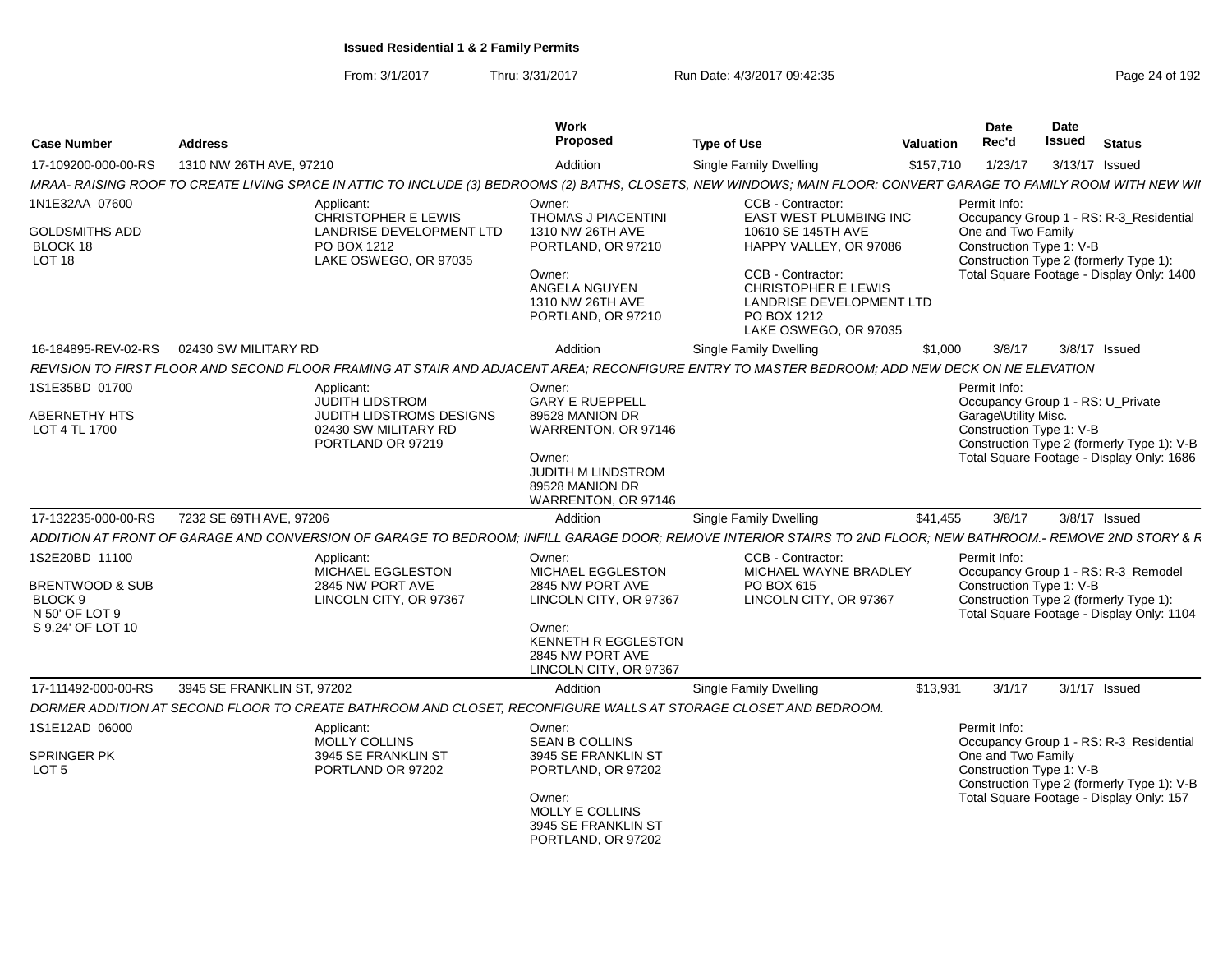From: 3/1/2017Thru: 3/31/2017 Run Date: 4/3/2017 09:42:35 Page 24 of 192

| <b>Case Number</b>                                                                             | <b>Address</b> |                                                                                                       | Work<br>Proposed                                                                                                                                         | <b>Type of Use</b>                                                                                                                             | <b>Date</b><br>Date<br>Rec'd<br><b>Issued</b> Status<br>Valuation                                                                                                      |
|------------------------------------------------------------------------------------------------|----------------|-------------------------------------------------------------------------------------------------------|----------------------------------------------------------------------------------------------------------------------------------------------------------|------------------------------------------------------------------------------------------------------------------------------------------------|------------------------------------------------------------------------------------------------------------------------------------------------------------------------|
| 17-109200-000-00-RS 1310 NW 26TH AVE, 97210                                                    |                |                                                                                                       | Addition                                                                                                                                                 | Single Family Dwelling                                                                                                                         | \$157,710  1/23/17  3/13/17  Issued                                                                                                                                    |
|                                                                                                |                | MRAA- RAISING ROOF TO CREATE LIVING SPACE IN ATTIC TO INCLUDE (3) BEDROOMS (2) BATHS, C               |                                                                                                                                                          |                                                                                                                                                | CLOSETS. NEW WINDOWS: MAIN FLOOR: CONVERT GARAGE TO FAMILY ROOM WITH NEW WII                                                                                           |
| 1N1E32AA 07600<br><b>GOLDSMITHS ADD</b><br>BLOCK 18<br><b>LOT 18</b>                           |                | Applicant:<br>CHRISTOPHER E LEWIS<br>LANDRISE DEVELOPMENT LTD<br>PO BOX 1212<br>LAKE OSWEGO, OR 97035 | Owner:<br>THOMAS J PIACENTINI<br>1310 NW 26TH AVE<br>PORTLAND, OR 97210                                                                                  | CCB - Contractor:<br>EAST WEST PLUMBING INC<br>10610 SE 145TH AVE<br>HAPPY VALLEY, OR 97086                                                    | Permit Info:<br>Occupancy Group 1 - RS: R-3_Residential<br>One and Two Family<br>Construction Type 1: V-B<br>Construction Type 2 (formerly Type 1):                    |
|                                                                                                |                |                                                                                                       | Owner:<br>ANGELA NGUYEN<br>1310 NW 26TH AVE<br>PORTLAND, OR 97210                                                                                        | CCB - Contractor:<br>CHRISTOPHER E LEWIS<br>LANDRISE DEVELOPMENT LTD<br>PO BOX 1212<br>LAKE OSWEGO, OR 97035                                   | Total Square Footage - Display Only: 1400<br>and the control of the control of                                                                                         |
| 16-184895-REV-02-RS   02430 SW MILITARY RD                                                     |                |                                                                                                       | Addition                                                                                                                                                 | Single Family Dwelling                                                                                                                         | \$1,000<br>3/8/17   3/8/17   Issued                                                                                                                                    |
|                                                                                                |                |                                                                                                       |                                                                                                                                                          | REVISION TO FIRST FLOOR AND SECOND FLOOR FRAMING AT STAIR AND ADJACENT AREA; RECONFIGURE ENTRY TO MASTER BEDROOM; ADD NEW DECK ON NE ELEVATION |                                                                                                                                                                        |
| 1S1E35BD 01700                                                                                 |                | Applicant:<br><b>JUDITH LIDSTROM</b>                                                                  | Owner:<br><b>GARY E RUEPPELL</b>                                                                                                                         |                                                                                                                                                | Permit Info:<br>Occupancy Group 1 - RS: U_Private                                                                                                                      |
| ABERNETHY HTS<br>LOT 4 TL 1700                                                                 |                | JUDITH LIDSTROMS DESIGNS<br>02430 SW MILITARY RD                                                      | 89528 MANION DR<br>WARRENTON, OR 97146                                                                                                                   |                                                                                                                                                | Garage\Utility Misc.<br>Construction Type 1: V-B                                                                                                                       |
|                                                                                                |                | PORTLAND OR 97219                                                                                     | Owner:<br>JUDITH M LINDSTROM<br>89528 MANION DR<br>WARRENTON, OR 97146                                                                                   |                                                                                                                                                | Construction Type 2 (formerly Type 1): V-B<br>Total Square Footage - Display Only: 1686                                                                                |
| 17-132235-000-00-RS 7232 SE 69TH AVE, 97206                                                    |                |                                                                                                       | Addition                                                                                                                                                 | Single Family Dwelling                                                                                                                         | \$41,455 3/8/17 3/8/17 Issued                                                                                                                                          |
|                                                                                                |                |                                                                                                       |                                                                                                                                                          |                                                                                                                                                | ADDITION AT FRONT OF GARAGE AND CONVERSION OF GARAGE TO BEDROOM; INFILL GARAGE DOOR; REMOVE INTERIOR STAIRS TO 2ND FLOOR; NEW BATHROOM.- REMOVE 2ND STORY & F.         |
| 1S2E20BD 11100<br><b>BRENTWOOD &amp; SUB</b><br>BLOCK 9<br>N 50' OF LOT 9<br>S 9.24' OF LOT 10 |                | Applicant:<br>MICHAEL EGGLESTON<br>2845 NW PORT AVE<br>LINCOLN CITY, OR 97367                         | Owner:<br>MICHAEL EGGLESTON<br>2845 NW PORT AVE<br>LINCOLN CITY, OR 97367<br>Owner:<br>KENNETH R EGGLESTON<br>2845 NW PORT AVE<br>LINCOLN CITY, OR 97367 | CCB - Contractor:<br>MICHAEL WAYNE BRADLEY<br>PO BOX 615<br>LINCOLN CITY, OR 97367                                                             | Permit Info:<br>Occupancy Group 1 - RS: R-3_Remodel<br>Construction Type 1: V-B<br>Construction Type 2 (formerly Type 1):<br>Total Square Footage - Display Only: 1104 |
| 17-111492-000-00-RS 3945 SE FRANKLIN ST, 97202                                                 |                |                                                                                                       | Addition                                                                                                                                                 | Single Family Dwelling                                                                                                                         | \$13,931 3/1/17 3/1/17 Issued                                                                                                                                          |
|                                                                                                |                |                                                                                                       |                                                                                                                                                          | DORMER ADDITION AT SECOND FLOOR TO CREATE BATHROOM AND CLOSET, RECONFIGURE WALLS AT STORAGE CLOSET AND BEDROOM.                                |                                                                                                                                                                        |
| 1S1E12AD 06000                                                                                 |                | Applicant:<br>MOLLY COLLINS                                                                           | Owner:<br><b>SEAN B COLLINS</b>                                                                                                                          |                                                                                                                                                | Permit Info:<br>Occupancy Group 1 - RS: R-3_Residential                                                                                                                |
| SPRINGER PK<br>LOT 5                                                                           |                | 3945 SE FRANKLIN ST<br>PORTLAND OR 97202                                                              | 3945 SE FRANKLIN ST<br>PORTLAND, OR 97202                                                                                                                |                                                                                                                                                | One and Two Family<br>Construction Type 1: V-B<br>Construction Type 2 (formerly Type 1): V-B                                                                           |
|                                                                                                |                |                                                                                                       | Owner:<br>MOLLY E COLLINS<br>3945 SE FRANKLIN ST<br>PORTLAND, OR 97202                                                                                   |                                                                                                                                                | Total Square Footage - Display Only: 157                                                                                                                               |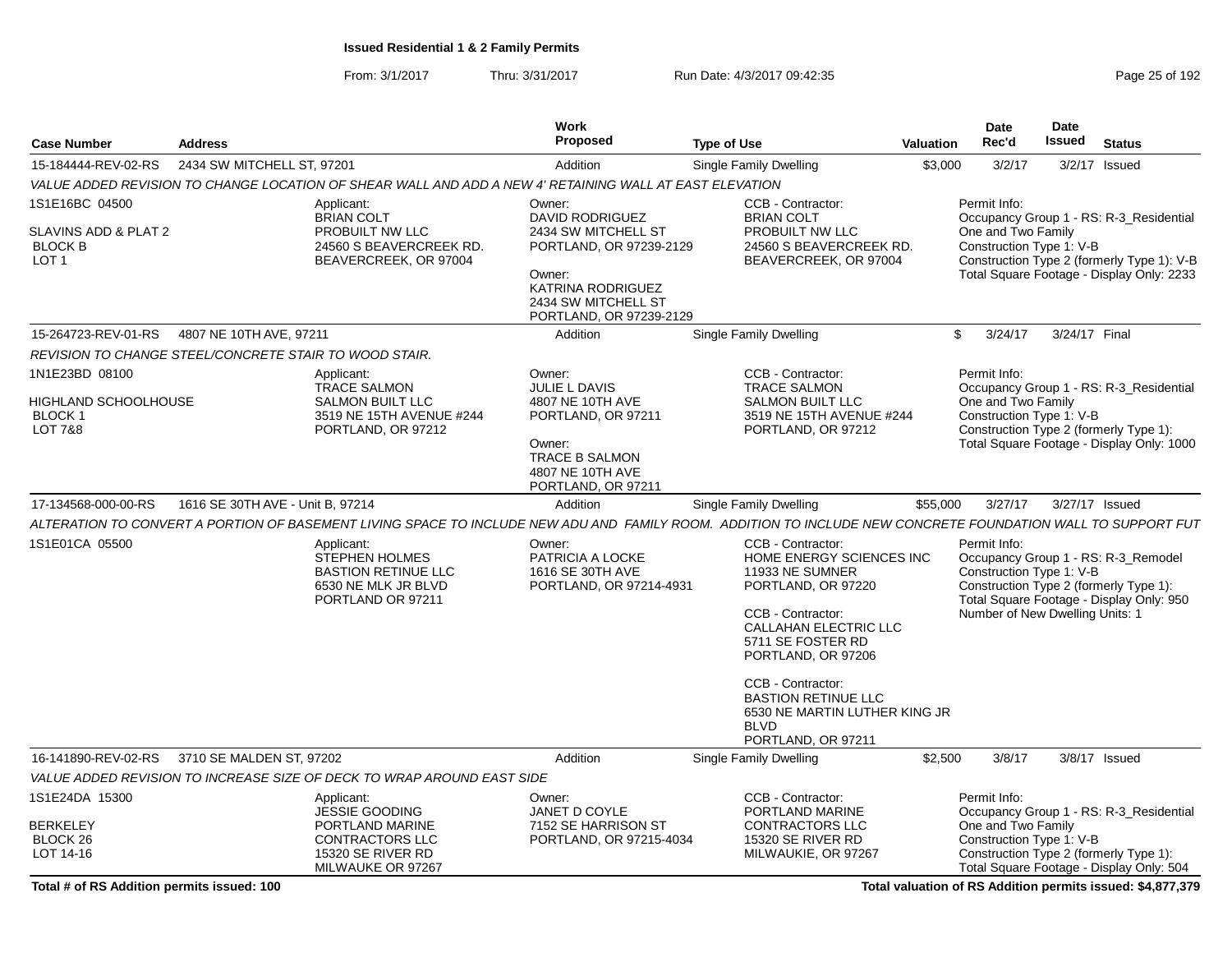From: 3/1/2017Thru: 3/31/2017 **Run Date: 4/3/2017 09:42:35** Page 25 of 192

| <b>Case Number</b>                                                            | <b>Address</b>                   |                                                                                                                                   | Work<br>Proposed                                                                                                                                             | <b>Type of Use</b>                                                                                                                                                                                                                                                                                                            | <b>Valuation</b> | <b>Date</b><br>Rec'd                                                        | Date<br><b>Issued</b> | <b>Status</b>                                                                                                                      |  |
|-------------------------------------------------------------------------------|----------------------------------|-----------------------------------------------------------------------------------------------------------------------------------|--------------------------------------------------------------------------------------------------------------------------------------------------------------|-------------------------------------------------------------------------------------------------------------------------------------------------------------------------------------------------------------------------------------------------------------------------------------------------------------------------------|------------------|-----------------------------------------------------------------------------|-----------------------|------------------------------------------------------------------------------------------------------------------------------------|--|
| 15-184444-REV-02-RS                                                           | 2434 SW MITCHELL ST, 97201       |                                                                                                                                   | Addition                                                                                                                                                     | Single Family Dwelling                                                                                                                                                                                                                                                                                                        | \$3,000          | 3/2/17                                                                      |                       | 3/2/17 Issued                                                                                                                      |  |
|                                                                               |                                  | VALUE ADDED REVISION TO CHANGE LOCATION OF SHEAR WALL AND ADD A NEW 4' RETAINING WALL AT EAST ELEVATION                           |                                                                                                                                                              |                                                                                                                                                                                                                                                                                                                               |                  |                                                                             |                       |                                                                                                                                    |  |
| 1S1E16BC 04500<br>SLAVINS ADD & PLAT 2<br><b>BLOCK B</b><br>LOT <sub>1</sub>  |                                  | Applicant:<br><b>BRIAN COLT</b><br>PROBUILT NW LLC<br>24560 S BEAVERCREEK RD.<br>BEAVERCREEK, OR 97004                            | Owner:<br>DAVID RODRIGUEZ<br>2434 SW MITCHELL ST<br>PORTLAND, OR 97239-2129<br>Owner:<br>KATRINA RODRIGUEZ<br>2434 SW MITCHELL ST<br>PORTLAND, OR 97239-2129 | CCB - Contractor:<br><b>BRIAN COLT</b><br>PROBUILT NW LLC<br>24560 S BEAVERCREEK RD.<br>BEAVERCREEK, OR 97004                                                                                                                                                                                                                 |                  | Permit Info:<br>One and Two Family<br>Construction Type 1: V-B              |                       | Occupancy Group 1 - RS: R-3_Residential<br>Construction Type 2 (formerly Type 1): V-B<br>Total Square Footage - Display Only: 2233 |  |
| 15-264723-REV-01-RS                                                           | 4807 NE 10TH AVE, 97211          |                                                                                                                                   | Addition                                                                                                                                                     | <b>Single Family Dwelling</b>                                                                                                                                                                                                                                                                                                 | \$               | 3/24/17                                                                     | 3/24/17 Final         |                                                                                                                                    |  |
| REVISION TO CHANGE STEEL/CONCRETE STAIR TO WOOD STAIR.                        |                                  |                                                                                                                                   |                                                                                                                                                              |                                                                                                                                                                                                                                                                                                                               |                  |                                                                             |                       |                                                                                                                                    |  |
| 1N1E23BD 08100<br>HIGHLAND SCHOOLHOUSE<br><b>BLOCK1</b><br><b>LOT 7&amp;8</b> |                                  | Applicant:<br><b>TRACE SALMON</b><br><b>SALMON BUILT LLC</b><br>3519 NE 15TH AVENUE #244<br>PORTLAND, OR 97212                    | Owner:<br><b>JULIE L DAVIS</b><br>4807 NE 10TH AVE<br>PORTLAND, OR 97211<br>Owner:<br>TRACE B SALMON<br>4807 NE 10TH AVE<br>PORTLAND, OR 97211               | CCB - Contractor:<br><b>TRACE SALMON</b><br><b>SALMON BUILT LLC</b><br>3519 NE 15TH AVENUE #244<br>PORTLAND, OR 97212                                                                                                                                                                                                         |                  | Permit Info:<br>One and Two Family<br>Construction Type 1: V-B              |                       | Occupancy Group 1 - RS: R-3 Residential<br>Construction Type 2 (formerly Type 1):<br>Total Square Footage - Display Only: 1000     |  |
| 17-134568-000-00-RS                                                           | 1616 SE 30TH AVE - Unit B. 97214 |                                                                                                                                   | Addition                                                                                                                                                     | Single Family Dwelling                                                                                                                                                                                                                                                                                                        | \$55,000         | 3/27/17                                                                     |                       | 3/27/17 Issued                                                                                                                     |  |
|                                                                               |                                  |                                                                                                                                   |                                                                                                                                                              | ALTERATION TO CONVERT A PORTION OF BASEMENT LIVING SPACE TO INCLUDE NEW ADU AND FAMILY ROOM. ADDITION TO INCLUDE NEW CONCRETE FOUNDATION WALL TO SUPPORT FUT                                                                                                                                                                  |                  |                                                                             |                       |                                                                                                                                    |  |
| 1S1E01CA 05500                                                                |                                  | Applicant:<br><b>STEPHEN HOLMES</b><br><b>BASTION RETINUE LLC</b><br>6530 NE MLK JR BLVD<br>PORTLAND OR 97211                     | Owner:<br>PATRICIA A LOCKE<br>1616 SE 30TH AVE<br>PORTLAND, OR 97214-4931                                                                                    | <b>CCB - Contractor:</b><br>HOME ENERGY SCIENCES INC<br>11933 NE SUMNER<br>PORTLAND, OR 97220<br><b>CCB - Contractor:</b><br><b>CALLAHAN ELECTRIC LLC</b><br>5711 SE FOSTER RD<br>PORTLAND, OR 97206<br>CCB - Contractor:<br><b>BASTION RETINUE LLC</b><br>6530 NE MARTIN LUTHER KING JR<br><b>BLVD</b><br>PORTLAND, OR 97211 |                  | Permit Info:<br>Construction Type 1: V-B<br>Number of New Dwelling Units: 1 |                       | Occupancy Group 1 - RS: R-3_Remodel<br>Construction Type 2 (formerly Type 1):<br>Total Square Footage - Display Only: 950          |  |
| 16-141890-REV-02-RS                                                           | 3710 SE MALDEN ST, 97202         |                                                                                                                                   | Addition                                                                                                                                                     | Single Family Dwelling                                                                                                                                                                                                                                                                                                        | \$2,500          | 3/8/17                                                                      |                       | 3/8/17 Issued                                                                                                                      |  |
|                                                                               |                                  | VALUE ADDED REVISION TO INCREASE SIZE OF DECK TO WRAP AROUND EAST SIDE                                                            |                                                                                                                                                              |                                                                                                                                                                                                                                                                                                                               |                  |                                                                             |                       |                                                                                                                                    |  |
| 1S1E24DA 15300<br><b>BERKELEY</b><br>BLOCK 26<br>LOT 14-16                    |                                  | Applicant:<br><b>JESSIE GOODING</b><br>PORTLAND MARINE<br><b>CONTRACTORS LLC</b><br><b>15320 SE RIVER RD</b><br>MILWAUKE OR 97267 | Owner:<br>JANET D COYLE<br>7152 SE HARRISON ST<br>PORTLAND, OR 97215-4034                                                                                    | CCB - Contractor:<br>PORTLAND MARINE<br>CONTRACTORS LLC<br><b>15320 SE RIVER RD</b><br>MILWAUKIE, OR 97267                                                                                                                                                                                                                    |                  | Permit Info:<br>One and Two Family<br>Construction Type 1: V-B              |                       | Occupancy Group 1 - RS: R-3_Residential<br>Construction Type 2 (formerly Type 1):<br>Total Square Footage - Display Only: 504      |  |

**Total valuation of RS Addition permits issued: \$4,877,379**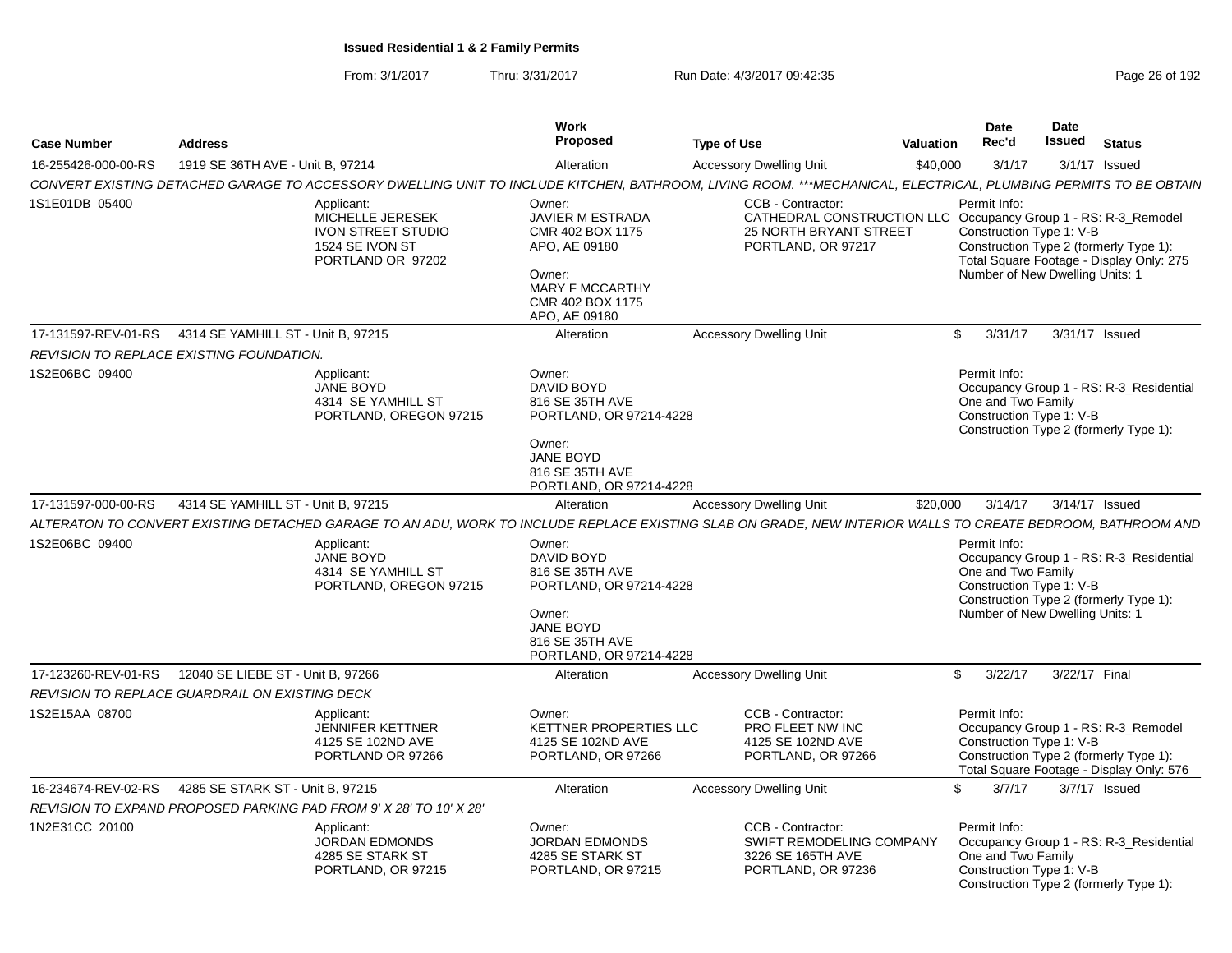From: 3/1/2017Thru: 3/31/2017 Run Date: 4/3/2017 09:42:35 Page 26 of 192

| <b>Case Number</b>                             | <b>Address</b>                     |                                                                                                     | Work<br><b>Proposed</b>                                                                                                                  | <b>Type of Use</b>                                                                                                                                              | Valuation | <b>Date</b><br>Rec'd                                                                              | Date<br><b>Issued</b> | <b>Status</b>                                                                                                             |
|------------------------------------------------|------------------------------------|-----------------------------------------------------------------------------------------------------|------------------------------------------------------------------------------------------------------------------------------------------|-----------------------------------------------------------------------------------------------------------------------------------------------------------------|-----------|---------------------------------------------------------------------------------------------------|-----------------------|---------------------------------------------------------------------------------------------------------------------------|
| 16-255426-000-00-RS                            | 1919 SE 36TH AVE - Unit B. 97214   |                                                                                                     | Alteration                                                                                                                               | <b>Accessory Dwelling Unit</b>                                                                                                                                  | \$40,000  | 3/1/17                                                                                            |                       | 3/1/17 Issued                                                                                                             |
|                                                |                                    |                                                                                                     |                                                                                                                                          | CONVERT EXISTING DETACHED GARAGE TO ACCESSORY DWELLING UNIT TO INCLUDE KITCHEN, BATHROOM, LIVING ROOM. ***MECHANICAL, ELECTRICAL, PLUMBING PERMITS TO BE OBTAIN |           |                                                                                                   |                       |                                                                                                                           |
| 1S1E01DB 05400                                 |                                    | Applicant:<br>MICHELLE JERESEK<br><b>IVON STREET STUDIO</b><br>1524 SE IVON ST<br>PORTLAND OR 97202 | Owner:<br><b>JAVIER M ESTRADA</b><br>CMR 402 BOX 1175<br>APO, AE 09180<br>Owner:<br>MARY F MCCARTHY<br>CMR 402 BOX 1175<br>APO, AE 09180 | CCB - Contractor:<br>CATHEDRAL CONSTRUCTION LLC Occupancy Group 1 - RS: R-3 Remodel<br><b>25 NORTH BRYANT STREET</b><br>PORTLAND, OR 97217                      |           | Permit Info:<br>Construction Type 1: V-B<br>Number of New Dwelling Units: 1                       |                       | Construction Type 2 (formerly Type 1):<br>Total Square Footage - Display Only: 275                                        |
| 17-131597-REV-01-RS                            | 4314 SE YAMHILL ST - Unit B. 97215 |                                                                                                     | Alteration                                                                                                                               | <b>Accessory Dwelling Unit</b>                                                                                                                                  |           | 3/31/17<br>$\mathbb{S}$                                                                           |                       | 3/31/17 Issued                                                                                                            |
| REVISION TO REPLACE EXISTING FOUNDATION.       |                                    |                                                                                                     |                                                                                                                                          |                                                                                                                                                                 |           |                                                                                                   |                       |                                                                                                                           |
| 1S2E06BC 09400                                 |                                    | Applicant:<br>JANE BOYD<br>4314 SE YAMHILL ST<br>PORTLAND, OREGON 97215                             | Owner:<br>DAVID BOYD<br>816 SE 35TH AVE<br>PORTLAND, OR 97214-4228<br>Owner:<br>JANE BOYD<br>816 SE 35TH AVE<br>PORTLAND, OR 97214-4228  |                                                                                                                                                                 |           | Permit Info:<br>One and Two Family<br>Construction Type 1: V-B                                    |                       | Occupancy Group 1 - RS: R-3 Residential<br>Construction Type 2 (formerly Type 1):                                         |
| 17-131597-000-00-RS                            | 4314 SE YAMHILL ST - Unit B, 97215 |                                                                                                     | Alteration                                                                                                                               | <b>Accessory Dwelling Unit</b>                                                                                                                                  | \$20,000  | 3/14/17                                                                                           |                       | 3/14/17 Issued                                                                                                            |
|                                                |                                    |                                                                                                     |                                                                                                                                          | ALTERATON TO CONVERT EXISTING DETACHED GARAGE TO AN ADU, WORK TO INCLUDE REPLACE EXISTING SLAB ON GRADE, NEW INTERIOR WALLS TO CREATE BEDROOM, BATHROOM AND     |           |                                                                                                   |                       |                                                                                                                           |
| 1S2E06BC 09400                                 |                                    | Applicant:<br>JANE BOYD<br>4314 SE YAMHILL ST<br>PORTLAND, OREGON 97215                             | Owner:<br>DAVID BOYD<br>816 SE 35TH AVE<br>PORTLAND, OR 97214-4228<br>Owner:<br>JANE BOYD<br>816 SE 35TH AVE<br>PORTLAND, OR 97214-4228  |                                                                                                                                                                 |           | Permit Info:<br>One and Two Family<br>Construction Type 1: V-B<br>Number of New Dwelling Units: 1 |                       | Occupancy Group 1 - RS: R-3_Residential<br>Construction Type 2 (formerly Type 1):                                         |
| 17-123260-REV-01-RS                            | 12040 SE LIEBE ST - Unit B, 97266  |                                                                                                     | Alteration                                                                                                                               | <b>Accessory Dwelling Unit</b>                                                                                                                                  |           | \$<br>3/22/17                                                                                     | 3/22/17 Final         |                                                                                                                           |
| REVISION TO REPLACE GUARDRAIL ON EXISTING DECK |                                    |                                                                                                     |                                                                                                                                          |                                                                                                                                                                 |           |                                                                                                   |                       |                                                                                                                           |
| 1S2E15AA 08700                                 |                                    | Applicant:<br><b>JENNIFER KETTNER</b><br>4125 SE 102ND AVE<br>PORTLAND OR 97266                     | Owner:<br>KETTNER PROPERTIES LLC<br>4125 SE 102ND AVE<br>PORTLAND, OR 97266                                                              | CCB - Contractor:<br>PRO FLEET NW INC<br>4125 SE 102ND AVE<br>PORTLAND, OR 97266                                                                                |           | Permit Info:<br>Construction Type 1: V-B                                                          |                       | Occupancy Group 1 - RS: R-3_Remodel<br>Construction Type 2 (formerly Type 1):<br>Total Square Footage - Display Only: 576 |
| 16-234674-REV-02-RS                            | 4285 SE STARK ST - Unit B, 97215   |                                                                                                     | Alteration                                                                                                                               | <b>Accessory Dwelling Unit</b>                                                                                                                                  |           | $\mathbb{S}$<br>3/7/17                                                                            |                       | 3/7/17 Issued                                                                                                             |
|                                                |                                    | REVISION TO EXPAND PROPOSED PARKING PAD FROM 9' X 28' TO 10' X 28'                                  |                                                                                                                                          |                                                                                                                                                                 |           |                                                                                                   |                       |                                                                                                                           |
| 1N2E31CC 20100                                 |                                    | Applicant:<br><b>JORDAN EDMONDS</b><br>4285 SE STARK ST<br>PORTLAND, OR 97215                       | Owner:<br><b>JORDAN EDMONDS</b><br>4285 SE STARK ST<br>PORTLAND, OR 97215                                                                | CCB - Contractor:<br>SWIFT REMODELING COMPANY<br>3226 SE 165TH AVE<br>PORTLAND, OR 97236                                                                        |           | Permit Info:<br>One and Two Family<br>Construction Type 1: V-B                                    |                       | Occupancy Group 1 - RS: R-3_Residential<br>Construction Type 2 (formerly Type 1):                                         |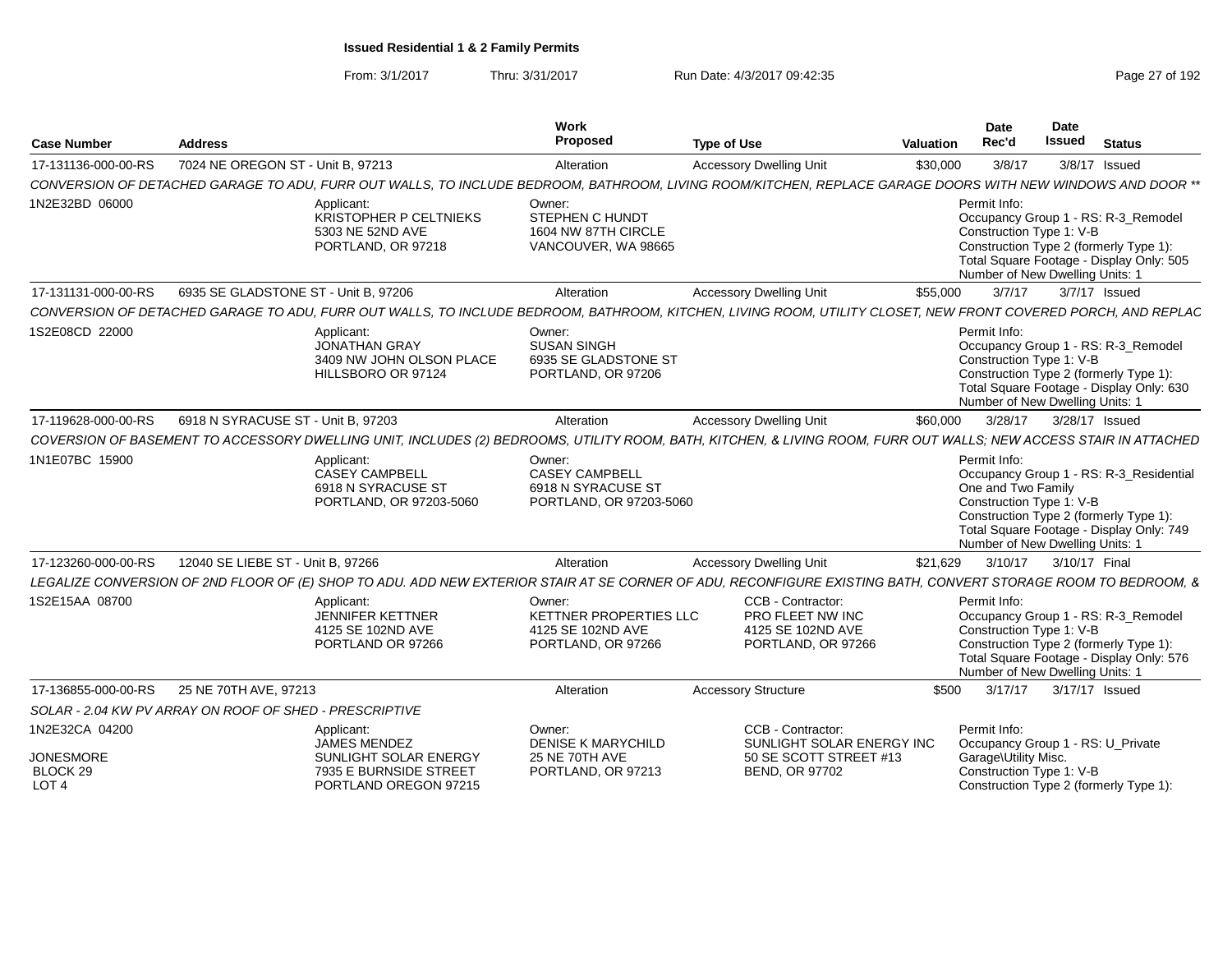From: 3/1/2017Thru: 3/31/2017 Run Date: 4/3/2017 09:42:35 Page 27 of 192

| <b>Case Number</b>                               | <b>Address</b>                                          |                                                                                      | Work<br>Proposed                                                                 | <b>Type of Use</b>                                                                                                                                                | Valuation | Date<br>Rec'd                                                                                                                               | <b>Date</b><br><b>Issued</b> | <b>Status</b>                                                                       |
|--------------------------------------------------|---------------------------------------------------------|--------------------------------------------------------------------------------------|----------------------------------------------------------------------------------|-------------------------------------------------------------------------------------------------------------------------------------------------------------------|-----------|---------------------------------------------------------------------------------------------------------------------------------------------|------------------------------|-------------------------------------------------------------------------------------|
| 17-131136-000-00-RS                              | 7024 NE OREGON ST - Unit B. 97213                       |                                                                                      | Alteration                                                                       | <b>Accessory Dwelling Unit</b>                                                                                                                                    | \$30,000  | 3/8/17                                                                                                                                      | 3/8/17 Issued                |                                                                                     |
|                                                  |                                                         |                                                                                      |                                                                                  | CONVERSION OF DETACHED GARAGE TO ADU, FURR OUT WALLS, TO INCLUDE BEDROOM, BATHROOM, LIVING ROOM/KITCHEN, REPLACE GARAGE DOORS WITH NEW WINDOWS AND DOOR **        |           |                                                                                                                                             |                              |                                                                                     |
| 1N2E32BD 06000                                   |                                                         | Applicant:<br>KRISTOPHER P CELTNIEKS<br>5303 NE 52ND AVE<br>PORTLAND, OR 97218       | Owner:<br>STEPHEN C HUNDT<br>1604 NW 87TH CIRCLE<br>VANCOUVER, WA 98665          |                                                                                                                                                                   |           | Permit Info:<br>Construction Type 1: V-B<br>Construction Type 2 (formerly Type 1)<br>Number of New Dwelling Units: 1                        |                              | Occupancy Group 1 - RS: R-3_Remodel<br>Total Square Footage - Display Only: 505     |
| 17-131131-000-00-RS                              | 6935 SE GLADSTONE ST - Unit B, 97206                    |                                                                                      | Alteration                                                                       | <b>Accessory Dwelling Unit</b>                                                                                                                                    | \$55,000  | 3/7/17                                                                                                                                      | 3/7/17 Issued                |                                                                                     |
|                                                  |                                                         |                                                                                      |                                                                                  | CONVERSION OF DETACHED GARAGE TO ADU. FURR OUT WALLS. TO INCLUDE BEDROOM, BATHROOM, KITCHEN, LIVING ROOM, UTILITY CLOSET, NEW FRONT COVERED PORCH, AND REPLAC     |           |                                                                                                                                             |                              |                                                                                     |
| 1S2E08CD 22000                                   |                                                         | Applicant:<br><b>JONATHAN GRAY</b><br>3409 NW JOHN OLSON PLACE<br>HILLSBORO OR 97124 | Owner:<br><b>SUSAN SINGH</b><br>6935 SE GLADSTONE ST<br>PORTLAND, OR 97206       |                                                                                                                                                                   |           | Permit Info:<br>Construction Type 1: V-B<br>Construction Type 2 (formerly Type 1):<br>Number of New Dwelling Units: 1                       |                              | Occupancy Group 1 - RS: R-3_Remodel<br>Total Square Footage - Display Only: 630     |
| 17-119628-000-00-RS                              | 6918 N SYRACUSE ST - Unit B, 97203                      |                                                                                      | Alteration                                                                       | <b>Accessory Dwelling Unit</b>                                                                                                                                    | \$60,000  | 3/28/17                                                                                                                                     | 3/28/17 Issued               |                                                                                     |
|                                                  |                                                         |                                                                                      |                                                                                  | COVERSION OF BASEMENT TO ACCESSORY DWELLING UNIT, INCLUDES (2) BEDROOMS, UTILITY ROOM, BATH, KITCHEN, & LIVING ROOM, FURR OUT WALLS; NEW ACCESS STAIR IN ATTACHED |           |                                                                                                                                             |                              |                                                                                     |
| 1N1E07BC 15900                                   |                                                         | Applicant:<br>CASEY CAMPBELL<br>6918 N SYRACUSE ST<br>PORTLAND, OR 97203-5060        | Owner:<br><b>CASEY CAMPBELL</b><br>6918 N SYRACUSE ST<br>PORTLAND, OR 97203-5060 |                                                                                                                                                                   |           | Permit Info:<br>One and Two Family<br>Construction Type 1: V-B<br>Construction Type 2 (formerly Type 1):<br>Number of New Dwelling Units: 1 |                              | Occupancy Group 1 - RS: R-3 Residential<br>Total Square Footage - Display Only: 749 |
| 17-123260-000-00-RS                              | 12040 SE LIEBE ST - Unit B, 97266                       |                                                                                      | Alteration                                                                       | <b>Accessory Dwelling Unit</b>                                                                                                                                    | \$21,629  |                                                                                                                                             | 3/10/17  3/10/17  Final      |                                                                                     |
|                                                  |                                                         |                                                                                      |                                                                                  | LEGALIZE CONVERSION OF 2ND FLOOR OF (E) SHOP TO ADU. ADD NEW EXTERIOR STAIR AT SE CORNER OF ADU, RECONFIGURE EXISTING BATH, CONVERT STORAGE ROOM TO BEDROOM, &    |           |                                                                                                                                             |                              |                                                                                     |
| 1S2E15AA 08700                                   |                                                         | Applicant:<br><b>JENNIFER KETTNER</b><br>4125 SE 102ND AVE<br>PORTLAND OR 97266      | Owner:<br>KETTNER PROPERTIES LLC<br>4125 SE 102ND AVE<br>PORTLAND, OR 97266      | CCB - Contractor:<br>PRO FLEET NW INC<br>4125 SE 102ND AVE<br>PORTLAND, OR 97266                                                                                  |           | Permit Info:<br>Construction Type 1: V-B<br>Construction Type 2 (formerly Type 1):<br>Number of New Dwelling Units: 1                       |                              | Occupancy Group 1 - RS: R-3_Remodel<br>Total Square Footage - Display Only: 576     |
| 17-136855-000-00-RS                              | 25 NE 70TH AVE, 97213                                   |                                                                                      | Alteration                                                                       | <b>Accessory Structure</b>                                                                                                                                        | \$500     | 3/17/17                                                                                                                                     | 3/17/17 Issued               |                                                                                     |
|                                                  | SOLAR - 2.04 KW PV ARRAY ON ROOF OF SHED - PRESCRIPTIVE |                                                                                      |                                                                                  |                                                                                                                                                                   |           |                                                                                                                                             |                              |                                                                                     |
| 1N2E32CA 04200                                   |                                                         | Applicant:<br><b>JAMES MENDEZ</b>                                                    | Owner:<br><b>DENISE K MARYCHILD</b>                                              | CCB - Contractor:<br>SUNLIGHT SOLAR ENERGY INC                                                                                                                    |           | Permit Info:<br>Occupancy Group 1 - RS: U_Private                                                                                           |                              |                                                                                     |
| <b>JONESMORE</b><br>BLOCK 29<br>LOT <sub>4</sub> |                                                         | SUNLIGHT SOLAR ENERGY<br>7935 E BURNSIDE STREET<br>PORTLAND OREGON 97215             | 25 NE 70TH AVE<br>PORTLAND, OR 97213                                             | 50 SE SCOTT STREET #13<br><b>BEND, OR 97702</b>                                                                                                                   |           | Garage\Utility Misc.<br>Construction Type 1: V-B<br>Construction Type 2 (formerly Type 1):                                                  |                              |                                                                                     |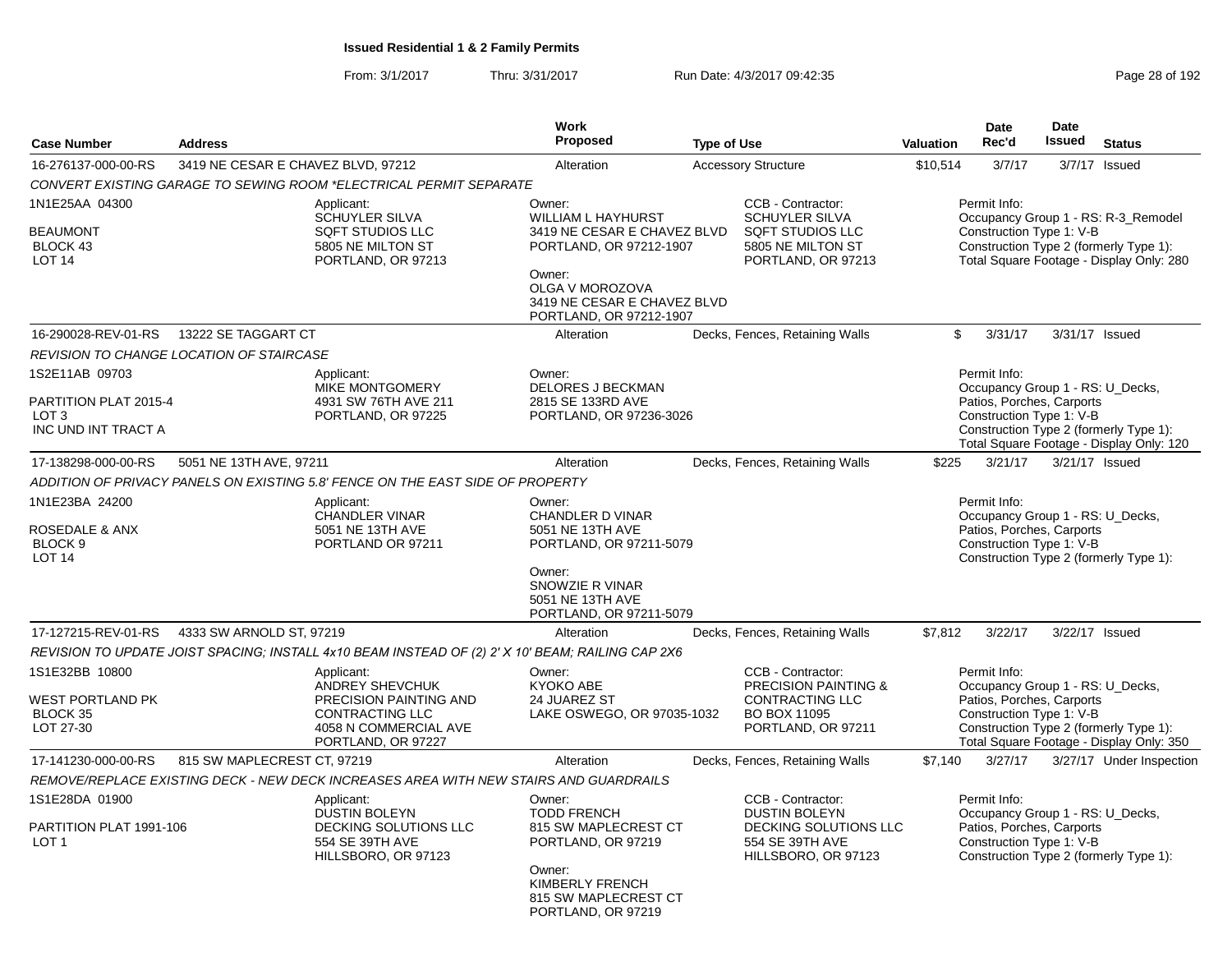From: 3/1/2017Thru: 3/31/2017 **Run Date: 4/3/2017 09:42:35** Page 28 of 192

|                                                                                    |                                          |                                                                                                                                  | <b>Work</b>                                                                                                                                                                          |                    |                                                                                                                             |           | <b>Date</b>                                                           | <b>Date</b>   |                                                                                                                           |
|------------------------------------------------------------------------------------|------------------------------------------|----------------------------------------------------------------------------------------------------------------------------------|--------------------------------------------------------------------------------------------------------------------------------------------------------------------------------------|--------------------|-----------------------------------------------------------------------------------------------------------------------------|-----------|-----------------------------------------------------------------------|---------------|---------------------------------------------------------------------------------------------------------------------------|
| <b>Case Number</b>                                                                 | <b>Address</b>                           |                                                                                                                                  | <b>Proposed</b>                                                                                                                                                                      | <b>Type of Use</b> |                                                                                                                             | Valuation | Rec'd                                                                 | <b>Issued</b> | <b>Status</b>                                                                                                             |
| 16-276137-000-00-RS                                                                | 3419 NE CESAR E CHAVEZ BLVD, 97212       |                                                                                                                                  | Alteration                                                                                                                                                                           |                    | <b>Accessory Structure</b>                                                                                                  | \$10,514  | 3/7/17                                                                |               | 3/7/17 Issued                                                                                                             |
|                                                                                    |                                          | CONVERT EXISTING GARAGE TO SEWING ROOM *ELECTRICAL PERMIT SEPARATE                                                               |                                                                                                                                                                                      |                    |                                                                                                                             |           |                                                                       |               |                                                                                                                           |
| 1N1E25AA 04300<br><b>BEAUMONT</b><br>BLOCK 43<br><b>LOT 14</b>                     |                                          | Applicant:<br><b>SCHUYLER SILVA</b><br><b>SQFT STUDIOS LLC</b><br>5805 NE MILTON ST<br>PORTLAND, OR 97213                        | Owner:<br><b>WILLIAM L HAYHURST</b><br>3419 NE CESAR E CHAVEZ BLVD<br>PORTLAND, OR 97212-1907<br>Owner:<br>OLGA V MOROZOVA<br>3419 NE CESAR E CHAVEZ BLVD<br>PORTLAND, OR 97212-1907 |                    | CCB - Contractor:<br><b>SCHUYLER SILVA</b><br>SQFT STUDIOS LLC<br>5805 NE MILTON ST<br>PORTLAND, OR 97213                   |           | Permit Info:<br>Construction Type 1: V-B                              |               | Occupancy Group 1 - RS: R-3_Remodel<br>Construction Type 2 (formerly Type 1):<br>Total Square Footage - Display Only: 280 |
| 16-290028-REV-01-RS                                                                | 13222 SE TAGGART CT                      |                                                                                                                                  | Alteration                                                                                                                                                                           |                    | Decks, Fences, Retaining Walls                                                                                              | \$        | 3/31/17                                                               |               | 3/31/17 Issued                                                                                                            |
|                                                                                    | REVISION TO CHANGE LOCATION OF STAIRCASE |                                                                                                                                  |                                                                                                                                                                                      |                    |                                                                                                                             |           |                                                                       |               |                                                                                                                           |
| 1S2E11AB 09703<br>PARTITION PLAT 2015-4<br>LOT <sub>3</sub><br>INC UND INT TRACT A |                                          | Applicant:<br>MIKE MONTGOMERY<br>4931 SW 76TH AVE 211<br>PORTLAND, OR 97225                                                      | Owner:<br><b>DELORES J BECKMAN</b><br>2815 SE 133RD AVE<br>PORTLAND, OR 97236-3026                                                                                                   |                    |                                                                                                                             |           | Permit Info:<br>Patios, Porches, Carports<br>Construction Type 1: V-B |               | Occupancy Group 1 - RS: U_Decks,<br>Construction Type 2 (formerly Type 1):<br>Total Square Footage - Display Only: 120    |
| 17-138298-000-00-RS                                                                | 5051 NE 13TH AVE, 97211                  |                                                                                                                                  | Alteration                                                                                                                                                                           |                    | Decks, Fences, Retaining Walls                                                                                              | \$225     | 3/21/17                                                               |               | 3/21/17 Issued                                                                                                            |
|                                                                                    |                                          | ADDITION OF PRIVACY PANELS ON EXISTING 5.8' FENCE ON THE EAST SIDE OF PROPERTY                                                   |                                                                                                                                                                                      |                    |                                                                                                                             |           |                                                                       |               |                                                                                                                           |
| 1N1E23BA 24200<br>ROSEDALE & ANX<br>BLOCK <sub>9</sub><br><b>LOT 14</b>            |                                          | Applicant:<br>CHANDLER VINAR<br>5051 NE 13TH AVE<br>PORTLAND OR 97211                                                            | Owner:<br>CHANDLER D VINAR<br>5051 NE 13TH AVE<br>PORTLAND, OR 97211-5079<br>Owner:<br>SNOWZIE R VINAR<br>5051 NE 13TH AVE<br>PORTLAND, OR 97211-5079                                |                    |                                                                                                                             |           | Permit Info:<br>Patios, Porches, Carports<br>Construction Type 1: V-B |               | Occupancy Group 1 - RS: U_Decks,<br>Construction Type 2 (formerly Type 1):                                                |
| 17-127215-REV-01-RS                                                                | 4333 SW ARNOLD ST, 97219                 |                                                                                                                                  | Alteration                                                                                                                                                                           |                    | Decks, Fences, Retaining Walls                                                                                              | \$7,812   | 3/22/17                                                               |               | 3/22/17 Issued                                                                                                            |
|                                                                                    |                                          | REVISION TO UPDATE JOIST SPACING; INSTALL 4x10 BEAM INSTEAD OF (2) 2' X 10' BEAM; RAILING CAP 2X6                                |                                                                                                                                                                                      |                    |                                                                                                                             |           |                                                                       |               |                                                                                                                           |
| 1S1E32BB 10800<br>WEST PORTLAND PK<br>BLOCK 35<br>LOT 27-30                        |                                          | Applicant:<br>ANDREY SHEVCHUK<br>PRECISION PAINTING AND<br><b>CONTRACTING LLC</b><br>4058 N COMMERCIAL AVE<br>PORTLAND, OR 97227 | Owner:<br><b>KYOKO ABE</b><br>24 JUAREZ ST<br>LAKE OSWEGO, OR 97035-1032                                                                                                             |                    | CCB - Contractor:<br><b>PRECISION PAINTING &amp;</b><br><b>CONTRACTING LLC</b><br><b>BO BOX 11095</b><br>PORTLAND, OR 97211 |           | Permit Info:<br>Patios, Porches, Carports<br>Construction Type 1: V-B |               | Occupancy Group 1 - RS: U_Decks,<br>Construction Type 2 (formerly Type 1):<br>Total Square Footage - Display Only: 350    |
| 17-141230-000-00-RS                                                                | 815 SW MAPLECREST CT, 97219              |                                                                                                                                  | Alteration                                                                                                                                                                           |                    | Decks, Fences, Retaining Walls                                                                                              | \$7,140   | 3/27/17                                                               |               | 3/27/17 Under Inspection                                                                                                  |
|                                                                                    |                                          | REMOVE/REPLACE EXISTING DECK - NEW DECK INCREASES AREA WITH NEW STAIRS AND GUARDRAILS                                            |                                                                                                                                                                                      |                    |                                                                                                                             |           |                                                                       |               |                                                                                                                           |
| 1S1E28DA 01900<br>PARTITION PLAT 1991-106<br>LOT <sub>1</sub>                      |                                          | Applicant:<br><b>DUSTIN BOLEYN</b><br>DECKING SOLUTIONS LLC<br>554 SE 39TH AVE<br>HILLSBORO, OR 97123                            | Owner:<br><b>TODD FRENCH</b><br>815 SW MAPLECREST CT<br>PORTLAND, OR 97219<br>Owner:<br>KIMBERLY FRENCH<br>815 SW MAPLECREST CT<br>PORTLAND, OR 97219                                |                    | CCB - Contractor:<br><b>DUSTIN BOLEYN</b><br>DECKING SOLUTIONS LLC<br>554 SE 39TH AVE<br>HILLSBORO, OR 97123                |           | Permit Info:<br>Patios, Porches, Carports<br>Construction Type 1: V-B |               | Occupancy Group 1 - RS: U_Decks,<br>Construction Type 2 (formerly Type 1):                                                |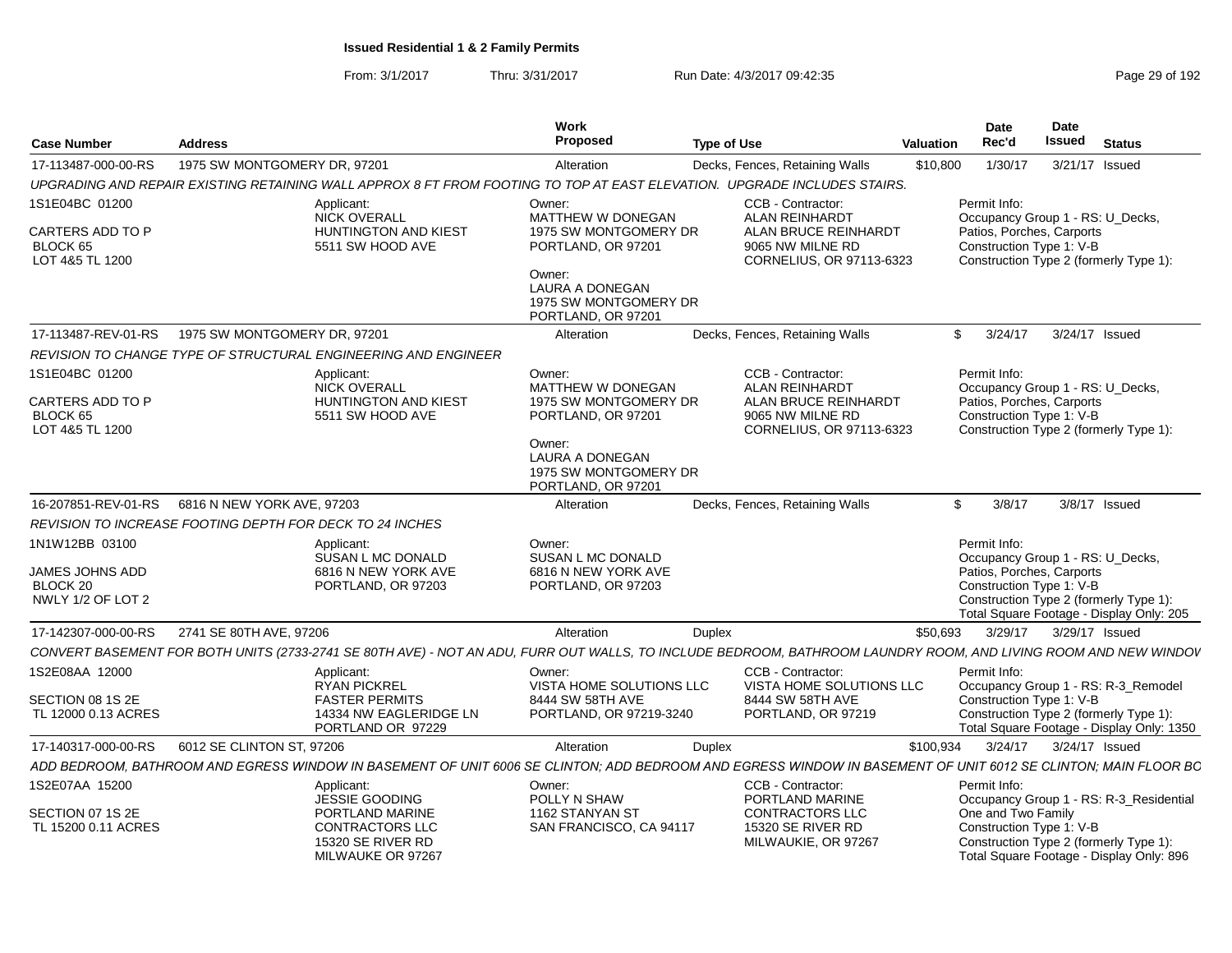From: 3/1/2017Thru: 3/31/2017 Run Date: 4/3/2017 09:42:35 Page 29 of 192

| <b>Case Number</b>                                                 | <b>Address</b>                                                                                                                                                  | Work<br>Proposed                                                                                                                                       | <b>Type of Use</b><br>Valuation                                                                                    | <b>Date</b><br>Rec'd                                                  | Date<br><b>Issued</b>                                                                                                  | <b>Status</b>                             |
|--------------------------------------------------------------------|-----------------------------------------------------------------------------------------------------------------------------------------------------------------|--------------------------------------------------------------------------------------------------------------------------------------------------------|--------------------------------------------------------------------------------------------------------------------|-----------------------------------------------------------------------|------------------------------------------------------------------------------------------------------------------------|-------------------------------------------|
| 17-113487-000-00-RS                                                | 1975 SW MONTGOMERY DR. 97201                                                                                                                                    | Alteration                                                                                                                                             | Decks, Fences, Retaining Walls                                                                                     | 1/30/17<br>\$10,800                                                   | 3/21/17 Issued                                                                                                         |                                           |
|                                                                    | UPGRADING AND REPAIR EXISTING RETAINING WALL APPROX 8 FT FROM FOOTING TO TOP AT EAST ELEVATION. UPGRADE INCLUDES STAIRS.                                        |                                                                                                                                                        |                                                                                                                    |                                                                       |                                                                                                                        |                                           |
| 1S1E04BC 01200<br>CARTERS ADD TO P<br>BLOCK 65<br>LOT 4&5 TL 1200  | Applicant:<br><b>NICK OVERALL</b><br><b>HUNTINGTON AND KIEST</b><br>5511 SW HOOD AVE                                                                            | Owner:<br>MATTHEW W DONEGAN<br>1975 SW MONTGOMERY DR<br>PORTLAND, OR 97201<br>Owner:<br><b>LAURA A DONEGAN</b>                                         | CCB - Contractor:<br><b>ALAN REINHARDT</b><br>ALAN BRUCE REINHARDT<br>9065 NW MILNE RD<br>CORNELIUS, OR 97113-6323 | Permit Info:<br>Patios, Porches, Carports<br>Construction Type 1: V-B | Occupancy Group 1 - RS: U_Decks,<br>Construction Type 2 (formerly Type 1):                                             |                                           |
|                                                                    |                                                                                                                                                                 | 1975 SW MONTGOMERY DR<br>PORTLAND, OR 97201                                                                                                            |                                                                                                                    |                                                                       |                                                                                                                        |                                           |
| 17-113487-REV-01-RS                                                | 1975 SW MONTGOMERY DR. 97201                                                                                                                                    | Alteration                                                                                                                                             | Decks, Fences, Retaining Walls                                                                                     | \$3/24/17                                                             | 3/24/17 Issued                                                                                                         |                                           |
|                                                                    | REVISION TO CHANGE TYPE OF STRUCTURAL ENGINEERING AND ENGINEER                                                                                                  |                                                                                                                                                        |                                                                                                                    |                                                                       |                                                                                                                        |                                           |
| 1S1E04BC 01200<br>CARTERS ADD TO P<br>BLOCK 65<br>LOT 4&5 TL 1200  | Applicant:<br><b>NICK OVERALL</b><br><b>HUNTINGTON AND KIEST</b><br>5511 SW HOOD AVE                                                                            | Owner:<br>MATTHEW W DONEGAN<br>1975 SW MONTGOMERY DR<br>PORTLAND, OR 97201<br>Owner:<br>LAURA A DONEGAN<br>1975 SW MONTGOMERY DR<br>PORTLAND, OR 97201 | CCB - Contractor:<br><b>ALAN REINHARDT</b><br>ALAN BRUCE REINHARDT<br>9065 NW MILNE RD<br>CORNELIUS, OR 97113-6323 | Permit Info:<br>Patios, Porches, Carports<br>Construction Type 1: V-B | Occupancy Group 1 - RS: U Decks,<br>Construction Type 2 (formerly Type 1):                                             |                                           |
|                                                                    | 16-207851-REV-01-RS   6816 N NEW YORK AVE, 97203                                                                                                                | Alteration                                                                                                                                             | Decks, Fences, Retaining Walls                                                                                     | $\mathbb{S}$<br>3/8/17                                                | $3/8/17$ Issued                                                                                                        |                                           |
|                                                                    | REVISION TO INCREASE FOOTING DEPTH FOR DECK TO 24 INCHES                                                                                                        |                                                                                                                                                        |                                                                                                                    |                                                                       |                                                                                                                        |                                           |
| 1N1W12BB 03100<br>JAMES JOHNS ADD<br>BLOCK 20<br>NWLY 1/2 OF LOT 2 | Applicant:<br>SUSAN L MC DONALD<br>6816 N NEW YORK AVE<br>PORTLAND, OR 97203                                                                                    | Owner:<br>SUSAN L MC DONALD<br>6816 N NEW YORK AVE<br>PORTLAND, OR 97203                                                                               |                                                                                                                    | Permit Info:<br>Patios, Porches, Carports<br>Construction Type 1: V-B | Occupancy Group 1 - RS: U_Decks,<br>Construction Type 2 (formerly Type 1):<br>Total Square Footage - Display Only: 205 |                                           |
| 17-142307-000-00-RS                                                | 2741 SE 80TH AVE, 97206                                                                                                                                         | Alteration                                                                                                                                             | Duplex                                                                                                             | \$50,693<br>3/29/17                                                   | 3/29/17 Issued                                                                                                         |                                           |
|                                                                    | CONVERT BASEMENT FOR BOTH UNITS (2733-2741 SE 80TH AVE) - NOT AN ADU, FURR OUT WALLS, TO INCLUDE BEDROOM, BATHROOM LAUNDRY ROOM, AND LIVING ROOM AND NEW WINDOV |                                                                                                                                                        |                                                                                                                    |                                                                       |                                                                                                                        |                                           |
| 1S2E08AA 12000<br>SECTION 08 1S 2E<br>TL 12000 0.13 ACRES          | Applicant:<br><b>RYAN PICKREL</b><br><b>FASTER PERMITS</b><br>14334 NW EAGLERIDGE LN<br>PORTLAND OR 97229                                                       | Owner:<br>VISTA HOME SOLUTIONS LLC<br>8444 SW 58TH AVE<br>PORTLAND, OR 97219-3240                                                                      | CCB - Contractor:<br>VISTA HOME SOLUTIONS LLC<br>8444 SW 58TH AVE<br>PORTLAND, OR 97219                            | Permit Info:<br>Construction Type 1: V-B                              | Occupancy Group 1 - RS: R-3_Remodel<br>Construction Type 2 (formerly Type 1):                                          | Total Square Footage - Display Only: 1350 |
| 17-140317-000-00-RS                                                | 6012 SE CLINTON ST, 97206                                                                                                                                       | Alteration                                                                                                                                             | Duplex                                                                                                             | \$100.934<br>3/24/17                                                  | 3/24/17 Issued                                                                                                         |                                           |
|                                                                    | ADD BEDROOM, BATHROOM AND EGRESS WINDOW IN BASEMENT OF UNIT 6006 SE CLINTON; ADD BEDROOM AND EGRESS WINDOW IN BASEMENT OF UNIT 6012 SE CLINTON; MAIN FLOOR BC   |                                                                                                                                                        |                                                                                                                    |                                                                       |                                                                                                                        |                                           |
| 1S2E07AA 15200<br>SECTION 07 1S 2E                                 | Applicant:<br>JESSIE GOODING<br>PORTLAND MARINE                                                                                                                 | Owner:<br>POLLY N SHAW<br>1162 STANYAN ST                                                                                                              | CCB - Contractor:<br>PORTLAND MARINE<br><b>CONTRACTORS LLC</b>                                                     | Permit Info:<br>One and Two Family                                    |                                                                                                                        | Occupancy Group 1 - RS: R-3_Residential   |
| TL 15200 0.11 ACRES                                                | <b>CONTRACTORS LLC</b><br>15320 SE RIVER RD<br>MILWAUKE OR 97267                                                                                                | SAN FRANCISCO, CA 94117                                                                                                                                | 15320 SE RIVER RD<br>MILWAUKIE, OR 97267                                                                           | Construction Type 1: V-B                                              | Construction Type 2 (formerly Type 1):<br>Total Square Footage - Display Only: 896                                     |                                           |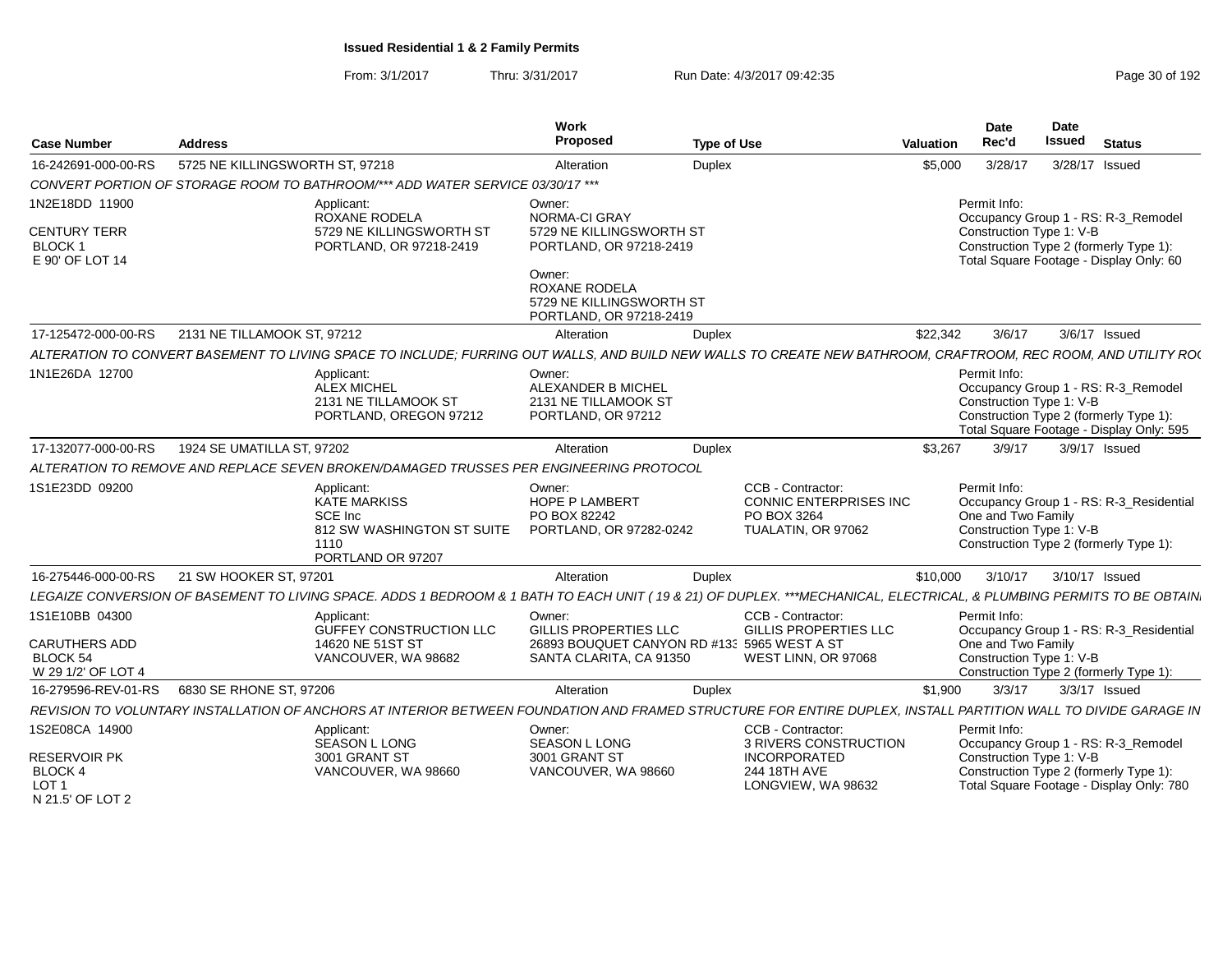| <b>Case Number</b>                                                        | <b>Address</b>                  |                                                                                                                                                                      | <b>Work</b><br>Proposed                                                               | <b>Type of Use</b>                                                                       | Valuation | Date<br>Rec'd                                                  | Date<br><b>Issued</b> | <b>Status</b>                                                                                                             |
|---------------------------------------------------------------------------|---------------------------------|----------------------------------------------------------------------------------------------------------------------------------------------------------------------|---------------------------------------------------------------------------------------|------------------------------------------------------------------------------------------|-----------|----------------------------------------------------------------|-----------------------|---------------------------------------------------------------------------------------------------------------------------|
| 16-242691-000-00-RS                                                       | 5725 NE KILLINGSWORTH ST, 97218 |                                                                                                                                                                      | Alteration                                                                            | Duplex                                                                                   | \$5,000   | 3/28/17                                                        |                       | 3/28/17 Issued                                                                                                            |
|                                                                           |                                 | CONVERT PORTION OF STORAGE ROOM TO BATHROOM/*** ADD WATER SERVICE 03/30/17 ***                                                                                       |                                                                                       |                                                                                          |           |                                                                |                       |                                                                                                                           |
| 1N2E18DD 11900<br><b>CENTURY TERR</b><br><b>BLOCK1</b><br>E 90' OF LOT 14 |                                 | Applicant:<br>ROXANE RODELA<br>5729 NE KILLINGSWORTH ST<br>PORTLAND, OR 97218-2419                                                                                   | Owner:<br><b>NORMA-CI GRAY</b><br>5729 NE KILLINGSWORTH ST<br>PORTLAND, OR 97218-2419 |                                                                                          |           | Permit Info:<br>Construction Type 1: V-B                       |                       | Occupancy Group 1 - RS: R-3_Remodel<br>Construction Type 2 (formerly Type 1):<br>Total Square Footage - Display Only: 60  |
|                                                                           |                                 |                                                                                                                                                                      | Owner:<br>ROXANE RODELA<br>5729 NE KILLINGSWORTH ST<br>PORTLAND, OR 97218-2419        |                                                                                          |           |                                                                |                       |                                                                                                                           |
| 17-125472-000-00-RS                                                       | 2131 NE TILLAMOOK ST. 97212     |                                                                                                                                                                      | Alteration                                                                            | <b>Duplex</b>                                                                            | \$22,342  | 3/6/17                                                         |                       | 3/6/17 Issued                                                                                                             |
|                                                                           |                                 | ALTERATION TO CONVERT BASEMENT TO LIVING SPACE TO INCLUDE; FURRING OUT WALLS, AND BUILD NEW WALLS TO CREATE NEW BATHROOM, CRAFTROOM, REC ROOM, AND UTILITY RO(       |                                                                                       |                                                                                          |           |                                                                |                       |                                                                                                                           |
| 1N1E26DA 12700                                                            |                                 | Applicant:<br><b>ALEX MICHEL</b><br>2131 NE TILLAMOOK ST<br>PORTLAND, OREGON 97212                                                                                   | Owner:<br>ALEXANDER B MICHEL<br>2131 NE TILLAMOOK ST<br>PORTLAND, OR 97212            |                                                                                          |           | Permit Info:<br>Construction Type 1: V-B                       |                       | Occupancy Group 1 - RS: R-3 Remodel<br>Construction Type 2 (formerly Type 1):<br>Total Square Footage - Display Only: 595 |
| 17-132077-000-00-RS                                                       | 1924 SE UMATILLA ST. 97202      |                                                                                                                                                                      | Alteration                                                                            | Duplex                                                                                   | \$3,267   | 3/9/17                                                         |                       | 3/9/17 Issued                                                                                                             |
|                                                                           |                                 | ALTERATION TO REMOVE AND REPLACE SEVEN BROKEN/DAMAGED TRUSSES PER ENGINEERING PROTOCOL                                                                               |                                                                                       |                                                                                          |           |                                                                |                       |                                                                                                                           |
| 1S1E23DD 09200                                                            |                                 | Applicant:<br><b>KATE MARKISS</b><br>SCE Inc.<br>812 SW WASHINGTON ST SUITE<br>1110<br>PORTLAND OR 97207                                                             | Owner:<br><b>HOPE P LAMBERT</b><br>PO BOX 82242<br>PORTLAND, OR 97282-0242            | CCB - Contractor:<br><b>CONNIC ENTERPRISES INC.</b><br>PO BOX 3264<br>TUALATIN, OR 97062 |           | Permit Info:<br>One and Two Family<br>Construction Type 1: V-B |                       | Occupancy Group 1 - RS: R-3 Residential<br>Construction Type 2 (formerly Type 1):                                         |
| 16-275446-000-00-RS                                                       | 21 SW HOOKER ST, 97201          |                                                                                                                                                                      | Alteration                                                                            | Duplex                                                                                   | \$10,000  | 3/10/17                                                        |                       | 3/10/17 Issued                                                                                                            |
|                                                                           |                                 | LEGAIZE CONVERSION OF BASEMENT TO LIVING SPACE. ADDS 1 BEDROOM & 1 BATH TO EACH UNIT (19 & 21) OF DUPLEX. ***MECHANICAL, ELECTRICAL, & PLUMBING PERMITS TO BE OBTAIN |                                                                                       |                                                                                          |           |                                                                |                       |                                                                                                                           |
| 1S1E10BB 04300                                                            |                                 | Applicant:<br><b>GUFFEY CONSTRUCTION LLC</b>                                                                                                                         | Owner:<br><b>GILLIS PROPERTIES LLC</b>                                                | CCB - Contractor:<br><b>GILLIS PROPERTIES LLC</b>                                        |           | Permit Info:                                                   |                       | Occupancy Group 1 - RS: R-3_Residential                                                                                   |
| CARUTHERS ADD<br><b>BLOCK 54</b><br>W 29 1/2' OF LOT 4                    |                                 | 14620 NE 51ST ST<br>VANCOUVER, WA 98682                                                                                                                              | 26893 BOUQUET CANYON RD #13: 5965 WEST A ST<br>SANTA CLARITA, CA 91350                | WEST LINN, OR 97068                                                                      |           | One and Two Family<br>Construction Type 1: V-B                 |                       | Construction Type 2 (formerly Type 1):                                                                                    |
| 16-279596-REV-01-RS                                                       | 6830 SE RHONE ST. 97206         |                                                                                                                                                                      | Alteration                                                                            | <b>Duplex</b>                                                                            | \$1.900   | 3/3/17                                                         |                       | 3/3/17 Issued                                                                                                             |
|                                                                           |                                 | REVISION TO VOLUNTARY INSTALLATION OF ANCHORS AT INTERIOR BETWEEN FOUNDATION AND FRAMED STRUCTURE FOR ENTIRE DUPLEX, INSTALL PARTITION WALL TO DIVIDE GARAGE IN      |                                                                                       |                                                                                          |           |                                                                |                       |                                                                                                                           |
| 1S2E08CA 14900                                                            |                                 | Applicant:<br><b>SEASON L LONG</b>                                                                                                                                   | Owner:<br><b>SEASON L LONG</b>                                                        | CCB - Contractor:<br>3 RIVERS CONSTRUCTION                                               |           | Permit Info:                                                   |                       | Occupancy Group 1 - RS: R-3_Remodel                                                                                       |
| <b>RESERVOIR PK</b><br>BLOCK 4<br>LOT <sub>1</sub><br>N 21.5' OF LOT 2    |                                 | 3001 GRANT ST<br>VANCOUVER, WA 98660                                                                                                                                 | 3001 GRANT ST<br>VANCOUVER, WA 98660                                                  | <b>INCORPORATED</b><br>244 18TH AVE<br>LONGVIEW, WA 98632                                |           | Construction Type 1: V-B                                       |                       | Construction Type 2 (formerly Type 1):<br>Total Square Footage - Display Only: 780                                        |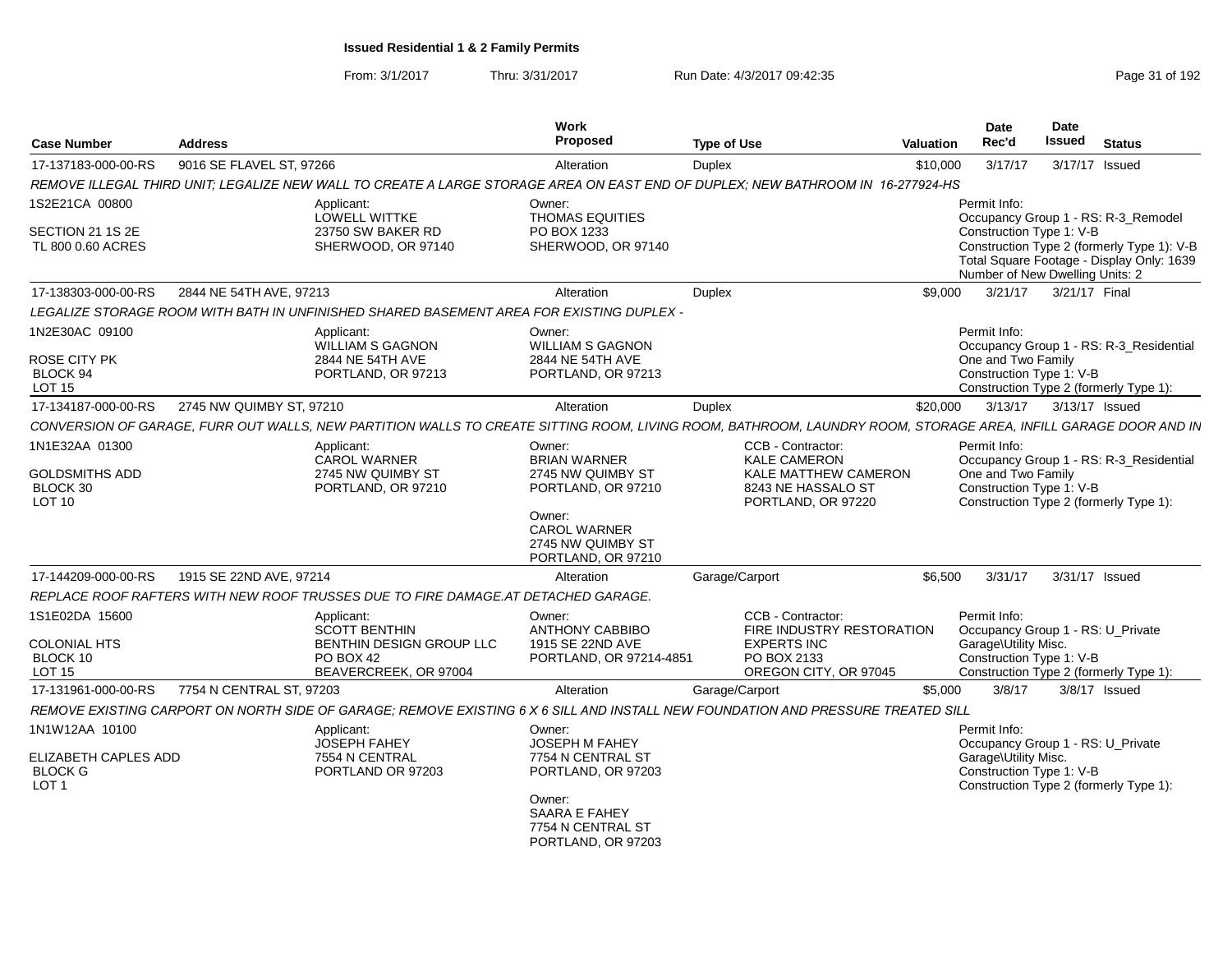| 9016 SE FLAVEL ST, 97266<br>17-137183-000-00-RS<br>Alteration<br>Duplex                                                                                                                                    | 3/17/17<br>3/17/17 Issued<br>\$10,000                                                                                                                  |
|------------------------------------------------------------------------------------------------------------------------------------------------------------------------------------------------------------|--------------------------------------------------------------------------------------------------------------------------------------------------------|
| REMOVE ILLEGAL THIRD UNIT: LEGALIZE NEW WALL TO CREATE A LARGE STORAGE AREA ON EAST END OF DUPLEX: NEW BATHROOM IN 16-277924-HS                                                                            |                                                                                                                                                        |
| 1S2E21CA 00800<br>Applicant:<br>Owner:<br><b>LOWELL WITTKE</b><br><b>THOMAS EQUITIES</b>                                                                                                                   | Permit Info:<br>Occupancy Group 1 - RS: R-3_Remodel                                                                                                    |
| SECTION 21 1S 2E<br>23750 SW BAKER RD<br>PO BOX 1233<br>TL 800 0.60 ACRES<br>SHERWOOD, OR 97140<br>SHERWOOD, OR 97140                                                                                      | Construction Type 1: V-B<br>Construction Type 2 (formerly Type 1): V-B<br>Total Square Footage - Display Only: 1639<br>Number of New Dwelling Units: 2 |
| 2844 NE 54TH AVE, 97213<br>17-138303-000-00-RS<br>Alteration<br><b>Duplex</b>                                                                                                                              | \$9.000<br>3/21/17 Final<br>3/21/17                                                                                                                    |
| LEGALIZE STORAGE ROOM WITH BATH IN UNFINISHED SHARED BASEMENT AREA FOR EXISTING DUPLEX -                                                                                                                   |                                                                                                                                                        |
| 1N2E30AC 09100<br>Applicant:<br>Owner:<br><b>WILLIAM S GAGNON</b><br><b>WILLIAM S GAGNON</b>                                                                                                               | Permit Info:<br>Occupancy Group 1 - RS: R-3_Residential                                                                                                |
| ROSE CITY PK<br>2844 NE 54TH AVE<br>2844 NE 54TH AVE<br><b>BLOCK 94</b><br>PORTLAND, OR 97213<br>PORTLAND, OR 97213<br>LOT <sub>15</sub>                                                                   | One and Two Family<br>Construction Type 1: V-B<br>Construction Type 2 (formerly Type 1):                                                               |
| 17-134187-000-00-RS<br>2745 NW QUIMBY ST, 97210<br>Alteration<br>Duplex                                                                                                                                    | 3/13/17   3/13/17   Issued<br>\$20,000                                                                                                                 |
| CONVERSION OF GARAGE, FURR OUT WALLS, NEW PARTITION WALLS TO CREATE SITTING ROOM, LIVING ROOM, BATHROOM, LAUNDRY ROOM, STORAGE AREA, INFILL GARAGE DOOR AND IN                                             |                                                                                                                                                        |
| 1N1E32AA 01300<br>CCB - Contractor:<br>Applicant:<br>Owner:<br><b>KALE CAMERON</b><br><b>BRIAN WARNER</b><br><b>CAROL WARNER</b><br>2745 NW QUIMBY ST<br>2745 NW QUIMBY ST                                 | Permit Info:<br>Occupancy Group 1 - RS: R-3 Residential<br>One and Two Family<br><b>KALE MATTHEW CAMERON</b>                                           |
| <b>GOLDSMITHS ADD</b><br>BLOCK 30<br>PORTLAND, OR 97210<br>PORTLAND, OR 97210<br>8243 NE HASSALO ST<br><b>LOT 10</b><br>PORTLAND, OR 97220                                                                 | Construction Type 1: V-B<br>Construction Type 2 (formerly Type 1):                                                                                     |
| Owner:<br><b>CAROL WARNER</b><br>2745 NW QUIMBY ST<br>PORTLAND, OR 97210                                                                                                                                   |                                                                                                                                                        |
| 17-144209-000-00-RS<br>1915 SE 22ND AVE, 97214<br>Alteration<br>Garage/Carport                                                                                                                             | 3/31/17<br>3/31/17 Issued<br>\$6,500                                                                                                                   |
| REPLACE ROOF RAFTERS WITH NEW ROOF TRUSSES DUE TO FIRE DAMAGE.AT DETACHED GARAGE.                                                                                                                          |                                                                                                                                                        |
| 1S1E02DA 15600<br>CCB - Contractor:<br>Applicant:<br>Owner:<br><b>SCOTT BENTHIN</b><br><b>ANTHONY CABBIBO</b>                                                                                              | Permit Info:<br>FIRE INDUSTRY RESTORATION<br>Occupancy Group 1 - RS: U_Private                                                                         |
| <b>COLONIAL HTS</b><br>BENTHIN DESIGN GROUP LLC<br>1915 SE 22ND AVE<br><b>EXPERTS INC</b><br>BLOCK 10<br>PO BOX 2133<br>PO BOX 42<br>PORTLAND, OR 97214-4851<br>LOT <sub>15</sub><br>BEAVERCREEK, OR 97004 | Garage\Utility Misc.<br>Construction Type 1: V-B<br>OREGON CITY, OR 97045<br>Construction Type 2 (formerly Type 1):                                    |
| 17-131961-000-00-RS<br>7754 N CENTRAL ST. 97203<br>Alteration<br>Garage/Carport                                                                                                                            | \$5.000<br>3/8/17<br>3/8/17 Issued                                                                                                                     |
| REMOVE EXISTING CARPORT ON NORTH SIDE OF GARAGE; REMOVE EXISTING 6 X 6 SILL AND INSTALL NEW FOUNDATION AND PRESSURE TREATED SILL                                                                           |                                                                                                                                                        |
| 1N1W12AA 10100<br>Applicant:<br>Owner:<br><b>JOSEPH FAHEY</b><br>JOSEPH M FAHEY                                                                                                                            | Permit Info:<br>Occupancy Group 1 - RS: U_Private                                                                                                      |
| <b>ELIZABETH CAPLES ADD</b><br>7754 N CENTRAL ST<br>7554 N CENTRAL<br><b>BLOCK G</b><br>PORTLAND OR 97203<br>PORTLAND, OR 97203<br>LOT <sub>1</sub>                                                        | Garage\Utility Misc.<br>Construction Type 1: V-B<br>Construction Type 2 (formerly Type 1):                                                             |
| Owner:<br>SAARA E FAHEY<br>7754 N CENTRAL ST<br>PORTLAND, OR 97203                                                                                                                                         |                                                                                                                                                        |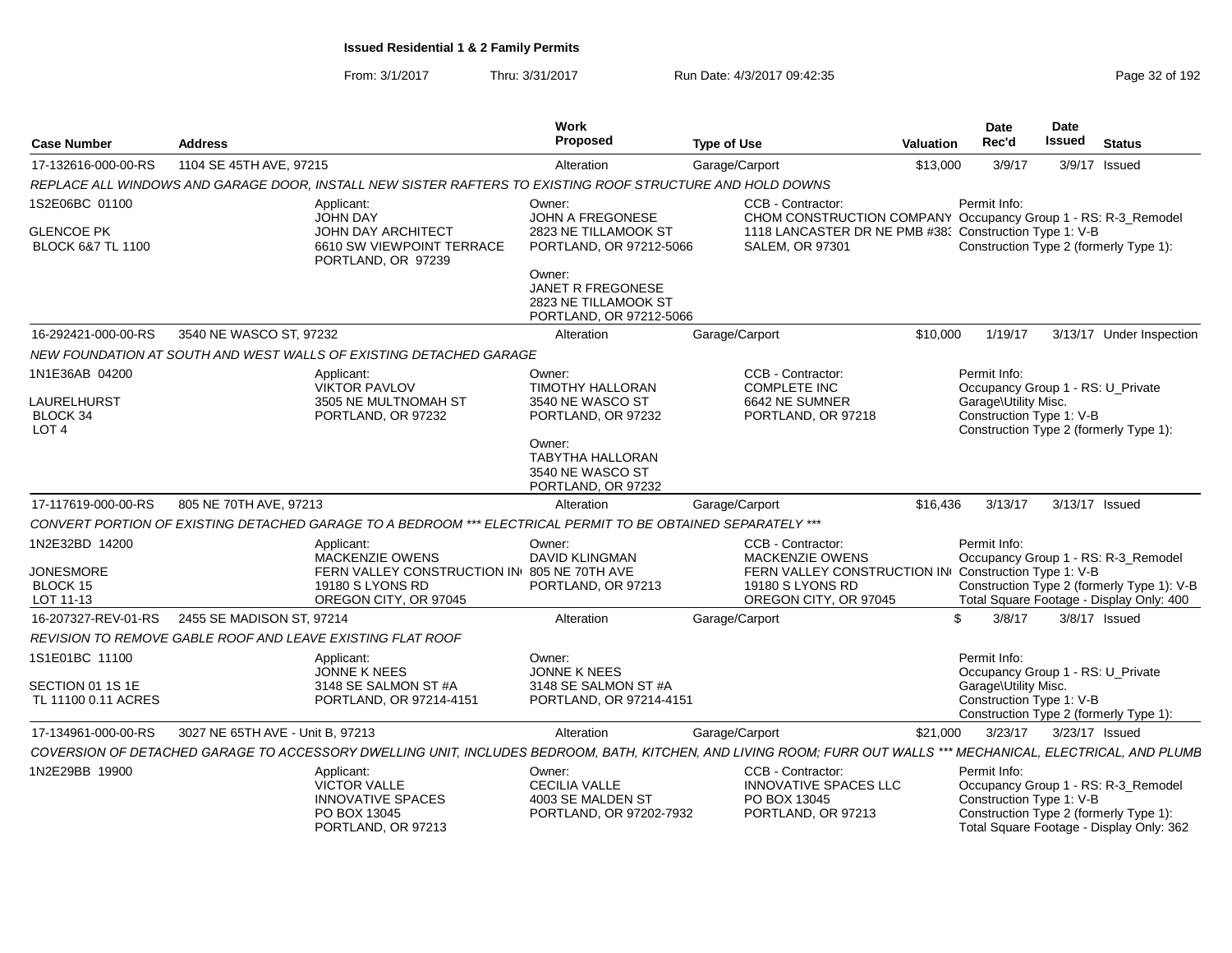From: 3/1/2017Thru: 3/31/2017 Run Date: 4/3/2017 09:42:35 Page 32 of 192

|                                                    |                                  |                                                                                                                                                                 | Work                                                                                  |                    |                                                                                    |                  | Date                                                                                  | Date           |                                                                                                                           |
|----------------------------------------------------|----------------------------------|-----------------------------------------------------------------------------------------------------------------------------------------------------------------|---------------------------------------------------------------------------------------|--------------------|------------------------------------------------------------------------------------|------------------|---------------------------------------------------------------------------------------|----------------|---------------------------------------------------------------------------------------------------------------------------|
| <b>Case Number</b>                                 | <b>Address</b>                   |                                                                                                                                                                 | Proposed                                                                              | <b>Type of Use</b> |                                                                                    | <b>Valuation</b> | Rec'd                                                                                 | <b>Issued</b>  | <b>Status</b>                                                                                                             |
| 17-132616-000-00-RS                                | 1104 SE 45TH AVE, 97215          |                                                                                                                                                                 | Alteration                                                                            | Garage/Carport     |                                                                                    | \$13,000         | 3/9/17                                                                                |                | 3/9/17 Issued                                                                                                             |
|                                                    |                                  | REPLACE ALL WINDOWS AND GARAGE DOOR. INSTALL NEW SISTER RAFTERS TO EXISTING ROOF STRUCTURE AND HOLD DOWNS                                                       |                                                                                       |                    |                                                                                    |                  |                                                                                       |                |                                                                                                                           |
| 1S2E06BC 01100                                     |                                  | Applicant:<br><b>JOHN DAY</b>                                                                                                                                   | Owner:<br><b>JOHN A FREGONESE</b>                                                     |                    | CCB - Contractor:<br>CHOM CONSTRUCTION COMPANY Occupancy Group 1 - RS: R-3_Remodel |                  | Permit Info:                                                                          |                |                                                                                                                           |
| <b>GLENCOE PK</b><br><b>BLOCK 6&amp;7 TL 1100</b>  |                                  | JOHN DAY ARCHITECT<br>6610 SW VIEWPOINT TERRACE<br>PORTLAND, OR 97239                                                                                           | 2823 NE TILLAMOOK ST<br>PORTLAND, OR 97212-5066                                       |                    | 1118 LANCASTER DR NE PMB #38; Construction Type 1: V-B<br><b>SALEM, OR 97301</b>   |                  |                                                                                       |                | Construction Type 2 (formerly Type 1):                                                                                    |
|                                                    |                                  |                                                                                                                                                                 | Owner:<br><b>JANET R FREGONESE</b><br>2823 NE TILLAMOOK ST<br>PORTLAND, OR 97212-5066 |                    |                                                                                    |                  |                                                                                       |                |                                                                                                                           |
| 16-292421-000-00-RS                                | 3540 NE WASCO ST, 97232          |                                                                                                                                                                 | Alteration                                                                            | Garage/Carport     |                                                                                    | \$10,000         | 1/19/17                                                                               |                | 3/13/17 Under Inspection                                                                                                  |
|                                                    |                                  | NEW FOUNDATION AT SOUTH AND WEST WALLS OF EXISTING DETACHED GARAGE                                                                                              |                                                                                       |                    |                                                                                    |                  |                                                                                       |                |                                                                                                                           |
| 1N1E36AB 04200                                     |                                  | Applicant:<br><b>VIKTOR PAVLOV</b>                                                                                                                              | Owner:<br><b>TIMOTHY HALLORAN</b>                                                     |                    | CCB - Contractor:<br><b>COMPLETE INC</b>                                           |                  | Permit Info:<br>Occupancy Group 1 - RS: U_Private                                     |                |                                                                                                                           |
| LAURELHURST<br><b>BLOCK 34</b><br>LOT <sub>4</sub> |                                  | 3505 NE MULTNOMAH ST<br>PORTLAND, OR 97232                                                                                                                      | 3540 NE WASCO ST<br>PORTLAND, OR 97232                                                |                    | 6642 NE SUMNER<br>PORTLAND, OR 97218                                               |                  | Garage\Utility Misc.<br>Construction Type 1: V-B                                      |                | Construction Type 2 (formerly Type 1):                                                                                    |
|                                                    |                                  |                                                                                                                                                                 | Owner:<br><b>TABYTHA HALLORAN</b><br>3540 NE WASCO ST<br>PORTLAND, OR 97232           |                    |                                                                                    |                  |                                                                                       |                |                                                                                                                           |
| 17-117619-000-00-RS                                | 805 NE 70TH AVE, 97213           |                                                                                                                                                                 | Alteration                                                                            | Garage/Carport     |                                                                                    | \$16,436         | 3/13/17                                                                               | 3/13/17 Issued |                                                                                                                           |
|                                                    |                                  | CONVERT PORTION OF EXISTING DETACHED GARAGE TO A BEDROOM *** ELECTRICAL PERMIT TO BE OBTAINED SEPARATELY ***                                                    |                                                                                       |                    |                                                                                    |                  |                                                                                       |                |                                                                                                                           |
| 1N2E32BD 14200                                     |                                  | Applicant:<br><b>MACKENZIE OWENS</b>                                                                                                                            | Owner:<br><b>DAVID KLINGMAN</b>                                                       |                    | CCB - Contractor:<br>MACKENZIE OWENS                                               |                  | Permit Info:                                                                          |                | Occupancy Group 1 - RS: R-3_Remodel                                                                                       |
| <b>JONESMORE</b>                                   |                                  | FERN VALLEY CONSTRUCTION IN 805 NE 70TH AVE                                                                                                                     |                                                                                       |                    | FERN VALLEY CONSTRUCTION IN Construction Type 1: V-B                               |                  |                                                                                       |                |                                                                                                                           |
| BLOCK 15<br>LOT 11-13                              |                                  | 19180 S LYONS RD<br>OREGON CITY, OR 97045                                                                                                                       | PORTLAND, OR 97213                                                                    |                    | 19180 S LYONS RD<br>OREGON CITY, OR 97045                                          |                  |                                                                                       |                | Construction Type 2 (formerly Type 1): V-B<br>Total Square Footage - Display Only: 400                                    |
| 16-207327-REV-01-RS                                | 2455 SE MADISON ST, 97214        |                                                                                                                                                                 | Alteration                                                                            | Garage/Carport     |                                                                                    | \$.              | 3/8/17                                                                                |                | $3/8/17$ Issued                                                                                                           |
|                                                    |                                  | REVISION TO REMOVE GABLE ROOF AND LEAVE EXISTING FLAT ROOF                                                                                                      |                                                                                       |                    |                                                                                    |                  |                                                                                       |                |                                                                                                                           |
| 1S1E01BC 11100                                     |                                  | Applicant:                                                                                                                                                      | Owner:                                                                                |                    |                                                                                    |                  | Permit Info:                                                                          |                |                                                                                                                           |
| SECTION 01 1S 1E<br>TL 11100 0.11 ACRES            |                                  | JONNE K NEES<br>3148 SE SALMON ST #A<br>PORTLAND, OR 97214-4151                                                                                                 | JONNE K NEES<br>3148 SE SALMON ST #A<br>PORTLAND, OR 97214-4151                       |                    |                                                                                    |                  | Occupancy Group 1 - RS: U Private<br>Garage\Utility Misc.<br>Construction Type 1: V-B |                | Construction Type 2 (formerly Type 1):                                                                                    |
| 17-134961-000-00-RS                                | 3027 NE 65TH AVE - Unit B, 97213 |                                                                                                                                                                 | Alteration                                                                            | Garage/Carport     |                                                                                    | \$21,000         | 3/23/17                                                                               | 3/23/17 Issued |                                                                                                                           |
|                                                    |                                  | COVERSION OF DETACHED GARAGE TO ACCESSORY DWELLING UNIT, INCLUDES BEDROOM, BATH, KITCHEN, AND LIVING ROOM; FURR OUT WALLS *** MECHANICAL, ELECTRICAL, AND PLUMB |                                                                                       |                    |                                                                                    |                  |                                                                                       |                |                                                                                                                           |
| 1N2E29BB 19900                                     |                                  | Applicant:<br><b>VICTOR VALLE</b><br><b>INNOVATIVE SPACES</b><br>PO BOX 13045<br>PORTLAND, OR 97213                                                             | Owner:<br><b>CECILIA VALLE</b><br>4003 SE MALDEN ST<br>PORTLAND, OR 97202-7932        |                    | CCB - Contractor:<br>INNOVATIVE SPACES LLC<br>PO BOX 13045<br>PORTLAND, OR 97213   |                  | Permit Info:<br>Construction Type 1: V-B                                              |                | Occupancy Group 1 - RS: R-3_Remodel<br>Construction Type 2 (formerly Type 1):<br>Total Square Footage - Display Only: 362 |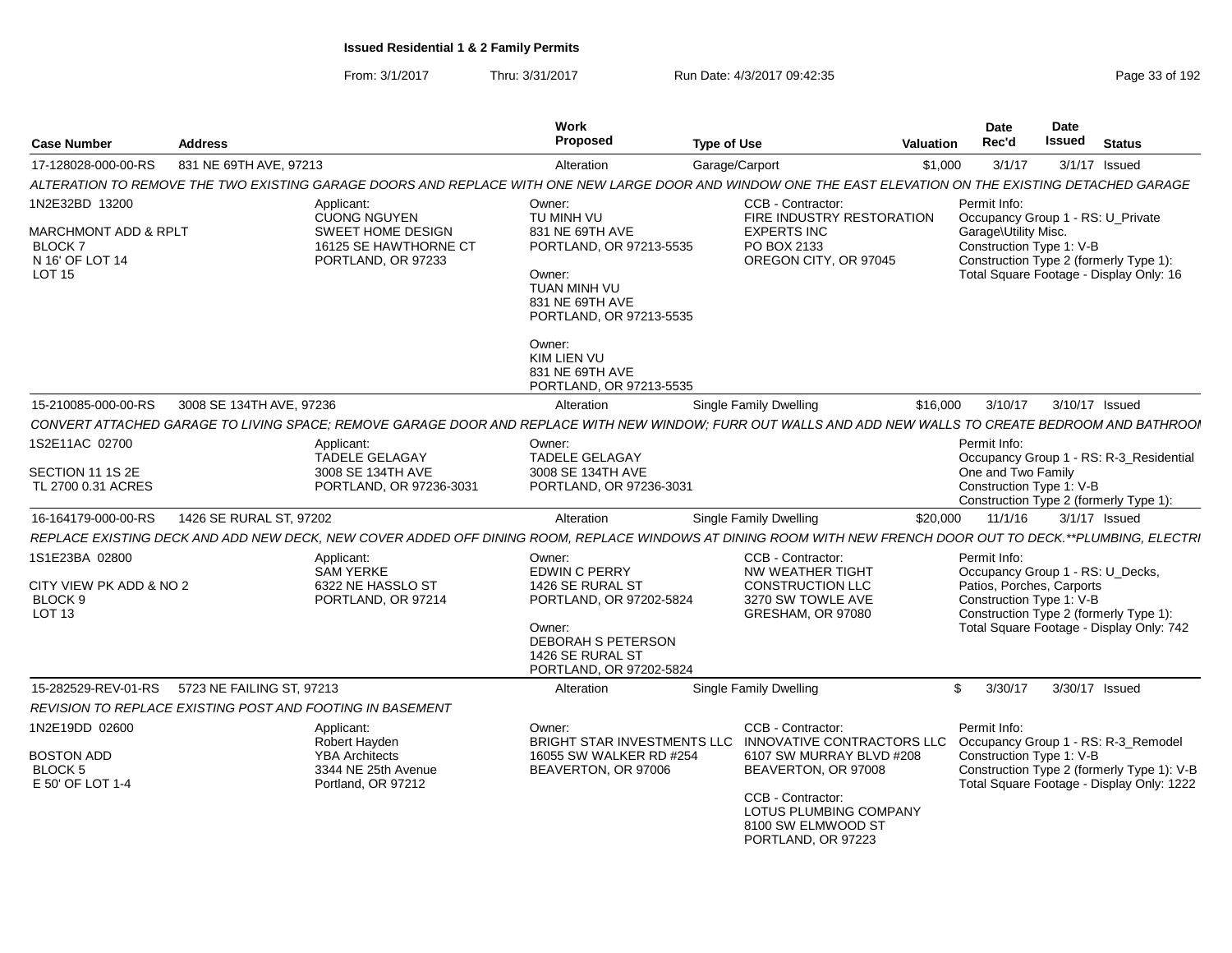| <b>Case Number</b>                                                       | <b>Address</b>            |                                                                                                                                                              | <b>Work</b><br><b>Proposed</b>                                              | <b>Type of Use</b> |                                                                                         | <b>Valuation</b> | <b>Date</b><br>Rec'd                             | <b>Date</b><br><b>Issued</b> | <b>Status</b>                              |
|--------------------------------------------------------------------------|---------------------------|--------------------------------------------------------------------------------------------------------------------------------------------------------------|-----------------------------------------------------------------------------|--------------------|-----------------------------------------------------------------------------------------|------------------|--------------------------------------------------|------------------------------|--------------------------------------------|
| 17-128028-000-00-RS                                                      | 831 NE 69TH AVE, 97213    |                                                                                                                                                              | Alteration                                                                  | Garage/Carport     |                                                                                         | \$1,000          | 3/1/17                                           |                              | $3/1/17$ Issued                            |
|                                                                          |                           | ALTERATION TO REMOVE THE TWO EXISTING GARAGE DOORS AND REPLACE WITH ONE NEW LARGE DOOR AND WINDOW ONE THE EAST ELEVATION ON THE EXISTING DETACHED GARAGE     |                                                                             |                    |                                                                                         |                  |                                                  |                              |                                            |
| 1N2E32BD 13200                                                           |                           | Applicant:<br><b>CUONG NGUYEN</b>                                                                                                                            | Owner:<br>TU MINH VU                                                        |                    | CCB - Contractor:<br>FIRE INDUSTRY RESTORATION                                          |                  | Permit Info:                                     |                              | Occupancy Group 1 - RS: U_Private          |
| <b>MARCHMONT ADD &amp; RPLT</b><br>BLOCK <sub>7</sub><br>N 16' OF LOT 14 |                           | SWEET HOME DESIGN<br>16125 SE HAWTHORNE CT<br>PORTLAND, OR 97233                                                                                             | 831 NE 69TH AVE<br>PORTLAND, OR 97213-5535                                  |                    | <b>EXPERTS INC</b><br>PO BOX 2133<br>OREGON CITY, OR 97045                              |                  | Garage\Utility Misc.<br>Construction Type 1: V-B |                              | Construction Type 2 (formerly Type 1):     |
| LOT 15                                                                   |                           |                                                                                                                                                              | Owner:<br>TUAN MINH VU<br>831 NE 69TH AVE<br>PORTLAND, OR 97213-5535        |                    |                                                                                         |                  |                                                  |                              | Total Square Footage - Display Only: 16    |
|                                                                          |                           |                                                                                                                                                              | Owner:<br><b>KIM LIEN VU</b><br>831 NE 69TH AVE<br>PORTLAND, OR 97213-5535  |                    |                                                                                         |                  |                                                  |                              |                                            |
| 15-210085-000-00-RS                                                      | 3008 SE 134TH AVE, 97236  |                                                                                                                                                              | Alteration                                                                  |                    | Single Family Dwelling                                                                  | \$16,000         | 3/10/17                                          |                              | 3/10/17 Issued                             |
|                                                                          |                           | CONVERT ATTACHED GARAGE TO LIVING SPACE; REMOVE GARAGE DOOR AND REPLACE WITH NEW WINDOW; FURR OUT WALLS AND ADD NEW WALLS TO CREATE BEDROOM AND BATHROOI     |                                                                             |                    |                                                                                         |                  |                                                  |                              |                                            |
| 1S2E11AC 02700                                                           |                           | Applicant:<br>TADELE GELAGAY                                                                                                                                 | Owner:<br><b>TADELE GELAGAY</b>                                             |                    |                                                                                         |                  | Permit Info:                                     |                              | Occupancy Group 1 - RS: R-3 Residential    |
| SECTION 11 1S 2E<br>TL 2700 0.31 ACRES                                   |                           | 3008 SE 134TH AVE<br>PORTLAND, OR 97236-3031                                                                                                                 | 3008 SE 134TH AVE<br>PORTLAND, OR 97236-3031                                |                    |                                                                                         |                  | One and Two Family<br>Construction Type 1: V-B   |                              | Construction Type 2 (formerly Type 1):     |
| 16-164179-000-00-RS                                                      | 1426 SE RURAL ST, 97202   |                                                                                                                                                              | Alteration                                                                  |                    | Single Family Dwelling                                                                  | \$20,000         | 11/1/16                                          |                              | $3/1/17$ Issued                            |
|                                                                          |                           | REPLACE EXISTING DECK AND ADD NEW DECK, NEW COVER ADDED OFF DINING ROOM, REPLACE WINDOWS AT DINING ROOM WITH NEW FRENCH DOOR OUT TO DECK.**PLUMBING, ELECTRI |                                                                             |                    |                                                                                         |                  |                                                  |                              |                                            |
| 1S1E23BA 02800<br>CITY VIEW PK ADD & NO 2                                |                           | Applicant:<br><b>SAM YERKE</b><br>6322 NE HASSLO ST                                                                                                          | Owner:<br><b>EDWIN C PERRY</b><br>1426 SE RURAL ST                          |                    | CCB - Contractor:<br>NW WEATHER TIGHT<br><b>CONSTRUCTION LLC</b>                        |                  | Permit Info:<br>Patios, Porches, Carports        |                              | Occupancy Group 1 - RS: U_Decks,           |
| BLOCK <sub>9</sub><br>LOT <sub>13</sub>                                  |                           | PORTLAND, OR 97214                                                                                                                                           | PORTLAND, OR 97202-5824                                                     |                    | 3270 SW TOWLE AVE<br>GRESHAM, OR 97080                                                  |                  | Construction Type 1: V-B                         |                              | Construction Type 2 (formerly Type 1):     |
|                                                                          |                           |                                                                                                                                                              | Owner:<br>DEBORAH S PETERSON<br>1426 SE RURAL ST<br>PORTLAND, OR 97202-5824 |                    |                                                                                         |                  |                                                  |                              | Total Square Footage - Display Only: 742   |
| 15-282529-REV-01-RS                                                      | 5723 NE FAILING ST, 97213 |                                                                                                                                                              | Alteration                                                                  |                    | Single Family Dwelling                                                                  |                  | $\mathfrak{L}$<br>3/30/17                        |                              | 3/30/17 Issued                             |
|                                                                          |                           | REVISION TO REPLACE EXISTING POST AND FOOTING IN BASEMENT                                                                                                    |                                                                             |                    |                                                                                         |                  |                                                  |                              |                                            |
| 1N2E19DD 02600                                                           |                           | Applicant:<br>Robert Hayden                                                                                                                                  | Owner:<br><b>BRIGHT STAR INVESTMENTS LLC</b>                                |                    | CCB - Contractor:<br>INNOVATIVE CONTRACTORS LLC                                         |                  | Permit Info:                                     |                              | Occupancy Group 1 - RS: R-3 Remodel        |
| <b>BOSTON ADD</b><br>BLOCK 5                                             |                           | <b>YBA Architects</b><br>3344 NE 25th Avenue                                                                                                                 | 16055 SW WALKER RD #254<br>BEAVERTON, OR 97006                              |                    | 6107 SW MURRAY BLVD #208<br>BEAVERTON, OR 97008                                         |                  | Construction Type 1: V-B                         |                              | Construction Type 2 (formerly Type 1): V-B |
| E 50' OF LOT 1-4                                                         |                           | Portland, OR 97212                                                                                                                                           |                                                                             |                    | CCB - Contractor:<br>LOTUS PLUMBING COMPANY<br>8100 SW ELMWOOD ST<br>PORTLAND, OR 97223 |                  |                                                  |                              | Total Square Footage - Display Only: 1222  |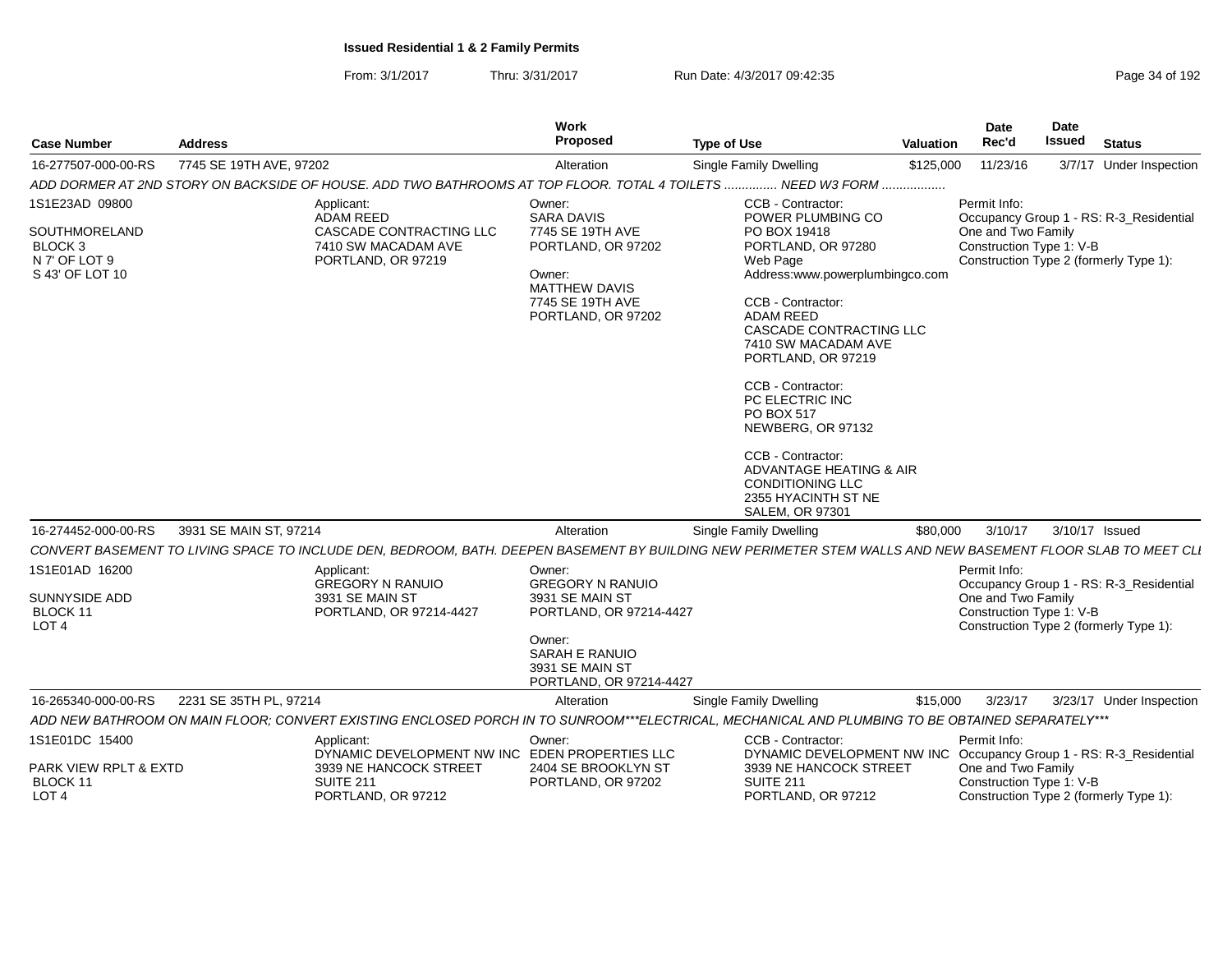From: 3/1/2017Thru: 3/31/2017 Run Date: 4/3/2017 09:42:35 Page 34 of 192

| <b>Case Number</b>                                                                        | <b>Address</b>          |                                                                                                                                  | Work<br>Proposed                                                                                                                                          | <b>Type of Use</b>                                                                                                                                                                                                                                                                                                                                                                                                        | <b>Valuation</b> | Date<br>Rec'd                                                  | <b>Date</b><br><b>Issued</b> | <b>Status</b>                                                                     |
|-------------------------------------------------------------------------------------------|-------------------------|----------------------------------------------------------------------------------------------------------------------------------|-----------------------------------------------------------------------------------------------------------------------------------------------------------|---------------------------------------------------------------------------------------------------------------------------------------------------------------------------------------------------------------------------------------------------------------------------------------------------------------------------------------------------------------------------------------------------------------------------|------------------|----------------------------------------------------------------|------------------------------|-----------------------------------------------------------------------------------|
| 16-277507-000-00-RS                                                                       | 7745 SE 19TH AVE, 97202 |                                                                                                                                  | Alteration                                                                                                                                                | <b>Single Family Dwelling</b>                                                                                                                                                                                                                                                                                                                                                                                             | \$125,000        | 11/23/16                                                       |                              | 3/7/17 Under Inspection                                                           |
|                                                                                           |                         | ADD DORMER AT 2ND STORY ON BACKSIDE OF HOUSE. ADD TWO BATHROOMS AT TOP FLOOR. TOTAL 4 TOILETS                                    |                                                                                                                                                           | NEED W3 FORM                                                                                                                                                                                                                                                                                                                                                                                                              | .                |                                                                |                              |                                                                                   |
| 1S1E23AD 09800<br>SOUTHMORELAND<br>BLOCK <sub>3</sub><br>N 7' OF LOT 9<br>S 43' OF LOT 10 |                         | Applicant:<br><b>ADAM REED</b><br>CASCADE CONTRACTING LLC<br>7410 SW MACADAM AVE<br>PORTLAND, OR 97219                           | Owner:<br><b>SARA DAVIS</b><br>7745 SE 19TH AVE<br>PORTLAND, OR 97202<br>Owner:<br><b>MATTHEW DAVIS</b><br>7745 SE 19TH AVE<br>PORTLAND, OR 97202         | CCB - Contractor:<br>POWER PLUMBING CO<br>PO BOX 19418<br>PORTLAND, OR 97280<br>Web Page<br>Address:www.powerplumbingco.com<br>CCB - Contractor:<br><b>ADAM REED</b><br>CASCADE CONTRACTING LLC<br>7410 SW MACADAM AVE<br>PORTLAND, OR 97219<br>CCB - Contractor:<br>PC ELECTRIC INC<br>PO BOX 517<br>NEWBERG, OR 97132<br>CCB - Contractor:<br>ADVANTAGE HEATING & AIR<br><b>CONDITIONING LLC</b><br>2355 HYACINTH ST NE |                  | Permit Info:<br>One and Two Family<br>Construction Type 1: V-B |                              | Occupancy Group 1 - RS: R-3 Residential<br>Construction Type 2 (formerly Type 1): |
|                                                                                           |                         |                                                                                                                                  |                                                                                                                                                           | <b>SALEM, OR 97301</b>                                                                                                                                                                                                                                                                                                                                                                                                    |                  |                                                                |                              |                                                                                   |
| 16-274452-000-00-RS                                                                       | 3931 SE MAIN ST, 97214  |                                                                                                                                  | Alteration                                                                                                                                                | Single Family Dwelling                                                                                                                                                                                                                                                                                                                                                                                                    | \$80,000         | 3/10/17                                                        |                              | 3/10/17 Issued                                                                    |
|                                                                                           |                         |                                                                                                                                  |                                                                                                                                                           | CONVERT BASEMENT TO LIVING SPACE TO INCLUDE DEN. BEDROOM. BATH. DEEPEN BASEMENT BY BUILDING NEW PERIMETER STEM WALLS AND NEW BASEMENT FLOOR SLAB TO MEET CLI                                                                                                                                                                                                                                                              |                  |                                                                |                              |                                                                                   |
| 1S1E01AD 16200<br>SUNNYSIDE ADD<br>BLOCK 11<br>LOT <sub>4</sub>                           |                         | Applicant:<br><b>GREGORY N RANUIO</b><br>3931 SE MAIN ST<br>PORTLAND, OR 97214-4427                                              | Owner:<br><b>GREGORY N RANUIO</b><br>3931 SE MAIN ST<br>PORTLAND, OR 97214-4427<br>Owner:<br>SARAH E RANUIO<br>3931 SE MAIN ST<br>PORTLAND, OR 97214-4427 |                                                                                                                                                                                                                                                                                                                                                                                                                           |                  | Permit Info:<br>One and Two Family<br>Construction Type 1: V-B |                              | Occupancy Group 1 - RS: R-3_Residential<br>Construction Type 2 (formerly Type 1): |
| 16-265340-000-00-RS                                                                       | 2231 SE 35TH PL, 97214  |                                                                                                                                  | Alteration                                                                                                                                                | Single Family Dwelling                                                                                                                                                                                                                                                                                                                                                                                                    | \$15,000         | 3/23/17                                                        |                              | 3/23/17 Under Inspection                                                          |
|                                                                                           |                         |                                                                                                                                  |                                                                                                                                                           | ADD NEW BATHROOM ON MAIN FLOOR; CONVERT EXISTING ENCLOSED PORCH IN TO SUNROOM***ELECTRICAL, MECHANICAL AND PLUMBING TO BE OBTAINED SEPARATELY***                                                                                                                                                                                                                                                                          |                  |                                                                |                              |                                                                                   |
| 1S1E01DC 15400<br>PARK VIEW RPLT & EXTD<br>BLOCK 11<br>LOT <sub>4</sub>                   |                         | Applicant:<br>DYNAMIC DEVELOPMENT NW INC EDEN PROPERTIES LLC<br>3939 NE HANCOCK STREET<br><b>SUITE 211</b><br>PORTLAND, OR 97212 | Owner:<br>2404 SE BROOKLYN ST<br>PORTLAND, OR 97202                                                                                                       | CCB - Contractor:<br>DYNAMIC DEVELOPMENT NW INC Occupancy Group 1 - RS: R-3_Residential<br>3939 NE HANCOCK STREET<br><b>SUITE 211</b><br>PORTLAND, OR 97212                                                                                                                                                                                                                                                               |                  | Permit Info:<br>One and Two Family<br>Construction Type 1: V-B |                              | Construction Type 2 (formerly Type 1):                                            |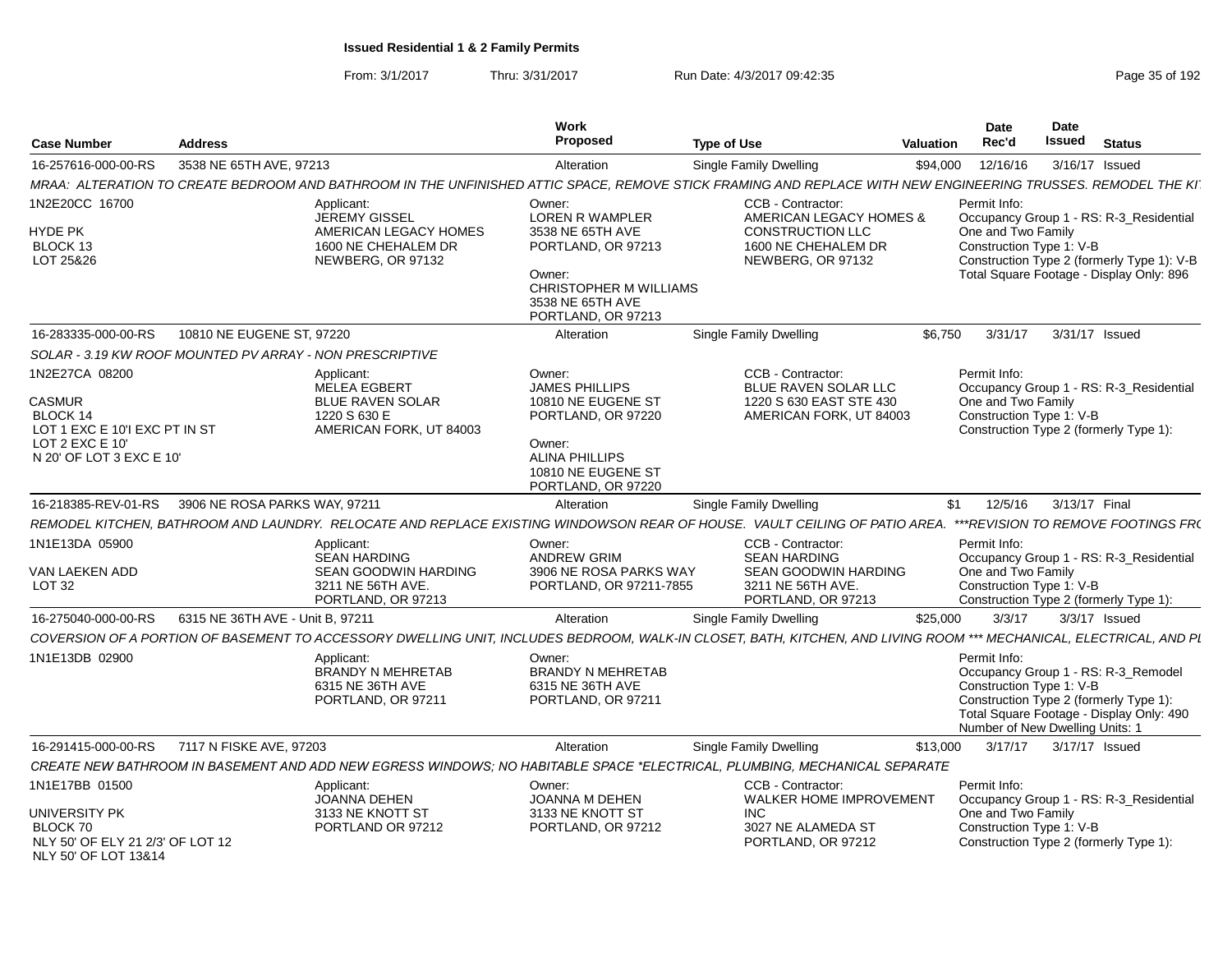| Case Number                                                                                                                   | <b>Address</b>                   |                                                                                                                                                                    | Work<br>Proposed                                                                                                                                           | <b>Type of Use</b>                                                                                                  | Valuation | Date<br>Rec'd                                                               | <b>Date</b><br>Issued      | <b>Status</b>                                                                                                                     |
|-------------------------------------------------------------------------------------------------------------------------------|----------------------------------|--------------------------------------------------------------------------------------------------------------------------------------------------------------------|------------------------------------------------------------------------------------------------------------------------------------------------------------|---------------------------------------------------------------------------------------------------------------------|-----------|-----------------------------------------------------------------------------|----------------------------|-----------------------------------------------------------------------------------------------------------------------------------|
| 16-257616-000-00-RS                                                                                                           | 3538 NE 65TH AVE, 97213          |                                                                                                                                                                    | Alteration                                                                                                                                                 | <b>Single Family Dwelling</b>                                                                                       | \$94,000  | 12/16/16                                                                    | 3/16/17 Issued             |                                                                                                                                   |
|                                                                                                                               |                                  | MRAA: ALTERATION TO CREATE BEDROOM AND BATHROOM IN THE UNFINISHED ATTIC SPACE, REMOVE STICK FRAMING AND REPLACE WITH NEW ENGINEERING TRUSSES. REMODEL THE KI       |                                                                                                                                                            |                                                                                                                     |           |                                                                             |                            |                                                                                                                                   |
| 1N2E20CC 16700<br>HYDE PK<br>BLOCK 13<br>LOT 25&26                                                                            |                                  | Applicant:<br><b>JEREMY GISSEL</b><br>AMERICAN LEGACY HOMES<br>1600 NE CHEHALEM DR<br>NEWBERG, OR 97132                                                            | Owner:<br><b>LOREN R WAMPLER</b><br>3538 NE 65TH AVE<br>PORTLAND, OR 97213<br>Owner:<br>CHRISTOPHER M WILLIAMS<br>3538 NE 65TH AVE<br>PORTLAND, OR 97213   | CCB - Contractor:<br>AMERICAN LEGACY HOMES &<br><b>CONSTRUCTION LLC</b><br>1600 NE CHEHALEM DR<br>NEWBERG, OR 97132 |           | Permit Info:<br>One and Two Family<br>Construction Type 1: V-B              |                            | Occupancy Group 1 - RS: R-3_Residential<br>Construction Type 2 (formerly Type 1): V-B<br>Total Square Footage - Display Only: 896 |
| 16-283335-000-00-RS                                                                                                           | 10810 NE EUGENE ST, 97220        |                                                                                                                                                                    | Alteration                                                                                                                                                 | Single Family Dwelling                                                                                              | \$6.750   | 3/31/17                                                                     | 3/31/17 Issued             |                                                                                                                                   |
| SOLAR - 3.19 KW ROOF MOUNTED PV ARRAY - NON PRESCRIPTIVE                                                                      |                                  |                                                                                                                                                                    |                                                                                                                                                            |                                                                                                                     |           |                                                                             |                            |                                                                                                                                   |
| 1N2E27CA 08200<br><b>CASMUR</b><br>BLOCK 14<br>LOT 1 EXC E 10'I EXC PT IN ST<br>LOT $2$ EXC E 10'<br>N 20' OF LOT 3 EXC E 10' |                                  | Applicant:<br><b>MELEA EGBERT</b><br><b>BLUE RAVEN SOLAR</b><br>1220 S 630 E<br>AMERICAN FORK, UT 84003                                                            | Owner:<br><b>JAMES PHILLIPS</b><br>10810 NE EUGENE ST<br>PORTLAND, OR 97220<br>Owner:<br><b>ALINA PHILLIPS</b><br>10810 NE EUGENE ST<br>PORTLAND, OR 97220 | CCB - Contractor:<br>BLUE RAVEN SOLAR LLC<br>1220 S 630 EAST STE 430<br>AMERICAN FORK, UT 84003                     |           | Permit Info:<br>One and Two Family<br>Construction Type 1: V-B              |                            | Occupancy Group 1 - RS: R-3 Residential<br>Construction Type 2 (formerly Type 1):                                                 |
| 16-218385-REV-01-RS                                                                                                           | 3906 NE ROSA PARKS WAY, 97211    |                                                                                                                                                                    | Alteration                                                                                                                                                 | <b>Single Family Dwelling</b>                                                                                       | \$1       | 12/5/16                                                                     | 3/13/17 Final              |                                                                                                                                   |
|                                                                                                                               |                                  | REMODEL KITCHEN, BATHROOM AND LAUNDRY. RELOCATE AND REPLACE EXISTING WINDOWSON REAR OF HOUSE. VAULT CEILING OF PATIO AREA.                                         |                                                                                                                                                            |                                                                                                                     |           |                                                                             |                            | ***REVISION TO REMOVE FOOTINGS FR(                                                                                                |
| 1N1E13DA 05900<br>VAN LAEKEN ADD<br>LOT <sub>32</sub>                                                                         |                                  | Applicant:<br><b>SEAN HARDING</b><br><b>SEAN GOODWIN HARDING</b><br>3211 NE 56TH AVE.<br>PORTLAND, OR 97213                                                        | Owner:<br><b>ANDREW GRIM</b><br>3906 NE ROSA PARKS WAY<br>PORTLAND, OR 97211-7855                                                                          | CCB - Contractor:<br><b>SEAN HARDING</b><br>SEAN GOODWIN HARDING<br>3211 NE 56TH AVE.<br>PORTLAND, OR 97213         |           | Permit Info:<br>One and Two Family<br>Construction Type 1: V-B              |                            | Occupancy Group 1 - RS: R-3_Residential<br>Construction Type 2 (formerly Type 1):                                                 |
| 16-275040-000-00-RS                                                                                                           | 6315 NE 36TH AVE - Unit B, 97211 |                                                                                                                                                                    | Alteration                                                                                                                                                 | Single Family Dwelling                                                                                              | \$25,000  | 3/3/17                                                                      | 3/3/17 Issued              |                                                                                                                                   |
|                                                                                                                               |                                  | COVERSION OF A PORTION OF BASEMENT TO ACCESSORY DWELLING UNIT, INCLUDES BEDROOM, WALK-IN CLOSET, BATH, KITCHEN, AND LIVING ROOM *** MECHANICAL, ELECTRICAL, AND PI |                                                                                                                                                            |                                                                                                                     |           |                                                                             |                            |                                                                                                                                   |
| 1N1E13DB 02900                                                                                                                |                                  | Applicant:<br><b>BRANDY N MEHRETAB</b><br>6315 NE 36TH AVE<br>PORTLAND, OR 97211                                                                                   | Owner:<br><b>BRANDY N MEHRETAB</b><br>6315 NE 36TH AVE<br>PORTLAND, OR 97211                                                                               |                                                                                                                     |           | Permit Info:<br>Construction Type 1: V-B<br>Number of New Dwelling Units: 1 |                            | Occupancy Group 1 - RS: R-3 Remodel<br>Construction Type 2 (formerly Type 1):<br>Total Square Footage - Display Only: 490         |
| 16-291415-000-00-RS                                                                                                           | 7117 N FISKE AVE, 97203          |                                                                                                                                                                    | Alteration                                                                                                                                                 | <b>Single Family Dwelling</b>                                                                                       | \$13,000  |                                                                             | 3/17/17   3/17/17   Issued |                                                                                                                                   |
|                                                                                                                               |                                  | CREATE NEW BATHROOM IN BASEMENT AND ADD NEW EGRESS WINDOWS; NO HABITABLE SPACE *ELECTRICAL, PLUMBING, MECHANICAL SEPARATE                                          |                                                                                                                                                            |                                                                                                                     |           |                                                                             |                            |                                                                                                                                   |
| 1N1E17BB 01500<br>UNIVERSITY PK<br>BLOCK 70<br>NLY 50' OF ELY 21 2/3' OF LOT 12<br>NLY 50' OF LOT 13&14                       |                                  | Applicant:<br>JOANNA DEHEN<br>3133 NE KNOTT ST<br>PORTLAND OR 97212                                                                                                | Owner:<br><b>JOANNA M DEHEN</b><br>3133 NE KNOTT ST<br>PORTLAND, OR 97212                                                                                  | CCB - Contractor:<br>WALKER HOME IMPROVEMENT<br><b>INC</b><br>3027 NE ALAMEDA ST<br>PORTLAND, OR 97212              |           | Permit Info:<br>One and Two Family<br>Construction Type 1: V-B              |                            | Occupancy Group 1 - RS: R-3 Residential<br>Construction Type 2 (formerly Type 1):                                                 |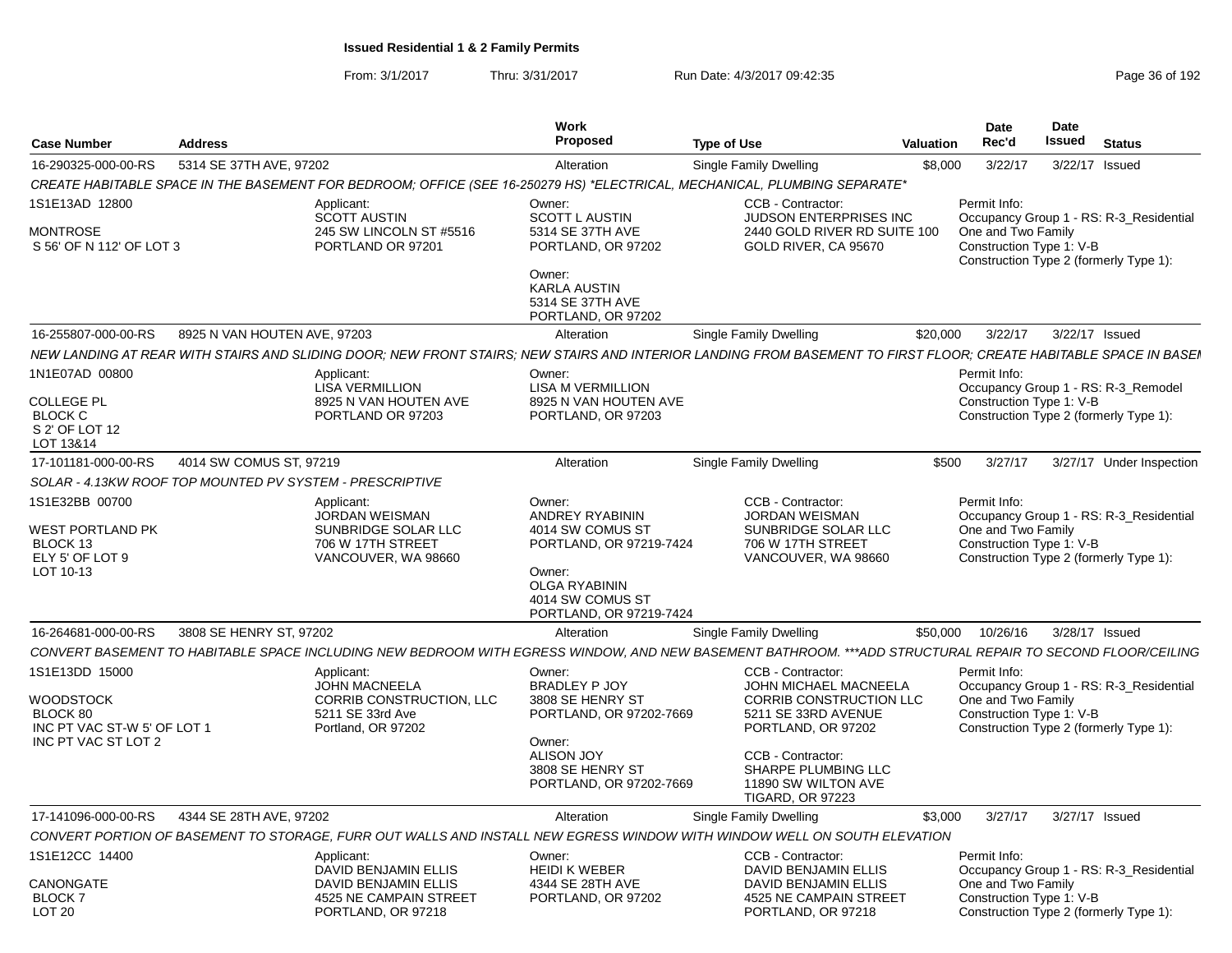| 5314 SE 37TH AVE, 97202<br>3/22/17<br>3/22/17 Issued<br>16-290325-000-00-RS<br>Alteration<br><b>Single Family Dwelling</b><br>\$8,000<br>CREATE HABITABLE SPACE IN THE BASEMENT FOR BEDROOM; OFFICE (SEE 16-250279 HS) *ELECTRICAL, MECHANICAL, PLUMBING SEPARATE*<br>1S1E13AD 12800<br>CCB - Contractor:<br>Owner:<br>Permit Info:<br>Applicant:<br><b>SCOTT AUSTIN</b><br><b>SCOTT L AUSTIN</b><br>JUDSON ENTERPRISES INC<br>Occupancy Group 1 - RS: R-3_Residential<br>245 SW LINCOLN ST #5516<br>5314 SE 37TH AVE<br>2440 GOLD RIVER RD SUITE 100<br>One and Two Family<br>PORTLAND OR 97201<br>PORTLAND, OR 97202<br>GOLD RIVER, CA 95670<br>Construction Type 1: V-B<br>Construction Type 2 (formerly Type 1):<br>Owner:<br>KARLA AUSTIN<br>5314 SE 37TH AVE<br>PORTLAND, OR 97202<br>8925 N VAN HOUTEN AVE, 97203<br>3/22/17 Issued<br><b>Single Family Dwelling</b><br>\$20,000<br>3/22/17<br>Alteration<br>NEW LANDING AT REAR WITH STAIRS AND SLIDING DOOR: NEW FRONT STAIRS: NEW STAIRS AND INTERIOR LANDING FROM BASEMENT TO FIRST FLOOR: CREATE HABITABLE SPACE IN BASEI<br>Applicant:<br>Owner:<br>Permit Info:<br><b>LISA VERMILLION</b><br><b>LISA M VERMILLION</b><br>Occupancy Group 1 - RS: R-3_Remodel<br>COLLEGE PL<br>8925 N VAN HOUTEN AVE<br>Construction Type 1: V-B<br>8925 N VAN HOUTEN AVE<br><b>BLOCK C</b><br>PORTLAND OR 97203<br>PORTLAND, OR 97203<br>Construction Type 2 (formerly Type 1):<br>4014 SW COMUS ST, 97219<br>Single Family Dwelling<br>3/27/17 Under Inspection<br>Alteration<br>\$500<br>3/27/17<br>SOLAR - 4.13KW ROOF TOP MOUNTED PV SYSTEM - PRESCRIPTIVE<br>Owner:<br>CCB - Contractor:<br>Permit Info:<br>Applicant:<br>JORDAN WEISMAN<br>ANDREY RYABININ<br><b>JORDAN WEISMAN</b><br>Occupancy Group 1 - RS: R-3_Residential<br>SUNBRIDGE SOLAR LLC<br>4014 SW COMUS ST<br>SUNBRIDGE SOLAR LLC<br>One and Two Family<br>706 W 17TH STREET<br>PORTLAND, OR 97219-7424<br>706 W 17TH STREET<br>Construction Type 1: V-B<br>ELY 5' OF LOT 9<br>VANCOUVER, WA 98660<br>VANCOUVER, WA 98660<br>Construction Type 2 (formerly Type 1):<br>LOT 10-13<br>Owner:<br>OLGA RYABININ<br>4014 SW COMUS ST<br>PORTLAND, OR 97219-7424<br>3808 SE HENRY ST, 97202<br>3/28/17 Issued<br>Alteration<br><b>Single Family Dwelling</b><br>\$50,000<br>10/26/16<br>CONVERT BASEMENT TO HABITABLE SPACE INCLUDING NEW BEDROOM WITH EGRESS WINDOW, AND NEW BASEMENT BATHROOM. ***ADD STRUCTURAL REPAIR TO SECOND FLOOR/CEILING<br>Owner:<br>CCB - Contractor:<br>Permit Info:<br>Applicant:<br><b>JOHN MACNEELA</b><br>BRADLEY P JOY<br>JOHN MICHAEL MACNEELA<br>Occupancy Group 1 - RS: R-3_Residential<br>CORRIB CONSTRUCTION, LLC<br>One and Two Family<br>WOODSTOCK<br>3808 SE HENRY ST<br>CORRIB CONSTRUCTION LLC<br>5211 SE 33rd Ave<br>PORTLAND, OR 97202-7669<br>5211 SE 33RD AVENUE<br>Construction Type 1: V-B<br>PORTLAND, OR 97202<br>INC PT VAC ST-W 5' OF LOT 1<br>Portland, OR 97202<br>Construction Type 2 (formerly Type 1):<br>Owner:<br><b>ALISON JOY</b><br>CCB - Contractor:<br>3808 SE HENRY ST<br>SHARPE PLUMBING LLC<br>PORTLAND, OR 97202-7669<br>11890 SW WILTON AVE<br><b>TIGARD, OR 97223</b><br>4344 SE 28TH AVE, 97202<br>17-141096-000-00-RS<br>\$3,000<br>3/27/17<br>3/27/17 Issued<br>Alteration<br>Single Family Dwelling<br>CONVERT PORTION OF BASEMENT TO STORAGE. FURR OUT WALLS AND INSTALL NEW EGRESS WINDOW WITH WINDOW WELL ON SOUTH ELEVATION<br>CCB - Contractor:<br>Permit Info:<br>Owner:<br>Applicant:<br>DAVID BENJAMIN ELLIS<br><b>HEIDI K WEBER</b><br>DAVID BENJAMIN ELLIS<br>Occupancy Group 1 - RS: R-3_Residential<br><b>DAVID BENJAMIN ELLIS</b><br><b>DAVID BENJAMIN ELLIS</b><br>4344 SE 28TH AVE<br>One and Two Family<br>4525 NE CAMPAIN STREET<br>4525 NE CAMPAIN STREET<br>PORTLAND, OR 97202<br>Construction Type 1: V-B<br>PORTLAND, OR 97218<br>Construction Type 2 (formerly Type 1):<br>PORTLAND, OR 97218 | <b>Case Number</b>                          | <b>Address</b> | Work<br><b>Proposed</b> | <b>Type of Use</b><br>Valuation | <b>Date</b><br>Rec'd | <b>Date</b><br>Issued | <b>Status</b> |  |
|-------------------------------------------------------------------------------------------------------------------------------------------------------------------------------------------------------------------------------------------------------------------------------------------------------------------------------------------------------------------------------------------------------------------------------------------------------------------------------------------------------------------------------------------------------------------------------------------------------------------------------------------------------------------------------------------------------------------------------------------------------------------------------------------------------------------------------------------------------------------------------------------------------------------------------------------------------------------------------------------------------------------------------------------------------------------------------------------------------------------------------------------------------------------------------------------------------------------------------------------------------------------------------------------------------------------------------------------------------------------------------------------------------------------------------------------------------------------------------------------------------------------------------------------------------------------------------------------------------------------------------------------------------------------------------------------------------------------------------------------------------------------------------------------------------------------------------------------------------------------------------------------------------------------------------------------------------------------------------------------------------------------------------------------------------------------------------------------------------------------------------------------------------------------------------------------------------------------------------------------------------------------------------------------------------------------------------------------------------------------------------------------------------------------------------------------------------------------------------------------------------------------------------------------------------------------------------------------------------------------------------------------------------------------------------------------------------------------------------------------------------------------------------------------------------------------------------------------------------------------------------------------------------------------------------------------------------------------------------------------------------------------------------------------------------------------------------------------------------------------------------------------------------------------------------------------------------------------------------------------------------------------------------------------------------------------------------------------------------------------------------------------------------------------------------------------------------------------------------------------------------------------------------------------------------------------------------------------------------------------------------------------------------------------------------------------------------------------------------------------------------------------------------------------------------------------------------------------------------------------------------------------------------------|---------------------------------------------|----------------|-------------------------|---------------------------------|----------------------|-----------------------|---------------|--|
|                                                                                                                                                                                                                                                                                                                                                                                                                                                                                                                                                                                                                                                                                                                                                                                                                                                                                                                                                                                                                                                                                                                                                                                                                                                                                                                                                                                                                                                                                                                                                                                                                                                                                                                                                                                                                                                                                                                                                                                                                                                                                                                                                                                                                                                                                                                                                                                                                                                                                                                                                                                                                                                                                                                                                                                                                                                                                                                                                                                                                                                                                                                                                                                                                                                                                                                                                                                                                                                                                                                                                                                                                                                                                                                                                                                                                                                                                                             |                                             |                |                         |                                 |                      |                       |               |  |
|                                                                                                                                                                                                                                                                                                                                                                                                                                                                                                                                                                                                                                                                                                                                                                                                                                                                                                                                                                                                                                                                                                                                                                                                                                                                                                                                                                                                                                                                                                                                                                                                                                                                                                                                                                                                                                                                                                                                                                                                                                                                                                                                                                                                                                                                                                                                                                                                                                                                                                                                                                                                                                                                                                                                                                                                                                                                                                                                                                                                                                                                                                                                                                                                                                                                                                                                                                                                                                                                                                                                                                                                                                                                                                                                                                                                                                                                                                             |                                             |                |                         |                                 |                      |                       |               |  |
|                                                                                                                                                                                                                                                                                                                                                                                                                                                                                                                                                                                                                                                                                                                                                                                                                                                                                                                                                                                                                                                                                                                                                                                                                                                                                                                                                                                                                                                                                                                                                                                                                                                                                                                                                                                                                                                                                                                                                                                                                                                                                                                                                                                                                                                                                                                                                                                                                                                                                                                                                                                                                                                                                                                                                                                                                                                                                                                                                                                                                                                                                                                                                                                                                                                                                                                                                                                                                                                                                                                                                                                                                                                                                                                                                                                                                                                                                                             |                                             |                |                         |                                 |                      |                       |               |  |
|                                                                                                                                                                                                                                                                                                                                                                                                                                                                                                                                                                                                                                                                                                                                                                                                                                                                                                                                                                                                                                                                                                                                                                                                                                                                                                                                                                                                                                                                                                                                                                                                                                                                                                                                                                                                                                                                                                                                                                                                                                                                                                                                                                                                                                                                                                                                                                                                                                                                                                                                                                                                                                                                                                                                                                                                                                                                                                                                                                                                                                                                                                                                                                                                                                                                                                                                                                                                                                                                                                                                                                                                                                                                                                                                                                                                                                                                                                             | <b>MONTROSE</b><br>S 56' OF N 112' OF LOT 3 |                |                         |                                 |                      |                       |               |  |
|                                                                                                                                                                                                                                                                                                                                                                                                                                                                                                                                                                                                                                                                                                                                                                                                                                                                                                                                                                                                                                                                                                                                                                                                                                                                                                                                                                                                                                                                                                                                                                                                                                                                                                                                                                                                                                                                                                                                                                                                                                                                                                                                                                                                                                                                                                                                                                                                                                                                                                                                                                                                                                                                                                                                                                                                                                                                                                                                                                                                                                                                                                                                                                                                                                                                                                                                                                                                                                                                                                                                                                                                                                                                                                                                                                                                                                                                                                             |                                             |                |                         |                                 |                      |                       |               |  |
|                                                                                                                                                                                                                                                                                                                                                                                                                                                                                                                                                                                                                                                                                                                                                                                                                                                                                                                                                                                                                                                                                                                                                                                                                                                                                                                                                                                                                                                                                                                                                                                                                                                                                                                                                                                                                                                                                                                                                                                                                                                                                                                                                                                                                                                                                                                                                                                                                                                                                                                                                                                                                                                                                                                                                                                                                                                                                                                                                                                                                                                                                                                                                                                                                                                                                                                                                                                                                                                                                                                                                                                                                                                                                                                                                                                                                                                                                                             | 16-255807-000-00-RS                         |                |                         |                                 |                      |                       |               |  |
|                                                                                                                                                                                                                                                                                                                                                                                                                                                                                                                                                                                                                                                                                                                                                                                                                                                                                                                                                                                                                                                                                                                                                                                                                                                                                                                                                                                                                                                                                                                                                                                                                                                                                                                                                                                                                                                                                                                                                                                                                                                                                                                                                                                                                                                                                                                                                                                                                                                                                                                                                                                                                                                                                                                                                                                                                                                                                                                                                                                                                                                                                                                                                                                                                                                                                                                                                                                                                                                                                                                                                                                                                                                                                                                                                                                                                                                                                                             |                                             |                |                         |                                 |                      |                       |               |  |
|                                                                                                                                                                                                                                                                                                                                                                                                                                                                                                                                                                                                                                                                                                                                                                                                                                                                                                                                                                                                                                                                                                                                                                                                                                                                                                                                                                                                                                                                                                                                                                                                                                                                                                                                                                                                                                                                                                                                                                                                                                                                                                                                                                                                                                                                                                                                                                                                                                                                                                                                                                                                                                                                                                                                                                                                                                                                                                                                                                                                                                                                                                                                                                                                                                                                                                                                                                                                                                                                                                                                                                                                                                                                                                                                                                                                                                                                                                             | 1N1E07AD 00800                              |                |                         |                                 |                      |                       |               |  |
|                                                                                                                                                                                                                                                                                                                                                                                                                                                                                                                                                                                                                                                                                                                                                                                                                                                                                                                                                                                                                                                                                                                                                                                                                                                                                                                                                                                                                                                                                                                                                                                                                                                                                                                                                                                                                                                                                                                                                                                                                                                                                                                                                                                                                                                                                                                                                                                                                                                                                                                                                                                                                                                                                                                                                                                                                                                                                                                                                                                                                                                                                                                                                                                                                                                                                                                                                                                                                                                                                                                                                                                                                                                                                                                                                                                                                                                                                                             |                                             |                |                         |                                 |                      |                       |               |  |
|                                                                                                                                                                                                                                                                                                                                                                                                                                                                                                                                                                                                                                                                                                                                                                                                                                                                                                                                                                                                                                                                                                                                                                                                                                                                                                                                                                                                                                                                                                                                                                                                                                                                                                                                                                                                                                                                                                                                                                                                                                                                                                                                                                                                                                                                                                                                                                                                                                                                                                                                                                                                                                                                                                                                                                                                                                                                                                                                                                                                                                                                                                                                                                                                                                                                                                                                                                                                                                                                                                                                                                                                                                                                                                                                                                                                                                                                                                             |                                             |                |                         |                                 |                      |                       |               |  |
|                                                                                                                                                                                                                                                                                                                                                                                                                                                                                                                                                                                                                                                                                                                                                                                                                                                                                                                                                                                                                                                                                                                                                                                                                                                                                                                                                                                                                                                                                                                                                                                                                                                                                                                                                                                                                                                                                                                                                                                                                                                                                                                                                                                                                                                                                                                                                                                                                                                                                                                                                                                                                                                                                                                                                                                                                                                                                                                                                                                                                                                                                                                                                                                                                                                                                                                                                                                                                                                                                                                                                                                                                                                                                                                                                                                                                                                                                                             | S 2' OF LOT 12                              |                |                         |                                 |                      |                       |               |  |
|                                                                                                                                                                                                                                                                                                                                                                                                                                                                                                                                                                                                                                                                                                                                                                                                                                                                                                                                                                                                                                                                                                                                                                                                                                                                                                                                                                                                                                                                                                                                                                                                                                                                                                                                                                                                                                                                                                                                                                                                                                                                                                                                                                                                                                                                                                                                                                                                                                                                                                                                                                                                                                                                                                                                                                                                                                                                                                                                                                                                                                                                                                                                                                                                                                                                                                                                                                                                                                                                                                                                                                                                                                                                                                                                                                                                                                                                                                             | LOT 13&14                                   |                |                         |                                 |                      |                       |               |  |
|                                                                                                                                                                                                                                                                                                                                                                                                                                                                                                                                                                                                                                                                                                                                                                                                                                                                                                                                                                                                                                                                                                                                                                                                                                                                                                                                                                                                                                                                                                                                                                                                                                                                                                                                                                                                                                                                                                                                                                                                                                                                                                                                                                                                                                                                                                                                                                                                                                                                                                                                                                                                                                                                                                                                                                                                                                                                                                                                                                                                                                                                                                                                                                                                                                                                                                                                                                                                                                                                                                                                                                                                                                                                                                                                                                                                                                                                                                             | 17-101181-000-00-RS                         |                |                         |                                 |                      |                       |               |  |
|                                                                                                                                                                                                                                                                                                                                                                                                                                                                                                                                                                                                                                                                                                                                                                                                                                                                                                                                                                                                                                                                                                                                                                                                                                                                                                                                                                                                                                                                                                                                                                                                                                                                                                                                                                                                                                                                                                                                                                                                                                                                                                                                                                                                                                                                                                                                                                                                                                                                                                                                                                                                                                                                                                                                                                                                                                                                                                                                                                                                                                                                                                                                                                                                                                                                                                                                                                                                                                                                                                                                                                                                                                                                                                                                                                                                                                                                                                             |                                             |                |                         |                                 |                      |                       |               |  |
|                                                                                                                                                                                                                                                                                                                                                                                                                                                                                                                                                                                                                                                                                                                                                                                                                                                                                                                                                                                                                                                                                                                                                                                                                                                                                                                                                                                                                                                                                                                                                                                                                                                                                                                                                                                                                                                                                                                                                                                                                                                                                                                                                                                                                                                                                                                                                                                                                                                                                                                                                                                                                                                                                                                                                                                                                                                                                                                                                                                                                                                                                                                                                                                                                                                                                                                                                                                                                                                                                                                                                                                                                                                                                                                                                                                                                                                                                                             | 1S1E32BB 00700                              |                |                         |                                 |                      |                       |               |  |
|                                                                                                                                                                                                                                                                                                                                                                                                                                                                                                                                                                                                                                                                                                                                                                                                                                                                                                                                                                                                                                                                                                                                                                                                                                                                                                                                                                                                                                                                                                                                                                                                                                                                                                                                                                                                                                                                                                                                                                                                                                                                                                                                                                                                                                                                                                                                                                                                                                                                                                                                                                                                                                                                                                                                                                                                                                                                                                                                                                                                                                                                                                                                                                                                                                                                                                                                                                                                                                                                                                                                                                                                                                                                                                                                                                                                                                                                                                             | WEST PORTLAND PK                            |                |                         |                                 |                      |                       |               |  |
|                                                                                                                                                                                                                                                                                                                                                                                                                                                                                                                                                                                                                                                                                                                                                                                                                                                                                                                                                                                                                                                                                                                                                                                                                                                                                                                                                                                                                                                                                                                                                                                                                                                                                                                                                                                                                                                                                                                                                                                                                                                                                                                                                                                                                                                                                                                                                                                                                                                                                                                                                                                                                                                                                                                                                                                                                                                                                                                                                                                                                                                                                                                                                                                                                                                                                                                                                                                                                                                                                                                                                                                                                                                                                                                                                                                                                                                                                                             | BLOCK 13                                    |                |                         |                                 |                      |                       |               |  |
|                                                                                                                                                                                                                                                                                                                                                                                                                                                                                                                                                                                                                                                                                                                                                                                                                                                                                                                                                                                                                                                                                                                                                                                                                                                                                                                                                                                                                                                                                                                                                                                                                                                                                                                                                                                                                                                                                                                                                                                                                                                                                                                                                                                                                                                                                                                                                                                                                                                                                                                                                                                                                                                                                                                                                                                                                                                                                                                                                                                                                                                                                                                                                                                                                                                                                                                                                                                                                                                                                                                                                                                                                                                                                                                                                                                                                                                                                                             |                                             |                |                         |                                 |                      |                       |               |  |
|                                                                                                                                                                                                                                                                                                                                                                                                                                                                                                                                                                                                                                                                                                                                                                                                                                                                                                                                                                                                                                                                                                                                                                                                                                                                                                                                                                                                                                                                                                                                                                                                                                                                                                                                                                                                                                                                                                                                                                                                                                                                                                                                                                                                                                                                                                                                                                                                                                                                                                                                                                                                                                                                                                                                                                                                                                                                                                                                                                                                                                                                                                                                                                                                                                                                                                                                                                                                                                                                                                                                                                                                                                                                                                                                                                                                                                                                                                             |                                             |                |                         |                                 |                      |                       |               |  |
|                                                                                                                                                                                                                                                                                                                                                                                                                                                                                                                                                                                                                                                                                                                                                                                                                                                                                                                                                                                                                                                                                                                                                                                                                                                                                                                                                                                                                                                                                                                                                                                                                                                                                                                                                                                                                                                                                                                                                                                                                                                                                                                                                                                                                                                                                                                                                                                                                                                                                                                                                                                                                                                                                                                                                                                                                                                                                                                                                                                                                                                                                                                                                                                                                                                                                                                                                                                                                                                                                                                                                                                                                                                                                                                                                                                                                                                                                                             | 16-264681-000-00-RS                         |                |                         |                                 |                      |                       |               |  |
|                                                                                                                                                                                                                                                                                                                                                                                                                                                                                                                                                                                                                                                                                                                                                                                                                                                                                                                                                                                                                                                                                                                                                                                                                                                                                                                                                                                                                                                                                                                                                                                                                                                                                                                                                                                                                                                                                                                                                                                                                                                                                                                                                                                                                                                                                                                                                                                                                                                                                                                                                                                                                                                                                                                                                                                                                                                                                                                                                                                                                                                                                                                                                                                                                                                                                                                                                                                                                                                                                                                                                                                                                                                                                                                                                                                                                                                                                                             |                                             |                |                         |                                 |                      |                       |               |  |
|                                                                                                                                                                                                                                                                                                                                                                                                                                                                                                                                                                                                                                                                                                                                                                                                                                                                                                                                                                                                                                                                                                                                                                                                                                                                                                                                                                                                                                                                                                                                                                                                                                                                                                                                                                                                                                                                                                                                                                                                                                                                                                                                                                                                                                                                                                                                                                                                                                                                                                                                                                                                                                                                                                                                                                                                                                                                                                                                                                                                                                                                                                                                                                                                                                                                                                                                                                                                                                                                                                                                                                                                                                                                                                                                                                                                                                                                                                             | 1S1E13DD 15000                              |                |                         |                                 |                      |                       |               |  |
|                                                                                                                                                                                                                                                                                                                                                                                                                                                                                                                                                                                                                                                                                                                                                                                                                                                                                                                                                                                                                                                                                                                                                                                                                                                                                                                                                                                                                                                                                                                                                                                                                                                                                                                                                                                                                                                                                                                                                                                                                                                                                                                                                                                                                                                                                                                                                                                                                                                                                                                                                                                                                                                                                                                                                                                                                                                                                                                                                                                                                                                                                                                                                                                                                                                                                                                                                                                                                                                                                                                                                                                                                                                                                                                                                                                                                                                                                                             |                                             |                |                         |                                 |                      |                       |               |  |
|                                                                                                                                                                                                                                                                                                                                                                                                                                                                                                                                                                                                                                                                                                                                                                                                                                                                                                                                                                                                                                                                                                                                                                                                                                                                                                                                                                                                                                                                                                                                                                                                                                                                                                                                                                                                                                                                                                                                                                                                                                                                                                                                                                                                                                                                                                                                                                                                                                                                                                                                                                                                                                                                                                                                                                                                                                                                                                                                                                                                                                                                                                                                                                                                                                                                                                                                                                                                                                                                                                                                                                                                                                                                                                                                                                                                                                                                                                             | BLOCK 80                                    |                |                         |                                 |                      |                       |               |  |
|                                                                                                                                                                                                                                                                                                                                                                                                                                                                                                                                                                                                                                                                                                                                                                                                                                                                                                                                                                                                                                                                                                                                                                                                                                                                                                                                                                                                                                                                                                                                                                                                                                                                                                                                                                                                                                                                                                                                                                                                                                                                                                                                                                                                                                                                                                                                                                                                                                                                                                                                                                                                                                                                                                                                                                                                                                                                                                                                                                                                                                                                                                                                                                                                                                                                                                                                                                                                                                                                                                                                                                                                                                                                                                                                                                                                                                                                                                             |                                             |                |                         |                                 |                      |                       |               |  |
|                                                                                                                                                                                                                                                                                                                                                                                                                                                                                                                                                                                                                                                                                                                                                                                                                                                                                                                                                                                                                                                                                                                                                                                                                                                                                                                                                                                                                                                                                                                                                                                                                                                                                                                                                                                                                                                                                                                                                                                                                                                                                                                                                                                                                                                                                                                                                                                                                                                                                                                                                                                                                                                                                                                                                                                                                                                                                                                                                                                                                                                                                                                                                                                                                                                                                                                                                                                                                                                                                                                                                                                                                                                                                                                                                                                                                                                                                                             | INC PT VAC ST LOT 2                         |                |                         |                                 |                      |                       |               |  |
|                                                                                                                                                                                                                                                                                                                                                                                                                                                                                                                                                                                                                                                                                                                                                                                                                                                                                                                                                                                                                                                                                                                                                                                                                                                                                                                                                                                                                                                                                                                                                                                                                                                                                                                                                                                                                                                                                                                                                                                                                                                                                                                                                                                                                                                                                                                                                                                                                                                                                                                                                                                                                                                                                                                                                                                                                                                                                                                                                                                                                                                                                                                                                                                                                                                                                                                                                                                                                                                                                                                                                                                                                                                                                                                                                                                                                                                                                                             |                                             |                |                         |                                 |                      |                       |               |  |
|                                                                                                                                                                                                                                                                                                                                                                                                                                                                                                                                                                                                                                                                                                                                                                                                                                                                                                                                                                                                                                                                                                                                                                                                                                                                                                                                                                                                                                                                                                                                                                                                                                                                                                                                                                                                                                                                                                                                                                                                                                                                                                                                                                                                                                                                                                                                                                                                                                                                                                                                                                                                                                                                                                                                                                                                                                                                                                                                                                                                                                                                                                                                                                                                                                                                                                                                                                                                                                                                                                                                                                                                                                                                                                                                                                                                                                                                                                             |                                             |                |                         |                                 |                      |                       |               |  |
|                                                                                                                                                                                                                                                                                                                                                                                                                                                                                                                                                                                                                                                                                                                                                                                                                                                                                                                                                                                                                                                                                                                                                                                                                                                                                                                                                                                                                                                                                                                                                                                                                                                                                                                                                                                                                                                                                                                                                                                                                                                                                                                                                                                                                                                                                                                                                                                                                                                                                                                                                                                                                                                                                                                                                                                                                                                                                                                                                                                                                                                                                                                                                                                                                                                                                                                                                                                                                                                                                                                                                                                                                                                                                                                                                                                                                                                                                                             |                                             |                |                         |                                 |                      |                       |               |  |
|                                                                                                                                                                                                                                                                                                                                                                                                                                                                                                                                                                                                                                                                                                                                                                                                                                                                                                                                                                                                                                                                                                                                                                                                                                                                                                                                                                                                                                                                                                                                                                                                                                                                                                                                                                                                                                                                                                                                                                                                                                                                                                                                                                                                                                                                                                                                                                                                                                                                                                                                                                                                                                                                                                                                                                                                                                                                                                                                                                                                                                                                                                                                                                                                                                                                                                                                                                                                                                                                                                                                                                                                                                                                                                                                                                                                                                                                                                             |                                             |                |                         |                                 |                      |                       |               |  |
|                                                                                                                                                                                                                                                                                                                                                                                                                                                                                                                                                                                                                                                                                                                                                                                                                                                                                                                                                                                                                                                                                                                                                                                                                                                                                                                                                                                                                                                                                                                                                                                                                                                                                                                                                                                                                                                                                                                                                                                                                                                                                                                                                                                                                                                                                                                                                                                                                                                                                                                                                                                                                                                                                                                                                                                                                                                                                                                                                                                                                                                                                                                                                                                                                                                                                                                                                                                                                                                                                                                                                                                                                                                                                                                                                                                                                                                                                                             |                                             |                |                         |                                 |                      |                       |               |  |
|                                                                                                                                                                                                                                                                                                                                                                                                                                                                                                                                                                                                                                                                                                                                                                                                                                                                                                                                                                                                                                                                                                                                                                                                                                                                                                                                                                                                                                                                                                                                                                                                                                                                                                                                                                                                                                                                                                                                                                                                                                                                                                                                                                                                                                                                                                                                                                                                                                                                                                                                                                                                                                                                                                                                                                                                                                                                                                                                                                                                                                                                                                                                                                                                                                                                                                                                                                                                                                                                                                                                                                                                                                                                                                                                                                                                                                                                                                             | 1S1E12CC 14400                              |                |                         |                                 |                      |                       |               |  |
|                                                                                                                                                                                                                                                                                                                                                                                                                                                                                                                                                                                                                                                                                                                                                                                                                                                                                                                                                                                                                                                                                                                                                                                                                                                                                                                                                                                                                                                                                                                                                                                                                                                                                                                                                                                                                                                                                                                                                                                                                                                                                                                                                                                                                                                                                                                                                                                                                                                                                                                                                                                                                                                                                                                                                                                                                                                                                                                                                                                                                                                                                                                                                                                                                                                                                                                                                                                                                                                                                                                                                                                                                                                                                                                                                                                                                                                                                                             | CANONGATE                                   |                |                         |                                 |                      |                       |               |  |
|                                                                                                                                                                                                                                                                                                                                                                                                                                                                                                                                                                                                                                                                                                                                                                                                                                                                                                                                                                                                                                                                                                                                                                                                                                                                                                                                                                                                                                                                                                                                                                                                                                                                                                                                                                                                                                                                                                                                                                                                                                                                                                                                                                                                                                                                                                                                                                                                                                                                                                                                                                                                                                                                                                                                                                                                                                                                                                                                                                                                                                                                                                                                                                                                                                                                                                                                                                                                                                                                                                                                                                                                                                                                                                                                                                                                                                                                                                             | <b>BLOCK7</b>                               |                |                         |                                 |                      |                       |               |  |
|                                                                                                                                                                                                                                                                                                                                                                                                                                                                                                                                                                                                                                                                                                                                                                                                                                                                                                                                                                                                                                                                                                                                                                                                                                                                                                                                                                                                                                                                                                                                                                                                                                                                                                                                                                                                                                                                                                                                                                                                                                                                                                                                                                                                                                                                                                                                                                                                                                                                                                                                                                                                                                                                                                                                                                                                                                                                                                                                                                                                                                                                                                                                                                                                                                                                                                                                                                                                                                                                                                                                                                                                                                                                                                                                                                                                                                                                                                             | <b>LOT 20</b>                               |                |                         |                                 |                      |                       |               |  |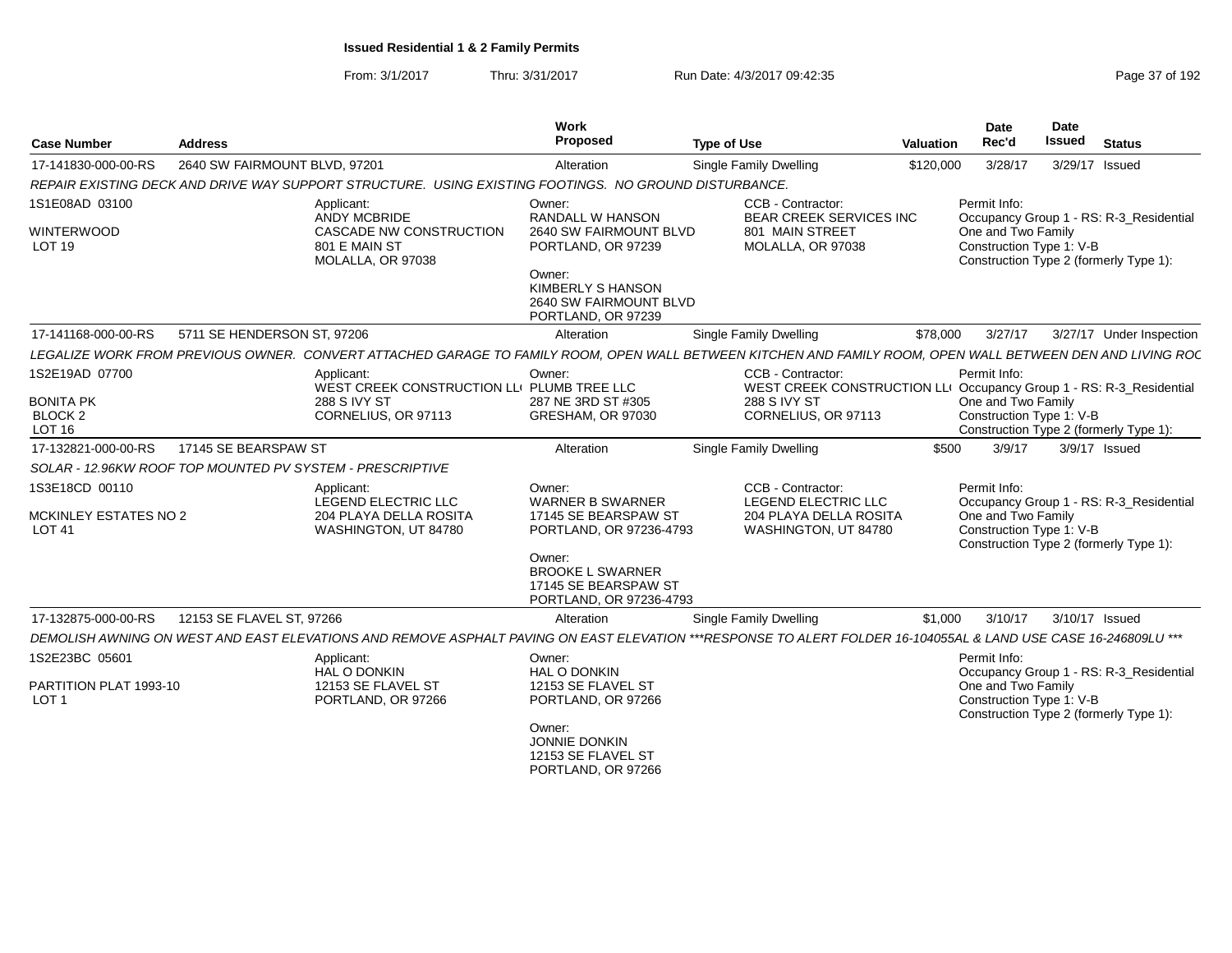From: 3/1/2017Thru: 3/31/2017 Run Date: 4/3/2017 09:42:35 Page 37 of 192

| <b>Case Number</b>                            | <b>Address</b>                |                                                                                                                                                                 | Work<br>Proposed                                                                          | <b>Type of Use</b>            |                                                                                          | Valuation | <b>Date</b><br>Rec'd                           | <b>Date</b><br><b>Issued</b> | <b>Status</b>                           |
|-----------------------------------------------|-------------------------------|-----------------------------------------------------------------------------------------------------------------------------------------------------------------|-------------------------------------------------------------------------------------------|-------------------------------|------------------------------------------------------------------------------------------|-----------|------------------------------------------------|------------------------------|-----------------------------------------|
| 17-141830-000-00-RS                           | 2640 SW FAIRMOUNT BLVD, 97201 |                                                                                                                                                                 | Alteration                                                                                | Single Family Dwelling        |                                                                                          | \$120,000 | 3/28/17                                        | 3/29/17 Issued               |                                         |
|                                               |                               | REPAIR EXISTING DECK AND DRIVE WAY SUPPORT STRUCTURE. USING EXISTING FOOTINGS. NO GROUND DISTURBANCE.                                                           |                                                                                           |                               |                                                                                          |           |                                                |                              |                                         |
| 1S1E08AD 03100                                |                               | Applicant:<br><b>ANDY MCBRIDE</b>                                                                                                                               | Owner:<br><b>RANDALL W HANSON</b>                                                         |                               | CCB - Contractor:<br><b>BEAR CREEK SERVICES INC</b>                                      |           | Permit Info:                                   |                              | Occupancy Group 1 - RS: R-3_Residential |
| WINTERWOOD<br>LOT <sub>19</sub>               |                               | <b>CASCADE NW CONSTRUCTION</b><br>801 E MAIN ST<br>MOLALLA, OR 97038                                                                                            | 2640 SW FAIRMOUNT BLVD<br>PORTLAND, OR 97239                                              |                               | 801 MAIN STREET<br>MOLALLA, OR 97038                                                     |           | One and Two Family<br>Construction Type 1: V-B |                              | Construction Type 2 (formerly Type 1):  |
|                                               |                               |                                                                                                                                                                 | Owner:<br><b>KIMBERLY S HANSON</b><br><b>2640 SW FAIRMOUNT BLVD</b><br>PORTLAND, OR 97239 |                               |                                                                                          |           |                                                |                              |                                         |
| 17-141168-000-00-RS                           | 5711 SE HENDERSON ST. 97206   |                                                                                                                                                                 | Alteration                                                                                | Single Family Dwelling        |                                                                                          | \$78,000  | 3/27/17                                        |                              | 3/27/17 Under Inspection                |
|                                               |                               | LEGALIZE WORK FROM PREVIOUS OWNER. CONVERT ATTACHED GARAGE TO FAMILY ROOM, OPEN WALL BETWEEN KITCHEN AND FAMILY ROOM, OPEN WALL BETWEEN DEN AND LIVING RO(      |                                                                                           |                               |                                                                                          |           |                                                |                              |                                         |
| 1S2E19AD 07700                                |                               | Applicant:<br>WEST CREEK CONSTRUCTION LLI PLUMB TREE LLC                                                                                                        | Owner:                                                                                    |                               | CCB - Contractor:<br>WEST CREEK CONSTRUCTION LLI Occupancy Group 1 - RS: R-3 Residential |           | Permit Info:                                   |                              |                                         |
| <b>BONITA PK</b>                              |                               | 288 S IVY ST                                                                                                                                                    | 287 NE 3RD ST #305                                                                        | 288 S IVY ST                  |                                                                                          |           | One and Two Family                             |                              |                                         |
| BLOCK <sub>2</sub><br><b>LOT 16</b>           |                               | CORNELIUS, OR 97113                                                                                                                                             | GRESHAM, OR 97030                                                                         |                               | CORNELIUS, OR 97113                                                                      |           | Construction Type 1: V-B                       |                              | Construction Type 2 (formerly Type 1):  |
| 17-132821-000-00-RS                           | 17145 SE BEARSPAW ST          |                                                                                                                                                                 | Alteration                                                                                | Single Family Dwelling        |                                                                                          | \$500     | 3/9/17                                         |                              | 3/9/17 Issued                           |
|                                               |                               | SOLAR - 12.96KW ROOF TOP MOUNTED PV SYSTEM - PRESCRIPTIVE                                                                                                       |                                                                                           |                               |                                                                                          |           |                                                |                              |                                         |
| 1S3E18CD 00110                                |                               | Applicant:<br>LEGEND ELECTRIC LLC                                                                                                                               | Owner:<br><b>WARNER B SWARNER</b>                                                         |                               | CCB - Contractor:<br>LEGEND ELECTRIC LLC                                                 |           | Permit Info:                                   |                              | Occupancy Group 1 - RS: R-3 Residential |
| <b>MCKINLEY ESTATES NO 2</b><br><b>LOT 41</b> |                               | 204 PLAYA DELLA ROSITA<br>WASHINGTON, UT 84780                                                                                                                  | 17145 SE BEARSPAW ST<br>PORTLAND, OR 97236-4793                                           |                               | <b>204 PLAYA DELLA ROSITA</b><br>WASHINGTON, UT 84780                                    |           | One and Two Family<br>Construction Type 1: V-B |                              | Construction Type 2 (formerly Type 1):  |
|                                               |                               |                                                                                                                                                                 | Owner:<br><b>BROOKE L SWARNER</b><br>17145 SE BEARSPAW ST<br>PORTLAND, OR 97236-4793      |                               |                                                                                          |           |                                                |                              |                                         |
| 17-132875-000-00-RS                           | 12153 SE FLAVEL ST, 97266     |                                                                                                                                                                 | Alteration                                                                                | <b>Single Family Dwelling</b> |                                                                                          | \$1,000   | 3/10/17                                        | 3/10/17 Issued               |                                         |
|                                               |                               | DEMOLISH AWNING ON WEST AND EAST ELEVATIONS AND REMOVE ASPHALT PAVING ON EAST ELEVATION ***RESPONSE TO ALERT FOLDER 16-104055AL & LAND USE CASE 16-246809LU *** |                                                                                           |                               |                                                                                          |           |                                                |                              |                                         |
| 1S2E23BC 05601                                |                               | Applicant:<br>HAL O DONKIN                                                                                                                                      | Owner:<br><b>HAL O DONKIN</b>                                                             |                               |                                                                                          |           | Permit Info:                                   |                              | Occupancy Group 1 - RS: R-3_Residential |
| PARTITION PLAT 1993-10<br>LOT <sub>1</sub>    |                               | 12153 SE FLAVEL ST<br>PORTLAND, OR 97266                                                                                                                        | 12153 SE FLAVEL ST<br>PORTLAND, OR 97266                                                  |                               |                                                                                          |           | One and Two Family<br>Construction Type 1: V-B |                              | Construction Type 2 (formerly Type 1):  |
|                                               |                               |                                                                                                                                                                 | Owner:<br><b>JONNIE DONKIN</b><br>12153 SE FLAVEL ST<br>PORTLAND, OR 97266                |                               |                                                                                          |           |                                                |                              |                                         |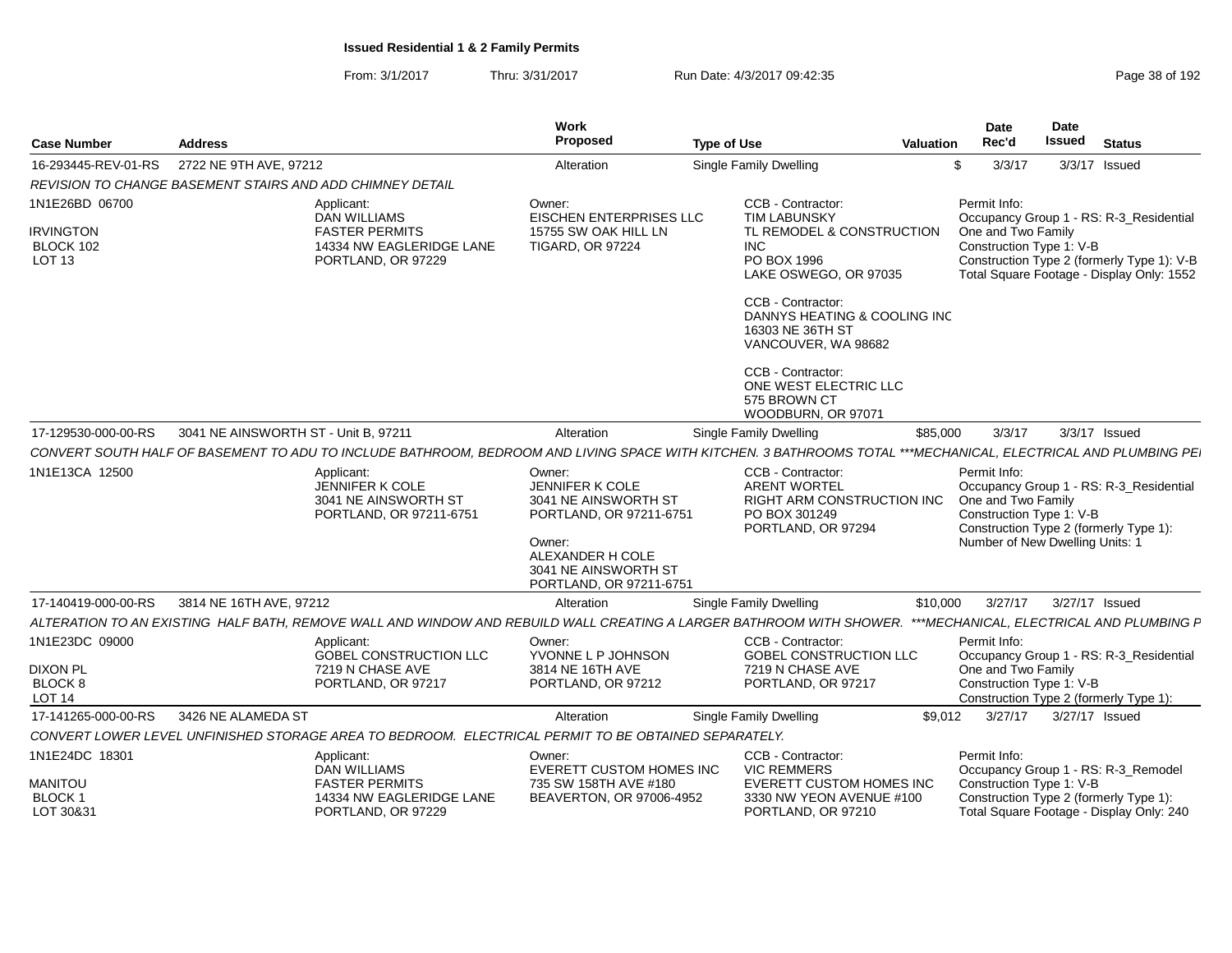| <b>Case Number</b>                                        | <b>Address</b>                       |                                                                                                                                                                | Work<br>Proposed                                                                                                                                                     | <b>Type of Use</b>                                                                                                   | <b>Valuation</b> | <b>Date</b><br>Rec'd                                                                              | <b>Date</b><br>Issued | <b>Status</b>                                                                                                                      |
|-----------------------------------------------------------|--------------------------------------|----------------------------------------------------------------------------------------------------------------------------------------------------------------|----------------------------------------------------------------------------------------------------------------------------------------------------------------------|----------------------------------------------------------------------------------------------------------------------|------------------|---------------------------------------------------------------------------------------------------|-----------------------|------------------------------------------------------------------------------------------------------------------------------------|
| 16-293445-REV-01-RS                                       | 2722 NE 9TH AVE, 97212               |                                                                                                                                                                | Alteration                                                                                                                                                           | Single Family Dwelling                                                                                               |                  | 3/3/17<br>\$                                                                                      |                       | 3/3/17 Issued                                                                                                                      |
|                                                           |                                      | REVISION TO CHANGE BASEMENT STAIRS AND ADD CHIMNEY DETAIL                                                                                                      |                                                                                                                                                                      |                                                                                                                      |                  |                                                                                                   |                       |                                                                                                                                    |
| 1N1E26BD 06700                                            |                                      | Applicant:                                                                                                                                                     | Owner:                                                                                                                                                               | CCB - Contractor:                                                                                                    |                  | Permit Info:                                                                                      |                       |                                                                                                                                    |
| <b>IRVINGTON</b><br><b>BLOCK 102</b><br>LOT <sub>13</sub> |                                      | <b>DAN WILLIAMS</b><br><b>FASTER PERMITS</b><br>14334 NW EAGLERIDGE LANE<br>PORTLAND, OR 97229                                                                 | EISCHEN ENTERPRISES LLC<br>15755 SW OAK HILL LN<br><b>TIGARD, OR 97224</b>                                                                                           | <b>TIM LABUNSKY</b><br>TL REMODEL & CONSTRUCTION<br>INC.<br>PO BOX 1996<br>LAKE OSWEGO, OR 97035                     |                  | One and Two Family<br>Construction Type 1: V-B                                                    |                       | Occupancy Group 1 - RS: R-3 Residential<br>Construction Type 2 (formerly Type 1): V-B<br>Total Square Footage - Display Only: 1552 |
|                                                           |                                      |                                                                                                                                                                |                                                                                                                                                                      | CCB - Contractor:<br>DANNYS HEATING & COOLING INC<br>16303 NE 36TH ST<br>VANCOUVER, WA 98682                         |                  |                                                                                                   |                       |                                                                                                                                    |
|                                                           |                                      |                                                                                                                                                                |                                                                                                                                                                      | CCB - Contractor:<br>ONE WEST ELECTRIC LLC<br>575 BROWN CT<br>WOODBURN, OR 97071                                     |                  |                                                                                                   |                       |                                                                                                                                    |
| 17-129530-000-00-RS                                       | 3041 NE AINSWORTH ST - Unit B, 97211 |                                                                                                                                                                | Alteration                                                                                                                                                           | <b>Single Family Dwelling</b>                                                                                        | \$85,000         | 3/3/17                                                                                            |                       | 3/3/17 Issued                                                                                                                      |
|                                                           |                                      | CONVERT SOUTH HALF OF BASEMENT TO ADU TO INCLUDE BATHROOM, BEDROOM AND LIVING SPACE WITH KITCHEN. 3 BATHROOMS TOTAL ***MECHANICAL, ELECTRICAL AND PLUMBING PE. |                                                                                                                                                                      |                                                                                                                      |                  |                                                                                                   |                       |                                                                                                                                    |
| 1N1E13CA 12500                                            |                                      | Applicant:<br>JENNIFER K COLE<br>3041 NE AINSWORTH ST<br>PORTLAND, OR 97211-6751                                                                               | Owner:<br><b>JENNIFER K COLE</b><br>3041 NE AINSWORTH ST<br>PORTLAND, OR 97211-6751<br>Owner:<br>ALEXANDER H COLE<br>3041 NE AINSWORTH ST<br>PORTLAND, OR 97211-6751 | CCB - Contractor:<br><b>ARENT WORTEL</b><br><b>RIGHT ARM CONSTRUCTION INC</b><br>PO BOX 301249<br>PORTLAND, OR 97294 |                  | Permit Info:<br>One and Two Family<br>Construction Type 1: V-B<br>Number of New Dwelling Units: 1 |                       | Occupancy Group 1 - RS: R-3 Residential<br>Construction Type 2 (formerly Type 1):                                                  |
| 17-140419-000-00-RS                                       | 3814 NE 16TH AVE, 97212              |                                                                                                                                                                | Alteration                                                                                                                                                           | Single Family Dwelling                                                                                               | \$10,000         | 3/27/17                                                                                           | 3/27/17 Issued        |                                                                                                                                    |
|                                                           |                                      | ALTERATION TO AN EXISTING HALF BATH. REMOVE WALL AND WINDOW AND REBUILD WALL CREATING A LARGER BATHROOM WITH SHOWER.                                           |                                                                                                                                                                      |                                                                                                                      |                  |                                                                                                   |                       | ***MECHANICAL, ELECTRICAL AND PLUMBING F                                                                                           |
| 1N1E23DC 09000                                            |                                      | Applicant:<br><b>GOBEL CONSTRUCTION LLC</b>                                                                                                                    | Owner:<br>YVONNE L P JOHNSON                                                                                                                                         | CCB - Contractor:<br><b>GOBEL CONSTRUCTION LLC</b>                                                                   |                  | Permit Info:                                                                                      |                       | Occupancy Group 1 - RS: R-3 Residential                                                                                            |
| <b>DIXON PL</b><br>BLOCK 8<br>LOT <sub>14</sub>           |                                      | 7219 N CHASE AVE<br>PORTLAND, OR 97217                                                                                                                         | 3814 NE 16TH AVE<br>PORTLAND, OR 97212                                                                                                                               | 7219 N CHASE AVE<br>PORTLAND, OR 97217                                                                               |                  | One and Two Family<br>Construction Type 1: V-B                                                    |                       | Construction Type 2 (formerly Type 1):                                                                                             |
| 17-141265-000-00-RS                                       | 3426 NE ALAMEDA ST                   |                                                                                                                                                                | Alteration                                                                                                                                                           | Single Family Dwelling                                                                                               | \$9,012          | 3/27/17                                                                                           | 3/27/17 Issued        |                                                                                                                                    |
|                                                           |                                      | CONVERT LOWER LEVEL UNFINISHED STORAGE AREA TO BEDROOM. ELECTRICAL PERMIT TO BE OBTAINED SEPARATELY.                                                           |                                                                                                                                                                      |                                                                                                                      |                  |                                                                                                   |                       |                                                                                                                                    |
| 1N1E24DC 18301                                            |                                      | Applicant:<br><b>DAN WILLIAMS</b>                                                                                                                              | Owner:<br><b>EVERETT CUSTOM HOMES INC</b>                                                                                                                            | CCB - Contractor:<br><b>VIC REMMERS</b>                                                                              |                  | Permit Info:                                                                                      |                       | Occupancy Group 1 - RS: R-3_Remodel                                                                                                |
| MANITOU<br>BLOCK 1<br>LOT 30&31                           |                                      | <b>FASTER PERMITS</b><br>14334 NW EAGLERIDGE LANE<br>PORTLAND, OR 97229                                                                                        | 735 SW 158TH AVE #180<br>BEAVERTON, OR 97006-4952                                                                                                                    | <b>EVERETT CUSTOM HOMES INC</b><br>3330 NW YEON AVENUE #100<br>PORTLAND, OR 97210                                    |                  | Construction Type 1: V-B                                                                          |                       | Construction Type 2 (formerly Type 1):<br>Total Square Footage - Display Only: 240                                                 |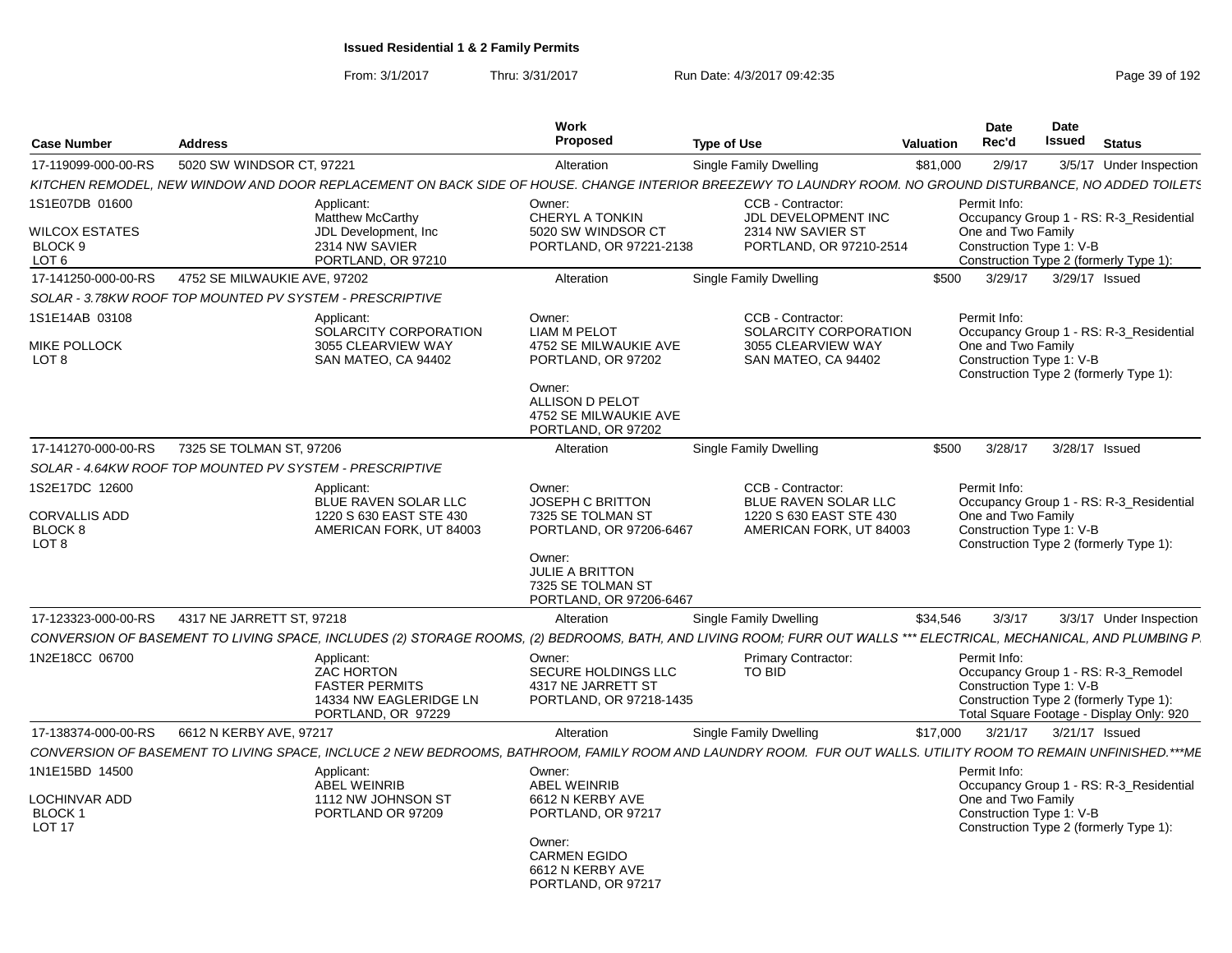| <b>Case Number</b>                                                    | <b>Address</b>                                           |                                                                                                          | <b>Work</b><br>Proposed                                                                                                                                 | <b>Type of Use</b>                                                                                                                                                  | <b>Valuation</b> | <b>Date</b><br>Rec'd                                           | Date<br>Issued | <b>Status</b>                                                                                                             |
|-----------------------------------------------------------------------|----------------------------------------------------------|----------------------------------------------------------------------------------------------------------|---------------------------------------------------------------------------------------------------------------------------------------------------------|---------------------------------------------------------------------------------------------------------------------------------------------------------------------|------------------|----------------------------------------------------------------|----------------|---------------------------------------------------------------------------------------------------------------------------|
| 17-119099-000-00-RS                                                   | 5020 SW WINDSOR CT, 97221                                |                                                                                                          | Alteration                                                                                                                                              | Single Family Dwelling                                                                                                                                              | \$81,000         | 2/9/17                                                         |                | 3/5/17 Under Inspection                                                                                                   |
|                                                                       |                                                          |                                                                                                          |                                                                                                                                                         | KITCHEN REMODEL, NEW WINDOW AND DOOR REPLACEMENT ON BACK SIDE OF HOUSE. CHANGE INTERIOR BREEZEWY TO LAUNDRY ROOM. NO GROUND DISTURBANCE, NO ADDED TOILETS           |                  |                                                                |                |                                                                                                                           |
| 1S1E07DB 01600<br><b>WILCOX ESTATES</b><br>BLOCK 9<br>LOT 6           |                                                          | Applicant:<br><b>Matthew McCarthy</b><br>JDL Development, Inc.<br>2314 NW SAVIER<br>PORTLAND, OR 97210   | Owner:<br>CHERYL A TONKIN<br>5020 SW WINDSOR CT<br>PORTLAND, OR 97221-2138                                                                              | CCB - Contractor:<br>JDL DEVELOPMENT INC<br>2314 NW SAVIER ST<br>PORTLAND, OR 97210-2514                                                                            |                  | Permit Info:<br>One and Two Family<br>Construction Type 1: V-B |                | Occupancy Group 1 - RS: R-3_Residential<br>Construction Type 2 (formerly Type 1):                                         |
| 17-141250-000-00-RS                                                   | 4752 SE MILWAUKIE AVE, 97202                             |                                                                                                          | Alteration                                                                                                                                              | Single Family Dwelling                                                                                                                                              | \$500            | 3/29/17                                                        |                | 3/29/17 Issued                                                                                                            |
|                                                                       | SOLAR - 3.78KW ROOF TOP MOUNTED PV SYSTEM - PRESCRIPTIVE |                                                                                                          |                                                                                                                                                         |                                                                                                                                                                     |                  |                                                                |                |                                                                                                                           |
| 1S1E14AB 03108<br>MIKE POLLOCK<br>LOT 8                               |                                                          | Applicant:<br>SOLARCITY CORPORATION<br>3055 CLEARVIEW WAY<br>SAN MATEO, CA 94402                         | Owner:<br><b>LIAM M PELOT</b><br>4752 SE MILWAUKIE AVE<br>PORTLAND, OR 97202<br>Owner:<br>ALLISON D PELOT                                               | CCB - Contractor:<br>SOLARCITY CORPORATION<br>3055 CLEARVIEW WAY<br>SAN MATEO, CA 94402                                                                             |                  | Permit Info:<br>One and Two Family<br>Construction Type 1: V-B |                | Occupancy Group 1 - RS: R-3 Residential<br>Construction Type 2 (formerly Type 1):                                         |
|                                                                       |                                                          |                                                                                                          | 4752 SE MILWAUKIE AVE<br>PORTLAND, OR 97202                                                                                                             |                                                                                                                                                                     |                  |                                                                |                |                                                                                                                           |
| 17-141270-000-00-RS                                                   | 7325 SE TOLMAN ST, 97206                                 |                                                                                                          | Alteration                                                                                                                                              | <b>Single Family Dwelling</b>                                                                                                                                       | \$500            | 3/28/17                                                        |                | 3/28/17 Issued                                                                                                            |
|                                                                       | SOLAR - 4.64KW ROOF TOP MOUNTED PV SYSTEM - PRESCRIPTIVE |                                                                                                          |                                                                                                                                                         |                                                                                                                                                                     |                  |                                                                |                |                                                                                                                           |
| 1S2E17DC 12600<br><b>CORVALLIS ADD</b><br>BLOCK 8<br>LOT <sub>8</sub> |                                                          | Applicant:<br><b>BLUE RAVEN SOLAR LLC</b><br>1220 S 630 EAST STE 430<br>AMERICAN FORK, UT 84003          | Owner:<br>JOSEPH C BRITTON<br>7325 SE TOLMAN ST<br>PORTLAND, OR 97206-6467<br>Owner:<br>JULIE A BRITTON<br>7325 SE TOLMAN ST<br>PORTLAND, OR 97206-6467 | CCB - Contractor:<br><b>BLUE RAVEN SOLAR LLC</b><br>1220 S 630 EAST STE 430<br>AMERICAN FORK, UT 84003                                                              |                  | Permit Info:<br>One and Two Family<br>Construction Type 1: V-B |                | Occupancy Group 1 - RS: R-3_Residential<br>Construction Type 2 (formerly Type 1):                                         |
| 17-123323-000-00-RS                                                   | 4317 NE JARRETT ST, 97218                                |                                                                                                          | Alteration                                                                                                                                              | Single Family Dwelling                                                                                                                                              | \$34,546         | 3/3/17                                                         |                | 3/3/17 Under Inspection                                                                                                   |
|                                                                       |                                                          |                                                                                                          |                                                                                                                                                         | CONVERSION OF BASEMENT TO LIVING SPACE, INCLUDES (2) STORAGE ROOMS, (2) BEDROOMS, BATH, AND LIVING ROOM; FURR OUT WALLS *** ELECTRICAL, MECHANICAL, AND PLUMBING P. |                  |                                                                |                |                                                                                                                           |
| 1N2E18CC 06700                                                        |                                                          | Applicant:<br><b>ZAC HORTON</b><br><b>FASTER PERMITS</b><br>14334 NW EAGLERIDGE LN<br>PORTLAND, OR 97229 | Owner:<br>SECURE HOLDINGS LLC<br>4317 NE JARRETT ST<br>PORTLAND, OR 97218-1435                                                                          | <b>Primary Contractor:</b><br><b>TO BID</b>                                                                                                                         |                  | Permit Info:<br>Construction Type 1: V-B                       |                | Occupancy Group 1 - RS: R-3_Remodel<br>Construction Type 2 (formerly Type 1):<br>Total Square Footage - Display Only: 920 |
| 17-138374-000-00-RS                                                   | 6612 N KERBY AVE, 97217                                  |                                                                                                          | Alteration                                                                                                                                              | Single Family Dwelling                                                                                                                                              | \$17,000         | 3/21/17                                                        |                | 3/21/17 Issued                                                                                                            |
|                                                                       |                                                          |                                                                                                          |                                                                                                                                                         | CONVERSION OF BASEMENT TO LIVING SPACE, INCLUCE 2 NEW BEDROOMS, BATHROOM, FAMILY ROOM AND LAUNDRY ROOM. FUR OUT WALLS. UTILITY ROOM TO REMAIN UNFINISHED.***ME      |                  |                                                                |                |                                                                                                                           |
| 1N1E15BD 14500<br>LOCHINVAR ADD<br><b>BLOCK1</b><br><b>LOT 17</b>     |                                                          | Applicant:<br><b>ABEL WEINRIB</b><br>1112 NW JOHNSON ST<br>PORTLAND OR 97209                             | Owner:<br><b>ABEL WEINRIB</b><br>6612 N KERBY AVE<br>PORTLAND, OR 97217<br>Owner:<br><b>CARMEN EGIDO</b><br>6612 N KERBY AVE<br>PORTLAND, OR 97217      |                                                                                                                                                                     |                  | Permit Info:<br>One and Two Family<br>Construction Type 1: V-B |                | Occupancy Group 1 - RS: R-3 Residential<br>Construction Type 2 (formerly Type 1):                                         |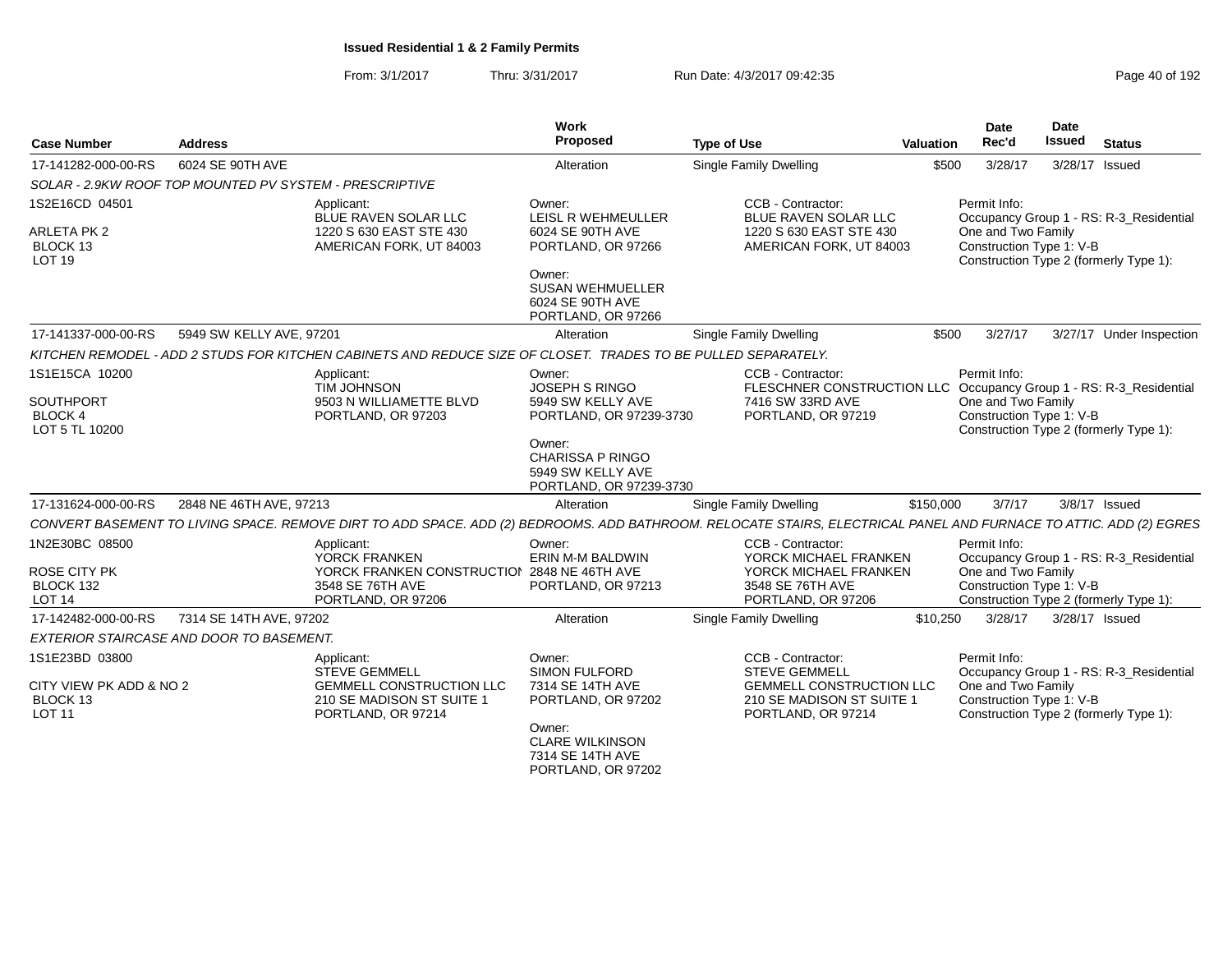| <b>Case Number</b>                                      | <b>Address</b>                                                                                                |                                                                                                                                                                   | <b>Work</b><br>Proposed                                                           | <b>Type of Use</b>                                                                                         | <b>Valuation</b> | <b>Date</b><br>Rec'd                                                                     | Date<br><b>Issued</b> | <b>Status</b>                           |  |
|---------------------------------------------------------|---------------------------------------------------------------------------------------------------------------|-------------------------------------------------------------------------------------------------------------------------------------------------------------------|-----------------------------------------------------------------------------------|------------------------------------------------------------------------------------------------------------|------------------|------------------------------------------------------------------------------------------|-----------------------|-----------------------------------------|--|
| 17-141282-000-00-RS                                     | 6024 SE 90TH AVE                                                                                              |                                                                                                                                                                   | Alteration                                                                        | <b>Single Family Dwelling</b>                                                                              | \$500            | 3/28/17                                                                                  | 3/28/17 Issued        |                                         |  |
| SOLAR - 2.9KW ROOF TOP MOUNTED PV SYSTEM - PRESCRIPTIVE |                                                                                                               |                                                                                                                                                                   |                                                                                   |                                                                                                            |                  |                                                                                          |                       |                                         |  |
| 1S2E16CD 04501                                          |                                                                                                               | Applicant:<br>BLUE RAVEN SOLAR LLC                                                                                                                                | Owner:<br>LEISL R WEHMEULLER                                                      | CCB - Contractor:<br><b>BLUE RAVEN SOLAR LLC</b>                                                           |                  | Permit Info:<br>Occupancy Group 1 - RS: R-3_Residential                                  |                       |                                         |  |
| <b>ARLETA PK 2</b><br>BLOCK 13<br>LOT <sub>19</sub>     |                                                                                                               | 1220 S 630 EAST STE 430<br>AMERICAN FORK, UT 84003                                                                                                                | 6024 SE 90TH AVE<br>PORTLAND, OR 97266                                            | 1220 S 630 EAST STE 430<br>AMERICAN FORK, UT 84003                                                         |                  | One and Two Family<br>Construction Type 1: V-B<br>Construction Type 2 (formerly Type 1): |                       |                                         |  |
|                                                         |                                                                                                               |                                                                                                                                                                   | Owner:<br><b>SUSAN WEHMUELLER</b><br>6024 SE 90TH AVE<br>PORTLAND, OR 97266       |                                                                                                            |                  |                                                                                          |                       |                                         |  |
| 17-141337-000-00-RS                                     | 5949 SW KELLY AVE, 97201                                                                                      |                                                                                                                                                                   | Alteration                                                                        | <b>Single Family Dwelling</b>                                                                              | \$500            | 3/27/17                                                                                  |                       | 3/27/17 Under Inspection                |  |
|                                                         | KITCHEN REMODEL - ADD 2 STUDS FOR KITCHEN CABINETS AND REDUCE SIZE OF CLOSET. TRADES TO BE PULLED SEPARATELY. |                                                                                                                                                                   |                                                                                   |                                                                                                            |                  |                                                                                          |                       |                                         |  |
| 1S1E15CA 10200                                          |                                                                                                               | Applicant:<br><b>TIM JOHNSON</b>                                                                                                                                  | Owner:<br><b>JOSEPH S RINGO</b>                                                   | CCB - Contractor:<br>FLESCHNER CONSTRUCTION LLC                                                            |                  | Permit Info:                                                                             |                       | Occupancy Group 1 - RS: R-3_Residential |  |
| SOUTHPORT<br><b>BLOCK4</b><br>LOT 5 TL 10200            |                                                                                                               | 9503 N WILLIAMETTE BLVD<br>PORTLAND, OR 97203                                                                                                                     | 5949 SW KELLY AVE<br>PORTLAND, OR 97239-3730                                      | 7416 SW 33RD AVE<br>PORTLAND, OR 97219                                                                     |                  | One and Two Family<br>Construction Type 1: V-B<br>Construction Type 2 (formerly Type 1): |                       |                                         |  |
|                                                         |                                                                                                               |                                                                                                                                                                   | Owner:<br><b>CHARISSA P RINGO</b><br>5949 SW KELLY AVE<br>PORTLAND, OR 97239-3730 |                                                                                                            |                  |                                                                                          |                       |                                         |  |
| 17-131624-000-00-RS                                     | 2848 NE 46TH AVE, 97213                                                                                       |                                                                                                                                                                   | Alteration                                                                        | <b>Single Family Dwelling</b>                                                                              | \$150,000        | 3/7/17                                                                                   |                       | 3/8/17 Issued                           |  |
|                                                         |                                                                                                               | CONVERT BASEMENT TO LIVING SPACE. REMOVE DIRT TO ADD SPACE. ADD (2) BEDROOMS. ADD BATHROOM. RELOCATE STAIRS, ELECTRICAL PANEL AND FURNACE TO ATTIC. ADD (2) EGRES |                                                                                   |                                                                                                            |                  |                                                                                          |                       |                                         |  |
| 1N2E30BC 08500                                          |                                                                                                               | Applicant:<br>YORCK FRANKEN                                                                                                                                       | Owner:<br>ERIN M-M BALDWIN                                                        | CCB - Contractor:<br>YORCK MICHAEL FRANKEN                                                                 |                  | Permit Info:                                                                             |                       | Occupancy Group 1 - RS: R-3_Residential |  |
| <b>ROSE CITY PK</b><br>BLOCK 132<br>LOT <sub>14</sub>   |                                                                                                               | YORCK FRANKEN CONSTRUCTION 2848 NE 46TH AVE<br>3548 SE 76TH AVE<br>PORTLAND, OR 97206                                                                             | PORTLAND, OR 97213                                                                | YORCK MICHAEL FRANKEN<br>3548 SE 76TH AVE<br>PORTLAND, OR 97206                                            |                  | One and Two Family<br>Construction Type 1: V-B<br>Construction Type 2 (formerly Type 1): |                       |                                         |  |
| 17-142482-000-00-RS                                     | 7314 SE 14TH AVE, 97202                                                                                       |                                                                                                                                                                   | Alteration                                                                        | Single Family Dwelling                                                                                     | \$10,250         | 3/28/17                                                                                  | 3/28/17 Issued        |                                         |  |
| EXTERIOR STAIRCASE AND DOOR TO BASEMENT.                |                                                                                                               |                                                                                                                                                                   |                                                                                   |                                                                                                            |                  |                                                                                          |                       |                                         |  |
| 1S1E23BD 03800                                          |                                                                                                               | Applicant:                                                                                                                                                        | Owner:                                                                            | CCB - Contractor:                                                                                          |                  | Permit Info:                                                                             |                       |                                         |  |
| CITY VIEW PK ADD & NO 2<br>BLOCK 13<br><b>LOT 11</b>    |                                                                                                               | <b>STEVE GEMMELL</b><br><b>GEMMELL CONSTRUCTION LLC</b><br>210 SE MADISON ST SUITE 1<br>PORTLAND, OR 97214                                                        | <b>SIMON FULFORD</b><br>7314 SE 14TH AVE<br>PORTLAND, OR 97202<br>Owner:          | <b>STEVE GEMMELL</b><br><b>GEMMELL CONSTRUCTION LLC</b><br>210 SE MADISON ST SUITE 1<br>PORTLAND, OR 97214 |                  | One and Two Family<br>Construction Type 1: V-B<br>Construction Type 2 (formerly Type 1): |                       | Occupancy Group 1 - RS: R-3_Residential |  |
|                                                         |                                                                                                               |                                                                                                                                                                   | <b>CLARE WILKINSON</b><br>7314 SE 14TH AVE<br>PORTLAND, OR 97202                  |                                                                                                            |                  |                                                                                          |                       |                                         |  |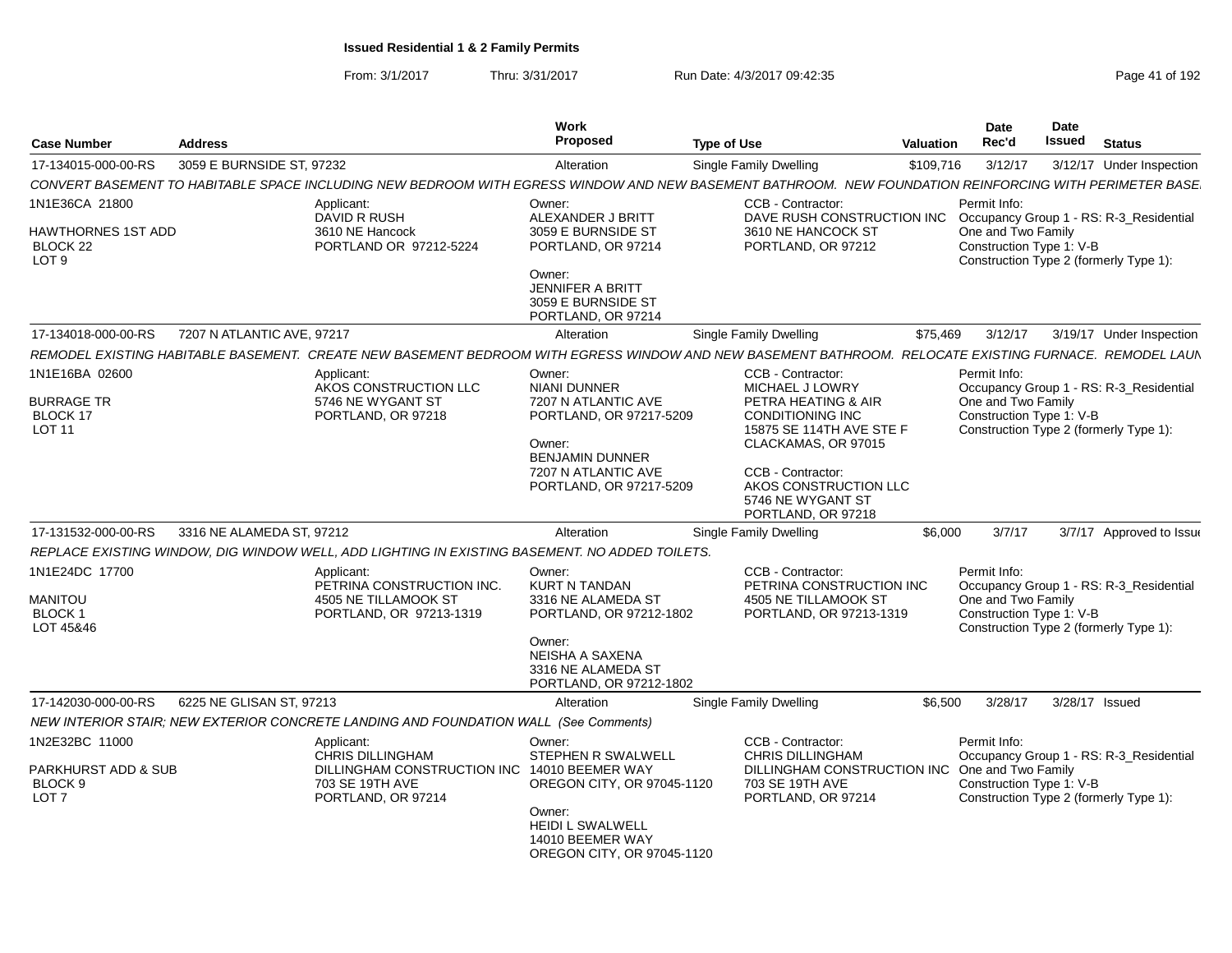| <b>Case Number</b>                                                   | <b>Address</b>             |                                                                                                                                                           | Work<br><b>Proposed</b>                                                                                                                                               | <b>Type of Use</b>                                                                                                                                                                                                                 | Valuation | Date<br>Rec'd                                                  | Date<br>Issued | <b>Status</b>                                                                     |
|----------------------------------------------------------------------|----------------------------|-----------------------------------------------------------------------------------------------------------------------------------------------------------|-----------------------------------------------------------------------------------------------------------------------------------------------------------------------|------------------------------------------------------------------------------------------------------------------------------------------------------------------------------------------------------------------------------------|-----------|----------------------------------------------------------------|----------------|-----------------------------------------------------------------------------------|
| 17-134015-000-00-RS                                                  | 3059 E BURNSIDE ST. 97232  |                                                                                                                                                           | Alteration                                                                                                                                                            | <b>Single Family Dwelling</b>                                                                                                                                                                                                      | \$109,716 | 3/12/17                                                        |                | 3/12/17 Under Inspection                                                          |
|                                                                      |                            | CONVERT BASEMENT TO HABITABLE SPACE INCLUDING NEW BEDROOM WITH EGRESS WINDOW AND NEW BASEMENT BATHROOM.  NEW FOUNDATION REINFORCING WITH PERIMETER BASE   |                                                                                                                                                                       |                                                                                                                                                                                                                                    |           |                                                                |                |                                                                                   |
| 1N1E36CA 21800<br>HAWTHORNES 1ST ADD<br>BLOCK 22<br>LOT <sub>9</sub> |                            | Applicant:<br>DAVID R RUSH<br>3610 NE Hancock<br>PORTLAND OR 97212-5224                                                                                   | Owner:<br>ALEXANDER J BRITT<br>3059 E BURNSIDE ST<br>PORTLAND, OR 97214<br>Owner:<br><b>JENNIFER A BRITT</b><br>3059 E BURNSIDE ST<br>PORTLAND, OR 97214              | CCB - Contractor:<br>DAVE RUSH CONSTRUCTION INC<br>3610 NE HANCOCK ST<br>PORTLAND, OR 97212                                                                                                                                        |           | Permit Info:<br>One and Two Family<br>Construction Type 1: V-B |                | Occupancy Group 1 - RS: R-3 Residential<br>Construction Type 2 (formerly Type 1): |
| 17-134018-000-00-RS                                                  | 7207 N ATLANTIC AVE, 97217 |                                                                                                                                                           | Alteration                                                                                                                                                            | <b>Single Family Dwelling</b>                                                                                                                                                                                                      | \$75,469  | 3/12/17                                                        |                | 3/19/17 Under Inspection                                                          |
|                                                                      |                            | REMODEL EXISTING HABITABLE BASEMENT.  CREATE NEW BASEMENT BEDROOM WITH EGRESS WINDOW AND NEW BASEMENT BATHROOM.  RELOCATE EXISTING FURNACE.  REMODEL LAUN |                                                                                                                                                                       |                                                                                                                                                                                                                                    |           |                                                                |                |                                                                                   |
| 1N1E16BA 02600<br><b>BURRAGE TR</b><br>BLOCK 17<br><b>LOT 11</b>     |                            | Applicant:<br>AKOS CONSTRUCTION LLC<br>5746 NE WYGANT ST<br>PORTLAND, OR 97218                                                                            | Owner:<br><b>NIANI DUNNER</b><br>7207 N ATLANTIC AVE<br>PORTLAND, OR 97217-5209<br>Owner:<br><b>BENJAMIN DUNNER</b><br>7207 N ATLANTIC AVE<br>PORTLAND, OR 97217-5209 | CCB - Contractor:<br>MICHAEL J LOWRY<br>PETRA HEATING & AIR<br><b>CONDITIONING INC</b><br>15875 SE 114TH AVE STE F<br>CLACKAMAS, OR 97015<br>CCB - Contractor:<br>AKOS CONSTRUCTION LLC<br>5746 NE WYGANT ST<br>PORTLAND, OR 97218 |           | Permit Info:<br>One and Two Family<br>Construction Type 1: V-B |                | Occupancy Group 1 - RS: R-3_Residential<br>Construction Type 2 (formerly Type 1): |
| 17-131532-000-00-RS                                                  | 3316 NE ALAMEDA ST. 97212  |                                                                                                                                                           | Alteration                                                                                                                                                            | Single Family Dwelling                                                                                                                                                                                                             | \$6,000   | 3/7/17                                                         |                | 3/7/17 Approved to Issue                                                          |
|                                                                      |                            | REPLACE EXISTING WINDOW, DIG WINDOW WELL, ADD LIGHTING IN EXISTING BASEMENT. NO ADDED TOILETS.                                                            |                                                                                                                                                                       |                                                                                                                                                                                                                                    |           |                                                                |                |                                                                                   |
| 1N1E24DC 17700<br>MANITOU<br><b>BLOCK1</b><br>LOT 45&46              |                            | Applicant:<br>PETRINA CONSTRUCTION INC.<br>4505 NE TILLAMOOK ST<br>PORTLAND, OR 97213-1319                                                                | Owner:<br><b>KURT N TANDAN</b><br>3316 NE ALAMEDA ST<br>PORTLAND, OR 97212-1802<br>Owner:<br>NEISHA A SAXENA<br>3316 NE ALAMEDA ST<br>PORTLAND, OR 97212-1802         | CCB - Contractor:<br>PETRINA CONSTRUCTION INC<br>4505 NE TILLAMOOK ST<br>PORTLAND, OR 97213-1319                                                                                                                                   |           | Permit Info:<br>One and Two Family<br>Construction Type 1: V-B |                | Occupancy Group 1 - RS: R-3_Residential<br>Construction Type 2 (formerly Type 1): |
| 17-142030-000-00-RS                                                  | 6225 NE GLISAN ST, 97213   |                                                                                                                                                           | Alteration                                                                                                                                                            | Single Family Dwelling                                                                                                                                                                                                             | \$6.500   | 3/28/17                                                        | 3/28/17 Issued |                                                                                   |
|                                                                      |                            | NEW INTERIOR STAIR; NEW EXTERIOR CONCRETE LANDING AND FOUNDATION WALL (See Comments)                                                                      |                                                                                                                                                                       |                                                                                                                                                                                                                                    |           |                                                                |                |                                                                                   |
| 1N2E32BC 11000<br>PARKHURST ADD & SUB<br>BLOCK 9<br>LOT <sub>7</sub> |                            | Applicant:<br><b>CHRIS DILLINGHAM</b><br>DILLINGHAM CONSTRUCTION INC<br>703 SE 19TH AVE<br>PORTLAND, OR 97214                                             | Owner:<br>STEPHEN R SWALWELL<br>14010 BEEMER WAY<br>OREGON CITY, OR 97045-1120<br>Owner:<br><b>HEIDI L SWALWELL</b><br>14010 BEEMER WAY<br>OREGON CITY, OR 97045-1120 | CCB - Contractor:<br><b>CHRIS DILLINGHAM</b><br>DILLINGHAM CONSTRUCTION INC<br>703 SE 19TH AVE<br>PORTLAND, OR 97214                                                                                                               |           | Permit Info:<br>One and Two Family<br>Construction Type 1: V-B |                | Occupancy Group 1 - RS: R-3 Residential<br>Construction Type 2 (formerly Type 1): |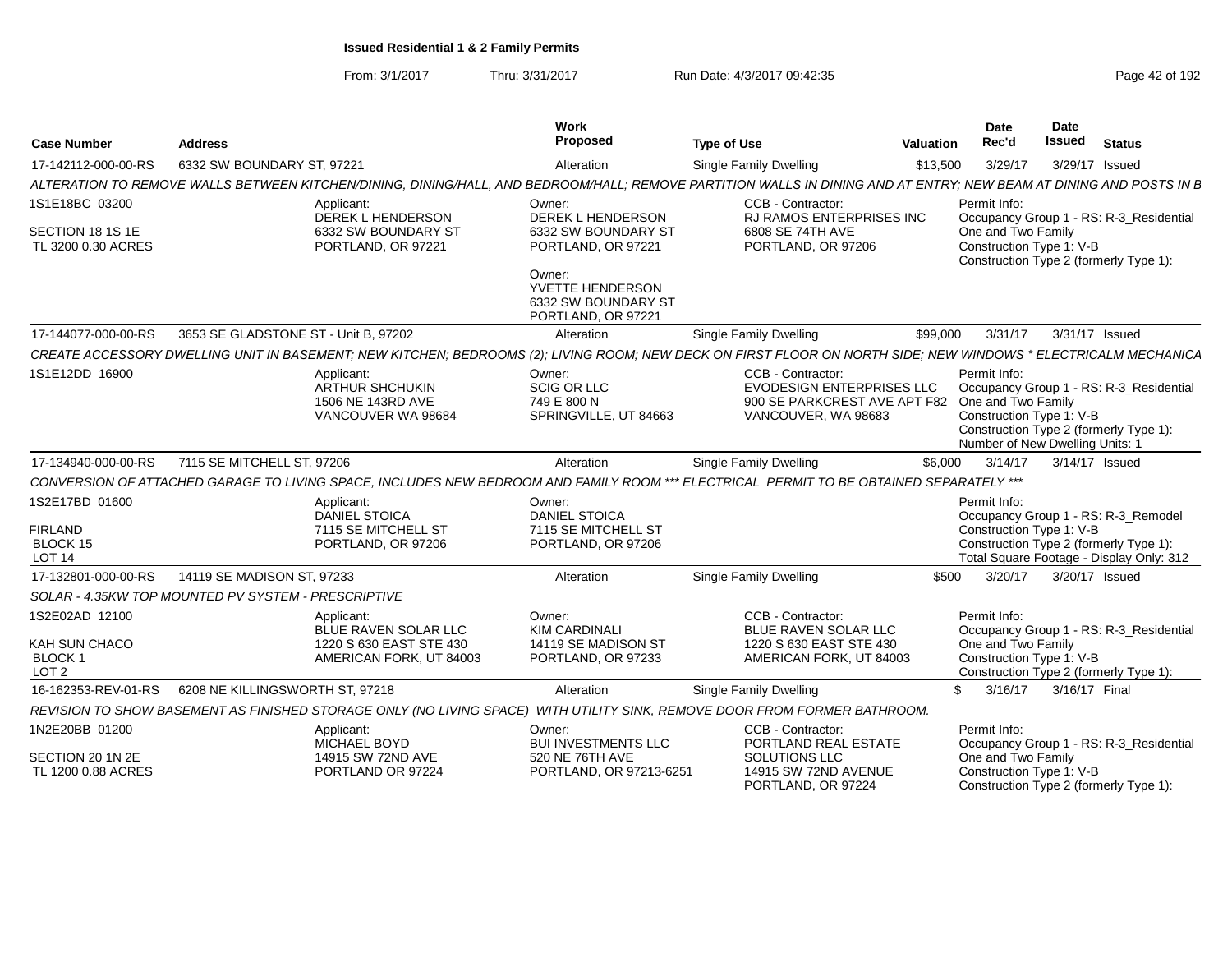From: 3/1/2017Thru: 3/31/2017 Run Date: 4/3/2017 09:42:35 Page 42 of 192

| <b>Case Number</b>                          | <b>Address</b>                                      |                                                                                 | Work<br>Proposed                                                        | <b>Type of Use</b>                                                                                                                                                 | <b>Valuation</b> | <b>Date</b><br>Rec'd                                                                              | Date<br><b>Issued</b> | <b>Status</b>                                                                      |
|---------------------------------------------|-----------------------------------------------------|---------------------------------------------------------------------------------|-------------------------------------------------------------------------|--------------------------------------------------------------------------------------------------------------------------------------------------------------------|------------------|---------------------------------------------------------------------------------------------------|-----------------------|------------------------------------------------------------------------------------|
| 17-142112-000-00-RS                         | 6332 SW BOUNDARY ST, 97221                          |                                                                                 | Alteration                                                              | Single Family Dwelling                                                                                                                                             | \$13,500         | 3/29/17                                                                                           |                       | 3/29/17 Issued                                                                     |
|                                             |                                                     |                                                                                 |                                                                         | ALTERATION TO REMOVE WALLS BETWEEN KITCHEN/DINING, DINING/HALL, AND BEDROOM/HALL; REMOVE PARTITION WALLS IN DINING AND AT ENTRY; NEW BEAM AT DINING AND POSTS IN B |                  |                                                                                                   |                       |                                                                                    |
| 1S1E18BC 03200                              |                                                     | Applicant:<br><b>DEREK L HENDERSON</b>                                          | Owner:<br>DEREK L HENDERSON                                             | CCB - Contractor:<br><b>RJ RAMOS ENTERPRISES INC</b>                                                                                                               |                  | Permit Info:                                                                                      |                       | Occupancy Group 1 - RS: R-3 Residential                                            |
| SECTION 18 1S 1E<br>TL 3200 0.30 ACRES      |                                                     | 6332 SW BOUNDARY ST<br>PORTLAND, OR 97221                                       | 6332 SW BOUNDARY ST<br>PORTLAND, OR 97221                               | 6808 SE 74TH AVE<br>PORTLAND, OR 97206                                                                                                                             |                  | One and Two Family<br>Construction Type 1: V-B                                                    |                       | Construction Type 2 (formerly Type 1):                                             |
|                                             |                                                     |                                                                                 | Owner:<br>YVETTE HENDERSON<br>6332 SW BOUNDARY ST<br>PORTLAND, OR 97221 |                                                                                                                                                                    |                  |                                                                                                   |                       |                                                                                    |
| 17-144077-000-00-RS                         | 3653 SE GLADSTONE ST - Unit B. 97202                |                                                                                 | Alteration                                                              | Single Family Dwelling                                                                                                                                             | \$99,000         | 3/31/17                                                                                           |                       | 3/31/17 Issued                                                                     |
|                                             |                                                     |                                                                                 |                                                                         | CREATE ACCESSORY DWELLING UNIT IN BASEMENT; NEW KITCHEN; BEDROOMS (2); LIVING ROOM; NEW DECK ON FIRST FLOOR ON NORTH SIDE; NEW WINDOWS * ELECTRICALM MECHANICA     |                  |                                                                                                   |                       |                                                                                    |
| 1S1E12DD 16900                              |                                                     | Applicant:<br><b>ARTHUR SHCHUKIN</b><br>1506 NE 143RD AVE<br>VANCOUVER WA 98684 | Owner:<br><b>SCIG OR LLC</b><br>749 E 800 N<br>SPRINGVILLE, UT 84663    | CCB - Contractor:<br><b>EVODESIGN ENTERPRISES LLC</b><br>900 SE PARKCREST AVE APT F82<br>VANCOUVER, WA 98683                                                       |                  | Permit Info:<br>One and Two Family<br>Construction Type 1: V-B<br>Number of New Dwelling Units: 1 |                       | Occupancy Group 1 - RS: R-3 Residential<br>Construction Type 2 (formerly Type 1):  |
| 17-134940-000-00-RS                         | 7115 SE MITCHELL ST. 97206                          |                                                                                 | Alteration                                                              | Single Family Dwelling                                                                                                                                             | \$6.000          | 3/14/17                                                                                           |                       | 3/14/17 Issued                                                                     |
|                                             |                                                     |                                                                                 |                                                                         | CONVERSION OF ATTACHED GARAGE TO LIVING SPACE, INCLUDES NEW BEDROOM AND FAMILY ROOM *** ELECTRICAL PERMIT TO BE OBTAINED SEPARATELY ***                            |                  |                                                                                                   |                       |                                                                                    |
| 1S2E17BD 01600                              |                                                     | Applicant:<br><b>DANIEL STOICA</b>                                              | Owner:<br><b>DANIEL STOICA</b>                                          |                                                                                                                                                                    |                  | Permit Info:                                                                                      |                       | Occupancy Group 1 - RS: R-3_Remodel                                                |
| <b>FIRLAND</b><br>BLOCK 15<br><b>LOT 14</b> |                                                     | 7115 SE MITCHELL ST<br>PORTLAND, OR 97206                                       | 7115 SE MITCHELL ST<br>PORTLAND, OR 97206                               |                                                                                                                                                                    |                  | Construction Type 1: V-B                                                                          |                       | Construction Type 2 (formerly Type 1):<br>Total Square Footage - Display Only: 312 |
| 17-132801-000-00-RS                         | 14119 SE MADISON ST. 97233                          |                                                                                 | Alteration                                                              | Single Family Dwelling                                                                                                                                             | \$500            | 3/20/17                                                                                           |                       | 3/20/17 Issued                                                                     |
|                                             | SOLAR - 4.35KW TOP MOUNTED PV SYSTEM - PRESCRIPTIVE |                                                                                 |                                                                         |                                                                                                                                                                    |                  |                                                                                                   |                       |                                                                                    |
| 1S2E02AD 12100                              |                                                     | Applicant:<br>BLUE RAVEN SOLAR LLC                                              | Owner:<br><b>KIM CARDINALI</b>                                          | CCB - Contractor:<br>BLUE RAVEN SOLAR LLC                                                                                                                          |                  | Permit Info:                                                                                      |                       | Occupancy Group 1 - RS: R-3_Residential                                            |
| KAH SUN CHACO                               |                                                     | 1220 S 630 EAST STE 430                                                         | 14119 SE MADISON ST                                                     | 1220 S 630 EAST STE 430                                                                                                                                            |                  | One and Two Family                                                                                |                       |                                                                                    |
| BLOCK 1<br>LOT <sub>2</sub>                 |                                                     | AMERICAN FORK, UT 84003                                                         | PORTLAND, OR 97233                                                      | AMERICAN FORK, UT 84003                                                                                                                                            |                  | Construction Type 1: V-B                                                                          |                       | Construction Type 2 (formerly Type 1):                                             |
| 16-162353-REV-01-RS                         | 6208 NE KILLINGSWORTH ST. 97218                     |                                                                                 | Alteration                                                              | Single Family Dwelling                                                                                                                                             |                  | 3/16/17<br>\$                                                                                     | 3/16/17 Final         |                                                                                    |
|                                             |                                                     |                                                                                 |                                                                         | REVISION TO SHOW BASEMENT AS FINISHED STORAGE ONLY (NO LIVING SPACE) WITH UTILITY SINK, REMOVE DOOR FROM FORMER BATHROOM.                                          |                  |                                                                                                   |                       |                                                                                    |
| 1N2E20BB 01200                              |                                                     | Applicant:<br>MICHAEL BOYD                                                      | Owner:<br><b>BUI INVESTMENTS LLC</b>                                    | CCB - Contractor:<br>PORTLAND REAL ESTATE                                                                                                                          |                  | Permit Info:                                                                                      |                       | Occupancy Group 1 - RS: R-3_Residential                                            |
| SECTION 20 1N 2E<br>TL 1200 0.88 ACRES      |                                                     | 14915 SW 72ND AVE<br>PORTLAND OR 97224                                          | 520 NE 76TH AVE<br>PORTLAND, OR 97213-6251                              | SOLUTIONS LLC<br>14915 SW 72ND AVENUE<br>PORTLAND, OR 97224                                                                                                        |                  | One and Two Family<br>Construction Type 1: V-B                                                    |                       | Construction Type 2 (formerly Type 1):                                             |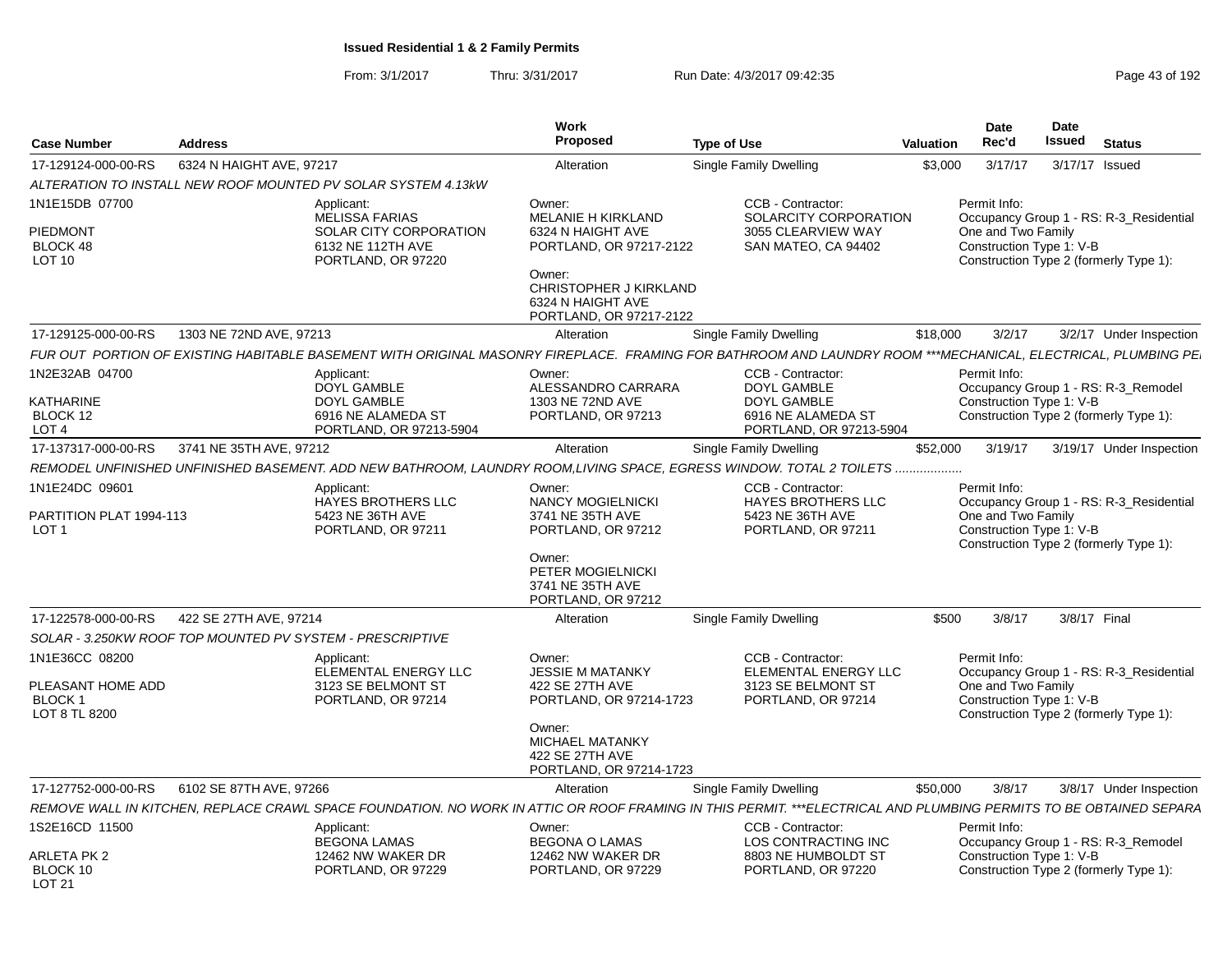|                                                                       |                          |                                                                                                                                                                   | Work                                                                                                                                                                           |                                                                                                  |                  | <b>Date</b>                                                    | <b>Date</b>   |                                                                                   |
|-----------------------------------------------------------------------|--------------------------|-------------------------------------------------------------------------------------------------------------------------------------------------------------------|--------------------------------------------------------------------------------------------------------------------------------------------------------------------------------|--------------------------------------------------------------------------------------------------|------------------|----------------------------------------------------------------|---------------|-----------------------------------------------------------------------------------|
| <b>Case Number</b>                                                    | <b>Address</b>           |                                                                                                                                                                   | Proposed                                                                                                                                                                       | <b>Type of Use</b>                                                                               | <b>Valuation</b> | Rec'd                                                          | <b>Issued</b> | <b>Status</b>                                                                     |
| 17-129124-000-00-RS                                                   | 6324 N HAIGHT AVE, 97217 |                                                                                                                                                                   | Alteration                                                                                                                                                                     | <b>Single Family Dwelling</b>                                                                    | \$3,000          | 3/17/17                                                        |               | 3/17/17 Issued                                                                    |
|                                                                       |                          | ALTERATION TO INSTALL NEW ROOF MOUNTED PV SOLAR SYSTEM 4.13kW                                                                                                     |                                                                                                                                                                                |                                                                                                  |                  |                                                                |               |                                                                                   |
| 1N1E15DB 07700<br>PIEDMONT<br>BLOCK 48<br>LOT <sub>10</sub>           |                          | Applicant:<br><b>MELISSA FARIAS</b><br>SOLAR CITY CORPORATION<br>6132 NE 112TH AVE<br>PORTLAND, OR 97220                                                          | Owner:<br><b>MELANIE H KIRKLAND</b><br>6324 N HAIGHT AVE<br>PORTLAND, OR 97217-2122<br>Owner:<br><b>CHRISTOPHER J KIRKLAND</b><br>6324 N HAIGHT AVE<br>PORTLAND, OR 97217-2122 | CCB - Contractor:<br>SOLARCITY CORPORATION<br>3055 CLEARVIEW WAY<br>SAN MATEO, CA 94402          |                  | Permit Info:<br>One and Two Family<br>Construction Type 1: V-B |               | Occupancy Group 1 - RS: R-3 Residential<br>Construction Type 2 (formerly Type 1): |
| 17-129125-000-00-RS                                                   | 1303 NE 72ND AVE, 97213  |                                                                                                                                                                   | Alteration                                                                                                                                                                     | Single Family Dwelling                                                                           | \$18,000         | 3/2/17                                                         |               | 3/2/17 Under Inspection                                                           |
|                                                                       |                          | FUR OUT PORTION OF EXISTING HABITABLE BASEMENT WITH ORIGINAL MASONRY FIREPLACE. FRAMING FOR BATHROOM AND LAUNDRY ROOM ***MECHANICAL, ELECTRICAL, PLUMBING PE      |                                                                                                                                                                                |                                                                                                  |                  |                                                                |               |                                                                                   |
| 1N2E32AB 04700<br>KATHARINE<br>BLOCK 12<br>LOT <sub>4</sub>           |                          | Applicant:<br>DOYL GAMBLE<br>DOYL GAMBLE<br>6916 NE ALAMEDA ST<br>PORTLAND, OR 97213-5904                                                                         | Owner:<br>ALESSANDRO CARRARA<br>1303 NE 72ND AVE<br>PORTLAND, OR 97213                                                                                                         | CCB - Contractor:<br>DOYL GAMBLE<br>DOYL GAMBLE<br>6916 NE ALAMEDA ST<br>PORTLAND, OR 97213-5904 |                  | Permit Info:<br>Construction Type 1: V-B                       |               | Occupancy Group 1 - RS: R-3_Remodel<br>Construction Type 2 (formerly Type 1):     |
| 17-137317-000-00-RS                                                   | 3741 NE 35TH AVE, 97212  |                                                                                                                                                                   | Alteration                                                                                                                                                                     | Single Family Dwelling                                                                           | \$52,000         | 3/19/17                                                        |               | 3/19/17 Under Inspection                                                          |
|                                                                       |                          | REMODEL UNFINISHED UNFINISHED BASEMENT. ADD NEW BATHROOM, LAUNDRY ROOM,LIVING SPACE, EGRESS WINDOW. TOTAL 2 TOILETS                                               |                                                                                                                                                                                |                                                                                                  |                  |                                                                |               |                                                                                   |
| 1N1E24DC 09601<br>PARTITION PLAT 1994-113<br>LOT <sub>1</sub>         |                          | Applicant:<br>HAYES BROTHERS LLC<br>5423 NE 36TH AVE<br>PORTLAND, OR 97211                                                                                        | Owner:<br>NANCY MOGIELNICKI<br>3741 NE 35TH AVE<br>PORTLAND, OR 97212<br>Owner:<br>PETER MOGIELNICKI<br>3741 NE 35TH AVE<br>PORTLAND, OR 97212                                 | CCB - Contractor:<br>HAYES BROTHERS LLC<br>5423 NE 36TH AVE<br>PORTLAND, OR 97211                |                  | Permit Info:<br>One and Two Family<br>Construction Type 1: V-B |               | Occupancy Group 1 - RS: R-3_Residential<br>Construction Type 2 (formerly Type 1): |
| 17-122578-000-00-RS                                                   | 422 SE 27TH AVE, 97214   |                                                                                                                                                                   | Alteration                                                                                                                                                                     | Single Family Dwelling                                                                           | \$500            | 3/8/17                                                         |               | 3/8/17 Final                                                                      |
|                                                                       |                          | SOLAR - 3.250KW ROOF TOP MOUNTED PV SYSTEM - PRESCRIPTIVE                                                                                                         |                                                                                                                                                                                |                                                                                                  |                  |                                                                |               |                                                                                   |
| 1N1E36CC 08200<br>PLEASANT HOME ADD<br><b>BLOCK1</b><br>LOT 8 TL 8200 |                          | Applicant:<br>ELEMENTAL ENERGY LLC<br>3123 SE BELMONT ST<br>PORTLAND, OR 97214                                                                                    | Owner:<br><b>JESSIE M MATANKY</b><br>422 SE 27TH AVE<br>PORTLAND, OR 97214-1723<br>Owner:<br>MICHAEL MATANKY<br>422 SE 27TH AVE<br>PORTLAND, OR 97214-1723                     | CCB - Contractor:<br>ELEMENTAL ENERGY LLC<br>3123 SE BELMONT ST<br>PORTLAND, OR 97214            |                  | Permit Info:<br>One and Two Family<br>Construction Type 1: V-B |               | Occupancy Group 1 - RS: R-3_Residential<br>Construction Type 2 (formerly Type 1): |
| 17-127752-000-00-RS                                                   | 6102 SE 87TH AVE, 97266  |                                                                                                                                                                   | Alteration                                                                                                                                                                     | <b>Single Family Dwelling</b>                                                                    | \$50,000         | 3/8/17                                                         |               | 3/8/17 Under Inspection                                                           |
|                                                                       |                          | REMOVE WALL IN KITCHEN, REPLACE CRAWL SPACE FOUNDATION. NO WORK IN ATTIC OR ROOF FRAMING IN THIS PERMIT. ***ELECTRICAL AND PLUMBING PERMITS TO BE OBTAINED SEPARA |                                                                                                                                                                                |                                                                                                  |                  |                                                                |               |                                                                                   |
| 1S2E16CD 11500<br>ARLETA PK 2                                         |                          | Applicant:<br><b>BEGONA LAMAS</b><br>12462 NW WAKER DR                                                                                                            | Owner:<br><b>BEGONA O LAMAS</b><br>12462 NW WAKER DR                                                                                                                           | CCB - Contractor:<br>LOS CONTRACTING INC<br>8803 NE HUMBOLDT ST                                  |                  | Permit Info:<br>Construction Type 1: V-B                       |               | Occupancy Group 1 - RS: R-3_Remodel                                               |
| BLOCK 10<br>LOT 21                                                    |                          | PORTLAND, OR 97229                                                                                                                                                | PORTLAND, OR 97229                                                                                                                                                             | PORTLAND, OR 97220                                                                               |                  |                                                                |               | Construction Type 2 (formerly Type 1):                                            |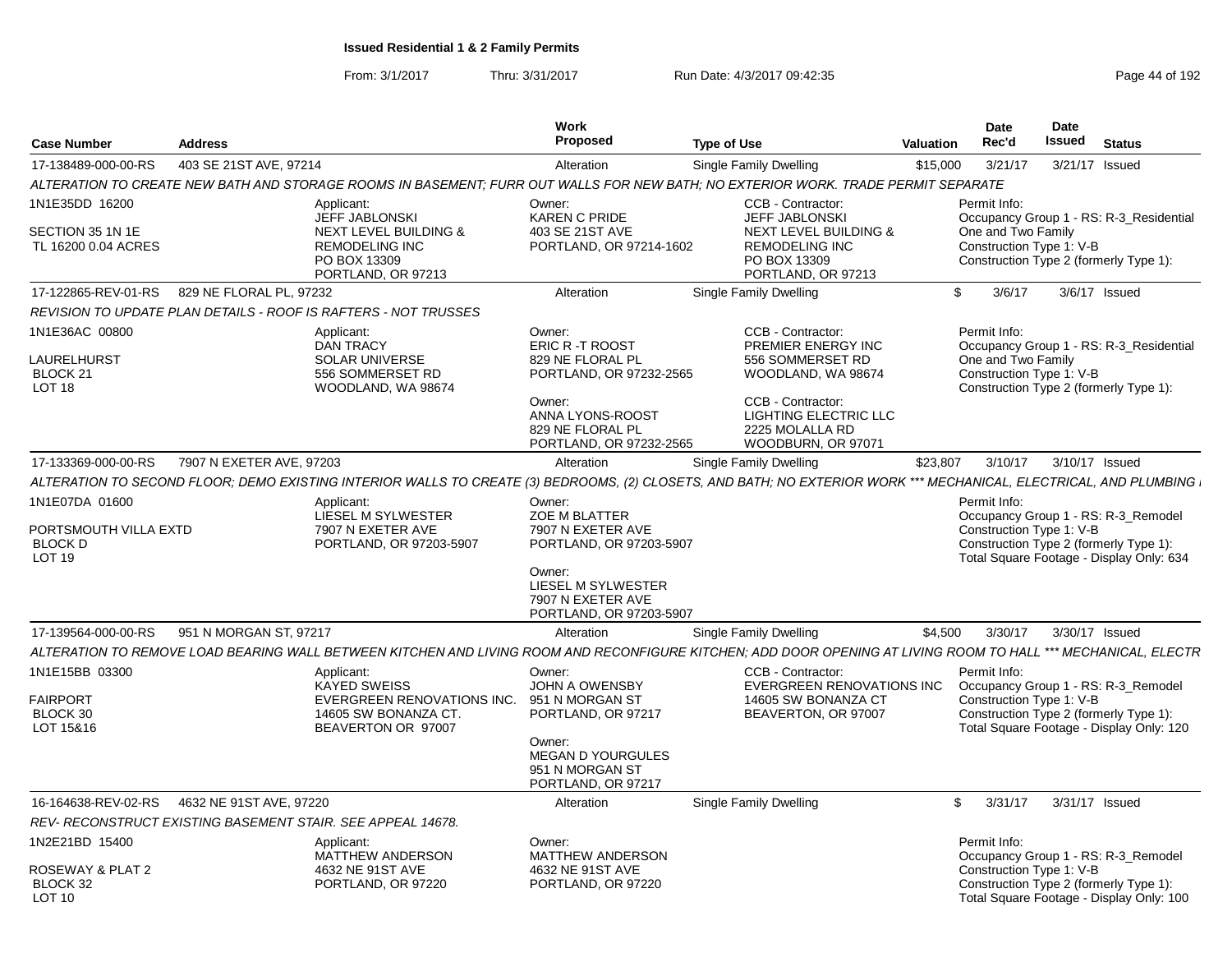| 403 SE 21ST AVE, 97214<br>17-138489-000-00-RS<br>ALTERATION TO CREATE NEW BATH AND STORAGE ROOMS IN BASEMENT; FURR OUT WALLS FOR NEW BATH; NO EXTERIOR WORK. TRADE PERMIT SEPARATE<br>1N1E35DD 16200 | Applicant:                                                                                                    | Alteration                                                                                                                                              | <b>Single Family Dwelling</b>                                                                                                                                            |              |                                                                |                                                                                                                           |
|------------------------------------------------------------------------------------------------------------------------------------------------------------------------------------------------------|---------------------------------------------------------------------------------------------------------------|---------------------------------------------------------------------------------------------------------------------------------------------------------|--------------------------------------------------------------------------------------------------------------------------------------------------------------------------|--------------|----------------------------------------------------------------|---------------------------------------------------------------------------------------------------------------------------|
|                                                                                                                                                                                                      |                                                                                                               |                                                                                                                                                         |                                                                                                                                                                          | \$15,000     | 3/21/17                                                        | 3/21/17 Issued                                                                                                            |
|                                                                                                                                                                                                      |                                                                                                               |                                                                                                                                                         |                                                                                                                                                                          |              |                                                                |                                                                                                                           |
| SECTION 35 1N 1E<br>TL 16200 0.04 ACRES                                                                                                                                                              | <b>JEFF JABLONSKI</b><br>NEXT LEVEL BUILDING &<br><b>REMODELING INC</b>                                       | Owner:<br>KAREN C PRIDE<br>403 SE 21ST AVE<br>PORTLAND, OR 97214-1602                                                                                   | CCB - Contractor:<br><b>JEFF JABLONSKI</b><br>NEXT LEVEL BUILDING &<br><b>REMODELING INC</b>                                                                             |              | Permit Info:<br>One and Two Family<br>Construction Type 1: V-B | Occupancy Group 1 - RS: R-3_Residential                                                                                   |
|                                                                                                                                                                                                      | PO BOX 13309<br>PORTLAND, OR 97213                                                                            |                                                                                                                                                         | PO BOX 13309<br>PORTLAND, OR 97213                                                                                                                                       |              |                                                                | Construction Type 2 (formerly Type 1):                                                                                    |
| 17-122865-REV-01-RS<br>829 NE FLORAL PL, 97232                                                                                                                                                       |                                                                                                               | Alteration                                                                                                                                              | Single Family Dwelling                                                                                                                                                   | \$.          | 3/6/17                                                         | 3/6/17 Issued                                                                                                             |
| REVISION TO UPDATE PLAN DETAILS - ROOF IS RAFTERS - NOT TRUSSES                                                                                                                                      |                                                                                                               |                                                                                                                                                         |                                                                                                                                                                          |              |                                                                |                                                                                                                           |
| 1N1E36AC 00800<br>LAURELHURST<br>BLOCK 21<br>LOT <sub>18</sub>                                                                                                                                       | Applicant:<br><b>DAN TRACY</b><br><b>SOLAR UNIVERSE</b><br>556 SOMMERSET RD<br>WOODLAND, WA 98674             | Owner:<br>ERIC R -T ROOST<br>829 NE FLORAL PL<br>PORTLAND, OR 97232-2565<br>Owner:<br>ANNA LYONS-ROOST<br>829 NE FLORAL PL<br>PORTLAND, OR 97232-2565   | CCB - Contractor:<br>PREMIER ENERGY INC<br>556 SOMMERSET RD<br>WOODLAND, WA 98674<br>CCB - Contractor:<br>LIGHTING ELECTRIC LLC<br>2225 MOLALLA RD<br>WOODBURN, OR 97071 |              | Permit Info:<br>One and Two Family<br>Construction Type 1: V-B | Occupancy Group 1 - RS: R-3_Residential<br>Construction Type 2 (formerly Type 1):                                         |
| 7907 N EXETER AVE, 97203<br>17-133369-000-00-RS                                                                                                                                                      |                                                                                                               | Alteration                                                                                                                                              | Single Family Dwelling                                                                                                                                                   | \$23,807     | 3/10/17                                                        | 3/10/17 Issued                                                                                                            |
| ALTERATION TO SECOND FLOOR; DEMO EXISTING INTERIOR WALLS TO CREATE (3) BEDROOMS, (2) CLOSETS, AND BATH; NO EXTERIOR WORK *** MECHANICAL, ELECTRICAL, AND PLUMBING                                    |                                                                                                               |                                                                                                                                                         |                                                                                                                                                                          |              |                                                                |                                                                                                                           |
| 1N1E07DA 01600<br>PORTSMOUTH VILLA EXTD<br><b>BLOCK D</b><br><b>LOT 19</b>                                                                                                                           | Applicant:<br>LIESEL M SYLWESTER<br>7907 N EXETER AVE<br>PORTLAND, OR 97203-5907                              | Owner:<br>ZOE M BLATTER<br>7907 N EXETER AVE<br>PORTLAND, OR 97203-5907<br>Owner:<br>LIESEL M SYLWESTER<br>7907 N EXETER AVE<br>PORTLAND, OR 97203-5907 |                                                                                                                                                                          |              | Permit Info:<br>Construction Type 1: V-B                       | Occupancy Group 1 - RS: R-3_Remodel<br>Construction Type 2 (formerly Type 1):<br>Total Square Footage - Display Only: 634 |
| 951 N MORGAN ST, 97217<br>17-139564-000-00-RS                                                                                                                                                        |                                                                                                               | Alteration                                                                                                                                              | Single Family Dwelling                                                                                                                                                   | \$4,500      | 3/30/17                                                        | 3/30/17 Issued                                                                                                            |
| ALTERATION TO REMOVE LOAD BEARING WALL BETWEEN KITCHEN AND LIVING ROOM AND RECONFIGURE KITCHEN; ADD DOOR OPENING AT LIVING ROOM TO HALL *** MECHANICAL, ELECTR                                       |                                                                                                               |                                                                                                                                                         |                                                                                                                                                                          |              |                                                                |                                                                                                                           |
| 1N1E15BB 03300<br><b>FAIRPORT</b><br>BLOCK 30<br>LOT 15&16                                                                                                                                           | Applicant:<br><b>KAYED SWEISS</b><br>EVERGREEN RENOVATIONS INC.<br>14605 SW BONANZA CT.<br>BEAVERTON OR 97007 | Owner:<br><b>JOHN A OWENSBY</b><br>951 N MORGAN ST<br>PORTLAND, OR 97217<br>Owner:<br><b>MEGAN D YOURGULES</b><br>951 N MORGAN ST<br>PORTLAND, OR 97217 | CCB - Contractor:<br><b>EVERGREEN RENOVATIONS INC</b><br>14605 SW BONANZA CT<br>BEAVERTON, OR 97007                                                                      |              | Permit Info:<br>Construction Type 1: V-B                       | Occupancy Group 1 - RS: R-3_Remodel<br>Construction Type 2 (formerly Type 1):<br>Total Square Footage - Display Only: 120 |
| 16-164638-REV-02-RS<br>4632 NE 91ST AVE, 97220                                                                                                                                                       |                                                                                                               | Alteration                                                                                                                                              | Single Family Dwelling                                                                                                                                                   | $\mathbb{S}$ | 3/31/17                                                        | 3/31/17 Issued                                                                                                            |
| REV-RECONSTRUCT EXISTING BASEMENT STAIR. SEE APPEAL 14678.                                                                                                                                           |                                                                                                               |                                                                                                                                                         |                                                                                                                                                                          |              |                                                                |                                                                                                                           |
| 1N2E21BD 15400<br>ROSEWAY & PLAT 2<br>BLOCK 32<br><b>LOT 10</b>                                                                                                                                      | Applicant:<br>MATTHEW ANDERSON<br>4632 NE 91ST AVE<br>PORTLAND, OR 97220                                      | Owner:<br>MATTHEW ANDERSON<br>4632 NE 91ST AVE<br>PORTLAND, OR 97220                                                                                    |                                                                                                                                                                          |              | Permit Info:<br>Construction Type 1: V-B                       | Occupancy Group 1 - RS: R-3_Remodel<br>Construction Type 2 (formerly Type 1):<br>Total Square Footage - Display Only: 100 |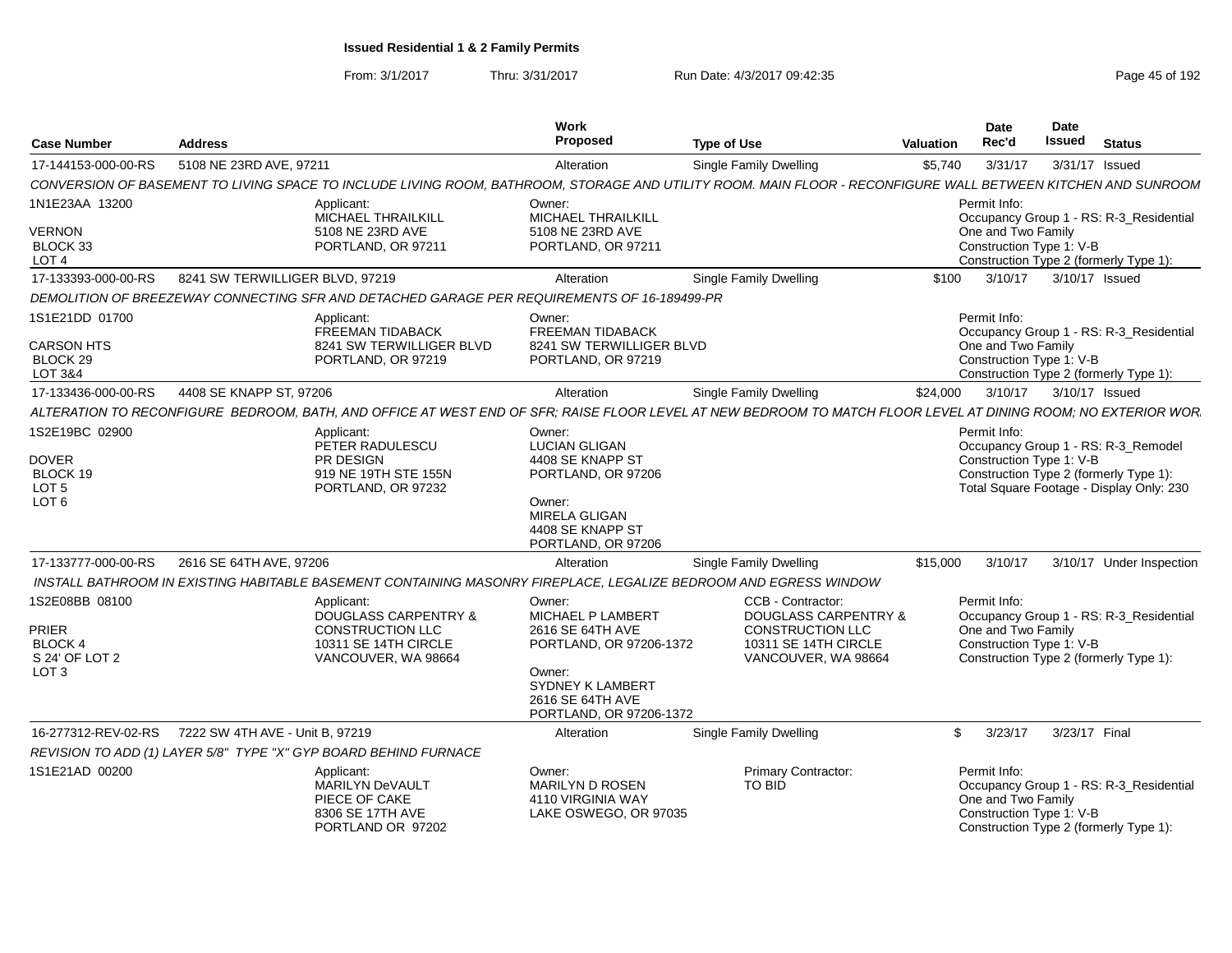From: 3/1/2017Thru: 3/31/2017 Run Date: 4/3/2017 09:42:35 Page 45 of 192

| <b>Case Number</b>                                                                 | <b>Address</b>                                                                                                   | Work<br>Proposed                                                                                                                                               | <b>Type of Use</b>                                                                                                      | Valuation | Date<br>Rec'd                                                                                                                                                         | <b>Date</b><br>Issued | <b>Status</b> |                          |
|------------------------------------------------------------------------------------|------------------------------------------------------------------------------------------------------------------|----------------------------------------------------------------------------------------------------------------------------------------------------------------|-------------------------------------------------------------------------------------------------------------------------|-----------|-----------------------------------------------------------------------------------------------------------------------------------------------------------------------|-----------------------|---------------|--------------------------|
| 17-144153-000-00-RS                                                                | 5108 NE 23RD AVE, 97211                                                                                          | Alteration                                                                                                                                                     | <b>Single Family Dwelling</b>                                                                                           | \$5,740   | 3/31/17                                                                                                                                                               | 3/31/17 Issued        |               |                          |
|                                                                                    |                                                                                                                  | CONVERSION OF BASEMENT TO LIVING SPACE TO INCLUDE LIVING ROOM, BATHROOM, STORAGE AND UTILITY ROOM. MAIN FLOOR - RECONFIGURE WALL BETWEEN KITCHEN AND SUNROOM   |                                                                                                                         |           |                                                                                                                                                                       |                       |               |                          |
| 1N1E23AA 13200<br><b>VERNON</b><br>BLOCK 33<br>LOT <sub>4</sub>                    | Applicant:<br>MICHAEL THRAILKILL<br>5108 NE 23RD AVE<br>PORTLAND, OR 97211                                       | Owner:<br>MICHAEL THRAILKILL<br>5108 NE 23RD AVE<br>PORTLAND, OR 97211                                                                                         |                                                                                                                         |           | Permit Info:<br>Occupancy Group 1 - RS: R-3_Residential<br>One and Two Family<br>Construction Type 1: V-B<br>Construction Type 2 (formerly Type 1):                   |                       |               |                          |
| 17-133393-000-00-RS                                                                | 8241 SW TERWILLIGER BLVD, 97219                                                                                  | Alteration                                                                                                                                                     | <b>Single Family Dwelling</b>                                                                                           | \$100     | 3/10/17                                                                                                                                                               | 3/10/17 Issued        |               |                          |
|                                                                                    |                                                                                                                  | DEMOLITION OF BREEZEWAY CONNECTING SFR AND DETACHED GARAGE PER REQUIREMENTS OF 16-189499-PR                                                                    |                                                                                                                         |           |                                                                                                                                                                       |                       |               |                          |
| 1S1E21DD 01700<br><b>CARSON HTS</b><br>BLOCK 29<br>LOT 3&4                         | Applicant:<br>FREEMAN TIDABACK<br>8241 SW TERWILLIGER BLVD<br>PORTLAND, OR 97219                                 | Owner:<br>FREEMAN TIDABACK<br>8241 SW TERWILLIGER BLVD<br>PORTLAND, OR 97219                                                                                   |                                                                                                                         |           | Permit Info:<br>Occupancy Group 1 - RS: R-3 Residential<br>One and Two Family<br>Construction Type 1: V-B<br>Construction Type 2 (formerly Type 1):                   |                       |               |                          |
| 17-133436-000-00-RS                                                                | 4408 SE KNAPP ST, 97206                                                                                          | Alteration                                                                                                                                                     | <b>Single Family Dwelling</b>                                                                                           | \$24,000  | 3/10/17                                                                                                                                                               | 3/10/17 Issued        |               |                          |
|                                                                                    |                                                                                                                  | ALTERATION TO RECONFIGURE BEDROOM, BATH, AND OFFICE AT WEST END OF SFR; RAISE FLOOR LEVEL AT NEW BEDROOM TO MATCH FLOOR LEVEL AT DINING ROOM; NO EXTERIOR WOR  |                                                                                                                         |           |                                                                                                                                                                       |                       |               |                          |
| 1S2E19BC 02900<br><b>DOVER</b><br>BLOCK 19<br>LOT <sub>5</sub><br>LOT <sub>6</sub> | Applicant:<br>PETER RADULESCU<br>PR DESIGN<br>919 NE 19TH STE 155N<br>PORTLAND, OR 97232                         | Owner:<br><b>LUCIAN GLIGAN</b><br>4408 SE KNAPP ST<br>PORTLAND, OR 97206<br>Owner:<br>MIRELA GLIGAN<br>4408 SE KNAPP ST<br>PORTLAND, OR 97206                  |                                                                                                                         |           | Permit Info:<br>Occupancy Group 1 - RS: R-3_Remodel<br>Construction Type 1: V-B<br>Construction Type 2 (formerly Type 1):<br>Total Square Footage - Display Only: 230 |                       |               |                          |
| 17-133777-000-00-RS                                                                | 2616 SE 64TH AVE, 97206                                                                                          | Alteration                                                                                                                                                     | <b>Single Family Dwelling</b>                                                                                           | \$15,000  | 3/10/17                                                                                                                                                               |                       |               | 3/10/17 Under Inspection |
|                                                                                    |                                                                                                                  | INSTALL BATHROOM IN EXISTING HABITABLE BASEMENT CONTAINING MASONRY FIREPLACE. LEGALIZE BEDROOM AND EGRESS WINDOW                                               |                                                                                                                         |           |                                                                                                                                                                       |                       |               |                          |
| 1S2E08BB 08100<br>PRIER<br>BLOCK 4<br>S 24' OF LOT 2<br>LOT <sub>3</sub>           | Applicant:<br><b>DOUGLASS CARPENTRY &amp;</b><br>CONSTRUCTION LLC<br>10311 SE 14TH CIRCLE<br>VANCOUVER, WA 98664 | Owner:<br><b>MICHAEL P LAMBERT</b><br>2616 SE 64TH AVE<br>PORTLAND, OR 97206-1372<br>Owner:<br>SYDNEY K LAMBERT<br>2616 SE 64TH AVE<br>PORTLAND, OR 97206-1372 | CCB - Contractor:<br><b>DOUGLASS CARPENTRY &amp;</b><br>CONSTRUCTION LLC<br>10311 SE 14TH CIRCLE<br>VANCOUVER, WA 98664 |           | Permit Info:<br>Occupancy Group 1 - RS: R-3_Residential<br>One and Two Family<br>Construction Type 1: V-B<br>Construction Type 2 (formerly Type 1):                   |                       |               |                          |
| 16-277312-REV-02-RS                                                                | 7222 SW 4TH AVE - Unit B. 97219                                                                                  | Alteration                                                                                                                                                     | Single Family Dwelling                                                                                                  |           | 3/23/17<br>\$                                                                                                                                                         | 3/23/17 Final         |               |                          |
|                                                                                    | REVISION TO ADD (1) LAYER 5/8" TYPE "X" GYP BOARD BEHIND FURNACE                                                 |                                                                                                                                                                |                                                                                                                         |           |                                                                                                                                                                       |                       |               |                          |
| 1S1E21AD 00200                                                                     | Applicant:<br>MARILYN DeVAULT<br>PIECE OF CAKE<br>8306 SE 17TH AVE<br>PORTLAND OR 97202                          | Owner:<br><b>MARILYN D ROSEN</b><br>4110 VIRGINIA WAY<br>LAKE OSWEGO, OR 97035                                                                                 | <b>Primary Contractor:</b><br><b>TO BID</b>                                                                             |           | Permit Info:<br>Occupancy Group 1 - RS: R-3_Residential<br>One and Two Family<br>Construction Type 1: V-B<br>Construction Type 2 (formerly Type 1):                   |                       |               |                          |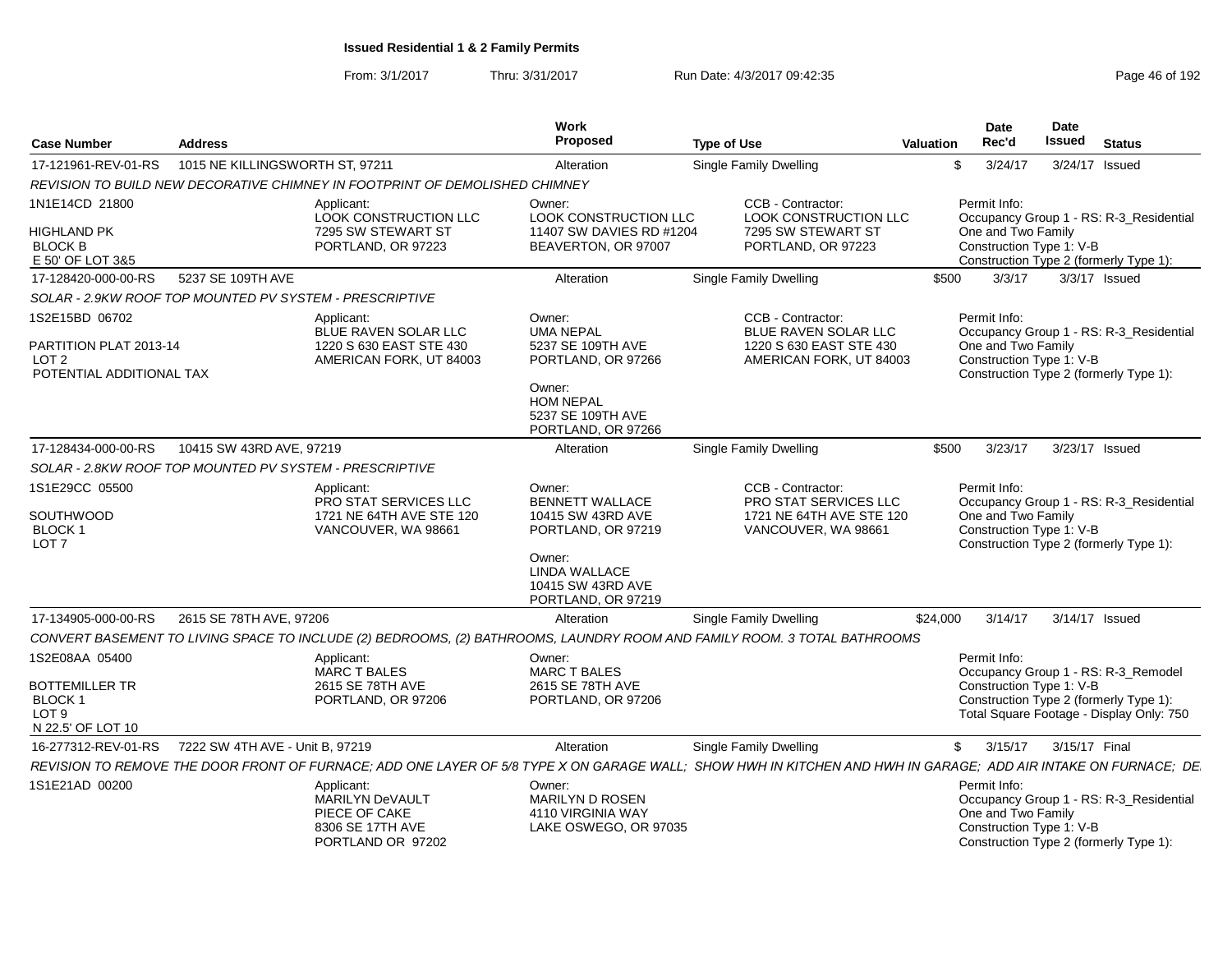| <b>Case Number</b>                                                                       | <b>Address</b>                  |                                                                                                | Work<br><b>Proposed</b>                                                     | <b>Type of Use</b>                                                                                                       | Date<br><b>Date</b><br>Rec'd<br><b>Issued</b><br><b>Valuation</b><br><b>Status</b>                                                                             |
|------------------------------------------------------------------------------------------|---------------------------------|------------------------------------------------------------------------------------------------|-----------------------------------------------------------------------------|--------------------------------------------------------------------------------------------------------------------------|----------------------------------------------------------------------------------------------------------------------------------------------------------------|
| 17-121961-REV-01-RS                                                                      | 1015 NE KILLINGSWORTH ST, 97211 |                                                                                                | Alteration                                                                  | <b>Single Family Dwelling</b>                                                                                            | \$<br>3/24/17<br>3/24/17 Issued                                                                                                                                |
|                                                                                          |                                 | REVISION TO BUILD NEW DECORATIVE CHIMNEY IN FOOTPRINT OF DEMOLISHED CHIMNEY                    |                                                                             |                                                                                                                          |                                                                                                                                                                |
| 1N1E14CD 21800                                                                           |                                 | Applicant:<br>LOOK CONSTRUCTION LLC                                                            | Owner:<br>LOOK CONSTRUCTION LLC                                             | CCB - Contractor:<br>LOOK CONSTRUCTION LLC                                                                               | Permit Info:<br>Occupancy Group 1 - RS: R-3_Residential                                                                                                        |
| <b>HIGHLAND PK</b><br><b>BLOCK B</b><br>E 50' OF LOT 3&5                                 |                                 | 7295 SW STEWART ST<br>PORTLAND, OR 97223                                                       | 11407 SW DAVIES RD #1204<br>BEAVERTON, OR 97007                             | 7295 SW STEWART ST<br>PORTLAND, OR 97223                                                                                 | One and Two Family<br>Construction Type 1: V-B<br>Construction Type 2 (formerly Type 1):                                                                       |
| 17-128420-000-00-RS                                                                      | 5237 SE 109TH AVE               |                                                                                                | Alteration                                                                  | Single Family Dwelling                                                                                                   | 3/3/17<br>$3/3/17$ Issued<br>\$500                                                                                                                             |
| SOLAR - 2.9KW ROOF TOP MOUNTED PV SYSTEM - PRESCRIPTIVE                                  |                                 |                                                                                                |                                                                             |                                                                                                                          |                                                                                                                                                                |
| 1S2E15BD 06702<br>PARTITION PLAT 2013-14<br>LOT <sub>2</sub><br>POTENTIAL ADDITIONAL TAX |                                 | Applicant:<br>BLUE RAVEN SOLAR LLC<br>1220 S 630 EAST STE 430<br>AMERICAN FORK, UT 84003       | Owner:<br><b>UMA NEPAL</b><br>5237 SE 109TH AVE<br>PORTLAND, OR 97266       | CCB - Contractor:<br><b>BLUE RAVEN SOLAR LLC</b><br>1220 S 630 EAST STE 430<br>AMERICAN FORK, UT 84003                   | Permit Info:<br>Occupancy Group 1 - RS: R-3_Residential<br>One and Two Family<br>Construction Type 1: V-B<br>Construction Type 2 (formerly Type 1):            |
|                                                                                          |                                 |                                                                                                | Owner:<br><b>HOM NEPAL</b><br>5237 SE 109TH AVE<br>PORTLAND, OR 97266       |                                                                                                                          |                                                                                                                                                                |
| 17-128434-000-00-RS                                                                      | 10415 SW 43RD AVE, 97219        |                                                                                                | Alteration                                                                  | <b>Single Family Dwelling</b>                                                                                            | \$500<br>3/23/17<br>3/23/17 Issued                                                                                                                             |
| SOLAR - 2.8KW ROOF TOP MOUNTED PV SYSTEM - PRESCRIPTIVE                                  |                                 |                                                                                                |                                                                             |                                                                                                                          |                                                                                                                                                                |
| 1S1E29CC 05500<br>SOUTHWOOD<br><b>BLOCK1</b><br>LOT <sub>7</sub>                         |                                 | Applicant:<br>PRO STAT SERVICES LLC<br>1721 NE 64TH AVE STE 120<br>VANCOUVER, WA 98661         | Owner:<br><b>BENNETT WALLACE</b><br>10415 SW 43RD AVE<br>PORTLAND, OR 97219 | CCB - Contractor:<br>PRO STAT SERVICES LLC<br>1721 NE 64TH AVE STE 120<br>VANCOUVER, WA 98661                            | Permit Info:<br>Occupancy Group 1 - RS: R-3_Residential<br>One and Two Family<br>Construction Type 1: V-B<br>Construction Type 2 (formerly Type 1):            |
|                                                                                          |                                 |                                                                                                | Owner:<br>LINDA WALLACE<br>10415 SW 43RD AVE<br>PORTLAND, OR 97219          |                                                                                                                          |                                                                                                                                                                |
| 17-134905-000-00-RS                                                                      | 2615 SE 78TH AVE, 97206         |                                                                                                | Alteration                                                                  | <b>Single Family Dwelling</b>                                                                                            | 3/14/17 Issued<br>\$24,000<br>3/14/17                                                                                                                          |
|                                                                                          |                                 |                                                                                                |                                                                             | CONVERT BASEMENT TO LIVING SPACE TO INCLUDE (2) BEDROOMS, (2) BATHROOMS, LAUNDRY ROOM AND FAMILY ROOM. 3 TOTAL BATHROOMS |                                                                                                                                                                |
| 1S2E08AA 05400                                                                           |                                 | Applicant:<br><b>MARC T BALES</b>                                                              | Owner:<br><b>MARC T BALES</b>                                               |                                                                                                                          | Permit Info:<br>Occupancy Group 1 - RS: R-3_Remodel                                                                                                            |
| <b>BOTTEMILLER TR</b><br><b>BLOCK1</b><br>LOT <sub>9</sub><br>N 22.5' OF LOT 10          |                                 | 2615 SE 78TH AVE<br>PORTLAND, OR 97206                                                         | 2615 SE 78TH AVE<br>PORTLAND, OR 97206                                      |                                                                                                                          | Construction Type 1: V-B<br>Construction Type 2 (formerly Type 1):<br>Total Square Footage - Display Only: 750                                                 |
| 16-277312-REV-01-RS                                                                      | 7222 SW 4TH AVE - Unit B, 97219 |                                                                                                | Alteration                                                                  | Single Family Dwelling                                                                                                   | \$<br>3/15/17<br>3/15/17 Final                                                                                                                                 |
|                                                                                          |                                 |                                                                                                |                                                                             |                                                                                                                          | REVISION TO REMOVE THE DOOR FRONT OF FURNACE; ADD ONE LAYER OF 5/8 TYPE X ON GARAGE WALL; SHOW HWH IN KITCHEN AND HWH IN GARAGE; ADD AIR INTAKE ON FURNACE; DE |
| 1S1E21AD 00200                                                                           |                                 | Applicant:<br><b>MARILYN DeVAULT</b><br>PIECE OF CAKE<br>8306 SE 17TH AVE<br>PORTLAND OR 97202 | Owner:<br>MARILYN D ROSEN<br>4110 VIRGINIA WAY<br>LAKE OSWEGO, OR 97035     |                                                                                                                          | Permit Info:<br>Occupancy Group 1 - RS: R-3_Residential<br>One and Two Family<br>Construction Type 1: V-B<br>Construction Type 2 (formerly Type 1):            |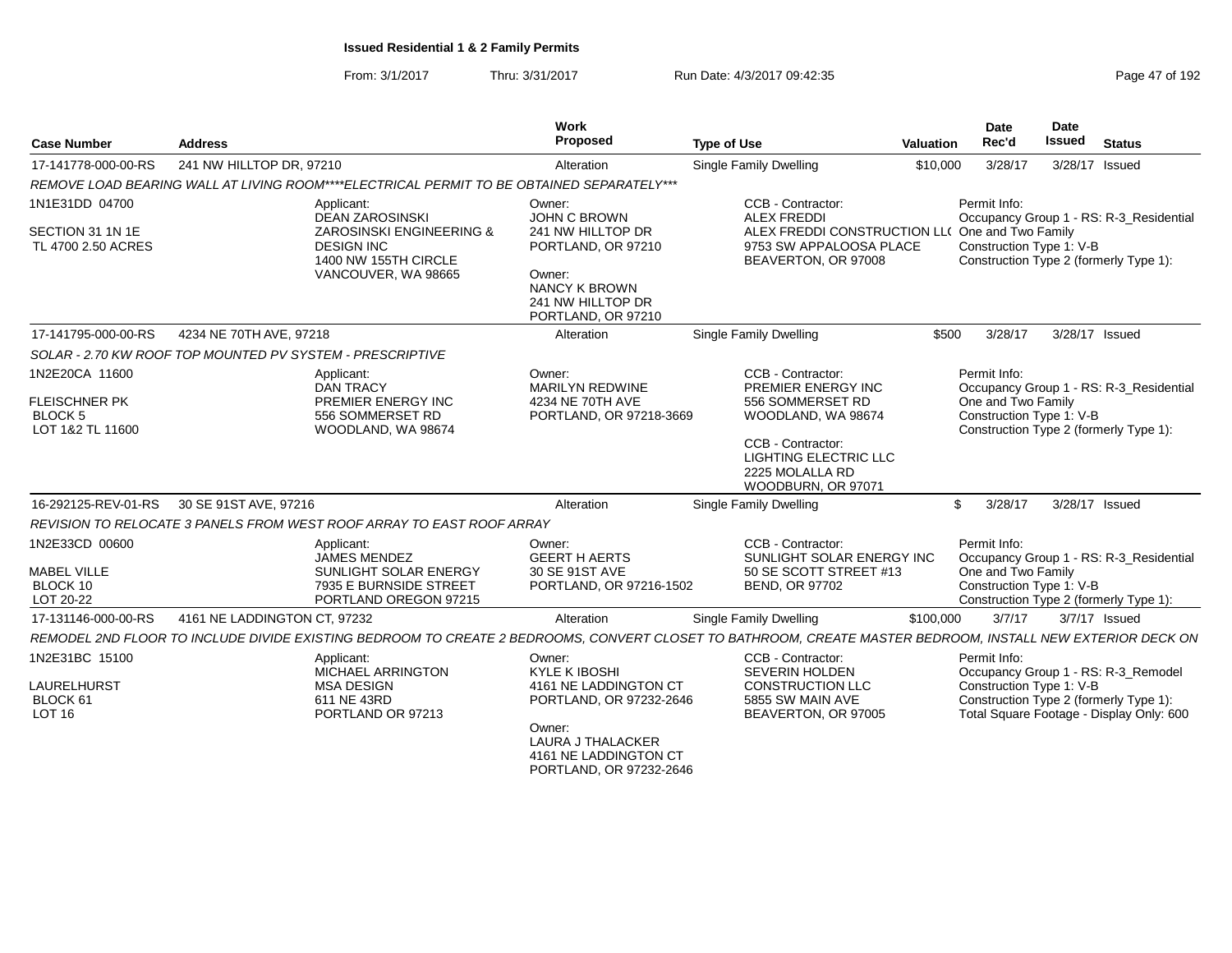From: 3/1/2017Thru: 3/31/2017 Run Date: 4/3/2017 09:42:35 Page 47 of 192

| <b>Case Number</b>                                            | <b>Address</b>                                                                                                | Work<br>Proposed                                                                                                                                                           | <b>Type of Use</b>                                                                                                                           | <b>Valuation</b> | Date<br>Rec'd                                                  | Date<br><b>Issued</b> | <b>Status</b>                                                                      |
|---------------------------------------------------------------|---------------------------------------------------------------------------------------------------------------|----------------------------------------------------------------------------------------------------------------------------------------------------------------------------|----------------------------------------------------------------------------------------------------------------------------------------------|------------------|----------------------------------------------------------------|-----------------------|------------------------------------------------------------------------------------|
| 17-141778-000-00-RS                                           | 241 NW HILLTOP DR, 97210                                                                                      | Alteration                                                                                                                                                                 | <b>Single Family Dwelling</b>                                                                                                                | \$10,000         | 3/28/17                                                        | 3/28/17 Issued        |                                                                                    |
|                                                               |                                                                                                               | REMOVE LOAD BEARING WALL AT LIVING ROOM****ELECTRICAL PERMIT TO BE OBTAINED SEPARATELY***                                                                                  |                                                                                                                                              |                  |                                                                |                       |                                                                                    |
| 1N1E31DD 04700<br>SECTION 31 1N 1E<br>TL 4700 2.50 ACRES      | Applicant:<br>DEAN ZAROSINSKI<br><b>DESIGN INC</b><br>1400 NW 155TH CIRCLE<br>VANCOUVER, WA 98665             | Owner:<br>JOHN C BROWN<br>ZAROSINSKI ENGINEERING &<br>241 NW HILLTOP DR<br>PORTLAND, OR 97210<br>Owner:<br><b>NANCY K BROWN</b><br>241 NW HILLTOP DR<br>PORTLAND, OR 97210 | CCB - Contractor:<br><b>ALEX FREDDI</b><br>ALEX FREDDI CONSTRUCTION LL( One and Two Family<br>9753 SW APPALOOSA PLACE<br>BEAVERTON, OR 97008 |                  | Permit Info:<br>Construction Type 1: V-B                       |                       | Occupancy Group 1 - RS: R-3 Residential<br>Construction Type 2 (formerly Type 1):  |
| 17-141795-000-00-RS                                           | 4234 NE 70TH AVE, 97218                                                                                       | Alteration                                                                                                                                                                 | Single Family Dwelling                                                                                                                       | \$500            | 3/28/17                                                        | 3/28/17 Issued        |                                                                                    |
|                                                               | SOLAR - 2.70 KW ROOF TOP MOUNTED PV SYSTEM - PRESCRIPTIVE                                                     |                                                                                                                                                                            |                                                                                                                                              |                  |                                                                |                       |                                                                                    |
| 1N2E20CA 11600                                                | Applicant:<br><b>DAN TRACY</b>                                                                                | Owner:<br><b>MARILYN REDWINE</b>                                                                                                                                           | CCB - Contractor:<br>PREMIER ENERGY INC                                                                                                      |                  | Permit Info:                                                   |                       | Occupancy Group 1 - RS: R-3_Residential                                            |
| <b>FLEISCHNER PK</b><br><b>BLOCK 5</b><br>LOT 1&2 TL 11600    | PREMIER ENERGY INC<br>556 SOMMERSET RD<br>WOODLAND, WA 98674                                                  | 4234 NE 70TH AVE<br>PORTLAND, OR 97218-3669                                                                                                                                | 556 SOMMERSET RD<br>WOODLAND, WA 98674<br>CCB - Contractor:<br><b>LIGHTING ELECTRIC LLC</b><br>2225 MOLALLA RD<br>WOODBURN, OR 97071         |                  | One and Two Family<br>Construction Type 1: V-B                 |                       | Construction Type 2 (formerly Type 1):                                             |
| 16-292125-REV-01-RS                                           | 30 SE 91ST AVE, 97216                                                                                         | Alteration                                                                                                                                                                 | <b>Single Family Dwelling</b>                                                                                                                | \$               | 3/28/17                                                        | 3/28/17 Issued        |                                                                                    |
|                                                               | REVISION TO RELOCATE 3 PANELS FROM WEST ROOF ARRAY TO EAST ROOF ARRAY                                         |                                                                                                                                                                            |                                                                                                                                              |                  |                                                                |                       |                                                                                    |
| 1N2E33CD 00600<br><b>MABEL VILLE</b><br>BLOCK 10<br>LOT 20-22 | Applicant:<br><b>JAMES MENDEZ</b><br>SUNLIGHT SOLAR ENERGY<br>7935 E BURNSIDE STREET<br>PORTLAND OREGON 97215 | Owner:<br><b>GEERT H AERTS</b><br>30 SE 91ST AVE<br>PORTLAND, OR 97216-1502                                                                                                | CCB - Contractor:<br>SUNLIGHT SOLAR ENERGY INC<br>50 SE SCOTT STREET #13<br><b>BEND, OR 97702</b>                                            |                  | Permit Info:<br>One and Two Family<br>Construction Type 1: V-B |                       | Occupancy Group 1 - RS: R-3_Residential<br>Construction Type 2 (formerly Type 1):  |
| 17-131146-000-00-RS                                           | 4161 NE LADDINGTON CT, 97232                                                                                  | Alteration                                                                                                                                                                 | <b>Single Family Dwelling</b>                                                                                                                | \$100,000        | 3/7/17                                                         | 3/7/17 Issued         |                                                                                    |
|                                                               |                                                                                                               | REMODEL 2ND FLOOR TO INCLUDE DIVIDE EXISTING BEDROOM TO CREATE 2 BEDROOMS, CONVERT CLOSET TO BATHROOM, CREATE MASTER BEDROOM, INSTALL NEW EXTERIOR DECK ON                 |                                                                                                                                              |                  |                                                                |                       |                                                                                    |
| 1N2E31BC 15100                                                | Applicant:<br>MICHAEL ARRINGTON                                                                               | Owner:<br><b>KYLE K IBOSHI</b>                                                                                                                                             | CCB - Contractor:<br><b>SEVERIN HOLDEN</b>                                                                                                   |                  | Permit Info:                                                   |                       | Occupancy Group 1 - RS: R-3_Remodel                                                |
| LAURELHURST<br>BLOCK 61<br>LOT 16                             | <b>MSA DESIGN</b><br>611 NE 43RD<br>PORTLAND OR 97213                                                         | 4161 NE LADDINGTON CT<br>PORTLAND, OR 97232-2646                                                                                                                           | <b>CONSTRUCTION LLC</b><br>5855 SW MAIN AVE<br>BEAVERTON, OR 97005                                                                           |                  | Construction Type 1: V-B                                       |                       | Construction Type 2 (formerly Type 1):<br>Total Square Footage - Display Only: 600 |
|                                                               |                                                                                                               | Owner:<br>LAURA J THALACKER<br>4161 NE LADDINGTON CT<br>PORTLAND, OR 97232-2646                                                                                            |                                                                                                                                              |                  |                                                                |                       |                                                                                    |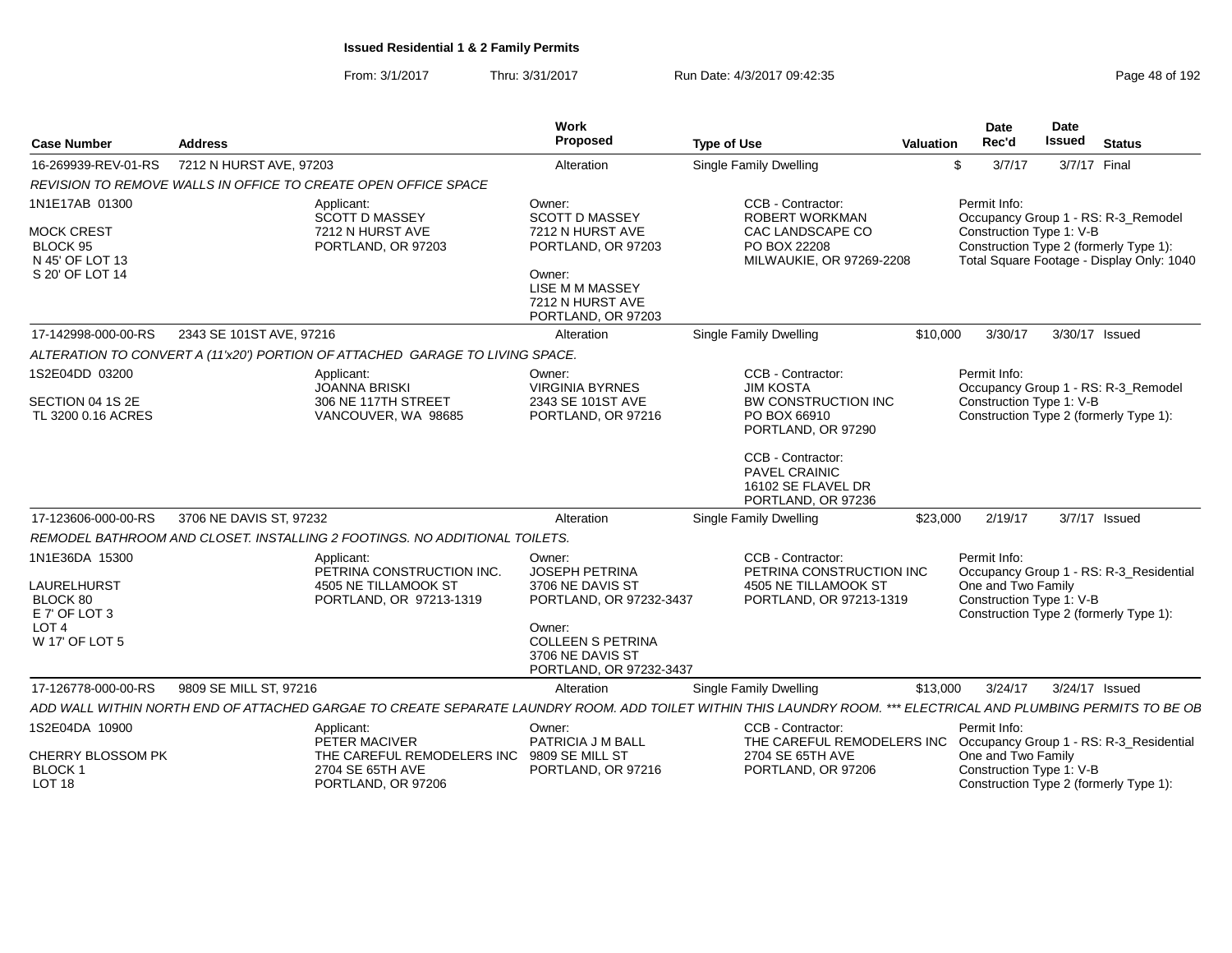| <b>Case Number</b>                                                  | <b>Address</b>                                                                                                                                                  | Work<br>Proposed                                                                        | <b>Type of Use</b>                                                             | Valuation                                                                                | <b>Date</b><br>Rec'd                           | Date<br><b>Issued</b> | <b>Status</b>                                                                       |  |  |
|---------------------------------------------------------------------|-----------------------------------------------------------------------------------------------------------------------------------------------------------------|-----------------------------------------------------------------------------------------|--------------------------------------------------------------------------------|------------------------------------------------------------------------------------------|------------------------------------------------|-----------------------|-------------------------------------------------------------------------------------|--|--|
| 16-269939-REV-01-RS                                                 | 7212 N HURST AVE, 97203                                                                                                                                         | Alteration                                                                              | <b>Single Family Dwelling</b>                                                  | \$                                                                                       | 3/7/17                                         | 3/7/17 Final          |                                                                                     |  |  |
|                                                                     | REVISION TO REMOVE WALLS IN OFFICE TO CREATE OPEN OFFICE SPACE                                                                                                  |                                                                                         |                                                                                |                                                                                          |                                                |                       |                                                                                     |  |  |
| 1N1E17AB 01300                                                      | Applicant:<br><b>SCOTT D MASSEY</b>                                                                                                                             | Owner:<br><b>SCOTT D MASSEY</b>                                                         | CCB - Contractor:<br>ROBERT WORKMAN                                            |                                                                                          | Permit Info:                                   |                       | Occupancy Group 1 - RS: R-3_Remodel                                                 |  |  |
| <b>MOCK CREST</b><br>BLOCK 95<br>N 45' OF LOT 13<br>S 20' OF LOT 14 | 7212 N HURST AVE<br>PORTLAND, OR 97203                                                                                                                          | 7212 N HURST AVE<br>PORTLAND, OR 97203<br>Owner:<br>LISE M M MASSEY<br>7212 N HURST AVE | CAC LANDSCAPE CO<br>PO BOX 22208<br>MILWAUKIE, OR 97269-2208                   |                                                                                          | Construction Type 1: V-B                       |                       | Construction Type 2 (formerly Type 1):<br>Total Square Footage - Display Only: 1040 |  |  |
|                                                                     |                                                                                                                                                                 | PORTLAND, OR 97203                                                                      |                                                                                |                                                                                          |                                                |                       |                                                                                     |  |  |
| 17-142998-000-00-RS                                                 | 2343 SE 101ST AVE, 97216                                                                                                                                        | Alteration                                                                              | <b>Single Family Dwelling</b>                                                  | \$10,000                                                                                 | 3/30/17                                        | 3/30/17 Issued        |                                                                                     |  |  |
|                                                                     | ALTERATION TO CONVERT A (11'x20') PORTION OF ATTACHED GARAGE TO LIVING SPACE.                                                                                   |                                                                                         |                                                                                |                                                                                          |                                                |                       |                                                                                     |  |  |
| 1S2E04DD 03200                                                      | Applicant:<br><b>JOANNA BRISKI</b>                                                                                                                              | Owner:<br><b>VIRGINIA BYRNES</b>                                                        | CCB - Contractor:<br><b>JIM KOSTA</b>                                          |                                                                                          | Permit Info:                                   |                       | Occupancy Group 1 - RS: R-3_Remodel                                                 |  |  |
| SECTION 04 1S 2E<br>TL 3200 0.16 ACRES                              | 306 NE 117TH STREET<br>VANCOUVER, WA 98685                                                                                                                      | 2343 SE 101ST AVE<br>PORTLAND, OR 97216                                                 | BW CONSTRUCTION INC<br>PO BOX 66910<br>PORTLAND, OR 97290                      |                                                                                          | Construction Type 1: V-B                       |                       | Construction Type 2 (formerly Type 1):                                              |  |  |
|                                                                     |                                                                                                                                                                 |                                                                                         | CCB - Contractor:<br>PAVEL CRAINIC<br>16102 SE FLAVEL DR<br>PORTLAND, OR 97236 |                                                                                          |                                                |                       |                                                                                     |  |  |
| 17-123606-000-00-RS                                                 | 3706 NE DAVIS ST, 97232                                                                                                                                         | Alteration                                                                              | Single Family Dwelling                                                         | \$23,000                                                                                 | 2/19/17                                        |                       | $3/7/17$ Issued                                                                     |  |  |
|                                                                     | REMODEL BATHROOM AND CLOSET. INSTALLING 2 FOOTINGS. NO ADDITIONAL TOILETS.                                                                                      |                                                                                         |                                                                                |                                                                                          |                                                |                       |                                                                                     |  |  |
| 1N1E36DA 15300                                                      | Applicant:<br>PETRINA CONSTRUCTION INC.                                                                                                                         | Owner:<br>JOSEPH PETRINA                                                                | CCB - Contractor:<br>PETRINA CONSTRUCTION INC                                  |                                                                                          | Permit Info:                                   |                       | Occupancy Group 1 - RS: R-3_Residential                                             |  |  |
| LAURELHURST<br>BLOCK 80<br>E 7' OF LOT 3<br>LOT 4                   | 4505 NE TILLAMOOK ST<br>PORTLAND, OR 97213-1319                                                                                                                 | 3706 NE DAVIS ST<br>PORTLAND, OR 97232-3437<br>Owner:                                   | 4505 NE TILLAMOOK ST<br>PORTLAND, OR 97213-1319                                |                                                                                          | One and Two Family<br>Construction Type 1: V-B |                       | Construction Type 2 (formerly Type 1):                                              |  |  |
| W 17' OF LOT 5                                                      |                                                                                                                                                                 | <b>COLLEEN S PETRINA</b><br>3706 NE DAVIS ST<br>PORTLAND, OR 97232-3437                 |                                                                                |                                                                                          |                                                |                       |                                                                                     |  |  |
| 17-126778-000-00-RS                                                 | 9809 SE MILL ST, 97216                                                                                                                                          | Alteration                                                                              | Single Family Dwelling                                                         | \$13,000                                                                                 | 3/24/17                                        | 3/24/17 Issued        |                                                                                     |  |  |
|                                                                     | ADD WALL WITHIN NORTH END OF ATTACHED GARGAE TO CREATE SEPARATE LAUNDRY ROOM. ADD TOILET WITHIN THIS LAUNDRY ROOM. *** ELECTRICAL AND PLUMBING PERMITS TO BE OE |                                                                                         |                                                                                |                                                                                          |                                                |                       |                                                                                     |  |  |
| 1S2E04DA 10900                                                      | Applicant:<br>PETER MACIVER                                                                                                                                     | Owner:<br>PATRICIA J M BALL                                                             | CCB - Contractor:<br>THE CAREFUL REMODELERS INC                                |                                                                                          | Permit Info:                                   |                       | Occupancy Group 1 - RS: R-3_Residential                                             |  |  |
| CHERRY BLOSSOM PK<br><b>BLOCK1</b><br>LOT <sub>18</sub>             | THE CAREFUL REMODELERS INC 9809 SE MILL ST<br>2704 SE 65TH AVE<br>PORTLAND, OR 97206                                                                            | PORTLAND, OR 97216                                                                      | 2704 SE 65TH AVE<br>PORTLAND, OR 97206                                         | One and Two Family<br>Construction Type 1: V-B<br>Construction Type 2 (formerly Type 1): |                                                |                       |                                                                                     |  |  |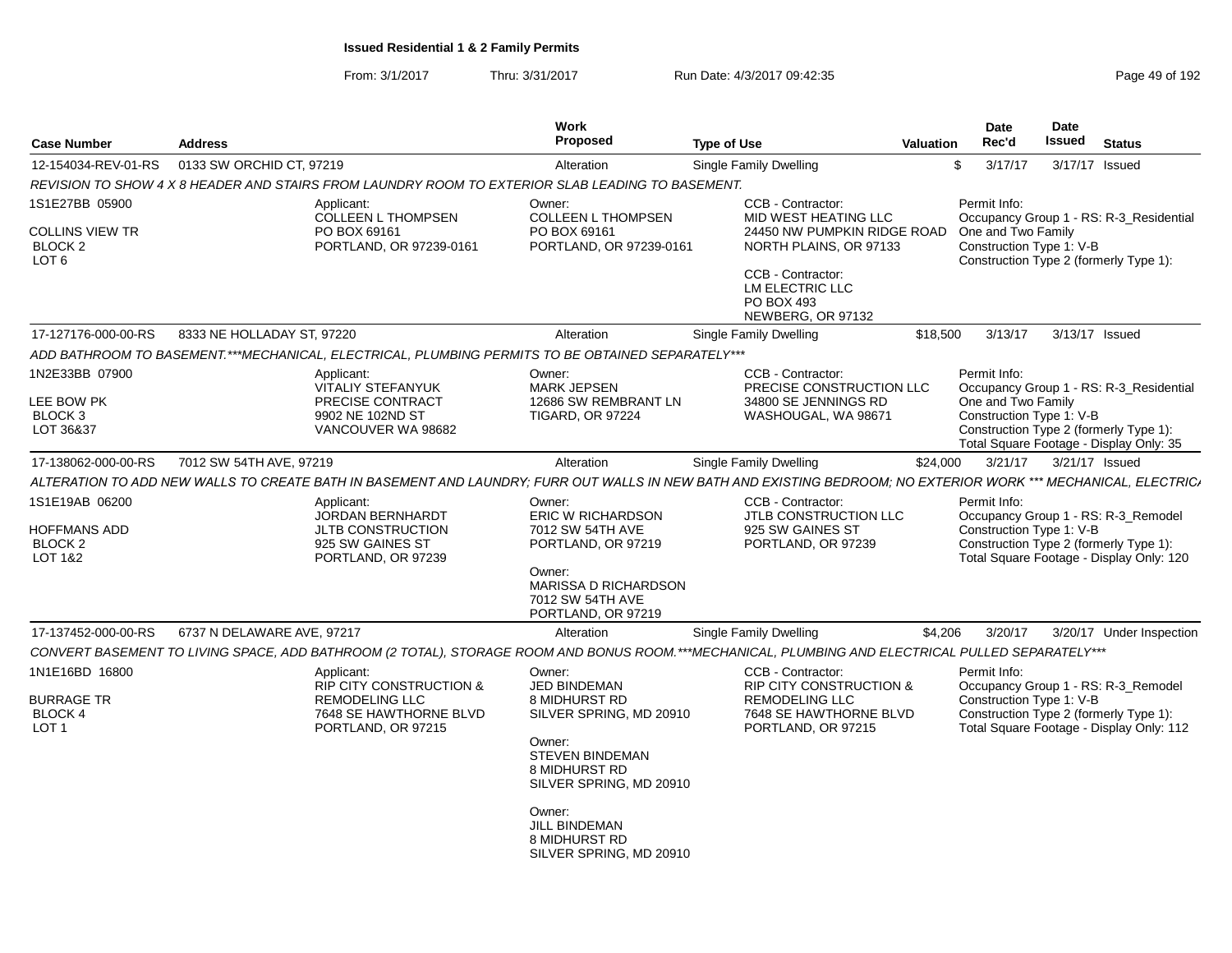| 0133 SW ORCHID CT, 97219<br>Single Family Dwelling<br>\$<br>3/17/17<br>3/17/17 Issued<br>Alteration<br>REVISION TO SHOW 4 X 8 HEADER AND STAIRS FROM LAUNDRY ROOM TO EXTERIOR SLAB LEADING TO BASEMENT.<br>CCB - Contractor:<br>Permit Info:<br>Applicant:<br>Owner:<br><b>COLLEEN L THOMPSEN</b><br><b>COLLEEN L THOMPSEN</b><br>MID WEST HEATING LLC<br>Occupancy Group 1 - RS: R-3 Residential<br>PO BOX 69161<br>PO BOX 69161<br>24450 NW PUMPKIN RIDGE ROAD<br>One and Two Family<br>Construction Type 1: V-B<br>PORTLAND, OR 97239-0161<br>PORTLAND, OR 97239-0161<br>NORTH PLAINS, OR 97133<br>Construction Type 2 (formerly Type 1):<br>CCB - Contractor:<br><b>LM ELECTRIC LLC</b><br>PO BOX 493<br>NEWBERG, OR 97132<br>8333 NE HOLLADAY ST, 97220<br>\$18,500<br>3/13/17<br>3/13/17 Issued<br>Alteration<br>Single Family Dwelling<br>ADD BATHROOM TO BASEMENT.***MECHANICAL, ELECTRICAL, PLUMBING PERMITS TO BE OBTAINED SEPARATELY***<br>CCB - Contractor:<br>Permit Info:<br>Applicant:<br>Owner:<br>PRECISE CONSTRUCTION LLC<br><b>VITALIY STEFANYUK</b><br><b>MARK JEPSEN</b><br>Occupancy Group 1 - RS: R-3_Residential<br>One and Two Family<br>PRECISE CONTRACT<br>12686 SW REMBRANT LN<br>34800 SE JENNINGS RD<br>Construction Type 1: V-B<br>9902 NE 102ND ST<br><b>TIGARD, OR 97224</b><br>WASHOUGAL, WA 98671<br>Construction Type 2 (formerly Type 1):<br>VANCOUVER WA 98682<br>Total Square Footage - Display Only: 35<br>Single Family Dwelling<br>\$24,000<br>3/21/17<br>3/21/17 Issued<br>7012 SW 54TH AVE, 97219<br>Alteration<br>Applicant:<br>Owner:<br>CCB - Contractor:<br>Permit Info:<br><b>JORDAN BERNHARDT</b><br><b>ERIC W RICHARDSON</b><br><b>JTLB CONSTRUCTION LLC</b><br>Occupancy Group 1 - RS: R-3_Remodel<br>Construction Type 1: V-B<br><b>JLTB CONSTRUCTION</b><br>925 SW GAINES ST<br>7012 SW 54TH AVE<br>Construction Type 2 (formerly Type 1):<br>925 SW GAINES ST<br>PORTLAND, OR 97239<br>PORTLAND, OR 97219<br>Total Square Footage - Display Only: 120<br>PORTLAND, OR 97239<br>Owner:<br>MARISSA D RICHARDSON<br>7012 SW 54TH AVE<br>PORTLAND, OR 97219<br>3/20/17<br>6737 N DELAWARE AVE, 97217<br>Single Family Dwelling<br>\$4,206<br>Alteration<br>CONVERT BASEMENT TO LIVING SPACE, ADD BATHROOM (2 TOTAL), STORAGE ROOM AND BONUS ROOM.***MECHANICAL, PLUMBING AND ELECTRICAL PULLED SEPARATELY***<br>CCB - Contractor:<br>Permit Info:<br>Applicant:<br>Owner:<br><b>RIP CITY CONSTRUCTION &amp;</b><br>JED BINDEMAN<br><b>RIP CITY CONSTRUCTION &amp;</b><br>Occupancy Group 1 - RS: R-3_Remodel<br>Construction Type 1: V-B<br><b>REMODELING LLC</b><br>8 MIDHURST RD<br><b>REMODELING LLC</b><br>7648 SE HAWTHORNE BLVD<br>Construction Type 2 (formerly Type 1):<br>7648 SE HAWTHORNE BLVD<br>SILVER SPRING, MD 20910<br>Total Square Footage - Display Only: 112<br>PORTLAND, OR 97215<br>PORTLAND, OR 97215<br>Owner:<br><b>STEVEN BINDEMAN</b><br>8 MIDHURST RD<br>SILVER SPRING, MD 20910<br>Owner:<br><b>JILL BINDEMAN</b><br>8 MIDHURST RD<br>SILVER SPRING, MD 20910 | <b>Case Number</b>                                                        | <b>Address</b> | <b>Work</b><br>Proposed | <b>Type of Use</b> | <b>Valuation</b> | Date<br>Rec'd | <b>Date</b><br><b>Issued</b> | <b>Status</b> |
|-----------------------------------------------------------------------------------------------------------------------------------------------------------------------------------------------------------------------------------------------------------------------------------------------------------------------------------------------------------------------------------------------------------------------------------------------------------------------------------------------------------------------------------------------------------------------------------------------------------------------------------------------------------------------------------------------------------------------------------------------------------------------------------------------------------------------------------------------------------------------------------------------------------------------------------------------------------------------------------------------------------------------------------------------------------------------------------------------------------------------------------------------------------------------------------------------------------------------------------------------------------------------------------------------------------------------------------------------------------------------------------------------------------------------------------------------------------------------------------------------------------------------------------------------------------------------------------------------------------------------------------------------------------------------------------------------------------------------------------------------------------------------------------------------------------------------------------------------------------------------------------------------------------------------------------------------------------------------------------------------------------------------------------------------------------------------------------------------------------------------------------------------------------------------------------------------------------------------------------------------------------------------------------------------------------------------------------------------------------------------------------------------------------------------------------------------------------------------------------------------------------------------------------------------------------------------------------------------------------------------------------------------------------------------------------------------------------------------------------------------------------------------------------------------------------------------------------------------------------------------------------------------------------------------------------------------------------------------------------------------------------------------------------------------|---------------------------------------------------------------------------|----------------|-------------------------|--------------------|------------------|---------------|------------------------------|---------------|
| 3/20/17 Under Inspection                                                                                                                                                                                                                                                                                                                                                                                                                                                                                                                                                                                                                                                                                                                                                                                                                                                                                                                                                                                                                                                                                                                                                                                                                                                                                                                                                                                                                                                                                                                                                                                                                                                                                                                                                                                                                                                                                                                                                                                                                                                                                                                                                                                                                                                                                                                                                                                                                                                                                                                                                                                                                                                                                                                                                                                                                                                                                                                                                                                                                      | 12-154034-REV-01-RS                                                       |                |                         |                    |                  |               |                              |               |
| ALTERATION TO ADD NEW WALLS TO CREATE BATH IN BASEMENT AND LAUNDRY; FURR OUT WALLS IN NEW BATH AND EXISTING BEDROOM; NO EXTERIOR WORK *** MECHANICAL, ELECTRICA                                                                                                                                                                                                                                                                                                                                                                                                                                                                                                                                                                                                                                                                                                                                                                                                                                                                                                                                                                                                                                                                                                                                                                                                                                                                                                                                                                                                                                                                                                                                                                                                                                                                                                                                                                                                                                                                                                                                                                                                                                                                                                                                                                                                                                                                                                                                                                                                                                                                                                                                                                                                                                                                                                                                                                                                                                                                               |                                                                           |                |                         |                    |                  |               |                              |               |
|                                                                                                                                                                                                                                                                                                                                                                                                                                                                                                                                                                                                                                                                                                                                                                                                                                                                                                                                                                                                                                                                                                                                                                                                                                                                                                                                                                                                                                                                                                                                                                                                                                                                                                                                                                                                                                                                                                                                                                                                                                                                                                                                                                                                                                                                                                                                                                                                                                                                                                                                                                                                                                                                                                                                                                                                                                                                                                                                                                                                                                               | 1S1E27BB 05900<br>COLLINS VIEW TR<br><b>BLOCK 2</b><br>LOT <sub>6</sub>   |                |                         |                    |                  |               |                              |               |
|                                                                                                                                                                                                                                                                                                                                                                                                                                                                                                                                                                                                                                                                                                                                                                                                                                                                                                                                                                                                                                                                                                                                                                                                                                                                                                                                                                                                                                                                                                                                                                                                                                                                                                                                                                                                                                                                                                                                                                                                                                                                                                                                                                                                                                                                                                                                                                                                                                                                                                                                                                                                                                                                                                                                                                                                                                                                                                                                                                                                                                               | 17-127176-000-00-RS                                                       |                |                         |                    |                  |               |                              |               |
|                                                                                                                                                                                                                                                                                                                                                                                                                                                                                                                                                                                                                                                                                                                                                                                                                                                                                                                                                                                                                                                                                                                                                                                                                                                                                                                                                                                                                                                                                                                                                                                                                                                                                                                                                                                                                                                                                                                                                                                                                                                                                                                                                                                                                                                                                                                                                                                                                                                                                                                                                                                                                                                                                                                                                                                                                                                                                                                                                                                                                                               |                                                                           |                |                         |                    |                  |               |                              |               |
|                                                                                                                                                                                                                                                                                                                                                                                                                                                                                                                                                                                                                                                                                                                                                                                                                                                                                                                                                                                                                                                                                                                                                                                                                                                                                                                                                                                                                                                                                                                                                                                                                                                                                                                                                                                                                                                                                                                                                                                                                                                                                                                                                                                                                                                                                                                                                                                                                                                                                                                                                                                                                                                                                                                                                                                                                                                                                                                                                                                                                                               | 1N2E33BB 07900<br>LEE BOW PK<br>BLOCK <sub>3</sub><br>LOT 36&37           |                |                         |                    |                  |               |                              |               |
|                                                                                                                                                                                                                                                                                                                                                                                                                                                                                                                                                                                                                                                                                                                                                                                                                                                                                                                                                                                                                                                                                                                                                                                                                                                                                                                                                                                                                                                                                                                                                                                                                                                                                                                                                                                                                                                                                                                                                                                                                                                                                                                                                                                                                                                                                                                                                                                                                                                                                                                                                                                                                                                                                                                                                                                                                                                                                                                                                                                                                                               | 17-138062-000-00-RS                                                       |                |                         |                    |                  |               |                              |               |
|                                                                                                                                                                                                                                                                                                                                                                                                                                                                                                                                                                                                                                                                                                                                                                                                                                                                                                                                                                                                                                                                                                                                                                                                                                                                                                                                                                                                                                                                                                                                                                                                                                                                                                                                                                                                                                                                                                                                                                                                                                                                                                                                                                                                                                                                                                                                                                                                                                                                                                                                                                                                                                                                                                                                                                                                                                                                                                                                                                                                                                               |                                                                           |                |                         |                    |                  |               |                              |               |
|                                                                                                                                                                                                                                                                                                                                                                                                                                                                                                                                                                                                                                                                                                                                                                                                                                                                                                                                                                                                                                                                                                                                                                                                                                                                                                                                                                                                                                                                                                                                                                                                                                                                                                                                                                                                                                                                                                                                                                                                                                                                                                                                                                                                                                                                                                                                                                                                                                                                                                                                                                                                                                                                                                                                                                                                                                                                                                                                                                                                                                               | 1S1E19AB 06200<br>HOFFMANS ADD<br><b>BLOCK 2</b><br>LOT 1&2               |                |                         |                    |                  |               |                              |               |
|                                                                                                                                                                                                                                                                                                                                                                                                                                                                                                                                                                                                                                                                                                                                                                                                                                                                                                                                                                                                                                                                                                                                                                                                                                                                                                                                                                                                                                                                                                                                                                                                                                                                                                                                                                                                                                                                                                                                                                                                                                                                                                                                                                                                                                                                                                                                                                                                                                                                                                                                                                                                                                                                                                                                                                                                                                                                                                                                                                                                                                               | 17-137452-000-00-RS                                                       |                |                         |                    |                  |               |                              |               |
|                                                                                                                                                                                                                                                                                                                                                                                                                                                                                                                                                                                                                                                                                                                                                                                                                                                                                                                                                                                                                                                                                                                                                                                                                                                                                                                                                                                                                                                                                                                                                                                                                                                                                                                                                                                                                                                                                                                                                                                                                                                                                                                                                                                                                                                                                                                                                                                                                                                                                                                                                                                                                                                                                                                                                                                                                                                                                                                                                                                                                                               |                                                                           |                |                         |                    |                  |               |                              |               |
|                                                                                                                                                                                                                                                                                                                                                                                                                                                                                                                                                                                                                                                                                                                                                                                                                                                                                                                                                                                                                                                                                                                                                                                                                                                                                                                                                                                                                                                                                                                                                                                                                                                                                                                                                                                                                                                                                                                                                                                                                                                                                                                                                                                                                                                                                                                                                                                                                                                                                                                                                                                                                                                                                                                                                                                                                                                                                                                                                                                                                                               | 1N1E16BD 16800<br><b>BURRAGE TR</b><br><b>BLOCK 4</b><br>LOT <sub>1</sub> |                |                         |                    |                  |               |                              |               |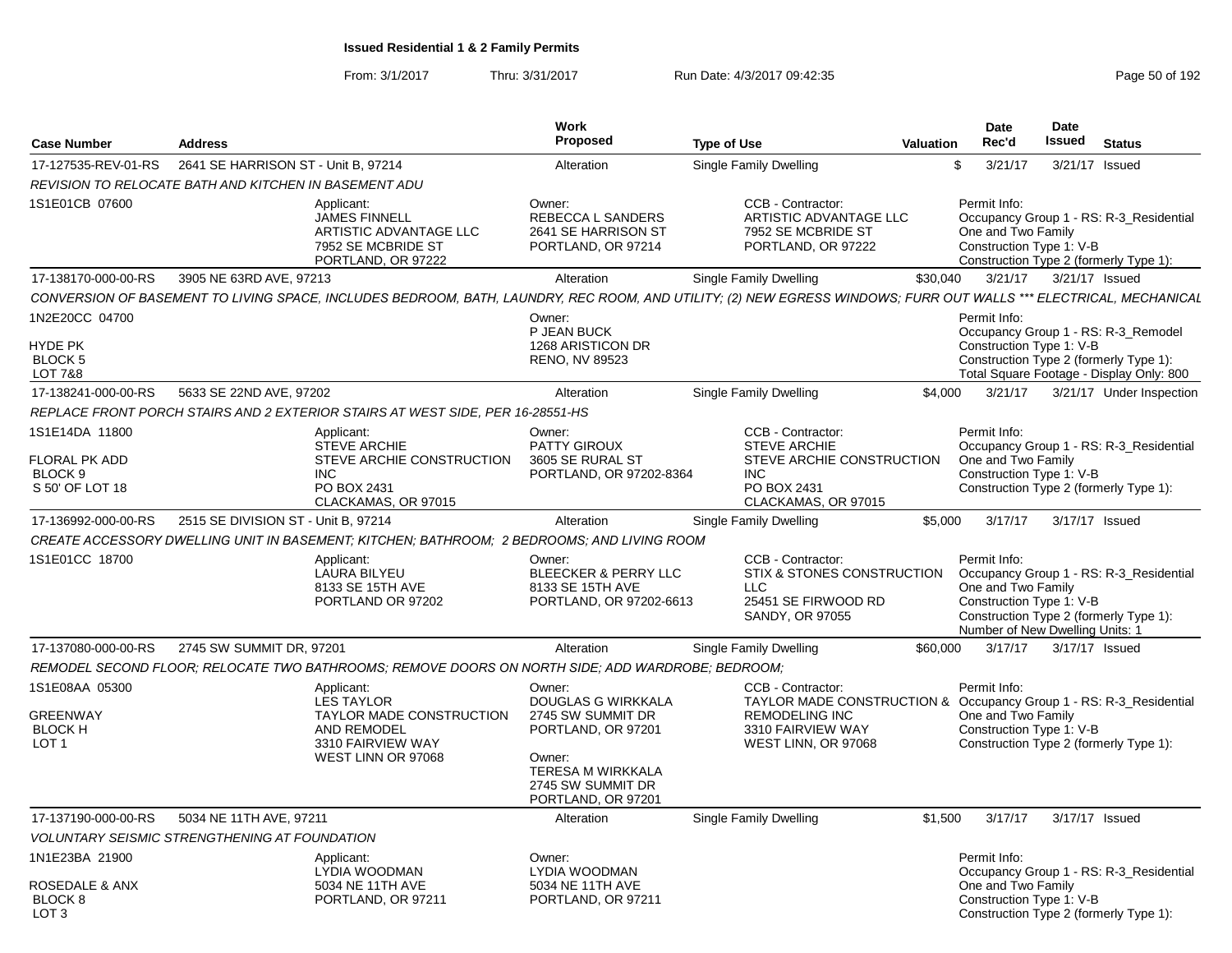|                                                        |                                                       |                                                                                                   | <b>Work</b>                                                                                                       |                                                                                                                                                                   |                  | Date                                                                                              | Date   |                                                                                    |
|--------------------------------------------------------|-------------------------------------------------------|---------------------------------------------------------------------------------------------------|-------------------------------------------------------------------------------------------------------------------|-------------------------------------------------------------------------------------------------------------------------------------------------------------------|------------------|---------------------------------------------------------------------------------------------------|--------|------------------------------------------------------------------------------------|
| <b>Case Number</b>                                     | <b>Address</b>                                        |                                                                                                   | <b>Proposed</b>                                                                                                   | <b>Type of Use</b>                                                                                                                                                | <b>Valuation</b> | Rec'd                                                                                             | Issued | <b>Status</b>                                                                      |
| 17-127535-REV-01-RS                                    | 2641 SE HARRISON ST - Unit B. 97214                   |                                                                                                   | Alteration                                                                                                        | Single Family Dwelling                                                                                                                                            |                  | 3/21/17<br>\$                                                                                     |        | 3/21/17 Issued                                                                     |
|                                                        | REVISION TO RELOCATE BATH AND KITCHEN IN BASEMENT ADU |                                                                                                   |                                                                                                                   |                                                                                                                                                                   |                  |                                                                                                   |        |                                                                                    |
| 1S1E01CB 07600                                         |                                                       | Applicant:<br>JAMES FINNELL<br>ARTISTIC ADVANTAGE LLC<br>7952 SE MCBRIDE ST<br>PORTLAND, OR 97222 | Owner:<br>REBECCA L SANDERS<br>2641 SE HARRISON ST<br>PORTLAND, OR 97214                                          | CCB - Contractor:<br>ARTISTIC ADVANTAGE LLC<br>7952 SE MCBRIDE ST<br>PORTLAND, OR 97222                                                                           |                  | Permit Info:<br>One and Two Family<br>Construction Type 1: V-B                                    |        | Occupancy Group 1 - RS: R-3_Residential<br>Construction Type 2 (formerly Type 1):  |
| 17-138170-000-00-RS                                    | 3905 NE 63RD AVE, 97213                               |                                                                                                   | Alteration                                                                                                        | <b>Single Family Dwelling</b>                                                                                                                                     | \$30.040         | 3/21/17                                                                                           |        | 3/21/17 Issued                                                                     |
|                                                        |                                                       |                                                                                                   |                                                                                                                   | CONVERSION OF BASEMENT TO LIVING SPACE, INCLUDES BEDROOM, BATH, LAUNDRY, REC ROOM, AND UTILITY; (2) NEW EGRESS WINDOWS; FURR OUT WALLS *** ELECTRICAL, MECHANICAL |                  |                                                                                                   |        |                                                                                    |
| 1N2E20CC 04700                                         |                                                       |                                                                                                   | Owner:<br>P JEAN BUCK                                                                                             |                                                                                                                                                                   |                  | Permit Info:                                                                                      |        | Occupancy Group 1 - RS: R-3_Remodel                                                |
| <b>HYDE PK</b><br><b>BLOCK 5</b><br><b>LOT 7&amp;8</b> |                                                       |                                                                                                   | 1268 ARISTICON DR<br>RENO, NV 89523                                                                               |                                                                                                                                                                   |                  | Construction Type 1: V-B                                                                          |        | Construction Type 2 (formerly Type 1):<br>Total Square Footage - Display Only: 800 |
| 17-138241-000-00-RS                                    | 5633 SE 22ND AVE, 97202                               |                                                                                                   | Alteration                                                                                                        | Single Family Dwelling                                                                                                                                            | \$4,000          | 3/21/17                                                                                           |        | 3/21/17 Under Inspection                                                           |
|                                                        |                                                       | REPLACE FRONT PORCH STAIRS AND 2 EXTERIOR STAIRS AT WEST SIDE, PER 16-28551-HS                    |                                                                                                                   |                                                                                                                                                                   |                  |                                                                                                   |        |                                                                                    |
| 1S1E14DA 11800<br>FLORAL PK ADD                        |                                                       | Applicant:<br><b>STEVE ARCHIE</b>                                                                 | Owner:<br><b>PATTY GIROUX</b><br>3605 SE RURAL ST                                                                 | CCB - Contractor:<br><b>STEVE ARCHIE</b><br>STEVE ARCHIE CONSTRUCTION                                                                                             |                  | Permit Info:                                                                                      |        | Occupancy Group 1 - RS: R-3_Residential                                            |
| BLOCK <sub>9</sub><br>S 50' OF LOT 18                  |                                                       | STEVE ARCHIE CONSTRUCTION<br><b>INC</b><br>PO BOX 2431<br>CLACKAMAS, OR 97015                     | PORTLAND, OR 97202-8364                                                                                           | INC.<br>PO BOX 2431<br>CLACKAMAS, OR 97015                                                                                                                        |                  | One and Two Family<br>Construction Type 1: V-B                                                    |        | Construction Type 2 (formerly Type 1):                                             |
| 17-136992-000-00-RS                                    | 2515 SE DIVISION ST - Unit B, 97214                   |                                                                                                   | Alteration                                                                                                        | Single Family Dwelling                                                                                                                                            | \$5.000          | 3/17/17                                                                                           |        | 3/17/17 Issued                                                                     |
|                                                        |                                                       | CREATE ACCESSORY DWELLING UNIT IN BASEMENT; KITCHEN; BATHROOM; 2 BEDROOMS; AND LIVING ROOM        |                                                                                                                   |                                                                                                                                                                   |                  |                                                                                                   |        |                                                                                    |
| 1S1E01CC 18700                                         |                                                       | Applicant:<br>LAURA BILYEU<br>8133 SE 15TH AVE<br>PORTLAND OR 97202                               | Owner:<br><b>BLEECKER &amp; PERRY LLC</b><br>8133 SE 15TH AVE<br>PORTLAND, OR 97202-6613                          | CCB - Contractor:<br>STIX & STONES CONSTRUCTION<br>LLC<br>25451 SE FIRWOOD RD<br><b>SANDY, OR 97055</b>                                                           |                  | Permit Info:<br>One and Two Family<br>Construction Type 1: V-B<br>Number of New Dwelling Units: 1 |        | Occupancy Group 1 - RS: R-3_Residential<br>Construction Type 2 (formerly Type 1):  |
| 17-137080-000-00-RS                                    | 2745 SW SUMMIT DR. 97201                              |                                                                                                   | Alteration                                                                                                        | Single Family Dwelling                                                                                                                                            | \$60,000         | 3/17/17                                                                                           |        | 3/17/17 Issued                                                                     |
|                                                        |                                                       | REMODEL SECOND FLOOR: RELOCATE TWO BATHROOMS: REMOVE DOORS ON NORTH SIDE: ADD WARDROBE: BEDROOM:  |                                                                                                                   |                                                                                                                                                                   |                  |                                                                                                   |        |                                                                                    |
| 1S1E08AA 05300                                         |                                                       | Applicant:<br><b>LES TAYLOR</b>                                                                   | Owner:<br>DOUGLAS G WIRKKALA                                                                                      | CCB - Contractor:<br>TAYLOR MADE CONSTRUCTION & Occupancy Group 1 - RS: R-3_Residential                                                                           |                  | Permit Info:                                                                                      |        |                                                                                    |
| <b>GREENWAY</b><br><b>BLOCK H</b><br>LOT <sub>1</sub>  |                                                       | TAYLOR MADE CONSTRUCTION<br><b>AND REMODEL</b><br>3310 FAIRVIEW WAY<br>WEST LINN OR 97068         | 2745 SW SUMMIT DR<br>PORTLAND, OR 97201<br>Owner:<br>TERESA M WIRKKALA<br>2745 SW SUMMIT DR<br>PORTLAND, OR 97201 | <b>REMODELING INC</b><br>3310 FAIRVIEW WAY<br>WEST LINN, OR 97068                                                                                                 |                  | One and Two Family<br>Construction Type 1: V-B                                                    |        | Construction Type 2 (formerly Type 1):                                             |
| 17-137190-000-00-RS                                    | 5034 NE 11TH AVE, 97211                               |                                                                                                   | Alteration                                                                                                        | Single Family Dwelling                                                                                                                                            | \$1.500          | 3/17/17                                                                                           |        | 3/17/17 Issued                                                                     |
|                                                        | <b>VOLUNTARY SEISMIC STRENGTHENING AT FOUNDATION</b>  |                                                                                                   |                                                                                                                   |                                                                                                                                                                   |                  |                                                                                                   |        |                                                                                    |
| 1N1E23BA 21900                                         |                                                       | Applicant:<br>LYDIA WOODMAN                                                                       | Owner:<br>LYDIA WOODMAN                                                                                           |                                                                                                                                                                   |                  | Permit Info:                                                                                      |        | Occupancy Group 1 - RS: R-3_Residential                                            |
| <b>ROSEDALE &amp; ANX</b><br>BLOCK 8<br>LOT 3          |                                                       | 5034 NE 11TH AVE<br>PORTLAND, OR 97211                                                            | 5034 NE 11TH AVE<br>PORTLAND, OR 97211                                                                            |                                                                                                                                                                   |                  | One and Two Family<br>Construction Type 1: V-B                                                    |        | Construction Type 2 (formerly Type 1):                                             |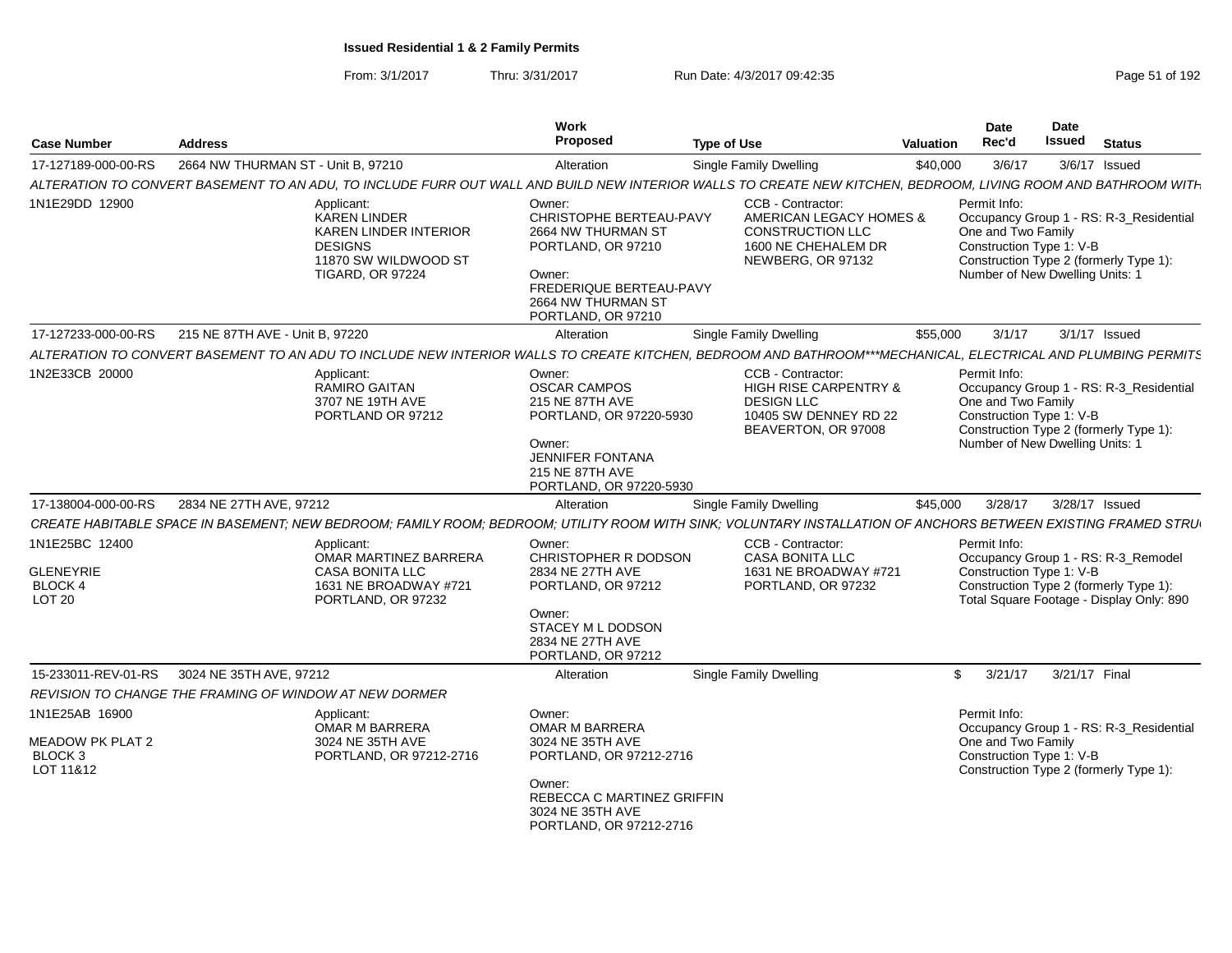| Case Number                                                    | <b>Address</b>                                                                                                                                                | Work<br><b>Proposed</b><br><b>Type of Use</b>                                                                                                                  |                                                                                                                            | <b>Date</b><br>Rec'd<br><b>Valuation</b>                       | Date<br><b>Issued</b>                                                                                                     | <b>Status</b>                           |
|----------------------------------------------------------------|---------------------------------------------------------------------------------------------------------------------------------------------------------------|----------------------------------------------------------------------------------------------------------------------------------------------------------------|----------------------------------------------------------------------------------------------------------------------------|----------------------------------------------------------------|---------------------------------------------------------------------------------------------------------------------------|-----------------------------------------|
| 17-127189-000-00-RS                                            | 2664 NW THURMAN ST - Unit B, 97210                                                                                                                            | Alteration                                                                                                                                                     | <b>Single Family Dwelling</b>                                                                                              | \$40,000<br>3/6/17                                             | 3/6/17 Issued                                                                                                             |                                         |
|                                                                | ALTERATION TO CONVERT BASEMENT TO AN ADU, TO INCLUDE FURR OUT WALL AND BUILD NEW INTERIOR WALLS TO CREATE NEW KITCHEN, BEDROOM, LIVING ROOM AND BATHROOM WITH |                                                                                                                                                                |                                                                                                                            |                                                                |                                                                                                                           |                                         |
| 1N1E29DD 12900                                                 | Applicant:<br><b>KAREN LINDER</b><br><b>KAREN LINDER INTERIOR</b><br><b>DESIGNS</b><br>11870 SW WILDWOOD ST<br><b>TIGARD, OR 97224</b>                        | Owner:<br>CHRISTOPHE BERTEAU-PAVY<br>2664 NW THURMAN ST<br>PORTLAND, OR 97210<br>Owner:<br>FREDERIQUE BERTEAU-PAVY<br>2664 NW THURMAN ST<br>PORTLAND, OR 97210 | CCB - Contractor:<br>AMERICAN LEGACY HOMES &<br>CONSTRUCTION LLC<br>1600 NE CHEHALEM DR<br>NEWBERG, OR 97132               | Permit Info:<br>One and Two Family<br>Construction Type 1: V-B | Construction Type 2 (formerly Type 1):<br>Number of New Dwelling Units: 1                                                 | Occupancy Group 1 - RS: R-3 Residential |
| 17-127233-000-00-RS                                            | 215 NE 87TH AVE - Unit B, 97220                                                                                                                               | Alteration                                                                                                                                                     | <b>Single Family Dwelling</b>                                                                                              | \$55,000<br>3/1/17                                             | 3/1/17 Issued                                                                                                             |                                         |
|                                                                | ALTERATION TO CONVERT BASEMENT TO AN ADU TO INCLUDE NEW INTERIOR WALLS TO CREATE KITCHEN, BEDROOM AND BATHROOM***MECHANICAL, ELECTRICAL AND PLUMBING PERMITS  |                                                                                                                                                                |                                                                                                                            |                                                                |                                                                                                                           |                                         |
| 1N2E33CB 20000                                                 | Applicant:<br><b>RAMIRO GAITAN</b><br>3707 NE 19TH AVE<br>PORTLAND OR 97212                                                                                   | Owner:<br><b>OSCAR CAMPOS</b><br>215 NE 87TH AVE<br>PORTLAND, OR 97220-5930<br>Owner:<br>JENNIFER FONTANA<br>215 NE 87TH AVE<br>PORTLAND, OR 97220-5930        | CCB - Contractor:<br><b>HIGH RISE CARPENTRY &amp;</b><br><b>DESIGN LLC</b><br>10405 SW DENNEY RD 22<br>BEAVERTON, OR 97008 | Permit Info:<br>One and Two Family<br>Construction Type 1: V-B | Construction Type 2 (formerly Type 1):<br>Number of New Dwelling Units:                                                   | Occupancy Group 1 - RS: R-3 Residential |
| 17-138004-000-00-RS                                            | 2834 NE 27TH AVE, 97212                                                                                                                                       | Alteration                                                                                                                                                     | <b>Single Family Dwelling</b>                                                                                              | \$45,000<br>3/28/17                                            | 3/28/17 Issued                                                                                                            |                                         |
|                                                                | CREATE HABITABLE SPACE IN BASEMENT; NEW BEDROOM; FAMILY ROOM; BEDROOM; UTILITY ROOM WITH SINK; VOLUNTARY INSTALLATION OF ANCHORS BETWEEN EXISTING FRAMED STRU |                                                                                                                                                                |                                                                                                                            |                                                                |                                                                                                                           |                                         |
| 1N1E25BC 12400<br><b>GLENEYRIE</b><br>BLOCK 4<br><b>LOT 20</b> | Applicant:<br>OMAR MARTINEZ BARRERA<br><b>CASA BONITA LLC</b><br>1631 NE BROADWAY #721<br>PORTLAND, OR 97232                                                  | Owner:<br>CHRISTOPHER R DODSON<br>2834 NE 27TH AVE<br>PORTLAND, OR 97212<br>Owner:<br>STACEY M L DODSON<br>2834 NE 27TH AVE<br>PORTLAND, OR 97212              | CCB - Contractor:<br><b>CASA BONITA LLC</b><br>1631 NE BROADWAY #721<br>PORTLAND, OR 97232                                 | Permit Info:<br>Construction Type 1: V-B                       | Occupancy Group 1 - RS: R-3 Remodel<br>Construction Type 2 (formerly Type 1):<br>Total Square Footage - Display Only: 890 |                                         |
|                                                                | 15-233011-REV-01-RS 3024 NE 35TH AVE, 97212                                                                                                                   | Alteration                                                                                                                                                     | <b>Single Family Dwelling</b>                                                                                              | $\mathcal{S}$<br>3/21/17                                       | 3/21/17 Final                                                                                                             |                                         |
|                                                                | REVISION TO CHANGE THE FRAMING OF WINDOW AT NEW DORMER                                                                                                        |                                                                                                                                                                |                                                                                                                            |                                                                |                                                                                                                           |                                         |
| 1N1E25AB 16900<br>MEADOW PK PLAT 2<br>BLOCK 3<br>LOT 11&12     | Applicant:<br>OMAR M BARRERA<br>3024 NE 35TH AVE<br>PORTLAND, OR 97212-2716                                                                                   | Owner:<br>OMAR M BARRERA<br>3024 NE 35TH AVE<br>PORTLAND, OR 97212-2716<br>Owner:<br>REBECCA C MARTINEZ GRIFFIN<br>3024 NE 35TH AVE<br>PORTLAND, OR 97212-2716 |                                                                                                                            | Permit Info:<br>One and Two Family<br>Construction Type 1: V-B | Construction Type 2 (formerly Type 1):                                                                                    | Occupancy Group 1 - RS: R-3 Residential |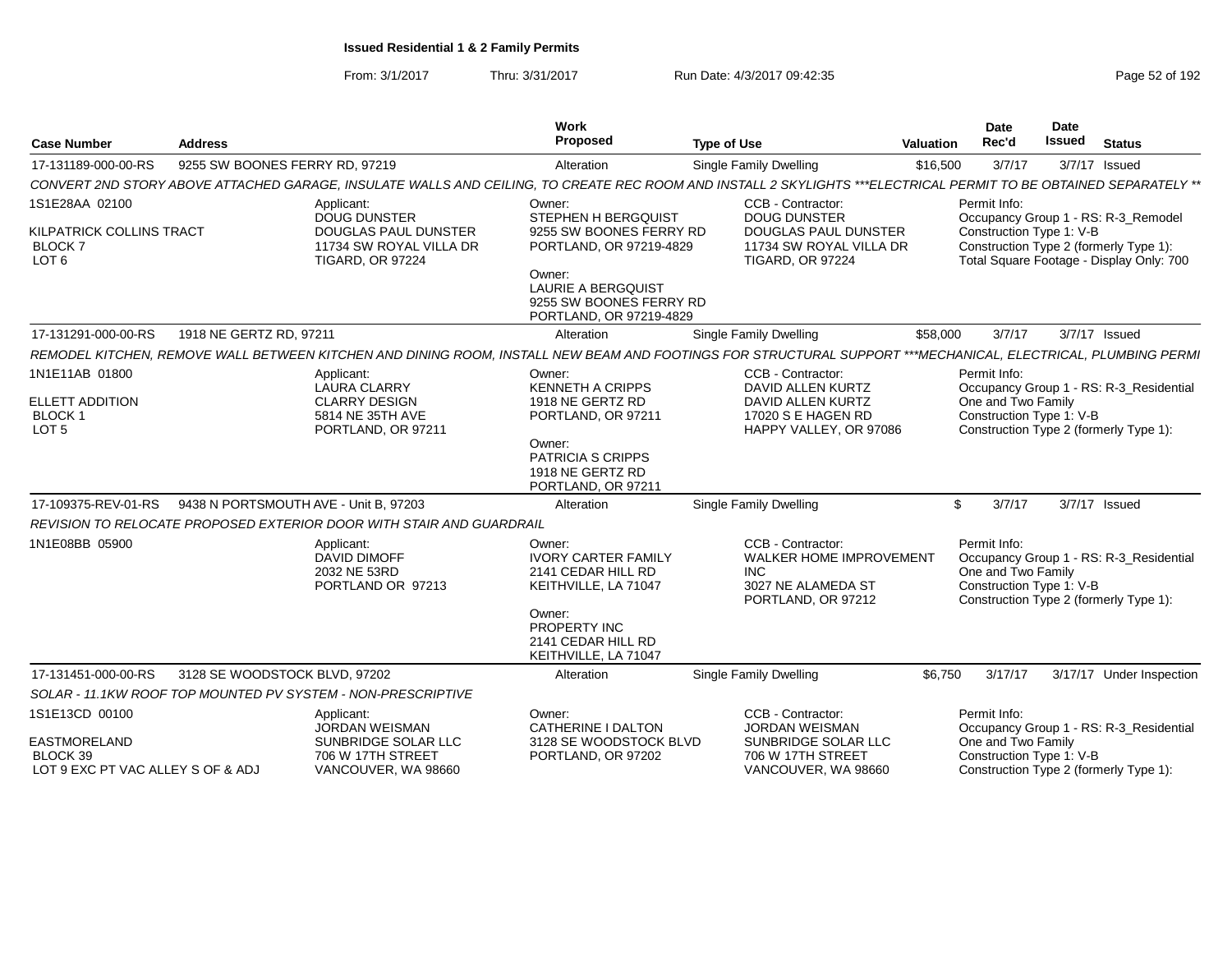From: 3/1/2017Thru: 3/31/2017 Run Date: 4/3/2017 09:42:35 Page 52 of 192

| <b>Case Number</b>                                                              | <b>Address</b>                                               |                                                                                                                        | Work<br><b>Proposed</b>                                                                                                               | <b>Type of Use</b>                                                                                                                                                | <b>Valuation</b> | <b>Date</b><br>Rec'd                                           | Date<br><b>Issued</b> | <b>Status</b>                                                                                                             |
|---------------------------------------------------------------------------------|--------------------------------------------------------------|------------------------------------------------------------------------------------------------------------------------|---------------------------------------------------------------------------------------------------------------------------------------|-------------------------------------------------------------------------------------------------------------------------------------------------------------------|------------------|----------------------------------------------------------------|-----------------------|---------------------------------------------------------------------------------------------------------------------------|
| 17-131189-000-00-RS                                                             | 9255 SW BOONES FERRY RD, 97219                               |                                                                                                                        | Alteration                                                                                                                            | Single Family Dwelling                                                                                                                                            | \$16,500         | 3/7/17                                                         |                       | 3/7/17 Issued                                                                                                             |
|                                                                                 |                                                              |                                                                                                                        |                                                                                                                                       | CONVERT 2ND STORY ABOVE ATTACHED GARAGE, INSULATE WALLS AND CEILING, TO CREATE REC ROOM AND INSTALL 2 SKYLIGHTS ***ELECTRICAL PERMIT TO BE OBTAINED SEPARATELY ** |                  |                                                                |                       |                                                                                                                           |
| 1S1E28AA 02100<br>KILPATRICK COLLINS TRACT<br><b>BLOCK7</b><br>LOT <sub>6</sub> |                                                              | Applicant:<br><b>DOUG DUNSTER</b><br><b>DOUGLAS PAUL DUNSTER</b><br>11734 SW ROYAL VILLA DR<br><b>TIGARD, OR 97224</b> | Owner:<br>STEPHEN H BERGQUIST<br>9255 SW BOONES FERRY RD<br>PORTLAND, OR 97219-4829                                                   | CCB - Contractor:<br><b>DOUG DUNSTER</b><br><b>DOUGLAS PAUL DUNSTER</b><br>11734 SW ROYAL VILLA DR<br><b>TIGARD, OR 97224</b>                                     |                  | Permit Info:<br>Construction Type 1: V-B                       |                       | Occupancy Group 1 - RS: R-3_Remodel<br>Construction Type 2 (formerly Type 1):<br>Total Square Footage - Display Only: 700 |
|                                                                                 |                                                              |                                                                                                                        | Owner:<br><b>LAURIE A BERGQUIST</b><br>9255 SW BOONES FERRY RD<br>PORTLAND, OR 97219-4829                                             |                                                                                                                                                                   |                  |                                                                |                       |                                                                                                                           |
| 17-131291-000-00-RS                                                             | 1918 NE GERTZ RD, 97211                                      |                                                                                                                        | Alteration                                                                                                                            | <b>Single Family Dwelling</b>                                                                                                                                     | \$58,000         | 3/7/17                                                         |                       | 3/7/17 Issued                                                                                                             |
|                                                                                 |                                                              |                                                                                                                        |                                                                                                                                       | REMODEL KITCHEN, REMOVE WALL BETWEEN KITCHEN AND DINING ROOM, INSTALL NEW BEAM AND FOOTINGS FOR STRUCTURAL SUPPORT ***MECHANICAL, ELECTRICAL, PLUMBING PERMI      |                  |                                                                |                       |                                                                                                                           |
| 1N1E11AB 01800<br><b>ELLETT ADDITION</b><br><b>BLOCK1</b><br>LOT <sub>5</sub>   |                                                              | Applicant:<br><b>LAURA CLARRY</b><br><b>CLARRY DESIGN</b><br>5814 NE 35TH AVE<br>PORTLAND, OR 97211                    | Owner:<br><b>KENNETH A CRIPPS</b><br>1918 NE GERTZ RD<br>PORTLAND, OR 97211<br>Owner:<br><b>PATRICIA S CRIPPS</b><br>1918 NE GERTZ RD | CCB - Contractor:<br>DAVID ALLEN KURTZ<br>DAVID ALLEN KURTZ<br>17020 S E HAGEN RD<br>HAPPY VALLEY, OR 97086                                                       |                  | Permit Info:<br>One and Two Family<br>Construction Type 1: V-B |                       | Occupancy Group 1 - RS: R-3_Residential<br>Construction Type 2 (formerly Type 1):                                         |
|                                                                                 |                                                              |                                                                                                                        | PORTLAND, OR 97211                                                                                                                    |                                                                                                                                                                   |                  |                                                                |                       |                                                                                                                           |
| 17-109375-REV-01-RS                                                             | 9438 N PORTSMOUTH AVE - Unit B, 97203                        |                                                                                                                        | Alteration                                                                                                                            | <b>Single Family Dwelling</b>                                                                                                                                     | \$               | 3/7/17                                                         |                       | 3/7/17 Issued                                                                                                             |
|                                                                                 |                                                              | REVISION TO RELOCATE PROPOSED EXTERIOR DOOR WITH STAIR AND GUARDRAIL                                                   |                                                                                                                                       |                                                                                                                                                                   |                  |                                                                |                       |                                                                                                                           |
| 1N1E08BB 05900                                                                  |                                                              | Applicant:<br><b>DAVID DIMOFF</b><br>2032 NE 53RD<br>PORTLAND OR 97213                                                 | Owner:<br><b>IVORY CARTER FAMILY</b><br>2141 CEDAR HILL RD<br>KEITHVILLE, LA 71047                                                    | CCB - Contractor:<br><b>WALKER HOME IMPROVEMENT</b><br><b>INC</b><br>3027 NE ALAMEDA ST<br>PORTLAND, OR 97212                                                     |                  | Permit Info:<br>One and Two Family<br>Construction Type 1: V-B |                       | Occupancy Group 1 - RS: R-3_Residential<br>Construction Type 2 (formerly Type 1):                                         |
|                                                                                 |                                                              |                                                                                                                        | Owner:<br>PROPERTY INC<br>2141 CEDAR HILL RD<br>KEITHVILLE, LA 71047                                                                  |                                                                                                                                                                   |                  |                                                                |                       |                                                                                                                           |
| 17-131451-000-00-RS                                                             | 3128 SE WOODSTOCK BLVD, 97202                                |                                                                                                                        | Alteration                                                                                                                            | <b>Single Family Dwelling</b>                                                                                                                                     | \$6,750          | 3/17/17                                                        |                       | 3/17/17 Under Inspection                                                                                                  |
|                                                                                 | SOLAR - 11.1KW ROOF TOP MOUNTED PV SYSTEM - NON-PRESCRIPTIVE |                                                                                                                        |                                                                                                                                       |                                                                                                                                                                   |                  |                                                                |                       |                                                                                                                           |
| 1S1E13CD 00100                                                                  |                                                              | Applicant:<br><b>JORDAN WEISMAN</b>                                                                                    | Owner:<br>CATHERINE I DALTON                                                                                                          | CCB - Contractor:<br><b>JORDAN WEISMAN</b>                                                                                                                        |                  | Permit Info:                                                   |                       | Occupancy Group 1 - RS: R-3_Residential                                                                                   |
| <b>EASTMORELAND</b><br>BLOCK 39<br>LOT 9 EXC PT VAC ALLEY S OF & ADJ            |                                                              | SUNBRIDGE SOLAR LLC<br>706 W 17TH STREET<br>VANCOUVER, WA 98660                                                        | 3128 SE WOODSTOCK BLVD<br>PORTLAND, OR 97202                                                                                          | SUNBRIDGE SOLAR LLC<br>706 W 17TH STREET<br>VANCOUVER, WA 98660                                                                                                   |                  | One and Two Family<br>Construction Type 1: V-B                 |                       | Construction Type 2 (formerly Type 1):                                                                                    |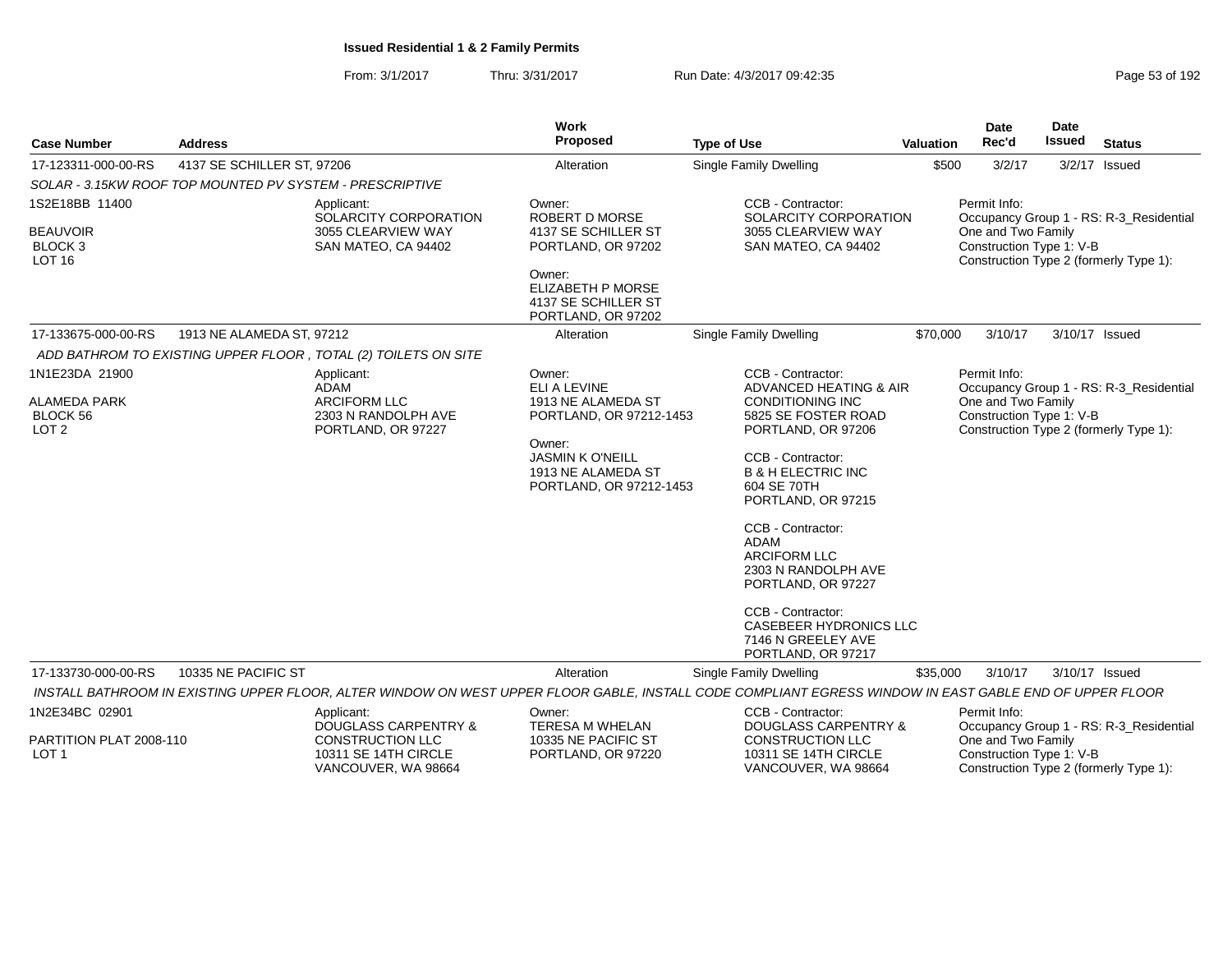From: 3/1/2017Thru: 3/31/2017 **Run Date: 4/3/2017 09:42:35** Page 53 of 192

| <b>Case Number</b>                                                    | <b>Address</b>                                           |                                                                                        | Work<br>Proposed                                                                                                                                              | <b>Type of Use</b>                                                                                                                                                                                                                                                                                                                                                               | <b>Valuation</b> | <b>Date</b><br>Rec'd                                           | Date<br><b>Issued</b> | <b>Status</b>                                                                     |
|-----------------------------------------------------------------------|----------------------------------------------------------|----------------------------------------------------------------------------------------|---------------------------------------------------------------------------------------------------------------------------------------------------------------|----------------------------------------------------------------------------------------------------------------------------------------------------------------------------------------------------------------------------------------------------------------------------------------------------------------------------------------------------------------------------------|------------------|----------------------------------------------------------------|-----------------------|-----------------------------------------------------------------------------------|
| 17-123311-000-00-RS                                                   |                                                          |                                                                                        | Alteration                                                                                                                                                    |                                                                                                                                                                                                                                                                                                                                                                                  | \$500            | 3/2/17                                                         |                       | $3/2/17$ Issued                                                                   |
|                                                                       | 4137 SE SCHILLER ST, 97206                               |                                                                                        |                                                                                                                                                               | Single Family Dwelling                                                                                                                                                                                                                                                                                                                                                           |                  |                                                                |                       |                                                                                   |
| 1S2E18BB 11400                                                        | SOLAR - 3.15KW ROOF TOP MOUNTED PV SYSTEM - PRESCRIPTIVE |                                                                                        |                                                                                                                                                               | CCB - Contractor:                                                                                                                                                                                                                                                                                                                                                                |                  | Permit Info:                                                   |                       |                                                                                   |
| <b>BEAUVOIR</b><br>BLOCK <sub>3</sub><br><b>LOT 16</b>                |                                                          | Applicant:<br>SOLARCITY CORPORATION<br>3055 CLEARVIEW WAY<br>SAN MATEO, CA 94402       | Owner:<br><b>ROBERT D MORSE</b><br>4137 SE SCHILLER ST<br>PORTLAND, OR 97202                                                                                  | SOLARCITY CORPORATION<br>3055 CLEARVIEW WAY<br>SAN MATEO, CA 94402                                                                                                                                                                                                                                                                                                               |                  | One and Two Family<br>Construction Type 1: V-B                 |                       | Occupancy Group 1 - RS: R-3_Residential<br>Construction Type 2 (formerly Type 1): |
|                                                                       |                                                          |                                                                                        | Owner:<br>ELIZABETH P MORSE<br>4137 SE SCHILLER ST<br>PORTLAND, OR 97202                                                                                      |                                                                                                                                                                                                                                                                                                                                                                                  |                  |                                                                |                       |                                                                                   |
| 17-133675-000-00-RS                                                   | 1913 NE ALAMEDA ST, 97212                                |                                                                                        | Alteration                                                                                                                                                    | Single Family Dwelling                                                                                                                                                                                                                                                                                                                                                           | \$70,000         | 3/10/17                                                        |                       | 3/10/17 Issued                                                                    |
|                                                                       |                                                          | ADD BATHROM TO EXISTING UPPER FLOOR, TOTAL (2) TOILETS ON SITE                         |                                                                                                                                                               |                                                                                                                                                                                                                                                                                                                                                                                  |                  |                                                                |                       |                                                                                   |
| 1N1E23DA 21900<br><b>ALAMEDA PARK</b><br>BLOCK 56<br>LOT <sub>2</sub> |                                                          | Applicant:<br>ADAM<br><b>ARCIFORM LLC</b><br>2303 N RANDOLPH AVE<br>PORTLAND, OR 97227 | Owner:<br>ELI A LEVINE<br>1913 NE ALAMEDA ST<br>PORTLAND, OR 97212-1453<br>Owner:<br><b>JASMIN K O'NEILL</b><br>1913 NE ALAMEDA ST<br>PORTLAND, OR 97212-1453 | CCB - Contractor:<br><b>ADVANCED HEATING &amp; AIR</b><br><b>CONDITIONING INC</b><br>5825 SE FOSTER ROAD<br>PORTLAND, OR 97206<br>CCB - Contractor:<br><b>B &amp; H ELECTRIC INC</b><br>604 SE 70TH<br>PORTLAND, OR 97215<br>CCB - Contractor:<br>ADAM<br><b>ARCIFORM LLC</b><br>2303 N RANDOLPH AVE<br>PORTLAND, OR 97227<br>CCB - Contractor:<br><b>CASEBEER HYDRONICS LLC</b> |                  | Permit Info:<br>One and Two Family<br>Construction Type 1: V-B |                       | Occupancy Group 1 - RS: R-3_Residential<br>Construction Type 2 (formerly Type 1): |
|                                                                       |                                                          |                                                                                        |                                                                                                                                                               | 7146 N GREELEY AVE<br>PORTLAND, OR 97217                                                                                                                                                                                                                                                                                                                                         |                  |                                                                |                       |                                                                                   |
| 17-133730-000-00-RS                                                   | 10335 NE PACIFIC ST                                      |                                                                                        | Alteration                                                                                                                                                    | Single Family Dwelling                                                                                                                                                                                                                                                                                                                                                           | \$35,000         | 3/10/17                                                        |                       | 3/10/17 Issued                                                                    |
|                                                                       |                                                          |                                                                                        |                                                                                                                                                               | INSTALL BATHROOM IN EXISTING UPPER FLOOR, ALTER WINDOW ON WEST UPPER FLOOR GABLE, INSTALL CODE COMPLIANT EGRESS WINDOW IN EAST GABLE END OF UPPER FLOOR                                                                                                                                                                                                                          |                  |                                                                |                       |                                                                                   |
| 1N2E34BC 02901                                                        |                                                          | Applicant:<br><b>DOUGLASS CARPENTRY &amp;</b>                                          | Owner:<br><b>TERESA M WHELAN</b>                                                                                                                              | CCB - Contractor:<br><b>DOUGLASS CARPENTRY &amp;</b>                                                                                                                                                                                                                                                                                                                             |                  | Permit Info:                                                   |                       | Occupancy Group 1 - RS: R-3_Residential                                           |
| PARTITION PLAT 2008-110<br>LOT <sub>1</sub>                           |                                                          | <b>CONSTRUCTION LLC</b><br>10311 SE 14TH CIRCLE<br>VANCOUVER, WA 98664                 | 10335 NE PACIFIC ST<br>PORTLAND, OR 97220                                                                                                                     | <b>CONSTRUCTION LLC</b><br>10311 SE 14TH CIRCLE<br>VANCOUVER, WA 98664                                                                                                                                                                                                                                                                                                           |                  | One and Two Family<br>Construction Type 1: V-B                 |                       | Construction Type 2 (formerly Type 1):                                            |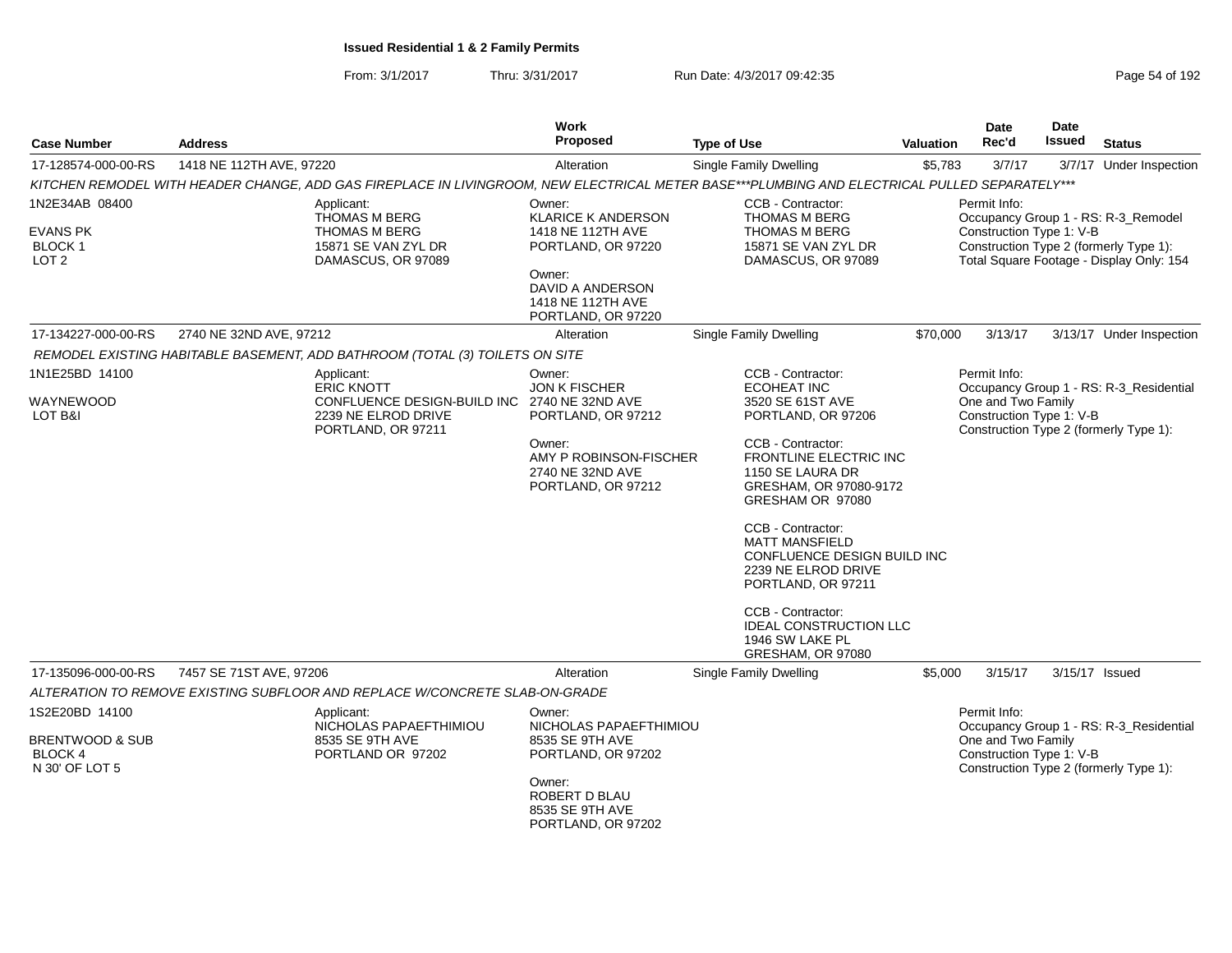From: 3/1/2017Thru: 3/31/2017 Run Date: 4/3/2017 09:42:35 Page 54 of 192

|                             |                          |                                                                                                                                               | Work                                                                  |                                                    |                  | Date                                           | <b>Date</b><br><b>Issued</b> |                                                                                    |
|-----------------------------|--------------------------|-----------------------------------------------------------------------------------------------------------------------------------------------|-----------------------------------------------------------------------|----------------------------------------------------|------------------|------------------------------------------------|------------------------------|------------------------------------------------------------------------------------|
| <b>Case Number</b>          | <b>Address</b>           |                                                                                                                                               | Proposed                                                              | <b>Type of Use</b>                                 | <b>Valuation</b> | Rec'd                                          |                              | <b>Status</b>                                                                      |
| 17-128574-000-00-RS         | 1418 NE 112TH AVE, 97220 |                                                                                                                                               | Alteration                                                            | Single Family Dwelling                             | \$5,783          | 3/7/17                                         |                              | 3/7/17 Under Inspection                                                            |
|                             |                          | KITCHEN REMODEL WITH HEADER CHANGE, ADD GAS FIREPLACE IN LIVINGROOM, NEW ELECTRICAL METER BASE***PLUMBING AND ELECTRICAL PULLED SEPARATELY*** |                                                                       |                                                    |                  |                                                |                              |                                                                                    |
| 1N2E34AB 08400              |                          | Applicant:<br><b>THOMAS M BERG</b>                                                                                                            | Owner:<br><b>KLARICE K ANDERSON</b>                                   | CCB - Contractor:<br><b>THOMAS M BERG</b>          |                  | Permit Info:                                   |                              | Occupancy Group 1 - RS: R-3_Remodel                                                |
| <b>EVANS PK</b>             |                          | <b>THOMAS M BERG</b>                                                                                                                          | 1418 NE 112TH AVE                                                     | THOMAS M BERG                                      |                  | Construction Type 1: V-B                       |                              |                                                                                    |
| BLOCK 1<br>LOT <sub>2</sub> |                          | 15871 SE VAN ZYL DR<br>DAMASCUS, OR 97089                                                                                                     | PORTLAND, OR 97220                                                    | 15871 SE VAN ZYL DR                                |                  |                                                |                              | Construction Type 2 (formerly Type 1):<br>Total Square Footage - Display Only: 154 |
|                             |                          |                                                                                                                                               | Owner:<br>DAVID A ANDERSON<br>1418 NE 112TH AVE<br>PORTLAND, OR 97220 | DAMASCUS, OR 97089                                 |                  |                                                |                              |                                                                                    |
| 17-134227-000-00-RS         | 2740 NE 32ND AVE, 97212  |                                                                                                                                               | Alteration                                                            | Single Family Dwelling                             | \$70,000         | 3/13/17                                        |                              | 3/13/17 Under Inspection                                                           |
|                             |                          | REMODEL EXISTING HABITABLE BASEMENT, ADD BATHROOM (TOTAL (3) TOILETS ON SITE                                                                  |                                                                       |                                                    |                  |                                                |                              |                                                                                    |
| 1N1E25BD 14100              |                          | Applicant:                                                                                                                                    | Owner:                                                                | CCB - Contractor:                                  |                  | Permit Info:                                   |                              |                                                                                    |
|                             |                          | <b>ERIC KNOTT</b>                                                                                                                             | <b>JON K FISCHER</b>                                                  | <b>ECOHEAT INC</b>                                 |                  |                                                |                              | Occupancy Group 1 - RS: R-3 Residential                                            |
| WAYNEWOOD<br>LOT B&I        |                          | CONFLUENCE DESIGN-BUILD INC<br>2239 NE ELROD DRIVE                                                                                            | 2740 NE 32ND AVE<br>PORTLAND, OR 97212                                | 3520 SE 61ST AVE<br>PORTLAND, OR 97206             |                  | One and Two Family<br>Construction Type 1: V-B |                              |                                                                                    |
|                             |                          | PORTLAND, OR 97211                                                                                                                            |                                                                       |                                                    |                  |                                                |                              | Construction Type 2 (formerly Type 1):                                             |
|                             |                          |                                                                                                                                               | Owner:<br>AMY P ROBINSON-FISCHER                                      | CCB - Contractor:<br><b>FRONTLINE ELECTRIC INC</b> |                  |                                                |                              |                                                                                    |
|                             |                          |                                                                                                                                               | 2740 NE 32ND AVE                                                      | 1150 SE LAURA DR                                   |                  |                                                |                              |                                                                                    |
|                             |                          |                                                                                                                                               | PORTLAND, OR 97212                                                    | GRESHAM, OR 97080-9172<br>GRESHAM OR 97080         |                  |                                                |                              |                                                                                    |
|                             |                          |                                                                                                                                               |                                                                       | CCB - Contractor:<br><b>MATT MANSFIELD</b>         |                  |                                                |                              |                                                                                    |
|                             |                          |                                                                                                                                               |                                                                       | CONFLUENCE DESIGN BUILD INC                        |                  |                                                |                              |                                                                                    |
|                             |                          |                                                                                                                                               |                                                                       | 2239 NE ELROD DRIVE                                |                  |                                                |                              |                                                                                    |
|                             |                          |                                                                                                                                               |                                                                       | PORTLAND, OR 97211                                 |                  |                                                |                              |                                                                                    |
|                             |                          |                                                                                                                                               |                                                                       | CCB - Contractor:                                  |                  |                                                |                              |                                                                                    |
|                             |                          |                                                                                                                                               |                                                                       | <b>IDEAL CONSTRUCTION LLC</b><br>1946 SW LAKE PL   |                  |                                                |                              |                                                                                    |
|                             |                          |                                                                                                                                               |                                                                       | GRESHAM, OR 97080                                  |                  |                                                |                              |                                                                                    |
| 17-135096-000-00-RS         | 7457 SE 71ST AVE, 97206  |                                                                                                                                               | Alteration                                                            | <b>Single Family Dwelling</b>                      | \$5,000          | 3/15/17                                        |                              | 3/15/17 Issued                                                                     |
|                             |                          | ALTERATION TO REMOVE EXISTING SUBFLOOR AND REPLACE W/CONCRETE SLAB-ON-GRADE                                                                   |                                                                       |                                                    |                  |                                                |                              |                                                                                    |
| 1S2E20BD 14100              |                          | Applicant:                                                                                                                                    | Owner:<br>NICHOLAS PAPAEFTHIMIOU                                      |                                                    |                  | Permit Info:                                   |                              | Occupancy Group 1 - RS: R-3_Residential                                            |
| <b>BRENTWOOD &amp; SUB</b>  |                          | NICHOLAS PAPAEFTHIMIOU<br>8535 SE 9TH AVE                                                                                                     | 8535 SE 9TH AVE                                                       |                                                    |                  | One and Two Family                             |                              |                                                                                    |
| BLOCK 4                     |                          | PORTLAND OR 97202                                                                                                                             | PORTLAND, OR 97202                                                    |                                                    |                  | Construction Type 1: V-B                       |                              |                                                                                    |
| N 30' OF LOT 5              |                          |                                                                                                                                               | Owner:<br>ROBERT D BLAU<br>8535 SE 9TH AVE<br>PORTLAND, OR 97202      |                                                    |                  |                                                |                              | Construction Type 2 (formerly Type 1):                                             |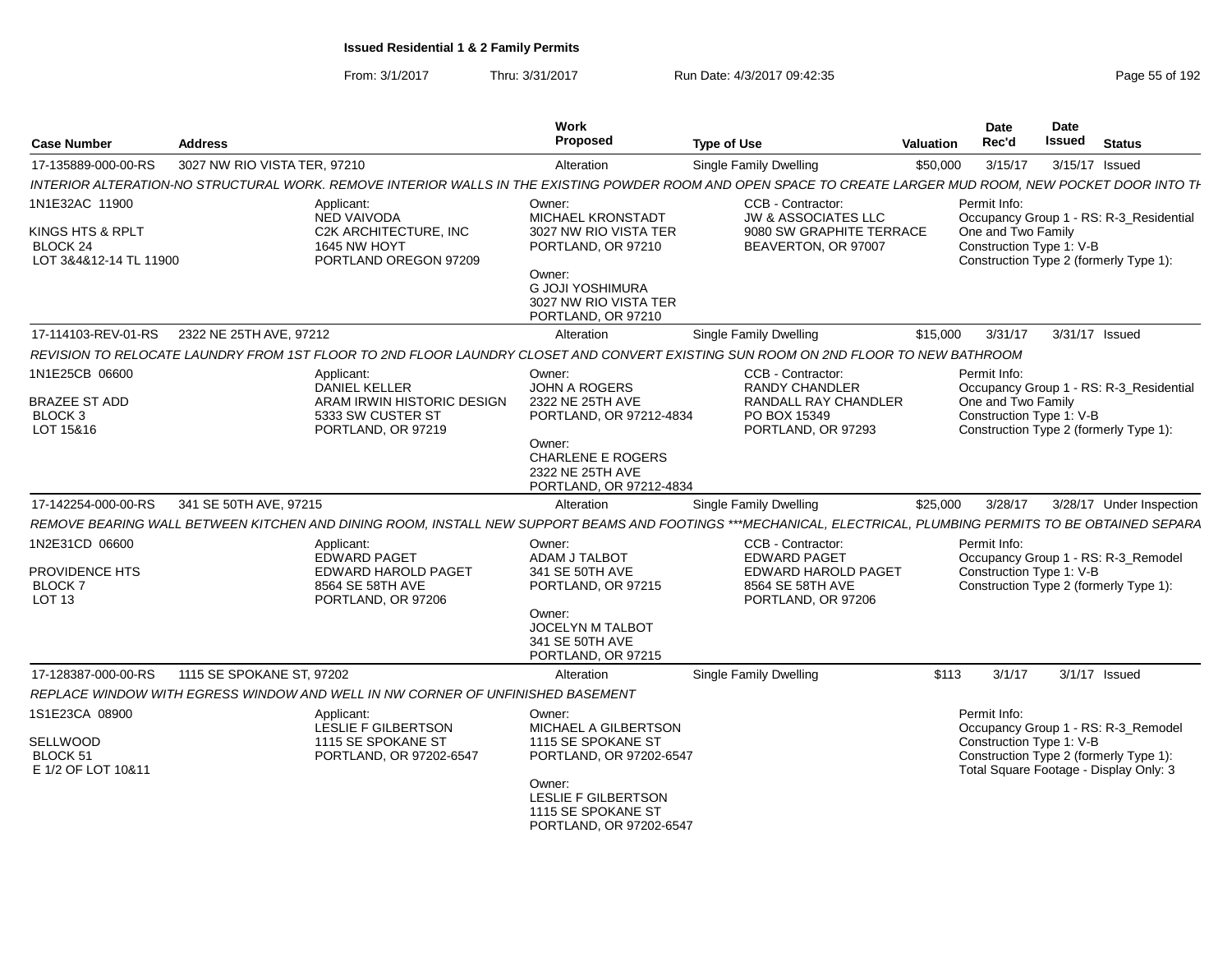| <b>Case Number</b>                                     | <b>Address</b>               |                                                                                                                                                               | Work<br>Proposed                                                                  | <b>Type of Use</b>                                                                | Valuation | <b>Date</b><br>Rec'd                           | Date<br><b>Issued</b> | <b>Status</b>                                                                     |
|--------------------------------------------------------|------------------------------|---------------------------------------------------------------------------------------------------------------------------------------------------------------|-----------------------------------------------------------------------------------|-----------------------------------------------------------------------------------|-----------|------------------------------------------------|-----------------------|-----------------------------------------------------------------------------------|
| 17-135889-000-00-RS                                    | 3027 NW RIO VISTA TER, 97210 |                                                                                                                                                               | Alteration                                                                        | Single Family Dwelling                                                            | \$50,000  | 3/15/17                                        | 3/15/17 Issued        |                                                                                   |
|                                                        |                              | INTERIOR ALTERATION-NO STRUCTURAL WORK. REMOVE INTERIOR WALLS IN THE EXISTING POWDER ROOM AND OPEN SPACE TO CREATE LARGER MUD ROOM, NEW POCKET DOOR INTO TH   |                                                                                   |                                                                                   |           |                                                |                       |                                                                                   |
| 1N1E32AC 11900                                         |                              | Applicant:                                                                                                                                                    | Owner:                                                                            | CCB - Contractor:                                                                 |           | Permit Info:                                   |                       |                                                                                   |
| KINGS HTS & RPLT<br>BLOCK 24<br>LOT 3&4&12-14 TL 11900 |                              | <b>NED VAIVODA</b><br>C2K ARCHITECTURE, INC<br>1645 NW HOYT<br>PORTLAND OREGON 97209                                                                          | <b>MICHAEL KRONSTADT</b><br>3027 NW RIO VISTA TER<br>PORTLAND, OR 97210           | <b>JW &amp; ASSOCIATES LLC</b><br>9080 SW GRAPHITE TERRACE<br>BEAVERTON, OR 97007 |           | One and Two Family<br>Construction Type 1: V-B |                       | Occupancy Group 1 - RS: R-3 Residential<br>Construction Type 2 (formerly Type 1): |
|                                                        |                              |                                                                                                                                                               | Owner:<br><b>G JOJI YOSHIMURA</b><br>3027 NW RIO VISTA TER<br>PORTLAND, OR 97210  |                                                                                   |           |                                                |                       |                                                                                   |
| 17-114103-REV-01-RS                                    | 2322 NE 25TH AVE, 97212      |                                                                                                                                                               | Alteration                                                                        | Single Family Dwelling                                                            | \$15,000  | 3/31/17                                        | 3/31/17 Issued        |                                                                                   |
|                                                        |                              | REVISION TO RELOCATE LAUNDRY FROM 1ST FLOOR TO 2ND FLOOR LAUNDRY CLOSET AND CONVERT EXISTING SUN ROOM ON 2ND FLOOR TO NEW BATHROOM                            |                                                                                   |                                                                                   |           |                                                |                       |                                                                                   |
| 1N1E25CB 06600                                         |                              | Applicant:<br><b>DANIEL KELLER</b>                                                                                                                            | Owner:<br><b>JOHN A ROGERS</b>                                                    | CCB - Contractor:<br><b>RANDY CHANDLER</b>                                        |           | Permit Info:                                   |                       | Occupancy Group 1 - RS: R-3_Residential                                           |
| <b>BRAZEE ST ADD</b><br><b>BLOCK 3</b><br>LOT 15&16    |                              | ARAM IRWIN HISTORIC DESIGN<br>5333 SW CUSTER ST<br>PORTLAND, OR 97219                                                                                         | 2322 NE 25TH AVE<br>PORTLAND, OR 97212-4834                                       | RANDALL RAY CHANDLER<br>PO BOX 15349<br>PORTLAND, OR 97293                        |           | One and Two Family<br>Construction Type 1: V-B |                       | Construction Type 2 (formerly Type 1):                                            |
|                                                        |                              |                                                                                                                                                               | Owner:<br><b>CHARLENE E ROGERS</b><br>2322 NE 25TH AVE<br>PORTLAND, OR 97212-4834 |                                                                                   |           |                                                |                       |                                                                                   |
| 17-142254-000-00-RS                                    | 341 SE 50TH AVE, 97215       |                                                                                                                                                               | Alteration                                                                        | Single Family Dwelling                                                            | \$25,000  | 3/28/17                                        |                       | 3/28/17 Under Inspection                                                          |
|                                                        |                              | REMOVE BEARING WALL BETWEEN KITCHEN AND DINING ROOM, INSTALL NEW SUPPORT BEAMS AND FOOTINGS ***MECHANICAL, ELECTRICAL, PLUMBING PERMITS TO BE OBTAINED SEPARA |                                                                                   |                                                                                   |           |                                                |                       |                                                                                   |
| 1N2E31CD 06600                                         |                              | Applicant:                                                                                                                                                    | Owner:                                                                            | CCB - Contractor:                                                                 |           | Permit Info:                                   |                       |                                                                                   |
| PROVIDENCE HTS                                         |                              | <b>EDWARD PAGET</b><br><b>EDWARD HAROLD PAGET</b>                                                                                                             | ADAM J TALBOT<br>341 SE 50TH AVE                                                  | <b>EDWARD PAGET</b><br><b>EDWARD HAROLD PAGET</b>                                 |           |                                                |                       | Occupancy Group 1 - RS: R-3_Remodel                                               |
| <b>BLOCK 7</b>                                         |                              | 8564 SE 58TH AVE                                                                                                                                              | PORTLAND, OR 97215                                                                | 8564 SE 58TH AVE                                                                  |           | Construction Type 1: V-B                       |                       | Construction Type 2 (formerly Type 1):                                            |
| <b>LOT 13</b>                                          |                              | PORTLAND, OR 97206                                                                                                                                            |                                                                                   | PORTLAND, OR 97206                                                                |           |                                                |                       |                                                                                   |
|                                                        |                              |                                                                                                                                                               | Owner:<br>JOCELYN M TALBOT<br>341 SE 50TH AVE<br>PORTLAND, OR 97215               |                                                                                   |           |                                                |                       |                                                                                   |
| 17-128387-000-00-RS                                    | 1115 SE SPOKANE ST, 97202    |                                                                                                                                                               | Alteration                                                                        | Single Family Dwelling                                                            | \$113     | 3/1/17                                         |                       | $3/1/17$ Issued                                                                   |
|                                                        |                              | REPLACE WINDOW WITH EGRESS WINDOW AND WELL IN NW CORNER OF UNFINISHED BASEMENT                                                                                |                                                                                   |                                                                                   |           |                                                |                       |                                                                                   |
| 1S1E23CA 08900                                         |                              | Applicant:                                                                                                                                                    | Owner:                                                                            |                                                                                   |           | Permit Info:                                   |                       |                                                                                   |
| SELLWOOD                                               |                              | LESLIE F GILBERTSON<br>1115 SE SPOKANE ST                                                                                                                     | MICHAEL A GILBERTSON<br>1115 SE SPOKANE ST                                        |                                                                                   |           | Construction Type 1: V-B                       |                       | Occupancy Group 1 - RS: R-3_Remodel                                               |
| BLOCK 51<br>E 1/2 OF LOT 10&11                         |                              | PORTLAND, OR 97202-6547                                                                                                                                       | PORTLAND, OR 97202-6547                                                           |                                                                                   |           |                                                |                       | Construction Type 2 (formerly Type 1):<br>Total Square Footage - Display Only: 3  |
|                                                        |                              |                                                                                                                                                               | Owner:<br><b>LESLIE F GILBERTSON</b>                                              |                                                                                   |           |                                                |                       |                                                                                   |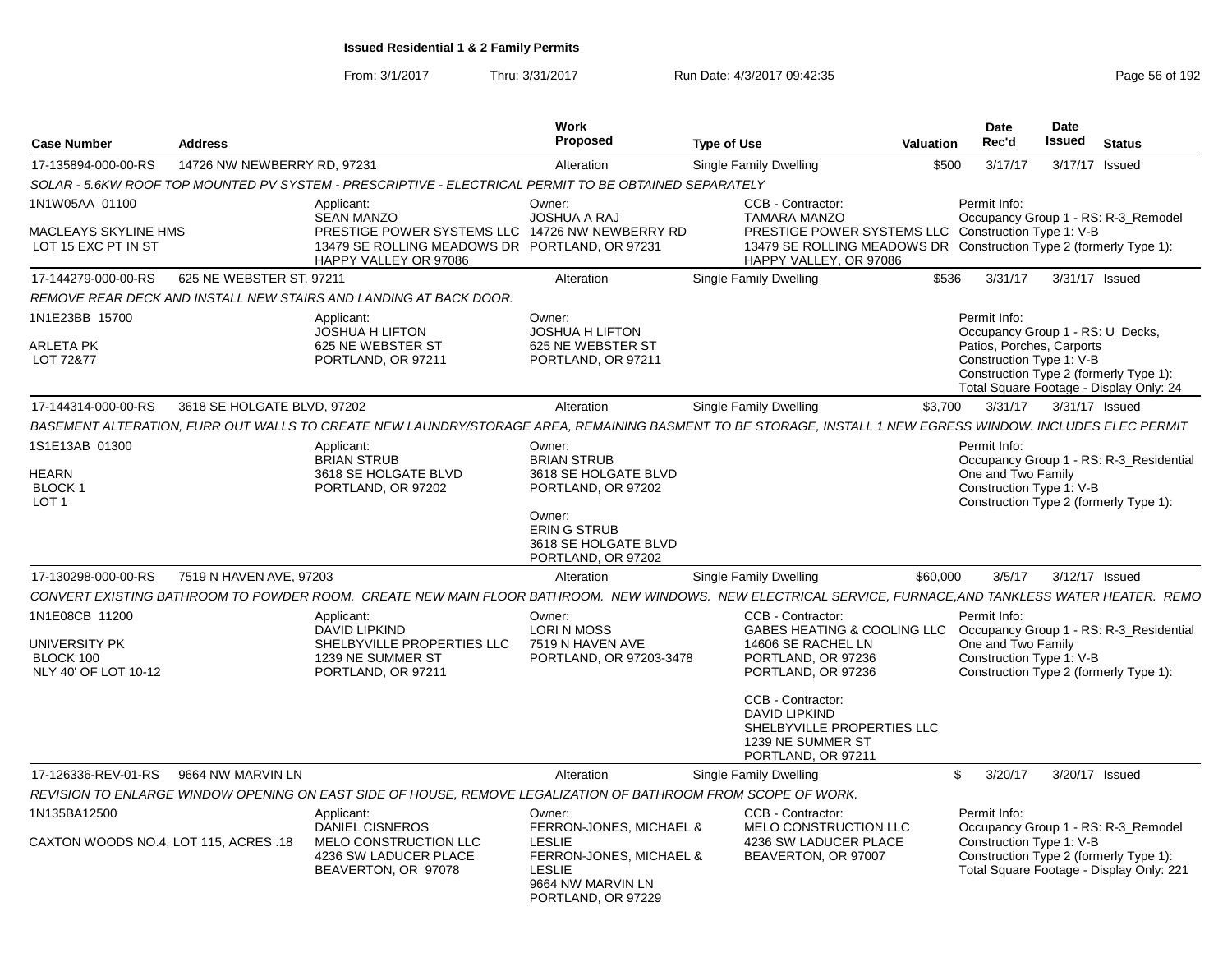| <b>Case Number</b>                                                   | <b>Address</b>              |                                                                                                                                                               | Work<br><b>Proposed</b>                                                                                                         | <b>Type of Use</b>                                                                                                                                                                              | <b>Valuation</b> | Date<br>Rec'd                                                                                             | Date<br><b>Issued</b> | <b>Status</b>                                                                     |
|----------------------------------------------------------------------|-----------------------------|---------------------------------------------------------------------------------------------------------------------------------------------------------------|---------------------------------------------------------------------------------------------------------------------------------|-------------------------------------------------------------------------------------------------------------------------------------------------------------------------------------------------|------------------|-----------------------------------------------------------------------------------------------------------|-----------------------|-----------------------------------------------------------------------------------|
| 17-135894-000-00-RS                                                  | 14726 NW NEWBERRY RD, 97231 |                                                                                                                                                               | Alteration                                                                                                                      | Single Family Dwelling                                                                                                                                                                          | \$500            | 3/17/17                                                                                                   | 3/17/17 Issued        |                                                                                   |
|                                                                      |                             | SOLAR - 5.6KW ROOF TOP MOUNTED PV SYSTEM - PRESCRIPTIVE - ELECTRICAL PERMIT TO BE OBTAINED SEPARATELY                                                         |                                                                                                                                 |                                                                                                                                                                                                 |                  |                                                                                                           |                       |                                                                                   |
| 1N1W05AA 01100<br>MACLEAYS SKYLINE HMS<br>LOT 15 EXC PT IN ST        |                             | Applicant:<br><b>SEAN MANZO</b><br>PRESTIGE POWER SYSTEMS LLC 14726 NW NEWBERRY RD<br>13479 SE ROLLING MEADOWS DR PORTLAND, OR 97231<br>HAPPY VALLEY OR 97086 | Owner:<br>JOSHUA A RAJ                                                                                                          | CCB - Contractor:<br><b>TAMARA MANZO</b><br>PRESTIGE POWER SYSTEMS LLC Construction Type 1: V-B<br>13479 SE ROLLING MEADOWS DR Construction Type 2 (formerly Type 1):<br>HAPPY VALLEY, OR 97086 |                  | Permit Info:                                                                                              |                       | Occupancy Group 1 - RS: R-3 Remodel                                               |
| 17-144279-000-00-RS                                                  | 625 NE WEBSTER ST. 97211    |                                                                                                                                                               | Alteration                                                                                                                      | <b>Single Family Dwelling</b>                                                                                                                                                                   | \$536            | 3/31/17                                                                                                   | 3/31/17 Issued        |                                                                                   |
|                                                                      |                             | REMOVE REAR DECK AND INSTALL NEW STAIRS AND LANDING AT BACK DOOR.                                                                                             |                                                                                                                                 |                                                                                                                                                                                                 |                  |                                                                                                           |                       |                                                                                   |
| 1N1E23BB 15700<br><b>ARLETA PK</b><br>LOT 72&77                      |                             | Applicant:<br><b>JOSHUA H LIFTON</b><br>625 NE WEBSTER ST<br>PORTLAND, OR 97211                                                                               | Owner:<br><b>JOSHUA H LIFTON</b><br>625 NE WEBSTER ST<br>PORTLAND, OR 97211                                                     |                                                                                                                                                                                                 |                  | Permit Info:<br>Occupancy Group 1 - RS: U_Decks,<br>Patios, Porches, Carports<br>Construction Type 1: V-B |                       | Construction Type 2 (formerly Type 1):<br>Total Square Footage - Display Only: 24 |
| 17-144314-000-00-RS                                                  | 3618 SE HOLGATE BLVD, 97202 |                                                                                                                                                               | Alteration                                                                                                                      | Single Family Dwelling                                                                                                                                                                          | \$3,700          | 3/31/17                                                                                                   | 3/31/17 Issued        |                                                                                   |
|                                                                      |                             | BASEMENT ALTERATION, FURR OUT WALLS TO CREATE NEW LAUNDRY/STORAGE AREA, REMAINING BASMENT TO BE STORAGE, INSTALL 1 NEW EGRESS WINDOW. INCLUDES ELEC PERMIT    |                                                                                                                                 |                                                                                                                                                                                                 |                  |                                                                                                           |                       |                                                                                   |
| 1S1E13AB 01300<br>HEARN<br>BLOCK 1<br>LOT <sub>1</sub>               |                             | Applicant:<br><b>BRIAN STRUB</b><br>3618 SE HOLGATE BLVD<br>PORTLAND, OR 97202                                                                                | Owner:<br><b>BRIAN STRUB</b><br>3618 SE HOLGATE BLVD<br>PORTLAND, OR 97202                                                      |                                                                                                                                                                                                 |                  | Permit Info:<br>One and Two Family<br>Construction Type 1: V-B<br>Construction Type 2 (formerly Type 1):  |                       | Occupancy Group 1 - RS: R-3_Residential                                           |
|                                                                      |                             |                                                                                                                                                               | Owner:<br><b>ERING STRUB</b><br>3618 SE HOLGATE BLVD<br>PORTLAND, OR 97202                                                      |                                                                                                                                                                                                 |                  |                                                                                                           |                       |                                                                                   |
| 17-130298-000-00-RS                                                  | 7519 N HAVEN AVE, 97203     |                                                                                                                                                               | Alteration                                                                                                                      | Single Family Dwelling                                                                                                                                                                          | \$60,000         | 3/5/17                                                                                                    | 3/12/17 Issued        |                                                                                   |
|                                                                      |                             | CONVERT EXISTING BATHROOM TO POWDER ROOM. CREATE NEW MAIN FLOOR BATHROOM. NEW WINDOWS. NEW ELECTRICAL SERVICE, FURNACE,AND TANKLESS WATER HEATER. REMO        |                                                                                                                                 |                                                                                                                                                                                                 |                  |                                                                                                           |                       |                                                                                   |
| 1N1E08CB 11200<br>UNIVERSITY PK<br>BLOCK 100<br>NLY 40' OF LOT 10-12 |                             | Applicant:<br><b>DAVID LIPKIND</b><br>SHELBYVILLE PROPERTIES LLC<br>1239 NE SUMMER ST<br>PORTLAND, OR 97211                                                   | Owner:<br><b>LORINMOSS</b><br>7519 N HAVEN AVE<br>PORTLAND, OR 97203-3478                                                       | CCB - Contractor:<br>GABES HEATING & COOLING LLC<br>14606 SE RACHEL LN<br>PORTLAND, OR 97236<br>PORTLAND, OR 97236                                                                              |                  | Permit Info:<br>One and Two Family<br>Construction Type 1: V-B<br>Construction Type 2 (formerly Type 1):  |                       | Occupancy Group 1 - RS: R-3 Residential                                           |
|                                                                      |                             |                                                                                                                                                               |                                                                                                                                 | CCB - Contractor:<br><b>DAVID LIPKIND</b><br>SHELBYVILLE PROPERTIES LLC<br>1239 NE SUMMER ST<br>PORTLAND, OR 97211                                                                              |                  |                                                                                                           |                       |                                                                                   |
| 17-126336-REV-01-RS                                                  | 9664 NW MARVIN LN           |                                                                                                                                                               | Alteration                                                                                                                      | Single Family Dwelling                                                                                                                                                                          |                  | \$<br>3/20/17                                                                                             | 3/20/17 Issued        |                                                                                   |
|                                                                      |                             | REVISION TO ENLARGE WINDOW OPENING ON EAST SIDE OF HOUSE, REMOVE LEGALIZATION OF BATHROOM FROM SCOPE OF WORK.                                                 |                                                                                                                                 |                                                                                                                                                                                                 |                  |                                                                                                           |                       |                                                                                   |
| 1N135BA12500                                                         |                             | Applicant:                                                                                                                                                    | Owner:                                                                                                                          | CCB - Contractor:                                                                                                                                                                               |                  | Permit Info:                                                                                              |                       |                                                                                   |
| CAXTON WOODS NO.4, LOT 115, ACRES .18                                |                             | <b>DANIEL CISNEROS</b><br>MELO CONSTRUCTION LLC<br>4236 SW LADUCER PLACE<br>BEAVERTON, OR 97078                                                               | FERRON-JONES, MICHAEL &<br><b>LESLIE</b><br>FERRON-JONES, MICHAEL &<br><b>LESLIE</b><br>9664 NW MARVIN LN<br>PORTLAND, OR 97229 | MELO CONSTRUCTION LLC<br>4236 SW LADUCER PLACE<br>BEAVERTON, OR 97007                                                                                                                           |                  | Construction Type 1: V-B<br>Construction Type 2 (formerly Type 1):                                        |                       | Occupancy Group 1 - RS: R-3_Remodel<br>Total Square Footage - Display Only: 221   |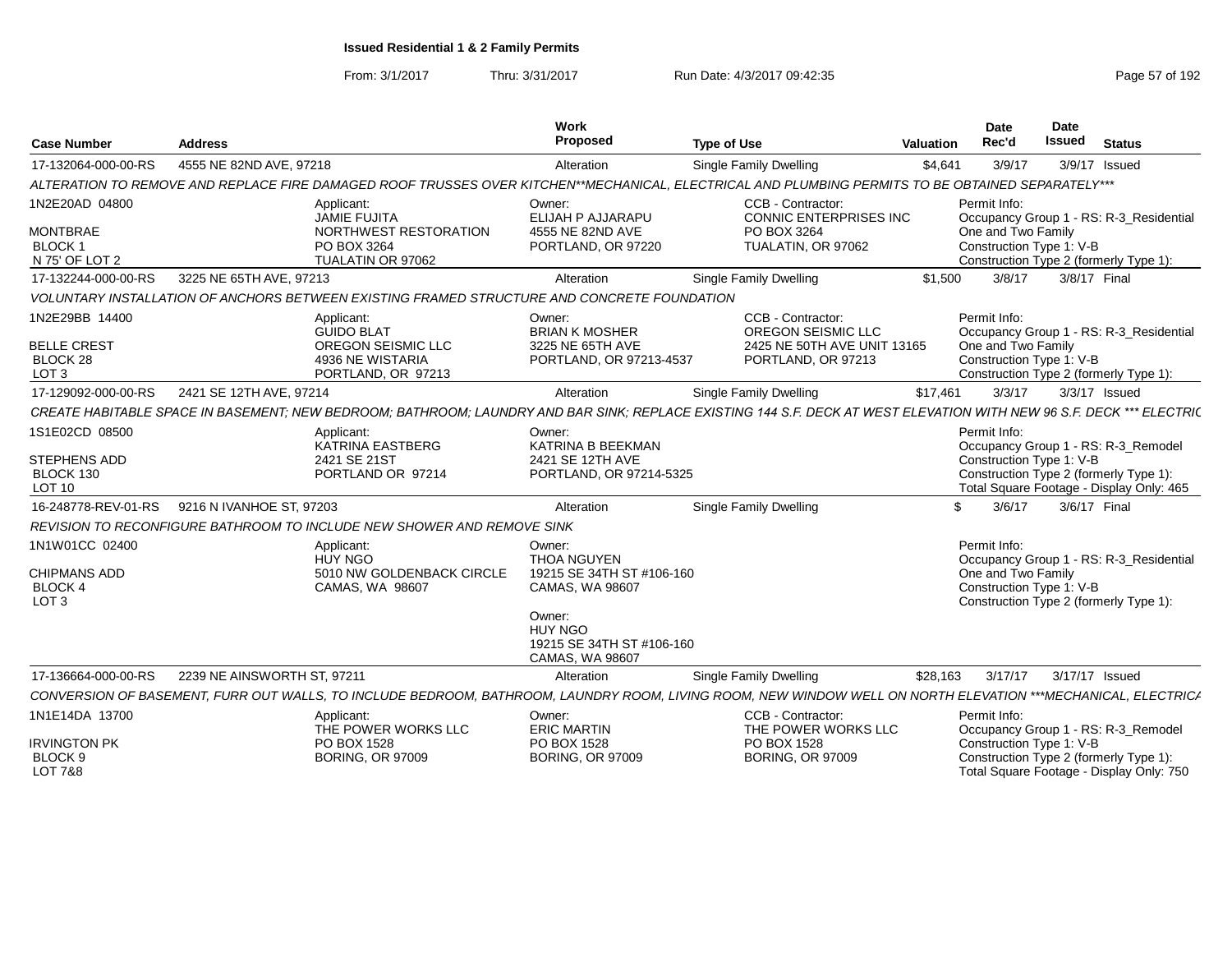From: 3/1/2017Thru: 3/31/2017 Run Date: 4/3/2017 09:42:35 Page 57 of 192

| <b>Case Number</b>                                                   | <b>Address</b>                                                                                                                                                       | Work<br>Proposed                                                                       | <b>Type of Use</b>                                                                           | Valuation | Date<br>Rec'd                                                  | Date<br><b>Issued</b> | <b>Status</b>                                                                                                             |
|----------------------------------------------------------------------|----------------------------------------------------------------------------------------------------------------------------------------------------------------------|----------------------------------------------------------------------------------------|----------------------------------------------------------------------------------------------|-----------|----------------------------------------------------------------|-----------------------|---------------------------------------------------------------------------------------------------------------------------|
| 17-132064-000-00-RS                                                  | 4555 NE 82ND AVE, 97218                                                                                                                                              | Alteration                                                                             | <b>Single Family Dwelling</b>                                                                | \$4,641   | 3/9/17                                                         |                       | 3/9/17 Issued                                                                                                             |
|                                                                      | ALTERATION TO REMOVE AND REPLACE FIRE DAMAGED ROOF TRUSSES OVER KITCHEN**MECHANICAL. ELECTRICAL AND PLUMBING PERMITS TO BE OBTAINED SEPARATELY***                    |                                                                                        |                                                                                              |           |                                                                |                       |                                                                                                                           |
| 1N2E20AD 04800                                                       | Applicant:<br>JAMIE FUJITA                                                                                                                                           | Owner:<br>ELIJAH P AJJARAPU                                                            | CCB - Contractor:<br><b>CONNIC ENTERPRISES INC</b>                                           |           | Permit Info:                                                   |                       | Occupancy Group 1 - RS: R-3 Residential                                                                                   |
| <b>MONTBRAE</b><br><b>BLOCK1</b><br>N 75' OF LOT 2                   | NORTHWEST RESTORATION<br>PO BOX 3264<br>TUALATIN OR 97062                                                                                                            | 4555 NE 82ND AVE<br>PORTLAND, OR 97220                                                 | PO BOX 3264<br>TUALATIN, OR 97062                                                            |           | One and Two Family<br>Construction Type 1: V-B                 |                       | Construction Type 2 (formerly Type 1):                                                                                    |
| 17-132244-000-00-RS                                                  | 3225 NE 65TH AVE, 97213                                                                                                                                              | Alteration                                                                             | Single Family Dwelling                                                                       | \$1,500   | 3/8/17                                                         |                       | 3/8/17 Final                                                                                                              |
|                                                                      | VOLUNTARY INSTALLATION OF ANCHORS BETWEEN EXISTING FRAMED STRUCTURE AND CONCRETE FOUNDATION                                                                          |                                                                                        |                                                                                              |           |                                                                |                       |                                                                                                                           |
| 1N2E29BB 14400<br><b>BELLE CREST</b><br>BLOCK 28<br>LOT <sub>3</sub> | Applicant:<br><b>GUIDO BLAT</b><br>OREGON SEISMIC LLC<br>4936 NE WISTARIA<br>PORTLAND, OR 97213                                                                      | Owner:<br><b>BRIAN K MOSHER</b><br>3225 NE 65TH AVE<br>PORTLAND, OR 97213-4537         | CCB - Contractor:<br>OREGON SEISMIC LLC<br>2425 NE 50TH AVE UNIT 13165<br>PORTLAND, OR 97213 |           | Permit Info:<br>One and Two Family<br>Construction Type 1: V-B |                       | Occupancy Group 1 - RS: R-3_Residential<br>Construction Type 2 (formerly Type 1):                                         |
| 17-129092-000-00-RS                                                  | 2421 SE 12TH AVE, 97214                                                                                                                                              | Alteration                                                                             | Single Family Dwelling                                                                       | \$17,461  | 3/3/17                                                         |                       | 3/3/17 Issued                                                                                                             |
|                                                                      | CREATE HABITABLE SPACE IN BASEMENT: NEW BEDROOM: BATHROOM: LAUNDRY AND BAR SINK: REPLACE EXISTING 144 S.F. DECK AT WEST ELEVATION WITH NEW 96 S.F. DECK *** ELECTRIC |                                                                                        |                                                                                              |           |                                                                |                       |                                                                                                                           |
| 1S1E02CD 08500<br><b>STEPHENS ADD</b><br>BLOCK 130<br>LOT 10         | Applicant:<br>KATRINA EASTBERG<br>2421 SE 21ST<br>PORTLAND OR 97214                                                                                                  | Owner:<br>KATRINA B BEEKMAN<br>2421 SE 12TH AVE<br>PORTLAND, OR 97214-5325             |                                                                                              |           | Permit Info:<br>Construction Type 1: V-B                       |                       | Occupancy Group 1 - RS: R-3_Remodel<br>Construction Type 2 (formerly Type 1):<br>Total Square Footage - Display Only: 465 |
| 16-248778-REV-01-RS                                                  | 9216 N IVANHOE ST, 97203                                                                                                                                             | Alteration                                                                             | Single Family Dwelling                                                                       |           | \$<br>3/6/17                                                   |                       | 3/6/17 Final                                                                                                              |
|                                                                      | REVISION TO RECONFIGURE BATHROOM TO INCLUDE NEW SHOWER AND REMOVE SINK                                                                                               |                                                                                        |                                                                                              |           |                                                                |                       |                                                                                                                           |
| 1N1W01CC 02400<br><b>CHIPMANS ADD</b><br>BLOCK 4<br>LOT <sub>3</sub> | Applicant:<br><b>HUY NGO</b><br>5010 NW GOLDENBACK CIRCLE<br>CAMAS, WA 98607                                                                                         | Owner:<br><b>THOA NGUYEN</b><br>19215 SE 34TH ST #106-160<br>CAMAS, WA 98607<br>Owner: |                                                                                              |           | Permit Info:<br>One and Two Family<br>Construction Type 1: V-B |                       | Occupancy Group 1 - RS: R-3 Residential<br>Construction Type 2 (formerly Type 1):                                         |
|                                                                      |                                                                                                                                                                      | <b>HUY NGO</b><br>19215 SE 34TH ST #106-160<br>CAMAS, WA 98607                         |                                                                                              |           |                                                                |                       |                                                                                                                           |
| 17-136664-000-00-RS                                                  | 2239 NE AINSWORTH ST, 97211                                                                                                                                          | Alteration                                                                             | Single Family Dwelling                                                                       | \$28,163  | 3/17/17                                                        |                       | 3/17/17 Issued                                                                                                            |
|                                                                      | CONVERSION OF BASEMENT, FURR OUT WALLS, TO INCLUDE BEDROOM, BATHROOM, LAUNDRY ROOM, LIVING ROOM, NEW WINDOW WELL ON NORTH ELEVATION ***MECHANICAL, ELECTRICA         |                                                                                        |                                                                                              |           |                                                                |                       |                                                                                                                           |
| 1N1E14DA 13700                                                       | Applicant:<br>THE POWER WORKS LLC                                                                                                                                    | Owner:<br><b>ERIC MARTIN</b>                                                           | CCB - Contractor:<br>THE POWER WORKS LLC                                                     |           | Permit Info:                                                   |                       | Occupancy Group 1 - RS: R-3_Remodel                                                                                       |
| <b>IRVINGTON PK</b><br>BLOCK <sub>9</sub><br><b>LOT 7&amp;8</b>      | PO BOX 1528<br><b>BORING, OR 97009</b>                                                                                                                               | PO BOX 1528<br><b>BORING, OR 97009</b>                                                 | PO BOX 1528<br><b>BORING, OR 97009</b>                                                       |           | Construction Type 1: V-B                                       |                       | Construction Type 2 (formerly Type 1):<br>Total Square Footage - Display Only: 750                                        |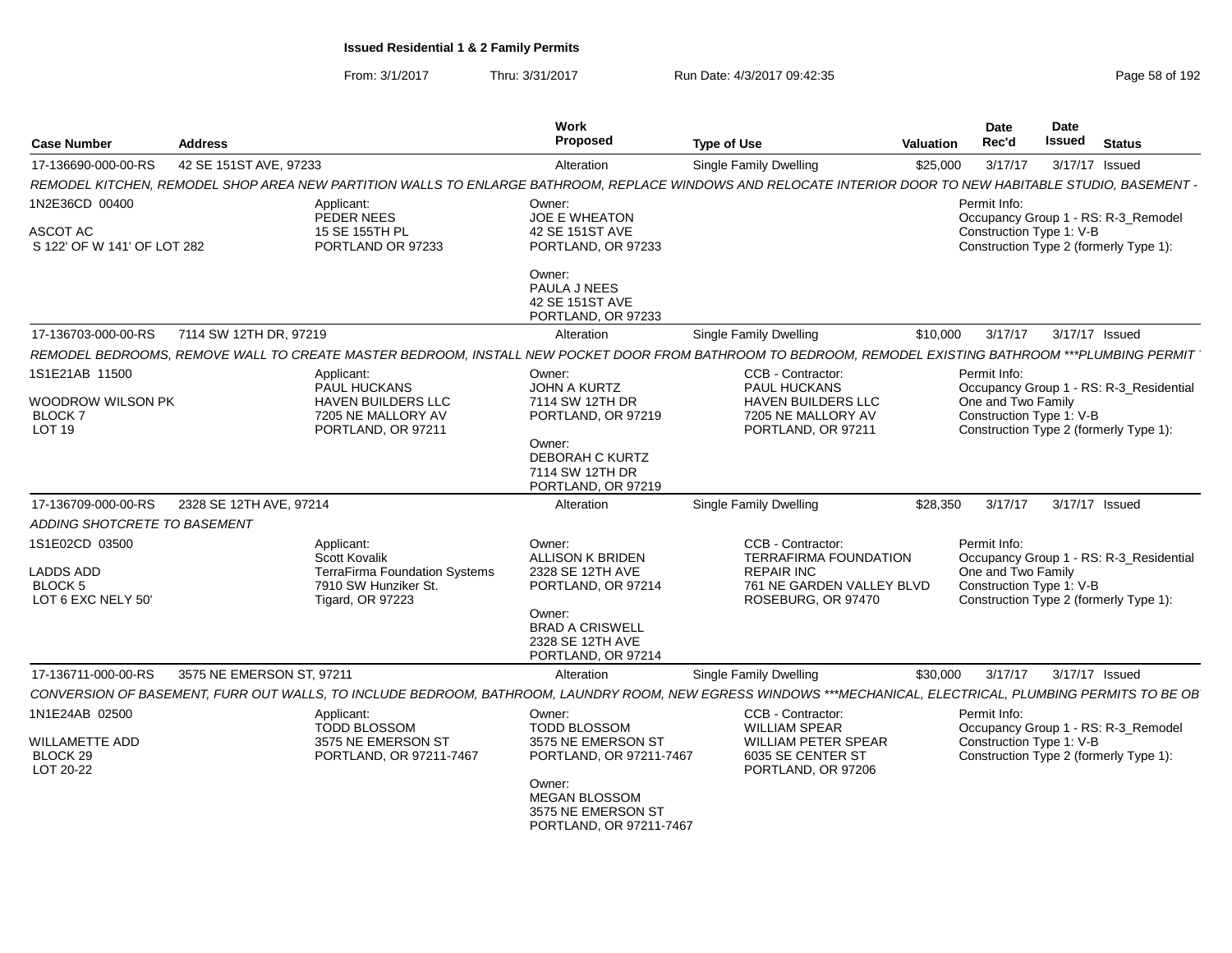| <b>Case Number</b>                                  | <b>Address</b>            |                                                                                                                                                             | Work<br>Proposed                                                                | <b>Type of Use</b>                                                    | Valuation | Date<br>Rec'd                                                                            | <b>Date</b><br><b>Issued</b> | <b>Status</b> |  |
|-----------------------------------------------------|---------------------------|-------------------------------------------------------------------------------------------------------------------------------------------------------------|---------------------------------------------------------------------------------|-----------------------------------------------------------------------|-----------|------------------------------------------------------------------------------------------|------------------------------|---------------|--|
| 17-136690-000-00-RS                                 | 42 SE 151ST AVE, 97233    |                                                                                                                                                             | Alteration                                                                      | Single Family Dwelling                                                | \$25,000  | 3/17/17                                                                                  | 3/17/17 Issued               |               |  |
|                                                     |                           | REMODEL KITCHEN, REMODEL SHOP AREA NEW PARTITION WALLS TO ENLARGE BATHROOM, REPLACE WINDOWS AND RELOCATE INTERIOR DOOR TO NEW HABITABLE STUDIO, BASEMENT -  |                                                                                 |                                                                       |           |                                                                                          |                              |               |  |
| 1N2E36CD 00400                                      |                           | Applicant:<br>PEDER NEES                                                                                                                                    | Owner:<br>JOE E WHEATON                                                         |                                                                       |           | Permit Info:<br>Occupancy Group 1 - RS: R-3_Remodel                                      |                              |               |  |
| ASCOT AC<br>S 122' OF W 141' OF LOT 282             |                           | 15 SE 155TH PL<br>PORTLAND OR 97233                                                                                                                         | 42 SE 151ST AVE<br>PORTLAND, OR 97233                                           |                                                                       |           | Construction Type 1: V-B<br>Construction Type 2 (formerly Type 1):                       |                              |               |  |
|                                                     |                           |                                                                                                                                                             | Owner:<br>PAULA J NEES<br>42 SE 151ST AVE<br>PORTLAND, OR 97233                 |                                                                       |           |                                                                                          |                              |               |  |
| 17-136703-000-00-RS                                 | 7114 SW 12TH DR, 97219    |                                                                                                                                                             | Alteration                                                                      | <b>Single Family Dwelling</b>                                         | \$10,000  | 3/17/17                                                                                  | 3/17/17 Issued               |               |  |
|                                                     |                           | REMODEL BEDROOMS, REMOVE WALL TO CREATE MASTER BEDROOM, INSTALL NEW POCKET DOOR FROM BATHROOM TO BEDROOM, REMODEL EXISTING BATHROOM ***PLUMBING PERMIT      |                                                                                 |                                                                       |           |                                                                                          |                              |               |  |
| 1S1E21AB 11500                                      |                           | Applicant:<br>PAUL HUCKANS                                                                                                                                  | Owner:<br><b>JOHN A KURTZ</b>                                                   | CCB - Contractor:<br>PAUL HUCKANS                                     |           | Permit Info:<br>Occupancy Group 1 - RS: R-3_Residential                                  |                              |               |  |
| WOODROW WILSON PK<br><b>BLOCK7</b><br><b>LOT 19</b> |                           | HAVEN BUILDERS LLC<br>7205 NE MALLORY AV<br>PORTLAND, OR 97211                                                                                              | 7114 SW 12TH DR<br>PORTLAND, OR 97219                                           | HAVEN BUILDERS LLC<br>7205 NE MALLORY AV<br>PORTLAND, OR 97211        |           | One and Two Family<br>Construction Type 1: V-B<br>Construction Type 2 (formerly Type 1): |                              |               |  |
|                                                     |                           |                                                                                                                                                             | Owner:<br>DEBORAH C KURTZ<br>7114 SW 12TH DR<br>PORTLAND, OR 97219              |                                                                       |           |                                                                                          |                              |               |  |
| 17-136709-000-00-RS                                 | 2328 SE 12TH AVE, 97214   |                                                                                                                                                             | Alteration                                                                      | <b>Single Family Dwelling</b>                                         | \$28,350  | 3/17/17                                                                                  | 3/17/17 Issued               |               |  |
| ADDING SHOTCRETE TO BASEMENT                        |                           |                                                                                                                                                             |                                                                                 |                                                                       |           |                                                                                          |                              |               |  |
| 1S1E02CD 03500                                      |                           | Applicant:                                                                                                                                                  | Owner:                                                                          | CCB - Contractor:                                                     |           | Permit Info:                                                                             |                              |               |  |
| LADDS ADD                                           |                           | <b>Scott Kovalik</b><br><b>TerraFirma Foundation Systems</b>                                                                                                | <b>ALLISON K BRIDEN</b><br>2328 SE 12TH AVE                                     | TERRAFIRMA FOUNDATION<br><b>REPAIR INC</b>                            |           | Occupancy Group 1 - RS: R-3_Residential<br>One and Two Family                            |                              |               |  |
| <b>BLOCK 5</b><br>LOT 6 EXC NELY 50'                |                           | 7910 SW Hunziker St.<br><b>Tigard, OR 97223</b>                                                                                                             | PORTLAND, OR 97214                                                              | 761 NE GARDEN VALLEY BLVD<br>ROSEBURG, OR 97470                       |           | Construction Type 1: V-B<br>Construction Type 2 (formerly Type 1):                       |                              |               |  |
|                                                     |                           |                                                                                                                                                             | Owner:<br><b>BRAD A CRISWELL</b><br>2328 SE 12TH AVE<br>PORTLAND, OR 97214      |                                                                       |           |                                                                                          |                              |               |  |
| 17-136711-000-00-RS                                 | 3575 NE EMERSON ST, 97211 |                                                                                                                                                             | Alteration                                                                      | Single Family Dwelling                                                | \$30.000  | 3/17/17                                                                                  | 3/17/17 Issued               |               |  |
|                                                     |                           | CONVERSION OF BASEMENT, FURR OUT WALLS, TO INCLUDE BEDROOM, BATHROOM, LAUNDRY ROOM, NEW EGRESS WINDOWS ***MECHANICAL, ELECTRICAL, PLUMBING PERMITS TO BE OB |                                                                                 |                                                                       |           |                                                                                          |                              |               |  |
| 1N1E24AB 02500                                      |                           | Applicant:<br><b>TODD BLOSSOM</b>                                                                                                                           | Owner:<br><b>TODD BLOSSOM</b>                                                   | CCB - Contractor:<br><b>WILLIAM SPEAR</b>                             |           | Permit Info:<br>Occupancy Group 1 - RS: R-3_Remodel                                      |                              |               |  |
| WILLAMETTE ADD<br>BLOCK 29<br>LOT 20-22             |                           | 3575 NE EMERSON ST<br>PORTLAND, OR 97211-7467                                                                                                               | 3575 NE EMERSON ST<br>PORTLAND, OR 97211-7467                                   | <b>WILLIAM PETER SPEAR</b><br>6035 SE CENTER ST<br>PORTLAND, OR 97206 |           | Construction Type 1: V-B<br>Construction Type 2 (formerly Type 1):                       |                              |               |  |
|                                                     |                           |                                                                                                                                                             | Owner:<br><b>MEGAN BLOSSOM</b><br>3575 NE EMERSON ST<br>PORTLAND, OR 97211-7467 |                                                                       |           |                                                                                          |                              |               |  |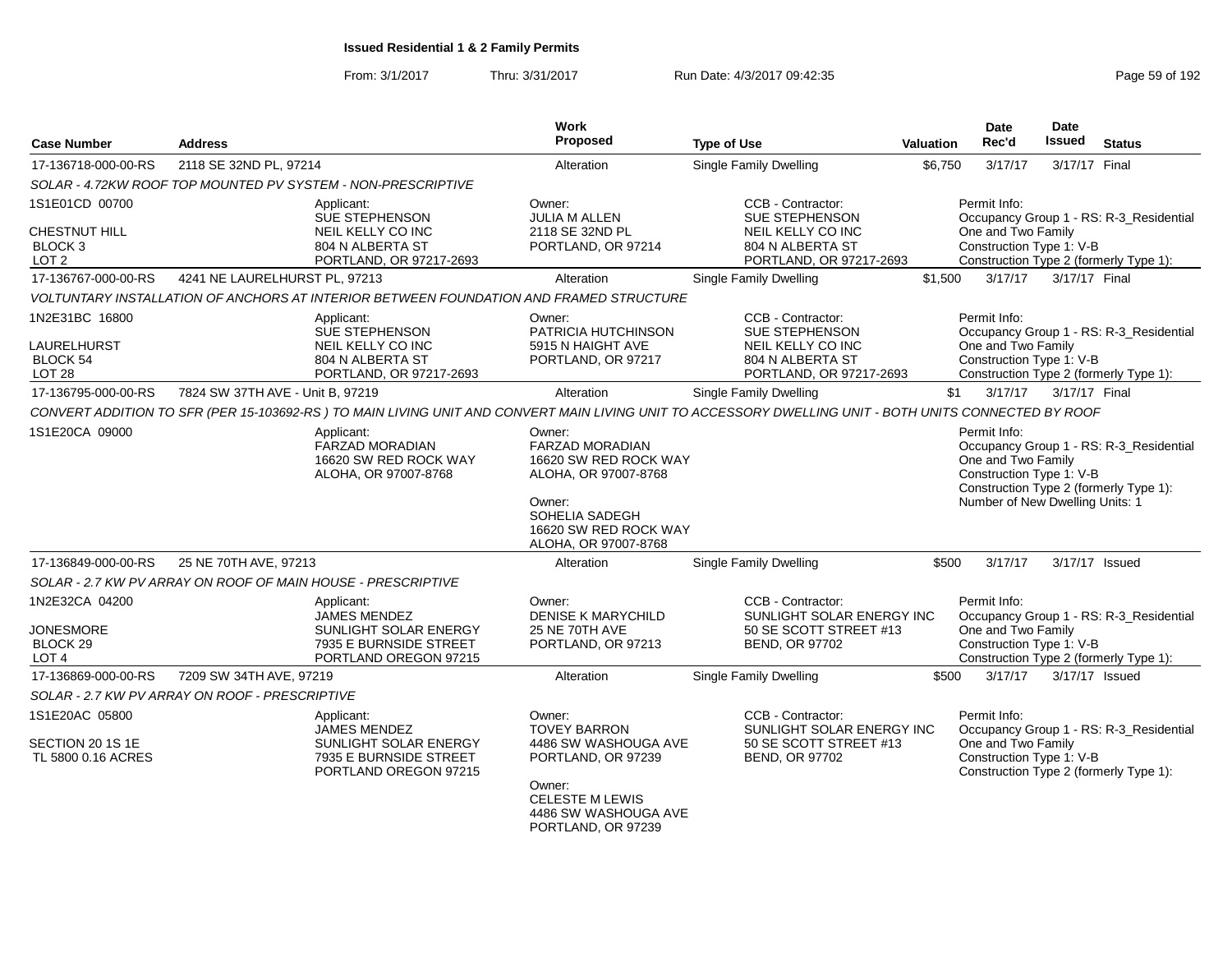| <b>Case Number</b>                                                            | <b>Address</b>                                                                         |                                                                                                 | Work<br>Proposed                                                                                                                                               | <b>Type of Use</b>                                                                                                                                    | <b>Valuation</b> | <b>Date</b><br>Rec'd                                                                              | <b>Date</b><br><b>Issued</b> | <b>Status</b>                                                                     |
|-------------------------------------------------------------------------------|----------------------------------------------------------------------------------------|-------------------------------------------------------------------------------------------------|----------------------------------------------------------------------------------------------------------------------------------------------------------------|-------------------------------------------------------------------------------------------------------------------------------------------------------|------------------|---------------------------------------------------------------------------------------------------|------------------------------|-----------------------------------------------------------------------------------|
| 17-136718-000-00-RS                                                           | 2118 SE 32ND PL, 97214                                                                 |                                                                                                 | Alteration                                                                                                                                                     | <b>Single Family Dwelling</b>                                                                                                                         | \$6,750          | 3/17/17                                                                                           | 3/17/17 Final                |                                                                                   |
|                                                                               |                                                                                        |                                                                                                 |                                                                                                                                                                |                                                                                                                                                       |                  |                                                                                                   |                              |                                                                                   |
| 1S1E01CD 00700                                                                | SOLAR - 4.72KW ROOF TOP MOUNTED PV SYSTEM - NON-PRESCRIPTIVE<br>Applicant:             |                                                                                                 | Owner:                                                                                                                                                         | CCB - Contractor:                                                                                                                                     |                  | Permit Info:                                                                                      |                              |                                                                                   |
| <b>CHESTNUT HILL</b><br>BLOCK 3<br>LOT <sub>2</sub>                           |                                                                                        | <b>SUE STEPHENSON</b><br>NEIL KELLY CO INC<br>804 N ALBERTA ST<br>PORTLAND, OR 97217-2693       | <b>JULIA M ALLEN</b><br>2118 SE 32ND PL<br>PORTLAND, OR 97214                                                                                                  | <b>SUE STEPHENSON</b><br>NEIL KELLY CO INC<br>804 N ALBERTA ST<br>PORTLAND, OR 97217-2693                                                             |                  | One and Two Family<br>Construction Type 1: V-B                                                    |                              | Occupancy Group 1 - RS: R-3 Residential<br>Construction Type 2 (formerly Type 1): |
| 17-136767-000-00-RS                                                           | 4241 NE LAURELHURST PL, 97213                                                          |                                                                                                 | Alteration                                                                                                                                                     | <b>Single Family Dwelling</b>                                                                                                                         | \$1,500          | 3/17/17                                                                                           | 3/17/17 Final                |                                                                                   |
|                                                                               | VOLTUNTARY INSTALLATION OF ANCHORS AT INTERIOR BETWEEN FOUNDATION AND FRAMED STRUCTURE |                                                                                                 |                                                                                                                                                                |                                                                                                                                                       |                  |                                                                                                   |                              |                                                                                   |
| 1N2E31BC 16800<br><b>LAURELHURST</b><br>BLOCK 54<br><b>LOT 28</b>             | Applicant:                                                                             | SUE STEPHENSON<br><b>NEIL KELLY CO INC</b><br>804 N ALBERTA ST<br>PORTLAND, OR 97217-2693       | Owner:<br>PATRICIA HUTCHINSON<br>5915 N HAIGHT AVE<br>PORTLAND, OR 97217                                                                                       | CCB - Contractor:<br><b>SUE STEPHENSON</b><br>NEIL KELLY CO INC<br>804 N ALBERTA ST<br>PORTLAND, OR 97217-2693                                        |                  | Permit Info:<br>One and Two Family<br>Construction Type 1: V-B                                    |                              | Occupancy Group 1 - RS: R-3_Residential<br>Construction Type 2 (formerly Type 1): |
| 17-136795-000-00-RS                                                           | 7824 SW 37TH AVE - Unit B, 97219                                                       |                                                                                                 | Alteration                                                                                                                                                     | <b>Single Family Dwelling</b>                                                                                                                         | \$1              | 3/17/17                                                                                           | 3/17/17 Final                |                                                                                   |
|                                                                               |                                                                                        |                                                                                                 |                                                                                                                                                                | CONVERT ADDITION TO SFR (PER 15-103692-RS) TO MAIN LIVING UNIT AND CONVERT MAIN LIVING UNIT TO ACCESSORY DWELLING UNIT - BOTH UNITS CONNECTED BY ROOF |                  |                                                                                                   |                              |                                                                                   |
| 1S1E20CA 09000                                                                | Applicant:                                                                             | <b>FARZAD MORADIAN</b><br>16620 SW RED ROCK WAY<br>ALOHA, OR 97007-8768                         | Owner:<br><b>FARZAD MORADIAN</b><br>16620 SW RED ROCK WAY<br>ALOHA, OR 97007-8768<br>Owner:<br>SOHELIA SADEGH<br>16620 SW RED ROCK WAY<br>ALOHA, OR 97007-8768 |                                                                                                                                                       |                  | Permit Info:<br>One and Two Family<br>Construction Type 1: V-B<br>Number of New Dwelling Units: 1 |                              | Occupancy Group 1 - RS: R-3 Residential<br>Construction Type 2 (formerly Type 1): |
| 17-136849-000-00-RS                                                           | 25 NE 70TH AVE, 97213                                                                  |                                                                                                 | Alteration                                                                                                                                                     | <b>Single Family Dwelling</b>                                                                                                                         | \$500            | 3/17/17                                                                                           | 3/17/17 Issued               |                                                                                   |
|                                                                               | SOLAR - 2.7 KW PV ARRAY ON ROOF OF MAIN HOUSE - PRESCRIPTIVE                           |                                                                                                 |                                                                                                                                                                |                                                                                                                                                       |                  |                                                                                                   |                              |                                                                                   |
| 1N2E32CA 04200<br><b>JONESMORE</b><br>BLOCK <sub>29</sub><br>LOT <sub>4</sub> | Applicant:                                                                             | <b>JAMES MENDEZ</b><br>SUNLIGHT SOLAR ENERGY<br>7935 E BURNSIDE STREET<br>PORTLAND OREGON 97215 | Owner:<br><b>DENISE K MARYCHILD</b><br>25 NE 70TH AVE<br>PORTLAND, OR 97213                                                                                    | CCB - Contractor:<br>SUNLIGHT SOLAR ENERGY INC<br>50 SE SCOTT STREET #13<br><b>BEND, OR 97702</b>                                                     |                  | Permit Info:<br>One and Two Family<br>Construction Type 1: V-B                                    |                              | Occupancy Group 1 - RS: R-3_Residential<br>Construction Type 2 (formerly Type 1): |
| 17-136869-000-00-RS                                                           | 7209 SW 34TH AVE, 97219                                                                |                                                                                                 | Alteration                                                                                                                                                     | <b>Single Family Dwelling</b>                                                                                                                         | \$500            | 3/17/17                                                                                           | 3/17/17 Issued               |                                                                                   |
|                                                                               | SOLAR - 2.7 KW PV ARRAY ON ROOF - PRESCRIPTIVE                                         |                                                                                                 |                                                                                                                                                                |                                                                                                                                                       |                  |                                                                                                   |                              |                                                                                   |
| 1S1E20AC 05800<br>SECTION 20 1S 1E<br>TL 5800 0.16 ACRES                      | Applicant:                                                                             | <b>JAMES MENDEZ</b><br>SUNLIGHT SOLAR ENERGY<br>7935 E BURNSIDE STREET<br>PORTLAND OREGON 97215 | Owner:<br><b>TOVEY BARRON</b><br>4486 SW WASHOUGA AVE<br>PORTLAND, OR 97239<br>Owner:<br><b>CELESTE M LEWIS</b><br>4486 SW WASHOUGA AVE<br>PORTLAND, OR 97239  | CCB - Contractor:<br>SUNLIGHT SOLAR ENERGY INC<br>50 SE SCOTT STREET #13<br><b>BEND, OR 97702</b>                                                     |                  | Permit Info:<br>One and Two Family<br>Construction Type 1: V-B                                    |                              | Occupancy Group 1 - RS: R-3_Residential<br>Construction Type 2 (formerly Type 1): |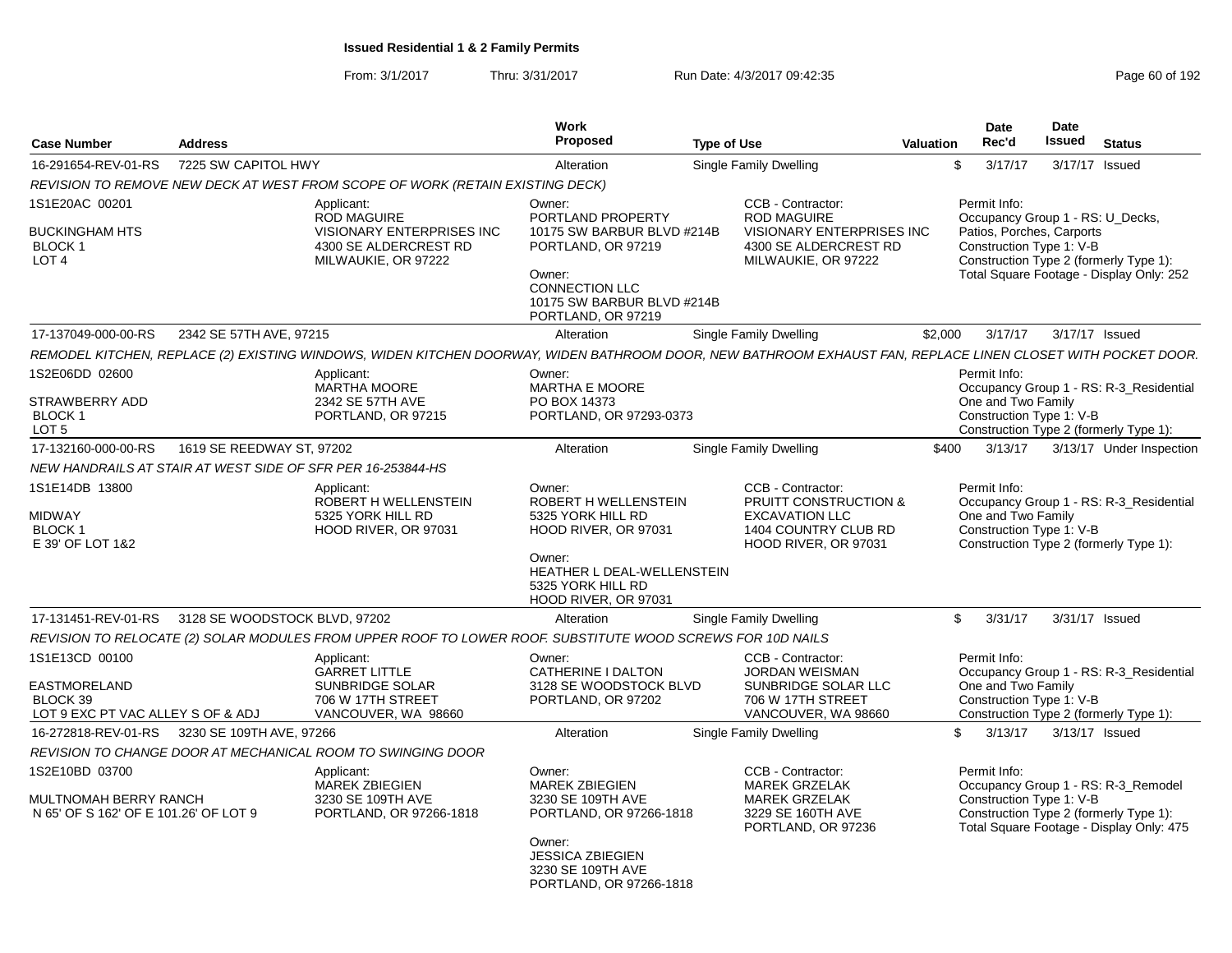| <b>Case Number</b>                                                               | <b>Address</b>                |                                                                                                                                                             | Work<br><b>Proposed</b>                                                                                   | <b>Type of Use</b>                                                                                                             | Valuation | <b>Date</b><br>Rec'd                                                                                     | <b>Date</b><br>Issued | <b>Status</b>                                                                   |
|----------------------------------------------------------------------------------|-------------------------------|-------------------------------------------------------------------------------------------------------------------------------------------------------------|-----------------------------------------------------------------------------------------------------------|--------------------------------------------------------------------------------------------------------------------------------|-----------|----------------------------------------------------------------------------------------------------------|-----------------------|---------------------------------------------------------------------------------|
| 16-291654-REV-01-RS                                                              | 7225 SW CAPITOL HWY           |                                                                                                                                                             | Alteration                                                                                                | Single Family Dwelling                                                                                                         |           | 3/17/17<br>$\mathcal{F}$                                                                                 | 3/17/17 Issued        |                                                                                 |
|                                                                                  |                               | REVISION TO REMOVE NEW DECK AT WEST FROM SCOPE OF WORK (RETAIN EXISTING DECK)                                                                               |                                                                                                           |                                                                                                                                |           |                                                                                                          |                       |                                                                                 |
| 1S1E20AC 00201<br><b>BUCKINGHAM HTS</b>                                          |                               | Applicant:<br>ROD MAGUIRE<br><b>VISIONARY ENTERPRISES INC</b>                                                                                               | Owner:<br>PORTLAND PROPERTY<br>10175 SW BARBUR BLVD #214B                                                 | CCB - Contractor:<br><b>ROD MAGUIRE</b><br><b>VISIONARY ENTERPRISES INC</b>                                                    |           | Permit Info:<br>Occupancy Group 1 - RS: U_Decks,<br>Patios, Porches, Carports                            |                       |                                                                                 |
| <b>BLOCK1</b><br>LOT <sub>4</sub>                                                |                               | 4300 SE ALDERCREST RD<br>MILWAUKIE, OR 97222                                                                                                                | PORTLAND, OR 97219<br>Owner:<br><b>CONNECTION LLC</b><br>10175 SW BARBUR BLVD #214B<br>PORTLAND, OR 97219 | 4300 SE ALDERCREST RD<br>MILWAUKIE, OR 97222                                                                                   |           | Construction Type 1: V-B<br>Construction Type 2 (formerly Type 1):                                       |                       | Total Square Footage - Display Only: 252                                        |
| 17-137049-000-00-RS                                                              | 2342 SE 57TH AVE, 97215       |                                                                                                                                                             | Alteration                                                                                                | Single Family Dwelling                                                                                                         | \$2,000   | 3/17/17                                                                                                  | 3/17/17 Issued        |                                                                                 |
|                                                                                  |                               | REMODEL KITCHEN, REPLACE (2) EXISTING WINDOWS, WIDEN KITCHEN DOORWAY, WIDEN BATHROOM DOOR, NEW BATHROOM EXHAUST FAN, REPLACE LINEN CLOSET WITH POCKET DOOR. |                                                                                                           |                                                                                                                                |           |                                                                                                          |                       |                                                                                 |
| 1S2E06DD 02600                                                                   |                               | Applicant:<br><b>MARTHA MOORE</b>                                                                                                                           | Owner:<br>MARTHA E MOORE                                                                                  |                                                                                                                                |           | Permit Info:                                                                                             |                       | Occupancy Group 1 - RS: R-3_Residential                                         |
| STRAWBERRY ADD<br>BLOCK 1<br>LOT <sub>5</sub>                                    |                               | 2342 SE 57TH AVE<br>PORTLAND, OR 97215                                                                                                                      | PO BOX 14373<br>PORTLAND, OR 97293-0373                                                                   |                                                                                                                                |           | One and Two Family<br>Construction Type 1: V-B<br>Construction Type 2 (formerly Type 1):                 |                       |                                                                                 |
| 17-132160-000-00-RS                                                              | 1619 SE REEDWAY ST, 97202     |                                                                                                                                                             | Alteration                                                                                                | Single Family Dwelling                                                                                                         | \$400     | 3/13/17                                                                                                  |                       | 3/13/17 Under Inspection                                                        |
|                                                                                  |                               | NEW HANDRAILS AT STAIR AT WEST SIDE OF SFR PER 16-253844-HS                                                                                                 |                                                                                                           |                                                                                                                                |           |                                                                                                          |                       |                                                                                 |
| 1S1E14DB 13800<br><b>MIDWAY</b><br><b>BLOCK1</b><br>E 39' OF LOT 1&2             |                               | Applicant:<br>ROBERT H WELLENSTEIN<br>5325 YORK HILL RD<br>HOOD RIVER, OR 97031                                                                             | Owner:<br>ROBERT H WELLENSTEIN<br>5325 YORK HILL RD<br>HOOD RIVER, OR 97031<br>Owner:                     | CCB - Contractor:<br><b>PRUITT CONSTRUCTION &amp;</b><br><b>EXCAVATION LLC</b><br>1404 COUNTRY CLUB RD<br>HOOD RIVER, OR 97031 |           | Permit Info:<br>One and Two Family<br>Construction Type 1: V-B<br>Construction Type 2 (formerly Type 1): |                       | Occupancy Group 1 - RS: R-3_Residential                                         |
|                                                                                  |                               |                                                                                                                                                             | HEATHER L DEAL-WELLENSTEIN<br>5325 YORK HILL RD<br>HOOD RIVER, OR 97031                                   |                                                                                                                                |           |                                                                                                          |                       |                                                                                 |
| 17-131451-REV-01-RS                                                              | 3128 SE WOODSTOCK BLVD. 97202 |                                                                                                                                                             | Alteration                                                                                                | Single Family Dwelling                                                                                                         |           | 3/31/17<br>$\mathcal{L}$                                                                                 | 3/31/17 Issued        |                                                                                 |
|                                                                                  |                               | REVISION TO RELOCATE (2) SOLAR MODULES FROM UPPER ROOF TO LOWER ROOF. SUBSTITUTE WOOD SCREWS FOR 10D NAILS                                                  |                                                                                                           |                                                                                                                                |           |                                                                                                          |                       |                                                                                 |
| 1S1E13CD 00100<br><b>EASTMORELAND</b>                                            |                               | Applicant:<br><b>GARRET LITTLE</b><br><b>SUNBRIDGE SOLAR</b>                                                                                                | Owner:<br>CATHERINE I DALTON<br>3128 SE WOODSTOCK BLVD                                                    | CCB - Contractor:<br><b>JORDAN WEISMAN</b><br>SUNBRIDGE SOLAR LLC                                                              |           | Permit Info:<br>One and Two Family                                                                       |                       | Occupancy Group 1 - RS: R-3 Residential                                         |
| BLOCK 39<br>LOT 9 EXC PT VAC ALLEY S OF & ADJ                                    |                               | 706 W 17TH STREET<br>VANCOUVER, WA 98660                                                                                                                    | PORTLAND, OR 97202                                                                                        | 706 W 17TH STREET<br>VANCOUVER, WA 98660                                                                                       |           | Construction Type 1: V-B                                                                                 |                       | Construction Type 2 (formerly Type 1):                                          |
| 16-272818-REV-01-RS                                                              | 3230 SE 109TH AVE, 97266      |                                                                                                                                                             | Alteration                                                                                                | Single Family Dwelling                                                                                                         |           | 3/13/17<br>$\mathcal{L}$                                                                                 | 3/13/17 Issued        |                                                                                 |
|                                                                                  |                               | REVISION TO CHANGE DOOR AT MECHANICAL ROOM TO SWINGING DOOR                                                                                                 |                                                                                                           |                                                                                                                                |           |                                                                                                          |                       |                                                                                 |
| 1S2E10BD 03700<br>MULTNOMAH BERRY RANCH<br>N 65' OF S 162' OF E 101.26' OF LOT 9 |                               | Applicant:<br><b>MAREK ZBIEGIEN</b><br>3230 SE 109TH AVE<br>PORTLAND, OR 97266-1818                                                                         | Owner:<br><b>MAREK ZBIEGIEN</b><br>3230 SE 109TH AVE<br>PORTLAND, OR 97266-1818                           | CCB - Contractor:<br><b>MAREK GRZELAK</b><br><b>MAREK GRZELAK</b><br>3229 SE 160TH AVE<br>PORTLAND, OR 97236                   |           | Permit Info:<br>Construction Type 1: V-B<br>Construction Type 2 (formerly Type 1):                       |                       | Occupancy Group 1 - RS: R-3_Remodel<br>Total Square Footage - Display Only: 475 |
|                                                                                  |                               |                                                                                                                                                             | Owner:<br><b>JESSICA ZBIEGIEN</b><br>3230 SE 109TH AVE<br>PORTLAND, OR 97266-1818                         |                                                                                                                                |           |                                                                                                          |                       |                                                                                 |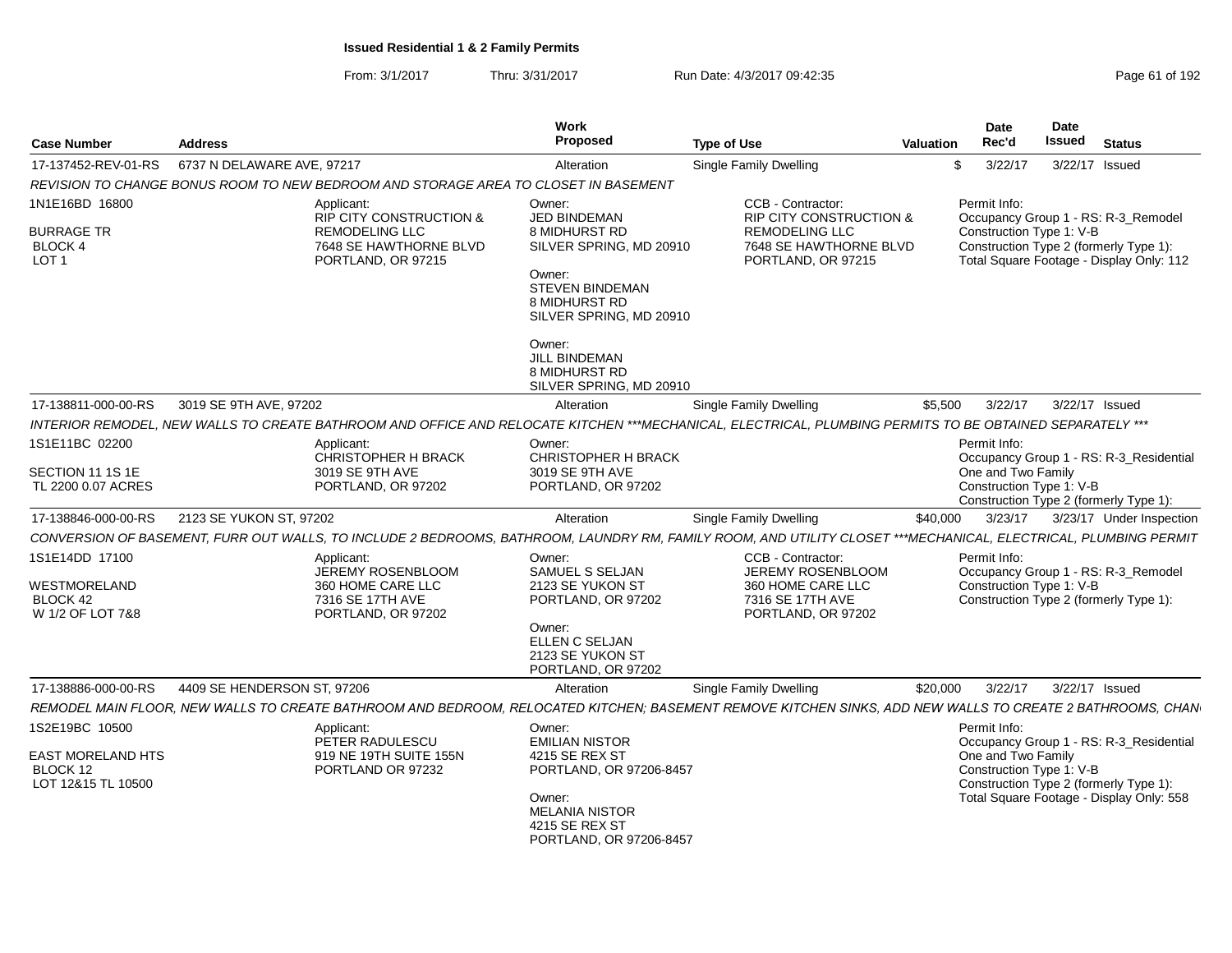| <b>Case Number</b>                                      | <b>Address</b>              |                                                                                                  | Work<br>Proposed                                                             | <b>Type of Use</b>                                                                                                                                              | Date<br>Rec'd<br>Valuation                     | Date<br><b>Issued</b><br>Status                                                                                           |
|---------------------------------------------------------|-----------------------------|--------------------------------------------------------------------------------------------------|------------------------------------------------------------------------------|-----------------------------------------------------------------------------------------------------------------------------------------------------------------|------------------------------------------------|---------------------------------------------------------------------------------------------------------------------------|
| 17-137452-REV-01-RS    6737 N DELAWARE AVE, 97217       |                             |                                                                                                  | Alteration                                                                   | <b>Single Family Dwelling</b>                                                                                                                                   | 3/22/17                                        | 3/22/17 Issued                                                                                                            |
|                                                         |                             | REVISION TO CHANGE BONUS ROOM TO NEW BEDROOM AND STORAGE AREA TO CLOSET IN BASEMENT              |                                                                              |                                                                                                                                                                 |                                                |                                                                                                                           |
| 1N1E16BD 16800                                          |                             | Applicant:                                                                                       | Owner:                                                                       | CCB - Contractor:                                                                                                                                               | Permit Info:                                   |                                                                                                                           |
| <b>BURRAGE TR</b><br><b>BLOCK 4</b><br>LOT <sub>1</sub> |                             | RIP CITY CONSTRUCTION &<br><b>REMODELING LLC</b><br>7648 SE HAWTHORNE BLVD<br>PORTLAND, OR 97215 | JED BINDEMAN<br>8 MIDHURST RD<br>SILVER SPRING, MD 20910<br>Owner:           | <b>RIP CITY CONSTRUCTION &amp;</b><br><b>REMODELING LLC</b><br>7648 SE HAWTHORNE BLVD<br>PORTLAND, OR 97215                                                     | Construction Type 1: V-B                       | Occupancy Group 1 - RS: R-3_Remodel<br>Construction Type 2 (formerly Type 1):<br>Total Square Footage - Display Only: 112 |
|                                                         |                             |                                                                                                  | <b>STEVEN BINDEMAN</b><br>8 MIDHURST RD<br>SILVER SPRING, MD 20910           |                                                                                                                                                                 |                                                |                                                                                                                           |
|                                                         |                             |                                                                                                  | Owner:<br>JILL BINDEMAN<br>8 MIDHURST RD<br>SILVER SPRING, MD 20910          |                                                                                                                                                                 |                                                |                                                                                                                           |
| 17-138811-000-00-RS                                     | 3019 SE 9TH AVE, 97202      |                                                                                                  | Alteration                                                                   | Single Family Dwelling                                                                                                                                          | \$5,500<br>3/22/17                             | 3/22/17 Issued                                                                                                            |
|                                                         |                             |                                                                                                  |                                                                              | INTERIOR REMODEL, NEW WALLS TO CREATE BATHROOM AND OFFICE AND RELOCATE KITCHEN ***MECHANICAL, ELECTRICAL, PLUMBING PERMITS TO BE OBTAINED SEPARATELY ***        |                                                |                                                                                                                           |
| 1S1E11BC 02200                                          |                             | Applicant:<br>CHRISTOPHER H BRACK                                                                | Owner:<br><b>CHRISTOPHER H BRACK</b>                                         |                                                                                                                                                                 | Permit Info:                                   | Occupancy Group 1 - RS: R-3_Residential                                                                                   |
| SECTION 11 1S 1E<br>TL 2200 0.07 ACRES                  |                             | 3019 SE 9TH AVE<br>PORTLAND, OR 97202                                                            | 3019 SE 9TH AVE<br>PORTLAND, OR 97202                                        |                                                                                                                                                                 | One and Two Family<br>Construction Type 1: V-B | Construction Type 2 (formerly Type 1):                                                                                    |
| 17-138846-000-00-RS                                     | 2123 SE YUKON ST, 97202     |                                                                                                  | Alteration                                                                   | <b>Single Family Dwelling</b>                                                                                                                                   | 3/23/17<br>\$40,000                            | 3/23/17 Under Inspection                                                                                                  |
|                                                         |                             |                                                                                                  |                                                                              | CONVERSION OF BASEMENT, FURR OUT WALLS, TO INCLUDE 2 BEDROOMS, BATHROOM, LAUNDRY RM, FAMILY ROOM, AND UTILITY CLOSET ***MECHANICAL, ELECTRICAL, PLUMBING PERMIT |                                                |                                                                                                                           |
| 1S1E14DD 17100                                          |                             | Applicant:<br>JEREMY ROSENBLOOM                                                                  | Owner:<br>SAMUEL S SELJAN                                                    | CCB - Contractor:<br><b>JEREMY ROSENBLOOM</b>                                                                                                                   | Permit Info:                                   | Occupancy Group 1 - RS: R-3_Remodel                                                                                       |
| WESTMORELAND                                            |                             | 360 HOME CARE LLC                                                                                | 2123 SE YUKON ST                                                             | 360 HOME CARE LLC                                                                                                                                               | Construction Type 1: V-B                       |                                                                                                                           |
| BLOCK 42                                                |                             | 7316 SE 17TH AVE                                                                                 | PORTLAND, OR 97202                                                           | 7316 SE 17TH AVE                                                                                                                                                |                                                | Construction Type 2 (formerly Type 1):                                                                                    |
| W 1/2 OF LOT 7&8                                        |                             | PORTLAND, OR 97202                                                                               | Owner:<br>ELLEN C SELJAN<br>2123 SE YUKON ST<br>PORTLAND, OR 97202           | PORTLAND, OR 97202                                                                                                                                              |                                                |                                                                                                                           |
| 17-138886-000-00-RS                                     | 4409 SE HENDERSON ST. 97206 |                                                                                                  | Alteration                                                                   | Single Family Dwelling                                                                                                                                          | 3/22/17<br>\$20,000                            | 3/22/17 Issued                                                                                                            |
|                                                         |                             |                                                                                                  |                                                                              | REMODEL MAIN FLOOR, NEW WALLS TO CREATE BATHROOM AND BEDROOM, RELOCATED KITCHEN; BASEMENT REMOVE KITCHEN SINKS, ADD NEW WALLS TO CREATE 2 BATHROOMS, CHAN       |                                                |                                                                                                                           |
| 1S2E19BC 10500                                          |                             | Applicant:                                                                                       | Owner:                                                                       |                                                                                                                                                                 | Permit Info:                                   |                                                                                                                           |
| <b>EAST MORELAND HTS</b>                                |                             | PETER RADULESCU<br>919 NE 19TH SUITE 155N                                                        | <b>EMILIAN NISTOR</b><br>4215 SE REX ST                                      |                                                                                                                                                                 | One and Two Family                             | Occupancy Group 1 - RS: R-3_Residential                                                                                   |
| BLOCK 12                                                |                             | PORTLAND OR 97232                                                                                | PORTLAND, OR 97206-8457                                                      |                                                                                                                                                                 | Construction Type 1: V-B                       |                                                                                                                           |
| LOT 12&15 TL 10500                                      |                             |                                                                                                  | Owner:<br><b>MELANIA NISTOR</b><br>4215 SE REX ST<br>PORTLAND, OR 97206-8457 |                                                                                                                                                                 |                                                | Construction Type 2 (formerly Type 1):<br>Total Square Footage - Display Only: 558                                        |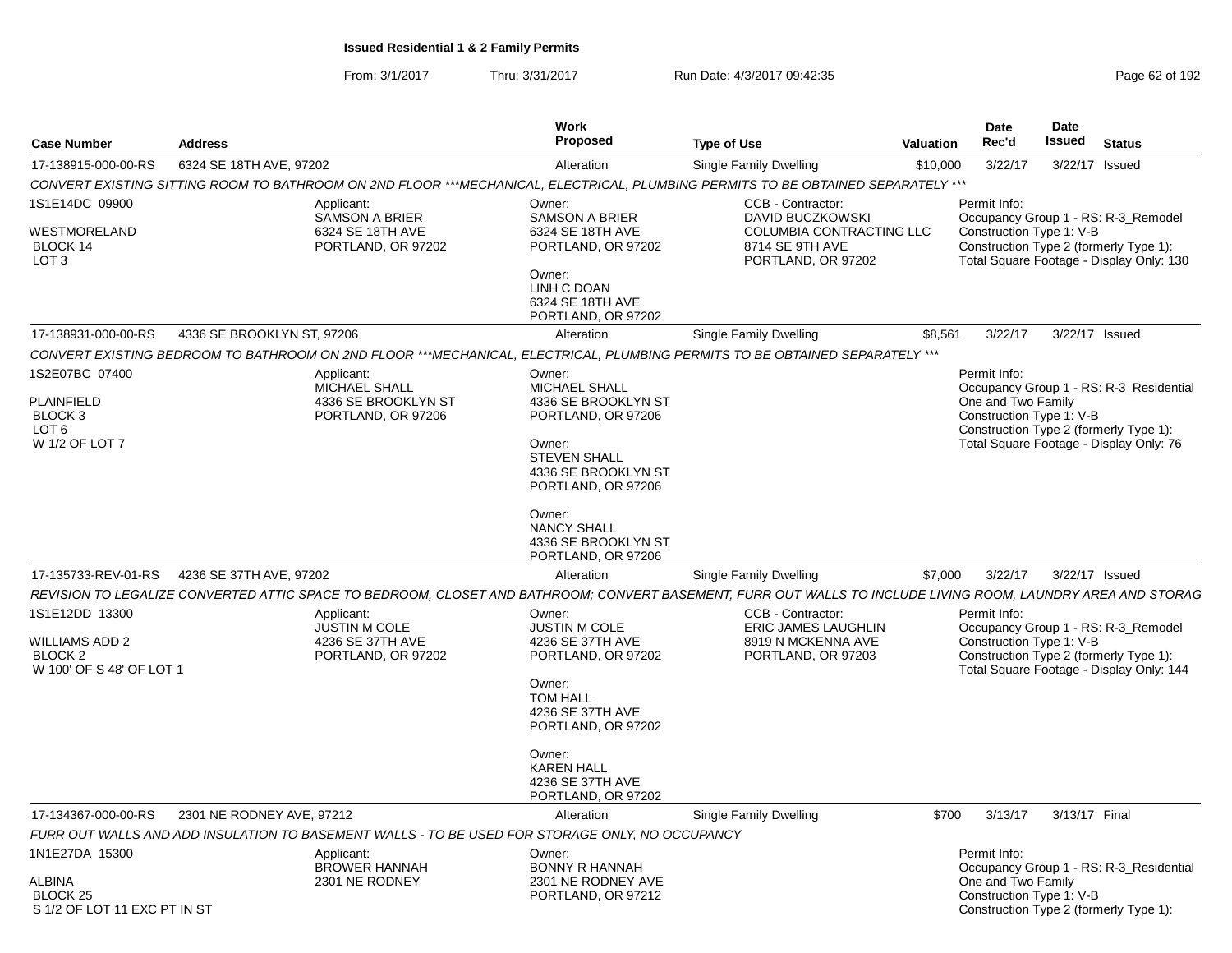From: 3/1/2017Thru: 3/31/2017 Run Date: 4/3/2017 09:42:35 Page 62 of 192

| <b>Case Number</b>                                                                    | <b>Address</b>                                                               | Work<br>Proposed                                                                                                                                                                                                                | <b>Type of Use</b>                                                                                         | Date<br>Rec'd<br><b>Valuation</b>  | Date<br><b>Issued</b>    | <b>Status</b>                                                                                                                |
|---------------------------------------------------------------------------------------|------------------------------------------------------------------------------|---------------------------------------------------------------------------------------------------------------------------------------------------------------------------------------------------------------------------------|------------------------------------------------------------------------------------------------------------|------------------------------------|--------------------------|------------------------------------------------------------------------------------------------------------------------------|
| 17-138915-000-00-RS                                                                   | 6324 SE 18TH AVE, 97202                                                      | Alteration                                                                                                                                                                                                                      | Single Family Dwelling                                                                                     | \$10,000<br>3/22/17                |                          | 3/22/17 Issued                                                                                                               |
|                                                                                       |                                                                              | CONVERT EXISTING SITTING ROOM TO BATHROOM ON 2ND FLOOR ***MECHANICAL. ELECTRICAL. PLUMBING PERMITS TO BE OBTAINED SEPARATELY ***                                                                                                |                                                                                                            |                                    |                          |                                                                                                                              |
| 1S1E14DC 09900<br><b>WESTMORELAND</b><br>BLOCK 14<br>LOT <sub>3</sub>                 | Applicant:<br>SAMSON A BRIER<br>6324 SE 18TH AVE<br>PORTLAND, OR 97202       | Owner:<br><b>SAMSON A BRIER</b><br>6324 SE 18TH AVE<br>PORTLAND, OR 97202<br>Owner:<br>LINH C DOAN<br>6324 SE 18TH AVE<br>PORTLAND, OR 97202                                                                                    | CCB - Contractor:<br>DAVID BUCZKOWSKI<br>COLUMBIA CONTRACTING LLC<br>8714 SE 9TH AVE<br>PORTLAND, OR 97202 | Permit Info:                       | Construction Type 1: V-B | Occupancy Group 1 - RS: R-3_Remodel<br>Construction Type 2 (formerly Type 1):<br>Total Square Footage - Display Only: 130    |
| 17-138931-000-00-RS                                                                   | 4336 SE BROOKLYN ST, 97206                                                   | Alteration                                                                                                                                                                                                                      | <b>Single Family Dwelling</b>                                                                              | 3/22/17<br>\$8,561                 |                          | 3/22/17 Issued                                                                                                               |
|                                                                                       |                                                                              | CONVERT EXISTING BEDROOM TO BATHROOM ON 2ND FLOOR ***MECHANICAL, ELECTRICAL, PLUMBING PERMITS TO BE OBTAINED SEPARATELY ***                                                                                                     |                                                                                                            |                                    |                          |                                                                                                                              |
| 1S2E07BC 07400<br><b>PLAINFIELD</b><br>BLOCK 3<br>LOT 6<br>W 1/2 OF LOT 7             | Applicant:<br>MICHAEL SHALL<br>4336 SE BROOKLYN ST<br>PORTLAND, OR 97206     | Owner:<br>MICHAEL SHALL<br>4336 SE BROOKLYN ST<br>PORTLAND, OR 97206<br>Owner:<br><b>STEVEN SHALL</b><br>4336 SE BROOKLYN ST<br>PORTLAND, OR 97206<br>Owner:<br><b>NANCY SHALL</b><br>4336 SE BROOKLYN ST<br>PORTLAND, OR 97206 |                                                                                                            | Permit Info:<br>One and Two Family | Construction Type 1: V-B | Occupancy Group 1 - RS: R-3_Residential<br>Construction Type 2 (formerly Type 1):<br>Total Square Footage - Display Only: 76 |
| 17-135733-REV-01-RS                                                                   | 4236 SE 37TH AVE, 97202                                                      | Alteration                                                                                                                                                                                                                      | <b>Single Family Dwelling</b>                                                                              | \$7,000<br>3/22/17                 |                          | 3/22/17 Issued                                                                                                               |
|                                                                                       |                                                                              | REVISION TO LEGALIZE CONVERTED ATTIC SPACE TO BEDROOM, CLOSET AND BATHROOM; CONVERT BASEMENT, FURR OUT WALLS TO INCLUDE LIVING ROOM, LAUNDRY AREA AND STORAG                                                                    |                                                                                                            |                                    |                          |                                                                                                                              |
| 1S1E12DD 13300<br><b>WILLIAMS ADD 2</b><br><b>BLOCK 2</b><br>W 100' OF S 48' OF LOT 1 | Applicant:<br><b>JUSTIN M COLE</b><br>4236 SE 37TH AVE<br>PORTLAND, OR 97202 | Owner:<br><b>JUSTIN M COLE</b><br>4236 SE 37TH AVE<br>PORTLAND, OR 97202<br>Owner:<br><b>TOM HALL</b><br>4236 SE 37TH AVE<br>PORTLAND, OR 97202<br>Owner:<br><b>KAREN HALL</b><br>4236 SE 37TH AVE<br>PORTLAND, OR 97202        | CCB - Contractor:<br><b>ERIC JAMES LAUGHLIN</b><br>8919 N MCKENNA AVE<br>PORTLAND, OR 97203                | Permit Info:                       | Construction Type 1: V-B | Occupancy Group 1 - RS: R-3_Remodel<br>Construction Type 2 (formerly Type 1):<br>Total Square Footage - Display Only: 144    |
| 17-134367-000-00-RS                                                                   | 2301 NE RODNEY AVE, 97212                                                    | Alteration                                                                                                                                                                                                                      | Single Family Dwelling                                                                                     | 3/13/17<br>\$700                   | 3/13/17 Final            |                                                                                                                              |
|                                                                                       |                                                                              | FURR OUT WALLS AND ADD INSULATION TO BASEMENT WALLS - TO BE USED FOR STORAGE ONLY, NO OCCUPANCY                                                                                                                                 |                                                                                                            |                                    |                          |                                                                                                                              |
| 1N1E27DA 15300<br><b>ALBINA</b><br>BLOCK 25<br>S 1/2 OF LOT 11 EXC PT IN ST           | Applicant:<br><b>BROWER HANNAH</b><br>2301 NE RODNEY                         | Owner:<br><b>BONNY R HANNAH</b><br>2301 NE RODNEY AVE<br>PORTLAND, OR 97212                                                                                                                                                     |                                                                                                            | Permit Info:<br>One and Two Family | Construction Type 1: V-B | Occupancy Group 1 - RS: R-3 Residential<br>Construction Type 2 (formerly Type 1):                                            |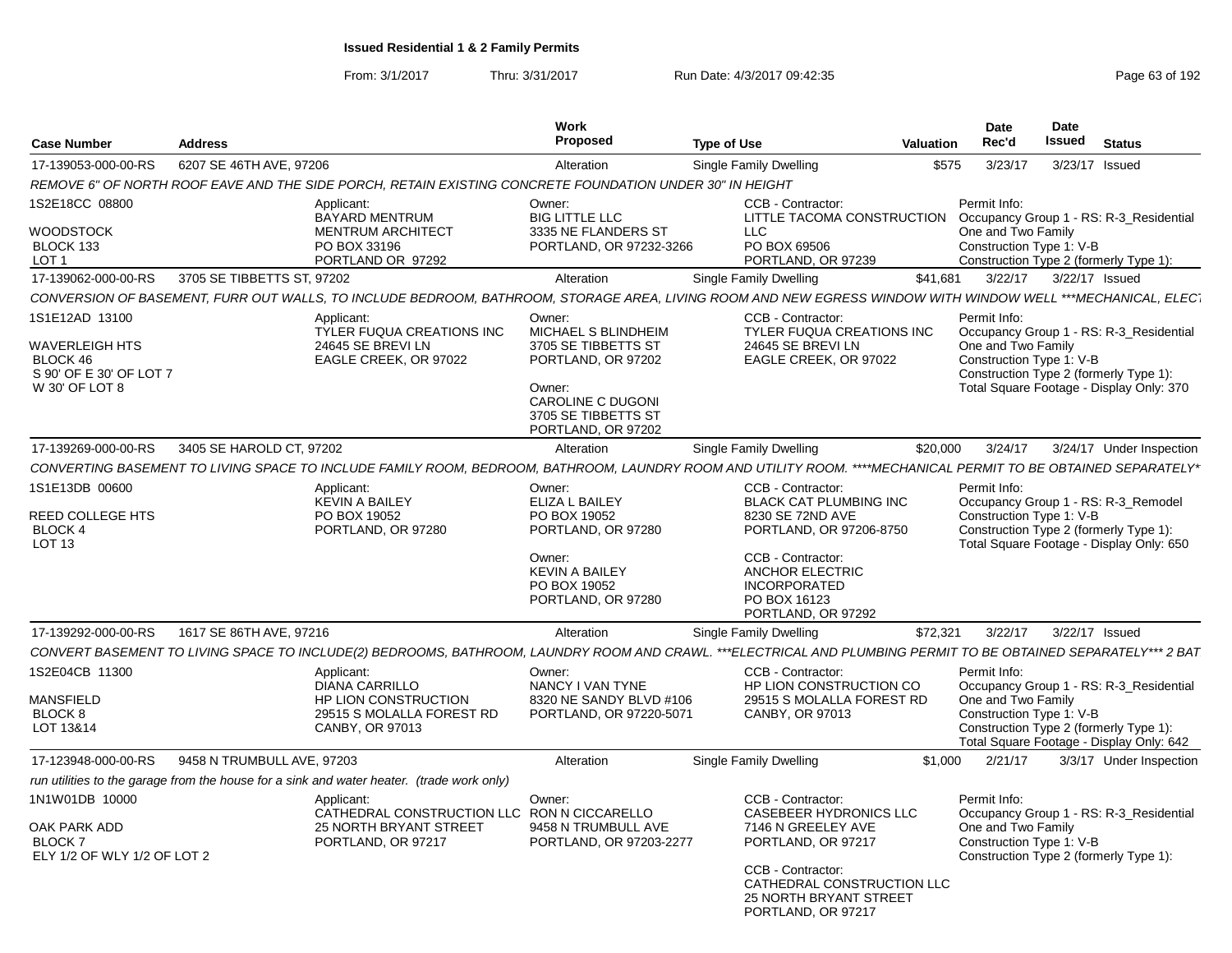From: 3/1/2017Thru: 3/31/2017 **Run Date: 4/3/2017 09:42:35** Page 63 of 192

| <b>Case Number</b>                                                                               | <b>Address</b>             |                                                                                                                                                                 | <b>Work</b><br><b>Proposed</b>                                                                                                                                | <b>Type of Use</b>                                                                                                  | <b>Valuation</b> | <b>Date</b><br>Rec'd                                           | Date<br><b>Issued</b> | <b>Status</b>                                                                                                                 |
|--------------------------------------------------------------------------------------------------|----------------------------|-----------------------------------------------------------------------------------------------------------------------------------------------------------------|---------------------------------------------------------------------------------------------------------------------------------------------------------------|---------------------------------------------------------------------------------------------------------------------|------------------|----------------------------------------------------------------|-----------------------|-------------------------------------------------------------------------------------------------------------------------------|
| 17-139053-000-00-RS                                                                              | 6207 SE 46TH AVE, 97206    |                                                                                                                                                                 | Alteration                                                                                                                                                    | Single Family Dwelling                                                                                              | \$575            | 3/23/17                                                        |                       | 3/23/17 Issued                                                                                                                |
|                                                                                                  |                            | REMOVE 6" OF NORTH ROOF EAVE AND THE SIDE PORCH, RETAIN EXISTING CONCRETE FOUNDATION UNDER 30" IN HEIGHT                                                        |                                                                                                                                                               |                                                                                                                     |                  |                                                                |                       |                                                                                                                               |
| 1S2E18CC 08800<br><b>WOODSTOCK</b><br>BLOCK 133                                                  |                            | Applicant:<br><b>BAYARD MENTRUM</b><br><b>MENTRUM ARCHITECT</b><br>PO BOX 33196                                                                                 | Owner:<br><b>BIG LITTLE LLC</b><br>3335 NE FLANDERS ST<br>PORTLAND, OR 97232-3266                                                                             | CCB - Contractor:<br>LITTLE TACOMA CONSTRUCTION<br><b>LLC</b><br>PO BOX 69506                                       |                  | Permit Info:<br>One and Two Family<br>Construction Type 1: V-B |                       | Occupancy Group 1 - RS: R-3 Residential                                                                                       |
| LOT <sub>1</sub>                                                                                 |                            | PORTLAND OR 97292                                                                                                                                               |                                                                                                                                                               | PORTLAND, OR 97239                                                                                                  |                  |                                                                |                       | Construction Type 2 (formerly Type 1):                                                                                        |
| 17-139062-000-00-RS                                                                              | 3705 SE TIBBETTS ST, 97202 |                                                                                                                                                                 | Alteration                                                                                                                                                    | Single Family Dwelling                                                                                              | \$41.681         | 3/22/17                                                        | 3/22/17 Issued        |                                                                                                                               |
|                                                                                                  |                            | CONVERSION OF BASEMENT, FURR OUT WALLS, TO INCLUDE BEDROOM, BATHROOM, STORAGE AREA, LIVING ROOM AND NEW EGRESS WINDOW WITH WINDOW WELL ***MECHANICAL, ELEC`     |                                                                                                                                                               |                                                                                                                     |                  |                                                                |                       |                                                                                                                               |
| 1S1E12AD 13100<br><b>WAVERLEIGH HTS</b><br>BLOCK 46<br>S 90' OF E 30' OF LOT 7<br>W 30' OF LOT 8 |                            | Applicant:<br><b>TYLER FUQUA CREATIONS INC</b><br>24645 SE BREVI LN<br>EAGLE CREEK, OR 97022                                                                    | Owner:<br>MICHAEL S BLINDHEIM<br>3705 SE TIBBETTS ST<br>PORTLAND, OR 97202<br>Owner:<br><b>CAROLINE C DUGONI</b><br>3705 SE TIBBETTS ST<br>PORTLAND, OR 97202 | CCB - Contractor:<br><b>TYLER FUQUA CREATIONS INC</b><br>24645 SE BREVI LN<br>EAGLE CREEK, OR 97022                 |                  | Permit Info:<br>One and Two Family<br>Construction Type 1: V-B |                       | Occupancy Group 1 - RS: R-3_Residential<br>Construction Type 2 (formerly Type 1):<br>Total Square Footage - Display Only: 370 |
| 17-139269-000-00-RS                                                                              | 3405 SE HAROLD CT, 97202   |                                                                                                                                                                 | Alteration                                                                                                                                                    | <b>Single Family Dwelling</b>                                                                                       | \$20,000         | 3/24/17                                                        |                       | 3/24/17 Under Inspection                                                                                                      |
|                                                                                                  |                            | CONVERTING BASEMENT TO LIVING SPACE TO INCLUDE FAMILY ROOM, BEDROOM, BATHROOM, LAUNDRY ROOM AND UTILITY ROOM. ****MECHANICAL PERMIT TO BE OBTAINED SEPARATELY*  |                                                                                                                                                               |                                                                                                                     |                  |                                                                |                       |                                                                                                                               |
| 1S1E13DB 00600<br>REED COLLEGE HTS<br><b>BLOCK 4</b>                                             |                            | Applicant:<br><b>KEVIN A BAILEY</b><br>PO BOX 19052<br>PORTLAND, OR 97280                                                                                       | Owner:<br>ELIZA L BAILEY<br>PO BOX 19052<br>PORTLAND, OR 97280                                                                                                | CCB - Contractor:<br><b>BLACK CAT PLUMBING INC</b><br>8230 SE 72ND AVE<br>PORTLAND, OR 97206-8750                   |                  | Permit Info:<br>Construction Type 1: V-B                       |                       | Occupancy Group 1 - RS: R-3_Remodel<br>Construction Type 2 (formerly Type 1):                                                 |
| LOT <sub>13</sub>                                                                                |                            |                                                                                                                                                                 | Owner:<br><b>KEVIN A BAILEY</b><br>PO BOX 19052<br>PORTLAND, OR 97280                                                                                         | CCB - Contractor:<br><b>ANCHOR ELECTRIC</b><br><b>INCORPORATED</b><br>PO BOX 16123<br>PORTLAND, OR 97292            |                  |                                                                |                       | Total Square Footage - Display Only: 650                                                                                      |
| 17-139292-000-00-RS                                                                              | 1617 SE 86TH AVE, 97216    |                                                                                                                                                                 | Alteration                                                                                                                                                    | Single Family Dwelling                                                                                              | \$72,321         | 3/22/17                                                        |                       | 3/22/17 Issued                                                                                                                |
|                                                                                                  |                            | CONVERT BASEMENT TO LIVING SPACE TO INCLUDE(2) BEDROOMS, BATHROOM, LAUNDRY ROOM AND CRAWL. ***ELECTRICAL AND PLUMBING PERMIT TO BE OBTAINED SEPARATELY*** 2 BAT |                                                                                                                                                               |                                                                                                                     |                  |                                                                |                       |                                                                                                                               |
| 1S2E04CB 11300<br>MANSFIELD<br>BLOCK 8<br>LOT 13&14                                              |                            | Applicant:<br><b>DIANA CARRILLO</b><br>HP LION CONSTRUCTION<br>29515 S MOLALLA FOREST RD<br>CANBY, OR 97013                                                     | Owner:<br>NANCY I VAN TYNE<br>8320 NE SANDY BLVD #106<br>PORTLAND, OR 97220-5071                                                                              | CCB - Contractor:<br>HP LION CONSTRUCTION CO<br>29515 S MOLALLA FOREST RD<br>CANBY, OR 97013                        |                  | Permit Info:<br>One and Two Family<br>Construction Type 1: V-B |                       | Occupancy Group 1 - RS: R-3 Residential<br>Construction Type 2 (formerly Type 1):                                             |
|                                                                                                  |                            |                                                                                                                                                                 |                                                                                                                                                               |                                                                                                                     |                  |                                                                |                       | Total Square Footage - Display Only: 642                                                                                      |
| 17-123948-000-00-RS                                                                              | 9458 N TRUMBULL AVE, 97203 |                                                                                                                                                                 | Alteration                                                                                                                                                    | Single Family Dwelling                                                                                              | \$1.000          | 2/21/17                                                        |                       | 3/3/17 Under Inspection                                                                                                       |
|                                                                                                  |                            | run utilities to the garage from the house for a sink and water heater. (trade work only)                                                                       |                                                                                                                                                               |                                                                                                                     |                  |                                                                |                       |                                                                                                                               |
| 1N1W01DB 10000<br>OAK PARK ADD<br><b>BLOCK 7</b><br>ELY 1/2 OF WLY 1/2 OF LOT 2                  |                            | Applicant:<br>CATHEDRAL CONSTRUCTION LLC RON N CICCARELLO<br><b>25 NORTH BRYANT STREET</b><br>PORTLAND, OR 97217                                                | Owner:<br>9458 N TRUMBULL AVE<br>PORTLAND, OR 97203-2277                                                                                                      | CCB - Contractor:<br><b>CASEBEER HYDRONICS LLC</b><br>7146 N GREELEY AVE<br>PORTLAND, OR 97217<br>CCB - Contractor: |                  | Permit Info:<br>One and Two Family<br>Construction Type 1: V-B |                       | Occupancy Group 1 - RS: R-3_Residential<br>Construction Type 2 (formerly Type 1):                                             |
|                                                                                                  |                            |                                                                                                                                                                 |                                                                                                                                                               | CATHEDRAL CONSTRUCTION LLC<br><b>25 NORTH BRYANT STREET</b><br>PORTLAND, OR 97217                                   |                  |                                                                |                       |                                                                                                                               |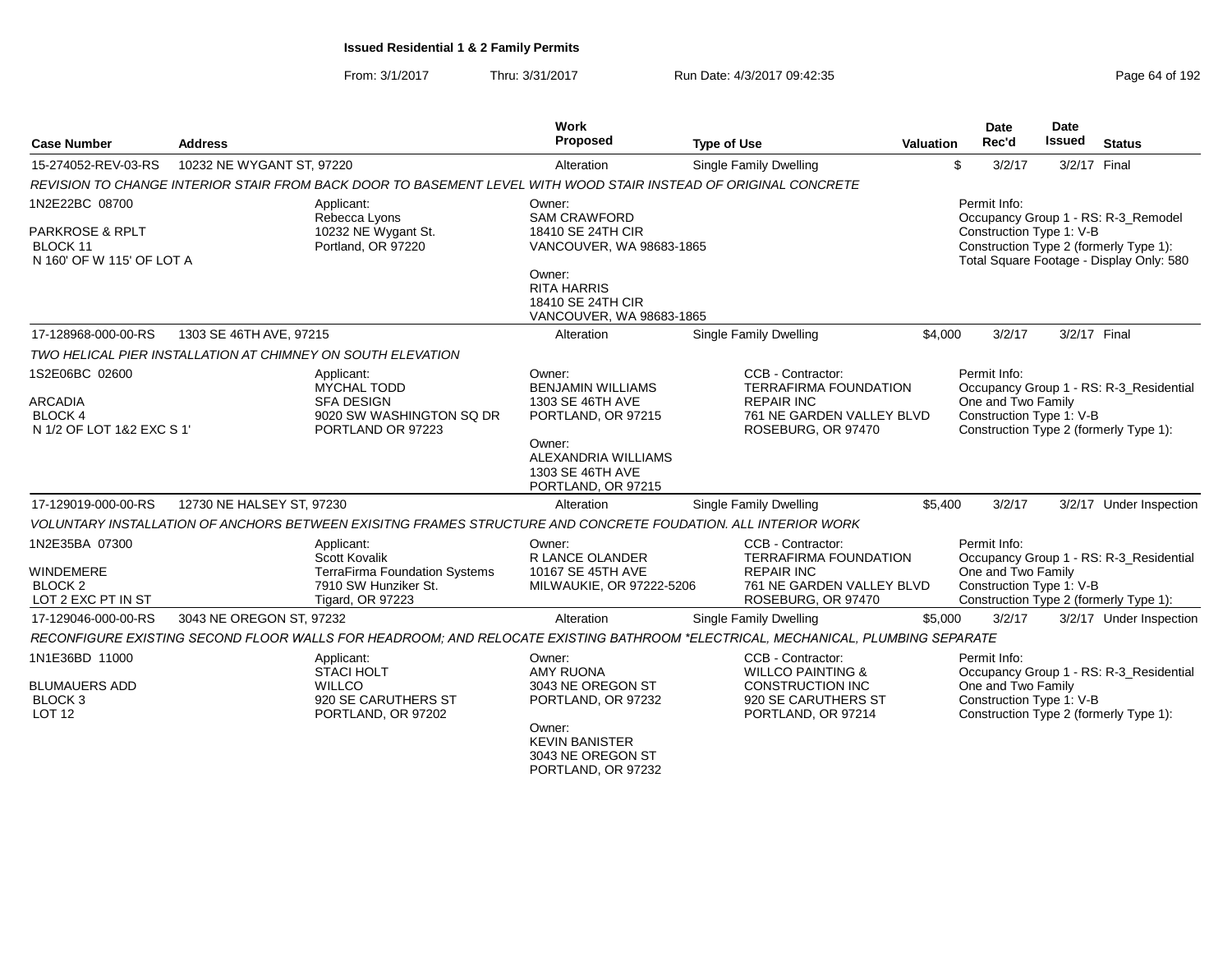| <b>Case Number</b>                                                         | <b>Address</b>            |                                                                                                                                 | <b>Work</b><br><b>Proposed</b>                                                                   | <b>Type of Use</b>                                                                                                        | <b>Valuation</b> | <b>Date</b><br>Rec'd                                           | Date<br><b>Issued</b> | <b>Status</b>                                                                                                             |
|----------------------------------------------------------------------------|---------------------------|---------------------------------------------------------------------------------------------------------------------------------|--------------------------------------------------------------------------------------------------|---------------------------------------------------------------------------------------------------------------------------|------------------|----------------------------------------------------------------|-----------------------|---------------------------------------------------------------------------------------------------------------------------|
| 15-274052-REV-03-RS                                                        | 10232 NE WYGANT ST, 97220 |                                                                                                                                 | Alteration                                                                                       | <b>Single Family Dwelling</b>                                                                                             |                  | \$<br>3/2/17                                                   | 3/2/17 Final          |                                                                                                                           |
|                                                                            |                           | REVISION TO CHANGE INTERIOR STAIR FROM BACK DOOR TO BASEMENT LEVEL WITH WOOD STAIR INSTEAD OF ORIGINAL CONCRETE                 |                                                                                                  |                                                                                                                           |                  |                                                                |                       |                                                                                                                           |
| 1N2E22BC 08700<br>PARKROSE & RPLT<br>BLOCK 11<br>N 160' OF W 115' OF LOT A |                           | Applicant:<br>Rebecca Lyons<br>10232 NE Wygant St.<br>Portland, OR 97220                                                        | Owner:<br><b>SAM CRAWFORD</b><br>18410 SE 24TH CIR<br>VANCOUVER, WA 98683-1865                   |                                                                                                                           |                  | Permit Info:<br>Construction Type 1: V-B                       |                       | Occupancy Group 1 - RS: R-3_Remodel<br>Construction Type 2 (formerly Type 1):<br>Total Square Footage - Display Only: 580 |
|                                                                            |                           |                                                                                                                                 | Owner:<br><b>RITA HARRIS</b><br>18410 SE 24TH CIR<br>VANCOUVER, WA 98683-1865                    |                                                                                                                           |                  |                                                                |                       |                                                                                                                           |
| 17-128968-000-00-RS                                                        | 1303 SE 46TH AVE, 97215   |                                                                                                                                 | Alteration                                                                                       | Single Family Dwelling                                                                                                    | \$4,000          | 3/2/17                                                         |                       | 3/2/17 Final                                                                                                              |
|                                                                            |                           | TWO HELICAL PIER INSTALLATION AT CHIMNEY ON SOUTH ELEVATION                                                                     |                                                                                                  |                                                                                                                           |                  |                                                                |                       |                                                                                                                           |
| 1S2E06BC 02600                                                             |                           | Applicant:<br><b>MYCHAL TODD</b><br><b>SFA DESIGN</b>                                                                           | Owner:<br><b>BENJAMIN WILLIAMS</b><br>1303 SE 46TH AVE                                           | CCB - Contractor:<br><b>TERRAFIRMA FOUNDATION</b><br><b>REPAIR INC</b>                                                    |                  | Permit Info:                                                   |                       | Occupancy Group 1 - RS: R-3_Residential                                                                                   |
| <b>ARCADIA</b><br><b>BLOCK4</b><br>N 1/2 OF LOT 1&2 EXC S 1'               |                           | 9020 SW WASHINGTON SQ DR<br>PORTLAND OR 97223                                                                                   | PORTLAND, OR 97215<br>Owner:                                                                     | 761 NE GARDEN VALLEY BLVD<br>ROSEBURG, OR 97470                                                                           |                  | One and Two Family<br>Construction Type 1: V-B                 |                       | Construction Type 2 (formerly Type 1):                                                                                    |
|                                                                            |                           |                                                                                                                                 | ALEXANDRIA WILLIAMS<br>1303 SE 46TH AVE<br>PORTLAND, OR 97215                                    |                                                                                                                           |                  |                                                                |                       |                                                                                                                           |
| 17-129019-000-00-RS                                                        | 12730 NE HALSEY ST, 97230 |                                                                                                                                 | Alteration                                                                                       | Single Family Dwelling                                                                                                    | \$5,400          | 3/2/17                                                         |                       | 3/2/17 Under Inspection                                                                                                   |
|                                                                            |                           | VOLUNTARY INSTALLATION OF ANCHORS BETWEEN EXISITNG FRAMES STRUCTURE AND CONCRETE FOUDATION. ALL INTERIOR WORK                   |                                                                                                  |                                                                                                                           |                  |                                                                |                       |                                                                                                                           |
| 1N2E35BA 07300<br><b>WINDEMERE</b><br><b>BLOCK 2</b><br>LOT 2 EXC PT IN ST |                           | Applicant:<br>Scott Kovalik<br>TerraFirma Foundation Systems<br>7910 SW Hunziker St.<br>Tigard, OR 97223                        | Owner:<br>R LANCE OLANDER<br>10167 SE 45TH AVE<br>MILWAUKIE, OR 97222-5206                       | CCB - Contractor:<br><b>TERRAFIRMA FOUNDATION</b><br><b>REPAIR INC</b><br>761 NE GARDEN VALLEY BLVD<br>ROSEBURG, OR 97470 |                  | Permit Info:<br>One and Two Family<br>Construction Type 1: V-B |                       | Occupancy Group 1 - RS: R-3_Residential<br>Construction Type 2 (formerly Type 1):                                         |
| 17-129046-000-00-RS                                                        | 3043 NE OREGON ST, 97232  |                                                                                                                                 | Alteration                                                                                       | <b>Single Family Dwelling</b>                                                                                             | \$5,000          | 3/2/17                                                         |                       | 3/2/17 Under Inspection                                                                                                   |
|                                                                            |                           | RECONFIGURE EXISTING SECOND FLOOR WALLS FOR HEADROOM; AND RELOCATE EXISTING BATHROOM *ELECTRICAL, MECHANICAL, PLUMBING SEPARATE |                                                                                                  |                                                                                                                           |                  |                                                                |                       |                                                                                                                           |
| 1N1E36BD 11000<br><b>BLUMAUERS ADD</b>                                     |                           | Applicant:<br><b>STACI HOLT</b><br><b>WILLCO</b>                                                                                | Owner:<br><b>AMY RUONA</b><br>3043 NE OREGON ST                                                  | CCB - Contractor:<br><b>WILLCO PAINTING &amp;</b><br>CONSTRUCTION INC                                                     |                  | Permit Info:<br>One and Two Family                             |                       | Occupancy Group 1 - RS: R-3_Residential                                                                                   |
| BLOCK 3<br><b>LOT 12</b>                                                   |                           | 920 SE CARUTHERS ST<br>PORTLAND, OR 97202                                                                                       | PORTLAND, OR 97232<br>Owner:<br><b>KEVIN BANISTER</b><br>3043 NE OREGON ST<br>PORTLAND, OR 97232 | 920 SE CARUTHERS ST<br>PORTLAND, OR 97214                                                                                 |                  | Construction Type 1: V-B                                       |                       | Construction Type 2 (formerly Type 1):                                                                                    |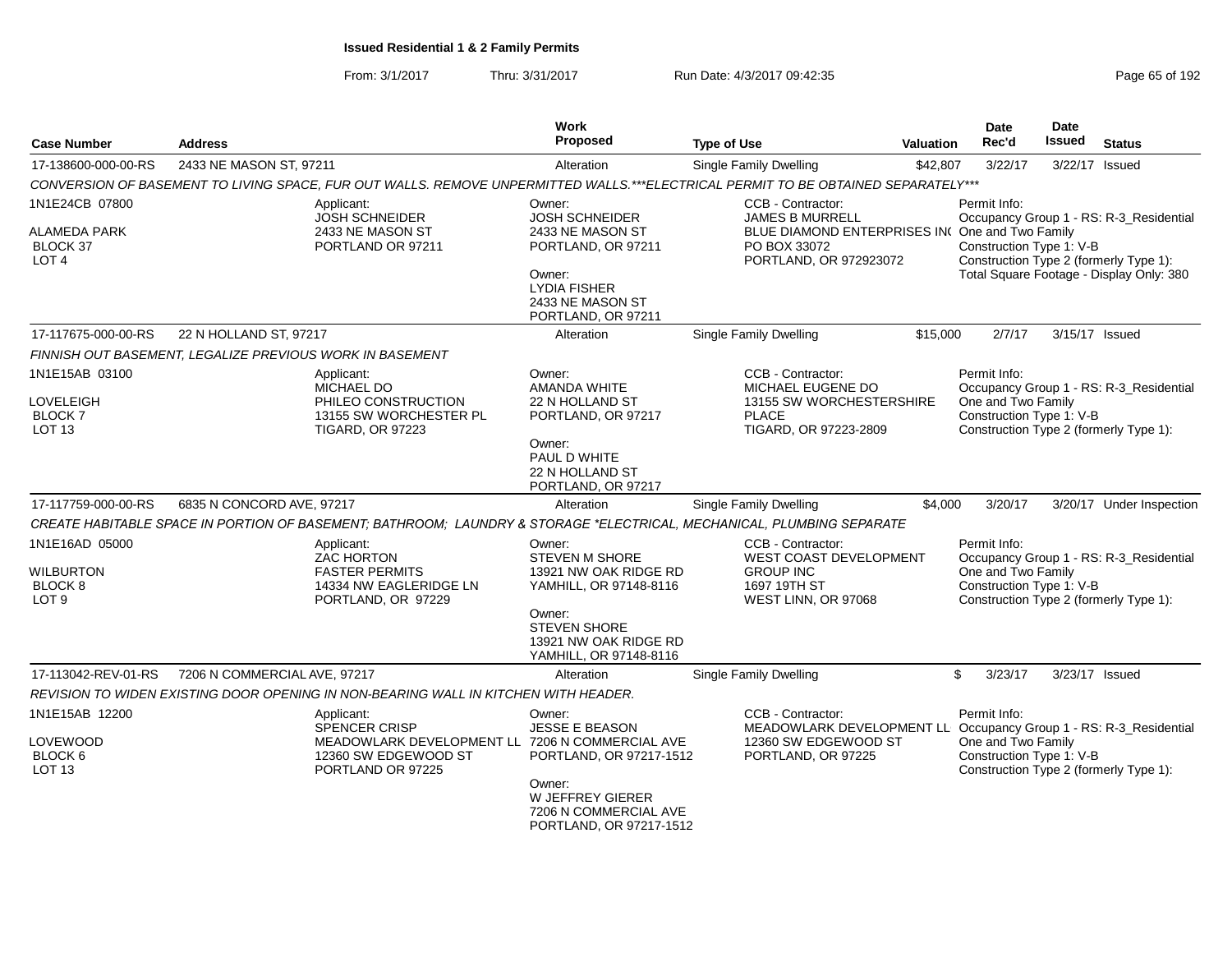|                              |                              |                                                                                                                                   | <b>Work</b><br><b>Proposed</b>                                          |                                                                                           |                  | Date<br>Rec'd                                                      | Date<br><b>Issued</b> |                                          |
|------------------------------|------------------------------|-----------------------------------------------------------------------------------------------------------------------------------|-------------------------------------------------------------------------|-------------------------------------------------------------------------------------------|------------------|--------------------------------------------------------------------|-----------------------|------------------------------------------|
| <b>Case Number</b>           | <b>Address</b>               |                                                                                                                                   |                                                                         | <b>Type of Use</b>                                                                        | <b>Valuation</b> |                                                                    |                       | <b>Status</b>                            |
| 17-138600-000-00-RS          | 2433 NE MASON ST, 97211      |                                                                                                                                   | Alteration                                                              | <b>Single Family Dwelling</b>                                                             | \$42,807         | 3/22/17                                                            | 3/22/17               | Issued                                   |
|                              |                              | CONVERSION OF BASEMENT TO LIVING SPACE, FUR OUT WALLS. REMOVE UNPERMITTED WALLS.***ELECTRICAL PERMIT TO BE OBTAINED SEPARATELY*** |                                                                         |                                                                                           |                  |                                                                    |                       |                                          |
| 1N1E24CB 07800               |                              | Applicant:<br><b>JOSH SCHNEIDER</b>                                                                                               | Owner:<br><b>JOSH SCHNEIDER</b>                                         | CCB - Contractor:<br>JAMES B MURRELL                                                      |                  | Permit Info:                                                       |                       | Occupancy Group 1 - RS: R-3_Residential  |
| ALAMEDA PARK                 |                              | 2433 NE MASON ST                                                                                                                  | 2433 NE MASON ST                                                        | BLUE DIAMOND ENTERPRISES INCOne and Two Family                                            |                  |                                                                    |                       |                                          |
| BLOCK 37<br>LOT <sub>4</sub> |                              | PORTLAND OR 97211                                                                                                                 | PORTLAND, OR 97211                                                      | PO BOX 33072<br>PORTLAND, OR 972923072                                                    |                  | Construction Type 1: V-B<br>Construction Type 2 (formerly Type 1): |                       |                                          |
|                              |                              |                                                                                                                                   | Owner:<br><b>LYDIA FISHER</b><br>2433 NE MASON ST<br>PORTLAND, OR 97211 |                                                                                           |                  |                                                                    |                       | Total Square Footage - Display Only: 380 |
| 17-117675-000-00-RS          | 22 N HOLLAND ST, 97217       |                                                                                                                                   | Alteration                                                              | Single Family Dwelling                                                                    | \$15,000         | 2/7/17                                                             | 3/15/17 Issued        |                                          |
|                              |                              | FINNISH OUT BASEMENT. LEGALIZE PREVIOUS WORK IN BASEMENT                                                                          |                                                                         |                                                                                           |                  |                                                                    |                       |                                          |
| 1N1E15AB 03100               |                              | Applicant:<br>MICHAEL DO                                                                                                          | Owner:<br>AMANDA WHITE                                                  | CCB - Contractor:<br>MICHAEL EUGENE DO                                                    |                  | Permit Info:                                                       |                       | Occupancy Group 1 - RS: R-3_Residential  |
| LOVELEIGH<br>BLOCK 7         |                              | PHILEO CONSTRUCTION<br>13155 SW WORCHESTER PL                                                                                     | 22 N HOLLAND ST<br>PORTLAND, OR 97217                                   | 13155 SW WORCHESTERSHIRE<br><b>PLACE</b>                                                  |                  | One and Two Family<br>Construction Type 1: V-B                     |                       |                                          |
| LOT <sub>13</sub>            |                              | <b>TIGARD, OR 97223</b>                                                                                                           | Owner:<br>PAUL D WHITE<br>22 N HOLLAND ST<br>PORTLAND, OR 97217         | TIGARD, OR 97223-2809                                                                     |                  | Construction Type 2 (formerly Type 1):                             |                       |                                          |
| 17-117759-000-00-RS          | 6835 N CONCORD AVE, 97217    |                                                                                                                                   | Alteration                                                              | <b>Single Family Dwelling</b>                                                             | \$4,000          | 3/20/17                                                            |                       | 3/20/17 Under Inspection                 |
|                              |                              | CREATE HABITABLE SPACE IN PORTION OF BASEMENT; BATHROOM; LAUNDRY & STORAGE *ELECTRICAL, MECHANICAL, PLUMBING SEPARATE             |                                                                         |                                                                                           |                  |                                                                    |                       |                                          |
| 1N1E16AD 05000               |                              | Applicant:                                                                                                                        | Owner:                                                                  | CCB - Contractor:                                                                         |                  | Permit Info:                                                       |                       |                                          |
| WILBURTON                    |                              | <b>ZAC HORTON</b><br><b>FASTER PERMITS</b>                                                                                        | STEVEN M SHORE<br>13921 NW OAK RIDGE RD                                 | WEST COAST DEVELOPMENT<br><b>GROUP INC</b>                                                |                  | One and Two Family                                                 |                       | Occupancy Group 1 - RS: R-3_Residential  |
| BLOCK <sub>8</sub>           |                              | 14334 NW EAGLERIDGE LN                                                                                                            | YAMHILL, OR 97148-8116                                                  | 1697 19TH ST                                                                              |                  | Construction Type 1: V-B                                           |                       |                                          |
| LOT <sub>9</sub>             |                              | PORTLAND, OR 97229                                                                                                                |                                                                         | WEST LINN, OR 97068                                                                       |                  | Construction Type 2 (formerly Type 1):                             |                       |                                          |
|                              |                              |                                                                                                                                   | Owner:<br><b>STEVEN SHORE</b>                                           |                                                                                           |                  |                                                                    |                       |                                          |
|                              |                              |                                                                                                                                   | 13921 NW OAK RIDGE RD<br>YAMHILL, OR 97148-8116                         |                                                                                           |                  |                                                                    |                       |                                          |
| 17-113042-REV-01-RS          | 7206 N COMMERCIAL AVE, 97217 |                                                                                                                                   | Alteration                                                              | <b>Single Family Dwelling</b>                                                             |                  | \$<br>3/23/17                                                      | 3/23/17 Issued        |                                          |
|                              |                              | REVISION TO WIDEN EXISTING DOOR OPENING IN NON-BEARING WALL IN KITCHEN WITH HEADER.                                               |                                                                         |                                                                                           |                  |                                                                    |                       |                                          |
| 1N1E15AB 12200               |                              | Applicant:                                                                                                                        | Owner:                                                                  | CCB - Contractor:                                                                         |                  | Permit Info:                                                       |                       |                                          |
| LOVEWOOD                     |                              | <b>SPENCER CRISP</b><br>MEADOWLARK DEVELOPMENT LL 7206 N COMMERCIAL AVE                                                           | <b>JESSE E BEASON</b>                                                   | MEADOWLARK DEVELOPMENT LL Occupancy Group 1 - RS: R-3_Residential<br>12360 SW EDGEWOOD ST |                  | One and Two Family                                                 |                       |                                          |
| BLOCK <sub>6</sub>           |                              | 12360 SW EDGEWOOD ST                                                                                                              | PORTLAND, OR 97217-1512                                                 | PORTLAND, OR 97225                                                                        |                  | Construction Type 1: V-B                                           |                       |                                          |
| LOT <sub>13</sub>            |                              | PORTLAND OR 97225                                                                                                                 | Owner:<br>W JEFFREY GIERER                                              |                                                                                           |                  | Construction Type 2 (formerly Type 1):                             |                       |                                          |
|                              |                              |                                                                                                                                   | 7206 N COMMERCIAL AVE<br>PORTLAND, OR 97217-1512                        |                                                                                           |                  |                                                                    |                       |                                          |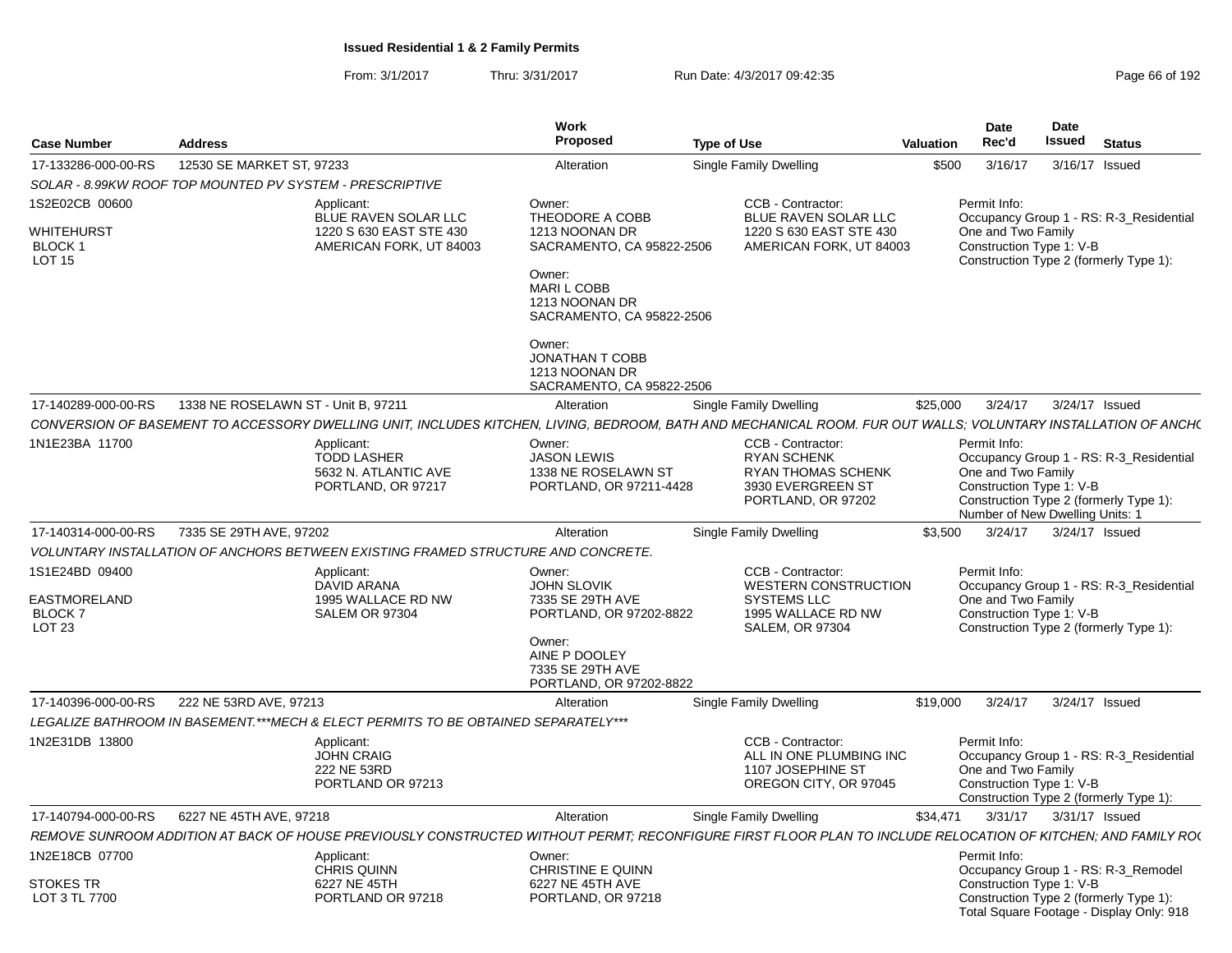|                                                                       |                                                                                                                                                                | Work                                                                                                                                                  |                                                                                                                        |                  | <b>Date</b>                        | Date                                                                                                                                             |  |
|-----------------------------------------------------------------------|----------------------------------------------------------------------------------------------------------------------------------------------------------------|-------------------------------------------------------------------------------------------------------------------------------------------------------|------------------------------------------------------------------------------------------------------------------------|------------------|------------------------------------|--------------------------------------------------------------------------------------------------------------------------------------------------|--|
| <b>Case Number</b>                                                    | <b>Address</b>                                                                                                                                                 | Proposed                                                                                                                                              | <b>Type of Use</b>                                                                                                     | <b>Valuation</b> | Rec'd                              | <b>Issued</b><br><b>Status</b>                                                                                                                   |  |
| 17-133286-000-00-RS                                                   | 12530 SE MARKET ST. 97233                                                                                                                                      | Alteration                                                                                                                                            | <b>Single Family Dwelling</b>                                                                                          | \$500            | 3/16/17                            | 3/16/17 Issued                                                                                                                                   |  |
|                                                                       | SOLAR - 8.99KW ROOF TOP MOUNTED PV SYSTEM - PRESCRIPTIVE                                                                                                       |                                                                                                                                                       |                                                                                                                        |                  |                                    |                                                                                                                                                  |  |
| 1S2E02CB 00600<br><b>WHITEHURST</b><br><b>BLOCK1</b><br><b>LOT 15</b> | Applicant:<br>BLUE RAVEN SOLAR LLC<br>1220 S 630 EAST STE 430<br>AMERICAN FORK, UT 84003                                                                       | Owner:<br>THEODORE A COBB<br>1213 NOONAN DR<br>SACRAMENTO, CA 95822-2506<br>Owner:<br>MARI L COBB<br>1213 NOONAN DR<br>SACRAMENTO, CA 95822-2506      | CCB - Contractor:<br>BLUE RAVEN SOLAR LLC<br>1220 S 630 EAST STE 430<br>AMERICAN FORK, UT 84003                        |                  | Permit Info:<br>One and Two Family | Occupancy Group 1 - RS: R-3_Residential<br>Construction Type 1: V-B<br>Construction Type 2 (formerly Type 1):                                    |  |
|                                                                       |                                                                                                                                                                | Owner:<br><b>JONATHAN T COBB</b><br>1213 NOONAN DR<br>SACRAMENTO, CA 95822-2506                                                                       |                                                                                                                        |                  |                                    |                                                                                                                                                  |  |
| 17-140289-000-00-RS                                                   | 1338 NE ROSELAWN ST - Unit B, 97211                                                                                                                            | Alteration                                                                                                                                            | Single Family Dwelling                                                                                                 | \$25,000         | 3/24/17                            | 3/24/17 Issued                                                                                                                                   |  |
|                                                                       | CONVERSION OF BASEMENT TO ACCESSORY DWELLING UNIT, INCLUDES KITCHEN, LIVING, BEDROOM, BATH AND MECHANICAL ROOM. FUR OUT WALLS; VOLUNTARY INSTALLATION OF ANCH( |                                                                                                                                                       |                                                                                                                        |                  |                                    |                                                                                                                                                  |  |
| 1N1E23BA 11700                                                        | Applicant:<br><b>TODD LASHER</b><br>5632 N. ATLANTIC AVE<br>PORTLAND, OR 97217                                                                                 | Owner:<br><b>JASON LEWIS</b><br>1338 NE ROSELAWN ST<br>PORTLAND, OR 97211-4428                                                                        | CCB - Contractor:<br><b>RYAN SCHENK</b><br><b>RYAN THOMAS SCHENK</b><br>3930 EVERGREEN ST<br>PORTLAND, OR 97202        |                  | Permit Info:<br>One and Two Family | Occupancy Group 1 - RS: R-3_Residential<br>Construction Type 1: V-B<br>Construction Type 2 (formerly Type 1):<br>Number of New Dwelling Units: 1 |  |
| 17-140314-000-00-RS                                                   | 7335 SE 29TH AVE, 97202                                                                                                                                        | Alteration                                                                                                                                            | <b>Single Family Dwelling</b>                                                                                          | \$3.500          | 3/24/17                            | 3/24/17 Issued                                                                                                                                   |  |
|                                                                       | VOLUNTARY INSTALLATION OF ANCHORS BETWEEN EXISTING FRAMED STRUCTURE AND CONCRETE.                                                                              |                                                                                                                                                       |                                                                                                                        |                  |                                    |                                                                                                                                                  |  |
| 1S1E24BD 09400<br><b>EASTMORELAND</b><br><b>BLOCK7</b><br>LOT 23      | Applicant:<br><b>DAVID ARANA</b><br>1995 WALLACE RD NW<br><b>SALEM OR 97304</b>                                                                                | Owner:<br><b>JOHN SLOVIK</b><br>7335 SE 29TH AVE<br>PORTLAND, OR 97202-8822<br>Owner:<br>AINE P DOOLEY<br>7335 SE 29TH AVE<br>PORTLAND, OR 97202-8822 | CCB - Contractor:<br><b>WESTERN CONSTRUCTION</b><br><b>SYSTEMS LLC</b><br>1995 WALLACE RD NW<br><b>SALEM, OR 97304</b> |                  | Permit Info:<br>One and Two Family | Occupancy Group 1 - RS: R-3_Residential<br>Construction Type 1: V-B<br>Construction Type 2 (formerly Type 1):                                    |  |
| 17-140396-000-00-RS                                                   | 222 NE 53RD AVE, 97213                                                                                                                                         | Alteration                                                                                                                                            | Single Family Dwelling                                                                                                 | \$19.000         | 3/24/17                            | 3/24/17 Issued                                                                                                                                   |  |
|                                                                       | LEGALIZE BATHROOM IN BASEMENT.***MECH & ELECT PERMITS TO BE OBTAINED SEPARATELY***                                                                             |                                                                                                                                                       |                                                                                                                        |                  |                                    |                                                                                                                                                  |  |
| 1N2E31DB 13800                                                        | Applicant:<br><b>JOHN CRAIG</b><br>222 NE 53RD<br>PORTLAND OR 97213                                                                                            |                                                                                                                                                       | CCB - Contractor:<br>ALL IN ONE PLUMBING INC<br>1107 JOSEPHINE ST<br>OREGON CITY, OR 97045                             |                  | Permit Info:<br>One and Two Family | Occupancy Group 1 - RS: R-3_Residential<br>Construction Type 1: V-B<br>Construction Type 2 (formerly Type 1):                                    |  |
| 17-140794-000-00-RS                                                   | 6227 NE 45TH AVE, 97218                                                                                                                                        | Alteration                                                                                                                                            | Single Family Dwelling                                                                                                 | \$34.471         |                                    | 3/31/17   3/31/17   Issued                                                                                                                       |  |
|                                                                       | REMOVE SUNROOM ADDITION AT BACK OF HOUSE PREVIOUSLY CONSTRUCTED WITHOUT PERMT; RECONFIGURE FIRST FLOOR PLAN TO INCLUDE RELOCATION OF KITCHEN; AND FAMILY RO(   |                                                                                                                                                       |                                                                                                                        |                  |                                    |                                                                                                                                                  |  |
| 1N2E18CB 07700<br><b>STOKES TR</b>                                    | Applicant:<br><b>CHRIS QUINN</b><br>6227 NE 45TH                                                                                                               | Owner:<br>CHRISTINE E QUINN<br>6227 NE 45TH AVE                                                                                                       |                                                                                                                        |                  | Permit Info:                       | Occupancy Group 1 - RS: R-3_Remodel<br>Construction Type 1: V-B                                                                                  |  |
| LOT 3 TL 7700                                                         | PORTLAND OR 97218                                                                                                                                              | PORTLAND, OR 97218                                                                                                                                    |                                                                                                                        |                  |                                    | Construction Type 2 (formerly Type 1):<br>Total Square Footage - Display Only: 918                                                               |  |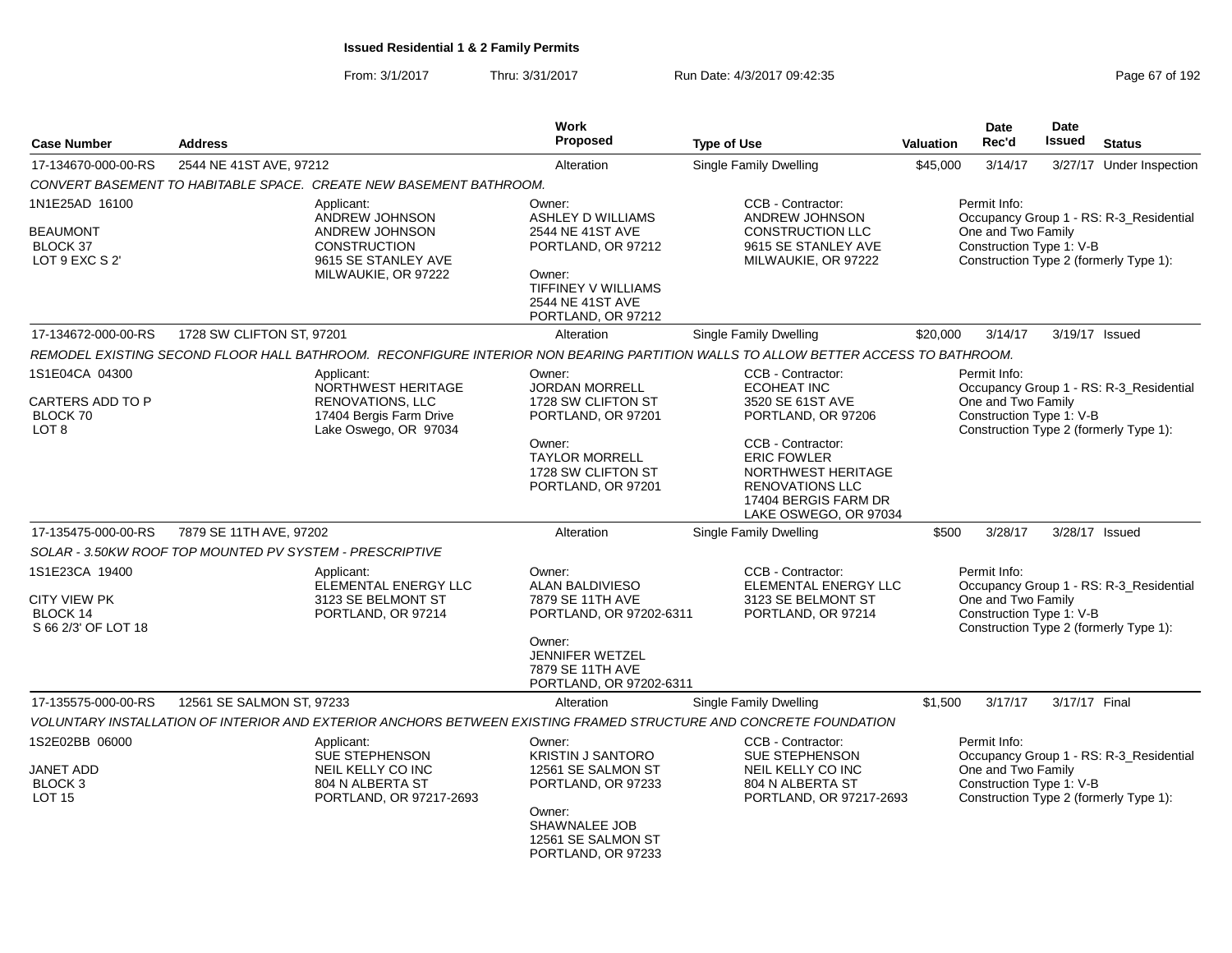| <b>Case Number</b>                                                              | <b>Address</b>                                           |                                                                                                       | Work<br><b>Proposed</b>                                                                                                                               | <b>Type of Use</b>                                                                                                                | Valuation | <b>Date</b><br>Rec'd                                           | <b>Date</b><br>Issued | <b>Status</b>                                                                     |
|---------------------------------------------------------------------------------|----------------------------------------------------------|-------------------------------------------------------------------------------------------------------|-------------------------------------------------------------------------------------------------------------------------------------------------------|-----------------------------------------------------------------------------------------------------------------------------------|-----------|----------------------------------------------------------------|-----------------------|-----------------------------------------------------------------------------------|
| 17-134670-000-00-RS                                                             | 2544 NE 41ST AVE, 97212                                  |                                                                                                       | Alteration                                                                                                                                            | Single Family Dwelling                                                                                                            | \$45,000  | 3/14/17                                                        |                       | 3/27/17 Under Inspection                                                          |
|                                                                                 |                                                          | CONVERT BASEMENT TO HABITABLE SPACE.  CREATE NEW BASEMENT BATHROOM.                                   |                                                                                                                                                       |                                                                                                                                   |           |                                                                |                       |                                                                                   |
| 1N1E25AD 16100                                                                  |                                                          | Applicant:                                                                                            | Owner:                                                                                                                                                | CCB - Contractor:                                                                                                                 |           | Permit Info:                                                   |                       |                                                                                   |
| <b>BEAUMONT</b><br><b>BLOCK 37</b><br>LOT 9 EXC S 2'                            |                                                          | ANDREW JOHNSON<br>ANDREW JOHNSON<br><b>CONSTRUCTION</b><br>9615 SE STANLEY AVE<br>MILWAUKIE, OR 97222 | <b>ASHLEY D WILLIAMS</b><br>2544 NE 41ST AVE<br>PORTLAND, OR 97212<br>Owner:<br>TIFFINEY V WILLIAMS<br>2544 NE 41ST AVE<br>PORTLAND, OR 97212         | ANDREW JOHNSON<br><b>CONSTRUCTION LLC</b><br>9615 SE STANLEY AVE<br>MILWAUKIE, OR 97222                                           |           | One and Two Family<br>Construction Type 1: V-B                 |                       | Occupancy Group 1 - RS: R-3_Residential<br>Construction Type 2 (formerly Type 1): |
| 17-134672-000-00-RS                                                             | 1728 SW CLIFTON ST, 97201                                |                                                                                                       | Alteration                                                                                                                                            | Single Family Dwelling                                                                                                            | \$20,000  | 3/14/17                                                        |                       | 3/19/17 Issued                                                                    |
|                                                                                 |                                                          |                                                                                                       |                                                                                                                                                       | REMODEL EXISTING SECOND FLOOR HALL BATHROOM. RECONFIGURE INTERIOR NON BEARING PARTITION WALLS TO ALLOW BETTER ACCESS TO BATHROOM. |           |                                                                |                       |                                                                                   |
| 1S1E04CA 04300<br>CARTERS ADD TO P<br>BLOCK 70                                  |                                                          | Applicant:<br>NORTHWEST HERITAGE<br>RENOVATIONS, LLC<br>17404 Bergis Farm Drive                       | Owner:<br><b>JORDAN MORRELL</b><br>1728 SW CLIFTON ST<br>PORTLAND, OR 97201                                                                           | CCB - Contractor:<br><b>ECOHEAT INC</b><br>3520 SE 61ST AVE<br>PORTLAND, OR 97206                                                 |           | Permit Info:<br>One and Two Family<br>Construction Type 1: V-B |                       | Occupancy Group 1 - RS: R-3 Residential                                           |
| LOT <sub>8</sub>                                                                |                                                          | Lake Oswego, OR 97034                                                                                 | Owner:<br><b>TAYLOR MORRELL</b><br>1728 SW CLIFTON ST<br>PORTLAND, OR 97201                                                                           | CCB - Contractor:<br><b>ERIC FOWLER</b><br>NORTHWEST HERITAGE<br>RENOVATIONS LLC<br>17404 BERGIS FARM DR<br>LAKE OSWEGO, OR 97034 |           |                                                                |                       | Construction Type 2 (formerly Type 1):                                            |
| 17-135475-000-00-RS                                                             | 7879 SE 11TH AVE, 97202                                  |                                                                                                       | Alteration                                                                                                                                            | Single Family Dwelling                                                                                                            | \$500     | 3/28/17                                                        |                       | 3/28/17 Issued                                                                    |
|                                                                                 | SOLAR - 3.50KW ROOF TOP MOUNTED PV SYSTEM - PRESCRIPTIVE |                                                                                                       |                                                                                                                                                       |                                                                                                                                   |           |                                                                |                       |                                                                                   |
| 1S1E23CA 19400<br><b>CITY VIEW PK</b><br><b>BLOCK 14</b><br>S 66 2/3' OF LOT 18 |                                                          | Applicant:<br>ELEMENTAL ENERGY LLC<br>3123 SE BELMONT ST<br>PORTLAND, OR 97214                        | Owner:<br><b>ALAN BALDIVIESO</b><br>7879 SE 11TH AVE<br>PORTLAND, OR 97202-6311<br>Owner:                                                             | CCB - Contractor:<br>ELEMENTAL ENERGY LLC<br>3123 SE BELMONT ST<br>PORTLAND, OR 97214                                             |           | Permit Info:<br>One and Two Family<br>Construction Type 1: V-B |                       | Occupancy Group 1 - RS: R-3_Residential<br>Construction Type 2 (formerly Type 1): |
|                                                                                 |                                                          |                                                                                                       | JENNIFER WETZEL<br>7879 SE 11TH AVE<br>PORTLAND, OR 97202-6311                                                                                        |                                                                                                                                   |           |                                                                |                       |                                                                                   |
| 17-135575-000-00-RS                                                             | 12561 SE SALMON ST, 97233                                |                                                                                                       | Alteration                                                                                                                                            | Single Family Dwelling                                                                                                            | \$1,500   | 3/17/17                                                        | 3/17/17 Final         |                                                                                   |
|                                                                                 |                                                          |                                                                                                       |                                                                                                                                                       | VOLUNTARY INSTALLATION OF INTERIOR AND EXTERIOR ANCHORS BETWEEN EXISTING FRAMED STRUCTURE AND CONCRETE FOUNDATION                 |           |                                                                |                       |                                                                                   |
| 1S2E02BB 06000<br><b>JANET ADD</b><br>BLOCK <sub>3</sub><br><b>LOT 15</b>       |                                                          | Applicant:<br>SUE STEPHENSON<br>NEIL KELLY CO INC<br>804 N ALBERTA ST<br>PORTLAND, OR 97217-2693      | Owner:<br><b>KRISTIN J SANTORO</b><br>12561 SE SALMON ST<br>PORTLAND, OR 97233<br>Owner:<br>SHAWNALEE JOB<br>12561 SE SALMON ST<br>PORTLAND, OR 97233 | CCB - Contractor:<br><b>SUE STEPHENSON</b><br>NEIL KELLY CO INC<br>804 N ALBERTA ST<br>PORTLAND, OR 97217-2693                    |           | Permit Info:<br>One and Two Family<br>Construction Type 1: V-B |                       | Occupancy Group 1 - RS: R-3_Residential<br>Construction Type 2 (formerly Type 1): |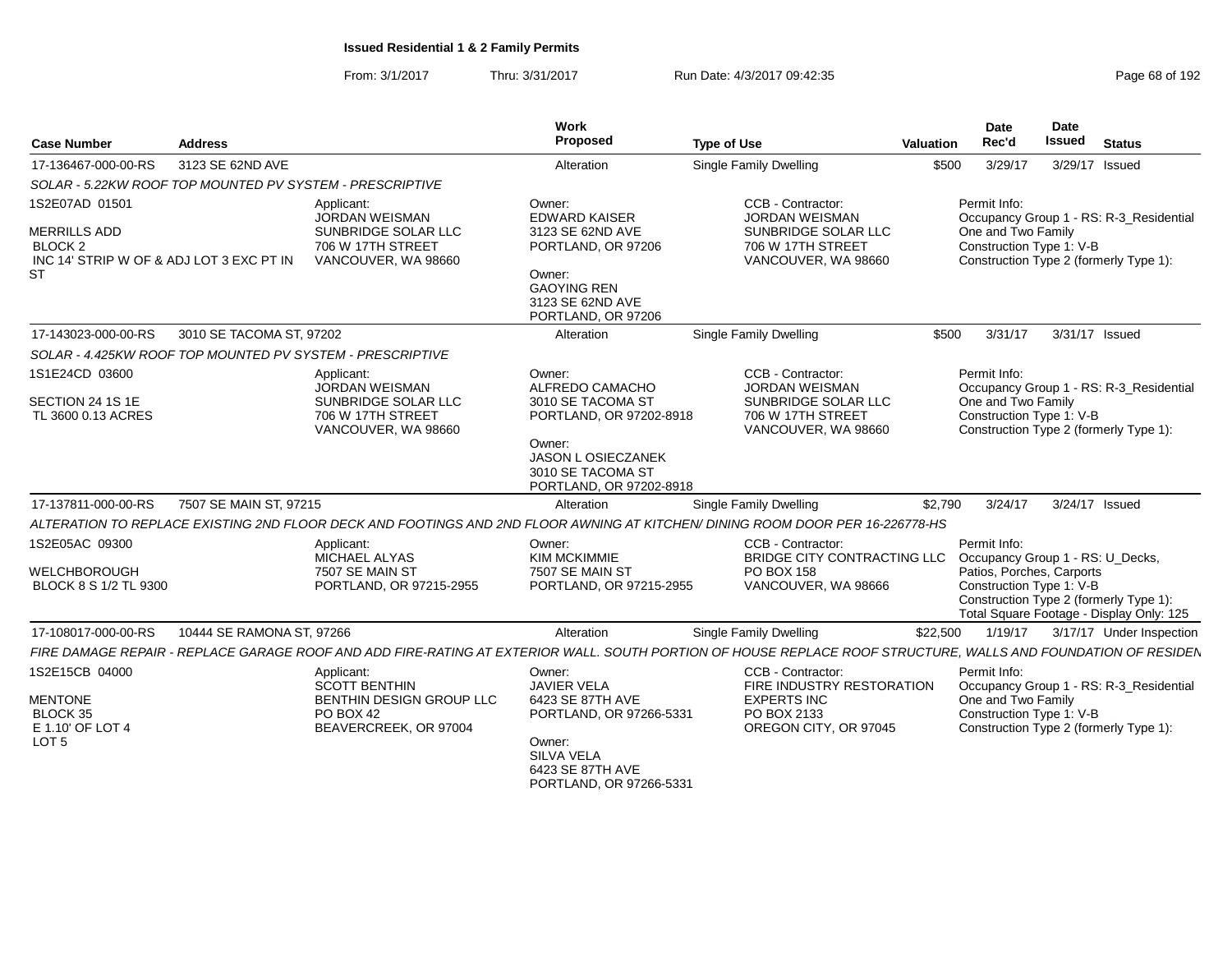| <b>Case Number</b>                                                                                                   | <b>Address</b>                                           |                                                                                                        | Work<br>Proposed                                                                                                                                   | <b>Type of Use</b>                                                                                                                                            | Valuation | Date<br>Rec'd                      | <b>Date</b><br>Issued                                 | <b>Status</b>                                                                      |
|----------------------------------------------------------------------------------------------------------------------|----------------------------------------------------------|--------------------------------------------------------------------------------------------------------|----------------------------------------------------------------------------------------------------------------------------------------------------|---------------------------------------------------------------------------------------------------------------------------------------------------------------|-----------|------------------------------------|-------------------------------------------------------|------------------------------------------------------------------------------------|
| 17-136467-000-00-RS                                                                                                  | 3123 SE 62ND AVE                                         |                                                                                                        | Alteration                                                                                                                                         | Single Family Dwelling                                                                                                                                        | \$500     | 3/29/17                            |                                                       | 3/29/17 Issued                                                                     |
|                                                                                                                      | SOLAR - 5.22KW ROOF TOP MOUNTED PV SYSTEM - PRESCRIPTIVE |                                                                                                        |                                                                                                                                                    |                                                                                                                                                               |           |                                    |                                                       |                                                                                    |
| 1S2E07AD 01501<br><b>MERRILLS ADD</b><br>BLOCK <sub>2</sub><br>INC 14' STRIP W OF & ADJ LOT 3 EXC PT IN<br><b>ST</b> |                                                          | Applicant:<br><b>JORDAN WEISMAN</b><br>SUNBRIDGE SOLAR LLC<br>706 W 17TH STREET<br>VANCOUVER, WA 98660 | Owner:<br><b>EDWARD KAISER</b><br>3123 SE 62ND AVE<br>PORTLAND, OR 97206<br>Owner:<br><b>GAOYING REN</b><br>3123 SE 62ND AVE<br>PORTLAND, OR 97206 | CCB - Contractor:<br><b>JORDAN WEISMAN</b><br>SUNBRIDGE SOLAR LLC<br>706 W 17TH STREET<br>VANCOUVER, WA 98660                                                 |           | Permit Info:<br>One and Two Family | Construction Type 1: V-B                              | Occupancy Group 1 - RS: R-3 Residential<br>Construction Type 2 (formerly Type 1):  |
| 17-143023-000-00-RS                                                                                                  | 3010 SE TACOMA ST. 97202                                 |                                                                                                        | Alteration                                                                                                                                         | <b>Single Family Dwelling</b>                                                                                                                                 | \$500     | 3/31/17                            |                                                       | 3/31/17 Issued                                                                     |
|                                                                                                                      |                                                          | SOLAR - 4.425KW ROOF TOP MOUNTED PV SYSTEM - PRESCRIPTIVE                                              |                                                                                                                                                    |                                                                                                                                                               |           |                                    |                                                       |                                                                                    |
| 1S1E24CD 03600                                                                                                       |                                                          | Applicant:<br><b>JORDAN WEISMAN</b>                                                                    | Owner:<br>ALFREDO CAMACHO                                                                                                                          | CCB - Contractor:<br><b>JORDAN WEISMAN</b>                                                                                                                    |           | Permit Info:                       |                                                       | Occupancy Group 1 - RS: R-3 Residential                                            |
| SECTION 24 1S 1E<br>TL 3600 0.13 ACRES                                                                               |                                                          | SUNBRIDGE SOLAR LLC<br>706 W 17TH STREET<br>VANCOUVER, WA 98660                                        | 3010 SE TACOMA ST<br>PORTLAND, OR 97202-8918                                                                                                       | SUNBRIDGE SOLAR LLC<br>706 W 17TH STREET<br>VANCOUVER, WA 98660                                                                                               |           | One and Two Family                 | Construction Type 1: V-B                              | Construction Type 2 (formerly Type 1):                                             |
|                                                                                                                      |                                                          |                                                                                                        | Owner:<br><b>JASON L OSIECZANEK</b><br>3010 SE TACOMA ST<br>PORTLAND, OR 97202-8918                                                                |                                                                                                                                                               |           |                                    |                                                       |                                                                                    |
| 17-137811-000-00-RS                                                                                                  | 7507 SE MAIN ST, 97215                                   |                                                                                                        | Alteration                                                                                                                                         | <b>Single Family Dwelling</b>                                                                                                                                 | \$2,790   | 3/24/17                            |                                                       | 3/24/17 Issued                                                                     |
|                                                                                                                      |                                                          |                                                                                                        |                                                                                                                                                    | ALTERATION TO REPLACE EXISTING 2ND FLOOR DECK AND FOOTINGS AND 2ND FLOOR AWNING AT KITCHEN/ DINING ROOM DOOR PER 16-226778-HS                                 |           |                                    |                                                       |                                                                                    |
| 1S2E05AC 09300                                                                                                       |                                                          | Applicant:<br>MICHAEL ALYAS                                                                            | Owner:<br><b>KIM MCKIMMIE</b>                                                                                                                      | CCB - Contractor:<br>BRIDGE CITY CONTRACTING LLC  Occupancy Group 1 - RS: U_Decks,                                                                            |           | Permit Info:                       |                                                       |                                                                                    |
| WELCHBOROUGH<br>BLOCK 8 S 1/2 TL 9300                                                                                |                                                          | 7507 SE MAIN ST<br>PORTLAND, OR 97215-2955                                                             | 7507 SE MAIN ST<br>PORTLAND, OR 97215-2955                                                                                                         | PO BOX 158<br>VANCOUVER, WA 98666                                                                                                                             |           |                                    | Patios, Porches, Carports<br>Construction Type 1: V-B | Construction Type 2 (formerly Type 1):<br>Total Square Footage - Display Only: 125 |
| 17-108017-000-00-RS                                                                                                  | 10444 SE RAMONA ST, 97266                                |                                                                                                        | Alteration                                                                                                                                         | Single Family Dwelling                                                                                                                                        | \$22,500  | 1/19/17                            |                                                       | 3/17/17 Under Inspection                                                           |
|                                                                                                                      |                                                          |                                                                                                        |                                                                                                                                                    | FIRE DAMAGE REPAIR - REPLACE GARAGE ROOF AND ADD FIRE-RATING AT EXTERIOR WALL. SOUTH PORTION OF HOUSE REPLACE ROOF STRUCTURE. WALLS AND FOUNDATION OF RESIDEN |           |                                    |                                                       |                                                                                    |
| 1S2E15CB 04000                                                                                                       |                                                          | Applicant:<br><b>SCOTT BENTHIN</b>                                                                     | Owner:<br><b>JAVIER VELA</b>                                                                                                                       | CCB - Contractor:<br>FIRE INDUSTRY RESTORATION                                                                                                                |           | Permit Info:                       |                                                       | Occupancy Group 1 - RS: R-3_Residential                                            |
| <b>MENTONE</b><br>BLOCK 35<br>E 1.10' OF LOT 4                                                                       |                                                          | BENTHIN DESIGN GROUP LLC<br>PO BOX 42<br>BEAVERCREEK, OR 97004                                         | 6423 SE 87TH AVE<br>PORTLAND, OR 97266-5331                                                                                                        | <b>EXPERTS INC</b><br>PO BOX 2133<br>OREGON CITY, OR 97045                                                                                                    |           | One and Two Family                 | Construction Type 1: V-B                              | Construction Type 2 (formerly Type 1):                                             |
| LOT <sub>5</sub>                                                                                                     |                                                          |                                                                                                        | Owner:<br><b>SILVA VELA</b><br>6423 SE 87TH AVE<br>PORTLAND, OR 97266-5331                                                                         |                                                                                                                                                               |           |                                    |                                                       |                                                                                    |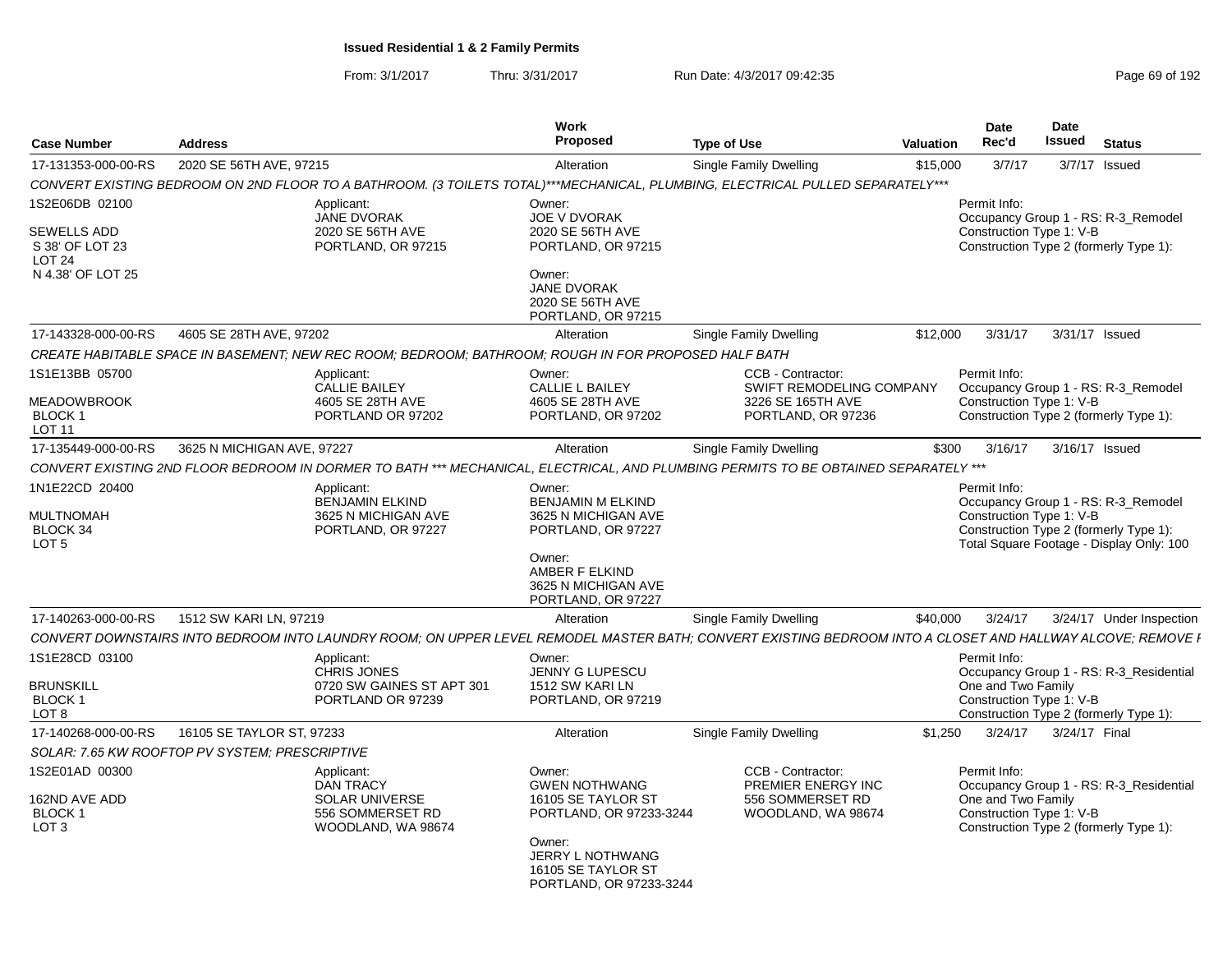| <b>Case Number</b>                                      | <b>Address</b>                                 |                                                                                                      | Work<br><b>Proposed</b>                                                                                       | <b>Type of Use</b>                                                                                                                                            | <b>Valuation</b> | <b>Date</b><br>Rec'd                                                                                                      | Date<br><b>Issued</b> | <b>Status</b>            |
|---------------------------------------------------------|------------------------------------------------|------------------------------------------------------------------------------------------------------|---------------------------------------------------------------------------------------------------------------|---------------------------------------------------------------------------------------------------------------------------------------------------------------|------------------|---------------------------------------------------------------------------------------------------------------------------|-----------------------|--------------------------|
| 17-131353-000-00-RS                                     | 2020 SE 56TH AVE, 97215                        |                                                                                                      | Alteration                                                                                                    | Single Family Dwelling                                                                                                                                        | \$15,000         | 3/7/17                                                                                                                    | 3/7/17 Issued         |                          |
|                                                         |                                                |                                                                                                      |                                                                                                               | CONVERT EXISTING BEDROOM ON 2ND FLOOR TO A BATHROOM. (3 TOILETS TOTAL)***MECHANICAL, PLUMBING, ELECTRICAL PULLED SEPARATELY***                                |                  |                                                                                                                           |                       |                          |
| 1S2E06DB 02100<br><b>SEWELLS ADD</b><br>S 38' OF LOT 23 |                                                | Applicant:<br>JANE DVORAK<br>2020 SE 56TH AVE<br>PORTLAND, OR 97215                                  | Owner:<br>JOE V DVORAK<br>2020 SE 56TH AVE<br>PORTLAND, OR 97215                                              |                                                                                                                                                               |                  | Permit Info:<br>Occupancy Group 1 - RS: R-3_Remodel<br>Construction Type 1: V-B<br>Construction Type 2 (formerly Type 1): |                       |                          |
| LOT <sub>24</sub><br>N 4.38' OF LOT 25                  |                                                |                                                                                                      | Owner:<br><b>JANE DVORAK</b><br>2020 SE 56TH AVE<br>PORTLAND, OR 97215                                        |                                                                                                                                                               |                  |                                                                                                                           |                       |                          |
| 17-143328-000-00-RS                                     | 4605 SE 28TH AVE, 97202                        |                                                                                                      | Alteration                                                                                                    | Single Family Dwelling                                                                                                                                        | \$12,000         | 3/31/17                                                                                                                   | 3/31/17 Issued        |                          |
|                                                         |                                                | CREATE HABITABLE SPACE IN BASEMENT: NEW REC ROOM: BEDROOM: BATHROOM: ROUGH IN FOR PROPOSED HALF BATH |                                                                                                               |                                                                                                                                                               |                  |                                                                                                                           |                       |                          |
| 1S1E13BB 05700<br><b>MEADOWBROOK</b><br><b>BLOCK1</b>   |                                                | Applicant:<br><b>CALLIE BAILEY</b><br>4605 SE 28TH AVE<br>PORTLAND OR 97202                          | Owner:<br><b>CALLIE L BAILEY</b><br>4605 SE 28TH AVE<br>PORTLAND, OR 97202                                    | CCB - Contractor:<br>SWIFT REMODELING COMPANY<br>3226 SE 165TH AVE<br>PORTLAND, OR 97236                                                                      |                  | Permit Info:<br>Occupancy Group 1 - RS: R-3 Remodel<br>Construction Type 1: V-B<br>Construction Type 2 (formerly Type 1): |                       |                          |
| LOT 11                                                  |                                                |                                                                                                      |                                                                                                               |                                                                                                                                                               |                  |                                                                                                                           |                       |                          |
| 17-135449-000-00-RS                                     | 3625 N MICHIGAN AVE, 97227                     |                                                                                                      | Alteration                                                                                                    | Single Family Dwelling<br>CONVERT EXISTING 2ND FLOOR BEDROOM IN DORMER TO BATH *** MECHANICAL. ELECTRICAL. AND PLUMBING PERMITS TO BE OBTAINED SEPARATELY *** | \$300            | 3/16/17                                                                                                                   | 3/16/17 Issued        |                          |
| 1N1E22CD 20400<br><b>MULTNOMAH</b>                      |                                                | Applicant:<br><b>BENJAMIN ELKIND</b><br>3625 N MICHIGAN AVE                                          | Owner:<br><b>BENJAMIN M ELKIND</b><br>3625 N MICHIGAN AVE                                                     |                                                                                                                                                               |                  | Permit Info:<br>Occupancy Group 1 - RS: R-3_Remodel<br>Construction Type 1: V-B                                           |                       |                          |
| BLOCK 34<br>LOT <sub>5</sub>                            |                                                | PORTLAND, OR 97227                                                                                   | PORTLAND, OR 97227<br>Owner:<br>AMBER F ELKIND<br>3625 N MICHIGAN AVE<br>PORTLAND, OR 97227                   |                                                                                                                                                               |                  | Construction Type 2 (formerly Type 1):<br>Total Square Footage - Display Only: 100                                        |                       |                          |
| 17-140263-000-00-RS                                     | 1512 SW KARI LN, 97219                         |                                                                                                      | Alteration                                                                                                    | Single Family Dwelling                                                                                                                                        | \$40,000         | 3/24/17                                                                                                                   |                       | 3/24/17 Under Inspection |
|                                                         |                                                |                                                                                                      |                                                                                                               | CONVERT DOWNSTAIRS INTO BEDROOM INTO LAUNDRY ROOM; ON UPPER LEVEL REMODEL MASTER BATH; CONVERT EXISTING BEDROOM INTO A CLOSET AND HALLWAY ALCOVE; REMOVE I    |                  |                                                                                                                           |                       |                          |
| 1S1E28CD 03100                                          |                                                | Applicant:<br>CHRIS JONES                                                                            | Owner:<br><b>JENNY G LUPESCU</b>                                                                              |                                                                                                                                                               |                  | Permit Info:<br>Occupancy Group 1 - RS: R-3 Residential                                                                   |                       |                          |
| <b>BRUNSKILL</b><br><b>BLOCK1</b><br>LOT <sub>8</sub>   |                                                | 0720 SW GAINES ST APT 301<br>PORTLAND OR 97239                                                       | 1512 SW KARI LN<br>PORTLAND, OR 97219                                                                         |                                                                                                                                                               |                  | One and Two Family<br>Construction Type 1: V-B<br>Construction Type 2 (formerly Type 1):                                  |                       |                          |
| 17-140268-000-00-RS                                     | 16105 SE TAYLOR ST, 97233                      |                                                                                                      | Alteration                                                                                                    | Single Family Dwelling                                                                                                                                        | \$1,250          | 3/24/17                                                                                                                   | 3/24/17 Final         |                          |
|                                                         | SOLAR: 7.65 KW ROOFTOP PV SYSTEM; PRESCRIPTIVE |                                                                                                      |                                                                                                               |                                                                                                                                                               |                  |                                                                                                                           |                       |                          |
| 1S2E01AD 00300<br>162ND AVE ADD                         |                                                | Applicant:<br><b>DAN TRACY</b><br><b>SOLAR UNIVERSE</b>                                              | Owner:<br><b>GWEN NOTHWANG</b><br>16105 SE TAYLOR ST                                                          | CCB - Contractor:<br>PREMIER ENERGY INC<br>556 SOMMERSET RD                                                                                                   |                  | Permit Info:<br>Occupancy Group 1 - RS: R-3_Residential<br>One and Two Family                                             |                       |                          |
| BLOCK 1<br>LOT <sub>3</sub>                             |                                                | 556 SOMMERSET RD<br>WOODLAND, WA 98674                                                               | PORTLAND, OR 97233-3244<br>Owner:<br><b>JERRY L NOTHWANG</b><br>16105 SE TAYLOR ST<br>PORTLAND, OR 97233-3244 | WOODLAND, WA 98674                                                                                                                                            |                  | Construction Type 1: V-B<br>Construction Type 2 (formerly Type 1):                                                        |                       |                          |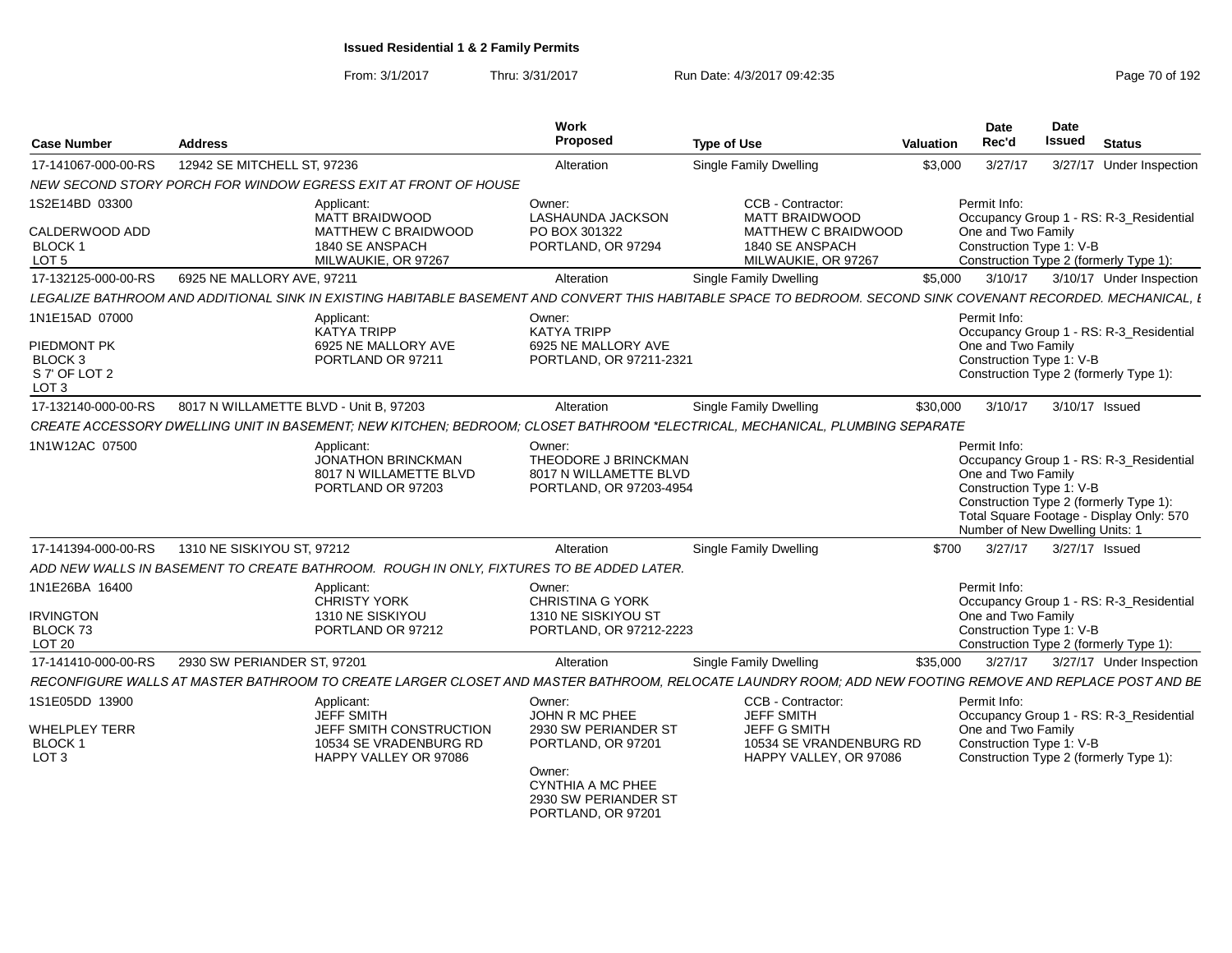| <b>Case Number</b>                                                                  | <b>Address</b>                         |                                                                                                        | <b>Work</b><br><b>Proposed</b>                                                                                                                      | <b>Type of Use</b>                                                                                                                                             | <b>Valuation</b> | <b>Date</b><br>Rec'd                                                                              | <b>Date</b><br><b>Issued</b> | <b>Status</b>                                                                                                                 |
|-------------------------------------------------------------------------------------|----------------------------------------|--------------------------------------------------------------------------------------------------------|-----------------------------------------------------------------------------------------------------------------------------------------------------|----------------------------------------------------------------------------------------------------------------------------------------------------------------|------------------|---------------------------------------------------------------------------------------------------|------------------------------|-------------------------------------------------------------------------------------------------------------------------------|
| 17-141067-000-00-RS                                                                 | 12942 SE MITCHELL ST. 97236            |                                                                                                        | Alteration                                                                                                                                          | <b>Single Family Dwelling</b>                                                                                                                                  | \$3,000          | 3/27/17                                                                                           |                              | 3/27/17 Under Inspection                                                                                                      |
|                                                                                     |                                        | NEW SECOND STORY PORCH FOR WINDOW EGRESS EXIT AT FRONT OF HOUSE                                        |                                                                                                                                                     |                                                                                                                                                                |                  |                                                                                                   |                              |                                                                                                                               |
| 1S2E14BD 03300<br>CALDERWOOD ADD<br><b>BLOCK1</b><br>LOT <sub>5</sub>               |                                        | Applicant:<br>MATT BRAIDWOOD<br>MATTHEW C BRAIDWOOD<br>1840 SE ANSPACH<br>MILWAUKIE, OR 97267          | Owner:<br><b>LASHAUNDA JACKSON</b><br>PO BOX 301322<br>PORTLAND, OR 97294                                                                           | CCB - Contractor:<br><b>MATT BRAIDWOOD</b><br>MATTHEW C BRAIDWOOD<br>1840 SE ANSPACH<br>MILWAUKIE, OR 97267                                                    |                  | Permit Info:<br>One and Two Family<br>Construction Type 1: V-B                                    |                              | Occupancy Group 1 - RS: R-3 Residential<br>Construction Type 2 (formerly Type 1):                                             |
| 17-132125-000-00-RS                                                                 | 6925 NE MALLORY AVE, 97211             |                                                                                                        | Alteration                                                                                                                                          | Single Family Dwelling                                                                                                                                         | \$5,000          | 3/10/17                                                                                           |                              | 3/10/17 Under Inspection                                                                                                      |
|                                                                                     |                                        |                                                                                                        |                                                                                                                                                     | LEGALIZE BATHROOM AND ADDITIONAL SINK IN EXISTING HABITABLE BASEMENT AND CONVERT THIS HABITABLE SPACE TO BEDROOM. SECOND SINK COVENANT RECORDED. MECHANICAL. L |                  |                                                                                                   |                              |                                                                                                                               |
| 1N1E15AD 07000<br>PIEDMONT PK<br><b>BLOCK3</b><br>S 7' OF LOT 2<br>LOT <sub>3</sub> |                                        | Applicant:<br><b>KATYA TRIPP</b><br>6925 NE MALLORY AVE<br>PORTLAND OR 97211                           | Owner:<br><b>KATYA TRIPP</b><br>6925 NE MALLORY AVE<br>PORTLAND, OR 97211-2321                                                                      |                                                                                                                                                                |                  | Permit Info:<br>One and Two Family<br>Construction Type 1: V-B                                    |                              | Occupancy Group 1 - RS: R-3 Residential<br>Construction Type 2 (formerly Type 1):                                             |
| 17-132140-000-00-RS                                                                 | 8017 N WILLAMETTE BLVD - Unit B, 97203 |                                                                                                        | Alteration                                                                                                                                          | <b>Single Family Dwelling</b>                                                                                                                                  | \$30,000         | 3/10/17                                                                                           | 3/10/17 Issued               |                                                                                                                               |
|                                                                                     |                                        |                                                                                                        |                                                                                                                                                     | CREATE ACCESSORY DWELLING UNIT IN BASEMENT; NEW KITCHEN; BEDROOM; CLOSET BATHROOM *ELECTRICAL, MECHANICAL, PLUMBING SEPARATE                                   |                  |                                                                                                   |                              |                                                                                                                               |
| 1N1W12AC 07500                                                                      |                                        | Applicant:<br><b>JONATHON BRINCKMAN</b><br>8017 N WILLAMETTE BLVD<br>PORTLAND OR 97203                 | Owner:<br>THEODORE J BRINCKMAN<br>8017 N WILLAMETTE BLVD<br>PORTLAND, OR 97203-4954                                                                 |                                                                                                                                                                |                  | Permit Info:<br>One and Two Family<br>Construction Type 1: V-B<br>Number of New Dwelling Units: 1 |                              | Occupancy Group 1 - RS: R-3_Residential<br>Construction Type 2 (formerly Type 1):<br>Total Square Footage - Display Only: 570 |
| 17-141394-000-00-RS                                                                 | 1310 NE SISKIYOU ST, 97212             |                                                                                                        | Alteration                                                                                                                                          | <b>Single Family Dwelling</b>                                                                                                                                  | \$700            | 3/27/17                                                                                           | 3/27/17 Issued               |                                                                                                                               |
|                                                                                     |                                        | ADD NEW WALLS IN BASEMENT TO CREATE BATHROOM. ROUGH IN ONLY, FIXTURES TO BE ADDED LATER.               |                                                                                                                                                     |                                                                                                                                                                |                  |                                                                                                   |                              |                                                                                                                               |
| 1N1E26BA 16400<br><b>IRVINGTON</b><br>BLOCK 73<br><b>LOT 20</b>                     |                                        | Applicant:<br><b>CHRISTY YORK</b><br>1310 NE SISKIYOU<br>PORTLAND OR 97212                             | Owner:<br>CHRISTINA G YORK<br>1310 NE SISKIYOU ST<br>PORTLAND, OR 97212-2223                                                                        |                                                                                                                                                                |                  | Permit Info:<br>One and Two Family<br>Construction Type 1: V-B                                    |                              | Occupancy Group 1 - RS: R-3 Residential<br>Construction Type 2 (formerly Type 1):                                             |
| 17-141410-000-00-RS                                                                 | 2930 SW PERIANDER ST, 97201            |                                                                                                        | Alteration                                                                                                                                          | Single Family Dwelling                                                                                                                                         | \$35,000         | 3/27/17                                                                                           |                              | 3/27/17 Under Inspection                                                                                                      |
|                                                                                     |                                        |                                                                                                        |                                                                                                                                                     | RECONFIGURE WALLS AT MASTER BATHROOM TO CREATE LARGER CLOSET AND MASTER BATHROOM. RELOCATE LAUNDRY ROOM: ADD NEW FOOTING REMOVE AND REPLACE POST AND BE        |                  |                                                                                                   |                              |                                                                                                                               |
| 1S1E05DD 13900<br><b>WHELPLEY TERR</b><br><b>BLOCK 1</b><br>LOT <sub>3</sub>        |                                        | Applicant:<br>JEFF SMITH<br>JEFF SMITH CONSTRUCTION<br>10534 SE VRADENBURG RD<br>HAPPY VALLEY OR 97086 | Owner:<br>JOHN R MC PHEE<br>2930 SW PERIANDER ST<br>PORTLAND, OR 97201<br>Owner:<br>CYNTHIA A MC PHEE<br>2930 SW PERIANDER ST<br>PORTLAND, OR 97201 | CCB - Contractor:<br><b>JEFF SMITH</b><br><b>JEFF G SMITH</b><br>10534 SE VRANDENBURG RD<br>HAPPY VALLEY, OR 97086                                             |                  | Permit Info:<br>One and Two Family<br>Construction Type 1: V-B                                    |                              | Occupancy Group 1 - RS: R-3_Residential<br>Construction Type 2 (formerly Type 1):                                             |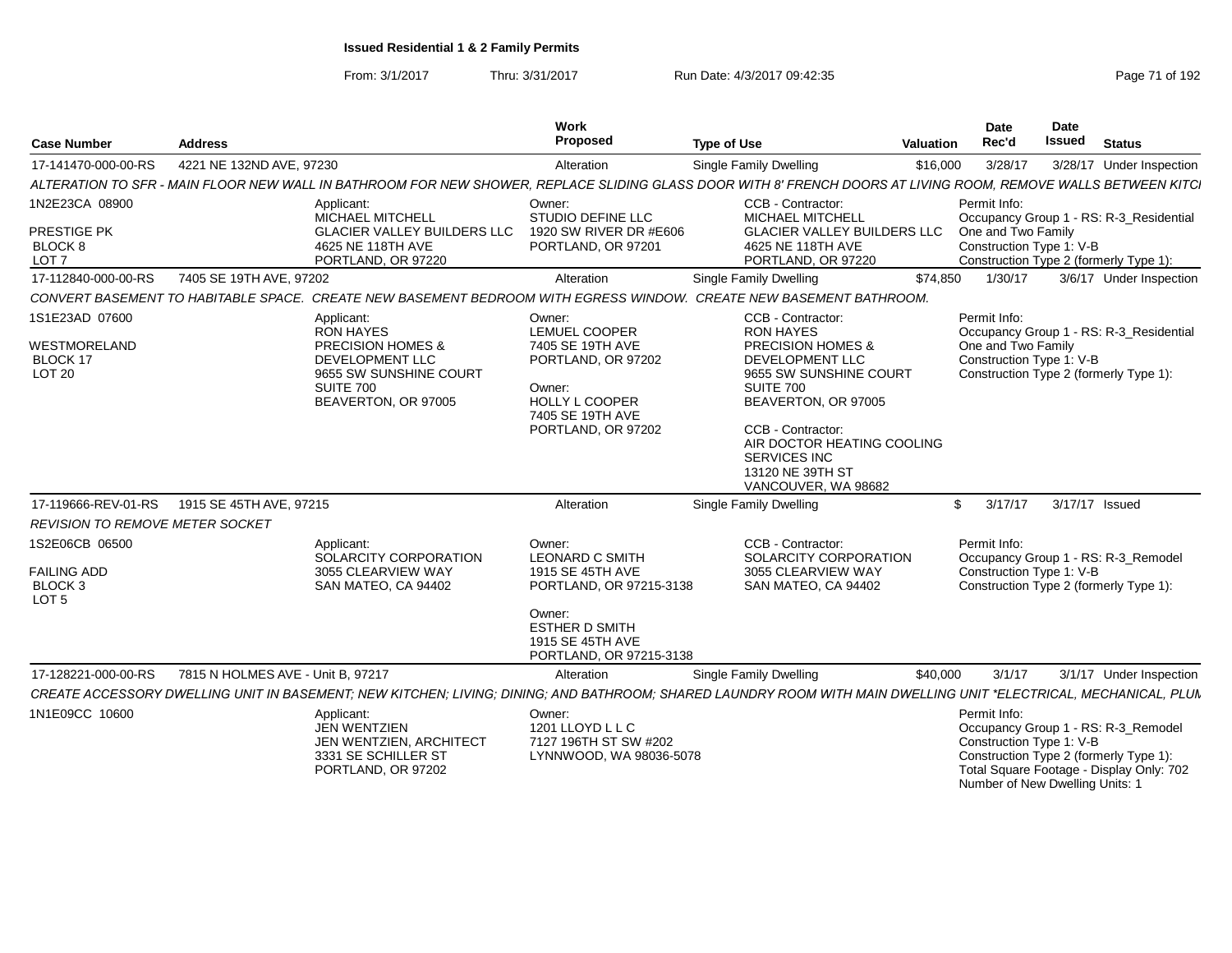From: 3/1/2017Thru: 3/31/2017 Run Date: 4/3/2017 09:42:35 Page 71 of 192

| <b>Case Number</b>                                                  | <b>Address</b>                    |                                                                                                                                                                  | Work<br>Proposed                                                                                                                               | <b>Type of Use</b>                                                                                                                                                                                                                                                          | Valuation | Date<br>Rec'd                                                  | <b>Date</b><br><b>Issued</b><br><b>Status</b>                                                                                                                |
|---------------------------------------------------------------------|-----------------------------------|------------------------------------------------------------------------------------------------------------------------------------------------------------------|------------------------------------------------------------------------------------------------------------------------------------------------|-----------------------------------------------------------------------------------------------------------------------------------------------------------------------------------------------------------------------------------------------------------------------------|-----------|----------------------------------------------------------------|--------------------------------------------------------------------------------------------------------------------------------------------------------------|
| 17-141470-000-00-RS                                                 | 4221 NE 132ND AVE, 97230          |                                                                                                                                                                  | Alteration                                                                                                                                     | Single Family Dwelling                                                                                                                                                                                                                                                      | \$16,000  | 3/28/17                                                        | 3/28/17 Under Inspection                                                                                                                                     |
|                                                                     |                                   | ALTERATION TO SFR - MAIN FLOOR NEW WALL IN BATHROOM FOR NEW SHOWER, REPLACE SLIDING GLASS DOOR WITH 8' FRENCH DOORS AT LIVING ROOM, REMOVE WALLS BETWEEN KITCI   |                                                                                                                                                |                                                                                                                                                                                                                                                                             |           |                                                                |                                                                                                                                                              |
| 1N2E23CA 08900<br>PRESTIGE PK<br>BLOCK 8<br>LOT <sub>7</sub>        |                                   | Applicant:<br>MICHAEL MITCHELL<br><b>GLACIER VALLEY BUILDERS LLC</b><br>4625 NE 118TH AVE<br>PORTLAND, OR 97220                                                  | Owner:<br>STUDIO DEFINE LLC<br>1920 SW RIVER DR #E606<br>PORTLAND, OR 97201                                                                    | <b>CCB - Contractor:</b><br><b>MICHAEL MITCHELL</b><br><b>GLACIER VALLEY BUILDERS LLC</b><br>4625 NE 118TH AVE<br>PORTLAND, OR 97220                                                                                                                                        |           | Permit Info:<br>One and Two Family<br>Construction Type 1: V-B | Occupancy Group 1 - RS: R-3_Residential<br>Construction Type 2 (formerly Type 1):                                                                            |
| 17-112840-000-00-RS                                                 | 7405 SE 19TH AVE, 97202           |                                                                                                                                                                  | Alteration                                                                                                                                     | Single Family Dwelling                                                                                                                                                                                                                                                      | \$74,850  | 1/30/17                                                        | 3/6/17 Under Inspection                                                                                                                                      |
|                                                                     |                                   | CONVERT BASEMENT TO HABITABLE SPACE. CREATE NEW BASEMENT BEDROOM WITH EGRESS WINDOW. CREATE NEW BASEMENT BATHROOM                                                |                                                                                                                                                |                                                                                                                                                                                                                                                                             |           |                                                                |                                                                                                                                                              |
| 1S1E23AD 07600<br>WESTMORELAND<br>BLOCK 17<br><b>LOT 20</b>         |                                   | Applicant:<br>RON HAYES<br><b>PRECISION HOMES &amp;</b><br>DEVELOPMENT LLC<br>9655 SW SUNSHINE COURT<br>SUITE 700<br>BEAVERTON, OR 97005                         | Owner:<br>LEMUEL COOPER<br>7405 SE 19TH AVE<br>PORTLAND, OR 97202<br>Owner:<br><b>HOLLY L COOPER</b><br>7405 SE 19TH AVE<br>PORTLAND, OR 97202 | CCB - Contractor:<br><b>RON HAYES</b><br><b>PRECISION HOMES &amp;</b><br>DEVELOPMENT LLC<br>9655 SW SUNSHINE COURT<br><b>SUITE 700</b><br>BEAVERTON, OR 97005<br>CCB - Contractor:<br>AIR DOCTOR HEATING COOLING<br>SERVICES INC<br>13120 NE 39TH ST<br>VANCOUVER, WA 98682 |           | Permit Info:<br>One and Two Family                             | Occupancy Group 1 - RS: R-3_Residential<br>Construction Type 1: V-B<br>Construction Type 2 (formerly Type 1):                                                |
| 17-119666-REV-01-RS                                                 | 1915 SE 45TH AVE, 97215           |                                                                                                                                                                  | Alteration                                                                                                                                     | Single Family Dwelling                                                                                                                                                                                                                                                      |           | \$3/17/17                                                      | 3/17/17 Issued                                                                                                                                               |
| <b>REVISION TO REMOVE METER SOCKET</b>                              |                                   |                                                                                                                                                                  |                                                                                                                                                |                                                                                                                                                                                                                                                                             |           |                                                                |                                                                                                                                                              |
| 1S2E06CB 06500<br><b>FAILING ADD</b><br>BLOCK 3<br>LOT <sub>5</sub> |                                   | Applicant:<br>SOLARCITY CORPORATION<br>3055 CLEARVIEW WAY<br>SAN MATEO, CA 94402                                                                                 | Owner:<br>LEONARD C SMITH<br>1915 SE 45TH AVE<br>PORTLAND, OR 97215-3138                                                                       | CCB - Contractor:<br>SOLARCITY CORPORATION<br>3055 CLEARVIEW WAY<br>SAN MATEO, CA 94402                                                                                                                                                                                     |           | Permit Info:                                                   | Occupancy Group 1 - RS: R-3_Remodel<br>Construction Type 1: V-B<br>Construction Type 2 (formerly Type 1):                                                    |
|                                                                     |                                   |                                                                                                                                                                  | Owner:<br><b>ESTHER D SMITH</b><br>1915 SE 45TH AVE<br>PORTLAND, OR 97215-3138                                                                 |                                                                                                                                                                                                                                                                             |           |                                                                |                                                                                                                                                              |
| 17-128221-000-00-RS                                                 | 7815 N HOLMES AVE - Unit B, 97217 |                                                                                                                                                                  | Alteration                                                                                                                                     | Single Family Dwelling                                                                                                                                                                                                                                                      | \$40.000  | 3/1/17                                                         | 3/1/17 Under Inspection                                                                                                                                      |
|                                                                     |                                   | CREATE ACCESSORY DWELLING UNIT IN BASEMENT; NEW KITCHEN; LIVING; DINING; AND BATHROOM; SHARED LAUNDRY ROOM WITH MAIN DWELLING UNIT *ELECTRICAL, MECHANICAL, PLUN |                                                                                                                                                |                                                                                                                                                                                                                                                                             |           |                                                                |                                                                                                                                                              |
| 1N1E09CC 10600                                                      |                                   | Applicant:<br>JEN WENTZIEN<br>JEN WENTZIEN, ARCHITECT<br>3331 SE SCHILLER ST<br>PORTLAND, OR 97202                                                               | Owner:<br>1201 LLOYD L L C<br>7127 196TH ST SW #202<br>LYNNWOOD, WA 98036-5078                                                                 |                                                                                                                                                                                                                                                                             |           | Permit Info:<br>Construction Type 1: V-B                       | Occupancy Group 1 - RS: R-3_Remodel<br>Construction Type 2 (formerly Type 1):<br>Total Square Footage - Display Only: 702<br>Number of New Dwelling Units: 1 |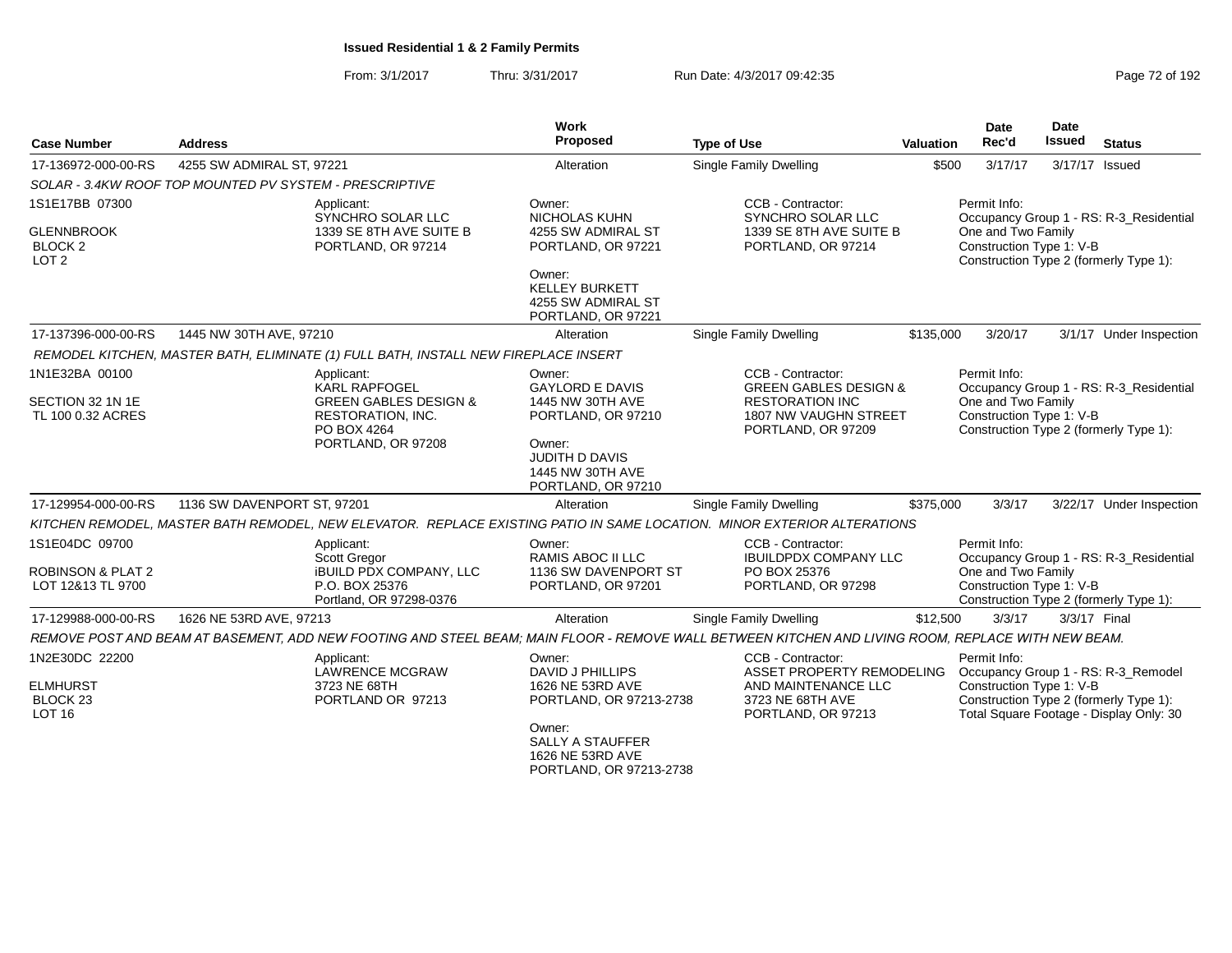From: 3/1/2017Thru: 3/31/2017 Run Date: 4/3/2017 09:42:35 Page 72 of 192

| <b>Case Number</b>                                      | <b>Address</b>                                                                                                                                     | Work<br>Proposed                                                            | <b>Type of Use</b>                                                                 | <b>Valuation</b> | <b>Date</b><br>Rec'd                           | <b>Date</b><br><b>Issued</b> | <b>Status</b>                                                                     |
|---------------------------------------------------------|----------------------------------------------------------------------------------------------------------------------------------------------------|-----------------------------------------------------------------------------|------------------------------------------------------------------------------------|------------------|------------------------------------------------|------------------------------|-----------------------------------------------------------------------------------|
| 17-136972-000-00-RS                                     | 4255 SW ADMIRAL ST, 97221                                                                                                                          | Alteration                                                                  | Single Family Dwelling                                                             | \$500            | 3/17/17                                        |                              | 3/17/17 Issued                                                                    |
|                                                         | SOLAR - 3.4KW ROOF TOP MOUNTED PV SYSTEM - PRESCRIPTIVE                                                                                            |                                                                             |                                                                                    |                  |                                                |                              |                                                                                   |
| 1S1E17BB 07300                                          | Applicant:<br>SYNCHRO SOLAR LLC                                                                                                                    | Owner:<br><b>NICHOLAS KUHN</b>                                              | CCB - Contractor:<br>SYNCHRO SOLAR LLC                                             |                  | Permit Info:                                   |                              | Occupancy Group 1 - RS: R-3_Residential                                           |
| <b>GLENNBROOK</b><br><b>BLOCK 2</b><br>LOT <sub>2</sub> | 1339 SE 8TH AVE SUITE B<br>PORTLAND, OR 97214                                                                                                      | 4255 SW ADMIRAL ST<br>PORTLAND, OR 97221                                    | 1339 SE 8TH AVE SUITE B<br>PORTLAND, OR 97214                                      |                  | One and Two Family<br>Construction Type 1: V-B |                              | Construction Type 2 (formerly Type 1):                                            |
|                                                         |                                                                                                                                                    | Owner:<br><b>KELLEY BURKETT</b><br>4255 SW ADMIRAL ST<br>PORTLAND, OR 97221 |                                                                                    |                  |                                                |                              |                                                                                   |
| 17-137396-000-00-RS                                     | 1445 NW 30TH AVE, 97210                                                                                                                            | Alteration                                                                  | Single Family Dwelling                                                             | \$135,000        | 3/20/17                                        |                              | 3/1/17 Under Inspection                                                           |
|                                                         | REMODEL KITCHEN, MASTER BATH, ELIMINATE (1) FULL BATH, INSTALL NEW FIREPLACE INSERT                                                                |                                                                             |                                                                                    |                  |                                                |                              |                                                                                   |
| 1N1E32BA 00100                                          | Applicant:<br><b>KARL RAPFOGEL</b>                                                                                                                 | Owner:<br><b>GAYLORD E DAVIS</b>                                            | CCB - Contractor:<br><b>GREEN GABLES DESIGN &amp;</b>                              |                  | Permit Info:                                   |                              | Occupancy Group 1 - RS: R-3_Residential                                           |
| SECTION 32 1N 1E<br>TL 100 0.32 ACRES                   | <b>GREEN GABLES DESIGN &amp;</b><br>RESTORATION, INC.<br>PO BOX 4264                                                                               | 1445 NW 30TH AVE<br>PORTLAND, OR 97210                                      | <b>RESTORATION INC</b><br>1807 NW VAUGHN STREET<br>PORTLAND, OR 97209              |                  | One and Two Family<br>Construction Type 1: V-B |                              | Construction Type 2 (formerly Type 1):                                            |
|                                                         | PORTLAND, OR 97208                                                                                                                                 | Owner:<br><b>JUDITH D DAVIS</b><br>1445 NW 30TH AVE<br>PORTLAND, OR 97210   |                                                                                    |                  |                                                |                              |                                                                                   |
| 17-129954-000-00-RS                                     | 1136 SW DAVENPORT ST, 97201                                                                                                                        | Alteration                                                                  | Single Family Dwelling                                                             | \$375,000        | 3/3/17                                         |                              | 3/22/17 Under Inspection                                                          |
|                                                         | KITCHEN REMODEL, MASTER BATH REMODEL, NEW ELEVATOR. REPLACE EXISTING PATIO IN SAME LOCATION. MINOR EXTERIOR ALTERATIONS                            |                                                                             |                                                                                    |                  |                                                |                              |                                                                                   |
| 1S1E04DC 09700                                          | Applicant:<br>Scott Gregor                                                                                                                         | Owner:<br>RAMIS ABOC II LLC                                                 | CCB - Contractor:<br><b>IBUILDPDX COMPANY LLC</b>                                  |                  | Permit Info:                                   |                              | Occupancy Group 1 - RS: R-3_Residential                                           |
| <b>ROBINSON &amp; PLAT 2</b><br>LOT 12&13 TL 9700       | <b>iBUILD PDX COMPANY, LLC</b><br>P.O. BOX 25376<br>Portland, OR 97298-0376                                                                        | 1136 SW DAVENPORT ST<br>PORTLAND, OR 97201                                  | PO BOX 25376<br>PORTLAND, OR 97298                                                 |                  | One and Two Family<br>Construction Type 1: V-B |                              | Construction Type 2 (formerly Type 1):                                            |
| 17-129988-000-00-RS                                     | 1626 NE 53RD AVE, 97213                                                                                                                            | Alteration                                                                  | Single Family Dwelling                                                             | \$12,500         | 3/3/17                                         | 3/3/17 Final                 |                                                                                   |
|                                                         | REMOVE POST AND BEAM AT BASEMENT, ADD NEW FOOTING AND STEEL BEAM; MAIN FLOOR - REMOVE WALL BETWEEN KITCHEN AND LIVING ROOM, REPLACE WITH NEW BEAM. |                                                                             |                                                                                    |                  |                                                |                              |                                                                                   |
| 1N2E30DC 22200                                          | Applicant:<br>LAWRENCE MCGRAW                                                                                                                      | Owner:<br><b>DAVID J PHILLIPS</b>                                           | CCB - Contractor:<br>ASSET PROPERTY REMODELING Occupancy Group 1 - RS: R-3_Remodel |                  | Permit Info:                                   |                              |                                                                                   |
| <b>ELMHURST</b><br>BLOCK <sub>23</sub><br><b>LOT 16</b> | 3723 NE 68TH<br>PORTLAND OR 97213                                                                                                                  | 1626 NE 53RD AVE<br>PORTLAND, OR 97213-2738                                 | AND MAINTENANCE LLC<br>3723 NE 68TH AVE<br>PORTLAND, OR 97213                      |                  | Construction Type 1: V-B                       |                              | Construction Type 2 (formerly Type 1):<br>Total Square Footage - Display Only: 30 |
|                                                         |                                                                                                                                                    | Owner:<br>SALLY A STAUFFER<br>1626 NE 53RD AVE<br>PORTLAND, OR 97213-2738   |                                                                                    |                  |                                                |                              |                                                                                   |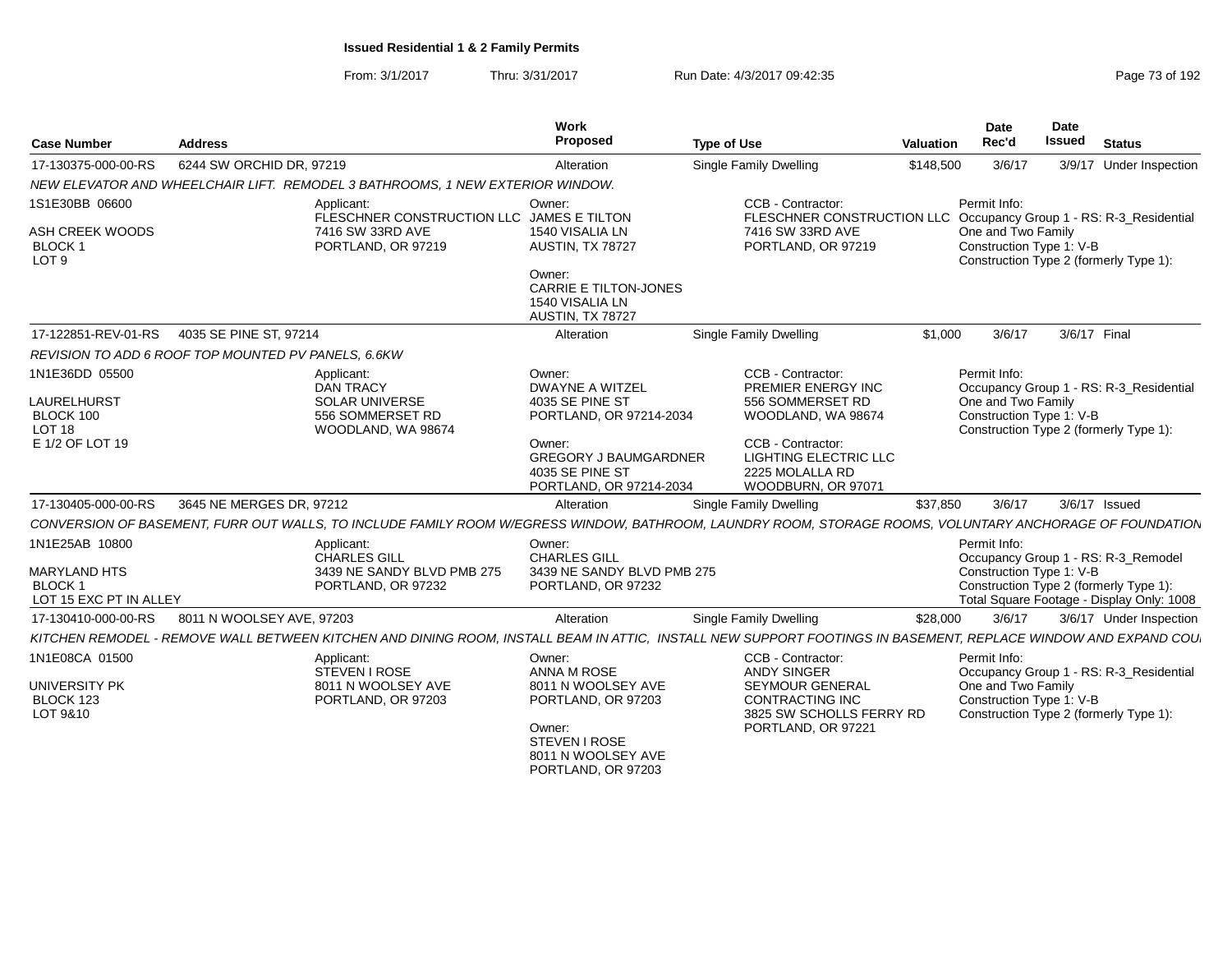| <b>Case Number</b>                                             | <b>Address</b>                                      |                                                                                                                                                                | Work<br>Proposed                                                                     | <b>Type of Use</b>                                                                                                                | Valuation | Date<br>Rec'd                                                                                                   | Date<br><b>Issued</b> | <b>Status</b>           |  |
|----------------------------------------------------------------|-----------------------------------------------------|----------------------------------------------------------------------------------------------------------------------------------------------------------------|--------------------------------------------------------------------------------------|-----------------------------------------------------------------------------------------------------------------------------------|-----------|-----------------------------------------------------------------------------------------------------------------|-----------------------|-------------------------|--|
| 17-130375-000-00-RS                                            | 6244 SW ORCHID DR, 97219                            |                                                                                                                                                                | Alteration                                                                           | Single Family Dwelling                                                                                                            | \$148,500 | 3/6/17                                                                                                          |                       | 3/9/17 Under Inspection |  |
|                                                                |                                                     | NEW ELEVATOR AND WHEELCHAIR LIFT. REMODEL 3 BATHROOMS, 1 NEW EXTERIOR WINDOW.                                                                                  |                                                                                      |                                                                                                                                   |           |                                                                                                                 |                       |                         |  |
| 1S1E30BB 06600<br>ASH CREEK WOODS<br><b>BLOCK1</b>             |                                                     | Applicant:<br>FLESCHNER CONSTRUCTION LLC JAMES E TILTON<br>7416 SW 33RD AVE<br>PORTLAND, OR 97219                                                              | Owner:<br>1540 VISALIA LN<br>AUSTIN, TX 78727                                        | CCB - Contractor:<br>FLESCHNER CONSTRUCTION LLC Occupancy Group 1 - RS: R-3_Residential<br>7416 SW 33RD AVE<br>PORTLAND, OR 97219 |           | Permit Info:<br>One and Two Family<br>Construction Type 1: V-B                                                  |                       |                         |  |
| LOT <sub>9</sub>                                               |                                                     |                                                                                                                                                                | Owner:<br>CARRIE E TILTON-JONES<br>1540 VISALIA LN<br>AUSTIN, TX 78727               |                                                                                                                                   |           | Construction Type 2 (formerly Type 1):                                                                          |                       |                         |  |
| 17-122851-REV-01-RS                                            | 4035 SE PINE ST, 97214                              |                                                                                                                                                                | Alteration                                                                           | Single Family Dwelling                                                                                                            | \$1,000   | 3/6/17                                                                                                          | 3/6/17 Final          |                         |  |
|                                                                | REVISION TO ADD 6 ROOF TOP MOUNTED PV PANELS, 6.6KW |                                                                                                                                                                |                                                                                      |                                                                                                                                   |           |                                                                                                                 |                       |                         |  |
| 1N1E36DD 05500                                                 |                                                     | Applicant:<br>DAN TRACY                                                                                                                                        | Owner:<br><b>DWAYNE A WITZEL</b>                                                     | CCB - Contractor:<br>PREMIER ENERGY INC                                                                                           |           | Permit Info:<br>Occupancy Group 1 - RS: R-3_Residential                                                         |                       |                         |  |
| <b>LAURELHURST</b><br>BLOCK 100<br>LOT <sub>18</sub>           |                                                     | <b>SOLAR UNIVERSE</b><br>556 SOMMERSET RD<br>WOODLAND, WA 98674                                                                                                | 4035 SE PINE ST<br>PORTLAND, OR 97214-2034                                           | 556 SOMMERSET RD<br>WOODLAND, WA 98674                                                                                            |           | One and Two Family<br>Construction Type 1: V-B<br>Construction Type 2 (formerly Type 1):                        |                       |                         |  |
| E 1/2 OF LOT 19                                                |                                                     |                                                                                                                                                                | Owner:<br><b>GREGORY J BAUMGARDNER</b><br>4035 SE PINE ST<br>PORTLAND, OR 97214-2034 | CCB - Contractor:<br><b>LIGHTING ELECTRIC LLC</b><br>2225 MOLALLA RD<br>WOODBURN, OR 97071                                        |           |                                                                                                                 |                       |                         |  |
| 17-130405-000-00-RS                                            | 3645 NE MERGES DR, 97212                            |                                                                                                                                                                | Alteration                                                                           | Single Family Dwelling                                                                                                            | \$37,850  | 3/6/17                                                                                                          |                       | 3/6/17 Issued           |  |
|                                                                |                                                     | CONVERSION OF BASEMENT, FURR OUT WALLS, TO INCLUDE FAMILY ROOM W/EGRESS WINDOW, BATHROOM, LAUNDRY ROOM, STORAGE ROOMS, VOLUNTARY ANCHORAGE OF FOUNDATION       |                                                                                      |                                                                                                                                   |           |                                                                                                                 |                       |                         |  |
| 1N1E25AB 10800                                                 |                                                     | Applicant:<br><b>CHARLES GILL</b>                                                                                                                              | Owner:<br><b>CHARLES GILL</b>                                                        |                                                                                                                                   |           | Permit Info:<br>Occupancy Group 1 - RS: R-3_Remodel                                                             |                       |                         |  |
| <b>MARYLAND HTS</b><br><b>BLOCK1</b><br>LOT 15 EXC PT IN ALLEY |                                                     | 3439 NE SANDY BLVD PMB 275<br>PORTLAND, OR 97232                                                                                                               | 3439 NE SANDY BLVD PMB 275<br>PORTLAND, OR 97232                                     |                                                                                                                                   |           | Construction Type 1: V-B<br>Construction Type 2 (formerly Type 1):<br>Total Square Footage - Display Only: 1008 |                       |                         |  |
| 17-130410-000-00-RS                                            | 8011 N WOOLSEY AVE, 97203                           |                                                                                                                                                                | Alteration                                                                           | <b>Single Family Dwelling</b>                                                                                                     | \$28,000  | 3/6/17                                                                                                          |                       | 3/6/17 Under Inspection |  |
|                                                                |                                                     | KITCHEN REMODEL - REMOVE WALL BETWEEN KITCHEN AND DINING ROOM, INSTALL BEAM IN ATTIC, INSTALL NEW SUPPORT FOOTINGS IN BASEMENT, REPLACE WINDOW AND EXPAND COU. |                                                                                      |                                                                                                                                   |           |                                                                                                                 |                       |                         |  |
| 1N1E08CA 01500                                                 |                                                     | Applicant:<br>STEVEN I ROSE                                                                                                                                    | Owner<br><b>ANNA M ROSE</b>                                                          | CCB - Contractor:<br><b>ANDY SINGER</b>                                                                                           |           | Permit Info:<br>Occupancy Group 1 - RS: R-3_Residential                                                         |                       |                         |  |
| <b>UNIVERSITY PK</b><br>BLOCK 123<br>LOT 9&10                  |                                                     | 8011 N WOOLSEY AVE<br>PORTLAND, OR 97203                                                                                                                       | 8011 N WOOLSEY AVE<br>PORTLAND, OR 97203                                             | <b>SEYMOUR GENERAL</b><br><b>CONTRACTING INC</b><br>3825 SW SCHOLLS FERRY RD                                                      |           | One and Two Family<br>Construction Type 1: V-B<br>Construction Type 2 (formerly Type 1):                        |                       |                         |  |
|                                                                |                                                     |                                                                                                                                                                | Owner:<br>STEVEN I ROSE<br>8011 N WOOLSEY AVE<br>PORTLAND, OR 97203                  | PORTLAND, OR 97221                                                                                                                |           |                                                                                                                 |                       |                         |  |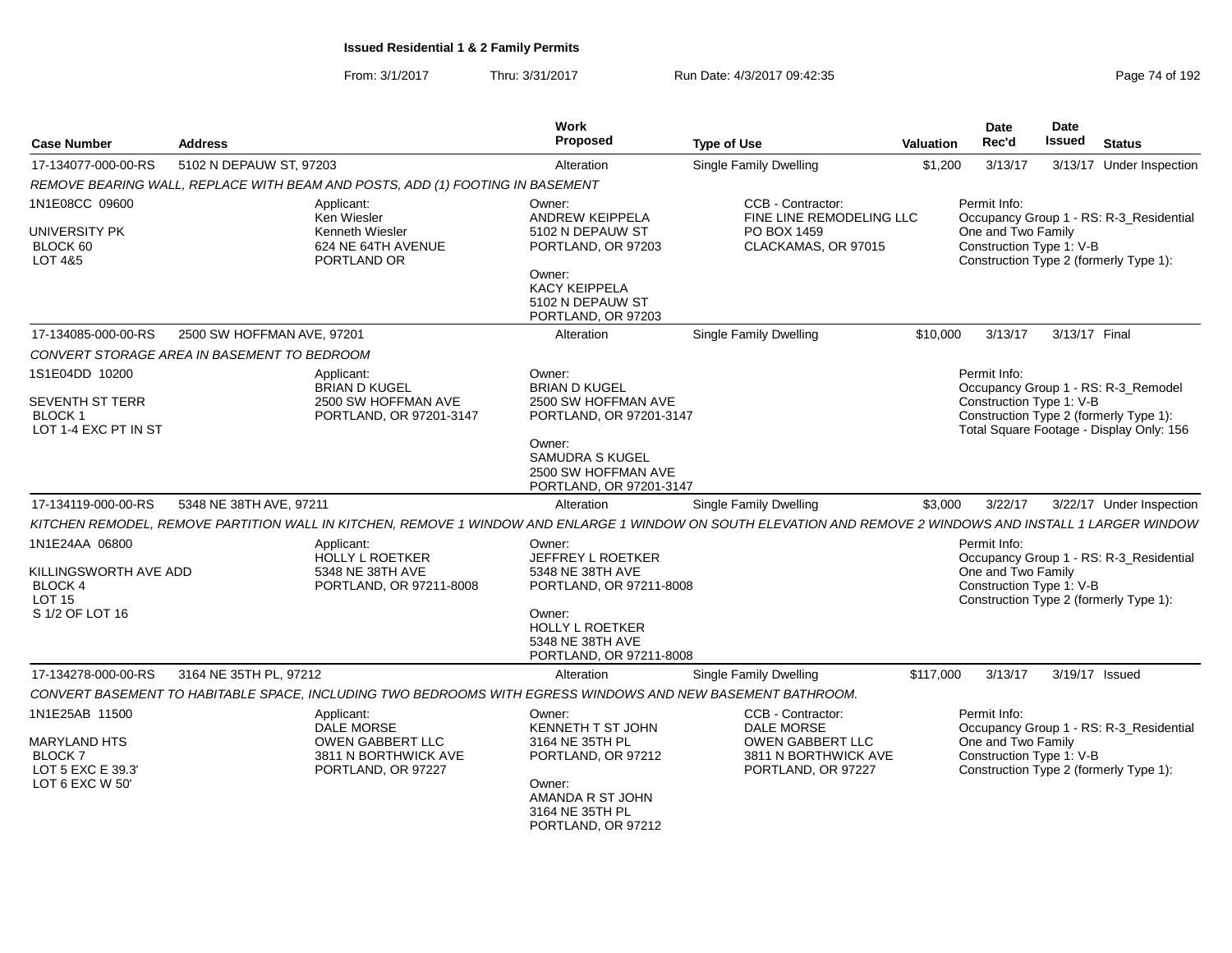| <b>Case Number</b>                                                  | <b>Address</b>             |                                                                                                            | Work<br>Proposed                                                                | <b>Type of Use</b>                                                                                                                                          | Valuation | Date<br>Rec'd                                                                                             | Date<br>Issued | <b>Status</b>            |  |
|---------------------------------------------------------------------|----------------------------|------------------------------------------------------------------------------------------------------------|---------------------------------------------------------------------------------|-------------------------------------------------------------------------------------------------------------------------------------------------------------|-----------|-----------------------------------------------------------------------------------------------------------|----------------|--------------------------|--|
| 17-134077-000-00-RS                                                 | 5102 N DEPAUW ST, 97203    |                                                                                                            | Alteration                                                                      | Single Family Dwelling                                                                                                                                      | \$1,200   | 3/13/17                                                                                                   |                | 3/13/17 Under Inspection |  |
|                                                                     |                            | REMOVE BEARING WALL, REPLACE WITH BEAM AND POSTS, ADD (1) FOOTING IN BASEMENT                              |                                                                                 |                                                                                                                                                             |           |                                                                                                           |                |                          |  |
| 1N1E08CC 09600<br><b>UNIVERSITY PK</b><br>BLOCK 60                  |                            | Applicant:<br>Ken Wiesler<br>Kenneth Wiesler<br>624 NE 64TH AVENUE                                         | Owner:<br><b>ANDREW KEIPPELA</b><br>5102 N DEPAUW ST<br>PORTLAND, OR 97203      | CCB - Contractor:<br>FINE LINE REMODELING LLC<br>PO BOX 1459<br>CLACKAMAS, OR 97015                                                                         |           | Permit Info:<br>Occupancy Group 1 - RS: R-3_Residential<br>One and Two Family<br>Construction Type 1: V-B |                |                          |  |
| LOT 4&5                                                             |                            | PORTLAND OR                                                                                                | Owner:<br><b>KACY KEIPPELA</b><br>5102 N DEPAUW ST<br>PORTLAND, OR 97203        |                                                                                                                                                             |           | Construction Type 2 (formerly Type 1):                                                                    |                |                          |  |
| 17-134085-000-00-RS                                                 | 2500 SW HOFFMAN AVE, 97201 |                                                                                                            | Alteration                                                                      | <b>Single Family Dwelling</b>                                                                                                                               | \$10,000  | 3/13/17                                                                                                   | 3/13/17 Final  |                          |  |
| CONVERT STORAGE AREA IN BASEMENT TO BEDROOM                         |                            |                                                                                                            |                                                                                 |                                                                                                                                                             |           |                                                                                                           |                |                          |  |
| 1S1E04DD 10200<br><b>SEVENTH ST TERR</b>                            |                            | Applicant:<br><b>BRIAN D KUGEL</b><br>2500 SW HOFFMAN AVE                                                  | Owner:<br><b>BRIAN D KUGEL</b><br>2500 SW HOFFMAN AVE                           |                                                                                                                                                             |           | Permit Info:<br>Occupancy Group 1 - RS: R-3_Remodel<br>Construction Type 1: V-B                           |                |                          |  |
| BLOCK 1<br>LOT 1-4 EXC PT IN ST                                     |                            | PORTLAND, OR 97201-3147                                                                                    | PORTLAND, OR 97201-3147                                                         |                                                                                                                                                             |           | Construction Type 2 (formerly Type 1):<br>Total Square Footage - Display Only: 156                        |                |                          |  |
|                                                                     |                            |                                                                                                            | Owner:<br>SAMUDRA S KUGEL<br>2500 SW HOFFMAN AVE<br>PORTLAND, OR 97201-3147     |                                                                                                                                                             |           |                                                                                                           |                |                          |  |
| 17-134119-000-00-RS                                                 | 5348 NE 38TH AVE, 97211    |                                                                                                            | Alteration                                                                      | <b>Single Family Dwelling</b>                                                                                                                               | \$3,000   | 3/22/17                                                                                                   |                | 3/22/17 Under Inspection |  |
|                                                                     |                            |                                                                                                            |                                                                                 | KITCHEN REMODEL, REMOVE PARTITION WALL IN KITCHEN, REMOVE 1 WINDOW AND ENLARGE 1 WINDOW ON SOUTH ELEVATION AND REMOVE 2 WINDOWS AND INSTALL 1 LARGER WINDOW |           |                                                                                                           |                |                          |  |
| 1N1E24AA 06800<br>KILLINGSWORTH AVE ADD<br>BLOCK 4<br><b>LOT 15</b> |                            | Applicant:<br><b>HOLLY L ROETKER</b><br>5348 NE 38TH AVE<br>PORTLAND, OR 97211-8008                        | Owner:<br>JEFFREY L ROETKER<br>5348 NE 38TH AVE<br>PORTLAND, OR 97211-8008      |                                                                                                                                                             |           | Permit Info:<br>Occupancy Group 1 - RS: R-3 Residential<br>One and Two Family<br>Construction Type 1: V-B |                |                          |  |
| S 1/2 OF LOT 16                                                     |                            |                                                                                                            | Owner:<br><b>HOLLY L ROETKER</b><br>5348 NE 38TH AVE<br>PORTLAND, OR 97211-8008 |                                                                                                                                                             |           | Construction Type 2 (formerly Type 1):                                                                    |                |                          |  |
| 17-134278-000-00-RS                                                 | 3164 NE 35TH PL. 97212     |                                                                                                            | Alteration                                                                      | <b>Single Family Dwelling</b>                                                                                                                               | \$117,000 | 3/13/17                                                                                                   |                | 3/19/17 Issued           |  |
|                                                                     |                            | CONVERT BASEMENT TO HABITABLE SPACE, INCLUDING TWO BEDROOMS WITH EGRESS WINDOWS AND NEW BASEMENT BATHROOM. |                                                                                 |                                                                                                                                                             |           |                                                                                                           |                |                          |  |
| 1N1E25AB 11500                                                      |                            | Applicant:<br>DALE MORSE                                                                                   | Owner:<br>KENNETH T ST JOHN                                                     | CCB - Contractor:<br>DALE MORSE                                                                                                                             |           | Permit Info:<br>Occupancy Group 1 - RS: R-3_Residential                                                   |                |                          |  |
| <b>MARYLAND HTS</b><br>BLOCK 7<br>LOT 5 EXC E 39.3'                 |                            | OWEN GABBERT LLC<br>3811 N BORTHWICK AVE<br>PORTLAND, OR 97227                                             | 3164 NE 35TH PL<br>PORTLAND, OR 97212                                           | OWEN GABBERT LLC<br>3811 N BORTHWICK AVE<br>PORTLAND, OR 97227                                                                                              |           | One and Two Family<br>Construction Type 1: V-B<br>Construction Type 2 (formerly Type 1):                  |                |                          |  |
| LOT 6 EXC W 50'                                                     |                            |                                                                                                            | Owner:<br>AMANDA R ST JOHN<br>3164 NE 35TH PL<br>PORTLAND, OR 97212             |                                                                                                                                                             |           |                                                                                                           |                |                          |  |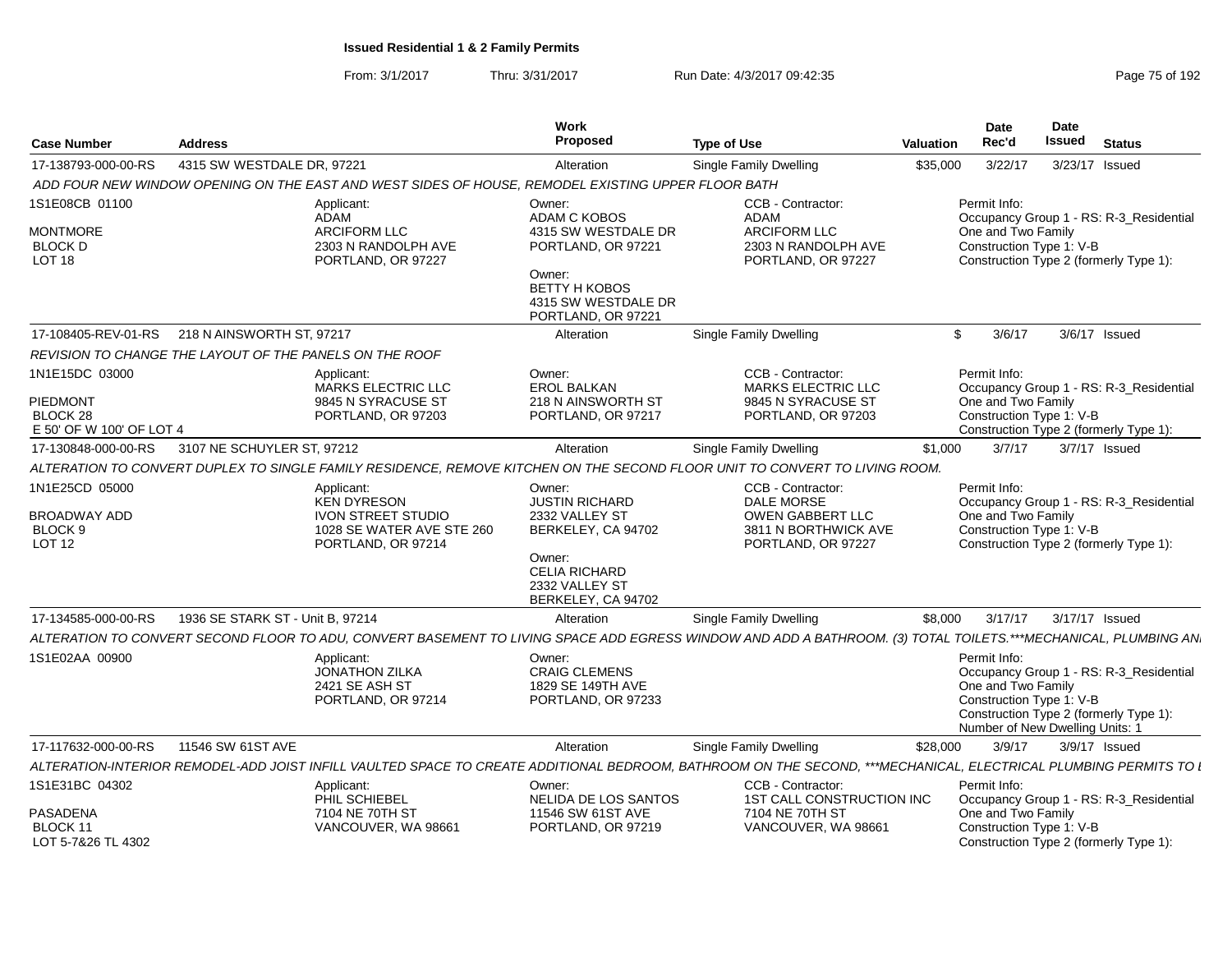|                                                         |                                  |                                                                                                    | Work                                                                        |                                                                                                                                                                  |                  | <b>Date</b>                                                                                       | Date   |                                                                                   |
|---------------------------------------------------------|----------------------------------|----------------------------------------------------------------------------------------------------|-----------------------------------------------------------------------------|------------------------------------------------------------------------------------------------------------------------------------------------------------------|------------------|---------------------------------------------------------------------------------------------------|--------|-----------------------------------------------------------------------------------|
| <b>Case Number</b>                                      | <b>Address</b>                   |                                                                                                    | <b>Proposed</b>                                                             | <b>Type of Use</b>                                                                                                                                               | <b>Valuation</b> | Rec'd                                                                                             | Issued | <b>Status</b>                                                                     |
| 17-138793-000-00-RS                                     | 4315 SW WESTDALE DR, 97221       |                                                                                                    | Alteration                                                                  | <b>Single Family Dwelling</b>                                                                                                                                    | \$35,000         | 3/22/17                                                                                           |        | 3/23/17 Issued                                                                    |
|                                                         |                                  | ADD FOUR NEW WINDOW OPENING ON THE EAST AND WEST SIDES OF HOUSE, REMODEL EXISTING UPPER FLOOR BATH |                                                                             |                                                                                                                                                                  |                  |                                                                                                   |        |                                                                                   |
| 1S1E08CB 01100<br>MONTMORE<br><b>BLOCK D</b>            |                                  | Applicant:<br>ADAM<br><b>ARCIFORM LLC</b><br>2303 N RANDOLPH AVE                                   | Owner:<br>ADAM C KOBOS<br>4315 SW WESTDALE DR<br>PORTLAND, OR 97221         | CCB - Contractor:<br>ADAM<br><b>ARCIFORM LLC</b><br>2303 N RANDOLPH AVE                                                                                          |                  | Permit Info:<br>One and Two Family<br>Construction Type 1: V-B                                    |        | Occupancy Group 1 - RS: R-3_Residential                                           |
| LOT <sub>18</sub>                                       |                                  | PORTLAND, OR 97227                                                                                 | Owner:<br><b>BETTY H KOBOS</b><br>4315 SW WESTDALE DR<br>PORTLAND, OR 97221 | PORTLAND, OR 97227                                                                                                                                               |                  |                                                                                                   |        | Construction Type 2 (formerly Type 1):                                            |
| 17-108405-REV-01-RS                                     | 218 N AINSWORTH ST, 97217        |                                                                                                    | Alteration                                                                  | <b>Single Family Dwelling</b>                                                                                                                                    | \$               | 3/6/17                                                                                            |        | 3/6/17 Issued                                                                     |
| REVISION TO CHANGE THE LAYOUT OF THE PANELS ON THE ROOF |                                  |                                                                                                    |                                                                             |                                                                                                                                                                  |                  |                                                                                                   |        |                                                                                   |
| 1N1E15DC 03000                                          |                                  | Applicant:<br>MARKS ELECTRIC LLC                                                                   | Owner:<br><b>EROL BALKAN</b>                                                | CCB - Contractor:<br>MARKS ELECTRIC LLC                                                                                                                          |                  | Permit Info:                                                                                      |        | Occupancy Group 1 - RS: R-3_Residential                                           |
| PIEDMONT<br>BLOCK 28                                    |                                  | 9845 N SYRACUSE ST<br>PORTLAND, OR 97203                                                           | 218 N AINSWORTH ST<br>PORTLAND, OR 97217                                    | 9845 N SYRACUSE ST<br>PORTLAND, OR 97203                                                                                                                         |                  | One and Two Family<br>Construction Type 1: V-B                                                    |        |                                                                                   |
| E 50' OF W 100' OF LOT 4                                |                                  |                                                                                                    |                                                                             |                                                                                                                                                                  |                  |                                                                                                   |        | Construction Type 2 (formerly Type 1):                                            |
| 17-130848-000-00-RS                                     | 3107 NE SCHUYLER ST, 97212       |                                                                                                    | Alteration                                                                  | <b>Single Family Dwelling</b>                                                                                                                                    | \$1,000          | 3/7/17                                                                                            |        | 3/7/17 Issued                                                                     |
|                                                         |                                  |                                                                                                    |                                                                             | ALTERATION TO CONVERT DUPLEX TO SINGLE FAMILY RESIDENCE, REMOVE KITCHEN ON THE SECOND FLOOR UNIT TO CONVERT TO LIVING ROOM.                                      |                  |                                                                                                   |        |                                                                                   |
| 1N1E25CD 05000<br>BROADWAY ADD<br>BLOCK <sub>9</sub>    |                                  | Applicant:<br><b>KEN DYRESON</b><br><b>IVON STREET STUDIO</b><br>1028 SE WATER AVE STE 260         | Owner:<br><b>JUSTIN RICHARD</b><br>2332 VALLEY ST<br>BERKELEY, CA 94702     | CCB - Contractor:<br>DALE MORSE<br><b>OWEN GABBERT LLC</b><br>3811 N BORTHWICK AVE                                                                               |                  | Permit Info:<br>One and Two Family<br>Construction Type 1: V-B                                    |        | Occupancy Group 1 - RS: R-3_Residential                                           |
| <b>LOT 12</b>                                           |                                  | PORTLAND, OR 97214                                                                                 | Owner:<br><b>CELIA RICHARD</b><br>2332 VALLEY ST<br>BERKELEY, CA 94702      | PORTLAND, OR 97227                                                                                                                                               |                  |                                                                                                   |        | Construction Type 2 (formerly Type 1):                                            |
| 17-134585-000-00-RS                                     | 1936 SE STARK ST - Unit B. 97214 |                                                                                                    | Alteration                                                                  | Single Family Dwelling                                                                                                                                           | \$8,000          | 3/17/17                                                                                           |        | 3/17/17 Issued                                                                    |
|                                                         |                                  |                                                                                                    |                                                                             | ALTERATION TO CONVERT SECOND FLOOR TO ADU, CONVERT BASEMENT TO LIVING SPACE ADD EGRESS WINDOW AND ADD A BATHROOM. (3) TOTAL TOILETS.***MECHANICAL, PLUMBING AN.  |                  |                                                                                                   |        |                                                                                   |
| 1S1E02AA 00900                                          |                                  | Applicant:<br><b>JONATHON ZILKA</b><br>2421 SE ASH ST<br>PORTLAND, OR 97214                        | Owner:<br><b>CRAIG CLEMENS</b><br>1829 SE 149TH AVE<br>PORTLAND, OR 97233   |                                                                                                                                                                  |                  | Permit Info:<br>One and Two Family<br>Construction Type 1: V-B<br>Number of New Dwelling Units: 1 |        | Occupancy Group 1 - RS: R-3_Residential<br>Construction Type 2 (formerly Type 1): |
| 17-117632-000-00-RS                                     | 11546 SW 61ST AVE                |                                                                                                    | Alteration                                                                  | <b>Single Family Dwelling</b>                                                                                                                                    | \$28,000         | 3/9/17                                                                                            |        | 3/9/17 Issued                                                                     |
|                                                         |                                  |                                                                                                    |                                                                             | ALTERATION-INTERIOR REMODEL-ADD JOIST INFILL VAULTED SPACE TO CREATE ADDITIONAL BEDROOM, BATHROOM ON THE SECOND, ***MECHANICAL, ELECTRICAL PLUMBING PERMITS TO I |                  |                                                                                                   |        |                                                                                   |
| 1S1E31BC 04302                                          |                                  | Applicant:<br>PHIL SCHIEBEL                                                                        | Owner:<br>NELIDA DE LOS SANTOS                                              | CCB - Contractor:<br>1ST CALL CONSTRUCTION INC                                                                                                                   |                  | Permit Info:                                                                                      |        | Occupancy Group 1 - RS: R-3_Residential                                           |
| PASADENA<br>BLOCK 11<br>LOT 5-7&26 TL 4302              |                                  | 7104 NE 70TH ST<br>VANCOUVER, WA 98661                                                             | 11546 SW 61ST AVE<br>PORTLAND, OR 97219                                     | 7104 NE 70TH ST<br>VANCOUVER, WA 98661                                                                                                                           |                  | One and Two Family<br>Construction Type 1: V-B                                                    |        | Construction Type 2 (formerly Type 1):                                            |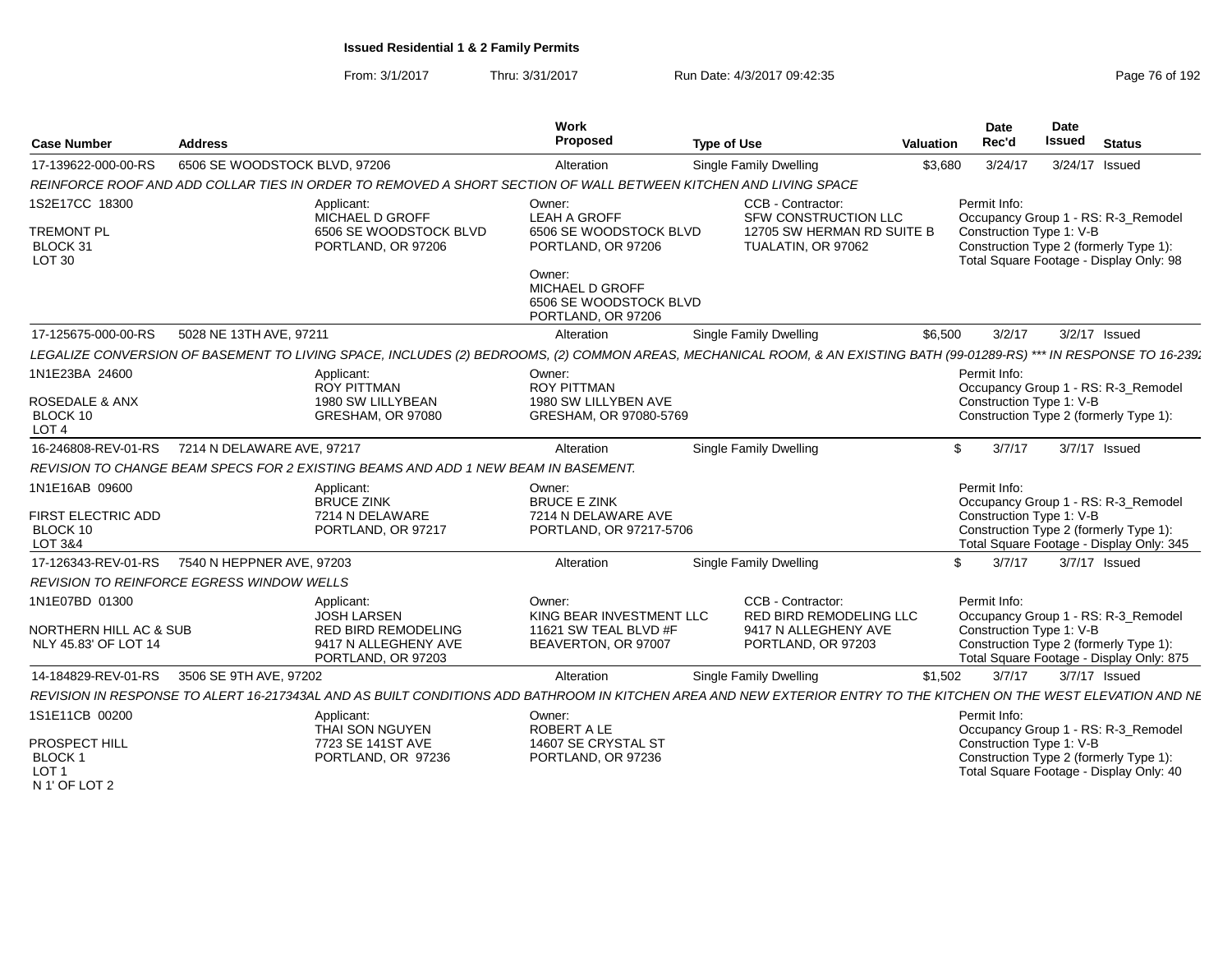| <b>Case Number</b>                                            | Address                                                                                                                                                           | Work<br>Proposed                                                                                                                                           | <b>Type of Use</b>                                                                            | Valuation | <b>Date</b><br>Rec'd                     | <b>Date</b><br><b>Issued</b> | <b>Status</b>                                                                                                            |
|---------------------------------------------------------------|-------------------------------------------------------------------------------------------------------------------------------------------------------------------|------------------------------------------------------------------------------------------------------------------------------------------------------------|-----------------------------------------------------------------------------------------------|-----------|------------------------------------------|------------------------------|--------------------------------------------------------------------------------------------------------------------------|
| 17-139622-000-00-RS                                           | 6506 SE WOODSTOCK BLVD, 97206                                                                                                                                     | Alteration                                                                                                                                                 | <b>Single Family Dwelling</b>                                                                 | \$3,680   | 3/24/17                                  |                              | 3/24/17 Issued                                                                                                           |
|                                                               | REINFORCE ROOF AND ADD COLLAR TIES IN ORDER TO REMOVED A SHORT SECTION OF WALL BETWEEN KITCHEN AND LIVING SPACE                                                   |                                                                                                                                                            |                                                                                               |           |                                          |                              |                                                                                                                          |
| 1S2E17CC 18300<br><b>TREMONT PL</b><br>BLOCK 31<br>LOT 30     | Applicant:<br>MICHAEL D GROFF<br>6506 SE WOODSTOCK BLVD<br>PORTLAND, OR 97206                                                                                     | Owner:<br><b>LEAH A GROFF</b><br>6506 SE WOODSTOCK BLVD<br>PORTLAND, OR 97206<br>Owner:<br>MICHAEL D GROFF<br>6506 SE WOODSTOCK BLVD<br>PORTLAND, OR 97206 | CCB - Contractor:<br>SFW CONSTRUCTION LLC<br>12705 SW HERMAN RD SUITE B<br>TUALATIN, OR 97062 |           | Permit Info:<br>Construction Type 1: V-B |                              | Occupancy Group 1 - RS: R-3_Remodel<br>Construction Type 2 (formerly Type 1):<br>Total Square Footage - Display Only: 98 |
| 17-125675-000-00-RS                                           | 5028 NE 13TH AVE, 97211                                                                                                                                           | Alteration                                                                                                                                                 | <b>Single Family Dwelling</b>                                                                 | \$6.500   | 3/2/17                                   |                              | 3/2/17 Issued                                                                                                            |
|                                                               | LEGALIZE CONVERSION OF BASEMENT TO LIVING SPACE, INCLUDES (2) BEDROOMS, (2) COMMON AREAS, MECHANICAL ROOM, & AN EXISTING BATH (99-01289-RS)                       |                                                                                                                                                            |                                                                                               |           |                                          |                              | *** IN RESPONSE TO 16-239;                                                                                               |
| 1N1E23BA 24600                                                | Applicant:<br><b>ROY PITTMAN</b>                                                                                                                                  | Owner:<br><b>ROY PITTMAN</b>                                                                                                                               |                                                                                               |           | Permit Info:                             |                              | Occupancy Group 1 - RS: R-3 Remodel                                                                                      |
| <b>ROSEDALE &amp; ANX</b><br>BLOCK 10<br>LOT <sub>4</sub>     | 1980 SW LILLYBEAN<br>GRESHAM, OR 97080                                                                                                                            | 1980 SW LILLYBEN AVE<br>GRESHAM, OR 97080-5769                                                                                                             |                                                                                               |           | Construction Type 1: V-B                 |                              | Construction Type 2 (formerly Type 1):                                                                                   |
| 16-246808-REV-01-RS                                           | 7214 N DELAWARE AVE, 97217                                                                                                                                        | Alteration                                                                                                                                                 | Single Family Dwelling                                                                        | . ድ       | 3/7/17                                   |                              | 3/7/17 Issued                                                                                                            |
|                                                               | REVISION TO CHANGE BEAM SPECS FOR 2 EXISTING BEAMS AND ADD 1 NEW BEAM IN BASEMENT.                                                                                |                                                                                                                                                            |                                                                                               |           |                                          |                              |                                                                                                                          |
| 1N1E16AB 09600                                                | Applicant:<br><b>BRUCE ZINK</b>                                                                                                                                   | Owner:<br><b>BRUCE E ZINK</b>                                                                                                                              |                                                                                               |           | Permit Info:                             |                              | Occupancy Group 1 - RS: R-3_Remodel                                                                                      |
| FIRST ELECTRIC ADD<br>BLOCK 10<br>LOT 3&4                     | 7214 N DELAWARE<br>PORTLAND, OR 97217                                                                                                                             | 7214 N DELAWARE AVE<br>PORTLAND, OR 97217-5706                                                                                                             |                                                                                               |           | Construction Type 1: V-B                 |                              | Construction Type 2 (formerly Type 1):<br>Total Square Footage - Display Only: 345                                       |
|                                                               | 17-126343-REV-01-RS 7540 N HEPPNER AVE, 97203                                                                                                                     | Alteration                                                                                                                                                 | Single Family Dwelling                                                                        |           | 3/7/17                                   |                              | 3/7/17 Issued                                                                                                            |
|                                                               | <b>REVISION TO REINFORCE EGRESS WINDOW WELLS</b>                                                                                                                  |                                                                                                                                                            |                                                                                               |           |                                          |                              |                                                                                                                          |
| 1N1E07BD 01300                                                | Applicant:<br><b>JOSH LARSEN</b>                                                                                                                                  | Owner:<br>KING BEAR INVESTMENT LLC                                                                                                                         | CCB - Contractor:<br><b>RED BIRD REMODELING LLC</b>                                           |           | Permit Info:                             |                              | Occupancy Group 1 - RS: R-3_Remodel                                                                                      |
| NORTHERN HILL AC & SUB<br>NLY 45.83' OF LOT 14                | <b>RED BIRD REMODELING</b><br>9417 N ALLEGHENY AVE<br>PORTLAND, OR 97203                                                                                          | 11621 SW TEAL BLVD #F<br>BEAVERTON, OR 97007                                                                                                               | 9417 N ALLEGHENY AVE<br>PORTLAND, OR 97203                                                    |           | Construction Type 1: V-B                 |                              | Construction Type 2 (formerly Type 1):<br>Total Square Footage - Display Only: 875                                       |
| 14-184829-REV-01-RS                                           | 3506 SE 9TH AVE, 97202                                                                                                                                            | Alteration                                                                                                                                                 | Single Family Dwelling                                                                        | \$1.502   | 3/7/17                                   |                              | 3/7/17 Issued                                                                                                            |
|                                                               | REVISION IN RESPONSE TO ALERT 16-217343AL AND AS BUILT CONDITIONS ADD BATHROOM IN KITCHEN AREA AND NEW EXTERIOR ENTRY TO THE KITCHEN ON THE WEST ELEVATION AND NE |                                                                                                                                                            |                                                                                               |           |                                          |                              |                                                                                                                          |
| 1S1E11CB 00200                                                | Applicant:<br>THAI SON NGUYEN                                                                                                                                     | Owner:<br>ROBERT A LE                                                                                                                                      |                                                                                               |           | Permit Info:                             |                              | Occupancy Group 1 - RS: R-3_Remodel                                                                                      |
| PROSPECT HILL<br>BLOCK 1<br>LOT <sub>1</sub><br>N 1' OF LOT 2 | 7723 SE 141ST AVE<br>PORTLAND, OR 97236                                                                                                                           | 14607 SE CRYSTAL ST<br>PORTLAND, OR 97236                                                                                                                  |                                                                                               |           | Construction Type 1: V-B                 |                              | Construction Type 2 (formerly Type 1):<br>Total Square Footage - Display Only: 40                                        |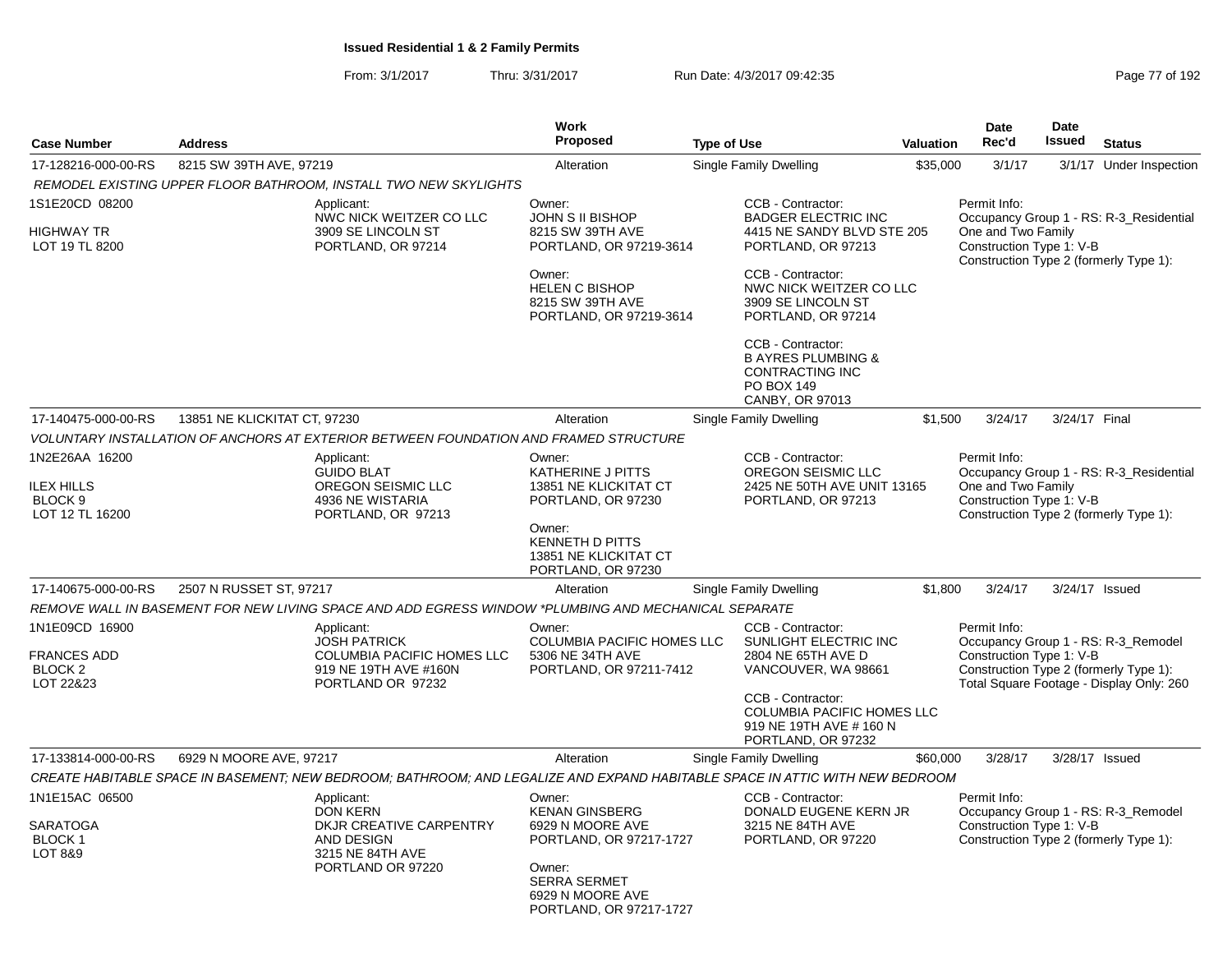|                                                       |                                                                                                                              | Work                                                                                                                        |                                                                                                               |                  | <b>Date</b>                                                    | Date          |                                                                                    |
|-------------------------------------------------------|------------------------------------------------------------------------------------------------------------------------------|-----------------------------------------------------------------------------------------------------------------------------|---------------------------------------------------------------------------------------------------------------|------------------|----------------------------------------------------------------|---------------|------------------------------------------------------------------------------------|
| <b>Case Number</b>                                    | <b>Address</b>                                                                                                               | <b>Proposed</b>                                                                                                             | <b>Type of Use</b>                                                                                            | <b>Valuation</b> | Rec'd                                                          | <b>Issued</b> | <b>Status</b>                                                                      |
| 17-128216-000-00-RS                                   | 8215 SW 39TH AVE, 97219                                                                                                      | Alteration                                                                                                                  | Single Family Dwelling                                                                                        | \$35,000         | 3/1/17                                                         |               | 3/1/17 Under Inspection                                                            |
|                                                       | REMODEL EXISTING UPPER FLOOR BATHROOM, INSTALL TWO NEW SKYLIGHTS                                                             |                                                                                                                             |                                                                                                               |                  |                                                                |               |                                                                                    |
| 1S1E20CD 08200<br><b>HIGHWAY TR</b><br>LOT 19 TL 8200 | Applicant:<br>NWC NICK WEITZER CO LLC<br>3909 SE LINCOLN ST<br>PORTLAND, OR 97214                                            | Owner:<br>JOHN S II BISHOP<br>8215 SW 39TH AVE<br>PORTLAND, OR 97219-3614                                                   | CCB - Contractor:<br><b>BADGER ELECTRIC INC</b><br>4415 NE SANDY BLVD STE 205<br>PORTLAND, OR 97213           |                  | Permit Info:<br>One and Two Family<br>Construction Type 1: V-B |               | Occupancy Group 1 - RS: R-3_Residential<br>Construction Type 2 (formerly Type 1):  |
|                                                       |                                                                                                                              | Owner:<br><b>HELEN C BISHOP</b><br>8215 SW 39TH AVE<br>PORTLAND, OR 97219-3614                                              | CCB - Contractor:<br>NWC NICK WEITZER CO LLC<br>3909 SE LINCOLN ST<br>PORTLAND, OR 97214                      |                  |                                                                |               |                                                                                    |
|                                                       |                                                                                                                              |                                                                                                                             | CCB - Contractor:<br><b>B AYRES PLUMBING &amp;</b><br><b>CONTRACTING INC</b><br>PO BOX 149<br>CANBY, OR 97013 |                  |                                                                |               |                                                                                    |
| 17-140475-000-00-RS                                   | 13851 NE KLICKITAT CT, 97230                                                                                                 | Alteration                                                                                                                  | <b>Single Family Dwelling</b>                                                                                 | \$1,500          | 3/24/17                                                        | 3/24/17 Final |                                                                                    |
|                                                       | VOLUNTARY INSTALLATION OF ANCHORS AT EXTERIOR BETWEEN FOUNDATION AND FRAMED STRUCTURE                                        |                                                                                                                             |                                                                                                               |                  |                                                                |               |                                                                                    |
| 1N2E26AA 16200<br><b>ILEX HILLS</b><br>BLOCK 9        | Applicant:<br><b>GUIDO BLAT</b><br>OREGON SEISMIC LLC<br>4936 NE WISTARIA                                                    | Owner:<br>KATHERINE J PITTS<br>13851 NE KLICKITAT CT<br>PORTLAND, OR 97230                                                  | CCB - Contractor:<br>OREGON SEISMIC LLC<br>2425 NE 50TH AVE UNIT 13165<br>PORTLAND, OR 97213                  |                  | Permit Info:<br>One and Two Family<br>Construction Type 1: V-B |               | Occupancy Group 1 - RS: R-3_Residential                                            |
| LOT 12 TL 16200                                       | PORTLAND, OR 97213                                                                                                           | Owner:<br><b>KENNETH D PITTS</b><br>13851 NE KLICKITAT CT<br>PORTLAND, OR 97230                                             |                                                                                                               |                  |                                                                |               | Construction Type 2 (formerly Type 1):                                             |
| 17-140675-000-00-RS                                   | 2507 N RUSSET ST, 97217                                                                                                      | Alteration                                                                                                                  | Single Family Dwelling                                                                                        | \$1,800          | 3/24/17                                                        |               | 3/24/17 Issued                                                                     |
|                                                       | REMOVE WALL IN BASEMENT FOR NEW LIVING SPACE AND ADD EGRESS WINDOW *PLUMBING AND MECHANICAL SEPARATE                         |                                                                                                                             |                                                                                                               |                  |                                                                |               |                                                                                    |
| 1N1E09CD 16900<br><b>FRANCES ADD</b>                  | Applicant:<br><b>JOSH PATRICK</b><br>COLUMBIA PACIFIC HOMES LLC                                                              | Owner:<br>COLUMBIA PACIFIC HOMES LLC<br>5306 NE 34TH AVE                                                                    | CCB - Contractor:<br>SUNLIGHT ELECTRIC INC<br>2804 NE 65TH AVE D                                              |                  | Permit Info:<br>Construction Type 1: V-B                       |               | Occupancy Group 1 - RS: R-3_Remodel                                                |
| BLOCK <sub>2</sub><br>LOT 22&23                       | 919 NE 19TH AVE #160N<br>PORTLAND OR 97232                                                                                   | PORTLAND, OR 97211-7412                                                                                                     | VANCOUVER, WA 98661                                                                                           |                  |                                                                |               | Construction Type 2 (formerly Type 1):<br>Total Square Footage - Display Only: 260 |
|                                                       |                                                                                                                              |                                                                                                                             | CCB - Contractor:<br>COLUMBIA PACIFIC HOMES LLC<br>919 NE 19TH AVE # 160 N<br>PORTLAND, OR 97232              |                  |                                                                |               |                                                                                    |
| 17-133814-000-00-RS                                   | 6929 N MOORE AVE, 97217                                                                                                      | Alteration                                                                                                                  | Single Family Dwelling                                                                                        | \$60,000         | 3/28/17                                                        |               | 3/28/17 Issued                                                                     |
|                                                       | CREATE HABITABLE SPACE IN BASEMENT; NEW BEDROOM; BATHROOM; AND LEGALIZE AND EXPAND HABITABLE SPACE IN ATTIC WITH NEW BEDROOM |                                                                                                                             |                                                                                                               |                  |                                                                |               |                                                                                    |
| 1N1E15AC 06500                                        | Applicant:<br><b>DON KERN</b>                                                                                                | Owner:<br><b>KENAN GINSBERG</b>                                                                                             | CCB - Contractor:<br>DONALD EUGENE KERN JR                                                                    |                  | Permit Info:                                                   |               | Occupancy Group 1 - RS: R-3 Remodel                                                |
| <b>SARATOGA</b><br><b>BLOCK1</b><br>LOT 8&9           | DKJR CREATIVE CARPENTRY<br>AND DESIGN<br>3215 NE 84TH AVE<br>PORTLAND OR 97220                                               | 6929 N MOORE AVE<br>PORTLAND, OR 97217-1727<br>Owner:<br><b>SERRA SERMET</b><br>6929 N MOORE AVE<br>PORTLAND, OR 97217-1727 | 3215 NE 84TH AVE<br>PORTLAND, OR 97220                                                                        |                  | Construction Type 1: V-B                                       |               | Construction Type 2 (formerly Type 1):                                             |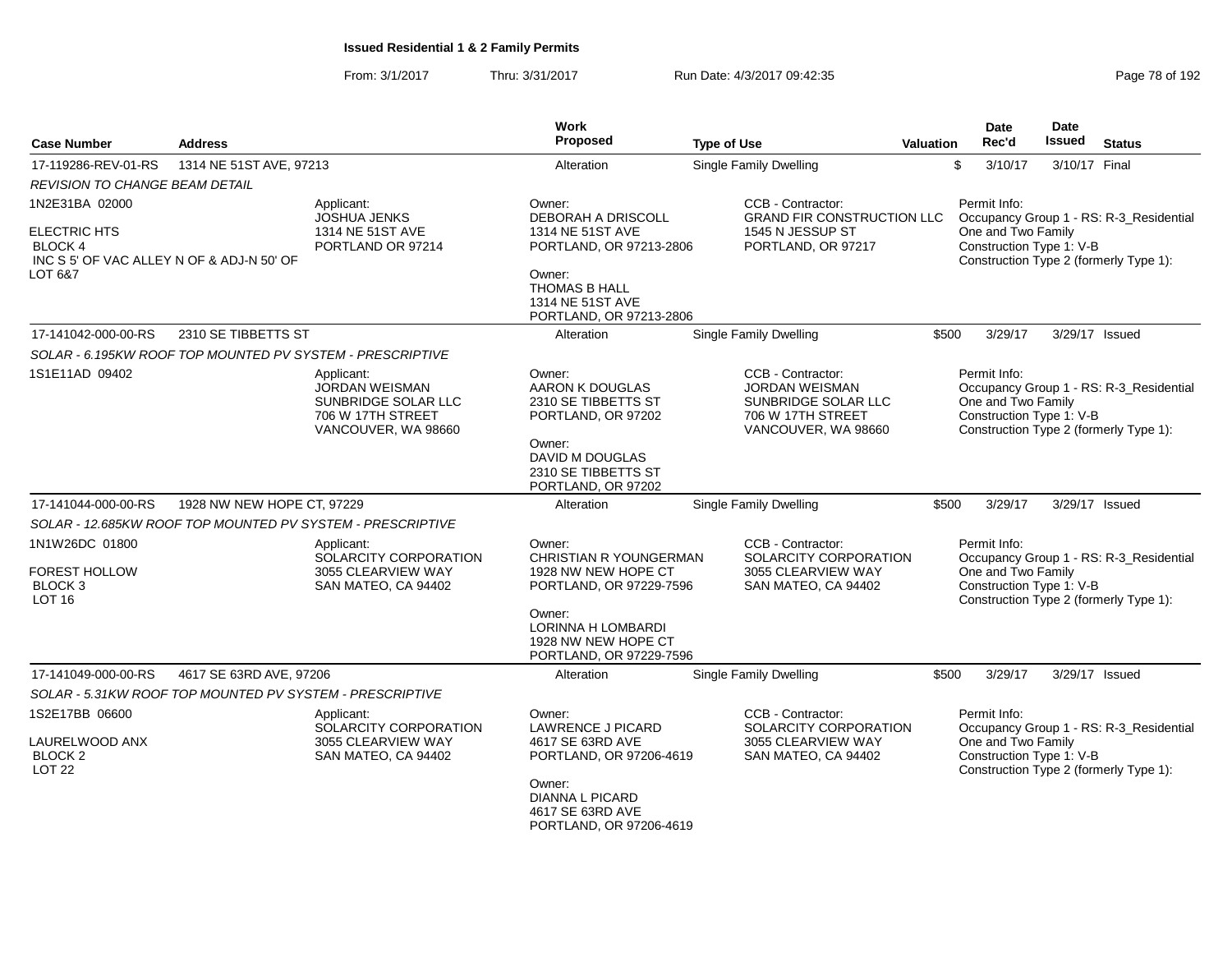| <b>Case Number</b>                                                                | <b>Address</b>             |                                                                                                        | <b>Work</b><br>Proposed                                                        | <b>Type of Use</b>                                                                                            | <b>Valuation</b> | <b>Date</b><br>Rec'd                                                                     | <b>Date</b><br><b>Issued</b><br><b>Status</b>                                     |  |  |  |
|-----------------------------------------------------------------------------------|----------------------------|--------------------------------------------------------------------------------------------------------|--------------------------------------------------------------------------------|---------------------------------------------------------------------------------------------------------------|------------------|------------------------------------------------------------------------------------------|-----------------------------------------------------------------------------------|--|--|--|
| 17-119286-REV-01-RS                                                               | 1314 NE 51ST AVE, 97213    |                                                                                                        | Alteration                                                                     | Single Family Dwelling                                                                                        |                  | \$<br>3/10/17                                                                            | 3/10/17 Final                                                                     |  |  |  |
| <b>REVISION TO CHANGE BEAM DETAIL</b>                                             |                            |                                                                                                        |                                                                                |                                                                                                               |                  |                                                                                          |                                                                                   |  |  |  |
| 1N2E31BA 02000                                                                    |                            | Applicant:<br>JOSHUA JENKS                                                                             | Owner:<br><b>DEBORAH A DRISCOLL</b>                                            | CCB - Contractor:<br><b>GRAND FIR CONSTRUCTION LLC</b>                                                        |                  | Permit Info:                                                                             | Occupancy Group 1 - RS: R-3_Residential                                           |  |  |  |
| <b>ELECTRIC HTS</b><br><b>BLOCK4</b><br>INC S 5' OF VAC ALLEY N OF & ADJ-N 50' OF |                            | 1314 NE 51ST AVE<br>PORTLAND OR 97214                                                                  | 1314 NE 51ST AVE<br>PORTLAND, OR 97213-2806                                    | 1545 N JESSUP ST<br>PORTLAND, OR 97217                                                                        |                  | One and Two Family<br>Construction Type 1: V-B<br>Construction Type 2 (formerly Type 1): |                                                                                   |  |  |  |
| LOT 6&7                                                                           |                            |                                                                                                        | Owner:<br><b>THOMAS B HALL</b><br>1314 NE 51ST AVE<br>PORTLAND, OR 97213-2806  |                                                                                                               |                  |                                                                                          |                                                                                   |  |  |  |
| 17-141042-000-00-RS                                                               | 2310 SE TIBBETTS ST        |                                                                                                        | Alteration                                                                     | Single Family Dwelling                                                                                        | \$500            | 3/29/17                                                                                  | 3/29/17 Issued                                                                    |  |  |  |
|                                                                                   |                            | SOLAR - 6.195KW ROOF TOP MOUNTED PV SYSTEM - PRESCRIPTIVE                                              |                                                                                |                                                                                                               |                  |                                                                                          |                                                                                   |  |  |  |
| 1S1E11AD 09402                                                                    |                            | Applicant:<br><b>JORDAN WEISMAN</b><br>SUNBRIDGE SOLAR LLC<br>706 W 17TH STREET<br>VANCOUVER, WA 98660 | Owner:<br>AARON K DOUGLAS<br>2310 SE TIBBETTS ST<br>PORTLAND, OR 97202         | CCB - Contractor:<br><b>JORDAN WEISMAN</b><br>SUNBRIDGE SOLAR LLC<br>706 W 17TH STREET<br>VANCOUVER, WA 98660 |                  | Permit Info:<br>One and Two Family<br>Construction Type 1: V-B                           | Occupancy Group 1 - RS: R-3_Residential<br>Construction Type 2 (formerly Type 1): |  |  |  |
|                                                                                   |                            |                                                                                                        | Owner:<br>DAVID M DOUGLAS<br>2310 SE TIBBETTS ST<br>PORTLAND, OR 97202         |                                                                                                               |                  |                                                                                          |                                                                                   |  |  |  |
| 17-141044-000-00-RS                                                               | 1928 NW NEW HOPE CT, 97229 |                                                                                                        | Alteration                                                                     | Single Family Dwelling                                                                                        | \$500            | 3/29/17                                                                                  | 3/29/17 Issued                                                                    |  |  |  |
|                                                                                   |                            | SOLAR - 12.685KW ROOF TOP MOUNTED PV SYSTEM - PRESCRIPTIVE                                             |                                                                                |                                                                                                               |                  |                                                                                          |                                                                                   |  |  |  |
| 1N1W26DC 01800                                                                    |                            | Applicant:<br>SOLARCITY CORPORATION                                                                    | Owner:<br>CHRISTIAN R YOUNGERMAN                                               | CCB - Contractor:<br>SOLARCITY CORPORATION                                                                    |                  | Permit Info:                                                                             | Occupancy Group 1 - RS: R-3_Residential                                           |  |  |  |
| <b>FOREST HOLLOW</b><br>BLOCK <sub>3</sub><br><b>LOT 16</b>                       |                            | 3055 CLEARVIEW WAY<br>SAN MATEO, CA 94402                                                              | 1928 NW NEW HOPE CT<br>PORTLAND, OR 97229-7596                                 | 3055 CLEARVIEW WAY<br>SAN MATEO, CA 94402                                                                     |                  | One and Two Family<br>Construction Type 1: V-B                                           | Construction Type 2 (formerly Type 1):                                            |  |  |  |
|                                                                                   |                            |                                                                                                        | Owner:<br>LORINNA H LOMBARDI<br>1928 NW NEW HOPE CT<br>PORTLAND, OR 97229-7596 |                                                                                                               |                  |                                                                                          |                                                                                   |  |  |  |
| 17-141049-000-00-RS                                                               | 4617 SE 63RD AVE, 97206    |                                                                                                        | Alteration                                                                     | Single Family Dwelling                                                                                        | \$500            | 3/29/17                                                                                  | 3/29/17 Issued                                                                    |  |  |  |
|                                                                                   |                            | SOLAR - 5.31KW ROOF TOP MOUNTED PV SYSTEM - PRESCRIPTIVE                                               |                                                                                |                                                                                                               |                  |                                                                                          |                                                                                   |  |  |  |
| 1S2E17BB 06600                                                                    |                            | Applicant:<br>SOLARCITY CORPORATION                                                                    | Owner:<br><b>LAWRENCE J PICARD</b>                                             | CCB - Contractor:<br>SOLARCITY CORPORATION                                                                    |                  | Permit Info:                                                                             | Occupancy Group 1 - RS: R-3_Residential                                           |  |  |  |
| LAURELWOOD ANX<br>BLOCK <sub>2</sub><br><b>LOT 22</b>                             |                            | 3055 CLEARVIEW WAY<br>SAN MATEO, CA 94402                                                              | 4617 SE 63RD AVE<br>PORTLAND, OR 97206-4619                                    | 3055 CLEARVIEW WAY<br>SAN MATEO, CA 94402                                                                     |                  | One and Two Family<br>Construction Type 1: V-B                                           | Construction Type 2 (formerly Type 1):                                            |  |  |  |
|                                                                                   |                            |                                                                                                        | Owner:<br>DIANNA L PICARD<br>4617 SE 63RD AVE<br>PORTLAND, OR 97206-4619       |                                                                                                               |                  |                                                                                          |                                                                                   |  |  |  |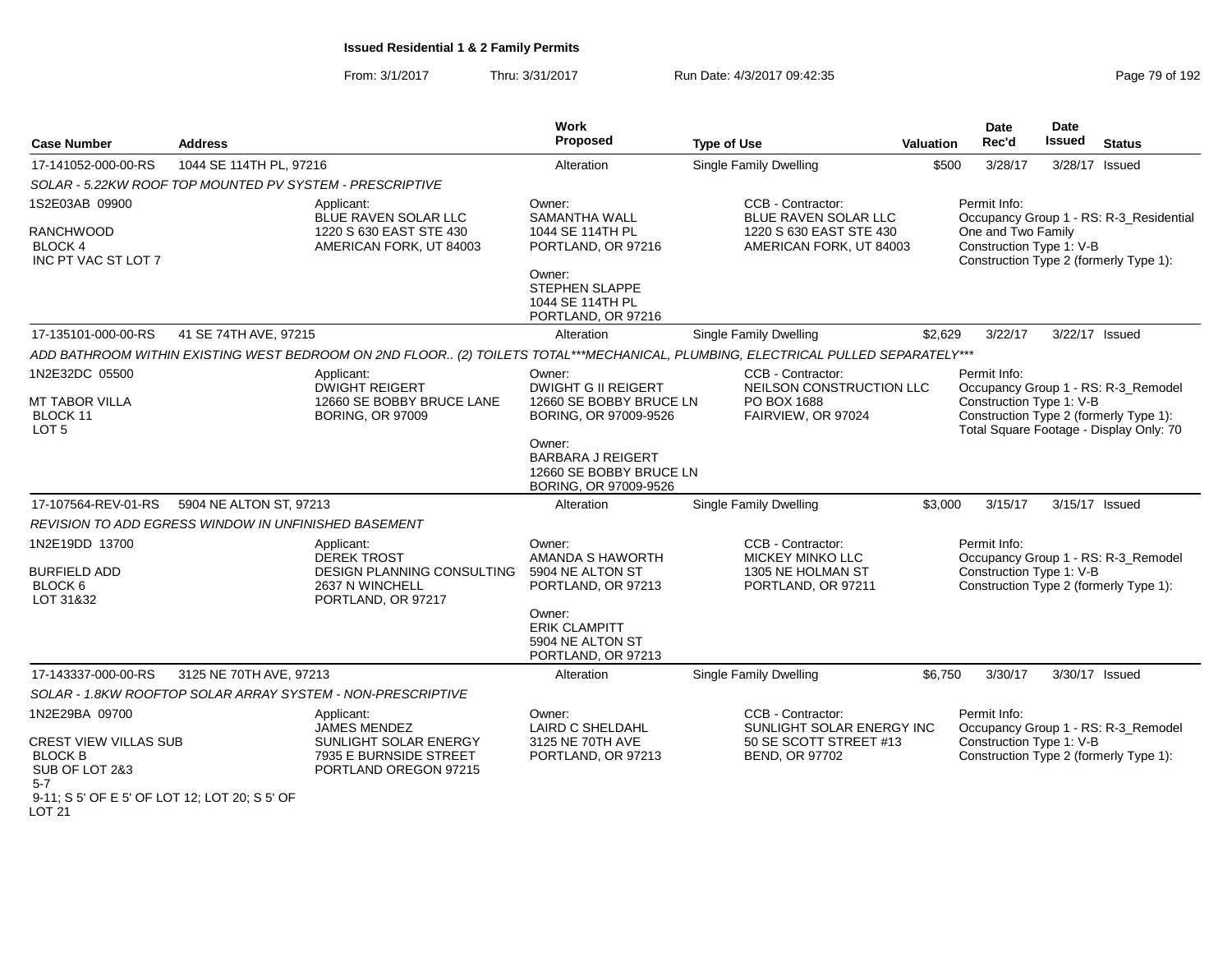| <b>Case Number</b>                                                                                                                            | <b>Address</b>                                       |                                                                                                                                  | Work<br>Proposed                                                                       | <b>Type of Use</b>                                                                      | <b>Valuation</b> | <b>Date</b><br>Rec'd                           | Date<br><b>Issued</b> | <b>Status</b>                                                                                                            |  |
|-----------------------------------------------------------------------------------------------------------------------------------------------|------------------------------------------------------|----------------------------------------------------------------------------------------------------------------------------------|----------------------------------------------------------------------------------------|-----------------------------------------------------------------------------------------|------------------|------------------------------------------------|-----------------------|--------------------------------------------------------------------------------------------------------------------------|--|
| 17-141052-000-00-RS                                                                                                                           | 1044 SE 114TH PL, 97216                              |                                                                                                                                  | Alteration                                                                             | Single Family Dwelling                                                                  | \$500            | 3/28/17                                        |                       | 3/28/17 Issued                                                                                                           |  |
|                                                                                                                                               |                                                      | SOLAR - 5.22KW ROOF TOP MOUNTED PV SYSTEM - PRESCRIPTIVE                                                                         |                                                                                        |                                                                                         |                  |                                                |                       |                                                                                                                          |  |
| 1S2E03AB 09900                                                                                                                                |                                                      | Applicant:<br>BLUE RAVEN SOLAR LLC                                                                                               | Owner:<br><b>SAMANTHA WALL</b>                                                         | CCB - Contractor:<br><b>BLUE RAVEN SOLAR LLC</b>                                        |                  | Permit Info:                                   |                       | Occupancy Group 1 - RS: R-3_Residential                                                                                  |  |
| <b>RANCHWOOD</b><br><b>BLOCK4</b><br>INC PT VAC ST LOT 7                                                                                      |                                                      | 1220 S 630 EAST STE 430<br>AMERICAN FORK, UT 84003                                                                               | 1044 SE 114TH PL<br>PORTLAND, OR 97216                                                 | 1220 S 630 EAST STE 430<br>AMERICAN FORK, UT 84003                                      |                  | One and Two Family<br>Construction Type 1: V-B |                       | Construction Type 2 (formerly Type 1):                                                                                   |  |
|                                                                                                                                               |                                                      |                                                                                                                                  | Owner:<br><b>STEPHEN SLAPPE</b><br>1044 SE 114TH PL<br>PORTLAND, OR 97216              |                                                                                         |                  |                                                |                       |                                                                                                                          |  |
| 17-135101-000-00-RS                                                                                                                           | 41 SE 74TH AVE, 97215                                |                                                                                                                                  | Alteration                                                                             | Single Family Dwelling                                                                  | \$2,629          | 3/22/17                                        |                       | 3/22/17 Issued                                                                                                           |  |
|                                                                                                                                               |                                                      | ADD BATHROOM WITHIN EXISTING WEST BEDROOM ON 2ND FLOOR (2) TOILETS TOTAL***MECHANICAL, PLUMBING, ELECTRICAL PULLED SEPARATELY*** |                                                                                        |                                                                                         |                  |                                                |                       |                                                                                                                          |  |
| 1N2E32DC 05500                                                                                                                                |                                                      | Applicant:                                                                                                                       | Owner:                                                                                 | CCB - Contractor:<br>NEILSON CONSTRUCTION LLC                                           |                  | Permit Info:                                   |                       |                                                                                                                          |  |
| <b>MT TABOR VILLA</b><br>BLOCK 11<br>LOT <sub>5</sub>                                                                                         |                                                      | <b>DWIGHT REIGERT</b><br>12660 SE BOBBY BRUCE LANE<br><b>BORING, OR 97009</b>                                                    | <b>DWIGHT G II REIGERT</b><br>12660 SE BOBBY BRUCE LN<br>BORING, OR 97009-9526         | PO BOX 1688<br>FAIRVIEW, OR 97024                                                       |                  | Construction Type 1: V-B                       |                       | Occupancy Group 1 - RS: R-3_Remodel<br>Construction Type 2 (formerly Type 1):<br>Total Square Footage - Display Only: 70 |  |
|                                                                                                                                               |                                                      |                                                                                                                                  | Owner:<br><b>BARBARA J REIGERT</b><br>12660 SE BOBBY BRUCE LN<br>BORING, OR 97009-9526 |                                                                                         |                  |                                                |                       |                                                                                                                          |  |
| 17-107564-REV-01-RS                                                                                                                           | 5904 NE ALTON ST, 97213                              |                                                                                                                                  | Alteration                                                                             | Single Family Dwelling                                                                  | \$3,000          | 3/15/17                                        | 3/15/17 Issued        |                                                                                                                          |  |
|                                                                                                                                               | REVISION TO ADD EGRESS WINDOW IN UNFINISHED BASEMENT |                                                                                                                                  |                                                                                        |                                                                                         |                  |                                                |                       |                                                                                                                          |  |
| 1N2E19DD 13700<br><b>BURFIELD ADD</b><br>BLOCK 6                                                                                              |                                                      | Applicant:<br><b>DEREK TROST</b><br><b>DESIGN PLANNING CONSULTING</b><br>2637 N WINCHELL                                         | Owner:<br>AMANDA S HAWORTH<br>5904 NE ALTON ST<br>PORTLAND, OR 97213                   | CCB - Contractor:<br><b>MICKEY MINKO LLC</b><br>1305 NE HOLMAN ST<br>PORTLAND, OR 97211 |                  | Permit Info:<br>Construction Type 1: V-B       |                       | Occupancy Group 1 - RS: R-3_Remodel<br>Construction Type 2 (formerly Type 1):                                            |  |
| LOT 31&32                                                                                                                                     |                                                      | PORTLAND, OR 97217                                                                                                               | Owner:<br><b>ERIK CLAMPITT</b><br>5904 NE ALTON ST<br>PORTLAND, OR 97213               |                                                                                         |                  |                                                |                       |                                                                                                                          |  |
| 17-143337-000-00-RS                                                                                                                           | 3125 NE 70TH AVE, 97213                              |                                                                                                                                  | Alteration                                                                             | Single Family Dwelling                                                                  | \$6,750          | 3/30/17                                        |                       | 3/30/17 Issued                                                                                                           |  |
|                                                                                                                                               |                                                      | SOLAR - 1.8KW ROOFTOP SOLAR ARRAY SYSTEM - NON-PRESCRIPTIVE                                                                      |                                                                                        |                                                                                         |                  |                                                |                       |                                                                                                                          |  |
| 1N2E29BA 09700                                                                                                                                |                                                      | Applicant:<br><b>JAMES MENDEZ</b>                                                                                                | Owner:<br>LAIRD C SHELDAHL                                                             | CCB - Contractor:<br>SUNLIGHT SOLAR ENERGY INC                                          |                  | Permit Info:                                   |                       | Occupancy Group 1 - RS: R-3_Remodel                                                                                      |  |
| <b>CREST VIEW VILLAS SUB</b><br><b>BLOCK B</b><br>SUB OF LOT 2&3<br>$5 - 7$<br>9-11; S 5' OF E 5' OF LOT 12; LOT 20; S 5' OF<br><b>LOT 21</b> |                                                      | SUNLIGHT SOLAR ENERGY<br>7935 E BURNSIDE STREET<br>PORTLAND OREGON 97215                                                         | 3125 NE 70TH AVE<br>PORTLAND, OR 97213                                                 | 50 SE SCOTT STREET #13<br><b>BEND, OR 97702</b>                                         |                  | Construction Type 1: V-B                       |                       | Construction Type 2 (formerly Type 1):                                                                                   |  |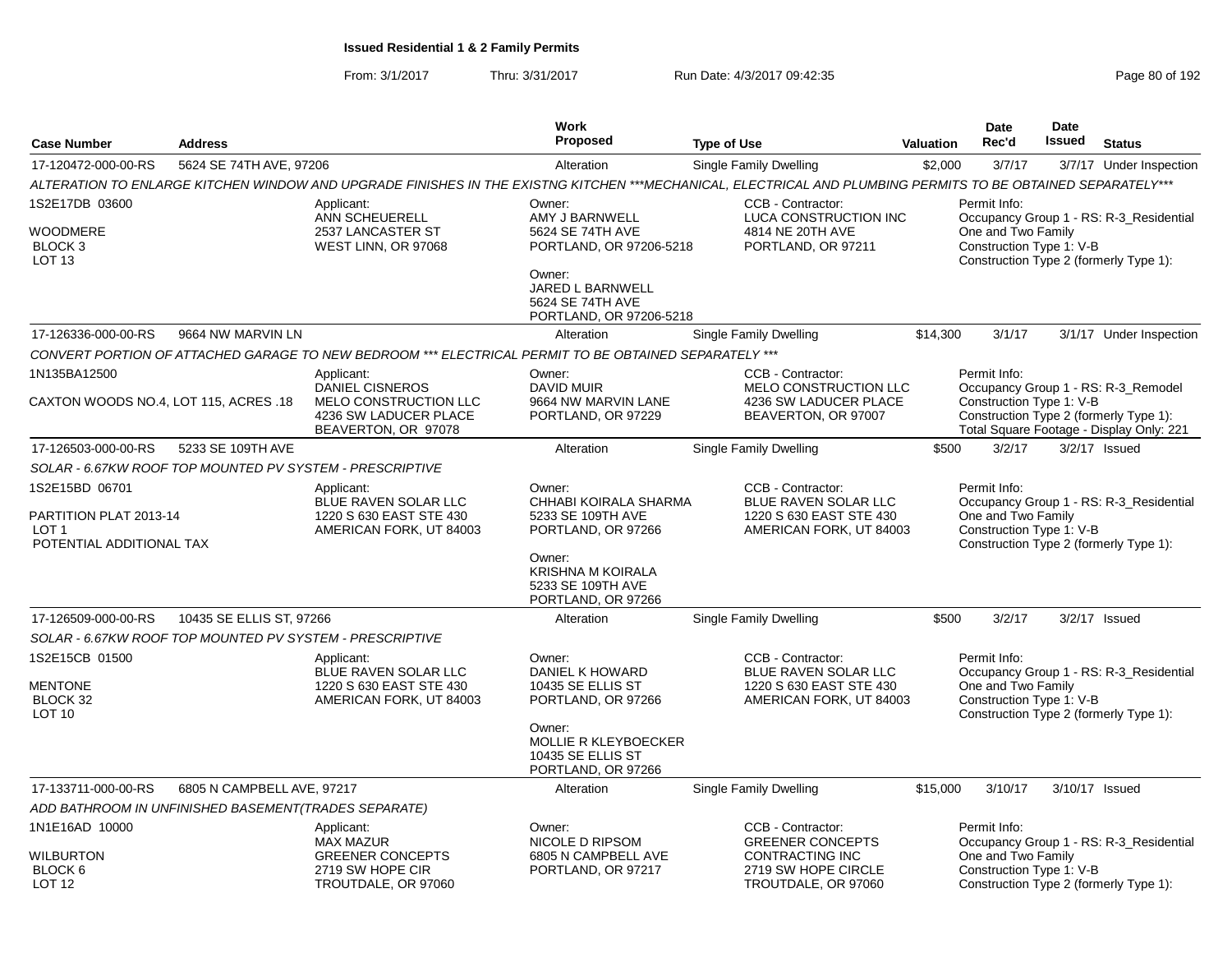|                                                                               |                            |                                                                                                       | Work                                                                                                                                              |                                                                                                                                                              |                  | <b>Date</b>                                                    | <b>Date</b> |                                                                                    |
|-------------------------------------------------------------------------------|----------------------------|-------------------------------------------------------------------------------------------------------|---------------------------------------------------------------------------------------------------------------------------------------------------|--------------------------------------------------------------------------------------------------------------------------------------------------------------|------------------|----------------------------------------------------------------|-------------|------------------------------------------------------------------------------------|
| <b>Case Number</b>                                                            | <b>Address</b>             |                                                                                                       | Proposed                                                                                                                                          | <b>Type of Use</b>                                                                                                                                           | <b>Valuation</b> | Rec'd                                                          | Issued      | <b>Status</b>                                                                      |
| 17-120472-000-00-RS                                                           | 5624 SE 74TH AVE, 97206    |                                                                                                       | Alteration                                                                                                                                        | <b>Single Family Dwelling</b>                                                                                                                                | \$2,000          | 3/7/17                                                         |             | 3/7/17 Under Inspection                                                            |
|                                                                               |                            |                                                                                                       |                                                                                                                                                   | ALTERATION TO ENLARGE KITCHEN WINDOW AND UPGRADE FINISHES IN THE EXISTNG KITCHEN ***MECHANICAL, ELECTRICAL AND PLUMBING PERMITS TO BE OBTAINED SEPARATELY*** |                  |                                                                |             |                                                                                    |
| 1S2E17DB 03600<br>WOODMERE<br>BLOCK <sub>3</sub><br>LOT <sub>13</sub>         |                            | Applicant:<br>ANN SCHEUERELL<br>2537 LANCASTER ST<br>WEST LINN, OR 97068                              | Owner:<br>AMY J BARNWELL<br>5624 SE 74TH AVE<br>PORTLAND, OR 97206-5218<br>Owner:                                                                 | CCB - Contractor:<br>LUCA CONSTRUCTION INC<br>4814 NE 20TH AVE<br>PORTLAND, OR 97211                                                                         |                  | Permit Info:<br>One and Two Family<br>Construction Type 1: V-B |             | Occupancy Group 1 - RS: R-3_Residential<br>Construction Type 2 (formerly Type 1):  |
|                                                                               |                            |                                                                                                       | JARED L BARNWELL<br>5624 SE 74TH AVE<br>PORTLAND, OR 97206-5218                                                                                   |                                                                                                                                                              |                  |                                                                |             |                                                                                    |
| 17-126336-000-00-RS                                                           | 9664 NW MARVIN LN          |                                                                                                       | Alteration                                                                                                                                        | Single Family Dwelling                                                                                                                                       | \$14,300         | 3/1/17                                                         |             | 3/1/17 Under Inspection                                                            |
|                                                                               |                            | CONVERT PORTION OF ATTACHED GARAGE TO NEW BEDROOM *** ELECTRICAL PERMIT TO BE OBTAINED SEPARATELY *** |                                                                                                                                                   |                                                                                                                                                              |                  |                                                                |             |                                                                                    |
| 1N135BA12500                                                                  |                            | Applicant:<br><b>DANIEL CISNEROS</b>                                                                  | Owner:<br><b>DAVID MUIR</b>                                                                                                                       | CCB - Contractor:<br><b>MELO CONSTRUCTION LLC</b>                                                                                                            |                  | Permit Info:                                                   |             | Occupancy Group 1 - RS: R-3_Remodel                                                |
| CAXTON WOODS NO.4, LOT 115, ACRES .18                                         |                            | MELO CONSTRUCTION LLC<br>4236 SW LADUCER PLACE<br>BEAVERTON, OR 97078                                 | 9664 NW MARVIN LANE<br>PORTLAND, OR 97229                                                                                                         | 4236 SW LADUCER PLACE<br>BEAVERTON, OR 97007                                                                                                                 |                  | Construction Type 1: V-B                                       |             | Construction Type 2 (formerly Type 1):<br>Total Square Footage - Display Only: 221 |
| 17-126503-000-00-RS                                                           | 5233 SE 109TH AVE          |                                                                                                       | Alteration                                                                                                                                        | Single Family Dwelling                                                                                                                                       | \$500            | 3/2/17                                                         |             | 3/2/17 Issued                                                                      |
|                                                                               |                            | SOLAR - 6.67KW ROOF TOP MOUNTED PV SYSTEM - PRESCRIPTIVE                                              |                                                                                                                                                   |                                                                                                                                                              |                  |                                                                |             |                                                                                    |
| 1S2E15BD 06701<br>PARTITION PLAT 2013-14<br>LOT 1<br>POTENTIAL ADDITIONAL TAX |                            | Applicant:<br>BLUE RAVEN SOLAR LLC<br>1220 S 630 EAST STE 430<br>AMERICAN FORK, UT 84003              | Owner:<br>CHHABI KOIRALA SHARMA<br>5233 SE 109TH AVE<br>PORTLAND, OR 97266<br>Owner:<br><b>KRISHNA M KOIRALA</b><br>5233 SE 109TH AVE             | CCB - Contractor:<br>BLUE RAVEN SOLAR LLC<br>1220 S 630 EAST STE 430<br>AMERICAN FORK, UT 84003                                                              |                  | Permit Info:<br>One and Two Family<br>Construction Type 1: V-B |             | Occupancy Group 1 - RS: R-3_Residential<br>Construction Type 2 (formerly Type 1):  |
|                                                                               |                            |                                                                                                       | PORTLAND, OR 97266                                                                                                                                |                                                                                                                                                              |                  |                                                                |             |                                                                                    |
| 17-126509-000-00-RS                                                           | 10435 SE ELLIS ST, 97266   |                                                                                                       | Alteration                                                                                                                                        | <b>Single Family Dwelling</b>                                                                                                                                | \$500            | 3/2/17                                                         |             | $3/2/17$ Issued                                                                    |
|                                                                               |                            | SOLAR - 6.67KW ROOF TOP MOUNTED PV SYSTEM - PRESCRIPTIVE                                              |                                                                                                                                                   |                                                                                                                                                              |                  |                                                                |             |                                                                                    |
| 1S2E15CB 01500<br><b>MENTONE</b><br>BLOCK 32<br>LOT <sub>10</sub>             |                            | Applicant:<br>BLUE RAVEN SOLAR LLC<br>1220 S 630 EAST STE 430<br>AMERICAN FORK, UT 84003              | Owner:<br>DANIEL K HOWARD<br>10435 SE ELLIS ST<br>PORTLAND, OR 97266<br>Owner:<br>MOLLIE R KLEYBOECKER<br>10435 SE ELLIS ST<br>PORTLAND, OR 97266 | CCB - Contractor:<br>BLUE RAVEN SOLAR LLC<br>1220 S 630 EAST STE 430<br>AMERICAN FORK, UT 84003                                                              |                  | Permit Info:<br>One and Two Family<br>Construction Type 1: V-B |             | Occupancy Group 1 - RS: R-3_Residential<br>Construction Type 2 (formerly Type 1):  |
| 17-133711-000-00-RS                                                           | 6805 N CAMPBELL AVE, 97217 |                                                                                                       | Alteration                                                                                                                                        | <b>Single Family Dwelling</b>                                                                                                                                | \$15,000         | 3/10/17                                                        |             | 3/10/17 Issued                                                                     |
| ADD BATHROOM IN UNFINISHED BASEMENT(TRADES SEPARATE)                          |                            |                                                                                                       |                                                                                                                                                   |                                                                                                                                                              |                  |                                                                |             |                                                                                    |
| 1N1E16AD 10000                                                                |                            | Applicant:<br><b>MAX MAZUR</b>                                                                        | Owner:<br>NICOLE D RIPSOM                                                                                                                         | CCB - Contractor:<br><b>GREENER CONCEPTS</b>                                                                                                                 |                  | Permit Info:                                                   |             | Occupancy Group 1 - RS: R-3_Residential                                            |
| WILBURTON<br>BLOCK <sub>6</sub><br><b>LOT 12</b>                              |                            | <b>GREENER CONCEPTS</b><br>2719 SW HOPE CIR<br>TROUTDALE, OR 97060                                    | 6805 N CAMPBELL AVE<br>PORTLAND, OR 97217                                                                                                         | CONTRACTING INC<br>2719 SW HOPE CIRCLE<br>TROUTDALE, OR 97060                                                                                                |                  | One and Two Family<br>Construction Type 1: V-B                 |             | Construction Type 2 (formerly Type 1):                                             |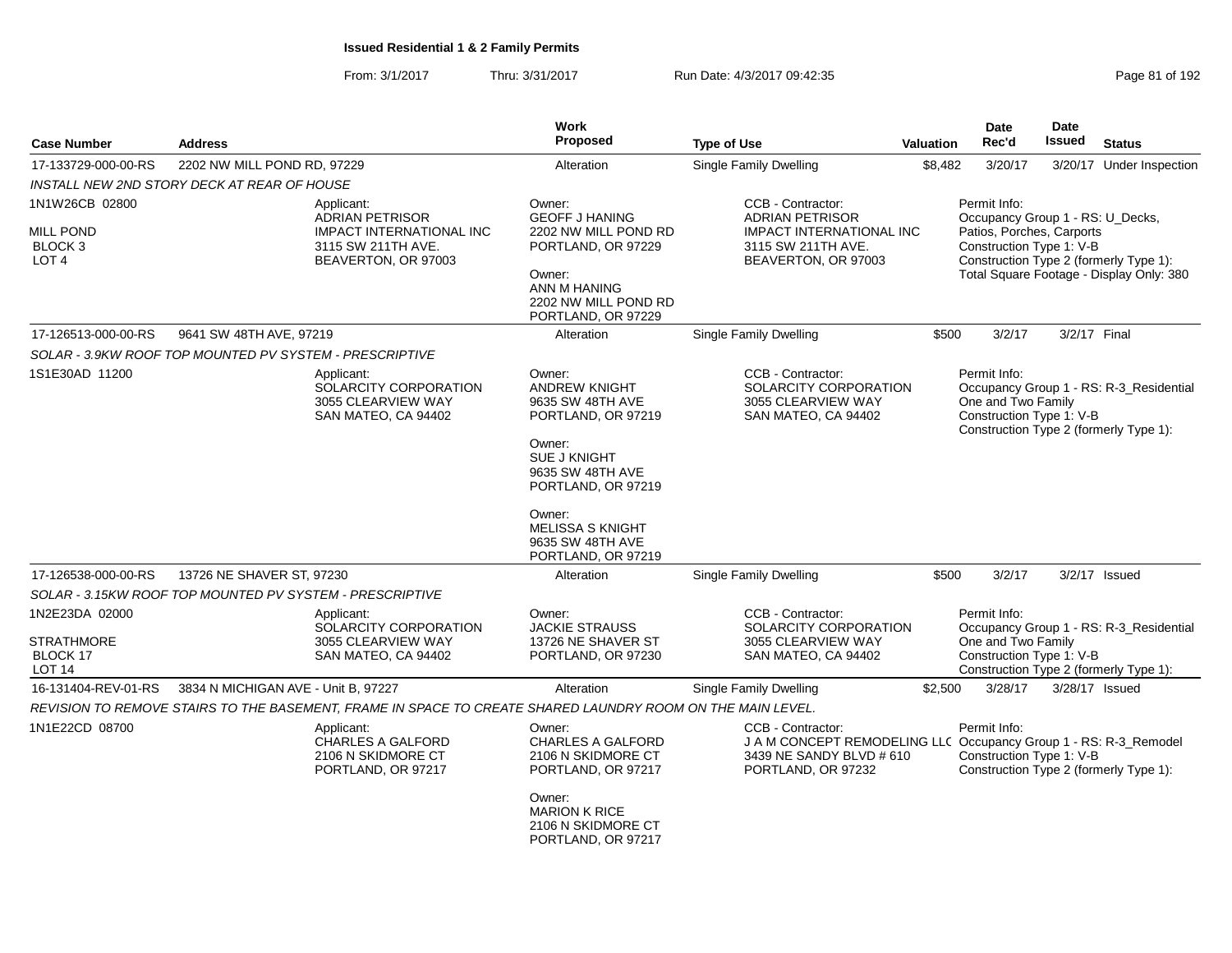| <b>Case Number</b>                                                           | <b>Address</b>                                                                                                                                                      | Work<br><b>Proposed</b>                                                                                                                                                                                                            |                                                                                                                                         | Valuation | <b>Date</b><br>Rec'd                                                                                      | Date<br><b>Issued</b> | <b>Status</b>                                                                      |
|------------------------------------------------------------------------------|---------------------------------------------------------------------------------------------------------------------------------------------------------------------|------------------------------------------------------------------------------------------------------------------------------------------------------------------------------------------------------------------------------------|-----------------------------------------------------------------------------------------------------------------------------------------|-----------|-----------------------------------------------------------------------------------------------------------|-----------------------|------------------------------------------------------------------------------------|
|                                                                              |                                                                                                                                                                     |                                                                                                                                                                                                                                    | <b>Type of Use</b>                                                                                                                      |           |                                                                                                           |                       |                                                                                    |
| 17-133729-000-00-RS                                                          | 2202 NW MILL POND RD, 97229                                                                                                                                         | Alteration                                                                                                                                                                                                                         | <b>Single Family Dwelling</b>                                                                                                           | \$8,482   | 3/20/17                                                                                                   |                       | 3/20/17 Under Inspection                                                           |
| 1N1W26CB 02800<br><b>MILL POND</b><br>BLOCK <sub>3</sub><br>LOT <sub>4</sub> | INSTALL NEW 2ND STORY DECK AT REAR OF HOUSE<br>Applicant:<br><b>ADRIAN PETRISOR</b><br><b>IMPACT INTERNATIONAL INC</b><br>3115 SW 211TH AVE.<br>BEAVERTON, OR 97003 | Owner:<br><b>GEOFF J HANING</b><br>2202 NW MILL POND RD<br>PORTLAND, OR 97229<br>Owner:<br>ANN M HANING<br>2202 NW MILL POND RD<br>PORTLAND, OR 97229                                                                              | CCB - Contractor:<br><b>ADRIAN PETRISOR</b><br><b>IMPACT INTERNATIONAL INC</b><br>3115 SW 211TH AVE.<br>BEAVERTON, OR 97003             |           | Permit Info:<br>Occupancy Group 1 - RS: U_Decks,<br>Patios, Porches, Carports<br>Construction Type 1: V-B |                       | Construction Type 2 (formerly Type 1):<br>Total Square Footage - Display Only: 380 |
| 17-126513-000-00-RS                                                          | 9641 SW 48TH AVE, 97219                                                                                                                                             | Alteration                                                                                                                                                                                                                         | <b>Single Family Dwelling</b>                                                                                                           | \$500     | 3/2/17                                                                                                    | 3/2/17 Final          |                                                                                    |
|                                                                              | SOLAR - 3.9KW ROOF TOP MOUNTED PV SYSTEM - PRESCRIPTIVE                                                                                                             |                                                                                                                                                                                                                                    |                                                                                                                                         |           |                                                                                                           |                       |                                                                                    |
| 1S1E30AD 11200                                                               | Applicant:<br>SOLARCITY CORPORATION<br>3055 CLEARVIEW WAY<br>SAN MATEO, CA 94402                                                                                    | Owner:<br><b>ANDREW KNIGHT</b><br>9635 SW 48TH AVE<br>PORTLAND, OR 97219<br>Owner:<br><b>SUE J KNIGHT</b><br>9635 SW 48TH AVE<br>PORTLAND, OR 97219<br>Owner:<br><b>MELISSA S KNIGHT</b><br>9635 SW 48TH AVE<br>PORTLAND, OR 97219 | CCB - Contractor:<br>SOLARCITY CORPORATION<br>3055 CLEARVIEW WAY<br>SAN MATEO, CA 94402                                                 |           | Permit Info:<br>One and Two Family<br>Construction Type 1: V-B                                            |                       | Occupancy Group 1 - RS: R-3_Residential<br>Construction Type 2 (formerly Type 1):  |
| 17-126538-000-00-RS                                                          | 13726 NE SHAVER ST, 97230                                                                                                                                           | Alteration                                                                                                                                                                                                                         | <b>Single Family Dwelling</b>                                                                                                           | \$500     | 3/2/17                                                                                                    |                       | $3/2/17$ Issued                                                                    |
|                                                                              | SOLAR - 3.15KW ROOF TOP MOUNTED PV SYSTEM - PRESCRIPTIVE                                                                                                            |                                                                                                                                                                                                                                    |                                                                                                                                         |           |                                                                                                           |                       |                                                                                    |
| 1N2E23DA 02000<br><b>STRATHMORE</b><br>BLOCK 17<br>LOT <sub>14</sub>         | Applicant:<br>SOLARCITY CORPORATION<br>3055 CLEARVIEW WAY<br>SAN MATEO, CA 94402                                                                                    | Owner:<br><b>JACKIE STRAUSS</b><br>13726 NE SHAVER ST<br>PORTLAND, OR 97230                                                                                                                                                        | CCB - Contractor:<br>SOLARCITY CORPORATION<br>3055 CLEARVIEW WAY<br>SAN MATEO, CA 94402                                                 |           | Permit Info:<br>One and Two Family<br>Construction Type 1: V-B                                            |                       | Occupancy Group 1 - RS: R-3_Residential<br>Construction Type 2 (formerly Type 1):  |
| 16-131404-REV-01-RS                                                          | 3834 N MICHIGAN AVE - Unit B, 97227                                                                                                                                 | Alteration                                                                                                                                                                                                                         | Single Family Dwelling                                                                                                                  | \$2,500   | 3/28/17                                                                                                   |                       | 3/28/17 Issued                                                                     |
|                                                                              | REVISION TO REMOVE STAIRS TO THE BASEMENT, FRAME IN SPACE TO CREATE SHARED LAUNDRY ROOM ON THE MAIN LEVEL.                                                          |                                                                                                                                                                                                                                    |                                                                                                                                         |           |                                                                                                           |                       |                                                                                    |
| 1N1E22CD 08700                                                               | Applicant:<br><b>CHARLES A GALFORD</b><br>2106 N SKIDMORE CT<br>PORTLAND, OR 97217                                                                                  | Owner:<br><b>CHARLES A GALFORD</b><br>2106 N SKIDMORE CT<br>PORTLAND, OR 97217<br>Owner:<br><b>MARION K RICE</b><br>2106 N SKIDMORE CT                                                                                             | CCB - Contractor:<br>J A M CONCEPT REMODELING LLC Occupancy Group 1 - RS: R-3_Remodel<br>3439 NE SANDY BLVD # 610<br>PORTLAND, OR 97232 |           | Permit Info:<br>Construction Type 1: V-B                                                                  |                       | Construction Type 2 (formerly Type 1):                                             |
|                                                                              |                                                                                                                                                                     | PORTLAND, OR 97217                                                                                                                                                                                                                 |                                                                                                                                         |           |                                                                                                           |                       |                                                                                    |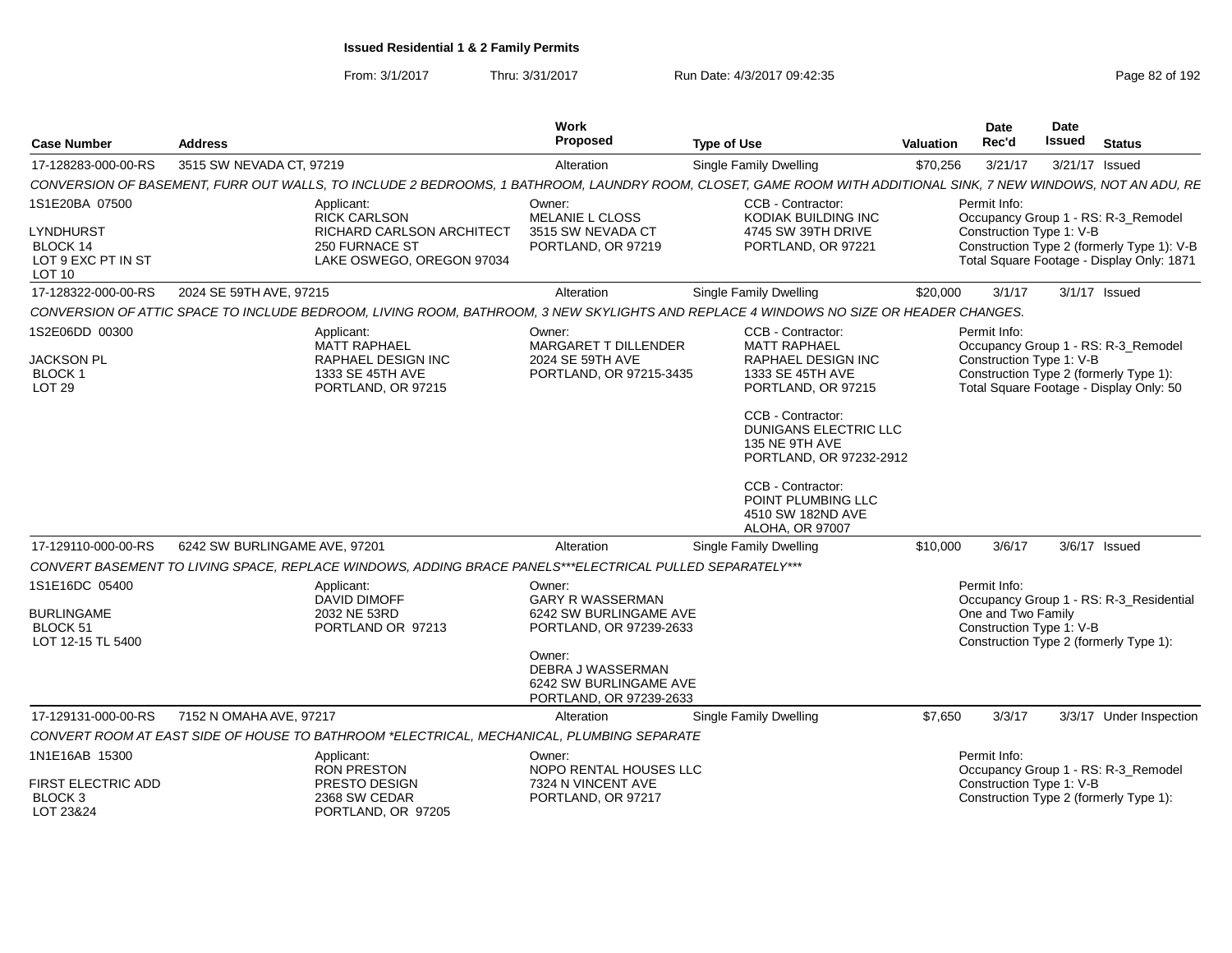From: 3/1/2017Thru: 3/31/2017 Run Date: 4/3/2017 09:42:35 Page 82 of 192

| <b>Case Number</b>                                                   | <b>Address</b>                |                                                                                                                                                                | Work<br><b>Proposed</b>                                                                                                                                                    | <b>Type of Use</b>                                                                                                                                                                                                | Valuation | <b>Date</b><br>Rec'd                                           | <b>Date</b><br>Issued | <b>Status</b>                                                                                                            |
|----------------------------------------------------------------------|-------------------------------|----------------------------------------------------------------------------------------------------------------------------------------------------------------|----------------------------------------------------------------------------------------------------------------------------------------------------------------------------|-------------------------------------------------------------------------------------------------------------------------------------------------------------------------------------------------------------------|-----------|----------------------------------------------------------------|-----------------------|--------------------------------------------------------------------------------------------------------------------------|
| 17-128283-000-00-RS                                                  | 3515 SW NEVADA CT, 97219      |                                                                                                                                                                | Alteration                                                                                                                                                                 | Single Family Dwelling                                                                                                                                                                                            | \$70,256  | 3/21/17                                                        |                       | 3/21/17 Issued                                                                                                           |
|                                                                      |                               | CONVERSION OF BASEMENT, FURR OUT WALLS, TO INCLUDE 2 BEDROOMS, 1 BATHROOM, LAUNDRY ROOM, CLOSET, GAME ROOM WITH ADDITIONAL SINK, 7 NEW WINDOWS, NOT AN ADU, RE |                                                                                                                                                                            |                                                                                                                                                                                                                   |           |                                                                |                       |                                                                                                                          |
| 1S1E20BA 07500                                                       |                               | Applicant:<br><b>RICK CARLSON</b>                                                                                                                              | Owner:<br><b>MELANIE L CLOSS</b>                                                                                                                                           | CCB - Contractor:<br>KODIAK BUILDING INC                                                                                                                                                                          |           | Permit Info:                                                   |                       | Occupancy Group 1 - RS: R-3_Remodel                                                                                      |
| <b>LYNDHURST</b><br>BLOCK 14<br>LOT 9 EXC PT IN ST<br><b>LOT 10</b>  |                               | <b>RICHARD CARLSON ARCHITECT</b><br>250 FURNACE ST<br>LAKE OSWEGO, OREGON 97034                                                                                | 3515 SW NEVADA CT<br>PORTLAND, OR 97219                                                                                                                                    | 4745 SW 39TH DRIVE<br>PORTLAND, OR 97221                                                                                                                                                                          |           | Construction Type 1: V-B                                       |                       | Construction Type 2 (formerly Type 1): V-B<br>Total Square Footage - Display Only: 1871                                  |
| 17-128322-000-00-RS                                                  | 2024 SE 59TH AVE, 97215       |                                                                                                                                                                | Alteration                                                                                                                                                                 | <b>Single Family Dwelling</b>                                                                                                                                                                                     | \$20,000  | 3/1/17                                                         |                       | 3/1/17 Issued                                                                                                            |
|                                                                      |                               | CONVERSION OF ATTIC SPACE TO INCLUDE BEDROOM, LIVING ROOM, BATHROOM, 3 NEW SKYLIGHTS AND REPLACE 4 WINDOWS NO SIZE OR HEADER CHANGES.                          |                                                                                                                                                                            |                                                                                                                                                                                                                   |           |                                                                |                       |                                                                                                                          |
| 1S2E06DD 00300<br><b>JACKSON PL</b><br>BLOCK 1<br>LOT <sub>29</sub>  |                               | Applicant:<br><b>MATT RAPHAEL</b><br><b>RAPHAEL DESIGN INC</b><br>1333 SE 45TH AVE<br>PORTLAND, OR 97215                                                       | Owner:<br><b>MARGARET T DILLENDER</b><br>2024 SE 59TH AVE<br>PORTLAND, OR 97215-3435                                                                                       | CCB - Contractor:<br><b>MATT RAPHAEL</b><br><b>RAPHAEL DESIGN INC</b><br>1333 SE 45TH AVE<br>PORTLAND, OR 97215<br>CCB - Contractor:<br><b>DUNIGANS ELECTRIC LLC</b><br>135 NE 9TH AVE<br>PORTLAND, OR 97232-2912 |           | Permit Info:<br>Construction Type 1: V-B                       |                       | Occupancy Group 1 - RS: R-3_Remodel<br>Construction Type 2 (formerly Type 1):<br>Total Square Footage - Display Only: 50 |
|                                                                      |                               |                                                                                                                                                                |                                                                                                                                                                            | CCB - Contractor:<br>POINT PLUMBING LLC<br>4510 SW 182ND AVE<br>ALOHA, OR 97007                                                                                                                                   |           |                                                                |                       |                                                                                                                          |
| 17-129110-000-00-RS                                                  | 6242 SW BURLINGAME AVE, 97201 |                                                                                                                                                                | Alteration                                                                                                                                                                 | <b>Single Family Dwelling</b>                                                                                                                                                                                     | \$10,000  | 3/6/17                                                         |                       | 3/6/17 Issued                                                                                                            |
|                                                                      |                               | CONVERT BASEMENT TO LIVING SPACE, REPLACE WINDOWS, ADDING BRACE PANELS***ELECTRICAL PULLED SEPARATELY***                                                       |                                                                                                                                                                            |                                                                                                                                                                                                                   |           |                                                                |                       |                                                                                                                          |
| 1S1E16DC 05400<br><b>BURLINGAME</b><br>BLOCK 51<br>LOT 12-15 TL 5400 |                               | Applicant:<br><b>DAVID DIMOFF</b><br>2032 NE 53RD<br>PORTLAND OR 97213                                                                                         | Owner:<br><b>GARY R WASSERMAN</b><br>6242 SW BURLINGAME AVE<br>PORTLAND, OR 97239-2633<br>Owner:<br>DEBRA J WASSERMAN<br>6242 SW BURLINGAME AVE<br>PORTLAND, OR 97239-2633 |                                                                                                                                                                                                                   |           | Permit Info:<br>One and Two Family<br>Construction Type 1: V-B |                       | Occupancy Group 1 - RS: R-3 Residential<br>Construction Type 2 (formerly Type 1):                                        |
| 17-129131-000-00-RS                                                  | 7152 N OMAHA AVE, 97217       |                                                                                                                                                                | Alteration                                                                                                                                                                 | <b>Single Family Dwelling</b>                                                                                                                                                                                     | \$7,650   | 3/3/17                                                         |                       | 3/3/17 Under Inspection                                                                                                  |
|                                                                      |                               | CONVERT ROOM AT EAST SIDE OF HOUSE TO BATHROOM *ELECTRICAL. MECHANICAL. PLUMBING SEPARATE                                                                      |                                                                                                                                                                            |                                                                                                                                                                                                                   |           |                                                                |                       |                                                                                                                          |
| 1N1E16AB 15300                                                       |                               | Applicant:<br><b>RON PRESTON</b>                                                                                                                               | Owner:<br>NOPO RENTAL HOUSES LLC                                                                                                                                           |                                                                                                                                                                                                                   |           | Permit Info:                                                   |                       | Occupancy Group 1 - RS: R-3_Remodel                                                                                      |
| FIRST ELECTRIC ADD<br>BLOCK <sub>3</sub><br>LOT 23&24                |                               | PRESTO DESIGN<br>2368 SW CEDAR<br>PORTLAND, OR 97205                                                                                                           | 7324 N VINCENT AVE<br>PORTLAND, OR 97217                                                                                                                                   |                                                                                                                                                                                                                   |           | Construction Type 1: V-B                                       |                       | Construction Type 2 (formerly Type 1):                                                                                   |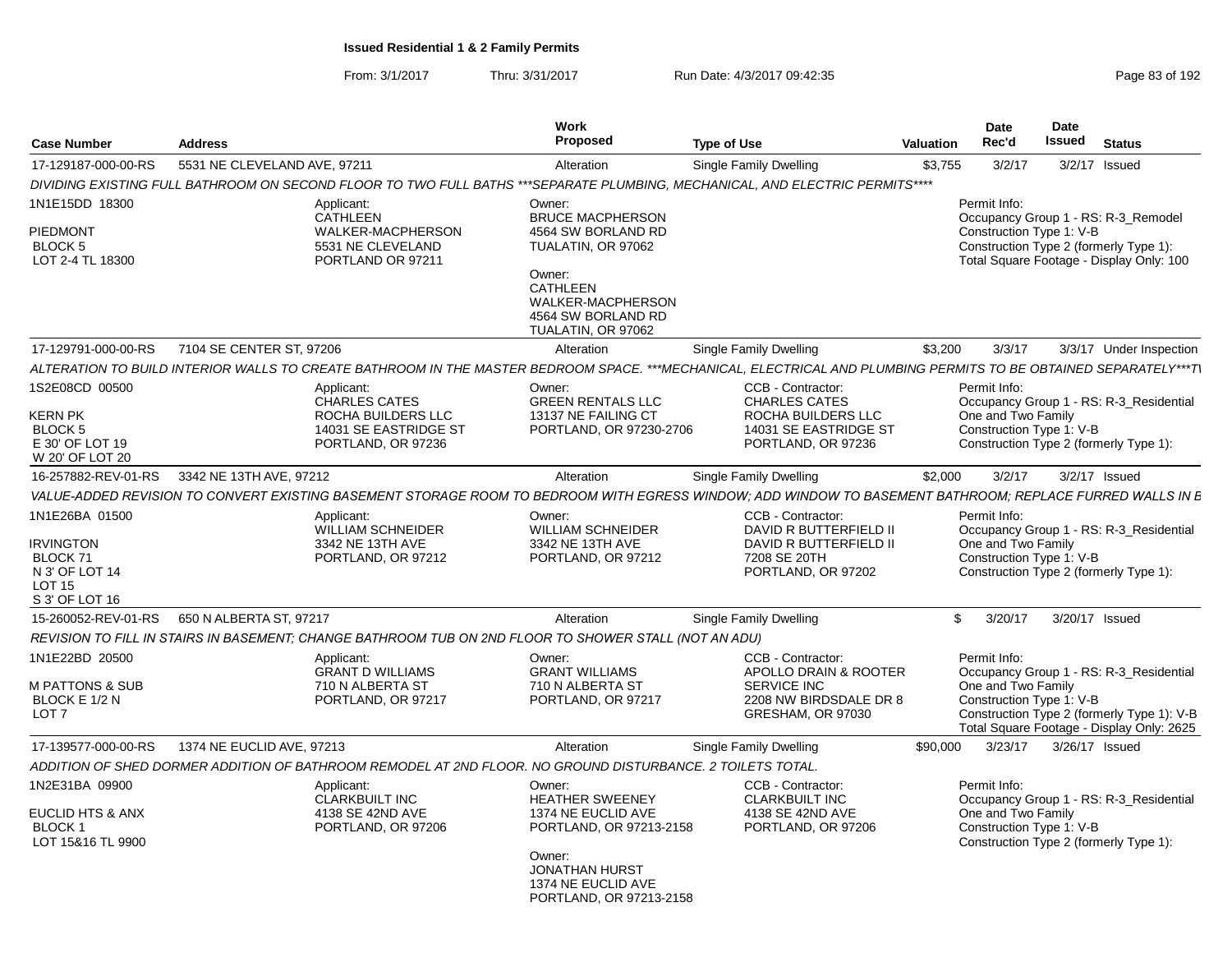| <b>Case Number</b>                                                                                  | <b>Address</b>                                                                                                                                                  | Work<br><b>Proposed</b>                                                                                    | <b>Type of Use</b>                                                                                                     | Valuation | <b>Date</b><br>Rec'd                                           | Date<br><b>Issued</b> | <b>Status</b>                                                                                                                      |
|-----------------------------------------------------------------------------------------------------|-----------------------------------------------------------------------------------------------------------------------------------------------------------------|------------------------------------------------------------------------------------------------------------|------------------------------------------------------------------------------------------------------------------------|-----------|----------------------------------------------------------------|-----------------------|------------------------------------------------------------------------------------------------------------------------------------|
| 17-129187-000-00-RS                                                                                 | 5531 NE CLEVELAND AVE, 97211                                                                                                                                    | Alteration                                                                                                 | Single Family Dwelling                                                                                                 | \$3,755   | 3/2/17                                                         |                       | 3/2/17 Issued                                                                                                                      |
|                                                                                                     | DIVIDING EXISTING FULL BATHROOM ON SECOND FLOOR TO TWO FULL BATHS ***SEPARATE PLUMBING, MECHANICAL, AND ELECTRIC PERMITS****                                    |                                                                                                            |                                                                                                                        |           |                                                                |                       |                                                                                                                                    |
| 1N1E15DD 18300<br>PIEDMONT<br><b>BLOCK 5</b><br>LOT 2-4 TL 18300                                    | Applicant:<br>CATHLEEN<br>WALKER-MACPHERSON<br>5531 NE CLEVELAND<br>PORTLAND OR 97211                                                                           | Owner:<br><b>BRUCE MACPHERSON</b><br>4564 SW BORLAND RD<br>TUALATIN, OR 97062<br>Owner:<br><b>CATHLEEN</b> |                                                                                                                        |           | Permit Info:<br>Construction Type 1: V-B                       |                       | Occupancy Group 1 - RS: R-3 Remodel<br>Construction Type 2 (formerly Type 1):<br>Total Square Footage - Display Only: 100          |
|                                                                                                     |                                                                                                                                                                 | WALKER-MACPHERSON<br>4564 SW BORLAND RD<br>TUALATIN, OR 97062                                              |                                                                                                                        |           |                                                                |                       |                                                                                                                                    |
| 17-129791-000-00-RS                                                                                 | 7104 SE CENTER ST, 97206                                                                                                                                        | Alteration                                                                                                 | <b>Single Family Dwelling</b>                                                                                          | \$3,200   | 3/3/17                                                         |                       | 3/3/17 Under Inspection                                                                                                            |
|                                                                                                     | ALTERATION TO BUILD INTERIOR WALLS TO CREATE BATHROOM IN THE MASTER BEDROOM SPACE. ***MECHANICAL. ELECTRICAL AND PLUMBING PERMITS TO BE OBTAINED SEPARATELY***T |                                                                                                            |                                                                                                                        |           |                                                                |                       |                                                                                                                                    |
| 1S2E08CD 00500<br>KERN PK<br>BLOCK <sub>5</sub><br>E 30' OF LOT 19<br>W 20' OF LOT 20               | Applicant:<br><b>CHARLES CATES</b><br>ROCHA BUILDERS LLC<br>14031 SE EASTRIDGE ST<br>PORTLAND, OR 97236                                                         | Owner:<br><b>GREEN RENTALS LLC</b><br>13137 NE FAILING CT<br>PORTLAND, OR 97230-2706                       | CCB - Contractor:<br><b>CHARLES CATES</b><br>ROCHA BUILDERS LLC<br>14031 SE EASTRIDGE ST<br>PORTLAND, OR 97236         |           | Permit Info:<br>One and Two Family<br>Construction Type 1: V-B |                       | Occupancy Group 1 - RS: R-3_Residential<br>Construction Type 2 (formerly Type 1):                                                  |
| 16-257882-REV-01-RS                                                                                 | 3342 NE 13TH AVE, 97212                                                                                                                                         | Alteration                                                                                                 | Single Family Dwelling                                                                                                 | \$2,000   | 3/2/17                                                         |                       | $3/2/17$ Issued                                                                                                                    |
|                                                                                                     | VALUE-ADDED REVISION TO CONVERT EXISTING BASEMENT STORAGE ROOM TO BEDROOM WITH EGRESS WINDOW: ADD WINDOW TO BASEMENT BATHROOM: REPLACE FURRED WALLS IN E        |                                                                                                            |                                                                                                                        |           |                                                                |                       |                                                                                                                                    |
| 1N1E26BA 01500<br><b>IRVINGTON</b><br>BLOCK 71<br>N 3' OF LOT 14<br><b>LOT 15</b><br>S 3' OF LOT 16 | Applicant:<br>WILLIAM SCHNEIDER<br>3342 NE 13TH AVE<br>PORTLAND, OR 97212                                                                                       | Owner:<br>WILLIAM SCHNEIDER<br>3342 NE 13TH AVE<br>PORTLAND, OR 97212                                      | CCB - Contractor:<br>DAVID R BUTTERFIELD II<br>DAVID R BUTTERFIELD II<br>7208 SE 20TH<br>PORTLAND, OR 97202            |           | Permit Info:<br>One and Two Family<br>Construction Type 1: V-B |                       | Occupancy Group 1 - RS: R-3_Residential<br>Construction Type 2 (formerly Type 1):                                                  |
|                                                                                                     | 15-260052-REV-01-RS   650 N ALBERTA ST, 97217                                                                                                                   | Alteration                                                                                                 | Single Family Dwelling                                                                                                 | \$        | 3/20/17                                                        |                       | 3/20/17 Issued                                                                                                                     |
|                                                                                                     | REVISION TO FILL IN STAIRS IN BASEMENT: CHANGE BATHROOM TUB ON 2ND FLOOR TO SHOWER STALL (NOT AN ADU)                                                           |                                                                                                            |                                                                                                                        |           |                                                                |                       |                                                                                                                                    |
| 1N1E22BD 20500<br>M PATTONS & SUB<br>BLOCK E 1/2 N<br>LOT <sub>7</sub>                              | Applicant:<br><b>GRANT D WILLIAMS</b><br>710 N ALBERTA ST<br>PORTLAND, OR 97217                                                                                 | Owner:<br><b>GRANT WILLIAMS</b><br>710 N ALBERTA ST<br>PORTLAND, OR 97217                                  | <b>CCB - Contractor:</b><br>APOLLO DRAIN & ROOTER<br><b>SERVICE INC</b><br>2208 NW BIRDSDALE DR 8<br>GRESHAM, OR 97030 |           | Permit Info:<br>One and Two Family<br>Construction Type 1: V-B |                       | Occupancy Group 1 - RS: R-3 Residential<br>Construction Type 2 (formerly Type 1): V-B<br>Total Square Footage - Display Only: 2625 |
| 17-139577-000-00-RS                                                                                 | 1374 NE EUCLID AVE, 97213                                                                                                                                       | Alteration                                                                                                 | Single Family Dwelling                                                                                                 | \$90,000  | 3/23/17                                                        |                       | 3/26/17 Issued                                                                                                                     |
|                                                                                                     | ADDITION OF SHED DORMER ADDITION OF BATHROOM REMODEL AT 2ND FLOOR. NO GROUND DISTURBANCE. 2 TOILETS TOTAL.                                                      |                                                                                                            |                                                                                                                        |           |                                                                |                       |                                                                                                                                    |
| 1N2E31BA 09900<br>EUCLID HTS & ANX<br><b>BLOCK1</b><br>LOT 15&16 TL 9900                            | Applicant:<br><b>CLARKBUILT INC</b><br>4138 SE 42ND AVE<br>PORTLAND, OR 97206                                                                                   | Owner:<br><b>HEATHER SWEENEY</b><br>1374 NE EUCLID AVE<br>PORTLAND, OR 97213-2158<br>Owner:                | CCB - Contractor:<br><b>CLARKBUILT INC</b><br>4138 SE 42ND AVE<br>PORTLAND, OR 97206                                   |           | Permit Info:<br>One and Two Family<br>Construction Type 1: V-B |                       | Occupancy Group 1 - RS: R-3 Residential<br>Construction Type 2 (formerly Type 1):                                                  |
|                                                                                                     |                                                                                                                                                                 | <b>JONATHAN HURST</b><br>1374 NE EUCLID AVE<br>PORTLAND, OR 97213-2158                                     |                                                                                                                        |           |                                                                |                       |                                                                                                                                    |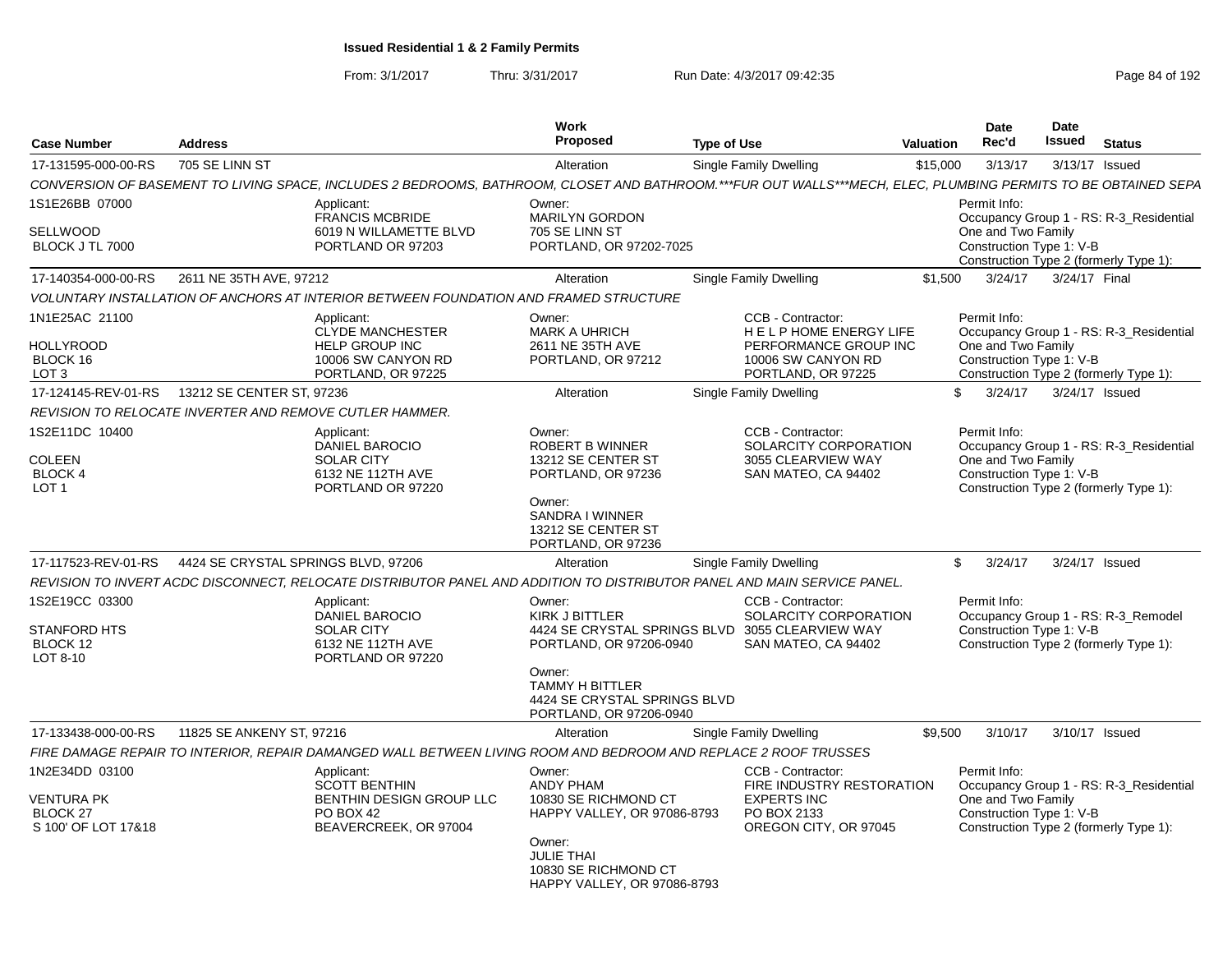From: 3/1/2017Thru: 3/31/2017 Run Date: 4/3/2017 09:42:35 Page 84 of 192

| <b>Case Number</b>                                                         | <b>Address</b>                      |                                                                                                                                                                | <b>Work</b><br><b>Proposed</b>                                                                                                                                          | <b>Type of Use</b>                                                                                                          | Valuation | Date<br>Rec'd                                                  | Date<br>Issued | <b>Status</b>                                                                     |
|----------------------------------------------------------------------------|-------------------------------------|----------------------------------------------------------------------------------------------------------------------------------------------------------------|-------------------------------------------------------------------------------------------------------------------------------------------------------------------------|-----------------------------------------------------------------------------------------------------------------------------|-----------|----------------------------------------------------------------|----------------|-----------------------------------------------------------------------------------|
| 17-131595-000-00-RS                                                        | 705 SE LINN ST                      |                                                                                                                                                                | Alteration                                                                                                                                                              | <b>Single Family Dwelling</b>                                                                                               | \$15,000  | 3/13/17                                                        |                | 3/13/17 Issued                                                                    |
|                                                                            |                                     | CONVERSION OF BASEMENT TO LIVING SPACE, INCLUDES 2 BEDROOMS, BATHROOM, CLOSET AND BATHROOM.***FUR OUT WALLS***MECH, ELEC, PLUMBING PERMITS TO BE OBTAINED SEPA |                                                                                                                                                                         |                                                                                                                             |           |                                                                |                |                                                                                   |
| 1S1E26BB 07000<br><b>SELLWOOD</b><br>BLOCK J TL 7000                       |                                     | Applicant:<br><b>FRANCIS MCBRIDE</b><br>6019 N WILLAMETTE BLVD<br>PORTLAND OR 97203                                                                            | Owner:<br><b>MARILYN GORDON</b><br>705 SE LINN ST<br>PORTLAND, OR 97202-7025                                                                                            |                                                                                                                             |           | Permit Info:<br>One and Two Family<br>Construction Type 1: V-B |                | Occupancy Group 1 - RS: R-3_Residential<br>Construction Type 2 (formerly Type 1): |
| 17-140354-000-00-RS                                                        | 2611 NE 35TH AVE, 97212             |                                                                                                                                                                | Alteration                                                                                                                                                              | Single Family Dwelling                                                                                                      | \$1,500   | 3/24/17                                                        | 3/24/17 Final  |                                                                                   |
|                                                                            |                                     | VOLUNTARY INSTALLATION OF ANCHORS AT INTERIOR BETWEEN FOUNDATION AND FRAMED STRUCTURE                                                                          |                                                                                                                                                                         |                                                                                                                             |           |                                                                |                |                                                                                   |
| 1N1E25AC 21100<br><b>HOLLYROOD</b><br>BLOCK 16<br>LOT <sub>3</sub>         |                                     | Applicant:<br><b>CLYDE MANCHESTER</b><br><b>HELP GROUP INC</b><br>10006 SW CANYON RD<br>PORTLAND, OR 97225                                                     | Owner:<br><b>MARK A UHRICH</b><br>2611 NE 35TH AVE<br>PORTLAND, OR 97212                                                                                                | CCB - Contractor:<br>HELP HOME ENERGY LIFE<br>PERFORMANCE GROUP INC<br>10006 SW CANYON RD<br>PORTLAND, OR 97225             |           | Permit Info:<br>One and Two Family<br>Construction Type 1: V-B |                | Occupancy Group 1 - RS: R-3 Residential<br>Construction Type 2 (formerly Type 1): |
| 17-124145-REV-01-RS                                                        | 13212 SE CENTER ST, 97236           |                                                                                                                                                                | Alteration                                                                                                                                                              | <b>Single Family Dwelling</b>                                                                                               | \$        | 3/24/17                                                        |                | 3/24/17 Issued                                                                    |
|                                                                            |                                     | REVISION TO RELOCATE INVERTER AND REMOVE CUTLER HAMMER.                                                                                                        |                                                                                                                                                                         |                                                                                                                             |           |                                                                |                |                                                                                   |
| 1S2E11DC 10400<br>COLEEN<br><b>BLOCK4</b><br>LOT <sub>1</sub>              |                                     | Applicant:<br>DANIEL BAROCIO<br><b>SOLAR CITY</b><br>6132 NE 112TH AVE<br>PORTLAND OR 97220                                                                    | Owner:<br>ROBERT B WINNER<br>13212 SE CENTER ST<br>PORTLAND, OR 97236<br>Owner:<br>SANDRA I WINNER<br>13212 SE CENTER ST<br>PORTLAND, OR 97236                          | CCB - Contractor:<br>SOLARCITY CORPORATION<br>3055 CLEARVIEW WAY<br>SAN MATEO, CA 94402                                     |           | Permit Info:<br>One and Two Family<br>Construction Type 1: V-B |                | Occupancy Group 1 - RS: R-3 Residential<br>Construction Type 2 (formerly Type 1): |
| 17-117523-REV-01-RS                                                        | 4424 SE CRYSTAL SPRINGS BLVD, 97206 |                                                                                                                                                                | Alteration                                                                                                                                                              | Single Family Dwelling                                                                                                      | \$        | 3/24/17                                                        |                | 3/24/17 Issued                                                                    |
|                                                                            |                                     | REVISION TO INVERT ACDC DISCONNECT, RELOCATE DISTRIBUTOR PANEL AND ADDITION TO DISTRIBUTOR PANEL AND MAIN SERVICE PANEL.                                       |                                                                                                                                                                         |                                                                                                                             |           |                                                                |                |                                                                                   |
| 1S2E19CC 03300<br><b>STANFORD HTS</b><br>BLOCK 12<br>LOT 8-10              |                                     | Applicant:<br><b>DANIEL BAROCIO</b><br><b>SOLAR CITY</b><br>6132 NE 112TH AVE<br>PORTLAND OR 97220                                                             | Owner:<br><b>KIRK J BITTLER</b><br>PORTLAND, OR 97206-0940<br>Owner:<br><b>TAMMY H BITTLER</b><br>4424 SE CRYSTAL SPRINGS BLVD<br>PORTLAND, OR 97206-0940               | CCB - Contractor:<br><b>SOLARCITY CORPORATION</b><br>4424 SE CRYSTAL SPRINGS BLVD 3055 CLEARVIEW WAY<br>SAN MATEO, CA 94402 |           | Permit Info:<br>Construction Type 1: V-B                       |                | Occupancy Group 1 - RS: R-3 Remodel<br>Construction Type 2 (formerly Type 1):     |
| 17-133438-000-00-RS                                                        | 11825 SE ANKENY ST, 97216           |                                                                                                                                                                | Alteration                                                                                                                                                              | <b>Single Family Dwelling</b>                                                                                               | \$9,500   | 3/10/17                                                        |                | 3/10/17 Issued                                                                    |
|                                                                            |                                     | FIRE DAMAGE REPAIR TO INTERIOR, REPAIR DAMANGED WALL BETWEEN LIVING ROOM AND BEDROOM AND REPLACE 2 ROOF TRUSSES                                                |                                                                                                                                                                         |                                                                                                                             |           |                                                                |                |                                                                                   |
| 1N2E34DD 03100<br>VENTURA PK<br>BLOCK <sub>27</sub><br>S 100' OF LOT 17&18 |                                     | Applicant:<br><b>SCOTT BENTHIN</b><br>BENTHIN DESIGN GROUP LLC<br><b>PO BOX 42</b><br>BEAVERCREEK, OR 97004                                                    | Owner:<br><b>ANDY PHAM</b><br>10830 SE RICHMOND CT<br>HAPPY VALLEY, OR 97086-8793<br>Owner:<br><b>JULIE THAI</b><br>10830 SE RICHMOND CT<br>HAPPY VALLEY, OR 97086-8793 | CCB - Contractor:<br>FIRE INDUSTRY RESTORATION<br><b>EXPERTS INC</b><br>PO BOX 2133<br>OREGON CITY, OR 97045                |           | Permit Info:<br>One and Two Family<br>Construction Type 1: V-B |                | Occupancy Group 1 - RS: R-3 Residential<br>Construction Type 2 (formerly Type 1): |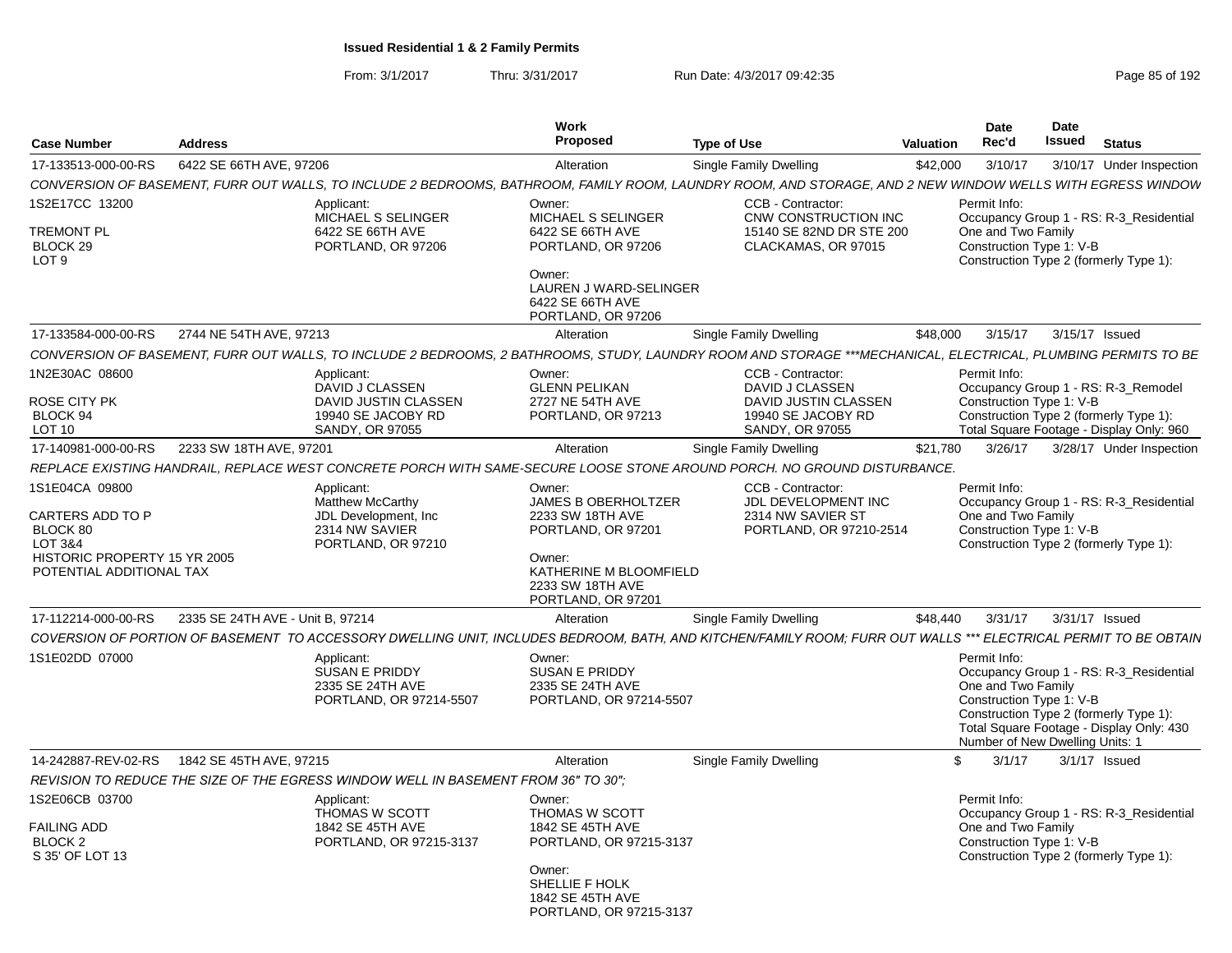| <b>Case Number</b>                                                                                                    | <b>Address</b>                   |                                                                                                                                                                 | <b>Work</b><br>Proposed                                                                                                                                      | <b>Type of Use</b>                                                                                           | Valuation | <b>Date</b><br>Rec'd                                                                                                                                                                                                               | <b>Date</b><br>Issued | <b>Status</b>            |  |
|-----------------------------------------------------------------------------------------------------------------------|----------------------------------|-----------------------------------------------------------------------------------------------------------------------------------------------------------------|--------------------------------------------------------------------------------------------------------------------------------------------------------------|--------------------------------------------------------------------------------------------------------------|-----------|------------------------------------------------------------------------------------------------------------------------------------------------------------------------------------------------------------------------------------|-----------------------|--------------------------|--|
| 17-133513-000-00-RS                                                                                                   | 6422 SE 66TH AVE, 97206          |                                                                                                                                                                 | Alteration                                                                                                                                                   | <b>Single Family Dwelling</b>                                                                                | \$42,000  | 3/10/17                                                                                                                                                                                                                            |                       | 3/10/17 Under Inspection |  |
|                                                                                                                       |                                  | CONVERSION OF BASEMENT, FURR OUT WALLS, TO INCLUDE 2 BEDROOMS, BATHROOM, FAMILY ROOM, LAUNDRY ROOM, AND STORAGE, AND 2 NEW WINDOW WELLS WITH EGRESS WINDOW      |                                                                                                                                                              |                                                                                                              |           |                                                                                                                                                                                                                                    |                       |                          |  |
| 1S2E17CC 13200<br><b>TREMONT PL</b><br>BLOCK 29<br>LOT <sub>9</sub>                                                   |                                  | Applicant:<br>MICHAEL S SELINGER<br>6422 SE 66TH AVE<br>PORTLAND, OR 97206                                                                                      | Owner:<br>MICHAEL S SELINGER<br>6422 SE 66TH AVE<br>PORTLAND, OR 97206<br>Owner:<br>LAUREN J WARD-SELINGER<br>6422 SE 66TH AVE<br>PORTLAND, OR 97206         | CCB - Contractor:<br>CNW CONSTRUCTION INC<br>15140 SE 82ND DR STE 200<br>CLACKAMAS, OR 97015                 |           | Permit Info:<br>Occupancy Group 1 - RS: R-3_Residential<br>One and Two Family<br>Construction Type 1: V-B<br>Construction Type 2 (formerly Type 1):                                                                                |                       |                          |  |
| 17-133584-000-00-RS                                                                                                   | 2744 NE 54TH AVE, 97213          |                                                                                                                                                                 | Alteration                                                                                                                                                   | <b>Single Family Dwelling</b>                                                                                | \$48.000  | 3/15/17                                                                                                                                                                                                                            | 3/15/17 Issued        |                          |  |
|                                                                                                                       |                                  | CONVERSION OF BASEMENT, FURR OUT WALLS, TO INCLUDE 2 BEDROOMS, 2 BATHROOMS, STUDY, LAUNDRY ROOM AND STORAGE ***MECHANICAL, ELECTRICAL, PLUMBING PERMITS TO BE   |                                                                                                                                                              |                                                                                                              |           |                                                                                                                                                                                                                                    |                       |                          |  |
| 1N2E30AC 08600<br>ROSE CITY PK<br>BLOCK 94<br><b>LOT 10</b>                                                           |                                  | Applicant:<br>DAVID J CLASSEN<br>DAVID JUSTIN CLASSEN<br>19940 SE JACOBY RD<br>SANDY, OR 97055                                                                  | Owner:<br><b>GLENN PELIKAN</b><br>2727 NE 54TH AVE<br>PORTLAND, OR 97213                                                                                     | CCB - Contractor:<br>DAVID J CLASSEN<br>DAVID JUSTIN CLASSEN<br>19940 SE JACOBY RD<br><b>SANDY, OR 97055</b> |           | Permit Info:<br>Occupancy Group 1 - RS: R-3_Remodel<br>Construction Type 1: V-B<br>Construction Type 2 (formerly Type 1):<br>Total Square Footage - Display Only: 960                                                              |                       |                          |  |
| 17-140981-000-00-RS                                                                                                   | 2233 SW 18TH AVE, 97201          |                                                                                                                                                                 | Alteration                                                                                                                                                   | Single Family Dwelling                                                                                       | \$21,780  | 3/26/17                                                                                                                                                                                                                            |                       | 3/28/17 Under Inspection |  |
|                                                                                                                       |                                  | REPLACE EXISTING HANDRAIL, REPLACE WEST CONCRETE PORCH WITH SAME-SECURE LOOSE STONE AROUND PORCH. NO GROUND DISTURBANCE.                                        |                                                                                                                                                              |                                                                                                              |           |                                                                                                                                                                                                                                    |                       |                          |  |
| 1S1E04CA 09800<br>CARTERS ADD TO P<br>BLOCK 80<br>LOT 3&4<br>HISTORIC PROPERTY 15 YR 2005<br>POTENTIAL ADDITIONAL TAX |                                  | Applicant:<br><b>Matthew McCarthy</b><br>JDL Development. Inc.<br>2314 NW SAVIER<br>PORTLAND, OR 97210                                                          | Owner:<br><b>JAMES B OBERHOLTZER</b><br>2233 SW 18TH AVE<br>PORTLAND, OR 97201<br>Owner:<br>KATHERINE M BLOOMFIELD<br>2233 SW 18TH AVE<br>PORTLAND, OR 97201 | CCB - Contractor:<br>JDL DEVELOPMENT INC<br>2314 NW SAVIER ST<br>PORTLAND, OR 97210-2514                     |           | Permit Info:<br>Occupancy Group 1 - RS: R-3 Residential<br>One and Two Family<br>Construction Type 1: V-B<br>Construction Type 2 (formerly Type 1):                                                                                |                       |                          |  |
| 17-112214-000-00-RS                                                                                                   | 2335 SE 24TH AVE - Unit B, 97214 |                                                                                                                                                                 | Alteration                                                                                                                                                   | Single Family Dwelling                                                                                       | \$48,440  | 3/31/17                                                                                                                                                                                                                            | 3/31/17 Issued        |                          |  |
|                                                                                                                       |                                  | COVERSION OF PORTION OF BASEMENT TO ACCESSORY DWELLING UNIT, INCLUDES BEDROOM, BATH, AND KITCHEN/FAMILY ROOM; FURR OUT WALLS *** ELECTRICAL PERMIT TO BE OBTAIN |                                                                                                                                                              |                                                                                                              |           |                                                                                                                                                                                                                                    |                       |                          |  |
| 1S1E02DD 07000                                                                                                        |                                  | Applicant<br>SUSAN E PRIDDY<br>2335 SE 24TH AVE<br>PORTLAND, OR 97214-5507                                                                                      | Owner:<br><b>SUSAN E PRIDDY</b><br>2335 SE 24TH AVE<br>PORTLAND, OR 97214-5507                                                                               |                                                                                                              |           | Permit Info:<br>Occupancy Group 1 - RS: R-3_Residential<br>One and Two Family<br>Construction Type 1: V-B<br>Construction Type 2 (formerly Type 1):<br>Total Square Footage - Display Only: 430<br>Number of New Dwelling Units: 1 |                       |                          |  |
| 14-242887-REV-02-RS                                                                                                   | 1842 SE 45TH AVE, 97215          |                                                                                                                                                                 | Alteration                                                                                                                                                   | Single Family Dwelling                                                                                       |           | 3/1/17<br>\$                                                                                                                                                                                                                       |                       | $3/1/17$ Issued          |  |
|                                                                                                                       |                                  | REVISION TO REDUCE THE SIZE OF THE EGRESS WINDOW WELL IN BASEMENT FROM 36" TO 30":                                                                              |                                                                                                                                                              |                                                                                                              |           |                                                                                                                                                                                                                                    |                       |                          |  |
| 1S2E06CB 03700<br>FAILING ADD<br>BLOCK <sub>2</sub><br>S 35' OF LOT 13                                                |                                  | Applicant:<br>THOMAS W SCOTT<br>1842 SE 45TH AVE<br>PORTLAND, OR 97215-3137                                                                                     | Owner:<br><b>THOMAS W SCOTT</b><br>1842 SE 45TH AVE<br>PORTLAND, OR 97215-3137<br>Owner:<br>SHELLIE F HOLK<br>1842 SE 45TH AVE<br>PORTLAND, OR 97215-3137    |                                                                                                              |           | Permit Info:<br>Occupancy Group 1 - RS: R-3_Residential<br>One and Two Family<br>Construction Type 1: V-B<br>Construction Type 2 (formerly Type 1):                                                                                |                       |                          |  |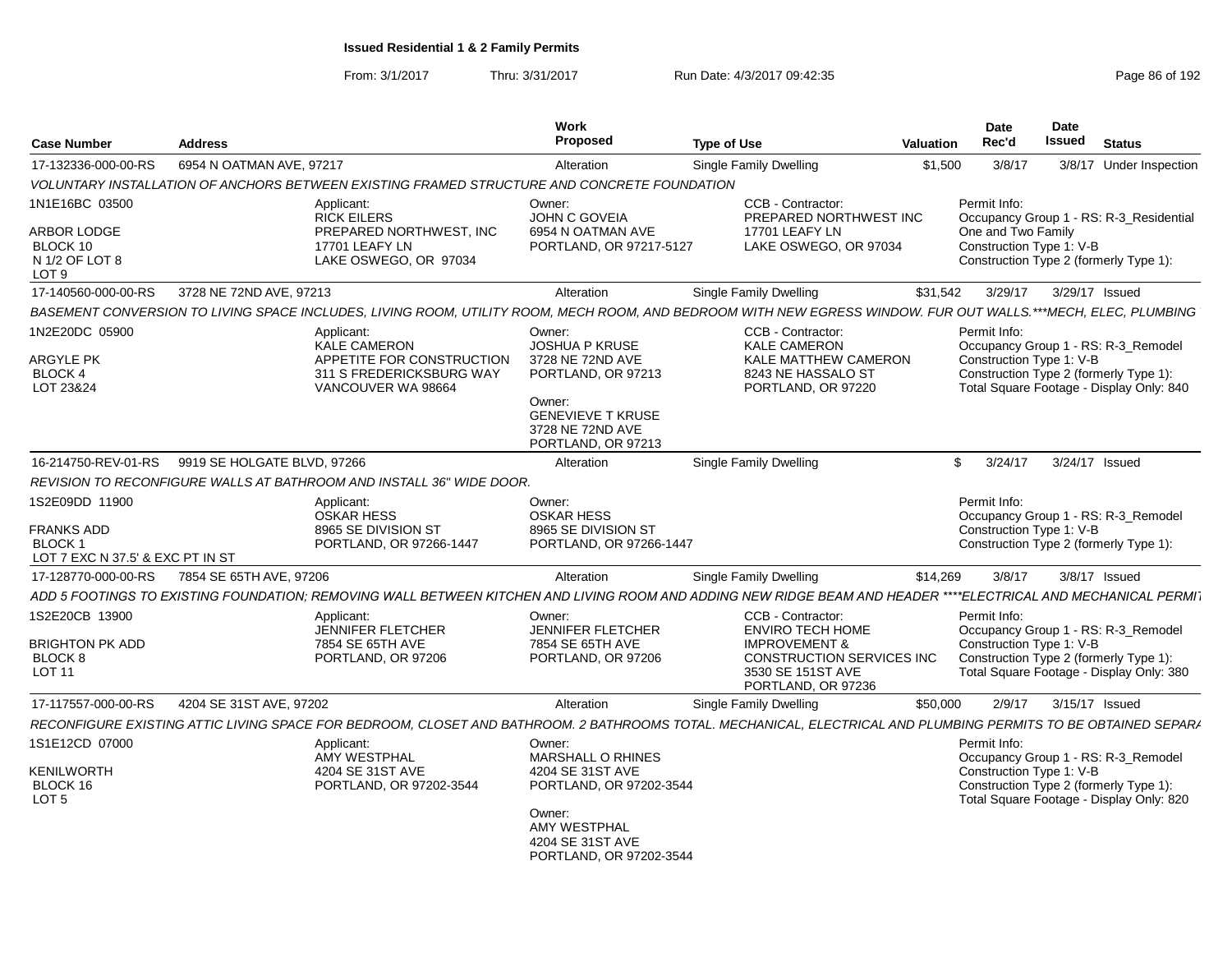| <b>Case Number</b>                                                                       | <b>Address</b>              |                                                                                                                                                                | <b>Work</b><br>Proposed                                                                                                                                   | <b>Type of Use</b>                                                                                                                               | <b>Valuation</b> | <b>Date</b><br>Rec'd                                           | <b>Date</b><br><b>Issued</b> | <b>Status</b>                                                                                                             |
|------------------------------------------------------------------------------------------|-----------------------------|----------------------------------------------------------------------------------------------------------------------------------------------------------------|-----------------------------------------------------------------------------------------------------------------------------------------------------------|--------------------------------------------------------------------------------------------------------------------------------------------------|------------------|----------------------------------------------------------------|------------------------------|---------------------------------------------------------------------------------------------------------------------------|
| 17-132336-000-00-RS                                                                      | 6954 N OATMAN AVE, 97217    |                                                                                                                                                                | Alteration                                                                                                                                                | <b>Single Family Dwelling</b>                                                                                                                    | \$1,500          | 3/8/17                                                         |                              | 3/8/17 Under Inspection                                                                                                   |
|                                                                                          |                             | VOLUNTARY INSTALLATION OF ANCHORS BETWEEN EXISTING FRAMED STRUCTURE AND CONCRETE FOUNDATION                                                                    |                                                                                                                                                           |                                                                                                                                                  |                  |                                                                |                              |                                                                                                                           |
| 1N1E16BC 03500<br>ARBOR LODGE<br>BLOCK 10<br>N 1/2 OF LOT 8<br>LOT <sub>9</sub>          |                             | Applicant:<br><b>RICK EILERS</b><br>PREPARED NORTHWEST, INC.<br>17701 LEAFY LN<br>LAKE OSWEGO, OR 97034                                                        | Owner:<br>JOHN C GOVEIA<br>6954 N OATMAN AVE<br>PORTLAND, OR 97217-5127                                                                                   | CCB - Contractor:<br>PREPARED NORTHWEST INC<br><b>17701 LEAFY LN</b><br>LAKE OSWEGO, OR 97034                                                    |                  | Permit Info:<br>One and Two Family<br>Construction Type 1: V-B |                              | Occupancy Group 1 - RS: R-3_Residential<br>Construction Type 2 (formerly Type 1):                                         |
| 17-140560-000-00-RS                                                                      | 3728 NE 72ND AVE, 97213     |                                                                                                                                                                | Alteration                                                                                                                                                | <b>Single Family Dwelling</b>                                                                                                                    | \$31,542         | 3/29/17                                                        | 3/29/17 Issued               |                                                                                                                           |
|                                                                                          |                             | BASEMENT CONVERSION TO LIVING SPACE INCLUDES, LIVING ROOM, UTILITY ROOM, MECH ROOM, AND BEDROOM WITH NEW EGRESS WINDOW. FUR OUT WALLS.***MECH, ELEC, PLUMBING  |                                                                                                                                                           |                                                                                                                                                  |                  |                                                                |                              |                                                                                                                           |
| 1N2E20DC 05900<br>ARGYLE PK<br>BLOCK 4<br>LOT 23&24                                      |                             | Applicant:<br><b>KALE CAMERON</b><br>APPETITE FOR CONSTRUCTION<br>311 S FREDERICKSBURG WAY<br>VANCOUVER WA 98664                                               | Owner:<br><b>JOSHUA P KRUSE</b><br>3728 NE 72ND AVE<br>PORTLAND, OR 97213<br>Owner:<br><b>GENEVIEVE T KRUSE</b><br>3728 NE 72ND AVE<br>PORTLAND, OR 97213 | CCB - Contractor:<br><b>KALE CAMERON</b><br><b>KALE MATTHEW CAMERON</b><br>8243 NE HASSALO ST<br>PORTLAND, OR 97220                              |                  | Permit Info:<br>Construction Type 1: V-B                       |                              | Occupancy Group 1 - RS: R-3_Remodel<br>Construction Type 2 (formerly Type 1):<br>Total Square Footage - Display Only: 840 |
| 16-214750-REV-01-RS                                                                      | 9919 SE HOLGATE BLVD, 97266 |                                                                                                                                                                | Alteration                                                                                                                                                | Single Family Dwelling                                                                                                                           |                  | \$<br>3/24/17                                                  | 3/24/17 Issued               |                                                                                                                           |
|                                                                                          |                             | REVISION TO RECONFIGURE WALLS AT BATHROOM AND INSTALL 36" WIDE DOOR.                                                                                           |                                                                                                                                                           |                                                                                                                                                  |                  |                                                                |                              |                                                                                                                           |
| 1S2E09DD 11900<br><b>FRANKS ADD</b><br><b>BLOCK1</b><br>LOT 7 EXC N 37.5' & EXC PT IN ST |                             | Applicant:<br><b>OSKAR HESS</b><br>8965 SE DIVISION ST<br>PORTLAND, OR 97266-1447                                                                              | Owner:<br><b>OSKAR HESS</b><br>8965 SE DIVISION ST<br>PORTLAND, OR 97266-1447                                                                             |                                                                                                                                                  |                  | Permit Info:<br>Construction Type 1: V-B                       |                              | Occupancy Group 1 - RS: R-3_Remodel<br>Construction Type 2 (formerly Type 1):                                             |
| 17-128770-000-00-RS                                                                      | 7854 SE 65TH AVE, 97206     |                                                                                                                                                                | Alteration                                                                                                                                                | <b>Single Family Dwelling</b>                                                                                                                    | \$14,269         | 3/8/17                                                         |                              | 3/8/17 Issued                                                                                                             |
|                                                                                          |                             | ADD 5 FOOTINGS TO EXISTING FOUNDATION; REMOVING WALL BETWEEN KITCHEN AND LIVING ROOM AND ADDING NEW RIDGE BEAM AND HEADER ****ELECTRICAL AND MECHANICAL PERMI  |                                                                                                                                                           |                                                                                                                                                  |                  |                                                                |                              |                                                                                                                           |
| 1S2E20CB 13900<br>BRIGHTON PK ADD<br>BLOCK 8<br>LOT <sub>11</sub>                        |                             | Applicant:<br><b>JENNIFER FLETCHER</b><br>7854 SE 65TH AVE<br>PORTLAND, OR 97206                                                                               | Owner:<br><b>JENNIFER FLETCHER</b><br>7854 SE 65TH AVE<br>PORTLAND, OR 97206                                                                              | CCB - Contractor:<br><b>ENVIRO TECH HOME</b><br><b>IMPROVEMENT &amp;</b><br>CONSTRUCTION SERVICES INC<br>3530 SE 151ST AVE<br>PORTLAND, OR 97236 |                  | Permit Info:<br>Construction Type 1: V-B                       |                              | Occupancy Group 1 - RS: R-3_Remodel<br>Construction Type 2 (formerly Type 1):<br>Total Square Footage - Display Only: 380 |
| 17-117557-000-00-RS                                                                      | 4204 SE 31ST AVE, 97202     |                                                                                                                                                                | Alteration                                                                                                                                                | Single Family Dwelling                                                                                                                           | \$50,000         | 2/9/17                                                         | 3/15/17 Issued               |                                                                                                                           |
|                                                                                          |                             | RECONFIGURE EXISTING ATTIC LIVING SPACE FOR BEDROOM, CLOSET AND BATHROOM. 2 BATHROOMS TOTAL. MECHANICAL, ELECTRICAL AND PLUMBING PERMITS TO BE OBTAINED SEPARA |                                                                                                                                                           |                                                                                                                                                  |                  |                                                                |                              |                                                                                                                           |
| 1S1E12CD 07000<br>KENILWORTH<br>BLOCK 16<br>LOT <sub>5</sub>                             |                             | Applicant:<br>AMY WESTPHAL<br>4204 SE 31ST AVE<br>PORTLAND, OR 97202-3544                                                                                      | Owner:<br>MARSHALL O RHINES<br>4204 SE 31ST AVE<br>PORTLAND, OR 97202-3544<br>Owner:<br>AMY WESTPHAL<br>4204 SE 31ST AVE<br>PORTLAND, OR 97202-3544       |                                                                                                                                                  |                  | Permit Info:<br>Construction Type 1: V-B                       |                              | Occupancy Group 1 - RS: R-3_Remodel<br>Construction Type 2 (formerly Type 1):<br>Total Square Footage - Display Only: 820 |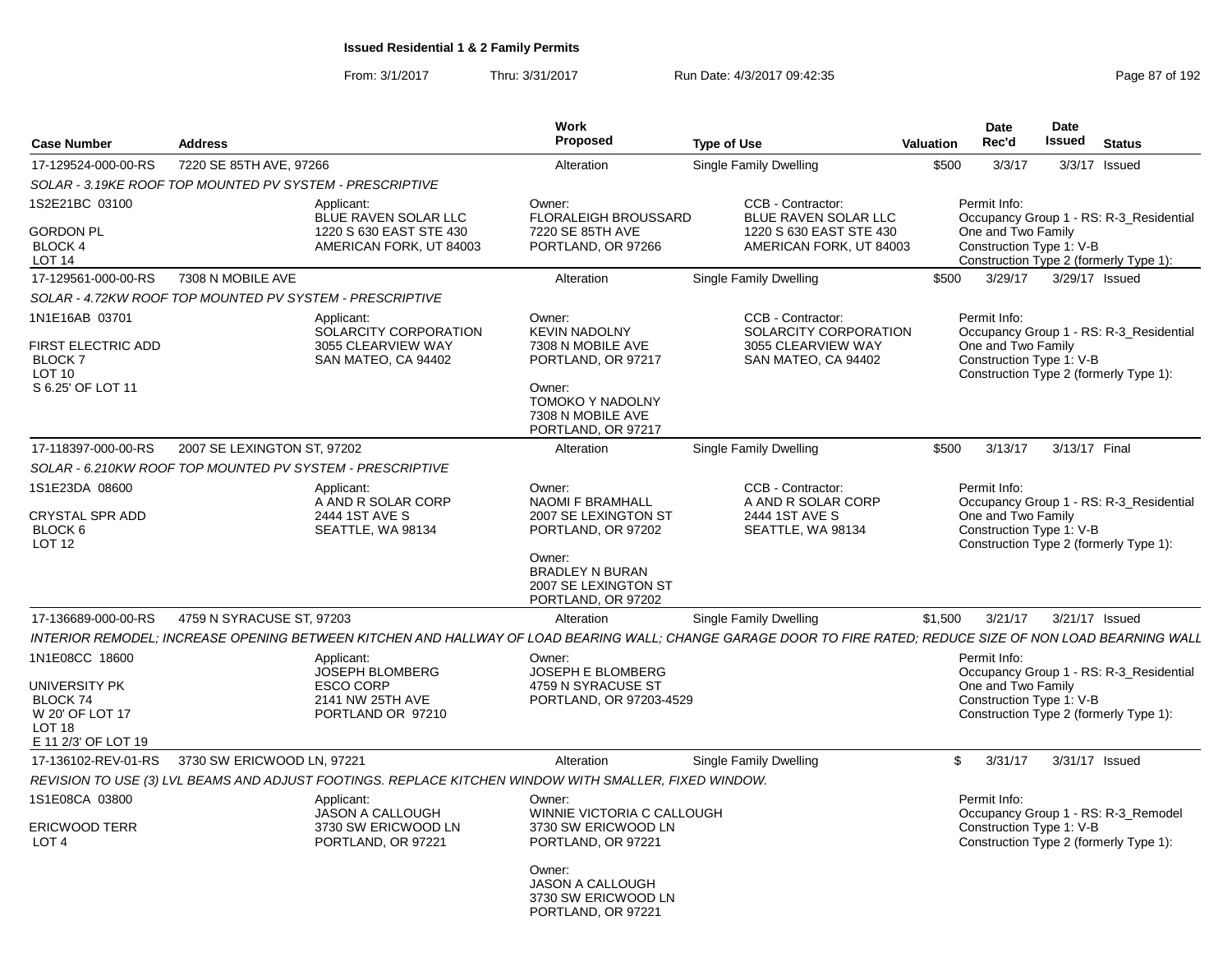From: 3/1/2017Thru: 3/31/2017 Run Date: 4/3/2017 09:42:35 Page 87 of 192

| <b>Case Number</b>                                                            | <b>Address</b>              |                                                                                                       | Work<br>Proposed                                                                                                        | <b>Type of Use</b>                                                                                                                                           | <b>Valuation</b> | <b>Date</b><br>Rec'd                                           | <b>Date</b><br>Issued | <b>Status</b>                                                                     |
|-------------------------------------------------------------------------------|-----------------------------|-------------------------------------------------------------------------------------------------------|-------------------------------------------------------------------------------------------------------------------------|--------------------------------------------------------------------------------------------------------------------------------------------------------------|------------------|----------------------------------------------------------------|-----------------------|-----------------------------------------------------------------------------------|
| 17-129524-000-00-RS                                                           | 7220 SE 85TH AVE, 97266     |                                                                                                       | Alteration                                                                                                              | <b>Single Family Dwelling</b>                                                                                                                                | \$500            | 3/3/17                                                         |                       | 3/3/17 Issued                                                                     |
|                                                                               |                             | SOLAR - 3.19KE ROOF TOP MOUNTED PV SYSTEM - PRESCRIPTIVE                                              |                                                                                                                         |                                                                                                                                                              |                  |                                                                |                       |                                                                                   |
| 1S2E21BC 03100<br>GORDON PL<br><b>BLOCK 4</b><br>LOT <sub>14</sub>            |                             | Applicant:<br>BLUE RAVEN SOLAR LLC<br>1220 S 630 EAST STE 430<br>AMERICAN FORK, UT 84003              | Owner:<br><b>FLORALEIGH BROUSSARD</b><br>7220 SE 85TH AVE<br>PORTLAND, OR 97266                                         | CCB - Contractor:<br>BLUE RAVEN SOLAR LLC<br>1220 S 630 EAST STE 430<br>AMERICAN FORK, UT 84003                                                              |                  | Permit Info:<br>One and Two Family<br>Construction Type 1: V-B |                       | Occupancy Group 1 - RS: R-3_Residential<br>Construction Type 2 (formerly Type 1): |
| 17-129561-000-00-RS                                                           | 7308 N MOBILE AVE           |                                                                                                       | Alteration                                                                                                              | Single Family Dwelling                                                                                                                                       | \$500            | 3/29/17                                                        |                       | 3/29/17 Issued                                                                    |
|                                                                               |                             | SOLAR - 4.72KW ROOF TOP MOUNTED PV SYSTEM - PRESCRIPTIVE                                              |                                                                                                                         |                                                                                                                                                              |                  |                                                                |                       |                                                                                   |
| 1N1E16AB 03701                                                                |                             | Applicant:<br>SOLARCITY CORPORATION                                                                   | Owner:<br><b>KEVIN NADOLNY</b>                                                                                          | CCB - Contractor:<br>SOLARCITY CORPORATION                                                                                                                   |                  | Permit Info:                                                   |                       | Occupancy Group 1 - RS: R-3 Residential                                           |
| FIRST ELECTRIC ADD<br><b>BLOCK7</b><br>LOT 10<br>S 6.25' OF LOT 11            |                             | 3055 CLEARVIEW WAY<br>SAN MATEO, CA 94402                                                             | 7308 N MOBILE AVE<br>PORTLAND, OR 97217<br>Owner:<br><b>TOMOKO Y NADOLNY</b><br>7308 N MOBILE AVE<br>PORTLAND, OR 97217 | 3055 CLEARVIEW WAY<br>SAN MATEO, CA 94402                                                                                                                    |                  | One and Two Family<br>Construction Type 1: V-B                 |                       | Construction Type 2 (formerly Type 1):                                            |
| 17-118397-000-00-RS                                                           | 2007 SE LEXINGTON ST, 97202 |                                                                                                       | Alteration                                                                                                              | <b>Single Family Dwelling</b>                                                                                                                                | \$500            | 3/13/17                                                        |                       | 3/13/17 Final                                                                     |
|                                                                               |                             | SOLAR - 6.210KW ROOF TOP MOUNTED PV SYSTEM - PRESCRIPTIVE                                             |                                                                                                                         |                                                                                                                                                              |                  |                                                                |                       |                                                                                   |
| 1S1E23DA 08600<br>CRYSTAL SPR ADD<br>BLOCK <sub>6</sub><br><b>LOT 12</b>      |                             | Applicant:<br>A AND R SOLAR CORP<br>2444 1ST AVE S<br>SEATTLE, WA 98134                               | Owner:<br><b>NAOMI F BRAMHALL</b><br>2007 SE LEXINGTON ST<br>PORTLAND, OR 97202<br>Owner:                               | CCB - Contractor:<br>A AND R SOLAR CORP<br>2444 1ST AVE S<br>SEATTLE, WA 98134                                                                               |                  | Permit Info:<br>One and Two Family<br>Construction Type 1: V-B |                       | Occupancy Group 1 - RS: R-3 Residential<br>Construction Type 2 (formerly Type 1): |
|                                                                               |                             |                                                                                                       | <b>BRADLEY N BURAN</b><br>2007 SE LEXINGTON ST<br>PORTLAND, OR 97202                                                    |                                                                                                                                                              |                  |                                                                |                       |                                                                                   |
| 17-136689-000-00-RS                                                           | 4759 N SYRACUSE ST, 97203   |                                                                                                       | Alteration                                                                                                              | <b>Single Family Dwelling</b>                                                                                                                                | \$1,500          | 3/21/17                                                        |                       | 3/21/17 Issued                                                                    |
|                                                                               |                             |                                                                                                       |                                                                                                                         | INTERIOR REMODEL; INCREASE OPENING BETWEEN KITCHEN AND HALLWAY OF LOAD BEARING WALL; CHANGE GARAGE DOOR TO FIRE RATED; REDUCE SIZE OF NON LOAD BEARNING WALL |                  |                                                                |                       |                                                                                   |
| 1N1E08CC 18600                                                                |                             | Applicant:<br>JOSEPH BLOMBERG                                                                         | Owner:<br>JOSEPH E BLOMBERG                                                                                             |                                                                                                                                                              |                  | Permit Info:                                                   |                       | Occupancy Group 1 - RS: R-3_Residential                                           |
| UNIVERSITY PK<br>BLOCK 74<br>W 20' OF LOT 17<br>LOT 18<br>E 11 2/3' OF LOT 19 |                             | <b>ESCO CORP</b><br>2141 NW 25TH AVE<br>PORTLAND OR 97210                                             | 4759 N SYRACUSE ST<br>PORTLAND, OR 97203-4529                                                                           |                                                                                                                                                              |                  | One and Two Family<br>Construction Type 1: V-B                 |                       | Construction Type 2 (formerly Type 1):                                            |
| 17-136102-REV-01-RS                                                           | 3730 SW ERICWOOD LN, 97221  |                                                                                                       | Alteration                                                                                                              | <b>Single Family Dwelling</b>                                                                                                                                | \$               | 3/31/17                                                        |                       | 3/31/17 Issued                                                                    |
|                                                                               |                             | REVISION TO USE (3) LVL BEAMS AND ADJUST FOOTINGS. REPLACE KITCHEN WINDOW WITH SMALLER, FIXED WINDOW. |                                                                                                                         |                                                                                                                                                              |                  |                                                                |                       |                                                                                   |
| 1S1E08CA 03800                                                                |                             | Applicant:<br>JASON A CALLOUGH                                                                        | Owner:<br>WINNIE VICTORIA C CALLOUGH                                                                                    |                                                                                                                                                              |                  | Permit Info:                                                   |                       | Occupancy Group 1 - RS: R-3_Remodel                                               |
| <b>ERICWOOD TERR</b><br>LOT <sub>4</sub>                                      |                             | 3730 SW ERICWOOD LN<br>PORTLAND, OR 97221                                                             | 3730 SW ERICWOOD LN<br>PORTLAND, OR 97221                                                                               |                                                                                                                                                              |                  | Construction Type 1: V-B                                       |                       | Construction Type 2 (formerly Type 1):                                            |
|                                                                               |                             |                                                                                                       | Owner:<br><b>JASON A CALLOUGH</b><br>3730 SW ERICWOOD LN<br>PORTLAND, OR 97221                                          |                                                                                                                                                              |                  |                                                                |                       |                                                                                   |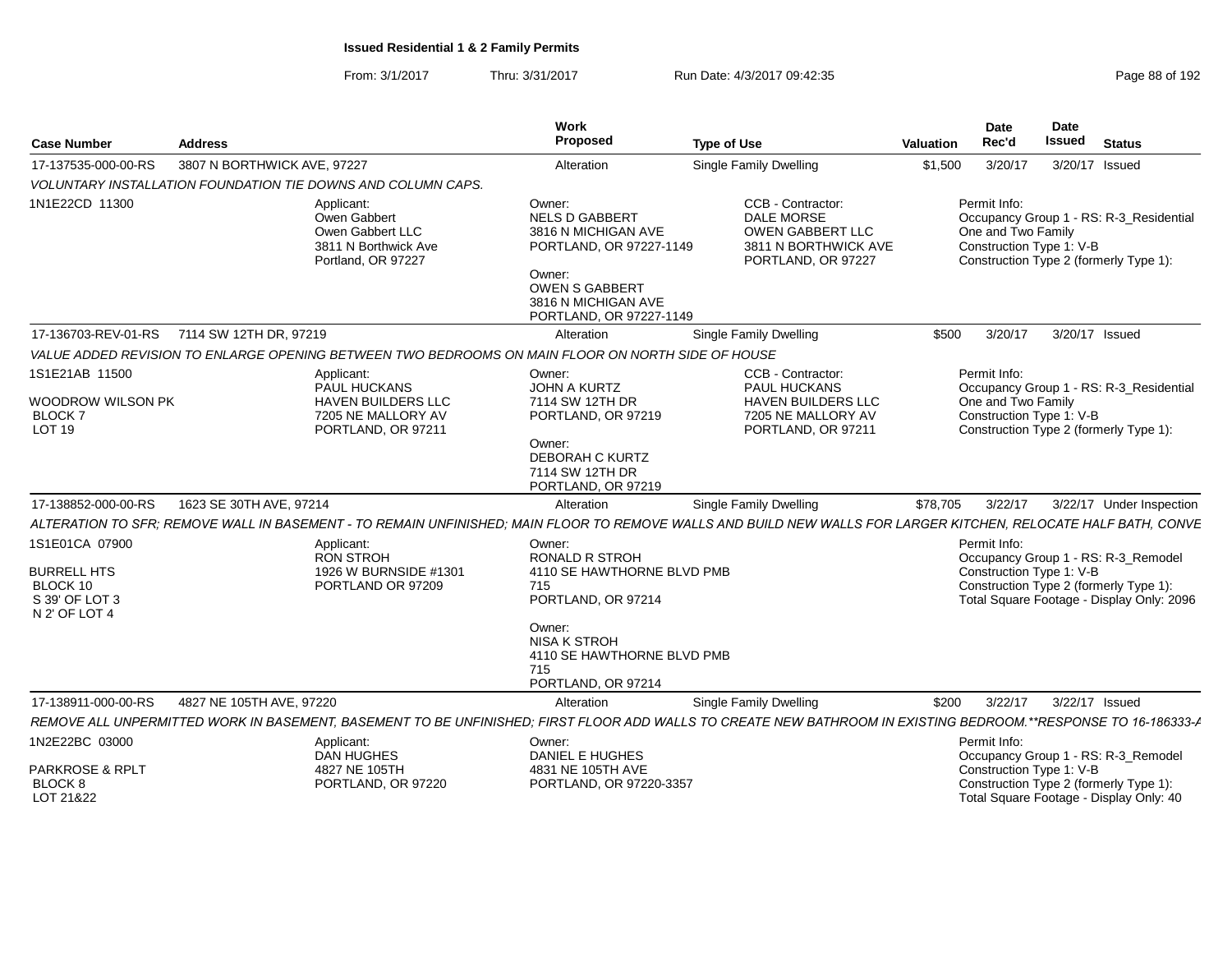| <b>Case Number</b>                                                                  | <b>Address</b>              |                                                                                                     | Work<br>Proposec                                                                                                                            | <b>Type of Use</b>                                                                                                                                              | Valuation | Date<br>Rec'd                                                  | <b>Date</b><br>Issued | <b>Status</b>                                                                                                              |
|-------------------------------------------------------------------------------------|-----------------------------|-----------------------------------------------------------------------------------------------------|---------------------------------------------------------------------------------------------------------------------------------------------|-----------------------------------------------------------------------------------------------------------------------------------------------------------------|-----------|----------------------------------------------------------------|-----------------------|----------------------------------------------------------------------------------------------------------------------------|
| 17-137535-000-00-RS                                                                 | 3807 N BORTHWICK AVE, 97227 |                                                                                                     | Alteration                                                                                                                                  | Single Family Dwelling                                                                                                                                          | \$1,500   | 3/20/17                                                        |                       | 3/20/17 Issued                                                                                                             |
|                                                                                     |                             | VOLUNTARY INSTALLATION FOUNDATION TIE DOWNS AND COLUMN CAPS.                                        |                                                                                                                                             |                                                                                                                                                                 |           |                                                                |                       |                                                                                                                            |
| 1N1E22CD 11300                                                                      |                             | Applicant:<br>Owen Gabbert<br>Owen Gabbert LLC<br>3811 N Borthwick Ave<br>Portland, OR 97227        | Owner:<br><b>NELS D GABBERT</b><br>3816 N MICHIGAN AVE<br>PORTLAND, OR 97227-1149<br>Owner:<br><b>OWEN S GABBERT</b><br>3816 N MICHIGAN AVE | CCB - Contractor:<br><b>DALE MORSE</b><br>OWEN GABBERT LLC<br>3811 N BORTHWICK AVE<br>PORTLAND, OR 97227                                                        |           | Permit Info:<br>One and Two Family<br>Construction Type 1: V-B |                       | Occupancy Group 1 - RS: R-3_Residential<br>Construction Type 2 (formerly Type 1):                                          |
|                                                                                     |                             |                                                                                                     | PORTLAND, OR 97227-1149                                                                                                                     |                                                                                                                                                                 |           |                                                                |                       |                                                                                                                            |
| 17-136703-REV-01-RS 7114 SW 12TH DR, 97219                                          |                             |                                                                                                     | Alteration                                                                                                                                  | Single Family Dwelling                                                                                                                                          |           | \$500 3/20/17                                                  |                       | 3/20/17 Issued                                                                                                             |
|                                                                                     |                             | VALUE ADDED REVISION TO ENLARGE OPENING BETWEEN TWO BEDROOMS ON MAIN FLOOR ON NORTH SIDE OF HOUSE   |                                                                                                                                             |                                                                                                                                                                 |           |                                                                |                       |                                                                                                                            |
| 1S1E21AB 11500<br>WOODROW WILSON PK<br><b>BLOCK7</b><br><b>LOT 19</b>               |                             | Applicant:<br>PAUL HUCKANS<br><b>HAVEN BUILDERS LLC</b><br>7205 NE MALLORY AV<br>PORTLAND, OR 97211 | Owner:<br>JOHN A KURTZ<br>7114 SW 12TH DR<br>PORTLAND, OR 97219<br>Owner:<br>DEBORAH C KURTZ<br>7114 SW 12TH DR<br>PORTLAND, OR 97219       | CCB - Contractor:<br>PAUL HUCKANS<br><b>HAVEN BUILDERS LLC</b><br>7205 NE MALLORY AV<br>PORTLAND, OR 97211                                                      |           | Permit Info:<br>One and Two Family<br>Construction Type 1: V-B |                       | Occupancy Group 1 - RS: R-3_Residential<br>Construction Type 2 (formerly Type 1):                                          |
| 17-138852-000-00-RS                                                                 | 1623 SE 30TH AVE, 97214     |                                                                                                     | Alteration                                                                                                                                  | Single Family Dwelling                                                                                                                                          | \$78,705  | 3/22/17                                                        |                       | 3/22/17 Under Inspection                                                                                                   |
|                                                                                     |                             |                                                                                                     |                                                                                                                                             | ALTERATION TO SFR; REMOVE WALL IN BASEMENT - TO REMAIN UNFINISHED; MAIN FLOOR TO REMOVE WALLS AND BUILD NEW WALLS FOR LARGER KITCHEN, RELOCATE HALF BATH, CONVE |           |                                                                |                       |                                                                                                                            |
| 1S1E01CA 07900<br><b>BURRELL HTS</b><br>BLOCK 10<br>S 39' OF LOT 3<br>N 2' OF LOT 4 |                             | Applicant:<br>RON STROH<br>1926 W BURNSIDE #1301<br>PORTLAND OR 97209                               | Owner:<br><b>RONALD R STROH</b><br>4110 SE HAWTHORNE BLVD PMB<br>715<br>PORTLAND, OR 97214                                                  |                                                                                                                                                                 |           | Permit Info:<br>Construction Type 1: V-B                       |                       | Occupancy Group 1 - RS: R-3_Remodel<br>Construction Type 2 (formerly Type 1):<br>Total Square Footage - Display Only: 2096 |
|                                                                                     |                             |                                                                                                     | Owner:<br>NISA K STROH<br>4110 SE HAWTHORNE BLVD PMB<br>715<br>PORTLAND, OR 97214                                                           |                                                                                                                                                                 |           |                                                                |                       |                                                                                                                            |
| 17-138911-000-00-RS                                                                 | 4827 NE 105TH AVE, 97220    |                                                                                                     | Alteration                                                                                                                                  | Single Family Dwelling                                                                                                                                          | \$200     | 3/22/17                                                        |                       | 3/22/17 Issued                                                                                                             |
|                                                                                     |                             |                                                                                                     |                                                                                                                                             | REMOVE ALL UNPERMITTED WORK IN BASEMENT, BASEMENT TO BE UNFINISHED; FIRST FLOOR ADD WALLS TO CREATE NEW BATHROOM IN EXISTING BEDROOM.**RESPONSE TO 16-186333-A  |           |                                                                |                       |                                                                                                                            |
| 1N2E22BC 03000<br>PARKROSE & RPLT<br>BLOCK 8                                        |                             | Applicant:<br><b>DAN HUGHES</b><br>4827 NE 105TH<br>PORTLAND, OR 97220                              | Owner:<br>DANIEL E HUGHES<br>4831 NE 105TH AVE<br>PORTLAND, OR 97220-3357                                                                   |                                                                                                                                                                 |           | Permit Info:<br>Construction Type 1: V-B                       |                       | Occupancy Group 1 - RS: R-3_Remodel<br>Construction Type 2 (formerly Type 1)                                               |
| LOT 21&22                                                                           |                             |                                                                                                     |                                                                                                                                             |                                                                                                                                                                 |           |                                                                |                       | Total Square Footage - Display Only: 40                                                                                    |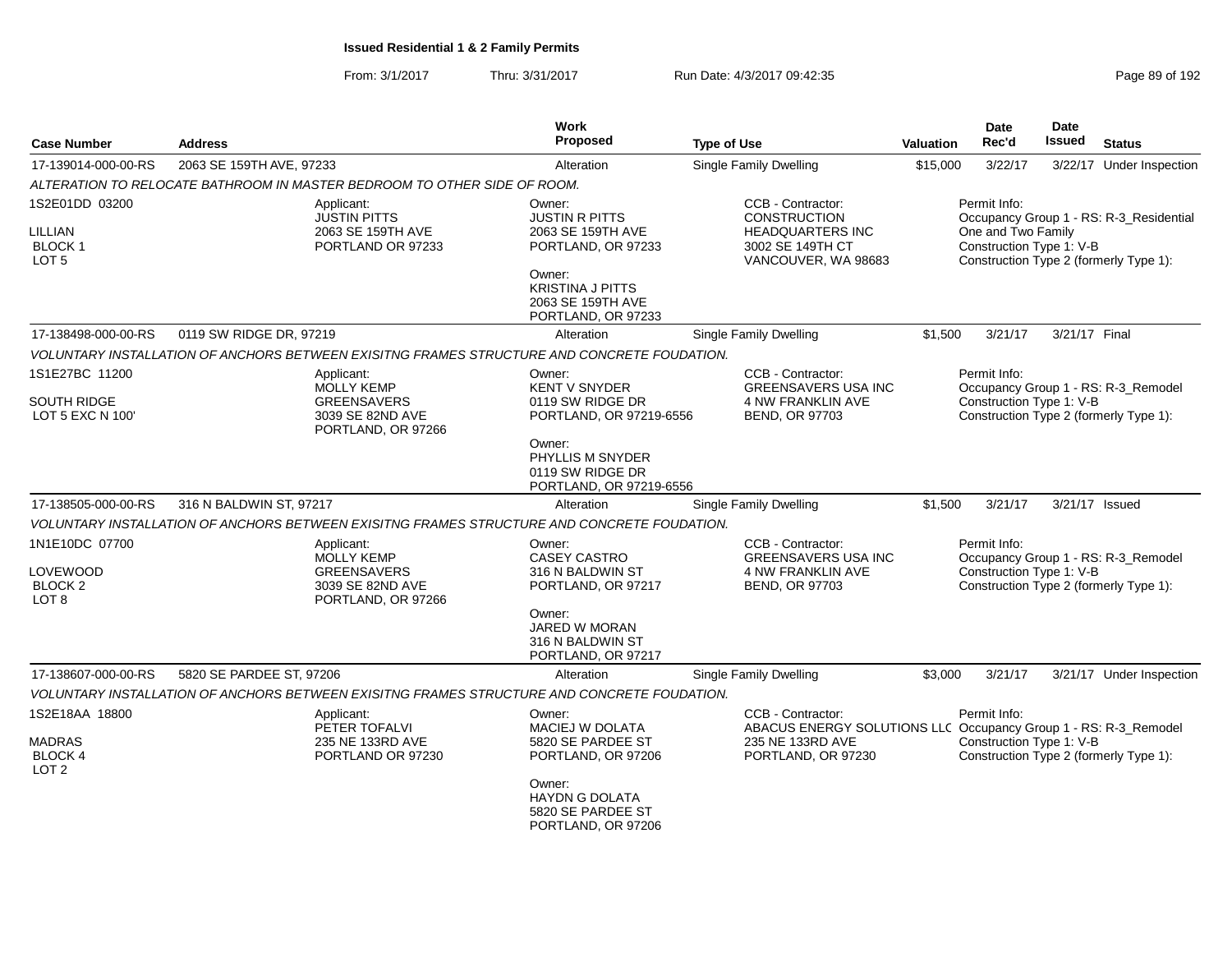| <b>Case Number</b>                                                    | <b>Address</b>           |                                                                                                 | <b>Work</b><br>Proposed                                                                                                                                    | <b>Type of Use</b>                                                                                                             | <b>Valuation</b> | <b>Date</b><br>Rec'd                                           | <b>Date</b><br>Issued | <b>Status</b>                                                                     |
|-----------------------------------------------------------------------|--------------------------|-------------------------------------------------------------------------------------------------|------------------------------------------------------------------------------------------------------------------------------------------------------------|--------------------------------------------------------------------------------------------------------------------------------|------------------|----------------------------------------------------------------|-----------------------|-----------------------------------------------------------------------------------|
| 17-139014-000-00-RS                                                   | 2063 SE 159TH AVE, 97233 |                                                                                                 | Alteration                                                                                                                                                 | <b>Single Family Dwelling</b>                                                                                                  | \$15,000         | 3/22/17                                                        |                       | 3/22/17 Under Inspection                                                          |
|                                                                       |                          | ALTERATION TO RELOCATE BATHROOM IN MASTER BEDROOM TO OTHER SIDE OF ROOM.                        |                                                                                                                                                            |                                                                                                                                |                  |                                                                |                       |                                                                                   |
| 1S2E01DD 03200<br>LILLIAN<br><b>BLOCK1</b><br>LOT <sub>5</sub>        |                          | Applicant:<br><b>JUSTIN PITTS</b><br>2063 SE 159TH AVE<br>PORTLAND OR 97233                     | Owner:<br><b>JUSTIN R PITTS</b><br>2063 SE 159TH AVE<br>PORTLAND, OR 97233<br>Owner:<br><b>KRISTINA J PITTS</b><br>2063 SE 159TH AVE<br>PORTLAND, OR 97233 | CCB - Contractor:<br>CONSTRUCTION<br><b>HEADQUARTERS INC</b><br>3002 SE 149TH CT<br>VANCOUVER, WA 98683                        |                  | Permit Info:<br>One and Two Family<br>Construction Type 1: V-B |                       | Occupancy Group 1 - RS: R-3_Residential<br>Construction Type 2 (formerly Type 1): |
| 17-138498-000-00-RS                                                   | 0119 SW RIDGE DR, 97219  |                                                                                                 | Alteration                                                                                                                                                 | <b>Single Family Dwelling</b>                                                                                                  | \$1.500          | 3/21/17                                                        | 3/21/17 Final         |                                                                                   |
|                                                                       |                          | VOLUNTARY INSTALLATION OF ANCHORS BETWEEN EXISITNG FRAMES STRUCTURE AND CONCRETE FOUDATION.     |                                                                                                                                                            |                                                                                                                                |                  |                                                                |                       |                                                                                   |
| 1S1E27BC 11200<br>SOUTH RIDGE<br>LOT 5 EXC N 100'                     |                          | Applicant:<br><b>MOLLY KEMP</b><br><b>GREENSAVERS</b><br>3039 SE 82ND AVE<br>PORTLAND, OR 97266 | Owner:<br><b>KENT V SNYDER</b><br>0119 SW RIDGE DR<br>PORTLAND, OR 97219-6556                                                                              | CCB - Contractor:<br><b>GREENSAVERS USA INC</b><br>4 NW FRANKLIN AVE<br><b>BEND, OR 97703</b>                                  |                  | Permit Info:<br>Construction Type 1: V-B                       |                       | Occupancy Group 1 - RS: R-3_Remodel<br>Construction Type 2 (formerly Type 1):     |
|                                                                       |                          |                                                                                                 | Owner:<br>PHYLLIS M SNYDER<br>0119 SW RIDGE DR<br>PORTLAND, OR 97219-6556                                                                                  |                                                                                                                                |                  |                                                                |                       |                                                                                   |
| 17-138505-000-00-RS                                                   | 316 N BALDWIN ST, 97217  |                                                                                                 | Alteration                                                                                                                                                 | Single Family Dwelling                                                                                                         | \$1,500          | 3/21/17                                                        |                       | 3/21/17 Issued                                                                    |
|                                                                       |                          | VOLUNTARY INSTALLATION OF ANCHORS BETWEEN EXISITNG FRAMES STRUCTURE AND CONCRETE FOUDATION.     |                                                                                                                                                            |                                                                                                                                |                  |                                                                |                       |                                                                                   |
| 1N1E10DC 07700<br>LOVEWOOD<br><b>BLOCK 2</b><br>LOT <sub>8</sub>      |                          | Applicant:<br><b>MOLLY KEMP</b><br><b>GREENSAVERS</b><br>3039 SE 82ND AVE<br>PORTLAND, OR 97266 | Owner:<br><b>CASEY CASTRO</b><br>316 N BALDWIN ST<br>PORTLAND, OR 97217<br>Owner:<br>JARED W MORAN<br>316 N BALDWIN ST<br>PORTLAND, OR 97217               | CCB - Contractor:<br><b>GREENSAVERS USA INC</b><br>4 NW FRANKLIN AVE<br><b>BEND, OR 97703</b>                                  |                  | Permit Info:<br>Construction Type 1: V-B                       |                       | Occupancy Group 1 - RS: R-3_Remodel<br>Construction Type 2 (formerly Type 1):     |
| 17-138607-000-00-RS                                                   | 5820 SE PARDEE ST, 97206 |                                                                                                 | Alteration                                                                                                                                                 | Single Family Dwelling                                                                                                         | \$3,000          | 3/21/17                                                        |                       | 3/21/17 Under Inspection                                                          |
|                                                                       |                          | VOLUNTARY INSTALLATION OF ANCHORS BETWEEN EXISITNG FRAMES STRUCTURE AND CONCRETE FOUDATION.     |                                                                                                                                                            |                                                                                                                                |                  |                                                                |                       |                                                                                   |
| 1S2E18AA 18800<br><b>MADRAS</b><br><b>BLOCK 4</b><br>LOT <sub>2</sub> |                          | Applicant:<br>PETER TOFALVI<br>235 NE 133RD AVE<br>PORTLAND OR 97230                            | Owner:<br>MACIEJ W DOLATA<br>5820 SE PARDEE ST<br>PORTLAND, OR 97206<br>Owner:<br><b>HAYDN G DOLATA</b>                                                    | CCB - Contractor:<br>ABACUS ENERGY SOLUTIONS LLC Occupancy Group 1 - RS: R-3_Remodel<br>235 NE 133RD AVE<br>PORTLAND, OR 97230 |                  | Permit Info:<br>Construction Type 1: V-B                       |                       | Construction Type 2 (formerly Type 1):                                            |
|                                                                       |                          |                                                                                                 | 5820 SE PARDEE ST<br>PORTLAND, OR 97206                                                                                                                    |                                                                                                                                |                  |                                                                |                       |                                                                                   |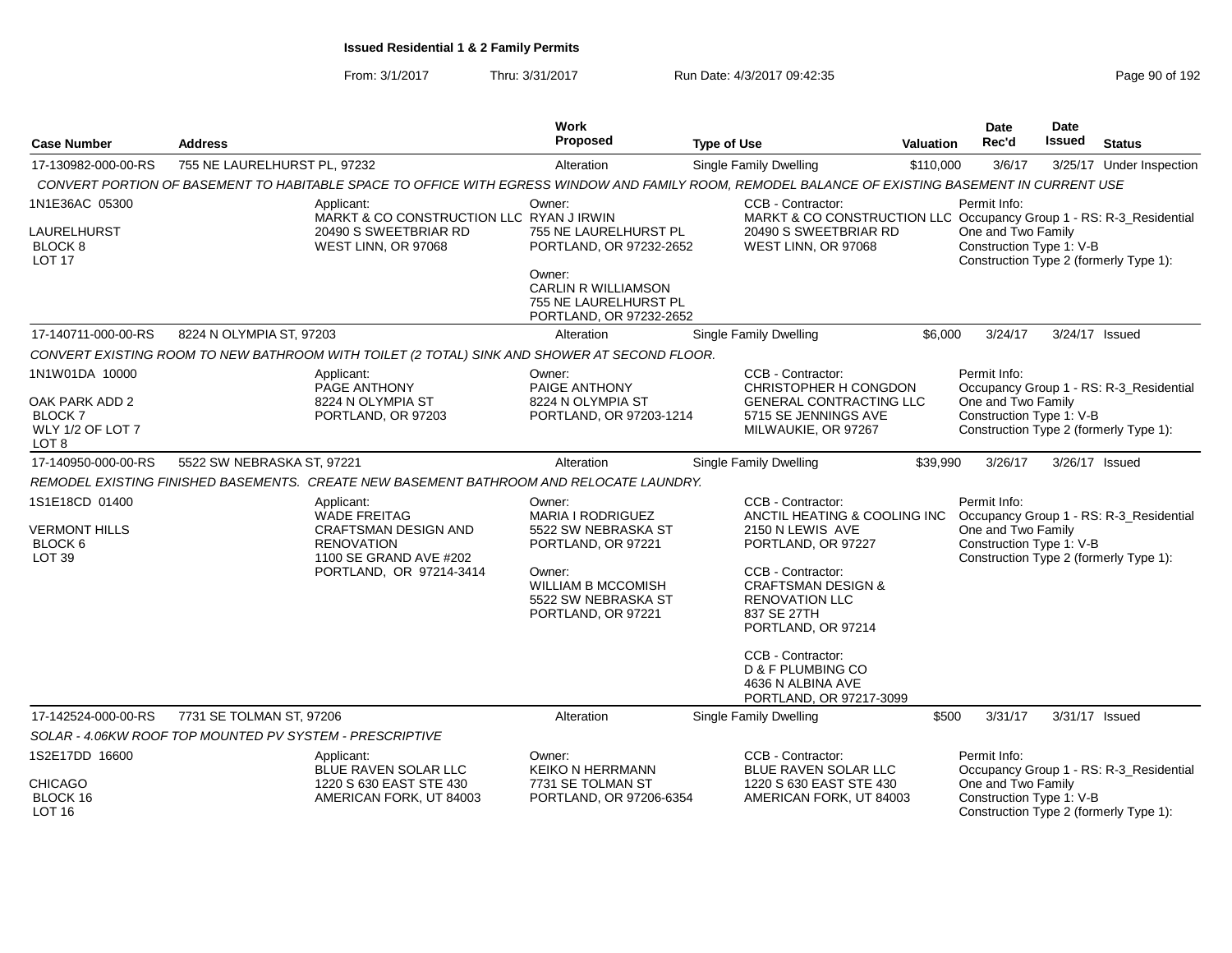| <b>Case Number</b>                                                     | <b>Address</b>                                                                                                                                   | Work<br>Proposed                                                                         | <b>Type of Use</b>                                                                                               | <b>Valuation</b> | Date<br>Rec'd                                                  | Date<br><b>Issued</b> | <b>Status</b>                                                                     |
|------------------------------------------------------------------------|--------------------------------------------------------------------------------------------------------------------------------------------------|------------------------------------------------------------------------------------------|------------------------------------------------------------------------------------------------------------------|------------------|----------------------------------------------------------------|-----------------------|-----------------------------------------------------------------------------------|
|                                                                        |                                                                                                                                                  |                                                                                          |                                                                                                                  |                  |                                                                |                       |                                                                                   |
| 17-130982-000-00-RS                                                    | 755 NE LAURELHURST PL, 97232                                                                                                                     | Alteration                                                                               | Single Family Dwelling                                                                                           | \$110,000        | 3/6/17                                                         |                       | 3/25/17 Under Inspection                                                          |
|                                                                        | CONVERT PORTION OF BASEMENT TO HABITABLE SPACE TO OFFICE WITH EGRESS WINDOW AND FAMILY ROOM, REMODEL BALANCE OF EXISTING BASEMENT IN CURRENT USE |                                                                                          |                                                                                                                  |                  |                                                                |                       |                                                                                   |
| 1N1E36AC 05300                                                         | Applicant:<br>MARKT & CO CONSTRUCTION LLC RYAN J IRWIN                                                                                           | Owner:                                                                                   | CCB - Contractor:<br>MARKT & CO CONSTRUCTION LLC Occupancy Group 1 - RS: R-3_Residential                         |                  | Permit Info:                                                   |                       |                                                                                   |
| LAURELHURST<br><b>BLOCK 8</b><br><b>LOT 17</b>                         | 20490 S SWEETBRIAR RD<br>WEST LINN, OR 97068                                                                                                     | 755 NE LAURELHURST PL<br>PORTLAND, OR 97232-2652                                         | 20490 S SWEETBRIAR RD<br>WEST LINN, OR 97068                                                                     |                  | One and Two Family<br>Construction Type 1: V-B                 |                       | Construction Type 2 (formerly Type 1):                                            |
|                                                                        |                                                                                                                                                  | Owner:<br><b>CARLIN R WILLIAMSON</b><br>755 NE LAURELHURST PL<br>PORTLAND, OR 97232-2652 |                                                                                                                  |                  |                                                                |                       |                                                                                   |
| 17-140711-000-00-RS                                                    | 8224 N OLYMPIA ST, 97203                                                                                                                         | Alteration                                                                               | Single Family Dwelling                                                                                           | \$6,000          | 3/24/17                                                        |                       | 3/24/17 Issued                                                                    |
|                                                                        | CONVERT EXISTING ROOM TO NEW BATHROOM WITH TOILET (2 TOTAL) SINK AND SHOWER AT SECOND FLOOR.                                                     |                                                                                          |                                                                                                                  |                  |                                                                |                       |                                                                                   |
| 1N1W01DA 10000<br>OAK PARK ADD 2<br><b>BLOCK7</b>                      | Applicant:<br>PAGE ANTHONY<br>8224 N OLYMPIA ST<br>PORTLAND, OR 97203                                                                            | Owner:<br>PAIGE ANTHONY<br>8224 N OLYMPIA ST<br>PORTLAND, OR 97203-1214                  | CCB - Contractor:<br>CHRISTOPHER H CONGDON<br>GENERAL CONTRACTING LLC<br>5715 SE JENNINGS AVE                    |                  | Permit Info:<br>One and Two Family<br>Construction Type 1: V-B |                       | Occupancy Group 1 - RS: R-3_Residential                                           |
| WLY 1/2 OF LOT 7<br>LOT <sub>8</sub>                                   |                                                                                                                                                  |                                                                                          | MILWAUKIE, OR 97267                                                                                              |                  |                                                                |                       | Construction Type 2 (formerly Type 1):                                            |
| 17-140950-000-00-RS                                                    | 5522 SW NEBRASKA ST, 97221                                                                                                                       | Alteration                                                                               | <b>Single Family Dwelling</b>                                                                                    | \$39,990         | 3/26/17                                                        | 3/26/17 Issued        |                                                                                   |
|                                                                        | REMODEL EXISTING FINISHED BASEMENTS. CREATE NEW BASEMENT BATHROOM AND RELOCATE LAUNDRY.                                                          |                                                                                          |                                                                                                                  |                  |                                                                |                       |                                                                                   |
| 1S1E18CD 01400<br><b>VERMONT HILLS</b><br>BLOCK 6<br>LOT <sub>39</sub> | Applicant:<br><b>WADE FREITAG</b><br><b>CRAFTSMAN DESIGN AND</b><br><b>RENOVATION</b><br>1100 SE GRAND AVE #202                                  | Owner:<br>MARIA I RODRIGUEZ<br>5522 SW NEBRASKA ST<br>PORTLAND, OR 97221                 | CCB - Contractor:<br>ANCTIL HEATING & COOLING INC<br>2150 N LEWIS AVE<br>PORTLAND, OR 97227<br>CCB - Contractor: |                  | Permit Info:<br>One and Two Family<br>Construction Type 1: V-B |                       | Occupancy Group 1 - RS: R-3_Residential<br>Construction Type 2 (formerly Type 1): |
|                                                                        | PORTLAND, OR 97214-3414                                                                                                                          | Owner:<br><b>WILLIAM B MCCOMISH</b><br>5522 SW NEBRASKA ST<br>PORTLAND, OR 97221         | <b>CRAFTSMAN DESIGN &amp;</b><br><b>RENOVATION LLC</b><br>837 SE 27TH<br>PORTLAND, OR 97214                      |                  |                                                                |                       |                                                                                   |
|                                                                        |                                                                                                                                                  |                                                                                          | CCB - Contractor:<br>D & F PLUMBING CO<br>4636 N ALBINA AVE<br>PORTLAND, OR 97217-3099                           |                  |                                                                |                       |                                                                                   |
| 17-142524-000-00-RS                                                    | 7731 SE TOLMAN ST, 97206                                                                                                                         | Alteration                                                                               | <b>Single Family Dwelling</b>                                                                                    | \$500            | 3/31/17                                                        |                       | 3/31/17 Issued                                                                    |
|                                                                        | SOLAR - 4.06KW ROOF TOP MOUNTED PV SYSTEM - PRESCRIPTIVE                                                                                         |                                                                                          |                                                                                                                  |                  |                                                                |                       |                                                                                   |
| 1S2E17DD 16600                                                         | Applicant:<br>BLUE RAVEN SOLAR LLC                                                                                                               | Owner:<br><b>KEIKO N HERRMANN</b>                                                        | CCB - Contractor:<br><b>BLUE RAVEN SOLAR LLC</b>                                                                 |                  | Permit Info:                                                   |                       | Occupancy Group 1 - RS: R-3_Residential                                           |
| CHICAGO<br>BLOCK 16<br>LOT 16                                          | 1220 S 630 EAST STE 430<br>AMERICAN FORK, UT 84003                                                                                               | 7731 SE TOLMAN ST<br>PORTLAND, OR 97206-6354                                             | 1220 S 630 EAST STE 430<br>AMERICAN FORK, UT 84003                                                               |                  | One and Two Family<br>Construction Type 1: V-B                 |                       | Construction Type 2 (formerly Type 1):                                            |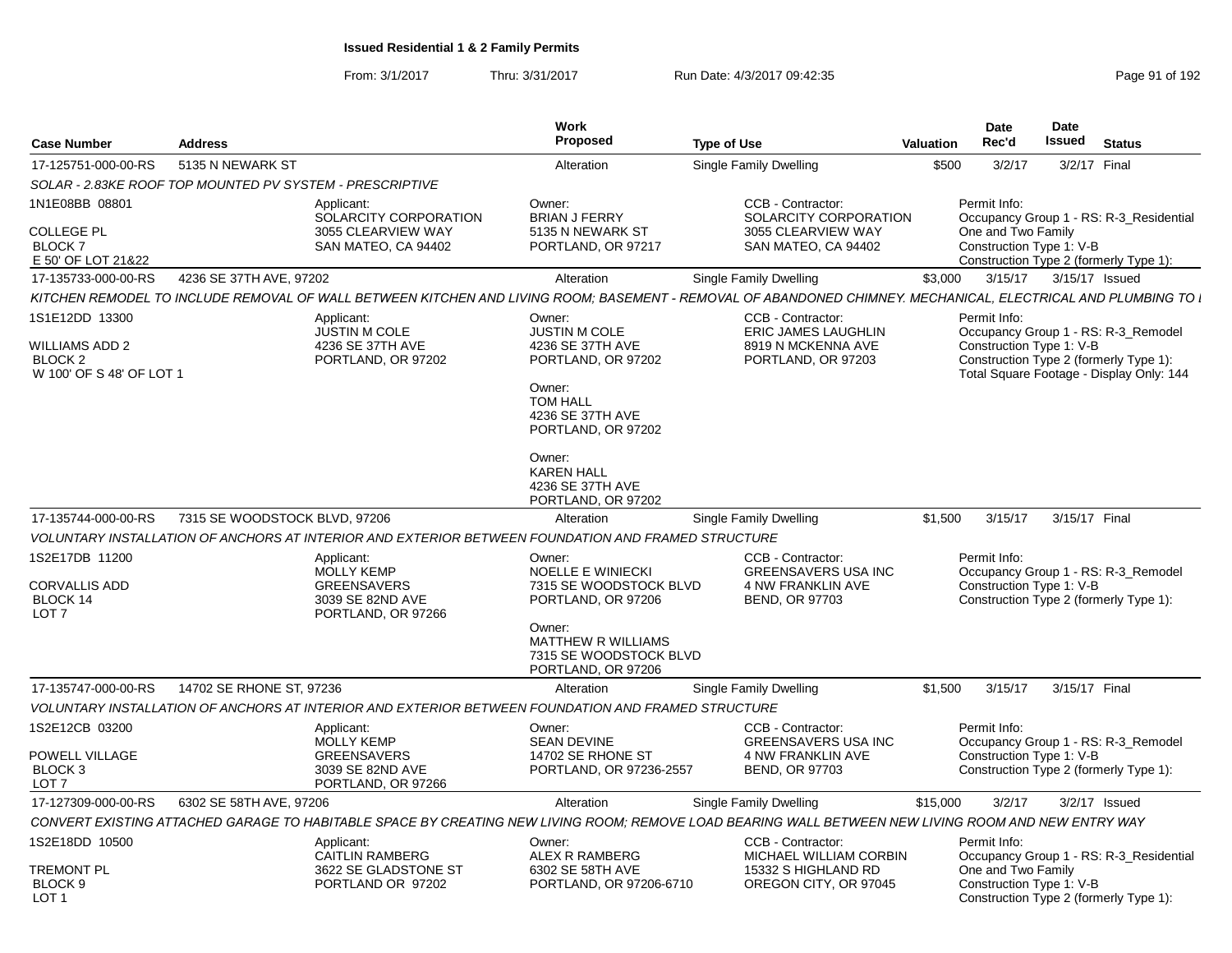| <b>Case Number</b>                                                      | <b>Address</b>                                           |                                                                                                    | <b>Work</b><br>Proposed                                                                                                                                                                            | <b>Type of Use</b>                                                                                                                                            | <b>Valuation</b> | Date<br>Rec'd                                                  | Date<br>Issued | <b>Status</b>                                                                                                             |
|-------------------------------------------------------------------------|----------------------------------------------------------|----------------------------------------------------------------------------------------------------|----------------------------------------------------------------------------------------------------------------------------------------------------------------------------------------------------|---------------------------------------------------------------------------------------------------------------------------------------------------------------|------------------|----------------------------------------------------------------|----------------|---------------------------------------------------------------------------------------------------------------------------|
| 17-125751-000-00-RS                                                     | 5135 N NEWARK ST                                         |                                                                                                    | Alteration                                                                                                                                                                                         | Single Family Dwelling                                                                                                                                        | \$500            | 3/2/17                                                         |                | 3/2/17 Final                                                                                                              |
|                                                                         | SOLAR - 2.83KE ROOF TOP MOUNTED PV SYSTEM - PRESCRIPTIVE |                                                                                                    |                                                                                                                                                                                                    |                                                                                                                                                               |                  |                                                                |                |                                                                                                                           |
| 1N1E08BB 08801<br><b>COLLEGE PL</b><br><b>BLOCK7</b>                    |                                                          | Applicant:<br>SOLARCITY CORPORATION<br>3055 CLEARVIEW WAY<br>SAN MATEO, CA 94402                   | Owner:<br><b>BRIAN J FERRY</b><br>5135 N NEWARK ST<br>PORTLAND, OR 97217                                                                                                                           | CCB - Contractor:<br>SOLARCITY CORPORATION<br>3055 CLEARVIEW WAY<br>SAN MATEO, CA 94402                                                                       |                  | Permit Info:<br>One and Two Family<br>Construction Type 1: V-B |                | Occupancy Group 1 - RS: R-3_Residential                                                                                   |
| E 50' OF LOT 21&22                                                      |                                                          |                                                                                                    |                                                                                                                                                                                                    |                                                                                                                                                               |                  |                                                                |                | Construction Type 2 (formerly Type 1):                                                                                    |
| 17-135733-000-00-RS                                                     | 4236 SE 37TH AVE, 97202                                  |                                                                                                    | Alteration                                                                                                                                                                                         | <b>Single Family Dwelling</b>                                                                                                                                 | \$3,000          | 3/15/17                                                        |                | 3/15/17 Issued                                                                                                            |
|                                                                         |                                                          |                                                                                                    |                                                                                                                                                                                                    | KITCHEN REMODEL TO INCLUDE REMOVAL OF WALL BETWEEN KITCHEN AND LIVING ROOM; BASEMENT - REMOVAL OF ABANDONED CHIMNEY. MECHANICAL, ELECTRICAL AND PLUMBING TO I |                  |                                                                |                |                                                                                                                           |
| 1S1E12DD 13300<br>WILLIAMS ADD 2<br>BLOCK 2<br>W 100' OF S 48' OF LOT 1 |                                                          | Applicant:<br><b>JUSTIN M COLE</b><br>4236 SE 37TH AVE<br>PORTLAND, OR 97202                       | Owner:<br><b>JUSTIN M COLE</b><br>4236 SE 37TH AVE<br>PORTLAND, OR 97202<br>Owner:<br><b>TOM HALL</b><br>4236 SE 37TH AVE<br>PORTLAND, OR 97202<br>Owner:<br><b>KAREN HALL</b><br>4236 SE 37TH AVE | <b>CCB - Contractor:</b><br>ERIC JAMES LAUGHLIN<br>8919 N MCKENNA AVE<br>PORTLAND, OR 97203                                                                   |                  | Permit Info:<br>Construction Type 1: V-B                       |                | Occupancy Group 1 - RS: R-3_Remodel<br>Construction Type 2 (formerly Type 1):<br>Total Square Footage - Display Only: 144 |
|                                                                         |                                                          |                                                                                                    | PORTLAND, OR 97202                                                                                                                                                                                 |                                                                                                                                                               |                  |                                                                |                |                                                                                                                           |
| 17-135744-000-00-RS                                                     | 7315 SE WOODSTOCK BLVD, 97206                            |                                                                                                    | Alteration                                                                                                                                                                                         | Single Family Dwelling                                                                                                                                        | \$1,500          | 3/15/17                                                        | 3/15/17 Final  |                                                                                                                           |
|                                                                         |                                                          | VOLUNTARY INSTALLATION OF ANCHORS AT INTERIOR AND EXTERIOR BETWEEN FOUNDATION AND FRAMED STRUCTURE |                                                                                                                                                                                                    |                                                                                                                                                               |                  |                                                                |                |                                                                                                                           |
| 1S2E17DB 11200<br><b>CORVALLIS ADD</b><br>BLOCK 14<br>LOT <sub>7</sub>  |                                                          | Applicant:<br><b>MOLLY KEMP</b><br><b>GREENSAVERS</b><br>3039 SE 82ND AVE<br>PORTLAND, OR 97266    | Owner:<br><b>NOELLE E WINIECKI</b><br>7315 SE WOODSTOCK BLVD<br>PORTLAND, OR 97206<br>Owner:<br><b>MATTHEW R WILLIAMS</b>                                                                          | CCB - Contractor:<br><b>GREENSAVERS USA INC</b><br>4 NW FRANKLIN AVE<br><b>BEND, OR 97703</b>                                                                 |                  | Permit Info:<br>Construction Type 1: V-B                       |                | Occupancy Group 1 - RS: R-3 Remodel<br>Construction Type 2 (formerly Type 1):                                             |
|                                                                         |                                                          |                                                                                                    | 7315 SE WOODSTOCK BLVD                                                                                                                                                                             |                                                                                                                                                               |                  |                                                                |                |                                                                                                                           |
|                                                                         |                                                          |                                                                                                    | PORTLAND, OR 97206                                                                                                                                                                                 |                                                                                                                                                               |                  |                                                                |                |                                                                                                                           |
| 17-135747-000-00-RS                                                     | 14702 SE RHONE ST, 97236                                 |                                                                                                    | Alteration                                                                                                                                                                                         | Single Family Dwelling                                                                                                                                        | \$1,500          | 3/15/17                                                        | 3/15/17 Final  |                                                                                                                           |
|                                                                         |                                                          | VOLUNTARY INSTALLATION OF ANCHORS AT INTERIOR AND EXTERIOR BETWEEN FOUNDATION AND FRAMED STRUCTURE |                                                                                                                                                                                                    |                                                                                                                                                               |                  |                                                                |                |                                                                                                                           |
| 1S2E12CB 03200<br>POWELL VILLAGE<br>BLOCK <sub>3</sub>                  |                                                          | Applicant:<br><b>MOLLY KEMP</b><br><b>GREENSAVERS</b><br>3039 SE 82ND AVE                          | Owner:<br><b>SEAN DEVINE</b><br>14702 SE RHONE ST<br>PORTLAND, OR 97236-2557                                                                                                                       | <b>CCB - Contractor:</b><br><b>GREENSAVERS USA INC</b><br>4 NW FRANKLIN AVE<br>BEND, OR 97703                                                                 |                  | Permit Info:<br>Construction Type 1: V-B                       |                | Occupancy Group 1 - RS: R-3_Remodel<br>Construction Type 2 (formerly Type 1):                                             |
| LOT <sub>7</sub>                                                        |                                                          | PORTLAND, OR 97266                                                                                 |                                                                                                                                                                                                    |                                                                                                                                                               |                  |                                                                |                |                                                                                                                           |
| 17-127309-000-00-RS                                                     | 6302 SE 58TH AVE, 97206                                  |                                                                                                    | Alteration                                                                                                                                                                                         | Single Family Dwelling                                                                                                                                        | \$15,000         | 3/2/17                                                         |                | $3/2/17$ Issued                                                                                                           |
|                                                                         |                                                          |                                                                                                    |                                                                                                                                                                                                    | CONVERT EXISTING ATTACHED GARAGE TO HABITABLE SPACE BY CREATING NEW LIVING ROOM; REMOVE LOAD BEARING WALL BETWEEN NEW LIVING ROOM AND NEW ENTRY WAY           |                  |                                                                |                |                                                                                                                           |
| 1S2E18DD 10500<br>TREMONT PL                                            |                                                          | Applicant:<br><b>CAITLIN RAMBERG</b><br>3622 SE GLADSTONE ST                                       | Owner:<br>ALEX R RAMBERG<br>6302 SE 58TH AVE                                                                                                                                                       | CCB - Contractor:<br>MICHAEL WILLIAM CORBIN<br>15332 S HIGHLAND RD                                                                                            |                  | Permit Info:<br>One and Two Family                             |                | Occupancy Group 1 - RS: R-3_Residential                                                                                   |
| BLOCK <sub>9</sub><br>LOT <sub>1</sub>                                  |                                                          | PORTLAND OR 97202                                                                                  | PORTLAND, OR 97206-6710                                                                                                                                                                            | OREGON CITY, OR 97045                                                                                                                                         |                  | Construction Type 1: V-B                                       |                | Construction Type 2 (formerly Type 1):                                                                                    |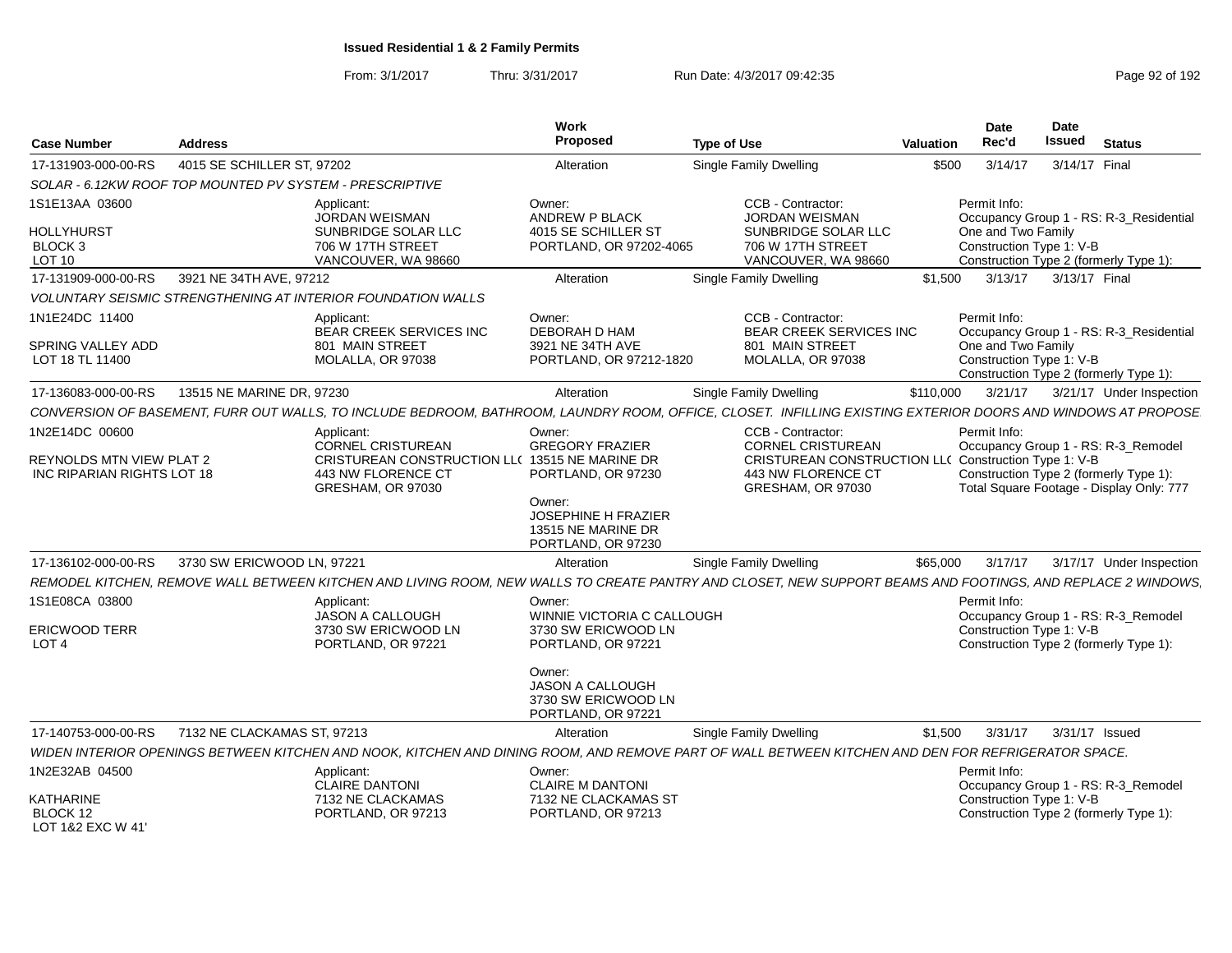From: 3/1/2017Thru: 3/31/2017 Run Date: 4/3/2017 09:42:35 Page 92 of 192

| <b>Case Number</b>                                                                                     | <b>Address</b>                                           |                                                                                                                                     | Work<br>Proposed                                                                                                                           | <b>Type of Use</b>                                                                                                                                           | Valuation | Date<br>Rec'd                                                  | <b>Date</b><br><b>Issued</b> | <b>Status</b>                                                                                                                                         |
|--------------------------------------------------------------------------------------------------------|----------------------------------------------------------|-------------------------------------------------------------------------------------------------------------------------------------|--------------------------------------------------------------------------------------------------------------------------------------------|--------------------------------------------------------------------------------------------------------------------------------------------------------------|-----------|----------------------------------------------------------------|------------------------------|-------------------------------------------------------------------------------------------------------------------------------------------------------|
| 17-131903-000-00-RS                                                                                    | 4015 SE SCHILLER ST. 97202                               |                                                                                                                                     | Alteration                                                                                                                                 | Single Family Dwelling                                                                                                                                       | \$500     | 3/14/17                                                        | 3/14/17 Final                |                                                                                                                                                       |
|                                                                                                        | SOLAR - 6.12KW ROOF TOP MOUNTED PV SYSTEM - PRESCRIPTIVE |                                                                                                                                     |                                                                                                                                            |                                                                                                                                                              |           |                                                                |                              |                                                                                                                                                       |
| 1S1E13AA 03600<br><b>HOLLYHURST</b><br>BLOCK 3<br>LOT 10                                               |                                                          | Applicant:<br>JORDAN WEISMAN<br>SUNBRIDGE SOLAR LLC<br>706 W 17TH STREET<br>VANCOUVER, WA 98660                                     | Owner:<br><b>ANDREW P BLACK</b><br>4015 SE SCHILLER ST<br>PORTLAND, OR 97202-4065                                                          | CCB - Contractor:<br>JORDAN WEISMAN<br>SUNBRIDGE SOLAR LLC<br>706 W 17TH STREET<br>VANCOUVER, WA 98660                                                       |           | Permit Info:<br>One and Two Family<br>Construction Type 1: V-B |                              | Occupancy Group 1 - RS: R-3_Residential<br>Construction Type 2 (formerly Type 1):                                                                     |
| 17-131909-000-00-RS                                                                                    | 3921 NE 34TH AVE, 97212                                  |                                                                                                                                     | Alteration                                                                                                                                 | Single Family Dwelling                                                                                                                                       | \$1.500   | 3/13/17                                                        | 3/13/17 Final                |                                                                                                                                                       |
|                                                                                                        |                                                          | <b>VOLUNTARY SEISMIC STRENGTHENING AT INTERIOR FOUNDATION WALLS</b>                                                                 |                                                                                                                                            |                                                                                                                                                              |           |                                                                |                              |                                                                                                                                                       |
| 1N1E24DC 11400<br>SPRING VALLEY ADD<br>LOT 18 TL 11400                                                 |                                                          | Applicant:<br>BEAR CREEK SERVICES INC<br>801 MAIN STREET<br>MOLALLA, OR 97038                                                       | Owner:<br>DEBORAH D HAM<br>3921 NE 34TH AVE<br>PORTLAND, OR 97212-1820                                                                     | CCB - Contractor:<br><b>BEAR CREEK SERVICES INC</b><br>801 MAIN STREET<br>MOLALLA, OR 97038                                                                  |           | Permit Info:<br>One and Two Family<br>Construction Type 1: V-B |                              | Occupancy Group 1 - RS: R-3_Residential<br>Construction Type 2 (formerly Type 1):                                                                     |
| 17-136083-000-00-RS                                                                                    | 13515 NE MARINE DR. 97230                                |                                                                                                                                     | Alteration                                                                                                                                 | <b>Single Family Dwelling</b>                                                                                                                                | \$110,000 | 3/21/17                                                        |                              | 3/21/17 Under Inspection                                                                                                                              |
|                                                                                                        |                                                          |                                                                                                                                     |                                                                                                                                            | CONVERSION OF BASEMENT, FURR OUT WALLS, TO INCLUDE BEDROOM, BATHROOM, LAUNDRY ROOM, OFFICE, CLOSET. INFILLING EXISTING EXTERIOR DOORS AND WINDOWS AT PROPOSE |           |                                                                |                              |                                                                                                                                                       |
| 1N2E14DC 00600<br><b>REYNOLDS MTN VIEW PLAT 2</b><br>INC RIPARIAN RIGHTS LOT 18<br>17-136102-000-00-RS | 3730 SW ERICWOOD LN, 97221                               | Applicant:<br><b>CORNEL CRISTUREAN</b><br>CRISTUREAN CONSTRUCTION LL( 13515 NE MARINE DR<br>443 NW FLORENCE CT<br>GRESHAM, OR 97030 | Owner:<br><b>GREGORY FRAZIER</b><br>PORTLAND, OR 97230<br>Owner:<br><b>JOSEPHINE H FRAZIER</b><br>13515 NE MARINE DR<br>PORTLAND, OR 97230 | CCB - Contractor:<br><b>CORNEL CRISTUREAN</b><br><b>CRISTUREAN CONSTRUCTION LLO</b><br>443 NW FLORENCE CT<br>GRESHAM, OR 97030<br>Single Family Dwelling     | \$65,000  | Permit Info:<br>Construction Type 1: V-B<br>3/17/17            |                              | Occupancy Group 1 - RS: R-3_Remodel<br>Construction Type 2 (formerly Type 1):<br>Total Square Footage - Display Only: 777<br>3/17/17 Under Inspection |
|                                                                                                        |                                                          |                                                                                                                                     | Alteration                                                                                                                                 |                                                                                                                                                              |           |                                                                |                              |                                                                                                                                                       |
| 1S1E08CA 03800<br><b>ERICWOOD TERR</b><br>LOT <sub>4</sub>                                             |                                                          | Applicant:<br>JASON A CALLOUGH<br>3730 SW ERICWOOD LN<br>PORTLAND, OR 97221                                                         | Owner:<br>WINNIE VICTORIA C CALLOUGH<br>3730 SW ERICWOOD LN<br>PORTLAND, OR 97221<br>Owner:<br>JASON A CALLOUGH                            | REMODEL KITCHEN, REMOVE WALL BETWEEN KITCHEN AND LIVING ROOM, NEW WALLS TO CREATE PANTRY AND CLOSET, NEW SUPPORT BEAMS AND FOOTINGS, AND REPLACE 2 WINDOWS   |           | Permit Info:<br>Construction Type 1: V-B                       |                              | Occupancy Group 1 - RS: R-3_Remodel<br>Construction Type 2 (formerly Type 1):                                                                         |
|                                                                                                        |                                                          |                                                                                                                                     | 3730 SW ERICWOOD LN<br>PORTLAND, OR 97221                                                                                                  |                                                                                                                                                              |           |                                                                |                              |                                                                                                                                                       |
| 17-140753-000-00-RS                                                                                    | 7132 NE CLACKAMAS ST. 97213                              |                                                                                                                                     | Alteration                                                                                                                                 | Single Family Dwelling                                                                                                                                       | \$1,500   | 3/31/17                                                        | 3/31/17 Issued               |                                                                                                                                                       |
|                                                                                                        |                                                          |                                                                                                                                     |                                                                                                                                            | WIDEN INTERIOR OPENINGS BETWEEN KITCHEN AND NOOK, KITCHEN AND DINING ROOM, AND REMOVE PART OF WALL BETWEEN KITCHEN AND DEN FOR REFRIGERATOR SPACE.           |           |                                                                |                              |                                                                                                                                                       |
| 1N2E32AB 04500<br>KATHARINE<br>BLOCK 12<br>LOT 1&2 EXC W 41'                                           |                                                          | Applicant:<br><b>CLAIRE DANTONI</b><br>7132 NE CLACKAMAS<br>PORTLAND, OR 97213                                                      | Owner:<br><b>CLAIRE M DANTONI</b><br>7132 NE CLACKAMAS ST<br>PORTLAND, OR 97213                                                            |                                                                                                                                                              |           | Permit Info:<br>Construction Type 1: V-B                       |                              | Occupancy Group 1 - RS: R-3_Remodel<br>Construction Type 2 (formerly Type 1):                                                                         |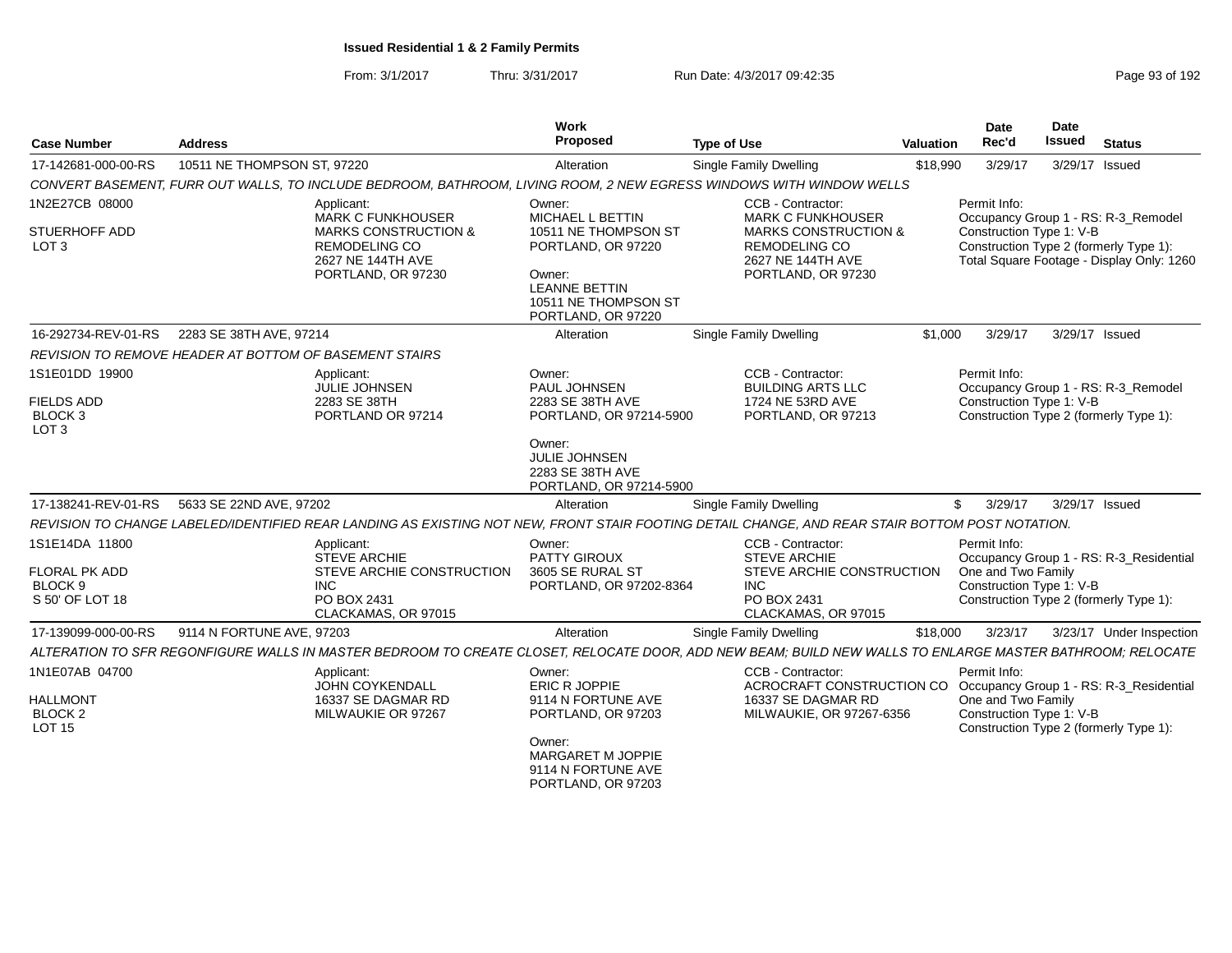| <b>Case Number</b>                                  | <b>Address</b>                                                                                                                                            | Work<br>Proposed                                                               | <b>Type of Use</b>                                                                                                            | Valuation | Date<br>Rec'd                            | Date<br><b>Issued</b> | <b>Status</b>                                                                                                              |
|-----------------------------------------------------|-----------------------------------------------------------------------------------------------------------------------------------------------------------|--------------------------------------------------------------------------------|-------------------------------------------------------------------------------------------------------------------------------|-----------|------------------------------------------|-----------------------|----------------------------------------------------------------------------------------------------------------------------|
| 17-142681-000-00-RS                                 | 10511 NE THOMPSON ST, 97220                                                                                                                               | Alteration                                                                     | <b>Single Family Dwelling</b>                                                                                                 | \$18,990  | 3/29/17                                  |                       | 3/29/17 Issued                                                                                                             |
|                                                     | CONVERT BASEMENT, FURR OUT WALLS, TO INCLUDE BEDROOM, BATHROOM, LIVING ROOM, 2 NEW EGRESS WINDOWS WITH WINDOW WELLS                                       |                                                                                |                                                                                                                               |           |                                          |                       |                                                                                                                            |
| 1N2E27CB 08000<br>STUERHOFF ADD<br>LOT <sub>3</sub> | Applicant:<br><b>MARK C FUNKHOUSER</b><br><b>MARKS CONSTRUCTION &amp;</b><br><b>REMODELING CO</b><br>2627 NE 144TH AVE                                    | Owner:<br>MICHAEL L BETTIN<br>10511 NE THOMPSON ST<br>PORTLAND, OR 97220       | CCB - Contractor:<br><b>MARK C FUNKHOUSER</b><br><b>MARKS CONSTRUCTION &amp;</b><br><b>REMODELING CO</b><br>2627 NE 144TH AVE |           | Permit Info:<br>Construction Type 1: V-B |                       | Occupancy Group 1 - RS: R-3_Remodel<br>Construction Type 2 (formerly Type 1):<br>Total Square Footage - Display Only: 1260 |
|                                                     | PORTLAND, OR 97230                                                                                                                                        | Owner:<br><b>LEANNE BETTIN</b><br>10511 NE THOMPSON ST<br>PORTLAND, OR 97220   | PORTLAND, OR 97230                                                                                                            |           |                                          |                       |                                                                                                                            |
| 16-292734-REV-01-RS                                 | 2283 SE 38TH AVE, 97214                                                                                                                                   | Alteration                                                                     | <b>Single Family Dwelling</b>                                                                                                 | \$1,000   | 3/29/17                                  |                       | 3/29/17 Issued                                                                                                             |
|                                                     | <b>REVISION TO REMOVE HEADER AT BOTTOM OF BASEMENT STAIRS</b>                                                                                             |                                                                                |                                                                                                                               |           |                                          |                       |                                                                                                                            |
| 1S1E01DD 19900                                      | Applicant:<br><b>JULIE JOHNSEN</b>                                                                                                                        | Owner:<br>PAUL JOHNSEN                                                         | CCB - Contractor:<br><b>BUILDING ARTS LLC</b>                                                                                 |           | Permit Info:                             |                       | Occupancy Group 1 - RS: R-3 Remodel                                                                                        |
| <b>FIELDS ADD</b><br>BLOCK 3<br>LOT <sub>3</sub>    | 2283 SE 38TH<br>PORTLAND OR 97214                                                                                                                         | 2283 SE 38TH AVE<br>PORTLAND, OR 97214-5900                                    | 1724 NE 53RD AVE<br>PORTLAND, OR 97213                                                                                        |           | Construction Type 1: V-B                 |                       | Construction Type 2 (formerly Type 1):                                                                                     |
|                                                     |                                                                                                                                                           | Owner:<br><b>JULIE JOHNSEN</b><br>2283 SE 38TH AVE<br>PORTLAND, OR 97214-5900  |                                                                                                                               |           |                                          |                       |                                                                                                                            |
| 17-138241-REV-01-RS                                 | 5633 SE 22ND AVE, 97202                                                                                                                                   | Alteration                                                                     | <b>Single Family Dwelling</b>                                                                                                 |           | 3/29/17<br>$\mathbb{S}$                  |                       | 3/29/17 Issued                                                                                                             |
|                                                     | REVISION TO CHANGE LABELED/IDENTIFIED REAR LANDING AS EXISTING NOT NEW. FRONT STAIR FOOTING DETAIL CHANGE, AND REAR STAIR BOTTOM POST NOTATION.           |                                                                                |                                                                                                                               |           |                                          |                       |                                                                                                                            |
| 1S1E14DA 11800                                      | Applicant:<br><b>STEVE ARCHIE</b>                                                                                                                         | Owner:<br><b>PATTY GIROUX</b>                                                  | CCB - Contractor:<br><b>STEVE ARCHIE</b>                                                                                      |           | Permit Info:                             |                       | Occupancy Group 1 - RS: R-3 Residential                                                                                    |
| <b>FLORAL PK ADD</b>                                | STEVE ARCHIE CONSTRUCTION                                                                                                                                 | 3605 SE RURAL ST                                                               | STEVE ARCHIE CONSTRUCTION                                                                                                     |           | One and Two Family                       |                       |                                                                                                                            |
| BLOCK 9<br>S 50' OF LOT 18                          | <b>INC</b><br>PO BOX 2431<br>CLACKAMAS, OR 97015                                                                                                          | PORTLAND, OR 97202-8364                                                        | INC.<br>PO BOX 2431<br>CLACKAMAS, OR 97015                                                                                    |           | Construction Type 1: V-B                 |                       | Construction Type 2 (formerly Type 1):                                                                                     |
| 17-139099-000-00-RS                                 | 9114 N FORTUNE AVE, 97203                                                                                                                                 | Alteration                                                                     | Single Family Dwelling                                                                                                        | \$18,000  | 3/23/17                                  |                       | 3/23/17 Under Inspection                                                                                                   |
|                                                     | ALTERATION TO SFR REGONFIGURE WALLS IN MASTER BEDROOM TO CREATE CLOSET. RELOCATE DOOR. ADD NEW BEAM: BUILD NEW WALLS TO ENLARGE MASTER BATHROOM: RELOCATE |                                                                                |                                                                                                                               |           |                                          |                       |                                                                                                                            |
| 1N1E07AB 04700                                      | Applicant:                                                                                                                                                | Owner:                                                                         | CCB - Contractor:                                                                                                             |           | Permit Info:                             |                       |                                                                                                                            |
| <b>HALLMONT</b>                                     | <b>JOHN COYKENDALL</b><br>16337 SE DAGMAR RD                                                                                                              | ERIC R JOPPIE<br>9114 N FORTUNE AVE                                            | ACROCRAFT CONSTRUCTION CO<br>16337 SE DAGMAR RD                                                                               |           | One and Two Family                       |                       | Occupancy Group 1 - RS: R-3_Residential                                                                                    |
| BLOCK <sub>2</sub><br>LOT 15                        | MILWAUKIE OR 97267                                                                                                                                        | PORTLAND, OR 97203                                                             | MILWAUKIE, OR 97267-6356                                                                                                      |           | Construction Type 1: V-B                 |                       | Construction Type 2 (formerly Type 1):                                                                                     |
|                                                     |                                                                                                                                                           | Owner:<br><b>MARGARET M JOPPIE</b><br>9114 N FORTUNE AVE<br>PORTLAND, OR 97203 |                                                                                                                               |           |                                          |                       |                                                                                                                            |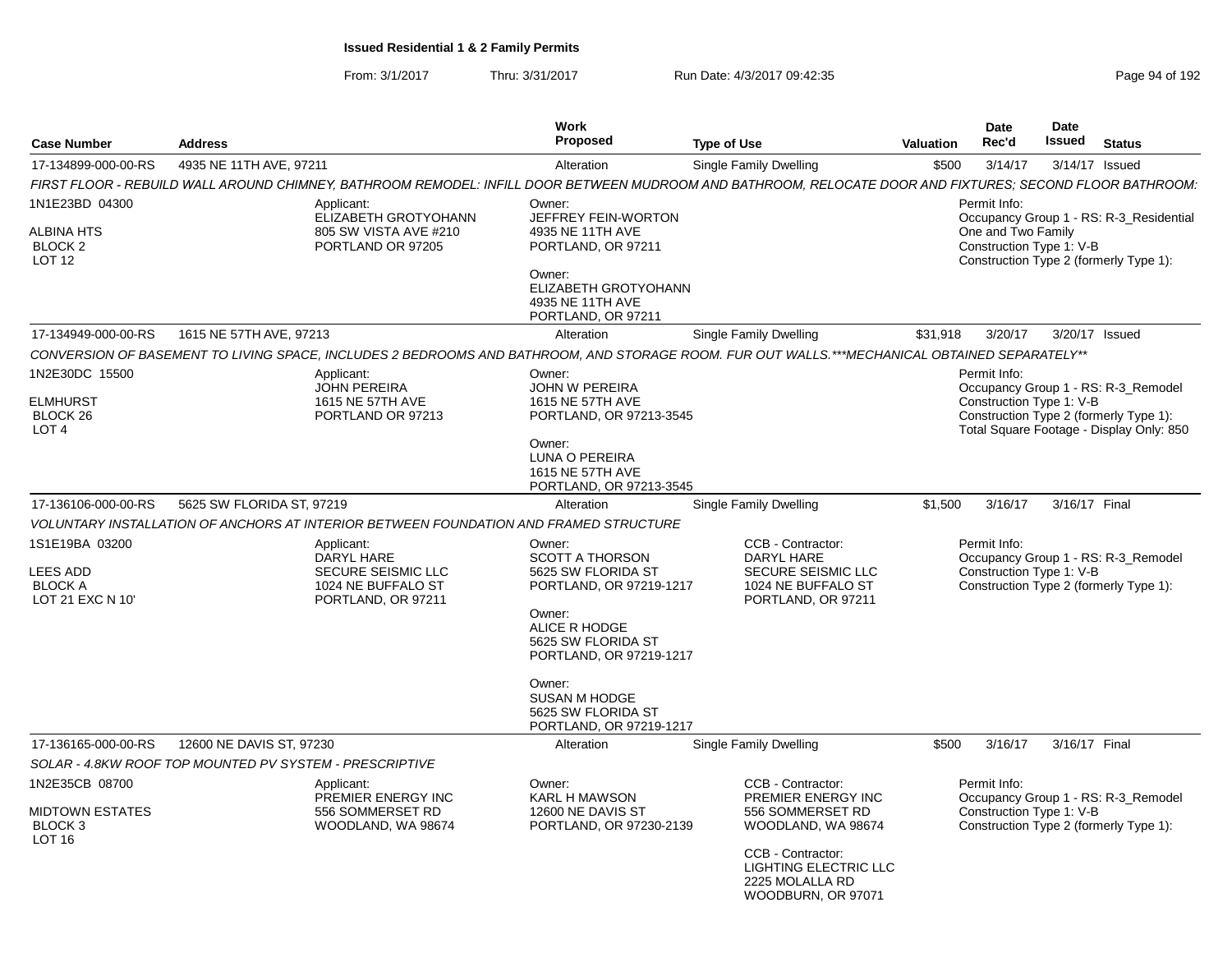| <b>Case Number</b>                                                             | <b>Address</b>                                          |                                                                                                                                                           | Work<br>Proposed                                                                                                                                                                                                                                 | <b>Type of Use</b>                                                                                                                                                       | Valuation | Date<br>Rec'd                                                  | Date<br><b>Issued</b> | <b>Status</b>                                                                                                             |
|--------------------------------------------------------------------------------|---------------------------------------------------------|-----------------------------------------------------------------------------------------------------------------------------------------------------------|--------------------------------------------------------------------------------------------------------------------------------------------------------------------------------------------------------------------------------------------------|--------------------------------------------------------------------------------------------------------------------------------------------------------------------------|-----------|----------------------------------------------------------------|-----------------------|---------------------------------------------------------------------------------------------------------------------------|
| 17-134899-000-00-RS                                                            | 4935 NE 11TH AVE, 97211                                 |                                                                                                                                                           | Alteration                                                                                                                                                                                                                                       | Single Family Dwelling                                                                                                                                                   | \$500     | 3/14/17                                                        |                       | 3/14/17 Issued                                                                                                            |
|                                                                                |                                                         | FIRST FLOOR - REBUILD WALL AROUND CHIMNEY, BATHROOM REMODEL: INFILL DOOR BETWEEN MUDROOM AND BATHROOM, RELOCATE DOOR AND FIXTURES; SECOND FLOOR BATHROOM: |                                                                                                                                                                                                                                                  |                                                                                                                                                                          |           |                                                                |                       |                                                                                                                           |
| 1N1E23BD 04300<br><b>ALBINA HTS</b><br>BLOCK <sub>2</sub><br>LOT <sub>12</sub> |                                                         | Applicant:<br>ELIZABETH GROTYOHANN<br>805 SW VISTA AVE #210<br>PORTLAND OR 97205                                                                          | Owner:<br>JEFFREY FEIN-WORTON<br>4935 NE 11TH AVE<br>PORTLAND, OR 97211<br>Owner:<br>ELIZABETH GROTYOHANN<br>4935 NE 11TH AVE<br>PORTLAND, OR 97211                                                                                              |                                                                                                                                                                          |           | Permit Info:<br>One and Two Family<br>Construction Type 1: V-B |                       | Occupancy Group 1 - RS: R-3_Residential<br>Construction Type 2 (formerly Type 1):                                         |
| 17-134949-000-00-RS                                                            | 1615 NE 57TH AVE, 97213                                 |                                                                                                                                                           | Alteration                                                                                                                                                                                                                                       | Single Family Dwelling                                                                                                                                                   | \$31,918  | 3/20/17                                                        |                       | 3/20/17 Issued                                                                                                            |
|                                                                                |                                                         | CONVERSION OF BASEMENT TO LIVING SPACE. INCLUDES 2 BEDROOMS AND BATHROOM. AND STORAGE ROOM. FUR OUT WALLS.***MECHANICAL OBTAINED SEPARATELY**             |                                                                                                                                                                                                                                                  |                                                                                                                                                                          |           |                                                                |                       |                                                                                                                           |
| 1N2E30DC 15500<br><b>ELMHURST</b><br>BLOCK <sub>26</sub><br>LOT <sub>4</sub>   |                                                         | Applicant:<br><b>JOHN PEREIRA</b><br>1615 NE 57TH AVE<br>PORTLAND OR 97213                                                                                | Owner:<br><b>JOHN W PEREIRA</b><br>1615 NE 57TH AVE<br>PORTLAND, OR 97213-3545<br>Owner:<br>LUNA O PEREIRA<br>1615 NE 57TH AVE<br>PORTLAND, OR 97213-3545                                                                                        |                                                                                                                                                                          |           | Permit Info:<br>Construction Type 1: V-B                       |                       | Occupancy Group 1 - RS: R-3_Remodel<br>Construction Type 2 (formerly Type 1):<br>Total Square Footage - Display Only: 850 |
| 17-136106-000-00-RS                                                            | 5625 SW FLORIDA ST, 97219                               |                                                                                                                                                           | Alteration                                                                                                                                                                                                                                       | Single Family Dwelling                                                                                                                                                   | \$1,500   | 3/16/17                                                        | 3/16/17 Final         |                                                                                                                           |
|                                                                                |                                                         | VOLUNTARY INSTALLATION OF ANCHORS AT INTERIOR BETWEEN FOUNDATION AND FRAMED STRUCTURE                                                                     |                                                                                                                                                                                                                                                  |                                                                                                                                                                          |           |                                                                |                       |                                                                                                                           |
| 1S1E19BA 03200<br>LEES ADD<br><b>BLOCK A</b><br>LOT 21 EXC N 10'               |                                                         | Applicant:<br>DARYL HARE<br><b>SECURE SEISMIC LLC</b><br>1024 NE BUFFALO ST<br>PORTLAND, OR 97211                                                         | Owner:<br><b>SCOTT A THORSON</b><br>5625 SW FLORIDA ST<br>PORTLAND, OR 97219-1217<br>Owner:<br>ALICE R HODGE<br>5625 SW FLORIDA ST<br>PORTLAND, OR 97219-1217<br>Owner:<br><b>SUSAN M HODGE</b><br>5625 SW FLORIDA ST<br>PORTLAND, OR 97219-1217 | CCB - Contractor:<br>DARYL HARE<br>SECURE SEISMIC LLC<br>1024 NE BUFFALO ST<br>PORTLAND, OR 97211                                                                        |           | Permit Info:<br>Construction Type 1: V-B                       |                       | Occupancy Group 1 - RS: R-3_Remodel<br>Construction Type 2 (formerly Type 1):                                             |
| 17-136165-000-00-RS                                                            | 12600 NE DAVIS ST, 97230                                |                                                                                                                                                           | Alteration                                                                                                                                                                                                                                       | Single Family Dwelling                                                                                                                                                   | \$500     | 3/16/17                                                        | 3/16/17 Final         |                                                                                                                           |
|                                                                                | SOLAR - 4.8KW ROOF TOP MOUNTED PV SYSTEM - PRESCRIPTIVE |                                                                                                                                                           |                                                                                                                                                                                                                                                  |                                                                                                                                                                          |           |                                                                |                       |                                                                                                                           |
| 1N2E35CB 08700<br><b>MIDTOWN ESTATES</b><br>BLOCK 3<br>LOT <sub>16</sub>       |                                                         | Applicant:<br>PREMIER ENERGY INC<br>556 SOMMERSET RD<br>WOODLAND, WA 98674                                                                                | Owner:<br><b>KARL H MAWSON</b><br>12600 NE DAVIS ST<br>PORTLAND, OR 97230-2139                                                                                                                                                                   | CCB - Contractor:<br>PREMIER ENERGY INC<br>556 SOMMERSET RD<br>WOODLAND, WA 98674<br>CCB - Contractor:<br>LIGHTING ELECTRIC LLC<br>2225 MOLALLA RD<br>WOODBURN, OR 97071 |           | Permit Info:<br>Construction Type 1: V-B                       |                       | Occupancy Group 1 - RS: R-3_Remodel<br>Construction Type 2 (formerly Type 1):                                             |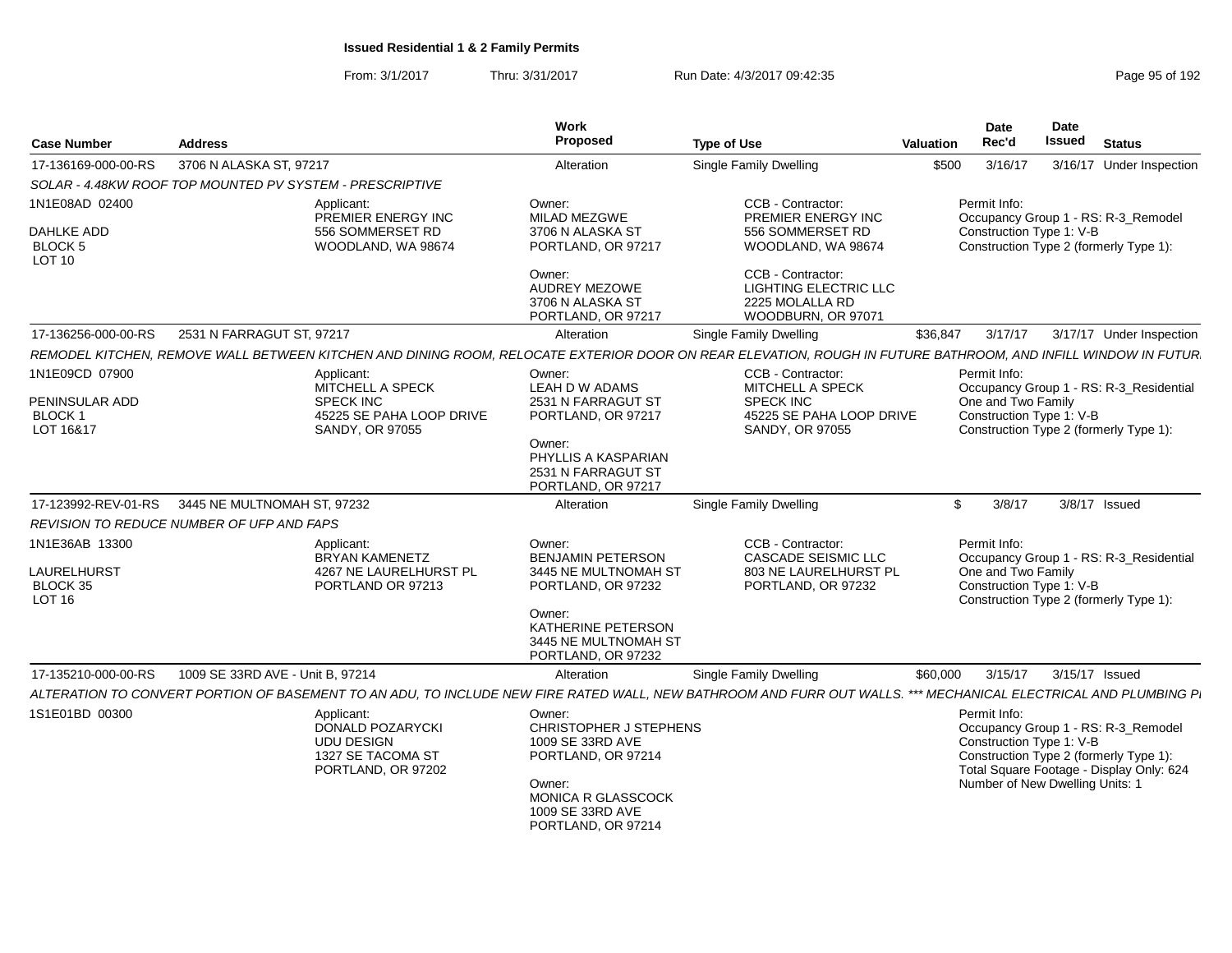| <b>Case Number</b>                                             | <b>Address</b>                            |                                                                                                          | Work<br>Proposed                                                                                                                                            | <b>Type of Use</b>                                                                                                                                              | <b>Valuation</b> | <b>Date</b><br>Rec'd                                                        | Date<br><b>Issued</b> | <b>Status</b>                                                                                                             |
|----------------------------------------------------------------|-------------------------------------------|----------------------------------------------------------------------------------------------------------|-------------------------------------------------------------------------------------------------------------------------------------------------------------|-----------------------------------------------------------------------------------------------------------------------------------------------------------------|------------------|-----------------------------------------------------------------------------|-----------------------|---------------------------------------------------------------------------------------------------------------------------|
| 17-136169-000-00-RS                                            | 3706 N ALASKA ST, 97217                   |                                                                                                          | Alteration                                                                                                                                                  | Single Family Dwelling                                                                                                                                          | \$500            | 3/16/17                                                                     |                       | 3/16/17 Under Inspection                                                                                                  |
| SOLAR - 4.48KW ROOF TOP MOUNTED PV SYSTEM - PRESCRIPTIVE       |                                           |                                                                                                          |                                                                                                                                                             |                                                                                                                                                                 |                  |                                                                             |                       |                                                                                                                           |
| 1N1E08AD 02400                                                 |                                           | Applicant:<br>PREMIER ENERGY INC                                                                         | Owner:<br>MILAD MEZGWE                                                                                                                                      | CCB - Contractor:<br>PREMIER ENERGY INC                                                                                                                         |                  | Permit Info:                                                                |                       | Occupancy Group 1 - RS: R-3_Remodel                                                                                       |
| <b>DAHLKE ADD</b><br><b>BLOCK 5</b><br>LOT 10                  |                                           | 556 SOMMERSET RD<br>WOODLAND, WA 98674                                                                   | 3706 N ALASKA ST<br>PORTLAND, OR 97217                                                                                                                      | 556 SOMMERSET RD<br>WOODLAND, WA 98674                                                                                                                          |                  | Construction Type 1: V-B                                                    |                       | Construction Type 2 (formerly Type 1):                                                                                    |
|                                                                |                                           |                                                                                                          | Owner:<br>AUDREY MEZOWE<br>3706 N ALASKA ST<br>PORTLAND, OR 97217                                                                                           | CCB - Contractor:<br><b>LIGHTING ELECTRIC LLC</b><br>2225 MOLALLA RD<br>WOODBURN, OR 97071                                                                      |                  |                                                                             |                       |                                                                                                                           |
| 17-136256-000-00-RS                                            | 2531 N FARRAGUT ST, 97217                 |                                                                                                          | Alteration                                                                                                                                                  | Single Family Dwelling                                                                                                                                          | \$36,847         | 3/17/17                                                                     |                       | 3/17/17 Under Inspection                                                                                                  |
|                                                                |                                           |                                                                                                          |                                                                                                                                                             | REMODEL KITCHEN, REMOVE WALL BETWEEN KITCHEN AND DINING ROOM, RELOCATE EXTERIOR DOOR ON REAR ELEVATION, ROUGH IN FUTURE BATHROOM, AND INFILL WINDOW IN FUTUR    |                  |                                                                             |                       |                                                                                                                           |
| 1N1E09CD 07900<br>PENINSULAR ADD<br><b>BLOCK1</b><br>LOT 16&17 |                                           | Applicant:<br><b>MITCHELL A SPECK</b><br><b>SPECK INC</b><br>45225 SE PAHA LOOP DRIVE<br>SANDY, OR 97055 | Owner:<br>LEAH D W ADAMS<br>2531 N FARRAGUT ST<br>PORTLAND, OR 97217<br>Owner:<br>PHYLLIS A KASPARIAN<br>2531 N FARRAGUT ST<br>PORTLAND, OR 97217           | <b>CCB - Contractor:</b><br><b>MITCHELL A SPECK</b><br><b>SPECK INC</b><br>45225 SE PAHA LOOP DRIVE<br>SANDY, OR 97055                                          |                  | Permit Info:<br>One and Two Family<br>Construction Type 1: V-B              |                       | Occupancy Group 1 - RS: R-3_Residential<br>Construction Type 2 (formerly Type 1):                                         |
| 17-123992-REV-01-RS                                            | 3445 NE MULTNOMAH ST. 97232               |                                                                                                          | Alteration                                                                                                                                                  | <b>Single Family Dwelling</b>                                                                                                                                   | \$               | 3/8/17                                                                      |                       | 3/8/17 Issued                                                                                                             |
|                                                                | REVISION TO REDUCE NUMBER OF UFP AND FAPS |                                                                                                          |                                                                                                                                                             |                                                                                                                                                                 |                  |                                                                             |                       |                                                                                                                           |
| 1N1E36AB 13300                                                 |                                           | Applicant:                                                                                               | Owner:                                                                                                                                                      | CCB - Contractor:                                                                                                                                               |                  | Permit Info:                                                                |                       |                                                                                                                           |
| LAURELHURST<br>BLOCK 35<br>LOT 16                              |                                           | <b>BRYAN KAMENETZ</b><br>4267 NE LAURELHURST PL<br>PORTLAND OR 97213                                     | <b>BENJAMIN PETERSON</b><br>3445 NE MULTNOMAH ST<br>PORTLAND, OR 97232                                                                                      | <b>CASCADE SEISMIC LLC</b><br>803 NE LAURELHURST PL<br>PORTLAND, OR 97232                                                                                       |                  | One and Two Family<br>Construction Type 1: V-B                              |                       | Occupancy Group 1 - RS: R-3 Residential<br>Construction Type 2 (formerly Type 1):                                         |
|                                                                |                                           |                                                                                                          | Owner:<br>KATHERINE PETERSON<br>3445 NE MULTNOMAH ST<br>PORTLAND, OR 97232                                                                                  |                                                                                                                                                                 |                  |                                                                             |                       |                                                                                                                           |
| 17-135210-000-00-RS                                            | 1009 SE 33RD AVE - Unit B, 97214          |                                                                                                          | Alteration                                                                                                                                                  | Single Family Dwelling                                                                                                                                          | \$60,000         | 3/15/17                                                                     | 3/15/17 Issued        |                                                                                                                           |
|                                                                |                                           |                                                                                                          |                                                                                                                                                             | ALTERATION TO CONVERT PORTION OF BASEMENT TO AN ADU, TO INCLUDE NEW FIRE RATED WALL, NEW BATHROOM AND FURR OUT WALLS. *** MECHANICAL ELECTRICAL AND PLUMBING P. |                  |                                                                             |                       |                                                                                                                           |
| 1S1E01BD 00300                                                 |                                           | Applicant:<br>DONALD POZARYCKI<br><b>UDU DESIGN</b><br>1327 SE TACOMA ST<br>PORTLAND, OR 97202           | Owner:<br>CHRISTOPHER J STEPHENS<br>1009 SE 33RD AVE<br>PORTLAND, OR 97214<br>Owner:<br><b>MONICA R GLASSCOCK</b><br>1009 SE 33RD AVE<br>PORTLAND, OR 97214 |                                                                                                                                                                 |                  | Permit Info:<br>Construction Type 1: V-B<br>Number of New Dwelling Units: 1 |                       | Occupancy Group 1 - RS: R-3 Remodel<br>Construction Type 2 (formerly Type 1):<br>Total Square Footage - Display Only: 624 |
|                                                                |                                           |                                                                                                          |                                                                                                                                                             |                                                                                                                                                                 |                  |                                                                             |                       |                                                                                                                           |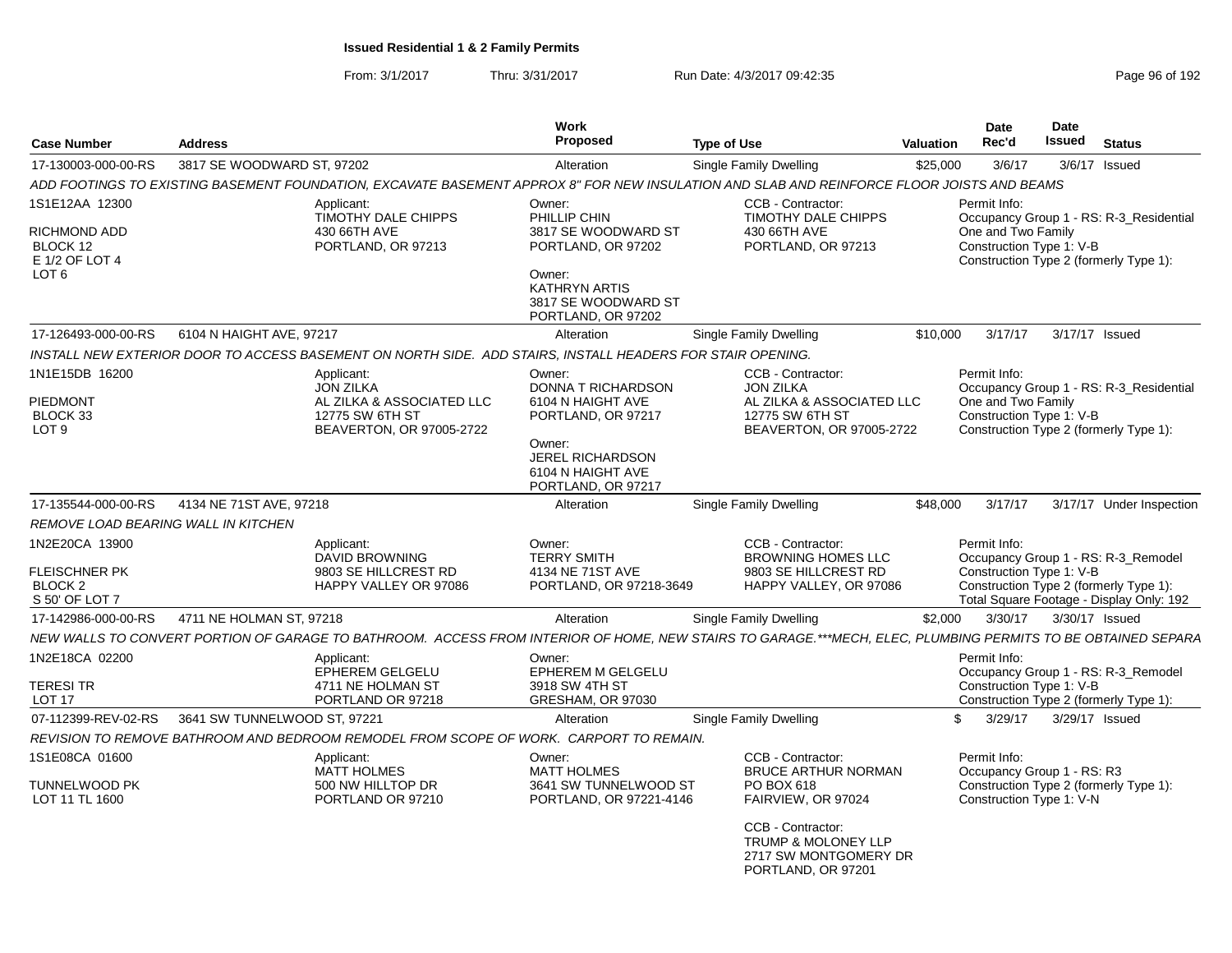From: 3/1/2017Thru: 3/31/2017 **Run Date: 4/3/2017 09:42:35** Page 96 of 192

| <b>Case Number</b><br><b>Address</b>                                             |                              |                                                                                                            | Work<br>Proposed                                                                                                                                        | <b>Type of Use</b>                                                                                                                                           | <b>Valuation</b> | Date<br>Rec'd                                                          | <b>Date</b><br><b>Issued</b> | <b>Status</b>                                                                                                             |
|----------------------------------------------------------------------------------|------------------------------|------------------------------------------------------------------------------------------------------------|---------------------------------------------------------------------------------------------------------------------------------------------------------|--------------------------------------------------------------------------------------------------------------------------------------------------------------|------------------|------------------------------------------------------------------------|------------------------------|---------------------------------------------------------------------------------------------------------------------------|
| 17-130003-000-00-RS                                                              | 3817 SE WOODWARD ST, 97202   |                                                                                                            | Alteration                                                                                                                                              | Single Family Dwelling                                                                                                                                       | \$25,000         | 3/6/17                                                                 |                              | 3/6/17 Issued                                                                                                             |
|                                                                                  |                              |                                                                                                            |                                                                                                                                                         | ADD FOOTINGS TO EXISTING BASEMENT FOUNDATION, EXCAVATE BASEMENT APPROX 8" FOR NEW INSULATION AND SLAB AND REINFORCE FLOOR JOISTS AND BEAMS                   |                  |                                                                        |                              |                                                                                                                           |
| 1S1E12AA 12300<br>RICHMOND ADD<br>BLOCK 12<br>E 1/2 OF LOT 4<br>LOT <sub>6</sub> |                              | Applicant:<br>TIMOTHY DALE CHIPPS<br>430 66TH AVE<br>PORTLAND, OR 97213                                    | Owner:<br>PHILLIP CHIN<br>3817 SE WOODWARD ST<br>PORTLAND, OR 97202<br>Owner:<br><b>KATHRYN ARTIS</b><br>3817 SE WOODWARD ST<br>PORTLAND, OR 97202      | CCB - Contractor:<br>TIMOTHY DALE CHIPPS<br>430 66TH AVE<br>PORTLAND, OR 97213                                                                               |                  | Permit Info:<br>One and Two Family<br>Construction Type 1: V-B         |                              | Occupancy Group 1 - RS: R-3_Residential<br>Construction Type 2 (formerly Type 1):                                         |
| 17-126493-000-00-RS                                                              | 6104 N HAIGHT AVE, 97217     |                                                                                                            | Alteration                                                                                                                                              | Single Family Dwelling                                                                                                                                       | \$10,000         | 3/17/17                                                                | 3/17/17 Issued               |                                                                                                                           |
|                                                                                  |                              | INSTALL NEW EXTERIOR DOOR TO ACCESS BASEMENT ON NORTH SIDE. ADD STAIRS, INSTALL HEADERS FOR STAIR OPENING. |                                                                                                                                                         |                                                                                                                                                              |                  |                                                                        |                              |                                                                                                                           |
| 1N1E15DB 16200<br>PIEDMONT<br>BLOCK 33<br>LOT 9                                  |                              | Applicant:<br><b>JON ZILKA</b><br>AL ZILKA & ASSOCIATED LLC<br>12775 SW 6TH ST<br>BEAVERTON, OR 97005-2722 | Owner:<br>DONNA T RICHARDSON<br>6104 N HAIGHT AVE<br>PORTLAND, OR 97217<br>Owner:<br><b>JEREL RICHARDSON</b><br>6104 N HAIGHT AVE<br>PORTLAND, OR 97217 | CCB - Contractor:<br><b>JON ZILKA</b><br>AL ZILKA & ASSOCIATED LLC<br>12775 SW 6TH ST<br>BEAVERTON, OR 97005-2722                                            |                  | Permit Info:<br>One and Two Family<br>Construction Type 1: V-B         |                              | Occupancy Group 1 - RS: R-3 Residential<br>Construction Type 2 (formerly Type 1):                                         |
| 17-135544-000-00-RS                                                              | 4134 NE 71ST AVE, 97218      |                                                                                                            | Alteration                                                                                                                                              | Single Family Dwelling                                                                                                                                       | \$48,000         | 3/17/17                                                                |                              | 3/17/17 Under Inspection                                                                                                  |
| REMOVE LOAD BEARING WALL IN KITCHEN                                              |                              |                                                                                                            |                                                                                                                                                         |                                                                                                                                                              |                  |                                                                        |                              |                                                                                                                           |
| 1N2E20CA 13900<br>FLEISCHNER PK<br>BLOCK 2<br>S 50' OF LOT 7                     |                              | Applicant:<br><b>DAVID BROWNING</b><br>9803 SE HILLCREST RD<br>HAPPY VALLEY OR 97086                       | Owner:<br><b>TERRY SMITH</b><br>4134 NE 71ST AVE<br>PORTLAND, OR 97218-3649                                                                             | CCB - Contractor:<br><b>BROWNING HOMES LLC</b><br>9803 SE HILLCREST RD<br>HAPPY VALLEY, OR 97086                                                             |                  | Permit Info:<br>Construction Type 1: V-B                               |                              | Occupancy Group 1 - RS: R-3_Remodel<br>Construction Type 2 (formerly Type 1):<br>Total Square Footage - Display Only: 192 |
| 17-142986-000-00-RS                                                              | 4711 NE HOLMAN ST, 97218     |                                                                                                            | Alteration                                                                                                                                              | Single Family Dwelling                                                                                                                                       | \$2,000          | 3/30/17                                                                | 3/30/17 Issued               |                                                                                                                           |
|                                                                                  |                              |                                                                                                            |                                                                                                                                                         | NEW WALLS TO CONVERT PORTION OF GARAGE TO BATHROOM. ACCESS FROM INTERIOR OF HOME, NEW STAIRS TO GARAGE.***MECH, ELEC, PLUMBING PERMITS TO BE OBTAINED SEPARA |                  |                                                                        |                              |                                                                                                                           |
| 1N2E18CA 02200<br>TERESI TR<br>LOT 17                                            |                              | Applicant:<br><b>EPHEREM GELGELU</b><br>4711 NE HOLMAN ST<br>PORTLAND OR 97218                             | Owner:<br><b>EPHEREM M GELGELU</b><br>3918 SW 4TH ST<br>GRESHAM, OR 97030                                                                               |                                                                                                                                                              |                  | Permit Info:<br>Construction Type 1: V-B                               |                              | Occupancy Group 1 - RS: R-3_Remodel<br>Construction Type 2 (formerly Type 1):                                             |
| 07-112399-REV-02-RS                                                              | 3641 SW TUNNELWOOD ST, 97221 |                                                                                                            | Alteration                                                                                                                                              | Single Family Dwelling                                                                                                                                       | \$.              | 3/29/17                                                                | 3/29/17 Issued               |                                                                                                                           |
|                                                                                  |                              | REVISION TO REMOVE BATHROOM AND BEDROOM REMODEL FROM SCOPE OF WORK. CARPORT TO REMAIN.                     |                                                                                                                                                         |                                                                                                                                                              |                  |                                                                        |                              |                                                                                                                           |
| 1S1E08CA 01600<br>TUNNELWOOD PK<br>LOT 11 TL 1600                                |                              | Applicant:<br><b>MATT HOLMES</b><br>500 NW HILLTOP DR<br>PORTLAND OR 97210                                 | Owner:<br><b>MATT HOLMES</b><br>3641 SW TUNNELWOOD ST<br>PORTLAND, OR 97221-4146                                                                        | CCB - Contractor:<br><b>BRUCE ARTHUR NORMAN</b><br>PO BOX 618<br>FAIRVIEW, OR 97024<br>CCB - Contractor:                                                     |                  | Permit Info:<br>Occupancy Group 1 - RS: R3<br>Construction Type 1: V-N |                              | Construction Type 2 (formerly Type 1):                                                                                    |
|                                                                                  |                              |                                                                                                            |                                                                                                                                                         | <b>TRUMP &amp; MOLONEY LLP</b><br>2717 SW MONTGOMERY DR<br>PORTLAND, OR 97201                                                                                |                  |                                                                        |                              |                                                                                                                           |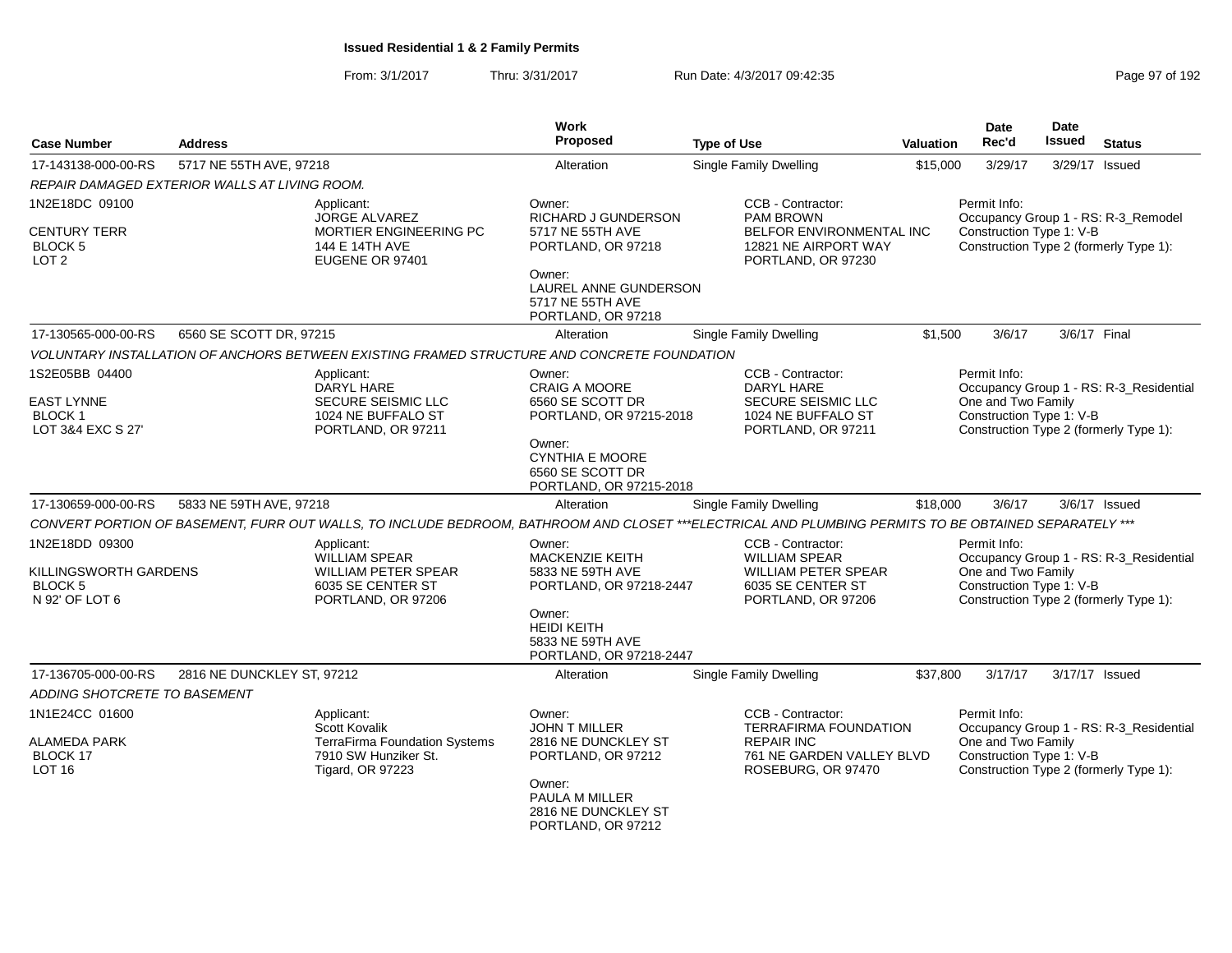From: 3/1/2017Thru: 3/31/2017 Run Date: 4/3/2017 09:42:35 Page 97 of 192

| <b>Case Number</b>                                                        | <b>Address</b>                                                                             |                                                                                                                                                       | Work<br><b>Proposed</b>                                                               | <b>Type of Use</b>                                                                                                 | <b>Valuation</b> | Date<br>Rec'd                                                  | Date<br><b>Issued</b> | <b>Status</b>                                                                     |
|---------------------------------------------------------------------------|--------------------------------------------------------------------------------------------|-------------------------------------------------------------------------------------------------------------------------------------------------------|---------------------------------------------------------------------------------------|--------------------------------------------------------------------------------------------------------------------|------------------|----------------------------------------------------------------|-----------------------|-----------------------------------------------------------------------------------|
| 17-143138-000-00-RS                                                       | 5717 NE 55TH AVE, 97218                                                                    |                                                                                                                                                       | Alteration                                                                            | <b>Single Family Dwelling</b>                                                                                      | \$15,000         | 3/29/17                                                        |                       | 3/29/17 Issued                                                                    |
|                                                                           | REPAIR DAMAGED EXTERIOR WALLS AT LIVING ROOM.                                              |                                                                                                                                                       |                                                                                       |                                                                                                                    |                  |                                                                |                       |                                                                                   |
| 1N2E18DC 09100<br><b>CENTURY TERR</b><br>BLOCK 5<br>LOT 2                 | Applicant:<br>JORGE ALVAREZ<br>MORTIER ENGINEERING PC<br>144 E 14TH AVE<br>EUGENE OR 97401 |                                                                                                                                                       | Owner:<br>RICHARD J GUNDERSON<br>5717 NE 55TH AVE<br>PORTLAND, OR 97218               | CCB - Contractor:<br><b>PAM BROWN</b><br>BELFOR ENVIRONMENTAL INC<br>12821 NE AIRPORT WAY<br>PORTLAND, OR 97230    |                  | Permit Info:<br>Construction Type 1: V-B                       |                       | Occupancy Group 1 - RS: R-3_Remodel<br>Construction Type 2 (formerly Type 1):     |
|                                                                           |                                                                                            |                                                                                                                                                       | Owner:<br>LAUREL ANNE GUNDERSON<br>5717 NE 55TH AVE<br>PORTLAND, OR 97218             |                                                                                                                    |                  |                                                                |                       |                                                                                   |
| 17-130565-000-00-RS                                                       | 6560 SE SCOTT DR, 97215                                                                    |                                                                                                                                                       | Alteration                                                                            | <b>Single Family Dwelling</b>                                                                                      | \$1,500          | 3/6/17                                                         | 3/6/17 Final          |                                                                                   |
|                                                                           |                                                                                            | VOLUNTARY INSTALLATION OF ANCHORS BETWEEN EXISTING FRAMED STRUCTURE AND CONCRETE FOUNDATION                                                           |                                                                                       |                                                                                                                    |                  |                                                                |                       |                                                                                   |
| 1S2E05BB 04400<br><b>EAST LYNNE</b><br><b>BLOCK1</b><br>LOT 3&4 EXC S 27' |                                                                                            | Applicant:<br>DARYL HARE<br><b>SECURE SEISMIC LLC</b><br>1024 NE BUFFALO ST<br>PORTLAND, OR 97211                                                     | Owner:<br><b>CRAIG A MOORE</b><br>6560 SE SCOTT DR<br>PORTLAND, OR 97215-2018         | CCB - Contractor:<br>DARYL HARE<br><b>SECURE SEISMIC LLC</b><br>1024 NE BUFFALO ST<br>PORTLAND, OR 97211           |                  | Permit Info:<br>One and Two Family<br>Construction Type 1: V-B |                       | Occupancy Group 1 - RS: R-3_Residential<br>Construction Type 2 (formerly Type 1): |
|                                                                           |                                                                                            |                                                                                                                                                       | Owner:<br><b>CYNTHIA E MOORE</b><br>6560 SE SCOTT DR<br>PORTLAND, OR 97215-2018       |                                                                                                                    |                  |                                                                |                       |                                                                                   |
| 17-130659-000-00-RS                                                       | 5833 NE 59TH AVE, 97218                                                                    |                                                                                                                                                       | Alteration                                                                            | <b>Single Family Dwelling</b>                                                                                      | \$18,000         | 3/6/17                                                         |                       | 3/6/17 Issued                                                                     |
|                                                                           |                                                                                            | CONVERT PORTION OF BASEMENT, FURR OUT WALLS, TO INCLUDE BEDROOM, BATHROOM AND CLOSET ***ELECTRICAL AND PLUMBING PERMITS TO BE OBTAINED SEPARATELY *** |                                                                                       |                                                                                                                    |                  |                                                                |                       |                                                                                   |
| 1N2E18DD 09300<br>KILLINGSWORTH GARDENS<br><b>BLOCK 5</b>                 |                                                                                            | Applicant:<br><b>WILLIAM SPEAR</b><br>WILLIAM PETER SPEAR<br>6035 SE CENTER ST                                                                        | Owner:<br><b>MACKENZIE KEITH</b><br>5833 NE 59TH AVE<br>PORTLAND, OR 97218-2447       | CCB - Contractor:<br><b>WILLIAM SPEAR</b><br><b>WILLIAM PETER SPEAR</b><br>6035 SE CENTER ST                       |                  | Permit Info:<br>One and Two Family<br>Construction Type 1: V-B |                       | Occupancy Group 1 - RS: R-3_Residential                                           |
| N 92' OF LOT 6                                                            |                                                                                            | PORTLAND, OR 97206                                                                                                                                    | Owner:<br><b>HEIDI KEITH</b><br>5833 NE 59TH AVE<br>PORTLAND, OR 97218-2447           | PORTLAND, OR 97206                                                                                                 |                  |                                                                |                       | Construction Type 2 (formerly Type 1):                                            |
| 17-136705-000-00-RS                                                       | 2816 NE DUNCKLEY ST, 97212                                                                 |                                                                                                                                                       | Alteration                                                                            | <b>Single Family Dwelling</b>                                                                                      | \$37,800         | 3/17/17                                                        |                       | 3/17/17 Issued                                                                    |
| ADDING SHOTCRETE TO BASEMENT                                              |                                                                                            |                                                                                                                                                       |                                                                                       |                                                                                                                    |                  |                                                                |                       |                                                                                   |
| 1N1E24CC 01600<br><b>ALAMEDA PARK</b><br>BLOCK 17<br><b>LOT 16</b>        |                                                                                            | Applicant:<br>Scott Kovalik<br>TerraFirma Foundation Systems<br>7910 SW Hunziker St.<br>Tigard, OR 97223                                              | Owner:<br><b>JOHN T MILLER</b><br>2816 NE DUNCKLEY ST<br>PORTLAND, OR 97212<br>Owner: | CCB - Contractor:<br>TERRAFIRMA FOUNDATION<br><b>REPAIR INC</b><br>761 NE GARDEN VALLEY BLVD<br>ROSEBURG, OR 97470 |                  | Permit Info:<br>One and Two Family<br>Construction Type 1: V-B |                       | Occupancy Group 1 - RS: R-3 Residential<br>Construction Type 2 (formerly Type 1): |
|                                                                           |                                                                                            |                                                                                                                                                       | PAULA M MILLER<br>2816 NE DUNCKLEY ST<br>PORTLAND, OR 97212                           |                                                                                                                    |                  |                                                                |                       |                                                                                   |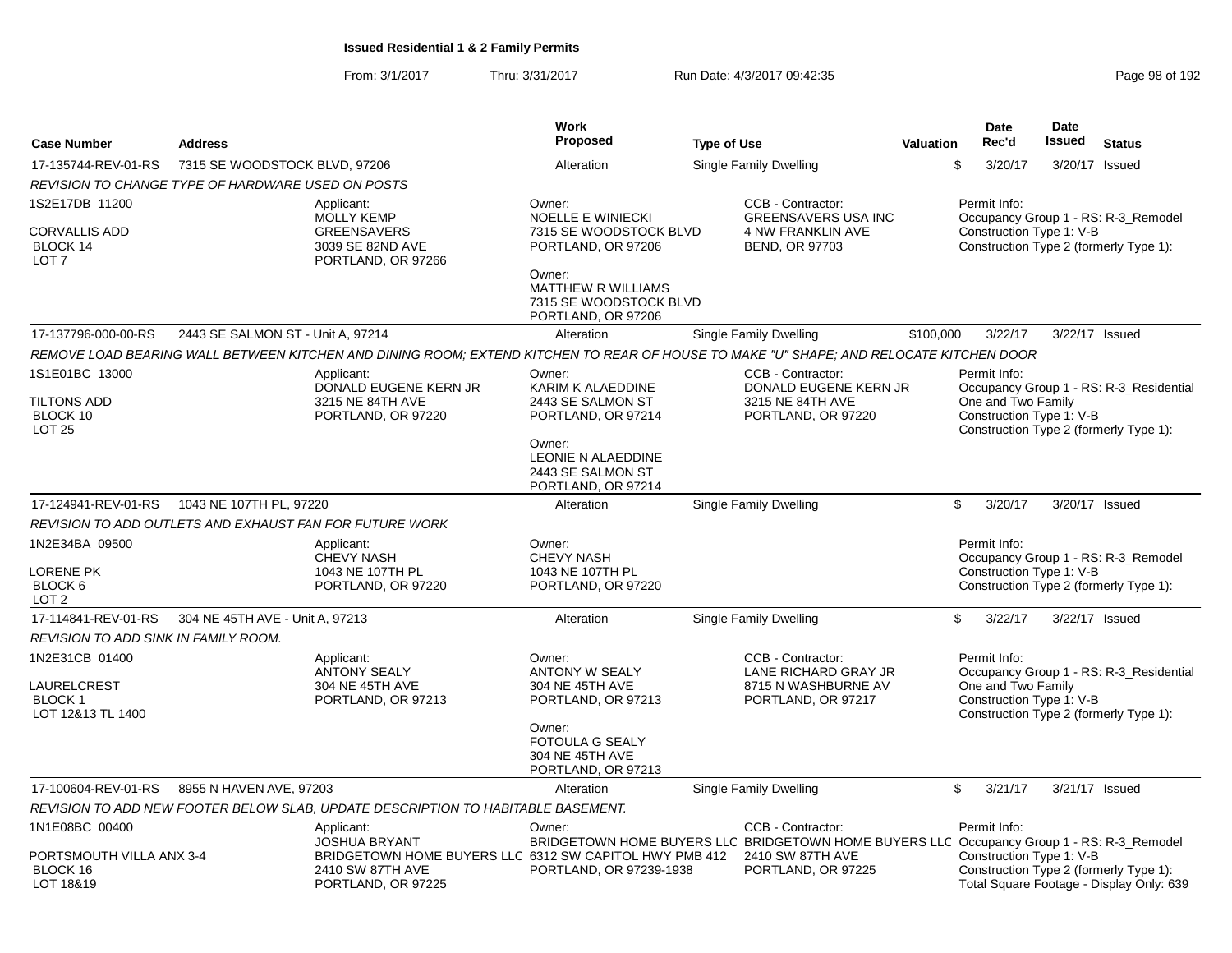|                                                                      |                                   |                                                                                                                                        | <b>Work</b>                                                                         |                                                                                                                |           | Date                                                           | Date          |                                                                                    |
|----------------------------------------------------------------------|-----------------------------------|----------------------------------------------------------------------------------------------------------------------------------------|-------------------------------------------------------------------------------------|----------------------------------------------------------------------------------------------------------------|-----------|----------------------------------------------------------------|---------------|------------------------------------------------------------------------------------|
| <b>Case Number</b>                                                   | <b>Address</b>                    |                                                                                                                                        | Proposed                                                                            | <b>Type of Use</b>                                                                                             | Valuation | Rec'd                                                          | <b>Issued</b> | <b>Status</b>                                                                      |
| 17-135744-REV-01-RS                                                  | 7315 SE WOODSTOCK BLVD, 97206     |                                                                                                                                        | Alteration                                                                          | Single Family Dwelling                                                                                         |           | \$<br>3/20/17                                                  |               | 3/20/17 Issued                                                                     |
| REVISION TO CHANGE TYPE OF HARDWARE USED ON POSTS                    |                                   |                                                                                                                                        |                                                                                     |                                                                                                                |           |                                                                |               |                                                                                    |
| 1S2E17DB 11200<br>CORVALLIS ADD<br>BLOCK 14<br>LOT <sub>7</sub>      |                                   | Applicant:<br><b>MOLLY KEMP</b><br><b>GREENSAVERS</b><br>3039 SE 82ND AVE<br>PORTLAND, OR 97266                                        | Owner:<br><b>NOELLE E WINIECKI</b><br>7315 SE WOODSTOCK BLVD<br>PORTLAND, OR 97206  | CCB - Contractor:<br><b>GREENSAVERS USA INC</b><br>4 NW FRANKLIN AVE<br><b>BEND, OR 97703</b>                  |           | Permit Info:<br>Construction Type 1: V-B                       |               | Occupancy Group 1 - RS: R-3_Remodel<br>Construction Type 2 (formerly Type 1):      |
|                                                                      |                                   |                                                                                                                                        | Owner:<br><b>MATTHEW R WILLIAMS</b><br>7315 SE WOODSTOCK BLVD<br>PORTLAND, OR 97206 |                                                                                                                |           |                                                                |               |                                                                                    |
| 17-137796-000-00-RS                                                  | 2443 SE SALMON ST - Unit A, 97214 |                                                                                                                                        | Alteration                                                                          | Single Family Dwelling                                                                                         | \$100,000 | 3/22/17                                                        |               | 3/22/17 Issued                                                                     |
|                                                                      |                                   | REMOVE LOAD BEARING WALL BETWEEN KITCHEN AND DINING ROOM: EXTEND KITCHEN TO REAR OF HOUSE TO MAKE "U" SHAPE: AND RELOCATE KITCHEN DOOR |                                                                                     |                                                                                                                |           |                                                                |               |                                                                                    |
| 1S1E01BC 13000                                                       |                                   | Applicant:                                                                                                                             | Owner:                                                                              | CCB - Contractor:                                                                                              |           | Permit Info:                                                   |               |                                                                                    |
| TILTONS ADD<br>BLOCK 10<br><b>LOT 25</b>                             |                                   | DONALD EUGENE KERN JR<br>3215 NE 84TH AVE<br>PORTLAND, OR 97220                                                                        | KARIM K ALAEDDINE<br>2443 SE SALMON ST<br>PORTLAND, OR 97214                        | DONALD EUGENE KERN JR<br>3215 NE 84TH AVE<br>PORTLAND, OR 97220                                                |           | One and Two Family<br>Construction Type 1: V-B                 |               | Occupancy Group 1 - RS: R-3 Residential<br>Construction Type 2 (formerly Type 1):  |
|                                                                      |                                   |                                                                                                                                        | Owner:<br>LEONIE N ALAEDDINE<br>2443 SE SALMON ST<br>PORTLAND, OR 97214             |                                                                                                                |           |                                                                |               |                                                                                    |
| 17-124941-REV-01-RS                                                  | 1043 NE 107TH PL, 97220           |                                                                                                                                        | Alteration                                                                          | <b>Single Family Dwelling</b>                                                                                  |           | \$<br>3/20/17                                                  |               | 3/20/17 Issued                                                                     |
|                                                                      |                                   | REVISION TO ADD OUTLETS AND EXHAUST FAN FOR FUTURE WORK                                                                                |                                                                                     |                                                                                                                |           |                                                                |               |                                                                                    |
| 1N2E34BA 09500                                                       |                                   | Applicant:<br><b>CHEVY NASH</b>                                                                                                        | Owner:<br><b>CHEVY NASH</b>                                                         |                                                                                                                |           | Permit Info:                                                   |               | Occupancy Group 1 - RS: R-3_Remodel                                                |
| <b>LORENE PK</b><br>BLOCK <sub>6</sub><br>LOT <sub>2</sub>           |                                   | 1043 NE 107TH PL<br>PORTLAND, OR 97220                                                                                                 | 1043 NE 107TH PL<br>PORTLAND, OR 97220                                              |                                                                                                                |           | Construction Type 1: V-B                                       |               | Construction Type 2 (formerly Type 1):                                             |
| 17-114841-REV-01-RS                                                  | 304 NE 45TH AVE - Unit A, 97213   |                                                                                                                                        | Alteration                                                                          | Single Family Dwelling                                                                                         |           | \$<br>3/22/17                                                  |               | 3/22/17 Issued                                                                     |
| REVISION TO ADD SINK IN FAMILY ROOM.                                 |                                   |                                                                                                                                        |                                                                                     |                                                                                                                |           |                                                                |               |                                                                                    |
| 1N2E31CB 01400<br>LAURELCREST<br><b>BLOCK 1</b><br>LOT 12&13 TL 1400 |                                   | Applicant:<br><b>ANTONY SEALY</b><br>304 NE 45TH AVE<br>PORTLAND, OR 97213                                                             | Owner:<br><b>ANTONY W SEALY</b><br>304 NE 45TH AVE<br>PORTLAND, OR 97213            | CCB - Contractor:<br>LANE RICHARD GRAY JR<br>8715 N WASHBURNE AV<br>PORTLAND, OR 97217                         |           | Permit Info:<br>One and Two Family<br>Construction Type 1: V-B |               | Occupancy Group 1 - RS: R-3_Residential<br>Construction Type 2 (formerly Type 1):  |
|                                                                      |                                   |                                                                                                                                        | Owner:<br><b>FOTOULA G SEALY</b><br>304 NE 45TH AVE<br>PORTLAND, OR 97213           |                                                                                                                |           |                                                                |               |                                                                                    |
| 17-100604-REV-01-RS                                                  | 8955 N HAVEN AVE, 97203           |                                                                                                                                        | Alteration                                                                          | <b>Single Family Dwelling</b>                                                                                  |           | \$<br>3/21/17                                                  |               | 3/21/17 Issued                                                                     |
|                                                                      |                                   | REVISION TO ADD NEW FOOTER BELOW SLAB, UPDATE DESCRIPTION TO HABITABLE BASEMENT.                                                       |                                                                                     |                                                                                                                |           |                                                                |               |                                                                                    |
| 1N1E08BC 00400                                                       |                                   | Applicant:<br><b>JOSHUA BRYANT</b>                                                                                                     | Owner:                                                                              | CCB - Contractor:<br>BRIDGETOWN HOME BUYERS LLC BRIDGETOWN HOME BUYERS LLC Occupancy Group 1 - RS: R-3_Remodel |           | Permit Info:                                                   |               |                                                                                    |
| PORTSMOUTH VILLA ANX 3-4<br>BLOCK 16<br>LOT 18&19                    |                                   | BRIDGETOWN HOME BUYERS LLC 6312 SW CAPITOL HWY PMB 412<br>2410 SW 87TH AVE<br>PORTLAND, OR 97225                                       | PORTLAND, OR 97239-1938                                                             | 2410 SW 87TH AVE<br>PORTLAND, OR 97225                                                                         |           | Construction Type 1: V-B                                       |               | Construction Type 2 (formerly Type 1):<br>Total Square Footage - Display Only: 639 |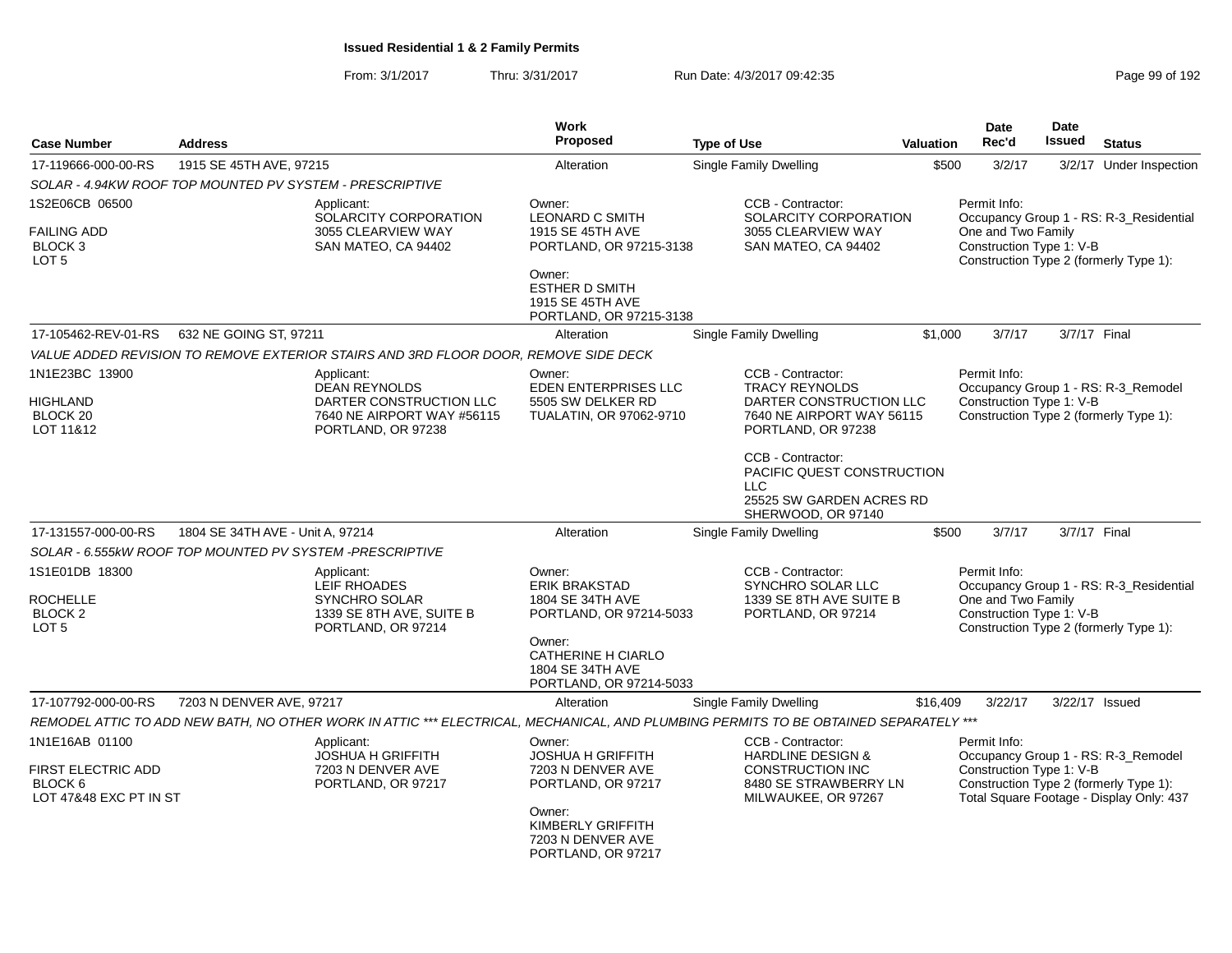| <b>Case Number</b>                                                                          | <b>Address</b>                   |                                                                                                                                      | Work<br><b>Proposed</b>                                                                                                                                             | <b>Type of Use</b>                                                                                                                                                                                              | <b>Valuation</b> | <b>Date</b><br>Rec'd                                           | Date<br>Issued | <b>Status</b>                                                                                                             |
|---------------------------------------------------------------------------------------------|----------------------------------|--------------------------------------------------------------------------------------------------------------------------------------|---------------------------------------------------------------------------------------------------------------------------------------------------------------------|-----------------------------------------------------------------------------------------------------------------------------------------------------------------------------------------------------------------|------------------|----------------------------------------------------------------|----------------|---------------------------------------------------------------------------------------------------------------------------|
| 17-119666-000-00-RS                                                                         | 1915 SE 45TH AVE, 97215          |                                                                                                                                      | Alteration                                                                                                                                                          | <b>Single Family Dwelling</b>                                                                                                                                                                                   | \$500            | 3/2/17                                                         |                | 3/2/17 Under Inspection                                                                                                   |
| SOLAR - 4.94KW ROOF TOP MOUNTED PV SYSTEM - PRESCRIPTIVE                                    |                                  |                                                                                                                                      |                                                                                                                                                                     |                                                                                                                                                                                                                 |                  |                                                                |                |                                                                                                                           |
| 1S2E06CB 06500<br><b>FAILING ADD</b><br>BLOCK <sub>3</sub><br>LOT <sub>5</sub>              |                                  | Applicant:<br>SOLARCITY CORPORATION<br>3055 CLEARVIEW WAY<br>SAN MATEO, CA 94402                                                     | Owner:<br><b>LEONARD C SMITH</b><br>1915 SE 45TH AVE<br>PORTLAND, OR 97215-3138<br>Owner:<br><b>ESTHER D SMITH</b><br>1915 SE 45TH AVE<br>PORTLAND, OR 97215-3138   | CCB - Contractor:<br>SOLARCITY CORPORATION<br>3055 CLEARVIEW WAY<br>SAN MATEO, CA 94402                                                                                                                         |                  | Permit Info:<br>One and Two Family<br>Construction Type 1: V-B |                | Occupancy Group 1 - RS: R-3_Residential<br>Construction Type 2 (formerly Type 1):                                         |
| 17-105462-REV-01-RS                                                                         | 632 NE GOING ST, 97211           |                                                                                                                                      | Alteration                                                                                                                                                          | <b>Single Family Dwelling</b>                                                                                                                                                                                   | \$1,000          | 3/7/17                                                         | 3/7/17 Final   |                                                                                                                           |
|                                                                                             |                                  | VALUE ADDED REVISION TO REMOVE EXTERIOR STAIRS AND 3RD FLOOR DOOR, REMOVE SIDE DECK                                                  |                                                                                                                                                                     |                                                                                                                                                                                                                 |                  |                                                                |                |                                                                                                                           |
| 1N1E23BC 13900<br>HIGHLAND<br>BLOCK <sub>20</sub><br>LOT 11&12                              |                                  | Applicant:<br><b>DEAN REYNOLDS</b><br>DARTER CONSTRUCTION LLC<br>7640 NE AIRPORT WAY #56115<br>PORTLAND, OR 97238                    | Owner:<br><b>EDEN ENTERPRISES LLC</b><br>5505 SW DELKER RD<br>TUALATIN, OR 97062-9710                                                                               | CCB - Contractor:<br><b>TRACY REYNOLDS</b><br>DARTER CONSTRUCTION LLC<br>7640 NE AIRPORT WAY 56115<br>PORTLAND, OR 97238<br>CCB - Contractor:<br>PACIFIC QUEST CONSTRUCTION<br>LLC.<br>25525 SW GARDEN ACRES RD |                  | Permit Info:<br>Construction Type 1: V-B                       |                | Occupancy Group 1 - RS: R-3_Remodel<br>Construction Type 2 (formerly Type 1):                                             |
| 17-131557-000-00-RS                                                                         | 1804 SE 34TH AVE - Unit A, 97214 |                                                                                                                                      | Alteration                                                                                                                                                          | SHERWOOD, OR 97140<br>Single Family Dwelling                                                                                                                                                                    | \$500            | 3/7/17                                                         | 3/7/17 Final   |                                                                                                                           |
| SOLAR - 6.555kW ROOF TOP MOUNTED PV SYSTEM -PRESCRIPTIVE                                    |                                  |                                                                                                                                      |                                                                                                                                                                     |                                                                                                                                                                                                                 |                  |                                                                |                |                                                                                                                           |
| 1S1E01DB 18300<br><b>ROCHELLE</b><br>BLOCK <sub>2</sub><br>LOT <sub>5</sub>                 |                                  | Applicant:<br>LEIF RHOADES<br><b>SYNCHRO SOLAR</b><br>1339 SE 8TH AVE, SUITE B<br>PORTLAND, OR 97214                                 | Owner:<br><b>ERIK BRAKSTAD</b><br>1804 SE 34TH AVE<br>PORTLAND, OR 97214-5033<br>Owner:<br><b>CATHERINE H CIARLO</b><br>1804 SE 34TH AVE<br>PORTLAND, OR 97214-5033 | CCB - Contractor:<br>SYNCHRO SOLAR LLC<br>1339 SE 8TH AVE SUITE B<br>PORTLAND, OR 97214                                                                                                                         |                  | Permit Info:<br>One and Two Family<br>Construction Type 1: V-B |                | Occupancy Group 1 - RS: R-3_Residential<br>Construction Type 2 (formerly Type 1):                                         |
| 17-107792-000-00-RS                                                                         | 7203 N DENVER AVE, 97217         |                                                                                                                                      | Alteration                                                                                                                                                          | <b>Single Family Dwelling</b>                                                                                                                                                                                   | \$16,409         | 3/22/17                                                        |                | 3/22/17 Issued                                                                                                            |
|                                                                                             |                                  | REMODEL ATTIC TO ADD NEW BATH, NO OTHER WORK IN ATTIC *** ELECTRICAL, MECHANICAL, AND PLUMBING PERMITS TO BE OBTAINED SEPARATELY *** |                                                                                                                                                                     |                                                                                                                                                                                                                 |                  |                                                                |                |                                                                                                                           |
| 1N1E16AB 01100<br><b>FIRST ELECTRIC ADD</b><br>BLOCK <sub>6</sub><br>LOT 47&48 EXC PT IN ST |                                  | Applicant:<br><b>JOSHUA H GRIFFITH</b><br>7203 N DENVER AVE<br>PORTLAND, OR 97217                                                    | Owner:<br><b>JOSHUA H GRIFFITH</b><br>7203 N DENVER AVE<br>PORTLAND, OR 97217<br>Owner:<br>KIMBERLY GRIFFITH<br>7203 N DENVER AVE<br>PORTLAND, OR 97217             | CCB - Contractor:<br><b>HARDLINE DESIGN &amp;</b><br><b>CONSTRUCTION INC</b><br>8480 SE STRAWBERRY LN<br>MILWAUKEE, OR 97267                                                                                    |                  | Permit Info:<br>Construction Type 1: V-B                       |                | Occupancy Group 1 - RS: R-3_Remodel<br>Construction Type 2 (formerly Type 1):<br>Total Square Footage - Display Only: 437 |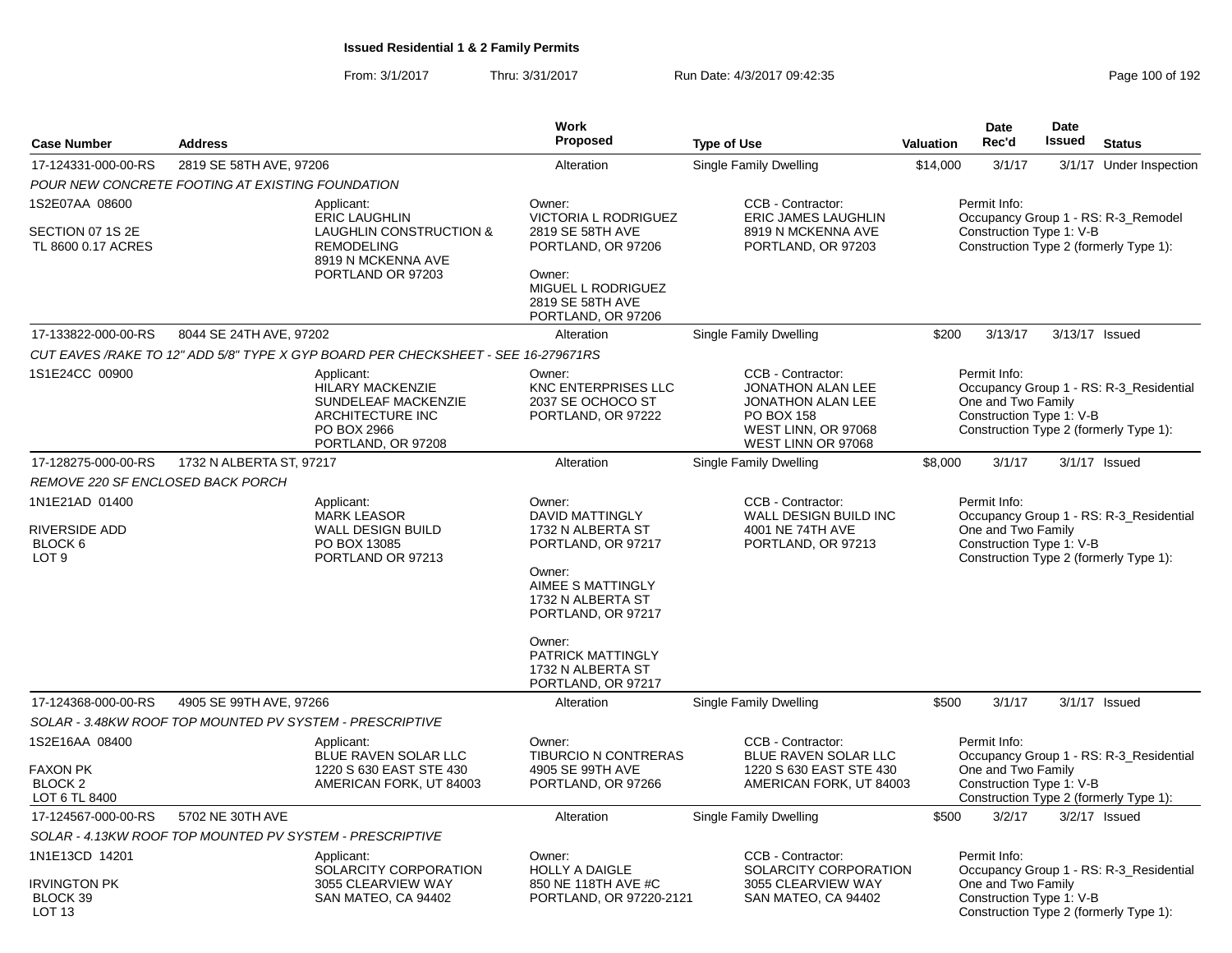|                                                          |                                                  |                                                                                                                     | Work                                                                                                                                        |                                                                                                                                      |                                                                                                                           | Date                                                           | <b>Date</b>   |                                                                                   |  |  |
|----------------------------------------------------------|--------------------------------------------------|---------------------------------------------------------------------------------------------------------------------|---------------------------------------------------------------------------------------------------------------------------------------------|--------------------------------------------------------------------------------------------------------------------------------------|---------------------------------------------------------------------------------------------------------------------------|----------------------------------------------------------------|---------------|-----------------------------------------------------------------------------------|--|--|
| <b>Case Number</b>                                       | <b>Address</b>                                   |                                                                                                                     | Proposed                                                                                                                                    | <b>Type of Use</b>                                                                                                                   | Valuation                                                                                                                 | Rec'd                                                          | <b>Issued</b> | <b>Status</b>                                                                     |  |  |
| 17-124331-000-00-RS                                      | 2819 SE 58TH AVE, 97206                          |                                                                                                                     | Alteration                                                                                                                                  | <b>Single Family Dwelling</b>                                                                                                        | \$14,000                                                                                                                  | 3/1/17                                                         |               | 3/1/17 Under Inspection                                                           |  |  |
|                                                          | POUR NEW CONCRETE FOOTING AT EXISTING FOUNDATION |                                                                                                                     |                                                                                                                                             |                                                                                                                                      |                                                                                                                           |                                                                |               |                                                                                   |  |  |
| 1S2E07AA 08600<br>SECTION 07 1S 2E<br>TL 8600 0.17 ACRES |                                                  | Applicant:<br><b>ERIC LAUGHLIN</b><br><b>LAUGHLIN CONSTRUCTION &amp;</b><br><b>REMODELING</b><br>8919 N MCKENNA AVE | Owner:<br><b>VICTORIA L RODRIGUEZ</b><br>2819 SE 58TH AVE<br>PORTLAND, OR 97206                                                             | CCB - Contractor:<br>ERIC JAMES LAUGHLIN<br>8919 N MCKENNA AVE<br>PORTLAND, OR 97203                                                 | Permit Info:<br>Occupancy Group 1 - RS: R-3_Remodel<br>Construction Type 1: V-B<br>Construction Type 2 (formerly Type 1): |                                                                |               |                                                                                   |  |  |
|                                                          |                                                  | PORTLAND OR 97203                                                                                                   | Owner:<br>MIGUEL L RODRIGUEZ<br>2819 SE 58TH AVE<br>PORTLAND, OR 97206                                                                      |                                                                                                                                      |                                                                                                                           |                                                                |               |                                                                                   |  |  |
| 17-133822-000-00-RS                                      | 8044 SE 24TH AVE, 97202                          |                                                                                                                     | Alteration                                                                                                                                  | Single Family Dwelling                                                                                                               | \$200                                                                                                                     | 3/13/17                                                        |               | 3/13/17 Issued                                                                    |  |  |
|                                                          |                                                  | CUT EAVES /RAKE TO 12" ADD 5/8" TYPE X GYP BOARD PER CHECKSHEET - SEE 16-279671RS                                   |                                                                                                                                             |                                                                                                                                      |                                                                                                                           |                                                                |               |                                                                                   |  |  |
| 1S1E24CC 00900                                           |                                                  | Applicant:<br>HILARY MACKENZIE<br>SUNDELEAF MACKENZIE<br>ARCHITECTURE INC<br>PO BOX 2966<br>PORTLAND, OR 97208      | Owner:<br><b>KNC ENTERPRISES LLC</b><br>2037 SE OCHOCO ST<br>PORTLAND, OR 97222                                                             | CCB - Contractor:<br><b>JONATHON ALAN LEE</b><br><b>JONATHON ALAN LEE</b><br>PO BOX 158<br>WEST LINN, OR 97068<br>WEST LINN OR 97068 |                                                                                                                           | Permit Info:<br>One and Two Family<br>Construction Type 1: V-B |               | Occupancy Group 1 - RS: R-3_Residential<br>Construction Type 2 (formerly Type 1): |  |  |
| 17-128275-000-00-RS                                      | 1732 N ALBERTA ST, 97217                         |                                                                                                                     | Alteration                                                                                                                                  | <b>Single Family Dwelling</b>                                                                                                        | \$8,000                                                                                                                   | 3/1/17                                                         |               | $3/1/17$ Issued                                                                   |  |  |
| REMOVE 220 SF ENCLOSED BACK PORCH                        |                                                  |                                                                                                                     |                                                                                                                                             |                                                                                                                                      |                                                                                                                           |                                                                |               |                                                                                   |  |  |
| 1N1E21AD 01400                                           |                                                  | Applicant:                                                                                                          | Owner:                                                                                                                                      | CCB - Contractor:                                                                                                                    |                                                                                                                           | Permit Info:                                                   |               |                                                                                   |  |  |
| <b>RIVERSIDE ADD</b><br>BLOCK 6<br>LOT <sub>9</sub>      |                                                  | <b>MARK LEASOR</b><br><b>WALL DESIGN BUILD</b><br>PO BOX 13085<br>PORTLAND OR 97213                                 | <b>DAVID MATTINGLY</b><br>1732 N ALBERTA ST<br>PORTLAND, OR 97217<br>Owner:<br>AIMEE S MATTINGLY<br>1732 N ALBERTA ST<br>PORTLAND, OR 97217 | WALL DESIGN BUILD INC<br>4001 NE 74TH AVE<br>PORTLAND, OR 97213                                                                      |                                                                                                                           | One and Two Family<br>Construction Type 1: V-B                 |               | Occupancy Group 1 - RS: R-3 Residential<br>Construction Type 2 (formerly Type 1): |  |  |
|                                                          |                                                  |                                                                                                                     | Owner:<br>PATRICK MATTINGLY<br>1732 N ALBERTA ST<br>PORTLAND, OR 97217                                                                      |                                                                                                                                      |                                                                                                                           |                                                                |               |                                                                                   |  |  |
| 17-124368-000-00-RS                                      | 4905 SE 99TH AVE, 97266                          |                                                                                                                     | Alteration                                                                                                                                  | Single Family Dwelling                                                                                                               | \$500                                                                                                                     | 3/1/17                                                         |               | $3/1/17$ Issued                                                                   |  |  |
|                                                          |                                                  | SOLAR - 3.48KW ROOF TOP MOUNTED PV SYSTEM - PRESCRIPTIVE                                                            |                                                                                                                                             |                                                                                                                                      |                                                                                                                           |                                                                |               |                                                                                   |  |  |
| 1S2E16AA 08400                                           |                                                  | Applicant:<br>BLUE RAVEN SOLAR LLC                                                                                  | Owner:<br><b>TIBURCIO N CONTRERAS</b>                                                                                                       | CCB - Contractor:<br>BLUE RAVEN SOLAR LLC                                                                                            |                                                                                                                           | Permit Info:                                                   |               | Occupancy Group 1 - RS: R-3_Residential                                           |  |  |
| <b>FAXON PK</b><br>BLOCK <sub>2</sub><br>LOT 6 TL 8400   |                                                  | 1220 S 630 EAST STE 430<br>AMERICAN FORK, UT 84003                                                                  | 4905 SE 99TH AVE<br>PORTLAND, OR 97266                                                                                                      | 1220 S 630 EAST STE 430<br>AMERICAN FORK, UT 84003                                                                                   |                                                                                                                           | One and Two Family<br>Construction Type 1: V-B                 |               | Construction Type 2 (formerly Type 1):                                            |  |  |
| 17-124567-000-00-RS                                      | 5702 NE 30TH AVE                                 |                                                                                                                     | Alteration                                                                                                                                  | <b>Single Family Dwelling</b>                                                                                                        | \$500                                                                                                                     | 3/2/17                                                         |               | $3/2/17$ Issued                                                                   |  |  |
|                                                          |                                                  | SOLAR - 4.13KW ROOF TOP MOUNTED PV SYSTEM - PRESCRIPTIVE                                                            |                                                                                                                                             |                                                                                                                                      |                                                                                                                           |                                                                |               |                                                                                   |  |  |
| 1N1E13CD 14201                                           |                                                  | Applicant:<br>SOLARCITY CORPORATION                                                                                 | Owner:<br><b>HOLLY A DAIGLE</b>                                                                                                             | CCB - Contractor:<br>SOLARCITY CORPORATION                                                                                           |                                                                                                                           | Permit Info:                                                   |               | Occupancy Group 1 - RS: R-3_Residential                                           |  |  |
| <b>IRVINGTON PK</b><br>BLOCK 39<br>LOT 13                |                                                  | 3055 CLEARVIEW WAY<br>SAN MATEO, CA 94402                                                                           | 850 NE 118TH AVE #C<br>PORTLAND, OR 97220-2121                                                                                              | 3055 CLEARVIEW WAY<br>SAN MATEO, CA 94402                                                                                            |                                                                                                                           | One and Two Family<br>Construction Type 1: V-B                 |               | Construction Type 2 (formerly Type 1):                                            |  |  |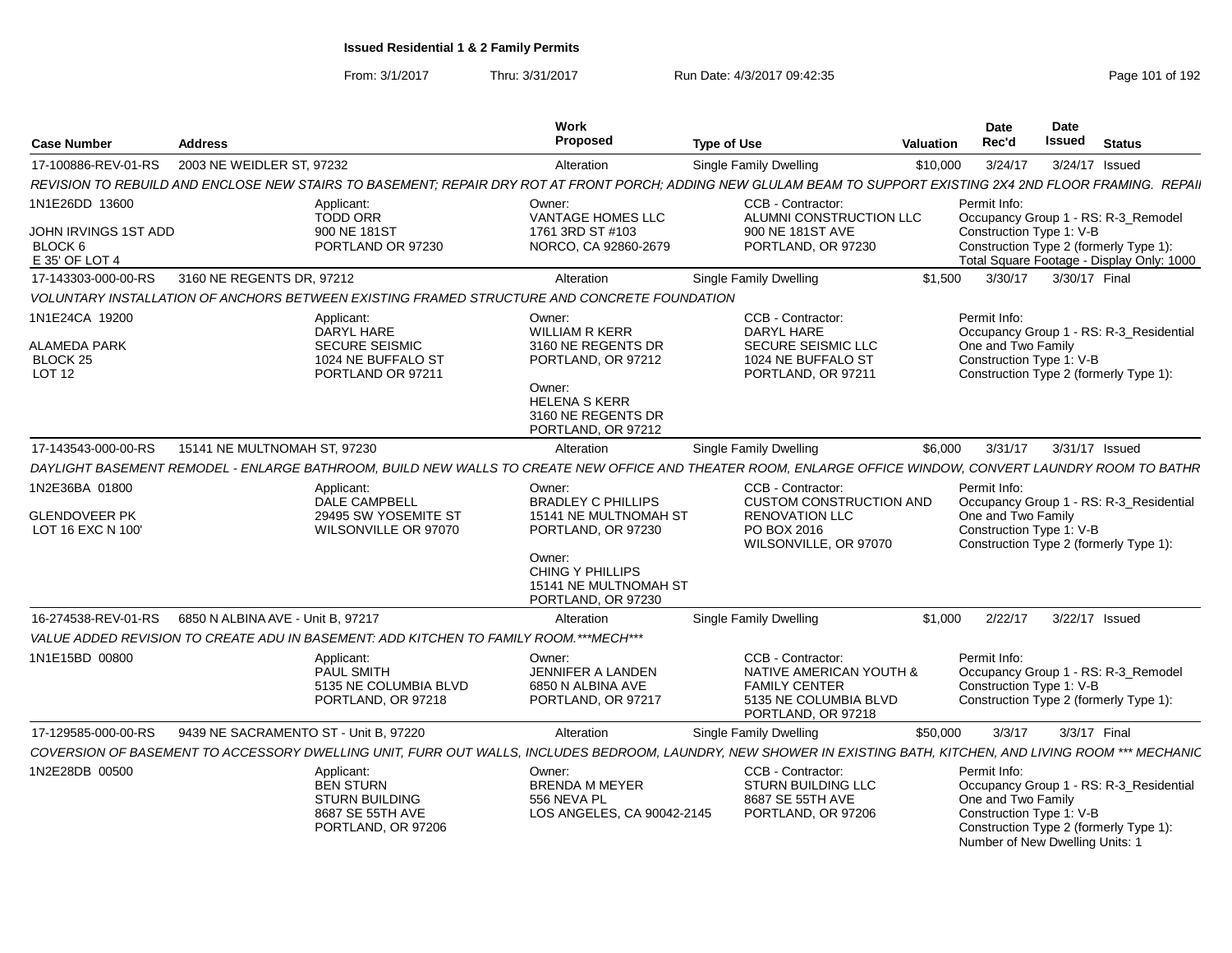| <b>Case Number</b>                                                  | <b>Address</b>                                          |                                                                                                   | Work<br>Proposed                                                                                                                                          | <b>Type of Use</b>                                                                                                                                              | Valuation | Date<br>Rec'd                      | <b>Date</b><br><b>Issued</b><br><b>Status</b>                                                                                                          |
|---------------------------------------------------------------------|---------------------------------------------------------|---------------------------------------------------------------------------------------------------|-----------------------------------------------------------------------------------------------------------------------------------------------------------|-----------------------------------------------------------------------------------------------------------------------------------------------------------------|-----------|------------------------------------|--------------------------------------------------------------------------------------------------------------------------------------------------------|
| 17-100886-REV-01-RS                                                 | 2003 NE WEIDLER ST, 97232                               |                                                                                                   | Alteration                                                                                                                                                | Single Family Dwelling                                                                                                                                          | \$10,000  | 3/24/17                            | 3/24/17 Issued                                                                                                                                         |
|                                                                     |                                                         |                                                                                                   |                                                                                                                                                           | REVISION TO REBUILD AND ENCLOSE NEW STAIRS TO BASEMENT; REPAIR DRY ROT AT FRONT PORCH; ADDING NEW GLULAM BEAM TO SUPPORT EXISTING 2X4 2ND FLOOR FRAMING. REPAII |           |                                    |                                                                                                                                                        |
| 1N1E26DD 13600<br>JOHN IRVINGS 1ST ADD<br>BLOCK 6<br>E 35' OF LOT 4 |                                                         | Applicant:<br><b>TODD ORR</b><br>900 NE 181ST<br>PORTLAND OR 97230                                | Owner:<br>VANTAGE HOMES LLC<br>1761 3RD ST #103<br>NORCO, CA 92860-2679                                                                                   | CCB - Contractor:<br>ALUMNI CONSTRUCTION LLC<br>900 NE 181ST AVE<br>PORTLAND, OR 97230                                                                          |           | Permit Info:                       | Occupancy Group 1 - RS: R-3_Remodel<br>Construction Type 1: V-B<br>Construction Type 2 (formerly Type 1):<br>Total Square Footage - Display Only: 1000 |
| 17-143303-000-00-RS                                                 | 3160 NE REGENTS DR, 97212                               |                                                                                                   | Alteration                                                                                                                                                | Single Family Dwelling                                                                                                                                          | \$1.500   |                                    | 3/30/17   3/30/17   Final                                                                                                                              |
|                                                                     |                                                         |                                                                                                   | VOLUNTARY INSTALLATION OF ANCHORS BETWEEN EXISTING FRAMED STRUCTURE AND CONCRETE FOUNDATION                                                               |                                                                                                                                                                 |           |                                    |                                                                                                                                                        |
| 1N1E24CA 19200<br><b>ALAMEDA PARK</b><br>BLOCK 25<br><b>LOT 12</b>  |                                                         | Applicant:<br>DARYL HARE<br><b>SECURE SEISMIC</b><br>1024 NE BUFFALO ST<br>PORTLAND OR 97211      | Owner:<br><b>WILLIAM R KERR</b><br>3160 NE REGENTS DR<br>PORTLAND, OR 97212<br>Owner:<br><b>HELENA S KERR</b><br>3160 NE REGENTS DR<br>PORTLAND, OR 97212 | <b>CCB - Contractor:</b><br>DARYL HARE<br>SECURE SEISMIC LLC<br>1024 NE BUFFALO ST<br>PORTLAND, OR 97211                                                        |           | Permit Info:<br>One and Two Family | Occupancy Group 1 - RS: R-3_Residential<br>Construction Type 1: V-B<br>Construction Type 2 (formerly Type 1):                                          |
| 17-143543-000-00-RS                                                 | 15141 NE MULTNOMAH ST, 97230                            |                                                                                                   | Alteration                                                                                                                                                | <b>Single Family Dwelling</b>                                                                                                                                   | \$6.000   | 3/31/17                            | 3/31/17 Issued                                                                                                                                         |
|                                                                     |                                                         |                                                                                                   |                                                                                                                                                           | DAYLIGHT BASEMENT REMODEL - ENLARGE BATHROOM, BUILD NEW WALLS TO CREATE NEW OFFICE AND THEATER ROOM, ENLARGE OFFICE WINDOW, CONVERT LAUNDRY ROOM TO BATHR       |           |                                    |                                                                                                                                                        |
| 1N2E36BA 01800<br><b>GLENDOVEER PK</b><br>LOT 16 EXC N 100'         |                                                         | Applicant:<br>DALE CAMPBELL<br>29495 SW YOSEMITE ST<br>WILSONVILLE OR 97070                       | Owner:<br><b>BRADLEY C PHILLIPS</b><br>15141 NE MULTNOMAH ST<br>PORTLAND, OR 97230<br>Owner:<br>CHING Y PHILLIPS                                          | CCB - Contractor:<br><b>CUSTOM CONSTRUCTION AND</b><br><b>RENOVATION LLC</b><br>PO BOX 2016<br>WILSONVILLE, OR 97070                                            |           | Permit Info:<br>One and Two Family | Occupancy Group 1 - RS: R-3_Residential<br>Construction Type 1: V-B<br>Construction Type 2 (formerly Type 1):                                          |
|                                                                     |                                                         |                                                                                                   | 15141 NE MULTNOMAH ST<br>PORTLAND, OR 97230                                                                                                               |                                                                                                                                                                 |           |                                    |                                                                                                                                                        |
|                                                                     | 16-274538-REV-01-RS   6850 N ALBINA AVE - Unit B, 97217 |                                                                                                   | Alteration                                                                                                                                                | <b>Single Family Dwelling</b>                                                                                                                                   | \$1.000   | 2/22/17                            | 3/22/17 Issued                                                                                                                                         |
|                                                                     |                                                         | VALUE ADDED REVISION TO CREATE ADU IN BASEMENT: ADD KITCHEN TO FAMILY ROOM.***MECH***             |                                                                                                                                                           |                                                                                                                                                                 |           |                                    |                                                                                                                                                        |
| 1N1E15BD 00800                                                      |                                                         | Applicant:<br>PAUL SMITH<br>5135 NE COLUMBIA BLVD<br>PORTLAND, OR 97218                           | Owner:<br>JENNIFER A LANDEN<br>6850 N ALBINA AVE<br>PORTLAND, OR 97217                                                                                    | CCB - Contractor:<br>NATIVE AMERICAN YOUTH &<br><b>FAMILY CENTER</b><br>5135 NE COLUMBIA BLVD<br>PORTLAND, OR 97218                                             |           | Permit Info:                       | Occupancy Group 1 - RS: R-3_Remodel<br>Construction Type 1: V-B<br>Construction Type 2 (formerly Type 1):                                              |
| 17-129585-000-00-RS                                                 | 9439 NE SACRAMENTO ST - Unit B, 97220                   |                                                                                                   | Alteration                                                                                                                                                | Single Family Dwelling                                                                                                                                          | \$50,000  | 3/3/17                             | 3/3/17 Final                                                                                                                                           |
|                                                                     |                                                         |                                                                                                   |                                                                                                                                                           | COVERSION OF BASEMENT TO ACCESSORY DWELLING UNIT, FURR OUT WALLS, INCLUDES BEDROOM, LAUNDRY, NEW SHOWER IN EXISTING BATH, KITCHEN, AND LIVING ROOM *** MECHANIC |           |                                    |                                                                                                                                                        |
| 1N2E28DB 00500                                                      |                                                         | Applicant:<br><b>BEN STURN</b><br><b>STURN BUILDING</b><br>8687 SE 55TH AVE<br>PORTLAND, OR 97206 | Owner:<br><b>BRENDA M MEYER</b><br>556 NEVA PL<br>LOS ANGELES, CA 90042-2145                                                                              | CCB - Contractor:<br><b>STURN BUILDING LLC</b><br>8687 SE 55TH AVE<br>PORTLAND, OR 97206                                                                        |           | Permit Info:<br>One and Two Family | Occupancy Group 1 - RS: R-3_Residential<br>Construction Type 1: V-B<br>Construction Type 2 (formerly Type 1):<br>Number of New Dwelling Units: 1       |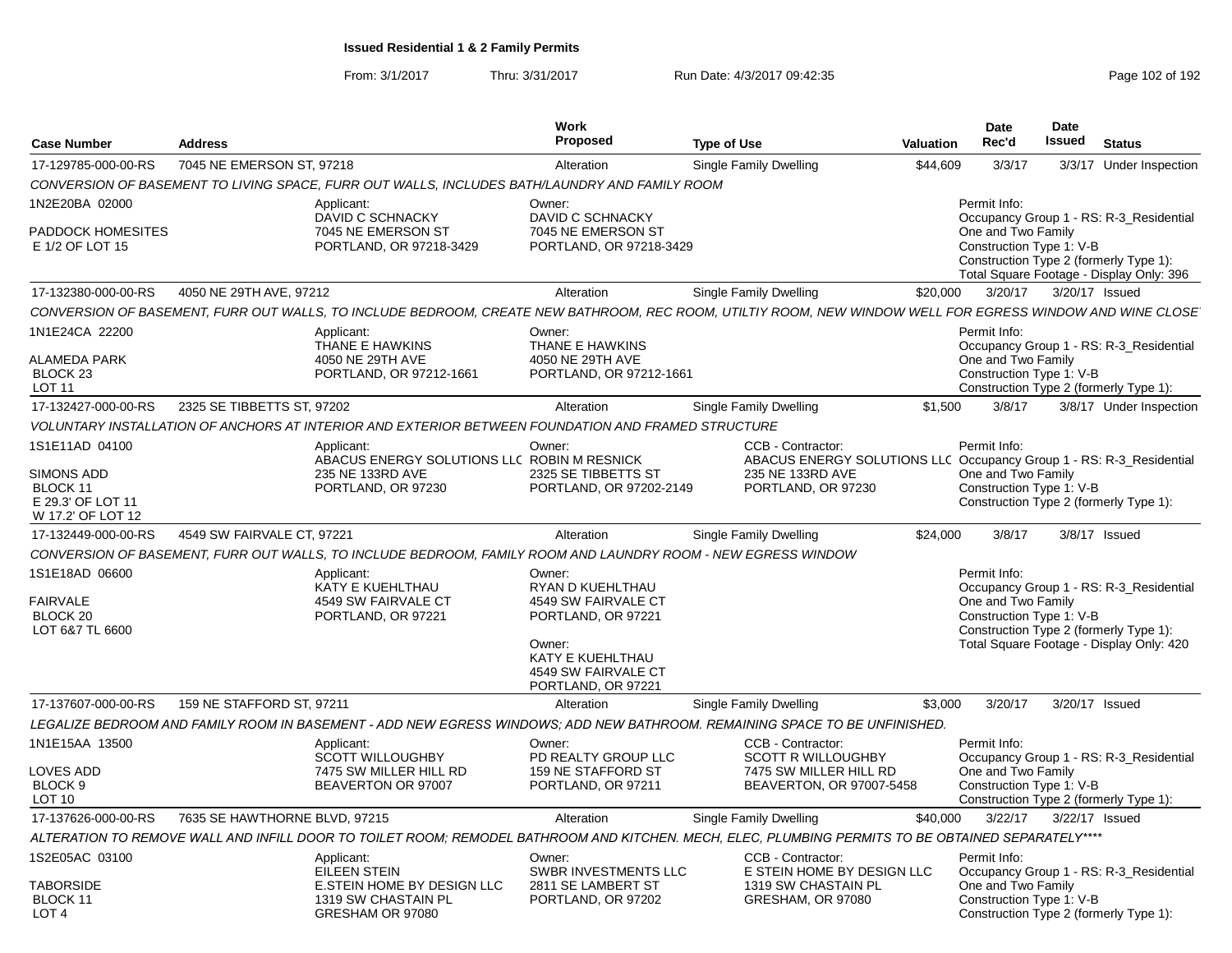| <b>Case Number</b>                                                      | <b>Address</b>                |                                                                                                                                                           | Work<br><b>Proposed</b>                                                                                                                            | <b>Type of Use</b>                                                                                            | Valuation | <b>Date</b><br>Rec'd                                           | <b>Date</b><br><b>Issued</b> | <b>Status</b>                                                                                                                 |
|-------------------------------------------------------------------------|-------------------------------|-----------------------------------------------------------------------------------------------------------------------------------------------------------|----------------------------------------------------------------------------------------------------------------------------------------------------|---------------------------------------------------------------------------------------------------------------|-----------|----------------------------------------------------------------|------------------------------|-------------------------------------------------------------------------------------------------------------------------------|
| 17-129785-000-00-RS                                                     | 7045 NE EMERSON ST, 97218     |                                                                                                                                                           | Alteration                                                                                                                                         | Single Family Dwelling                                                                                        | \$44,609  | 3/3/17                                                         |                              | 3/3/17 Under Inspection                                                                                                       |
|                                                                         |                               | CONVERSION OF BASEMENT TO LIVING SPACE, FURR OUT WALLS, INCLUDES BATH/LAUNDRY AND FAMILY ROOM                                                             |                                                                                                                                                    |                                                                                                               |           |                                                                |                              |                                                                                                                               |
| 1N2E20BA 02000<br>PADDOCK HOMESITES<br>E 1/2 OF LOT 15                  |                               | Applicant:<br>DAVID C SCHNACKY<br>7045 NE EMERSON ST<br>PORTLAND, OR 97218-3429                                                                           | Owner:<br>DAVID C SCHNACKY<br>7045 NE EMERSON ST<br>PORTLAND, OR 97218-3429                                                                        |                                                                                                               |           | Permit Info:<br>One and Two Family<br>Construction Type 1: V-B |                              | Occupancy Group 1 - RS: R-3_Residential                                                                                       |
|                                                                         |                               |                                                                                                                                                           |                                                                                                                                                    |                                                                                                               |           |                                                                |                              | Construction Type 2 (formerly Type 1):<br>Total Square Footage - Display Only: 396                                            |
| 17-132380-000-00-RS                                                     | 4050 NE 29TH AVE, 97212       |                                                                                                                                                           | Alteration                                                                                                                                         | Single Family Dwelling                                                                                        | \$20,000  | 3/20/17                                                        | 3/20/17 Issued               |                                                                                                                               |
|                                                                         |                               | CONVERSION OF BASEMENT, FURR OUT WALLS, TO INCLUDE BEDROOM, CREATE NEW BATHROOM, REC ROOM, UTILTIY ROOM, NEW WINDOW WELL FOR EGRESS WINDOW AND WINE CLOSE |                                                                                                                                                    |                                                                                                               |           |                                                                |                              |                                                                                                                               |
| 1N1E24CA 22200<br><b>ALAMEDA PARK</b>                                   |                               | Applicant:<br>THANE E HAWKINS<br>4050 NE 29TH AVE                                                                                                         | Owner:<br>THANE E HAWKINS<br>4050 NE 29TH AVE                                                                                                      |                                                                                                               |           | Permit Info:<br>One and Two Family                             |                              | Occupancy Group 1 - RS: R-3_Residential                                                                                       |
| BLOCK <sub>23</sub><br><b>LOT 11</b>                                    |                               | PORTLAND, OR 97212-1661                                                                                                                                   | PORTLAND, OR 97212-1661                                                                                                                            |                                                                                                               |           | Construction Type 1: V-B                                       |                              | Construction Type 2 (formerly Type 1):                                                                                        |
| 17-132427-000-00-RS                                                     | 2325 SE TIBBETTS ST, 97202    |                                                                                                                                                           | Alteration                                                                                                                                         | Single Family Dwelling                                                                                        | \$1,500   | 3/8/17                                                         |                              | 3/8/17 Under Inspection                                                                                                       |
|                                                                         |                               | VOLUNTARY INSTALLATION OF ANCHORS AT INTERIOR AND EXTERIOR BETWEEN FOUNDATION AND FRAMED STRUCTURE                                                        |                                                                                                                                                    |                                                                                                               |           |                                                                |                              |                                                                                                                               |
| 1S1E11AD 04100                                                          |                               | Applicant:                                                                                                                                                | Owner:                                                                                                                                             | CCB - Contractor:                                                                                             |           | Permit Info:                                                   |                              |                                                                                                                               |
| <b>SIMONS ADD</b><br>BLOCK 11<br>E 29.3' OF LOT 11<br>W 17.2' OF LOT 12 |                               | ABACUS ENERGY SOLUTIONS LLC ROBIN M RESNICK<br>235 NE 133RD AVE<br>PORTLAND, OR 97230                                                                     | 2325 SE TIBBETTS ST<br>PORTLAND, OR 97202-2149                                                                                                     | ABACUS ENERGY SOLUTIONS LLC Occupancy Group 1 - RS: R-3_Residential<br>235 NE 133RD AVE<br>PORTLAND, OR 97230 |           | One and Two Family<br>Construction Type 1: V-B                 |                              | Construction Type 2 (formerly Type 1):                                                                                        |
| 17-132449-000-00-RS                                                     | 4549 SW FAIRVALE CT. 97221    |                                                                                                                                                           | Alteration                                                                                                                                         | Single Family Dwelling                                                                                        | \$24,000  | 3/8/17                                                         |                              | 3/8/17 Issued                                                                                                                 |
|                                                                         |                               | CONVERSION OF BASEMENT, FURR OUT WALLS, TO INCLUDE BEDROOM, FAMILY ROOM AND LAUNDRY ROOM - NEW EGRESS WINDOW                                              |                                                                                                                                                    |                                                                                                               |           |                                                                |                              |                                                                                                                               |
| 1S1E18AD 06600<br><b>FAIRVALE</b><br>BLOCK 20<br>LOT 6&7 TL 6600        |                               | Applicant:<br>KATY E KUEHLTHAU<br>4549 SW FAIRVALE CT<br>PORTLAND, OR 97221                                                                               | Owner:<br>RYAN D KUEHLTHAU<br>4549 SW FAIRVALE CT<br>PORTLAND, OR 97221<br>Owner:<br>KATY E KUEHLTHAU<br>4549 SW FAIRVALE CT<br>PORTLAND, OR 97221 |                                                                                                               |           | Permit Info:<br>One and Two Family<br>Construction Type 1: V-B |                              | Occupancy Group 1 - RS: R-3_Residential<br>Construction Type 2 (formerly Type 1):<br>Total Square Footage - Display Only: 420 |
| 17-137607-000-00-RS                                                     | 159 NE STAFFORD ST. 97211     |                                                                                                                                                           | Alteration                                                                                                                                         | Single Family Dwelling                                                                                        | \$3.000   | 3/20/17                                                        | 3/20/17 Issued               |                                                                                                                               |
|                                                                         |                               | LEGALIZE BEDROOM AND FAMILY ROOM IN BASEMENT - ADD NEW EGRESS WINDOWS: ADD NEW BATHROOM. REMAINING SPACE TO BE UNFINISHED.                                |                                                                                                                                                    |                                                                                                               |           |                                                                |                              |                                                                                                                               |
| 1N1E15AA 13500                                                          |                               | Applicant:<br><b>SCOTT WILLOUGHBY</b>                                                                                                                     | Owner:<br>PD REALTY GROUP LLC                                                                                                                      | CCB - Contractor:<br>SCOTT R WILLOUGHBY                                                                       |           | Permit Info:                                                   |                              |                                                                                                                               |
| <b>LOVES ADD</b><br>BLOCK <sub>9</sub><br>LOT 10                        |                               | 7475 SW MILLER HILL RD<br>BEAVERTON OR 97007                                                                                                              | 159 NE STAFFORD ST<br>PORTLAND, OR 97211                                                                                                           | 7475 SW MILLER HILL RD<br>BEAVERTON, OR 97007-5458                                                            |           | One and Two Family<br>Construction Type 1: V-B                 |                              | Occupancy Group 1 - RS: R-3_Residential<br>Construction Type 2 (formerly Type 1):                                             |
| 17-137626-000-00-RS                                                     | 7635 SE HAWTHORNE BLVD, 97215 |                                                                                                                                                           | Alteration                                                                                                                                         | Single Family Dwelling                                                                                        | \$40,000  | 3/22/17                                                        | 3/22/17 Issued               |                                                                                                                               |
|                                                                         |                               | ALTERATION TO REMOVE WALL AND INFILL DOOR TO TOILET ROOM: REMODEL BATHROOM AND KITCHEN. MECH, ELEC, PLUMBING PERMITS TO BE OBTAINED SEPARATELY****        |                                                                                                                                                    |                                                                                                               |           |                                                                |                              |                                                                                                                               |
| 1S2E05AC 03100                                                          |                               | Applicant:<br>EILEEN STEIN                                                                                                                                | Owner:<br><b>SWBR INVESTMENTS LLC</b>                                                                                                              | CCB - Contractor:<br>E STEIN HOME BY DESIGN LLC                                                               |           | Permit Info:                                                   |                              | Occupancy Group 1 - RS: R-3_Residential                                                                                       |
| <b>TABORSIDE</b><br>BLOCK 11<br>LOT <sub>4</sub>                        |                               | E.STEIN HOME BY DESIGN LLC<br>1319 SW CHASTAIN PL<br>GRESHAM OR 97080                                                                                     | 2811 SE LAMBERT ST<br>PORTLAND, OR 97202                                                                                                           | 1319 SW CHASTAIN PL<br>GRESHAM, OR 97080                                                                      |           | One and Two Family<br>Construction Type 1: V-B                 |                              | Construction Type 2 (formerly Type 1):                                                                                        |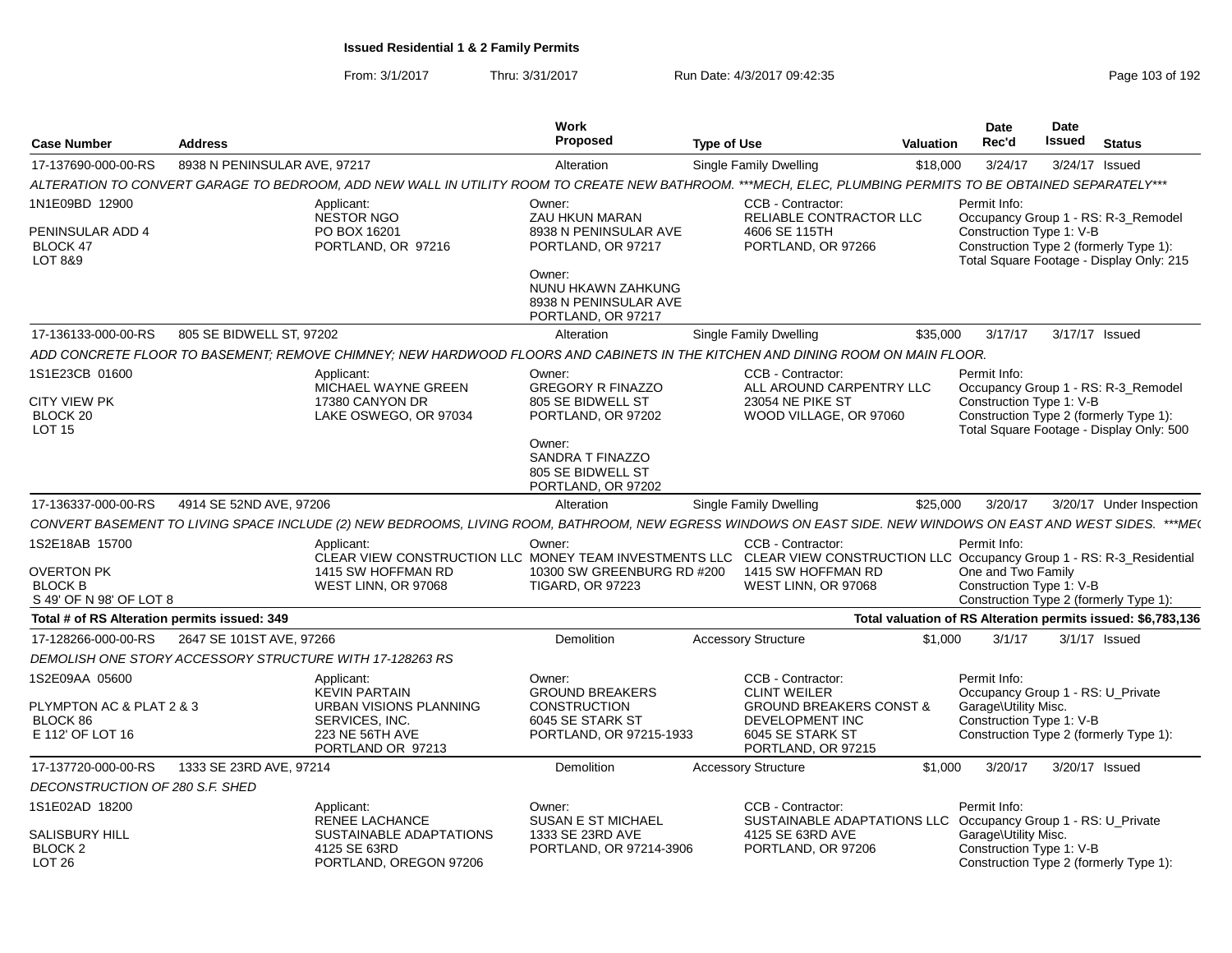|                                                                 | <b>Address</b>               |                                                                                                                                                               | Work<br>Proposed                                                              |                               |                                                                                             | <b>Valuation</b> | Date<br>Rec'd                                     | <b>Date</b><br><b>Issued</b> | <b>Status</b>                                                                                                             |
|-----------------------------------------------------------------|------------------------------|---------------------------------------------------------------------------------------------------------------------------------------------------------------|-------------------------------------------------------------------------------|-------------------------------|---------------------------------------------------------------------------------------------|------------------|---------------------------------------------------|------------------------------|---------------------------------------------------------------------------------------------------------------------------|
| <b>Case Number</b>                                              |                              |                                                                                                                                                               |                                                                               | <b>Type of Use</b>            |                                                                                             |                  |                                                   |                              |                                                                                                                           |
| 17-137690-000-00-RS                                             | 8938 N PENINSULAR AVE, 97217 |                                                                                                                                                               | Alteration                                                                    | <b>Single Family Dwelling</b> |                                                                                             | \$18,000         | 3/24/17                                           |                              | 3/24/17 Issued                                                                                                            |
|                                                                 |                              | ALTERATION TO CONVERT GARAGE TO BEDROOM, ADD NEW WALL IN UTILITY ROOM TO CREATE NEW BATHROOM. ***MECH, ELEC, PLUMBING PERMITS TO BE OBTAINED SEPARATELY***    |                                                                               |                               |                                                                                             |                  |                                                   |                              |                                                                                                                           |
| 1N1E09BD 12900                                                  |                              | Applicant:<br><b>NESTOR NGO</b>                                                                                                                               | Owner:<br>ZAU HKUN MARAN                                                      |                               | CCB - Contractor:<br>RELIABLE CONTRACTOR LLC                                                |                  | Permit Info:                                      |                              | Occupancy Group 1 - RS: R-3_Remodel                                                                                       |
| PENINSULAR ADD 4<br>BLOCK 47<br>LOT 8&9                         |                              | PO BOX 16201<br>PORTLAND, OR 97216                                                                                                                            | 8938 N PENINSULAR AVE<br>PORTLAND, OR 97217                                   |                               | 4606 SE 115TH<br>PORTLAND, OR 97266                                                         |                  | Construction Type 1: V-B                          |                              | Construction Type 2 (formerly Type 1):<br>Total Square Footage - Display Only: 215                                        |
|                                                                 |                              |                                                                                                                                                               | Owner:<br>NUNU HKAWN ZAHKUNG<br>8938 N PENINSULAR AVE<br>PORTLAND, OR 97217   |                               |                                                                                             |                  |                                                   |                              |                                                                                                                           |
| 17-136133-000-00-RS                                             | 805 SE BIDWELL ST, 97202     |                                                                                                                                                               | Alteration                                                                    | Single Family Dwelling        |                                                                                             | \$35,000         | 3/17/17                                           |                              | 3/17/17 Issued                                                                                                            |
|                                                                 |                              | ADD CONCRETE FLOOR TO BASEMENT; REMOVE CHIMNEY; NEW HARDWOOD FLOORS AND CABINETS IN THE KITCHEN AND DINING ROOM ON MAIN FLOOR.                                |                                                                               |                               |                                                                                             |                  |                                                   |                              |                                                                                                                           |
| 1S1E23CB 01600<br>CITY VIEW PK<br>BLOCK 20<br>LOT <sub>15</sub> |                              | Applicant:<br>MICHAEL WAYNE GREEN<br>17380 CANYON DR<br>LAKE OSWEGO, OR 97034                                                                                 | Owner:<br><b>GREGORY R FINAZZO</b><br>805 SE BIDWELL ST<br>PORTLAND, OR 97202 |                               | CCB - Contractor:<br>ALL AROUND CARPENTRY LLC<br>23054 NE PIKE ST<br>WOOD VILLAGE, OR 97060 |                  | Permit Info:<br>Construction Type 1: V-B          |                              | Occupancy Group 1 - RS: R-3_Remodel<br>Construction Type 2 (formerly Type 1):<br>Total Square Footage - Display Only: 500 |
|                                                                 |                              |                                                                                                                                                               | Owner:<br>SANDRA T FINAZZO<br>805 SE BIDWELL ST<br>PORTLAND, OR 97202         |                               |                                                                                             |                  |                                                   |                              |                                                                                                                           |
| 17-136337-000-00-RS                                             | 4914 SE 52ND AVE, 97206      |                                                                                                                                                               | Alteration                                                                    | Single Family Dwelling        |                                                                                             | \$25,000         | 3/20/17                                           |                              | 3/20/17 Under Inspection                                                                                                  |
|                                                                 |                              | CONVERT BASEMENT TO LIVING SPACE INCLUDE (2) NEW BEDROOMS, LIVING ROOM, BATHROOM, NEW EGRESS WINDOWS ON EAST SIDE. NEW WINDOWS ON EAST AND WEST SIDES. ***ME( |                                                                               |                               |                                                                                             |                  |                                                   |                              |                                                                                                                           |
| 1S2E18AB 15700                                                  |                              | Applicant:<br>CLEAR VIEW CONSTRUCTION LLC MONEY TEAM INVESTMENTS LLC CLEAR VIEW CONSTRUCTION LLC Occupancy Group 1 - RS: R-3_Residential                      | Owner:                                                                        |                               | CCB - Contractor:                                                                           |                  | Permit Info:                                      |                              |                                                                                                                           |
| OVERTON PK<br><b>BLOCK B</b><br>S 49' OF N 98' OF LOT 8         |                              | 1415 SW HOFFMAN RD<br>WEST LINN, OR 97068                                                                                                                     | 10300 SW GREENBURG RD #200<br><b>TIGARD, OR 97223</b>                         |                               | 1415 SW HOFFMAN RD<br>WEST LINN, OR 97068                                                   |                  | One and Two Family<br>Construction Type 1: V-B    |                              | Construction Type 2 (formerly Type 1):                                                                                    |
| Total # of RS Alteration permits issued: 349                    |                              |                                                                                                                                                               |                                                                               |                               |                                                                                             |                  |                                                   |                              | Total valuation of RS Alteration permits issued: \$6,783,136                                                              |
| 17-128266-000-00-RS                                             | 2647 SE 101ST AVE, 97266     |                                                                                                                                                               | Demolition                                                                    | <b>Accessory Structure</b>    |                                                                                             | \$1,000          | 3/1/17                                            |                              | $3/1/17$ Issued                                                                                                           |
|                                                                 |                              | DEMOLISH ONE STORY ACCESSORY STRUCTURE WITH 17-128263 RS                                                                                                      |                                                                               |                               |                                                                                             |                  |                                                   |                              |                                                                                                                           |
| 1S2E09AA 05600                                                  |                              | Applicant:<br><b>KEVIN PARTAIN</b>                                                                                                                            | Owner:<br><b>GROUND BREAKERS</b>                                              |                               | CCB - Contractor:<br><b>CLINT WEILER</b>                                                    |                  | Permit Info:<br>Occupancy Group 1 - RS: U_Private |                              |                                                                                                                           |
| PLYMPTON AC & PLAT 2 & 3<br>BLOCK 86                            |                              | URBAN VISIONS PLANNING<br>SERVICES, INC.                                                                                                                      | <b>CONSTRUCTION</b><br>6045 SE STARK ST                                       |                               | <b>GROUND BREAKERS CONST &amp;</b><br>DEVELOPMENT INC                                       |                  | Garage\Utility Misc.<br>Construction Type 1: V-B  |                              |                                                                                                                           |
| E 112' OF LOT 16                                                |                              | 223 NE 56TH AVE<br>PORTLAND OR 97213                                                                                                                          | PORTLAND, OR 97215-1933                                                       |                               | 6045 SE STARK ST<br>PORTLAND, OR 97215                                                      |                  |                                                   |                              | Construction Type 2 (formerly Type 1):                                                                                    |
| 17-137720-000-00-RS                                             | 1333 SE 23RD AVE, 97214      |                                                                                                                                                               | Demolition                                                                    | <b>Accessory Structure</b>    |                                                                                             | \$1,000          | 3/20/17                                           |                              | 3/20/17 Issued                                                                                                            |
| DECONSTRUCTION OF 280 S.F. SHED                                 |                              |                                                                                                                                                               |                                                                               |                               |                                                                                             |                  |                                                   |                              |                                                                                                                           |
| 1S1E02AD 18200                                                  |                              | Applicant:<br><b>RENEE LACHANCE</b>                                                                                                                           | Owner:<br><b>SUSAN E ST MICHAEL</b>                                           |                               | CCB - Contractor:<br>SUSTAINABLE ADAPTATIONS LLC Occupancy Group 1 - RS: U Private          |                  | Permit Info:                                      |                              |                                                                                                                           |
| SALISBURY HILL<br>BLOCK <sub>2</sub><br>LOT <sub>26</sub>       |                              | SUSTAINABLE ADAPTATIONS<br>4125 SE 63RD<br>PORTLAND, OREGON 97206                                                                                             | 1333 SE 23RD AVE<br>PORTLAND, OR 97214-3906                                   |                               | 4125 SE 63RD AVE<br>PORTLAND, OR 97206                                                      |                  | Garage\Utility Misc.<br>Construction Type 1: V-B  |                              | Construction Type 2 (formerly Type 1):                                                                                    |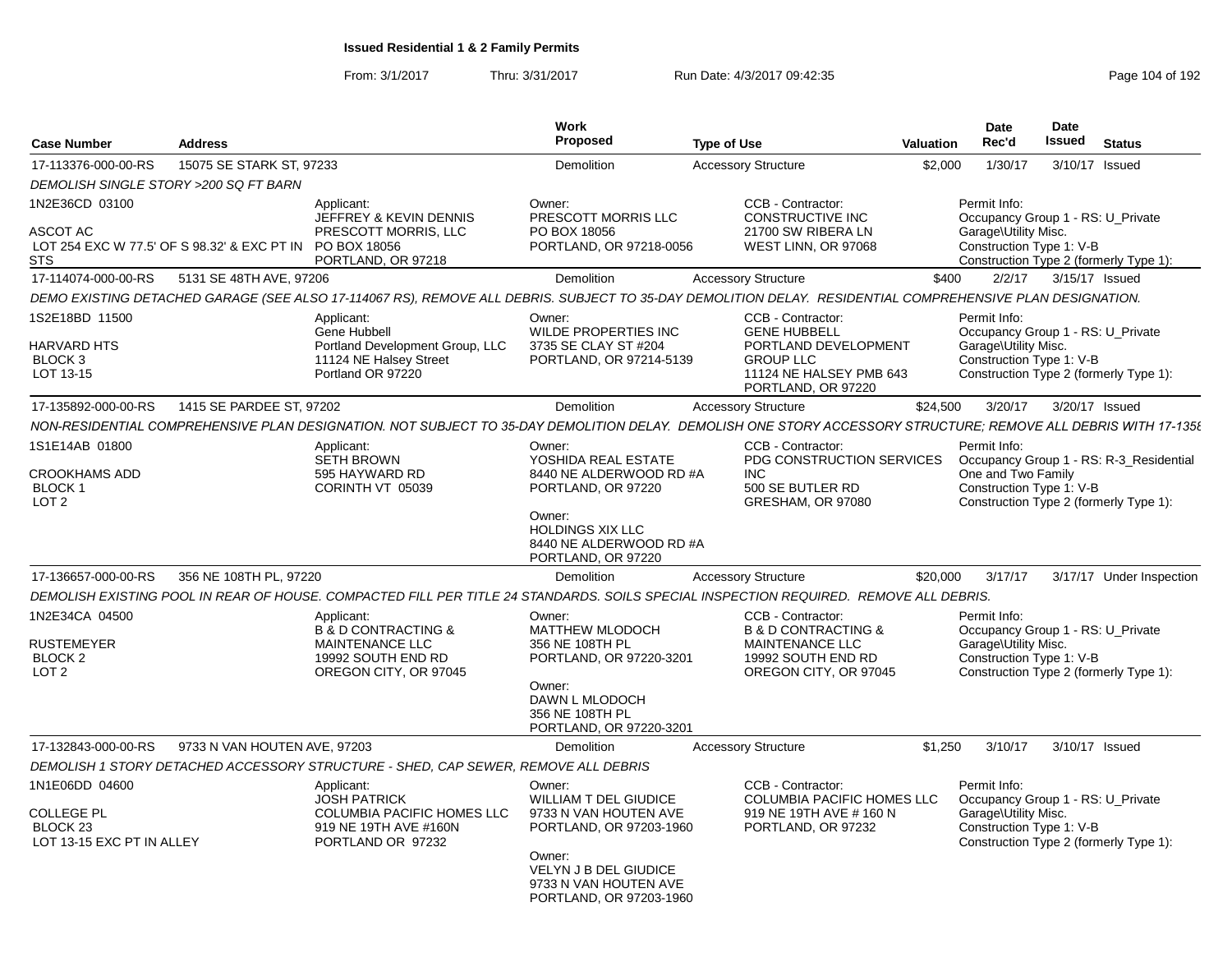| <b>Case Number</b>                                                               | <b>Address</b>               |                                                                                                                                                                | <b>Work</b><br>Proposed                                                                                                                                                           | <b>Type of Use</b>                                                                                                                    | <b>Valuation</b> | Date<br>Rec'd                                                                                         | <b>Date</b><br><b>Issued</b> | <b>Status</b>                                                                     |
|----------------------------------------------------------------------------------|------------------------------|----------------------------------------------------------------------------------------------------------------------------------------------------------------|-----------------------------------------------------------------------------------------------------------------------------------------------------------------------------------|---------------------------------------------------------------------------------------------------------------------------------------|------------------|-------------------------------------------------------------------------------------------------------|------------------------------|-----------------------------------------------------------------------------------|
| 17-113376-000-00-RS                                                              | 15075 SE STARK ST, 97233     |                                                                                                                                                                | <b>Demolition</b>                                                                                                                                                                 | <b>Accessory Structure</b>                                                                                                            | \$2.000          | 1/30/17                                                                                               | 3/10/17                      | Issued                                                                            |
| DEMOLISH SINGLE STORY >200 SQ FT BARN                                            |                              |                                                                                                                                                                |                                                                                                                                                                                   |                                                                                                                                       |                  |                                                                                                       |                              |                                                                                   |
| 1N2E36CD 03100<br>ASCOT AC<br>LOT 254 EXC W 77.5' OF S 98.32' & EXC PT IN<br>STS |                              | Applicant:<br>JEFFREY & KEVIN DENNIS<br>PRESCOTT MORRIS, LLC<br>PO BOX 18056<br>PORTLAND, OR 97218                                                             | Owner:<br>PRESCOTT MORRIS LLC<br>PO BOX 18056<br>PORTLAND, OR 97218-0056                                                                                                          | CCB - Contractor:<br>CONSTRUCTIVE INC<br>21700 SW RIBERA LN<br>WEST LINN, OR 97068                                                    |                  | Permit Info:<br>Occupancy Group 1 - RS: U Private<br>Garage\Utility Misc.<br>Construction Type 1: V-B |                              | Construction Type 2 (formerly Type 1):                                            |
| 17-114074-000-00-RS                                                              | 5131 SE 48TH AVE, 97206      |                                                                                                                                                                | Demolition                                                                                                                                                                        | <b>Accessory Structure</b>                                                                                                            | \$400            | 2/2/17                                                                                                |                              | 3/15/17 Issued                                                                    |
|                                                                                  |                              | DEMO EXISTING DETACHED GARAGE (SEE ALSO 17-114067 RS), REMOVE ALL DEBRIS. SUBJECT TO 35-DAY DEMOLITION DELAY. RESIDENTIAL COMPREHENSIVE PLAN DESIGNATION.      |                                                                                                                                                                                   |                                                                                                                                       |                  |                                                                                                       |                              |                                                                                   |
| 1S2E18BD 11500<br>HARVARD HTS<br>BLOCK 3<br>LOT 13-15                            |                              | Applicant:<br>Gene Hubbell<br>Portland Development Group, LLC<br>11124 NE Halsey Street<br>Portland OR 97220                                                   | Owner:<br>WILDE PROPERTIES INC<br>3735 SE CLAY ST #204<br>PORTLAND, OR 97214-5139                                                                                                 | CCB - Contractor:<br><b>GENE HUBBELL</b><br>PORTLAND DEVELOPMENT<br><b>GROUP LLC</b><br>11124 NE HALSEY PMB 643<br>PORTLAND, OR 97220 |                  | Permit Info:<br>Occupancy Group 1 - RS: U Private<br>Garage\Utility Misc.<br>Construction Type 1: V-B |                              | Construction Type 2 (formerly Type 1):                                            |
| 17-135892-000-00-RS                                                              | 1415 SE PARDEE ST, 97202     |                                                                                                                                                                | <b>Demolition</b>                                                                                                                                                                 | <b>Accessory Structure</b>                                                                                                            | \$24,500         | 3/20/17                                                                                               |                              | 3/20/17 Issued                                                                    |
|                                                                                  |                              | NON-RESIDENTIAL COMPREHENSIVE PLAN DESIGNATION. NOT SUBJECT TO 35-DAY DEMOLITION DELAY. DEMOLISH ONE STORY ACCESSORY STRUCTURE; REMOVE ALL DEBRIS WITH 17-1358 |                                                                                                                                                                                   |                                                                                                                                       |                  |                                                                                                       |                              |                                                                                   |
| 1S1E14AB 01800<br>CROOKHAMS ADD<br>BLOCK 1<br>LOT <sub>2</sub>                   |                              | Applicant:<br><b>SETH BROWN</b><br>595 HAYWARD RD<br>CORINTH VT 05039                                                                                          | Owner:<br>YOSHIDA REAL ESTATE<br>8440 NE ALDERWOOD RD #A<br>PORTLAND, OR 97220<br>Owner:<br><b>HOLDINGS XIX LLC</b><br>8440 NE ALDERWOOD RD #A<br>PORTLAND, OR 97220              | CCB - Contractor:<br>PDG CONSTRUCTION SERVICES<br><b>INC</b><br>500 SE BUTLER RD<br>GRESHAM, OR 97080                                 |                  | Permit Info:<br>One and Two Family<br>Construction Type 1: V-B                                        |                              | Occupancy Group 1 - RS: R-3 Residential<br>Construction Type 2 (formerly Type 1): |
| 17-136657-000-00-RS                                                              | 356 NE 108TH PL, 97220       |                                                                                                                                                                | Demolition                                                                                                                                                                        | <b>Accessory Structure</b>                                                                                                            | \$20,000         | 3/17/17                                                                                               |                              | 3/17/17 Under Inspection                                                          |
|                                                                                  |                              | DEMOLISH EXISTING POOL IN REAR OF HOUSE. COMPACTED FILL PER TITLE 24 STANDARDS. SOILS SPECIAL INSPECTION REQUIRED. REMOVE ALL DEBRIS.                          |                                                                                                                                                                                   |                                                                                                                                       |                  |                                                                                                       |                              |                                                                                   |
| 1N2E34CA 04500<br>RUSTEMEYER<br>BLOCK 2<br>LOT <sub>2</sub>                      |                              | Applicant:<br><b>B &amp; D CONTRACTING &amp;</b><br>MAINTENANCE LLC<br>19992 SOUTH END RD<br>OREGON CITY, OR 97045                                             | Owner:<br><b>MATTHEW MLODOCH</b><br>356 NE 108TH PL<br>PORTLAND, OR 97220-3201<br>Owner:<br>DAWN L MLODOCH<br>356 NE 108TH PL<br>PORTLAND, OR 97220-3201                          | CCB - Contractor:<br><b>B &amp; D CONTRACTING &amp;</b><br><b>MAINTENANCE LLC</b><br>19992 SOUTH END RD<br>OREGON CITY, OR 97045      |                  | Permit Info:<br>Occupancy Group 1 - RS: U_Private<br>Garage\Utility Misc.<br>Construction Type 1: V-B |                              | Construction Type 2 (formerly Type 1):                                            |
| 17-132843-000-00-RS                                                              | 9733 N VAN HOUTEN AVE, 97203 |                                                                                                                                                                | Demolition                                                                                                                                                                        | <b>Accessory Structure</b>                                                                                                            | \$1,250          | 3/10/17                                                                                               |                              | 3/10/17 Issued                                                                    |
|                                                                                  |                              | DEMOLISH 1 STORY DETACHED ACCESSORY STRUCTURE - SHED, CAP SEWER, REMOVE ALL DEBRIS                                                                             |                                                                                                                                                                                   |                                                                                                                                       |                  |                                                                                                       |                              |                                                                                   |
| 1N1E06DD 04600<br>COLLEGE PL<br>BLOCK <sub>23</sub><br>LOT 13-15 EXC PT IN ALLEY |                              | Applicant:<br><b>JOSH PATRICK</b><br>COLUMBIA PACIFIC HOMES LLC<br>919 NE 19TH AVE #160N<br>PORTLAND OR 97232                                                  | Owner:<br><b>WILLIAM T DEL GIUDICE</b><br>9733 N VAN HOUTEN AVE<br>PORTLAND, OR 97203-1960<br>Owner:<br>VELYN J B DEL GIUDICE<br>9733 N VAN HOUTEN AVE<br>PORTLAND, OR 97203-1960 | CCB - Contractor:<br>COLUMBIA PACIFIC HOMES LLC<br>919 NE 19TH AVE # 160 N<br>PORTLAND, OR 97232                                      |                  | Permit Info:<br>Occupancy Group 1 - RS: U_Private<br>Garage\Utility Misc.<br>Construction Type 1: V-B |                              | Construction Type 2 (formerly Type 1):                                            |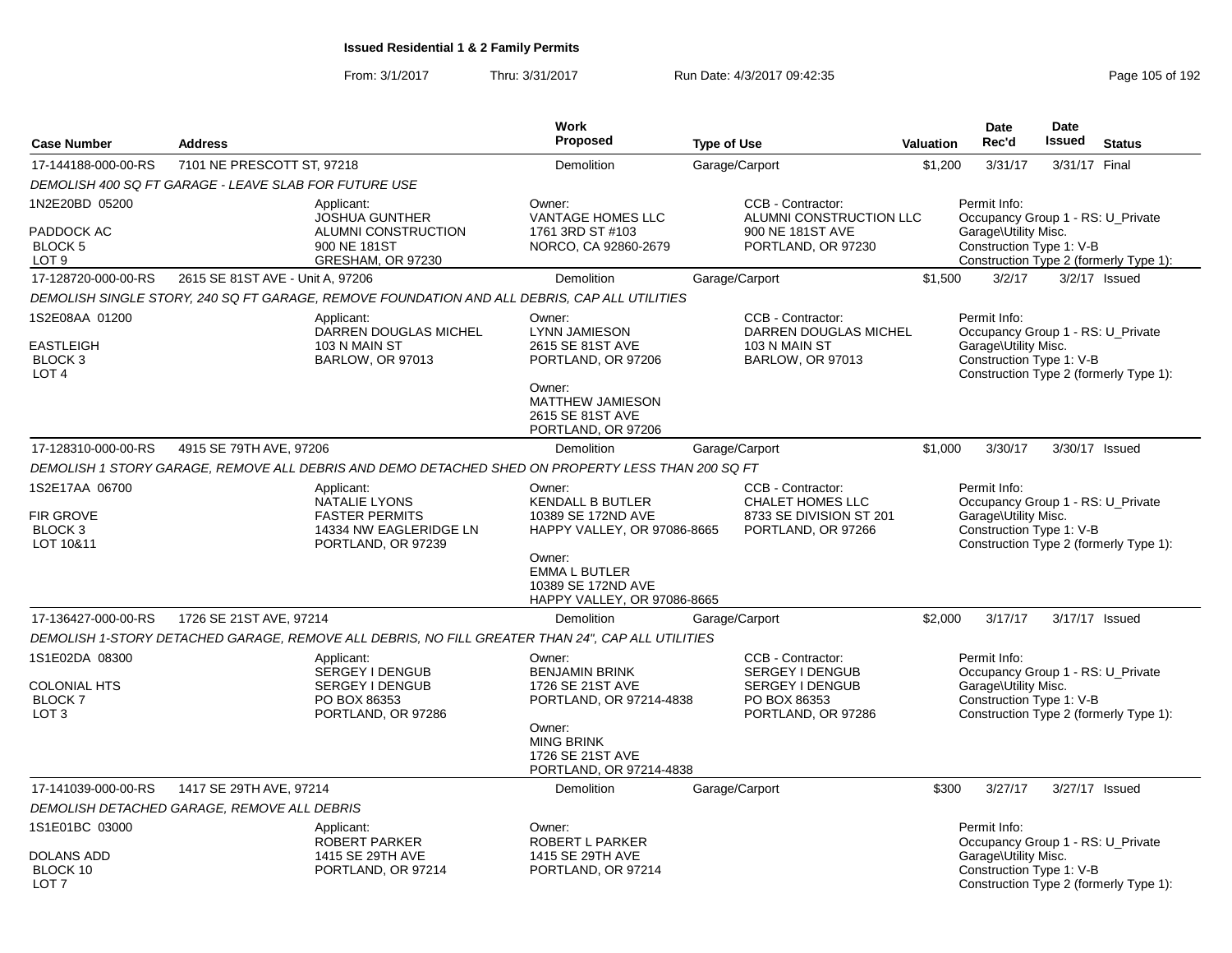From: 3/1/2017Thru: 3/31/2017 Run Date: 4/3/2017 09:42:35 Research 2010 192

| <b>Case Number</b>                                                         | <b>Address</b>                                                                                              |                                                                                                   | Work<br>Proposed                                                                                 | <b>Type of Use</b>                                                                                   | <b>Valuation</b> | <b>Date</b><br>Rec'd                                                                                  | <b>Date</b><br><b>Issued</b> | <b>Status</b>                          |
|----------------------------------------------------------------------------|-------------------------------------------------------------------------------------------------------------|---------------------------------------------------------------------------------------------------|--------------------------------------------------------------------------------------------------|------------------------------------------------------------------------------------------------------|------------------|-------------------------------------------------------------------------------------------------------|------------------------------|----------------------------------------|
| 17-144188-000-00-RS                                                        | 7101 NE PRESCOTT ST, 97218                                                                                  |                                                                                                   | Demolition                                                                                       | Garage/Carport                                                                                       | \$1,200          | 3/31/17                                                                                               | 3/31/17 Final                |                                        |
|                                                                            | DEMOLISH 400 SQ FT GARAGE - LEAVE SLAB FOR FUTURE USE                                                       |                                                                                                   |                                                                                                  |                                                                                                      |                  |                                                                                                       |                              |                                        |
| 1N2E20BD 05200<br>PADDOCK AC<br>BLOCK 5<br>LOT <sub>9</sub>                |                                                                                                             | Applicant:<br><b>JOSHUA GUNTHER</b><br>ALUMNI CONSTRUCTION<br>900 NE 181ST<br>GRESHAM, OR 97230   | Owner:<br><b>VANTAGE HOMES LLC</b><br>1761 3RD ST #103<br>NORCO, CA 92860-2679                   | CCB - Contractor:<br>ALUMNI CONSTRUCTION LLC<br>900 NE 181ST AVE<br>PORTLAND, OR 97230               |                  | Permit Info:<br>Occupancy Group 1 - RS: U_Private<br>Garage\Utility Misc.<br>Construction Type 1: V-B |                              | Construction Type 2 (formerly Type 1): |
| 17-128720-000-00-RS                                                        | 2615 SE 81ST AVE - Unit A, 97206                                                                            |                                                                                                   | <b>Demolition</b>                                                                                | Garage/Carport                                                                                       | \$1,500          | 3/2/17                                                                                                |                              | $3/2/17$ Issued                        |
|                                                                            |                                                                                                             | DEMOLISH SINGLE STORY, 240 SQ FT GARAGE, REMOVE FOUNDATION AND ALL DEBRIS, CAP ALL UTILITIES      |                                                                                                  |                                                                                                      |                  |                                                                                                       |                              |                                        |
| 1S2E08AA 01200<br><b>EASTLEIGH</b><br>BLOCK 3<br>LOT <sub>4</sub>          |                                                                                                             | Applicant:<br>DARREN DOUGLAS MICHEL<br>103 N MAIN ST<br><b>BARLOW, OR 97013</b>                   | Owner:<br><b>LYNN JAMIESON</b><br>2615 SE 81ST AVE<br>PORTLAND, OR 97206<br>Owner:               | CCB - Contractor:<br>DARREN DOUGLAS MICHEL<br>103 N MAIN ST<br><b>BARLOW, OR 97013</b>               |                  | Permit Info:<br>Occupancy Group 1 - RS: U_Private<br>Garage\Utility Misc.<br>Construction Type 1: V-B |                              | Construction Type 2 (formerly Type 1): |
|                                                                            |                                                                                                             |                                                                                                   | MATTHEW JAMIESON<br>2615 SE 81ST AVE<br>PORTLAND, OR 97206                                       |                                                                                                      |                  |                                                                                                       |                              |                                        |
| 17-128310-000-00-RS                                                        | 4915 SE 79TH AVE, 97206                                                                                     |                                                                                                   | Demolition                                                                                       | Garage/Carport                                                                                       | \$1,000          | 3/30/17                                                                                               |                              | 3/30/17 Issued                         |
|                                                                            |                                                                                                             | DEMOLISH 1 STORY GARAGE, REMOVE ALL DEBRIS AND DEMO DETACHED SHED ON PROPERTY LESS THAN 200 SQ FT |                                                                                                  |                                                                                                      |                  |                                                                                                       |                              |                                        |
| 1S2E17AA 06700<br>FIR GROVE<br>BLOCK 3<br>LOT 10&11                        | Applicant:<br><b>NATALIE LYONS</b><br><b>FASTER PERMITS</b><br>14334 NW EAGLERIDGE LN<br>PORTLAND, OR 97239 |                                                                                                   | Owner:<br><b>KENDALL B BUTLER</b><br>10389 SE 172ND AVE<br>HAPPY VALLEY, OR 97086-8665<br>Owner: | <b>CCB - Contractor:</b><br><b>CHALET HOMES LLC</b><br>8733 SE DIVISION ST 201<br>PORTLAND, OR 97266 |                  | Permit Info:<br>Occupancy Group 1 - RS: U_Private<br>Garage\Utility Misc.<br>Construction Type 1: V-B |                              | Construction Type 2 (formerly Type 1): |
|                                                                            |                                                                                                             |                                                                                                   | <b>EMMA L BUTLER</b><br>10389 SE 172ND AVE<br>HAPPY VALLEY, OR 97086-8665                        |                                                                                                      |                  |                                                                                                       |                              |                                        |
| 17-136427-000-00-RS                                                        | 1726 SE 21ST AVE, 97214                                                                                     |                                                                                                   | Demolition                                                                                       | Garage/Carport                                                                                       | \$2.000          | 3/17/17                                                                                               |                              | 3/17/17 Issued                         |
|                                                                            |                                                                                                             | DEMOLISH 1-STORY DETACHED GARAGE, REMOVE ALL DEBRIS, NO FILL GREATER THAN 24", CAP ALL UTILITIES  |                                                                                                  |                                                                                                      |                  |                                                                                                       |                              |                                        |
| 1S1E02DA 08300<br><b>COLONIAL HTS</b><br><b>BLOCK7</b><br>LOT <sub>3</sub> |                                                                                                             | Applicant:<br>SERGEY I DENGUB<br><b>SERGEY I DENGUB</b><br>PO BOX 86353<br>PORTLAND, OR 97286     | Owner:<br><b>BENJAMIN BRINK</b><br>1726 SE 21ST AVE<br>PORTLAND, OR 97214-4838<br>Owner:         | CCB - Contractor:<br>SERGEY I DENGUB<br>SERGEY I DENGUB<br>PO BOX 86353<br>PORTLAND, OR 97286        |                  | Permit Info:<br>Occupancy Group 1 - RS: U Private<br>Garage\Utility Misc.<br>Construction Type 1: V-B |                              | Construction Type 2 (formerly Type 1): |
|                                                                            |                                                                                                             |                                                                                                   | <b>MING BRINK</b><br>1726 SE 21ST AVE<br>PORTLAND, OR 97214-4838                                 |                                                                                                      |                  |                                                                                                       |                              |                                        |
| 17-141039-000-00-RS                                                        | 1417 SE 29TH AVE, 97214                                                                                     |                                                                                                   | <b>Demolition</b>                                                                                | Garage/Carport                                                                                       | \$300            | 3/27/17                                                                                               |                              | 3/27/17 Issued                         |
|                                                                            | DEMOLISH DETACHED GARAGE, REMOVE ALL DEBRIS                                                                 |                                                                                                   |                                                                                                  |                                                                                                      |                  |                                                                                                       |                              |                                        |
| 1S1E01BC 03000<br><b>DOLANS ADD</b>                                        |                                                                                                             | Applicant:<br><b>ROBERT PARKER</b><br>1415 SE 29TH AVE                                            | Owner:<br>ROBERT L PARKER<br>1415 SE 29TH AVE                                                    |                                                                                                      |                  | Permit Info:<br>Occupancy Group 1 - RS: U_Private<br>Garage\Utility Misc.                             |                              |                                        |
| BLOCK 10<br>LOT <sub>7</sub>                                               |                                                                                                             | PORTLAND, OR 97214                                                                                | PORTLAND, OR 97214                                                                               |                                                                                                      |                  | Construction Type 1: V-B                                                                              |                              | Construction Type 2 (formerly Type 1): |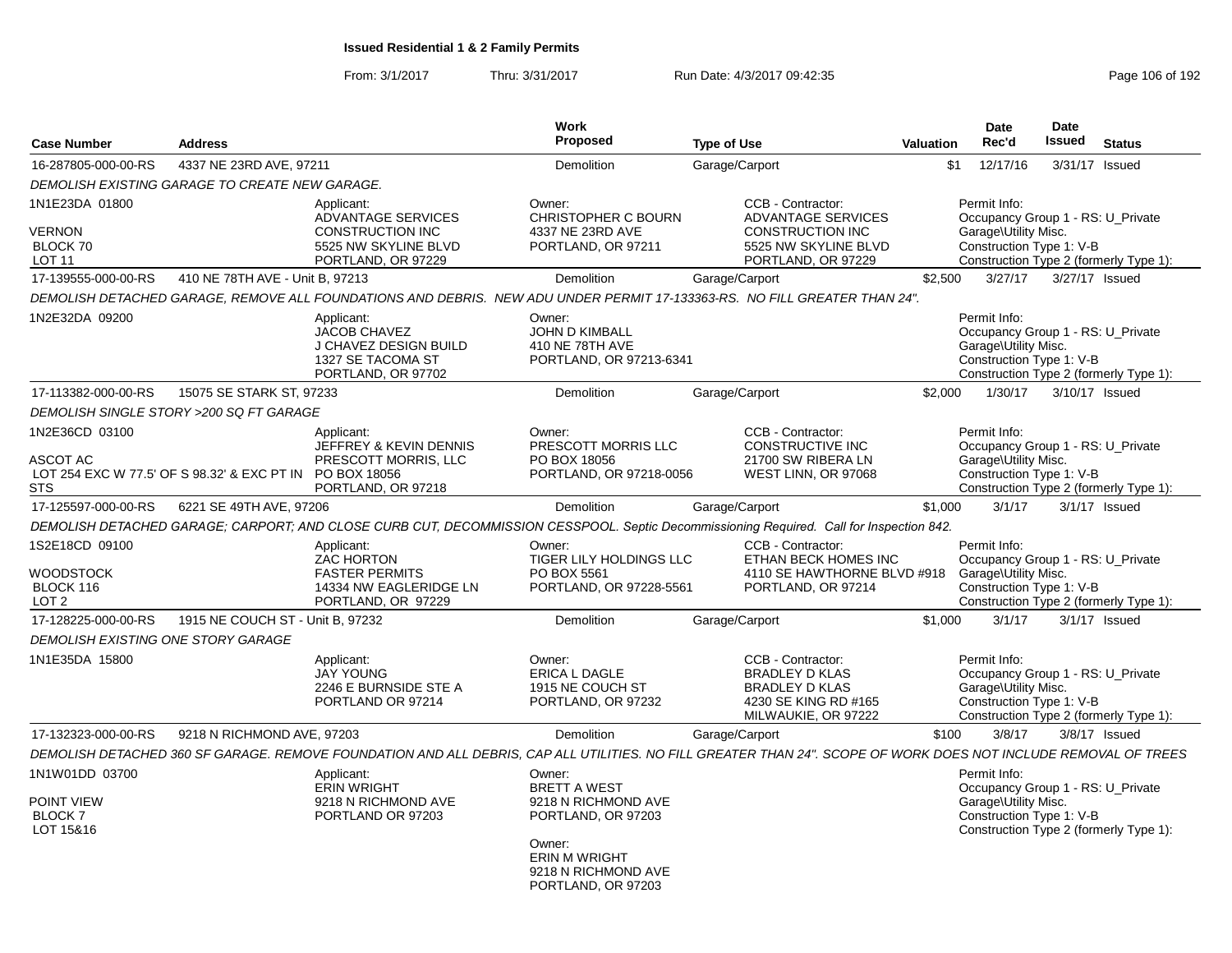| <b>Case Number</b>                                                  | <b>Work</b><br><b>Proposed</b><br><b>Address</b><br><b>Type of Use</b> |                                                                                                                  |                                                                                                                                                           | Valuation                                                                                                                                                       | <b>Date</b><br>Rec'd | <b>Date</b><br><b>Issued</b>                                                                          | <b>Status</b> |                                        |
|---------------------------------------------------------------------|------------------------------------------------------------------------|------------------------------------------------------------------------------------------------------------------|-----------------------------------------------------------------------------------------------------------------------------------------------------------|-----------------------------------------------------------------------------------------------------------------------------------------------------------------|----------------------|-------------------------------------------------------------------------------------------------------|---------------|----------------------------------------|
| 16-287805-000-00-RS                                                 | 4337 NE 23RD AVE, 97211                                                |                                                                                                                  | Demolition                                                                                                                                                | Garage/Carport                                                                                                                                                  | \$1                  | 12/17/16                                                                                              | 3/31/17       | Issued                                 |
|                                                                     | DEMOLISH EXISTING GARAGE TO CREATE NEW GARAGE.                         |                                                                                                                  |                                                                                                                                                           |                                                                                                                                                                 |                      |                                                                                                       |               |                                        |
| 1N1E23DA 01800<br><b>VERNON</b><br>BLOCK 70<br>LOT <sub>11</sub>    |                                                                        | Applicant:<br><b>ADVANTAGE SERVICES</b><br><b>CONSTRUCTION INC</b><br>5525 NW SKYLINE BLVD<br>PORTLAND, OR 97229 | Owner:<br><b>CHRISTOPHER C BOURN</b><br>4337 NE 23RD AVE<br>PORTLAND, OR 97211                                                                            | CCB - Contractor:<br><b>ADVANTAGE SERVICES</b><br><b>CONSTRUCTION INC</b><br>5525 NW SKYLINE BLVD<br>PORTLAND, OR 97229                                         |                      | Permit Info:<br>Occupancy Group 1 - RS: U Private<br>Garage\Utility Misc.<br>Construction Type 1: V-B |               | Construction Type 2 (formerly Type 1): |
| 17-139555-000-00-RS                                                 | 410 NE 78TH AVE - Unit B. 97213                                        |                                                                                                                  | Demolition                                                                                                                                                | Garage/Carport                                                                                                                                                  | \$2,500              | 3/27/17                                                                                               |               | 3/27/17 Issued                         |
|                                                                     |                                                                        |                                                                                                                  |                                                                                                                                                           | DEMOLISH DETACHED GARAGE, REMOVE ALL FOUNDATIONS AND DEBRIS. NEW ADU UNDER PERMIT 17-133363-RS. NO FILL GREATER THAN 24".                                       |                      |                                                                                                       |               |                                        |
| 1N2E32DA 09200                                                      |                                                                        | Applicant:<br>JACOB CHAVEZ<br>J CHAVEZ DESIGN BUILD<br>1327 SE TACOMA ST<br>PORTLAND, OR 97702                   | Owner:<br><b>JOHN D KIMBALL</b><br>410 NE 78TH AVE<br>PORTLAND, OR 97213-6341                                                                             |                                                                                                                                                                 |                      | Permit Info:<br>Occupancy Group 1 - RS: U Private<br>Garage\Utility Misc.<br>Construction Type 1: V-B |               | Construction Type 2 (formerly Type 1): |
| 17-113382-000-00-RS                                                 | 15075 SE STARK ST, 97233                                               |                                                                                                                  | Demolition                                                                                                                                                | Garage/Carport                                                                                                                                                  | \$2,000              | 1/30/17                                                                                               |               | 3/10/17 Issued                         |
|                                                                     | DEMOLISH SINGLE STORY >200 SQ FT GARAGE                                |                                                                                                                  |                                                                                                                                                           |                                                                                                                                                                 |                      |                                                                                                       |               |                                        |
| 1N2E36CD 03100<br>ASCOT AC<br>STS                                   | LOT 254 EXC W 77.5' OF S 98.32' & EXC PT IN PO BOX 18056               | Applicant:<br>JEFFREY & KEVIN DENNIS<br>PRESCOTT MORRIS, LLC<br>PORTLAND, OR 97218                               | Owner:<br>PRESCOTT MORRIS LLC<br>PO BOX 18056<br>PORTLAND, OR 97218-0056                                                                                  | CCB - Contractor:<br><b>CONSTRUCTIVE INC</b><br>21700 SW RIBERA LN<br>WEST LINN, OR 97068                                                                       |                      | Permit Info:<br>Occupancy Group 1 - RS: U Private<br>Garage\Utility Misc.<br>Construction Type 1: V-B |               | Construction Type 2 (formerly Type 1): |
| 17-125597-000-00-RS                                                 | 6221 SE 49TH AVE, 97206                                                |                                                                                                                  | Demolition                                                                                                                                                | Garage/Carport                                                                                                                                                  | \$1,000              | 3/1/17                                                                                                |               | $3/1/17$ Issued                        |
|                                                                     |                                                                        |                                                                                                                  |                                                                                                                                                           | DEMOLISH DETACHED GARAGE; CARPORT; AND CLOSE CURB CUT, DECOMMISSION CESSPOOL. Septic Decommissioning Required. Call for Inspection 842.                         |                      |                                                                                                       |               |                                        |
| 1S2E18CD 09100<br><b>WOODSTOCK</b><br>BLOCK 116<br>LOT <sub>2</sub> |                                                                        | Applicant:<br>ZAC HORTON<br><b>FASTER PERMITS</b><br>14334 NW EAGLERIDGE LN<br>PORTLAND, OR 97229                | Owner:<br>TIGER LILY HOLDINGS LLC<br>PO BOX 5561<br>PORTLAND, OR 97228-5561                                                                               | CCB - Contractor:<br>ETHAN BECK HOMES INC<br>4110 SE HAWTHORNE BLVD #918<br>PORTLAND, OR 97214                                                                  |                      | Permit Info:<br>Occupancy Group 1 - RS: U_Private<br>Garage\Utility Misc.<br>Construction Type 1: V-B |               | Construction Type 2 (formerly Type 1): |
| 17-128225-000-00-RS                                                 | 1915 NE COUCH ST - Unit B, 97232                                       |                                                                                                                  | Demolition                                                                                                                                                | Garage/Carport                                                                                                                                                  | \$1,000              | 3/1/17                                                                                                |               | $3/1/17$ Issued                        |
| <b>DEMOLISH EXISTING ONE STORY GARAGE</b>                           |                                                                        |                                                                                                                  |                                                                                                                                                           |                                                                                                                                                                 |                      |                                                                                                       |               |                                        |
| 1N1E35DA 15800                                                      |                                                                        | Applicant:<br><b>JAY YOUNG</b><br>2246 E BURNSIDE STE A<br>PORTLAND OR 97214                                     | Owner:<br><b>ERICA L DAGLE</b><br>1915 NE COUCH ST<br>PORTLAND, OR 97232                                                                                  | CCB - Contractor:<br><b>BRADLEY D KLAS</b><br><b>BRADLEY D KLAS</b><br>4230 SE KING RD #165<br>MILWAUKIE, OR 97222                                              |                      | Permit Info:<br>Occupancy Group 1 - RS: U Private<br>Garage\Utility Misc.<br>Construction Type 1: V-B |               | Construction Type 2 (formerly Type 1): |
| 17-132323-000-00-RS                                                 | 9218 N RICHMOND AVE, 97203                                             |                                                                                                                  | Demolition                                                                                                                                                | Garage/Carport                                                                                                                                                  | \$100                | 3/8/17                                                                                                |               | $3/8/17$ Issued                        |
|                                                                     |                                                                        |                                                                                                                  |                                                                                                                                                           | DEMOLISH DETACHED 360 SF GARAGE. REMOVE FOUNDATION AND ALL DEBRIS, CAP ALL UTILITIES. NO FILL GREATER THAN 24". SCOPE OF WORK DOES NOT INCLUDE REMOVAL OF TREES |                      |                                                                                                       |               |                                        |
| 1N1W01DD 03700<br>POINT VIEW<br><b>BLOCK7</b><br>LOT 15&16          |                                                                        | Applicant:<br><b>ERIN WRIGHT</b><br>9218 N RICHMOND AVE<br>PORTLAND OR 97203                                     | Owner:<br><b>BRETT A WEST</b><br>9218 N RICHMOND AVE<br>PORTLAND, OR 97203<br>Owner:<br><b>ERIN M WRIGHT</b><br>9218 N RICHMOND AVE<br>PORTLAND, OR 97203 |                                                                                                                                                                 |                      | Permit Info:<br>Occupancy Group 1 - RS: U Private<br>Garage\Utility Misc.<br>Construction Type 1: V-B |               | Construction Type 2 (formerly Type 1): |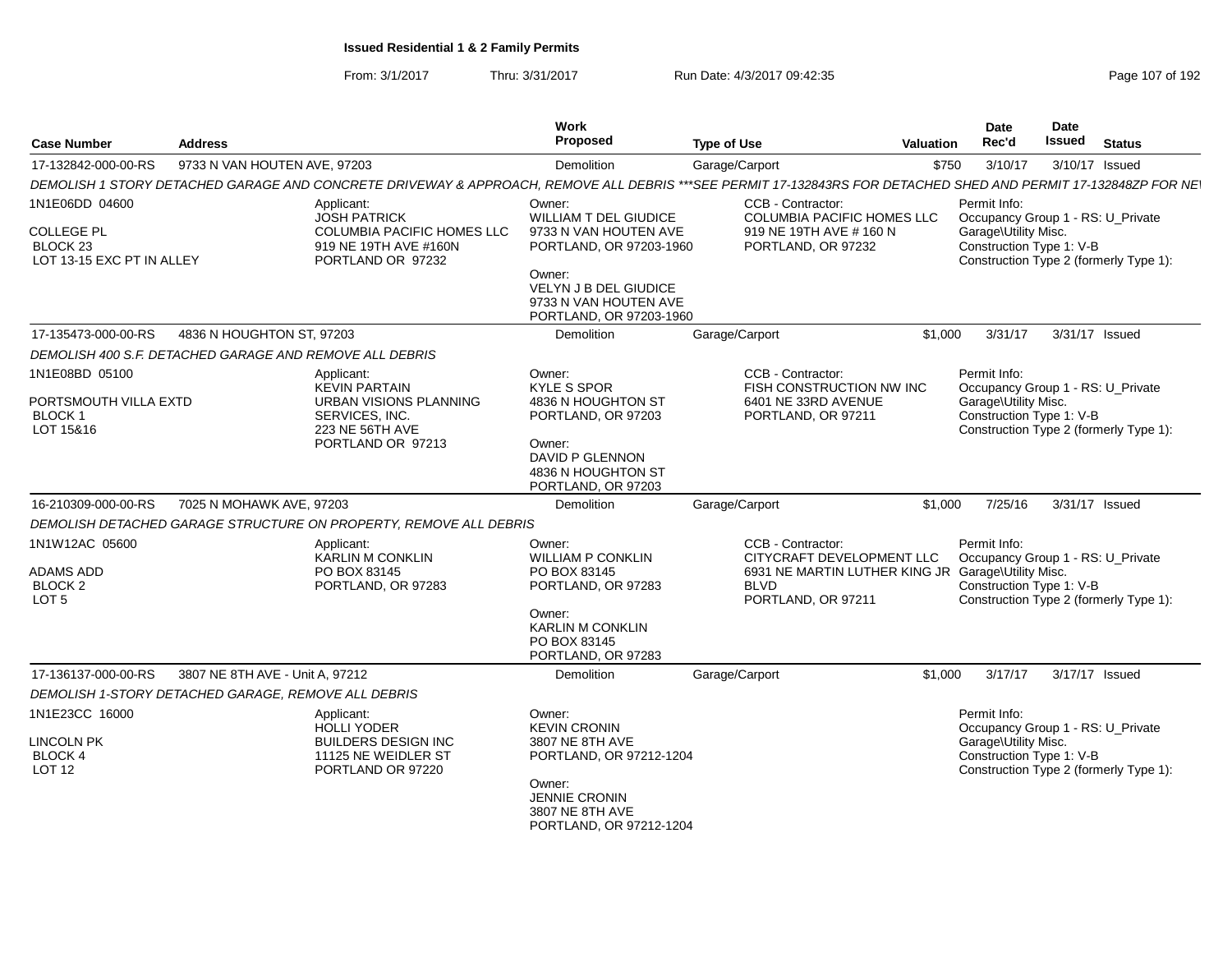| <b>Case Number</b>                                                    | <b>Address</b>                                          |                                                                                                                                                                | <b>Work</b><br>Proposed                                                             | <b>Type of Use</b>                                                                                   | Valuation | <b>Date</b><br>Rec'd                                                                  | Date<br><b>Issued</b> | <b>Status</b>                          |
|-----------------------------------------------------------------------|---------------------------------------------------------|----------------------------------------------------------------------------------------------------------------------------------------------------------------|-------------------------------------------------------------------------------------|------------------------------------------------------------------------------------------------------|-----------|---------------------------------------------------------------------------------------|-----------------------|----------------------------------------|
| 17-132842-000-00-RS                                                   | 9733 N VAN HOUTEN AVE, 97203                            |                                                                                                                                                                | Demolition                                                                          | Garage/Carport                                                                                       | \$750     | 3/10/17                                                                               |                       | 3/10/17 Issued                         |
|                                                                       |                                                         | DEMOLISH 1 STORY DETACHED GARAGE AND CONCRETE DRIVEWAY & APPROACH, REMOVE ALL DEBRIS ***SEE PERMIT 17-132843RS FOR DETACHED SHED AND PERMIT 17-132848ZP FOR NE |                                                                                     |                                                                                                      |           |                                                                                       |                       |                                        |
| 1N1E06DD 04600                                                        |                                                         | Applicant:                                                                                                                                                     | Owner:                                                                              | CCB - Contractor:                                                                                    |           | Permit Info:                                                                          |                       |                                        |
| <b>COLLEGE PL</b><br>BLOCK <sub>23</sub><br>LOT 13-15 EXC PT IN ALLEY |                                                         | <b>JOSH PATRICK</b><br><b>COLUMBIA PACIFIC HOMES LLC</b><br>919 NE 19TH AVE #160N<br>PORTLAND OR 97232                                                         | WILLIAM T DEL GIUDICE<br>9733 N VAN HOUTEN AVE<br>PORTLAND, OR 97203-1960           | COLUMBIA PACIFIC HOMES LLC<br>919 NE 19TH AVE # 160 N<br>PORTLAND, OR 97232                          |           | Occupancy Group 1 - RS: U_Private<br>Garage\Utility Misc.<br>Construction Type 1: V-B |                       | Construction Type 2 (formerly Type 1): |
|                                                                       |                                                         |                                                                                                                                                                | Owner:<br>VELYN J B DEL GIUDICE<br>9733 N VAN HOUTEN AVE<br>PORTLAND, OR 97203-1960 |                                                                                                      |           |                                                                                       |                       |                                        |
| 17-135473-000-00-RS                                                   | 4836 N HOUGHTON ST, 97203                               |                                                                                                                                                                | <b>Demolition</b>                                                                   | Garage/Carport                                                                                       | \$1,000   | 3/31/17                                                                               |                       | 3/31/17 Issued                         |
|                                                                       | DEMOLISH 400 S.F. DETACHED GARAGE AND REMOVE ALL DEBRIS |                                                                                                                                                                |                                                                                     |                                                                                                      |           |                                                                                       |                       |                                        |
| 1N1E08BD 05100                                                        |                                                         | Applicant:<br><b>KEVIN PARTAIN</b>                                                                                                                             | Owner:<br><b>KYLE S SPOR</b>                                                        | CCB - Contractor:<br>FISH CONSTRUCTION NW INC                                                        |           | Permit Info:<br>Occupancy Group 1 - RS: U_Private                                     |                       |                                        |
| PORTSMOUTH VILLA EXTD<br><b>BLOCK1</b><br>LOT 15&16                   |                                                         | URBAN VISIONS PLANNING<br>SERVICES, INC.<br>223 NE 56TH AVE<br>PORTLAND OR 97213                                                                               | 4836 N HOUGHTON ST<br>PORTLAND, OR 97203<br>Owner:                                  | 6401 NE 33RD AVENUE<br>PORTLAND, OR 97211                                                            |           | Garage\Utility Misc.<br>Construction Type 1: V-B                                      |                       | Construction Type 2 (formerly Type 1): |
|                                                                       |                                                         |                                                                                                                                                                | DAVID P GLENNON<br>4836 N HOUGHTON ST<br>PORTLAND, OR 97203                         |                                                                                                      |           |                                                                                       |                       |                                        |
| 16-210309-000-00-RS                                                   | 7025 N MOHAWK AVE, 97203                                |                                                                                                                                                                | Demolition                                                                          | Garage/Carport                                                                                       | \$1,000   | 7/25/16                                                                               |                       | 3/31/17 Issued                         |
|                                                                       |                                                         | DEMOLISH DETACHED GARAGE STRUCTURE ON PROPERTY, REMOVE ALL DEBRIS                                                                                              |                                                                                     |                                                                                                      |           |                                                                                       |                       |                                        |
| 1N1W12AC 05600<br><b>ADAMS ADD</b>                                    |                                                         | Applicant:<br><b>KARLIN M CONKLIN</b><br>PO BOX 83145                                                                                                          | Owner:<br><b>WILLIAM P CONKLIN</b><br>PO BOX 83145                                  | CCB - Contractor:<br>CITYCRAFT DEVELOPMENT LLC<br>6931 NE MARTIN LUTHER KING JR Garage\Utility Misc. |           | Permit Info:<br>Occupancy Group 1 - RS: U Private                                     |                       |                                        |
| BLOCK <sub>2</sub><br>LOT <sub>5</sub>                                |                                                         | PORTLAND, OR 97283                                                                                                                                             | PORTLAND, OR 97283<br>Owner:                                                        | <b>BLVD</b><br>PORTLAND, OR 97211                                                                    |           | Construction Type 1: V-B                                                              |                       | Construction Type 2 (formerly Type 1): |
|                                                                       |                                                         |                                                                                                                                                                | <b>KARLIN M CONKLIN</b><br>PO BOX 83145<br>PORTLAND, OR 97283                       |                                                                                                      |           |                                                                                       |                       |                                        |
| 17-136137-000-00-RS                                                   | 3807 NE 8TH AVE - Unit A, 97212                         |                                                                                                                                                                | Demolition                                                                          | Garage/Carport                                                                                       | \$1,000   | 3/17/17                                                                               |                       | 3/17/17 Issued                         |
|                                                                       | DEMOLISH 1-STORY DETACHED GARAGE, REMOVE ALL DEBRIS     |                                                                                                                                                                |                                                                                     |                                                                                                      |           |                                                                                       |                       |                                        |
| 1N1E23CC 16000                                                        |                                                         | Applicant:<br><b>HOLLI YODER</b>                                                                                                                               | Owner:<br><b>KEVIN CRONIN</b>                                                       |                                                                                                      |           | Permit Info:<br>Occupancy Group 1 - RS: U_Private                                     |                       |                                        |
| <b>LINCOLN PK</b><br>BLOCK 4<br>LOT <sub>12</sub>                     |                                                         | <b>BUILDERS DESIGN INC</b><br>11125 NE WEIDLER ST<br>PORTLAND OR 97220                                                                                         | 3807 NE 8TH AVE<br>PORTLAND, OR 97212-1204                                          |                                                                                                      |           | Garage\Utility Misc.<br>Construction Type 1: V-B                                      |                       | Construction Type 2 (formerly Type 1): |
|                                                                       |                                                         |                                                                                                                                                                | Owner:<br><b>JENNIE CRONIN</b><br>3807 NE 8TH AVE<br>PORTLAND, OR 97212-1204        |                                                                                                      |           |                                                                                       |                       |                                        |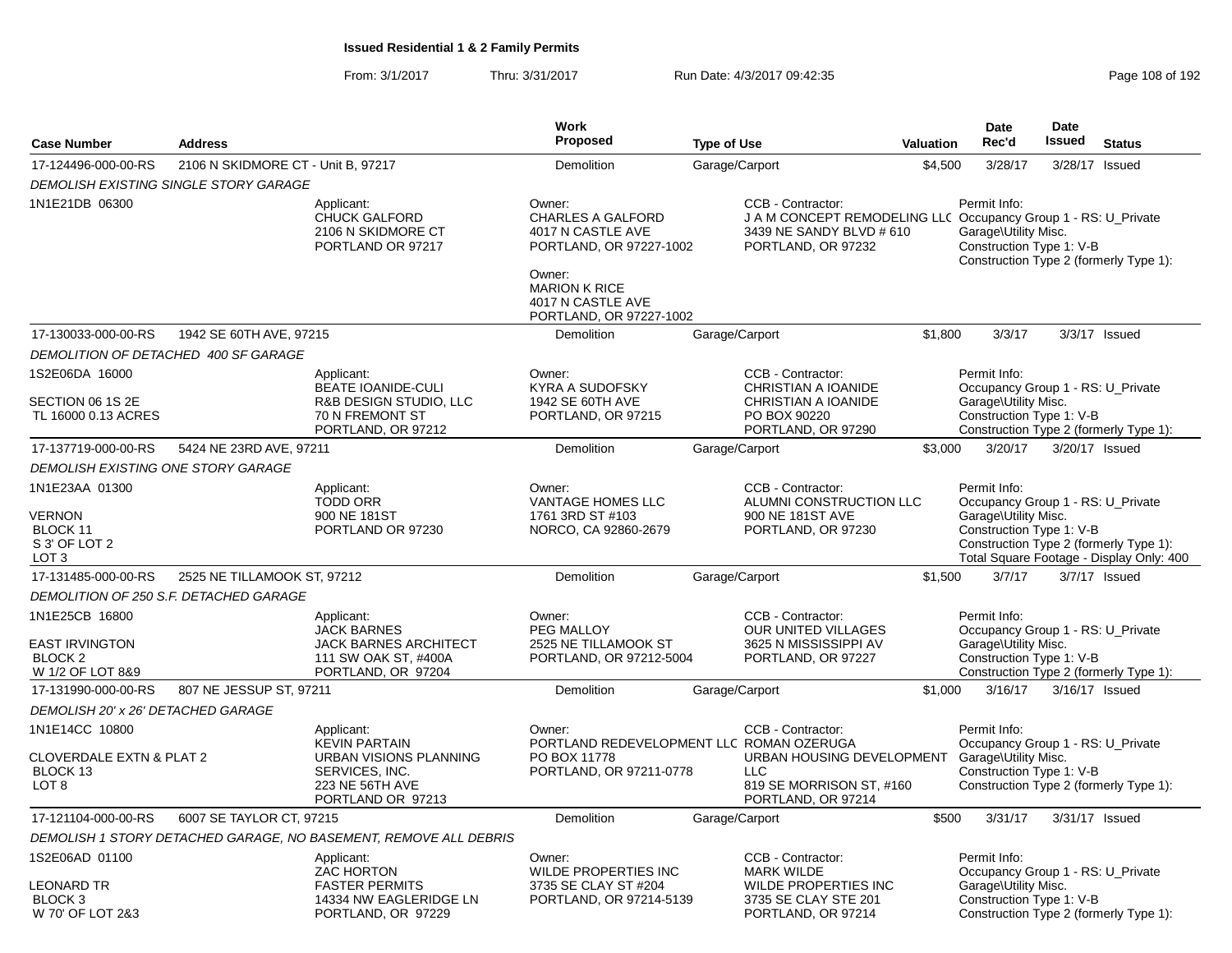|                                                                                       |                                        |                                                                                                                        | Work                                                                                          |                    |                                                                                                                                       |                  | <b>Date</b>                                                                                                                                     | Date           |                                                                                    |
|---------------------------------------------------------------------------------------|----------------------------------------|------------------------------------------------------------------------------------------------------------------------|-----------------------------------------------------------------------------------------------|--------------------|---------------------------------------------------------------------------------------------------------------------------------------|------------------|-------------------------------------------------------------------------------------------------------------------------------------------------|----------------|------------------------------------------------------------------------------------|
| <b>Case Number</b>                                                                    | <b>Address</b>                         |                                                                                                                        | <b>Proposed</b>                                                                               | <b>Type of Use</b> |                                                                                                                                       | <b>Valuation</b> | Rec'd                                                                                                                                           | Issued         | <b>Status</b>                                                                      |
| 17-124496-000-00-RS                                                                   | 2106 N SKIDMORE CT - Unit B, 97217     |                                                                                                                        | Demolition                                                                                    | Garage/Carport     |                                                                                                                                       | \$4,500          | 3/28/17                                                                                                                                         |                | 3/28/17 Issued                                                                     |
|                                                                                       | DEMOLISH EXISTING SINGLE STORY GARAGE  |                                                                                                                        |                                                                                               |                    |                                                                                                                                       |                  |                                                                                                                                                 |                |                                                                                    |
| 1N1E21DB 06300                                                                        |                                        | Applicant:<br><b>CHUCK GALFORD</b><br>2106 N SKIDMORE CT<br>PORTLAND OR 97217                                          | Owner:<br><b>CHARLES A GALFORD</b><br>4017 N CASTLE AVE<br>PORTLAND, OR 97227-1002<br>Owner:  |                    | CCB - Contractor:<br>J A M CONCEPT REMODELING LLC Occupancy Group 1 - RS: U_Private<br>3439 NE SANDY BLVD # 610<br>PORTLAND, OR 97232 |                  | Permit Info:<br>Garage\Utility Misc.<br>Construction Type 1: V-B                                                                                |                | Construction Type 2 (formerly Type 1):                                             |
|                                                                                       |                                        |                                                                                                                        | <b>MARION K RICE</b><br>4017 N CASTLE AVE<br>PORTLAND, OR 97227-1002                          |                    |                                                                                                                                       |                  |                                                                                                                                                 |                |                                                                                    |
| 17-130033-000-00-RS                                                                   | 1942 SE 60TH AVE, 97215                |                                                                                                                        | <b>Demolition</b>                                                                             | Garage/Carport     |                                                                                                                                       | \$1.800          | 3/3/17                                                                                                                                          |                | 3/3/17 Issued                                                                      |
|                                                                                       | DEMOLITION OF DETACHED 400 SF GARAGE   |                                                                                                                        |                                                                                               |                    |                                                                                                                                       |                  |                                                                                                                                                 |                |                                                                                    |
| 1S2E06DA 16000<br>SECTION 06 1S 2E<br>TL 16000 0.13 ACRES                             |                                        | Applicant:<br><b>BEATE IOANIDE-CULI</b><br>R&B DESIGN STUDIO, LLC<br>70 N FREMONT ST                                   | Owner:<br><b>KYRA A SUDOFSKY</b><br>1942 SE 60TH AVE<br>PORTLAND, OR 97215                    |                    | CCB - Contractor:<br>CHRISTIAN A IOANIDE<br>CHRISTIAN A IOANIDE<br>PO BOX 90220                                                       |                  | Permit Info:<br>Occupancy Group 1 - RS: U Private<br>Garage\Utility Misc.<br>Construction Type 1: V-B                                           |                |                                                                                    |
|                                                                                       |                                        | PORTLAND, OR 97212                                                                                                     |                                                                                               |                    | PORTLAND, OR 97290                                                                                                                    |                  |                                                                                                                                                 |                | Construction Type 2 (formerly Type 1):                                             |
| 17-137719-000-00-RS                                                                   | 5424 NE 23RD AVE, 97211                |                                                                                                                        | Demolition                                                                                    | Garage/Carport     |                                                                                                                                       | \$3,000          | 3/20/17                                                                                                                                         |                | 3/20/17 Issued                                                                     |
| <b>DEMOLISH EXISTING ONE STORY GARAGE</b>                                             |                                        |                                                                                                                        |                                                                                               |                    |                                                                                                                                       |                  |                                                                                                                                                 |                |                                                                                    |
| 1N1E23AA 01300<br><b>VERNON</b><br>BLOCK 11<br>S 3' OF LOT 2<br>LOT <sub>3</sub>      |                                        | Applicant:<br><b>TODD ORR</b><br>900 NE 181ST<br>PORTLAND OR 97230                                                     | Owner:<br><b>VANTAGE HOMES LLC</b><br>1761 3RD ST #103<br>NORCO, CA 92860-2679                |                    | CCB - Contractor:<br>ALUMNI CONSTRUCTION LLC<br>900 NE 181ST AVE<br>PORTLAND, OR 97230                                                |                  | Permit Info:<br>Occupancy Group 1 - RS: U_Private<br>Garage\Utility Misc.<br>Construction Type 1: V-B                                           |                | Construction Type 2 (formerly Type 1):<br>Total Square Footage - Display Only: 400 |
| 17-131485-000-00-RS                                                                   | 2525 NE TILLAMOOK ST, 97212            |                                                                                                                        | Demolition                                                                                    | Garage/Carport     |                                                                                                                                       | \$1,500          | 3/7/17                                                                                                                                          |                | 3/7/17 Issued                                                                      |
|                                                                                       | DEMOLITION OF 250 S.F. DETACHED GARAGE |                                                                                                                        |                                                                                               |                    |                                                                                                                                       |                  |                                                                                                                                                 |                |                                                                                    |
| 1N1E25CB 16800<br><b>EAST IRVINGTON</b><br>BLOCK <sub>2</sub><br>W 1/2 OF LOT 8&9     |                                        | Applicant:<br><b>JACK BARNES</b><br><b>JACK BARNES ARCHITECT</b><br>111 SW OAK ST, #400A<br>PORTLAND, OR 97204         | Owner:<br>PEG MALLOY<br>2525 NE TILLAMOOK ST<br>PORTLAND, OR 97212-5004                       |                    | CCB - Contractor:<br><b>OUR UNITED VILLAGES</b><br>3625 N MISSISSIPPI AV<br>PORTLAND, OR 97227                                        |                  | Permit Info:<br>Occupancy Group 1 - RS: U_Private<br>Garage\Utility Misc.<br>Construction Type 1: V-B<br>Construction Type 2 (formerly Type 1): |                |                                                                                    |
| 17-131990-000-00-RS                                                                   | 807 NE JESSUP ST, 97211                |                                                                                                                        | Demolition                                                                                    | Garage/Carport     |                                                                                                                                       | \$1,000          | 3/16/17                                                                                                                                         | 3/16/17 Issued |                                                                                    |
| DEMOLISH 20' x 26' DETACHED GARAGE                                                    |                                        |                                                                                                                        |                                                                                               |                    |                                                                                                                                       |                  |                                                                                                                                                 |                |                                                                                    |
| 1N1E14CC 10800<br><b>CLOVERDALE EXTN &amp; PLAT 2</b><br>BLOCK 13<br>LOT <sub>8</sub> |                                        | Applicant:<br><b>KEVIN PARTAIN</b><br>URBAN VISIONS PLANNING<br>SERVICES, INC.<br>223 NE 56TH AVE<br>PORTLAND OR 97213 | Owner:<br>PORTLAND REDEVELOPMENT LLC ROMAN OZERUGA<br>PO BOX 11778<br>PORTLAND, OR 97211-0778 |                    | CCB - Contractor:<br>URBAN HOUSING DEVELOPMENT<br><b>LLC</b><br>819 SE MORRISON ST, #160<br>PORTLAND, OR 97214                        |                  | Permit Info:<br>Occupancy Group 1 - RS: U_Private<br>Garage\Utility Misc.<br>Construction Type 1: V-B                                           |                | Construction Type 2 (formerly Type 1):                                             |
| 17-121104-000-00-RS                                                                   | 6007 SE TAYLOR CT, 97215               |                                                                                                                        | Demolition                                                                                    | Garage/Carport     |                                                                                                                                       | \$500            | 3/31/17                                                                                                                                         | 3/31/17 Issued |                                                                                    |
|                                                                                       |                                        | DEMOLISH 1 STORY DETACHED GARAGE, NO BASEMENT, REMOVE ALL DEBRIS                                                       |                                                                                               |                    |                                                                                                                                       |                  |                                                                                                                                                 |                |                                                                                    |
| 1S2E06AD 01100                                                                        |                                        | Applicant:<br>ZAC HORTON                                                                                               | Owner:<br>WILDE PROPERTIES INC                                                                |                    | CCB - Contractor:<br><b>MARK WILDE</b>                                                                                                |                  | Permit Info:<br>Occupancy Group 1 - RS: U_Private                                                                                               |                |                                                                                    |
| <b>LEONARD TR</b><br>BLOCK <sub>3</sub><br>W 70' OF LOT 2&3                           |                                        | <b>FASTER PERMITS</b><br>14334 NW EAGLERIDGE LN<br>PORTLAND, OR 97229                                                  | 3735 SE CLAY ST #204<br>PORTLAND, OR 97214-5139                                               |                    | <b>WILDE PROPERTIES INC</b><br>3735 SE CLAY STE 201<br>PORTLAND, OR 97214                                                             |                  | Garage\Utility Misc.<br>Construction Type 1: V-B                                                                                                |                | Construction Type 2 (formerly Type 1):                                             |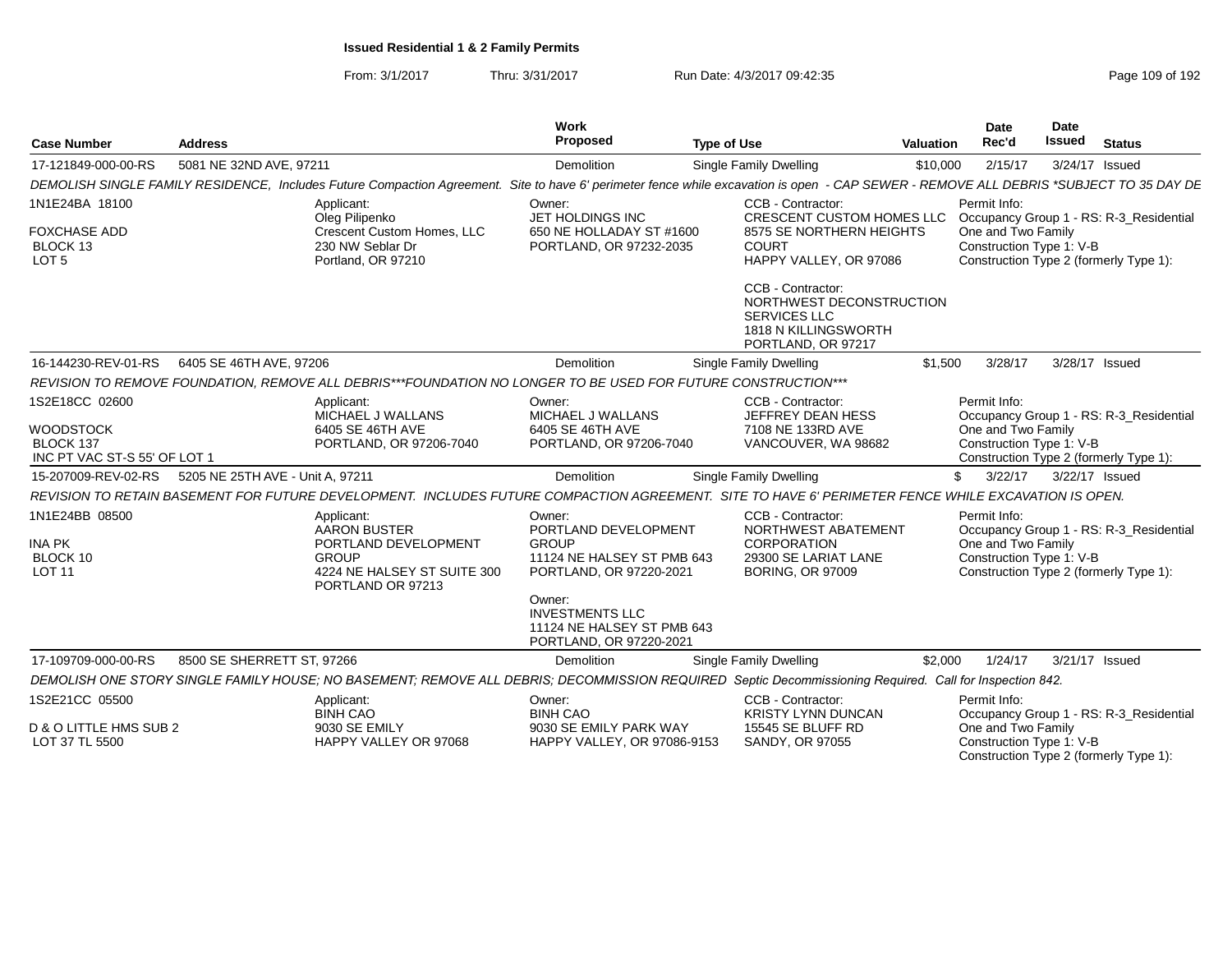From: 3/1/2017Thru: 3/31/2017 Run Date: 4/3/2017 09:42:35 Research 2010 192

| <b>Case Number</b>                                                              | Address                                                                                                                                                                                | <b>Work</b><br>Proposed                                                                                           | <b>Type of Use</b>                                                                                                   | <b>Valuation</b> | Date<br>Rec'd                                                  | Date<br>Issued | <b>Status</b>                                                                     |
|---------------------------------------------------------------------------------|----------------------------------------------------------------------------------------------------------------------------------------------------------------------------------------|-------------------------------------------------------------------------------------------------------------------|----------------------------------------------------------------------------------------------------------------------|------------------|----------------------------------------------------------------|----------------|-----------------------------------------------------------------------------------|
| 17-121849-000-00-RS                                                             | 5081 NE 32ND AVE, 97211                                                                                                                                                                | <b>Demolition</b>                                                                                                 | Single Family Dwelling                                                                                               | \$10,000         | 2/15/17                                                        |                | 3/24/17 Issued                                                                    |
|                                                                                 | DEMOLISH SINGLE FAMILY RESIDENCE, Includes Future Compaction Agreement. Site to have 6' perimeter fence while excavation is open - CAP SEWER - REMOVE ALL DEBRIS *SUBJECT TO 35 DAY DE |                                                                                                                   |                                                                                                                      |                  |                                                                |                |                                                                                   |
| 1N1E24BA 18100<br><b>FOXCHASE ADD</b><br>BLOCK 13<br>LOT <sub>5</sub>           | Applicant:<br>Oleg Pilipenko<br>Crescent Custom Homes, LLC<br>230 NW Seblar Dr<br>Portland, OR 97210                                                                                   | Owner:<br>JET HOLDINGS INC<br>650 NE HOLLADAY ST #1600<br>PORTLAND, OR 97232-2035                                 | CCB - Contractor:<br>CRESCENT CUSTOM HOMES LLC<br>8575 SE NORTHERN HEIGHTS<br><b>COURT</b><br>HAPPY VALLEY, OR 97086 |                  | Permit Info:<br>One and Two Family<br>Construction Type 1: V-B |                | Occupancy Group 1 - RS: R-3_Residential<br>Construction Type 2 (formerly Type 1): |
|                                                                                 |                                                                                                                                                                                        |                                                                                                                   | CCB - Contractor:<br>NORTHWEST DECONSTRUCTION<br><b>SERVICES LLC</b><br>1818 N KILLINGSWORTH<br>PORTLAND, OR 97217   |                  |                                                                |                |                                                                                   |
| 16-144230-REV-01-RS                                                             | 6405 SE 46TH AVE, 97206                                                                                                                                                                | <b>Demolition</b>                                                                                                 | Single Family Dwelling                                                                                               | \$1,500          | 3/28/17                                                        |                | 3/28/17 Issued                                                                    |
|                                                                                 | REVISION TO REMOVE FOUNDATION. REMOVE ALL DEBRIS***FOUNDATION NO LONGER TO BE USED FOR FUTURE CONSTRUCTION***                                                                          |                                                                                                                   |                                                                                                                      |                  |                                                                |                |                                                                                   |
| 1S2E18CC 02600<br><b>WOODSTOCK</b><br>BLOCK 137<br>INC PT VAC ST-S 55' OF LOT 1 | Applicant:<br>MICHAEL J WALLANS<br>6405 SE 46TH AVE<br>PORTLAND, OR 97206-7040                                                                                                         | Owner:<br>MICHAEL J WALLANS<br>6405 SE 46TH AVE<br>PORTLAND, OR 97206-7040                                        | CCB - Contractor:<br>JEFFREY DEAN HESS<br>7108 NE 133RD AVE<br>VANCOUVER, WA 98682                                   |                  | Permit Info:<br>One and Two Family<br>Construction Type 1: V-B |                | Occupancy Group 1 - RS: R-3 Residential<br>Construction Type 2 (formerly Type 1): |
| 15-207009-REV-02-RS                                                             | 5205 NE 25TH AVE - Unit A. 97211                                                                                                                                                       | <b>Demolition</b>                                                                                                 | Single Family Dwelling                                                                                               | \$               | 3/22/17                                                        | 3/22/17 Issued |                                                                                   |
|                                                                                 | REVISION TO RETAIN BASEMENT FOR FUTURE DEVELOPMENT. INCLUDES FUTURE COMPACTION AGREEMENT. SITE TO HAVE 6' PERIMETER FENCE WHILE EXCAVATION IS OPEN.                                    |                                                                                                                   |                                                                                                                      |                  |                                                                |                |                                                                                   |
| 1N1E24BB 08500<br><b>INA PK</b><br>BLOCK 10<br><b>LOT 11</b>                    | Applicant:<br><b>AARON BUSTER</b><br>PORTLAND DEVELOPMENT<br><b>GROUP</b><br>4224 NE HALSEY ST SUITE 300<br>PORTLAND OR 97213                                                          | Owner:<br>PORTLAND DEVELOPMENT<br><b>GROUP</b><br>11124 NE HALSEY ST PMB 643<br>PORTLAND, OR 97220-2021<br>Owner: | CCB - Contractor:<br>NORTHWEST ABATEMENT<br>CORPORATION<br>29300 SE LARIAT LANE<br><b>BORING, OR 97009</b>           |                  | Permit Info:<br>One and Two Family<br>Construction Type 1: V-B |                | Occupancy Group 1 - RS: R-3_Residential<br>Construction Type 2 (formerly Type 1): |
|                                                                                 |                                                                                                                                                                                        | <b>INVESTMENTS LLC</b><br>11124 NE HALSEY ST PMB 643<br>PORTLAND, OR 97220-2021                                   |                                                                                                                      |                  |                                                                |                |                                                                                   |
| 17-109709-000-00-RS                                                             | 8500 SE SHERRETT ST, 97266                                                                                                                                                             | Demolition                                                                                                        | Single Family Dwelling                                                                                               | \$2,000          | 1/24/17                                                        |                | 3/21/17 Issued                                                                    |
|                                                                                 | DEMOLISH ONE STORY SINGLE FAMILY HOUSE; NO BASEMENT; REMOVE ALL DEBRIS; DECOMMISSION REQUIRED Septic Decommissioning Required. Call for Inspection 842.                                |                                                                                                                   |                                                                                                                      |                  |                                                                |                |                                                                                   |
| 1S2E21CC 05500                                                                  | Applicant:<br><b>BINH CAO</b>                                                                                                                                                          | Owner:<br><b>BINH CAO</b>                                                                                         | CCB - Contractor:<br><b>KRISTY LYNN DUNCAN</b>                                                                       |                  | Permit Info:                                                   |                | Occupancy Group 1 - RS: R-3 Residential                                           |
| D & O LITTLE HMS SUB 2<br>LOT 37 TL 5500                                        | 9030 SE EMILY<br>HAPPY VALLEY OR 97068                                                                                                                                                 | 9030 SE EMILY PARK WAY<br>HAPPY VALLEY, OR 97086-9153                                                             | 15545 SE BLUFF RD<br>SANDY, OR 97055                                                                                 |                  | One and Two Family<br>Construction Type 1: V-B                 |                | Construction Type 2 (formerly Type 1):                                            |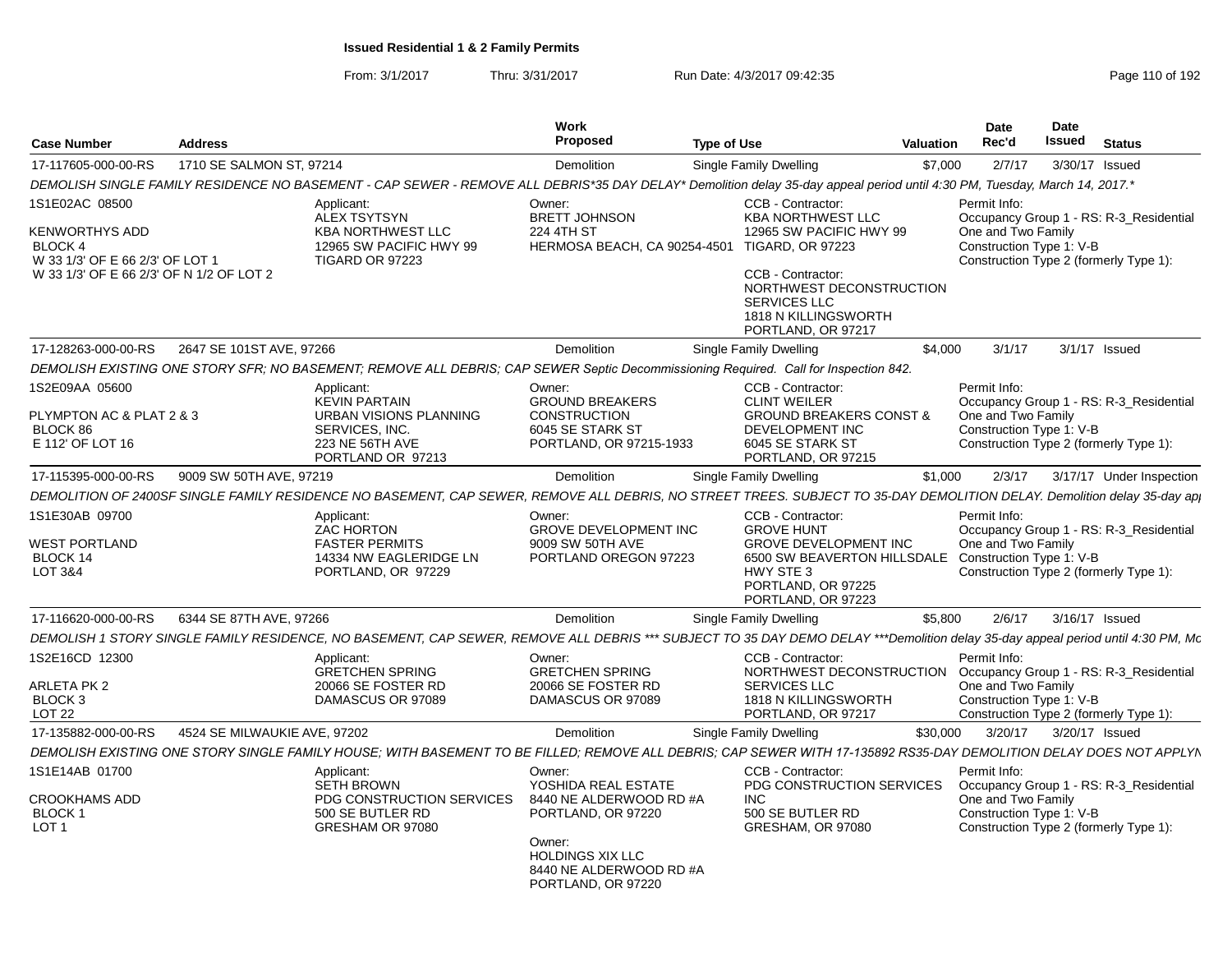| <b>Case Number</b>                                                                                       | <b>Address</b>               |                                                                                                                                                                                  | <b>Work</b><br>Proposed                                                                                                                                    | <b>Type of Use</b>                                                                                                                                                | Valuation | Date<br>Rec'd                                                                                                                                       | Date<br>Issued | <b>Status</b>            |
|----------------------------------------------------------------------------------------------------------|------------------------------|----------------------------------------------------------------------------------------------------------------------------------------------------------------------------------|------------------------------------------------------------------------------------------------------------------------------------------------------------|-------------------------------------------------------------------------------------------------------------------------------------------------------------------|-----------|-----------------------------------------------------------------------------------------------------------------------------------------------------|----------------|--------------------------|
| 17-117605-000-00-RS                                                                                      | 1710 SE SALMON ST, 97214     |                                                                                                                                                                                  | Demolition                                                                                                                                                 | Single Family Dwelling                                                                                                                                            | \$7,000   | 2/7/17                                                                                                                                              | 3/30/17 Issued |                          |
|                                                                                                          |                              | DEMOLISH SINGLE FAMILY RESIDENCE NO BASEMENT - CAP SEWER - REMOVE ALL DEBRIS*35 DAY DELAY* Demolition delay 35-day appeal period until 4:30 PM, Tuesday, March 14, 2017.*        |                                                                                                                                                            |                                                                                                                                                                   |           |                                                                                                                                                     |                |                          |
| 1S1E02AC 08500                                                                                           |                              | Applicant:<br><b>ALEX TSYTSYN</b>                                                                                                                                                | Owner:<br><b>BRETT JOHNSON</b>                                                                                                                             | CCB - Contractor:<br><b>KBA NORTHWEST LLC</b>                                                                                                                     |           | Permit Info:<br>Occupancy Group 1 - RS: R-3_Residential                                                                                             |                |                          |
| KENWORTHYS ADD<br>BLOCK 4<br>W 33 1/3' OF E 66 2/3' OF LOT 1<br>W 33 1/3' OF E 66 2/3' OF N 1/2 OF LOT 2 |                              | <b>KBA NORTHWEST LLC</b><br>12965 SW PACIFIC HWY 99<br><b>TIGARD OR 97223</b>                                                                                                    | 224 4TH ST<br>HERMOSA BEACH, CA 90254-4501                                                                                                                 | 12965 SW PACIFIC HWY 99<br><b>TIGARD, OR 97223</b><br>CCB - Contractor:<br>NORTHWEST DECONSTRUCTION<br>SERVICES LLC<br>1818 N KILLINGSWORTH<br>PORTLAND, OR 97217 |           | One and Two Family<br>Construction Type 1: V-B<br>Construction Type 2 (formerly Type 1):                                                            |                |                          |
| 17-128263-000-00-RS                                                                                      | 2647 SE 101ST AVE, 97266     |                                                                                                                                                                                  | Demolition                                                                                                                                                 | Single Family Dwelling                                                                                                                                            | \$4.000   | 3/1/17                                                                                                                                              |                | 3/1/17 Issued            |
|                                                                                                          |                              | DEMOLISH EXISTING ONE STORY SFR; NO BASEMENT; REMOVE ALL DEBRIS; CAP SEWER Septic Decommissioning Required. Call for Inspection 842.                                             |                                                                                                                                                            |                                                                                                                                                                   |           |                                                                                                                                                     |                |                          |
| 1S2E09AA 05600<br>PLYMPTON AC & PLAT 2 & 3<br>BLOCK 86<br>E 112' OF LOT 16                               |                              | Applicant:<br><b>KEVIN PARTAIN</b><br>URBAN VISIONS PLANNING<br>SERVICES, INC.<br>223 NE 56TH AVE<br>PORTLAND OR 97213                                                           | Owner:<br><b>GROUND BREAKERS</b><br><b>CONSTRUCTION</b><br>6045 SE STARK ST<br>PORTLAND, OR 97215-1933                                                     | CCB - Contractor:<br><b>CLINT WEILER</b><br><b>GROUND BREAKERS CONST &amp;</b><br>DEVELOPMENT INC<br>6045 SE STARK ST<br>PORTLAND, OR 97215                       |           | Permit Info:<br>Occupancy Group 1 - RS: R-3 Residential<br>One and Two Family<br>Construction Type 1: V-B<br>Construction Type 2 (formerly Type 1): |                |                          |
| 17-115395-000-00-RS                                                                                      | 9009 SW 50TH AVE, 97219      |                                                                                                                                                                                  | <b>Demolition</b>                                                                                                                                          | Single Family Dwelling                                                                                                                                            | \$1,000   | 2/3/17                                                                                                                                              |                | 3/17/17 Under Inspection |
|                                                                                                          |                              | DEMOLITION OF 2400SF SINGLE FAMILY RESIDENCE NO BASEMENT, CAP SEWER, REMOVE ALL DEBRIS, NO STREET TREES. SUBJECT TO 35-DAY DEMOLITION DELAY. Demolition delay 35-day ap          |                                                                                                                                                            |                                                                                                                                                                   |           |                                                                                                                                                     |                |                          |
| 1S1E30AB 09700<br><b>WEST PORTLAND</b><br>BLOCK 14<br>LOT 3&4                                            |                              | Applicant:<br><b>ZAC HORTON</b><br><b>FASTER PERMITS</b><br>14334 NW EAGLERIDGE LN<br>PORTLAND, OR 97229                                                                         | Owner:<br><b>GROVE DEVELOPMENT INC</b><br>9009 SW 50TH AVE<br>PORTLAND OREGON 97223                                                                        | CCB - Contractor:<br><b>GROVE HUNT</b><br><b>GROVE DEVELOPMENT INC</b><br>6500 SW BEAVERTON HILLSDALE<br>HWY STE 3<br>PORTLAND, OR 97225<br>PORTLAND, OR 97223    |           | Permit Info:<br>Occupancy Group 1 - RS: R-3 Residential<br>One and Two Family<br>Construction Type 1: V-B<br>Construction Type 2 (formerly Type 1): |                |                          |
| 17-116620-000-00-RS                                                                                      | 6344 SE 87TH AVE, 97266      |                                                                                                                                                                                  | Demolition                                                                                                                                                 | Single Family Dwelling                                                                                                                                            | \$5,800   | 2/6/17                                                                                                                                              | 3/16/17 Issued |                          |
|                                                                                                          |                              | DEMOLISH 1 STORY SINGLE FAMILY RESIDENCE, NO BASEMENT, CAP SEWER, REMOVE ALL DEBRIS *** SUBJECT TO 35 DAY DEMO DELAY ***Demolition delay 35-day appeal period until 4:30 PM, Mo. |                                                                                                                                                            |                                                                                                                                                                   |           |                                                                                                                                                     |                |                          |
| 1S2E16CD 12300<br>ARLETA PK 2<br>BLOCK 3<br>LOT <sub>22</sub>                                            |                              | Applicant:<br><b>GRETCHEN SPRING</b><br>20066 SE FOSTER RD<br>DAMASCUS OR 97089                                                                                                  | Owner:<br><b>GRETCHEN SPRING</b><br>20066 SE FOSTER RD<br>DAMASCUS OR 97089                                                                                | CCB - Contractor:<br>NORTHWEST DECONSTRUCTION<br><b>SERVICES LLC</b><br>1818 N KILLINGSWORTH<br>PORTLAND, OR 97217                                                |           | Permit Info:<br>Occupancy Group 1 - RS: R-3_Residential<br>One and Two Family<br>Construction Type 1: V-B<br>Construction Type 2 (formerly Type 1): |                |                          |
| 17-135882-000-00-RS                                                                                      | 4524 SE MILWAUKIE AVE, 97202 |                                                                                                                                                                                  | <b>Demolition</b>                                                                                                                                          | Single Family Dwelling                                                                                                                                            | \$30,000  | 3/20/17                                                                                                                                             | 3/20/17 Issued |                          |
|                                                                                                          |                              | DEMOLISH EXISTING ONE STORY SINGLE FAMILY HOUSE; WITH BASEMENT TO BE FILLED; REMOVE ALL DEBRIS; CAP SEWER WITH 17-135892 RS35-DAY DEMOLITION DELAY DOES NOT APPLYN               |                                                                                                                                                            |                                                                                                                                                                   |           |                                                                                                                                                     |                |                          |
| 1S1E14AB 01700                                                                                           |                              | Applicant:                                                                                                                                                                       | Owner:                                                                                                                                                     | CCB - Contractor:                                                                                                                                                 |           | Permit Info:                                                                                                                                        |                |                          |
| <b>CROOKHAMS ADD</b><br>BLOCK 1<br>LOT <sub>1</sub>                                                      |                              | <b>SETH BROWN</b><br>PDG CONSTRUCTION SERVICES<br>500 SE BUTLER RD<br>GRESHAM OR 97080                                                                                           | YOSHIDA REAL ESTATE<br>8440 NE ALDERWOOD RD #A<br>PORTLAND, OR 97220<br>Owner:<br><b>HOLDINGS XIX LLC</b><br>8440 NE ALDERWOOD RD #A<br>PORTLAND, OR 97220 | PDG CONSTRUCTION SERVICES<br>INC.<br>500 SE BUTLER RD<br>GRESHAM, OR 97080                                                                                        |           | Occupancy Group 1 - RS: R-3_Residential<br>One and Two Family<br>Construction Type 1: V-B<br>Construction Type 2 (formerly Type 1):                 |                |                          |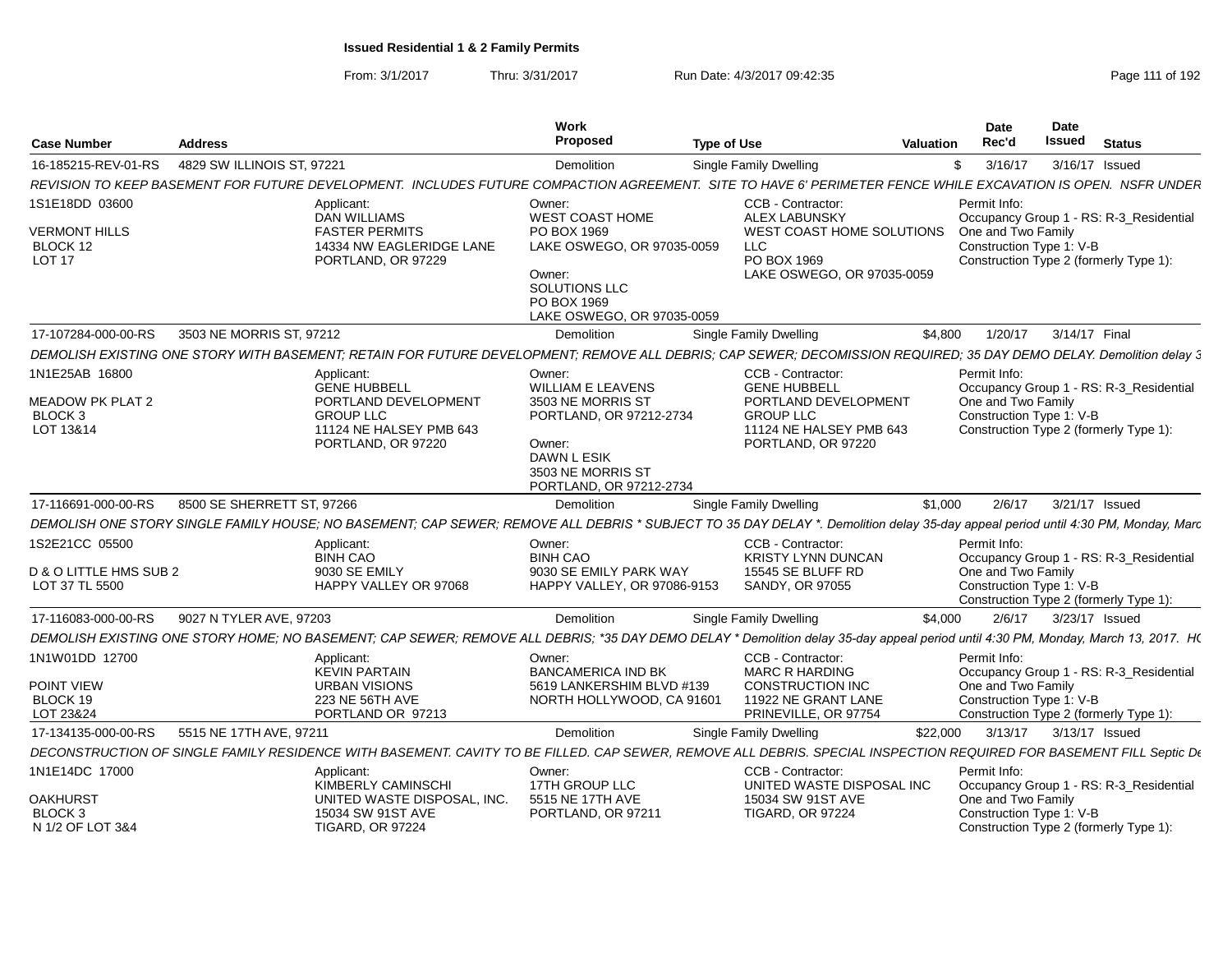| <b>Case Number</b>                                       | <b>Address</b>                                                                                                                                                                    | Work<br>Proposed                                                                                 | <b>Type of Use</b>                                                                   | Valuation    | Date<br>Rec'd                      | <b>Date</b><br>Issued<br><b>Status</b>                              |  |
|----------------------------------------------------------|-----------------------------------------------------------------------------------------------------------------------------------------------------------------------------------|--------------------------------------------------------------------------------------------------|--------------------------------------------------------------------------------------|--------------|------------------------------------|---------------------------------------------------------------------|--|
| 16-185215-REV-01-RS                                      | 4829 SW ILLINOIS ST, 97221                                                                                                                                                        | Demolition                                                                                       | Single Family Dwelling                                                               | \$3/16/17    |                                    | 3/16/17 Issued                                                      |  |
|                                                          | REVISION TO KEEP BASEMENT FOR FUTURE DEVELOPMENT. INCLUDES FUTURE COMPACTION AGREEMENT. SITE TO HAVE 6' PERIMETER FENCE WHILE EXCAVATION IS OPEN. NSFR UNDER                      |                                                                                                  |                                                                                      |              |                                    |                                                                     |  |
| 1S1E18DD 03600                                           | Applicant:<br>DAN WILLIAMS                                                                                                                                                        | Owner:<br><b>WEST COAST HOME</b>                                                                 | CCB - Contractor:<br><b>ALEX LABUNSKY</b>                                            | Permit Info: |                                    | Occupancy Group 1 - RS: R-3_Residential                             |  |
| <b>VERMONT HILLS</b><br>BLOCK 12<br>LOT 17               | <b>FASTER PERMITS</b><br>14334 NW EAGLERIDGE LANE<br>PORTLAND, OR 97229                                                                                                           | PO BOX 1969<br>LAKE OSWEGO, OR 97035-0059                                                        | WEST COAST HOME SOLUTIONS<br>LLC.<br>PO BOX 1969                                     |              | One and Two Family                 | Construction Type 1: V-B<br>Construction Type 2 (formerly Type 1):  |  |
|                                                          |                                                                                                                                                                                   | Owner:<br>SOLUTIONS LLC<br>PO BOX 1969<br>LAKE OSWEGO, OR 97035-0059                             | LAKE OSWEGO, OR 97035-0059                                                           |              |                                    |                                                                     |  |
| 17-107284-000-00-RS                                      | 3503 NE MORRIS ST, 97212                                                                                                                                                          | Demolition                                                                                       | Single Family Dwelling                                                               | \$4,800      | 1/20/17                            | 3/14/17 Final                                                       |  |
|                                                          | DEMOLISH EXISTING ONE STORY WITH BASEMENT; RETAIN FOR FUTURE DEVELOPMENT; REMOVE ALL DEBRIS; CAP SEWER; DECOMISSION REQUIRED; 35 DAY DEMO DELAY. Demolition delay 3               |                                                                                                  |                                                                                      |              |                                    |                                                                     |  |
| 1N1E25AB 16800<br>MEADOW PK PLAT 2<br>BLOCK <sub>3</sub> | Applicant:<br><b>GENE HUBBELL</b><br>PORTLAND DEVELOPMENT<br><b>GROUP LLC</b>                                                                                                     | Owner:<br>WILLIAM E LEAVENS<br>3503 NE MORRIS ST                                                 | CCB - Contractor:<br><b>GENE HUBBELL</b><br>PORTLAND DEVELOPMENT<br><b>GROUP LLC</b> |              | Permit Info:<br>One and Two Family | Occupancy Group 1 - RS: R-3_Residential<br>Construction Type 1: V-B |  |
| LOT 13&14                                                | 11124 NE HALSEY PMB 643<br>PORTLAND, OR 97220                                                                                                                                     | PORTLAND, OR 97212-2734<br>Owner:<br>DAWN L ESIK<br>3503 NE MORRIS ST<br>PORTLAND, OR 97212-2734 | 11124 NE HALSEY PMB 643<br>PORTLAND, OR 97220                                        |              |                                    | Construction Type 2 (formerly Type 1):                              |  |
| 17-116691-000-00-RS                                      | 8500 SE SHERRETT ST, 97266                                                                                                                                                        | Demolition                                                                                       | Single Family Dwelling                                                               | \$1,000      | 2/6/17                             | 3/21/17 Issued                                                      |  |
|                                                          | DEMOLISH ONE STORY SINGLE FAMILY HOUSE; NO BASEMENT; CAP SEWER; REMOVE ALL DEBRIS * SUBJECT TO 35 DAY DELAY *. Demolition delay 35-day appeal period until 4:30 PM, Monday, Marc  |                                                                                                  |                                                                                      |              |                                    |                                                                     |  |
| 1S2E21CC 05500                                           | Applicant:<br><b>BINH CAO</b>                                                                                                                                                     | Owner:<br><b>BINH CAO</b>                                                                        | CCB - Contractor:<br><b>KRISTY LYNN DUNCAN</b>                                       | Permit Info: |                                    | Occupancy Group 1 - RS: R-3_Residential                             |  |
| D & O LITTLE HMS SUB 2<br>LOT 37 TL 5500                 | 9030 SE EMILY<br>HAPPY VALLEY OR 97068                                                                                                                                            | 9030 SE EMILY PARK WAY<br>HAPPY VALLEY, OR 97086-9153                                            | 15545 SE BLUFF RD<br>SANDY, OR 97055                                                 |              | One and Two Family                 | Construction Type 1: V-B<br>Construction Type 2 (formerly Type 1):  |  |
| 17-116083-000-00-RS                                      | 9027 N TYLER AVE, 97203                                                                                                                                                           | Demolition                                                                                       | <b>Single Family Dwelling</b>                                                        | \$4.000      | 2/6/17                             | 3/23/17 Issued                                                      |  |
|                                                          | DEMOLISH EXISTING ONE STORY HOME; NO BASEMENT; CAP SEWER; REMOVE ALL DEBRIS; *35 DAY DEMO DELAY * Demolition delay 35-day appeal period until 4:30 PM, Monday, March 13, 2017. HO |                                                                                                  |                                                                                      |              |                                    |                                                                     |  |
| 1N1W01DD 12700                                           | Applicant:<br><b>KEVIN PARTAIN</b>                                                                                                                                                | Owner:<br><b>BANCAMERICA IND BK</b>                                                              | CCB - Contractor:<br><b>MARC R HARDING</b>                                           |              | Permit Info:                       | Occupancy Group 1 - RS: R-3_Residential                             |  |
| POINT VIEW                                               | <b>URBAN VISIONS</b>                                                                                                                                                              | 5619 LANKERSHIM BLVD #139                                                                        | <b>CONSTRUCTION INC</b>                                                              |              | One and Two Family                 |                                                                     |  |
| BLOCK 19                                                 | 223 NE 56TH AVE<br>PORTLAND OR 97213                                                                                                                                              | NORTH HOLLYWOOD, CA 91601                                                                        | 11922 NE GRANT LANE<br>PRINEVILLE, OR 97754                                          |              |                                    | Construction Type 1: V-B<br>Construction Type 2 (formerly Type 1):  |  |
| LOT 23&24                                                |                                                                                                                                                                                   |                                                                                                  |                                                                                      |              |                                    |                                                                     |  |
| 17-134135-000-00-RS                                      | 5515 NE 17TH AVE, 97211                                                                                                                                                           | Demolition                                                                                       | Single Family Dwelling                                                               | \$22,000     | 3/13/17                            | 3/13/17 Issued                                                      |  |
|                                                          | DECONSTRUCTION OF SINGLE FAMILY RESIDENCE WITH BASEMENT. CAVITY TO BE FILLED. CAP SEWER, REMOVE ALL DEBRIS. SPECIAL INSPECTION REQUIRED FOR BASEMENT FILL Septic De               |                                                                                                  |                                                                                      |              |                                    |                                                                     |  |
| 1N1E14DC 17000                                           | Applicant:<br>KIMBERLY CAMINSCHI                                                                                                                                                  | Owner:<br>17TH GROUP LLC                                                                         | CCB - Contractor:<br>UNITED WASTE DISPOSAL INC                                       | Permit Info: |                                    | Occupancy Group 1 - RS: R-3_Residential                             |  |
| <b>OAKHURST</b>                                          | UNITED WASTE DISPOSAL, INC.                                                                                                                                                       | 5515 NE 17TH AVE                                                                                 | 15034 SW 91ST AVE                                                                    |              | One and Two Family                 |                                                                     |  |
| BLOCK <sub>3</sub><br>N 1/2 OF LOT 3&4                   | 15034 SW 91ST AVE<br><b>TIGARD, OR 97224</b>                                                                                                                                      | PORTLAND, OR 97211                                                                               | <b>TIGARD, OR 97224</b>                                                              |              |                                    | Construction Type 1: V-B<br>Construction Type 2 (formerly Type 1):  |  |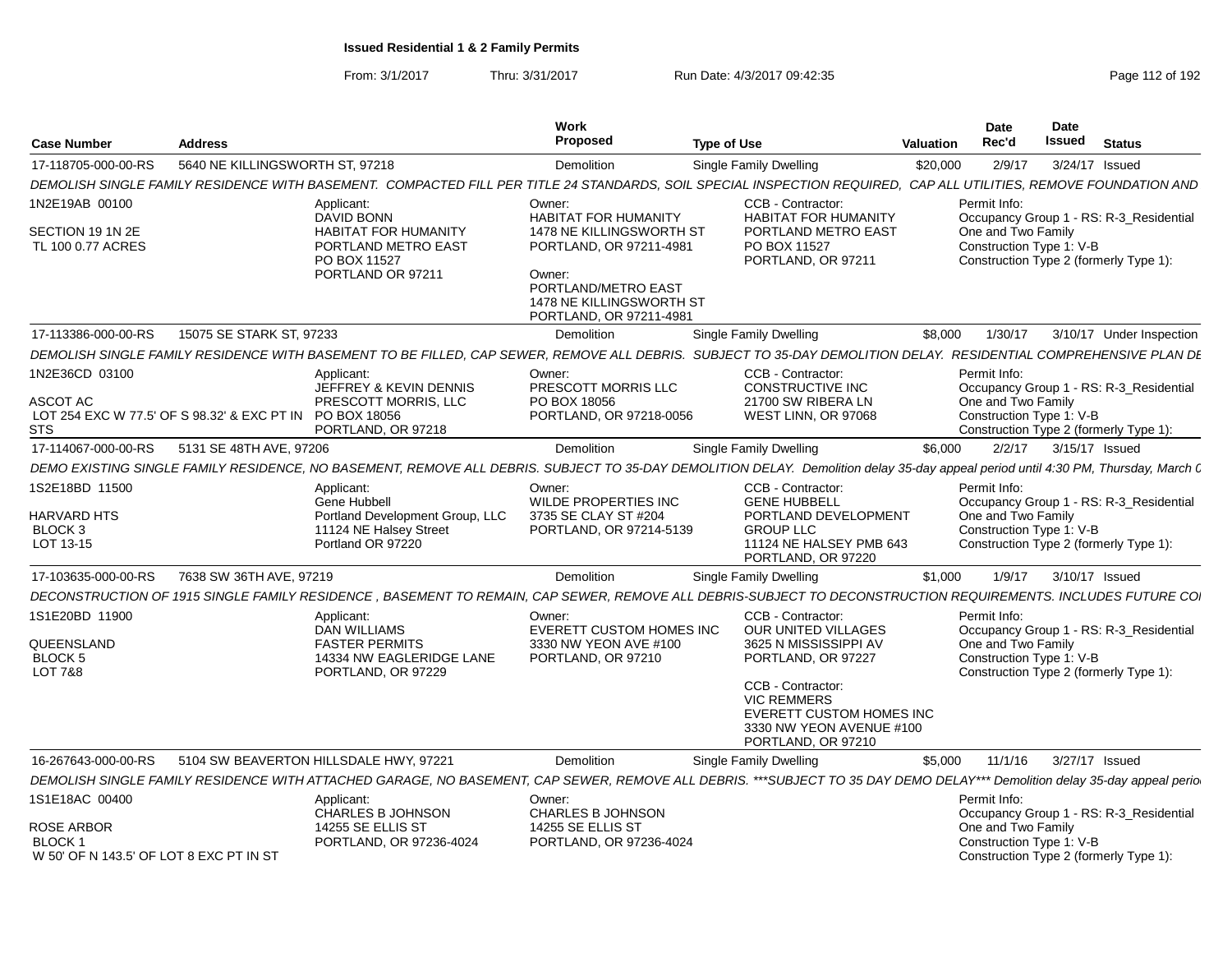|                                                                                    |                                 |                                                                                                                                                                                   | Work                                                                                 |                                                                                                                              |                  | <b>Date</b>                                    | <b>Date</b> |                                                                                   |
|------------------------------------------------------------------------------------|---------------------------------|-----------------------------------------------------------------------------------------------------------------------------------------------------------------------------------|--------------------------------------------------------------------------------------|------------------------------------------------------------------------------------------------------------------------------|------------------|------------------------------------------------|-------------|-----------------------------------------------------------------------------------|
| <b>Case Number</b>                                                                 | <b>Address</b>                  |                                                                                                                                                                                   | <b>Proposed</b>                                                                      | <b>Type of Use</b>                                                                                                           | <b>Valuation</b> | Rec'd                                          | Issued      | <b>Status</b>                                                                     |
| 17-118705-000-00-RS                                                                | 5640 NE KILLINGSWORTH ST, 97218 |                                                                                                                                                                                   | Demolition                                                                           | Single Family Dwelling                                                                                                       | \$20,000         | 2/9/17                                         |             | 3/24/17 Issued                                                                    |
|                                                                                    |                                 | DEMOLISH SINGLE FAMILY RESIDENCE WITH BASEMENT. COMPACTED FILL PER TITLE 24 STANDARDS. SOIL SPECIAL INSPECTION REQUIRED. CAP ALL UTILITIES. REMOVE FOUNDATION AND                 |                                                                                      |                                                                                                                              |                  |                                                |             |                                                                                   |
| 1N2E19AB 00100                                                                     |                                 | Applicant:                                                                                                                                                                        | Owner:                                                                               | CCB - Contractor:                                                                                                            |                  | Permit Info:                                   |             |                                                                                   |
| SECTION 19 1N 2E<br>TL 100 0.77 ACRES                                              |                                 | DAVID BONN<br><b>HABITAT FOR HUMANITY</b><br>PORTLAND METRO EAST<br>PO BOX 11527                                                                                                  | <b>HABITAT FOR HUMANITY</b><br>1478 NE KILLINGSWORTH ST<br>PORTLAND, OR 97211-4981   | <b>HABITAT FOR HUMANITY</b><br>PORTLAND METRO EAST<br>PO BOX 11527<br>PORTLAND, OR 97211                                     |                  | One and Two Family<br>Construction Type 1: V-B |             | Occupancy Group 1 - RS: R-3_Residential<br>Construction Type 2 (formerly Type 1): |
|                                                                                    |                                 | PORTLAND OR 97211                                                                                                                                                                 | Owner:<br>PORTLAND/METRO EAST<br>1478 NE KILLINGSWORTH ST<br>PORTLAND, OR 97211-4981 |                                                                                                                              |                  |                                                |             |                                                                                   |
| 17-113386-000-00-RS                                                                | 15075 SE STARK ST, 97233        |                                                                                                                                                                                   | Demolition                                                                           | Single Family Dwelling                                                                                                       | \$8,000          | 1/30/17                                        |             | 3/10/17 Under Inspection                                                          |
|                                                                                    |                                 | DEMOLISH SINGLE FAMILY RESIDENCE WITH BASEMENT TO BE FILLED. CAP SEWER, REMOVE ALL DEBRIS, SUBJECT TO 35-DAY DEMOLITION DELAY, RESIDENTIAL COMPREHENSIVE PLAN DI                  |                                                                                      |                                                                                                                              |                  |                                                |             |                                                                                   |
| 1N2E36CD 03100                                                                     |                                 | Applicant:<br>JEFFREY & KEVIN DENNIS                                                                                                                                              | Owner:<br>PRESCOTT MORRIS LLC                                                        | CCB - Contractor:<br><b>CONSTRUCTIVE INC</b>                                                                                 |                  | Permit Info:                                   |             | Occupancy Group 1 - RS: R-3_Residential                                           |
| ASCOT AC<br>LOT 254 EXC W 77.5' OF S 98.32' & EXC PT IN PO BOX 18056<br><b>STS</b> |                                 | PRESCOTT MORRIS, LLC<br>PORTLAND, OR 97218                                                                                                                                        | PO BOX 18056<br>PORTLAND, OR 97218-0056                                              | 21700 SW RIBERA LN<br>WEST LINN, OR 97068                                                                                    |                  | One and Two Family<br>Construction Type 1: V-B |             | Construction Type 2 (formerly Type 1):                                            |
| 17-114067-000-00-RS                                                                | 5131 SE 48TH AVE, 97206         |                                                                                                                                                                                   | Demolition                                                                           | <b>Single Family Dwelling</b>                                                                                                | \$6,000          |                                                |             | 2/2/17   3/15/17   Issued                                                         |
|                                                                                    |                                 | DEMO EXISTING SINGLE FAMILY RESIDENCE, NO BASEMENT, REMOVE ALL DEBRIS. SUBJECT TO 35-DAY DEMOLITION DELAY. Demolition delay 35-day appeal period until 4:30 PM, Thursday, March ( |                                                                                      |                                                                                                                              |                  |                                                |             |                                                                                   |
| 1S2E18BD 11500                                                                     |                                 | Applicant:                                                                                                                                                                        | Owner:                                                                               | CCB - Contractor:                                                                                                            |                  | Permit Info:                                   |             |                                                                                   |
| <b>HARVARD HTS</b>                                                                 |                                 | Gene Hubbell<br>Portland Development Group, LLC                                                                                                                                   | <b>WILDE PROPERTIES INC</b><br>3735 SE CLAY ST #204                                  | <b>GENE HUBBELL</b><br>PORTLAND DEVELOPMENT                                                                                  |                  | One and Two Family                             |             | Occupancy Group 1 - RS: R-3_Residential                                           |
| BLOCK <sub>3</sub><br>LOT 13-15                                                    |                                 | 11124 NE Halsey Street<br>Portland OR 97220                                                                                                                                       | PORTLAND, OR 97214-5139                                                              | <b>GROUP LLC</b><br>11124 NE HALSEY PMB 643<br>PORTLAND, OR 97220                                                            |                  | Construction Type 1: V-B                       |             | Construction Type 2 (formerly Type 1):                                            |
| 17-103635-000-00-RS                                                                | 7638 SW 36TH AVE, 97219         |                                                                                                                                                                                   | Demolition                                                                           | Single Family Dwelling                                                                                                       | \$1,000          | 1/9/17                                         |             | 3/10/17 Issued                                                                    |
|                                                                                    |                                 | DECONSTRUCTION OF 1915 SINGLE FAMILY RESIDENCE . BASEMENT TO REMAIN, CAP SEWER, REMOVE ALL DEBRIS-SUBJECT TO DECONSTRUCTION REQUIREMENTS, INCLUDES FUTURE CO.                     |                                                                                      |                                                                                                                              |                  |                                                |             |                                                                                   |
| 1S1E20BD 11900                                                                     |                                 | Applicant:                                                                                                                                                                        | Owner:                                                                               | CCB - Contractor:                                                                                                            |                  | Permit Info:                                   |             |                                                                                   |
| QUEENSLAND<br><b>BLOCK 5</b>                                                       |                                 | <b>DAN WILLIAMS</b><br><b>FASTER PERMITS</b><br>14334 NW EAGLERIDGE LANE                                                                                                          | EVERETT CUSTOM HOMES INC<br>3330 NW YEON AVE #100<br>PORTLAND, OR 97210              | OUR UNITED VILLAGES<br>3625 N MISSISSIPPI AV<br>PORTLAND, OR 97227                                                           |                  | One and Two Family<br>Construction Type 1: V-B |             | Occupancy Group 1 - RS: R-3 Residential<br>Construction Type 2 (formerly Type 1): |
| <b>LOT 7&amp;8</b>                                                                 |                                 | PORTLAND, OR 97229                                                                                                                                                                |                                                                                      | CCB - Contractor:<br><b>VIC REMMERS</b><br><b>EVERETT CUSTOM HOMES INC</b><br>3330 NW YEON AVENUE #100<br>PORTLAND, OR 97210 |                  |                                                |             |                                                                                   |
| 16-267643-000-00-RS                                                                |                                 | 5104 SW BEAVERTON HILLSDALE HWY, 97221                                                                                                                                            | Demolition                                                                           | Single Family Dwelling                                                                                                       | \$5,000          | 11/1/16                                        |             | 3/27/17 Issued                                                                    |
|                                                                                    |                                 | DEMOLISH SINGLE FAMILY RESIDENCE WITH ATTACHED GARAGE, NO BASEMENT, CAP SEWER, REMOVE ALL DEBRIS. ***SUBJECT TO 35 DAY DEMO DELAY*** Demolition delay 35-day appeal perio         |                                                                                      |                                                                                                                              |                  |                                                |             |                                                                                   |
| 1S1E18AC 00400                                                                     |                                 | Applicant:                                                                                                                                                                        | Owner:                                                                               |                                                                                                                              |                  | Permit Info:                                   |             |                                                                                   |
|                                                                                    |                                 | <b>CHARLES B JOHNSON</b>                                                                                                                                                          | <b>CHARLES B JOHNSON</b>                                                             |                                                                                                                              |                  |                                                |             | Occupancy Group 1 - RS: R-3 Residential                                           |
| <b>ROSE ARBOR</b><br><b>BLOCK1</b>                                                 |                                 | <b>14255 SE ELLIS ST</b><br>PORTLAND, OR 97236-4024                                                                                                                               | <b>14255 SE ELLIS ST</b><br>PORTLAND, OR 97236-4024                                  |                                                                                                                              |                  | One and Two Family<br>Construction Type 1: V-B |             |                                                                                   |
| W 50' OF N 143.5' OF LOT 8 EXC PT IN ST                                            |                                 |                                                                                                                                                                                   |                                                                                      |                                                                                                                              |                  |                                                |             | Construction Type 2 (formerly Type 1):                                            |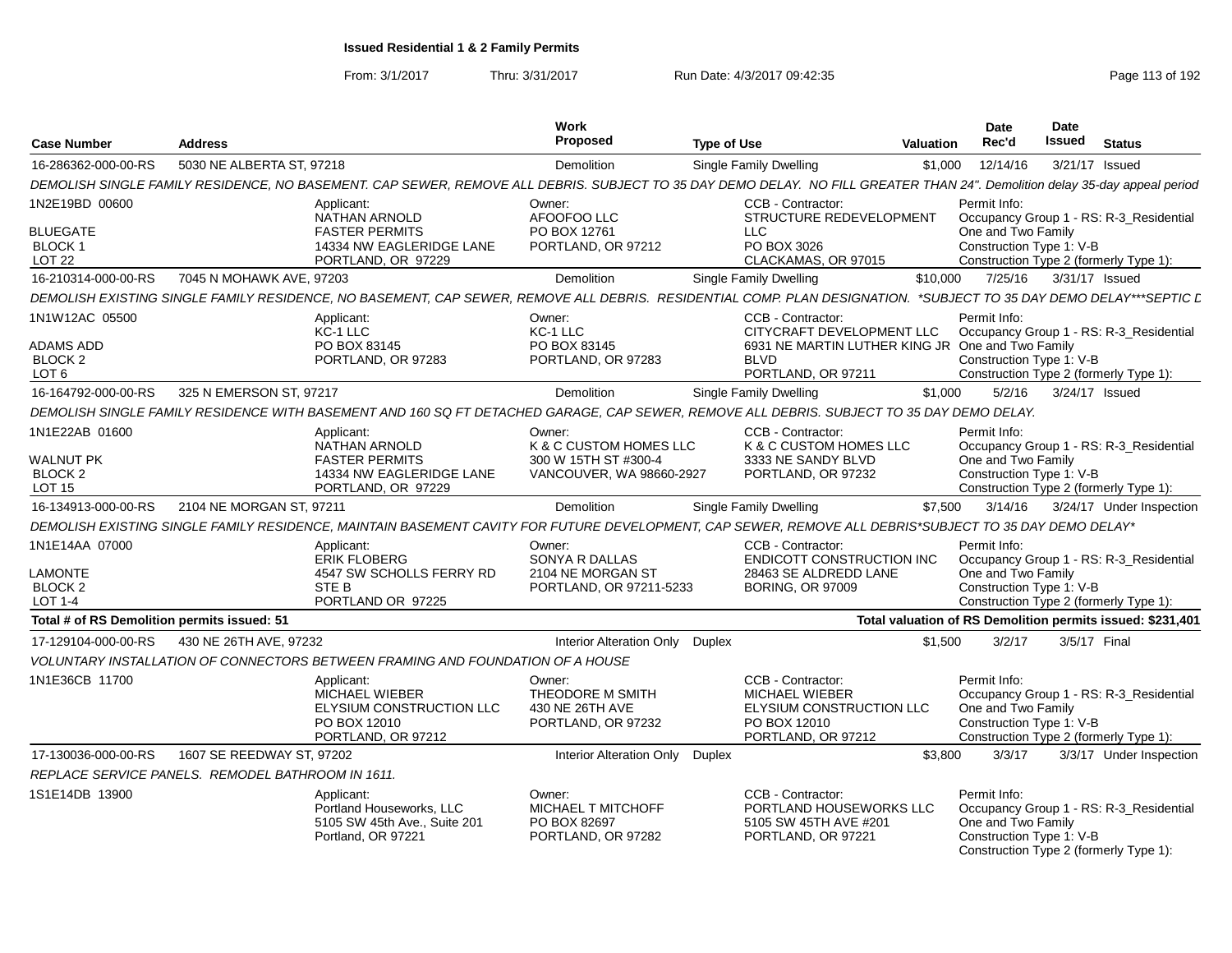| <b>Case Number</b>                                      | <b>Address</b>                                                                                                                                                             | Work<br>Proposed                                                    | <b>Type of Use</b>                                                                                                  | Valuation | <b>Date</b><br>Rec'd                                           | <b>Date</b><br><b>Issued</b> | <b>Status</b>                                                                     |
|---------------------------------------------------------|----------------------------------------------------------------------------------------------------------------------------------------------------------------------------|---------------------------------------------------------------------|---------------------------------------------------------------------------------------------------------------------|-----------|----------------------------------------------------------------|------------------------------|-----------------------------------------------------------------------------------|
| 16-286362-000-00-RS                                     | 5030 NE ALBERTA ST, 97218                                                                                                                                                  | <b>Demolition</b>                                                   | Single Family Dwelling                                                                                              | \$1,000   | 12/14/16                                                       |                              | 3/21/17 Issued                                                                    |
|                                                         | DEMOLISH SINGLE FAMILY RESIDENCE, NO BASEMENT. CAP SEWER, REMOVE ALL DEBRIS. SUBJECT TO 35 DAY DEMO DELAY. NO FILL GREATER THAN 24". Demolition delay 35-day appeal period |                                                                     |                                                                                                                     |           |                                                                |                              |                                                                                   |
| 1N2E19BD 00600                                          | Applicant:<br><b>NATHAN ARNOLD</b>                                                                                                                                         | Owner:<br>AFOOFOO LLC                                               | CCB - Contractor:<br>STRUCTURE REDEVELOPMENT                                                                        |           | Permit Info:                                                   |                              | Occupancy Group 1 - RS: R-3_Residential                                           |
| <b>BLUEGATE</b><br>BLOCK 1<br>LOT <sub>22</sub>         | <b>FASTER PERMITS</b><br>14334 NW EAGLERIDGE LANE<br>PORTLAND, OR 97229                                                                                                    | PO BOX 12761<br>PORTLAND, OR 97212                                  | <b>LLC</b><br>PO BOX 3026<br>CLACKAMAS, OR 97015                                                                    |           | One and Two Family<br>Construction Type 1: V-B                 |                              | Construction Type 2 (formerly Type 1):                                            |
| 16-210314-000-00-RS                                     | 7045 N MOHAWK AVE, 97203                                                                                                                                                   | <b>Demolition</b>                                                   | Single Family Dwelling                                                                                              | \$10.000  | 7/25/16                                                        |                              | 3/31/17 Issued                                                                    |
|                                                         | DEMOLISH EXISTING SINGLE FAMILY RESIDENCE, NO BASEMENT, CAP SEWER, REMOVE ALL DEBRIS. RESIDENTIAL COMP. PLAN DESIGNATION. *SUBJECT TO 35 DAY DEMO DELAY***SEPTIC L         |                                                                     |                                                                                                                     |           |                                                                |                              |                                                                                   |
| 1N1W12AC 05500<br><b>ADAMS ADD</b>                      | Applicant:<br>KC-1 LLC<br>PO BOX 83145                                                                                                                                     | Owner:<br>KC-1 LLC<br>PO BOX 83145                                  | CCB - Contractor:<br>CITYCRAFT DEVELOPMENT LLC<br>6931 NE MARTIN LUTHER KING JR One and Two Family                  |           | Permit Info:                                                   |                              | Occupancy Group 1 - RS: R-3_Residential                                           |
| BLOCK <sub>2</sub><br>LOT <sub>6</sub>                  | PORTLAND, OR 97283                                                                                                                                                         | PORTLAND, OR 97283                                                  | <b>BLVD</b><br>PORTLAND, OR 97211                                                                                   |           | Construction Type 1: V-B                                       |                              | Construction Type 2 (formerly Type 1):                                            |
| 16-164792-000-00-RS                                     | 325 N EMERSON ST, 97217                                                                                                                                                    | <b>Demolition</b>                                                   | <b>Single Family Dwelling</b>                                                                                       | \$1,000   | 5/2/16                                                         |                              | 3/24/17 Issued                                                                    |
|                                                         | DEMOLISH SINGLE FAMILY RESIDENCE WITH BASEMENT AND 160 SQ FT DETACHED GARAGE, CAP SEWER, REMOVE ALL DEBRIS. SUBJECT TO 35 DAY DEMO DELAY.                                  |                                                                     |                                                                                                                     |           |                                                                |                              |                                                                                   |
| 1N1E22AB 01600                                          | Applicant:<br>NATHAN ARNOLD                                                                                                                                                | Owner:<br>K & C CUSTOM HOMES LLC                                    | CCB - Contractor:<br>K & C CUSTOM HOMES LLC                                                                         |           | Permit Info:                                                   |                              | Occupancy Group 1 - RS: R-3_Residential                                           |
| <b>WALNUT PK</b><br>BLOCK <sub>2</sub><br><b>LOT 15</b> | <b>FASTER PERMITS</b><br>14334 NW EAGLERIDGE LANE<br>PORTLAND, OR 97229                                                                                                    | 300 W 15TH ST #300-4<br>VANCOUVER, WA 98660-2927                    | 3333 NE SANDY BLVD<br>PORTLAND, OR 97232                                                                            |           | One and Two Family<br>Construction Type 1: V-B                 |                              | Construction Type 2 (formerly Type 1):                                            |
| 16-134913-000-00-RS                                     | 2104 NE MORGAN ST. 97211                                                                                                                                                   | <b>Demolition</b>                                                   | Single Family Dwelling                                                                                              | \$7.500   | 3/14/16                                                        |                              | 3/24/17 Under Inspection                                                          |
|                                                         | DEMOLISH EXISTING SINGLE FAMILY RESIDENCE, MAINTAIN BASEMENT CAVITY FOR FUTURE DEVELOPMENT, CAP SEWER, REMOVE ALL DEBRIS*SUBJECT TO 35 DAY DEMO DELAY*                     |                                                                     |                                                                                                                     |           |                                                                |                              |                                                                                   |
| 1N1E14AA 07000                                          | Applicant:<br><b>ERIK FLOBERG</b>                                                                                                                                          | Owner:<br>SONYA R DALLAS                                            | CCB - Contractor:<br>ENDICOTT CONSTRUCTION INC                                                                      |           | Permit Info:                                                   |                              | Occupancy Group 1 - RS: R-3 Residential                                           |
| <b>LAMONTE</b><br><b>BLOCK 2</b><br>LOT 1-4             | 4547 SW SCHOLLS FERRY RD<br>STE B<br>PORTLAND OR 97225                                                                                                                     | 2104 NE MORGAN ST<br>PORTLAND, OR 97211-5233                        | 28463 SE ALDREDD LANE<br><b>BORING, OR 97009</b>                                                                    |           | One and Two Family<br>Construction Type 1: V-B                 |                              | Construction Type 2 (formerly Type 1):                                            |
| Total # of RS Demolition permits issued: 51             |                                                                                                                                                                            |                                                                     |                                                                                                                     |           |                                                                |                              | Total valuation of RS Demolition permits issued: \$231,401                        |
| 17-129104-000-00-RS                                     | 430 NE 26TH AVE, 97232                                                                                                                                                     | Interior Alteration Only Duplex                                     |                                                                                                                     | \$1.500   | 3/2/17                                                         |                              | 3/5/17 Final                                                                      |
|                                                         | VOLUNTARY INSTALLATION OF CONNECTORS BETWEEN FRAMING AND FOUNDATION OF A HOUSE                                                                                             |                                                                     |                                                                                                                     |           |                                                                |                              |                                                                                   |
| 1N1E36CB 11700                                          | Applicant:<br><b>MICHAEL WIEBER</b><br>ELYSIUM CONSTRUCTION LLC<br>PO BOX 12010<br>PORTLAND, OR 97212                                                                      | Owner:<br>THEODORE M SMITH<br>430 NE 26TH AVE<br>PORTLAND, OR 97232 | CCB - Contractor:<br><b>MICHAEL WIEBER</b><br><b>ELYSIUM CONSTRUCTION LLC</b><br>PO BOX 12010<br>PORTLAND, OR 97212 |           | Permit Info:<br>One and Two Family<br>Construction Type 1: V-B |                              | Occupancy Group 1 - RS: R-3 Residential<br>Construction Type 2 (formerly Type 1): |
| 17-130036-000-00-RS                                     | 1607 SE REEDWAY ST, 97202                                                                                                                                                  | Interior Alteration Only Duplex                                     |                                                                                                                     | \$3,800   | 3/3/17                                                         |                              | 3/3/17 Under Inspection                                                           |
|                                                         | REPLACE SERVICE PANELS. REMODEL BATHROOM IN 1611.                                                                                                                          |                                                                     |                                                                                                                     |           |                                                                |                              |                                                                                   |
| 1S1E14DB 13900                                          | Applicant:<br>Portland Houseworks, LLC<br>5105 SW 45th Ave., Suite 201<br>Portland, OR 97221                                                                               | Owner:<br>MICHAEL T MITCHOFF<br>PO BOX 82697<br>PORTLAND, OR 97282  | CCB - Contractor:<br>PORTLAND HOUSEWORKS LLC<br>5105 SW 45TH AVE #201<br>PORTLAND, OR 97221                         |           | Permit Info:<br>One and Two Family<br>Construction Type 1: V-B |                              | Occupancy Group 1 - RS: R-3_Residential<br>Construction Type 2 (formerly Type 1): |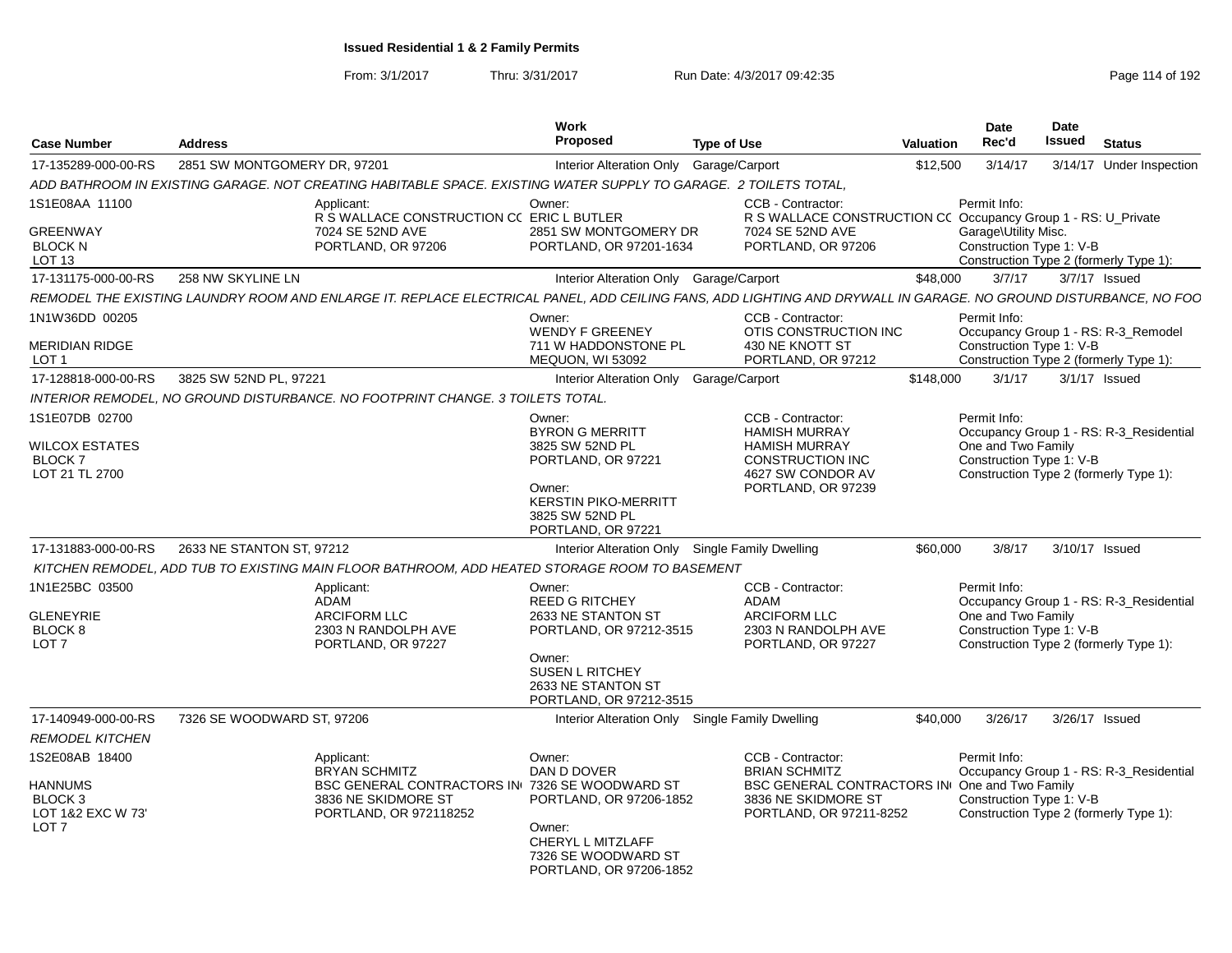| <b>Case Number</b>                                          | <b>Address</b>                                                                                                                                                  | Work<br><b>Proposed</b>                                                           | <b>Type of Use</b>                                                                  | Valuation | <b>Date</b><br>Rec'd                                                                     | <b>Date</b><br>Issued | <b>Status</b>                           |
|-------------------------------------------------------------|-----------------------------------------------------------------------------------------------------------------------------------------------------------------|-----------------------------------------------------------------------------------|-------------------------------------------------------------------------------------|-----------|------------------------------------------------------------------------------------------|-----------------------|-----------------------------------------|
| 17-135289-000-00-RS                                         | 2851 SW MONTGOMERY DR, 97201                                                                                                                                    | Interior Alteration Only Garage/Carport                                           |                                                                                     | \$12,500  | 3/14/17                                                                                  |                       | 3/14/17 Under Inspection                |
|                                                             | ADD BATHROOM IN EXISTING GARAGE. NOT CREATING HABITABLE SPACE. EXISTING WATER SUPPLY TO GARAGE. 2 TOILETS TOTAL,                                                |                                                                                   |                                                                                     |           |                                                                                          |                       |                                         |
| 1S1E08AA 11100                                              | Applicant:<br>R S WALLACE CONSTRUCTION CC ERIC L BUTLER                                                                                                         | Owner:                                                                            | CCB - Contractor:<br>R S WALLACE CONSTRUCTION CC Occupancy Group 1 - RS: U_Private  |           | Permit Info:                                                                             |                       |                                         |
| <b>GREENWAY</b><br><b>BLOCK N</b><br>LOT <sub>13</sub>      | 7024 SE 52ND AVE<br>PORTLAND, OR 97206                                                                                                                          | 2851 SW MONTGOMERY DR<br>PORTLAND, OR 97201-1634                                  | 7024 SE 52ND AVE<br>PORTLAND, OR 97206                                              |           | Garage\Utility Misc.<br>Construction Type 1: V-B                                         |                       | Construction Type 2 (formerly Type 1):  |
| 17-131175-000-00-RS                                         | 258 NW SKYLINE LN                                                                                                                                               | Interior Alteration Only Garage/Carport                                           |                                                                                     | \$48,000  | 3/7/17                                                                                   |                       | $3/7/17$ Issued                         |
|                                                             | REMODEL THE EXISTING LAUNDRY ROOM AND ENLARGE IT. REPLACE ELECTRICAL PANEL, ADD CEILING FANS, ADD LIGHTING AND DRYWALL IN GARAGE. NO GROUND DISTURBANCE, NO FOC |                                                                                   |                                                                                     |           |                                                                                          |                       |                                         |
| 1N1W36DD 00205                                              |                                                                                                                                                                 | Owner:<br><b>WENDY F GREENEY</b>                                                  | CCB - Contractor:<br>OTIS CONSTRUCTION INC                                          |           | Permit Info:                                                                             |                       | Occupancy Group 1 - RS: R-3_Remodel     |
| <b>MERIDIAN RIDGE</b><br>LOT <sub>1</sub>                   |                                                                                                                                                                 | 711 W HADDONSTONE PL<br>MEQUON, WI 53092                                          | 430 NE KNOTT ST<br>PORTLAND, OR 97212                                               |           | Construction Type 1: V-B                                                                 |                       | Construction Type 2 (formerly Type 1):  |
| 17-128818-000-00-RS                                         | 3825 SW 52ND PL, 97221                                                                                                                                          | Interior Alteration Only Garage/Carport                                           |                                                                                     | \$148,000 | 3/1/17                                                                                   |                       | $3/1/17$ Issued                         |
|                                                             | INTERIOR REMODEL, NO GROUND DISTURBANCE. NO FOOTPRINT CHANGE. 3 TOILETS TOTAL.                                                                                  |                                                                                   |                                                                                     |           |                                                                                          |                       |                                         |
| 1S1E07DB 02700                                              |                                                                                                                                                                 | Owner:<br><b>BYRON G MERRITT</b>                                                  | CCB - Contractor:<br><b>HAMISH MURRAY</b>                                           |           | Permit Info:                                                                             |                       | Occupancy Group 1 - RS: R-3 Residential |
| WILCOX ESTATES<br><b>BLOCK7</b><br>LOT 21 TL 2700           |                                                                                                                                                                 | 3825 SW 52ND PL<br>PORTLAND, OR 97221                                             | <b>HAMISH MURRAY</b><br><b>CONSTRUCTION INC</b><br>4627 SW CONDOR AV                |           | One and Two Family<br>Construction Type 1: V-B<br>Construction Type 2 (formerly Type 1): |                       |                                         |
|                                                             |                                                                                                                                                                 | Owner:<br><b>KERSTIN PIKO-MERRITT</b><br>3825 SW 52ND PL<br>PORTLAND, OR 97221    | PORTLAND, OR 97239                                                                  |           |                                                                                          |                       |                                         |
| 17-131883-000-00-RS                                         | 2633 NE STANTON ST, 97212                                                                                                                                       |                                                                                   | Interior Alteration Only Single Family Dwelling                                     | \$60,000  | 3/8/17                                                                                   |                       | 3/10/17 Issued                          |
|                                                             | KITCHEN REMODEL, ADD TUB TO EXISTING MAIN FLOOR BATHROOM, ADD HEATED STORAGE ROOM TO BASEMENT                                                                   |                                                                                   |                                                                                     |           |                                                                                          |                       |                                         |
| 1N1E25BC 03500                                              | Applicant:<br>ADAM                                                                                                                                              | Owner:<br><b>REED G RITCHEY</b>                                                   | CCB - Contractor:<br><b>ADAM</b>                                                    |           | Permit Info:                                                                             |                       | Occupancy Group 1 - RS: R-3_Residential |
| <b>GLENEYRIE</b>                                            | <b>ARCIFORM LLC</b>                                                                                                                                             | 2633 NE STANTON ST                                                                | <b>ARCIFORM LLC</b>                                                                 |           | One and Two Family                                                                       |                       |                                         |
| BLOCK 8<br>LOT <sub>7</sub>                                 | 2303 N RANDOLPH AVE<br>PORTLAND, OR 97227                                                                                                                       | PORTLAND, OR 97212-3515                                                           | 2303 N RANDOLPH AVE<br>PORTLAND, OR 97227                                           |           | Construction Type 1: V-B<br>Construction Type 2 (formerly Type 1):                       |                       |                                         |
|                                                             |                                                                                                                                                                 | Owner:<br><b>SUSEN L RITCHEY</b><br>2633 NE STANTON ST<br>PORTLAND, OR 97212-3515 |                                                                                     |           |                                                                                          |                       |                                         |
| 17-140949-000-00-RS                                         | 7326 SE WOODWARD ST, 97206                                                                                                                                      | <b>Interior Alteration Only</b>                                                   | Single Family Dwelling                                                              | \$40,000  | 3/26/17                                                                                  |                       | 3/26/17 Issued                          |
| <b>REMODEL KITCHEN</b>                                      |                                                                                                                                                                 |                                                                                   |                                                                                     |           |                                                                                          |                       |                                         |
| 1S2E08AB 18400                                              | Applicant:<br><b>BRYAN SCHMITZ</b>                                                                                                                              | Owner:<br>DAN D DOVER                                                             | CCB - Contractor:<br><b>BRIAN SCHMITZ</b>                                           |           | Permit Info:                                                                             |                       | Occupancy Group 1 - RS: R-3_Residential |
| HANNUMS<br>BLOCK 3<br>LOT 1&2 EXC W 73'<br>LOT <sub>7</sub> | BSC GENERAL CONTRACTORS IN 7326 SE WOODWARD ST<br>3836 NE SKIDMORE ST<br>PORTLAND, OR 972118252                                                                 | PORTLAND, OR 97206-1852<br>Owner:<br>CHERYL L MITZLAFF                            | <b>BSC GENERAL CONTRACTORS IN</b><br>3836 NE SKIDMORE ST<br>PORTLAND, OR 97211-8252 |           | One and Two Family<br>Construction Type 1: V-B<br>Construction Type 2 (formerly Type 1): |                       |                                         |
|                                                             |                                                                                                                                                                 | 7326 SE WOODWARD ST<br>PORTLAND, OR 97206-1852                                    |                                                                                     |           |                                                                                          |                       |                                         |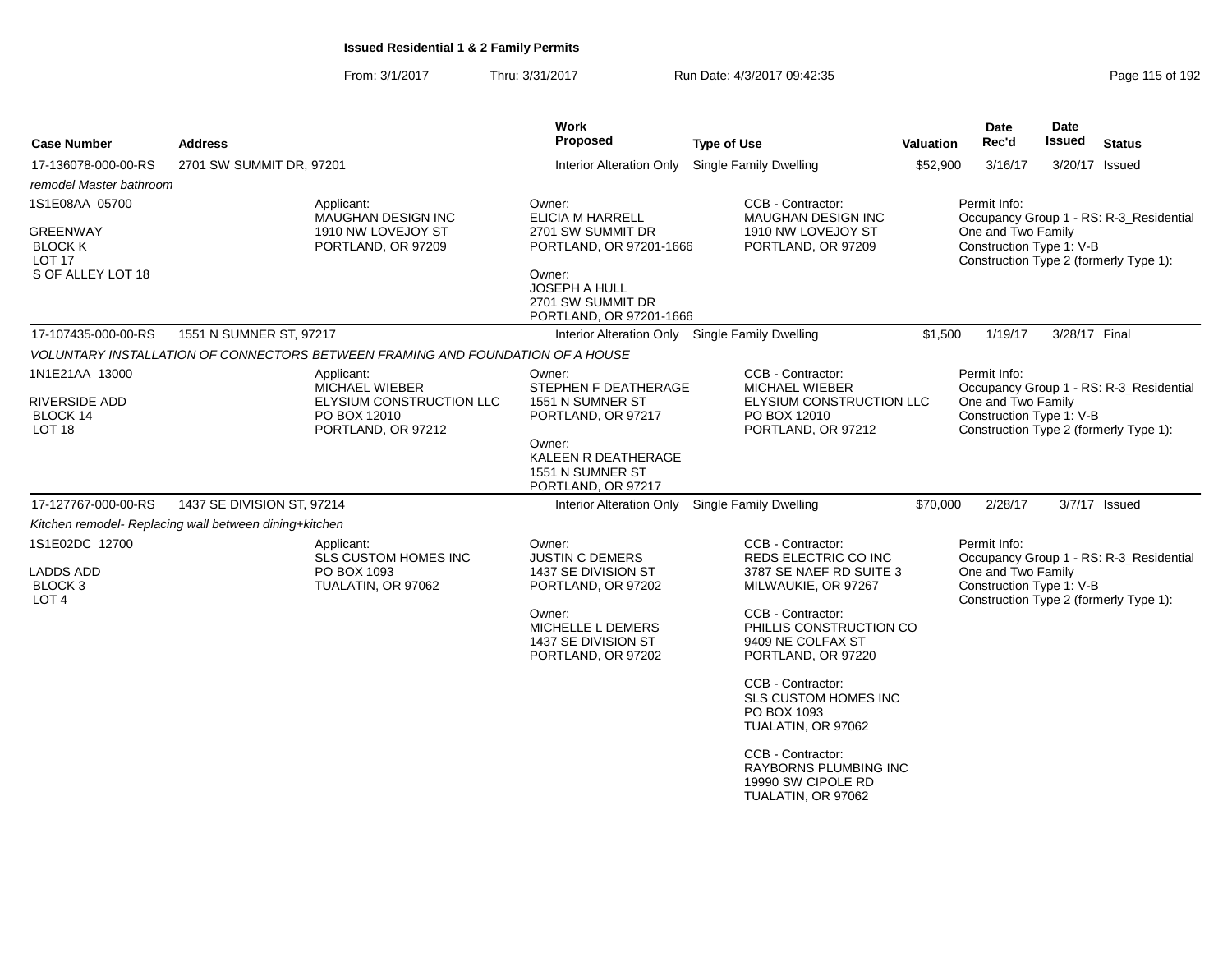| <b>Case Number</b>                                    | <b>Address</b>                                                                 | Work<br><b>Proposed</b>                                                        | <b>Type of Use</b>                                                                            | <b>Valuation</b> | <b>Date</b><br>Rec'd                           | <b>Date</b><br>Issued | <b>Status</b>                           |
|-------------------------------------------------------|--------------------------------------------------------------------------------|--------------------------------------------------------------------------------|-----------------------------------------------------------------------------------------------|------------------|------------------------------------------------|-----------------------|-----------------------------------------|
| 17-136078-000-00-RS                                   | 2701 SW SUMMIT DR, 97201                                                       | Interior Alteration Only Single Family Dwelling                                |                                                                                               | \$52,900         | 3/16/17                                        |                       | 3/20/17 Issued                          |
| remodel Master bathroom                               |                                                                                |                                                                                |                                                                                               |                  |                                                |                       |                                         |
| 1S1E08AA 05700                                        | Applicant:<br>MAUGHAN DESIGN INC                                               | Owner:<br><b>ELICIA M HARRELL</b>                                              | CCB - Contractor:<br><b>MAUGHAN DESIGN INC</b>                                                |                  | Permit Info:                                   |                       | Occupancy Group 1 - RS: R-3_Residential |
| <b>GREENWAY</b><br><b>BLOCK K</b><br><b>LOT 17</b>    | 1910 NW LOVEJOY ST<br>PORTLAND, OR 97209                                       | 2701 SW SUMMIT DR<br>PORTLAND, OR 97201-1666                                   | 1910 NW LOVEJOY ST<br>PORTLAND, OR 97209                                                      |                  | One and Two Family<br>Construction Type 1: V-B |                       | Construction Type 2 (formerly Type 1):  |
| S OF ALLEY LOT 18                                     |                                                                                | Owner:<br><b>JOSEPH A HULL</b><br>2701 SW SUMMIT DR<br>PORTLAND, OR 97201-1666 |                                                                                               |                  |                                                |                       |                                         |
| 17-107435-000-00-RS                                   | 1551 N SUMNER ST, 97217                                                        | Interior Alteration Only Single Family Dwelling                                |                                                                                               | \$1,500          | 1/19/17                                        | 3/28/17 Final         |                                         |
|                                                       | VOLUNTARY INSTALLATION OF CONNECTORS BETWEEN FRAMING AND FOUNDATION OF A HOUSE |                                                                                |                                                                                               |                  |                                                |                       |                                         |
| 1N1E21AA 13000                                        | Applicant:<br><b>MICHAEL WIEBER</b>                                            | Owner:<br>STEPHEN F DEATHERAGE                                                 | CCB - Contractor:<br><b>MICHAEL WIEBER</b>                                                    |                  | Permit Info:                                   |                       | Occupancy Group 1 - RS: R-3 Residential |
| <b>RIVERSIDE ADD</b><br>BLOCK 14<br>LOT <sub>18</sub> | ELYSIUM CONSTRUCTION LLC<br>PO BOX 12010<br>PORTLAND, OR 97212                 | 1551 N SUMNER ST<br>PORTLAND, OR 97217                                         | ELYSIUM CONSTRUCTION LLC<br>PO BOX 12010<br>PORTLAND, OR 97212                                |                  | One and Two Family<br>Construction Type 1: V-B |                       | Construction Type 2 (formerly Type 1):  |
|                                                       |                                                                                | Owner:<br>KALEEN R DEATHERAGE<br>1551 N SUMNER ST<br>PORTLAND, OR 97217        |                                                                                               |                  |                                                |                       |                                         |
| 17-127767-000-00-RS                                   | 1437 SE DIVISION ST, 97214                                                     | Interior Alteration Only Single Family Dwelling                                |                                                                                               | \$70,000         | 2/28/17                                        |                       | 3/7/17 Issued                           |
|                                                       | Kitchen remodel- Replacing wall between dining+kitchen                         |                                                                                |                                                                                               |                  |                                                |                       |                                         |
| 1S1E02DC 12700                                        | Applicant:<br><b>SLS CUSTOM HOMES INC</b>                                      | Owner:<br><b>JUSTIN C DEMERS</b>                                               | CCB - Contractor:<br>REDS ELECTRIC CO INC                                                     |                  | Permit Info:                                   |                       | Occupancy Group 1 - RS: R-3_Residential |
| <b>LADDS ADD</b><br><b>BLOCK3</b><br>LOT <sub>4</sub> | PO BOX 1093<br>TUALATIN, OR 97062                                              | 1437 SE DIVISION ST<br>PORTLAND, OR 97202                                      | 3787 SE NAEF RD SUITE 3<br>MILWAUKIE, OR 97267                                                |                  | One and Two Family<br>Construction Type 1: V-B |                       | Construction Type 2 (formerly Type 1):  |
|                                                       |                                                                                | Owner:<br>MICHELLE L DEMERS<br>1437 SE DIVISION ST<br>PORTLAND, OR 97202       | CCB - Contractor:<br>PHILLIS CONSTRUCTION CO<br>9409 NE COLFAX ST<br>PORTLAND, OR 97220       |                  |                                                |                       |                                         |
|                                                       |                                                                                |                                                                                | CCB - Contractor:<br><b>SLS CUSTOM HOMES INC</b><br>PO BOX 1093<br>TUALATIN, OR 97062         |                  |                                                |                       |                                         |
|                                                       |                                                                                |                                                                                | CCB - Contractor:<br><b>RAYBORNS PLUMBING INC</b><br>19990 SW CIPOLE RD<br>TUALATIN, OR 97062 |                  |                                                |                       |                                         |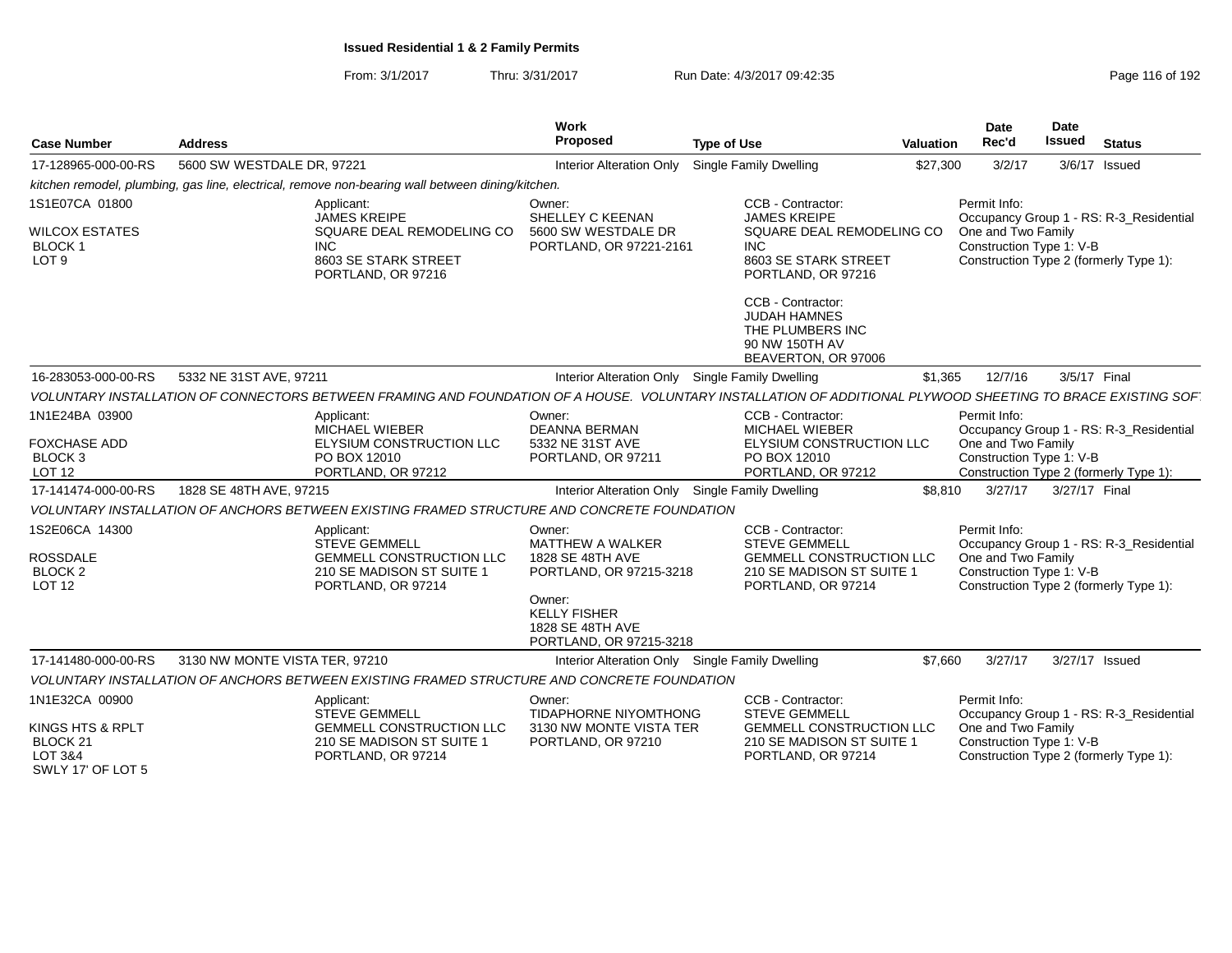| <b>Case Number</b>                                                           | <b>Address</b>                                                                                                                                                                                                          | Work<br>Proposed                                                                                                                                                 | <b>Type of Use</b>                                                                                                                | <b>Valuation</b> | <b>Date</b><br>Rec'd                                           | <b>Date</b><br>Issued | <b>Status</b>                                                                     |
|------------------------------------------------------------------------------|-------------------------------------------------------------------------------------------------------------------------------------------------------------------------------------------------------------------------|------------------------------------------------------------------------------------------------------------------------------------------------------------------|-----------------------------------------------------------------------------------------------------------------------------------|------------------|----------------------------------------------------------------|-----------------------|-----------------------------------------------------------------------------------|
| 17-128965-000-00-RS                                                          | 5600 SW WESTDALE DR, 97221                                                                                                                                                                                              | <b>Interior Alteration Only</b>                                                                                                                                  | Single Family Dwelling                                                                                                            | \$27,300         | 3/2/17                                                         |                       | 3/6/17 Issued                                                                     |
|                                                                              | kitchen remodel, plumbing, gas line, electrical, remove non-bearing wall between dining/kitchen.                                                                                                                        |                                                                                                                                                                  |                                                                                                                                   |                  |                                                                |                       |                                                                                   |
| 1S1E07CA 01800<br><b>WILCOX ESTATES</b><br><b>BLOCK1</b><br>LOT <sub>9</sub> | Applicant:<br><b>JAMES KREIPE</b><br>SQUARE DEAL REMODELING CO<br><b>INC</b><br>8603 SE STARK STREET<br>PORTLAND, OR 97216                                                                                              | Owner:<br>SHELLEY C KEENAN<br>5600 SW WESTDALE DR<br>PORTLAND, OR 97221-2161                                                                                     | CCB - Contractor:<br><b>JAMES KREIPE</b><br>SQUARE DEAL REMODELING CO<br><b>INC</b><br>8603 SE STARK STREET<br>PORTLAND, OR 97216 |                  | Permit Info:<br>One and Two Family<br>Construction Type 1: V-B |                       | Occupancy Group 1 - RS: R-3 Residential<br>Construction Type 2 (formerly Type 1): |
|                                                                              |                                                                                                                                                                                                                         |                                                                                                                                                                  | CCB - Contractor:<br><b>JUDAH HAMNES</b><br>THE PLUMBERS INC<br>90 NW 150TH AV<br>BEAVERTON, OR 97006                             |                  |                                                                |                       |                                                                                   |
| 16-283053-000-00-RS                                                          | 5332 NE 31ST AVE, 97211                                                                                                                                                                                                 |                                                                                                                                                                  | Interior Alteration Only Single Family Dwelling                                                                                   | \$1.365          | 12/7/16                                                        | 3/5/17 Final          |                                                                                   |
|                                                                              | VOLUNTARY INSTALLATION OF CONNECTORS BETWEEN FRAMING AND FOUNDATION OF A HOUSE. VOLUNTARY INSTALLATION OF ADDITIONAL PLYWOOD SHEETING TO BRACE EXISTING SOF                                                             |                                                                                                                                                                  |                                                                                                                                   |                  |                                                                |                       |                                                                                   |
| 1N1E24BA 03900<br><b>FOXCHASE ADD</b><br><b>BLOCK 3</b><br><b>LOT 12</b>     | Applicant:<br><b>MICHAEL WIEBER</b><br>ELYSIUM CONSTRUCTION LLC<br>PO BOX 12010<br>PORTLAND, OR 97212                                                                                                                   | Owner:<br><b>DEANNA BERMAN</b><br>5332 NE 31ST AVE<br>PORTLAND, OR 97211                                                                                         | CCB - Contractor:<br><b>MICHAEL WIEBER</b><br>ELYSIUM CONSTRUCTION LLC<br>PO BOX 12010<br>PORTLAND, OR 97212                      |                  | Permit Info:<br>One and Two Family<br>Construction Type 1: V-B |                       | Occupancy Group 1 - RS: R-3_Residential                                           |
| 17-141474-000-00-RS                                                          | 1828 SE 48TH AVE, 97215                                                                                                                                                                                                 |                                                                                                                                                                  | Interior Alteration Only Single Family Dwelling                                                                                   | \$8,810          | 3/27/17                                                        | 3/27/17 Final         | Construction Type 2 (formerly Type 1):                                            |
|                                                                              |                                                                                                                                                                                                                         |                                                                                                                                                                  |                                                                                                                                   |                  |                                                                |                       |                                                                                   |
| 1S2E06CA 14300<br><b>ROSSDALE</b><br>BLOCK <sub>2</sub><br><b>LOT 12</b>     | VOLUNTARY INSTALLATION OF ANCHORS BETWEEN EXISTING FRAMED STRUCTURE AND CONCRETE FOUNDATION<br>Applicant:<br><b>STEVE GEMMELL</b><br><b>GEMMELL CONSTRUCTION LLC</b><br>210 SE MADISON ST SUITE 1<br>PORTLAND, OR 97214 | Owner:<br><b>MATTHEW A WALKER</b><br>1828 SE 48TH AVE<br>PORTLAND, OR 97215-3218<br>Owner:<br><b>KELLY FISHER</b><br>1828 SE 48TH AVE<br>PORTLAND, OR 97215-3218 | CCB - Contractor:<br><b>STEVE GEMMELL</b><br>GEMMELL CONSTRUCTION LLC<br>210 SE MADISON ST SUITE 1<br>PORTLAND, OR 97214          |                  | Permit Info:<br>One and Two Family<br>Construction Type 1: V-B |                       | Occupancy Group 1 - RS: R-3 Residential<br>Construction Type 2 (formerly Type 1): |
| 17-141480-000-00-RS                                                          | 3130 NW MONTE VISTA TER, 97210                                                                                                                                                                                          |                                                                                                                                                                  | Interior Alteration Only Single Family Dwelling                                                                                   | \$7,660          | 3/27/17                                                        |                       | 3/27/17 Issued                                                                    |
|                                                                              | VOLUNTARY INSTALLATION OF ANCHORS BETWEEN EXISTING FRAMED STRUCTURE AND CONCRETE FOUNDATION                                                                                                                             |                                                                                                                                                                  |                                                                                                                                   |                  |                                                                |                       |                                                                                   |
| 1N1E32CA 00900<br>KINGS HTS & RPLT                                           | Applicant:<br><b>STEVE GEMMELL</b><br><b>GEMMELL CONSTRUCTION LLC</b>                                                                                                                                                   | Owner:<br><b>TIDAPHORNE NIYOMTHONG</b><br>3130 NW MONTE VISTA TER                                                                                                | CCB - Contractor:<br><b>STEVE GEMMELL</b><br><b>GEMMELL CONSTRUCTION LLC</b>                                                      |                  | Permit Info:<br>One and Two Family                             |                       | Occupancy Group 1 - RS: R-3_Residential                                           |
| BLOCK <sub>21</sub><br>LOT 3&4<br>SWLY 17' OF LOT 5                          | 210 SE MADISON ST SUITE 1<br>PORTLAND, OR 97214                                                                                                                                                                         | PORTLAND, OR 97210                                                                                                                                               | 210 SE MADISON ST SUITE 1<br>PORTLAND, OR 97214                                                                                   |                  | Construction Type 1: V-B                                       |                       | Construction Type 2 (formerly Type 1):                                            |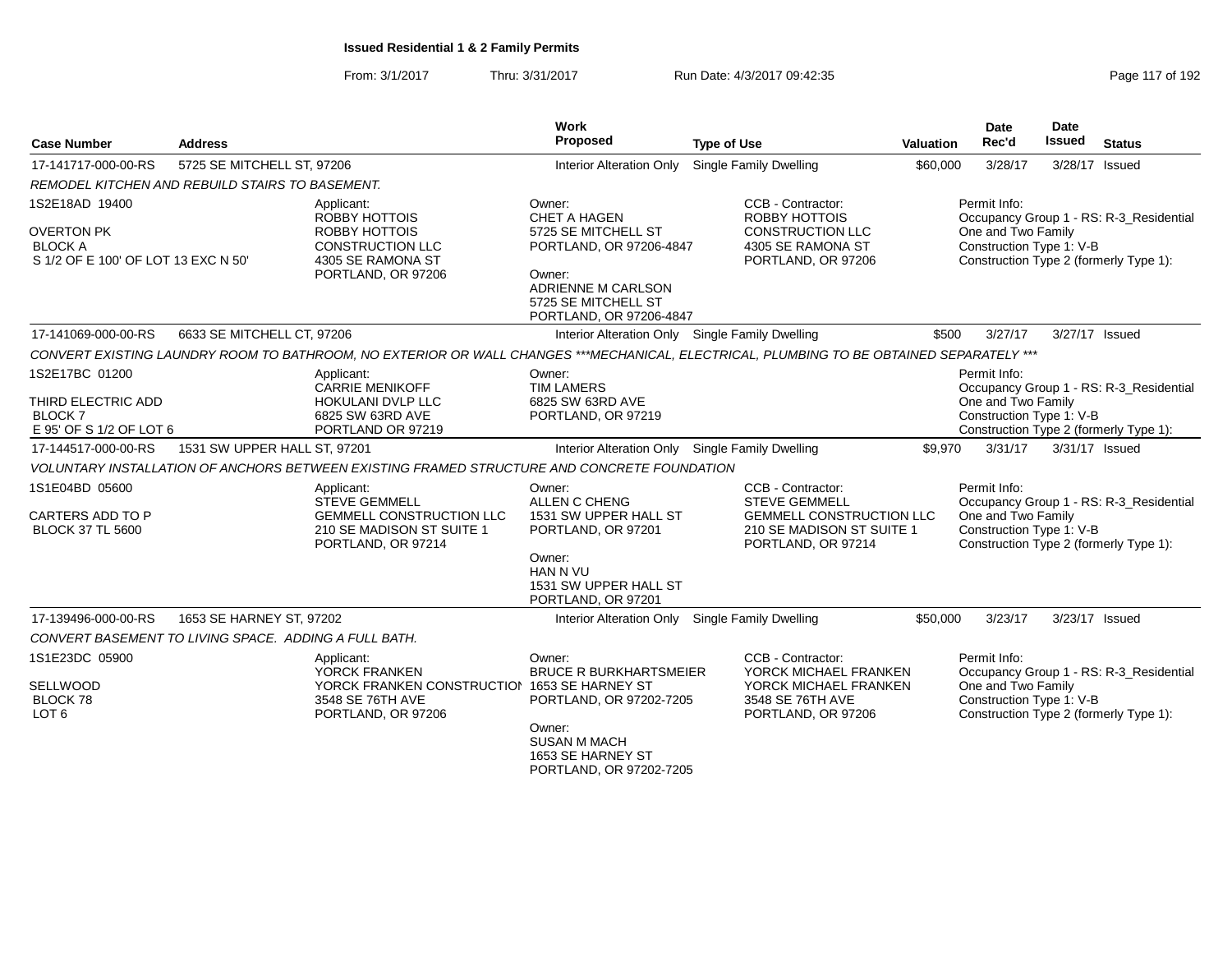| <b>Case Number</b>                                                                           | <b>Address</b>                                        |                                                                                                                                          | Work<br>Proposed                                                                                                                                           | <b>Type of Use</b>                                                                                                       | <b>Valuation</b> | <b>Date</b><br>Rec'd                                           | Date<br>Issued | <b>Status</b>                                                                     |
|----------------------------------------------------------------------------------------------|-------------------------------------------------------|------------------------------------------------------------------------------------------------------------------------------------------|------------------------------------------------------------------------------------------------------------------------------------------------------------|--------------------------------------------------------------------------------------------------------------------------|------------------|----------------------------------------------------------------|----------------|-----------------------------------------------------------------------------------|
| 17-141717-000-00-RS                                                                          | 5725 SE MITCHELL ST, 97206                            |                                                                                                                                          | <b>Interior Alteration Only</b>                                                                                                                            | <b>Single Family Dwelling</b>                                                                                            | \$60,000         | 3/28/17                                                        |                | 3/28/17 Issued                                                                    |
|                                                                                              | REMODEL KITCHEN AND REBUILD STAIRS TO BASEMENT.       |                                                                                                                                          |                                                                                                                                                            |                                                                                                                          |                  |                                                                |                |                                                                                   |
| 1S2E18AD 19400<br><b>OVERTON PK</b><br><b>BLOCK A</b><br>S 1/2 OF E 100' OF LOT 13 EXC N 50' |                                                       | Applicant:<br>ROBBY HOTTOIS<br>ROBBY HOTTOIS<br><b>CONSTRUCTION LLC</b><br>4305 SE RAMONA ST<br>PORTLAND, OR 97206                       | Owner:<br>CHET A HAGEN<br>5725 SE MITCHELL ST<br>PORTLAND, OR 97206-4847<br>Owner:<br>ADRIENNE M CARLSON<br>5725 SE MITCHELL ST<br>PORTLAND, OR 97206-4847 | CCB - Contractor:<br><b>ROBBY HOTTOIS</b><br><b>CONSTRUCTION LLC</b><br>4305 SE RAMONA ST<br>PORTLAND, OR 97206          |                  | Permit Info:<br>One and Two Family<br>Construction Type 1: V-B |                | Occupancy Group 1 - RS: R-3_Residential<br>Construction Type 2 (formerly Type 1): |
| 17-141069-000-00-RS                                                                          | 6633 SE MITCHELL CT, 97206                            |                                                                                                                                          | Interior Alteration Only Single Family Dwelling                                                                                                            |                                                                                                                          | \$500            | 3/27/17                                                        |                | 3/27/17 Issued                                                                    |
|                                                                                              |                                                       | CONVERT EXISTING LAUNDRY ROOM TO BATHROOM, NO EXTERIOR OR WALL CHANGES ***MECHANICAL, ELECTRICAL, PLUMBING TO BE OBTAINED SEPARATELY *** |                                                                                                                                                            |                                                                                                                          |                  |                                                                |                |                                                                                   |
| 1S2E17BC 01200<br>THIRD ELECTRIC ADD<br><b>BLOCK7</b><br>E 95' OF S 1/2 OF LOT 6             |                                                       | Applicant:<br><b>CARRIE MENIKOFF</b><br>HOKULANI DVLP LLC<br>6825 SW 63RD AVE<br>PORTLAND OR 97219                                       | Owner:<br><b>TIM LAMERS</b><br>6825 SW 63RD AVE<br>PORTLAND, OR 97219                                                                                      |                                                                                                                          |                  | Permit Info:<br>One and Two Family<br>Construction Type 1: V-B |                | Occupancy Group 1 - RS: R-3_Residential<br>Construction Type 2 (formerly Type 1): |
| 17-144517-000-00-RS                                                                          | 1531 SW UPPER HALL ST, 97201                          |                                                                                                                                          | Interior Alteration Only Single Family Dwelling                                                                                                            |                                                                                                                          | \$9,970          | 3/31/17                                                        |                | 3/31/17 Issued                                                                    |
|                                                                                              |                                                       | VOLUNTARY INSTALLATION OF ANCHORS BETWEEN EXISTING FRAMED STRUCTURE AND CONCRETE FOUNDATION                                              |                                                                                                                                                            |                                                                                                                          |                  |                                                                |                |                                                                                   |
| 1S1E04BD 05600<br>CARTERS ADD TO P<br><b>BLOCK 37 TL 5600</b>                                |                                                       | Applicant:<br><b>STEVE GEMMELL</b><br>GEMMELL CONSTRUCTION LLC<br>210 SE MADISON ST SUITE 1<br>PORTLAND, OR 97214                        | Owner:<br>ALLEN C CHENG<br>1531 SW UPPER HALL ST<br>PORTLAND, OR 97201<br>Owner:<br>HAN N VU<br>1531 SW UPPER HALL ST<br>PORTLAND, OR 97201                | CCB - Contractor:<br><b>STEVE GEMMELL</b><br>GEMMELL CONSTRUCTION LLC<br>210 SE MADISON ST SUITE 1<br>PORTLAND, OR 97214 |                  | Permit Info:<br>One and Two Family<br>Construction Type 1: V-B |                | Occupancy Group 1 - RS: R-3_Residential<br>Construction Type 2 (formerly Type 1): |
| 17-139496-000-00-RS                                                                          | 1653 SE HARNEY ST, 97202                              |                                                                                                                                          | Interior Alteration Only Single Family Dwelling                                                                                                            |                                                                                                                          | \$50,000         | 3/23/17                                                        |                | 3/23/17 Issued                                                                    |
|                                                                                              | CONVERT BASEMENT TO LIVING SPACE. ADDING A FULL BATH. |                                                                                                                                          |                                                                                                                                                            |                                                                                                                          |                  |                                                                |                |                                                                                   |
| 1S1E23DC 05900<br>SELLWOOD<br><b>BLOCK 78</b><br>LOT <sub>6</sub>                            |                                                       | Applicant:<br>YORCK FRANKEN<br>YORCK FRANKEN CONSTRUCTION 1653 SE HARNEY ST<br>3548 SE 76TH AVE<br>PORTLAND, OR 97206                    | Owner:<br><b>BRUCE R BURKHARTSMEIER</b><br>PORTLAND, OR 97202-7205<br>Owner:<br><b>SUSAN M MACH</b><br>1653 SE HARNEY ST<br>PORTLAND, OR 97202-7205        | CCB - Contractor:<br>YORCK MICHAEL FRANKEN<br>YORCK MICHAEL FRANKEN<br>3548 SE 76TH AVE<br>PORTLAND, OR 97206            |                  | Permit Info:<br>One and Two Family<br>Construction Type 1: V-B |                | Occupancy Group 1 - RS: R-3_Residential<br>Construction Type 2 (formerly Type 1): |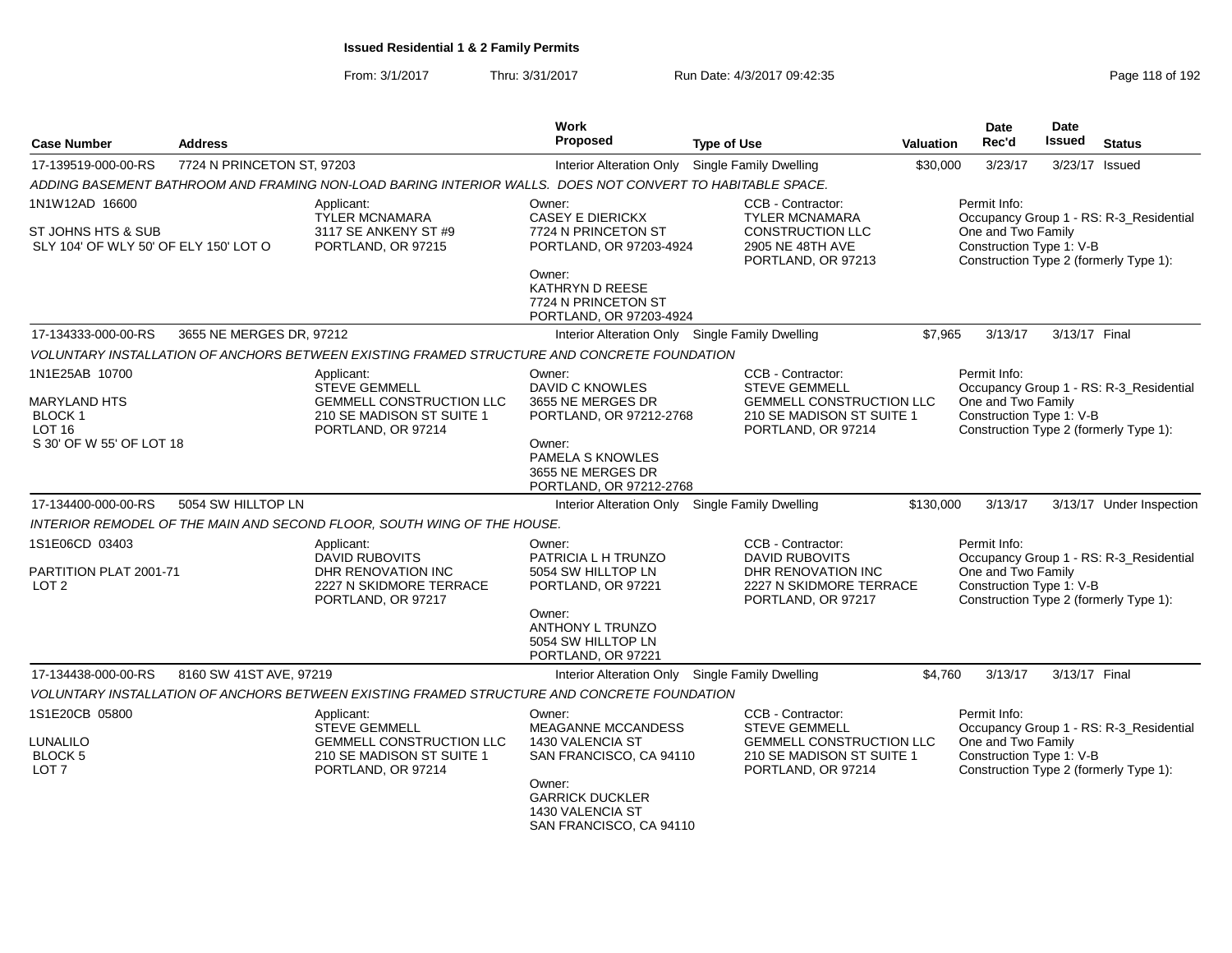| <b>Case Number</b>                                           | <b>Address</b>             |                                                                                                            | <b>Work</b><br><b>Proposed</b>                                                                      | <b>Type of Use</b>                                                                                                | <b>Valuation</b> | <b>Date</b><br>Rec'd                                                                                     | <b>Date</b><br><b>Issued</b> | <b>Status</b>                           |
|--------------------------------------------------------------|----------------------------|------------------------------------------------------------------------------------------------------------|-----------------------------------------------------------------------------------------------------|-------------------------------------------------------------------------------------------------------------------|------------------|----------------------------------------------------------------------------------------------------------|------------------------------|-----------------------------------------|
| 17-139519-000-00-RS                                          | 7724 N PRINCETON ST, 97203 |                                                                                                            | Interior Alteration Only                                                                            | <b>Single Family Dwelling</b>                                                                                     | \$30,000         | 3/23/17                                                                                                  |                              | 3/23/17 Issued                          |
|                                                              |                            | ADDING BASEMENT BATHROOM AND FRAMING NON-LOAD BARING INTERIOR WALLS.  DOES NOT CONVERT TO HABITABLE SPACE. |                                                                                                     |                                                                                                                   |                  |                                                                                                          |                              |                                         |
| 1N1W12AD 16600                                               |                            | Applicant:<br><b>TYLER MCNAMARA</b>                                                                        | Owner:<br><b>CASEY E DIERICKX</b>                                                                   | CCB - Contractor:<br><b>TYLER MCNAMARA</b>                                                                        |                  | Permit Info:                                                                                             |                              | Occupancy Group 1 - RS: R-3_Residential |
| ST JOHNS HTS & SUB<br>SLY 104' OF WLY 50' OF ELY 150' LOT O  |                            | 3117 SE ANKENY ST #9<br>PORTLAND, OR 97215                                                                 | 7724 N PRINCETON ST<br>PORTLAND, OR 97203-4924                                                      | <b>CONSTRUCTION LLC</b><br>2905 NE 48TH AVE<br>PORTLAND, OR 97213                                                 |                  | One and Two Family<br>Construction Type 1: V-B<br>Construction Type 2 (formerly Type 1):                 |                              |                                         |
|                                                              |                            |                                                                                                            | Owner:<br>KATHRYN D REESE<br>7724 N PRINCETON ST<br>PORTLAND, OR 97203-4924                         |                                                                                                                   |                  |                                                                                                          |                              |                                         |
| 17-134333-000-00-RS                                          | 3655 NE MERGES DR, 97212   |                                                                                                            | Interior Alteration Only Single Family Dwelling                                                     |                                                                                                                   | \$7,965          | 3/13/17                                                                                                  | 3/13/17 Final                |                                         |
|                                                              |                            | VOLUNTARY INSTALLATION OF ANCHORS BETWEEN EXISTING FRAMED STRUCTURE AND CONCRETE FOUNDATION                |                                                                                                     |                                                                                                                   |                  |                                                                                                          |                              |                                         |
| 1N1E25AB 10700<br><b>MARYLAND HTS</b><br><b>BLOCK1</b>       |                            | Applicant:<br><b>STEVE GEMMELL</b><br><b>GEMMELL CONSTRUCTION LLC</b><br>210 SE MADISON ST SUITE 1         | Owner:<br>DAVID C KNOWLES<br>3655 NE MERGES DR<br>PORTLAND, OR 97212-2768                           | CCB - Contractor:<br><b>STEVE GEMMELL</b><br><b>GEMMELL CONSTRUCTION LLC</b><br>210 SE MADISON ST SUITE 1         |                  | Permit Info:<br>One and Two Family<br>Construction Type 1: V-B                                           |                              | Occupancy Group 1 - RS: R-3_Residential |
| LOT <sub>16</sub><br>S 30' OF W 55' OF LOT 18                |                            | PORTLAND, OR 97214                                                                                         | Owner:<br>PAMELA S KNOWLES<br>3655 NE MERGES DR<br>PORTLAND, OR 97212-2768                          | PORTLAND, OR 97214                                                                                                |                  | Construction Type 2 (formerly Type 1):                                                                   |                              |                                         |
| 17-134400-000-00-RS                                          | 5054 SW HILLTOP LN         |                                                                                                            | Interior Alteration Only Single Family Dwelling                                                     |                                                                                                                   | \$130,000        | 3/13/17                                                                                                  |                              | 3/13/17 Under Inspection                |
|                                                              |                            | INTERIOR REMODEL OF THE MAIN AND SECOND FLOOR, SOUTH WING OF THE HOUSE.                                    |                                                                                                     |                                                                                                                   |                  |                                                                                                          |                              |                                         |
| 1S1E06CD 03403<br>PARTITION PLAT 2001-71<br>LOT <sub>2</sub> |                            | Applicant:<br><b>DAVID RUBOVITS</b><br>DHR RENOVATION INC<br>2227 N SKIDMORE TERRACE<br>PORTLAND, OR 97217 | Owner:<br>PATRICIA L H TRUNZO<br>5054 SW HILLTOP LN<br>PORTLAND, OR 97221                           | CCB - Contractor:<br><b>DAVID RUBOVITS</b><br>DHR RENOVATION INC<br>2227 N SKIDMORE TERRACE<br>PORTLAND, OR 97217 |                  | Permit Info:<br>One and Two Family<br>Construction Type 1: V-B<br>Construction Type 2 (formerly Type 1): |                              | Occupancy Group 1 - RS: R-3_Residential |
|                                                              |                            |                                                                                                            | Owner:<br><b>ANTHONY L TRUNZO</b><br>5054 SW HILLTOP LN<br>PORTLAND, OR 97221                       |                                                                                                                   |                  |                                                                                                          |                              |                                         |
| 17-134438-000-00-RS                                          | 8160 SW 41ST AVE, 97219    |                                                                                                            | Interior Alteration Only Single Family Dwelling                                                     |                                                                                                                   | \$4,760          | 3/13/17                                                                                                  | 3/13/17 Final                |                                         |
|                                                              |                            | VOLUNTARY INSTALLATION OF ANCHORS BETWEEN EXISTING FRAMED STRUCTURE AND CONCRETE FOUNDATION                |                                                                                                     |                                                                                                                   |                  |                                                                                                          |                              |                                         |
| 1S1E20CB 05800                                               |                            | Applicant:<br><b>STEVE GEMMELL</b>                                                                         | Owner:<br><b>MEAGANNE MCCANDESS</b>                                                                 | CCB - Contractor:<br><b>STEVE GEMMELL</b>                                                                         |                  | Permit Info:                                                                                             |                              | Occupancy Group 1 - RS: R-3_Residential |
| LUNALILO<br><b>BLOCK 5</b><br>LOT <sub>7</sub>               |                            | <b>GEMMELL CONSTRUCTION LLC</b><br>210 SE MADISON ST SUITE 1<br>PORTLAND, OR 97214                         | 1430 VALENCIA ST<br>SAN FRANCISCO, CA 94110<br>Owner:<br><b>GARRICK DUCKLER</b><br>1430 VALENCIA ST | <b>GEMMELL CONSTRUCTION LLC</b><br>210 SE MADISON ST SUITE 1<br>PORTLAND, OR 97214                                |                  | One and Two Family<br>Construction Type 1: V-B<br>Construction Type 2 (formerly Type 1):                 |                              |                                         |
|                                                              |                            |                                                                                                            | SAN FRANCISCO, CA 94110                                                                             |                                                                                                                   |                  |                                                                                                          |                              |                                         |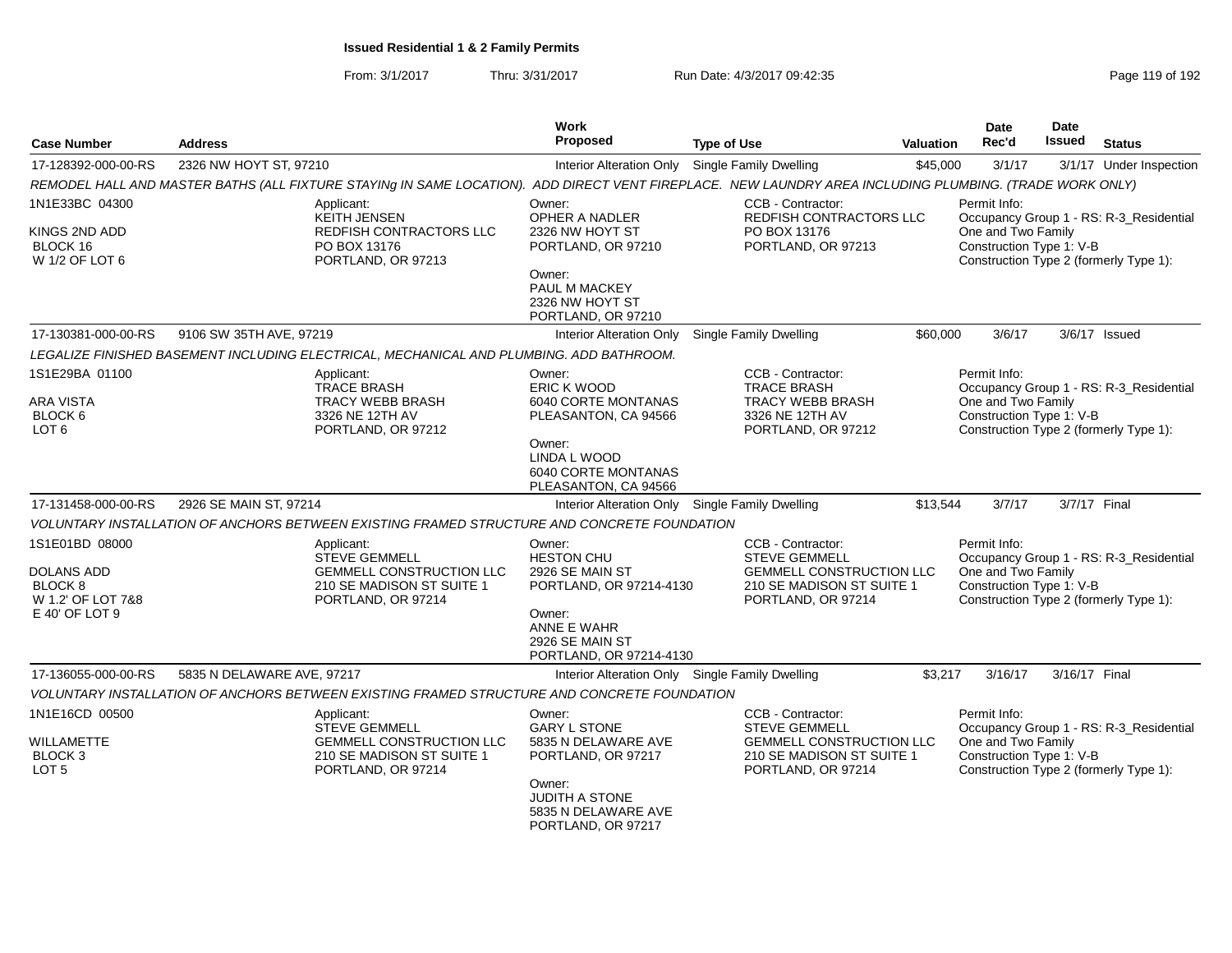| <b>Case Number</b>                                           | <b>Address</b>             |                                                                                                                          | <b>Work</b><br><b>Proposed</b>                                            | <b>Type of Use</b>                                                                                                                                      | <b>Valuation</b> | Date<br>Rec'd                                                  | Date<br><b>Issued</b> | <b>Status</b>                                                                     |
|--------------------------------------------------------------|----------------------------|--------------------------------------------------------------------------------------------------------------------------|---------------------------------------------------------------------------|---------------------------------------------------------------------------------------------------------------------------------------------------------|------------------|----------------------------------------------------------------|-----------------------|-----------------------------------------------------------------------------------|
| 17-128392-000-00-RS                                          | 2326 NW HOYT ST, 97210     |                                                                                                                          | Interior Alteration Only                                                  | <b>Single Family Dwelling</b>                                                                                                                           | \$45,000         | 3/1/17                                                         |                       | 3/1/17 Under Inspection                                                           |
|                                                              |                            |                                                                                                                          |                                                                           | REMODEL HALL AND MASTER BATHS (ALL FIXTURE STAYING IN SAME LOCATION). ADD DIRECT VENT FIREPLACE. NEW LAUNDRY AREA INCLUDING PLUMBING. (TRADE WORK ONLY) |                  |                                                                |                       |                                                                                   |
| 1N1E33BC 04300<br>KINGS 2ND ADD                              |                            | Applicant:<br><b>KEITH JENSEN</b><br>REDFISH CONTRACTORS LLC                                                             | Owner:<br>OPHER A NADLER<br>2326 NW HOYT ST                               | CCB - Contractor:<br>REDFISH CONTRACTORS LLC<br>PO BOX 13176                                                                                            |                  | Permit Info:<br>One and Two Family                             |                       | Occupancy Group 1 - RS: R-3_Residential                                           |
| BLOCK 16<br>W 1/2 OF LOT 6                                   |                            | PO BOX 13176<br>PORTLAND, OR 97213                                                                                       | PORTLAND, OR 97210<br>Owner:                                              | PORTLAND, OR 97213                                                                                                                                      |                  | Construction Type 1: V-B                                       |                       | Construction Type 2 (formerly Type 1):                                            |
|                                                              |                            |                                                                                                                          | PAUL M MACKEY<br>2326 NW HOYT ST<br>PORTLAND, OR 97210                    |                                                                                                                                                         |                  |                                                                |                       |                                                                                   |
| 17-130381-000-00-RS                                          | 9106 SW 35TH AVE, 97219    |                                                                                                                          | <b>Interior Alteration Only</b>                                           | <b>Single Family Dwelling</b>                                                                                                                           | \$60,000         | 3/6/17                                                         |                       | 3/6/17 Issued                                                                     |
|                                                              |                            | LEGALIZE FINISHED BASEMENT INCLUDING ELECTRICAL, MECHANICAL AND PLUMBING. ADD BATHROOM.                                  |                                                                           |                                                                                                                                                         |                  |                                                                |                       |                                                                                   |
| 1S1E29BA 01100<br>ARA VISTA<br>BLOCK 6<br>LOT <sub>6</sub>   |                            | Applicant:<br><b>TRACE BRASH</b><br><b>TRACY WEBB BRASH</b><br>3326 NE 12TH AV<br>PORTLAND, OR 97212                     | Owner:<br>ERIC K WOOD<br>6040 CORTE MONTANAS<br>PLEASANTON, CA 94566      | CCB - Contractor:<br><b>TRACE BRASH</b><br><b>TRACY WEBB BRASH</b><br>3326 NE 12TH AV<br>PORTLAND, OR 97212                                             |                  | Permit Info:<br>One and Two Family<br>Construction Type 1: V-B |                       | Occupancy Group 1 - RS: R-3_Residential<br>Construction Type 2 (formerly Type 1): |
|                                                              |                            |                                                                                                                          | Owner:<br>LINDA L WOOD<br>6040 CORTE MONTANAS<br>PLEASANTON, CA 94566     |                                                                                                                                                         |                  |                                                                |                       |                                                                                   |
| 17-131458-000-00-RS                                          | 2926 SE MAIN ST, 97214     |                                                                                                                          | Interior Alteration Only Single Family Dwelling                           |                                                                                                                                                         | \$13,544         | 3/7/17                                                         | 3/7/17 Final          |                                                                                   |
|                                                              |                            | VOLUNTARY INSTALLATION OF ANCHORS BETWEEN EXISTING FRAMED STRUCTURE AND CONCRETE FOUNDATION                              |                                                                           |                                                                                                                                                         |                  |                                                                |                       |                                                                                   |
| 1S1E01BD 08000<br>DOLANS ADD<br>BLOCK 8<br>W 1.2' OF LOT 7&8 |                            | Applicant:<br><b>STEVE GEMMELL</b><br><b>GEMMELL CONSTRUCTION LLC</b><br>210 SE MADISON ST SUITE 1<br>PORTLAND, OR 97214 | Owner:<br><b>HESTON CHU</b><br>2926 SE MAIN ST<br>PORTLAND, OR 97214-4130 | CCB - Contractor:<br><b>STEVE GEMMELL</b><br><b>GEMMELL CONSTRUCTION LLC</b><br>210 SE MADISON ST SUITE 1<br>PORTLAND, OR 97214                         |                  | Permit Info:<br>One and Two Family<br>Construction Type 1: V-B |                       | Occupancy Group 1 - RS: R-3_Residential<br>Construction Type 2 (formerly Type 1): |
| E 40' OF LOT 9                                               |                            |                                                                                                                          | Owner:<br>ANNE E WAHR<br>2926 SE MAIN ST<br>PORTLAND, OR 97214-4130       |                                                                                                                                                         |                  |                                                                |                       |                                                                                   |
| 17-136055-000-00-RS                                          | 5835 N DELAWARE AVE, 97217 |                                                                                                                          | Interior Alteration Only Single Family Dwelling                           |                                                                                                                                                         | \$3,217          | 3/16/17                                                        | 3/16/17 Final         |                                                                                   |
|                                                              |                            | VOLUNTARY INSTALLATION OF ANCHORS BETWEEN EXISTING FRAMED STRUCTURE AND CONCRETE FOUNDATION                              |                                                                           |                                                                                                                                                         |                  |                                                                |                       |                                                                                   |
| 1N1E16CD 00500                                               |                            | Applicant:<br><b>STEVE GEMMELL</b>                                                                                       | Owner:<br><b>GARY L STONE</b>                                             | CCB - Contractor:<br><b>STEVE GEMMELL</b>                                                                                                               |                  | Permit Info:                                                   |                       | Occupancy Group 1 - RS: R-3_Residential                                           |
| WILLAMETTE<br>BLOCK 3<br>LOT <sub>5</sub>                    |                            | <b>GEMMELL CONSTRUCTION LLC</b><br>210 SE MADISON ST SUITE 1<br>PORTLAND, OR 97214                                       | 5835 N DELAWARE AVE<br>PORTLAND, OR 97217<br>Owner:                       | GEMMELL CONSTRUCTION LLC<br>210 SE MADISON ST SUITE 1<br>PORTLAND, OR 97214                                                                             |                  | One and Two Family<br>Construction Type 1: V-B                 |                       | Construction Type 2 (formerly Type 1):                                            |
|                                                              |                            |                                                                                                                          | JUDITH A STONE<br>5835 N DELAWARE AVE<br>PORTLAND, OR 97217               |                                                                                                                                                         |                  |                                                                |                       |                                                                                   |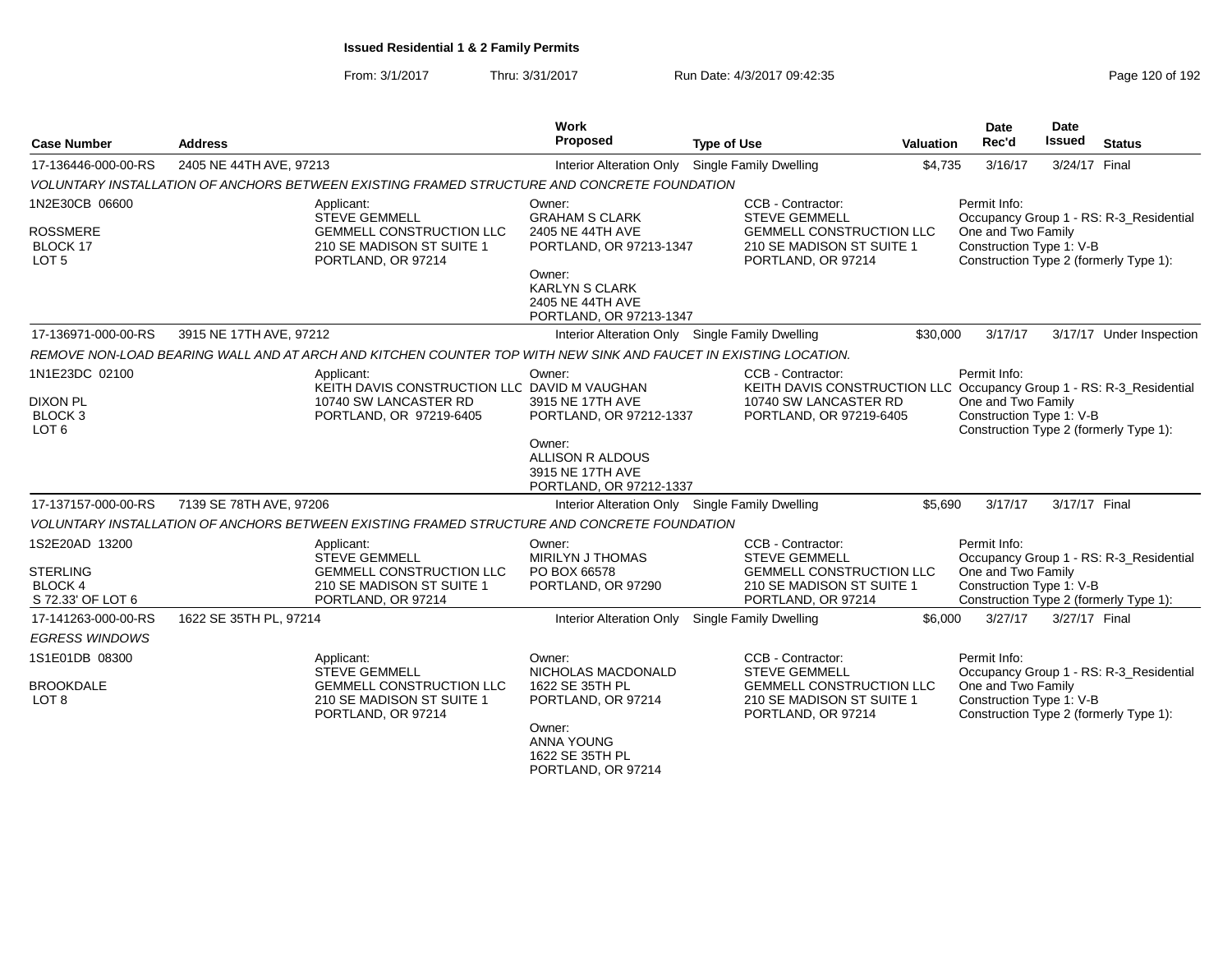| <b>Case Number</b>                                                       | <b>Address</b>          |                                                                                                                          | Work<br>Proposed                                                                                                                                                 | <b>Type of Use</b>                                                                                                              | <b>Valuation</b> | Date<br>Rec'd                                                                                            | <b>Date</b><br><b>Issued</b> | <b>Status</b>                           |
|--------------------------------------------------------------------------|-------------------------|--------------------------------------------------------------------------------------------------------------------------|------------------------------------------------------------------------------------------------------------------------------------------------------------------|---------------------------------------------------------------------------------------------------------------------------------|------------------|----------------------------------------------------------------------------------------------------------|------------------------------|-----------------------------------------|
| 17-136446-000-00-RS                                                      | 2405 NE 44TH AVE, 97213 |                                                                                                                          | <b>Interior Alteration Only</b>                                                                                                                                  | Single Family Dwelling                                                                                                          | \$4,735          | 3/16/17                                                                                                  | 3/24/17 Final                |                                         |
|                                                                          |                         | VOLUNTARY INSTALLATION OF ANCHORS BETWEEN EXISTING FRAMED STRUCTURE AND CONCRETE FOUNDATION                              |                                                                                                                                                                  |                                                                                                                                 |                  |                                                                                                          |                              |                                         |
| 1N2E30CB 06600<br><b>ROSSMERE</b><br>BLOCK 17<br>LOT <sub>5</sub>        |                         | Applicant:<br><b>STEVE GEMMELL</b><br><b>GEMMELL CONSTRUCTION LLC</b><br>210 SE MADISON ST SUITE 1<br>PORTLAND, OR 97214 | Owner:<br><b>GRAHAM S CLARK</b><br>2405 NE 44TH AVE<br>PORTLAND, OR 97213-1347<br>Owner:<br><b>KARLYN S CLARK</b><br>2405 NE 44TH AVE<br>PORTLAND, OR 97213-1347 | CCB - Contractor:<br><b>STEVE GEMMELL</b><br><b>GEMMELL CONSTRUCTION LLC</b><br>210 SE MADISON ST SUITE 1<br>PORTLAND, OR 97214 |                  | Permit Info:<br>One and Two Family<br>Construction Type 1: V-B<br>Construction Type 2 (formerly Type 1): |                              | Occupancy Group 1 - RS: R-3_Residential |
| 17-136971-000-00-RS                                                      | 3915 NE 17TH AVE, 97212 |                                                                                                                          | Interior Alteration Only Single Family Dwelling                                                                                                                  |                                                                                                                                 | \$30,000         | 3/17/17                                                                                                  |                              | 3/17/17 Under Inspection                |
|                                                                          |                         | REMOVE NON-LOAD BEARING WALL AND AT ARCH AND KITCHEN COUNTER TOP WITH NEW SINK AND FAUCET IN EXISTING LOCATION.          |                                                                                                                                                                  |                                                                                                                                 |                  |                                                                                                          |                              |                                         |
| 1N1E23DC 02100                                                           |                         | Applicant:<br>KEITH DAVIS CONSTRUCTION LLC DAVID M VAUGHAN                                                               | Owner:                                                                                                                                                           | CCB - Contractor:<br>KEITH DAVIS CONSTRUCTION LLC Occupancy Group 1 - RS: R-3_Residential                                       |                  | Permit Info:                                                                                             |                              |                                         |
| <b>DIXON PL</b><br><b>BLOCK 3</b><br>LOT <sub>6</sub>                    |                         | 10740 SW LANCASTER RD<br>PORTLAND, OR 97219-6405                                                                         | 3915 NE 17TH AVE<br>PORTLAND, OR 97212-1337<br>Owner:<br>ALLISON R ALDOUS                                                                                        | 10740 SW LANCASTER RD<br>PORTLAND, OR 97219-6405                                                                                |                  | One and Two Family<br>Construction Type 1: V-B<br>Construction Type 2 (formerly Type 1):                 |                              |                                         |
|                                                                          |                         |                                                                                                                          | 3915 NE 17TH AVE<br>PORTLAND, OR 97212-1337                                                                                                                      |                                                                                                                                 |                  |                                                                                                          |                              |                                         |
| 17-137157-000-00-RS                                                      | 7139 SE 78TH AVE, 97206 |                                                                                                                          | Interior Alteration Only Single Family Dwelling                                                                                                                  |                                                                                                                                 | \$5,690          | 3/17/17                                                                                                  | 3/17/17 Final                |                                         |
|                                                                          |                         | VOLUNTARY INSTALLATION OF ANCHORS BETWEEN EXISTING FRAMED STRUCTURE AND CONCRETE FOUNDATION                              |                                                                                                                                                                  |                                                                                                                                 |                  |                                                                                                          |                              |                                         |
| 1S2E20AD 13200<br><b>STERLING</b><br><b>BLOCK 4</b><br>S 72.33' OF LOT 6 |                         | Applicant:<br><b>STEVE GEMMELL</b><br><b>GEMMELL CONSTRUCTION LLC</b><br>210 SE MADISON ST SUITE 1<br>PORTLAND, OR 97214 | Owner:<br><b>MIRILYN J THOMAS</b><br>PO BOX 66578<br>PORTLAND, OR 97290                                                                                          | CCB - Contractor:<br><b>STEVE GEMMELL</b><br><b>GEMMELL CONSTRUCTION LLC</b><br>210 SE MADISON ST SUITE 1<br>PORTLAND, OR 97214 |                  | Permit Info:<br>One and Two Family<br>Construction Type 1: V-B<br>Construction Type 2 (formerly Type 1): |                              | Occupancy Group 1 - RS: R-3_Residential |
| 17-141263-000-00-RS                                                      | 1622 SE 35TH PL, 97214  |                                                                                                                          | Interior Alteration Only Single Family Dwelling                                                                                                                  |                                                                                                                                 | \$6,000          | 3/27/17                                                                                                  | 3/27/17 Final                |                                         |
| <b>EGRESS WINDOWS</b>                                                    |                         |                                                                                                                          |                                                                                                                                                                  |                                                                                                                                 |                  |                                                                                                          |                              |                                         |
| 1S1E01DB 08300                                                           |                         | Applicant:<br><b>STEVE GEMMELL</b>                                                                                       | Owner:<br>NICHOLAS MACDONALD                                                                                                                                     | CCB - Contractor:<br><b>STEVE GEMMELL</b>                                                                                       |                  | Permit Info:                                                                                             |                              | Occupancy Group 1 - RS: R-3_Residential |
| <b>BROOKDALE</b><br>LOT <sub>8</sub>                                     |                         | <b>GEMMELL CONSTRUCTION LLC</b><br>210 SE MADISON ST SUITE 1<br>PORTLAND, OR 97214                                       | 1622 SE 35TH PL<br>PORTLAND, OR 97214<br>Owner:<br>ANNA YOUNG<br>1622 SE 35TH PL<br>PORTLAND, OR 97214                                                           | <b>GEMMELL CONSTRUCTION LLC</b><br>210 SE MADISON ST SUITE 1<br>PORTLAND, OR 97214                                              |                  | One and Two Family<br>Construction Type 1: V-B<br>Construction Type 2 (formerly Type 1):                 |                              |                                         |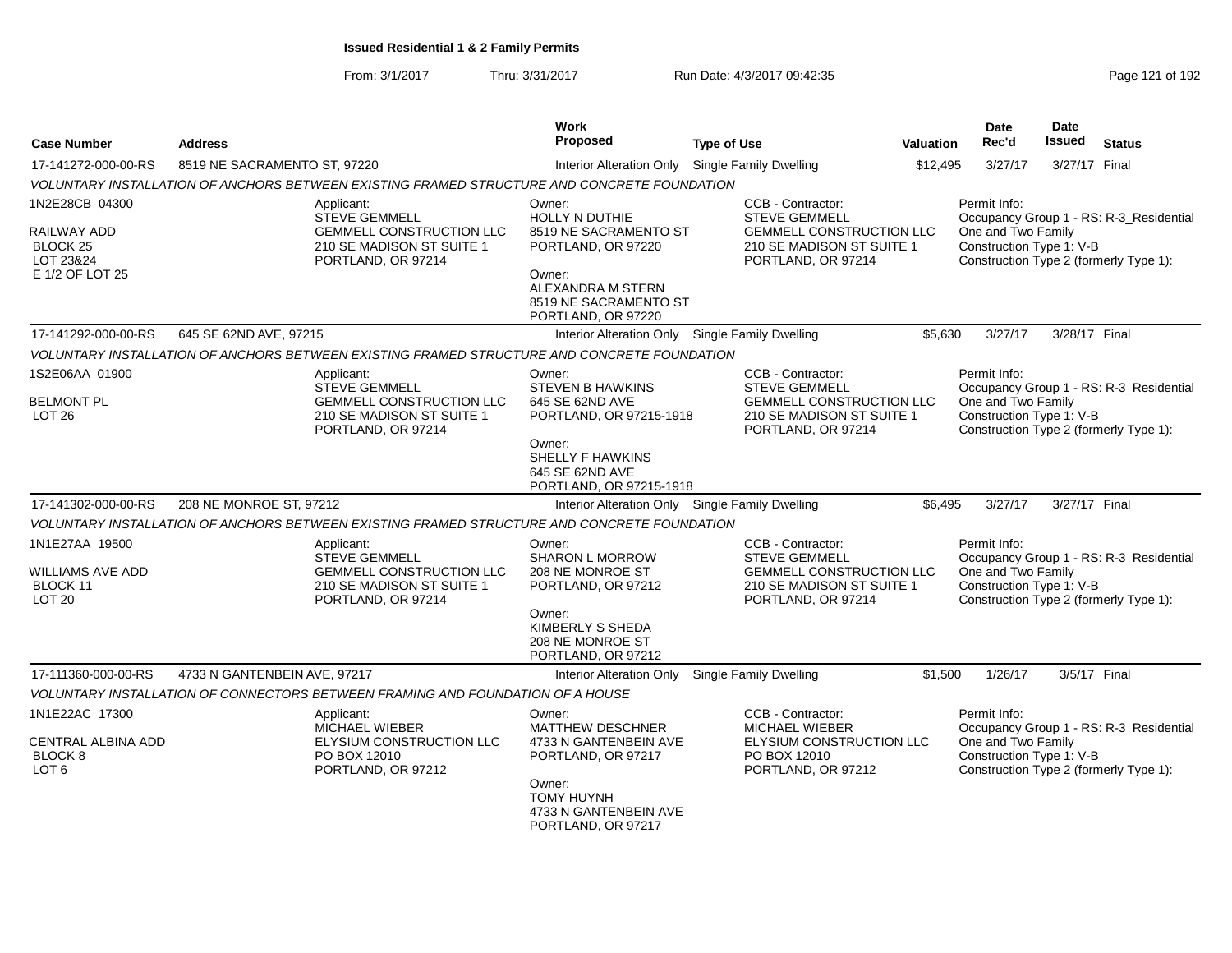From: 3/1/2017Thru: 3/31/2017 Run Date: 4/3/2017 09:42:35 Research 2010 192

| <b>Case Number</b>                                       | <b>Address</b>               |                                                                                                                          | <b>Work</b><br>Proposed                                                                    | <b>Type of Use</b> |                                                                                                                                 | <b>Valuation</b> | <b>Date</b><br>Rec'd                                                                                     | <b>Date</b><br><b>Issued</b> | <b>Status</b>                           |
|----------------------------------------------------------|------------------------------|--------------------------------------------------------------------------------------------------------------------------|--------------------------------------------------------------------------------------------|--------------------|---------------------------------------------------------------------------------------------------------------------------------|------------------|----------------------------------------------------------------------------------------------------------|------------------------------|-----------------------------------------|
| 17-141272-000-00-RS                                      | 8519 NE SACRAMENTO ST, 97220 |                                                                                                                          | <b>Interior Alteration Only</b>                                                            |                    | <b>Single Family Dwelling</b>                                                                                                   | \$12,495         | 3/27/17                                                                                                  | 3/27/17 Final                |                                         |
|                                                          |                              | VOLUNTARY INSTALLATION OF ANCHORS BETWEEN EXISTING FRAMED STRUCTURE AND CONCRETE FOUNDATION                              |                                                                                            |                    |                                                                                                                                 |                  |                                                                                                          |                              |                                         |
| 1N2E28CB 04300<br>RAILWAY ADD<br>BLOCK 25<br>LOT 23&24   |                              | Applicant:<br><b>STEVE GEMMELL</b><br><b>GEMMELL CONSTRUCTION LLC</b><br>210 SE MADISON ST SUITE 1<br>PORTLAND, OR 97214 | Owner:<br><b>HOLLY N DUTHIE</b><br>8519 NE SACRAMENTO ST<br>PORTLAND, OR 97220             |                    | CCB - Contractor:<br><b>STEVE GEMMELL</b><br><b>GEMMELL CONSTRUCTION LLC</b><br>210 SE MADISON ST SUITE 1<br>PORTLAND, OR 97214 |                  | Permit Info:<br>One and Two Family<br>Construction Type 1: V-B<br>Construction Type 2 (formerly Type 1): |                              | Occupancy Group 1 - RS: R-3_Residential |
| E 1/2 OF LOT 25                                          |                              |                                                                                                                          | Owner:<br>ALEXANDRA M STERN<br>8519 NE SACRAMENTO ST<br>PORTLAND, OR 97220                 |                    |                                                                                                                                 |                  |                                                                                                          |                              |                                         |
| 17-141292-000-00-RS                                      | 645 SE 62ND AVE, 97215       |                                                                                                                          | Interior Alteration Only Single Family Dwelling                                            |                    |                                                                                                                                 | \$5,630          | 3/27/17                                                                                                  | 3/28/17 Final                |                                         |
|                                                          |                              | VOLUNTARY INSTALLATION OF ANCHORS BETWEEN EXISTING FRAMED STRUCTURE AND CONCRETE FOUNDATION                              |                                                                                            |                    |                                                                                                                                 |                  |                                                                                                          |                              |                                         |
| 1S2E06AA 01900<br><b>BELMONT PL</b><br>LOT <sub>26</sub> |                              | Applicant:<br><b>STEVE GEMMELL</b><br><b>GEMMELL CONSTRUCTION LLC</b><br>210 SE MADISON ST SUITE 1<br>PORTLAND, OR 97214 | Owner:<br><b>STEVEN B HAWKINS</b><br>645 SE 62ND AVE<br>PORTLAND, OR 97215-1918            |                    | CCB - Contractor:<br><b>STEVE GEMMELL</b><br><b>GEMMELL CONSTRUCTION LLC</b><br>210 SE MADISON ST SUITE 1<br>PORTLAND, OR 97214 |                  | Permit Info:<br>One and Two Family<br>Construction Type 1: V-B<br>Construction Type 2 (formerly Type 1): |                              | Occupancy Group 1 - RS: R-3_Residential |
|                                                          |                              |                                                                                                                          | Owner:<br>SHELLY F HAWKINS<br>645 SE 62ND AVE<br>PORTLAND, OR 97215-1918                   |                    |                                                                                                                                 |                  |                                                                                                          |                              |                                         |
| 17-141302-000-00-RS                                      | 208 NE MONROE ST, 97212      |                                                                                                                          | Interior Alteration Only Single Family Dwelling                                            |                    |                                                                                                                                 | \$6,495          | 3/27/17                                                                                                  | 3/27/17 Final                |                                         |
|                                                          |                              | VOLUNTARY INSTALLATION OF ANCHORS BETWEEN EXISTING FRAMED STRUCTURE AND CONCRETE FOUNDATION                              |                                                                                            |                    |                                                                                                                                 |                  |                                                                                                          |                              |                                         |
| 1N1E27AA 19500<br>WILLIAMS AVE ADD<br>BLOCK 11           |                              | Applicant:<br><b>STEVE GEMMELL</b><br>GEMMELL CONSTRUCTION LLC<br>210 SE MADISON ST SUITE 1                              | Owner:<br><b>SHARON L MORROW</b><br>208 NE MONROE ST<br>PORTLAND, OR 97212                 |                    | CCB - Contractor:<br><b>STEVE GEMMELL</b><br>GEMMELL CONSTRUCTION LLC<br>210 SE MADISON ST SUITE 1                              |                  | Permit Info:<br>One and Two Family<br>Construction Type 1: V-B                                           |                              | Occupancy Group 1 - RS: R-3_Residential |
| <b>LOT 20</b>                                            |                              | PORTLAND, OR 97214                                                                                                       | Owner:<br>KIMBERLY S SHEDA<br>208 NE MONROE ST<br>PORTLAND, OR 97212                       |                    | PORTLAND, OR 97214                                                                                                              |                  | Construction Type 2 (formerly Type 1):                                                                   |                              |                                         |
| 17-111360-000-00-RS                                      | 4733 N GANTENBEIN AVE, 97217 |                                                                                                                          | Interior Alteration Only                                                                   |                    | <b>Single Family Dwelling</b>                                                                                                   | \$1,500          | 1/26/17                                                                                                  | 3/5/17 Final                 |                                         |
|                                                          |                              | VOLUNTARY INSTALLATION OF CONNECTORS BETWEEN FRAMING AND FOUNDATION OF A HOUSE                                           |                                                                                            |                    |                                                                                                                                 |                  |                                                                                                          |                              |                                         |
| 1N1E22AC 17300<br>CENTRAL ALBINA ADD<br>BLOCK 8<br>LOT 6 |                              | Applicant:<br>MICHAEL WIEBER<br>ELYSIUM CONSTRUCTION LLC<br>PO BOX 12010<br>PORTLAND, OR 97212                           | Owner:<br><b>MATTHEW DESCHNER</b><br>4733 N GANTENBEIN AVE<br>PORTLAND, OR 97217<br>Owner: |                    | CCB - Contractor:<br>MICHAEL WIEBER<br>ELYSIUM CONSTRUCTION LLC<br>PO BOX 12010<br>PORTLAND, OR 97212                           |                  | Permit Info:<br>One and Two Family<br>Construction Type 1: V-B<br>Construction Type 2 (formerly Type 1): |                              | Occupancy Group 1 - RS: R-3_Residential |
|                                                          |                              |                                                                                                                          | <b>TOMY HUYNH</b><br>4733 N GANTENBEIN AVE<br>PORTLAND, OR 97217                           |                    |                                                                                                                                 |                  |                                                                                                          |                              |                                         |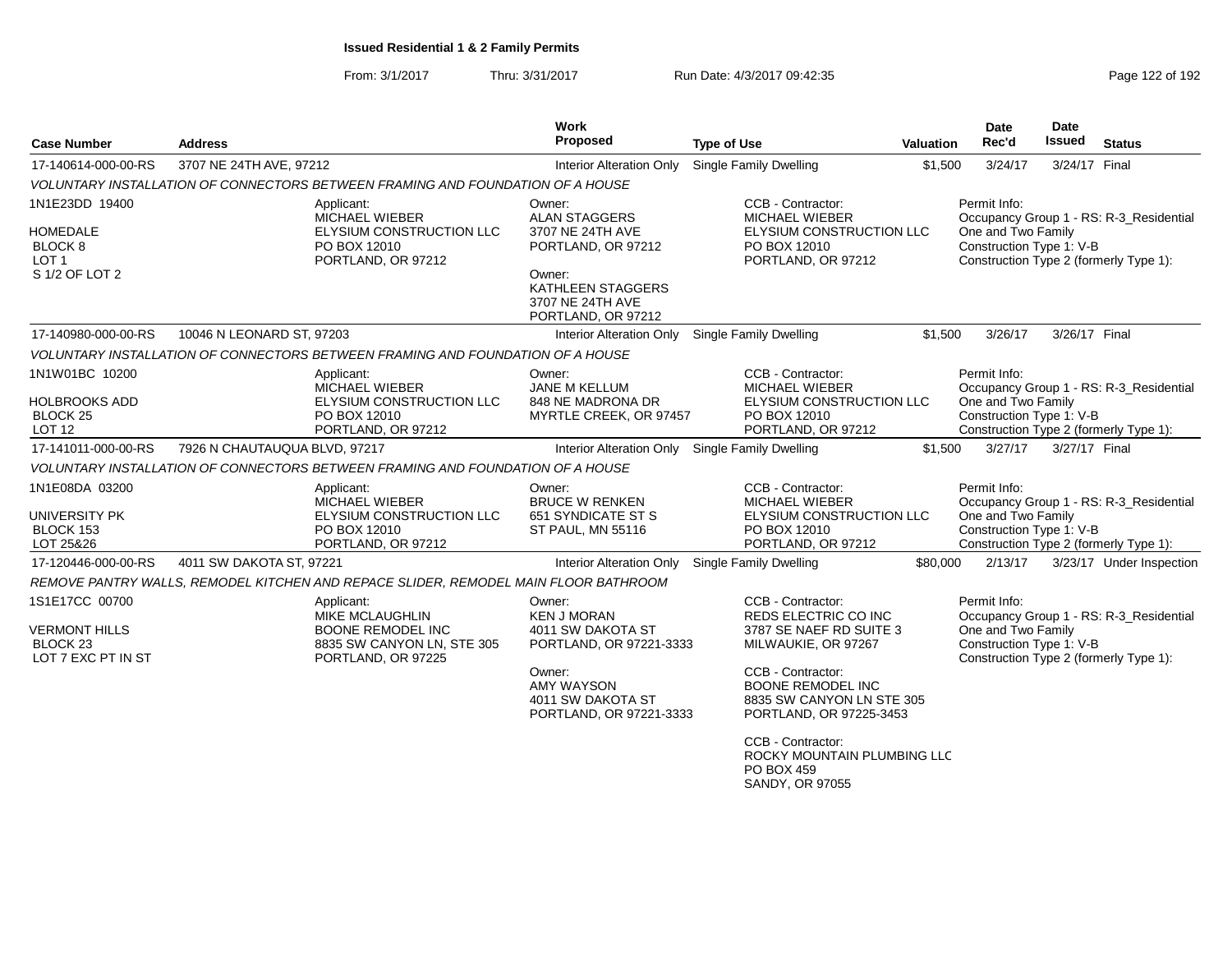| <b>Case Number</b>                                                                  | <b>Address</b>                |                                                                                                              | <b>Work</b><br>Proposed                                                            | <b>Type of Use</b>                                                                                                                                        | <b>Valuation</b> | <b>Date</b><br>Rec'd                                           | Date<br>Issued                                                                                                                                      | <b>Status</b>                                                                     |  |
|-------------------------------------------------------------------------------------|-------------------------------|--------------------------------------------------------------------------------------------------------------|------------------------------------------------------------------------------------|-----------------------------------------------------------------------------------------------------------------------------------------------------------|------------------|----------------------------------------------------------------|-----------------------------------------------------------------------------------------------------------------------------------------------------|-----------------------------------------------------------------------------------|--|
| 17-140614-000-00-RS                                                                 | 3707 NE 24TH AVE, 97212       |                                                                                                              | <b>Interior Alteration Only</b>                                                    | Single Family Dwelling                                                                                                                                    | \$1,500          | 3/24/17                                                        | 3/24/17 Final                                                                                                                                       |                                                                                   |  |
|                                                                                     |                               | VOLUNTARY INSTALLATION OF CONNECTORS BETWEEN FRAMING AND FOUNDATION OF A HOUSE                               |                                                                                    |                                                                                                                                                           |                  |                                                                |                                                                                                                                                     |                                                                                   |  |
| 1N1E23DD 19400<br><b>HOMEDALE</b><br>BLOCK <sub>8</sub><br>LOT 1<br>S 1/2 OF LOT 2  |                               | Applicant:<br><b>MICHAEL WIEBER</b><br>ELYSIUM CONSTRUCTION LLC<br>PO BOX 12010<br>PORTLAND, OR 97212        | Owner:<br><b>ALAN STAGGERS</b><br>3707 NE 24TH AVE<br>PORTLAND, OR 97212<br>Owner: | CCB - Contractor:<br><b>MICHAEL WIEBER</b><br>ELYSIUM CONSTRUCTION LLC<br>PO BOX 12010<br>PORTLAND, OR 97212                                              |                  | Permit Info:<br>One and Two Family<br>Construction Type 1: V-B |                                                                                                                                                     | Occupancy Group 1 - RS: R-3_Residential<br>Construction Type 2 (formerly Type 1): |  |
|                                                                                     |                               |                                                                                                              | <b>KATHLEEN STAGGERS</b><br>3707 NE 24TH AVE<br>PORTLAND, OR 97212                 |                                                                                                                                                           |                  |                                                                |                                                                                                                                                     |                                                                                   |  |
| 17-140980-000-00-RS                                                                 | 10046 N LEONARD ST, 97203     |                                                                                                              | Interior Alteration Only                                                           | Single Family Dwelling                                                                                                                                    | \$1.500          | 3/26/17                                                        | 3/26/17 Final                                                                                                                                       |                                                                                   |  |
|                                                                                     |                               | VOLUNTARY INSTALLATION OF CONNECTORS BETWEEN FRAMING AND FOUNDATION OF A HOUSE                               |                                                                                    |                                                                                                                                                           |                  |                                                                |                                                                                                                                                     |                                                                                   |  |
| 1N1W01BC 10200<br><b>HOLBROOKS ADD</b><br>BLOCK <sub>25</sub><br>LOT 12             |                               | Applicant:<br><b>MICHAEL WIEBER</b><br>ELYSIUM CONSTRUCTION LLC<br>PO BOX 12010<br>PORTLAND, OR 97212        | Owner:<br><b>JANE M KELLUM</b><br>848 NE MADRONA DR<br>MYRTLE CREEK, OR 97457      | CCB - Contractor:<br>MICHAEL WIEBER<br>ELYSIUM CONSTRUCTION LLC<br>PO BOX 12010<br>PORTLAND, OR 97212                                                     |                  | Permit Info:<br>One and Two Family<br>Construction Type 1: V-B |                                                                                                                                                     | Occupancy Group 1 - RS: R-3 Residential<br>Construction Type 2 (formerly Type 1): |  |
| 17-141011-000-00-RS                                                                 | 7926 N CHAUTAUQUA BLVD, 97217 |                                                                                                              | Interior Alteration Only                                                           | <b>Single Family Dwelling</b>                                                                                                                             | \$1,500          | 3/27/17                                                        | 3/27/17 Final                                                                                                                                       |                                                                                   |  |
|                                                                                     |                               | VOLUNTARY INSTALLATION OF CONNECTORS BETWEEN FRAMING AND FOUNDATION OF A HOUSE                               |                                                                                    |                                                                                                                                                           |                  |                                                                |                                                                                                                                                     |                                                                                   |  |
| 1N1E08DA 03200<br>UNIVERSITY PK<br>BLOCK 153<br>LOT 25&26                           |                               | Applicant:<br><b>MICHAEL WIEBER</b><br><b>ELYSIUM CONSTRUCTION LLC</b><br>PO BOX 12010<br>PORTLAND, OR 97212 | Owner:<br><b>BRUCE W RENKEN</b><br>651 SYNDICATE ST S<br>ST PAUL, MN 55116         | CCB - Contractor:<br><b>MICHAEL WIEBER</b><br>ELYSIUM CONSTRUCTION LLC<br>PO BOX 12010<br>PORTLAND, OR 97212                                              |                  | Permit Info:<br>One and Two Family<br>Construction Type 1: V-B |                                                                                                                                                     | Occupancy Group 1 - RS: R-3 Residential<br>Construction Type 2 (formerly Type 1): |  |
| 17-120446-000-00-RS                                                                 | 4011 SW DAKOTA ST, 97221      |                                                                                                              | <b>Interior Alteration Only</b>                                                    | Single Family Dwelling                                                                                                                                    | \$80,000         | 2/13/17                                                        |                                                                                                                                                     | 3/23/17 Under Inspection                                                          |  |
|                                                                                     |                               | REMOVE PANTRY WALLS, REMODEL KITCHEN AND REPACE SLIDER, REMODEL MAIN FLOOR BATHROOM                          |                                                                                    |                                                                                                                                                           |                  |                                                                |                                                                                                                                                     |                                                                                   |  |
| 1S1E17CC 00700<br><b>VERMONT HILLS</b><br>BLOCK <sub>23</sub><br>LOT 7 EXC PT IN ST |                               | Applicant:<br>MIKE MCLAUGHLIN<br>BOONE REMODEL INC<br>8835 SW CANYON LN, STE 305<br>PORTLAND, OR 97225       |                                                                                    | CCB - Contractor:<br>REDS ELECTRIC CO INC<br>3787 SE NAEF RD SUITE 3<br>PORTLAND, OR 97221-3333<br>MILWAUKIE, OR 97267                                    |                  |                                                                | Permit Info:<br>Occupancy Group 1 - RS: R-3_Residential<br>One and Two Family<br>Construction Type 1: V-B<br>Construction Type 2 (formerly Type 1): |                                                                                   |  |
|                                                                                     |                               |                                                                                                              | Owner:<br><b>AMY WAYSON</b><br>4011 SW DAKOTA ST<br>PORTLAND, OR 97221-3333        | CCB - Contractor:<br><b>BOONE REMODEL INC</b><br>8835 SW CANYON LN STE 305<br>PORTLAND, OR 97225-3453<br>CCB - Contractor:<br>ROCKY MOUNTAIN PLUMBING LLC |                  |                                                                |                                                                                                                                                     |                                                                                   |  |
|                                                                                     |                               |                                                                                                              |                                                                                    | PO BOX 459<br>SANDY, OR 97055                                                                                                                             |                  |                                                                |                                                                                                                                                     |                                                                                   |  |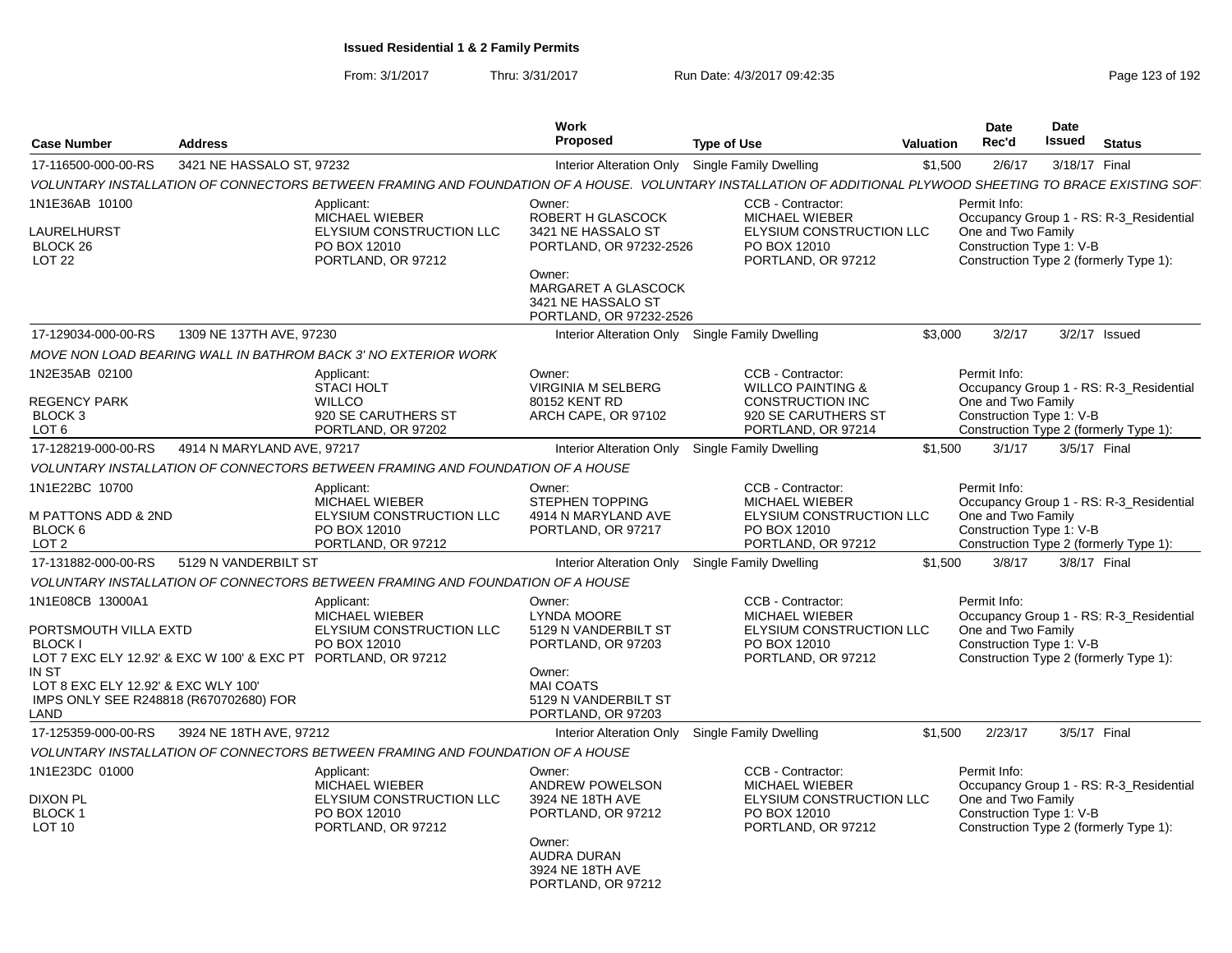| <b>Case Number</b>                                                                                                  | <b>Address</b>                                                                                          |                                                                                                       | Work<br><b>Proposed</b>                                                                                                                                        | <b>Type of Use</b>                                                                                                                                          | Valuation | Date<br>Rec'd                                                  | Date<br><b>Issued</b> | <b>Status</b>                                                                     |
|---------------------------------------------------------------------------------------------------------------------|---------------------------------------------------------------------------------------------------------|-------------------------------------------------------------------------------------------------------|----------------------------------------------------------------------------------------------------------------------------------------------------------------|-------------------------------------------------------------------------------------------------------------------------------------------------------------|-----------|----------------------------------------------------------------|-----------------------|-----------------------------------------------------------------------------------|
| 17-116500-000-00-RS                                                                                                 | 3421 NE HASSALO ST, 97232                                                                               |                                                                                                       | Interior Alteration Only                                                                                                                                       | Single Family Dwelling                                                                                                                                      | \$1,500   | 2/6/17                                                         | 3/18/17 Final         |                                                                                   |
|                                                                                                                     |                                                                                                         |                                                                                                       |                                                                                                                                                                | VOLUNTARY INSTALLATION OF CONNECTORS BETWEEN FRAMING AND FOUNDATION OF A HOUSE. VOLUNTARY INSTALLATION OF ADDITIONAL PLYWOOD SHEETING TO BRACE EXISTING SOF |           |                                                                |                       |                                                                                   |
| 1N1E36AB 10100<br>LAURELHURST<br>BLOCK 26<br>LOT <sub>22</sub>                                                      |                                                                                                         | Applicant:<br>MICHAEL WIEBER<br>ELYSIUM CONSTRUCTION LLC<br>PO BOX 12010<br>PORTLAND, OR 97212        | Owner:<br>ROBERT H GLASCOCK<br>3421 NE HASSALO ST<br>PORTLAND, OR 97232-2526<br>Owner:<br>MARGARET A GLASCOCK<br>3421 NE HASSALO ST<br>PORTLAND, OR 97232-2526 | CCB - Contractor:<br><b>MICHAEL WIEBER</b><br>ELYSIUM CONSTRUCTION LLC<br>PO BOX 12010<br>PORTLAND, OR 97212                                                |           | Permit Info:<br>One and Two Family<br>Construction Type 1: V-B |                       | Occupancy Group 1 - RS: R-3_Residential<br>Construction Type 2 (formerly Type 1): |
| 17-129034-000-00-RS                                                                                                 | 1309 NE 137TH AVE, 97230                                                                                |                                                                                                       |                                                                                                                                                                | Interior Alteration Only Single Family Dwelling                                                                                                             | \$3,000   | 3/2/17                                                         |                       | 3/2/17 Issued                                                                     |
|                                                                                                                     |                                                                                                         | MOVE NON LOAD BEARING WALL IN BATHROM BACK 3' NO EXTERIOR WORK                                        |                                                                                                                                                                |                                                                                                                                                             |           |                                                                |                       |                                                                                   |
| 1N2E35AB 02100<br><b>REGENCY PARK</b><br>BLOCK 3<br>LOT 6                                                           |                                                                                                         | Applicant:<br><b>STACI HOLT</b><br><b>WILLCO</b><br>920 SE CARUTHERS ST<br>PORTLAND, OR 97202         | Owner:<br>VIRGINIA M SELBERG<br>80152 KENT RD<br>ARCH CAPE, OR 97102                                                                                           | CCB - Contractor:<br><b>WILLCO PAINTING &amp;</b><br><b>CONSTRUCTION INC</b><br>920 SE CARUTHERS ST<br>PORTLAND, OR 97214                                   |           | Permit Info:<br>One and Two Family<br>Construction Type 1: V-B |                       | Occupancy Group 1 - RS: R-3_Residential<br>Construction Type 2 (formerly Type 1): |
| 17-128219-000-00-RS                                                                                                 | 4914 N MARYLAND AVE, 97217                                                                              |                                                                                                       | Interior Alteration Only                                                                                                                                       | Single Family Dwelling                                                                                                                                      | \$1,500   | 3/1/17                                                         | 3/5/17 Final          |                                                                                   |
|                                                                                                                     |                                                                                                         | VOLUNTARY INSTALLATION OF CONNECTORS BETWEEN FRAMING AND FOUNDATION OF A HOUSE                        |                                                                                                                                                                |                                                                                                                                                             |           |                                                                |                       |                                                                                   |
| 1N1E22BC 10700<br><b>M PATTONS ADD &amp; 2ND</b><br>BLOCK 6<br>LOT <sub>2</sub>                                     |                                                                                                         | Applicant:<br>MICHAEL WIEBER<br>ELYSIUM CONSTRUCTION LLC<br>PO BOX 12010<br>PORTLAND, OR 97212        | Owner:<br><b>STEPHEN TOPPING</b><br>4914 N MARYLAND AVE<br>PORTLAND, OR 97217                                                                                  | CCB - Contractor:<br><b>MICHAEL WIEBER</b><br>ELYSIUM CONSTRUCTION LLC<br>PO BOX 12010<br>PORTLAND, OR 97212                                                |           | Permit Info:<br>One and Two Family<br>Construction Type 1: V-B |                       | Occupancy Group 1 - RS: R-3 Residential<br>Construction Type 2 (formerly Type 1): |
| 17-131882-000-00-RS                                                                                                 | 5129 N VANDERBILT ST                                                                                    |                                                                                                       | Interior Alteration Only                                                                                                                                       | Single Family Dwelling                                                                                                                                      | \$1,500   | 3/8/17                                                         | 3/8/17 Final          |                                                                                   |
|                                                                                                                     |                                                                                                         | VOLUNTARY INSTALLATION OF CONNECTORS BETWEEN FRAMING AND FOUNDATION OF A HOUSE                        |                                                                                                                                                                |                                                                                                                                                             |           |                                                                |                       |                                                                                   |
| 1N1E08CB 13000A1<br>PORTSMOUTH VILLA EXTD<br><b>BLOCK I</b><br>IN ST<br>LOT 8 EXC ELY 12.92' & EXC WLY 100'<br>LAND | LOT 7 EXC ELY 12.92' & EXC W 100' & EXC PT PORTLAND, OR 97212<br>IMPS ONLY SEE R248818 (R670702680) FOR | Applicant:<br>MICHAEL WIEBER<br>ELYSIUM CONSTRUCTION LLC<br>PO BOX 12010                              | Owner:<br>LYNDA MOORE<br>5129 N VANDERBILT ST<br>PORTLAND, OR 97203<br>Owner:<br><b>MAI COATS</b><br>5129 N VANDERBILT ST<br>PORTLAND, OR 97203                | CCB - Contractor:<br>MICHAEL WIEBER<br>ELYSIUM CONSTRUCTION LLC<br>PO BOX 12010<br>PORTLAND, OR 97212                                                       |           | Permit Info:<br>One and Two Family<br>Construction Type 1: V-B |                       | Occupancy Group 1 - RS: R-3_Residential<br>Construction Type 2 (formerly Type 1): |
| 17-125359-000-00-RS                                                                                                 | 3924 NE 18TH AVE, 97212                                                                                 |                                                                                                       | <b>Interior Alteration Only</b>                                                                                                                                | <b>Single Family Dwelling</b>                                                                                                                               | \$1,500   | 2/23/17                                                        | 3/5/17 Final          |                                                                                   |
|                                                                                                                     |                                                                                                         | VOLUNTARY INSTALLATION OF CONNECTORS BETWEEN FRAMING AND FOUNDATION OF A HOUSE                        |                                                                                                                                                                |                                                                                                                                                             |           |                                                                |                       |                                                                                   |
| 1N1E23DC 01000<br><b>DIXON PL</b><br><b>BLOCK1</b><br>LOT <sub>10</sub>                                             |                                                                                                         | Applicant:<br><b>MICHAEL WIEBER</b><br>ELYSIUM CONSTRUCTION LLC<br>PO BOX 12010<br>PORTLAND, OR 97212 | Owner:<br>ANDREW POWELSON<br>3924 NE 18TH AVE<br>PORTLAND, OR 97212<br>Owner:<br><b>AUDRA DURAN</b><br>3924 NE 18TH AVE<br>PORTLAND, OR 97212                  | CCB - Contractor:<br>MICHAEL WIEBER<br>ELYSIUM CONSTRUCTION LLC<br>PO BOX 12010<br>PORTLAND, OR 97212                                                       |           | Permit Info:<br>One and Two Family<br>Construction Type 1: V-B |                       | Occupancy Group 1 - RS: R-3 Residential<br>Construction Type 2 (formerly Type 1): |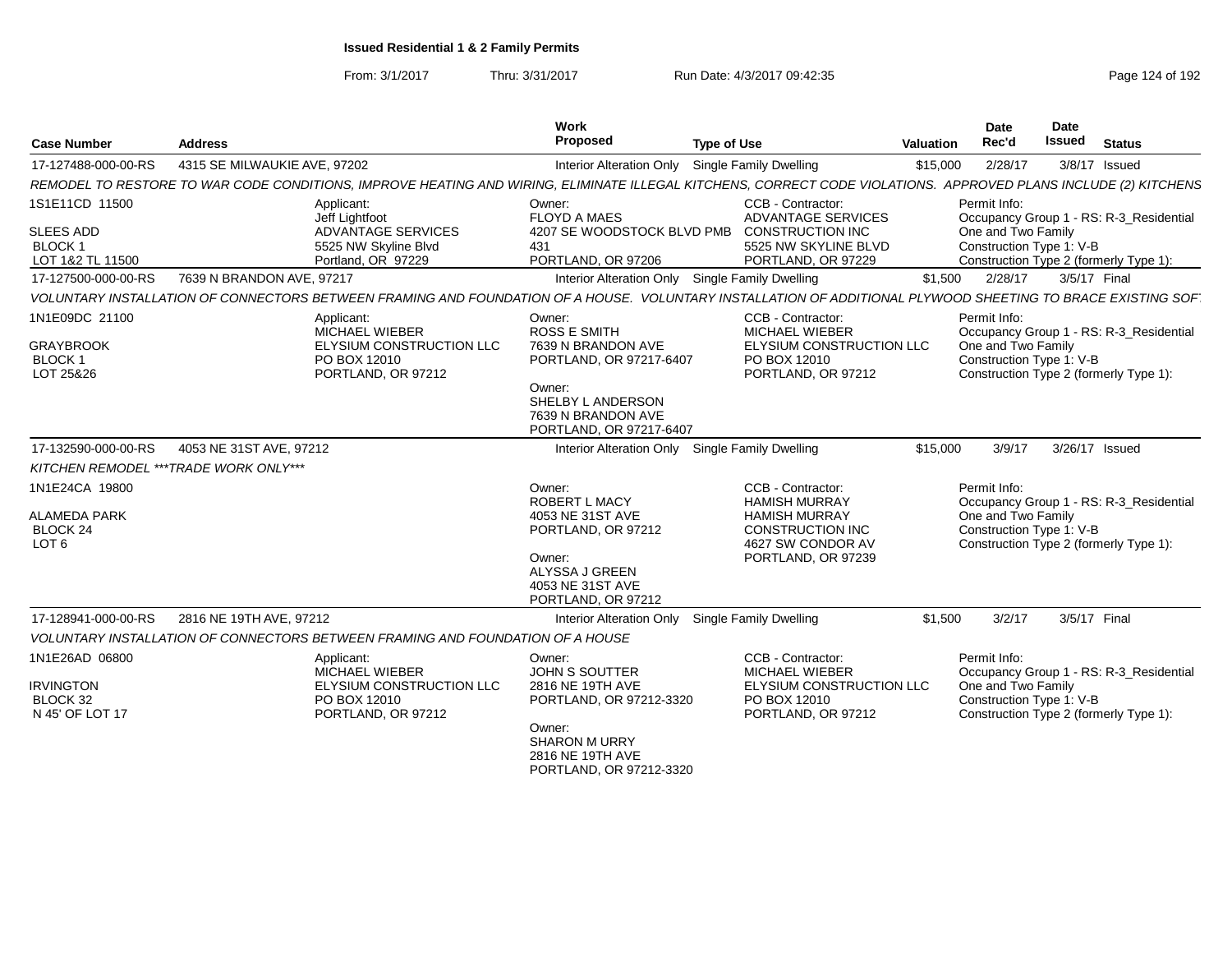| <b>Case Number</b>                                    | <b>Address</b>                                                                                                                                                  | Work<br>Proposed                                                              | <b>Type of Use</b>                                                    | <b>Valuation</b>                                                                         | Date<br>Rec'd                                  | Date<br><b>Issued</b> | <b>Status</b>                           |
|-------------------------------------------------------|-----------------------------------------------------------------------------------------------------------------------------------------------------------------|-------------------------------------------------------------------------------|-----------------------------------------------------------------------|------------------------------------------------------------------------------------------|------------------------------------------------|-----------------------|-----------------------------------------|
| 17-127488-000-00-RS                                   | 4315 SE MILWAUKIE AVE, 97202                                                                                                                                    | <b>Interior Alteration Only</b>                                               | <b>Single Family Dwelling</b>                                         | \$15,000                                                                                 | 2/28/17                                        |                       | $3/8/17$ Issued                         |
|                                                       | REMODEL TO RESTORE TO WAR CODE CONDITIONS, IMPROVE HEATING AND WIRING, ELIMINATE ILLEGAL KITCHENS, CORRECT CODE VIOLATIONS. APPROVED PLANS INCLUDE (2) KITCHENS |                                                                               |                                                                       |                                                                                          |                                                |                       |                                         |
| 1S1E11CD 11500                                        | Applicant:<br>Jeff Lightfoot                                                                                                                                    | Owner:<br><b>FLOYD A MAES</b>                                                 | CCB - Contractor:<br><b>ADVANTAGE SERVICES</b>                        |                                                                                          | Permit Info:                                   |                       | Occupancy Group 1 - RS: R-3_Residential |
| <b>SLEES ADD</b><br><b>BLOCK1</b><br>LOT 1&2 TL 11500 | <b>ADVANTAGE SERVICES</b><br>5525 NW Skyline Blvd<br>Portland, OR 97229                                                                                         | 4207 SE WOODSTOCK BLVD PMB<br>431<br>PORTLAND, OR 97206                       | <b>CONSTRUCTION INC</b><br>5525 NW SKYLINE BLVD<br>PORTLAND, OR 97229 |                                                                                          | One and Two Family<br>Construction Type 1: V-B |                       |                                         |
| 17-127500-000-00-RS                                   | 7639 N BRANDON AVE, 97217                                                                                                                                       |                                                                               | Interior Alteration Only Single Family Dwelling                       | \$1,500                                                                                  | 2/28/17                                        | 3/5/17 Final          | Construction Type 2 (formerly Type 1):  |
|                                                       | VOLUNTARY INSTALLATION OF CONNECTORS BETWEEN FRAMING AND FOUNDATION OF A HOUSE. VOLUNTARY INSTALLATION OF ADDITIONAL PLYWOOD SHEETING TO BRACE EXISTING SOF     |                                                                               |                                                                       |                                                                                          |                                                |                       |                                         |
| 1N1E09DC 21100                                        | Applicant:                                                                                                                                                      | Owner:                                                                        | CCB - Contractor:                                                     |                                                                                          | Permit Info:                                   |                       |                                         |
|                                                       | MICHAEL WIEBER                                                                                                                                                  | <b>ROSS E SMITH</b>                                                           | <b>MICHAEL WIEBER</b>                                                 |                                                                                          |                                                |                       | Occupancy Group 1 - RS: R-3_Residential |
| <b>GRAYBROOK</b><br><b>BLOCK1</b>                     | ELYSIUM CONSTRUCTION LLC<br>PO BOX 12010                                                                                                                        | 7639 N BRANDON AVE                                                            | ELYSIUM CONSTRUCTION LLC<br>PO BOX 12010                              |                                                                                          | One and Two Family<br>Construction Type 1: V-B |                       |                                         |
| LOT 25&26                                             | PORTLAND, OR 97212                                                                                                                                              | PORTLAND, OR 97217-6407                                                       | PORTLAND, OR 97212                                                    |                                                                                          |                                                |                       | Construction Type 2 (formerly Type 1):  |
|                                                       |                                                                                                                                                                 | Owner:<br>SHELBY L ANDERSON<br>7639 N BRANDON AVE<br>PORTLAND, OR 97217-6407  |                                                                       |                                                                                          |                                                |                       |                                         |
| 17-132590-000-00-RS                                   | 4053 NE 31ST AVE, 97212                                                                                                                                         |                                                                               | Interior Alteration Only Single Family Dwelling                       | \$15,000                                                                                 | 3/9/17                                         | 3/26/17 Issued        |                                         |
| KITCHEN REMODEL *** TRADE WORK ONLY***                |                                                                                                                                                                 |                                                                               |                                                                       |                                                                                          |                                                |                       |                                         |
| 1N1E24CA 19800                                        |                                                                                                                                                                 | Owner:<br><b>ROBERT L MACY</b>                                                | CCB - Contractor:<br><b>HAMISH MURRAY</b>                             |                                                                                          | Permit Info:                                   |                       | Occupancy Group 1 - RS: R-3_Residential |
| <b>ALAMEDA PARK</b><br>BLOCK 24<br>LOT <sub>6</sub>   |                                                                                                                                                                 | 4053 NE 31ST AVE<br>PORTLAND, OR 97212                                        | <b>HAMISH MURRAY</b><br><b>CONSTRUCTION INC</b><br>4627 SW CONDOR AV  | One and Two Family<br>Construction Type 1: V-B<br>Construction Type 2 (formerly Type 1): |                                                |                       |                                         |
|                                                       |                                                                                                                                                                 | Owner:<br>ALYSSA J GREEN<br>4053 NE 31ST AVE<br>PORTLAND, OR 97212            | PORTLAND, OR 97239                                                    |                                                                                          |                                                |                       |                                         |
| 17-128941-000-00-RS                                   | 2816 NE 19TH AVE, 97212                                                                                                                                         | Interior Alteration Only                                                      | Single Family Dwelling                                                | \$1,500                                                                                  | 3/2/17                                         | 3/5/17 Final          |                                         |
|                                                       | VOLUNTARY INSTALLATION OF CONNECTORS BETWEEN FRAMING AND FOUNDATION OF A HOUSE                                                                                  |                                                                               |                                                                       |                                                                                          |                                                |                       |                                         |
| 1N1E26AD 06800                                        | Applicant:<br>MICHAEL WIEBER                                                                                                                                    | Owner:<br><b>JOHN S SOUTTER</b>                                               | CCB - Contractor:<br><b>MICHAEL WIEBER</b>                            |                                                                                          | Permit Info:                                   |                       | Occupancy Group 1 - RS: R-3_Residential |
| <b>IRVINGTON</b><br>BLOCK 32<br>N 45' OF LOT 17       | ELYSIUM CONSTRUCTION LLC<br>PO BOX 12010<br>PORTLAND, OR 97212                                                                                                  | 2816 NE 19TH AVE<br>PORTLAND, OR 97212-3320                                   | ELYSIUM CONSTRUCTION LLC<br>PO BOX 12010<br>PORTLAND, OR 97212        |                                                                                          | One and Two Family<br>Construction Type 1: V-B |                       | Construction Type 2 (formerly Type 1):  |
|                                                       |                                                                                                                                                                 | Owner:<br><b>SHARON M URRY</b><br>2816 NE 19TH AVE<br>PORTLAND, OR 97212-3320 |                                                                       |                                                                                          |                                                |                       |                                         |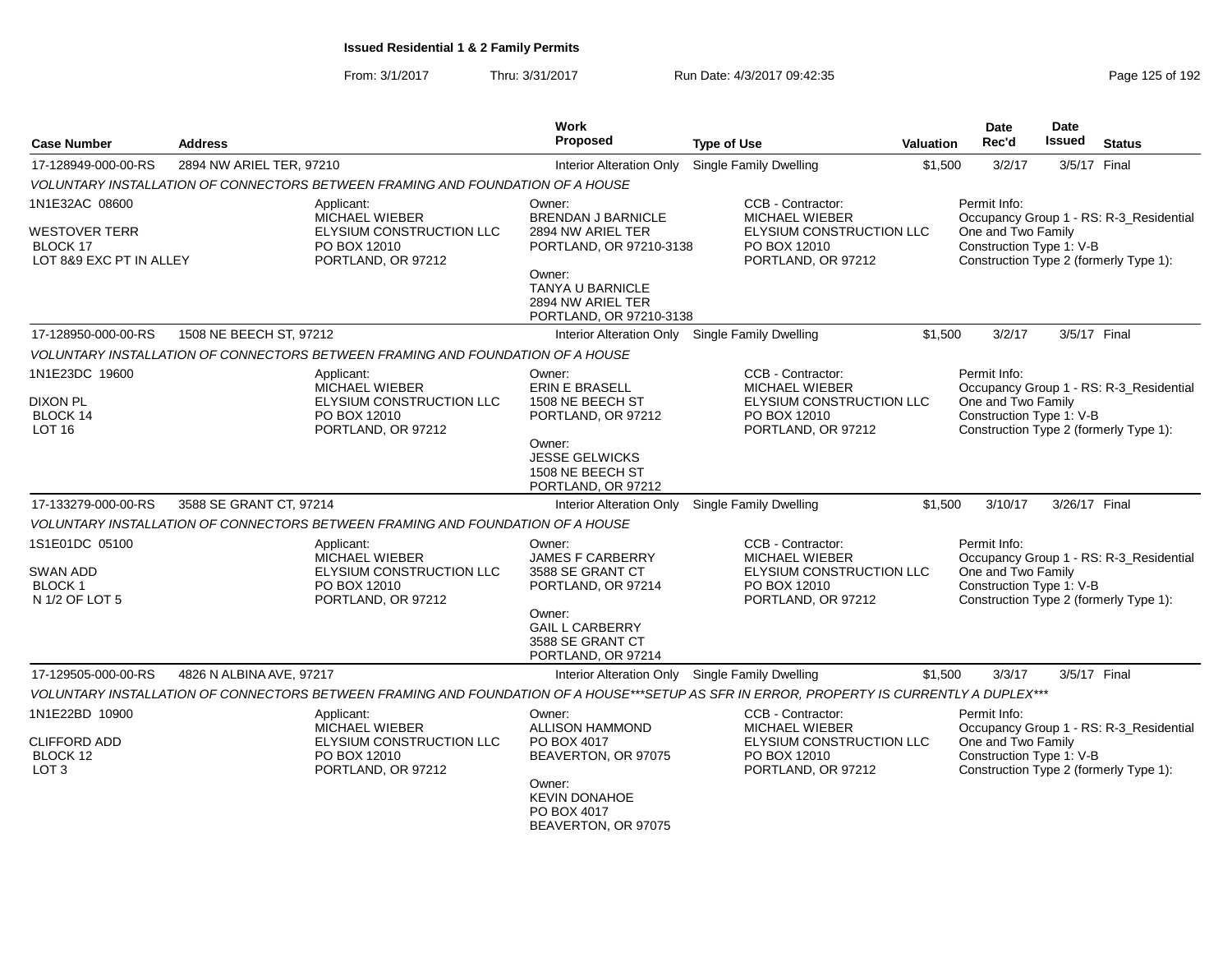| <b>Case Number</b>                                                    | <b>Address</b>           |                                                                                                       | Work<br>Proposed                                                                                                                                          | <b>Type of Use</b>                                                                                                                        | <b>Valuation</b> | <b>Date</b><br>Rec'd                                           | <b>Date</b><br><b>Issued</b> | <b>Status</b>                                                                     |
|-----------------------------------------------------------------------|--------------------------|-------------------------------------------------------------------------------------------------------|-----------------------------------------------------------------------------------------------------------------------------------------------------------|-------------------------------------------------------------------------------------------------------------------------------------------|------------------|----------------------------------------------------------------|------------------------------|-----------------------------------------------------------------------------------|
| 17-128949-000-00-RS                                                   | 2894 NW ARIEL TER, 97210 |                                                                                                       | <b>Interior Alteration Only</b>                                                                                                                           | Single Family Dwelling                                                                                                                    | \$1,500          | 3/2/17                                                         |                              | 3/5/17 Final                                                                      |
|                                                                       |                          | VOLUNTARY INSTALLATION OF CONNECTORS BETWEEN FRAMING AND FOUNDATION OF A HOUSE                        |                                                                                                                                                           |                                                                                                                                           |                  |                                                                |                              |                                                                                   |
| 1N1E32AC 08600                                                        |                          | Applicant:                                                                                            | Owner:                                                                                                                                                    | CCB - Contractor:                                                                                                                         |                  | Permit Info:                                                   |                              |                                                                                   |
| <b>WESTOVER TERR</b><br>BLOCK 17<br>LOT 8&9 EXC PT IN ALLEY           |                          | <b>MICHAEL WIEBER</b><br>ELYSIUM CONSTRUCTION LLC<br>PO BOX 12010<br>PORTLAND, OR 97212               | <b>BRENDAN J BARNICLE</b><br>2894 NW ARIEL TER<br>PORTLAND, OR 97210-3138<br>Owner:<br><b>TANYA U BARNICLE</b><br>2894 NW ARIEL TER                       | <b>MICHAEL WIEBER</b><br>ELYSIUM CONSTRUCTION LLC<br>PO BOX 12010<br>PORTLAND, OR 97212                                                   |                  | One and Two Family<br>Construction Type 1: V-B                 |                              | Occupancy Group 1 - RS: R-3_Residential<br>Construction Type 2 (formerly Type 1): |
|                                                                       |                          |                                                                                                       | PORTLAND, OR 97210-3138                                                                                                                                   |                                                                                                                                           |                  |                                                                |                              |                                                                                   |
| 17-128950-000-00-RS                                                   | 1508 NE BEECH ST, 97212  |                                                                                                       | <b>Interior Alteration Only</b>                                                                                                                           | <b>Single Family Dwelling</b>                                                                                                             | \$1,500          | 3/2/17                                                         |                              | 3/5/17 Final                                                                      |
|                                                                       |                          | VOLUNTARY INSTALLATION OF CONNECTORS BETWEEN FRAMING AND FOUNDATION OF A HOUSE                        |                                                                                                                                                           |                                                                                                                                           |                  |                                                                |                              |                                                                                   |
| 1N1E23DC 19600<br><b>DIXON PL</b><br>BLOCK 14<br>LOT <sub>16</sub>    |                          | Applicant:<br><b>MICHAEL WIEBER</b><br>ELYSIUM CONSTRUCTION LLC<br>PO BOX 12010<br>PORTLAND, OR 97212 | Owner:<br><b>ERIN E BRASELL</b><br>1508 NE BEECH ST<br>PORTLAND, OR 97212<br>Owner:<br><b>JESSE GELWICKS</b><br>1508 NE BEECH ST                          | CCB - Contractor:<br><b>MICHAEL WIEBER</b><br>ELYSIUM CONSTRUCTION LLC<br>PO BOX 12010<br>PORTLAND, OR 97212                              |                  | Permit Info:<br>One and Two Family<br>Construction Type 1: V-B |                              | Occupancy Group 1 - RS: R-3_Residential<br>Construction Type 2 (formerly Type 1): |
|                                                                       |                          |                                                                                                       | PORTLAND, OR 97212                                                                                                                                        |                                                                                                                                           |                  |                                                                |                              |                                                                                   |
| 17-133279-000-00-RS                                                   | 3588 SE GRANT CT, 97214  |                                                                                                       | Interior Alteration Only                                                                                                                                  | Single Family Dwelling                                                                                                                    | \$1,500          | 3/10/17                                                        | 3/26/17 Final                |                                                                                   |
|                                                                       |                          | VOLUNTARY INSTALLATION OF CONNECTORS BETWEEN FRAMING AND FOUNDATION OF A HOUSE                        |                                                                                                                                                           |                                                                                                                                           |                  |                                                                |                              |                                                                                   |
| 1S1E01DC 05100<br>SWAN ADD<br><b>BLOCK1</b><br>N 1/2 OF LOT 5         |                          | Applicant:<br><b>MICHAEL WIEBER</b><br>ELYSIUM CONSTRUCTION LLC<br>PO BOX 12010<br>PORTLAND, OR 97212 | Owner:<br><b>JAMES F CARBERRY</b><br>3588 SE GRANT CT<br>PORTLAND, OR 97214<br>Owner:<br><b>GAIL L CARBERRY</b><br>3588 SE GRANT CT<br>PORTLAND, OR 97214 | CCB - Contractor:<br><b>MICHAEL WIEBER</b><br>ELYSIUM CONSTRUCTION LLC<br>PO BOX 12010<br>PORTLAND, OR 97212                              |                  | Permit Info:<br>One and Two Family<br>Construction Type 1: V-B |                              | Occupancy Group 1 - RS: R-3_Residential<br>Construction Type 2 (formerly Type 1): |
| 17-129505-000-00-RS                                                   | 4826 N ALBINA AVE, 97217 |                                                                                                       | Interior Alteration Only Single Family Dwelling                                                                                                           |                                                                                                                                           | \$1,500          | 3/3/17                                                         |                              | 3/5/17 Final                                                                      |
|                                                                       |                          |                                                                                                       |                                                                                                                                                           | VOLUNTARY INSTALLATION OF CONNECTORS BETWEEN FRAMING AND FOUNDATION OF A HOUSE***SETUP AS SFR IN ERROR, PROPERTY IS CURRENTLY A DUPLEX*** |                  |                                                                |                              |                                                                                   |
| 1N1E22BD 10900<br><b>CLIFFORD ADD</b><br>BLOCK 12<br>LOT <sub>3</sub> |                          | Applicant:<br><b>MICHAEL WIEBER</b><br>ELYSIUM CONSTRUCTION LLC<br>PO BOX 12010<br>PORTLAND, OR 97212 | Owner:<br><b>ALLISON HAMMOND</b><br>PO BOX 4017<br>BEAVERTON, OR 97075<br>Owner:<br><b>KEVIN DONAHOE</b><br>PO BOX 4017<br>BEAVERTON, OR 97075            | CCB - Contractor:<br>MICHAEL WIEBER<br>ELYSIUM CONSTRUCTION LLC<br>PO BOX 12010<br>PORTLAND, OR 97212                                     |                  | Permit Info:<br>One and Two Family<br>Construction Type 1: V-B |                              | Occupancy Group 1 - RS: R-3_Residential<br>Construction Type 2 (formerly Type 1): |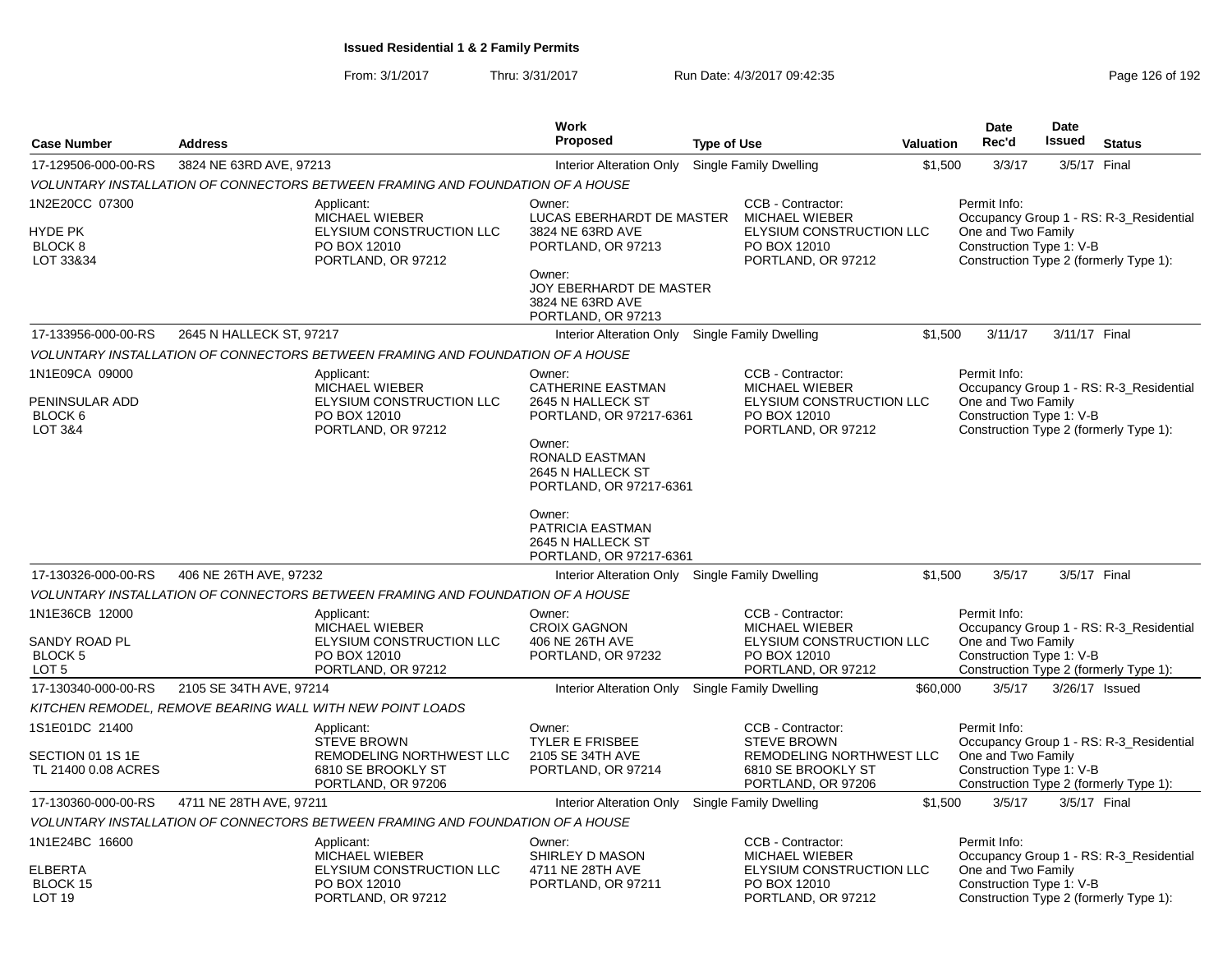|                                                                              |                          |                                                                                                          | <b>Work</b>                                                                                                                                                    |                    |                                                                                                                 |                  | <b>Date</b>                                                                                              | Date           |                                                                                   |
|------------------------------------------------------------------------------|--------------------------|----------------------------------------------------------------------------------------------------------|----------------------------------------------------------------------------------------------------------------------------------------------------------------|--------------------|-----------------------------------------------------------------------------------------------------------------|------------------|----------------------------------------------------------------------------------------------------------|----------------|-----------------------------------------------------------------------------------|
| <b>Case Number</b>                                                           | <b>Address</b>           |                                                                                                          | <b>Proposed</b>                                                                                                                                                | <b>Type of Use</b> |                                                                                                                 | <b>Valuation</b> | Rec'd                                                                                                    | Issued         | <b>Status</b>                                                                     |
| 17-129506-000-00-RS                                                          | 3824 NE 63RD AVE, 97213  |                                                                                                          | Interior Alteration Only                                                                                                                                       |                    | Single Family Dwelling                                                                                          | \$1,500          | 3/3/17                                                                                                   | 3/5/17 Final   |                                                                                   |
|                                                                              |                          | VOLUNTARY INSTALLATION OF CONNECTORS BETWEEN FRAMING AND FOUNDATION OF A HOUSE                           |                                                                                                                                                                |                    |                                                                                                                 |                  |                                                                                                          |                |                                                                                   |
| 1N2E20CC 07300<br>HYDE PK<br>BLOCK <sub>8</sub><br>LOT 33&34                 |                          | Applicant:<br><b>MICHAEL WIEBER</b><br>ELYSIUM CONSTRUCTION LLC<br>PO BOX 12010<br>PORTLAND, OR 97212    | Owner:<br>LUCAS EBERHARDT DE MASTER<br>3824 NE 63RD AVE<br>PORTLAND, OR 97213<br>Owner:<br>JOY EBERHARDT DE MASTER<br>3824 NE 63RD AVE<br>PORTLAND, OR 97213   |                    | CCB - Contractor:<br><b>MICHAEL WIEBER</b><br>ELYSIUM CONSTRUCTION LLC<br>PO BOX 12010<br>PORTLAND, OR 97212    |                  | Permit Info:<br>One and Two Family<br>Construction Type 1: V-B<br>Construction Type 2 (formerly Type 1): |                | Occupancy Group 1 - RS: R-3 Residential                                           |
| 17-133956-000-00-RS                                                          | 2645 N HALLECK ST, 97217 |                                                                                                          | Interior Alteration Only                                                                                                                                       |                    | Single Family Dwelling                                                                                          | \$1,500          | 3/11/17                                                                                                  | 3/11/17 Final  |                                                                                   |
|                                                                              |                          | VOLUNTARY INSTALLATION OF CONNECTORS BETWEEN FRAMING AND FOUNDATION OF A HOUSE                           |                                                                                                                                                                |                    |                                                                                                                 |                  |                                                                                                          |                |                                                                                   |
| 1N1E09CA 09000<br>PENINSULAR ADD<br>BLOCK <sub>6</sub><br><b>LOT 3&amp;4</b> |                          | Applicant:<br>MICHAEL WIEBER<br>ELYSIUM CONSTRUCTION LLC<br>PO BOX 12010<br>PORTLAND, OR 97212           | Owner:<br><b>CATHERINE EASTMAN</b><br>2645 N HALLECK ST<br>PORTLAND, OR 97217-6361<br>Owner:<br>RONALD EASTMAN<br>2645 N HALLECK ST<br>PORTLAND, OR 97217-6361 |                    | CCB - Contractor:<br>MICHAEL WIEBER<br>ELYSIUM CONSTRUCTION LLC<br>PO BOX 12010<br>PORTLAND, OR 97212           |                  | Permit Info:<br>One and Two Family<br>Construction Type 1: V-B                                           |                | Occupancy Group 1 - RS: R-3_Residential<br>Construction Type 2 (formerly Type 1): |
|                                                                              |                          |                                                                                                          | Owner:<br>PATRICIA EASTMAN<br>2645 N HALLECK ST<br>PORTLAND, OR 97217-6361                                                                                     |                    |                                                                                                                 |                  | 3/5/17                                                                                                   | 3/5/17 Final   |                                                                                   |
| 17-130326-000-00-RS                                                          | 406 NE 26TH AVE, 97232   |                                                                                                          | Interior Alteration Only Single Family Dwelling                                                                                                                |                    |                                                                                                                 | \$1,500          |                                                                                                          |                |                                                                                   |
|                                                                              |                          | VOLUNTARY INSTALLATION OF CONNECTORS BETWEEN FRAMING AND FOUNDATION OF A HOUSE                           |                                                                                                                                                                |                    |                                                                                                                 |                  |                                                                                                          |                |                                                                                   |
| 1N1E36CB 12000<br>SANDY ROAD PL<br><b>BLOCK 5</b><br>LOT <sub>5</sub>        |                          | Applicant:<br>MICHAEL WIEBER<br>ELYSIUM CONSTRUCTION LLC<br>PO BOX 12010<br>PORTLAND, OR 97212           | Owner:<br><b>CROIX GAGNON</b><br>406 NE 26TH AVE<br>PORTLAND, OR 97232                                                                                         |                    | CCB - Contractor:<br>MICHAEL WIEBER<br>ELYSIUM CONSTRUCTION LLC<br>PO BOX 12010<br>PORTLAND, OR 97212           |                  | Permit Info:<br>One and Two Family<br>Construction Type 1: V-B                                           |                | Occupancy Group 1 - RS: R-3 Residential<br>Construction Type 2 (formerly Type 1): |
| 17-130340-000-00-RS                                                          | 2105 SE 34TH AVE, 97214  |                                                                                                          | Interior Alteration Only                                                                                                                                       |                    | Single Family Dwelling                                                                                          | \$60,000         | 3/5/17                                                                                                   | 3/26/17 Issued |                                                                                   |
|                                                                              |                          | KITCHEN REMODEL, REMOVE BEARING WALL WITH NEW POINT LOADS                                                |                                                                                                                                                                |                    |                                                                                                                 |                  |                                                                                                          |                |                                                                                   |
| 1S1E01DC 21400<br>SECTION 01 1S 1E<br>TL 21400 0.08 ACRES                    |                          | Applicant:<br><b>STEVE BROWN</b><br>REMODELING NORTHWEST LLC<br>6810 SE BROOKLY ST<br>PORTLAND, OR 97206 | Owner:<br><b>TYLER E FRISBEE</b><br>2105 SE 34TH AVE<br>PORTLAND, OR 97214                                                                                     |                    | CCB - Contractor:<br><b>STEVE BROWN</b><br>REMODELING NORTHWEST LLC<br>6810 SE BROOKLY ST<br>PORTLAND, OR 97206 |                  | Permit Info:<br>One and Two Family<br>Construction Type 1: V-B                                           |                | Occupancy Group 1 - RS: R-3_Residential<br>Construction Type 2 (formerly Type 1): |
| 17-130360-000-00-RS                                                          | 4711 NE 28TH AVE, 97211  |                                                                                                          | Interior Alteration Only Single Family Dwelling                                                                                                                |                    |                                                                                                                 | \$1,500          | 3/5/17                                                                                                   | 3/5/17 Final   |                                                                                   |
|                                                                              |                          | VOLUNTARY INSTALLATION OF CONNECTORS BETWEEN FRAMING AND FOUNDATION OF A HOUSE                           |                                                                                                                                                                |                    |                                                                                                                 |                  |                                                                                                          |                |                                                                                   |
| 1N1E24BC 16600<br><b>ELBERTA</b><br>BLOCK 15<br>LOT 19                       |                          | Applicant:<br><b>MICHAEL WIEBER</b><br>ELYSIUM CONSTRUCTION LLC<br>PO BOX 12010<br>PORTLAND, OR 97212    | Owner:<br>SHIRLEY D MASON<br>4711 NE 28TH AVE<br>PORTLAND, OR 97211                                                                                            |                    | CCB - Contractor:<br>MICHAEL WIEBER<br>ELYSIUM CONSTRUCTION LLC<br>PO BOX 12010<br>PORTLAND, OR 97212           |                  | Permit Info:<br>One and Two Family<br>Construction Type 1: V-B                                           |                | Occupancy Group 1 - RS: R-3_Residential<br>Construction Type 2 (formerly Type 1): |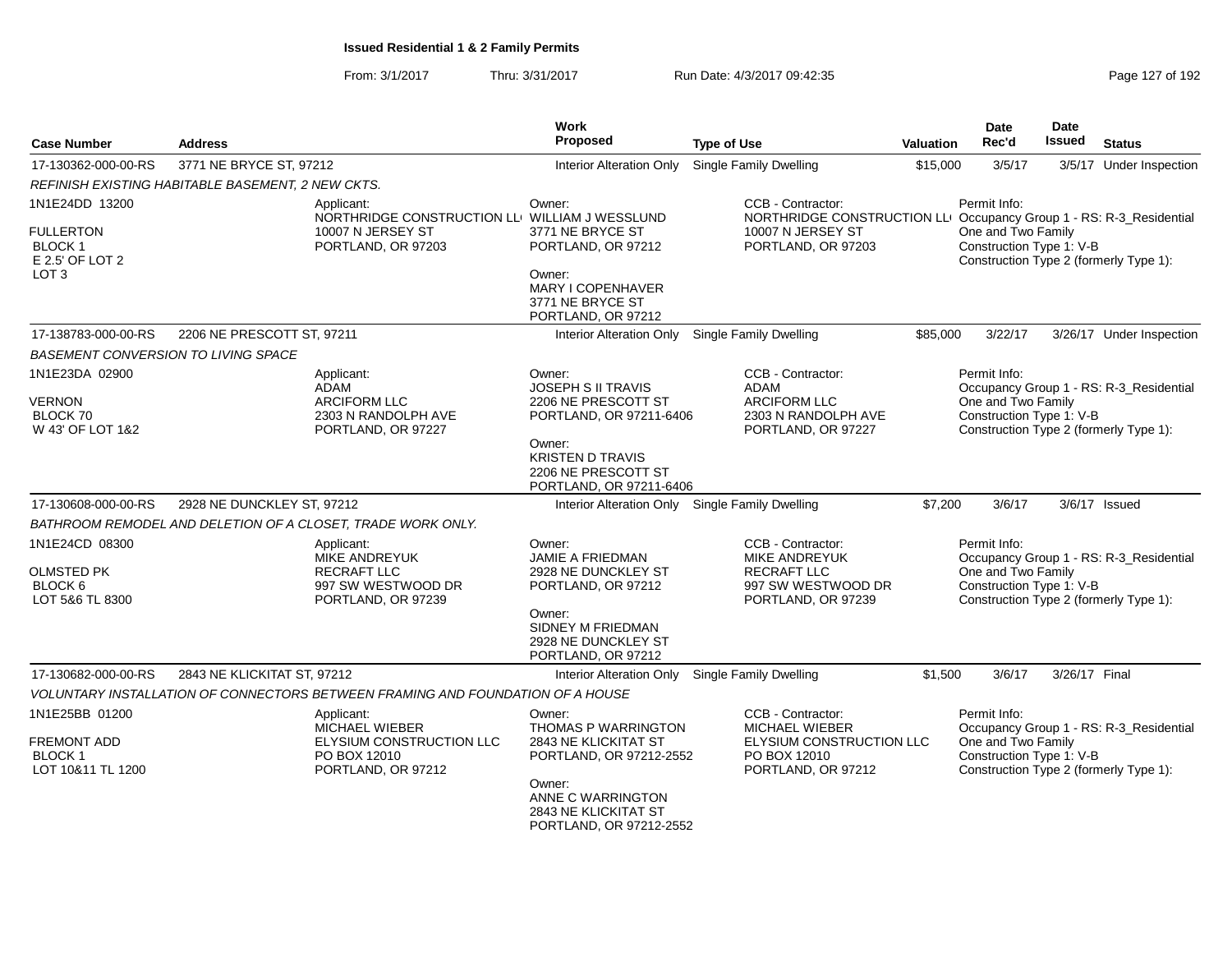| <b>Case Number</b>                                                       | <b>Address</b>                                                                                        | Work<br>Proposed                                                                                               | <b>Type of Use</b>                                                                                           | <b>Valuation</b>                                                                                                                                    | <b>Date</b><br>Rec'd                                                                     | <b>Date</b><br>Issued | <b>Status</b>                           |
|--------------------------------------------------------------------------|-------------------------------------------------------------------------------------------------------|----------------------------------------------------------------------------------------------------------------|--------------------------------------------------------------------------------------------------------------|-----------------------------------------------------------------------------------------------------------------------------------------------------|------------------------------------------------------------------------------------------|-----------------------|-----------------------------------------|
| 17-130362-000-00-RS                                                      | 3771 NE BRYCE ST, 97212                                                                               | <b>Interior Alteration Only</b>                                                                                | <b>Single Family Dwelling</b>                                                                                | \$15,000                                                                                                                                            | 3/5/17                                                                                   |                       | 3/5/17 Under Inspection                 |
|                                                                          | REFINISH EXISTING HABITABLE BASEMENT, 2 NEW CKTS.                                                     |                                                                                                                |                                                                                                              |                                                                                                                                                     |                                                                                          |                       |                                         |
| 1N1E24DD 13200                                                           | Applicant:<br>NORTHRIDGE CONSTRUCTION LLI WILLIAM J WESSLUND                                          | Owner:                                                                                                         | CCB - Contractor:<br>NORTHRIDGE CONSTRUCTION LLI Occupancy Group 1 - RS: R-3_Residential                     |                                                                                                                                                     | Permit Info:                                                                             |                       |                                         |
| <b>FULLERTON</b><br><b>BLOCK1</b><br>E 2.5' OF LOT 2<br>LOT <sub>3</sub> | 10007 N JERSEY ST<br>PORTLAND, OR 97203                                                               | 3771 NE BRYCE ST<br>PORTLAND, OR 97212<br>Owner:                                                               | 10007 N JERSEY ST<br>PORTLAND, OR 97203                                                                      |                                                                                                                                                     | One and Two Family<br>Construction Type 1: V-B<br>Construction Type 2 (formerly Type 1): |                       |                                         |
|                                                                          |                                                                                                       | MARY I COPENHAVER<br>3771 NE BRYCE ST<br>PORTLAND, OR 97212                                                    |                                                                                                              |                                                                                                                                                     |                                                                                          |                       |                                         |
| 17-138783-000-00-RS                                                      | 2206 NE PRESCOTT ST, 97211                                                                            | Interior Alteration Only                                                                                       | <b>Single Family Dwelling</b>                                                                                | \$85,000                                                                                                                                            | 3/22/17                                                                                  |                       | 3/26/17 Under Inspection                |
| BASEMENT CONVERSION TO LIVING SPACE                                      |                                                                                                       |                                                                                                                |                                                                                                              |                                                                                                                                                     |                                                                                          |                       |                                         |
| 1N1E23DA 02900<br>VERNON                                                 | Applicant:<br><b>ADAM</b><br><b>ARCIFORM LLC</b>                                                      | Owner:<br><b>JOSEPH S II TRAVIS</b><br>2206 NE PRESCOTT ST                                                     | CCB - Contractor:<br><b>ADAM</b><br><b>ARCIFORM LLC</b>                                                      |                                                                                                                                                     | Permit Info:<br>One and Two Family<br>Construction Type 1: V-B                           |                       | Occupancy Group 1 - RS: R-3_Residential |
| BLOCK 70<br>W 43' OF LOT 1&2                                             | 2303 N RANDOLPH AVE<br>PORTLAND, OR 97227                                                             | PORTLAND, OR 97211-6406<br>Owner:<br><b>KRISTEN D TRAVIS</b><br>2206 NE PRESCOTT ST<br>PORTLAND, OR 97211-6406 | 2303 N RANDOLPH AVE<br>PORTLAND, OR 97227                                                                    |                                                                                                                                                     |                                                                                          |                       | Construction Type 2 (formerly Type 1):  |
| 17-130608-000-00-RS                                                      | 2928 NE DUNCKLEY ST, 97212                                                                            | Interior Alteration Only Single Family Dwelling                                                                |                                                                                                              | \$7,200                                                                                                                                             | 3/6/17                                                                                   |                       | 3/6/17 Issued                           |
|                                                                          | BATHROOM REMODEL AND DELETION OF A CLOSET, TRADE WORK ONLY.                                           |                                                                                                                |                                                                                                              |                                                                                                                                                     |                                                                                          |                       |                                         |
| 1N1E24CD 08300                                                           | Applicant:<br><b>MIKE ANDREYUK</b>                                                                    | Owner:<br><b>JAMIE A FRIEDMAN</b>                                                                              | CCB - Contractor:<br><b>MIKE ANDREYUK</b>                                                                    |                                                                                                                                                     | Permit Info:                                                                             |                       | Occupancy Group 1 - RS: R-3_Residential |
| <b>OLMSTED PK</b><br>BLOCK 6<br>LOT 5&6 TL 8300                          | <b>RECRAFT LLC</b><br>997 SW WESTWOOD DR<br>PORTLAND, OR 97239                                        | 2928 NE DUNCKLEY ST<br>PORTLAND, OR 97212                                                                      | RECRAFT LLC<br>997 SW WESTWOOD DR<br>PORTLAND, OR 97239                                                      |                                                                                                                                                     | One and Two Family<br>Construction Type 1: V-B<br>Construction Type 2 (formerly Type 1): |                       |                                         |
|                                                                          |                                                                                                       | Owner:<br>SIDNEY M FRIEDMAN<br>2928 NE DUNCKLEY ST<br>PORTLAND, OR 97212                                       |                                                                                                              |                                                                                                                                                     |                                                                                          |                       |                                         |
| 17-130682-000-00-RS                                                      | 2843 NE KLICKITAT ST, 97212                                                                           | Interior Alteration Only                                                                                       | Single Family Dwelling                                                                                       | \$1,500                                                                                                                                             | 3/6/17                                                                                   | 3/26/17 Final         |                                         |
|                                                                          | VOLUNTARY INSTALLATION OF CONNECTORS BETWEEN FRAMING AND FOUNDATION OF A HOUSE                        |                                                                                                                |                                                                                                              |                                                                                                                                                     |                                                                                          |                       |                                         |
| 1N1E25BB 01200<br>FREMONT ADD<br><b>BLOCK1</b><br>LOT 10&11 TL 1200      | Applicant:<br><b>MICHAEL WIEBER</b><br>ELYSIUM CONSTRUCTION LLC<br>PO BOX 12010<br>PORTLAND, OR 97212 | Owner:<br><b>THOMAS P WARRINGTON</b><br>2843 NE KLICKITAT ST<br>PORTLAND, OR 97212-2552                        | CCB - Contractor:<br><b>MICHAEL WIEBER</b><br>ELYSIUM CONSTRUCTION LLC<br>PO BOX 12010<br>PORTLAND, OR 97212 | Permit Info:<br>Occupancy Group 1 - RS: R-3 Residential<br>One and Two Family<br>Construction Type 1: V-B<br>Construction Type 2 (formerly Type 1): |                                                                                          |                       |                                         |
|                                                                          |                                                                                                       | Owner:<br>ANNE C WARRINGTON<br>2843 NE KLICKITAT ST<br>PORTLAND, OR 97212-2552                                 |                                                                                                              |                                                                                                                                                     |                                                                                          |                       |                                         |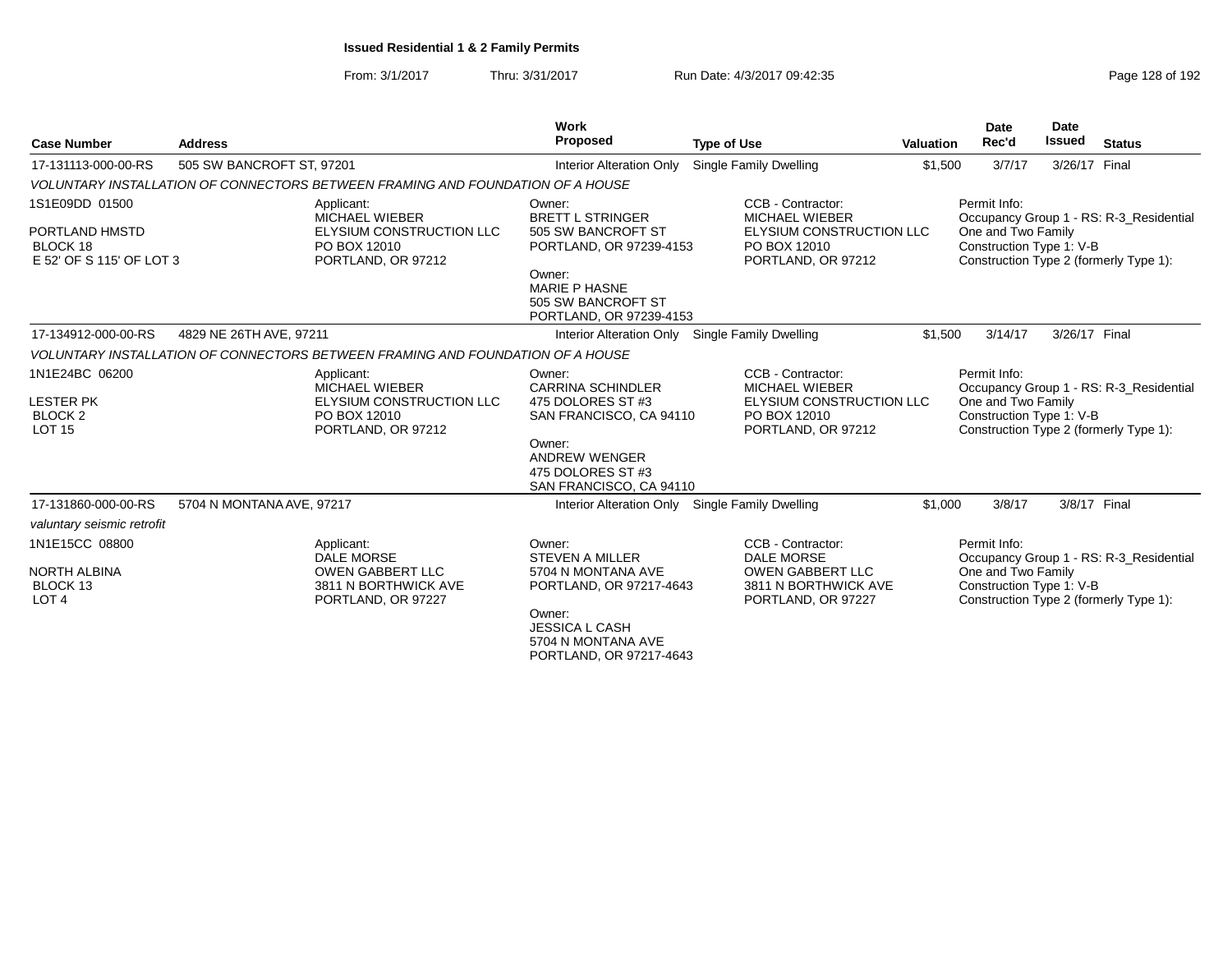| <b>Case Number</b>                                                        | <b>Address</b>            |                                                                                                          | <b>Work</b><br>Proposed                                                                                                                                               | <b>Type of Use</b>                                                                                              | Valuation | <b>Date</b><br>Rec'd                                           | <b>Date</b><br><b>Issued</b> | <b>Status</b>                                                                     |
|---------------------------------------------------------------------------|---------------------------|----------------------------------------------------------------------------------------------------------|-----------------------------------------------------------------------------------------------------------------------------------------------------------------------|-----------------------------------------------------------------------------------------------------------------|-----------|----------------------------------------------------------------|------------------------------|-----------------------------------------------------------------------------------|
| 17-131113-000-00-RS                                                       | 505 SW BANCROFT ST, 97201 |                                                                                                          | <b>Interior Alteration Only</b>                                                                                                                                       | Single Family Dwelling                                                                                          | \$1,500   | 3/7/17                                                         | 3/26/17 Final                |                                                                                   |
|                                                                           |                           | VOLUNTARY INSTALLATION OF CONNECTORS BETWEEN FRAMING AND FOUNDATION OF A HOUSE                           |                                                                                                                                                                       |                                                                                                                 |           |                                                                |                              |                                                                                   |
| 1S1E09DD 01500<br>PORTLAND HMSTD<br>BLOCK 18<br>E 52' OF S 115' OF LOT 3  |                           | Applicant:<br><b>MICHAEL WIEBER</b><br>ELYSIUM CONSTRUCTION LLC<br>PO BOX 12010<br>PORTLAND, OR 97212    | Owner:<br><b>BRETT L STRINGER</b><br>505 SW BANCROFT ST<br>PORTLAND, OR 97239-4153<br>Owner:<br><b>MARIE P HASNE</b><br>505 SW BANCROFT ST<br>PORTLAND, OR 97239-4153 | CCB - Contractor:<br><b>MICHAEL WIEBER</b><br>ELYSIUM CONSTRUCTION LLC<br>PO BOX 12010<br>PORTLAND, OR 97212    |           | Permit Info:<br>One and Two Family<br>Construction Type 1: V-B |                              | Occupancy Group 1 - RS: R-3_Residential<br>Construction Type 2 (formerly Type 1): |
| 17-134912-000-00-RS                                                       | 4829 NE 26TH AVE, 97211   |                                                                                                          | <b>Interior Alteration Only</b>                                                                                                                                       | Single Family Dwelling                                                                                          | \$1,500   | 3/14/17                                                        | 3/26/17 Final                |                                                                                   |
|                                                                           |                           | VOLUNTARY INSTALLATION OF CONNECTORS BETWEEN FRAMING AND FOUNDATION OF A HOUSE                           |                                                                                                                                                                       |                                                                                                                 |           |                                                                |                              |                                                                                   |
| 1N1E24BC 06200<br><b>LESTER PK</b><br>BLOCK <sub>2</sub><br><b>LOT 15</b> |                           | Applicant:<br><b>MICHAEL WIEBER</b><br>ELYSIUM CONSTRUCTION LLC<br>PO BOX 12010<br>PORTLAND, OR 97212    | Owner:<br><b>CARRINA SCHINDLER</b><br>475 DOLORES ST #3<br>SAN FRANCISCO, CA 94110<br>Owner:<br><b>ANDREW WENGER</b><br>475 DOLORES ST #3<br>SAN FRANCISCO, CA 94110  | CCB - Contractor:<br><b>MICHAEL WIEBER</b><br>ELYSIUM CONSTRUCTION LLC<br>PO BOX 12010<br>PORTLAND, OR 97212    |           | Permit Info:<br>One and Two Family<br>Construction Type 1: V-B |                              | Occupancy Group 1 - RS: R-3_Residential<br>Construction Type 2 (formerly Type 1): |
| 17-131860-000-00-RS                                                       | 5704 N MONTANA AVE, 97217 |                                                                                                          | Interior Alteration Only Single Family Dwelling                                                                                                                       |                                                                                                                 | \$1,000   | 3/8/17                                                         |                              | 3/8/17 Final                                                                      |
| valuntary seismic retrofit                                                |                           |                                                                                                          |                                                                                                                                                                       |                                                                                                                 |           |                                                                |                              |                                                                                   |
| 1N1E15CC 08800<br><b>NORTH ALBINA</b><br>BLOCK 13<br>LOT <sub>4</sub>     |                           | Applicant:<br><b>DALE MORSE</b><br><b>OWEN GABBERT LLC</b><br>3811 N BORTHWICK AVE<br>PORTLAND, OR 97227 | Owner:<br><b>STEVEN A MILLER</b><br>5704 N MONTANA AVE<br>PORTLAND, OR 97217-4643<br>Owner:<br><b>JESSICA L CASH</b><br>5704 N MONTANA AVE<br>PORTLAND, OR 97217-4643 | CCB - Contractor:<br><b>DALE MORSE</b><br><b>OWEN GABBERT LLC</b><br>3811 N BORTHWICK AVE<br>PORTLAND, OR 97227 |           | Permit Info:<br>One and Two Family<br>Construction Type 1: V-B |                              | Occupancy Group 1 - RS: R-3_Residential<br>Construction Type 2 (formerly Type 1): |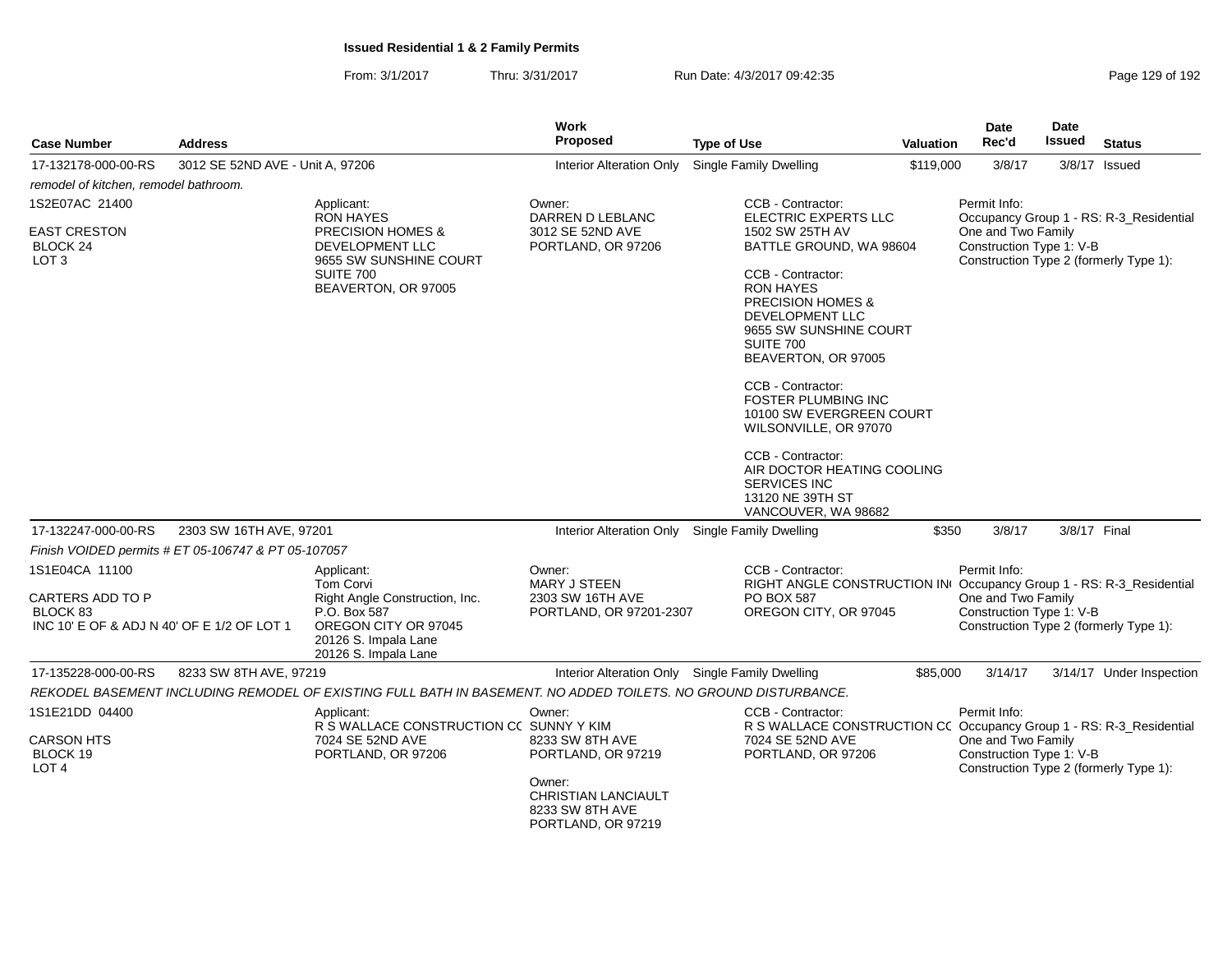From: 3/1/2017Thru: 3/31/2017 Run Date: 4/3/2017 09:42:35

|                                                                            |                                                     |                                                                                                                        | <b>Work</b>                                                            |                                                                                                                                                                                                                                                                                                                                                                                                                                                 |                  | Date                                                                                     | Date          |                                         |
|----------------------------------------------------------------------------|-----------------------------------------------------|------------------------------------------------------------------------------------------------------------------------|------------------------------------------------------------------------|-------------------------------------------------------------------------------------------------------------------------------------------------------------------------------------------------------------------------------------------------------------------------------------------------------------------------------------------------------------------------------------------------------------------------------------------------|------------------|------------------------------------------------------------------------------------------|---------------|-----------------------------------------|
| <b>Case Number</b>                                                         | <b>Address</b>                                      |                                                                                                                        | <b>Proposed</b>                                                        | <b>Type of Use</b>                                                                                                                                                                                                                                                                                                                                                                                                                              | <b>Valuation</b> | Rec'd                                                                                    | <b>Issued</b> | <b>Status</b>                           |
| 17-132178-000-00-RS                                                        | 3012 SE 52ND AVE - Unit A, 97206                    |                                                                                                                        | <b>Interior Alteration Only</b>                                        | <b>Single Family Dwelling</b>                                                                                                                                                                                                                                                                                                                                                                                                                   | \$119,000        | 3/8/17                                                                                   |               | 3/8/17 Issued                           |
| remodel of kitchen, remodel bathroom.                                      |                                                     |                                                                                                                        |                                                                        |                                                                                                                                                                                                                                                                                                                                                                                                                                                 |                  |                                                                                          |               |                                         |
| 1S2E07AC 21400                                                             |                                                     | Applicant:<br><b>RON HAYES</b>                                                                                         | Owner:<br>DARREN D LEBLANC                                             | CCB - Contractor:<br>ELECTRIC EXPERTS LLC                                                                                                                                                                                                                                                                                                                                                                                                       |                  | Permit Info:                                                                             |               | Occupancy Group 1 - RS: R-3_Residential |
| <b>EAST CRESTON</b><br>BLOCK 24<br>LOT <sub>3</sub>                        |                                                     | <b>PRECISION HOMES &amp;</b><br>DEVELOPMENT LLC<br>9655 SW SUNSHINE COURT<br>SUITE 700<br>BEAVERTON, OR 97005          | 3012 SE 52ND AVE<br>PORTLAND, OR 97206                                 | 1502 SW 25TH AV<br>BATTLE GROUND, WA 98604<br>CCB - Contractor:<br><b>RON HAYES</b><br><b>PRECISION HOMES &amp;</b><br><b>DEVELOPMENT LLC</b><br>9655 SW SUNSHINE COURT<br><b>SUITE 700</b><br>BEAVERTON, OR 97005<br>CCB - Contractor:<br><b>FOSTER PLUMBING INC</b><br>10100 SW EVERGREEN COURT<br>WILSONVILLE, OR 97070<br>CCB - Contractor:<br>AIR DOCTOR HEATING COOLING<br><b>SERVICES INC</b><br>13120 NE 39TH ST<br>VANCOUVER, WA 98682 |                  | One and Two Family<br>Construction Type 1: V-B<br>Construction Type 2 (formerly Type 1): |               |                                         |
| 17-132247-000-00-RS                                                        | 2303 SW 16TH AVE, 97201                             |                                                                                                                        |                                                                        | Interior Alteration Only Single Family Dwelling                                                                                                                                                                                                                                                                                                                                                                                                 | \$350            | 3/8/17                                                                                   | 3/8/17 Final  |                                         |
|                                                                            | Finish VOIDED permits # ET 05-106747 & PT 05-107057 |                                                                                                                        |                                                                        |                                                                                                                                                                                                                                                                                                                                                                                                                                                 |                  |                                                                                          |               |                                         |
| 1S1E04CA 11100                                                             |                                                     | Applicant:<br><b>Tom Corvi</b>                                                                                         | Owner:<br><b>MARY J STEEN</b>                                          | CCB - Contractor:<br>RIGHT ANGLE CONSTRUCTION IN Occupancy Group 1 - RS: R-3_Residential                                                                                                                                                                                                                                                                                                                                                        |                  | Permit Info:                                                                             |               |                                         |
| CARTERS ADD TO P<br>BLOCK 83<br>INC 10' E OF & ADJ N 40' OF E 1/2 OF LOT 1 |                                                     | Right Angle Construction, Inc.<br>P.O. Box 587<br>OREGON CITY OR 97045<br>20126 S. Impala Lane<br>20126 S. Impala Lane | 2303 SW 16TH AVE<br>PORTLAND, OR 97201-2307                            | PO BOX 587<br>OREGON CITY, OR 97045                                                                                                                                                                                                                                                                                                                                                                                                             |                  | One and Two Family<br>Construction Type 1: V-B<br>Construction Type 2 (formerly Type 1): |               |                                         |
| 17-135228-000-00-RS                                                        | 8233 SW 8TH AVE, 97219                              |                                                                                                                        |                                                                        | Interior Alteration Only Single Family Dwelling                                                                                                                                                                                                                                                                                                                                                                                                 | \$85,000         | 3/14/17                                                                                  |               | 3/14/17 Under Inspection                |
|                                                                            |                                                     | REKODEL BASEMENT INCLUDING REMODEL OF EXISTING FULL BATH IN BASEMENT. NO ADDED TOILETS. NO GROUND DISTURBANCE.         |                                                                        |                                                                                                                                                                                                                                                                                                                                                                                                                                                 |                  |                                                                                          |               |                                         |
| 1S1E21DD 04400                                                             |                                                     | Applicant:<br>R S WALLACE CONSTRUCTION CC SUNNY Y KIM                                                                  | Owner:                                                                 | CCB - Contractor:<br>R S WALLACE CONSTRUCTION CC Occupancy Group 1 - RS: R-3_Residential                                                                                                                                                                                                                                                                                                                                                        |                  | Permit Info:                                                                             |               |                                         |
| <b>CARSON HTS</b><br>BLOCK 19<br>LOT <sub>4</sub>                          |                                                     | 7024 SE 52ND AVE<br>PORTLAND, OR 97206                                                                                 | 8233 SW 8TH AVE<br>PORTLAND, OR 97219                                  | 7024 SE 52ND AVE<br>PORTLAND, OR 97206                                                                                                                                                                                                                                                                                                                                                                                                          |                  | One and Two Family<br>Construction Type 1: V-B<br>Construction Type 2 (formerly Type 1): |               |                                         |
|                                                                            |                                                     |                                                                                                                        | Owner:<br>CHRISTIAN LANCIAULT<br>8233 SW 8TH AVE<br>PORTLAND, OR 97219 |                                                                                                                                                                                                                                                                                                                                                                                                                                                 |                  |                                                                                          |               |                                         |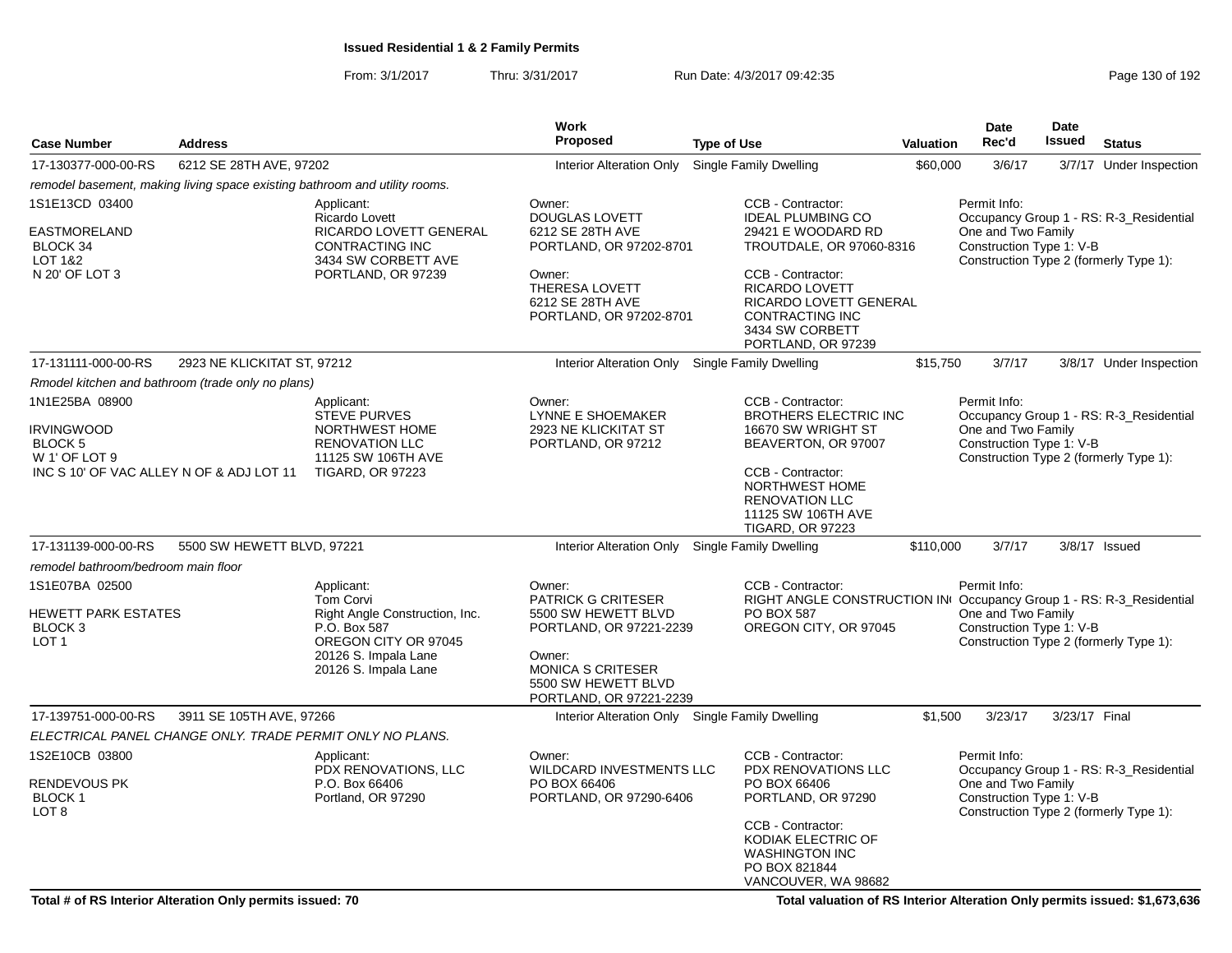From: 3/1/2017Thru: 3/31/2017 **Run Date: 4/3/2017 09:42:35 Page 130 of 192** 

|                                                                                        |                                                   |                                                                                                                                                          | <b>Work</b>                                                                                                                                                                   |                                                                                                                                                                                            |                  | <b>Date</b>                                                    | Date          |                                                                                   |
|----------------------------------------------------------------------------------------|---------------------------------------------------|----------------------------------------------------------------------------------------------------------------------------------------------------------|-------------------------------------------------------------------------------------------------------------------------------------------------------------------------------|--------------------------------------------------------------------------------------------------------------------------------------------------------------------------------------------|------------------|----------------------------------------------------------------|---------------|-----------------------------------------------------------------------------------|
| <b>Case Number</b>                                                                     | <b>Address</b>                                    |                                                                                                                                                          | <b>Proposed</b>                                                                                                                                                               | <b>Type of Use</b>                                                                                                                                                                         | <b>Valuation</b> | Rec'd                                                          | <b>Issued</b> | <b>Status</b>                                                                     |
| 17-130377-000-00-RS                                                                    | 6212 SE 28TH AVE, 97202                           |                                                                                                                                                          | Interior Alteration Only                                                                                                                                                      | Single Family Dwelling                                                                                                                                                                     | \$60,000         | 3/6/17                                                         |               | 3/7/17 Under Inspection                                                           |
|                                                                                        |                                                   | remodel basement, making living space existing bathroom and utility rooms.                                                                               |                                                                                                                                                                               |                                                                                                                                                                                            |                  |                                                                |               |                                                                                   |
| 1S1E13CD 03400<br><b>EASTMORELAND</b><br>BLOCK 34<br>LOT 1&2<br>N 20' OF LOT 3         |                                                   | Applicant:<br>Ricardo Lovett<br>RICARDO LOVETT GENERAL<br><b>CONTRACTING INC</b><br>3434 SW CORBETT AVE<br>PORTLAND, OR 97239                            | Owner:<br><b>DOUGLAS LOVETT</b><br>6212 SE 28TH AVE<br>PORTLAND, OR 97202-8701<br>Owner:<br>THERESA LOVETT                                                                    | CCB - Contractor:<br><b>IDEAL PLUMBING CO</b><br>29421 E WOODARD RD<br>TROUTDALE, OR 97060-8316<br>CCB - Contractor:<br>RICARDO LOVETT                                                     |                  | Permit Info:<br>One and Two Family<br>Construction Type 1: V-B |               | Occupancy Group 1 - RS: R-3_Residential<br>Construction Type 2 (formerly Type 1): |
|                                                                                        |                                                   |                                                                                                                                                          | 6212 SE 28TH AVE<br>PORTLAND, OR 97202-8701                                                                                                                                   | RICARDO LOVETT GENERAL<br>CONTRACTING INC<br>3434 SW CORBETT<br>PORTLAND, OR 97239                                                                                                         |                  |                                                                |               |                                                                                   |
| 17-131111-000-00-RS                                                                    | 2923 NE KLICKITAT ST, 97212                       |                                                                                                                                                          | <b>Interior Alteration Only</b>                                                                                                                                               | Single Family Dwelling                                                                                                                                                                     | \$15,750         | 3/7/17                                                         |               | 3/8/17 Under Inspection                                                           |
|                                                                                        | Rmodel kitchen and bathroom (trade only no plans) |                                                                                                                                                          |                                                                                                                                                                               |                                                                                                                                                                                            |                  |                                                                |               |                                                                                   |
| 1N1E25BA 08900                                                                         |                                                   | Applicant:                                                                                                                                               | Owner:                                                                                                                                                                        | CCB - Contractor:                                                                                                                                                                          |                  | Permit Info:                                                   |               |                                                                                   |
| <b>IRVINGWOOD</b><br>BLOCK 5<br>W 1' OF LOT 9                                          | INC S 10' OF VAC ALLEY N OF & ADJ LOT 11          | <b>STEVE PURVES</b><br>NORTHWEST HOME<br><b>RENOVATION LLC</b><br>11125 SW 106TH AVE<br><b>TIGARD, OR 97223</b>                                          | LYNNE E SHOEMAKER<br>2923 NE KLICKITAT ST<br>PORTLAND, OR 97212                                                                                                               | <b>BROTHERS ELECTRIC INC</b><br>16670 SW WRIGHT ST<br>BEAVERTON, OR 97007<br>CCB - Contractor:<br>NORTHWEST HOME<br><b>RENOVATION LLC</b><br>11125 SW 106TH AVE<br><b>TIGARD, OR 97223</b> |                  | One and Two Family<br>Construction Type 1: V-B                 |               | Occupancy Group 1 - RS: R-3_Residential<br>Construction Type 2 (formerly Type 1): |
| 17-131139-000-00-RS                                                                    | 5500 SW HEWETT BLVD, 97221                        |                                                                                                                                                          | Interior Alteration Only Single Family Dwelling                                                                                                                               |                                                                                                                                                                                            | \$110,000        | 3/7/17                                                         |               | 3/8/17 Issued                                                                     |
| remodel bathroom/bedroom main floor                                                    |                                                   |                                                                                                                                                          |                                                                                                                                                                               |                                                                                                                                                                                            |                  |                                                                |               |                                                                                   |
| 1S1E07BA 02500<br><b>HEWETT PARK ESTATES</b><br>BLOCK <sub>3</sub><br>LOT <sub>1</sub> |                                                   | Applicant:<br><b>Tom Corvi</b><br>Right Angle Construction, Inc.<br>P.O. Box 587<br>OREGON CITY OR 97045<br>20126 S. Impala Lane<br>20126 S. Impala Lane | Owner:<br><b>PATRICK G CRITESER</b><br>5500 SW HEWETT BLVD<br>PORTLAND, OR 97221-2239<br>Owner:<br><b>MONICA S CRITESER</b><br>5500 SW HEWETT BLVD<br>PORTLAND, OR 97221-2239 | CCB - Contractor:<br>RIGHT ANGLE CONSTRUCTION IN Occupancy Group 1 - RS: R-3_Residential<br>PO BOX 587<br>OREGON CITY, OR 97045                                                            |                  | Permit Info:<br>One and Two Family<br>Construction Type 1: V-B |               | Construction Type 2 (formerly Type 1):                                            |
| 17-139751-000-00-RS                                                                    | 3911 SE 105TH AVE, 97266                          |                                                                                                                                                          | Interior Alteration Only                                                                                                                                                      | Single Family Dwelling                                                                                                                                                                     | \$1,500          | 3/23/17                                                        | 3/23/17 Final |                                                                                   |
|                                                                                        |                                                   | ELECTRICAL PANEL CHANGE ONLY. TRADE PERMIT ONLY NO PLANS.                                                                                                |                                                                                                                                                                               |                                                                                                                                                                                            |                  |                                                                |               |                                                                                   |
| 1S2E10CB 03800<br>RENDEVOUS PK<br><b>BLOCK1</b><br>LOT <sub>8</sub>                    |                                                   | Applicant:<br>PDX RENOVATIONS, LLC<br>P.O. Box 66406<br>Portland, OR 97290                                                                               | Owner:<br>WILDCARD INVESTMENTS LLC<br>PO BOX 66406<br>PORTLAND, OR 97290-6406                                                                                                 | CCB - Contractor:<br>PDX RENOVATIONS LLC<br>PO BOX 66406<br>PORTLAND, OR 97290<br>CCB - Contractor:<br>KODIAK ELECTRIC OF<br><b>WASHINGTON INC</b><br>PO BOX 821844<br>VANCOUVER, WA 98682 |                  | Permit Info:<br>One and Two Family<br>Construction Type 1: V-B |               | Occupancy Group 1 - RS: R-3_Residential<br>Construction Type 2 (formerly Type 1): |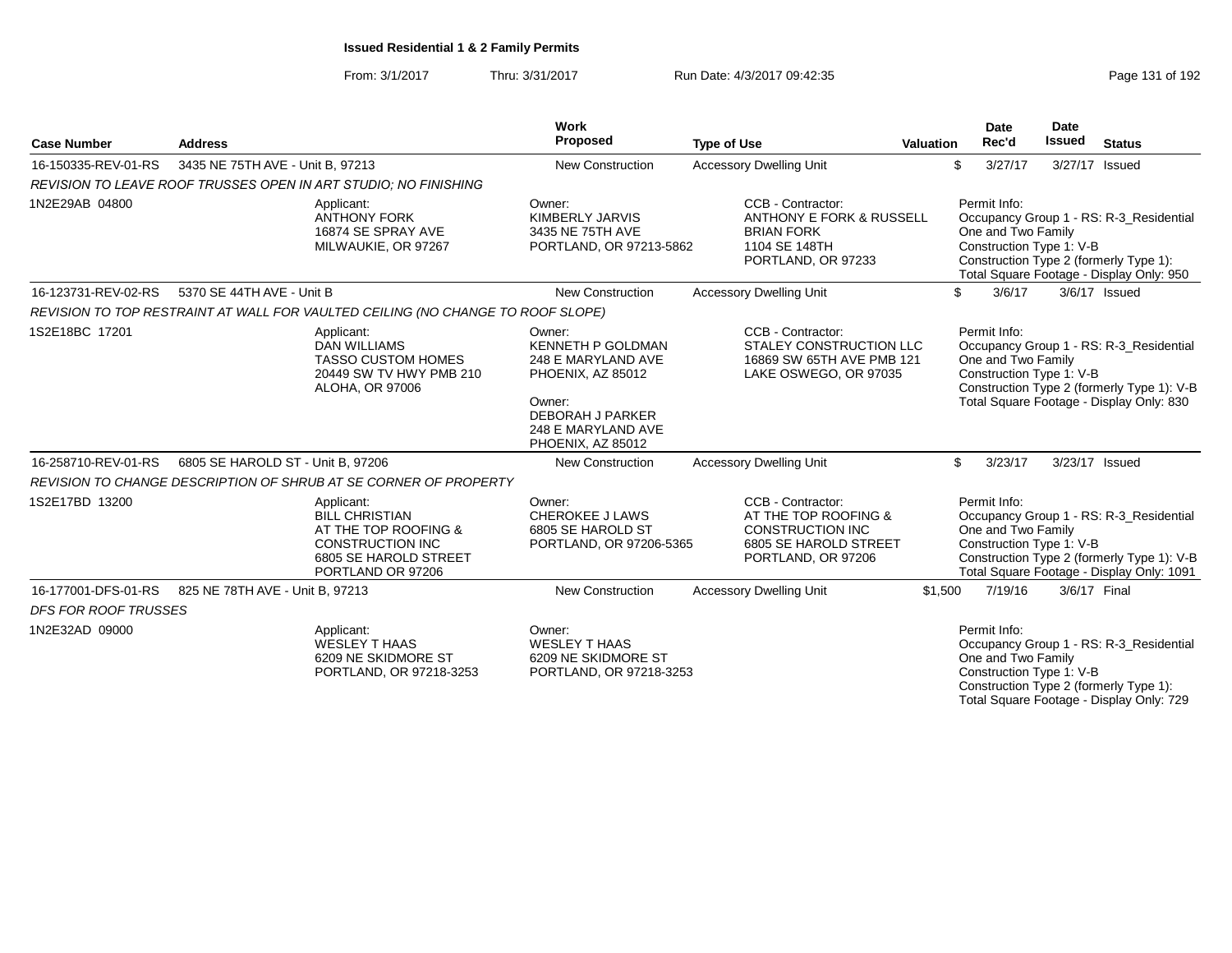From: 3/1/2017Thru: 3/31/2017 Run Date: 4/3/2017 09:42:35

| <b>Case Number</b>          | <b>Address</b>                    |                                                                                                                                      | Work<br>Proposed                                                                                                                                              | <b>Type of Use</b>                                                                                                  | <b>Date</b><br>Rec'd<br><b>Valuation</b> |                                                                | <b>Date</b><br><b>Issued</b> | <b>Status</b>                                                                                                                      |
|-----------------------------|-----------------------------------|--------------------------------------------------------------------------------------------------------------------------------------|---------------------------------------------------------------------------------------------------------------------------------------------------------------|---------------------------------------------------------------------------------------------------------------------|------------------------------------------|----------------------------------------------------------------|------------------------------|------------------------------------------------------------------------------------------------------------------------------------|
| 16-150335-REV-01-RS         | 3435 NE 75TH AVE - Unit B, 97213  |                                                                                                                                      | New Construction                                                                                                                                              | <b>Accessory Dwelling Unit</b>                                                                                      |                                          | \$<br>3/27/17                                                  | 3/27/17                      | Issued                                                                                                                             |
|                             |                                   | REVISION TO LEAVE ROOF TRUSSES OPEN IN ART STUDIO; NO FINISHING                                                                      |                                                                                                                                                               |                                                                                                                     |                                          |                                                                |                              |                                                                                                                                    |
| 1N2E29AB 04800              |                                   | Applicant:<br><b>ANTHONY FORK</b><br>16874 SE SPRAY AVE<br>MILWAUKIE, OR 97267                                                       | Owner:<br>KIMBERLY JARVIS<br>3435 NE 75TH AVE<br>PORTLAND, OR 97213-5862                                                                                      | CCB - Contractor:<br>ANTHONY E FORK & RUSSELL<br><b>BRIAN FORK</b><br>1104 SE 148TH<br>PORTLAND, OR 97233           |                                          | Permit Info:<br>One and Two Family<br>Construction Type 1: V-B |                              | Occupancy Group 1 - RS: R-3_Residential<br>Construction Type 2 (formerly Type 1):<br>Total Square Footage - Display Only: 950      |
| 16-123731-REV-02-RS         | 5370 SE 44TH AVE - Unit B         |                                                                                                                                      | <b>New Construction</b>                                                                                                                                       | <b>Accessory Dwelling Unit</b>                                                                                      |                                          | \$<br>3/6/17                                                   |                              | 3/6/17 Issued                                                                                                                      |
|                             |                                   | REVISION TO TOP RESTRAINT AT WALL FOR VAULTED CEILING (NO CHANGE TO ROOF SLOPE)                                                      |                                                                                                                                                               |                                                                                                                     |                                          |                                                                |                              |                                                                                                                                    |
| 1S2E18BC 17201              |                                   | Applicant:<br><b>DAN WILLIAMS</b><br><b>TASSO CUSTOM HOMES</b><br>20449 SW TV HWY PMB 210<br>ALOHA, OR 97006                         | Owner:<br><b>KENNETH P GOLDMAN</b><br>248 E MARYLAND AVE<br>PHOENIX, AZ 85012<br>Owner:<br><b>DEBORAH J PARKER</b><br>248 E MARYLAND AVE<br>PHOENIX, AZ 85012 | CCB - Contractor:<br>STALEY CONSTRUCTION LLC<br>16869 SW 65TH AVE PMB 121<br>LAKE OSWEGO, OR 97035                  |                                          | Permit Info:<br>One and Two Family<br>Construction Type 1: V-B |                              | Occupancy Group 1 - RS: R-3_Residential<br>Construction Type 2 (formerly Type 1): V-B<br>Total Square Footage - Display Only: 830  |
| 16-258710-REV-01-RS         | 6805 SE HAROLD ST - Unit B, 97206 |                                                                                                                                      | New Construction                                                                                                                                              | <b>Accessory Dwelling Unit</b>                                                                                      |                                          | \$<br>3/23/17                                                  |                              | 3/23/17 Issued                                                                                                                     |
|                             |                                   | REVISION TO CHANGE DESCRIPTION OF SHRUB AT SE CORNER OF PROPERTY                                                                     |                                                                                                                                                               |                                                                                                                     |                                          |                                                                |                              |                                                                                                                                    |
| 1S2E17BD 13200              |                                   | Applicant:<br><b>BILL CHRISTIAN</b><br>AT THE TOP ROOFING &<br><b>CONSTRUCTION INC</b><br>6805 SE HAROLD STREET<br>PORTLAND OR 97206 | Owner:<br><b>CHEROKEE J LAWS</b><br>6805 SE HAROLD ST<br>PORTLAND, OR 97206-5365                                                                              | CCB - Contractor:<br>AT THE TOP ROOFING &<br><b>CONSTRUCTION INC</b><br>6805 SE HAROLD STREET<br>PORTLAND, OR 97206 |                                          | Permit Info:<br>One and Two Family<br>Construction Type 1: V-B |                              | Occupancy Group 1 - RS: R-3 Residential<br>Construction Type 2 (formerly Type 1): V-B<br>Total Square Footage - Display Only: 1091 |
| 16-177001-DFS-01-RS         | 825 NE 78TH AVE - Unit B, 97213   |                                                                                                                                      | New Construction                                                                                                                                              | <b>Accessory Dwelling Unit</b>                                                                                      | \$1,500                                  | 7/19/16                                                        |                              | 3/6/17 Final                                                                                                                       |
| <b>DFS FOR ROOF TRUSSES</b> |                                   |                                                                                                                                      |                                                                                                                                                               |                                                                                                                     |                                          |                                                                |                              |                                                                                                                                    |
| 1N2E32AD 09000              |                                   | Applicant:<br>WESLEY T HAAS<br>6209 NE SKIDMORE ST<br>PORTLAND, OR 97218-3253                                                        | Owner:<br><b>WESLEY T HAAS</b><br>6209 NE SKIDMORE ST<br>PORTLAND, OR 97218-3253                                                                              |                                                                                                                     |                                          | Permit Info:<br>One and Two Family<br>Construction Type 1: V-B |                              | Occupancy Group 1 - RS: R-3_Residential<br>Construction Type 2 (formerly Type 1):<br>Total Square Footage - Display Only: 729      |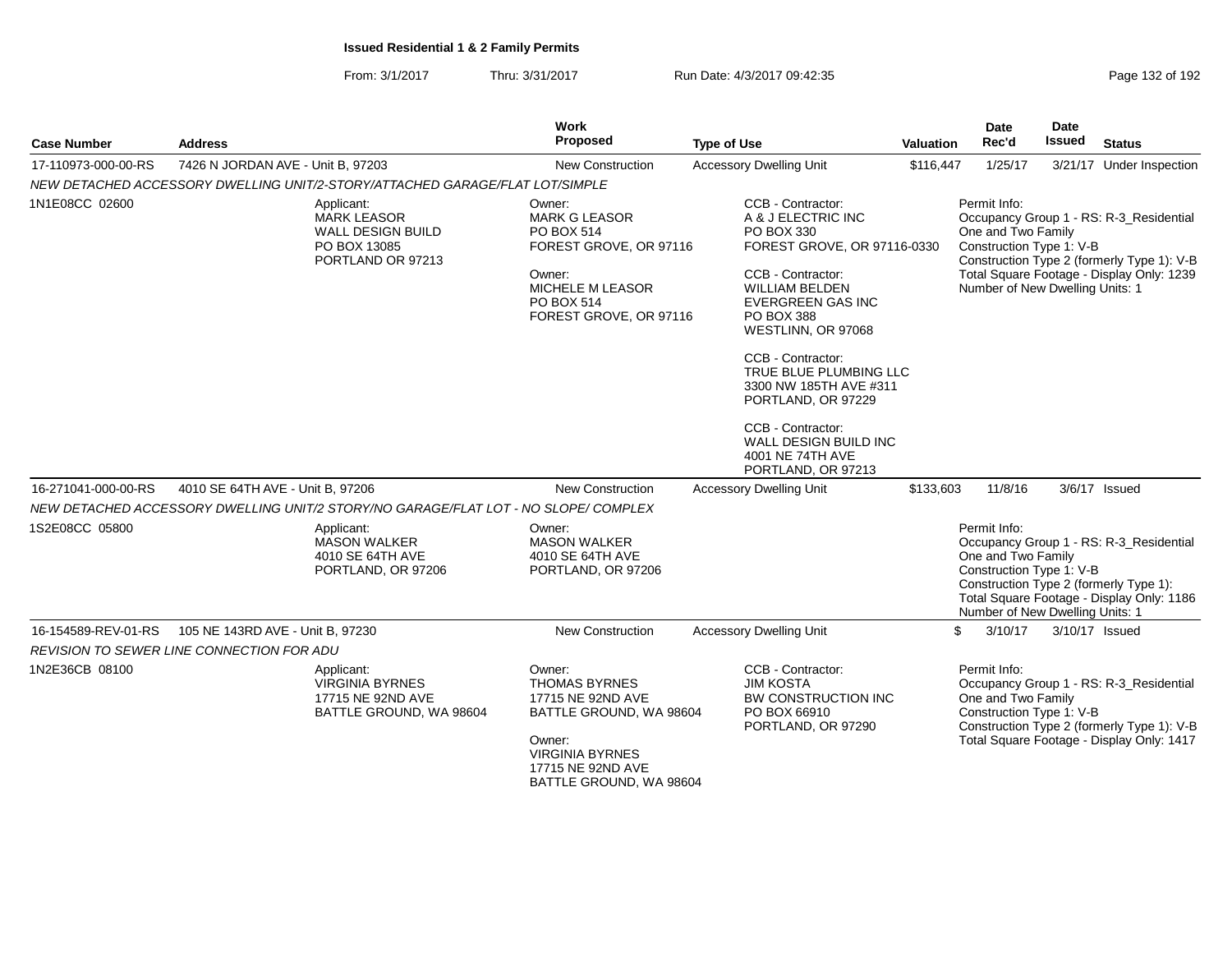From: 3/1/2017Thru: 3/31/2017 Run Date: 4/3/2017 09:42:35 Run Date: 4/3/2017 09:42:35

| <b>Case Number</b>  | <b>Address</b>                                                                             | Work<br>Proposed                                                                                                                                    | <b>Type of Use</b>                                                                                                                                                                                                                                                                                                                                                                        | <b>Valuation</b> | <b>Date</b><br>Rec'd                                                                              | Date<br><b>Issued</b> | <b>Status</b>                                                                                                                      |
|---------------------|--------------------------------------------------------------------------------------------|-----------------------------------------------------------------------------------------------------------------------------------------------------|-------------------------------------------------------------------------------------------------------------------------------------------------------------------------------------------------------------------------------------------------------------------------------------------------------------------------------------------------------------------------------------------|------------------|---------------------------------------------------------------------------------------------------|-----------------------|------------------------------------------------------------------------------------------------------------------------------------|
| 17-110973-000-00-RS | 7426 N JORDAN AVE - Unit B, 97203                                                          | <b>New Construction</b>                                                                                                                             | <b>Accessory Dwelling Unit</b>                                                                                                                                                                                                                                                                                                                                                            | \$116,447        | 1/25/17                                                                                           |                       | 3/21/17 Under Inspection                                                                                                           |
|                     | NEW DETACHED ACCESSORY DWELLING UNIT/2-STORY/ATTACHED GARAGE/FLAT LOT/SIMPLE               |                                                                                                                                                     |                                                                                                                                                                                                                                                                                                                                                                                           |                  |                                                                                                   |                       |                                                                                                                                    |
| 1N1E08CC 02600      | Applicant:<br><b>MARK LEASOR</b><br>WALL DESIGN BUILD<br>PO BOX 13085<br>PORTLAND OR 97213 | Owner:<br><b>MARK G LEASOR</b><br>PO BOX 514<br>FOREST GROVE, OR 97116<br>Owner:<br><b>MICHELE M LEASOR</b><br>PO BOX 514<br>FOREST GROVE, OR 97116 | CCB - Contractor:<br>A & J ELECTRIC INC<br>PO BOX 330<br>FOREST GROVE, OR 97116-0330<br>CCB - Contractor:<br><b>WILLIAM BELDEN</b><br><b>EVERGREEN GAS INC</b><br>PO BOX 388<br>WESTLINN, OR 97068<br>CCB - Contractor:<br>TRUE BLUE PLUMBING LLC<br>3300 NW 185TH AVE #311<br>PORTLAND, OR 97229<br>CCB - Contractor:<br>WALL DESIGN BUILD INC<br>4001 NE 74TH AVE<br>PORTLAND, OR 97213 |                  | Permit Info:<br>One and Two Family<br>Construction Type 1: V-B<br>Number of New Dwelling Units: 1 |                       | Occupancy Group 1 - RS: R-3_Residential<br>Construction Type 2 (formerly Type 1): V-B<br>Total Square Footage - Display Only: 1239 |
| 16-271041-000-00-RS | 4010 SE 64TH AVE - Unit B, 97206                                                           | <b>New Construction</b>                                                                                                                             | <b>Accessory Dwelling Unit</b>                                                                                                                                                                                                                                                                                                                                                            | \$133,603        | 11/8/16                                                                                           |                       | 3/6/17 Issued                                                                                                                      |
|                     | NEW DETACHED ACCESSORY DWELLING UNIT/2 STORY/NO GARAGE/FLAT LOT - NO SLOPE/ COMPLEX        |                                                                                                                                                     |                                                                                                                                                                                                                                                                                                                                                                                           |                  |                                                                                                   |                       |                                                                                                                                    |
| 1S2E08CC 05800      | Applicant:<br><b>MASON WALKER</b><br>4010 SE 64TH AVE<br>PORTLAND, OR 97206                | Owner:<br><b>MASON WALKER</b><br>4010 SE 64TH AVE<br>PORTLAND, OR 97206                                                                             |                                                                                                                                                                                                                                                                                                                                                                                           |                  | Permit Info:<br>One and Two Family<br>Construction Type 1: V-B<br>Number of New Dwelling Units: 1 |                       | Occupancy Group 1 - RS: R-3_Residential<br>Construction Type 2 (formerly Type 1):<br>Total Square Footage - Display Only: 1186     |
| 16-154589-REV-01-RS | 105 NE 143RD AVE - Unit B, 97230                                                           | <b>New Construction</b>                                                                                                                             | <b>Accessory Dwelling Unit</b>                                                                                                                                                                                                                                                                                                                                                            |                  | 3/10/17<br>\$                                                                                     |                       | 3/10/17 Issued                                                                                                                     |
|                     | REVISION TO SEWER LINE CONNECTION FOR ADU                                                  |                                                                                                                                                     |                                                                                                                                                                                                                                                                                                                                                                                           |                  |                                                                                                   |                       |                                                                                                                                    |
| 1N2E36CB 08100      | Applicant:<br><b>VIRGINIA BYRNES</b><br>17715 NE 92ND AVE<br>BATTLE GROUND, WA 98604       | Owner:<br><b>THOMAS BYRNES</b><br>17715 NE 92ND AVE<br>BATTLE GROUND, WA 98604<br>Owner:<br><b>VIRGINIA BYRNES</b><br>17715 NE 92ND AVE             | CCB - Contractor:<br><b>JIM KOSTA</b><br>BW CONSTRUCTION INC<br>PO BOX 66910<br>PORTLAND, OR 97290                                                                                                                                                                                                                                                                                        |                  | Permit Info:<br>One and Two Family<br>Construction Type 1: V-B                                    |                       | Occupancy Group 1 - RS: R-3_Residential<br>Construction Type 2 (formerly Type 1): V-B<br>Total Square Footage - Display Only: 1417 |

BATTLE GROUND, WA 98604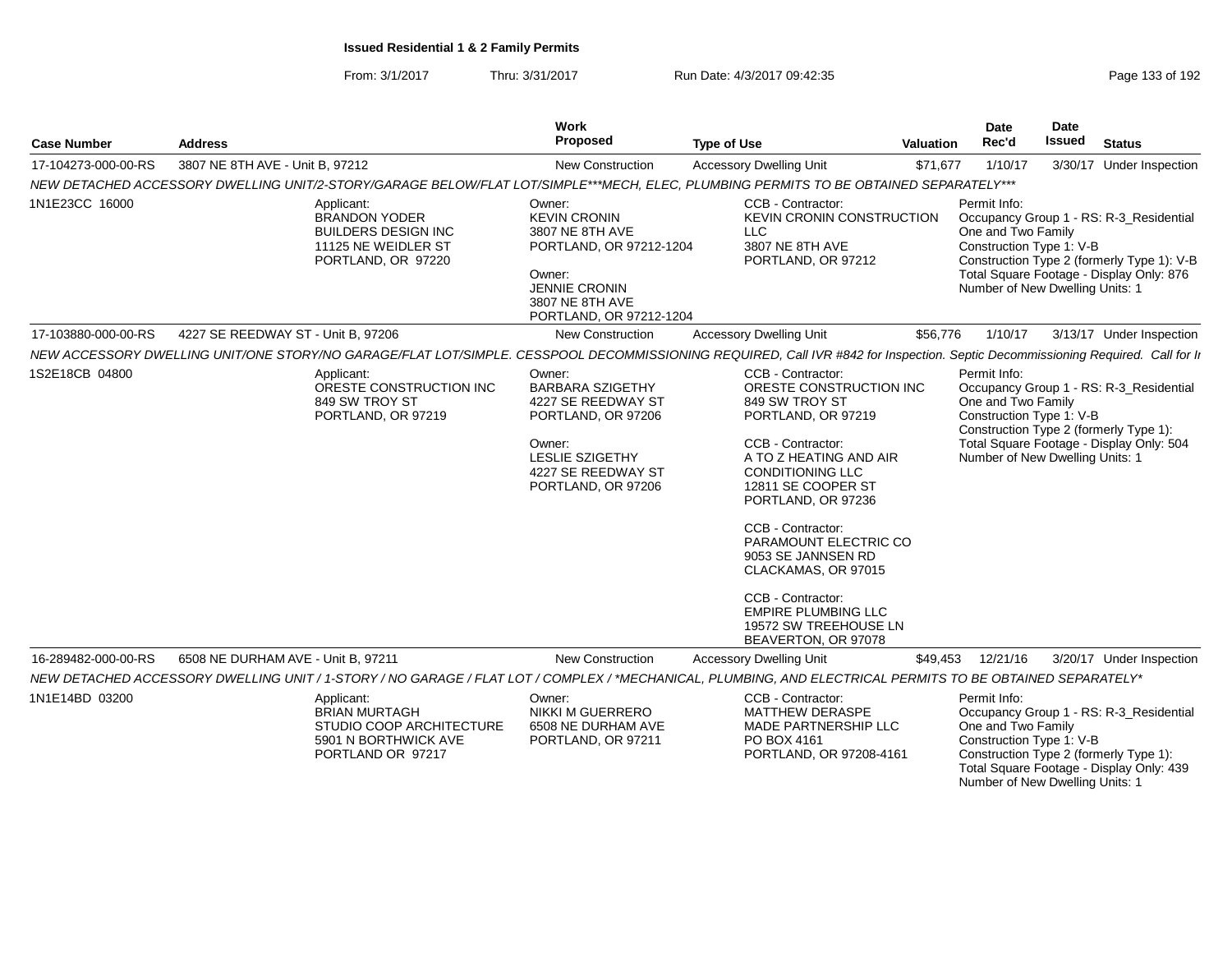From: 3/1/2017Thru: 3/31/2017 **Run Date: 4/3/2017 09:42:35 Page 133 of 192** 

| <b>Case Number</b>  | <b>Address</b>                     |                                                                                                                                                                                | <b>Work</b><br>Proposed                                                                                                                                       | Valuation                                                                                                                                                                                                                                                                                                                                                                                                | Date<br>Rec'd | Date<br>Issued                                                                                                                              | <b>Status</b> |                                                                                                                                   |
|---------------------|------------------------------------|--------------------------------------------------------------------------------------------------------------------------------------------------------------------------------|---------------------------------------------------------------------------------------------------------------------------------------------------------------|----------------------------------------------------------------------------------------------------------------------------------------------------------------------------------------------------------------------------------------------------------------------------------------------------------------------------------------------------------------------------------------------------------|---------------|---------------------------------------------------------------------------------------------------------------------------------------------|---------------|-----------------------------------------------------------------------------------------------------------------------------------|
| 17-104273-000-00-RS | 3807 NE 8TH AVE - Unit B, 97212    |                                                                                                                                                                                | New Construction                                                                                                                                              | <b>Accessory Dwelling Unit</b>                                                                                                                                                                                                                                                                                                                                                                           | \$71,677      | 1/10/17                                                                                                                                     |               | 3/30/17 Under Inspection                                                                                                          |
|                     |                                    | NEW DETACHED ACCESSORY DWELLING UNIT/2-STORY/GARAGE BELOW/FLAT LOT/SIMPLE***MECH, ELEC, PLUMBING PERMITS TO BE OBTAINED SEPARATELY***                                          |                                                                                                                                                               |                                                                                                                                                                                                                                                                                                                                                                                                          |               |                                                                                                                                             |               |                                                                                                                                   |
| 1N1E23CC 16000      |                                    | Applicant:<br><b>BRANDON YODER</b><br><b>BUILDERS DESIGN INC</b><br>11125 NE WEIDLER ST<br>PORTLAND, OR 97220                                                                  | Owner:<br><b>KEVIN CRONIN</b><br>3807 NE 8TH AVE<br>PORTLAND, OR 97212-1204<br>Owner:<br><b>JENNIE CRONIN</b><br>3807 NE 8TH AVE<br>PORTLAND, OR 97212-1204   | <b>CCB - Contractor:</b><br>KEVIN CRONIN CONSTRUCTION<br><b>LLC</b><br>3807 NE 8TH AVE<br>PORTLAND, OR 97212                                                                                                                                                                                                                                                                                             |               | Permit Info:<br>One and Two Family<br>Construction Type 1: V-B<br>Number of New Dwelling Units: 1                                           |               | Occupancy Group 1 - RS: R-3_Residential<br>Construction Type 2 (formerly Type 1): V-B<br>Total Square Footage - Display Only: 876 |
| 17-103880-000-00-RS | 4227 SE REEDWAY ST - Unit B, 97206 |                                                                                                                                                                                | New Construction                                                                                                                                              | <b>Accessory Dwelling Unit</b>                                                                                                                                                                                                                                                                                                                                                                           | \$56,776      | 1/10/17                                                                                                                                     |               | 3/13/17 Under Inspection                                                                                                          |
|                     |                                    | NEW ACCESSORY DWELLING UNIT/ONE STORY/NO GARAGE/FLAT LOT/SIMPLE. CESSPOOL DECOMMISSIONING REQUIRED, Call IVR #842 for Inspection. Septic Decommissioning Required. Call for li |                                                                                                                                                               |                                                                                                                                                                                                                                                                                                                                                                                                          |               |                                                                                                                                             |               |                                                                                                                                   |
| 1S2E18CB 04800      |                                    | Applicant:<br>ORESTE CONSTRUCTION INC<br>849 SW TROY ST<br>PORTLAND, OR 97219                                                                                                  | Owner:<br><b>BARBARA SZIGETHY</b><br>4227 SE REEDWAY ST<br>PORTLAND, OR 97206<br>Owner:<br><b>LESLIE SZIGETHY</b><br>4227 SE REEDWAY ST<br>PORTLAND, OR 97206 | CCB - Contractor:<br>ORESTE CONSTRUCTION INC<br>849 SW TROY ST<br>PORTLAND, OR 97219<br>CCB - Contractor:<br>A TO Z HEATING AND AIR<br><b>CONDITIONING LLC</b><br>12811 SE COOPER ST<br>PORTLAND, OR 97236<br>CCB - Contractor:<br>PARAMOUNT ELECTRIC CO<br>9053 SE JANNSEN RD<br>CLACKAMAS, OR 97015<br>CCB - Contractor:<br><b>EMPIRE PLUMBING LLC</b><br>19572 SW TREEHOUSE LN<br>BEAVERTON, OR 97078 |               | Permit Info:<br>One and Two Family<br>Construction Type 1: V-B<br>Number of New Dwelling Units: 1                                           |               | Occupancy Group 1 - RS: R-3_Residential<br>Construction Type 2 (formerly Type 1):<br>Total Square Footage - Display Only: 504     |
| 16-289482-000-00-RS | 6508 NE DURHAM AVE - Unit B, 97211 |                                                                                                                                                                                | <b>New Construction</b>                                                                                                                                       | <b>Accessory Dwelling Unit</b>                                                                                                                                                                                                                                                                                                                                                                           | \$49,453      | 12/21/16                                                                                                                                    |               | 3/20/17 Under Inspection                                                                                                          |
|                     |                                    | NEW DETACHED ACCESSORY DWELLING UNIT / 1-STORY / NO GARAGE / FLAT LOT / COMPLEX / *MECHANICAL, PLUMBING, AND ELECTRICAL PERMITS TO BE OBTAINED SEPARATELY*                     |                                                                                                                                                               |                                                                                                                                                                                                                                                                                                                                                                                                          |               |                                                                                                                                             |               |                                                                                                                                   |
| 1N1E14BD 03200      |                                    | Applicant:<br><b>BRIAN MURTAGH</b><br>STUDIO COOP ARCHITECTURE<br>5901 N BORTHWICK AVE<br>PORTLAND OR 97217                                                                    | Owner:<br>NIKKI M GUERRERO<br>6508 NE DURHAM AVE<br>PORTLAND, OR 97211                                                                                        | CCB - Contractor:<br><b>MATTHEW DERASPE</b><br>MADE PARTNERSHIP LLC<br>PO BOX 4161<br>PORTLAND, OR 97208-4161                                                                                                                                                                                                                                                                                            |               | Permit Info:<br>One and Two Family<br>Construction Type 1: V-B<br>Construction Type 2 (formerly Type 1):<br>Number of New Dwelling Units: 1 |               | Occupancy Group 1 - RS: R-3_Residential<br>Total Square Footage - Display Only: 439                                               |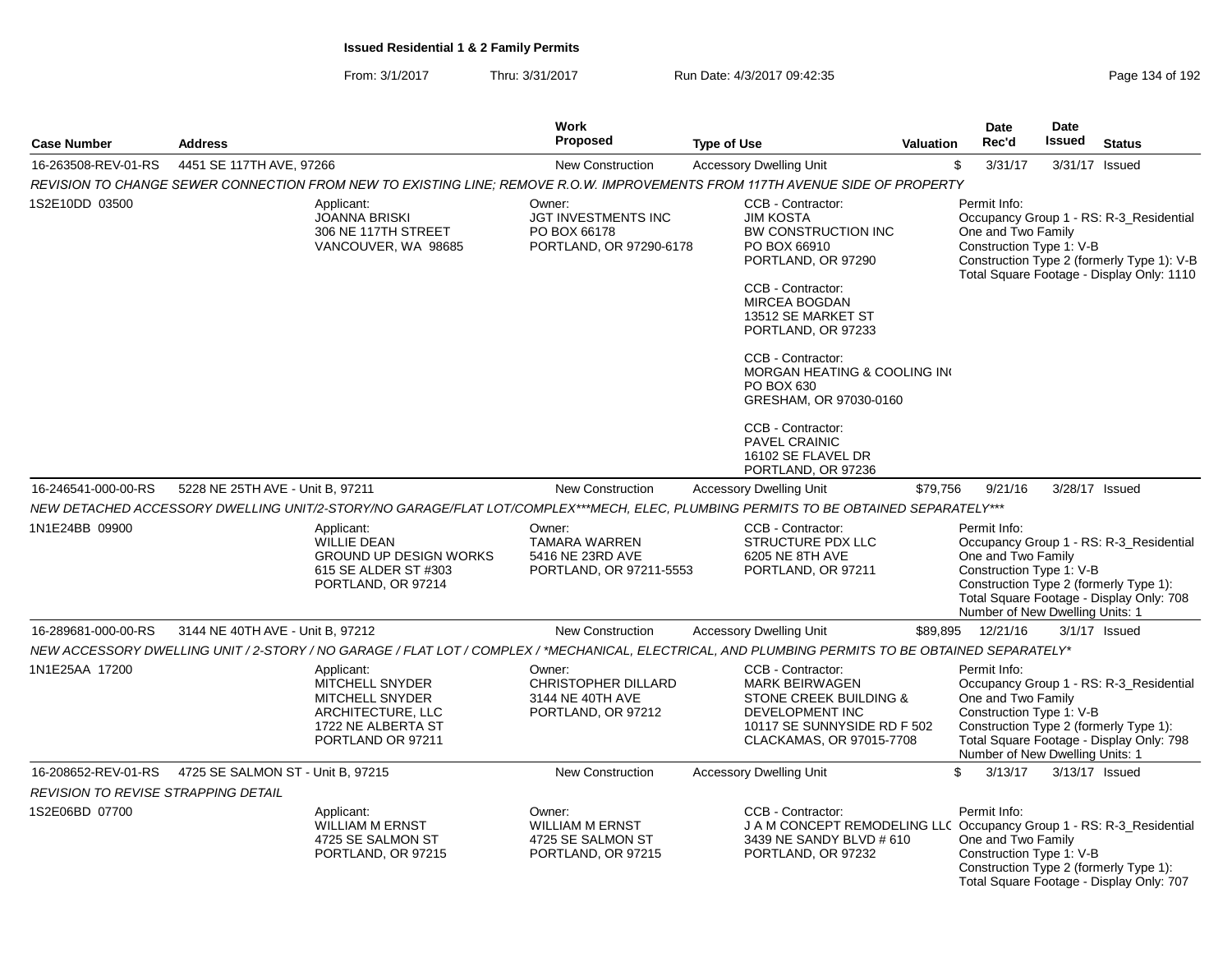|                                            |                                   |                                                                                                                         | <b>Work</b>                                                                    |                                                                                                                                                                                                                                                                                                       | Date<br>Date |                                                                                                   |               |                                                                                                                                    |
|--------------------------------------------|-----------------------------------|-------------------------------------------------------------------------------------------------------------------------|--------------------------------------------------------------------------------|-------------------------------------------------------------------------------------------------------------------------------------------------------------------------------------------------------------------------------------------------------------------------------------------------------|--------------|---------------------------------------------------------------------------------------------------|---------------|------------------------------------------------------------------------------------------------------------------------------------|
| <b>Case Number</b>                         | <b>Address</b>                    |                                                                                                                         | Proposed                                                                       | <b>Type of Use</b>                                                                                                                                                                                                                                                                                    |              | Rec'd<br><b>Valuation</b>                                                                         | <b>Issued</b> | <b>Status</b>                                                                                                                      |
| 16-263508-REV-01-RS                        | 4451 SE 117TH AVE, 97266          |                                                                                                                         | <b>New Construction</b>                                                        | <b>Accessory Dwelling Unit</b>                                                                                                                                                                                                                                                                        |              | \$<br>3/31/17                                                                                     |               | 3/31/17 Issued                                                                                                                     |
|                                            |                                   |                                                                                                                         |                                                                                | REVISION TO CHANGE SEWER CONNECTION FROM NEW TO EXISTING LINE; REMOVE R.O.W. IMPROVEMENTS FROM 117TH AVENUE SIDE OF PROPERTY                                                                                                                                                                          |              |                                                                                                   |               |                                                                                                                                    |
| 1S2E10DD 03500                             |                                   | Applicant:<br><b>JOANNA BRISKI</b><br>306 NE 117TH STREET<br>VANCOUVER, WA 98685                                        | Owner:<br>JGT INVESTMENTS INC<br>PO BOX 66178<br>PORTLAND, OR 97290-6178       | CCB - Contractor:<br><b>JIM KOSTA</b><br>BW CONSTRUCTION INC<br>PO BOX 66910<br>PORTLAND, OR 97290<br>CCB - Contractor:<br>MIRCEA BOGDAN<br>13512 SE MARKET ST<br>PORTLAND, OR 97233<br>CCB - Contractor:<br>MORGAN HEATING & COOLING IN<br>PO BOX 630<br>GRESHAM, OR 97030-0160<br>CCB - Contractor: |              | Permit Info:<br>One and Two Family<br>Construction Type 1: V-B                                    |               | Occupancy Group 1 - RS: R-3_Residential<br>Construction Type 2 (formerly Type 1): V-B<br>Total Square Footage - Display Only: 1110 |
|                                            |                                   |                                                                                                                         |                                                                                | PAVEL CRAINIC<br>16102 SE FLAVEL DR<br>PORTLAND, OR 97236                                                                                                                                                                                                                                             |              |                                                                                                   |               |                                                                                                                                    |
| 16-246541-000-00-RS                        | 5228 NE 25TH AVE - Unit B, 97211  |                                                                                                                         | New Construction                                                               | <b>Accessory Dwelling Unit</b>                                                                                                                                                                                                                                                                        | \$79,756     | 9/21/16                                                                                           |               | 3/28/17 Issued                                                                                                                     |
|                                            |                                   |                                                                                                                         |                                                                                | NEW DETACHED ACCESSORY DWELLING UNIT/2-STORY/NO GARAGE/FLAT LOT/COMPLEX***MECH, ELEC, PLUMBING PERMITS TO BE OBTAINED SEPARATELY***                                                                                                                                                                   |              |                                                                                                   |               |                                                                                                                                    |
| 1N1E24BB 09900                             |                                   | Applicant:<br><b>WILLIE DEAN</b><br><b>GROUND UP DESIGN WORKS</b><br>615 SE ALDER ST #303<br>PORTLAND, OR 97214         | Owner:<br><b>TAMARA WARREN</b><br>5416 NE 23RD AVE<br>PORTLAND, OR 97211-5553  | CCB - Contractor:<br>STRUCTURE PDX LLC<br>6205 NE 8TH AVE<br>PORTLAND, OR 97211                                                                                                                                                                                                                       |              | Permit Info:<br>One and Two Family<br>Construction Type 1: V-B<br>Number of New Dwelling Units: 1 |               | Occupancy Group 1 - RS: R-3_Residential<br>Construction Type 2 (formerly Type 1):<br>Total Square Footage - Display Only: 708      |
| 16-289681-000-00-RS                        | 3144 NE 40TH AVE - Unit B, 97212  |                                                                                                                         | <b>New Construction</b>                                                        | <b>Accessory Dwelling Unit</b>                                                                                                                                                                                                                                                                        | \$89.895     | 12/21/16                                                                                          |               | $3/1/17$ Issued                                                                                                                    |
|                                            |                                   |                                                                                                                         |                                                                                | NEW ACCESSORY DWELLING UNIT / 2-STORY / NO GARAGE / FLAT LOT / COMPLEX / *MECHANICAL, ELECTRICAL, AND PLUMBING PERMITS TO BE OBTAINED SEPARATELY*                                                                                                                                                     |              |                                                                                                   |               |                                                                                                                                    |
| 1N1E25AA 17200                             |                                   | Applicant:<br>MITCHELL SNYDER<br><b>MITCHELL SNYDER</b><br>ARCHITECTURE, LLC<br>1722 NE ALBERTA ST<br>PORTLAND OR 97211 | Owner:<br><b>CHRISTOPHER DILLARD</b><br>3144 NE 40TH AVE<br>PORTLAND, OR 97212 | CCB - Contractor:<br>MARK BEIRWAGEN<br><b>STONE CREEK BUILDING &amp;</b><br>DEVELOPMENT INC<br>10117 SE SUNNYSIDE RD F 502<br>CLACKAMAS, OR 97015-7708                                                                                                                                                |              | Permit Info:<br>One and Two Family<br>Construction Type 1: V-B<br>Number of New Dwelling Units: 1 |               | Occupancy Group 1 - RS: R-3_Residential<br>Construction Type 2 (formerly Type 1):<br>Total Square Footage - Display Only: 798      |
| 16-208652-REV-01-RS                        | 4725 SE SALMON ST - Unit B, 97215 |                                                                                                                         | <b>New Construction</b>                                                        | <b>Accessory Dwelling Unit</b>                                                                                                                                                                                                                                                                        |              | \$<br>3/13/17                                                                                     |               | 3/13/17 Issued                                                                                                                     |
| <b>REVISION TO REVISE STRAPPING DETAIL</b> |                                   |                                                                                                                         |                                                                                |                                                                                                                                                                                                                                                                                                       |              |                                                                                                   |               |                                                                                                                                    |
| 1S2E06BD 07700                             |                                   | Applicant:<br><b>WILLIAM M ERNST</b><br>4725 SE SALMON ST<br>PORTLAND, OR 97215                                         | Owner:<br><b>WILLIAM M ERNST</b><br>4725 SE SALMON ST<br>PORTLAND, OR 97215    | CCB - Contractor:<br>J A M CONCEPT REMODELING LLC Occupancy Group 1 - RS: R-3_Residential<br>3439 NE SANDY BLVD # 610<br>PORTLAND, OR 97232                                                                                                                                                           |              | Permit Info:<br>One and Two Family<br>Construction Type 1: V-B                                    |               | Construction Type 2 (formerly Type 1):<br>Total Square Footage - Display Only: 707                                                 |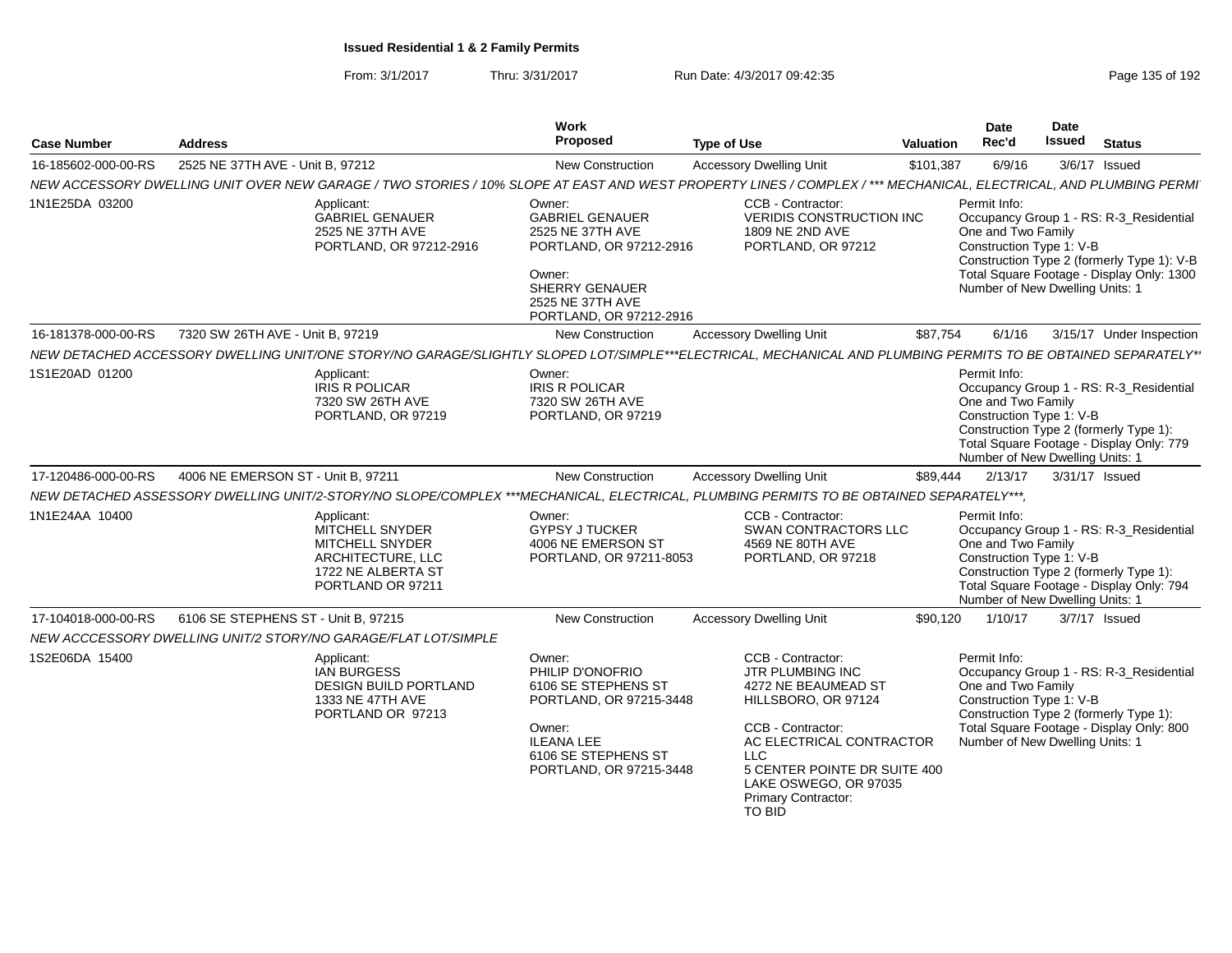| <b>Case Number</b>  | <b>Address</b>                                                                                                                                                   | Work<br>Proposed                                                                                                                                                  | <b>Type of Use</b>                                                                                                                                                                                                                                  | <b>Valuation</b> | Date<br>Rec'd                                                                                     | Date<br><b>Issued</b> | <b>Status</b>                                                                                                                      |
|---------------------|------------------------------------------------------------------------------------------------------------------------------------------------------------------|-------------------------------------------------------------------------------------------------------------------------------------------------------------------|-----------------------------------------------------------------------------------------------------------------------------------------------------------------------------------------------------------------------------------------------------|------------------|---------------------------------------------------------------------------------------------------|-----------------------|------------------------------------------------------------------------------------------------------------------------------------|
| 16-185602-000-00-RS | 2525 NE 37TH AVE - Unit B, 97212                                                                                                                                 | <b>New Construction</b>                                                                                                                                           | <b>Accessory Dwelling Unit</b>                                                                                                                                                                                                                      | \$101,387        | 6/9/16                                                                                            |                       | 3/6/17 Issued                                                                                                                      |
|                     | NEW ACCESSORY DWELLING UNIT OVER NEW GARAGE / TWO STORIES / 10% SLOPE AT EAST AND WEST PROPERTY LINES / COMPLEX / *** MECHANICAL, ELECTRICAL, AND PLUMBING PERMI |                                                                                                                                                                   |                                                                                                                                                                                                                                                     |                  |                                                                                                   |                       |                                                                                                                                    |
| 1N1E25DA 03200      | Applicant:<br><b>GABRIEL GENAUER</b><br>2525 NE 37TH AVE<br>PORTLAND, OR 97212-2916                                                                              | Owner:<br><b>GABRIEL GENAUER</b><br>2525 NE 37TH AVE<br>PORTLAND, OR 97212-2916<br>Owner:<br><b>SHERRY GENAUER</b><br>2525 NE 37TH AVE<br>PORTLAND, OR 97212-2916 | CCB - Contractor:<br><b>VERIDIS CONSTRUCTION INC</b><br>1809 NE 2ND AVE<br>PORTLAND, OR 97212                                                                                                                                                       |                  | Permit Info:<br>One and Two Family<br>Construction Type 1: V-B<br>Number of New Dwelling Units: 1 |                       | Occupancy Group 1 - RS: R-3_Residential<br>Construction Type 2 (formerly Type 1): V-B<br>Total Square Footage - Display Only: 1300 |
| 16-181378-000-00-RS | 7320 SW 26TH AVE - Unit B, 97219                                                                                                                                 | <b>New Construction</b>                                                                                                                                           | <b>Accessory Dwelling Unit</b>                                                                                                                                                                                                                      | \$87,754         | 6/1/16                                                                                            |                       | 3/15/17 Under Inspection                                                                                                           |
|                     | NEW DETACHED ACCESSORY DWELLING UNIT/ONE STORY/NO GARAGE/SLIGHTLY SLOPED LOT/SIMPLE***ELECTRICAL, MECHANICAL AND PLUMBING PERMITS TO BE OBTAINED SEPARATELY*     |                                                                                                                                                                   |                                                                                                                                                                                                                                                     |                  |                                                                                                   |                       |                                                                                                                                    |
| 1S1E20AD 01200      | Applicant:<br><b>IRIS R POLICAR</b><br>7320 SW 26TH AVE<br>PORTLAND, OR 97219                                                                                    | Owner:<br><b>IRIS R POLICAR</b><br>7320 SW 26TH AVE<br>PORTLAND, OR 97219                                                                                         |                                                                                                                                                                                                                                                     |                  | Permit Info:<br>One and Two Family<br>Construction Type 1: V-B<br>Number of New Dwelling Units: 1 |                       | Occupancy Group 1 - RS: R-3_Residential<br>Construction Type 2 (formerly Type 1):<br>Total Square Footage - Display Only: 779      |
| 17-120486-000-00-RS | 4006 NE EMERSON ST - Unit B, 97211                                                                                                                               | New Construction                                                                                                                                                  | <b>Accessory Dwelling Unit</b>                                                                                                                                                                                                                      | \$89,444         | 2/13/17                                                                                           | 3/31/17 Issued        |                                                                                                                                    |
|                     | NEW DETACHED ASSESSORY DWELLING UNIT/2-STORY/NO SLOPE/COMPLEX ***MECHANICAL, ELECTRICAL, PLUMBING PERMITS TO BE OBTAINED SEPARATELY***,                          |                                                                                                                                                                   |                                                                                                                                                                                                                                                     |                  |                                                                                                   |                       |                                                                                                                                    |
| 1N1E24AA 10400      | Applicant:<br>MITCHELL SNYDER<br>MITCHELL SNYDER<br>ARCHITECTURE, LLC<br>1722 NE ALBERTA ST<br>PORTLAND OR 97211                                                 | Owner:<br><b>GYPSY J TUCKER</b><br>4006 NE EMERSON ST<br>PORTLAND, OR 97211-8053                                                                                  | CCB - Contractor:<br>SWAN CONTRACTORS LLC<br>4569 NE 80TH AVE<br>PORTLAND, OR 97218                                                                                                                                                                 |                  | Permit Info:<br>One and Two Family<br>Construction Type 1: V-B<br>Number of New Dwelling Units: 1 |                       | Occupancy Group 1 - RS: R-3_Residential<br>Construction Type 2 (formerly Type 1):<br>Total Square Footage - Display Only: 794      |
| 17-104018-000-00-RS | 6106 SE STEPHENS ST - Unit B, 97215                                                                                                                              | New Construction                                                                                                                                                  | <b>Accessory Dwelling Unit</b>                                                                                                                                                                                                                      | \$90,120         | 1/10/17                                                                                           |                       | 3/7/17 Issued                                                                                                                      |
|                     | NEW ACCCESSORY DWELLING UNIT/2 STORY/NO GARAGE/FLAT LOT/SIMPLE                                                                                                   |                                                                                                                                                                   |                                                                                                                                                                                                                                                     |                  |                                                                                                   |                       |                                                                                                                                    |
| 1S2E06DA 15400      | Applicant:<br><b>IAN BURGESS</b><br><b>DESIGN BUILD PORTLAND</b><br>1333 NE 47TH AVE<br>PORTLAND OR 97213                                                        | Owner:<br>PHILIP D'ONOFRIO<br>6106 SE STEPHENS ST<br>PORTLAND, OR 97215-3448<br>Owner:<br><b>ILEANA LEE</b><br>6106 SE STEPHENS ST<br>PORTLAND, OR 97215-3448     | CCB - Contractor:<br><b>JTR PLUMBING INC</b><br>4272 NE BEAUMEAD ST<br>HILLSBORO, OR 97124<br>CCB - Contractor:<br>AC ELECTRICAL CONTRACTOR<br>LLC<br>5 CENTER POINTE DR SUITE 400<br>LAKE OSWEGO, OR 97035<br>Primary Contractor:<br><b>TO BID</b> |                  | Permit Info:<br>One and Two Family<br>Construction Type 1: V-B<br>Number of New Dwelling Units: 1 |                       | Occupancy Group 1 - RS: R-3_Residential<br>Construction Type 2 (formerly Type 1):<br>Total Square Footage - Display Only: 800      |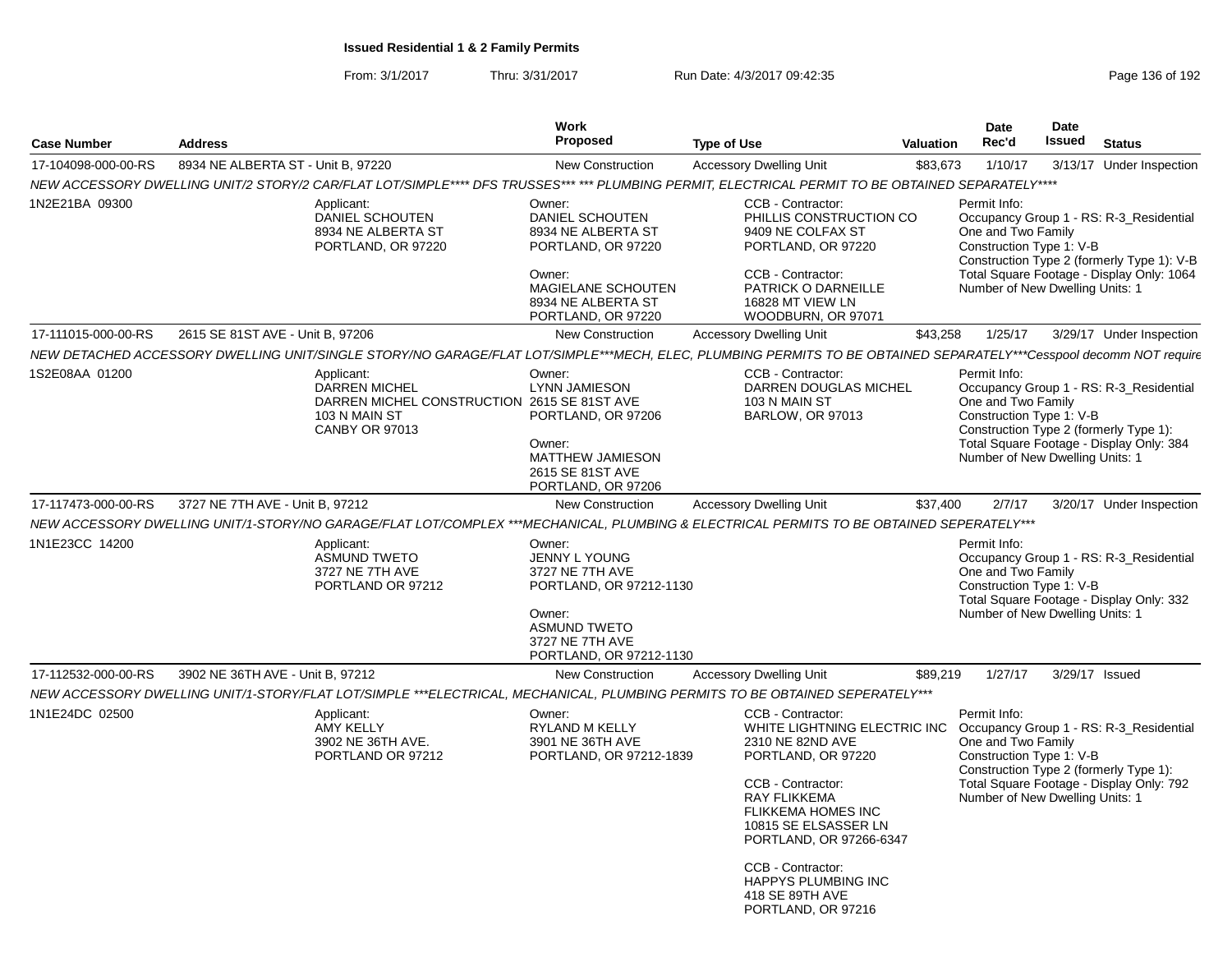| <b>Case Number</b>  | <b>Address</b>                     |                                                                                                                                                                    | Work<br>Proposed                                                                                                                                            | <b>Type of Use</b>                                                                                                                                                                                                      | Date<br><b>Date</b><br>Issued<br>Rec'd<br><b>Valuation</b> |                                                                                                   |  | <b>Status</b>                                                                                                                      |
|---------------------|------------------------------------|--------------------------------------------------------------------------------------------------------------------------------------------------------------------|-------------------------------------------------------------------------------------------------------------------------------------------------------------|-------------------------------------------------------------------------------------------------------------------------------------------------------------------------------------------------------------------------|------------------------------------------------------------|---------------------------------------------------------------------------------------------------|--|------------------------------------------------------------------------------------------------------------------------------------|
| 17-104098-000-00-RS | 8934 NE ALBERTA ST - Unit B, 97220 |                                                                                                                                                                    | New Construction                                                                                                                                            | <b>Accessory Dwelling Unit</b>                                                                                                                                                                                          | \$83,673                                                   | 1/10/17                                                                                           |  | 3/13/17 Under Inspection                                                                                                           |
|                     |                                    | NEW ACCESSORY DWELLING UNIT/2 STORY/2 CAR/FLAT LOT/SIMPLE**** DFS TRUSSES*** *** PLUMBING PERMIT, ELECTRICAL PERMIT TO BE OBTAINED SEPARATELY****                  |                                                                                                                                                             |                                                                                                                                                                                                                         |                                                            |                                                                                                   |  |                                                                                                                                    |
| 1N2E21BA 09300      |                                    | Applicant:<br>DANIEL SCHOUTEN<br>8934 NE ALBERTA ST<br>PORTLAND, OR 97220                                                                                          | Owner:<br>DANIEL SCHOUTEN<br>8934 NE ALBERTA ST<br>PORTLAND, OR 97220<br>Owner:<br>MAGIELANE SCHOUTEN                                                       | CCB - Contractor:<br>PHILLIS CONSTRUCTION CO<br>9409 NE COLFAX ST<br>PORTLAND, OR 97220<br>CCB - Contractor:<br>PATRICK O DARNEILLE                                                                                     |                                                            | Permit Info:<br>One and Two Family<br>Construction Type 1: V-B<br>Number of New Dwelling Units: 1 |  | Occupancy Group 1 - RS: R-3_Residential<br>Construction Type 2 (formerly Type 1): V-B<br>Total Square Footage - Display Only: 1064 |
|                     |                                    |                                                                                                                                                                    | 8934 NE ALBERTA ST<br>PORTLAND, OR 97220                                                                                                                    | 16828 MT VIEW LN<br>WOODBURN, OR 97071                                                                                                                                                                                  |                                                            |                                                                                                   |  |                                                                                                                                    |
| 17-111015-000-00-RS | 2615 SE 81ST AVE - Unit B, 97206   |                                                                                                                                                                    | <b>New Construction</b>                                                                                                                                     | <b>Accessory Dwelling Unit</b>                                                                                                                                                                                          | \$43,258                                                   | 1/25/17                                                                                           |  | 3/29/17 Under Inspection                                                                                                           |
|                     |                                    | NEW DETACHED ACCESSORY DWELLING UNIT/SINGLE STORY/NO GARAGE/FLAT LOT/SIMPLE***MECH, ELEC, PLUMBING PERMITS TO BE OBTAINED SEPARATELY***Cesspool decomm NOT require |                                                                                                                                                             |                                                                                                                                                                                                                         |                                                            |                                                                                                   |  |                                                                                                                                    |
| 1S2E08AA 01200      |                                    | Applicant:<br><b>DARREN MICHEL</b><br>DARREN MICHEL CONSTRUCTION 2615 SE 81ST AVE<br>103 N MAIN ST<br><b>CANBY OR 97013</b>                                        | Owner:<br><b>LYNN JAMIESON</b><br>PORTLAND, OR 97206<br>Owner:<br>MATTHEW JAMIESON<br>2615 SE 81ST AVE<br>PORTLAND, OR 97206                                | CCB - Contractor:<br>DARREN DOUGLAS MICHEL<br>103 N MAIN ST<br><b>BARLOW, OR 97013</b>                                                                                                                                  |                                                            | Permit Info:<br>One and Two Family<br>Construction Type 1: V-B<br>Number of New Dwelling Units: 1 |  | Occupancy Group 1 - RS: R-3_Residential<br>Construction Type 2 (formerly Type 1):<br>Total Square Footage - Display Only: 384      |
| 17-117473-000-00-RS | 3727 NE 7TH AVE - Unit B, 97212    |                                                                                                                                                                    | <b>New Construction</b>                                                                                                                                     | <b>Accessory Dwelling Unit</b>                                                                                                                                                                                          | \$37,400                                                   | 2/7/17                                                                                            |  | 3/20/17 Under Inspection                                                                                                           |
|                     |                                    | NEW ACCESSORY DWELLING UNIT/1-STORY/NO GARAGE/FLAT LOT/COMPLEX ***MECHANICAL, PLUMBING & ELECTRICAL PERMITS TO BE OBTAINED SEPERATELY***                           |                                                                                                                                                             |                                                                                                                                                                                                                         |                                                            |                                                                                                   |  |                                                                                                                                    |
| 1N1E23CC 14200      |                                    | Applicant:<br><b>ASMUND TWETO</b><br>3727 NE 7TH AVE<br>PORTLAND OR 97212                                                                                          | Owner:<br><b>JENNY L YOUNG</b><br>3727 NE 7TH AVE<br>PORTLAND, OR 97212-1130<br>Owner:<br><b>ASMUND TWETO</b><br>3727 NE 7TH AVE<br>PORTLAND, OR 97212-1130 |                                                                                                                                                                                                                         |                                                            | Permit Info:<br>One and Two Family<br>Construction Type 1: V-B<br>Number of New Dwelling Units: 1 |  | Occupancy Group 1 - RS: R-3_Residential<br>Total Square Footage - Display Only: 332                                                |
| 17-112532-000-00-RS | 3902 NE 36TH AVE - Unit B, 97212   |                                                                                                                                                                    | <b>New Construction</b>                                                                                                                                     | <b>Accessory Dwelling Unit</b>                                                                                                                                                                                          | \$89,219                                                   | 1/27/17                                                                                           |  | 3/29/17 Issued                                                                                                                     |
|                     |                                    | NEW ACCESSORY DWELLING UNIT/1-STORY/FLAT LOT/SIMPLE ***ELECTRICAL, MECHANICAL, PLUMBING PERMITS TO BE OBTAINED SEPERATELY***                                       |                                                                                                                                                             |                                                                                                                                                                                                                         |                                                            |                                                                                                   |  |                                                                                                                                    |
| 1N1E24DC 02500      |                                    | Applicant:<br>AMY KELLY<br>3902 NE 36TH AVE.<br>PORTLAND OR 97212                                                                                                  | Owner:<br>RYLAND M KELLY<br>3901 NE 36TH AVE<br>PORTLAND, OR 97212-1839                                                                                     | CCB - Contractor:<br>WHITE LIGHTNING ELECTRIC INC<br>2310 NE 82ND AVE<br>PORTLAND, OR 97220<br>CCB - Contractor:<br><b>RAY FLIKKEMA</b><br><b>FLIKKEMA HOMES INC</b><br>10815 SE ELSASSER LN<br>PORTLAND, OR 97266-6347 |                                                            | Permit Info:<br>One and Two Family<br>Construction Type 1: V-B<br>Number of New Dwelling Units: 1 |  | Occupancy Group 1 - RS: R-3_Residential<br>Construction Type 2 (formerly Type 1):<br>Total Square Footage - Display Only: 792      |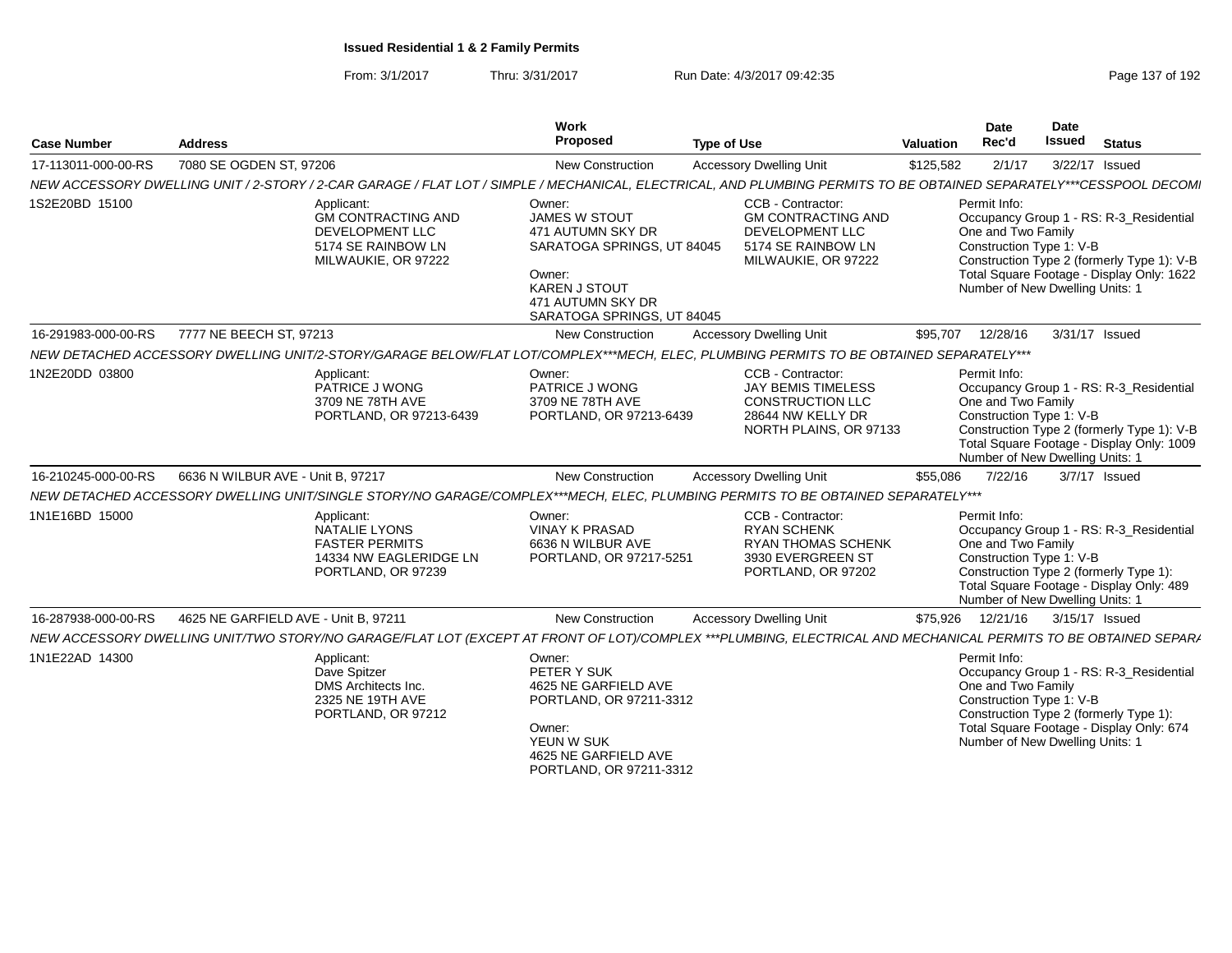| 7080 SE OGDEN ST, 97206<br><b>Accessory Dwelling Unit</b><br>New Construction<br>\$125,582<br>2/1/17<br>3/22/17 Issued<br>NEW ACCESSORY DWELLING UNIT / 2-STORY / 2-CAR GARAGE / FLAT LOT / SIMPLE / MECHANICAL, ELECTRICAL, AND PLUMBING PERMITS TO BE OBTAINED SEPARATELY***CESSPOOL DECOM<br>Owner:<br>CCB - Contractor:<br>Permit Info:<br>Applicant:<br><b>GM CONTRACTING AND</b><br>JAMES W STOUT<br><b>GM CONTRACTING AND</b><br>Occupancy Group 1 - RS: R-3_Residential<br>One and Two Family<br>DEVELOPMENT LLC<br>471 AUTUMN SKY DR<br>DEVELOPMENT LLC<br>Construction Type 1: V-B<br>SARATOGA SPRINGS, UT 84045<br>5174 SE RAINBOW LN<br>5174 SE RAINBOW LN<br>Construction Type 2 (formerly Type 1): V-B<br>MILWAUKIE, OR 97222<br>MILWAUKIE, OR 97222<br>Total Square Footage - Display Only: 1622<br>Owner:<br><b>KAREN J STOUT</b><br>Number of New Dwelling Units: 1<br>471 AUTUMN SKY DR<br>SARATOGA SPRINGS, UT 84045<br><b>Accessory Dwelling Unit</b><br>16-291983-000-00-RS<br>7777 NE BEECH ST, 97213<br><b>New Construction</b><br>12/28/16<br>3/31/17 Issued<br>\$95,707<br>NEW DETACHED ACCESSORY DWELLING UNIT/2-STORY/GARAGE BELOW/FLAT LOT/COMPLEX***MECH, ELEC, PLUMBING PERMITS TO BE OBTAINED SEPARATELY***<br>CCB - Contractor:<br>Permit Info:<br>Applicant:<br>Owner:<br>PATRICE J WONG<br>PATRICE J WONG<br><b>JAY BEMIS TIMELESS</b><br>Occupancy Group 1 - RS: R-3_Residential<br>One and Two Family<br>3709 NE 78TH AVE<br>3709 NE 78TH AVE<br>CONSTRUCTION LLC<br>28644 NW KELLY DR<br>Construction Type 1: V-B<br>PORTLAND, OR 97213-6439<br>PORTLAND, OR 97213-6439<br>Construction Type 2 (formerly Type 1): V-B<br>NORTH PLAINS, OR 97133<br>Total Square Footage - Display Only: 1009<br>Number of New Dwelling Units: 1<br><b>Accessory Dwelling Unit</b><br>6636 N WILBUR AVE - Unit B, 97217<br>New Construction<br>7/22/16<br>3/7/17 Issued<br>\$55,086<br>NEW DETACHED ACCESSORY DWELLING UNIT/SINGLE STORY/NO GARAGE/COMPLEX***MECH, ELEC, PLUMBING PERMITS TO BE OBTAINED SEPARATELY***<br>CCB - Contractor:<br>Applicant:<br>Owner:<br>Permit Info:<br>Occupancy Group 1 - RS: R-3_Residential<br><b>NATALIE LYONS</b><br><b>VINAY K PRASAD</b><br><b>RYAN SCHENK</b><br>One and Two Family<br><b>FASTER PERMITS</b><br>6636 N WILBUR AVE<br><b>RYAN THOMAS SCHENK</b><br>Construction Type 1: V-B<br>14334 NW EAGLERIDGE LN<br>PORTLAND, OR 97217-5251<br>3930 EVERGREEN ST<br>Construction Type 2 (formerly Type 1):<br>PORTLAND, OR 97239<br>PORTLAND, OR 97202<br>Total Square Footage - Display Only: 489<br>Number of New Dwelling Units: 1<br>4625 NE GARFIELD AVE - Unit B, 97211<br><b>New Construction</b><br><b>Accessory Dwelling Unit</b><br>12/21/16<br>3/15/17 Issued<br>\$75,926<br>NEW ACCESSORY DWELLING UNIT/TWO STORY/NO GARAGE/FLAT LOT (EXCEPT AT FRONT OF LOT)/COMPLEX ***PLUMBING, ELECTRICAL AND MECHANICAL PERMITS TO BE OBTAINED SEPARA<br>Permit Info:<br>Applicant:<br>Owner:<br>Dave Spitzer<br>PETER Y SUK<br>Occupancy Group 1 - RS: R-3_Residential<br>One and Two Family<br><b>DMS</b> Architects Inc.<br>4625 NE GARFIELD AVE<br>Construction Type 1: V-B<br>2325 NE 19TH AVE<br>PORTLAND, OR 97211-3312<br>Construction Type 2 (formerly Type 1):<br>PORTLAND, OR 97212<br>Total Square Footage - Display Only: 674<br>Owner:<br>YEUN W SUK<br>Number of New Dwelling Units: 1<br>4625 NE GARFIELD AVE<br>PORTLAND, OR 97211-3312 | <b>Case Number</b>  | <b>Address</b> | <b>Work</b><br>Proposed | <b>Type of Use</b> |  |  | Date<br>Issued | <b>Status</b> |
|---------------------------------------------------------------------------------------------------------------------------------------------------------------------------------------------------------------------------------------------------------------------------------------------------------------------------------------------------------------------------------------------------------------------------------------------------------------------------------------------------------------------------------------------------------------------------------------------------------------------------------------------------------------------------------------------------------------------------------------------------------------------------------------------------------------------------------------------------------------------------------------------------------------------------------------------------------------------------------------------------------------------------------------------------------------------------------------------------------------------------------------------------------------------------------------------------------------------------------------------------------------------------------------------------------------------------------------------------------------------------------------------------------------------------------------------------------------------------------------------------------------------------------------------------------------------------------------------------------------------------------------------------------------------------------------------------------------------------------------------------------------------------------------------------------------------------------------------------------------------------------------------------------------------------------------------------------------------------------------------------------------------------------------------------------------------------------------------------------------------------------------------------------------------------------------------------------------------------------------------------------------------------------------------------------------------------------------------------------------------------------------------------------------------------------------------------------------------------------------------------------------------------------------------------------------------------------------------------------------------------------------------------------------------------------------------------------------------------------------------------------------------------------------------------------------------------------------------------------------------------------------------------------------------------------------------------------------------------------------------------------------------------------------------------------------------------------------------------------------------------------------------------------------------------------------------------------------------------------------------------------------------------------------------------------------------------------------------------------------------------------------------------------------------------|---------------------|----------------|-------------------------|--------------------|--|--|----------------|---------------|
|                                                                                                                                                                                                                                                                                                                                                                                                                                                                                                                                                                                                                                                                                                                                                                                                                                                                                                                                                                                                                                                                                                                                                                                                                                                                                                                                                                                                                                                                                                                                                                                                                                                                                                                                                                                                                                                                                                                                                                                                                                                                                                                                                                                                                                                                                                                                                                                                                                                                                                                                                                                                                                                                                                                                                                                                                                                                                                                                                                                                                                                                                                                                                                                                                                                                                                                                                                                                                           | 17-113011-000-00-RS |                |                         |                    |  |  |                |               |
|                                                                                                                                                                                                                                                                                                                                                                                                                                                                                                                                                                                                                                                                                                                                                                                                                                                                                                                                                                                                                                                                                                                                                                                                                                                                                                                                                                                                                                                                                                                                                                                                                                                                                                                                                                                                                                                                                                                                                                                                                                                                                                                                                                                                                                                                                                                                                                                                                                                                                                                                                                                                                                                                                                                                                                                                                                                                                                                                                                                                                                                                                                                                                                                                                                                                                                                                                                                                                           |                     |                |                         |                    |  |  |                |               |
|                                                                                                                                                                                                                                                                                                                                                                                                                                                                                                                                                                                                                                                                                                                                                                                                                                                                                                                                                                                                                                                                                                                                                                                                                                                                                                                                                                                                                                                                                                                                                                                                                                                                                                                                                                                                                                                                                                                                                                                                                                                                                                                                                                                                                                                                                                                                                                                                                                                                                                                                                                                                                                                                                                                                                                                                                                                                                                                                                                                                                                                                                                                                                                                                                                                                                                                                                                                                                           | 1S2E20BD 15100      |                |                         |                    |  |  |                |               |
|                                                                                                                                                                                                                                                                                                                                                                                                                                                                                                                                                                                                                                                                                                                                                                                                                                                                                                                                                                                                                                                                                                                                                                                                                                                                                                                                                                                                                                                                                                                                                                                                                                                                                                                                                                                                                                                                                                                                                                                                                                                                                                                                                                                                                                                                                                                                                                                                                                                                                                                                                                                                                                                                                                                                                                                                                                                                                                                                                                                                                                                                                                                                                                                                                                                                                                                                                                                                                           |                     |                |                         |                    |  |  |                |               |
|                                                                                                                                                                                                                                                                                                                                                                                                                                                                                                                                                                                                                                                                                                                                                                                                                                                                                                                                                                                                                                                                                                                                                                                                                                                                                                                                                                                                                                                                                                                                                                                                                                                                                                                                                                                                                                                                                                                                                                                                                                                                                                                                                                                                                                                                                                                                                                                                                                                                                                                                                                                                                                                                                                                                                                                                                                                                                                                                                                                                                                                                                                                                                                                                                                                                                                                                                                                                                           |                     |                |                         |                    |  |  |                |               |
|                                                                                                                                                                                                                                                                                                                                                                                                                                                                                                                                                                                                                                                                                                                                                                                                                                                                                                                                                                                                                                                                                                                                                                                                                                                                                                                                                                                                                                                                                                                                                                                                                                                                                                                                                                                                                                                                                                                                                                                                                                                                                                                                                                                                                                                                                                                                                                                                                                                                                                                                                                                                                                                                                                                                                                                                                                                                                                                                                                                                                                                                                                                                                                                                                                                                                                                                                                                                                           | 1N2E20DD 03800      |                |                         |                    |  |  |                |               |
|                                                                                                                                                                                                                                                                                                                                                                                                                                                                                                                                                                                                                                                                                                                                                                                                                                                                                                                                                                                                                                                                                                                                                                                                                                                                                                                                                                                                                                                                                                                                                                                                                                                                                                                                                                                                                                                                                                                                                                                                                                                                                                                                                                                                                                                                                                                                                                                                                                                                                                                                                                                                                                                                                                                                                                                                                                                                                                                                                                                                                                                                                                                                                                                                                                                                                                                                                                                                                           | 16-210245-000-00-RS |                |                         |                    |  |  |                |               |
|                                                                                                                                                                                                                                                                                                                                                                                                                                                                                                                                                                                                                                                                                                                                                                                                                                                                                                                                                                                                                                                                                                                                                                                                                                                                                                                                                                                                                                                                                                                                                                                                                                                                                                                                                                                                                                                                                                                                                                                                                                                                                                                                                                                                                                                                                                                                                                                                                                                                                                                                                                                                                                                                                                                                                                                                                                                                                                                                                                                                                                                                                                                                                                                                                                                                                                                                                                                                                           |                     |                |                         |                    |  |  |                |               |
|                                                                                                                                                                                                                                                                                                                                                                                                                                                                                                                                                                                                                                                                                                                                                                                                                                                                                                                                                                                                                                                                                                                                                                                                                                                                                                                                                                                                                                                                                                                                                                                                                                                                                                                                                                                                                                                                                                                                                                                                                                                                                                                                                                                                                                                                                                                                                                                                                                                                                                                                                                                                                                                                                                                                                                                                                                                                                                                                                                                                                                                                                                                                                                                                                                                                                                                                                                                                                           | 1N1E16BD 15000      |                |                         |                    |  |  |                |               |
|                                                                                                                                                                                                                                                                                                                                                                                                                                                                                                                                                                                                                                                                                                                                                                                                                                                                                                                                                                                                                                                                                                                                                                                                                                                                                                                                                                                                                                                                                                                                                                                                                                                                                                                                                                                                                                                                                                                                                                                                                                                                                                                                                                                                                                                                                                                                                                                                                                                                                                                                                                                                                                                                                                                                                                                                                                                                                                                                                                                                                                                                                                                                                                                                                                                                                                                                                                                                                           | 16-287938-000-00-RS |                |                         |                    |  |  |                |               |
|                                                                                                                                                                                                                                                                                                                                                                                                                                                                                                                                                                                                                                                                                                                                                                                                                                                                                                                                                                                                                                                                                                                                                                                                                                                                                                                                                                                                                                                                                                                                                                                                                                                                                                                                                                                                                                                                                                                                                                                                                                                                                                                                                                                                                                                                                                                                                                                                                                                                                                                                                                                                                                                                                                                                                                                                                                                                                                                                                                                                                                                                                                                                                                                                                                                                                                                                                                                                                           |                     |                |                         |                    |  |  |                |               |
|                                                                                                                                                                                                                                                                                                                                                                                                                                                                                                                                                                                                                                                                                                                                                                                                                                                                                                                                                                                                                                                                                                                                                                                                                                                                                                                                                                                                                                                                                                                                                                                                                                                                                                                                                                                                                                                                                                                                                                                                                                                                                                                                                                                                                                                                                                                                                                                                                                                                                                                                                                                                                                                                                                                                                                                                                                                                                                                                                                                                                                                                                                                                                                                                                                                                                                                                                                                                                           | 1N1E22AD 14300      |                |                         |                    |  |  |                |               |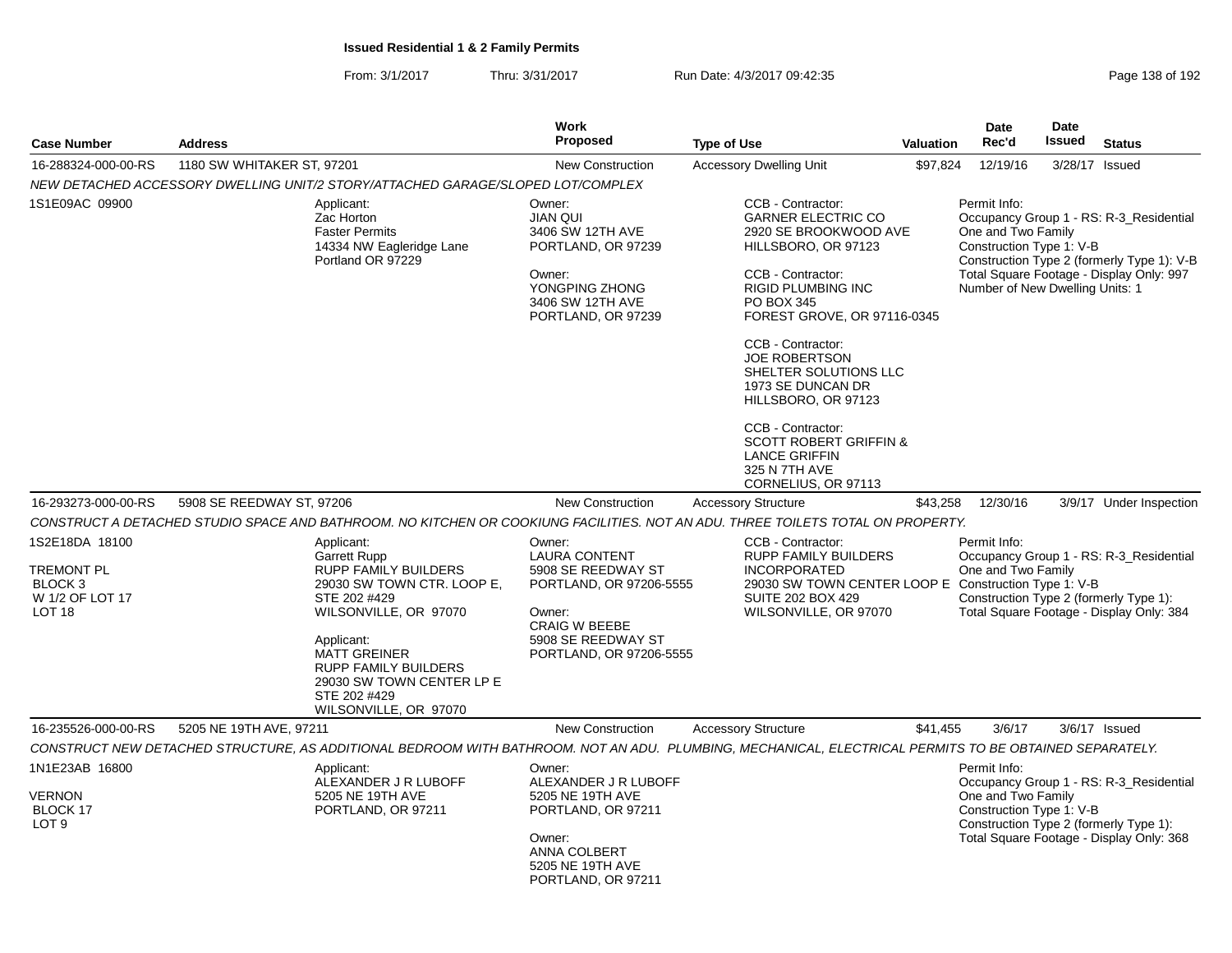| <b>Case Number</b><br><b>Address</b>                                            |                            | Work<br>Proposed                                                                                                                                                                                                                                                    | <b>Type of Use</b>                                                                                                                                       | Valuation                                                                                                                                                                                                                                                                                | <b>Date</b><br>Rec'd | <b>Date</b><br>Issued                                                                             | <b>Status</b> |                                                                                                                                   |
|---------------------------------------------------------------------------------|----------------------------|---------------------------------------------------------------------------------------------------------------------------------------------------------------------------------------------------------------------------------------------------------------------|----------------------------------------------------------------------------------------------------------------------------------------------------------|------------------------------------------------------------------------------------------------------------------------------------------------------------------------------------------------------------------------------------------------------------------------------------------|----------------------|---------------------------------------------------------------------------------------------------|---------------|-----------------------------------------------------------------------------------------------------------------------------------|
| 16-288324-000-00-RS                                                             | 1180 SW WHITAKER ST, 97201 |                                                                                                                                                                                                                                                                     | <b>New Construction</b>                                                                                                                                  | <b>Accessory Dwelling Unit</b>                                                                                                                                                                                                                                                           | \$97,824             | 12/19/16                                                                                          |               | 3/28/17 Issued                                                                                                                    |
|                                                                                 |                            | NEW DETACHED ACCESSORY DWELLING UNIT/2 STORY/ATTACHED GARAGE/SLOPED LOT/COMPLEX                                                                                                                                                                                     |                                                                                                                                                          |                                                                                                                                                                                                                                                                                          |                      |                                                                                                   |               |                                                                                                                                   |
| 1S1E09AC 09900                                                                  |                            | Applicant:<br>Zac Horton<br><b>Faster Permits</b><br>14334 NW Eagleridge Lane<br>Portland OR 97229                                                                                                                                                                  | Owner:<br><b>JIAN QUI</b><br>3406 SW 12TH AVE<br>PORTLAND, OR 97239<br>Owner:<br>YONGPING ZHONG<br>3406 SW 12TH AVE<br>PORTLAND, OR 97239                | CCB - Contractor:<br><b>GARNER ELECTRIC CO</b><br>2920 SE BROOKWOOD AVE<br>HILLSBORO, OR 97123<br>CCB - Contractor:<br><b>RIGID PLUMBING INC</b><br>PO BOX 345<br>FOREST GROVE, OR 97116-0345<br>CCB - Contractor:<br><b>JOE ROBERTSON</b><br>SHELTER SOLUTIONS LLC<br>1973 SE DUNCAN DR |                      | Permit Info:<br>One and Two Family<br>Construction Type 1: V-B<br>Number of New Dwelling Units: 1 |               | Occupancy Group 1 - RS: R-3_Residential<br>Construction Type 2 (formerly Type 1): V-B<br>Total Square Footage - Display Only: 997 |
| 16-293273-000-00-RS                                                             | 5908 SE REEDWAY ST, 97206  |                                                                                                                                                                                                                                                                     | <b>New Construction</b>                                                                                                                                  | HILLSBORO, OR 97123<br>CCB - Contractor:<br><b>SCOTT ROBERT GRIFFIN &amp;</b><br><b>LANCE GRIFFIN</b><br>325 N 7TH AVE<br>CORNELIUS, OR 97113<br><b>Accessory Structure</b>                                                                                                              | \$43,258             | 12/30/16                                                                                          |               |                                                                                                                                   |
|                                                                                 |                            |                                                                                                                                                                                                                                                                     |                                                                                                                                                          | CONSTRUCT A DETACHED STUDIO SPACE AND BATHROOM. NO KITCHEN OR COOKIUNG FACILITIES. NOT AN ADU. THREE TOILETS TOTAL ON PROPERTY.                                                                                                                                                          |                      |                                                                                                   |               | 3/9/17 Under Inspection                                                                                                           |
| 1S2E18DA 18100                                                                  |                            | Applicant:                                                                                                                                                                                                                                                          | Owner:                                                                                                                                                   | CCB - Contractor:                                                                                                                                                                                                                                                                        |                      | Permit Info:                                                                                      |               |                                                                                                                                   |
| <b>TREMONT PL</b><br>BLOCK <sub>3</sub><br>W 1/2 OF LOT 17<br>LOT <sub>18</sub> |                            | <b>Garrett Rupp</b><br><b>RUPP FAMILY BUILDERS</b><br>29030 SW TOWN CTR. LOOP E,<br>STE 202 #429<br>WILSONVILLE, OR 97070<br>Applicant:<br><b>MATT GREINER</b><br><b>RUPP FAMILY BUILDERS</b><br>29030 SW TOWN CENTER LP E<br>STE 202 #429<br>WILSONVILLE, OR 97070 | <b>LAURA CONTENT</b><br>5908 SE REEDWAY ST<br>PORTLAND, OR 97206-5555<br>Owner:<br><b>CRAIG W BEEBE</b><br>5908 SE REEDWAY ST<br>PORTLAND, OR 97206-5555 | <b>RUPP FAMILY BUILDERS</b><br><b>INCORPORATED</b><br>29030 SW TOWN CENTER LOOP E Construction Type 1: V-B<br><b>SUITE 202 BOX 429</b><br>WILSONVILLE, OR 97070                                                                                                                          |                      | One and Two Family                                                                                |               | Occupancy Group 1 - RS: R-3_Residential<br>Construction Type 2 (formerly Type 1):<br>Total Square Footage - Display Only: 384     |
| 16-235526-000-00-RS                                                             | 5205 NE 19TH AVE, 97211    |                                                                                                                                                                                                                                                                     | <b>New Construction</b>                                                                                                                                  | <b>Accessory Structure</b>                                                                                                                                                                                                                                                               | \$41,455             | 3/6/17                                                                                            |               | $3/6/17$ Issued                                                                                                                   |
|                                                                                 |                            |                                                                                                                                                                                                                                                                     |                                                                                                                                                          | CONSTRUCT NEW DETACHED STRUCTURE, AS ADDITIONAL BEDROOM WITH BATHROOM. NOT AN ADU. PLUMBING, MECHANICAL, ELECTRICAL PERMITS TO BE OBTAINED SEPARATELY.                                                                                                                                   |                      |                                                                                                   |               |                                                                                                                                   |
| 1N1E23AB 16800<br><b>VERNON</b><br>BLOCK 17<br>LOT <sub>9</sub>                 |                            | Applicant:<br>ALEXANDER J R LUBOFF<br>5205 NE 19TH AVE<br>PORTLAND, OR 97211                                                                                                                                                                                        | Owner:<br>ALEXANDER J R LUBOFF<br>5205 NE 19TH AVE<br>PORTLAND, OR 97211<br>Owner:<br>ANNA COLBERT<br>5205 NE 19TH AVE<br>PORTLAND, OR 97211             |                                                                                                                                                                                                                                                                                          |                      | Permit Info:<br>One and Two Family<br>Construction Type 1: V-B                                    |               | Occupancy Group 1 - RS: R-3_Residential<br>Construction Type 2 (formerly Type 1):<br>Total Square Footage - Display Only: 368     |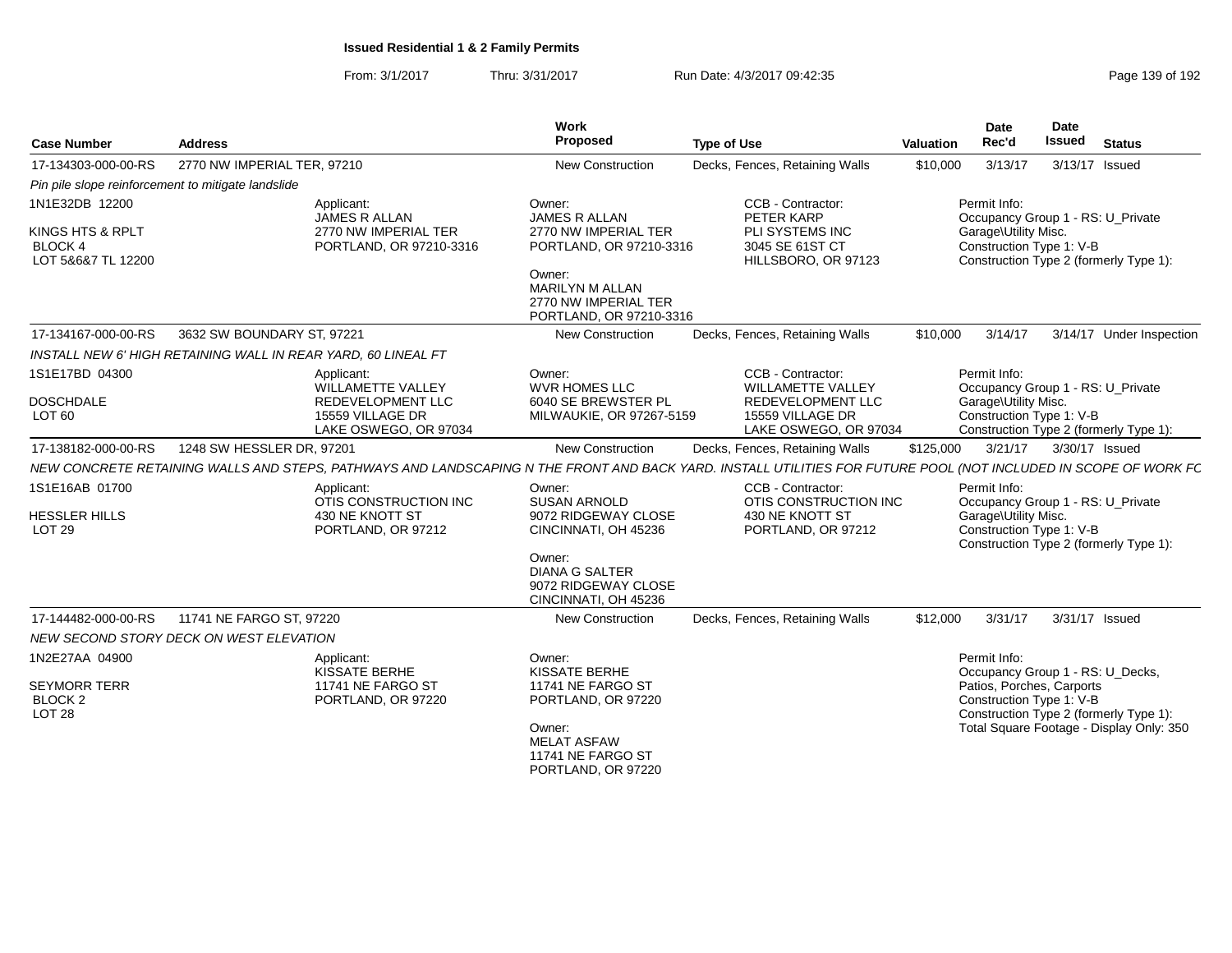| <b>Case Number</b>                                                           | <b>Address</b>                                                                                                                                                  | Work<br>Proposed                                                                                                                                                  | <b>Type of Use</b>                                                                                              | Valuation | Date<br>Rec'd                        | Date<br><b>Issued</b>                                                                     | <b>Status</b>                                                                      |
|------------------------------------------------------------------------------|-----------------------------------------------------------------------------------------------------------------------------------------------------------------|-------------------------------------------------------------------------------------------------------------------------------------------------------------------|-----------------------------------------------------------------------------------------------------------------|-----------|--------------------------------------|-------------------------------------------------------------------------------------------|------------------------------------------------------------------------------------|
| 17-134303-000-00-RS                                                          | 2770 NW IMPERIAL TER. 97210                                                                                                                                     | New Construction                                                                                                                                                  | Decks, Fences, Retaining Walls                                                                                  | \$10,000  | 3/13/17                              | 3/13/17 Issued                                                                            |                                                                                    |
| Pin pile slope reinforcement to mitigate landslide                           |                                                                                                                                                                 |                                                                                                                                                                   |                                                                                                                 |           |                                      |                                                                                           |                                                                                    |
| 1N1E32DB 12200<br>KINGS HTS & RPLT<br><b>BLOCK 4</b><br>LOT 5&6&7 TL 12200   | Applicant:<br>JAMES R ALLAN<br>2770 NW IMPERIAL TER<br>PORTLAND, OR 97210-3316                                                                                  | Owner:<br><b>JAMES R ALLAN</b><br>2770 NW IMPERIAL TER<br>PORTLAND, OR 97210-3316<br>Owner:<br>MARILYN M ALLAN<br>2770 NW IMPERIAL TER<br>PORTLAND, OR 97210-3316 | CCB - Contractor:<br>PETER KARP<br>PLI SYSTEMS INC<br>3045 SE 61ST CT<br>HILLSBORO, OR 97123                    |           | Permit Info:<br>Garage\Utility Misc. | Occupancy Group 1 - RS: U_Private<br>Construction Type 1: V-B                             | Construction Type 2 (formerly Type 1):                                             |
| 17-134167-000-00-RS                                                          | 3632 SW BOUNDARY ST, 97221                                                                                                                                      | New Construction                                                                                                                                                  | Decks, Fences, Retaining Walls                                                                                  | \$10,000  | 3/14/17                              |                                                                                           | 3/14/17 Under Inspection                                                           |
|                                                                              | INSTALL NEW 6' HIGH RETAINING WALL IN REAR YARD, 60 LINEAL FT                                                                                                   |                                                                                                                                                                   |                                                                                                                 |           |                                      |                                                                                           |                                                                                    |
| 1S1E17BD 04300<br><b>DOSCHDALE</b><br>LOT <sub>60</sub>                      | Applicant:<br>WILLAMETTE VALLEY<br>REDEVELOPMENT LLC<br>15559 VILLAGE DR<br>LAKE OSWEGO, OR 97034                                                               | Owner:<br><b>WVR HOMES LLC</b><br>6040 SE BREWSTER PL<br>MILWAUKIE, OR 97267-5159                                                                                 | CCB - Contractor:<br><b>WILLAMETTE VALLEY</b><br>REDEVELOPMENT LLC<br>15559 VILLAGE DR<br>LAKE OSWEGO, OR 97034 |           | Permit Info:<br>Garage\Utility Misc. | Occupancy Group 1 - RS: U_Private<br>Construction Type 1: V-B                             | Construction Type 2 (formerly Type 1):                                             |
| 17-138182-000-00-RS                                                          | 1248 SW HESSLER DR, 97201                                                                                                                                       | New Construction                                                                                                                                                  | Decks, Fences, Retaining Walls                                                                                  | \$125,000 | 3/21/17                              | 3/30/17 Issued                                                                            |                                                                                    |
|                                                                              | NEW CONCRETE RETAINING WALLS AND STEPS, PATHWAYS AND LANDSCAPING N THE FRONT AND BACK YARD. INSTALL UTILITIES FOR FUTURE POOL (NOT INCLUDED IN SCOPE OF WORK FC |                                                                                                                                                                   |                                                                                                                 |           |                                      |                                                                                           |                                                                                    |
| 1S1E16AB 01700<br><b>HESSLER HILLS</b><br><b>LOT 29</b>                      | Applicant:<br>OTIS CONSTRUCTION INC<br>430 NE KNOTT ST<br>PORTLAND, OR 97212                                                                                    | Owner:<br><b>SUSAN ARNOLD</b><br>9072 RIDGEWAY CLOSE<br>CINCINNATI. OH 45236<br>Owner:<br><b>DIANA G SALTER</b><br>9072 RIDGEWAY CLOSE<br>CINCINNATI, OH 45236    | CCB - Contractor:<br>OTIS CONSTRUCTION INC<br>430 NE KNOTT ST<br>PORTLAND, OR 97212                             |           | Permit Info:<br>Garage\Utility Misc. | Occupancy Group 1 - RS: U_Private<br>Construction Type 1: V-B                             | Construction Type 2 (formerly Type 1):                                             |
| 17-144482-000-00-RS                                                          | 11741 NE FARGO ST, 97220                                                                                                                                        | New Construction                                                                                                                                                  | Decks, Fences, Retaining Walls                                                                                  | \$12,000  | 3/31/17                              | 3/31/17 Issued                                                                            |                                                                                    |
|                                                                              | NEW SECOND STORY DECK ON WEST ELEVATION                                                                                                                         |                                                                                                                                                                   |                                                                                                                 |           |                                      |                                                                                           |                                                                                    |
| 1N2E27AA 04900<br><b>SEYMORR TERR</b><br>BLOCK <sub>2</sub><br><b>LOT 28</b> | Applicant:<br>KISSATE BERHE<br>11741 NE FARGO ST<br>PORTLAND, OR 97220                                                                                          | Owner:<br><b>KISSATE BERHE</b><br>11741 NE FARGO ST<br>PORTLAND, OR 97220<br>Owner:<br><b>MELAT ASFAW</b><br>11741 NE FARGO ST<br>PORTLAND, OR 97220              |                                                                                                                 |           | Permit Info:                         | Occupancy Group 1 - RS: U_Decks,<br>Patios, Porches, Carports<br>Construction Type 1: V-B | Construction Type 2 (formerly Type 1):<br>Total Square Footage - Display Only: 350 |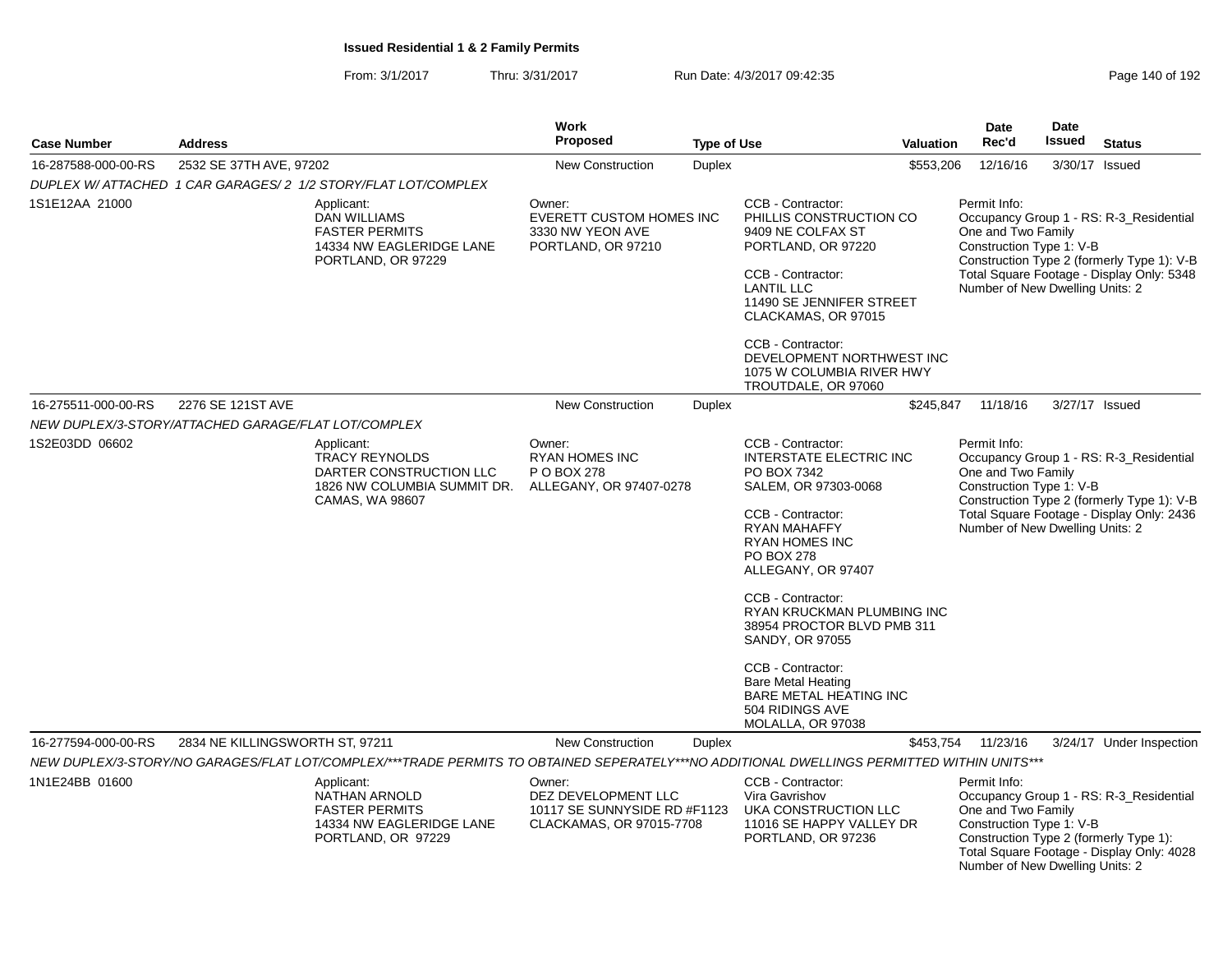From: 3/1/2017Thru: 3/31/2017 Run Date: 4/3/2017 09:42:35 Research 2010 192

| <b>Case Number</b>                                  | <b>Address</b>                  |                                                                                                                                                                                                                                                      | <b>Work</b><br>Proposed                                                                                       | <b>Type of Use</b> | <b>Date</b><br>Rec'd<br><b>Valuation</b>                                                                                                                                                                                                                                                                                                                                                                                           | <b>Date</b><br>Issued | <b>Status</b>                                                                                                 |  |                                                                                                                                                            |
|-----------------------------------------------------|---------------------------------|------------------------------------------------------------------------------------------------------------------------------------------------------------------------------------------------------------------------------------------------------|---------------------------------------------------------------------------------------------------------------|--------------------|------------------------------------------------------------------------------------------------------------------------------------------------------------------------------------------------------------------------------------------------------------------------------------------------------------------------------------------------------------------------------------------------------------------------------------|-----------------------|---------------------------------------------------------------------------------------------------------------|--|------------------------------------------------------------------------------------------------------------------------------------------------------------|
| 16-287588-000-00-RS                                 | 2532 SE 37TH AVE, 97202         |                                                                                                                                                                                                                                                      | New Construction                                                                                              | <b>Duplex</b>      |                                                                                                                                                                                                                                                                                                                                                                                                                                    | \$553,206             | 12/16/16                                                                                                      |  | 3/30/17 Issued                                                                                                                                             |
|                                                     |                                 | DUPLEX W/ ATTACHED 1 CAR GARAGES/2 1/2 STORY/FLAT LOT/COMPLEX                                                                                                                                                                                        |                                                                                                               |                    |                                                                                                                                                                                                                                                                                                                                                                                                                                    |                       |                                                                                                               |  |                                                                                                                                                            |
| 1S1E12AA 21000                                      |                                 | Applicant:<br><b>DAN WILLIAMS</b><br><b>FASTER PERMITS</b><br>14334 NW EAGLERIDGE LANE<br>PORTLAND, OR 97229                                                                                                                                         | Owner:<br><b>EVERETT CUSTOM HOMES INC</b><br>3330 NW YEON AVE<br>PORTLAND, OR 97210                           |                    | CCB - Contractor:<br>PHILLIS CONSTRUCTION CO<br>9409 NE COLFAX ST<br>PORTLAND, OR 97220<br>CCB - Contractor:<br><b>LANTIL LLC</b><br>11490 SE JENNIFER STREET<br>CLACKAMAS, OR 97015<br>CCB - Contractor:<br>DEVELOPMENT NORTHWEST INC<br>1075 W COLUMBIA RIVER HWY<br>TROUTDALE, OR 97060                                                                                                                                         |                       | Permit Info:<br>One and Two Family<br>Construction Type 1: V-B<br>Number of New Dwelling Units: 2             |  | Occupancy Group 1 - RS: R-3_Residential<br>Construction Type 2 (formerly Type 1): V-B<br>Total Square Footage - Display Only: 5348                         |
| 16-275511-000-00-RS                                 | 2276 SE 121ST AVE               |                                                                                                                                                                                                                                                      | <b>New Construction</b>                                                                                       | <b>Duplex</b>      |                                                                                                                                                                                                                                                                                                                                                                                                                                    | \$245,847             | 11/18/16                                                                                                      |  | 3/27/17 Issued                                                                                                                                             |
| NEW DUPLEX/3-STORY/ATTACHED GARAGE/FLAT LOT/COMPLEX |                                 |                                                                                                                                                                                                                                                      |                                                                                                               |                    |                                                                                                                                                                                                                                                                                                                                                                                                                                    |                       |                                                                                                               |  |                                                                                                                                                            |
| 1S2E03DD 06602                                      |                                 | Applicant:<br><b>TRACY REYNOLDS</b><br>DARTER CONSTRUCTION LLC<br>1826 NW COLUMBIA SUMMIT DR.<br>CAMAS, WA 98607                                                                                                                                     | Owner:<br><b>RYAN HOMES INC</b><br>P O BOX 278<br>ALLEGANY, OR 97407-0278                                     |                    | CCB - Contractor:<br><b>INTERSTATE ELECTRIC INC</b><br>PO BOX 7342<br>SALEM, OR 97303-0068<br>CCB - Contractor:<br><b>RYAN MAHAFFY</b><br><b>RYAN HOMES INC</b><br><b>PO BOX 278</b><br>ALLEGANY, OR 97407<br>CCB - Contractor:<br>RYAN KRUCKMAN PLUMBING INC<br>38954 PROCTOR BLVD PMB 311<br>SANDY, OR 97055<br>CCB - Contractor:<br><b>Bare Metal Heating</b><br>BARE METAL HEATING INC<br>504 RIDINGS AVE<br>MOLALLA, OR 97038 |                       | Permit Info:<br>One and Two Family<br>Construction Type 1: V-B<br>Number of New Dwelling Units: 2             |  | Occupancy Group 1 - RS: R-3_Residential<br>Construction Type 2 (formerly Type 1): V-B<br>Total Square Footage - Display Only: 2436                         |
| 16-277594-000-00-RS<br>1N1E24BB 01600               | 2834 NE KILLINGSWORTH ST, 97211 | NEW DUPLEX/3-STORY/NO GARAGES/FLAT LOT/COMPLEX/***TRADE PERMITS TO OBTAINED SEPERATELY***NO ADDITIONAL DWELLINGS PERMITTED WITHIN UNITS***<br>Applicant:<br>NATHAN ARNOLD<br><b>FASTER PERMITS</b><br>14334 NW EAGLERIDGE LANE<br>PORTLAND, OR 97229 | New Construction<br>Owner:<br>DEZ DEVELOPMENT LLC<br>10117 SE SUNNYSIDE RD #F1123<br>CLACKAMAS, OR 97015-7708 | <b>Duplex</b>      | CCB - Contractor:<br>Vira Gavrishov<br>UKA CONSTRUCTION LLC<br>11016 SE HAPPY VALLEY DR<br>PORTLAND, OR 97236                                                                                                                                                                                                                                                                                                                      | \$453,754             | 11/23/16<br>Permit Info:<br>One and Two Family<br>Construction Type 1: V-B<br>Number of New Dwelling Units: 2 |  | 3/24/17 Under Inspection<br>Occupancy Group 1 - RS: R-3_Residential<br>Construction Type 2 (formerly Type 1):<br>Total Square Footage - Display Only: 4028 |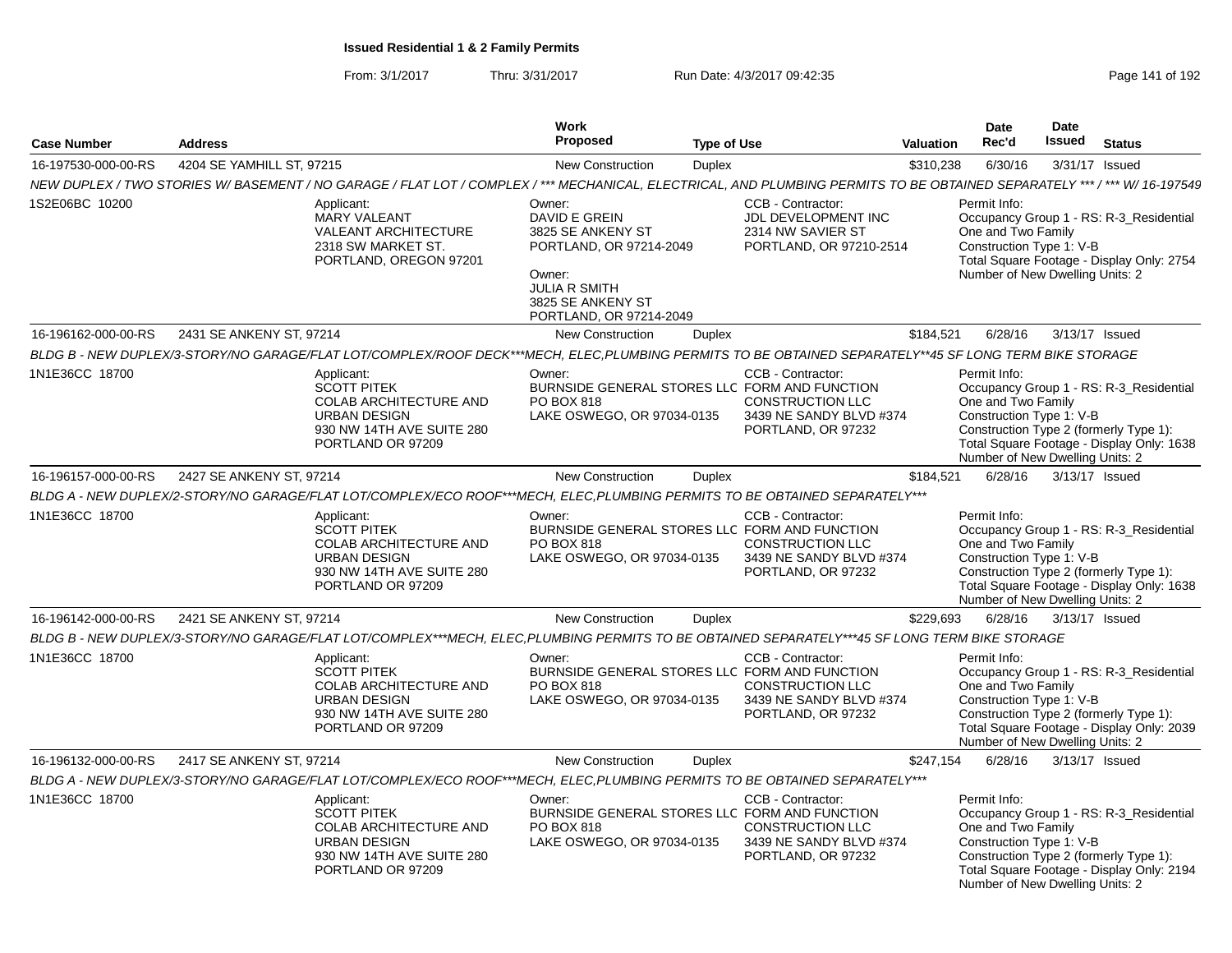| <b>Case Number</b>  | <b>Address</b>            |                                                                                                                                                                          | Work<br>Proposed                                                                                                                                          | <b>Type of Use</b> |                                                                                               | <b>Valuation</b> | Date<br>Rec'd                                                                                     | <b>Date</b><br>Issued | <b>Status</b>                                                                                                                  |
|---------------------|---------------------------|--------------------------------------------------------------------------------------------------------------------------------------------------------------------------|-----------------------------------------------------------------------------------------------------------------------------------------------------------|--------------------|-----------------------------------------------------------------------------------------------|------------------|---------------------------------------------------------------------------------------------------|-----------------------|--------------------------------------------------------------------------------------------------------------------------------|
| 16-197530-000-00-RS | 4204 SE YAMHILL ST, 97215 |                                                                                                                                                                          | <b>New Construction</b>                                                                                                                                   | <b>Duplex</b>      |                                                                                               | \$310,238        | 6/30/16                                                                                           |                       | 3/31/17 Issued                                                                                                                 |
|                     |                           | NEW DUPLEX / TWO STORIES W/BASEMENT / NO GARAGE / FLAT LOT / COMPLEX / *** MECHANICAL, ELECTRICAL, AND PLUMBING PERMITS TO BE OBTAINED SEPARATELY *** / *** W/ 16-197549 |                                                                                                                                                           |                    |                                                                                               |                  |                                                                                                   |                       |                                                                                                                                |
| 1S2E06BC 10200      |                           | Applicant:<br><b>MARY VALEANT</b><br><b>VALEANT ARCHITECTURE</b><br>2318 SW MARKET ST.<br>PORTLAND, OREGON 97201                                                         | Owner:<br>DAVID E GREIN<br>3825 SE ANKENY ST<br>PORTLAND, OR 97214-2049<br>Owner:<br><b>JULIA R SMITH</b><br>3825 SE ANKENY ST<br>PORTLAND, OR 97214-2049 |                    | CCB - Contractor:<br>JDL DEVELOPMENT INC<br>2314 NW SAVIER ST<br>PORTLAND, OR 97210-2514      |                  | Permit Info:<br>One and Two Family<br>Construction Type 1: V-B<br>Number of New Dwelling Units: 2 |                       | Occupancy Group 1 - RS: R-3_Residential<br>Total Square Footage - Display Only: 2754                                           |
| 16-196162-000-00-RS | 2431 SE ANKENY ST, 97214  |                                                                                                                                                                          | <b>New Construction</b>                                                                                                                                   | <b>Duplex</b>      |                                                                                               | \$184,521        | 6/28/16                                                                                           |                       | 3/13/17 Issued                                                                                                                 |
|                     |                           | BLDG B - NEW DUPLEX/3-STORY/NO GARAGE/FLAT LOT/COMPLEX/ROOF DECK***MECH, ELEC,PLUMBING PERMITS TO BE OBTAINED SEPARATELY**45 SF LONG TERM BIKE STORAGE                   |                                                                                                                                                           |                    |                                                                                               |                  |                                                                                                   |                       |                                                                                                                                |
| 1N1E36CC 18700      |                           | Applicant:<br><b>SCOTT PITEK</b><br><b>COLAB ARCHITECTURE AND</b><br>URBAN DESIGN<br>930 NW 14TH AVE SUITE 280<br>PORTLAND OR 97209                                      | Owner:<br>BURNSIDE GENERAL STORES LLC FORM AND FUNCTION<br>PO BOX 818<br>LAKE OSWEGO, OR 97034-0135                                                       |                    | CCB - Contractor:<br>CONSTRUCTION LLC<br>3439 NE SANDY BLVD #374<br>PORTLAND, OR 97232        |                  | Permit Info:<br>One and Two Family<br>Construction Type 1: V-B<br>Number of New Dwelling Units: 2 |                       | Occupancy Group 1 - RS: R-3_Residential<br>Construction Type 2 (formerly Type 1):<br>Total Square Footage - Display Only: 1638 |
| 16-196157-000-00-RS | 2427 SE ANKENY ST. 97214  |                                                                                                                                                                          | <b>New Construction</b>                                                                                                                                   | <b>Duplex</b>      |                                                                                               | \$184,521        | 6/28/16                                                                                           |                       | 3/13/17 Issued                                                                                                                 |
|                     |                           | BLDG A - NEW DUPLEX/2-STORY/NO GARAGE/FLAT LOT/COMPLEX/ECO ROOF***MECH, ELEC,PLUMBING PERMITS TO BE OBTAINED SEPARATELY***                                               |                                                                                                                                                           |                    |                                                                                               |                  |                                                                                                   |                       |                                                                                                                                |
| 1N1E36CC 18700      |                           | Applicant:<br><b>SCOTT PITEK</b><br><b>COLAB ARCHITECTURE AND</b><br><b>URBAN DESIGN</b><br>930 NW 14TH AVE SUITE 280<br>PORTLAND OR 97209                               | Owner:<br>BURNSIDE GENERAL STORES LLC FORM AND FUNCTION<br><b>PO BOX 818</b><br>LAKE OSWEGO, OR 97034-0135                                                |                    | CCB - Contractor:<br><b>CONSTRUCTION LLC</b><br>3439 NE SANDY BLVD #374<br>PORTLAND, OR 97232 |                  | Permit Info:<br>One and Two Family<br>Construction Type 1: V-B<br>Number of New Dwelling Units: 2 |                       | Occupancy Group 1 - RS: R-3_Residential<br>Construction Type 2 (formerly Type 1):<br>Total Square Footage - Display Only: 1638 |
| 16-196142-000-00-RS | 2421 SE ANKENY ST, 97214  |                                                                                                                                                                          | <b>New Construction</b>                                                                                                                                   | <b>Duplex</b>      |                                                                                               | \$229,693        | 6/28/16                                                                                           |                       | 3/13/17 Issued                                                                                                                 |
|                     |                           | BLDG B - NEW DUPLEX/3-STORY/NO GARAGE/FLAT LOT/COMPLEX***MECH, ELEC,PLUMBING PERMITS TO BE OBTAINED SEPARATELY***45 SF LONG TERM BIKE STORAGE                            |                                                                                                                                                           |                    |                                                                                               |                  |                                                                                                   |                       |                                                                                                                                |
| 1N1E36CC 18700      |                           | Applicant:<br><b>SCOTT PITEK</b><br><b>COLAB ARCHITECTURE AND</b><br><b>URBAN DESIGN</b><br>930 NW 14TH AVE SUITE 280<br>PORTLAND OR 97209                               | Owner:<br>BURNSIDE GENERAL STORES LLC FORM AND FUNCTION<br><b>PO BOX 818</b><br>LAKE OSWEGO, OR 97034-0135                                                |                    | CCB - Contractor:<br><b>CONSTRUCTION LLC</b><br>3439 NE SANDY BLVD #374<br>PORTLAND, OR 97232 |                  | Permit Info:<br>One and Two Family<br>Construction Type 1: V-B<br>Number of New Dwelling Units: 2 |                       | Occupancy Group 1 - RS: R-3_Residential<br>Construction Type 2 (formerly Type 1):<br>Total Square Footage - Display Only: 2039 |
| 16-196132-000-00-RS | 2417 SE ANKENY ST, 97214  |                                                                                                                                                                          | New Construction                                                                                                                                          | <b>Duplex</b>      |                                                                                               | \$247,154        | 6/28/16                                                                                           |                       | 3/13/17 Issued                                                                                                                 |
|                     |                           | BLDG A - NEW DUPLEX/3-STORY/NO GARAGE/FLAT LOT/COMPLEX/ECO ROOF***MECH, ELEC,PLUMBING PERMITS TO BE OBTAINED SEPARATELY***                                               |                                                                                                                                                           |                    |                                                                                               |                  |                                                                                                   |                       |                                                                                                                                |
| 1N1E36CC 18700      |                           | Applicant:<br><b>SCOTT PITEK</b><br>COLAB ARCHITECTURE AND<br>URBAN DESIGN<br>930 NW 14TH AVE SUITE 280<br>PORTLAND OR 97209                                             | Owner:<br>BURNSIDE GENERAL STORES LLC FORM AND FUNCTION<br>PO BOX 818<br>LAKE OSWEGO, OR 97034-0135                                                       |                    | CCB - Contractor:<br><b>CONSTRUCTION LLC</b><br>3439 NE SANDY BLVD #374<br>PORTLAND, OR 97232 |                  | Permit Info:<br>One and Two Family<br>Construction Type 1: V-B<br>Number of New Dwelling Units: 2 |                       | Occupancy Group 1 - RS: R-3 Residential<br>Construction Type 2 (formerly Type 1):<br>Total Square Footage - Display Only: 2194 |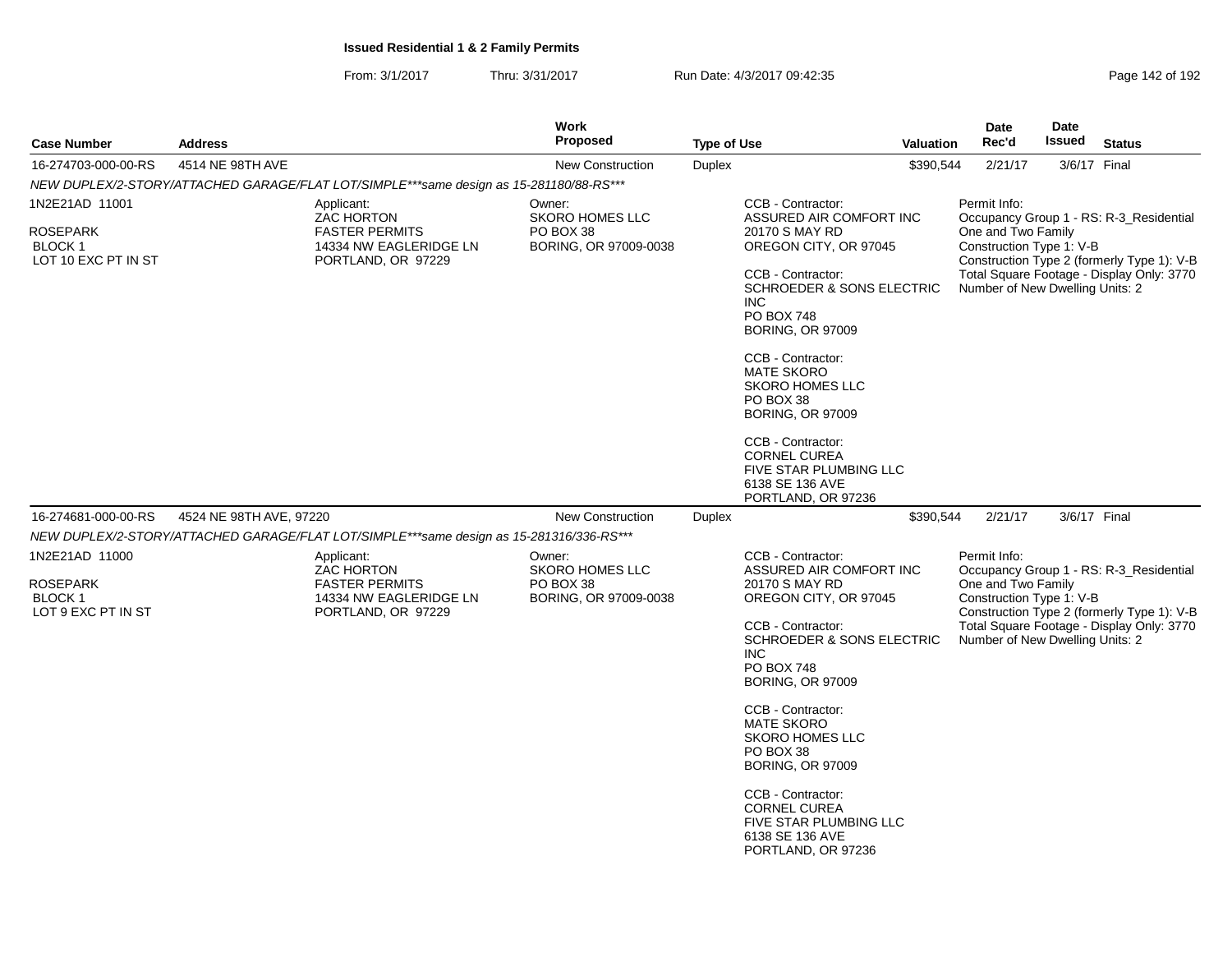| <b>Case Number</b>                                                        | <b>Address</b>          |                                                                                                          | Work<br>Proposed                                                       | <b>Type of Use</b> |                                                                                                                                                                                                                                                                                                                                                                                                                                                      | Valuation | Date<br>Rec'd                                                                                     | <b>Date</b><br>Issued | <b>Status</b>                                                                                                                      |
|---------------------------------------------------------------------------|-------------------------|----------------------------------------------------------------------------------------------------------|------------------------------------------------------------------------|--------------------|------------------------------------------------------------------------------------------------------------------------------------------------------------------------------------------------------------------------------------------------------------------------------------------------------------------------------------------------------------------------------------------------------------------------------------------------------|-----------|---------------------------------------------------------------------------------------------------|-----------------------|------------------------------------------------------------------------------------------------------------------------------------|
| 16-274703-000-00-RS                                                       | 4514 NE 98TH AVE        |                                                                                                          | <b>New Construction</b>                                                | <b>Duplex</b>      |                                                                                                                                                                                                                                                                                                                                                                                                                                                      | \$390,544 | 2/21/17                                                                                           | 3/6/17 Final          |                                                                                                                                    |
|                                                                           |                         | NEW DUPLEX/2-STORY/ATTACHED GARAGE/FLAT LOT/SIMPLE***same design as 15-281180/88-RS***                   |                                                                        |                    |                                                                                                                                                                                                                                                                                                                                                                                                                                                      |           |                                                                                                   |                       |                                                                                                                                    |
| 1N2E21AD 11001<br><b>ROSEPARK</b><br><b>BLOCK1</b><br>LOT 10 EXC PT IN ST |                         | Applicant:<br><b>ZAC HORTON</b><br><b>FASTER PERMITS</b><br>14334 NW EAGLERIDGE LN<br>PORTLAND, OR 97229 | Owner:<br><b>SKORO HOMES LLC</b><br>PO BOX 38<br>BORING, OR 97009-0038 |                    | CCB - Contractor:<br>ASSURED AIR COMFORT INC<br>20170 S MAY RD<br>OREGON CITY, OR 97045<br>CCB - Contractor:<br><b>SCHROEDER &amp; SONS ELECTRIC</b><br><b>INC</b><br><b>PO BOX 748</b><br><b>BORING, OR 97009</b><br>CCB - Contractor:<br><b>MATE SKORO</b><br><b>SKORO HOMES LLC</b><br>PO BOX 38<br><b>BORING, OR 97009</b><br>CCB - Contractor:<br><b>CORNEL CUREA</b><br><b>FIVE STAR PLUMBING LLC</b><br>6138 SE 136 AVE<br>PORTLAND, OR 97236 |           | Permit Info:<br>One and Two Family<br>Construction Type 1: V-B<br>Number of New Dwelling Units: 2 |                       | Occupancy Group 1 - RS: R-3_Residential<br>Construction Type 2 (formerly Type 1): V-B<br>Total Square Footage - Display Only: 3770 |
| 16-274681-000-00-RS                                                       | 4524 NE 98TH AVE, 97220 |                                                                                                          | <b>New Construction</b>                                                | Duplex             |                                                                                                                                                                                                                                                                                                                                                                                                                                                      | \$390,544 | 2/21/17                                                                                           | 3/6/17 Final          |                                                                                                                                    |
|                                                                           |                         | NEW DUPLEX/2-STORY/ATTACHED GARAGE/FLAT LOT/SIMPLE***same design as 15-281316/336-RS***                  |                                                                        |                    |                                                                                                                                                                                                                                                                                                                                                                                                                                                      |           |                                                                                                   |                       |                                                                                                                                    |
| 1N2E21AD 11000<br><b>ROSEPARK</b><br><b>BLOCK1</b><br>LOT 9 EXC PT IN ST  |                         | Applicant:<br>ZAC HORTON<br><b>FASTER PERMITS</b><br>14334 NW EAGLERIDGE LN<br>PORTLAND, OR 97229        | Owner:<br><b>SKORO HOMES LLC</b><br>PO BOX 38<br>BORING, OR 97009-0038 |                    | CCB - Contractor:<br>ASSURED AIR COMFORT INC<br>20170 S MAY RD<br>OREGON CITY, OR 97045<br>CCB - Contractor:<br><b>SCHROEDER &amp; SONS ELECTRIC</b><br><b>INC</b><br><b>PO BOX 748</b><br><b>BORING, OR 97009</b><br>CCB - Contractor:<br><b>MATE SKORO</b><br><b>SKORO HOMES LLC</b><br>PO BOX 38<br><b>BORING, OR 97009</b><br>CCB - Contractor:<br><b>CORNEL CUREA</b><br>FIVE STAR PLUMBING LLC<br>6138 SE 136 AVE<br>PORTLAND, OR 97236        |           | Permit Info:<br>One and Two Family<br>Construction Type 1: V-B<br>Number of New Dwelling Units: 2 |                       | Occupancy Group 1 - RS: R-3_Residential<br>Construction Type 2 (formerly Type 1): V-B<br>Total Square Footage - Display Only: 3770 |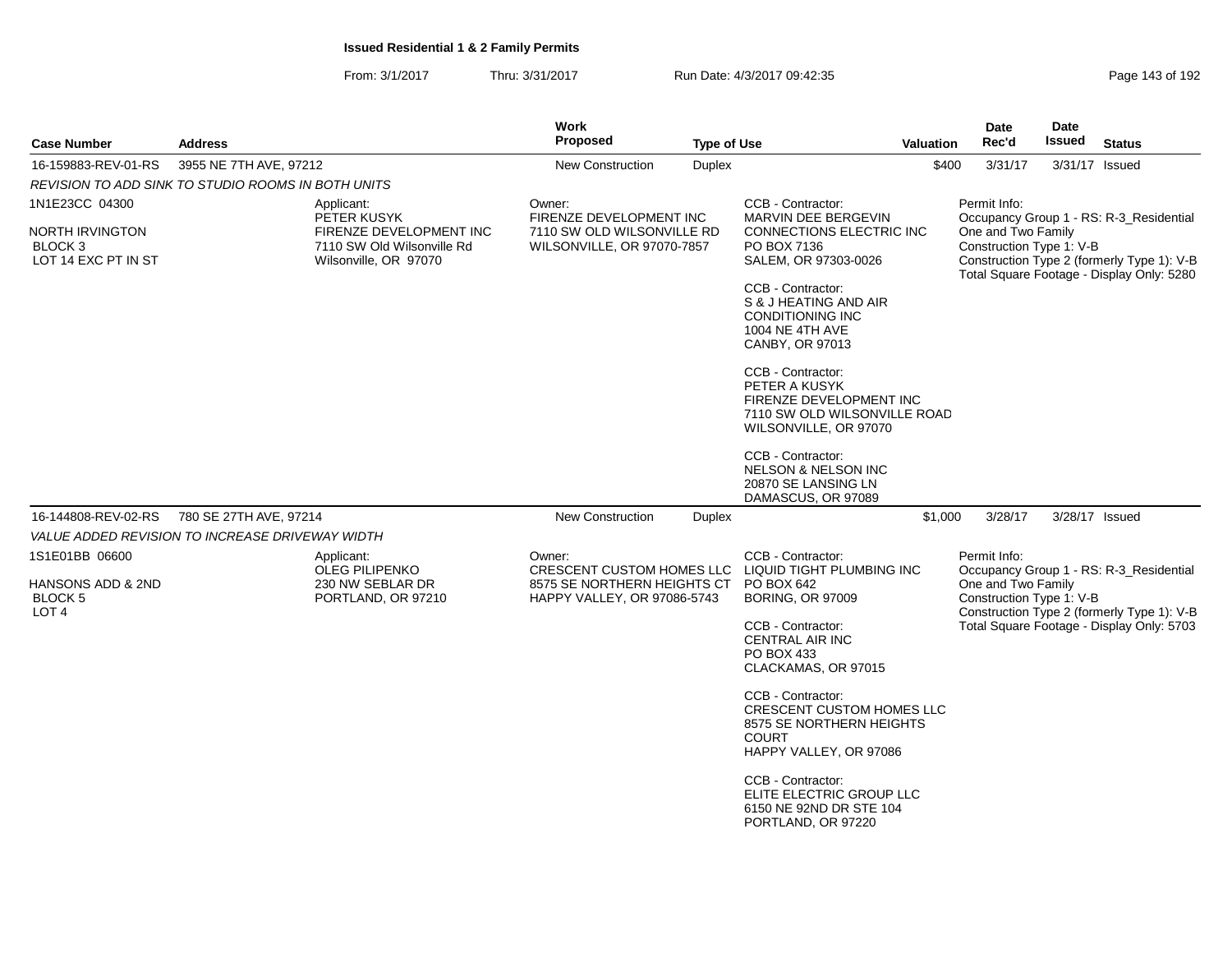| <b>Case Number</b>                                      | <b>Address</b>                                     |                                                                                | <b>Work</b><br><b>Proposed</b>                             | <b>Type of Use</b> |                                                                                                                             | <b>Valuation</b>                               | <b>Date</b><br>Rec'd                                                                                                                                                                                 | Date<br>Issued                             | <b>Status</b>  |  |
|---------------------------------------------------------|----------------------------------------------------|--------------------------------------------------------------------------------|------------------------------------------------------------|--------------------|-----------------------------------------------------------------------------------------------------------------------------|------------------------------------------------|------------------------------------------------------------------------------------------------------------------------------------------------------------------------------------------------------|--------------------------------------------|----------------|--|
| 16-159883-REV-01-RS                                     | 3955 NE 7TH AVE, 97212                             |                                                                                | <b>New Construction</b>                                    | <b>Duplex</b>      |                                                                                                                             | \$400                                          | 3/31/17                                                                                                                                                                                              |                                            | 3/31/17 Issued |  |
|                                                         | REVISION TO ADD SINK TO STUDIO ROOMS IN BOTH UNITS |                                                                                |                                                            |                    |                                                                                                                             |                                                |                                                                                                                                                                                                      |                                            |                |  |
| 1N1E23CC 04300                                          |                                                    | Applicant:<br>PETER KUSYK                                                      | Owner:<br>FIRENZE DEVELOPMENT INC                          |                    | CCB - Contractor:<br>MARVIN DEE BERGEVIN                                                                                    |                                                | Permit Info:<br>Occupancy Group 1 - RS: R-3_Residential<br>One and Two Family<br>Construction Type 1: V-B<br>Construction Type 2 (formerly Type 1): V-B<br>Total Square Footage - Display Only: 5280 |                                            |                |  |
| NORTH IRVINGTON<br>BLOCK 3<br>LOT 14 EXC PT IN ST       |                                                    | FIRENZE DEVELOPMENT INC<br>7110 SW Old Wilsonville Rd<br>Wilsonville, OR 97070 | 7110 SW OLD WILSONVILLE RD<br>WILSONVILLE, OR 97070-7857   |                    | CONNECTIONS ELECTRIC INC<br>PO BOX 7136<br>SALEM, OR 97303-0026                                                             |                                                |                                                                                                                                                                                                      |                                            |                |  |
|                                                         |                                                    |                                                                                |                                                            |                    | CCB - Contractor:<br>S & J HEATING AND AIR<br><b>CONDITIONING INC</b><br>1004 NE 4TH AVE<br>CANBY, OR 97013                 |                                                |                                                                                                                                                                                                      |                                            |                |  |
|                                                         |                                                    |                                                                                |                                                            |                    | CCB - Contractor:<br>PETER A KUSYK<br>FIRENZE DEVELOPMENT INC<br>7110 SW OLD WILSONVILLE ROAD<br>WILSONVILLE, OR 97070      |                                                |                                                                                                                                                                                                      |                                            |                |  |
|                                                         |                                                    |                                                                                |                                                            |                    | CCB - Contractor:<br><b>NELSON &amp; NELSON INC</b><br>20870 SE LANSING LN<br>DAMASCUS, OR 97089                            |                                                |                                                                                                                                                                                                      |                                            |                |  |
| 16-144808-REV-02-RS<br>780 SE 27TH AVE, 97214           |                                                    | <b>New Construction</b>                                                        | <b>Duplex</b>                                              |                    | \$1,000                                                                                                                     | 3/28/17                                        |                                                                                                                                                                                                      | 3/28/17 Issued                             |                |  |
|                                                         | VALUE ADDED REVISION TO INCREASE DRIVEWAY WIDTH    |                                                                                |                                                            |                    |                                                                                                                             |                                                |                                                                                                                                                                                                      |                                            |                |  |
| 1S1E01BB 06600                                          |                                                    | Applicant:<br><b>OLEG PILIPENKO</b><br>230 NW SEBLAR DR<br>PORTLAND, OR 97210  | Owner:                                                     |                    | CCB - Contractor:<br>CRESCENT CUSTOM HOMES LLC LIQUID TIGHT PLUMBING INC<br>PO BOX 642<br><b>BORING, OR 97009</b>           |                                                | Permit Info:<br>Occupancy Group 1 - RS: R-3_Residential                                                                                                                                              |                                            |                |  |
| HANSONS ADD & 2ND<br><b>BLOCK 5</b><br>LOT <sub>4</sub> |                                                    |                                                                                | 8575 SE NORTHERN HEIGHTS CT<br>HAPPY VALLEY, OR 97086-5743 |                    |                                                                                                                             | One and Two Family<br>Construction Type 1: V-B |                                                                                                                                                                                                      | Construction Type 2 (formerly Type 1): V-B |                |  |
|                                                         |                                                    |                                                                                |                                                            |                    | CCB - Contractor:<br><b>CENTRAL AIR INC</b><br>PO BOX 433<br>CLACKAMAS, OR 97015                                            |                                                |                                                                                                                                                                                                      | Total Square Footage - Display Only: 5703  |                |  |
|                                                         |                                                    |                                                                                |                                                            |                    | CCB - Contractor:<br><b>CRESCENT CUSTOM HOMES LLC</b><br>8575 SE NORTHERN HEIGHTS<br><b>COURT</b><br>HAPPY VALLEY, OR 97086 |                                                |                                                                                                                                                                                                      |                                            |                |  |
|                                                         |                                                    |                                                                                |                                                            |                    | CCB - Contractor:<br>ELITE ELECTRIC GROUP LLC<br>6150 NE 92ND DR STE 104<br>PORTLAND, OR 97220                              |                                                |                                                                                                                                                                                                      |                                            |                |  |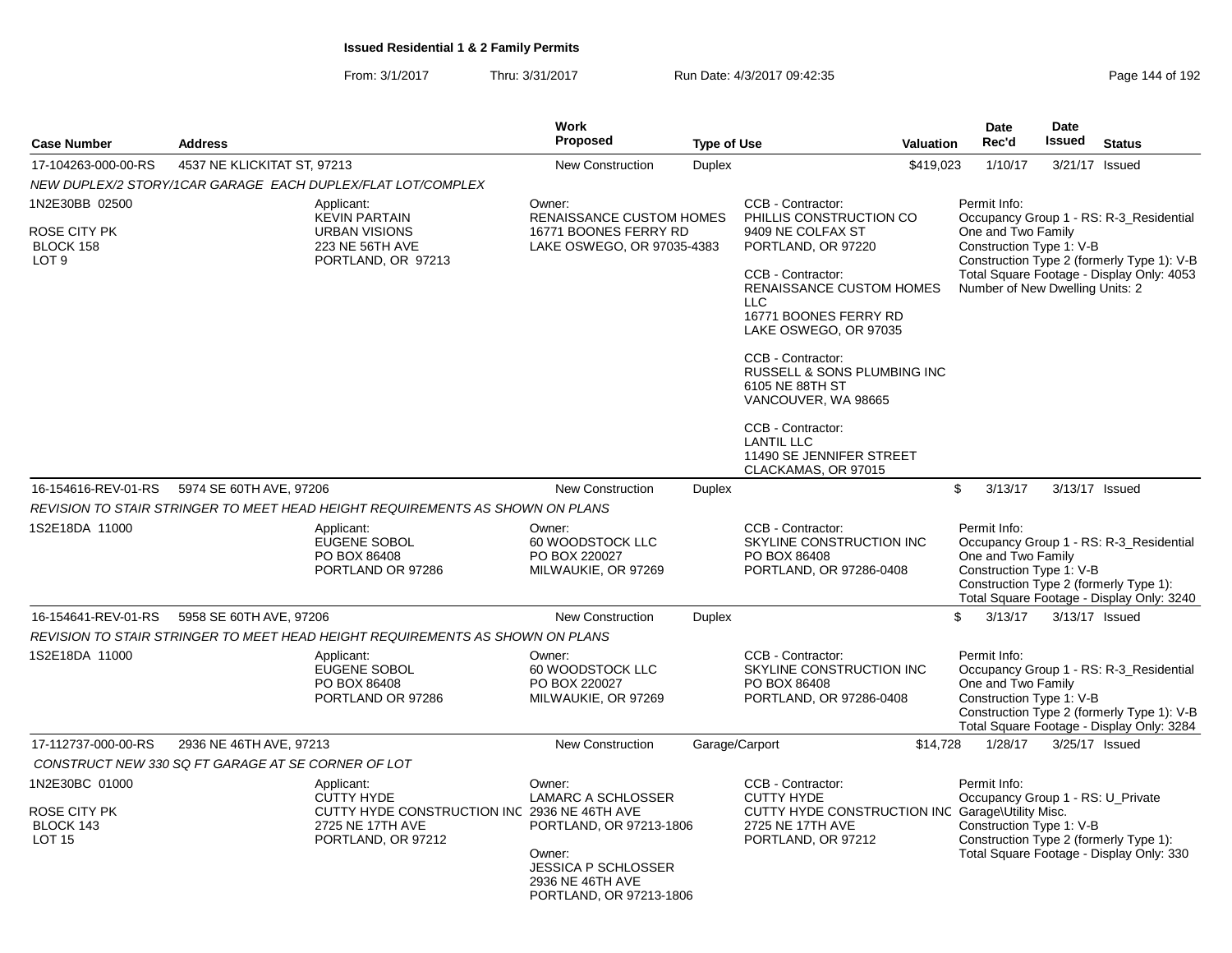From: 3/1/2017Thru: 3/31/2017 Run Date: 4/3/2017 09:42:35 Research 2010 192

| <b>Case Number</b>                                                     | <b>Address</b>                                                                                                            | <b>Work</b><br>Proposed                                                                                                                               |                    |                                                                                                                                                                                                                                                                                                                                                                                                                       | <b>Date</b><br>Rec'd                                                                                                    | <b>Date</b><br>Issued | <b>Status</b>                                                                                                                      |
|------------------------------------------------------------------------|---------------------------------------------------------------------------------------------------------------------------|-------------------------------------------------------------------------------------------------------------------------------------------------------|--------------------|-----------------------------------------------------------------------------------------------------------------------------------------------------------------------------------------------------------------------------------------------------------------------------------------------------------------------------------------------------------------------------------------------------------------------|-------------------------------------------------------------------------------------------------------------------------|-----------------------|------------------------------------------------------------------------------------------------------------------------------------|
|                                                                        |                                                                                                                           |                                                                                                                                                       | <b>Type of Use</b> | <b>Valuation</b>                                                                                                                                                                                                                                                                                                                                                                                                      |                                                                                                                         |                       |                                                                                                                                    |
| 17-104263-000-00-RS                                                    | 4537 NE KLICKITAT ST, 97213                                                                                               | <b>New Construction</b>                                                                                                                               | <b>Duplex</b>      | \$419,023                                                                                                                                                                                                                                                                                                                                                                                                             | 1/10/17                                                                                                                 | 3/21/17 Issued        |                                                                                                                                    |
|                                                                        | NEW DUPLEX/2 STORY/1CAR GARAGE EACH DUPLEX/FLAT LOT/COMPLEX                                                               |                                                                                                                                                       |                    |                                                                                                                                                                                                                                                                                                                                                                                                                       |                                                                                                                         |                       |                                                                                                                                    |
| 1N2E30BB 02500<br><b>ROSE CITY PK</b><br>BLOCK 158<br>LOT <sub>9</sub> | Applicant:<br><b>KEVIN PARTAIN</b><br><b>URBAN VISIONS</b><br>223 NE 56TH AVE<br>PORTLAND, OR 97213                       | Owner:<br><b>RENAISSANCE CUSTOM HOMES</b><br>16771 BOONES FERRY RD<br>LAKE OSWEGO, OR 97035-4383                                                      |                    | CCB - Contractor:<br>PHILLIS CONSTRUCTION CO<br>9409 NE COLFAX ST<br>PORTLAND, OR 97220<br>CCB - Contractor:<br><b>RENAISSANCE CUSTOM HOMES</b><br><b>LLC</b><br>16771 BOONES FERRY RD<br>LAKE OSWEGO, OR 97035<br>CCB - Contractor:<br><b>RUSSELL &amp; SONS PLUMBING INC</b><br>6105 NE 88TH ST<br>VANCOUVER, WA 98665<br>CCB - Contractor:<br><b>LANTIL LLC</b><br>11490 SE JENNIFER STREET<br>CLACKAMAS, OR 97015 | Permit Info:<br>One and Two Family<br>Construction Type 1: V-B<br>Number of New Dwelling Units: 2                       |                       | Occupancy Group 1 - RS: R-3_Residential<br>Construction Type 2 (formerly Type 1): V-B<br>Total Square Footage - Display Only: 4053 |
| 16-154616-REV-01-RS                                                    | 5974 SE 60TH AVE, 97206                                                                                                   | <b>New Construction</b>                                                                                                                               | <b>Duplex</b>      |                                                                                                                                                                                                                                                                                                                                                                                                                       | $\mathbb{S}$<br>3/13/17                                                                                                 | 3/13/17 Issued        |                                                                                                                                    |
|                                                                        | REVISION TO STAIR STRINGER TO MEET HEAD HEIGHT REQUIREMENTS AS SHOWN ON PLANS                                             |                                                                                                                                                       |                    |                                                                                                                                                                                                                                                                                                                                                                                                                       |                                                                                                                         |                       |                                                                                                                                    |
| 1S2E18DA 11000                                                         | Applicant:<br><b>EUGENE SOBOL</b><br>PO BOX 86408<br>PORTLAND OR 97286                                                    | Owner:<br>60 WOODSTOCK LLC<br>PO BOX 220027<br>MILWAUKIE, OR 97269                                                                                    |                    | CCB - Contractor:<br>SKYLINE CONSTRUCTION INC<br>PO BOX 86408<br>PORTLAND, OR 97286-0408                                                                                                                                                                                                                                                                                                                              | Permit Info:<br>One and Two Family<br>Construction Type 1: V-B<br>Construction Type 2 (formerly Type 1):                |                       | Occupancy Group 1 - RS: R-3_Residential<br>Total Square Footage - Display Only: 3240                                               |
| 16-154641-REV-01-RS                                                    | <b>New Construction</b>                                                                                                   | <b>Duplex</b>                                                                                                                                         |                    | \$<br>3/13/17                                                                                                                                                                                                                                                                                                                                                                                                         | 3/13/17 Issued                                                                                                          |                       |                                                                                                                                    |
|                                                                        | REVISION TO STAIR STRINGER TO MEET HEAD HEIGHT REQUIREMENTS AS SHOWN ON PLANS                                             |                                                                                                                                                       |                    |                                                                                                                                                                                                                                                                                                                                                                                                                       |                                                                                                                         |                       |                                                                                                                                    |
| 1S2E18DA 11000                                                         | Applicant:<br><b>EUGENE SOBOL</b><br>PO BOX 86408<br>PORTLAND OR 97286                                                    | Owner:<br>60 WOODSTOCK LLC<br>PO BOX 220027<br>MILWAUKIE, OR 97269                                                                                    |                    | CCB - Contractor:<br>SKYLINE CONSTRUCTION INC<br>PO BOX 86408<br>PORTLAND, OR 97286-0408                                                                                                                                                                                                                                                                                                                              | Permit Info:<br>One and Two Family<br>Construction Type 1: V-B                                                          |                       | Occupancy Group 1 - RS: R-3_Residential<br>Construction Type 2 (formerly Type 1): V-B<br>Total Square Footage - Display Only: 3284 |
| 17-112737-000-00-RS                                                    | 2936 NE 46TH AVE, 97213                                                                                                   | New Construction                                                                                                                                      |                    | Garage/Carport<br>\$14,728                                                                                                                                                                                                                                                                                                                                                                                            | 1/28/17                                                                                                                 | 3/25/17 Issued        |                                                                                                                                    |
|                                                                        | CONSTRUCT NEW 330 SQ FT GARAGE AT SE CORNER OF LOT                                                                        |                                                                                                                                                       |                    |                                                                                                                                                                                                                                                                                                                                                                                                                       |                                                                                                                         |                       |                                                                                                                                    |
| 1N2E30BC 01000<br>ROSE CITY PK<br>BLOCK 143<br><b>LOT 15</b>           | Applicant:<br><b>CUTTY HYDE</b><br>CUTTY HYDE CONSTRUCTION INC 2936 NE 46TH AVE<br>2725 NE 17TH AVE<br>PORTLAND, OR 97212 | Owner:<br><b>LAMARC A SCHLOSSER</b><br>PORTLAND, OR 97213-1806<br>Owner:<br><b>JESSICA P SCHLOSSER</b><br>2936 NE 46TH AVE<br>PORTLAND, OR 97213-1806 |                    | CCB - Contractor:<br><b>CUTTY HYDE</b><br>CUTTY HYDE CONSTRUCTION INC Garage\Utility Misc.<br>2725 NE 17TH AVE<br>PORTLAND, OR 97212                                                                                                                                                                                                                                                                                  | Permit Info:<br>Occupancy Group 1 - RS: U_Private<br>Construction Type 1: V-B<br>Construction Type 2 (formerly Type 1): |                       | Total Square Footage - Display Only: 330                                                                                           |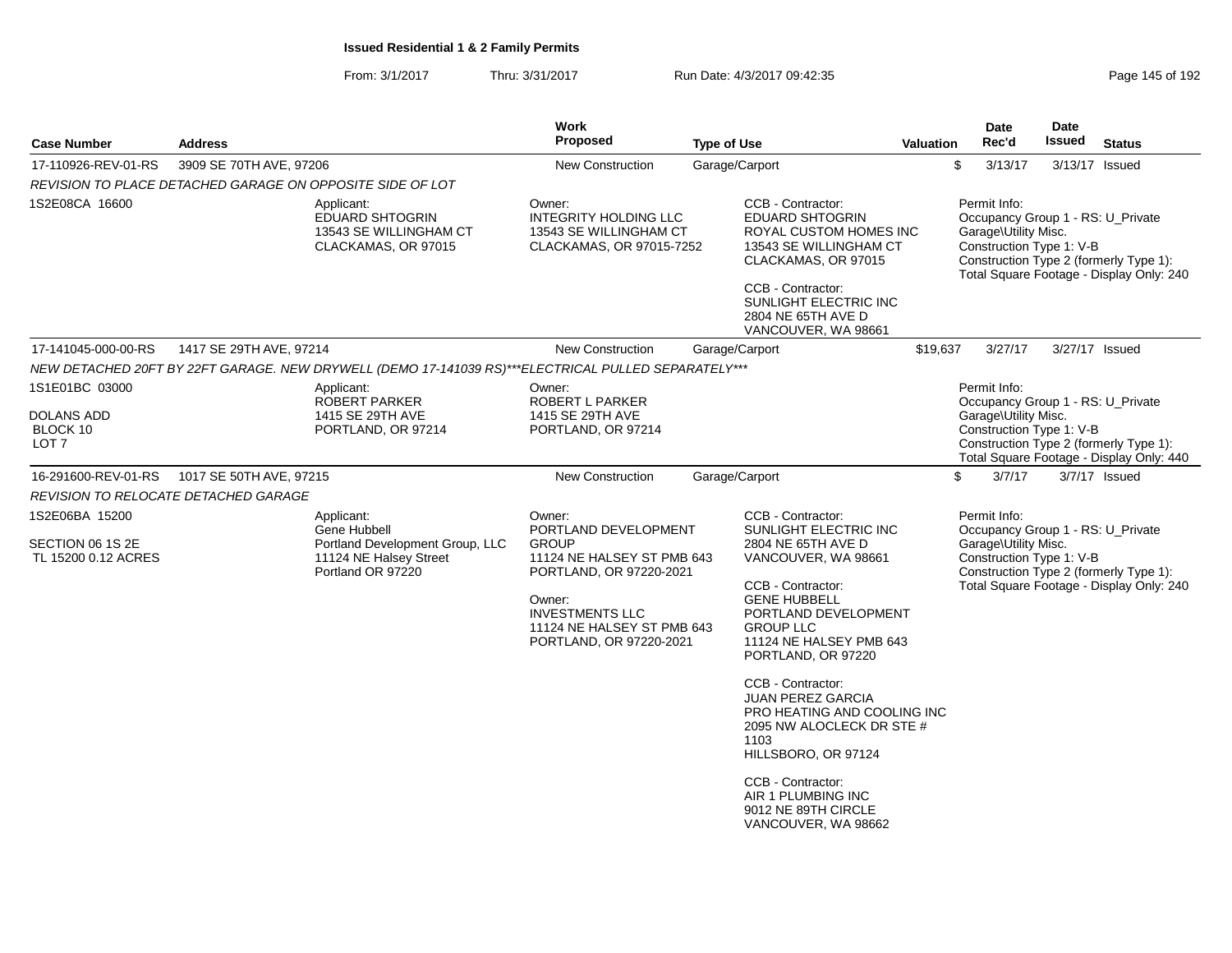| <b>Case Number</b>                                        | <b>Address</b>                                            |                                                                                                              | <b>Work</b><br>Proposed                                                                                                                                                                              | <b>Type of Use</b> |                                                                                                                                                                                                                                  | <b>Valuation</b> | <b>Date</b><br>Rec'd                 | Date<br><b>Issued</b>    | <b>Status</b>                                                                                                           |
|-----------------------------------------------------------|-----------------------------------------------------------|--------------------------------------------------------------------------------------------------------------|------------------------------------------------------------------------------------------------------------------------------------------------------------------------------------------------------|--------------------|----------------------------------------------------------------------------------------------------------------------------------------------------------------------------------------------------------------------------------|------------------|--------------------------------------|--------------------------|-------------------------------------------------------------------------------------------------------------------------|
| 17-110926-REV-01-RS                                       | 3909 SE 70TH AVE, 97206                                   |                                                                                                              | New Construction                                                                                                                                                                                     | Garage/Carport     |                                                                                                                                                                                                                                  |                  | \$<br>3/13/17                        | 3/13/17 Issued           |                                                                                                                         |
|                                                           | REVISION TO PLACE DETACHED GARAGE ON OPPOSITE SIDE OF LOT |                                                                                                              |                                                                                                                                                                                                      |                    |                                                                                                                                                                                                                                  |                  |                                      |                          |                                                                                                                         |
| 1S2E08CA 16600                                            |                                                           | Applicant:<br><b>EDUARD SHTOGRIN</b><br>13543 SE WILLINGHAM CT<br>CLACKAMAS, OR 97015                        | Owner:<br><b>INTEGRITY HOLDING LLC</b><br>13543 SE WILLINGHAM CT<br>CLACKAMAS, OR 97015-7252                                                                                                         |                    | CCB - Contractor:<br><b>EDUARD SHTOGRIN</b><br>ROYAL CUSTOM HOMES INC<br>13543 SE WILLINGHAM CT<br>CLACKAMAS, OR 97015<br>CCB - Contractor:<br>SUNLIGHT ELECTRIC INC<br>2804 NE 65TH AVE D<br>VANCOUVER, WA 98661                |                  | Permit Info:<br>Garage\Utility Misc. | Construction Type 1: V-B | Occupancy Group 1 - RS: U_Private<br>Construction Type 2 (formerly Type 1):<br>Total Square Footage - Display Only: 240 |
| 17-141045-000-00-RS                                       | 1417 SE 29TH AVE, 97214                                   |                                                                                                              | New Construction                                                                                                                                                                                     | Garage/Carport     |                                                                                                                                                                                                                                  | \$19,637         | 3/27/17                              | 3/27/17 Issued           |                                                                                                                         |
|                                                           |                                                           | NEW DETACHED 20FT BY 22FT GARAGE. NEW DRYWELL (DEMO 17-141039 RS)***ELECTRICAL PULLED SEPARATELY***          |                                                                                                                                                                                                      |                    |                                                                                                                                                                                                                                  |                  |                                      |                          |                                                                                                                         |
| 1S1E01BC 03000                                            |                                                           | Applicant:<br>ROBERT PARKER                                                                                  | Owner:<br>ROBERT L PARKER                                                                                                                                                                            |                    |                                                                                                                                                                                                                                  |                  | Permit Info:                         |                          | Occupancy Group 1 - RS: U Private                                                                                       |
| <b>DOLANS ADD</b><br>BLOCK 10<br>LOT <sub>7</sub>         |                                                           | 1415 SE 29TH AVE<br>PORTLAND, OR 97214                                                                       | 1415 SE 29TH AVE<br>PORTLAND, OR 97214                                                                                                                                                               |                    |                                                                                                                                                                                                                                  |                  | Garage\Utility Misc.                 | Construction Type 1: V-B | Construction Type 2 (formerly Type 1):<br>Total Square Footage - Display Only: 440                                      |
| 16-291600-REV-01-RS                                       | 1017 SE 50TH AVE, 97215                                   |                                                                                                              | New Construction                                                                                                                                                                                     | Garage/Carport     |                                                                                                                                                                                                                                  |                  | \$<br>3/7/17                         |                          | 3/7/17 Issued                                                                                                           |
|                                                           | REVISION TO RELOCATE DETACHED GARAGE                      |                                                                                                              |                                                                                                                                                                                                      |                    |                                                                                                                                                                                                                                  |                  |                                      |                          |                                                                                                                         |
| 1S2E06BA 15200<br>SECTION 06 1S 2E<br>TL 15200 0.12 ACRES |                                                           | Applicant:<br>Gene Hubbell<br>Portland Development Group, LLC<br>11124 NE Halsey Street<br>Portland OR 97220 | Owner:<br>PORTLAND DEVELOPMENT<br><b>GROUP</b><br>11124 NE HALSEY ST PMB 643<br>PORTLAND, OR 97220-2021<br>Owner:<br><b>INVESTMENTS LLC</b><br>11124 NE HALSEY ST PMB 643<br>PORTLAND, OR 97220-2021 |                    | CCB - Contractor:<br>SUNLIGHT ELECTRIC INC<br>2804 NE 65TH AVE D<br>VANCOUVER, WA 98661<br>CCB - Contractor:<br><b>GENE HUBBELL</b><br>PORTLAND DEVELOPMENT<br><b>GROUP LLC</b><br>11124 NE HALSEY PMB 643<br>PORTLAND, OR 97220 |                  | Permit Info:<br>Garage\Utility Misc. | Construction Type 1: V-B | Occupancy Group 1 - RS: U_Private<br>Construction Type 2 (formerly Type 1):<br>Total Square Footage - Display Only: 240 |
|                                                           |                                                           |                                                                                                              |                                                                                                                                                                                                      | 1103               | CCB - Contractor:<br><b>JUAN PEREZ GARCIA</b><br>PRO HEATING AND COOLING INC<br>2095 NW ALOCLECK DR STE #<br>HILLSBORO, OR 97124<br>CCB - Contractor:<br>AIR 1 PLUMBING INC<br>9012 NE 89TH CIRCLE<br>VANCOUVER, WA 98662        |                  |                                      |                          |                                                                                                                         |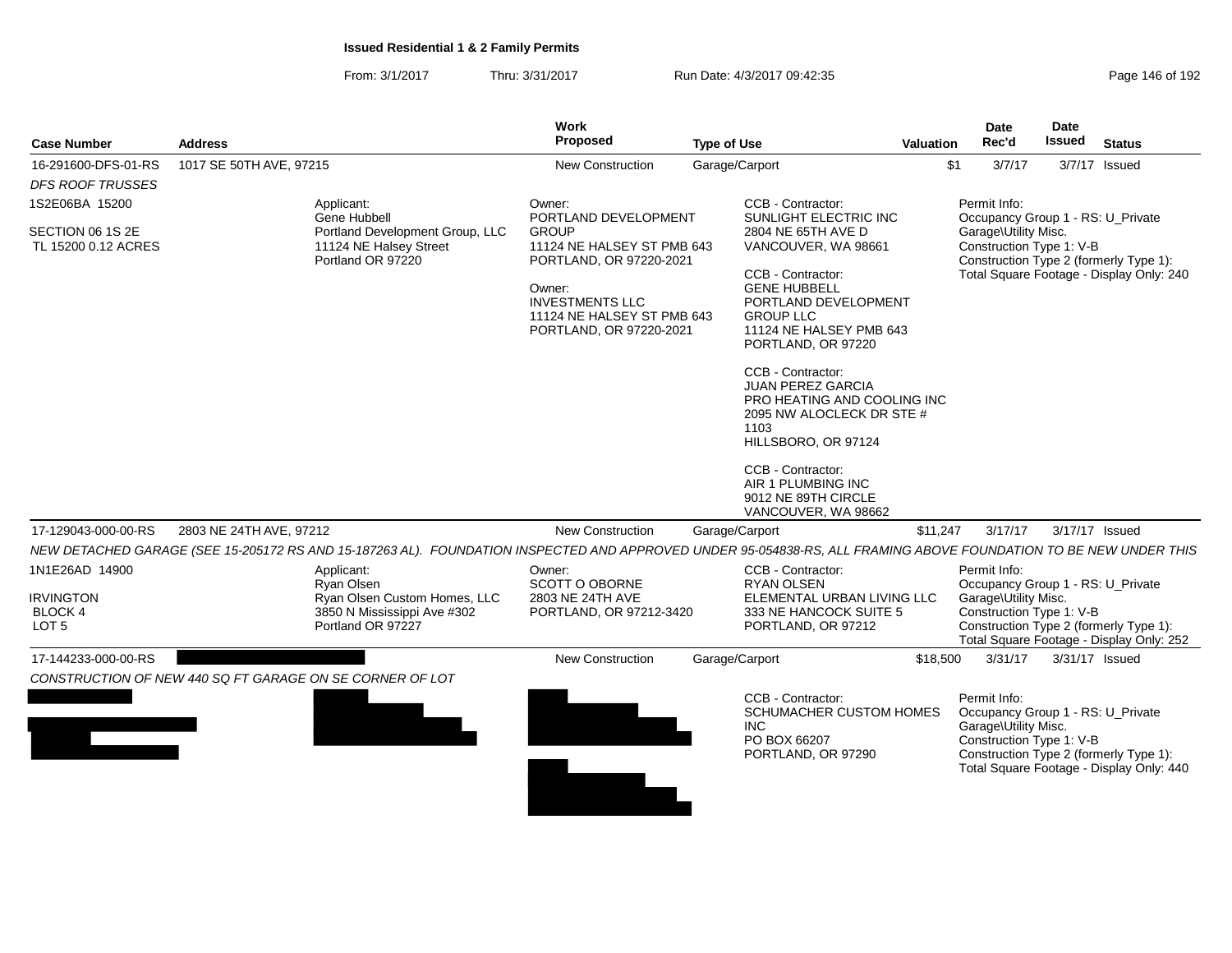From: 3/1/2017Thru: 3/31/2017 Run Date: 4/3/2017 09:42:35 Research 2010 192

| <b>Case Number</b>                                     | <b>Address</b>                                                                                                                                                   | <b>Work</b><br>Proposed                                                                                                                                            | <b>Type of Use</b>                                                                                                                                                                                                                                                                                                                                                                               | <b>Valuation</b> | <b>Date</b><br>Rec'd                                                                                  | Date<br><b>Issued</b> | <b>Status</b>                                                                      |
|--------------------------------------------------------|------------------------------------------------------------------------------------------------------------------------------------------------------------------|--------------------------------------------------------------------------------------------------------------------------------------------------------------------|--------------------------------------------------------------------------------------------------------------------------------------------------------------------------------------------------------------------------------------------------------------------------------------------------------------------------------------------------------------------------------------------------|------------------|-------------------------------------------------------------------------------------------------------|-----------------------|------------------------------------------------------------------------------------|
| 16-291600-DFS-01-RS                                    | 1017 SE 50TH AVE, 97215                                                                                                                                          | <b>New Construction</b>                                                                                                                                            | Garage/Carport                                                                                                                                                                                                                                                                                                                                                                                   | \$1              | 3/7/17                                                                                                |                       | 3/7/17 Issued                                                                      |
| <b>DFS ROOF TRUSSES</b>                                |                                                                                                                                                                  |                                                                                                                                                                    |                                                                                                                                                                                                                                                                                                                                                                                                  |                  |                                                                                                       |                       |                                                                                    |
| 1S2E06BA 15200                                         | Applicant:<br>Gene Hubbell                                                                                                                                       | Owner:<br>PORTLAND DEVELOPMENT                                                                                                                                     | CCB - Contractor:<br>SUNLIGHT ELECTRIC INC                                                                                                                                                                                                                                                                                                                                                       |                  | Permit Info:<br>Occupancy Group 1 - RS: U_Private                                                     |                       |                                                                                    |
| SECTION 06 1S 2E<br>TL 15200 0.12 ACRES                | Portland Development Group, LLC<br>11124 NE Halsey Street<br>Portland OR 97220                                                                                   | <b>GROUP</b><br>11124 NE HALSEY ST PMB 643<br>PORTLAND, OR 97220-2021<br>Owner:<br><b>INVESTMENTS LLC</b><br>11124 NE HALSEY ST PMB 643<br>PORTLAND, OR 97220-2021 | 2804 NE 65TH AVE D<br>VANCOUVER, WA 98661<br>CCB - Contractor:<br><b>GENE HUBBELL</b><br>PORTLAND DEVELOPMENT<br><b>GROUP LLC</b><br>11124 NE HALSEY PMB 643<br>PORTLAND, OR 97220<br>CCB - Contractor:<br><b>JUAN PEREZ GARCIA</b><br>PRO HEATING AND COOLING INC<br>2095 NW ALOCLECK DR STE #<br>1103<br>HILLSBORO, OR 97124<br>CCB - Contractor:<br>AIR 1 PLUMBING INC<br>9012 NE 89TH CIRCLE |                  | Garage\Utility Misc.<br>Construction Type 1: V-B                                                      |                       | Construction Type 2 (formerly Type 1):<br>Total Square Footage - Display Only: 240 |
|                                                        |                                                                                                                                                                  |                                                                                                                                                                    | VANCOUVER, WA 98662                                                                                                                                                                                                                                                                                                                                                                              |                  |                                                                                                       |                       |                                                                                    |
| 17-129043-000-00-RS                                    | 2803 NE 24TH AVE, 97212                                                                                                                                          | <b>New Construction</b>                                                                                                                                            | Garage/Carport                                                                                                                                                                                                                                                                                                                                                                                   | \$11,247         | 3/17/17                                                                                               |                       | 3/17/17 Issued                                                                     |
|                                                        | NEW DETACHED GARAGE (SEE 15-205172 RS AND 15-187263 AL). FOUNDATION INSPECTED AND APPROVED UNDER 95-054838-RS, ALL FRAMING ABOVE FOUNDATION TO BE NEW UNDER THIS |                                                                                                                                                                    |                                                                                                                                                                                                                                                                                                                                                                                                  |                  |                                                                                                       |                       |                                                                                    |
| 1N1E26AD 14900                                         | Applicant:<br>Ryan Olsen                                                                                                                                         | Owner:<br>SCOTT O OBORNE                                                                                                                                           | CCB - Contractor:<br><b>RYAN OLSEN</b>                                                                                                                                                                                                                                                                                                                                                           |                  | Permit Info:<br>Occupancy Group 1 - RS: U_Private                                                     |                       |                                                                                    |
| <b>IRVINGTON</b><br><b>BLOCK 4</b><br>LOT <sub>5</sub> | Ryan Olsen Custom Homes, LLC<br>3850 N Mississippi Ave #302<br>Portland OR 97227                                                                                 | 2803 NE 24TH AVE<br>PORTLAND, OR 97212-3420                                                                                                                        | ELEMENTAL URBAN LIVING LLC<br>333 NE HANCOCK SUITE 5<br>PORTLAND, OR 97212                                                                                                                                                                                                                                                                                                                       |                  | Garage\Utility Misc.<br>Construction Type 1: V-B                                                      |                       | Construction Type 2 (formerly Type 1):<br>Total Square Footage - Display Only: 252 |
| 17-144233-000-00-RS                                    |                                                                                                                                                                  | New Construction                                                                                                                                                   | Garage/Carport                                                                                                                                                                                                                                                                                                                                                                                   | \$18,500         | 3/31/17                                                                                               |                       | 3/31/17 Issued                                                                     |
|                                                        | CONSTRUCTION OF NEW 440 SQ FT GARAGE ON SE CORNER OF LOT                                                                                                         |                                                                                                                                                                    |                                                                                                                                                                                                                                                                                                                                                                                                  |                  |                                                                                                       |                       |                                                                                    |
|                                                        |                                                                                                                                                                  |                                                                                                                                                                    | CCB - Contractor:<br><b>SCHUMACHER CUSTOM HOMES</b><br><b>INC</b><br>PO BOX 66207<br>PORTLAND, OR 97290                                                                                                                                                                                                                                                                                          |                  | Permit Info:<br>Occupancy Group 1 - RS: U_Private<br>Garage\Utility Misc.<br>Construction Type 1: V-B |                       | Construction Type 2 (formerly Type 1):<br>Total Square Footage - Display Only: 440 |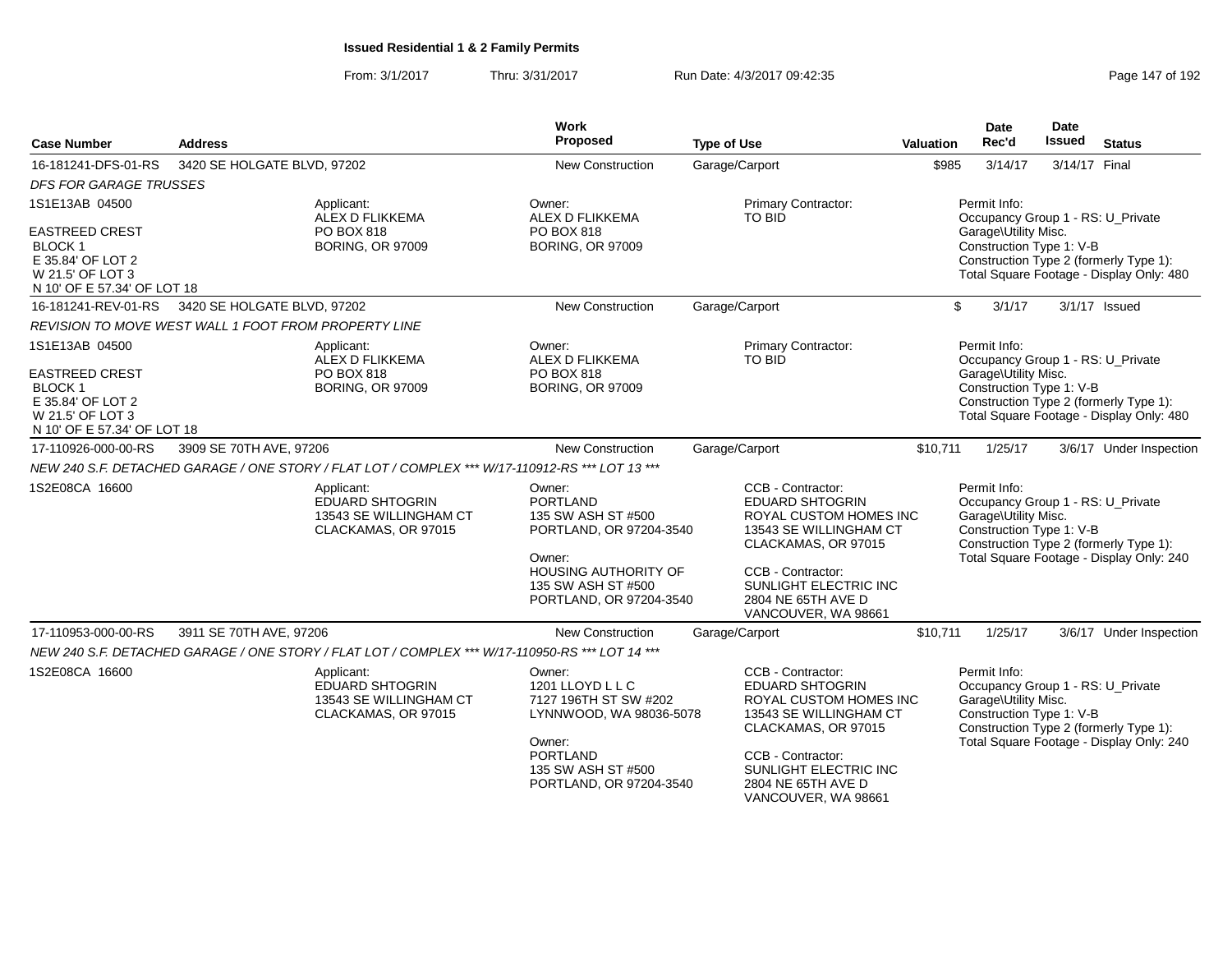From: 3/1/2017Thru: 3/31/2017 Run Date: 4/3/2017 09:42:35 Research 2010 192

| <b>Case Number</b>                                                                                                                | <b>Address</b>                                                                                                                              |                                                                                       | <b>Work</b><br>Proposed                                                                                                                                              | <b>Type of Use</b> |                                                                                                                                                                                                                   | Valuation                                                                                                                                                                                   | <b>Date</b><br>Rec'd                                                                                  | Date<br>Issued | <b>Status</b>                                                                      |
|-----------------------------------------------------------------------------------------------------------------------------------|---------------------------------------------------------------------------------------------------------------------------------------------|---------------------------------------------------------------------------------------|----------------------------------------------------------------------------------------------------------------------------------------------------------------------|--------------------|-------------------------------------------------------------------------------------------------------------------------------------------------------------------------------------------------------------------|---------------------------------------------------------------------------------------------------------------------------------------------------------------------------------------------|-------------------------------------------------------------------------------------------------------|----------------|------------------------------------------------------------------------------------|
| 16-181241-DFS-01-RS                                                                                                               | 3420 SE HOLGATE BLVD, 97202                                                                                                                 |                                                                                       | New Construction                                                                                                                                                     | Garage/Carport     |                                                                                                                                                                                                                   | \$985                                                                                                                                                                                       | 3/14/17                                                                                               | 3/14/17 Final  |                                                                                    |
| <b>DFS FOR GARAGE TRUSSES</b>                                                                                                     |                                                                                                                                             |                                                                                       |                                                                                                                                                                      |                    |                                                                                                                                                                                                                   |                                                                                                                                                                                             |                                                                                                       |                |                                                                                    |
| 1S1E13AB 04500<br><b>EASTREED CREST</b><br>BLOCK 1<br>E 35.84' OF LOT 2<br>W 21.5' OF LOT 3                                       | Applicant:<br>ALEX D FLIKKEMA<br><b>PO BOX 818</b><br><b>BORING, OR 97009</b><br>N 10' OF E 57.34' OF LOT 18<br>3420 SE HOLGATE BLVD, 97202 |                                                                                       | Owner:<br>ALEX D FLIKKEMA<br>TO BID<br>PO BOX 818<br><b>BORING, OR 97009</b>                                                                                         |                    | <b>Primary Contractor:</b>                                                                                                                                                                                        | Permit Info:<br>Occupancy Group 1 - RS: U_Private<br>Garage\Utility Misc.<br>Construction Type 1: V-B<br>Construction Type 2 (formerly Type 1):<br>Total Square Footage - Display Only: 480 |                                                                                                       |                |                                                                                    |
| 16-181241-REV-01-RS                                                                                                               |                                                                                                                                             |                                                                                       | New Construction                                                                                                                                                     | Garage/Carport     |                                                                                                                                                                                                                   | \$                                                                                                                                                                                          | 3/1/17                                                                                                |                | 3/1/17 Issued                                                                      |
|                                                                                                                                   | <b>REVISION TO MOVE WEST WALL 1 FOOT FROM PROPERTY LINE</b>                                                                                 |                                                                                       |                                                                                                                                                                      |                    |                                                                                                                                                                                                                   |                                                                                                                                                                                             |                                                                                                       |                |                                                                                    |
| 1S1E13AB 04500<br><b>EASTREED CREST</b><br><b>BLOCK 1</b><br>E 35.84' OF LOT 2<br>W 21.5' OF LOT 3<br>N 10' OF E 57.34' OF LOT 18 |                                                                                                                                             | Applicant:<br>ALEX D FLIKKEMA<br><b>PO BOX 818</b><br><b>BORING, OR 97009</b>         | Owner:<br>ALEX D FLIKKEMA<br><b>PO BOX 818</b><br><b>BORING, OR 97009</b>                                                                                            |                    | Primary Contractor:<br><b>TO BID</b>                                                                                                                                                                              |                                                                                                                                                                                             | Permit Info:<br>Occupancy Group 1 - RS: U Private<br>Garage\Utility Misc.<br>Construction Type 1: V-B |                | Construction Type 2 (formerly Type 1):<br>Total Square Footage - Display Only: 480 |
| 17-110926-000-00-RS                                                                                                               | 3909 SE 70TH AVE, 97206                                                                                                                     |                                                                                       | New Construction                                                                                                                                                     | Garage/Carport     |                                                                                                                                                                                                                   | \$10,711                                                                                                                                                                                    | 1/25/17                                                                                               |                | 3/6/17 Under Inspection                                                            |
|                                                                                                                                   | NEW 240 S.F. DETACHED GARAGE / ONE STORY / FLAT LOT / COMPLEX *** W/17-110912-RS *** LOT 13 ***                                             |                                                                                       |                                                                                                                                                                      |                    |                                                                                                                                                                                                                   |                                                                                                                                                                                             |                                                                                                       |                |                                                                                    |
| 1S2E08CA 16600                                                                                                                    |                                                                                                                                             | Applicant:<br><b>EDUARD SHTOGRIN</b><br>13543 SE WILLINGHAM CT<br>CLACKAMAS, OR 97015 | Owner:<br><b>PORTLAND</b><br>135 SW ASH ST #500<br>PORTLAND, OR 97204-3540<br>Owner:<br><b>HOUSING AUTHORITY OF</b><br>135 SW ASH ST #500<br>PORTLAND, OR 97204-3540 |                    | CCB - Contractor:<br><b>EDUARD SHTOGRIN</b><br>ROYAL CUSTOM HOMES INC<br>13543 SE WILLINGHAM CT<br>CLACKAMAS, OR 97015<br>CCB - Contractor:<br>SUNLIGHT ELECTRIC INC<br>2804 NE 65TH AVE D<br>VANCOUVER, WA 98661 |                                                                                                                                                                                             | Permit Info:<br>Occupancy Group 1 - RS: U_Private<br>Garage\Utility Misc.<br>Construction Type 1: V-B |                | Construction Type 2 (formerly Type 1):<br>Total Square Footage - Display Only: 240 |
| 17-110953-000-00-RS                                                                                                               | 3911 SE 70TH AVE, 97206                                                                                                                     |                                                                                       | <b>New Construction</b>                                                                                                                                              | Garage/Carport     |                                                                                                                                                                                                                   | \$10,711                                                                                                                                                                                    | 1/25/17                                                                                               |                | 3/6/17 Under Inspection                                                            |
|                                                                                                                                   | NEW 240 S.F. DETACHED GARAGE / ONE STORY / FLAT LOT / COMPLEX *** W/17-110950-RS *** LOT 14 ***                                             |                                                                                       |                                                                                                                                                                      |                    |                                                                                                                                                                                                                   |                                                                                                                                                                                             |                                                                                                       |                |                                                                                    |
| 1S2E08CA 16600                                                                                                                    |                                                                                                                                             | Applicant:<br><b>EDUARD SHTOGRIN</b><br>13543 SE WILLINGHAM CT<br>CLACKAMAS, OR 97015 | Owner:<br>1201 LLOYD L L C<br>7127 196TH ST SW #202<br>LYNNWOOD, WA 98036-5078<br>Owner:<br><b>PORTLAND</b><br>135 SW ASH ST #500<br>PORTLAND, OR 97204-3540         |                    | CCB - Contractor:<br><b>EDUARD SHTOGRIN</b><br>ROYAL CUSTOM HOMES INC<br>13543 SE WILLINGHAM CT<br>CLACKAMAS, OR 97015<br>CCB - Contractor:<br>SUNLIGHT ELECTRIC INC<br>2804 NE 65TH AVE D<br>VANCOUVER, WA 98661 |                                                                                                                                                                                             | Permit Info:<br>Occupancy Group 1 - RS: U_Private<br>Garage\Utility Misc.<br>Construction Type 1: V-B |                | Construction Type 2 (formerly Type 1):<br>Total Square Footage - Display Only: 240 |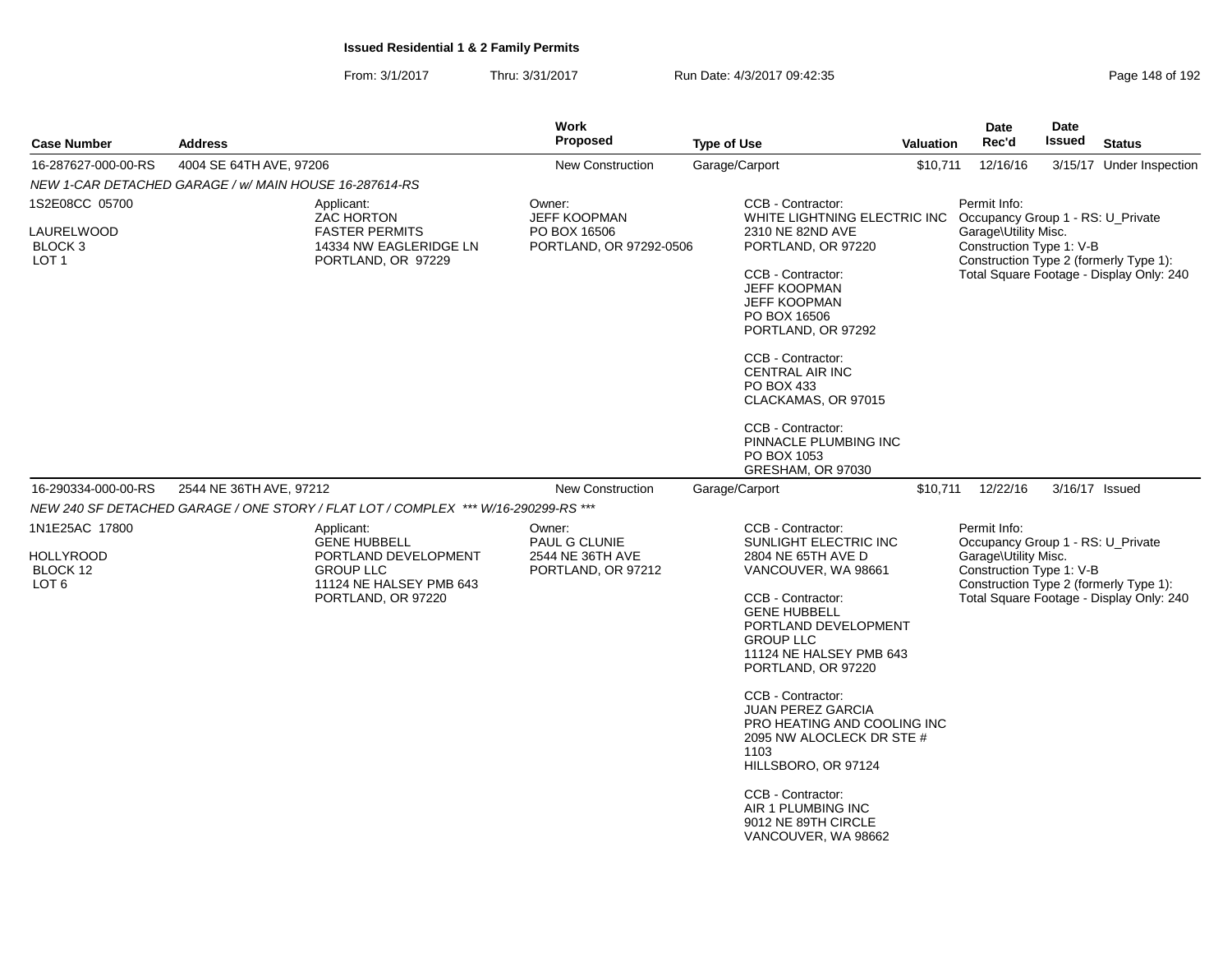| <b>Case Number</b>                               | <b>Address</b>                                                        |                                                                                                                  | <b>Work</b><br>Proposed                                 | <b>Type of Use</b>                                                                                                                                                                                                                                                                               |                                                                                                                                                                                                                                                                                                                                                                                                                                                  | Valuation | Date<br>Rec'd                                                                         | Date<br><b>Issued</b> | <b>Status</b>                                                                      |
|--------------------------------------------------|-----------------------------------------------------------------------|------------------------------------------------------------------------------------------------------------------|---------------------------------------------------------|--------------------------------------------------------------------------------------------------------------------------------------------------------------------------------------------------------------------------------------------------------------------------------------------------|--------------------------------------------------------------------------------------------------------------------------------------------------------------------------------------------------------------------------------------------------------------------------------------------------------------------------------------------------------------------------------------------------------------------------------------------------|-----------|---------------------------------------------------------------------------------------|-----------------------|------------------------------------------------------------------------------------|
| 16-287627-000-00-RS                              | 4004 SE 64TH AVE, 97206                                               |                                                                                                                  | <b>New Construction</b>                                 | Garage/Carport                                                                                                                                                                                                                                                                                   |                                                                                                                                                                                                                                                                                                                                                                                                                                                  | \$10,711  | 12/16/16                                                                              |                       | 3/15/17 Under Inspection                                                           |
|                                                  | NEW 1-CAR DETACHED GARAGE / w/ MAIN HOUSE 16-287614-RS                |                                                                                                                  |                                                         |                                                                                                                                                                                                                                                                                                  |                                                                                                                                                                                                                                                                                                                                                                                                                                                  |           |                                                                                       |                       |                                                                                    |
| 1S2E08CC 05700                                   |                                                                       | Applicant:<br><b>ZAC HORTON</b>                                                                                  | Owner:<br><b>JEFF KOOPMAN</b>                           |                                                                                                                                                                                                                                                                                                  | CCB - Contractor:<br>WHITE LIGHTNING ELECTRIC INC                                                                                                                                                                                                                                                                                                                                                                                                |           | Permit Info:<br>Occupancy Group 1 - RS: U_Private                                     |                       |                                                                                    |
| LAURELWOOD<br>BLOCK 3<br>LOT <sub>1</sub>        | <b>FASTER PERMITS</b><br>14334 NW EAGLERIDGE LN<br>PORTLAND, OR 97229 |                                                                                                                  | PO BOX 16506<br>PORTLAND, OR 97292-0506                 | 2310 NE 82ND AVE<br>PORTLAND, OR 97220<br>CCB - Contractor:<br><b>JEFF KOOPMAN</b><br><b>JEFF KOOPMAN</b><br>PO BOX 16506<br>PORTLAND, OR 97292<br>CCB - Contractor:<br><b>CENTRAL AIR INC</b><br>PO BOX 433<br>CLACKAMAS, OR 97015<br>CCB - Contractor:<br>PINNACLE PLUMBING INC<br>PO BOX 1053 |                                                                                                                                                                                                                                                                                                                                                                                                                                                  |           | Garage\Utility Misc.<br>Construction Type 1: V-B                                      |                       | Construction Type 2 (formerly Type 1):<br>Total Square Footage - Display Only: 240 |
| 16-290334-000-00-RS                              | 2544 NE 36TH AVE, 97212                                               |                                                                                                                  | <b>New Construction</b>                                 | Garage/Carport                                                                                                                                                                                                                                                                                   | GRESHAM, OR 97030                                                                                                                                                                                                                                                                                                                                                                                                                                |           | \$10,711 12/22/16                                                                     |                       | 3/16/17 Issued                                                                     |
|                                                  |                                                                       | NEW 240 SF DETACHED GARAGE / ONE STORY / FLAT LOT / COMPLEX *** W/16-290299-RS ***                               |                                                         |                                                                                                                                                                                                                                                                                                  |                                                                                                                                                                                                                                                                                                                                                                                                                                                  |           |                                                                                       |                       |                                                                                    |
| 1N1E25AC 17800                                   |                                                                       | Applicant:                                                                                                       | Owner:                                                  |                                                                                                                                                                                                                                                                                                  | CCB - Contractor:                                                                                                                                                                                                                                                                                                                                                                                                                                |           | Permit Info:                                                                          |                       |                                                                                    |
| <b>HOLLYROOD</b><br>BLOCK 12<br>LOT <sub>6</sub> |                                                                       | <b>GENE HUBBELL</b><br>PORTLAND DEVELOPMENT<br><b>GROUP LLC</b><br>11124 NE HALSEY PMB 643<br>PORTLAND, OR 97220 | PAUL G CLUNIE<br>2544 NE 36TH AVE<br>PORTLAND, OR 97212 |                                                                                                                                                                                                                                                                                                  | SUNLIGHT ELECTRIC INC<br>2804 NE 65TH AVE D<br>VANCOUVER, WA 98661<br>CCB - Contractor:<br><b>GENE HUBBELL</b><br>PORTLAND DEVELOPMENT<br><b>GROUP LLC</b><br>11124 NE HALSEY PMB 643<br>PORTLAND, OR 97220<br>CCB - Contractor:<br><b>JUAN PEREZ GARCIA</b><br>PRO HEATING AND COOLING INC<br>2095 NW ALOCLECK DR STE #<br>1103<br>HILLSBORO, OR 97124<br>CCB - Contractor:<br>AIR 1 PLUMBING INC<br>9012 NE 89TH CIRCLE<br>VANCOUVER, WA 98662 |           | Occupancy Group 1 - RS: U_Private<br>Garage\Utility Misc.<br>Construction Type 1: V-B |                       | Construction Type 2 (formerly Type 1):<br>Total Square Footage - Display Only: 240 |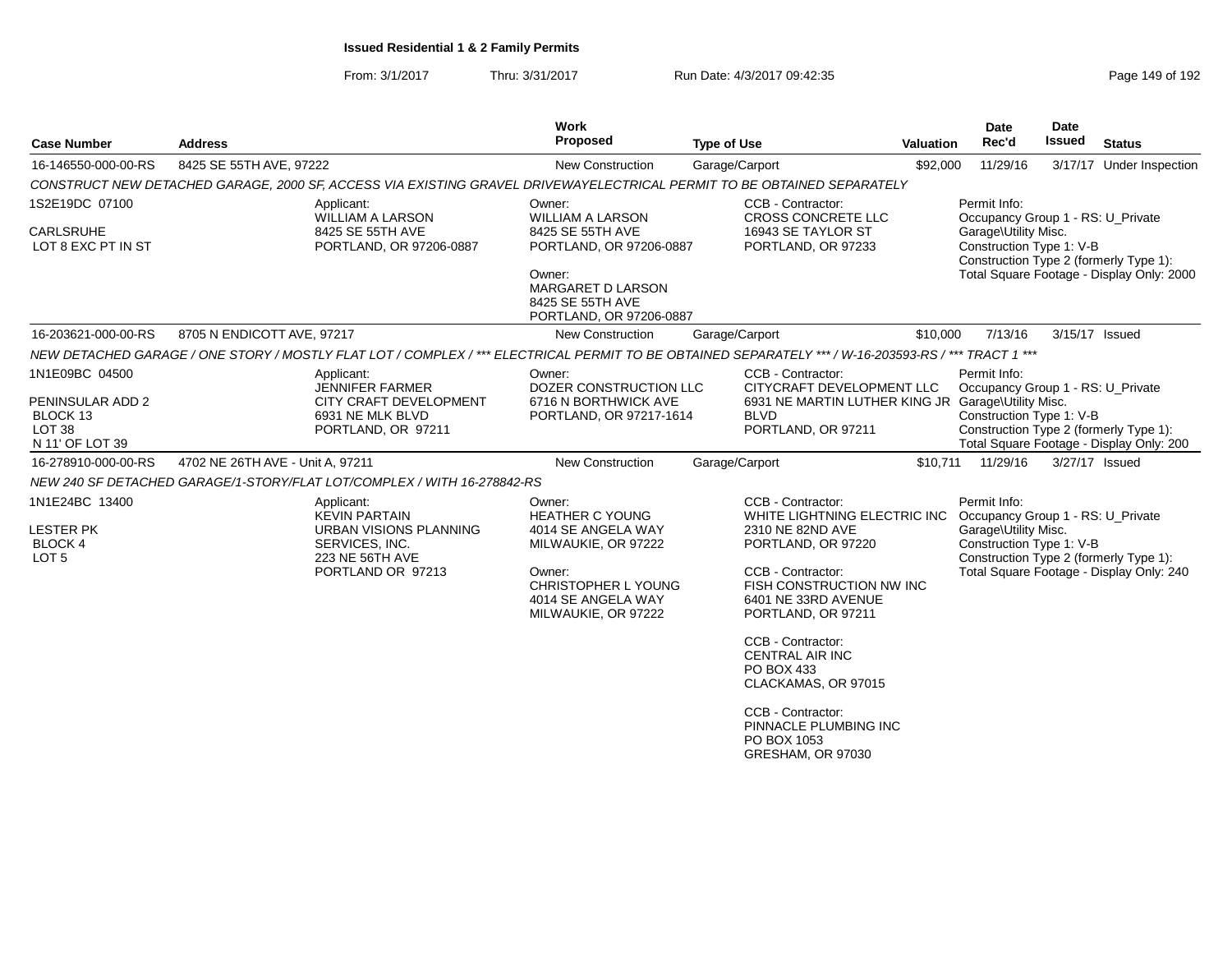| <b>Case Number</b>                                                  | <b>Address</b>                                                                                                                                       | Work<br>Proposed                                                                                                                                         | <b>Type of Use</b>                                                                                                                                                                                                                                       | <b>Valuation</b> | <b>Date</b><br>Rec'd                                                                                                                            | Date<br><b>Issued</b> | <b>Status</b>                             |
|---------------------------------------------------------------------|------------------------------------------------------------------------------------------------------------------------------------------------------|----------------------------------------------------------------------------------------------------------------------------------------------------------|----------------------------------------------------------------------------------------------------------------------------------------------------------------------------------------------------------------------------------------------------------|------------------|-------------------------------------------------------------------------------------------------------------------------------------------------|-----------------------|-------------------------------------------|
| 16-146550-000-00-RS                                                 | 8425 SE 55TH AVE, 97222                                                                                                                              | New Construction                                                                                                                                         | Garage/Carport                                                                                                                                                                                                                                           | \$92,000         | 11/29/16                                                                                                                                        |                       | 3/17/17 Under Inspection                  |
|                                                                     | CONSTRUCT NEW DETACHED GARAGE, 2000 SF, ACCESS VIA EXISTING GRAVEL DRIVEWAYELECTRICAL PERMIT TO BE OBTAINED SEPARATELY                               |                                                                                                                                                          |                                                                                                                                                                                                                                                          |                  |                                                                                                                                                 |                       |                                           |
| 1S2E19DC 07100<br>CARLSRUHE<br>LOT 8 EXC PT IN ST                   | Applicant:<br><b>WILLIAM A LARSON</b><br>8425 SE 55TH AVE<br>PORTLAND, OR 97206-0887                                                                 | Owner:<br><b>WILLIAM A LARSON</b><br>8425 SE 55TH AVE<br>PORTLAND, OR 97206-0887                                                                         | CCB - Contractor:<br><b>CROSS CONCRETE LLC</b><br>16943 SE TAYLOR ST<br>PORTLAND, OR 97233                                                                                                                                                               |                  | Permit Info:<br>Occupancy Group 1 - RS: U_Private<br>Garage\Utility Misc.<br>Construction Type 1: V-B<br>Construction Type 2 (formerly Type 1): |                       |                                           |
|                                                                     |                                                                                                                                                      | Owner:<br>MARGARET D LARSON<br>8425 SE 55TH AVE<br>PORTLAND, OR 97206-0887                                                                               |                                                                                                                                                                                                                                                          |                  |                                                                                                                                                 |                       | Total Square Footage - Display Only: 2000 |
| 16-203621-000-00-RS                                                 | 8705 N ENDICOTT AVE, 97217                                                                                                                           | New Construction                                                                                                                                         | Garage/Carport                                                                                                                                                                                                                                           | \$10,000         | 7/13/16                                                                                                                                         | 3/15/17 Issued        |                                           |
|                                                                     | NEW DETACHED GARAGE / ONE STORY / MOSTLY FLAT LOT / COMPLEX / *** ELECTRICAL PERMIT TO BE OBTAINED SEPARATELY *** / W-16-203593-RS / *** TRACT 1 *** |                                                                                                                                                          |                                                                                                                                                                                                                                                          |                  |                                                                                                                                                 |                       |                                           |
| 1N1E09BC 04500<br>PENINSULAR ADD 2<br>BLOCK 13<br>LOT <sub>38</sub> | Applicant:<br><b>JENNIFER FARMER</b><br>CITY CRAFT DEVELOPMENT<br>6931 NE MLK BLVD<br>PORTLAND, OR 97211                                             | Owner:<br>DOZER CONSTRUCTION LLC<br>6716 N BORTHWICK AVE<br>PORTLAND, OR 97217-1614                                                                      | CCB - Contractor:<br>CITYCRAFT DEVELOPMENT LLC<br>6931 NE MARTIN LUTHER KING JR Garage\Utility Misc.<br><b>BLVD</b><br>PORTLAND, OR 97211                                                                                                                |                  | Permit Info:<br>Occupancy Group 1 - RS: U Private<br>Construction Type 1: V-B<br>Construction Type 2 (formerly Type 1):                         |                       |                                           |
| N 11' OF LOT 39                                                     |                                                                                                                                                      |                                                                                                                                                          |                                                                                                                                                                                                                                                          |                  |                                                                                                                                                 |                       | Total Square Footage - Display Only: 200  |
| 16-278910-000-00-RS                                                 | 4702 NE 26TH AVE - Unit A, 97211                                                                                                                     | New Construction                                                                                                                                         | Garage/Carport                                                                                                                                                                                                                                           | \$10,711         | 11/29/16                                                                                                                                        | 3/27/17 Issued        |                                           |
| 1N1E24BC 13400                                                      | NEW 240 SF DETACHED GARAGE/1-STORY/FLAT LOT/COMPLEX / WITH 16-278842-RS<br>Applicant:                                                                | Owner:                                                                                                                                                   | CCB - Contractor:                                                                                                                                                                                                                                        |                  | Permit Info:                                                                                                                                    |                       |                                           |
| <b>LESTER PK</b><br><b>BLOCK 4</b><br>LOT <sub>5</sub>              | <b>KEVIN PARTAIN</b><br><b>URBAN VISIONS PLANNING</b><br>SERVICES, INC.<br>223 NE 56TH AVE<br>PORTLAND OR 97213                                      | <b>HEATHER C YOUNG</b><br>4014 SE ANGELA WAY<br>MILWAUKIE, OR 97222<br>Owner:<br><b>CHRISTOPHER L YOUNG</b><br>4014 SE ANGELA WAY<br>MILWAUKIE, OR 97222 | WHITE LIGHTNING ELECTRIC INC<br>2310 NE 82ND AVE<br>PORTLAND, OR 97220<br>CCB - Contractor:<br>FISH CONSTRUCTION NW INC<br>6401 NE 33RD AVENUE<br>PORTLAND, OR 97211<br>CCB - Contractor:<br><b>CENTRAL AIR INC</b><br>PO BOX 433<br>CLACKAMAS, OR 97015 |                  | Occupancy Group 1 - RS: U_Private<br>Garage\Utility Misc.<br>Construction Type 1: V-B<br>Construction Type 2 (formerly Type 1):                 |                       | Total Square Footage - Display Only: 240  |
|                                                                     |                                                                                                                                                      |                                                                                                                                                          | CCB - Contractor:<br>PINNACLE PLUMBING INC<br>PO BOX 1053<br>GRESHAM, OR 97030                                                                                                                                                                           |                  |                                                                                                                                                 |                       |                                           |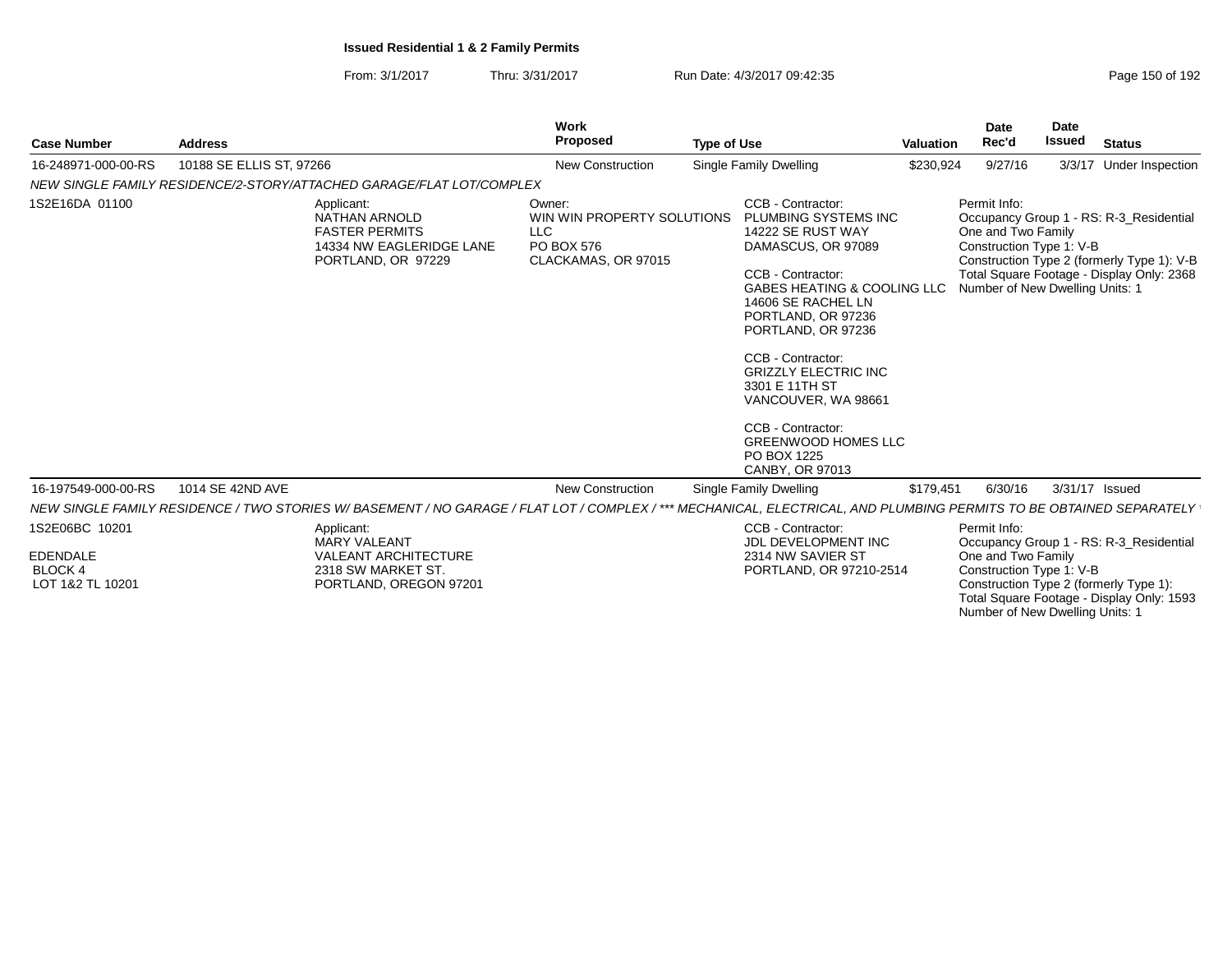PORTLAND, OREGON 97201

1S2E16DA 01100

LOT 1&2 TL 10201

From: 3/1/2017Thru: 3/31/2017 Run Date: 4/3/2017 09:42:35 Page 150 of 192

| <b>Case Number</b>  | <b>Address</b>                                                                                         | Work<br><b>Proposed</b>                                                           | <b>Type of Use</b> |                                                                                                                                                                                                            | Valuation | Date<br>Rec'd                                                                                     | Date<br>Issued | Status                                                                                                                             |
|---------------------|--------------------------------------------------------------------------------------------------------|-----------------------------------------------------------------------------------|--------------------|------------------------------------------------------------------------------------------------------------------------------------------------------------------------------------------------------------|-----------|---------------------------------------------------------------------------------------------------|----------------|------------------------------------------------------------------------------------------------------------------------------------|
| 16-248971-000-00-RS | 10188 SE ELLIS ST, 97266                                                                               | <b>New Construction</b>                                                           |                    | Single Family Dwelling                                                                                                                                                                                     | \$230,924 | 9/27/16                                                                                           |                | 3/3/17 Under Inspection                                                                                                            |
|                     | NEW SINGLE FAMILY RESIDENCE/2-STORY/ATTACHED GARAGE/FLAT LOT/COMPLEX                                   |                                                                                   |                    |                                                                                                                                                                                                            |           |                                                                                                   |                |                                                                                                                                    |
| 1S2E16DA 01100      | Applicant:<br>NATHAN ARNOLD<br><b>FASTER PERMITS</b><br>14334 NW EAGLERIDGE LANE<br>PORTLAND, OR 97229 | Owner:<br>WIN WIN PROPERTY SOLUTIONS<br>LLC.<br>PO BOX 576<br>CLACKAMAS, OR 97015 |                    | CCB - Contractor:<br>PLUMBING SYSTEMS INC<br>14222 SE RUST WAY<br>DAMASCUS, OR 97089<br>CCB - Contractor:<br>GABES HEATING & COOLING LLC<br>14606 SE RACHEL LN<br>PORTLAND, OR 97236<br>PORTLAND, OR 97236 |           | Permit Info:<br>One and Two Family<br>Construction Type 1: V-B<br>Number of New Dwelling Units: 1 |                | Occupancy Group 1 - RS: R-3 Residential<br>Construction Type 2 (formerly Type 1): V-B<br>Total Square Footage - Display Only: 2368 |
|                     |                                                                                                        |                                                                                   |                    | CCB - Contractor:                                                                                                                                                                                          |           |                                                                                                   |                |                                                                                                                                    |

 GRIZZLY ELECTRIC INC3301 E 11TH STVANCOUVER, WA 98661

CCB - Contractor: GREENWOOD HOMES LLCPO BOX 1225CANBY, OR 97013

NEW SINGLE FAMILY RESIDENCE / TWO STORIES W/ BASEMENT / NO GARAGE / FLAT LOT / COMPLEX / \*\*\* MECHANICAL, ELECTRICAL, AND PLUMBING PERMITS TO BE OBTAINED SEPARATELY 16-197549-000-00-RS1S2E06BC 10201EDENDALE BLOCK 4Applicant: MARY VALEANT VALEANT ARCHITECTURE2318 SW MARKET ST.CCB - Contractor: JDL DEVELOPMENT INC2314 NW SAVIER ST PORTLAND, OR 97210-2514Permit Info: Occupancy Group 1 - RS: R-3\_ResidentialOne and Two Family1014 SE 42ND AVENew Construction Single Family Dwelling  $$179,451$  6/30/16 3/31/17 Issued

 Construction Type 1: V-B Construction Type 2 (formerly Type 1): Total Square Footage - Display Only: 1593Number of New Dwelling Units: 1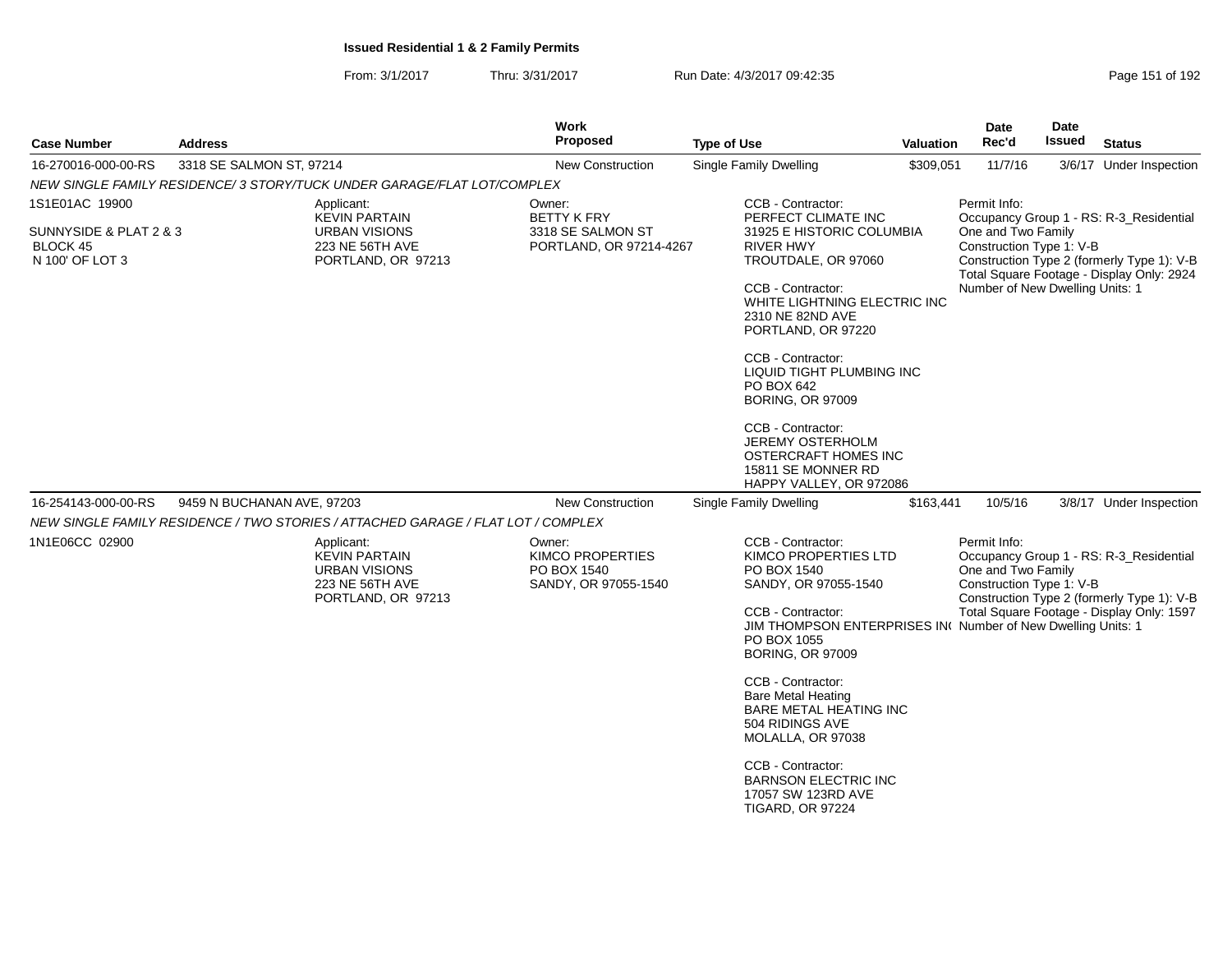| <b>Address</b>         |                                                                                       | <b>Work</b><br><b>Proposed</b>                                                               | <b>Type of Use</b>                                                                                                                                                                                                     |                                                                        | <b>Date</b><br>Rec'd                                                                                                                                                                                                                                                                                                                                          | <b>Date</b><br>Issued                                                 | <b>Status</b>                                                                                                                                                                                                                                                                                                                                                                                                                                                                   |
|------------------------|---------------------------------------------------------------------------------------|----------------------------------------------------------------------------------------------|------------------------------------------------------------------------------------------------------------------------------------------------------------------------------------------------------------------------|------------------------------------------------------------------------|---------------------------------------------------------------------------------------------------------------------------------------------------------------------------------------------------------------------------------------------------------------------------------------------------------------------------------------------------------------|-----------------------------------------------------------------------|---------------------------------------------------------------------------------------------------------------------------------------------------------------------------------------------------------------------------------------------------------------------------------------------------------------------------------------------------------------------------------------------------------------------------------------------------------------------------------|
|                        |                                                                                       | <b>New Construction</b>                                                                      | Single Family Dwelling                                                                                                                                                                                                 |                                                                        | 11/7/16                                                                                                                                                                                                                                                                                                                                                       |                                                                       | 3/6/17 Under Inspection                                                                                                                                                                                                                                                                                                                                                                                                                                                         |
|                        |                                                                                       |                                                                                              |                                                                                                                                                                                                                        |                                                                        |                                                                                                                                                                                                                                                                                                                                                               |                                                                       |                                                                                                                                                                                                                                                                                                                                                                                                                                                                                 |
|                        | Applicant:                                                                            | Owner:                                                                                       | CCB - Contractor:                                                                                                                                                                                                      |                                                                        | Permit Info:                                                                                                                                                                                                                                                                                                                                                  |                                                                       |                                                                                                                                                                                                                                                                                                                                                                                                                                                                                 |
| SUNNYSIDE & PLAT 2 & 3 | <b>URBAN VISIONS</b><br>223 NE 56TH AVE<br>PORTLAND, OR 97213                         | 3318 SE SALMON ST                                                                            | <b>RIVER HWY</b><br>CCB - Contractor:<br>2310 NE 82ND AVE<br>CCB - Contractor:<br>PO BOX 642<br>BORING, OR 97009<br>CCB - Contractor:                                                                                  |                                                                        |                                                                                                                                                                                                                                                                                                                                                               |                                                                       |                                                                                                                                                                                                                                                                                                                                                                                                                                                                                 |
|                        |                                                                                       |                                                                                              |                                                                                                                                                                                                                        |                                                                        |                                                                                                                                                                                                                                                                                                                                                               |                                                                       |                                                                                                                                                                                                                                                                                                                                                                                                                                                                                 |
|                        |                                                                                       |                                                                                              |                                                                                                                                                                                                                        |                                                                        |                                                                                                                                                                                                                                                                                                                                                               |                                                                       | 3/8/17 Under Inspection                                                                                                                                                                                                                                                                                                                                                                                                                                                         |
|                        |                                                                                       |                                                                                              |                                                                                                                                                                                                                        |                                                                        |                                                                                                                                                                                                                                                                                                                                                               |                                                                       |                                                                                                                                                                                                                                                                                                                                                                                                                                                                                 |
|                        | <b>KEVIN PARTAIN</b><br><b>URBAN VISIONS</b><br>223 NE 56TH AVE<br>PORTLAND, OR 97213 | <b>KIMCO PROPERTIES</b><br>PO BOX 1540<br>SANDY, OR 97055-1540                               | PO BOX 1540<br>CCB - Contractor:<br>PO BOX 1055<br><b>BORING, OR 97009</b><br>CCB - Contractor:<br><b>Bare Metal Heating</b><br>504 RIDINGS AVE<br>MOLALLA, OR 97038                                                   |                                                                        |                                                                                                                                                                                                                                                                                                                                                               |                                                                       |                                                                                                                                                                                                                                                                                                                                                                                                                                                                                 |
|                        |                                                                                       | 3318 SE SALMON ST, 97214<br><b>KEVIN PARTAIN</b><br>9459 N BUCHANAN AVE, 97203<br>Applicant: | NEW SINGLE FAMILY RESIDENCE/ 3 STORY/TUCK UNDER GARAGE/FLAT LOT/COMPLEX<br><b>BETTY K FRY</b><br><b>New Construction</b><br>NEW SINGLE FAMILY RESIDENCE / TWO STORIES / ATTACHED GARAGE / FLAT LOT / COMPLEX<br>Owner: | PORTLAND, OR 97214-4267<br>Single Family Dwelling<br>CCB - Contractor: | PERFECT CLIMATE INC<br>31925 E HISTORIC COLUMBIA<br>TROUTDALE, OR 97060<br>WHITE LIGHTNING ELECTRIC INC<br>PORTLAND, OR 97220<br>LIQUID TIGHT PLUMBING INC<br><b>JEREMY OSTERHOLM</b><br>OSTERCRAFT HOMES INC<br>15811 SE MONNER RD<br>HAPPY VALLEY, OR 972086<br>KIMCO PROPERTIES LTD<br>SANDY, OR 97055-1540<br>BARE METAL HEATING INC<br>CCB - Contractor: | <b>Valuation</b><br>\$309,051<br>10/5/16<br>\$163,441<br>Permit Info: | Occupancy Group 1 - RS: R-3 Residential<br>One and Two Family<br>Construction Type 1: V-B<br>Construction Type 2 (formerly Type 1): V-B<br>Total Square Footage - Display Only: 2924<br>Number of New Dwelling Units: 1<br>Occupancy Group 1 - RS: R-3_Residential<br>One and Two Family<br>Construction Type 1: V-B<br>Construction Type 2 (formerly Type 1): V-B<br>Total Square Footage - Display Only: 1597<br>JIM THOMPSON ENTERPRISES IN( Number of New Dwelling Units: 1 |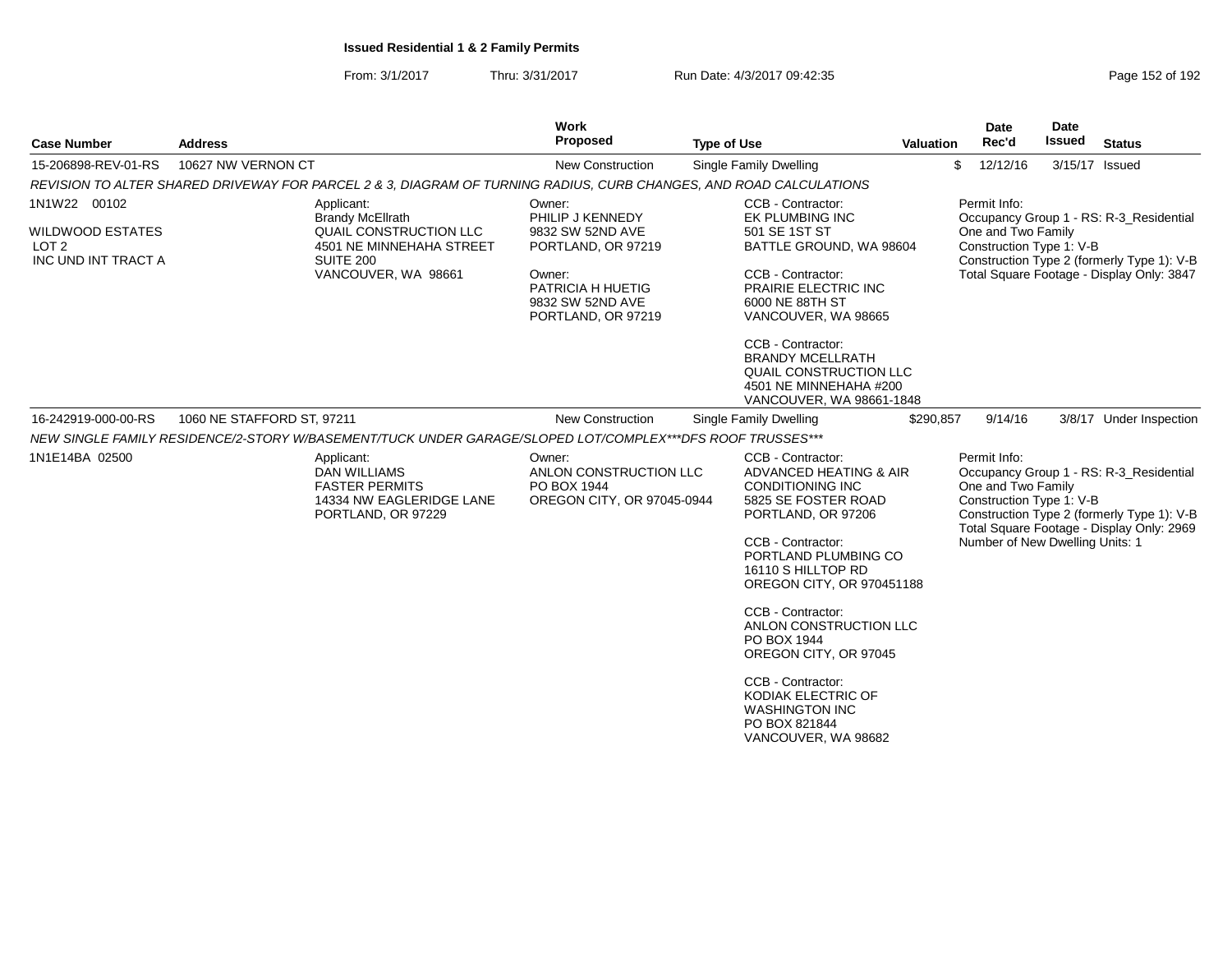| <b>Case Number</b>                                                                 | <b>Address</b>                                                                                                                         | Work<br>Proposed                                                                                                                              | <b>Type of Use</b>                                                                                                                                                                                                                                                                                                                                                                                                            | <b>Valuation</b> | <b>Date</b><br>Rec'd                                                                              | <b>Date</b><br><b>Issued</b> | <b>Status</b>                                                                                                                      |
|------------------------------------------------------------------------------------|----------------------------------------------------------------------------------------------------------------------------------------|-----------------------------------------------------------------------------------------------------------------------------------------------|-------------------------------------------------------------------------------------------------------------------------------------------------------------------------------------------------------------------------------------------------------------------------------------------------------------------------------------------------------------------------------------------------------------------------------|------------------|---------------------------------------------------------------------------------------------------|------------------------------|------------------------------------------------------------------------------------------------------------------------------------|
| 15-206898-REV-01-RS                                                                | 10627 NW VERNON CT                                                                                                                     | New Construction                                                                                                                              | Single Family Dwelling                                                                                                                                                                                                                                                                                                                                                                                                        | \$               | 12/12/16                                                                                          |                              | 3/15/17 Issued                                                                                                                     |
|                                                                                    | REVISION TO ALTER SHARED DRIVEWAY FOR PARCEL 2 & 3, DIAGRAM OF TURNING RADIUS, CURB CHANGES, AND ROAD CALCULATIONS                     |                                                                                                                                               |                                                                                                                                                                                                                                                                                                                                                                                                                               |                  |                                                                                                   |                              |                                                                                                                                    |
| 1N1W22 00102<br><b>WILDWOOD ESTATES</b><br>LOT <sub>2</sub><br>INC UND INT TRACT A | Applicant:<br><b>Brandy McEllrath</b><br>QUAIL CONSTRUCTION LLC<br>4501 NE MINNEHAHA STREET<br><b>SUITE 200</b><br>VANCOUVER, WA 98661 | Owner:<br>PHILIP J KENNEDY<br>9832 SW 52ND AVE<br>PORTLAND, OR 97219<br>Owner:<br>PATRICIA H HUETIG<br>9832 SW 52ND AVE<br>PORTLAND, OR 97219 | CCB - Contractor:<br><b>EK PLUMBING INC</b><br>501 SE 1ST ST<br>BATTLE GROUND, WA 98604<br>CCB - Contractor:<br>PRAIRIE ELECTRIC INC<br>6000 NE 88TH ST<br>VANCOUVER, WA 98665<br>CCB - Contractor:<br><b>BRANDY MCELLRATH</b><br>QUAIL CONSTRUCTION LLC<br>4501 NE MINNEHAHA #200<br>VANCOUVER, WA 98661-1848                                                                                                                |                  | Permit Info:<br>One and Two Family<br>Construction Type 1: V-B                                    |                              | Occupancy Group 1 - RS: R-3 Residential<br>Construction Type 2 (formerly Type 1): V-B<br>Total Square Footage - Display Only: 3847 |
| 16-242919-000-00-RS                                                                | 1060 NE STAFFORD ST, 97211                                                                                                             | New Construction                                                                                                                              | Single Family Dwelling                                                                                                                                                                                                                                                                                                                                                                                                        | \$290,857        | 9/14/16                                                                                           |                              | 3/8/17 Under Inspection                                                                                                            |
|                                                                                    | NEW SINGLE FAMILY RESIDENCE/2-STORY W/BASEMENT/TUCK UNDER GARAGE/SLOPED LOT/COMPLEX***DFS ROOF TRUSSES***                              |                                                                                                                                               |                                                                                                                                                                                                                                                                                                                                                                                                                               |                  |                                                                                                   |                              |                                                                                                                                    |
| 1N1E14BA 02500                                                                     | Applicant:<br><b>DAN WILLIAMS</b><br><b>FASTER PERMITS</b><br>14334 NW EAGLERIDGE LANE<br>PORTLAND, OR 97229                           | Owner:<br>ANLON CONSTRUCTION LLC<br>PO BOX 1944<br>OREGON CITY, OR 97045-0944                                                                 | <b>CCB - Contractor:</b><br>ADVANCED HEATING & AIR<br><b>CONDITIONING INC</b><br>5825 SE FOSTER ROAD<br>PORTLAND, OR 97206<br>CCB - Contractor:<br>PORTLAND PLUMBING CO<br>16110 S HILLTOP RD<br>OREGON CITY, OR 970451188<br>CCB - Contractor:<br>ANLON CONSTRUCTION LLC<br>PO BOX 1944<br>OREGON CITY, OR 97045<br>CCB - Contractor:<br>KODIAK ELECTRIC OF<br><b>WASHINGTON INC</b><br>PO BOX 821844<br>VANCOUVER, WA 98682 |                  | Permit Info:<br>One and Two Family<br>Construction Type 1: V-B<br>Number of New Dwelling Units: 1 |                              | Occupancy Group 1 - RS: R-3_Residential<br>Construction Type 2 (formerly Type 1): V-B<br>Total Square Footage - Display Only: 2969 |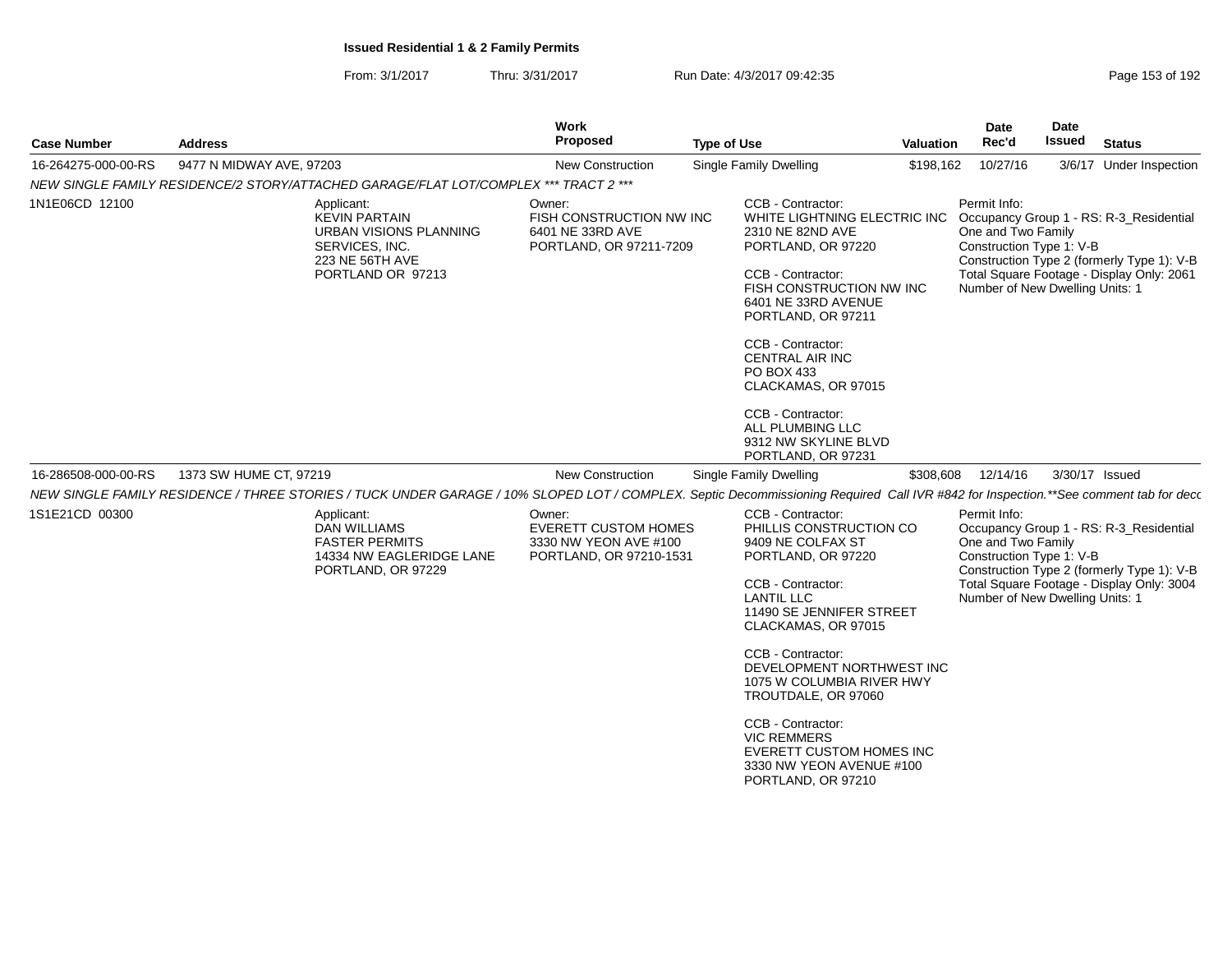| <b>Case Number</b>  | <b>Address</b>                                                                                                                                                                                                | Work<br>Proposed                                                                          | <b>Type of Use</b>                                                                                                                                                                                                                                                                                                                                                                                                  | <b>Valuation</b> | <b>Date</b><br>Rec'd                                                                              | <b>Date</b><br><b>Issued</b> | <b>Status</b>                                                                                                                      |
|---------------------|---------------------------------------------------------------------------------------------------------------------------------------------------------------------------------------------------------------|-------------------------------------------------------------------------------------------|---------------------------------------------------------------------------------------------------------------------------------------------------------------------------------------------------------------------------------------------------------------------------------------------------------------------------------------------------------------------------------------------------------------------|------------------|---------------------------------------------------------------------------------------------------|------------------------------|------------------------------------------------------------------------------------------------------------------------------------|
| 16-264275-000-00-RS | 9477 N MIDWAY AVE, 97203                                                                                                                                                                                      | New Construction                                                                          | Single Family Dwelling                                                                                                                                                                                                                                                                                                                                                                                              | \$198,162        | 10/27/16                                                                                          |                              | 3/6/17 Under Inspection                                                                                                            |
|                     | NEW SINGLE FAMILY RESIDENCE/2 STORY/ATTACHED GARAGE/FLAT LOT/COMPLEX *** TRACT 2 ***                                                                                                                          |                                                                                           |                                                                                                                                                                                                                                                                                                                                                                                                                     |                  |                                                                                                   |                              |                                                                                                                                    |
| 1N1E06CD 12100      | Applicant:<br><b>KEVIN PARTAIN</b><br>URBAN VISIONS PLANNING<br>SERVICES, INC.<br>223 NE 56TH AVE<br>PORTLAND OR 97213                                                                                        | Owner:<br>FISH CONSTRUCTION NW INC<br>6401 NE 33RD AVE<br>PORTLAND, OR 97211-7209         | CCB - Contractor:<br>WHITE LIGHTNING ELECTRIC INC<br>2310 NE 82ND AVE<br>PORTLAND, OR 97220<br>CCB - Contractor:<br>FISH CONSTRUCTION NW INC<br>6401 NE 33RD AVENUE<br>PORTLAND, OR 97211<br>CCB - Contractor:<br><b>CENTRAL AIR INC</b><br>PO BOX 433<br>CLACKAMAS, OR 97015<br>CCB - Contractor:<br>ALL PLUMBING LLC                                                                                              |                  | Permit Info:<br>One and Two Family<br>Construction Type 1: V-B<br>Number of New Dwelling Units: 1 |                              | Occupancy Group 1 - RS: R-3_Residential<br>Construction Type 2 (formerly Type 1): V-B<br>Total Square Footage - Display Only: 2061 |
|                     |                                                                                                                                                                                                               |                                                                                           | 9312 NW SKYLINE BLVD<br>PORTLAND, OR 97231                                                                                                                                                                                                                                                                                                                                                                          |                  |                                                                                                   |                              |                                                                                                                                    |
| 16-286508-000-00-RS | 1373 SW HUME CT, 97219<br>NEW SINGLE FAMILY RESIDENCE / THREE STORIES / TUCK UNDER GARAGE / 10% SLOPED LOT / COMPLEX. Septic Decommissioning Required Call IVR #842 for Inspection.**See comment tab for deco | <b>New Construction</b>                                                                   | Single Family Dwelling                                                                                                                                                                                                                                                                                                                                                                                              | \$308,608        | 12/14/16                                                                                          |                              | 3/30/17 Issued                                                                                                                     |
| 1S1E21CD 00300      | Applicant:<br><b>DAN WILLIAMS</b><br><b>FASTER PERMITS</b><br>14334 NW EAGLERIDGE LANE<br>PORTLAND, OR 97229                                                                                                  | Owner:<br><b>EVERETT CUSTOM HOMES</b><br>3330 NW YEON AVE #100<br>PORTLAND, OR 97210-1531 | CCB - Contractor:<br>PHILLIS CONSTRUCTION CO<br>9409 NE COLFAX ST<br>PORTLAND, OR 97220<br>CCB - Contractor:<br><b>LANTIL LLC</b><br>11490 SE JENNIFER STREET<br>CLACKAMAS, OR 97015<br>CCB - Contractor:<br>DEVELOPMENT NORTHWEST INC<br>1075 W COLUMBIA RIVER HWY<br>TROUTDALE, OR 97060<br>CCB - Contractor:<br><b>VIC REMMERS</b><br>EVERETT CUSTOM HOMES INC<br>3330 NW YEON AVENUE #100<br>PORTLAND, OR 97210 |                  | Permit Info:<br>One and Two Family<br>Construction Type 1: V-B<br>Number of New Dwelling Units: 1 |                              | Occupancy Group 1 - RS: R-3_Residential<br>Construction Type 2 (formerly Type 1): V-B<br>Total Square Footage - Display Only: 3004 |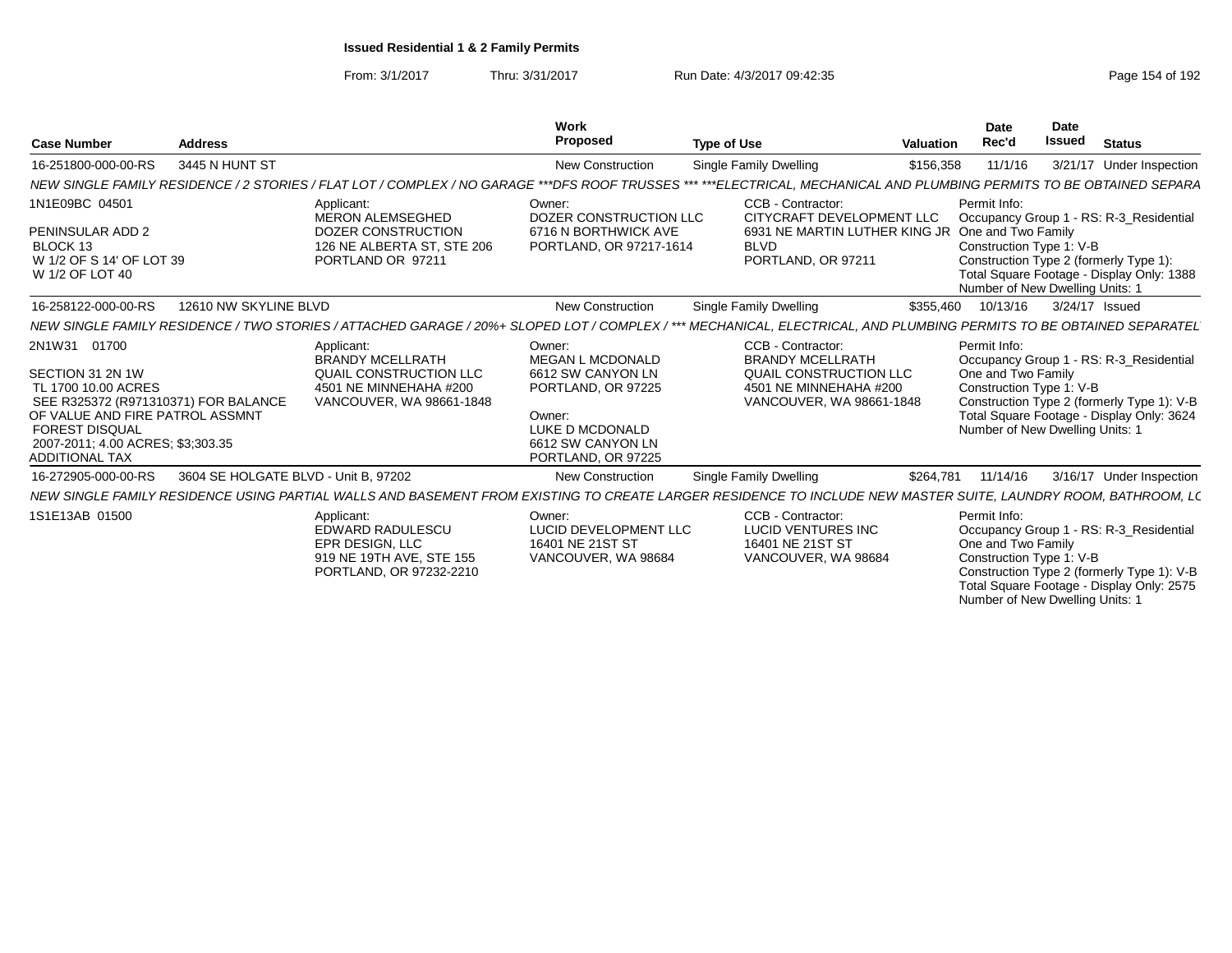From: 3/1/2017Thru: 3/31/2017 **Run Date: 4/3/2017 09:42:35 Page 154 of 192** 

| <b>Case Number</b>                                                                                                                                                                                                        | <b>Address</b>                       |                                                                                                                                                                     | Work<br><b>Proposed</b>                                                                                                                       | <b>Type of Use</b>                                                                                                           | <b>Valuation</b> | Date<br>Rec'd                                                                                     | <b>Date</b><br><b>Issued</b> | <b>Status</b>                                                                                                                      |
|---------------------------------------------------------------------------------------------------------------------------------------------------------------------------------------------------------------------------|--------------------------------------|---------------------------------------------------------------------------------------------------------------------------------------------------------------------|-----------------------------------------------------------------------------------------------------------------------------------------------|------------------------------------------------------------------------------------------------------------------------------|------------------|---------------------------------------------------------------------------------------------------|------------------------------|------------------------------------------------------------------------------------------------------------------------------------|
| 16-251800-000-00-RS                                                                                                                                                                                                       | 3445 N HUNT ST                       |                                                                                                                                                                     | <b>New Construction</b>                                                                                                                       | Single Family Dwelling                                                                                                       | \$156,358        |                                                                                                   |                              | 3/21/17 Under Inspection                                                                                                           |
|                                                                                                                                                                                                                           |                                      | NEW SINGLE FAMILY RESIDENCE / 2 STORIES / FLAT LOT / COMPLEX / NO GARAGE ***DFS ROOF TRUSSES                                                                        |                                                                                                                                               | *** *** ELECTRICAL. MECHANICAL AND PLUMBING PERMITS TO BE OBTAINED SEPARA                                                    |                  |                                                                                                   |                              |                                                                                                                                    |
| 1N1E09BC 04501                                                                                                                                                                                                            |                                      | Applicant:<br><b>MERON ALEMSEGHED</b>                                                                                                                               | Owner:<br>DOZER CONSTRUCTION LLC                                                                                                              | CCB - Contractor:<br>CITYCRAFT DEVELOPMENT LLC                                                                               |                  | Permit Info:                                                                                      |                              |                                                                                                                                    |
| PENINSULAR ADD 2<br>BLOCK 13<br>W 1/2 OF S 14' OF LOT 39<br>W 1/2 OF LOT 40                                                                                                                                               |                                      | DOZER CONSTRUCTION<br>126 NE ALBERTA ST, STE 206<br>PORTLAND OR 97211                                                                                               | 6716 N BORTHWICK AVE<br>PORTLAND, OR 97217-1614                                                                                               | 6931 NE MARTIN LUTHER KING JR<br><b>BLVD</b><br>PORTLAND, OR 97211                                                           |                  | One and Two Family<br>Construction Type 1: V-B<br>Number of New Dwelling Units: 1                 |                              | Occupancy Group 1 - RS: R-3_Residential<br>Construction Type 2 (formerly Type 1):<br>Total Square Footage - Display Only: 1388     |
| 16-258122-000-00-RS                                                                                                                                                                                                       | 12610 NW SKYLINE BLVD                |                                                                                                                                                                     | <b>New Construction</b>                                                                                                                       | Single Family Dwelling                                                                                                       | \$355,460        | 10/13/16                                                                                          |                              | 3/24/17 Issued                                                                                                                     |
|                                                                                                                                                                                                                           |                                      | NEW SINGLE FAMILY RESIDENCE / TWO STORIES / ATTACHED GARAGE / 20%+ SLOPED LOT / COMPLEX / *** MECHANICAL. ELECTRICAL. AND PLUMBING PERMITS TO BE OBTAINED SEPARATEL |                                                                                                                                               |                                                                                                                              |                  |                                                                                                   |                              |                                                                                                                                    |
| 2N1W31 01700<br>SECTION 31 2N 1W<br>TL 1700 10.00 ACRES<br>SEE R325372 (R971310371) FOR BALANCE<br>OF VALUE AND FIRE PATROL ASSMNT<br><b>FOREST DISQUAL</b><br>2007-2011: 4.00 ACRES: \$3:303.35<br><b>ADDITIONAL TAX</b> |                                      | Applicant:<br><b>BRANDY MCELLRATH</b><br>QUAIL CONSTRUCTION LLC<br>4501 NE MINNEHAHA #200<br>VANCOUVER, WA 98661-1848                                               | Owner:<br>MEGAN L MCDONALD<br>6612 SW CANYON LN<br>PORTLAND, OR 97225<br>Owner:<br>LUKE D MCDONALD<br>6612 SW CANYON LN<br>PORTLAND, OR 97225 | CCB - Contractor:<br><b>BRANDY MCELLRATH</b><br>QUAIL CONSTRUCTION LLC<br>4501 NE MINNEHAHA #200<br>VANCOUVER, WA 98661-1848 |                  | Permit Info:<br>One and Two Family<br>Construction Type 1: V-B<br>Number of New Dwelling Units: 1 |                              | Occupancy Group 1 - RS: R-3_Residential<br>Construction Type 2 (formerly Type 1): V-B<br>Total Square Footage - Display Only: 3624 |
| 16-272905-000-00-RS                                                                                                                                                                                                       | 3604 SE HOLGATE BLVD - Unit B. 97202 |                                                                                                                                                                     | <b>New Construction</b>                                                                                                                       | Single Family Dwelling                                                                                                       | \$264,781        | 11/14/16                                                                                          |                              | 3/16/17 Under Inspection                                                                                                           |
|                                                                                                                                                                                                                           |                                      | NEW SINGLE FAMILY RESIDENCE USING PARTIAL WALLS AND BASEMENT FROM EXISTING TO CREATE LARGER RESIDENCE TO INCLUDE NEW MASTER SUITE. LAUNDRY ROOM, BATHROOM, L(       |                                                                                                                                               |                                                                                                                              |                  |                                                                                                   |                              |                                                                                                                                    |
| 1S1E13AB 01500                                                                                                                                                                                                            |                                      | Applicant:<br><b>EDWARD RADULESCU</b><br>EPR DESIGN, LLC<br>919 NE 19TH AVE, STE 155<br>PORTLAND, OR 97232-2210                                                     | Owner:<br>LUCID DEVELOPMENT LLC<br>16401 NE 21ST ST<br>VANCOUVER, WA 98684                                                                    | CCB - Contractor:<br><b>LUCID VENTURES INC</b><br>16401 NE 21ST ST<br>VANCOUVER, WA 98684                                    |                  | Permit Info:<br>One and Two Family<br>Construction Type 1: V-B<br>Number of New Dwelling Units: 1 |                              | Occupancy Group 1 - RS: R-3_Residential<br>Construction Type 2 (formerly Type 1): V-B<br>Total Square Footage - Display Only: 2575 |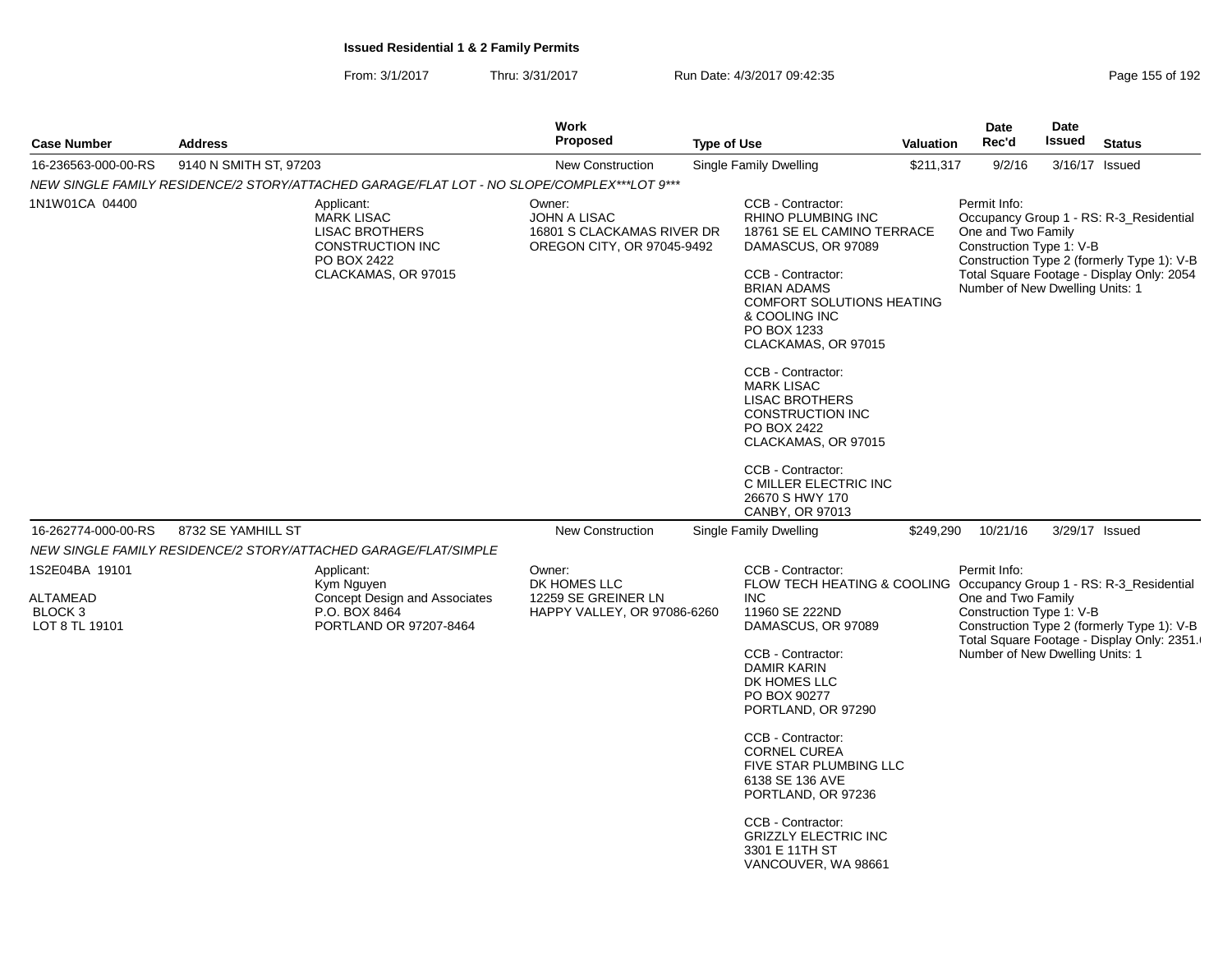|                                                                           |                        |                                                                                                                    | <b>Work</b>                                                                        |                    |                                                                                                                                                                                                                                                                                                                                                                                                                                                             |           | Date                                                                                              | <b>Date</b> |                                                                                                                                    |
|---------------------------------------------------------------------------|------------------------|--------------------------------------------------------------------------------------------------------------------|------------------------------------------------------------------------------------|--------------------|-------------------------------------------------------------------------------------------------------------------------------------------------------------------------------------------------------------------------------------------------------------------------------------------------------------------------------------------------------------------------------------------------------------------------------------------------------------|-----------|---------------------------------------------------------------------------------------------------|-------------|------------------------------------------------------------------------------------------------------------------------------------|
| <b>Case Number</b>                                                        | <b>Address</b>         |                                                                                                                    | <b>Proposed</b>                                                                    | <b>Type of Use</b> |                                                                                                                                                                                                                                                                                                                                                                                                                                                             | Valuation | Rec'd                                                                                             | Issued      | <b>Status</b>                                                                                                                      |
| 16-236563-000-00-RS                                                       | 9140 N SMITH ST, 97203 |                                                                                                                    | <b>New Construction</b>                                                            |                    | <b>Single Family Dwelling</b>                                                                                                                                                                                                                                                                                                                                                                                                                               | \$211,317 | 9/2/16                                                                                            |             | 3/16/17 Issued                                                                                                                     |
|                                                                           |                        | NEW SINGLE FAMILY RESIDENCE/2 STORY/ATTACHED GARAGE/FLAT LOT - NO SLOPE/COMPLEX***LOT 9***                         |                                                                                    |                    |                                                                                                                                                                                                                                                                                                                                                                                                                                                             |           |                                                                                                   |             |                                                                                                                                    |
| 1N1W01CA 04400                                                            |                        | Applicant:<br><b>MARK LISAC</b><br><b>LISAC BROTHERS</b><br>CONSTRUCTION INC<br>PO BOX 2422<br>CLACKAMAS, OR 97015 | Owner:<br>JOHN A LISAC<br>16801 S CLACKAMAS RIVER DR<br>OREGON CITY, OR 97045-9492 |                    | CCB - Contractor:<br>RHINO PLUMBING INC<br>18761 SE EL CAMINO TERRACE<br>DAMASCUS, OR 97089<br>CCB - Contractor:<br><b>BRIAN ADAMS</b><br><b>COMFORT SOLUTIONS HEATING</b><br>& COOLING INC<br>PO BOX 1233<br>CLACKAMAS, OR 97015<br>CCB - Contractor:<br><b>MARK LISAC</b><br><b>LISAC BROTHERS</b><br><b>CONSTRUCTION INC</b><br>PO BOX 2422<br>CLACKAMAS, OR 97015<br>CCB - Contractor:<br>C MILLER ELECTRIC INC<br>26670 S HWY 170<br>CANBY, OR 97013   |           | Permit Info:<br>One and Two Family<br>Construction Type 1: V-B<br>Number of New Dwelling Units: 1 |             | Occupancy Group 1 - RS: R-3_Residential<br>Construction Type 2 (formerly Type 1): V-B<br>Total Square Footage - Display Only: 2054 |
| 16-262774-000-00-RS                                                       | 8732 SE YAMHILL ST     |                                                                                                                    | <b>New Construction</b>                                                            |                    | Single Family Dwelling                                                                                                                                                                                                                                                                                                                                                                                                                                      | \$249,290 | 10/21/16                                                                                          |             | 3/29/17 Issued                                                                                                                     |
|                                                                           |                        | NEW SINGLE FAMILY RESIDENCE/2 STORY/ATTACHED GARAGE/FLAT/SIMPLE                                                    |                                                                                    |                    |                                                                                                                                                                                                                                                                                                                                                                                                                                                             |           |                                                                                                   |             |                                                                                                                                    |
| 1S2E04BA 19101<br><b>ALTAMEAD</b><br>BLOCK <sub>3</sub><br>LOT 8 TL 19101 |                        | Applicant:<br>Kym Nguyen<br><b>Concept Design and Associates</b><br>P.O. BOX 8464<br>PORTLAND OR 97207-8464        | Owner:<br>DK HOMES LLC<br>12259 SE GREINER LN<br>HAPPY VALLEY, OR 97086-6260       |                    | CCB - Contractor:<br>FLOW TECH HEATING & COOLING Occupancy Group 1 - RS: R-3_Residential<br><b>INC</b><br>11960 SE 222ND<br>DAMASCUS, OR 97089<br>CCB - Contractor:<br><b>DAMIR KARIN</b><br>DK HOMES LLC<br>PO BOX 90277<br>PORTLAND, OR 97290<br>CCB - Contractor:<br><b>CORNEL CUREA</b><br>FIVE STAR PLUMBING LLC<br>6138 SE 136 AVE<br>PORTLAND, OR 97236<br>CCB - Contractor:<br><b>GRIZZLY ELECTRIC INC</b><br>3301 E 11TH ST<br>VANCOUVER, WA 98661 |           | Permit Info:<br>One and Two Family<br>Construction Type 1: V-B<br>Number of New Dwelling Units: 1 |             | Construction Type 2 (formerly Type 1): V-B<br>Total Square Footage - Display Only: 2351.                                           |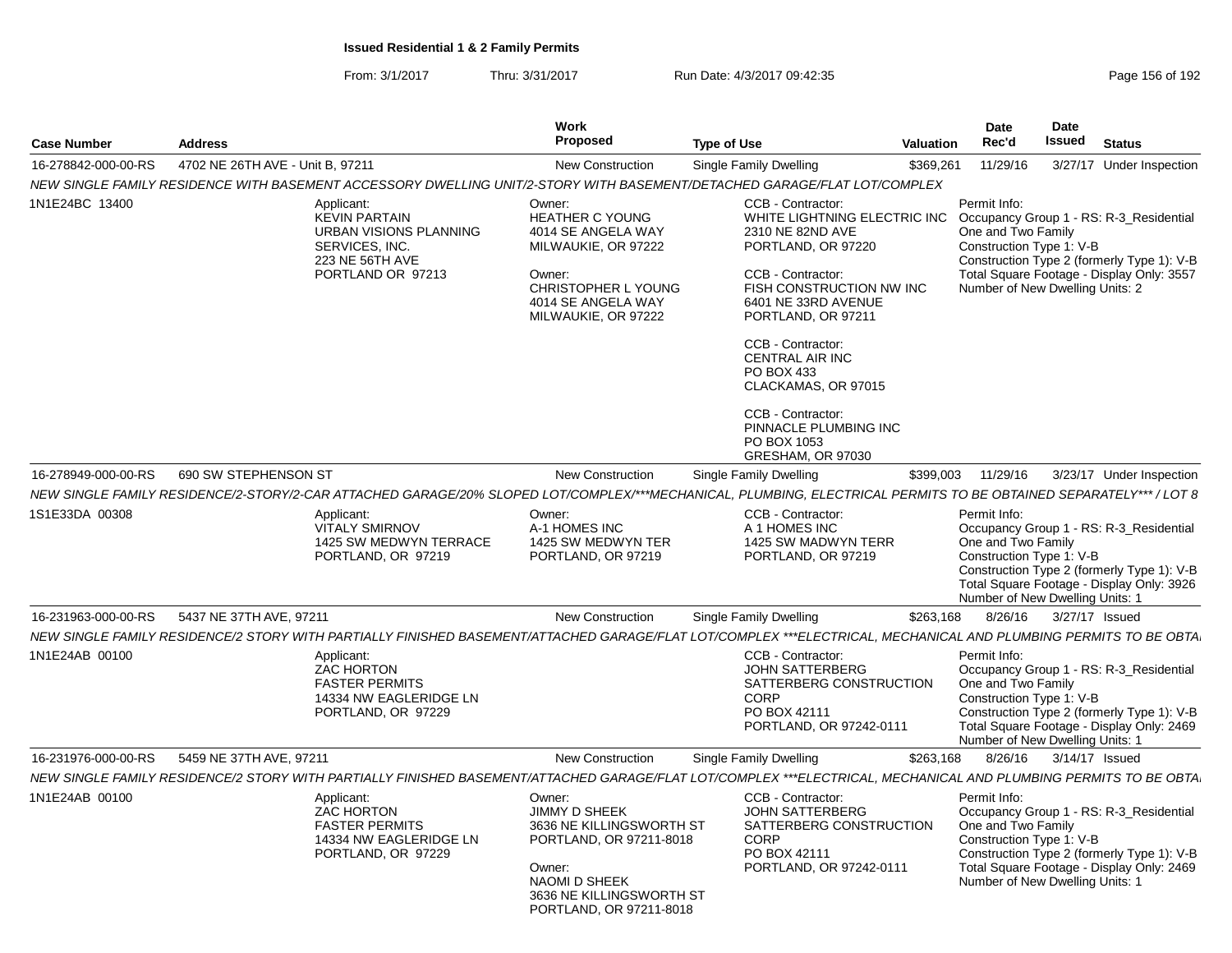| <b>Case Number</b>  | <b>Address</b>                   |                                                                                                                                                                   | Work<br>Proposed                                                                                                                                                 | <b>Type of Use</b> |                                                                                                                                                                                                                                                                                                                                            | <b>Valuation</b> | <b>Date</b><br>Rec'd                                                                              | <b>Date</b><br><b>Issued</b> | <b>Status</b>                                                                                                                      |
|---------------------|----------------------------------|-------------------------------------------------------------------------------------------------------------------------------------------------------------------|------------------------------------------------------------------------------------------------------------------------------------------------------------------|--------------------|--------------------------------------------------------------------------------------------------------------------------------------------------------------------------------------------------------------------------------------------------------------------------------------------------------------------------------------------|------------------|---------------------------------------------------------------------------------------------------|------------------------------|------------------------------------------------------------------------------------------------------------------------------------|
| 16-278842-000-00-RS | 4702 NE 26TH AVE - Unit B, 97211 |                                                                                                                                                                   | <b>New Construction</b>                                                                                                                                          |                    | Single Family Dwelling                                                                                                                                                                                                                                                                                                                     | \$369,261        | 11/29/16                                                                                          |                              | 3/27/17 Under Inspection                                                                                                           |
|                     |                                  | NEW SINGLE FAMILY RESIDENCE WITH BASEMENT ACCESSORY DWELLING UNIT/2-STORY WITH BASEMENT/DETACHED GARAGE/FLAT LOT/COMPLEX                                          |                                                                                                                                                                  |                    |                                                                                                                                                                                                                                                                                                                                            |                  |                                                                                                   |                              |                                                                                                                                    |
| 1N1E24BC 13400      |                                  | Applicant:<br><b>KEVIN PARTAIN</b><br>URBAN VISIONS PLANNING<br>SERVICES, INC.<br>223 NE 56TH AVE<br>PORTLAND OR 97213                                            | Owner:<br><b>HEATHER C YOUNG</b><br>4014 SE ANGELA WAY<br>MILWAUKIE, OR 97222<br>Owner:<br>CHRISTOPHER L YOUNG<br>4014 SE ANGELA WAY<br>MILWAUKIE, OR 97222      |                    | CCB - Contractor:<br>WHITE LIGHTNING ELECTRIC INC<br>2310 NE 82ND AVE<br>PORTLAND, OR 97220<br>CCB - Contractor:<br>FISH CONSTRUCTION NW INC<br>6401 NE 33RD AVENUE<br>PORTLAND, OR 97211<br>CCB - Contractor:<br><b>CENTRAL AIR INC</b><br>PO BOX 433<br>CLACKAMAS, OR 97015<br>CCB - Contractor:<br>PINNACLE PLUMBING INC<br>PO BOX 1053 |                  | Permit Info:<br>One and Two Family<br>Construction Type 1: V-B<br>Number of New Dwelling Units: 2 |                              | Occupancy Group 1 - RS: R-3 Residential<br>Construction Type 2 (formerly Type 1): V-B<br>Total Square Footage - Display Only: 3557 |
|                     |                                  |                                                                                                                                                                   |                                                                                                                                                                  |                    | GRESHAM, OR 97030                                                                                                                                                                                                                                                                                                                          |                  |                                                                                                   |                              |                                                                                                                                    |
| 16-278949-000-00-RS | 690 SW STEPHENSON ST             |                                                                                                                                                                   | <b>New Construction</b>                                                                                                                                          |                    | Single Family Dwelling                                                                                                                                                                                                                                                                                                                     | \$399,003        | 11/29/16                                                                                          |                              | 3/23/17 Under Inspection                                                                                                           |
|                     |                                  | NEW SINGLE FAMILY RESIDENCE/2-STORY/2-CAR ATTACHED GARAGE/20% SLOPED LOT/COMPLEX/***MECHANICAL, PLUMBING, ELECTRICAL PERMITS TO BE OBTAINED SEPARATELY*** / LOT 8 |                                                                                                                                                                  |                    |                                                                                                                                                                                                                                                                                                                                            |                  |                                                                                                   |                              |                                                                                                                                    |
| 1S1E33DA 00308      |                                  | Applicant:<br><b>VITALY SMIRNOV</b><br>1425 SW MEDWYN TERRACE<br>PORTLAND, OR 97219                                                                               | Owner:<br>A-1 HOMES INC<br>1425 SW MEDWYN TER<br>PORTLAND, OR 97219                                                                                              |                    | CCB - Contractor:<br>A 1 HOMES INC<br>1425 SW MADWYN TERR<br>PORTLAND, OR 97219                                                                                                                                                                                                                                                            |                  | Permit Info:<br>One and Two Family<br>Construction Type 1: V-B<br>Number of New Dwelling Units: 1 |                              | Occupancy Group 1 - RS: R-3_Residential<br>Construction Type 2 (formerly Type 1): V-B<br>Total Square Footage - Display Only: 3926 |
| 16-231963-000-00-RS | 5437 NE 37TH AVE, 97211          |                                                                                                                                                                   | <b>New Construction</b>                                                                                                                                          |                    | Single Family Dwelling                                                                                                                                                                                                                                                                                                                     | \$263,168        | 8/26/16                                                                                           | 3/27/17 Issued               |                                                                                                                                    |
|                     |                                  | NEW SINGLE FAMILY RESIDENCE/2 STORY WITH PARTIALLY FINISHED BASEMENT/ATTACHED GARAGE/FLAT LOT/COMPLEX ***ELECTRICAL, MECHANICAL AND PLUMBING PERMITS TO BE OBTA   |                                                                                                                                                                  |                    |                                                                                                                                                                                                                                                                                                                                            |                  |                                                                                                   |                              |                                                                                                                                    |
| 1N1E24AB 00100      |                                  | Applicant:<br><b>ZAC HORTON</b><br><b>FASTER PERMITS</b><br>14334 NW EAGLERIDGE LN<br>PORTLAND, OR 97229                                                          |                                                                                                                                                                  |                    | CCB - Contractor:<br><b>JOHN SATTERBERG</b><br>SATTERBERG CONSTRUCTION<br><b>CORP</b><br>PO BOX 42111<br>PORTLAND, OR 97242-0111                                                                                                                                                                                                           |                  | Permit Info:<br>One and Two Family<br>Construction Type 1: V-B<br>Number of New Dwelling Units: 1 |                              | Occupancy Group 1 - RS: R-3_Residential<br>Construction Type 2 (formerly Type 1): V-B<br>Total Square Footage - Display Only: 2469 |
| 16-231976-000-00-RS | 5459 NE 37TH AVE, 97211          |                                                                                                                                                                   | <b>New Construction</b>                                                                                                                                          |                    | Single Family Dwelling                                                                                                                                                                                                                                                                                                                     | \$263,168        | 8/26/16                                                                                           | 3/14/17 Issued               |                                                                                                                                    |
|                     |                                  | NEW SINGLE FAMILY RESIDENCE/2 STORY WITH PARTIALLY FINISHED BASEMENT/ATTACHED GARAGE/FLAT LOT/COMPLEX ***ELECTRICAL, MECHANICAL AND PLUMBING PERMITS TO BE OBTA   |                                                                                                                                                                  |                    |                                                                                                                                                                                                                                                                                                                                            |                  |                                                                                                   |                              |                                                                                                                                    |
| 1N1E24AB 00100      |                                  | Applicant:<br><b>ZAC HORTON</b><br><b>FASTER PERMITS</b><br>14334 NW EAGLERIDGE LN<br>PORTLAND, OR 97229                                                          | Owner:<br>JIMMY D SHEEK<br>3636 NE KILLINGSWORTH ST<br>PORTLAND, OR 97211-8018<br>Owner:<br>NAOMI D SHEEK<br>3636 NE KILLINGSWORTH ST<br>PORTLAND, OR 97211-8018 |                    | CCB - Contractor:<br><b>JOHN SATTERBERG</b><br>SATTERBERG CONSTRUCTION<br><b>CORP</b><br>PO BOX 42111<br>PORTLAND, OR 97242-0111                                                                                                                                                                                                           |                  | Permit Info:<br>One and Two Family<br>Construction Type 1: V-B<br>Number of New Dwelling Units: 1 |                              | Occupancy Group 1 - RS: R-3_Residential<br>Construction Type 2 (formerly Type 1): V-B<br>Total Square Footage - Display Only: 2469 |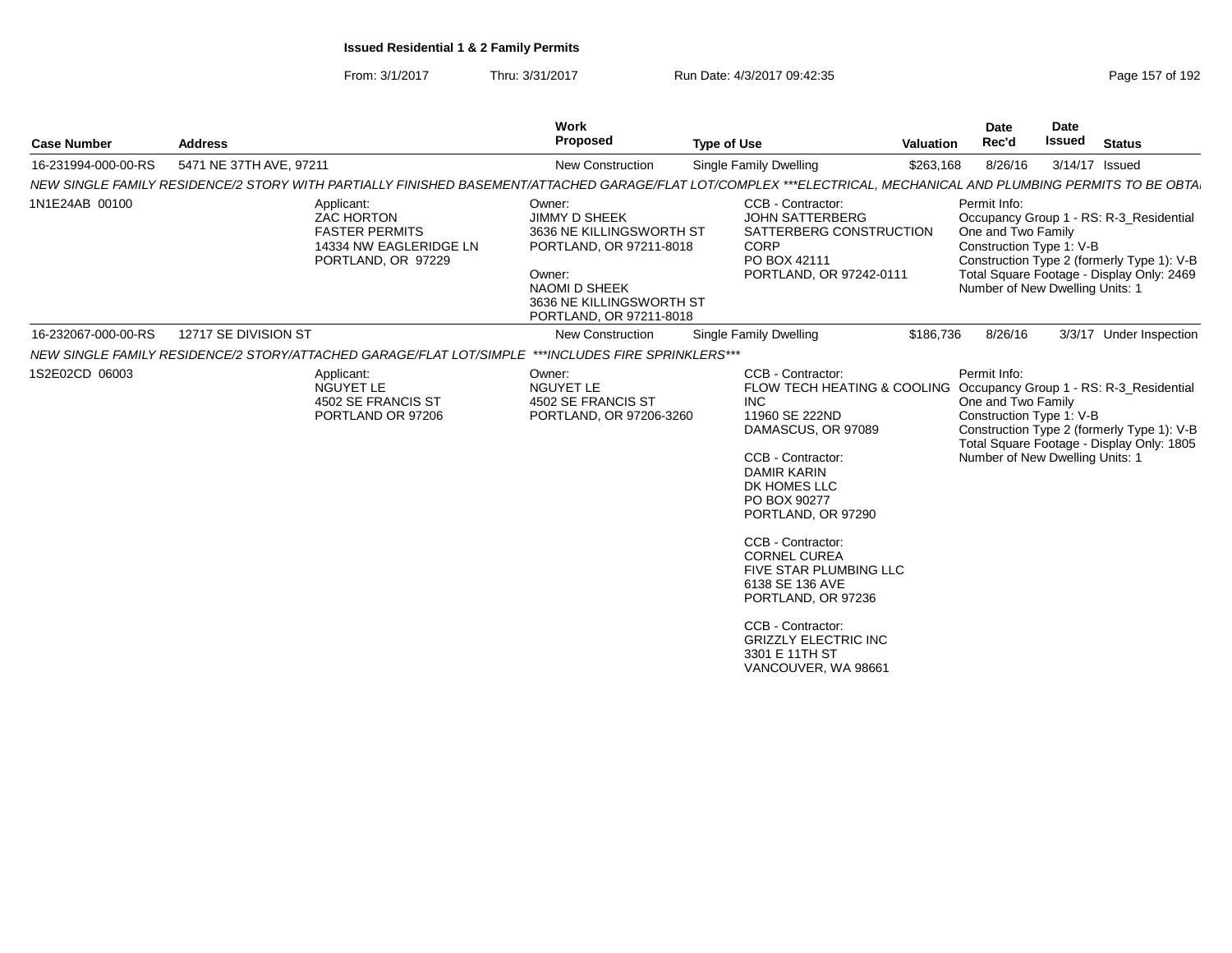| <b>Case Number</b>  | <b>Address</b>          |                                                                                                          | Work<br>Proposed                                                                                                                                                               | <b>Type of Use</b>                                                                                                                                                                                                                                                                                                                                                                                                  | <b>Valuation</b> | <b>Date</b><br>Rec'd                                                                              | <b>Date</b><br><b>Issued</b> | <b>Status</b>                                                                                                                      |
|---------------------|-------------------------|----------------------------------------------------------------------------------------------------------|--------------------------------------------------------------------------------------------------------------------------------------------------------------------------------|---------------------------------------------------------------------------------------------------------------------------------------------------------------------------------------------------------------------------------------------------------------------------------------------------------------------------------------------------------------------------------------------------------------------|------------------|---------------------------------------------------------------------------------------------------|------------------------------|------------------------------------------------------------------------------------------------------------------------------------|
| 16-231994-000-00-RS | 5471 NE 37TH AVE, 97211 |                                                                                                          | <b>New Construction</b>                                                                                                                                                        | Single Family Dwelling                                                                                                                                                                                                                                                                                                                                                                                              | \$263,168        | 8/26/16                                                                                           |                              | 3/14/17 Issued                                                                                                                     |
|                     |                         |                                                                                                          |                                                                                                                                                                                | NEW SINGLE FAMILY RESIDENCE/2 STORY WITH PARTIALLY FINISHED BASEMENT/ATTACHED GARAGE/FLAT LOT/COMPLEX ***ELECTRICAL. MECHANICAL AND PLUMBING PERMITS TO BE OBTA                                                                                                                                                                                                                                                     |                  |                                                                                                   |                              |                                                                                                                                    |
| 1N1E24AB 00100      |                         | Applicant:<br><b>ZAC HORTON</b><br><b>FASTER PERMITS</b><br>14334 NW EAGLERIDGE LN<br>PORTLAND, OR 97229 | Owner:<br><b>JIMMY D SHEEK</b><br>3636 NE KILLINGSWORTH ST<br>PORTLAND, OR 97211-8018<br>Owner:<br><b>NAOMI D SHEEK</b><br>3636 NE KILLINGSWORTH ST<br>PORTLAND, OR 97211-8018 | CCB - Contractor:<br><b>JOHN SATTERBERG</b><br>SATTERBERG CONSTRUCTION<br>CORP<br>PO BOX 42111<br>PORTLAND, OR 97242-0111                                                                                                                                                                                                                                                                                           |                  | Permit Info:<br>One and Two Family<br>Construction Type 1: V-B<br>Number of New Dwelling Units: 1 |                              | Occupancy Group 1 - RS: R-3 Residential<br>Construction Type 2 (formerly Type 1): V-B<br>Total Square Footage - Display Only: 2469 |
| 16-232067-000-00-RS | 12717 SE DIVISION ST    |                                                                                                          | <b>New Construction</b>                                                                                                                                                        | Single Family Dwelling                                                                                                                                                                                                                                                                                                                                                                                              | \$186,736        | 8/26/16                                                                                           |                              | 3/3/17 Under Inspection                                                                                                            |
|                     |                         | NEW SINGLE FAMILY RESIDENCE/2 STORY/ATTACHED GARAGE/FLAT LOT/SIMPLE ***INCLUDES FIRE SPRINKLERS***       |                                                                                                                                                                                |                                                                                                                                                                                                                                                                                                                                                                                                                     |                  |                                                                                                   |                              |                                                                                                                                    |
| 1S2E02CD 06003      |                         | Applicant:<br>NGUYET LE<br>4502 SE FRANCIS ST<br>PORTLAND OR 97206                                       | Owner:<br><b>NGUYET LE</b><br>4502 SE FRANCIS ST<br>PORTLAND, OR 97206-3260                                                                                                    | CCB - Contractor:<br>FLOW TECH HEATING & COOLING<br><b>INC</b><br>11960 SE 222ND<br>DAMASCUS, OR 97089<br>CCB - Contractor:<br><b>DAMIR KARIN</b><br>DK HOMES LLC<br>PO BOX 90277<br>PORTLAND, OR 97290<br>CCB - Contractor:<br><b>CORNEL CUREA</b><br>FIVE STAR PLUMBING LLC<br>6138 SE 136 AVE<br>PORTLAND, OR 97236<br>CCB - Contractor:<br><b>GRIZZLY ELECTRIC INC</b><br>3301 E 11TH ST<br>VANCOUVER, WA 98661 |                  | Permit Info:<br>One and Two Family<br>Construction Type 1: V-B<br>Number of New Dwelling Units: 1 |                              | Occupancy Group 1 - RS: R-3_Residential<br>Construction Type 2 (formerly Type 1): V-B<br>Total Square Footage - Display Only: 1805 |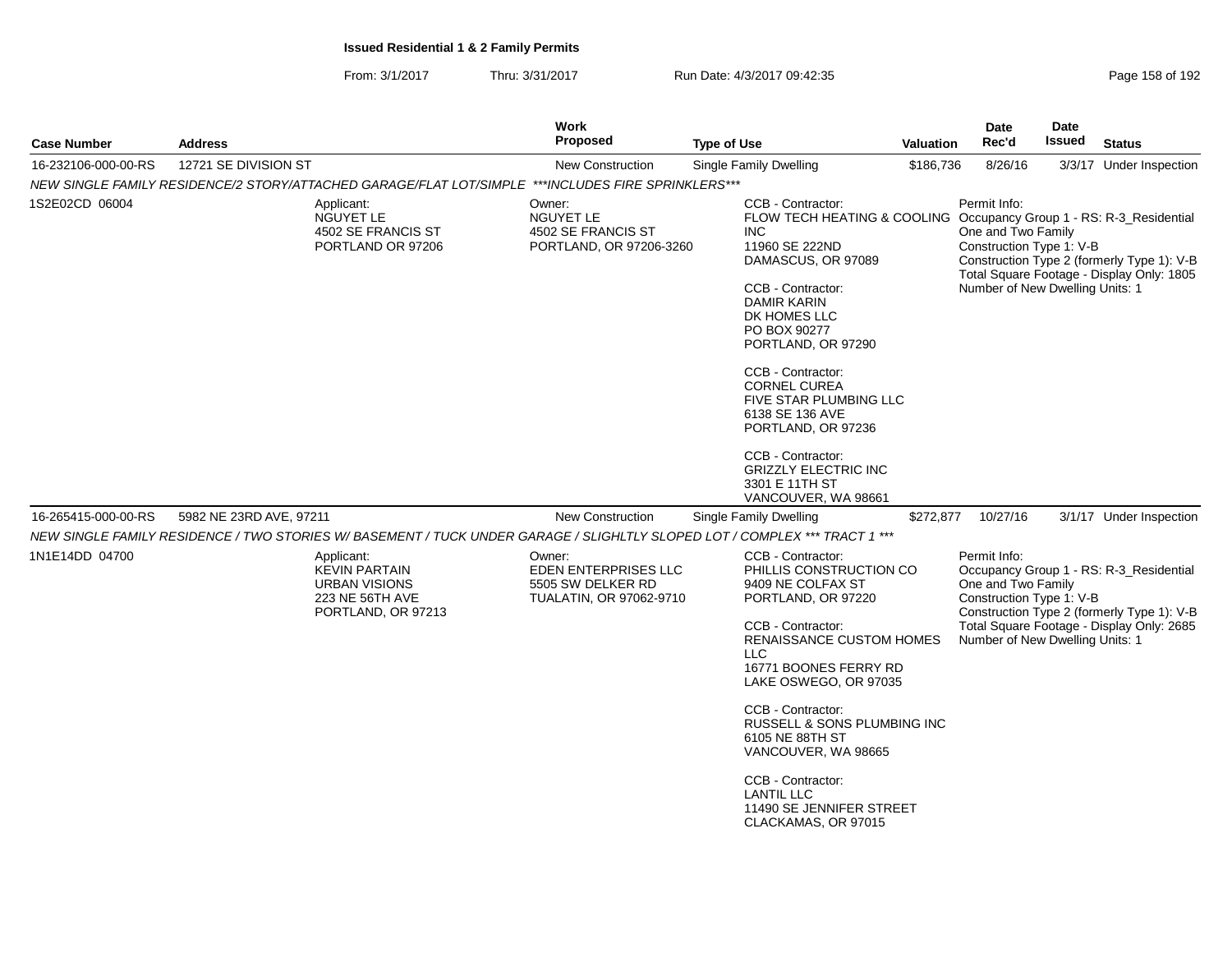| <b>Case Number</b>  | <b>Address</b>                                                                                                             | <b>Work</b><br><b>Proposed</b>                                                 | <b>Type of Use</b>                                                                                                                                                                                                                                                                                                                                                                                                                                          | <b>Valuation</b> | Date<br>Rec'd                                                                                     | Date<br>Issued | <b>Status</b>                                                                                                                      |
|---------------------|----------------------------------------------------------------------------------------------------------------------------|--------------------------------------------------------------------------------|-------------------------------------------------------------------------------------------------------------------------------------------------------------------------------------------------------------------------------------------------------------------------------------------------------------------------------------------------------------------------------------------------------------------------------------------------------------|------------------|---------------------------------------------------------------------------------------------------|----------------|------------------------------------------------------------------------------------------------------------------------------------|
| 16-232106-000-00-RS | 12721 SE DIVISION ST                                                                                                       | <b>New Construction</b>                                                        | Single Family Dwelling                                                                                                                                                                                                                                                                                                                                                                                                                                      | \$186,736        | 8/26/16                                                                                           |                | 3/3/17 Under Inspection                                                                                                            |
|                     | NEW SINGLE FAMILY RESIDENCE/2 STORY/ATTACHED GARAGE/FLAT LOT/SIMPLE ***INCLUDES FIRE SPRINKLERS***                         |                                                                                |                                                                                                                                                                                                                                                                                                                                                                                                                                                             |                  |                                                                                                   |                |                                                                                                                                    |
| 1S2E02CD 06004      | Applicant:<br>NGUYET LE<br>4502 SE FRANCIS ST<br>PORTLAND OR 97206                                                         | Owner:<br>NGUYET LE<br>4502 SE FRANCIS ST<br>PORTLAND, OR 97206-3260           | CCB - Contractor:<br>FLOW TECH HEATING & COOLING Occupancy Group 1 - RS: R-3_Residential<br><b>INC</b><br>11960 SE 222ND<br>DAMASCUS, OR 97089<br>CCB - Contractor:<br><b>DAMIR KARIN</b><br>DK HOMES LLC<br>PO BOX 90277<br>PORTLAND, OR 97290<br>CCB - Contractor:<br><b>CORNEL CUREA</b><br>FIVE STAR PLUMBING LLC<br>6138 SE 136 AVE<br>PORTLAND, OR 97236<br>CCB - Contractor:<br><b>GRIZZLY ELECTRIC INC</b><br>3301 E 11TH ST<br>VANCOUVER, WA 98661 |                  | Permit Info:<br>One and Two Family<br>Construction Type 1: V-B<br>Number of New Dwelling Units: 1 |                | Construction Type 2 (formerly Type 1): V-B<br>Total Square Footage - Display Only: 1805                                            |
| 16-265415-000-00-RS | 5982 NE 23RD AVE, 97211                                                                                                    | New Construction                                                               | Single Family Dwelling                                                                                                                                                                                                                                                                                                                                                                                                                                      | \$272,877        | 10/27/16                                                                                          |                | 3/1/17 Under Inspection                                                                                                            |
|                     | NEW SINGLE FAMILY RESIDENCE / TWO STORIES W/ BASEMENT / TUCK UNDER GARAGE / SLIGHLTLY SLOPED LOT / COMPLEX *** TRACT 1 *** |                                                                                |                                                                                                                                                                                                                                                                                                                                                                                                                                                             |                  |                                                                                                   |                |                                                                                                                                    |
| 1N1E14DD 04700      | Applicant:<br><b>KEVIN PARTAIN</b><br><b>URBAN VISIONS</b><br>223 NE 56TH AVE<br>PORTLAND, OR 97213                        | Owner:<br>EDEN ENTERPRISES LLC<br>5505 SW DELKER RD<br>TUALATIN, OR 97062-9710 | <b>CCB - Contractor:</b><br>PHILLIS CONSTRUCTION CO<br>9409 NE COLFAX ST<br>PORTLAND, OR 97220<br>CCB - Contractor:<br>RENAISSANCE CUSTOM HOMES<br>LLC                                                                                                                                                                                                                                                                                                      |                  | Permit Info:<br>One and Two Family<br>Construction Type 1: V-B<br>Number of New Dwelling Units: 1 |                | Occupancy Group 1 - RS: R-3_Residential<br>Construction Type 2 (formerly Type 1): V-B<br>Total Square Footage - Display Only: 2685 |
|                     |                                                                                                                            |                                                                                | 16771 BOONES FERRY RD<br>LAKE OSWEGO, OR 97035                                                                                                                                                                                                                                                                                                                                                                                                              |                  |                                                                                                   |                |                                                                                                                                    |
|                     |                                                                                                                            |                                                                                | CCB - Contractor:<br>RUSSELL & SONS PLUMBING INC<br>6105 NE 88TH ST<br>VANCOUVER, WA 98665                                                                                                                                                                                                                                                                                                                                                                  |                  |                                                                                                   |                |                                                                                                                                    |
|                     |                                                                                                                            |                                                                                | CCB - Contractor:<br><b>LANTIL LLC</b><br>11490 SE JENNIFER STREET<br>CLACKAMAS, OR 97015                                                                                                                                                                                                                                                                                                                                                                   |                  |                                                                                                   |                |                                                                                                                                    |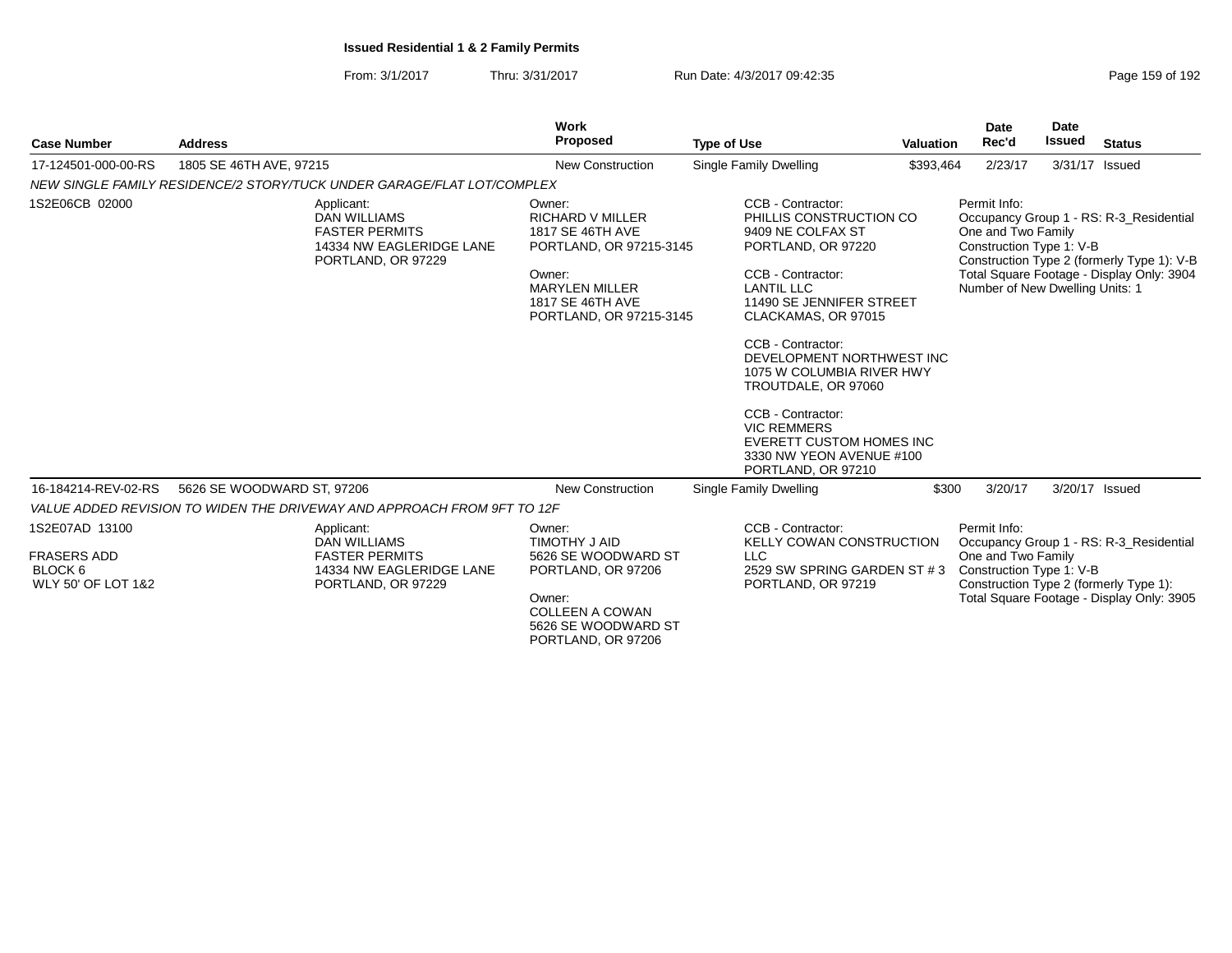| Page 159 of 192 |  |  |  |
|-----------------|--|--|--|
|-----------------|--|--|--|

| <b>Case Number</b>                                                               | <b>Address</b>                                                                                               | <b>Work</b><br>Proposed                                                                                                                                            | <b>Type of Use</b>                                                                                                                                                                                                                                                                                                                                                                                                         | <b>Valuation</b> | Date<br>Rec'd                                                                                     | Date<br>Issued | <b>Status</b>                                                                                                                      |
|----------------------------------------------------------------------------------|--------------------------------------------------------------------------------------------------------------|--------------------------------------------------------------------------------------------------------------------------------------------------------------------|----------------------------------------------------------------------------------------------------------------------------------------------------------------------------------------------------------------------------------------------------------------------------------------------------------------------------------------------------------------------------------------------------------------------------|------------------|---------------------------------------------------------------------------------------------------|----------------|------------------------------------------------------------------------------------------------------------------------------------|
| 17-124501-000-00-RS                                                              | 1805 SE 46TH AVE, 97215                                                                                      | <b>New Construction</b>                                                                                                                                            | Single Family Dwelling                                                                                                                                                                                                                                                                                                                                                                                                     | \$393,464        | 2/23/17                                                                                           |                | 3/31/17 Issued                                                                                                                     |
|                                                                                  | NEW SINGLE FAMILY RESIDENCE/2 STORY/TUCK UNDER GARAGE/FLAT LOT/COMPLEX                                       |                                                                                                                                                                    |                                                                                                                                                                                                                                                                                                                                                                                                                            |                  |                                                                                                   |                |                                                                                                                                    |
| 1S2E06CB 02000                                                                   | Applicant:<br><b>DAN WILLIAMS</b><br><b>FASTER PERMITS</b><br>14334 NW EAGLERIDGE LANE<br>PORTLAND, OR 97229 | Owner:<br><b>RICHARD V MILLER</b><br>1817 SE 46TH AVE<br>PORTLAND, OR 97215-3145<br>Owner:<br><b>MARYLEN MILLER</b><br>1817 SE 46TH AVE<br>PORTLAND, OR 97215-3145 | CCB - Contractor:<br>PHILLIS CONSTRUCTION CO<br>9409 NE COLFAX ST<br>PORTLAND, OR 97220<br>CCB - Contractor:<br><b>LANTIL LLC</b><br>11490 SE JENNIFER STREET<br>CLACKAMAS, OR 97015<br>CCB - Contractor:<br>DEVELOPMENT NORTHWEST INC<br>1075 W COLUMBIA RIVER HWY<br>TROUTDALE, OR 97060<br>CCB - Contractor:<br><b>VIC REMMERS</b><br><b>EVERETT CUSTOM HOMES INC</b><br>3330 NW YEON AVENUE #100<br>PORTLAND, OR 97210 |                  | Permit Info:<br>One and Two Family<br>Construction Type 1: V-B<br>Number of New Dwelling Units: 1 |                | Occupancy Group 1 - RS: R-3 Residential<br>Construction Type 2 (formerly Type 1): V-B<br>Total Square Footage - Display Only: 3904 |
| 16-184214-REV-02-RS                                                              | 5626 SE WOODWARD ST, 97206                                                                                   | New Construction                                                                                                                                                   | Single Family Dwelling                                                                                                                                                                                                                                                                                                                                                                                                     | \$300            | 3/20/17                                                                                           |                | 3/20/17 Issued                                                                                                                     |
|                                                                                  | VALUE ADDED REVISION TO WIDEN THE DRIVEWAY AND APPROACH FROM 9FT TO 12F                                      |                                                                                                                                                                    |                                                                                                                                                                                                                                                                                                                                                                                                                            |                  |                                                                                                   |                |                                                                                                                                    |
| 1S2E07AD 13100<br><b>FRASERS ADD</b><br>BLOCK <sub>6</sub><br>WLY 50' OF LOT 1&2 | Applicant:<br><b>DAN WILLIAMS</b><br><b>FASTER PERMITS</b><br>14334 NW EAGLERIDGE LANE<br>PORTLAND, OR 97229 | Owner:<br>TIMOTHY J AID<br>5626 SE WOODWARD ST<br>PORTLAND, OR 97206<br>Owner:<br><b>COLLEEN A COWAN</b><br>5626 SE WOODWARD ST<br>PORTLAND, OR 97206              | CCB - Contractor:<br>KELLY COWAN CONSTRUCTION<br><b>LLC</b><br>2529 SW SPRING GARDEN ST #3<br>PORTLAND, OR 97219                                                                                                                                                                                                                                                                                                           |                  | Permit Info:<br>One and Two Family<br>Construction Type 1: V-B                                    |                | Occupancy Group 1 - RS: R-3_Residential<br>Construction Type 2 (formerly Type 1):<br>Total Square Footage - Display Only: 3905     |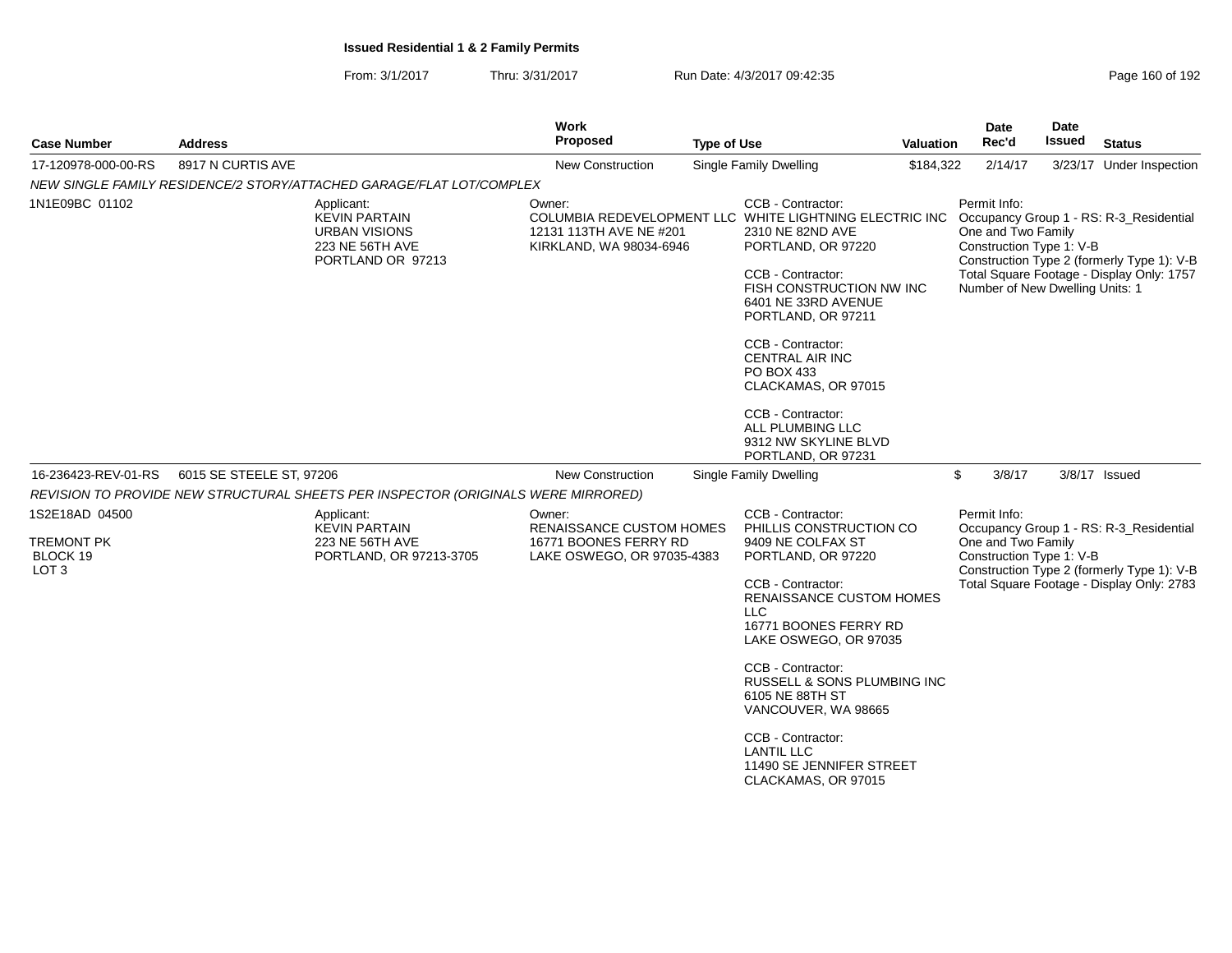| <b>Case Number</b>                                                  | <b>Address</b>           |                                                                                                    | Work<br>Proposed                                                                                 | <b>Type of Use</b> |                                                                                                                                                                                                                                                                                                                                                                                                            | <b>Valuation</b> | <b>Date</b><br>Rec'd                                                                              | <b>Date</b><br><b>Issued</b> | <b>Status</b>                                                                                                                      |
|---------------------------------------------------------------------|--------------------------|----------------------------------------------------------------------------------------------------|--------------------------------------------------------------------------------------------------|--------------------|------------------------------------------------------------------------------------------------------------------------------------------------------------------------------------------------------------------------------------------------------------------------------------------------------------------------------------------------------------------------------------------------------------|------------------|---------------------------------------------------------------------------------------------------|------------------------------|------------------------------------------------------------------------------------------------------------------------------------|
| 17-120978-000-00-RS                                                 | 8917 N CURTIS AVE        | Single Family Dwelling<br><b>New Construction</b>                                                  |                                                                                                  |                    | \$184,322                                                                                                                                                                                                                                                                                                                                                                                                  | 2/14/17          |                                                                                                   | 3/23/17 Under Inspection     |                                                                                                                                    |
|                                                                     |                          | NEW SINGLE FAMILY RESIDENCE/2 STORY/ATTACHED GARAGE/FLAT LOT/COMPLEX                               |                                                                                                  |                    |                                                                                                                                                                                                                                                                                                                                                                                                            |                  |                                                                                                   |                              |                                                                                                                                    |
| 1N1E09BC 01102                                                      |                          | Applicant:<br><b>KEVIN PARTAIN</b><br><b>URBAN VISIONS</b><br>223 NE 56TH AVE<br>PORTLAND OR 97213 | Owner:<br>12131 113TH AVE NE #201<br>KIRKLAND, WA 98034-6946                                     |                    | CCB - Contractor:<br>COLUMBIA REDEVELOPMENT LLC WHITE LIGHTNING ELECTRIC INC<br>2310 NE 82ND AVE<br>PORTLAND, OR 97220<br>CCB - Contractor:<br>FISH CONSTRUCTION NW INC<br>6401 NE 33RD AVENUE<br>PORTLAND, OR 97211<br>CCB - Contractor:<br><b>CENTRAL AIR INC</b><br>PO BOX 433<br>CLACKAMAS, OR 97015<br>CCB - Contractor:<br>ALL PLUMBING LLC<br>9312 NW SKYLINE BLVD<br>PORTLAND, OR 97231            |                  | Permit Info:<br>One and Two Family<br>Construction Type 1: V-B<br>Number of New Dwelling Units: 1 |                              | Occupancy Group 1 - RS: R-3_Residential<br>Construction Type 2 (formerly Type 1): V-B<br>Total Square Footage - Display Only: 1757 |
| 16-236423-REV-01-RS                                                 | 6015 SE STEELE ST, 97206 |                                                                                                    | <b>New Construction</b>                                                                          |                    | Single Family Dwelling                                                                                                                                                                                                                                                                                                                                                                                     |                  | \$<br>3/8/17                                                                                      |                              | 3/8/17 Issued                                                                                                                      |
|                                                                     |                          | REVISION TO PROVIDE NEW STRUCTURAL SHEETS PER INSPECTOR (ORIGINALS WERE MIRRORED)                  |                                                                                                  |                    |                                                                                                                                                                                                                                                                                                                                                                                                            |                  |                                                                                                   |                              |                                                                                                                                    |
| 1S2E18AD 04500<br><b>TREMONT PK</b><br>BLOCK 19<br>LOT <sub>3</sub> |                          | Applicant:<br><b>KEVIN PARTAIN</b><br>223 NE 56TH AVE<br>PORTLAND, OR 97213-3705                   | Owner:<br><b>RENAISSANCE CUSTOM HOMES</b><br>16771 BOONES FERRY RD<br>LAKE OSWEGO, OR 97035-4383 |                    | CCB - Contractor:<br>PHILLIS CONSTRUCTION CO<br>9409 NE COLFAX ST<br>PORTLAND, OR 97220<br>CCB - Contractor:<br><b>RENAISSANCE CUSTOM HOMES</b><br><b>LLC</b><br>16771 BOONES FERRY RD<br>LAKE OSWEGO, OR 97035<br>CCB - Contractor:<br>RUSSELL & SONS PLUMBING INC<br>6105 NE 88TH ST<br>VANCOUVER, WA 98665<br>CCB - Contractor:<br><b>LANTIL LLC</b><br>11490 SE JENNIFER STREET<br>CLACKAMAS, OR 97015 |                  | Permit Info:<br>One and Two Family<br>Construction Type 1: V-B                                    |                              | Occupancy Group 1 - RS: R-3_Residential<br>Construction Type 2 (formerly Type 1): V-B<br>Total Square Footage - Display Only: 2783 |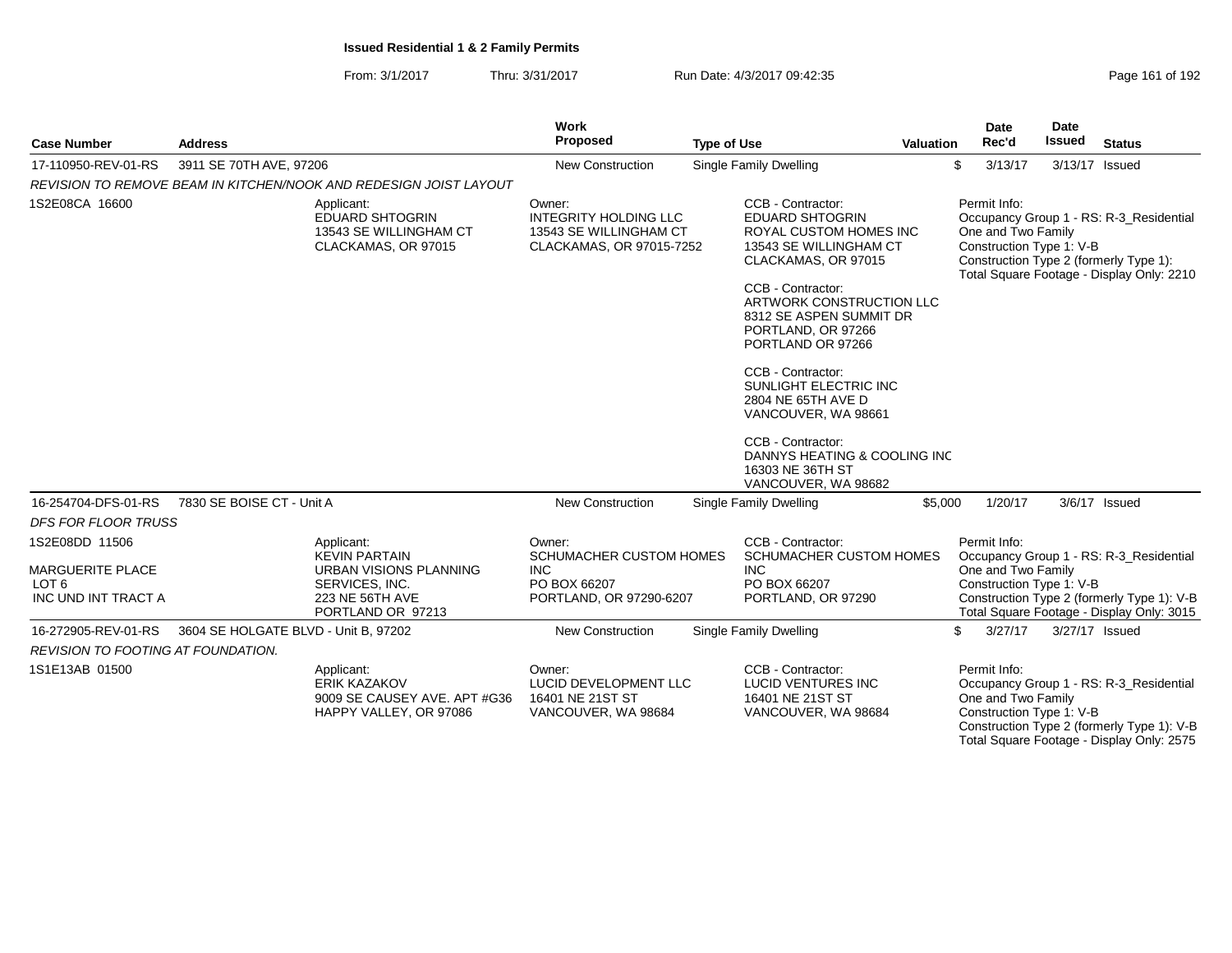|                                                                               |                                      |                                                                                                                        | <b>Work</b>                                                                                       |                                                                                                                                                                                                           |                  | Date                                                           | <b>Date</b>   |                                                                                                                                    |
|-------------------------------------------------------------------------------|--------------------------------------|------------------------------------------------------------------------------------------------------------------------|---------------------------------------------------------------------------------------------------|-----------------------------------------------------------------------------------------------------------------------------------------------------------------------------------------------------------|------------------|----------------------------------------------------------------|---------------|------------------------------------------------------------------------------------------------------------------------------------|
| <b>Case Number</b>                                                            | <b>Address</b>                       |                                                                                                                        | Proposed                                                                                          | <b>Type of Use</b>                                                                                                                                                                                        | <b>Valuation</b> | Rec'd                                                          | <b>Issued</b> | <b>Status</b>                                                                                                                      |
| 17-110950-REV-01-RS                                                           | 3911 SE 70TH AVE, 97206              |                                                                                                                        | <b>New Construction</b>                                                                           | Single Family Dwelling                                                                                                                                                                                    |                  | \$<br>3/13/17                                                  |               | 3/13/17 Issued                                                                                                                     |
|                                                                               |                                      | REVISION TO REMOVE BEAM IN KITCHEN/NOOK AND REDESIGN JOIST LAYOUT                                                      |                                                                                                   |                                                                                                                                                                                                           |                  |                                                                |               |                                                                                                                                    |
| 1S2E08CA 16600                                                                |                                      | Applicant:<br><b>EDUARD SHTOGRIN</b><br>13543 SE WILLINGHAM CT<br>CLACKAMAS, OR 97015                                  | Owner:<br><b>INTEGRITY HOLDING LLC</b><br>13543 SE WILLINGHAM CT<br>CLACKAMAS, OR 97015-7252      | CCB - Contractor:<br><b>EDUARD SHTOGRIN</b><br><b>ROYAL CUSTOM HOMES INC</b><br>13543 SE WILLINGHAM CT<br>CLACKAMAS, OR 97015<br>CCB - Contractor:<br>ARTWORK CONSTRUCTION LLC<br>8312 SE ASPEN SUMMIT DR |                  | Permit Info:<br>One and Two Family<br>Construction Type 1: V-B |               | Occupancy Group 1 - RS: R-3_Residential<br>Construction Type 2 (formerly Type 1):<br>Total Square Footage - Display Only: 2210     |
|                                                                               |                                      |                                                                                                                        |                                                                                                   | PORTLAND, OR 97266<br>PORTLAND OR 97266                                                                                                                                                                   |                  |                                                                |               |                                                                                                                                    |
|                                                                               |                                      |                                                                                                                        |                                                                                                   | CCB - Contractor:<br>SUNLIGHT ELECTRIC INC<br>2804 NE 65TH AVE D<br>VANCOUVER, WA 98661                                                                                                                   |                  |                                                                |               |                                                                                                                                    |
|                                                                               |                                      |                                                                                                                        |                                                                                                   | CCB - Contractor:<br>DANNYS HEATING & COOLING INC<br>16303 NE 36TH ST<br>VANCOUVER, WA 98682                                                                                                              |                  |                                                                |               |                                                                                                                                    |
| 16-254704-DFS-01-RS                                                           | 7830 SE BOISE CT - Unit A            |                                                                                                                        | <b>New Construction</b>                                                                           | Single Family Dwelling                                                                                                                                                                                    | \$5,000          | 1/20/17                                                        |               | 3/6/17 Issued                                                                                                                      |
| <b>DFS FOR FLOOR TRUSS</b>                                                    |                                      |                                                                                                                        |                                                                                                   |                                                                                                                                                                                                           |                  |                                                                |               |                                                                                                                                    |
| 1S2E08DD 11506<br>MARGUERITE PLACE<br>LOT <sub>6</sub><br>INC UND INT TRACT A |                                      | Applicant:<br><b>KEVIN PARTAIN</b><br>URBAN VISIONS PLANNING<br>SERVICES, INC.<br>223 NE 56TH AVE<br>PORTLAND OR 97213 | Owner:<br><b>SCHUMACHER CUSTOM HOMES</b><br><b>INC</b><br>PO BOX 66207<br>PORTLAND, OR 97290-6207 | CCB - Contractor:<br>SCHUMACHER CUSTOM HOMES<br><b>INC</b><br>PO BOX 66207<br>PORTLAND, OR 97290                                                                                                          |                  | Permit Info:<br>One and Two Family<br>Construction Type 1: V-B |               | Occupancy Group 1 - RS: R-3_Residential<br>Construction Type 2 (formerly Type 1): V-B<br>Total Square Footage - Display Only: 3015 |
| 16-272905-REV-01-RS                                                           | 3604 SE HOLGATE BLVD - Unit B, 97202 |                                                                                                                        | New Construction                                                                                  | Single Family Dwelling                                                                                                                                                                                    |                  | \$<br>3/27/17                                                  |               | 3/27/17 Issued                                                                                                                     |
| <b>REVISION TO FOOTING AT FOUNDATION.</b>                                     |                                      |                                                                                                                        |                                                                                                   |                                                                                                                                                                                                           |                  |                                                                |               |                                                                                                                                    |
| 1S1E13AB 01500                                                                |                                      | Applicant:<br><b>ERIK KAZAKOV</b><br>9009 SE CAUSEY AVE. APT #G36<br>HAPPY VALLEY, OR 97086                            | Owner:<br>LUCID DEVELOPMENT LLC<br>16401 NE 21ST ST<br>VANCOUVER, WA 98684                        | CCB - Contractor:<br>LUCID VENTURES INC<br>16401 NE 21ST ST<br>VANCOUVER, WA 98684                                                                                                                        |                  | Permit Info:<br>One and Two Family<br>Construction Type 1: V-B |               | Occupancy Group 1 - RS: R-3_Residential<br>Construction Type 2 (formerly Type 1): V-B<br>Total Square Footage - Display Only: 2575 |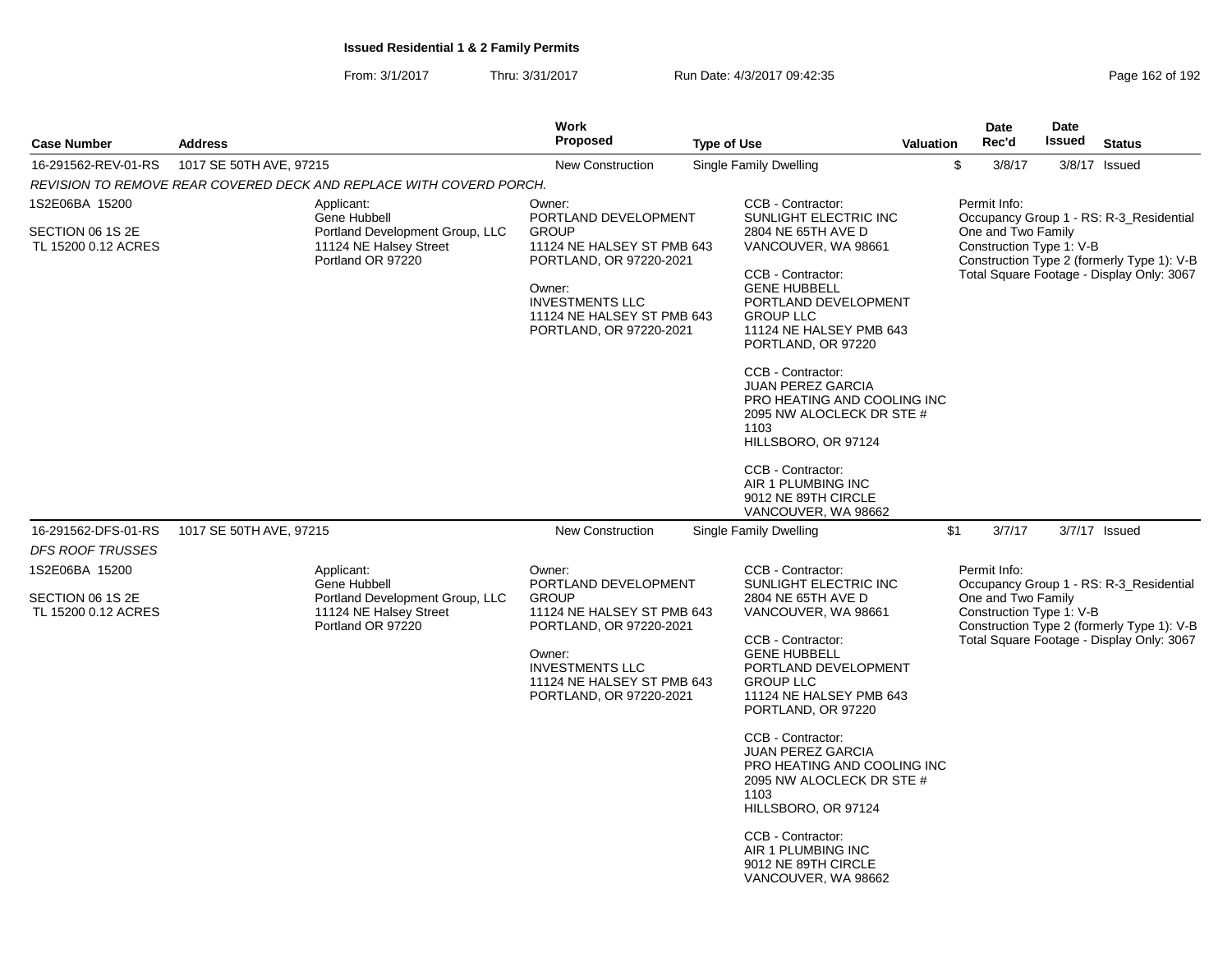From: 3/1/2017Thru: 3/31/2017 Run Date: 4/3/2017 09:42:35 Research 2010 192

|                                                           |                                                                                                              | Work                                                                                                                                                                                                 |                                                                                                                                                                                                                                                                                                                                                                                                                                                                       |                  |                | Date               | <b>Date</b>              |                                                                                                                                    |
|-----------------------------------------------------------|--------------------------------------------------------------------------------------------------------------|------------------------------------------------------------------------------------------------------------------------------------------------------------------------------------------------------|-----------------------------------------------------------------------------------------------------------------------------------------------------------------------------------------------------------------------------------------------------------------------------------------------------------------------------------------------------------------------------------------------------------------------------------------------------------------------|------------------|----------------|--------------------|--------------------------|------------------------------------------------------------------------------------------------------------------------------------|
| <b>Case Number</b>                                        | <b>Address</b>                                                                                               | <b>Proposed</b>                                                                                                                                                                                      | <b>Type of Use</b>                                                                                                                                                                                                                                                                                                                                                                                                                                                    | <b>Valuation</b> |                | Rec'd              | Issued                   | <b>Status</b>                                                                                                                      |
| 16-291562-REV-01-RS                                       | 1017 SE 50TH AVE, 97215                                                                                      | <b>New Construction</b>                                                                                                                                                                              | <b>Single Family Dwelling</b>                                                                                                                                                                                                                                                                                                                                                                                                                                         |                  | $$\mathbb{S}$$ | 3/8/17             |                          | 3/8/17 Issued                                                                                                                      |
|                                                           | REVISION TO REMOVE REAR COVERED DECK AND REPLACE WITH COVERD PORCH.                                          |                                                                                                                                                                                                      |                                                                                                                                                                                                                                                                                                                                                                                                                                                                       |                  |                |                    |                          |                                                                                                                                    |
| 1S2E06BA 15200<br>SECTION 06 1S 2E<br>TL 15200 0.12 ACRES | Applicant:<br>Gene Hubbell<br>Portland Development Group, LLC<br>11124 NE Halsey Street<br>Portland OR 97220 | Owner:<br>PORTLAND DEVELOPMENT<br><b>GROUP</b><br>11124 NE HALSEY ST PMB 643<br>PORTLAND, OR 97220-2021<br>Owner:<br><b>INVESTMENTS LLC</b><br>11124 NE HALSEY ST PMB 643<br>PORTLAND, OR 97220-2021 | CCB - Contractor:<br>SUNLIGHT ELECTRIC INC<br>2804 NE 65TH AVE D<br>VANCOUVER, WA 98661<br>CCB - Contractor:<br><b>GENE HUBBELL</b><br>PORTLAND DEVELOPMENT<br><b>GROUP LLC</b><br>11124 NE HALSEY PMB 643<br>PORTLAND, OR 97220<br>CCB - Contractor:<br><b>JUAN PEREZ GARCIA</b><br>PRO HEATING AND COOLING INC<br>2095 NW ALOCLECK DR STE #<br>1103<br>HILLSBORO, OR 97124<br>CCB - Contractor:<br>AIR 1 PLUMBING INC<br>9012 NE 89TH CIRCLE<br>VANCOUVER, WA 98662 |                  | Permit Info:   | One and Two Family | Construction Type 1: V-B | Occupancy Group 1 - RS: R-3_Residential<br>Construction Type 2 (formerly Type 1): V-B<br>Total Square Footage - Display Only: 3067 |
| 16-291562-DFS-01-RS<br><b>DFS ROOF TRUSSES</b>            | 1017 SE 50TH AVE, 97215                                                                                      | <b>New Construction</b>                                                                                                                                                                              | Single Family Dwelling                                                                                                                                                                                                                                                                                                                                                                                                                                                |                  | \$1            | 3/7/17             |                          | 3/7/17 Issued                                                                                                                      |
| 1S2E06BA 15200<br>SECTION 06 1S 2E<br>TL 15200 0.12 ACRES | Applicant:<br>Gene Hubbell<br>Portland Development Group, LLC<br>11124 NE Halsey Street<br>Portland OR 97220 | Owner:<br>PORTLAND DEVELOPMENT<br><b>GROUP</b><br>11124 NE HALSEY ST PMB 643<br>PORTLAND, OR 97220-2021<br>Owner:<br><b>INVESTMENTS LLC</b><br>11124 NE HALSEY ST PMB 643<br>PORTLAND, OR 97220-2021 | CCB - Contractor:<br>SUNLIGHT ELECTRIC INC<br>2804 NE 65TH AVE D<br>VANCOUVER, WA 98661<br>CCB - Contractor:<br><b>GENE HUBBELL</b><br>PORTLAND DEVELOPMENT<br><b>GROUP LLC</b><br>11124 NE HALSEY PMB 643<br>PORTLAND, OR 97220<br>CCB - Contractor:<br><b>JUAN PEREZ GARCIA</b><br>PRO HEATING AND COOLING INC<br>2095 NW ALOCLECK DR STE #<br>1103<br>HILLSBORO, OR 97124<br>CCB - Contractor:<br>AIR 1 PLUMBING INC<br>9012 NE 89TH CIRCLE<br>VANCOUVER, WA 98662 |                  | Permit Info:   | One and Two Family | Construction Type 1: V-B | Occupancy Group 1 - RS: R-3_Residential<br>Construction Type 2 (formerly Type 1): V-B<br>Total Square Footage - Display Only: 3067 |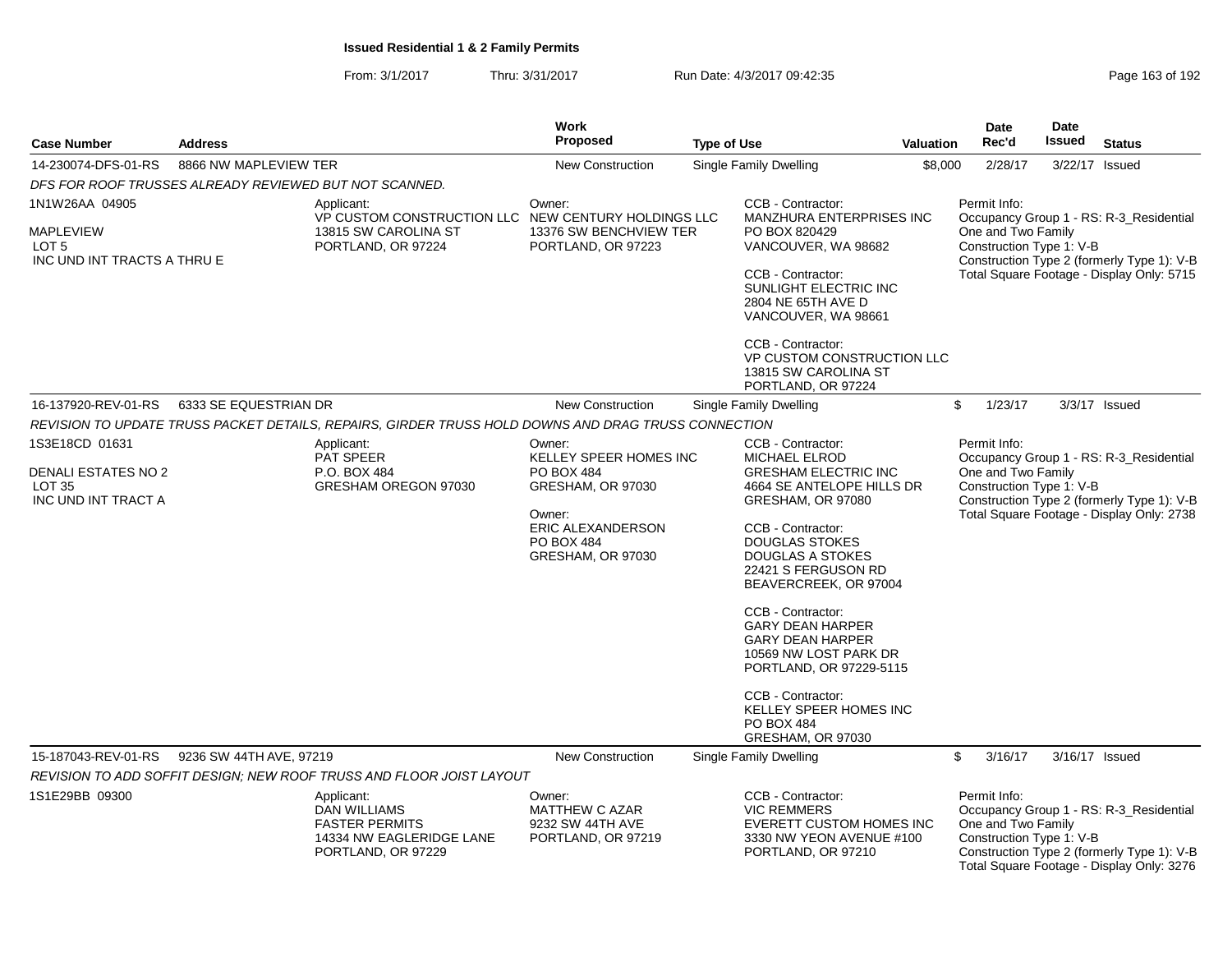| <b>Case Number</b>                                                  | <b>Address</b>                                         |                                                                                                              | <b>Work</b><br>Proposed                                                                                  | <b>Type of Use</b> |                                                                                                                                                                                                                                                                                                                                                                                                                         | <b>Valuation</b> | <b>Date</b><br>Rec'd                                                                                                                      | Date<br><b>Issued</b> | <b>Status</b>                                                                                                                      |
|---------------------------------------------------------------------|--------------------------------------------------------|--------------------------------------------------------------------------------------------------------------|----------------------------------------------------------------------------------------------------------|--------------------|-------------------------------------------------------------------------------------------------------------------------------------------------------------------------------------------------------------------------------------------------------------------------------------------------------------------------------------------------------------------------------------------------------------------------|------------------|-------------------------------------------------------------------------------------------------------------------------------------------|-----------------------|------------------------------------------------------------------------------------------------------------------------------------|
| 14-230074-DFS-01-RS                                                 | 8866 NW MAPLEVIEW TER                                  |                                                                                                              | <b>New Construction</b>                                                                                  |                    | <b>Single Family Dwelling</b>                                                                                                                                                                                                                                                                                                                                                                                           | \$8,000          | 2/28/17                                                                                                                                   | 3/22/17               | Issued                                                                                                                             |
|                                                                     | DFS FOR ROOF TRUSSES ALREADY REVIEWED BUT NOT SCANNED. |                                                                                                              |                                                                                                          |                    |                                                                                                                                                                                                                                                                                                                                                                                                                         |                  |                                                                                                                                           |                       |                                                                                                                                    |
| 1N1W26AA 04905                                                      |                                                        | Applicant:<br>VP CUSTOM CONSTRUCTION LLC NEW CENTURY HOLDINGS LLC                                            | Owner:                                                                                                   |                    | CCB - Contractor:<br>MANZHURA ENTERPRISES INC                                                                                                                                                                                                                                                                                                                                                                           |                  | Permit Info:                                                                                                                              |                       | Occupancy Group 1 - RS: R-3_Residential                                                                                            |
| <b>MAPLEVIEW</b><br>LOT <sub>5</sub><br>INC UND INT TRACTS A THRU E | 13815 SW CAROLINA ST<br>PORTLAND, OR 97224             |                                                                                                              | 13376 SW BENCHVIEW TER<br>PORTLAND, OR 97223                                                             |                    | PO BOX 820429<br>VANCOUVER, WA 98682<br>CCB - Contractor:<br>SUNLIGHT ELECTRIC INC<br>2804 NE 65TH AVE D<br>VANCOUVER, WA 98661                                                                                                                                                                                                                                                                                         |                  | One and Two Family<br>Construction Type 1: V-B<br>Construction Type 2 (formerly Type 1): V-B<br>Total Square Footage - Display Only: 5715 |                       |                                                                                                                                    |
|                                                                     |                                                        |                                                                                                              |                                                                                                          |                    | CCB - Contractor:<br>VP CUSTOM CONSTRUCTION LLC<br>13815 SW CAROLINA ST<br>PORTLAND, OR 97224                                                                                                                                                                                                                                                                                                                           |                  |                                                                                                                                           |                       |                                                                                                                                    |
| 16-137920-REV-01-RS                                                 | 6333 SE EQUESTRIAN DR                                  |                                                                                                              | <b>New Construction</b>                                                                                  |                    | Single Family Dwelling                                                                                                                                                                                                                                                                                                                                                                                                  |                  | $\frac{2}{3}$<br>1/23/17                                                                                                                  |                       | 3/3/17 Issued                                                                                                                      |
|                                                                     |                                                        | REVISION TO UPDATE TRUSS PACKET DETAILS, REPAIRS, GIRDER TRUSS HOLD DOWNS AND DRAG TRUSS CONNECTION          |                                                                                                          |                    |                                                                                                                                                                                                                                                                                                                                                                                                                         |                  |                                                                                                                                           |                       |                                                                                                                                    |
| 1S3E18CD 01631                                                      |                                                        | Applicant:<br><b>PAT SPEER</b>                                                                               | Owner:<br>KELLEY SPEER HOMES INC                                                                         |                    | CCB - Contractor:<br>MICHAEL ELROD                                                                                                                                                                                                                                                                                                                                                                                      |                  | Permit Info:                                                                                                                              |                       | Occupancy Group 1 - RS: R-3_Residential                                                                                            |
| DENALI ESTATES NO 2<br><b>LOT 35</b><br>INC UND INT TRACT A         |                                                        | P.O. BOX 484<br>GRESHAM OREGON 97030                                                                         | PO BOX 484<br>GRESHAM, OR 97030<br>Owner:<br>ERIC ALEXANDERSON<br><b>PO BOX 484</b><br>GRESHAM, OR 97030 |                    | <b>GRESHAM ELECTRIC INC</b><br>4664 SE ANTELOPE HILLS DR<br>GRESHAM, OR 97080<br>CCB - Contractor:<br><b>DOUGLAS STOKES</b><br><b>DOUGLAS A STOKES</b><br>22421 S FERGUSON RD<br>BEAVERCREEK, OR 97004<br>CCB - Contractor:<br><b>GARY DEAN HARPER</b><br><b>GARY DEAN HARPER</b><br>10569 NW LOST PARK DR<br>PORTLAND, OR 97229-5115<br>CCB - Contractor:<br>KELLEY SPEER HOMES INC<br>PO BOX 484<br>GRESHAM, OR 97030 |                  | One and Two Family<br>Construction Type 1: V-B                                                                                            |                       | Construction Type 2 (formerly Type 1): V-B<br>Total Square Footage - Display Only: 2738                                            |
| 15-187043-REV-01-RS                                                 | 9236 SW 44TH AVE, 97219                                |                                                                                                              | <b>New Construction</b>                                                                                  |                    | Single Family Dwelling                                                                                                                                                                                                                                                                                                                                                                                                  |                  | \$<br>3/16/17                                                                                                                             |                       | 3/16/17 Issued                                                                                                                     |
|                                                                     |                                                        | REVISION TO ADD SOFFIT DESIGN; NEW ROOF TRUSS AND FLOOR JOIST LAYOUT                                         |                                                                                                          |                    |                                                                                                                                                                                                                                                                                                                                                                                                                         |                  |                                                                                                                                           |                       |                                                                                                                                    |
| 1S1E29BB 09300                                                      |                                                        | Applicant:<br><b>DAN WILLIAMS</b><br><b>FASTER PERMITS</b><br>14334 NW EAGLERIDGE LANE<br>PORTLAND, OR 97229 | Owner:<br><b>MATTHEW C AZAR</b><br>9232 SW 44TH AVE<br>PORTLAND, OR 97219                                |                    | CCB - Contractor:<br><b>VIC REMMERS</b><br>EVERETT CUSTOM HOMES INC<br>3330 NW YEON AVENUE #100<br>PORTLAND, OR 97210                                                                                                                                                                                                                                                                                                   |                  | Permit Info:<br>One and Two Family<br>Construction Type 1: V-B                                                                            |                       | Occupancy Group 1 - RS: R-3_Residential<br>Construction Type 2 (formerly Type 1): V-B<br>Total Square Footage - Display Only: 3276 |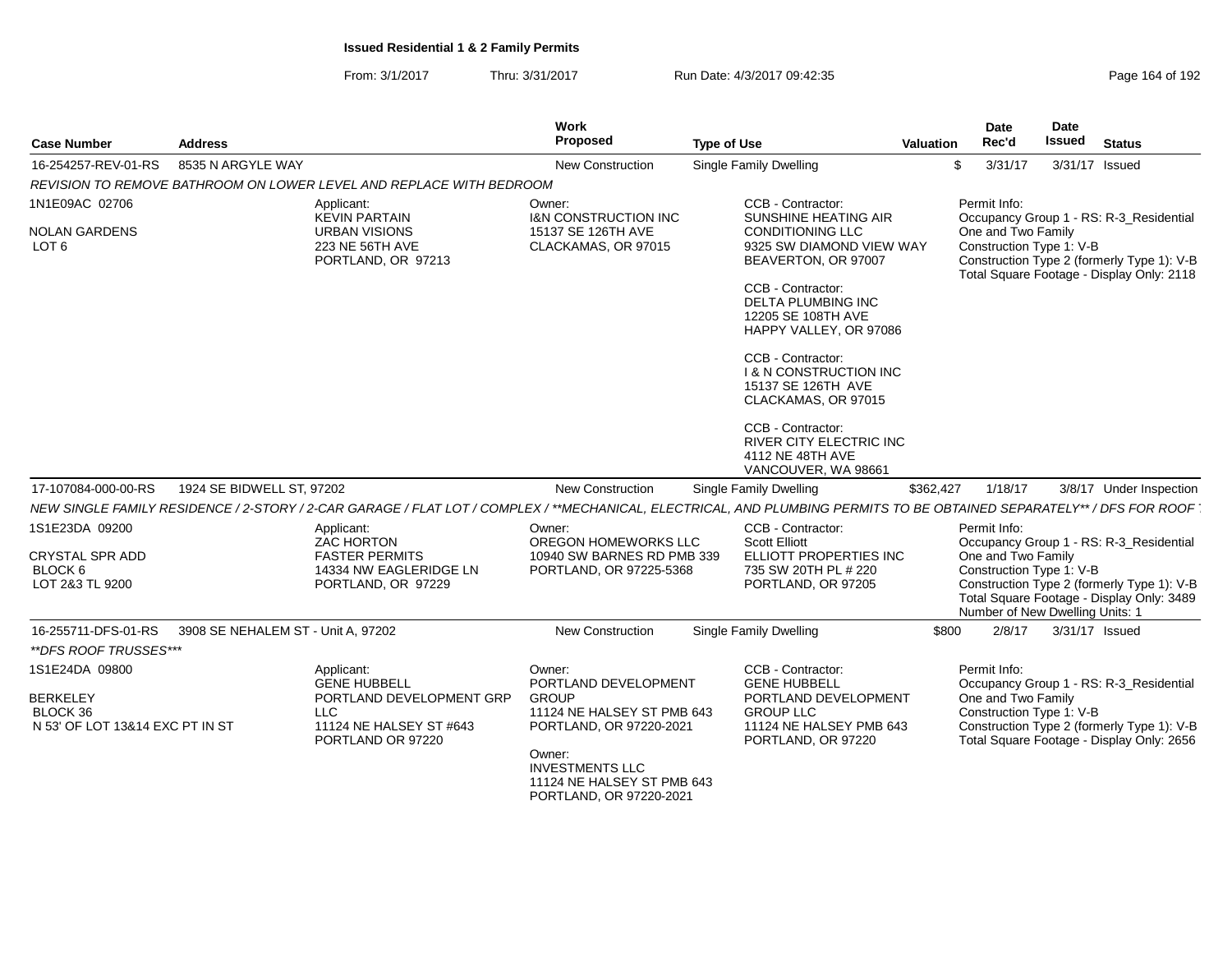| <b>Case Number</b>                          | <b>Address</b>                     |                                                                     | Work<br>Proposed                                                                          | <b>Type of Use</b>                                                                                                                                                    | Valuation | Date<br>Rec'd                                  | Date<br>Issued | <b>Status</b>                                                                           |
|---------------------------------------------|------------------------------------|---------------------------------------------------------------------|-------------------------------------------------------------------------------------------|-----------------------------------------------------------------------------------------------------------------------------------------------------------------------|-----------|------------------------------------------------|----------------|-----------------------------------------------------------------------------------------|
| 16-254257-REV-01-RS                         | 8535 N ARGYLE WAY                  |                                                                     | <b>New Construction</b>                                                                   | Single Family Dwelling                                                                                                                                                | \$        | 3/31/17                                        |                | 3/31/17 Issued                                                                          |
|                                             |                                    | REVISION TO REMOVE BATHROOM ON LOWER LEVEL AND REPLACE WITH BEDROOM |                                                                                           |                                                                                                                                                                       |           |                                                |                |                                                                                         |
| 1N1E09AC 02706                              |                                    | Applicant:<br><b>KEVIN PARTAIN</b>                                  | Owner:<br><b>I&amp;N CONSTRUCTION INC</b>                                                 | CCB - Contractor:<br><b>SUNSHINE HEATING AIR</b>                                                                                                                      |           | Permit Info:                                   |                | Occupancy Group 1 - RS: R-3_Residential                                                 |
| <b>NOLAN GARDENS</b><br>LOT <sub>6</sub>    |                                    | <b>URBAN VISIONS</b><br>223 NE 56TH AVE<br>PORTLAND, OR 97213       | 15137 SE 126TH AVE<br>CLACKAMAS, OR 97015                                                 | <b>CONDITIONING LLC</b><br>9325 SW DIAMOND VIEW WAY<br>BEAVERTON, OR 97007                                                                                            |           | One and Two Family<br>Construction Type 1: V-B |                | Construction Type 2 (formerly Type 1): V-B<br>Total Square Footage - Display Only: 2118 |
|                                             |                                    |                                                                     |                                                                                           | CCB - Contractor:<br>DELTA PLUMBING INC<br>12205 SE 108TH AVE<br>HAPPY VALLEY, OR 97086                                                                               |           |                                                |                |                                                                                         |
|                                             |                                    |                                                                     |                                                                                           | CCB - Contractor:<br><b>1 &amp; N CONSTRUCTION INC</b><br>15137 SE 126TH AVE<br>CLACKAMAS, OR 97015                                                                   |           |                                                |                |                                                                                         |
|                                             |                                    |                                                                     |                                                                                           | CCB - Contractor:<br>RIVER CITY ELECTRIC INC<br>4112 NE 48TH AVE<br>VANCOUVER, WA 98661                                                                               |           |                                                |                |                                                                                         |
| 17-107084-000-00-RS                         | 1924 SE BIDWELL ST, 97202          |                                                                     | <b>New Construction</b>                                                                   | Single Family Dwelling                                                                                                                                                | \$362,427 | 1/18/17                                        |                | 3/8/17 Under Inspection                                                                 |
|                                             |                                    |                                                                     |                                                                                           | NEW SINGLE FAMILY RESIDENCE / 2-STORY / 2-CAR GARAGE / FLAT LOT / COMPLEX / **MECHANICAL, ELECTRICAL, AND PLUMBING PERMITS TO BE OBTAINED SEPARATELY** / DFS FOR ROOF |           |                                                |                |                                                                                         |
| 1S1E23DA 09200                              |                                    | Applicant:<br><b>ZAC HORTON</b>                                     | Owner:<br>OREGON HOMEWORKS LLC                                                            | CCB - Contractor:<br><b>Scott Elliott</b>                                                                                                                             |           | Permit Info:                                   |                | Occupancy Group 1 - RS: R-3_Residential                                                 |
| <b>CRYSTAL SPR ADD</b><br>BLOCK 6           |                                    | <b>FASTER PERMITS</b><br>14334 NW EAGLERIDGE LN                     | 10940 SW BARNES RD PMB 339<br>PORTLAND, OR 97225-5368                                     | ELLIOTT PROPERTIES INC<br>735 SW 20TH PL # 220                                                                                                                        |           | One and Two Family<br>Construction Type 1: V-B |                |                                                                                         |
| LOT 2&3 TL 9200                             |                                    | PORTLAND, OR 97229                                                  |                                                                                           | PORTLAND, OR 97205                                                                                                                                                    |           | Number of New Dwelling Units: 1                |                | Construction Type 2 (formerly Type 1): V-B<br>Total Square Footage - Display Only: 3489 |
| 16-255711-DFS-01-RS                         | 3908 SE NEHALEM ST - Unit A, 97202 |                                                                     | <b>New Construction</b>                                                                   | Single Family Dwelling                                                                                                                                                | \$800     | 2/8/17                                         |                | 3/31/17 Issued                                                                          |
| **DFS ROOF TRUSSES***                       |                                    |                                                                     |                                                                                           |                                                                                                                                                                       |           |                                                |                |                                                                                         |
| 1S1E24DA 09800                              |                                    | Applicant:<br><b>GENE HUBBELL</b>                                   | Owner:<br>PORTLAND DEVELOPMENT                                                            | CCB - Contractor:<br><b>GENE HUBBELL</b>                                                                                                                              |           | Permit Info:                                   |                | Occupancy Group 1 - RS: R-3_Residential                                                 |
| <b>BERKELEY</b>                             |                                    | PORTLAND DEVELOPMENT GRP                                            | <b>GROUP</b>                                                                              | PORTLAND DEVELOPMENT                                                                                                                                                  |           | One and Two Family                             |                |                                                                                         |
| BLOCK 36<br>N 53' OF LOT 13&14 EXC PT IN ST |                                    | LLC<br>11124 NE HALSEY ST #643<br>PORTLAND OR 97220                 | 11124 NE HALSEY ST PMB 643<br>PORTLAND, OR 97220-2021                                     | <b>GROUP LLC</b><br>11124 NE HALSEY PMB 643<br>PORTLAND, OR 97220                                                                                                     |           | Construction Type 1: V-B                       |                | Construction Type 2 (formerly Type 1): V-B<br>Total Square Footage - Display Only: 2656 |
|                                             |                                    |                                                                     | Owner:<br><b>INVESTMENTS LLC</b><br>11124 NE HALSEY ST PMB 643<br>PORTLAND, OR 97220-2021 |                                                                                                                                                                       |           |                                                |                |                                                                                         |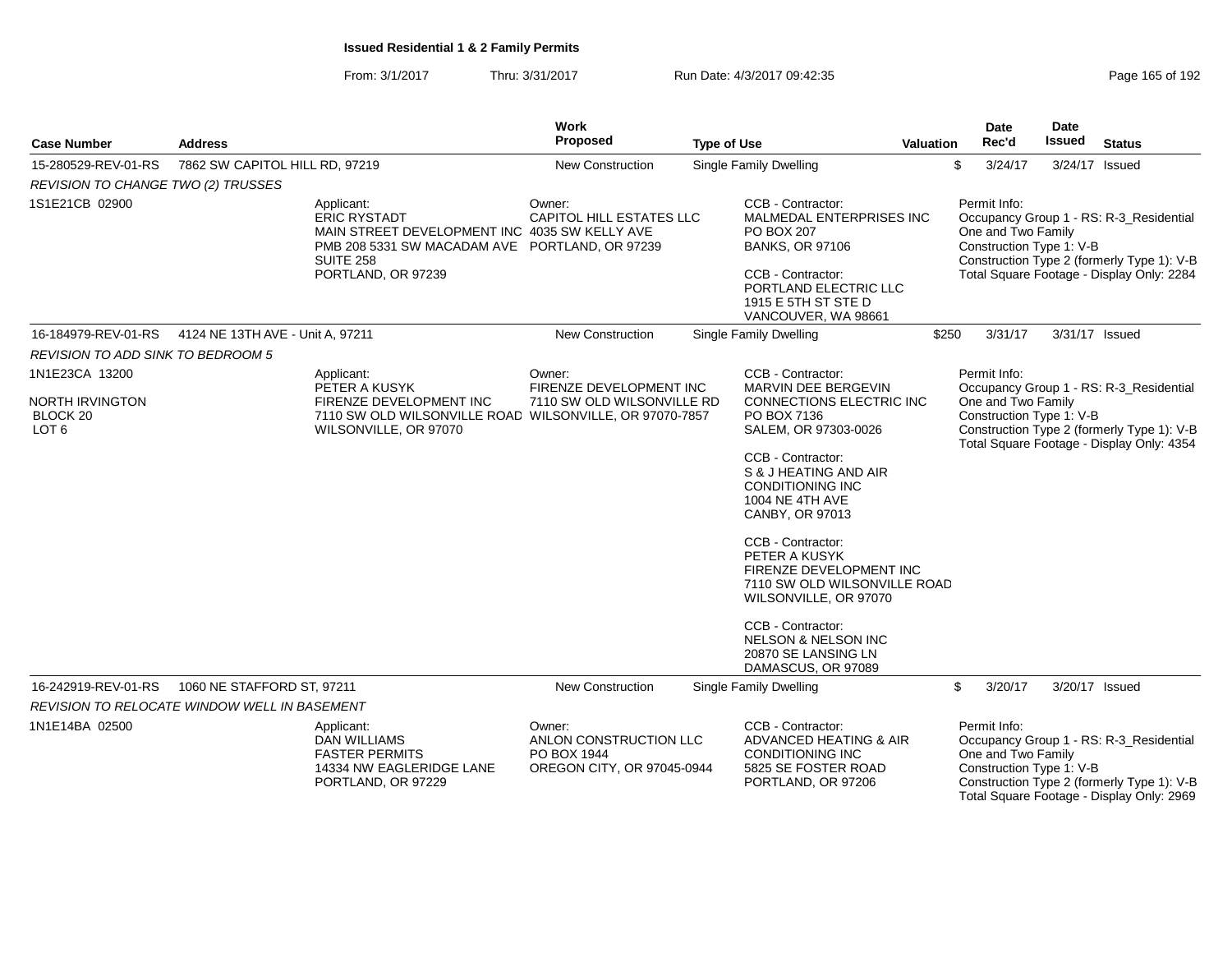| Page 165 of 192 |  |  |  |
|-----------------|--|--|--|
|-----------------|--|--|--|

| <b>Case Number</b>                                         | <b>Address</b>                                       |                                                                                                                                                                                | Work<br>Proposed                                                              | <b>Type of Use</b>                                                                                                                                                                                                   | Valuation | Date<br>Rec'd                                                  | <b>Date</b><br>Issued | <b>Status</b>                                                                                                                      |
|------------------------------------------------------------|------------------------------------------------------|--------------------------------------------------------------------------------------------------------------------------------------------------------------------------------|-------------------------------------------------------------------------------|----------------------------------------------------------------------------------------------------------------------------------------------------------------------------------------------------------------------|-----------|----------------------------------------------------------------|-----------------------|------------------------------------------------------------------------------------------------------------------------------------|
| 15-280529-REV-01-RS                                        | 7862 SW CAPITOL HILL RD, 97219                       |                                                                                                                                                                                | <b>New Construction</b>                                                       | <b>Single Family Dwelling</b>                                                                                                                                                                                        |           | \$<br>3/24/17                                                  | 3/24/17 Issued        |                                                                                                                                    |
| REVISION TO CHANGE TWO (2) TRUSSES                         |                                                      |                                                                                                                                                                                |                                                                               |                                                                                                                                                                                                                      |           |                                                                |                       |                                                                                                                                    |
| 1S1E21CB 02900                                             |                                                      | Applicant:<br><b>ERIC RYSTADT</b><br>MAIN STREET DEVELOPMENT INC 4035 SW KELLY AVE<br>PMB 208 5331 SW MACADAM AVE PORTLAND, OR 97239<br><b>SUITE 258</b><br>PORTLAND, OR 97239 | Owner:<br><b>CAPITOL HILL ESTATES LLC</b>                                     | CCB - Contractor:<br>MALMEDAL ENTERPRISES INC<br><b>PO BOX 207</b><br><b>BANKS, OR 97106</b><br>CCB - Contractor:<br>PORTLAND ELECTRIC LLC<br>1915 E 5TH ST STE D<br>VANCOUVER, WA 98661                             |           | Permit Info:<br>One and Two Family<br>Construction Type 1: V-B |                       | Occupancy Group 1 - RS: R-3_Residential<br>Construction Type 2 (formerly Type 1): V-B<br>Total Square Footage - Display Only: 2284 |
|                                                            | 16-184979-REV-01-RS 4124 NE 13TH AVE - Unit A, 97211 |                                                                                                                                                                                | New Construction                                                              | <b>Single Family Dwelling</b>                                                                                                                                                                                        | \$250     | 3/31/17                                                        | 3/31/17 Issued        |                                                                                                                                    |
| REVISION TO ADD SINK TO BEDROOM 5                          |                                                      |                                                                                                                                                                                |                                                                               |                                                                                                                                                                                                                      |           |                                                                |                       |                                                                                                                                    |
| 1N1E23CA 13200                                             |                                                      | Applicant:<br>PETER A KUSYK                                                                                                                                                    | Owner:<br>FIRENZE DEVELOPMENT INC                                             | CCB - Contractor:<br>MARVIN DEE BERGEVIN                                                                                                                                                                             |           | Permit Info:                                                   |                       | Occupancy Group 1 - RS: R-3_Residential                                                                                            |
| NORTH IRVINGTON<br>BLOCK <sub>20</sub><br>LOT <sub>6</sub> |                                                      | FIRENZE DEVELOPMENT INC<br>7110 SW OLD WILSONVILLE ROAD WILSONVILLE, OR 97070-7857<br>WILSONVILLE, OR 97070                                                                    | 7110 SW OLD WILSONVILLE RD                                                    | CONNECTIONS ELECTRIC INC<br>PO BOX 7136<br>SALEM, OR 97303-0026<br>CCB - Contractor:<br>S & J HEATING AND AIR<br><b>CONDITIONING INC</b><br>1004 NE 4TH AVE<br>CANBY, OR 97013<br>CCB - Contractor:<br>PETER A KUSYK |           | One and Two Family<br>Construction Type 1: V-B                 |                       | Construction Type 2 (formerly Type 1): V-B<br>Total Square Footage - Display Only: 4354                                            |
|                                                            |                                                      |                                                                                                                                                                                |                                                                               | FIRENZE DEVELOPMENT INC<br>7110 SW OLD WILSONVILLE ROAD<br>WILSONVILLE, OR 97070<br>CCB - Contractor:<br><b>NELSON &amp; NELSON INC</b><br>20870 SE LANSING LN<br>DAMASCUS, OR 97089                                 |           |                                                                |                       |                                                                                                                                    |
| 16-242919-REV-01-RS                                        | 1060 NE STAFFORD ST, 97211                           |                                                                                                                                                                                | <b>New Construction</b>                                                       | Single Family Dwelling                                                                                                                                                                                               |           | \$<br>3/20/17                                                  | 3/20/17 Issued        |                                                                                                                                    |
|                                                            | REVISION TO RELOCATE WINDOW WELL IN BASEMENT         |                                                                                                                                                                                |                                                                               |                                                                                                                                                                                                                      |           |                                                                |                       |                                                                                                                                    |
| 1N1E14BA 02500                                             |                                                      | Applicant:<br><b>DAN WILLIAMS</b><br><b>FASTER PERMITS</b><br>14334 NW EAGLERIDGE LANE<br>PORTLAND, OR 97229                                                                   | Owner:<br>ANLON CONSTRUCTION LLC<br>PO BOX 1944<br>OREGON CITY, OR 97045-0944 | CCB - Contractor:<br>ADVANCED HEATING & AIR<br><b>CONDITIONING INC</b><br>5825 SE FOSTER ROAD<br>PORTLAND, OR 97206                                                                                                  |           | Permit Info:<br>One and Two Family<br>Construction Type 1: V-B |                       | Occupancy Group 1 - RS: R-3_Residential<br>Construction Type 2 (formerly Type 1): V-B<br>Total Square Footage - Display Only: 2969 |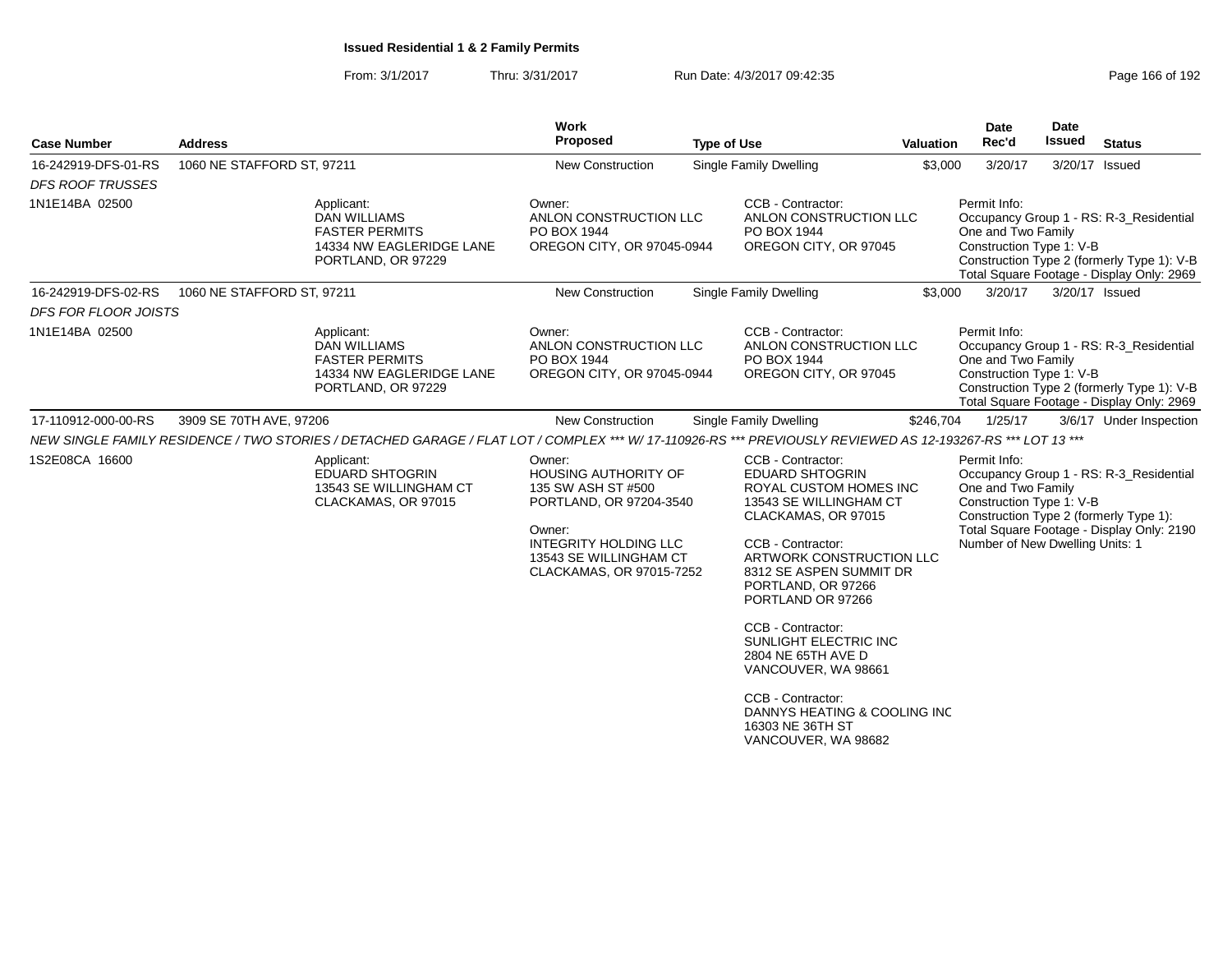| <b>Case Number</b>          | <b>Address</b>                                                                                                                                              |                          | Work<br>Proposed                                                                                                                                                         | <b>Type of Use</b> |                                                                                                                                                                                                                                                                                                                                                                      | <b>Valuation</b> | <b>Date</b><br>Rec'd                                                                              | <b>Date</b><br><b>Issued</b> | <b>Status</b>                                                                                                                      |
|-----------------------------|-------------------------------------------------------------------------------------------------------------------------------------------------------------|--------------------------|--------------------------------------------------------------------------------------------------------------------------------------------------------------------------|--------------------|----------------------------------------------------------------------------------------------------------------------------------------------------------------------------------------------------------------------------------------------------------------------------------------------------------------------------------------------------------------------|------------------|---------------------------------------------------------------------------------------------------|------------------------------|------------------------------------------------------------------------------------------------------------------------------------|
| 16-242919-DFS-01-RS         | 1060 NE STAFFORD ST, 97211                                                                                                                                  |                          | New Construction                                                                                                                                                         |                    | <b>Single Family Dwelling</b>                                                                                                                                                                                                                                                                                                                                        | \$3,000          | 3/20/17                                                                                           |                              | 3/20/17 Issued                                                                                                                     |
| <b>DFS ROOF TRUSSES</b>     |                                                                                                                                                             |                          |                                                                                                                                                                          |                    |                                                                                                                                                                                                                                                                                                                                                                      |                  |                                                                                                   |                              |                                                                                                                                    |
| 1N1E14BA 02500              | Applicant:<br>DAN WILLIAMS<br><b>FASTER PERMITS</b><br>PORTLAND, OR 97229                                                                                   | 14334 NW EAGLERIDGE LANE | Owner:<br>ANLON CONSTRUCTION LLC<br>PO BOX 1944<br>OREGON CITY, OR 97045-0944                                                                                            |                    | CCB - Contractor:<br>ANLON CONSTRUCTION LLC<br>PO BOX 1944<br>OREGON CITY, OR 97045                                                                                                                                                                                                                                                                                  |                  | Permit Info:<br>One and Two Family<br>Construction Type 1: V-B                                    |                              | Occupancy Group 1 - RS: R-3 Residential<br>Construction Type 2 (formerly Type 1): V-B<br>Total Square Footage - Display Only: 2969 |
| 16-242919-DFS-02-RS         | 1060 NE STAFFORD ST, 97211                                                                                                                                  |                          | <b>New Construction</b>                                                                                                                                                  |                    | Single Family Dwelling                                                                                                                                                                                                                                                                                                                                               | \$3,000          | 3/20/17                                                                                           |                              | 3/20/17 Issued                                                                                                                     |
| <b>DFS FOR FLOOR JOISTS</b> |                                                                                                                                                             |                          |                                                                                                                                                                          |                    |                                                                                                                                                                                                                                                                                                                                                                      |                  |                                                                                                   |                              |                                                                                                                                    |
| 1N1E14BA 02500              | Applicant:<br><b>DAN WILLIAMS</b><br><b>FASTER PERMITS</b><br>PORTLAND, OR 97229                                                                            | 14334 NW EAGLERIDGE LANE | Owner:<br>ANLON CONSTRUCTION LLC<br>PO BOX 1944<br>OREGON CITY, OR 97045-0944                                                                                            |                    | CCB - Contractor:<br>ANLON CONSTRUCTION LLC<br>PO BOX 1944<br>OREGON CITY, OR 97045                                                                                                                                                                                                                                                                                  |                  | Permit Info:<br>One and Two Family<br>Construction Type 1: V-B                                    |                              | Occupancy Group 1 - RS: R-3_Residential<br>Construction Type 2 (formerly Type 1): V-B<br>Total Square Footage - Display Only: 2969 |
| 17-110912-000-00-RS         | 3909 SE 70TH AVE, 97206                                                                                                                                     |                          | <b>New Construction</b>                                                                                                                                                  |                    | <b>Single Family Dwelling</b>                                                                                                                                                                                                                                                                                                                                        | \$246,704        | 1/25/17                                                                                           |                              | 3/6/17 Under Inspection                                                                                                            |
|                             | NEW SINGLE FAMILY RESIDENCE / TWO STORIES / DETACHED GARAGE / FLAT LOT / COMPLEX *** W/ 17-110926-RS *** PREVIOUSLY REVIEWED AS 12-193267-RS *** LOT 13 *** |                          |                                                                                                                                                                          |                    |                                                                                                                                                                                                                                                                                                                                                                      |                  |                                                                                                   |                              |                                                                                                                                    |
| 1S2E08CA 16600              | Applicant:<br><b>EDUARD SHTOGRIN</b><br>13543 SE WILLINGHAM CT<br>CLACKAMAS, OR 97015                                                                       |                          | Owner:<br>HOUSING AUTHORITY OF<br>135 SW ASH ST #500<br>PORTLAND, OR 97204-3540<br>Owner:<br>INTEGRITY HOLDING LLC<br>13543 SE WILLINGHAM CT<br>CLACKAMAS, OR 97015-7252 |                    | CCB - Contractor:<br><b>EDUARD SHTOGRIN</b><br><b>ROYAL CUSTOM HOMES INC</b><br>13543 SE WILLINGHAM CT<br>CLACKAMAS, OR 97015<br>CCB - Contractor:<br>ARTWORK CONSTRUCTION LLC<br>8312 SE ASPEN SUMMIT DR<br>PORTLAND, OR 97266<br>PORTLAND OR 97266<br>CCB - Contractor:<br>SUNLIGHT ELECTRIC INC<br>2804 NE 65TH AVE D<br>VANCOUVER, WA 98661<br>CCB - Contractor: |                  | Permit Info:<br>One and Two Family<br>Construction Type 1: V-B<br>Number of New Dwelling Units: 1 |                              | Occupancy Group 1 - RS: R-3_Residential<br>Construction Type 2 (formerly Type 1):<br>Total Square Footage - Display Only: 2190     |
|                             |                                                                                                                                                             |                          |                                                                                                                                                                          |                    | DANNYS HEATING & COOLING INC<br>16303 NE 36TH ST<br>VANCOUVER, WA 98682                                                                                                                                                                                                                                                                                              |                  |                                                                                                   |                              |                                                                                                                                    |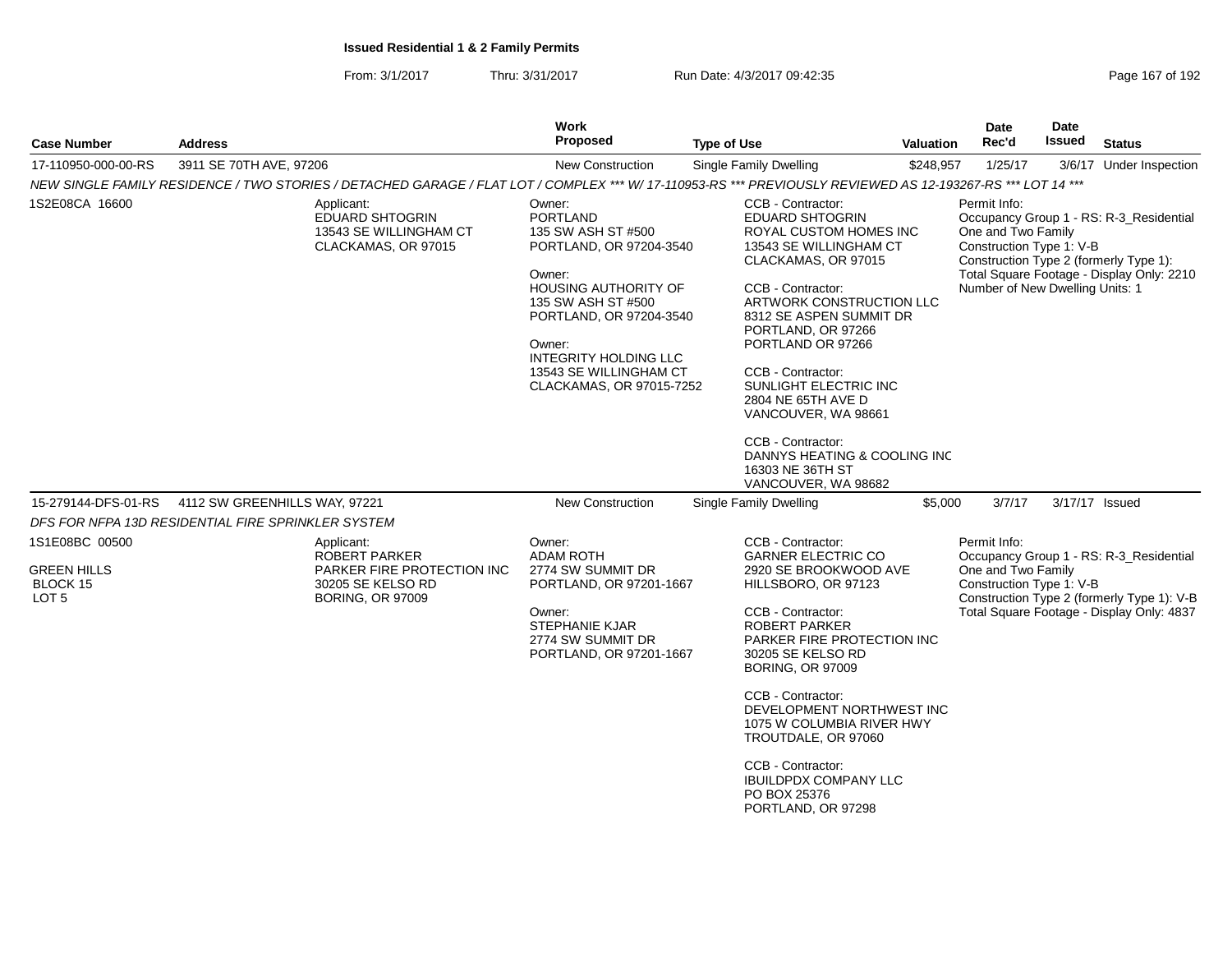| <b>Case Number</b>                                                   | <b>Address</b>                                                                                                                                              | <b>Work</b><br><b>Proposed</b>                                                                                                                                                                                                                                       | <b>Type of Use</b>                                                                                                                                                                                                                                                                                                                                                                                                                       | <b>Valuation</b> | Date<br>Rec'd                                                                                     | <b>Date</b><br>Issued | <b>Status</b>                                                                                                                      |
|----------------------------------------------------------------------|-------------------------------------------------------------------------------------------------------------------------------------------------------------|----------------------------------------------------------------------------------------------------------------------------------------------------------------------------------------------------------------------------------------------------------------------|------------------------------------------------------------------------------------------------------------------------------------------------------------------------------------------------------------------------------------------------------------------------------------------------------------------------------------------------------------------------------------------------------------------------------------------|------------------|---------------------------------------------------------------------------------------------------|-----------------------|------------------------------------------------------------------------------------------------------------------------------------|
| 17-110950-000-00-RS                                                  | 3911 SE 70TH AVE, 97206                                                                                                                                     | <b>New Construction</b>                                                                                                                                                                                                                                              | <b>Single Family Dwelling</b>                                                                                                                                                                                                                                                                                                                                                                                                            | \$248,957        | 1/25/17                                                                                           |                       | 3/6/17 Under Inspection                                                                                                            |
|                                                                      | NEW SINGLE FAMILY RESIDENCE / TWO STORIES / DETACHED GARAGE / FLAT LOT / COMPLEX *** W/ 17-110953-RS *** PREVIOUSLY REVIEWED AS 12-193267-RS *** LOT 14 *** |                                                                                                                                                                                                                                                                      |                                                                                                                                                                                                                                                                                                                                                                                                                                          |                  |                                                                                                   |                       |                                                                                                                                    |
| 1S2E08CA 16600                                                       | Applicant:<br><b>EDUARD SHTOGRIN</b><br>13543 SE WILLINGHAM CT<br>CLACKAMAS, OR 97015                                                                       | Owner:<br><b>PORTLAND</b><br>135 SW ASH ST #500<br>PORTLAND, OR 97204-3540<br>Owner:<br><b>HOUSING AUTHORITY OF</b><br>135 SW ASH ST #500<br>PORTLAND, OR 97204-3540<br>Owner:<br><b>INTEGRITY HOLDING LLC</b><br>13543 SE WILLINGHAM CT<br>CLACKAMAS, OR 97015-7252 | CCB - Contractor:<br><b>EDUARD SHTOGRIN</b><br>ROYAL CUSTOM HOMES INC<br>13543 SE WILLINGHAM CT<br>CLACKAMAS, OR 97015<br>CCB - Contractor:<br>ARTWORK CONSTRUCTION LLC<br>8312 SE ASPEN SUMMIT DR<br>PORTLAND, OR 97266<br>PORTLAND OR 97266<br>CCB - Contractor:<br>SUNLIGHT ELECTRIC INC<br>2804 NE 65TH AVE D<br>VANCOUVER, WA 98661<br>CCB - Contractor:<br>DANNYS HEATING & COOLING INC<br>16303 NE 36TH ST<br>VANCOUVER, WA 98682 |                  | Permit Info:<br>One and Two Family<br>Construction Type 1: V-B<br>Number of New Dwelling Units: 1 |                       | Occupancy Group 1 - RS: R-3_Residential<br>Construction Type 2 (formerly Type 1):<br>Total Square Footage - Display Only: 2210     |
| 15-279144-DFS-01-RS                                                  | 4112 SW GREENHILLS WAY, 97221                                                                                                                               | New Construction                                                                                                                                                                                                                                                     | <b>Single Family Dwelling</b>                                                                                                                                                                                                                                                                                                                                                                                                            | \$5,000          | 3/7/17                                                                                            |                       | 3/17/17 Issued                                                                                                                     |
|                                                                      | DFS FOR NFPA 13D RESIDENTIAL FIRE SPRINKLER SYSTEM                                                                                                          |                                                                                                                                                                                                                                                                      |                                                                                                                                                                                                                                                                                                                                                                                                                                          |                  |                                                                                                   |                       |                                                                                                                                    |
| 1S1E08BC 00500<br><b>GREEN HILLS</b><br>BLOCK 15<br>LOT <sub>5</sub> | Applicant:<br>ROBERT PARKER<br>PARKER FIRE PROTECTION INC<br>30205 SE KELSO RD<br><b>BORING, OR 97009</b>                                                   | Owner:<br><b>ADAM ROTH</b><br>2774 SW SUMMIT DR<br>PORTLAND, OR 97201-1667<br>Owner:<br><b>STEPHANIE KJAR</b><br>2774 SW SUMMIT DR<br>PORTLAND, OR 97201-1667                                                                                                        | CCB - Contractor:<br><b>GARNER ELECTRIC CO</b><br>2920 SE BROOKWOOD AVE<br>HILLSBORO, OR 97123<br>CCB - Contractor:<br>ROBERT PARKER<br>PARKER FIRE PROTECTION INC<br>30205 SE KELSO RD<br><b>BORING, OR 97009</b><br>CCB - Contractor:<br>DEVELOPMENT NORTHWEST INC<br>1075 W COLUMBIA RIVER HWY                                                                                                                                        |                  | Permit Info:<br>One and Two Family<br>Construction Type 1: V-B                                    |                       | Occupancy Group 1 - RS: R-3_Residential<br>Construction Type 2 (formerly Type 1): V-B<br>Total Square Footage - Display Only: 4837 |
|                                                                      |                                                                                                                                                             |                                                                                                                                                                                                                                                                      | TROUTDALE, OR 97060<br>CCB - Contractor:<br><b>IBUILDPDX COMPANY LLC</b><br>PO BOX 25376<br>PORTLAND, OR 97298                                                                                                                                                                                                                                                                                                                           |                  |                                                                                                   |                       |                                                                                                                                    |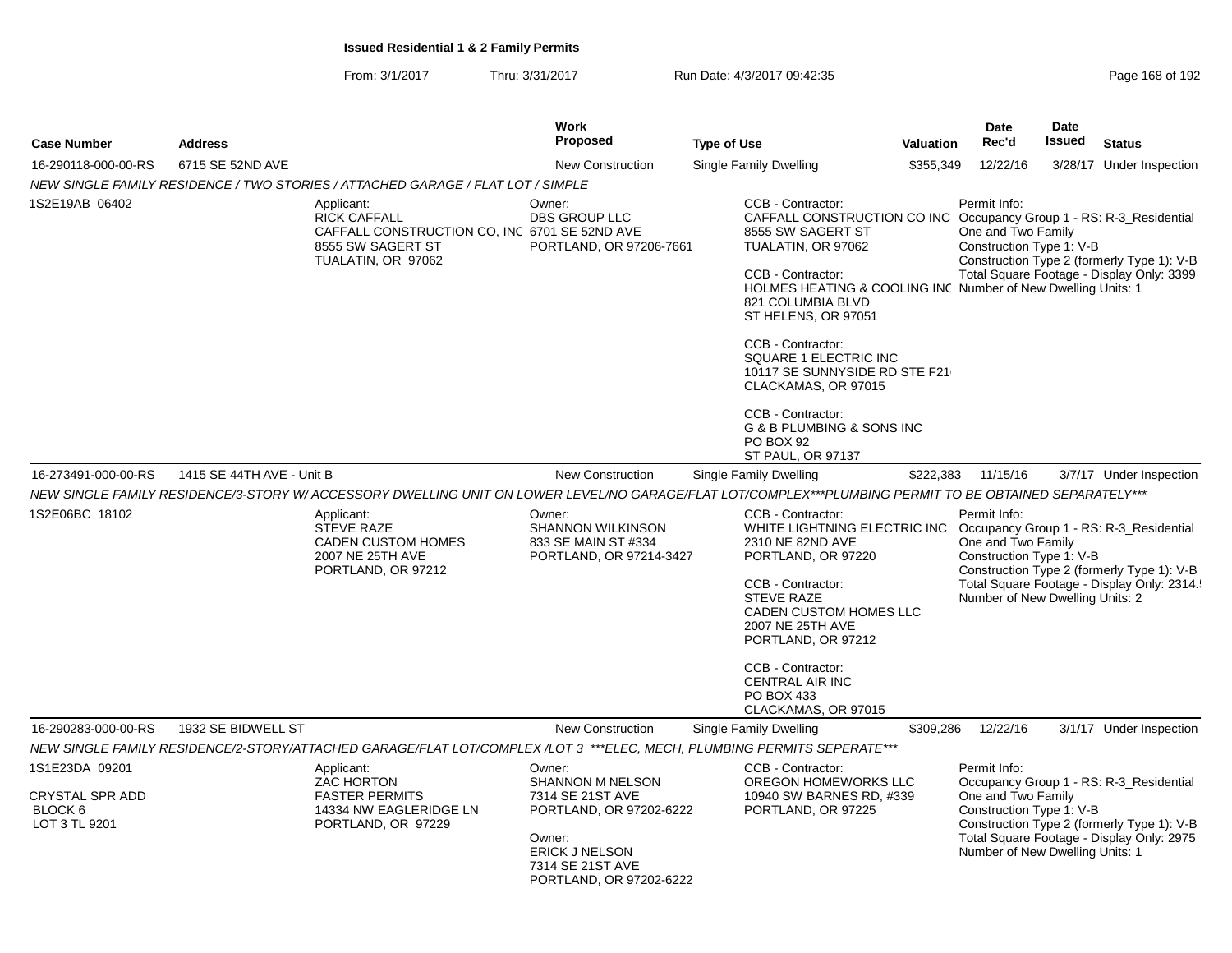| <b>Case Number</b>                                                   | <b>Address</b>            |                                                                                                                                                         | Work<br><b>Proposed</b>                                                                                                                                     | <b>Type of Use</b>                                                                                                                                                                                                                                                                                                                                                                                                                               | Valuation | <b>Date</b><br>Rec'd                                                                              | <b>Date</b><br><b>Issued</b> | <b>Status</b>                                                                                                                       |
|----------------------------------------------------------------------|---------------------------|---------------------------------------------------------------------------------------------------------------------------------------------------------|-------------------------------------------------------------------------------------------------------------------------------------------------------------|--------------------------------------------------------------------------------------------------------------------------------------------------------------------------------------------------------------------------------------------------------------------------------------------------------------------------------------------------------------------------------------------------------------------------------------------------|-----------|---------------------------------------------------------------------------------------------------|------------------------------|-------------------------------------------------------------------------------------------------------------------------------------|
| 16-290118-000-00-RS                                                  | 6715 SE 52ND AVE          |                                                                                                                                                         | <b>New Construction</b>                                                                                                                                     | Single Family Dwelling                                                                                                                                                                                                                                                                                                                                                                                                                           | \$355,349 | 12/22/16                                                                                          |                              | 3/28/17 Under Inspection                                                                                                            |
|                                                                      |                           | NEW SINGLE FAMILY RESIDENCE / TWO STORIES / ATTACHED GARAGE / FLAT LOT / SIMPLE                                                                         |                                                                                                                                                             |                                                                                                                                                                                                                                                                                                                                                                                                                                                  |           |                                                                                                   |                              |                                                                                                                                     |
| 1S2E19AB 06402                                                       |                           | Applicant:<br><b>RICK CAFFALL</b><br>CAFFALL CONSTRUCTION CO, INC 6701 SE 52ND AVE<br>8555 SW SAGERT ST<br>TUALATIN, OR 97062                           | Owner:<br><b>DBS GROUP LLC</b><br>PORTLAND, OR 97206-7661                                                                                                   | CCB - Contractor:<br>CAFFALL CONSTRUCTION CO INC Occupancy Group 1 - RS: R-3 Residential<br>8555 SW SAGERT ST<br>TUALATIN, OR 97062<br>CCB - Contractor:<br>HOLMES HEATING & COOLING INC Number of New Dwelling Units: 1<br>821 COLUMBIA BLVD<br>ST HELENS, OR 97051<br>CCB - Contractor:<br>SQUARE 1 ELECTRIC INC<br>10117 SE SUNNYSIDE RD STE F21<br>CLACKAMAS, OR 97015<br>CCB - Contractor:<br>G & B PLUMBING & SONS INC<br><b>PO BOX 92</b> |           | Permit Info:<br>One and Two Family<br>Construction Type 1: V-B                                    |                              | Construction Type 2 (formerly Type 1): V-B<br>Total Square Footage - Display Only: 3399                                             |
| 16-273491-000-00-RS                                                  | 1415 SE 44TH AVE - Unit B |                                                                                                                                                         | New Construction                                                                                                                                            | ST PAUL, OR 97137<br>Single Family Dwelling                                                                                                                                                                                                                                                                                                                                                                                                      | \$222,383 | 11/15/16                                                                                          |                              | 3/7/17 Under Inspection                                                                                                             |
|                                                                      |                           | NEW SINGLE FAMILY RESIDENCE/3-STORY W/ ACCESSORY DWELLING UNIT ON LOWER LEVEL/NO GARAGE/FLAT LOT/COMPLEX***PLUMBING PERMIT TO BE OBTAINED SEPARATELY*** |                                                                                                                                                             |                                                                                                                                                                                                                                                                                                                                                                                                                                                  |           |                                                                                                   |                              |                                                                                                                                     |
| 1S2E06BC 18102                                                       |                           | Applicant:<br><b>STEVE RAZE</b><br><b>CADEN CUSTOM HOMES</b><br>2007 NE 25TH AVE<br>PORTLAND, OR 97212                                                  | Owner:<br><b>SHANNON WILKINSON</b><br>833 SE MAIN ST #334<br>PORTLAND, OR 97214-3427                                                                        | CCB - Contractor:<br>WHITE LIGHTNING ELECTRIC INC<br>2310 NE 82ND AVE<br>PORTLAND, OR 97220<br>CCB - Contractor:<br><b>STEVE RAZE</b><br>CADEN CUSTOM HOMES LLC<br>2007 NE 25TH AVE<br>PORTLAND, OR 97212<br>CCB - Contractor:<br>CENTRAL AIR INC<br>PO BOX 433<br>CLACKAMAS, OR 97015                                                                                                                                                           |           | Permit Info:<br>One and Two Family<br>Construction Type 1: V-B<br>Number of New Dwelling Units: 2 |                              | Occupancy Group 1 - RS: R-3_Residential<br>Construction Type 2 (formerly Type 1): V-B<br>Total Square Footage - Display Only: 2314. |
| 16-290283-000-00-RS                                                  | 1932 SE BIDWELL ST        |                                                                                                                                                         | New Construction                                                                                                                                            | Single Family Dwelling                                                                                                                                                                                                                                                                                                                                                                                                                           | \$309,286 | 12/22/16                                                                                          |                              | 3/1/17 Under Inspection                                                                                                             |
|                                                                      |                           | NEW SINGLE FAMILY RESIDENCE/2-STORY/ATTACHED GARAGE/FLAT LOT/COMPLEX /LOT 3 ***ELEC, MECH, PLUMBING PERMITS SEPERATE***                                 |                                                                                                                                                             |                                                                                                                                                                                                                                                                                                                                                                                                                                                  |           |                                                                                                   |                              |                                                                                                                                     |
| 1S1E23DA 09201<br><b>CRYSTAL SPR ADD</b><br>BLOCK 6<br>LOT 3 TL 9201 |                           | Applicant:<br>ZAC HORTON<br><b>FASTER PERMITS</b><br>14334 NW EAGLERIDGE LN<br>PORTLAND, OR 97229                                                       | Owner:<br>SHANNON M NELSON<br>7314 SE 21ST AVE<br>PORTLAND, OR 97202-6222<br>Owner:<br><b>ERICK J NELSON</b><br>7314 SE 21ST AVE<br>PORTLAND, OR 97202-6222 | CCB - Contractor:<br>OREGON HOMEWORKS LLC<br>10940 SW BARNES RD, #339<br>PORTLAND, OR 97225                                                                                                                                                                                                                                                                                                                                                      |           | Permit Info:<br>One and Two Family<br>Construction Type 1: V-B<br>Number of New Dwelling Units: 1 |                              | Occupancy Group 1 - RS: R-3_Residential<br>Construction Type 2 (formerly Type 1): V-B<br>Total Square Footage - Display Only: 2975  |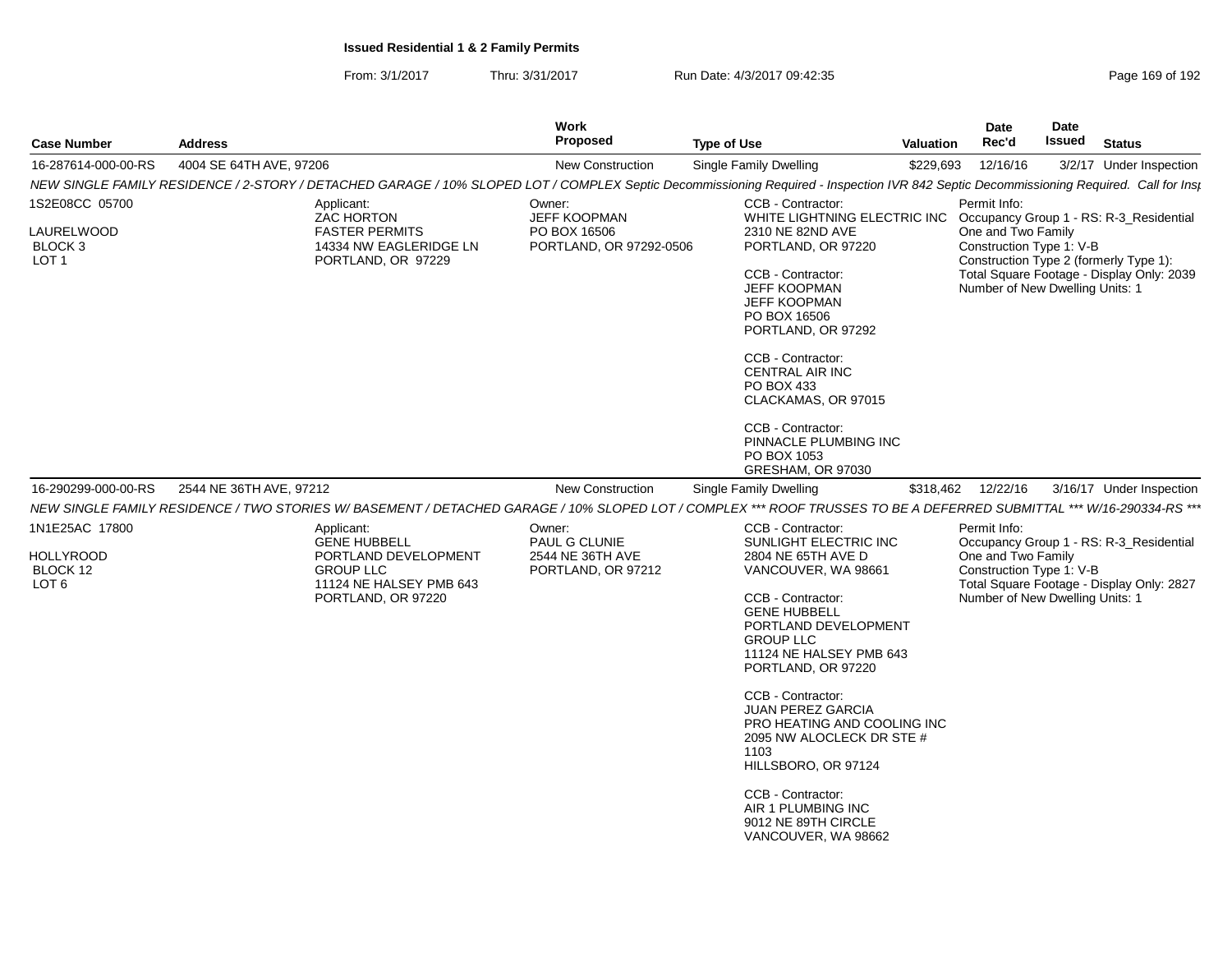| <b>Case Number</b>                                                 | <b>Address</b>                                                                                                                 | Work<br><b>Proposed</b>                                                                                                                                                                | <b>Type of Use</b>                                                                                                                                                                                                                                                                                                                                                                                                                                                    | Valuation | Date<br>Rec'd                                                                                     | Date<br>Issued | <b>Status</b>                                                                        |
|--------------------------------------------------------------------|--------------------------------------------------------------------------------------------------------------------------------|----------------------------------------------------------------------------------------------------------------------------------------------------------------------------------------|-----------------------------------------------------------------------------------------------------------------------------------------------------------------------------------------------------------------------------------------------------------------------------------------------------------------------------------------------------------------------------------------------------------------------------------------------------------------------|-----------|---------------------------------------------------------------------------------------------------|----------------|--------------------------------------------------------------------------------------|
| 16-287614-000-00-RS                                                | 4004 SE 64TH AVE, 97206                                                                                                        | <b>New Construction</b>                                                                                                                                                                | Single Family Dwelling                                                                                                                                                                                                                                                                                                                                                                                                                                                | \$229,693 | 12/16/16                                                                                          |                | 3/2/17 Under Inspection                                                              |
|                                                                    |                                                                                                                                | NEW SINGLE FAMILY RESIDENCE / 2-STORY / DETACHED GARAGE / 10% SLOPED LOT / COMPLEX Septic Decommissioning Required - Inspection IVR 842 Septic Decommissioning Required. Call for Insp |                                                                                                                                                                                                                                                                                                                                                                                                                                                                       |           |                                                                                                   |                |                                                                                      |
| 1S2E08CC 05700                                                     | Applicant:<br><b>ZAC HORTON</b>                                                                                                | Owner:<br>JEFF KOOPMAN                                                                                                                                                                 | CCB - Contractor:<br>WHITE LIGHTNING ELECTRIC INC                                                                                                                                                                                                                                                                                                                                                                                                                     |           | Permit Info:                                                                                      |                | Occupancy Group 1 - RS: R-3_Residential                                              |
| LAURELWOOD<br>BLOCK 3<br>LOT <sub>1</sub>                          | <b>FASTER PERMITS</b><br>14334 NW EAGLERIDGE LN<br>PORTLAND, OR 97229                                                          | PO BOX 16506<br>PORTLAND, OR 97292-0506                                                                                                                                                | 2310 NE 82ND AVE<br>PORTLAND, OR 97220<br>CCB - Contractor:<br><b>JEFF KOOPMAN</b><br><b>JEFF KOOPMAN</b><br>PO BOX 16506<br>PORTLAND, OR 97292<br>CCB - Contractor:<br><b>CENTRAL AIR INC</b><br>PO BOX 433<br>CLACKAMAS, OR 97015<br>CCB - Contractor:<br>PINNACLE PLUMBING INC<br>PO BOX 1053                                                                                                                                                                      |           | One and Two Family<br>Construction Type 1: V-B<br>Number of New Dwelling Units: 1                 |                | Construction Type 2 (formerly Type 1):<br>Total Square Footage - Display Only: 2039  |
|                                                                    |                                                                                                                                |                                                                                                                                                                                        | GRESHAM, OR 97030                                                                                                                                                                                                                                                                                                                                                                                                                                                     |           |                                                                                                   |                |                                                                                      |
| 16-290299-000-00-RS                                                | 2544 NE 36TH AVE, 97212                                                                                                        | New Construction                                                                                                                                                                       | Single Family Dwelling                                                                                                                                                                                                                                                                                                                                                                                                                                                |           | \$318,462 12/22/16                                                                                |                | 3/16/17 Under Inspection                                                             |
|                                                                    |                                                                                                                                | NEW SINGLE FAMILY RESIDENCE / TWO STORIES W/ BASEMENT / DETACHED GARAGE / 10% SLOPED LOT / COMPLEX *** ROOF TRUSSES TO BE A DEFERRED SUBMITTAL *** W/16-290334-RS ***                  |                                                                                                                                                                                                                                                                                                                                                                                                                                                                       |           |                                                                                                   |                |                                                                                      |
| 1N1E25AC 17800<br><b>HOLLYROOD</b><br>BLOCK 12<br>LOT <sub>6</sub> | Applicant:<br><b>GENE HUBBELL</b><br>PORTLAND DEVELOPMENT<br><b>GROUP LLC</b><br>11124 NE HALSEY PMB 643<br>PORTLAND, OR 97220 | Owner:<br>PAUL G CLUNIE<br>2544 NE 36TH AVE<br>PORTLAND, OR 97212                                                                                                                      | CCB - Contractor:<br>SUNLIGHT ELECTRIC INC<br>2804 NE 65TH AVE D<br>VANCOUVER, WA 98661<br>CCB - Contractor:<br><b>GENE HUBBELL</b><br>PORTLAND DEVELOPMENT<br><b>GROUP LLC</b><br>11124 NE HALSEY PMB 643<br>PORTLAND, OR 97220<br>CCB - Contractor:<br><b>JUAN PEREZ GARCIA</b><br>PRO HEATING AND COOLING INC<br>2095 NW ALOCLECK DR STE #<br>1103<br>HILLSBORO, OR 97124<br>CCB - Contractor:<br>AIR 1 PLUMBING INC<br>9012 NE 89TH CIRCLE<br>VANCOUVER, WA 98662 |           | Permit Info:<br>One and Two Family<br>Construction Type 1: V-B<br>Number of New Dwelling Units: 1 |                | Occupancy Group 1 - RS: R-3_Residential<br>Total Square Footage - Display Only: 2827 |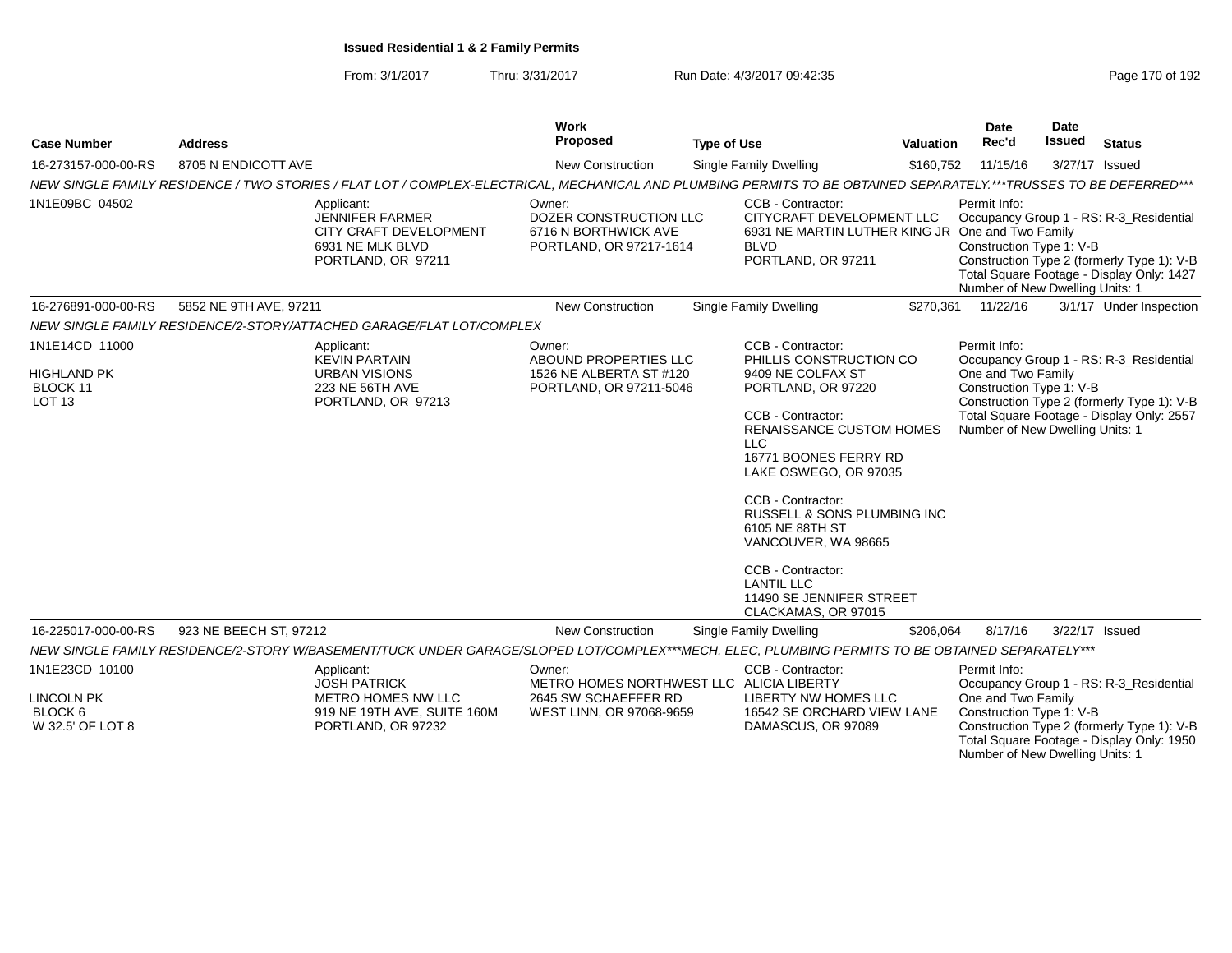| <b>Case Number</b>                                  | <b>Address</b>                                                                                                                                                    | Work<br>Proposed                                                                    | <b>Type of Use</b>                                                                                                                                                                                                                                                                                                                                         | Valuation | Date<br>Rec'd                                                                     | <b>Date</b><br><b>Issued</b> | <b>Status</b>                                                                                                                      |
|-----------------------------------------------------|-------------------------------------------------------------------------------------------------------------------------------------------------------------------|-------------------------------------------------------------------------------------|------------------------------------------------------------------------------------------------------------------------------------------------------------------------------------------------------------------------------------------------------------------------------------------------------------------------------------------------------------|-----------|-----------------------------------------------------------------------------------|------------------------------|------------------------------------------------------------------------------------------------------------------------------------|
| 16-273157-000-00-RS                                 | 8705 N ENDICOTT AVE                                                                                                                                               | New Construction                                                                    | Single Family Dwelling                                                                                                                                                                                                                                                                                                                                     | \$160,752 | 11/15/16                                                                          |                              | 3/27/17 Issued                                                                                                                     |
|                                                     | NEW SINGLE FAMILY RESIDENCE / TWO STORIES / FLAT LOT / COMPLEX-ELECTRICAL, MECHANICAL AND PLUMBING PERMITS TO BE OBTAINED SEPARATELY.***TRUSSES TO BE DEFERRED*** |                                                                                     |                                                                                                                                                                                                                                                                                                                                                            |           |                                                                                   |                              |                                                                                                                                    |
| 1N1E09BC 04502                                      | Applicant:<br><b>JENNIFER FARMER</b><br>CITY CRAFT DEVELOPMENT<br>6931 NE MLK BLVD<br>PORTLAND, OR 97211                                                          | Owner:<br>DOZER CONSTRUCTION LLC<br>6716 N BORTHWICK AVE<br>PORTLAND, OR 97217-1614 | CCB - Contractor:<br>CITYCRAFT DEVELOPMENT LLC<br>6931 NE MARTIN LUTHER KING JR One and Two Family<br><b>BLVD</b><br>PORTLAND, OR 97211                                                                                                                                                                                                                    |           | Permit Info:<br>Construction Type 1: V-B<br>Number of New Dwelling Units: 1       |                              | Occupancy Group 1 - RS: R-3_Residential<br>Construction Type 2 (formerly Type 1): V-B<br>Total Square Footage - Display Only: 1427 |
| 16-276891-000-00-RS                                 | 5852 NE 9TH AVE, 97211                                                                                                                                            | <b>New Construction</b>                                                             | Single Family Dwelling                                                                                                                                                                                                                                                                                                                                     | \$270,361 | 11/22/16                                                                          |                              | 3/1/17 Under Inspection                                                                                                            |
|                                                     | NEW SINGLE FAMILY RESIDENCE/2-STORY/ATTACHED GARAGE/FLAT LOT/COMPLEX                                                                                              |                                                                                     |                                                                                                                                                                                                                                                                                                                                                            |           |                                                                                   |                              |                                                                                                                                    |
| 1N1E14CD 11000                                      | Applicant:<br><b>KEVIN PARTAIN</b>                                                                                                                                | Owner:<br>ABOUND PROPERTIES LLC                                                     | CCB - Contractor:<br>PHILLIS CONSTRUCTION CO                                                                                                                                                                                                                                                                                                               |           | Permit Info:                                                                      |                              | Occupancy Group 1 - RS: R-3_Residential                                                                                            |
| <b>HIGHLAND PK</b><br>BLOCK 11<br>LOT <sub>13</sub> | <b>URBAN VISIONS</b><br>223 NE 56TH AVE<br>PORTLAND, OR 97213                                                                                                     | 1526 NE ALBERTA ST #120<br>PORTLAND, OR 97211-5046                                  | 9409 NE COLFAX ST<br>PORTLAND, OR 97220<br>CCB - Contractor:<br><b>RENAISSANCE CUSTOM HOMES</b><br><b>LLC</b><br>16771 BOONES FERRY RD<br>LAKE OSWEGO, OR 97035<br>CCB - Contractor:<br>RUSSELL & SONS PLUMBING INC<br>6105 NE 88TH ST<br>VANCOUVER, WA 98665<br>CCB - Contractor:<br><b>LANTIL LLC</b><br>11490 SE JENNIFER STREET<br>CLACKAMAS, OR 97015 |           | One and Two Family<br>Construction Type 1: V-B<br>Number of New Dwelling Units: 1 |                              | Construction Type 2 (formerly Type 1): V-B<br>Total Square Footage - Display Only: 2557                                            |
| 16-225017-000-00-RS                                 | 923 NE BEECH ST, 97212                                                                                                                                            | <b>New Construction</b>                                                             | Single Family Dwelling                                                                                                                                                                                                                                                                                                                                     | \$206,064 | 8/17/16                                                                           |                              | 3/22/17 Issued                                                                                                                     |
|                                                     | NEW SINGLE FAMILY RESIDENCE/2-STORY W/BASEMENT/TUCK UNDER GARAGE/SLOPED LOT/COMPLEX***MECH, ELEC, PLUMBING PERMITS TO BE OBTAINED SEPARATELY***                   |                                                                                     |                                                                                                                                                                                                                                                                                                                                                            |           |                                                                                   |                              |                                                                                                                                    |
| 1N1E23CD 10100                                      | Applicant:<br><b>JOSH PATRICK</b>                                                                                                                                 | Owner:<br>METRO HOMES NORTHWEST LLC ALICIA LIBERTY                                  | CCB - Contractor:                                                                                                                                                                                                                                                                                                                                          |           | Permit Info:                                                                      |                              | Occupancy Group 1 - RS: R-3 Residential                                                                                            |
| <b>LINCOLN PK</b>                                   | <b>METRO HOMES NW LLC</b>                                                                                                                                         | 2645 SW SCHAEFFER RD                                                                | LIBERTY NW HOMES LLC                                                                                                                                                                                                                                                                                                                                       |           | One and Two Family                                                                |                              |                                                                                                                                    |
| BLOCK 6<br>W 32.5' OF LOT 8                         | 919 NE 19TH AVE, SUITE 160M<br>PORTLAND, OR 97232                                                                                                                 | WEST LINN, OR 97068-9659                                                            | 16542 SE ORCHARD VIEW LANE<br>DAMASCUS, OR 97089                                                                                                                                                                                                                                                                                                           |           | Construction Type 1: V-B<br>Number of New Dwelling Units: 1                       |                              | Construction Type 2 (formerly Type 1): V-B<br>Total Square Footage - Display Only: 1950                                            |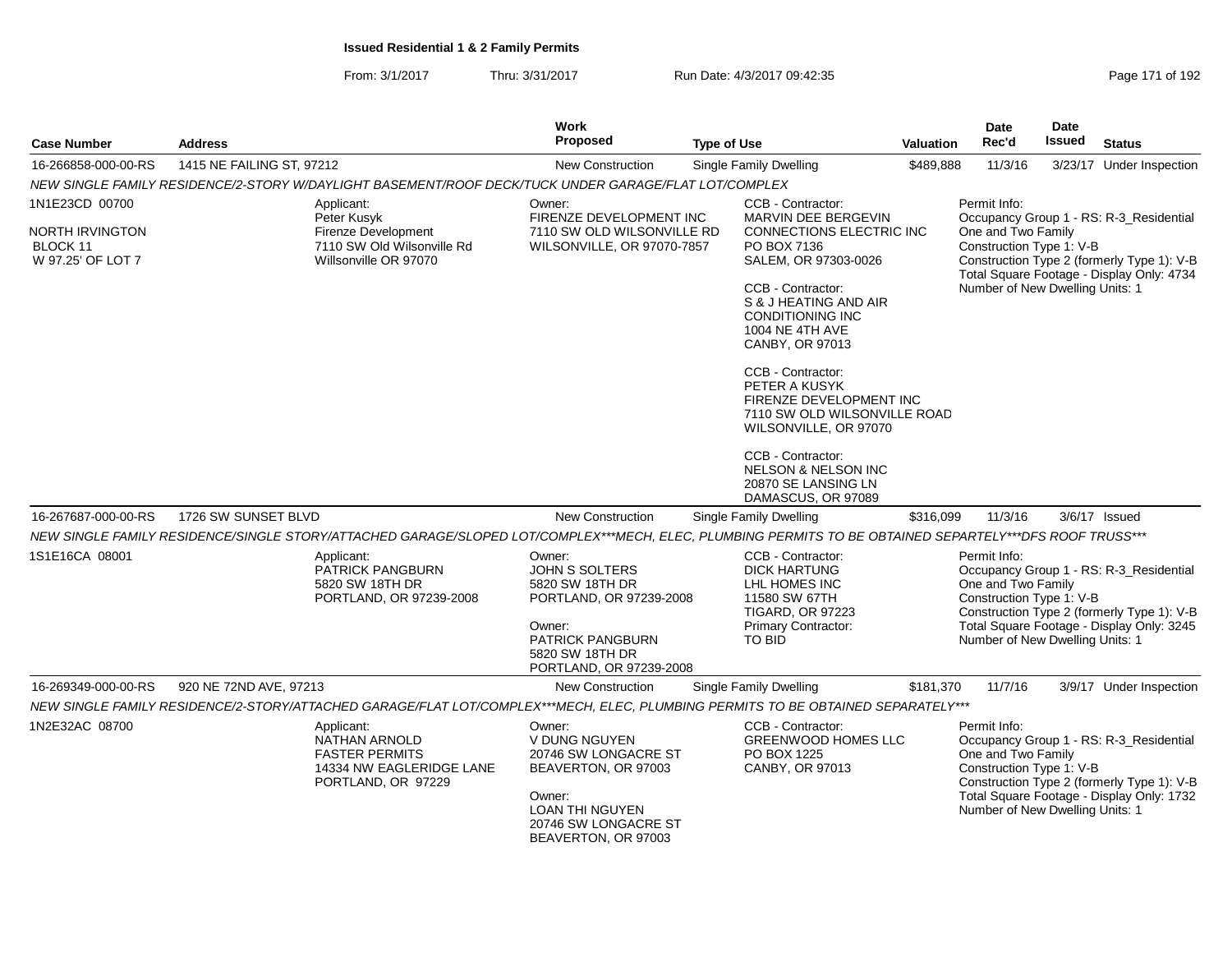| <b>Case Number</b>                               | <b>Address</b>                                                                                                                                          | <b>Work</b><br>Proposed                                                         | <b>Type of Use</b>                                                                                                     | <b>Valuation</b> | Date<br>Rec'd                                                  | <b>Date</b><br><b>Issued</b> | <b>Status</b>                                                                           |
|--------------------------------------------------|---------------------------------------------------------------------------------------------------------------------------------------------------------|---------------------------------------------------------------------------------|------------------------------------------------------------------------------------------------------------------------|------------------|----------------------------------------------------------------|------------------------------|-----------------------------------------------------------------------------------------|
| 16-266858-000-00-RS                              | 1415 NE FAILING ST, 97212                                                                                                                               | <b>New Construction</b>                                                         | Single Family Dwelling                                                                                                 | \$489,888        | 11/3/16                                                        |                              | 3/23/17 Under Inspection                                                                |
|                                                  | NEW SINGLE FAMILY RESIDENCE/2-STORY W/DAYLIGHT BASEMENT/ROOF DECK/TUCK UNDER GARAGE/FLAT LOT/COMPLEX                                                    |                                                                                 |                                                                                                                        |                  |                                                                |                              |                                                                                         |
| 1N1E23CD 00700                                   | Applicant:<br>Peter Kusyk                                                                                                                               | Owner:<br>FIRENZE DEVELOPMENT INC                                               | CCB - Contractor:<br>MARVIN DEE BERGEVIN                                                                               |                  | Permit Info:                                                   |                              | Occupancy Group 1 - RS: R-3_Residential                                                 |
| NORTH IRVINGTON<br>BLOCK 11<br>W 97.25' OF LOT 7 | Firenze Development<br>7110 SW Old Wilsonville Rd<br>Willsonville OR 97070                                                                              | 7110 SW OLD WILSONVILLE RD<br>WILSONVILLE, OR 97070-7857                        | CONNECTIONS ELECTRIC INC<br>PO BOX 7136<br>SALEM, OR 97303-0026                                                        |                  | One and Two Family<br>Construction Type 1: V-B                 |                              | Construction Type 2 (formerly Type 1): V-B<br>Total Square Footage - Display Only: 4734 |
|                                                  |                                                                                                                                                         |                                                                                 | CCB - Contractor:<br>S & J HEATING AND AIR<br><b>CONDITIONING INC</b><br><b>1004 NE 4TH AVE</b><br>CANBY, OR 97013     |                  | Number of New Dwelling Units: 1                                |                              |                                                                                         |
|                                                  |                                                                                                                                                         |                                                                                 | CCB - Contractor:<br>PETER A KUSYK<br>FIRENZE DEVELOPMENT INC<br>7110 SW OLD WILSONVILLE ROAD<br>WILSONVILLE, OR 97070 |                  |                                                                |                              |                                                                                         |
|                                                  |                                                                                                                                                         |                                                                                 | CCB - Contractor:<br><b>NELSON &amp; NELSON INC</b><br>20870 SE LANSING LN<br>DAMASCUS, OR 97089                       |                  |                                                                |                              |                                                                                         |
| 16-267687-000-00-RS                              | 1726 SW SUNSET BLVD                                                                                                                                     | <b>New Construction</b>                                                         | Single Family Dwelling                                                                                                 | \$316,099        | 11/3/16                                                        |                              | $3/6/17$ Issued                                                                         |
|                                                  | NEW SINGLE FAMILY RESIDENCE/SINGLE STORY/ATTACHED GARAGE/SLOPED LOT/COMPLEX***MECH, ELEC, PLUMBING PERMITS TO BE OBTAINED SEPARTELY***DFS ROOF TRUSS*** |                                                                                 |                                                                                                                        |                  |                                                                |                              |                                                                                         |
| 1S1E16CA 08001                                   | Applicant:<br>PATRICK PANGBURN<br>5820 SW 18TH DR<br>PORTLAND, OR 97239-2008                                                                            | Owner:<br><b>JOHN S SOLTERS</b><br>5820 SW 18TH DR<br>PORTLAND, OR 97239-2008   | CCB - Contractor:<br><b>DICK HARTUNG</b><br>LHL HOMES INC<br>11580 SW 67TH<br><b>TIGARD, OR 97223</b>                  |                  | Permit Info:<br>One and Two Family<br>Construction Type 1: V-B |                              | Occupancy Group 1 - RS: R-3_Residential<br>Construction Type 2 (formerly Type 1): V-B   |
|                                                  |                                                                                                                                                         | Owner:<br><b>PATRICK PANGBURN</b><br>5820 SW 18TH DR<br>PORTLAND, OR 97239-2008 | Primary Contractor:<br><b>TO BID</b>                                                                                   |                  | Number of New Dwelling Units: 1                                |                              | Total Square Footage - Display Only: 3245                                               |
| 16-269349-000-00-RS                              | 920 NE 72ND AVE, 97213                                                                                                                                  | <b>New Construction</b>                                                         | Single Family Dwelling                                                                                                 | \$181,370        | 11/7/16                                                        |                              | 3/9/17 Under Inspection                                                                 |
|                                                  | NEW SINGLE FAMILY RESIDENCE/2-STORY/ATTACHED GARAGE/FLAT LOT/COMPLEX***MECH, ELEC, PLUMBING PERMITS TO BE OBTAINED SEPARATELY***                        |                                                                                 |                                                                                                                        |                  |                                                                |                              |                                                                                         |
| 1N2E32AC 08700                                   | Applicant:<br>NATHAN ARNOLD<br><b>FASTER PERMITS</b><br>14334 NW EAGLERIDGE LANE<br>PORTLAND, OR 97229                                                  | Owner:<br>V DUNG NGUYEN<br>20746 SW LONGACRE ST<br>BEAVERTON, OR 97003          | CCB - Contractor:<br><b>GREENWOOD HOMES LLC</b><br>PO BOX 1225<br>CANBY, OR 97013                                      |                  | Permit Info:<br>One and Two Family<br>Construction Type 1: V-B |                              | Occupancy Group 1 - RS: R-3_Residential<br>Construction Type 2 (formerly Type 1): V-B   |
|                                                  |                                                                                                                                                         | Owner:<br><b>LOAN THI NGUYEN</b><br>20746 SW LONGACRE ST<br>BEAVERTON, OR 97003 |                                                                                                                        |                  | Number of New Dwelling Units: 1                                |                              | Total Square Footage - Display Only: 1732                                               |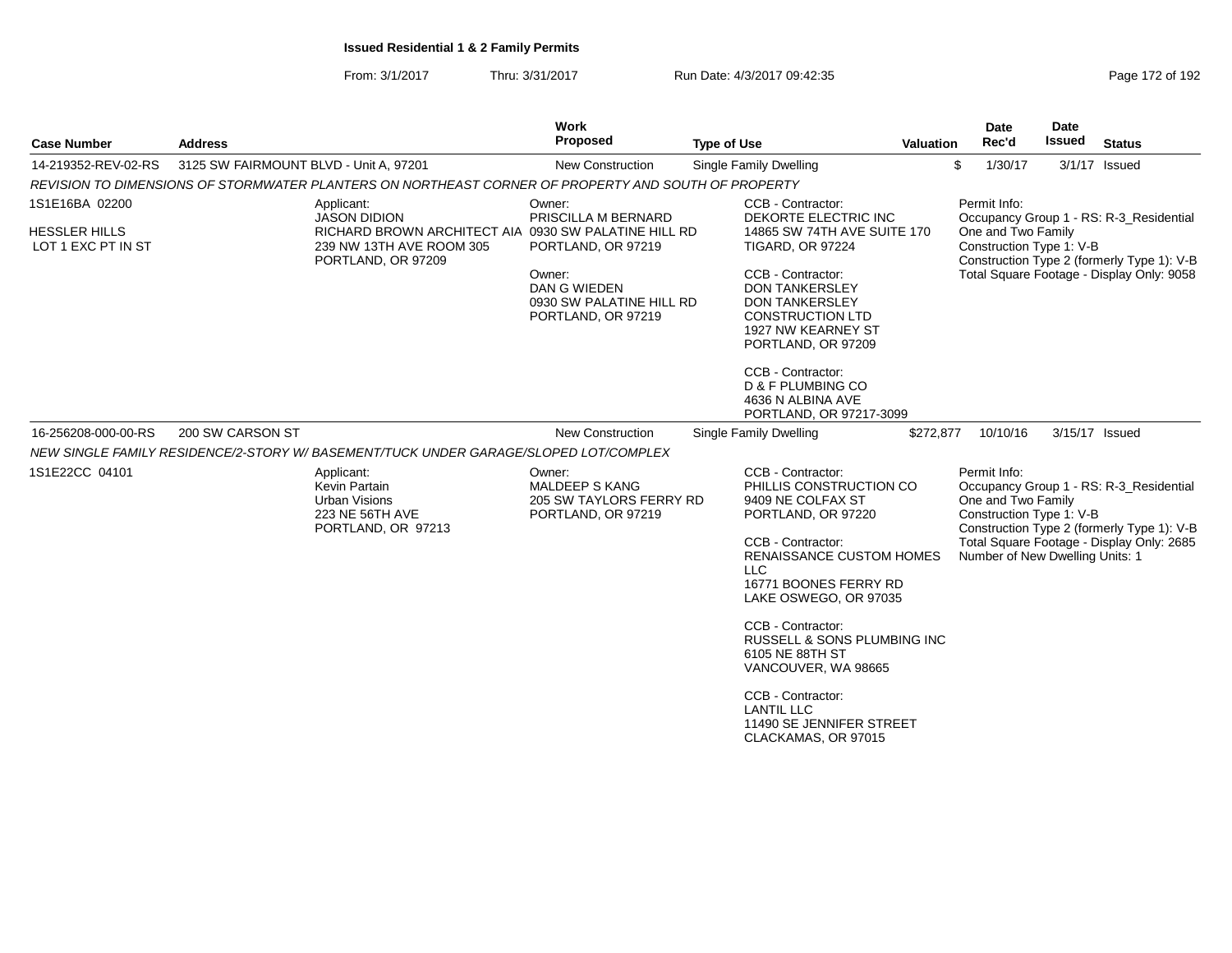| <b>Case Number</b>                                           | <b>Address</b>                         |                                                                                                                                             | Work<br>Proposed                                                                                                                       | <b>Type of Use</b> |                                                                                                                                                                                                                                                                                                                                                                                                                       | Valuation | Date<br>Rec'd                      | Date<br>Issued                                              | <b>Status</b>                                                                                                                      |
|--------------------------------------------------------------|----------------------------------------|---------------------------------------------------------------------------------------------------------------------------------------------|----------------------------------------------------------------------------------------------------------------------------------------|--------------------|-----------------------------------------------------------------------------------------------------------------------------------------------------------------------------------------------------------------------------------------------------------------------------------------------------------------------------------------------------------------------------------------------------------------------|-----------|------------------------------------|-------------------------------------------------------------|------------------------------------------------------------------------------------------------------------------------------------|
| 14-219352-REV-02-RS                                          | 3125 SW FAIRMOUNT BLVD - Unit A, 97201 |                                                                                                                                             | <b>New Construction</b>                                                                                                                |                    | Single Family Dwelling                                                                                                                                                                                                                                                                                                                                                                                                |           | \$<br>1/30/17                      |                                                             | $3/1/17$ Issued                                                                                                                    |
|                                                              |                                        | REVISION TO DIMENSIONS OF STORMWATER PLANTERS ON NORTHEAST CORNER OF PROPERTY AND SOUTH OF PROPERTY                                         |                                                                                                                                        |                    |                                                                                                                                                                                                                                                                                                                                                                                                                       |           |                                    |                                                             |                                                                                                                                    |
| 1S1E16BA 02200<br><b>HESSLER HILLS</b><br>LOT 1 EXC PT IN ST |                                        | Applicant:<br><b>JASON DIDION</b><br>RICHARD BROWN ARCHITECT AIA 0930 SW PALATINE HILL RD<br>239 NW 13TH AVE ROOM 305<br>PORTLAND, OR 97209 | Owner:<br>PRISCILLA M BERNARD<br>PORTLAND, OR 97219<br>Owner:<br><b>DAN G WIEDEN</b><br>0930 SW PALATINE HILL RD<br>PORTLAND, OR 97219 |                    | CCB - Contractor:<br>DEKORTE ELECTRIC INC<br>14865 SW 74TH AVE SUITE 170<br><b>TIGARD, OR 97224</b><br>CCB - Contractor:<br><b>DON TANKERSLEY</b><br><b>DON TANKERSLEY</b><br><b>CONSTRUCTION LTD</b><br>1927 NW KEARNEY ST<br>PORTLAND, OR 97209                                                                                                                                                                     |           | Permit Info:<br>One and Two Family | Construction Type 1: V-B                                    | Occupancy Group 1 - RS: R-3_Residential<br>Construction Type 2 (formerly Type 1): V-B<br>Total Square Footage - Display Only: 9058 |
| 16-256208-000-00-RS                                          | 200 SW CARSON ST                       |                                                                                                                                             | <b>New Construction</b>                                                                                                                |                    | CCB - Contractor:<br>D & F PLUMBING CO<br>4636 N ALBINA AVE<br>PORTLAND, OR 97217-3099<br>Single Family Dwelling                                                                                                                                                                                                                                                                                                      | \$272,877 | 10/10/16                           |                                                             | 3/15/17 Issued                                                                                                                     |
|                                                              |                                        | NEW SINGLE FAMILY RESIDENCE/2-STORY W/ BASEMENT/TUCK UNDER GARAGE/SLOPED LOT/COMPLEX                                                        |                                                                                                                                        |                    |                                                                                                                                                                                                                                                                                                                                                                                                                       |           |                                    |                                                             |                                                                                                                                    |
| 1S1E22CC 04101                                               |                                        | Applicant:<br>Kevin Partain<br>Urban Visions<br>223 NE 56TH AVE<br>PORTLAND, OR 97213                                                       | Owner:<br><b>MALDEEP S KANG</b><br>205 SW TAYLORS FERRY RD<br>PORTLAND, OR 97219                                                       |                    | CCB - Contractor:<br>PHILLIS CONSTRUCTION CO<br>9409 NE COLFAX ST<br>PORTLAND, OR 97220<br>CCB - Contractor:<br><b>RENAISSANCE CUSTOM HOMES</b><br><b>LLC</b><br>16771 BOONES FERRY RD<br>LAKE OSWEGO, OR 97035<br>CCB - Contractor:<br><b>RUSSELL &amp; SONS PLUMBING INC</b><br>6105 NE 88TH ST<br>VANCOUVER, WA 98665<br>CCB - Contractor:<br><b>LANTIL LLC</b><br>11490 SE JENNIFER STREET<br>CLACKAMAS, OR 97015 |           | Permit Info:<br>One and Two Family | Construction Type 1: V-B<br>Number of New Dwelling Units: 1 | Occupancy Group 1 - RS: R-3_Residential<br>Construction Type 2 (formerly Type 1): V-B<br>Total Square Footage - Display Only: 2685 |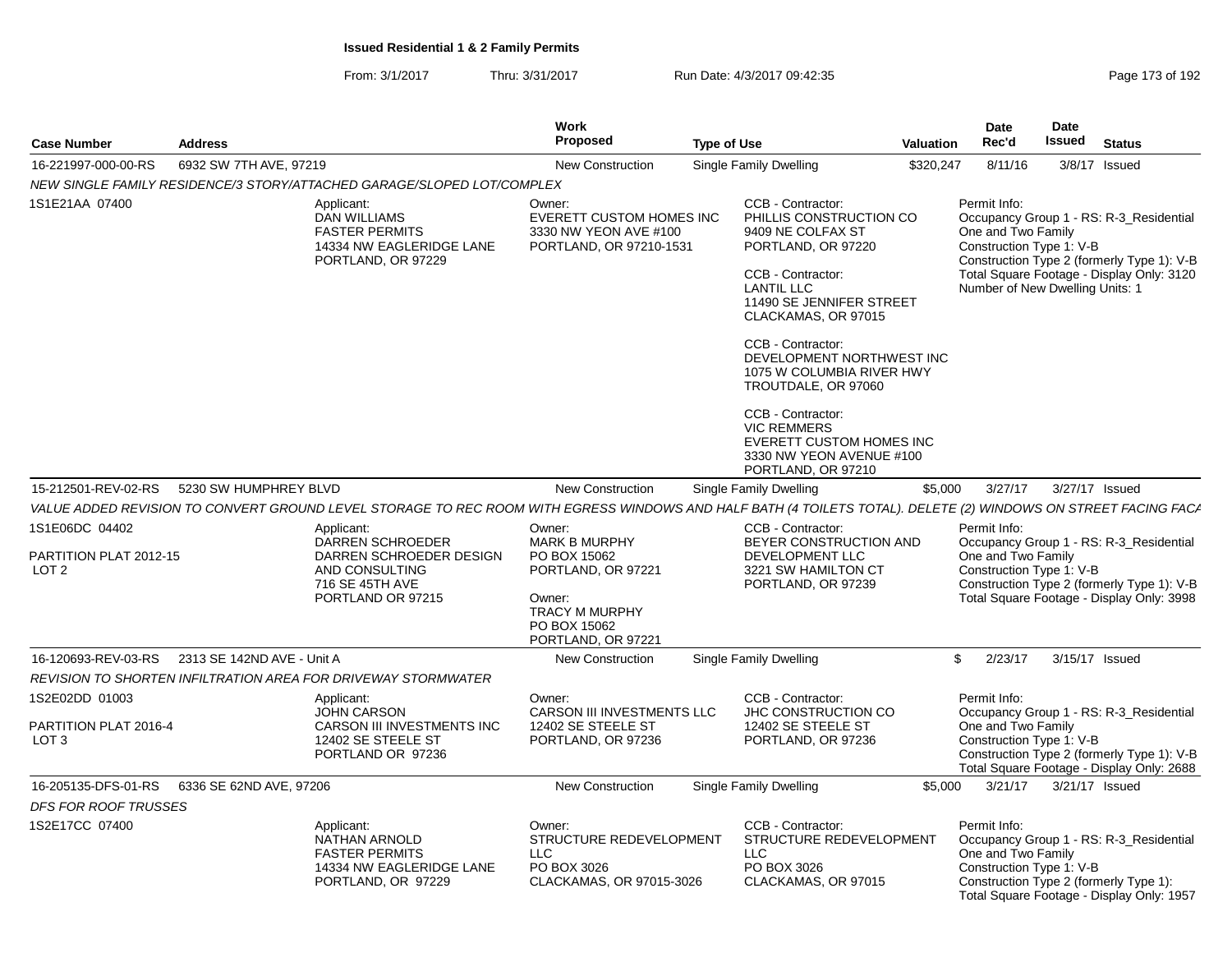| <b>Case Number</b>                                          | <b>Address</b>             |                                                                                                                                                                | <b>Work</b><br>Proposed                                                                                     | <b>Type of Use</b> |                                                                                                                                                                                                                                                                     | <b>Valuation</b> | <b>Date</b><br>Rec'd                                                                              | <b>Date</b><br>Issued | <b>Status</b>                                                                                                                      |
|-------------------------------------------------------------|----------------------------|----------------------------------------------------------------------------------------------------------------------------------------------------------------|-------------------------------------------------------------------------------------------------------------|--------------------|---------------------------------------------------------------------------------------------------------------------------------------------------------------------------------------------------------------------------------------------------------------------|------------------|---------------------------------------------------------------------------------------------------|-----------------------|------------------------------------------------------------------------------------------------------------------------------------|
| 16-221997-000-00-RS                                         | 6932 SW 7TH AVE, 97219     |                                                                                                                                                                | <b>New Construction</b>                                                                                     |                    | Single Family Dwelling                                                                                                                                                                                                                                              | \$320,247        | 8/11/16                                                                                           |                       | $3/8/17$ Issued                                                                                                                    |
|                                                             |                            | NEW SINGLE FAMILY RESIDENCE/3 STORY/ATTACHED GARAGE/SLOPED LOT/COMPLEX                                                                                         |                                                                                                             |                    |                                                                                                                                                                                                                                                                     |                  |                                                                                                   |                       |                                                                                                                                    |
| 1S1E21AA 07400                                              |                            | Applicant:<br>DAN WILLIAMS<br><b>FASTER PERMITS</b><br>14334 NW EAGLERIDGE LANE<br>PORTLAND, OR 97229                                                          | Owner:<br><b>EVERETT CUSTOM HOMES INC</b><br>3330 NW YEON AVE #100<br>PORTLAND, OR 97210-1531               |                    | CCB - Contractor:<br>PHILLIS CONSTRUCTION CO<br>9409 NE COLFAX ST<br>PORTLAND, OR 97220<br>CCB - Contractor:<br><b>LANTIL LLC</b><br>11490 SE JENNIFER STREET<br>CLACKAMAS, OR 97015<br>CCB - Contractor:<br>DEVELOPMENT NORTHWEST INC<br>1075 W COLUMBIA RIVER HWY |                  | Permit Info:<br>One and Two Family<br>Construction Type 1: V-B<br>Number of New Dwelling Units: 1 |                       | Occupancy Group 1 - RS: R-3_Residential<br>Construction Type 2 (formerly Type 1): V-B<br>Total Square Footage - Display Only: 3120 |
|                                                             |                            |                                                                                                                                                                |                                                                                                             |                    | TROUTDALE, OR 97060<br>CCB - Contractor:<br><b>VIC REMMERS</b><br><b>EVERETT CUSTOM HOMES INC</b><br>3330 NW YEON AVENUE #100<br>PORTLAND, OR 97210                                                                                                                 |                  |                                                                                                   |                       |                                                                                                                                    |
| 15-212501-REV-02-RS                                         | 5230 SW HUMPHREY BLVD      |                                                                                                                                                                | New Construction                                                                                            |                    | Single Family Dwelling                                                                                                                                                                                                                                              | \$5.000          | 3/27/17                                                                                           |                       | 3/27/17 Issued                                                                                                                     |
|                                                             |                            | VALUE ADDED REVISION TO CONVERT GROUND LEVEL STORAGE TO REC ROOM WITH EGRESS WINDOWS AND HALF BATH (4 TOILETS TOTAL). DELETE (2) WINDOWS ON STREET FACING FACA |                                                                                                             |                    |                                                                                                                                                                                                                                                                     |                  |                                                                                                   |                       |                                                                                                                                    |
| 1S1E06DC 04402                                              |                            | Applicant:                                                                                                                                                     | Owner:<br><b>MARK B MURPHY</b>                                                                              |                    | CCB - Contractor:                                                                                                                                                                                                                                                   |                  | Permit Info:                                                                                      |                       |                                                                                                                                    |
| PARTITION PLAT 2012-15<br>LOT <sub>2</sub>                  |                            | DARREN SCHROEDER<br>DARREN SCHROEDER DESIGN<br>AND CONSULTING<br>716 SE 45TH AVE<br>PORTLAND OR 97215                                                          | PO BOX 15062<br>PORTLAND, OR 97221<br>Owner:<br><b>TRACY M MURPHY</b><br>PO BOX 15062<br>PORTLAND, OR 97221 |                    | BEYER CONSTRUCTION AND<br>DEVELOPMENT LLC<br>3221 SW HAMILTON CT<br>PORTLAND, OR 97239                                                                                                                                                                              |                  | One and Two Family<br>Construction Type 1: V-B                                                    |                       | Occupancy Group 1 - RS: R-3_Residential<br>Construction Type 2 (formerly Type 1): V-B<br>Total Square Footage - Display Only: 3998 |
| 16-120693-REV-03-RS                                         | 2313 SE 142ND AVE - Unit A |                                                                                                                                                                | <b>New Construction</b>                                                                                     |                    | <b>Single Family Dwelling</b>                                                                                                                                                                                                                                       |                  | 2/23/17<br>\$                                                                                     |                       | 3/15/17 Issued                                                                                                                     |
|                                                             |                            | REVISION TO SHORTEN INFILTRATION AREA FOR DRIVEWAY STORMWATER                                                                                                  |                                                                                                             |                    |                                                                                                                                                                                                                                                                     |                  |                                                                                                   |                       |                                                                                                                                    |
| 1S2E02DD 01003<br>PARTITION PLAT 2016-4<br>LOT <sub>3</sub> |                            | Applicant:<br><b>JOHN CARSON</b><br>CARSON III INVESTMENTS INC<br>12402 SE STEELE ST<br>PORTLAND OR 97236                                                      | Owner:<br>CARSON III INVESTMENTS LLC<br>12402 SE STEELE ST<br>PORTLAND, OR 97236                            |                    | CCB - Contractor:<br>JHC CONSTRUCTION CO<br>12402 SE STEELE ST<br>PORTLAND, OR 97236                                                                                                                                                                                |                  | Permit Info:<br>One and Two Family<br>Construction Type 1: V-B                                    |                       | Occupancy Group 1 - RS: R-3_Residential<br>Construction Type 2 (formerly Type 1): V-B<br>Total Square Footage - Display Only: 2688 |
| 16-205135-DFS-01-RS                                         | 6336 SE 62ND AVE, 97206    |                                                                                                                                                                | <b>New Construction</b>                                                                                     |                    | <b>Single Family Dwelling</b>                                                                                                                                                                                                                                       | \$5,000          | 3/21/17                                                                                           |                       | 3/21/17 Issued                                                                                                                     |
| <b>DFS FOR ROOF TRUSSES</b>                                 |                            |                                                                                                                                                                |                                                                                                             |                    |                                                                                                                                                                                                                                                                     |                  |                                                                                                   |                       |                                                                                                                                    |
| 1S2E17CC 07400                                              |                            | Applicant:<br><b>NATHAN ARNOLD</b><br><b>FASTER PERMITS</b><br>14334 NW EAGLERIDGE LANE<br>PORTLAND, OR 97229                                                  | Owner:<br>STRUCTURE REDEVELOPMENT<br>LLC<br>PO BOX 3026<br>CLACKAMAS, OR 97015-3026                         |                    | CCB - Contractor:<br>STRUCTURE REDEVELOPMENT<br><b>LLC</b><br>PO BOX 3026<br>CLACKAMAS, OR 97015                                                                                                                                                                    |                  | Permit Info:<br>One and Two Family<br>Construction Type 1: V-B                                    |                       | Occupancy Group 1 - RS: R-3 Residential<br>Construction Type 2 (formerly Type 1):<br>Total Square Footage - Display Only: 1957     |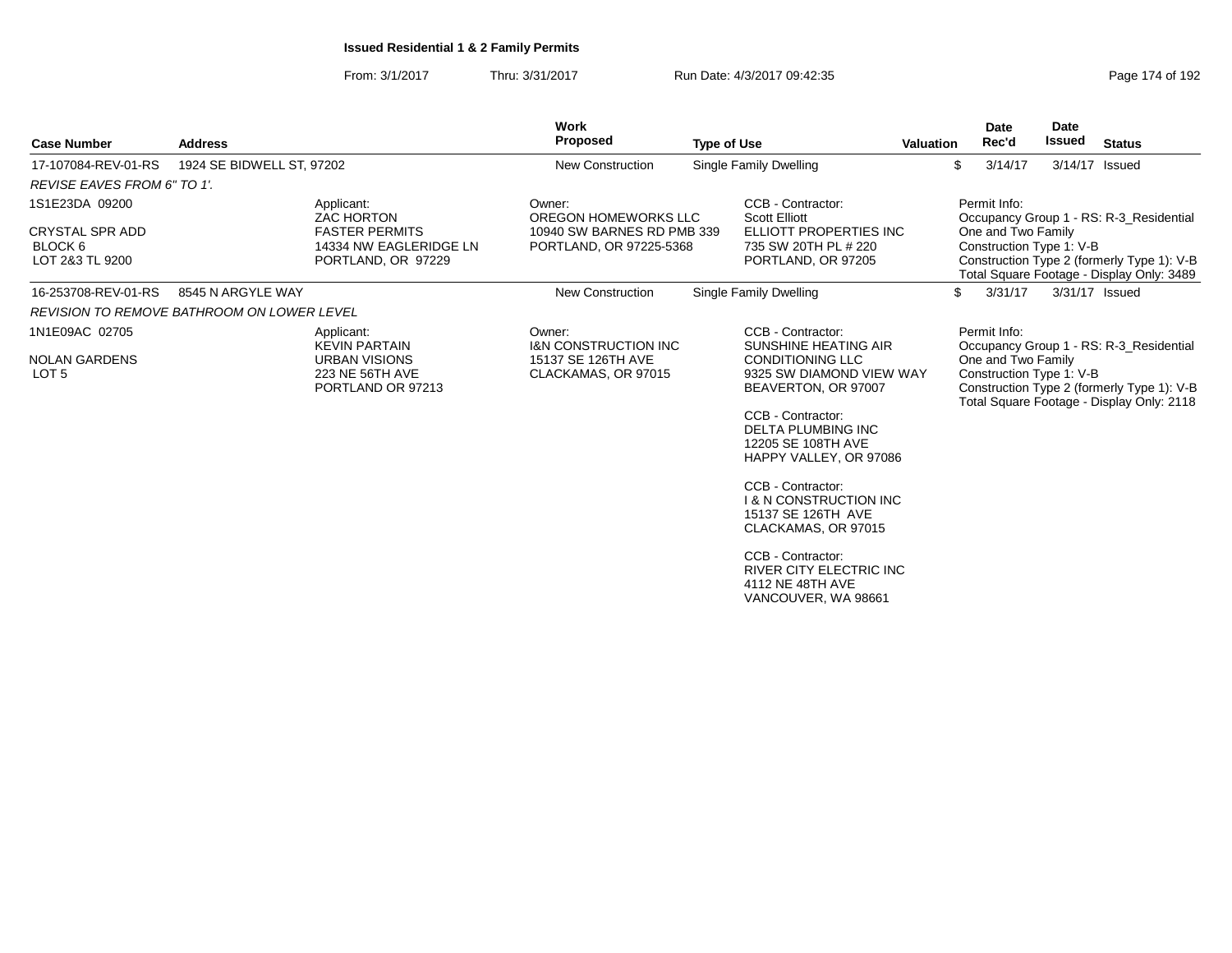|                                                      |                                                   |                                                                       | <b>Work</b>                                           |                                                                                                     |                  | Date                                           | <b>Date</b>    |                                                                                                                                    |
|------------------------------------------------------|---------------------------------------------------|-----------------------------------------------------------------------|-------------------------------------------------------|-----------------------------------------------------------------------------------------------------|------------------|------------------------------------------------|----------------|------------------------------------------------------------------------------------------------------------------------------------|
| <b>Case Number</b>                                   | <b>Address</b>                                    |                                                                       | Proposed                                              | <b>Type of Use</b>                                                                                  | <b>Valuation</b> | Rec'd                                          | <b>Issued</b>  | <b>Status</b>                                                                                                                      |
| 17-107084-REV-01-RS                                  | 1924 SE BIDWELL ST, 97202                         |                                                                       | New Construction                                      | <b>Single Family Dwelling</b>                                                                       |                  | \$<br>3/14/17                                  | 3/14/17 Issued |                                                                                                                                    |
| REVISE EAVES FROM 6" TO 1'.                          |                                                   |                                                                       |                                                       |                                                                                                     |                  |                                                |                |                                                                                                                                    |
| 1S1E23DA 09200                                       |                                                   | Applicant:<br><b>ZAC HORTON</b>                                       | Owner:<br>OREGON HOMEWORKS LLC                        | CCB - Contractor:<br><b>Scott Elliott</b>                                                           |                  | Permit Info:                                   |                | Occupancy Group 1 - RS: R-3_Residential                                                                                            |
| <b>CRYSTAL SPR ADD</b><br>BLOCK 6<br>LOT 2&3 TL 9200 |                                                   | <b>FASTER PERMITS</b><br>14334 NW EAGLERIDGE LN<br>PORTLAND, OR 97229 | 10940 SW BARNES RD PMB 339<br>PORTLAND, OR 97225-5368 | ELLIOTT PROPERTIES INC<br>735 SW 20TH PL # 220<br>PORTLAND, OR 97205                                |                  | One and Two Family<br>Construction Type 1: V-B |                | Construction Type 2 (formerly Type 1): V-B<br>Total Square Footage - Display Only: 3489                                            |
| 16-253708-REV-01-RS                                  | 8545 N ARGYLE WAY                                 |                                                                       | <b>New Construction</b>                               | Single Family Dwelling                                                                              |                  | 3/31/17<br>\$                                  |                | 3/31/17 Issued                                                                                                                     |
|                                                      | <b>REVISION TO REMOVE BATHROOM ON LOWER LEVEL</b> |                                                                       |                                                       |                                                                                                     |                  |                                                |                |                                                                                                                                    |
| 1N1E09AC 02705                                       |                                                   | Applicant:<br><b>KEVIN PARTAIN</b>                                    | Owner:<br><b>I&amp;N CONSTRUCTION INC.</b>            | CCB - Contractor:<br><b>SUNSHINE HEATING AIR</b>                                                    |                  | Permit Info:                                   |                |                                                                                                                                    |
| <b>NOLAN GARDENS</b><br>LOT <sub>5</sub>             |                                                   | <b>URBAN VISIONS</b><br>223 NE 56TH AVE<br>PORTLAND OR 97213          | 15137 SE 126TH AVE<br>CLACKAMAS, OR 97015             | <b>CONDITIONING LLC</b><br>9325 SW DIAMOND VIEW WAY<br>BEAVERTON, OR 97007                          |                  | One and Two Family<br>Construction Type 1: V-B |                | Occupancy Group 1 - RS: R-3_Residential<br>Construction Type 2 (formerly Type 1): V-B<br>Total Square Footage - Display Only: 2118 |
|                                                      |                                                   |                                                                       |                                                       | CCB - Contractor:<br><b>DELTA PLUMBING INC</b><br>12205 SE 108TH AVE<br>HAPPY VALLEY, OR 97086      |                  |                                                |                |                                                                                                                                    |
|                                                      |                                                   |                                                                       |                                                       | CCB - Contractor:<br><b>1 &amp; N CONSTRUCTION INC</b><br>15137 SE 126TH AVE<br>CLACKAMAS, OR 97015 |                  |                                                |                |                                                                                                                                    |
|                                                      |                                                   |                                                                       |                                                       | CCB - Contractor:<br><b>RIVER CITY ELECTRIC INC</b><br>4112 NE 48TH AVE<br>VANCOUVER, WA 98661      |                  |                                                |                |                                                                                                                                    |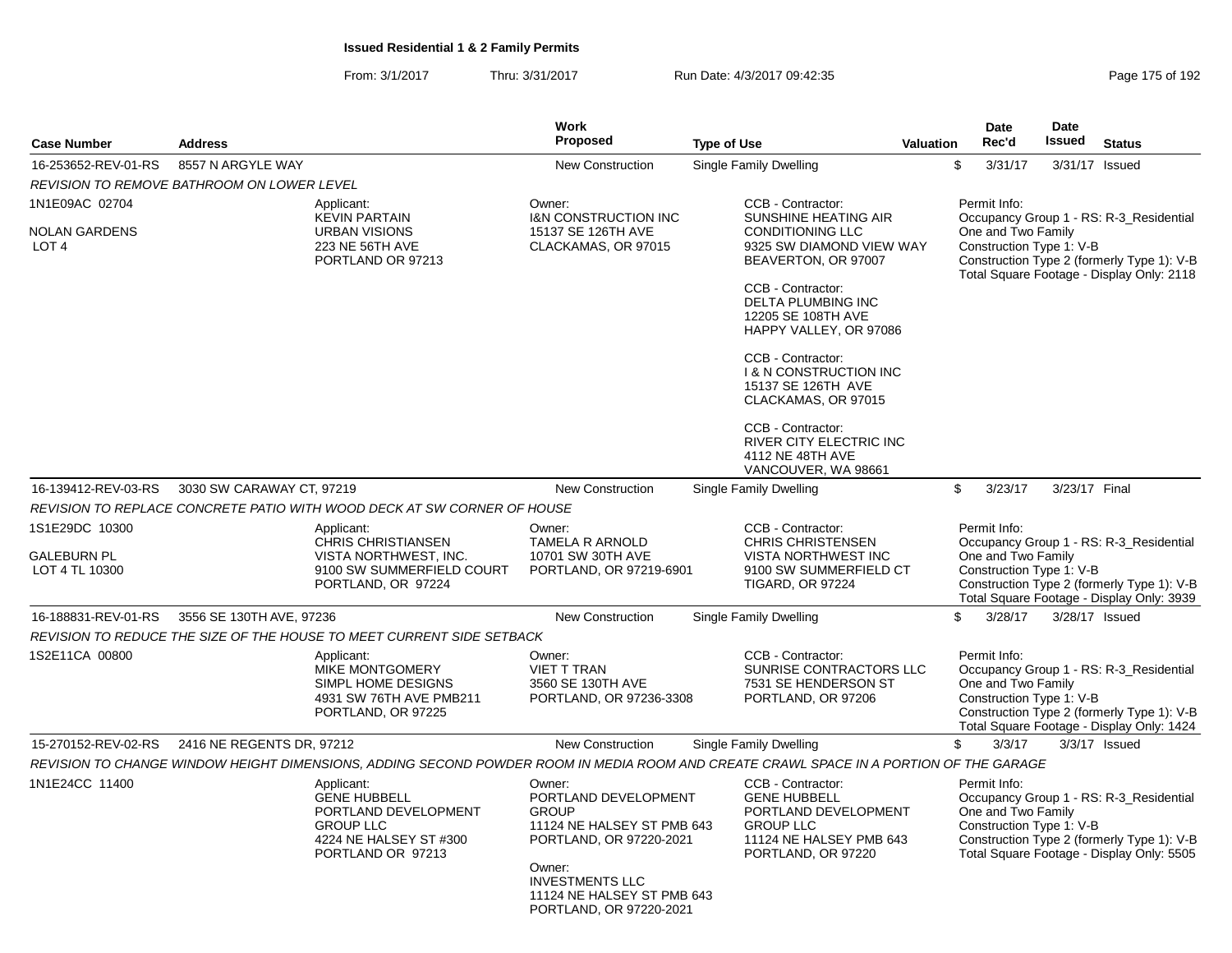|                                                            |                                                                                                                                        | <b>Work</b>                                                                                                                                                                                          |                                                                                                                                                                                                                                                                                                                                                                           |           | <b>Date</b>                                                    | Date          |                                                                                                                                    |
|------------------------------------------------------------|----------------------------------------------------------------------------------------------------------------------------------------|------------------------------------------------------------------------------------------------------------------------------------------------------------------------------------------------------|---------------------------------------------------------------------------------------------------------------------------------------------------------------------------------------------------------------------------------------------------------------------------------------------------------------------------------------------------------------------------|-----------|----------------------------------------------------------------|---------------|------------------------------------------------------------------------------------------------------------------------------------|
| <b>Case Number</b>                                         | <b>Address</b>                                                                                                                         | <b>Proposed</b>                                                                                                                                                                                      | <b>Type of Use</b>                                                                                                                                                                                                                                                                                                                                                        | Valuation | Rec'd                                                          | <b>Issued</b> | <b>Status</b>                                                                                                                      |
| 16-253652-REV-01-RS                                        | 8557 N ARGYLE WAY                                                                                                                      | <b>New Construction</b>                                                                                                                                                                              | Single Family Dwelling                                                                                                                                                                                                                                                                                                                                                    | \$        | 3/31/17                                                        |               | 3/31/17 Issued                                                                                                                     |
|                                                            | REVISION TO REMOVE BATHROOM ON LOWER LEVEL                                                                                             |                                                                                                                                                                                                      |                                                                                                                                                                                                                                                                                                                                                                           |           |                                                                |               |                                                                                                                                    |
| 1N1E09AC 02704<br><b>NOLAN GARDENS</b><br>LOT <sub>4</sub> | Applicant:<br><b>KEVIN PARTAIN</b><br><b>URBAN VISIONS</b><br>223 NE 56TH AVE<br>PORTLAND OR 97213                                     | Owner:<br><b>I&amp;N CONSTRUCTION INC</b><br>15137 SE 126TH AVE<br>CLACKAMAS, OR 97015                                                                                                               | CCB - Contractor:<br>SUNSHINE HEATING AIR<br><b>CONDITIONING LLC</b><br>9325 SW DIAMOND VIEW WAY<br>BEAVERTON, OR 97007<br>CCB - Contractor:<br>DELTA PLUMBING INC<br>12205 SE 108TH AVE<br>HAPPY VALLEY, OR 97086<br>CCB - Contractor:<br><b>1 &amp; N CONSTRUCTION INC</b><br>15137 SE 126TH AVE<br>CLACKAMAS, OR 97015<br>CCB - Contractor:<br>RIVER CITY ELECTRIC INC |           | Permit Info:<br>One and Two Family<br>Construction Type 1: V-B |               | Occupancy Group 1 - RS: R-3 Residential<br>Construction Type 2 (formerly Type 1): V-B<br>Total Square Footage - Display Only: 2118 |
| 16-139412-REV-03-RS                                        | 3030 SW CARAWAY CT, 97219                                                                                                              | <b>New Construction</b>                                                                                                                                                                              | 4112 NE 48TH AVE<br>VANCOUVER, WA 98661                                                                                                                                                                                                                                                                                                                                   | \$        | 3/23/17                                                        | 3/23/17 Final |                                                                                                                                    |
|                                                            |                                                                                                                                        |                                                                                                                                                                                                      | Single Family Dwelling                                                                                                                                                                                                                                                                                                                                                    |           |                                                                |               |                                                                                                                                    |
|                                                            | REVISION TO REPLACE CONCRETE PATIO WITH WOOD DECK AT SW CORNER OF HOUSE                                                                |                                                                                                                                                                                                      |                                                                                                                                                                                                                                                                                                                                                                           |           |                                                                |               |                                                                                                                                    |
| 1S1E29DC 10300<br><b>GALEBURN PL</b><br>LOT 4 TL 10300     | Applicant:<br><b>CHRIS CHRISTIANSEN</b><br>VISTA NORTHWEST. INC.<br>9100 SW SUMMERFIELD COURT<br>PORTLAND, OR 97224                    | Owner:<br><b>TAMELA R ARNOLD</b><br>10701 SW 30TH AVE<br>PORTLAND, OR 97219-6901                                                                                                                     | CCB - Contractor:<br><b>CHRIS CHRISTENSEN</b><br><b>VISTA NORTHWEST INC</b><br>9100 SW SUMMERFIELD CT<br><b>TIGARD, OR 97224</b>                                                                                                                                                                                                                                          |           | Permit Info:<br>One and Two Family<br>Construction Type 1: V-B |               | Occupancy Group 1 - RS: R-3 Residential<br>Construction Type 2 (formerly Type 1): V-B<br>Total Square Footage - Display Only: 3939 |
| 16-188831-REV-01-RS                                        | 3556 SE 130TH AVE, 97236                                                                                                               | <b>New Construction</b>                                                                                                                                                                              | <b>Single Family Dwelling</b>                                                                                                                                                                                                                                                                                                                                             | \$        | 3/28/17                                                        |               | 3/28/17 Issued                                                                                                                     |
|                                                            | REVISION TO REDUCE THE SIZE OF THE HOUSE TO MEET CURRENT SIDE SETBACK                                                                  |                                                                                                                                                                                                      |                                                                                                                                                                                                                                                                                                                                                                           |           |                                                                |               |                                                                                                                                    |
| 1S2E11CA 00800                                             | Applicant:<br><b>MIKE MONTGOMERY</b><br>SIMPL HOME DESIGNS<br>4931 SW 76TH AVE PMB211<br>PORTLAND, OR 97225                            | Owner:<br>VIET T TRAN<br>3560 SE 130TH AVE<br>PORTLAND, OR 97236-3308                                                                                                                                | CCB - Contractor:<br>SUNRISE CONTRACTORS LLC<br>7531 SE HENDERSON ST<br>PORTLAND, OR 97206                                                                                                                                                                                                                                                                                |           | Permit Info:<br>One and Two Family<br>Construction Type 1: V-B |               | Occupancy Group 1 - RS: R-3_Residential<br>Construction Type 2 (formerly Type 1): V-B<br>Total Square Footage - Display Only: 1424 |
| 15-270152-REV-02-RS                                        | 2416 NE REGENTS DR, 97212                                                                                                              | <b>New Construction</b>                                                                                                                                                                              | Single Family Dwelling                                                                                                                                                                                                                                                                                                                                                    | \$        | 3/3/17                                                         |               | $3/3/17$ Issued                                                                                                                    |
|                                                            | REVISION TO CHANGE WINDOW HEIGHT DIMENSIONS, ADDING SECOND POWDER ROOM IN MEDIA ROOM AND CREATE CRAWL SPACE IN A PORTION OF THE GARAGE |                                                                                                                                                                                                      |                                                                                                                                                                                                                                                                                                                                                                           |           |                                                                |               |                                                                                                                                    |
| 1N1E24CC 11400                                             | Applicant:<br><b>GENE HUBBELL</b><br>PORTLAND DEVELOPMENT<br><b>GROUP LLC</b><br>4224 NE HALSEY ST #300<br>PORTLAND OR 97213           | Owner:<br>PORTLAND DEVELOPMENT<br><b>GROUP</b><br>11124 NE HALSEY ST PMB 643<br>PORTLAND, OR 97220-2021<br>Owner:<br><b>INVESTMENTS LLC</b><br>11124 NE HALSEY ST PMB 643<br>PORTLAND, OR 97220-2021 | CCB - Contractor:<br><b>GENE HUBBELL</b><br>PORTLAND DEVELOPMENT<br><b>GROUP LLC</b><br>11124 NE HALSEY PMB 643<br>PORTLAND, OR 97220                                                                                                                                                                                                                                     |           | Permit Info:<br>One and Two Family<br>Construction Type 1: V-B |               | Occupancy Group 1 - RS: R-3_Residential<br>Construction Type 2 (formerly Type 1): V-B<br>Total Square Footage - Display Only: 5505 |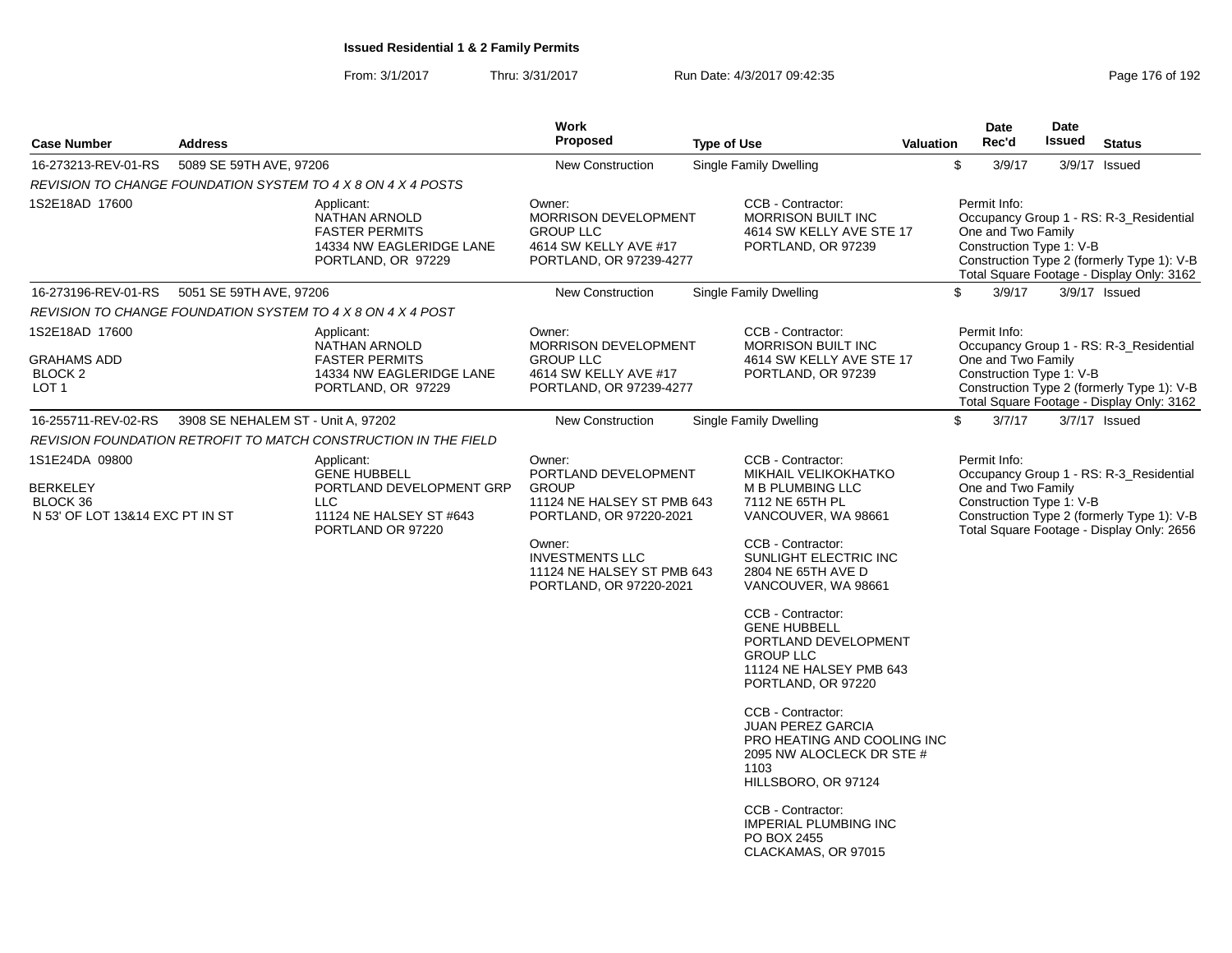|                                                                     |                                    |                                                                                                         | Work                                                                                                   |                    |                                                                                                                                          |                  | <b>Date</b>                                                    | <b>Date</b> |                                                                                                                                    |
|---------------------------------------------------------------------|------------------------------------|---------------------------------------------------------------------------------------------------------|--------------------------------------------------------------------------------------------------------|--------------------|------------------------------------------------------------------------------------------------------------------------------------------|------------------|----------------------------------------------------------------|-------------|------------------------------------------------------------------------------------------------------------------------------------|
| <b>Case Number</b>                                                  | <b>Address</b>                     |                                                                                                         | <b>Proposed</b>                                                                                        | <b>Type of Use</b> |                                                                                                                                          | <b>Valuation</b> | Rec'd                                                          | Issued      | <b>Status</b>                                                                                                                      |
| 16-273213-REV-01-RS                                                 | 5089 SE 59TH AVE, 97206            |                                                                                                         | <b>New Construction</b>                                                                                |                    | <b>Single Family Dwelling</b>                                                                                                            |                  | \$<br>3/9/17                                                   |             | 3/9/17 Issued                                                                                                                      |
|                                                                     |                                    | REVISION TO CHANGE FOUNDATION SYSTEM TO 4 X 8 ON 4 X 4 POSTS                                            |                                                                                                        |                    |                                                                                                                                          |                  |                                                                |             |                                                                                                                                    |
| 1S2E18AD 17600                                                      |                                    | Applicant:<br>NATHAN ARNOLD<br><b>FASTER PERMITS</b><br>14334 NW EAGLERIDGE LANE<br>PORTLAND, OR 97229  | Owner:<br>MORRISON DEVELOPMENT<br><b>GROUP LLC</b><br>4614 SW KELLY AVE #17<br>PORTLAND, OR 97239-4277 |                    | CCB - Contractor:<br><b>MORRISON BUILT INC</b><br>4614 SW KELLY AVE STE 17<br>PORTLAND, OR 97239                                         |                  | Permit Info:<br>One and Two Family<br>Construction Type 1: V-B |             | Occupancy Group 1 - RS: R-3 Residential<br>Construction Type 2 (formerly Type 1): V-B<br>Total Square Footage - Display Only: 3162 |
| 16-273196-REV-01-RS                                                 | 5051 SE 59TH AVE, 97206            |                                                                                                         | New Construction                                                                                       |                    | <b>Single Family Dwelling</b>                                                                                                            |                  | \$<br>3/9/17                                                   |             | 3/9/17 Issued                                                                                                                      |
|                                                                     |                                    | REVISION TO CHANGE FOUNDATION SYSTEM TO 4 X 8 ON 4 X 4 POST                                             |                                                                                                        |                    |                                                                                                                                          |                  |                                                                |             |                                                                                                                                    |
| 1S2E18AD 17600<br><b>GRAHAMS ADD</b><br>BLOCK <sub>2</sub><br>LOT 1 |                                    | Applicant:<br>NATHAN ARNOLD<br><b>FASTER PERMITS</b><br>14334 NW EAGLERIDGE LANE<br>PORTLAND, OR 97229  | Owner:<br>MORRISON DEVELOPMENT<br><b>GROUP LLC</b><br>4614 SW KELLY AVE #17<br>PORTLAND, OR 97239-4277 |                    | CCB - Contractor:<br><b>MORRISON BUILT INC</b><br>4614 SW KELLY AVE STE 17<br>PORTLAND, OR 97239                                         |                  | Permit Info:<br>One and Two Family<br>Construction Type 1: V-B |             | Occupancy Group 1 - RS: R-3_Residential<br>Construction Type 2 (formerly Type 1): V-B<br>Total Square Footage - Display Only: 3162 |
| 16-255711-REV-02-RS                                                 | 3908 SE NEHALEM ST - Unit A, 97202 |                                                                                                         | <b>New Construction</b>                                                                                |                    | <b>Single Family Dwelling</b>                                                                                                            |                  | \$<br>3/7/17                                                   |             | $3/7/17$ Issued                                                                                                                    |
|                                                                     |                                    | REVISION FOUNDATION RETROFIT TO MATCH CONSTRUCTION IN THE FIELD                                         |                                                                                                        |                    |                                                                                                                                          |                  |                                                                |             |                                                                                                                                    |
| 1S1E24DA 09800                                                      |                                    | Applicant:                                                                                              | Owner:                                                                                                 |                    | CCB - Contractor:                                                                                                                        |                  | Permit Info:                                                   |             |                                                                                                                                    |
| <b>BERKELEY</b><br>BLOCK 36<br>N 53' OF LOT 13&14 EXC PT IN ST      |                                    | <b>GENE HUBBELL</b><br>PORTLAND DEVELOPMENT GRP<br>LLC.<br>11124 NE HALSEY ST #643<br>PORTLAND OR 97220 | PORTLAND DEVELOPMENT<br><b>GROUP</b><br>11124 NE HALSEY ST PMB 643<br>PORTLAND, OR 97220-2021          |                    | MIKHAIL VELIKOKHATKO<br><b>M B PLUMBING LLC</b><br>7112 NE 65TH PL<br>VANCOUVER, WA 98661                                                |                  | One and Two Family<br>Construction Type 1: V-B                 |             | Occupancy Group 1 - RS: R-3_Residential<br>Construction Type 2 (formerly Type 1): V-B<br>Total Square Footage - Display Only: 2656 |
|                                                                     |                                    |                                                                                                         | Owner:<br><b>INVESTMENTS LLC</b><br>11124 NE HALSEY ST PMB 643<br>PORTLAND, OR 97220-2021              |                    | CCB - Contractor:<br>SUNLIGHT ELECTRIC INC<br>2804 NE 65TH AVE D<br>VANCOUVER, WA 98661                                                  |                  |                                                                |             |                                                                                                                                    |
|                                                                     |                                    |                                                                                                         |                                                                                                        |                    | CCB - Contractor:<br><b>GENE HUBBELL</b><br>PORTLAND DEVELOPMENT<br><b>GROUP LLC</b><br>11124 NE HALSEY PMB 643<br>PORTLAND, OR 97220    |                  |                                                                |             |                                                                                                                                    |
|                                                                     |                                    |                                                                                                         |                                                                                                        |                    | CCB - Contractor:<br><b>JUAN PEREZ GARCIA</b><br>PRO HEATING AND COOLING INC<br>2095 NW ALOCLECK DR STE #<br>1103<br>HILLSBORO, OR 97124 |                  |                                                                |             |                                                                                                                                    |
|                                                                     |                                    |                                                                                                         |                                                                                                        |                    | CCB - Contractor:<br><b>IMPERIAL PLUMBING INC</b><br>PO BOX 2455<br>CLACKAMAS, OR 97015                                                  |                  |                                                                |             |                                                                                                                                    |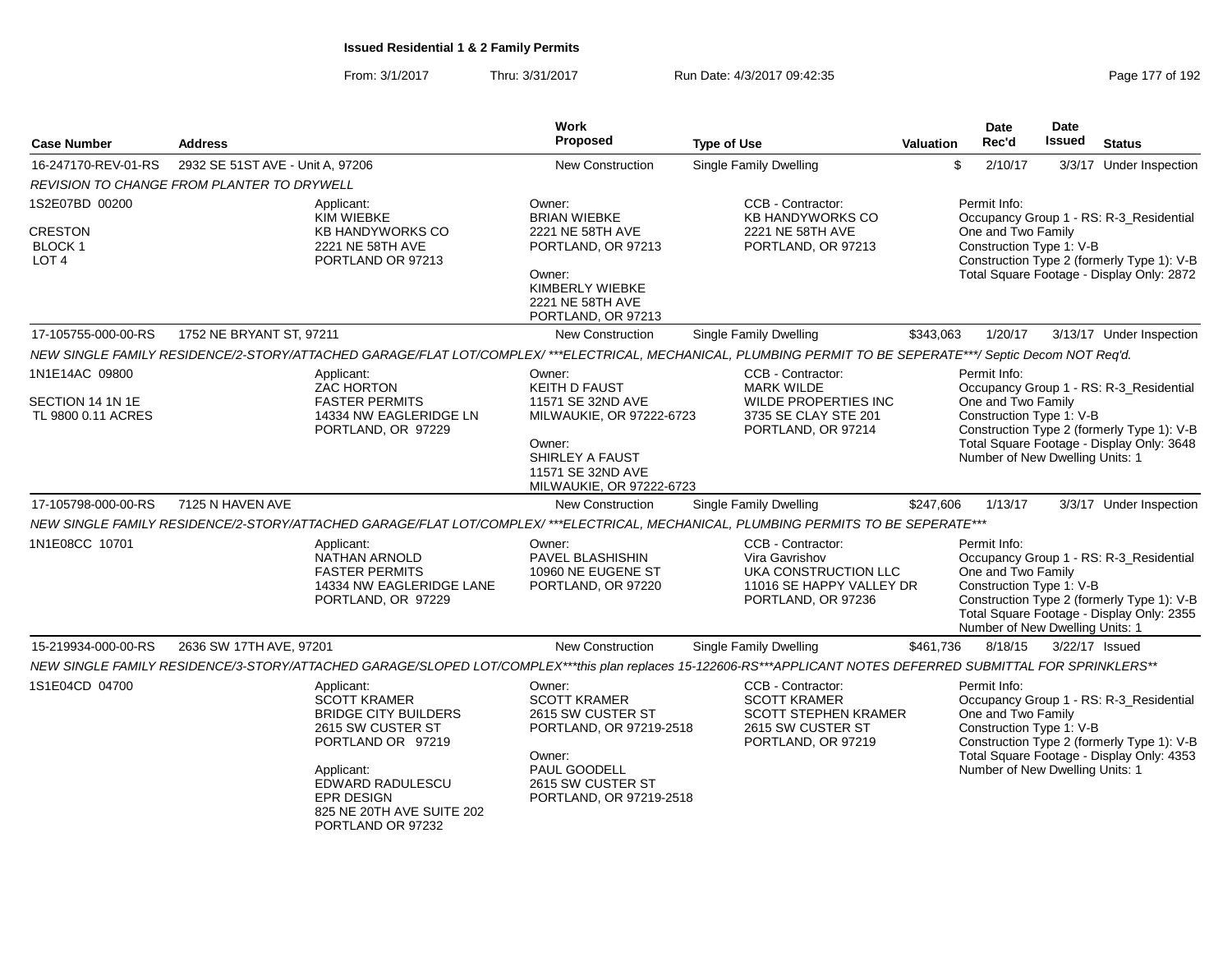| Case Number                                              | <b>Address</b>                   |                                                                                                                                                                | <b>Work</b><br><b>Proposed</b>                                                                                                                                | <b>Type of Use</b>                                                                                                  | <b>Valuation</b> | Date<br>Rec'd                                                                                     | <b>Date</b><br>Issued | <b>Status</b>                                                                                                                      |
|----------------------------------------------------------|----------------------------------|----------------------------------------------------------------------------------------------------------------------------------------------------------------|---------------------------------------------------------------------------------------------------------------------------------------------------------------|---------------------------------------------------------------------------------------------------------------------|------------------|---------------------------------------------------------------------------------------------------|-----------------------|------------------------------------------------------------------------------------------------------------------------------------|
| 16-247170-REV-01-RS                                      | 2932 SE 51ST AVE - Unit A, 97206 |                                                                                                                                                                | <b>New Construction</b>                                                                                                                                       | <b>Single Family Dwelling</b>                                                                                       |                  | \$<br>2/10/17                                                                                     |                       | 3/3/17 Under Inspection                                                                                                            |
| REVISION TO CHANGE FROM PLANTER TO DRYWELL               |                                  |                                                                                                                                                                |                                                                                                                                                               |                                                                                                                     |                  |                                                                                                   |                       |                                                                                                                                    |
| 1S2E07BD 00200                                           |                                  | Applicant:<br>KIM WIEBKE                                                                                                                                       | Owner:<br><b>BRIAN WIEBKE</b>                                                                                                                                 | CCB - Contractor:<br><b>KB HANDYWORKS CO</b>                                                                        |                  | Permit Info:                                                                                      |                       | Occupancy Group 1 - RS: R-3_Residential                                                                                            |
| <b>CRESTON</b><br>BLOCK 1<br>LOT <sub>4</sub>            |                                  | KB HANDYWORKS CO<br>2221 NE 58TH AVE<br>PORTLAND OR 97213                                                                                                      | 2221 NE 58TH AVE<br>PORTLAND, OR 97213<br>Owner:                                                                                                              | 2221 NE 58TH AVE<br>PORTLAND, OR 97213                                                                              |                  | One and Two Family<br>Construction Type 1: V-B                                                    |                       | Construction Type 2 (formerly Type 1): V-B<br>Total Square Footage - Display Only: 2872                                            |
|                                                          |                                  |                                                                                                                                                                | KIMBERLY WIEBKE<br>2221 NE 58TH AVE<br>PORTLAND, OR 97213                                                                                                     |                                                                                                                     |                  |                                                                                                   |                       |                                                                                                                                    |
| 17-105755-000-00-RS                                      | 1752 NE BRYANT ST, 97211         |                                                                                                                                                                | <b>New Construction</b>                                                                                                                                       | <b>Single Family Dwelling</b>                                                                                       | \$343,063        | 1/20/17                                                                                           |                       | 3/13/17 Under Inspection                                                                                                           |
|                                                          |                                  | NEW SINGLE FAMILY RESIDENCE/2-STORY/ATTACHED GARAGE/FLAT LOT/COMPLEX/ ***ELECTRICAL, MECHANICAL, PLUMBING PERMIT TO BE SEPERATE***/ Septic Decom NOT Req'd.    |                                                                                                                                                               |                                                                                                                     |                  |                                                                                                   |                       |                                                                                                                                    |
| 1N1E14AC 09800<br>SECTION 14 1N 1E<br>TL 9800 0.11 ACRES |                                  | Applicant:<br><b>ZAC HORTON</b><br><b>FASTER PERMITS</b><br>14334 NW EAGLERIDGE LN<br>PORTLAND, OR 97229                                                       | Owner:<br><b>KEITH D FAUST</b><br>11571 SE 32ND AVE<br>MILWAUKIE, OR 97222-6723<br>Owner:<br>SHIRLEY A FAUST<br>11571 SE 32ND AVE<br>MILWAUKIE, OR 97222-6723 | CCB - Contractor:<br><b>MARK WILDE</b><br><b>WILDE PROPERTIES INC</b><br>3735 SE CLAY STE 201<br>PORTLAND, OR 97214 |                  | Permit Info:<br>One and Two Family<br>Construction Type 1: V-B<br>Number of New Dwelling Units: 1 |                       | Occupancy Group 1 - RS: R-3_Residential<br>Construction Type 2 (formerly Type 1): V-B<br>Total Square Footage - Display Only: 3648 |
| 17-105798-000-00-RS                                      | 7125 N HAVEN AVE                 |                                                                                                                                                                | <b>New Construction</b>                                                                                                                                       | <b>Single Family Dwelling</b>                                                                                       | \$247,606        | 1/13/17                                                                                           |                       | 3/3/17 Under Inspection                                                                                                            |
|                                                          |                                  | NEW SINGLE FAMILY RESIDENCE/2-STORY/ATTACHED GARAGE/FLAT LOT/COMPLEX/***ELECTRICAL, MECHANICAL, PLUMBING PERMITS TO BE SEPERATE***                             |                                                                                                                                                               |                                                                                                                     |                  |                                                                                                   |                       |                                                                                                                                    |
| 1N1E08CC 10701                                           |                                  | Applicant:<br><b>NATHAN ARNOLD</b><br><b>FASTER PERMITS</b><br>14334 NW EAGLERIDGE LANE<br>PORTLAND, OR 97229                                                  | Owner:<br>PAVEL BLASHISHIN<br>10960 NE EUGENE ST<br>PORTLAND, OR 97220                                                                                        | CCB - Contractor:<br>Vira Gavrishov<br>UKA CONSTRUCTION LLC<br>11016 SE HAPPY VALLEY DR<br>PORTLAND, OR 97236       |                  | Permit Info:<br>One and Two Family<br>Construction Type 1: V-B<br>Number of New Dwelling Units: 1 |                       | Occupancy Group 1 - RS: R-3_Residential<br>Construction Type 2 (formerly Type 1): V-B<br>Total Square Footage - Display Only: 2355 |
| 15-219934-000-00-RS                                      | 2636 SW 17TH AVE, 97201          |                                                                                                                                                                | <b>New Construction</b>                                                                                                                                       | Single Family Dwelling                                                                                              | \$461,736        | 8/18/15                                                                                           |                       | 3/22/17 Issued                                                                                                                     |
|                                                          |                                  | NEW SINGLE FAMILY RESIDENCE/3-STORY/ATTACHED GARAGE/SLOPED LOT/COMPLEX***this plan replaces 15-122606-RS***APPLICANT NOTES DEFERRED SUBMITTAL FOR SPRINKLERS** |                                                                                                                                                               |                                                                                                                     |                  |                                                                                                   |                       |                                                                                                                                    |
| 1S1E04CD 04700                                           |                                  | Applicant:<br><b>SCOTT KRAMER</b><br>BRIDGE CITY BUILDERS<br>2615 SW CUSTER ST<br>PORTLAND OR 97219                                                            | Owner:<br><b>SCOTT KRAMER</b><br>2615 SW CUSTER ST<br>PORTLAND, OR 97219-2518<br>Owner:                                                                       | CCB - Contractor:<br><b>SCOTT KRAMER</b><br><b>SCOTT STEPHEN KRAMER</b><br>2615 SW CUSTER ST<br>PORTLAND, OR 97219  |                  | Permit Info:<br>One and Two Family<br>Construction Type 1: V-B                                    |                       | Occupancy Group 1 - RS: R-3_Residential<br>Construction Type 2 (formerly Type 1): V-B<br>Total Square Footage - Display Only: 4353 |
|                                                          |                                  | Applicant:<br>EDWARD RADULESCU<br><b>EPR DESIGN</b><br>825 NE 20TH AVE SUITE 202<br>PORTLAND OR 97232                                                          | PAUL GOODELL<br>2615 SW CUSTER ST<br>PORTLAND, OR 97219-2518                                                                                                  |                                                                                                                     |                  | Number of New Dwelling Units: 1                                                                   |                       |                                                                                                                                    |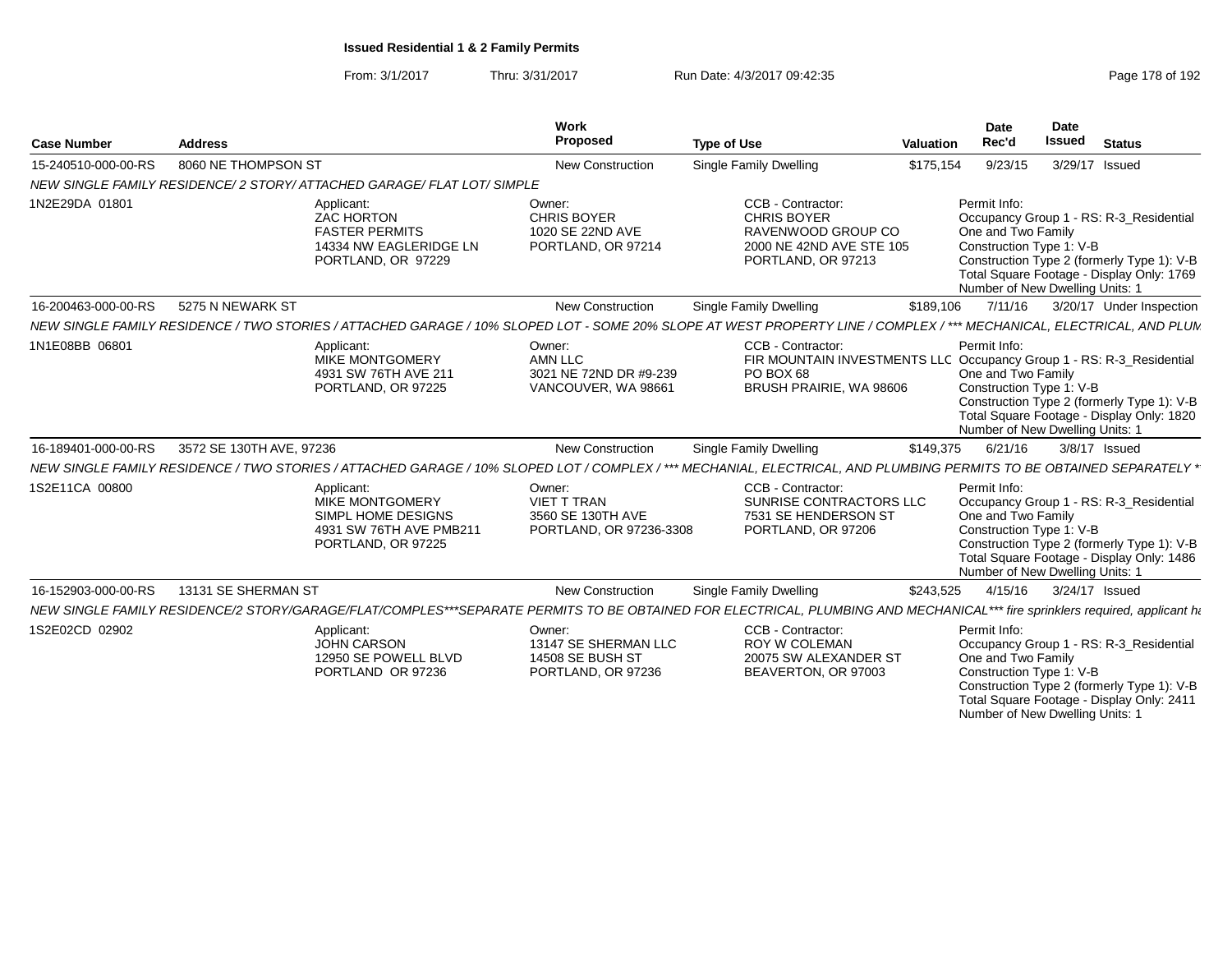| Page 178 of 192 |  |  |  |
|-----------------|--|--|--|
|-----------------|--|--|--|

| <b>Case Number</b>  | <b>Address</b>           |                                                                                                                                                                             | Work<br>Proposed                                                          | <b>Type of Use</b>                                                                                                                | <b>Valuation</b> |              | <b>Date</b><br>Rec'd | Date<br><b>Issued</b>                                       | <b>Status</b>                                                                                                                      |
|---------------------|--------------------------|-----------------------------------------------------------------------------------------------------------------------------------------------------------------------------|---------------------------------------------------------------------------|-----------------------------------------------------------------------------------------------------------------------------------|------------------|--------------|----------------------|-------------------------------------------------------------|------------------------------------------------------------------------------------------------------------------------------------|
| 15-240510-000-00-RS | 8060 NE THOMPSON ST      |                                                                                                                                                                             | <b>New Construction</b>                                                   | <b>Single Family Dwelling</b>                                                                                                     | \$175,154        |              | 9/23/15              | 3/29/17 Issued                                              |                                                                                                                                    |
|                     |                          | NEW SINGLE FAMILY RESIDENCE/2 STORY/ATTACHED GARAGE/ FLAT LOT/ SIMPLE                                                                                                       |                                                                           |                                                                                                                                   |                  |              |                      |                                                             |                                                                                                                                    |
| 1N2E29DA 01801      |                          | Applicant:<br><b>ZAC HORTON</b><br><b>FASTER PERMITS</b><br>14334 NW EAGLERIDGE LN<br>PORTLAND, OR 97229                                                                    | Owner:<br><b>CHRIS BOYER</b><br>1020 SE 22ND AVE<br>PORTLAND, OR 97214    | CCB - Contractor:<br><b>CHRIS BOYER</b><br>RAVENWOOD GROUP CO<br>2000 NE 42ND AVE STE 105<br>PORTLAND, OR 97213                   |                  | Permit Info: | One and Two Family   | Construction Type 1: V-B<br>Number of New Dwelling Units: 1 | Occupancy Group 1 - RS: R-3 Residential<br>Construction Type 2 (formerly Type 1): V-B<br>Total Square Footage - Display Only: 1769 |
| 16-200463-000-00-RS | 5275 N NEWARK ST         |                                                                                                                                                                             | New Construction                                                          | <b>Single Family Dwelling</b>                                                                                                     | \$189,106        |              | 7/11/16              |                                                             | 3/20/17 Under Inspection                                                                                                           |
|                     |                          | NEW SINGLE FAMILY RESIDENCE / TWO STORIES / ATTACHED GARAGE / 10% SLOPED LOT - SOME 20% SLOPE AT WEST PROPERTY LINE / COMPLEX / *** MECHANICAL, ELECTRICAL, AND PLUN        |                                                                           |                                                                                                                                   |                  |              |                      |                                                             |                                                                                                                                    |
| 1N1E08BB 06801      |                          | Applicant:<br>MIKE MONTGOMERY<br>4931 SW 76TH AVE 211<br>PORTLAND, OR 97225                                                                                                 | Owner:<br><b>AMN LLC</b><br>3021 NE 72ND DR #9-239<br>VANCOUVER, WA 98661 | CCB - Contractor:<br>FIR MOUNTAIN INVESTMENTS LLC Occupancy Group 1 - RS: R-3_Residential<br>PO BOX 68<br>BRUSH PRAIRIE, WA 98606 |                  | Permit Info: | One and Two Family   | Construction Type 1: V-B<br>Number of New Dwelling Units: 1 | Construction Type 2 (formerly Type 1): V-B<br>Total Square Footage - Display Only: 1820                                            |
| 16-189401-000-00-RS | 3572 SE 130TH AVE, 97236 |                                                                                                                                                                             | New Construction                                                          | Single Family Dwelling                                                                                                            | \$149,375        |              | 6/21/16              |                                                             | 3/8/17 Issued                                                                                                                      |
|                     |                          | NEW SINGLE FAMILY RESIDENCE / TWO STORIES / ATTACHED GARAGE / 10% SLOPED LOT / COMPLEX /*** MECHANIAL, ELECTRICAL, AND PLUMBING PERMITS TO BE OBTAINED SEPARATELY *         |                                                                           |                                                                                                                                   |                  |              |                      |                                                             |                                                                                                                                    |
| 1S2E11CA 00800      |                          | Applicant:<br><b>MIKE MONTGOMERY</b><br>SIMPL HOME DESIGNS<br>4931 SW 76TH AVE PMB211<br>PORTLAND, OR 97225                                                                 | Owner:<br>VIET T TRAN<br>3560 SE 130TH AVE<br>PORTLAND, OR 97236-3308     | CCB - Contractor:<br>SUNRISE CONTRACTORS LLC<br>7531 SE HENDERSON ST<br>PORTLAND, OR 97206                                        |                  | Permit Info: | One and Two Family   | Construction Type 1: V-B<br>Number of New Dwelling Units: 1 | Occupancy Group 1 - RS: R-3_Residential<br>Construction Type 2 (formerly Type 1): V-B<br>Total Square Footage - Display Only: 1486 |
| 16-152903-000-00-RS | 13131 SE SHERMAN ST      |                                                                                                                                                                             | New Construction                                                          | Single Family Dwelling                                                                                                            | \$243,525        |              | 4/15/16              | 3/24/17 Issued                                              |                                                                                                                                    |
|                     |                          | NEW SINGLE FAMILY RESIDENCE/2 STORY/GARAGE/FLAT/COMPLES***SEPARATE PERMITS TO BE OBTAINED FOR ELECTRICAL, PLUMBING AND MECHANICAL*** fire sprinklers required, applicant ha |                                                                           |                                                                                                                                   |                  |              |                      |                                                             |                                                                                                                                    |
| 1S2E02CD 02902      |                          | Applicant:<br><b>JOHN CARSON</b><br>12950 SE POWELL BLVD<br>PORTLAND OR 97236                                                                                               | Owner:<br>13147 SE SHERMAN LLC<br>14508 SE BUSH ST<br>PORTLAND, OR 97236  | CCB - Contractor:<br><b>ROY W COLEMAN</b><br>20075 SW ALEXANDER ST<br>BEAVERTON, OR 97003                                         |                  | Permit Info: | One and Two Family   | Construction Type 1: V-B<br>Number of New Dwelling Units: 1 | Occupancy Group 1 - RS: R-3_Residential<br>Construction Type 2 (formerly Type 1): V-B<br>Total Square Footage - Display Only: 2411 |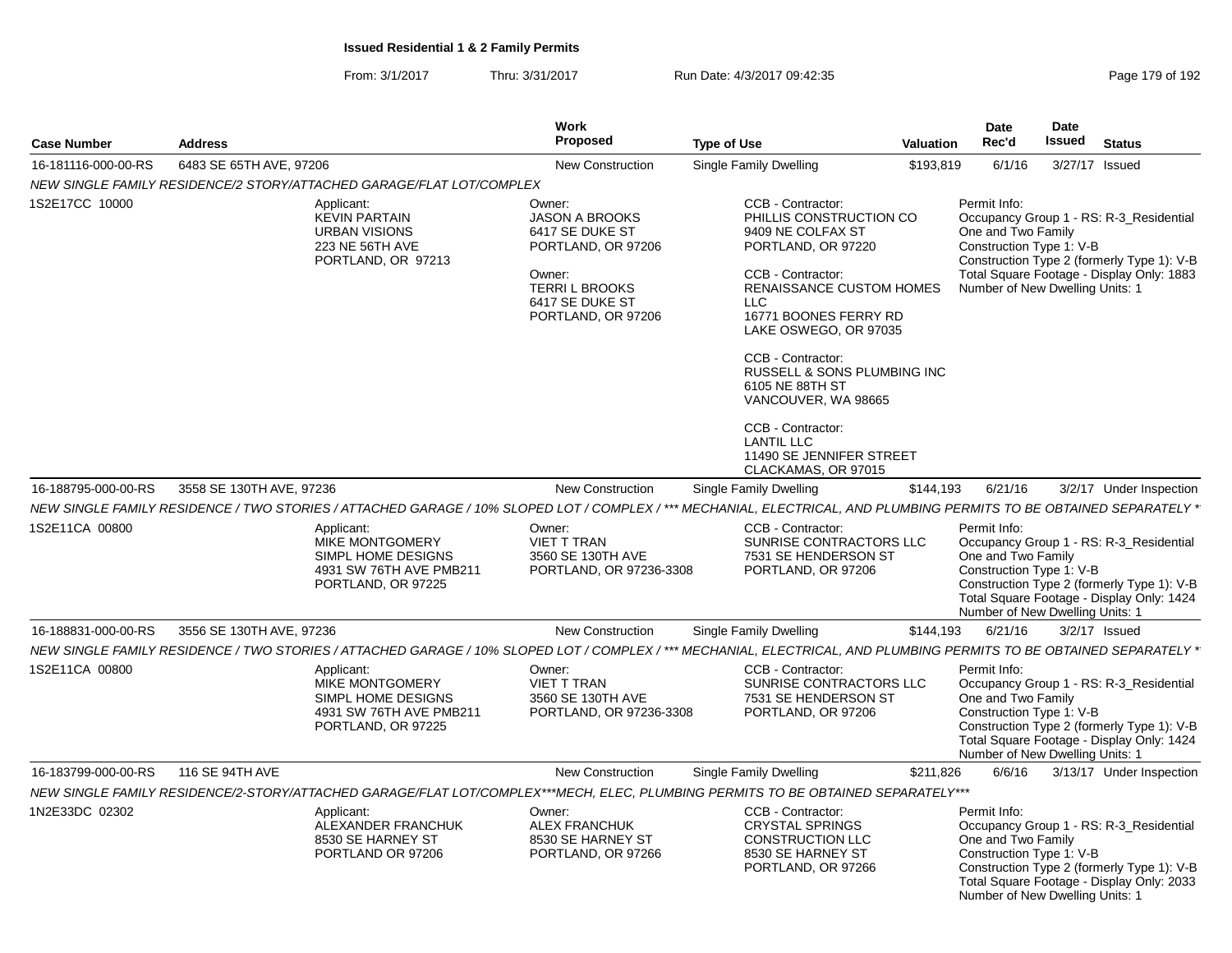From: 3/1/2017Thru: 3/31/2017 **Run Date: 4/3/2017 09:42:35 Page 179 of 192** 

| <b>Case Number</b>  | <b>Address</b>                                                                                                                                                       | Work<br>Proposed                                                                                                                                    | <b>Type of Use</b>                                                                                                                                                                                                                                                                                                                                                                                   | <b>Valuation</b> | <b>Date</b><br>Rec'd                                                                              | Date<br>Issued | <b>Status</b>                                                                                                                      |
|---------------------|----------------------------------------------------------------------------------------------------------------------------------------------------------------------|-----------------------------------------------------------------------------------------------------------------------------------------------------|------------------------------------------------------------------------------------------------------------------------------------------------------------------------------------------------------------------------------------------------------------------------------------------------------------------------------------------------------------------------------------------------------|------------------|---------------------------------------------------------------------------------------------------|----------------|------------------------------------------------------------------------------------------------------------------------------------|
| 16-181116-000-00-RS | 6483 SE 65TH AVE, 97206                                                                                                                                              | New Construction                                                                                                                                    | Single Family Dwelling                                                                                                                                                                                                                                                                                                                                                                               | \$193,819        | 6/1/16                                                                                            | 3/27/17 Issued |                                                                                                                                    |
|                     | NEW SINGLE FAMILY RESIDENCE/2 STORY/ATTACHED GARAGE/FLAT LOT/COMPLEX                                                                                                 |                                                                                                                                                     |                                                                                                                                                                                                                                                                                                                                                                                                      |                  |                                                                                                   |                |                                                                                                                                    |
| 1S2E17CC 10000      | Applicant:<br><b>KEVIN PARTAIN</b><br><b>URBAN VISIONS</b><br>223 NE 56TH AVE<br>PORTLAND, OR 97213                                                                  | Owner:<br><b>JASON A BROOKS</b><br>6417 SE DUKE ST<br>PORTLAND, OR 97206<br>Owner:<br><b>TERRIL BROOKS</b><br>6417 SE DUKE ST<br>PORTLAND, OR 97206 | CCB - Contractor:<br>PHILLIS CONSTRUCTION CO<br>9409 NE COLFAX ST<br>PORTLAND, OR 97220<br>CCB - Contractor:<br><b>RENAISSANCE CUSTOM HOMES</b><br>LLC.<br>16771 BOONES FERRY RD<br>LAKE OSWEGO, OR 97035<br>CCB - Contractor:<br>RUSSELL & SONS PLUMBING INC<br>6105 NE 88TH ST<br>VANCOUVER, WA 98665<br>CCB - Contractor:<br><b>LANTIL LLC</b><br>11490 SE JENNIFER STREET<br>CLACKAMAS, OR 97015 |                  | Permit Info:<br>One and Two Family<br>Construction Type 1: V-B<br>Number of New Dwelling Units: 1 |                | Occupancy Group 1 - RS: R-3 Residential<br>Construction Type 2 (formerly Type 1): V-B<br>Total Square Footage - Display Only: 1883 |
| 16-188795-000-00-RS | 3558 SE 130TH AVE, 97236                                                                                                                                             | <b>New Construction</b>                                                                                                                             | <b>Single Family Dwelling</b>                                                                                                                                                                                                                                                                                                                                                                        | \$144,193        | 6/21/16                                                                                           |                | 3/2/17 Under Inspection                                                                                                            |
|                     | NEW SINGLE FAMILY RESIDENCE / TWO STORIES / ATTACHED GARAGE / 10% SLOPED LOT / COMPLEX / *** MECHANIAL, ELECTRICAL, AND PLUMBING PERMITS TO BE OBTAINED SEPARATELY * |                                                                                                                                                     |                                                                                                                                                                                                                                                                                                                                                                                                      |                  |                                                                                                   |                |                                                                                                                                    |
| 1S2E11CA 00800      | Applicant:<br>MIKE MONTGOMERY<br>SIMPL HOME DESIGNS<br>4931 SW 76TH AVE PMB211<br>PORTLAND, OR 97225                                                                 | Owner:<br><b>VIET T TRAN</b><br>3560 SE 130TH AVE<br>PORTLAND, OR 97236-3308                                                                        | CCB - Contractor:<br>SUNRISE CONTRACTORS LLC<br>7531 SE HENDERSON ST<br>PORTLAND, OR 97206                                                                                                                                                                                                                                                                                                           |                  | Permit Info:<br>One and Two Family<br>Construction Type 1: V-B<br>Number of New Dwelling Units: 1 |                | Occupancy Group 1 - RS: R-3_Residential<br>Construction Type 2 (formerly Type 1): V-B<br>Total Square Footage - Display Only: 1424 |
| 16-188831-000-00-RS | 3556 SE 130TH AVE, 97236                                                                                                                                             | <b>New Construction</b>                                                                                                                             | Single Family Dwelling                                                                                                                                                                                                                                                                                                                                                                               | \$144,193        | 6/21/16                                                                                           |                | $3/2/17$ Issued                                                                                                                    |
|                     | NEW SINGLE FAMILY RESIDENCE / TWO STORIES / ATTACHED GARAGE / 10% SLOPED LOT / COMPLEX / *** MECHANIAL, ELECTRICAL, AND PLUMBING PERMITS TO BE OBTAINED SEPARATELY * |                                                                                                                                                     |                                                                                                                                                                                                                                                                                                                                                                                                      |                  |                                                                                                   |                |                                                                                                                                    |
| 1S2E11CA 00800      | Applicant:<br>MIKE MONTGOMERY<br>SIMPL HOME DESIGNS<br>4931 SW 76TH AVE PMB211<br>PORTLAND, OR 97225                                                                 | Owner:<br><b>VIET T TRAN</b><br>3560 SE 130TH AVE<br>PORTLAND, OR 97236-3308                                                                        | CCB - Contractor:<br>SUNRISE CONTRACTORS LLC<br>7531 SE HENDERSON ST<br>PORTLAND, OR 97206                                                                                                                                                                                                                                                                                                           |                  | Permit Info:<br>One and Two Family<br>Construction Type 1: V-B<br>Number of New Dwelling Units: 1 |                | Occupancy Group 1 - RS: R-3_Residential<br>Construction Type 2 (formerly Type 1): V-B<br>Total Square Footage - Display Only: 1424 |
| 16-183799-000-00-RS | 116 SE 94TH AVE                                                                                                                                                      | <b>New Construction</b>                                                                                                                             | <b>Single Family Dwelling</b>                                                                                                                                                                                                                                                                                                                                                                        | \$211,826        | 6/6/16                                                                                            |                | 3/13/17 Under Inspection                                                                                                           |
|                     | NEW SINGLE FAMILY RESIDENCE/2-STORY/ATTACHED GARAGE/FLAT LOT/COMPLEX***MECH, ELEC, PLUMBING PERMITS TO BE OBTAINED SEPARATELY***                                     |                                                                                                                                                     |                                                                                                                                                                                                                                                                                                                                                                                                      |                  |                                                                                                   |                |                                                                                                                                    |
| 1N2E33DC 02302      | Applicant:<br>ALEXANDER FRANCHUK<br>8530 SE HARNEY ST<br>PORTLAND OR 97206                                                                                           | Owner:<br><b>ALEX FRANCHUK</b><br>8530 SE HARNEY ST<br>PORTLAND, OR 97266                                                                           | CCB - Contractor:<br><b>CRYSTAL SPRINGS</b><br><b>CONSTRUCTION LLC</b><br>8530 SE HARNEY ST<br>PORTLAND, OR 97266                                                                                                                                                                                                                                                                                    |                  | Permit Info:<br>One and Two Family<br>Construction Type 1: V-B<br>Number of New Dwelling Units: 1 |                | Occupancy Group 1 - RS: R-3_Residential<br>Construction Type 2 (formerly Type 1): V-B<br>Total Square Footage - Display Only: 2033 |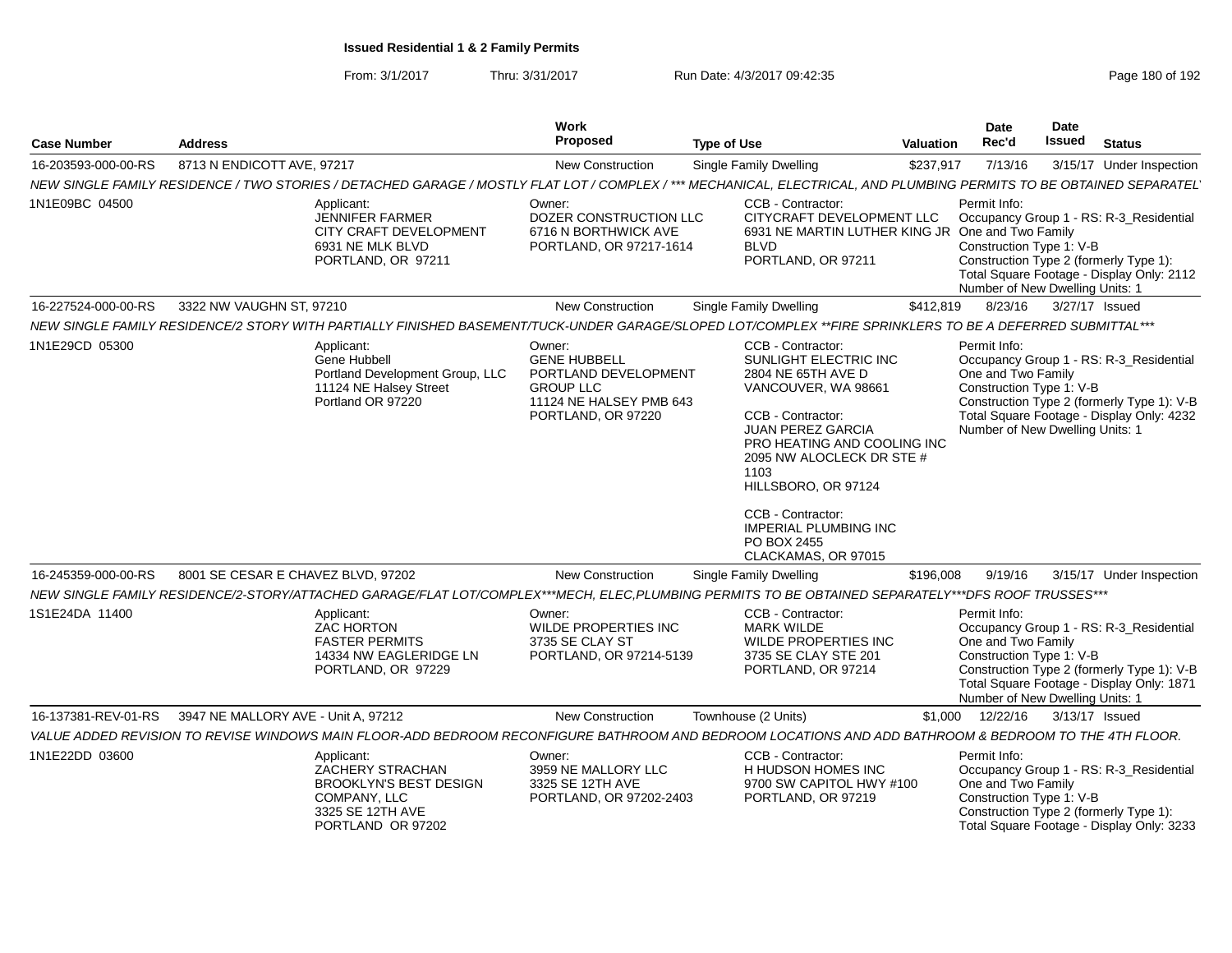From: 3/1/2017Thru: 3/31/2017 Run Date: 4/3/2017 09:42:35 Research 2010 192

| <b>Case Number</b>  | <b>Address</b>                                                                                                                                                      | Work<br>Proposed                                                                                                           | <b>Type of Use</b>                                                                                                                                                                                                                                                                                                      | Valuation | <b>Date</b><br>Rec'd                                                                              | Date<br>Issued | <b>Status</b>                                                                                                                      |
|---------------------|---------------------------------------------------------------------------------------------------------------------------------------------------------------------|----------------------------------------------------------------------------------------------------------------------------|-------------------------------------------------------------------------------------------------------------------------------------------------------------------------------------------------------------------------------------------------------------------------------------------------------------------------|-----------|---------------------------------------------------------------------------------------------------|----------------|------------------------------------------------------------------------------------------------------------------------------------|
| 16-203593-000-00-RS | 8713 N ENDICOTT AVE, 97217                                                                                                                                          | <b>New Construction</b>                                                                                                    | <b>Single Family Dwelling</b>                                                                                                                                                                                                                                                                                           | \$237,917 | 7/13/16                                                                                           |                | 3/15/17 Under Inspection                                                                                                           |
|                     | NEW SINGLE FAMILY RESIDENCE / TWO STORIES / DETACHED GARAGE / MOSTLY FLAT LOT / COMPLEX / *** MECHANICAL, ELECTRICAL, AND PLUMBING PERMITS TO BE OBTAINED SEPARATEL |                                                                                                                            |                                                                                                                                                                                                                                                                                                                         |           |                                                                                                   |                |                                                                                                                                    |
| 1N1E09BC 04500      | Applicant:<br><b>JENNIFER FARMER</b><br>CITY CRAFT DEVELOPMENT<br>6931 NE MLK BLVD<br>PORTLAND, OR 97211                                                            | Owner:<br>DOZER CONSTRUCTION LLC<br>6716 N BORTHWICK AVE<br>PORTLAND, OR 97217-1614                                        | CCB - Contractor:<br>CITYCRAFT DEVELOPMENT LLC<br>6931 NE MARTIN LUTHER KING JR One and Two Family<br><b>BLVD</b><br>PORTLAND, OR 97211                                                                                                                                                                                 |           | Permit Info:<br>Construction Type 1: V-B<br>Number of New Dwelling Units: 1                       |                | Occupancy Group 1 - RS: R-3_Residential<br>Construction Type 2 (formerly Type 1):<br>Total Square Footage - Display Only: 2112     |
| 16-227524-000-00-RS | 3322 NW VAUGHN ST, 97210                                                                                                                                            | <b>New Construction</b>                                                                                                    | <b>Single Family Dwelling</b>                                                                                                                                                                                                                                                                                           | \$412,819 | 8/23/16                                                                                           |                | 3/27/17 Issued                                                                                                                     |
|                     | NEW SINGLE FAMILY RESIDENCE/2 STORY WITH PARTIALLY FINISHED BASEMENT/TUCK-UNDER GARAGE/SLOPED LOT/COMPLEX **FIRE SPRINKLERS TO BE A DEFERRED SUBMITTAL***           |                                                                                                                            |                                                                                                                                                                                                                                                                                                                         |           |                                                                                                   |                |                                                                                                                                    |
| 1N1E29CD 05300      | Applicant:<br>Gene Hubbell<br>Portland Development Group, LLC<br>11124 NE Halsey Street<br>Portland OR 97220                                                        | Owner:<br><b>GENE HUBBELL</b><br>PORTLAND DEVELOPMENT<br><b>GROUP LLC</b><br>11124 NE HALSEY PMB 643<br>PORTLAND, OR 97220 | CCB - Contractor:<br>SUNLIGHT ELECTRIC INC<br>2804 NE 65TH AVE D<br>VANCOUVER, WA 98661<br>CCB - Contractor:<br>JUAN PEREZ GARCIA<br>PRO HEATING AND COOLING INC<br>2095 NW ALOCLECK DR STE #<br>1103<br>HILLSBORO, OR 97124<br>CCB - Contractor:<br><b>IMPERIAL PLUMBING INC</b><br>PO BOX 2455<br>CLACKAMAS, OR 97015 |           | Permit Info:<br>One and Two Family<br>Construction Type 1: V-B<br>Number of New Dwelling Units: 1 |                | Occupancy Group 1 - RS: R-3_Residential<br>Construction Type 2 (formerly Type 1): V-B<br>Total Square Footage - Display Only: 4232 |
| 16-245359-000-00-RS | 8001 SE CESAR E CHAVEZ BLVD, 97202                                                                                                                                  | <b>New Construction</b>                                                                                                    | <b>Single Family Dwelling</b>                                                                                                                                                                                                                                                                                           | \$196,008 | 9/19/16                                                                                           |                | 3/15/17 Under Inspection                                                                                                           |
|                     | NEW SINGLE FAMILY RESIDENCE/2-STORY/ATTACHED GARAGE/FLAT LOT/COMPLEX***MECH, ELEC,PLUMBING PERMITS TO BE OBTAINED SEPARATELY***DFS ROOF TRUSSES***                  |                                                                                                                            |                                                                                                                                                                                                                                                                                                                         |           |                                                                                                   |                |                                                                                                                                    |
| 1S1E24DA 11400      | Applicant:<br><b>ZAC HORTON</b><br><b>FASTER PERMITS</b><br>14334 NW EAGLERIDGE LN<br>PORTLAND, OR 97229                                                            | Owner:<br>WILDE PROPERTIES INC<br>3735 SE CLAY ST<br>PORTLAND, OR 97214-5139                                               | CCB - Contractor:<br><b>MARK WILDE</b><br>WILDE PROPERTIES INC<br>3735 SE CLAY STE 201<br>PORTLAND, OR 97214                                                                                                                                                                                                            |           | Permit Info:<br>One and Two Family<br>Construction Type 1: V-B<br>Number of New Dwelling Units: 1 |                | Occupancy Group 1 - RS: R-3_Residential<br>Construction Type 2 (formerly Type 1): V-B<br>Total Square Footage - Display Only: 1871 |
| 16-137381-REV-01-RS | 3947 NE MALLORY AVE - Unit A, 97212                                                                                                                                 | <b>New Construction</b>                                                                                                    | Townhouse (2 Units)                                                                                                                                                                                                                                                                                                     | \$1.000   | 12/22/16                                                                                          |                | 3/13/17 Issued                                                                                                                     |
|                     | VALUE ADDED REVISION TO REVISE WINDOWS MAIN FLOOR-ADD BEDROOM RECONFIGURE BATHROOM AND BEDROOM LOCATIONS AND ADD BATHROOM & BEDROOM TO THE 4TH FLOOR.               |                                                                                                                            |                                                                                                                                                                                                                                                                                                                         |           |                                                                                                   |                |                                                                                                                                    |
| 1N1E22DD 03600      | Applicant:<br>ZACHERY STRACHAN<br><b>BROOKLYN'S BEST DESIGN</b><br>COMPANY, LLC<br>3325 SE 12TH AVE<br>PORTLAND OR 97202                                            | Owner:<br>3959 NE MALLORY LLC<br>3325 SE 12TH AVE<br>PORTLAND, OR 97202-2403                                               | CCB - Contractor:<br>H HUDSON HOMES INC<br>9700 SW CAPITOL HWY #100<br>PORTLAND, OR 97219                                                                                                                                                                                                                               |           | Permit Info:<br>One and Two Family<br>Construction Type 1: V-B                                    |                | Occupancy Group 1 - RS: R-3_Residential<br>Construction Type 2 (formerly Type 1):<br>Total Square Footage - Display Only: 3233     |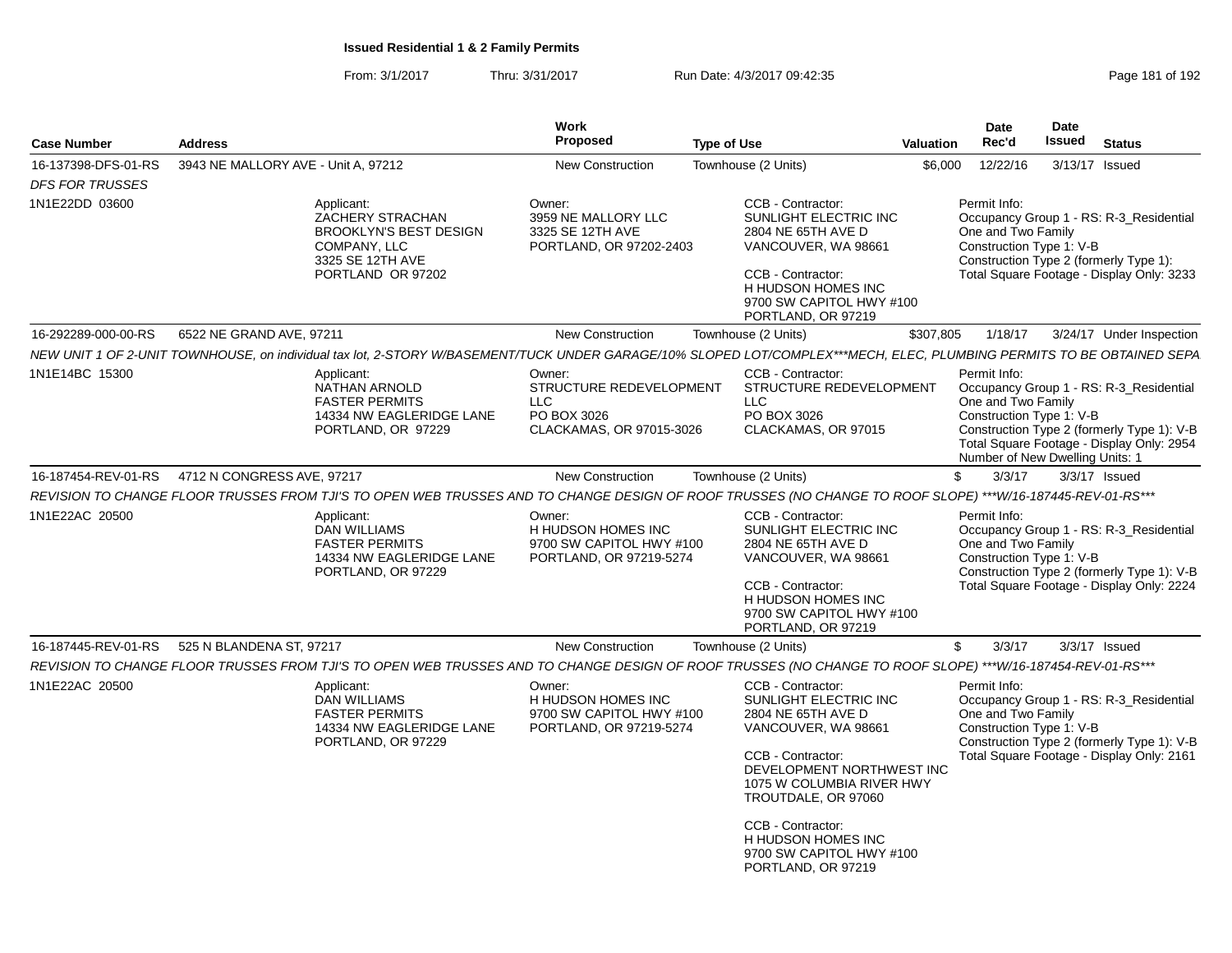| 3943 NE MALLORY AVE - Unit A, 97212<br>6522 NE GRAND AVE, 97211<br>4712 N CONGRESS AVE, 97217 | Applicant:<br>ZACHERY STRACHAN<br><b>BROOKLYN'S BEST DESIGN</b><br>COMPANY, LLC<br>3325 SE 12TH AVE<br>PORTLAND OR 97202<br>NEW UNIT 1 OF 2-UNIT TOWNHOUSE, on individual tax lot, 2-STORY W/BASEMENT/TUCK UNDER GARAGE/10% SLOPED LOT/COMPLEX***MECH, ELEC, PLUMBING PERMITS TO BE OBTAINED SEPA<br>Applicant:<br><b>NATHAN ARNOLD</b><br><b>FASTER PERMITS</b><br>14334 NW EAGLERIDGE LANE<br>PORTLAND, OR 97229 | <b>New Construction</b><br>Owner:<br>3959 NE MALLORY LLC<br>3325 SE 12TH AVE<br>PORTLAND, OR 97202-2403<br><b>New Construction</b><br>Owner:<br>STRUCTURE REDEVELOPMENT<br>LLC<br>PO BOX 3026<br>CLACKAMAS, OR 97015-3026 | Townhouse (2 Units)<br>Townhouse (2 Units)<br>LLC. | CCB - Contractor:<br>SUNLIGHT ELECTRIC INC<br>2804 NE 65TH AVE D<br>VANCOUVER, WA 98661<br>CCB - Contractor:<br>H HUDSON HOMES INC<br>9700 SW CAPITOL HWY #100<br>PORTLAND, OR 97219<br>CCB - Contractor:<br>STRUCTURE REDEVELOPMENT<br>PO BOX 3026<br>CLACKAMAS, OR 97015 | \$6,000<br>\$307,805                                                                                                                                                                                                                                                                                                                      | 12/22/16<br>Permit Info:<br>One and Two Family<br>Construction Type 1: V-B<br>1/18/17<br>Permit Info:<br>One and Two Family<br>Construction Type 1: V-B |                    | 3/13/17 Issued<br>Occupancy Group 1 - RS: R-3_Residential<br>Construction Type 2 (formerly Type 1):<br>Total Square Footage - Display Only: 3233<br>3/24/17 Under Inspection<br>Occupancy Group 1 - RS: R-3_Residential                                                                                                                                                                                                                                                                         |
|-----------------------------------------------------------------------------------------------|--------------------------------------------------------------------------------------------------------------------------------------------------------------------------------------------------------------------------------------------------------------------------------------------------------------------------------------------------------------------------------------------------------------------|---------------------------------------------------------------------------------------------------------------------------------------------------------------------------------------------------------------------------|----------------------------------------------------|----------------------------------------------------------------------------------------------------------------------------------------------------------------------------------------------------------------------------------------------------------------------------|-------------------------------------------------------------------------------------------------------------------------------------------------------------------------------------------------------------------------------------------------------------------------------------------------------------------------------------------|---------------------------------------------------------------------------------------------------------------------------------------------------------|--------------------|-------------------------------------------------------------------------------------------------------------------------------------------------------------------------------------------------------------------------------------------------------------------------------------------------------------------------------------------------------------------------------------------------------------------------------------------------------------------------------------------------|
|                                                                                               |                                                                                                                                                                                                                                                                                                                                                                                                                    |                                                                                                                                                                                                                           |                                                    |                                                                                                                                                                                                                                                                            |                                                                                                                                                                                                                                                                                                                                           |                                                                                                                                                         |                    |                                                                                                                                                                                                                                                                                                                                                                                                                                                                                                 |
|                                                                                               |                                                                                                                                                                                                                                                                                                                                                                                                                    |                                                                                                                                                                                                                           |                                                    |                                                                                                                                                                                                                                                                            |                                                                                                                                                                                                                                                                                                                                           |                                                                                                                                                         |                    |                                                                                                                                                                                                                                                                                                                                                                                                                                                                                                 |
|                                                                                               |                                                                                                                                                                                                                                                                                                                                                                                                                    |                                                                                                                                                                                                                           |                                                    |                                                                                                                                                                                                                                                                            |                                                                                                                                                                                                                                                                                                                                           |                                                                                                                                                         |                    |                                                                                                                                                                                                                                                                                                                                                                                                                                                                                                 |
|                                                                                               |                                                                                                                                                                                                                                                                                                                                                                                                                    |                                                                                                                                                                                                                           |                                                    |                                                                                                                                                                                                                                                                            |                                                                                                                                                                                                                                                                                                                                           |                                                                                                                                                         |                    |                                                                                                                                                                                                                                                                                                                                                                                                                                                                                                 |
|                                                                                               |                                                                                                                                                                                                                                                                                                                                                                                                                    |                                                                                                                                                                                                                           |                                                    |                                                                                                                                                                                                                                                                            |                                                                                                                                                                                                                                                                                                                                           |                                                                                                                                                         |                    |                                                                                                                                                                                                                                                                                                                                                                                                                                                                                                 |
|                                                                                               |                                                                                                                                                                                                                                                                                                                                                                                                                    |                                                                                                                                                                                                                           |                                                    |                                                                                                                                                                                                                                                                            |                                                                                                                                                                                                                                                                                                                                           | Number of New Dwelling Units: 1                                                                                                                         |                    | Construction Type 2 (formerly Type 1): V-B<br>Total Square Footage - Display Only: 2954                                                                                                                                                                                                                                                                                                                                                                                                         |
|                                                                                               |                                                                                                                                                                                                                                                                                                                                                                                                                    | <b>New Construction</b>                                                                                                                                                                                                   | Townhouse (2 Units)                                |                                                                                                                                                                                                                                                                            | \$                                                                                                                                                                                                                                                                                                                                        | 3/3/17                                                                                                                                                  |                    | $3/3/17$ Issued                                                                                                                                                                                                                                                                                                                                                                                                                                                                                 |
|                                                                                               | REVISION TO CHANGE FLOOR TRUSSES FROM TJI'S TO OPEN WEB TRUSSES AND TO CHANGE DESIGN OF ROOF TRUSSES (NO CHANGE TO ROOF SLOPE) ***W/16-187445-REV-01-RS***                                                                                                                                                                                                                                                         |                                                                                                                                                                                                                           |                                                    |                                                                                                                                                                                                                                                                            |                                                                                                                                                                                                                                                                                                                                           |                                                                                                                                                         |                    |                                                                                                                                                                                                                                                                                                                                                                                                                                                                                                 |
|                                                                                               | Applicant:<br><b>DAN WILLIAMS</b><br><b>FASTER PERMITS</b><br>14334 NW EAGLERIDGE LANE<br>PORTLAND, OR 97229                                                                                                                                                                                                                                                                                                       | Owner:<br>H HUDSON HOMES INC                                                                                                                                                                                              |                                                    | CCB - Contractor:<br>SUNLIGHT ELECTRIC INC                                                                                                                                                                                                                                 |                                                                                                                                                                                                                                                                                                                                           | Permit Info:                                                                                                                                            |                    | Occupancy Group 1 - RS: R-3 Residential                                                                                                                                                                                                                                                                                                                                                                                                                                                         |
|                                                                                               |                                                                                                                                                                                                                                                                                                                                                                                                                    | <b>New Construction</b>                                                                                                                                                                                                   |                                                    |                                                                                                                                                                                                                                                                            |                                                                                                                                                                                                                                                                                                                                           | 3/3/17                                                                                                                                                  |                    | 3/3/17 Issued                                                                                                                                                                                                                                                                                                                                                                                                                                                                                   |
|                                                                                               |                                                                                                                                                                                                                                                                                                                                                                                                                    |                                                                                                                                                                                                                           |                                                    |                                                                                                                                                                                                                                                                            |                                                                                                                                                                                                                                                                                                                                           |                                                                                                                                                         |                    |                                                                                                                                                                                                                                                                                                                                                                                                                                                                                                 |
|                                                                                               | Applicant:<br><b>DAN WILLIAMS</b><br><b>FASTER PERMITS</b><br>14334 NW EAGLERIDGE LANE<br>PORTLAND, OR 97229                                                                                                                                                                                                                                                                                                       | Owner:<br>H HUDSON HOMES INC                                                                                                                                                                                              |                                                    |                                                                                                                                                                                                                                                                            |                                                                                                                                                                                                                                                                                                                                           |                                                                                                                                                         |                    |                                                                                                                                                                                                                                                                                                                                                                                                                                                                                                 |
|                                                                                               |                                                                                                                                                                                                                                                                                                                                                                                                                    | 525 N BLANDENA ST, 97217                                                                                                                                                                                                  |                                                    | 9700 SW CAPITOL HWY #100<br>PORTLAND, OR 97219-5274<br>9700 SW CAPITOL HWY #100<br>PORTLAND, OR 97219-5274                                                                                                                                                                 | 2804 NE 65TH AVE D<br>VANCOUVER, WA 98661<br>CCB - Contractor:<br>H HUDSON HOMES INC<br>PORTLAND, OR 97219<br>Townhouse (2 Units)<br>CCB - Contractor:<br>SUNLIGHT ELECTRIC INC<br>2804 NE 65TH AVE D<br>VANCOUVER, WA 98661<br>CCB - Contractor:<br>TROUTDALE, OR 97060<br>CCB - Contractor:<br>H HUDSON HOMES INC<br>PORTLAND, OR 97219 | 9700 SW CAPITOL HWY #100<br>DEVELOPMENT NORTHWEST INC<br>1075 W COLUMBIA RIVER HWY<br>9700 SW CAPITOL HWY #100                                          | \$<br>Permit Info: | One and Two Family<br>Construction Type 1: V-B<br>Construction Type 2 (formerly Type 1): V-B<br>Total Square Footage - Display Only: 2224<br>REVISION TO CHANGE FLOOR TRUSSES FROM TJI'S TO OPEN WEB TRUSSES AND TO CHANGE DESIGN OF ROOF TRUSSES (NO CHANGE TO ROOF SLOPE) ***W/16-187454-REV-01-RS***<br>Occupancy Group 1 - RS: R-3_Residential<br>One and Two Family<br>Construction Type 1: V-B<br>Construction Type 2 (formerly Type 1): V-B<br>Total Square Footage - Display Only: 2161 |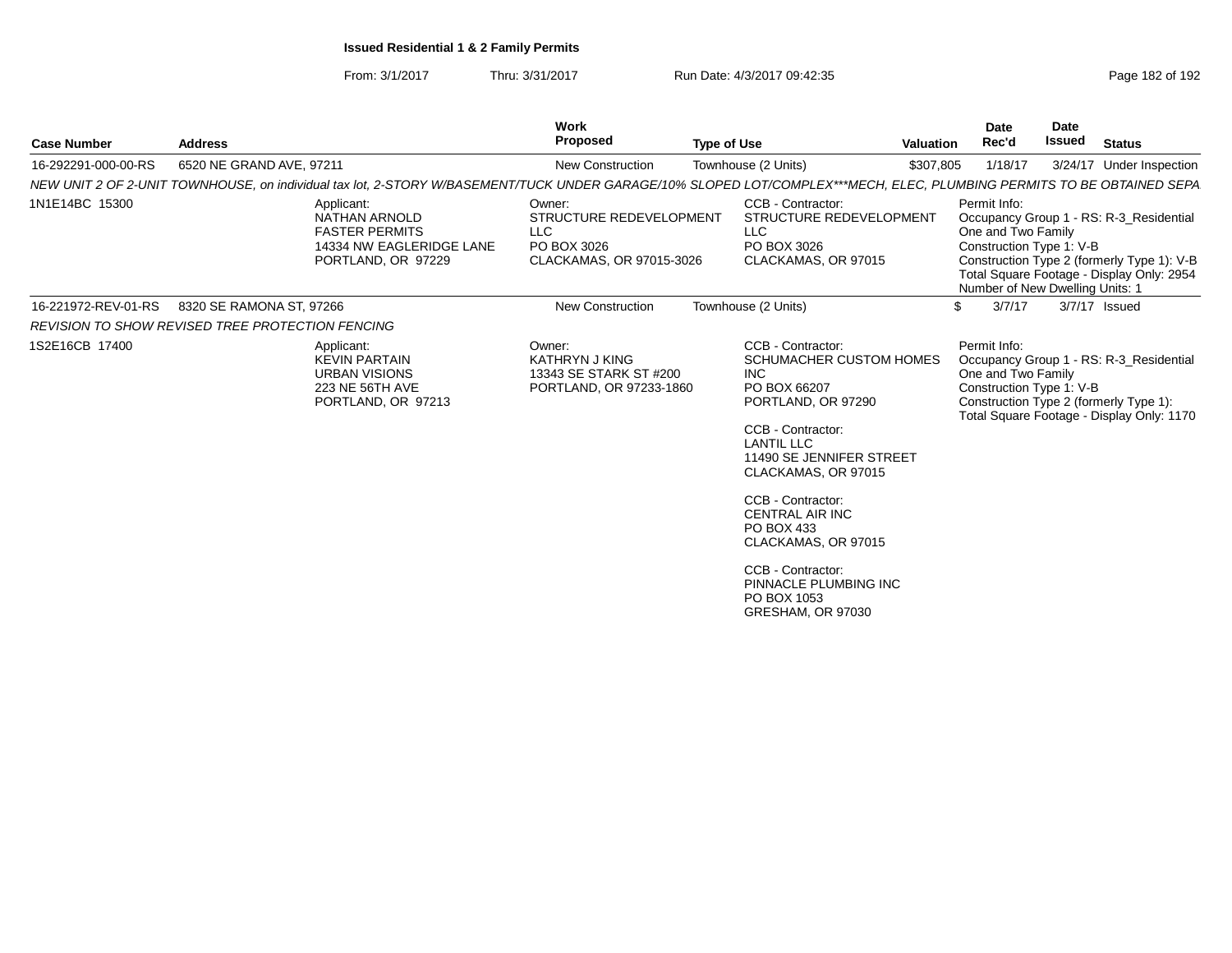From: 3/1/2017

| <b>Case Number</b>                                      | <b>Address</b>           |                                                                                                                                                                       | <b>Work</b><br><b>Proposed</b>                                                             | <b>Type of Use</b> |                                                                                                                                                                                                                                                                                                                                                       | <b>Valuation</b> | Date<br>Rec'd                                                                                     | Date<br>Issued | <b>Status</b>                                                                                                                      |
|---------------------------------------------------------|--------------------------|-----------------------------------------------------------------------------------------------------------------------------------------------------------------------|--------------------------------------------------------------------------------------------|--------------------|-------------------------------------------------------------------------------------------------------------------------------------------------------------------------------------------------------------------------------------------------------------------------------------------------------------------------------------------------------|------------------|---------------------------------------------------------------------------------------------------|----------------|------------------------------------------------------------------------------------------------------------------------------------|
| 16-292291-000-00-RS                                     | 6520 NE GRAND AVE, 97211 |                                                                                                                                                                       | New Construction                                                                           |                    | Townhouse (2 Units)                                                                                                                                                                                                                                                                                                                                   | \$307,805        | 1/18/17                                                                                           |                | 3/24/17 Under Inspection                                                                                                           |
|                                                         |                          | NEW UNIT 2 OF 2-UNIT TOWNHOUSE, on individual tax lot, 2-STORY W/BASEMENT/TUCK UNDER GARAGE/10% SLOPED LOT/COMPLEX***MECH, ELEC, PLUMBING PERMITS TO BE OBTAINED SEPA |                                                                                            |                    |                                                                                                                                                                                                                                                                                                                                                       |                  |                                                                                                   |                |                                                                                                                                    |
| 1N1E14BC 15300                                          |                          | Applicant:<br><b>NATHAN ARNOLD</b><br><b>FASTER PERMITS</b><br>14334 NW EAGLERIDGE LANE<br>PORTLAND, OR 97229                                                         | Owner:<br>STRUCTURE REDEVELOPMENT<br><b>LLC</b><br>PO BOX 3026<br>CLACKAMAS, OR 97015-3026 |                    | CCB - Contractor:<br>STRUCTURE REDEVELOPMENT<br><b>LLC</b><br>PO BOX 3026<br>CLACKAMAS, OR 97015                                                                                                                                                                                                                                                      |                  | Permit Info:<br>One and Two Family<br>Construction Type 1: V-B<br>Number of New Dwelling Units: 1 |                | Occupancy Group 1 - RS: R-3 Residential<br>Construction Type 2 (formerly Type 1): V-B<br>Total Square Footage - Display Only: 2954 |
| 16-221972-REV-01-RS                                     | 8320 SE RAMONA ST, 97266 |                                                                                                                                                                       | <b>New Construction</b>                                                                    |                    | Townhouse (2 Units)                                                                                                                                                                                                                                                                                                                                   |                  | 3/7/17<br>\$                                                                                      |                | 3/7/17 Issued                                                                                                                      |
| <b>REVISION TO SHOW REVISED TREE PROTECTION FENCING</b> |                          |                                                                                                                                                                       |                                                                                            |                    |                                                                                                                                                                                                                                                                                                                                                       |                  |                                                                                                   |                |                                                                                                                                    |
| 1S2E16CB 17400                                          |                          | Applicant:<br><b>KEVIN PARTAIN</b><br><b>URBAN VISIONS</b><br>223 NE 56TH AVE<br>PORTLAND, OR 97213                                                                   | Owner:<br><b>KATHRYN J KING</b><br>13343 SE STARK ST #200<br>PORTLAND, OR 97233-1860       |                    | CCB - Contractor:<br><b>SCHUMACHER CUSTOM HOMES</b><br><b>INC</b><br>PO BOX 66207<br>PORTLAND, OR 97290<br>CCB - Contractor:<br><b>LANTIL LLC</b><br>11490 SE JENNIFER STREET<br>CLACKAMAS, OR 97015<br>CCB - Contractor:<br><b>CENTRAL AIR INC</b><br>PO BOX 433<br>CLACKAMAS, OR 97015<br>CCB - Contractor:<br>PINNACLE PLUMBING INC<br>PO BOX 1053 |                  | Permit Info:<br>One and Two Family<br>Construction Type 1: V-B                                    |                | Occupancy Group 1 - RS: R-3_Residential<br>Construction Type 2 (formerly Type 1):<br>Total Square Footage - Display Only: 1170     |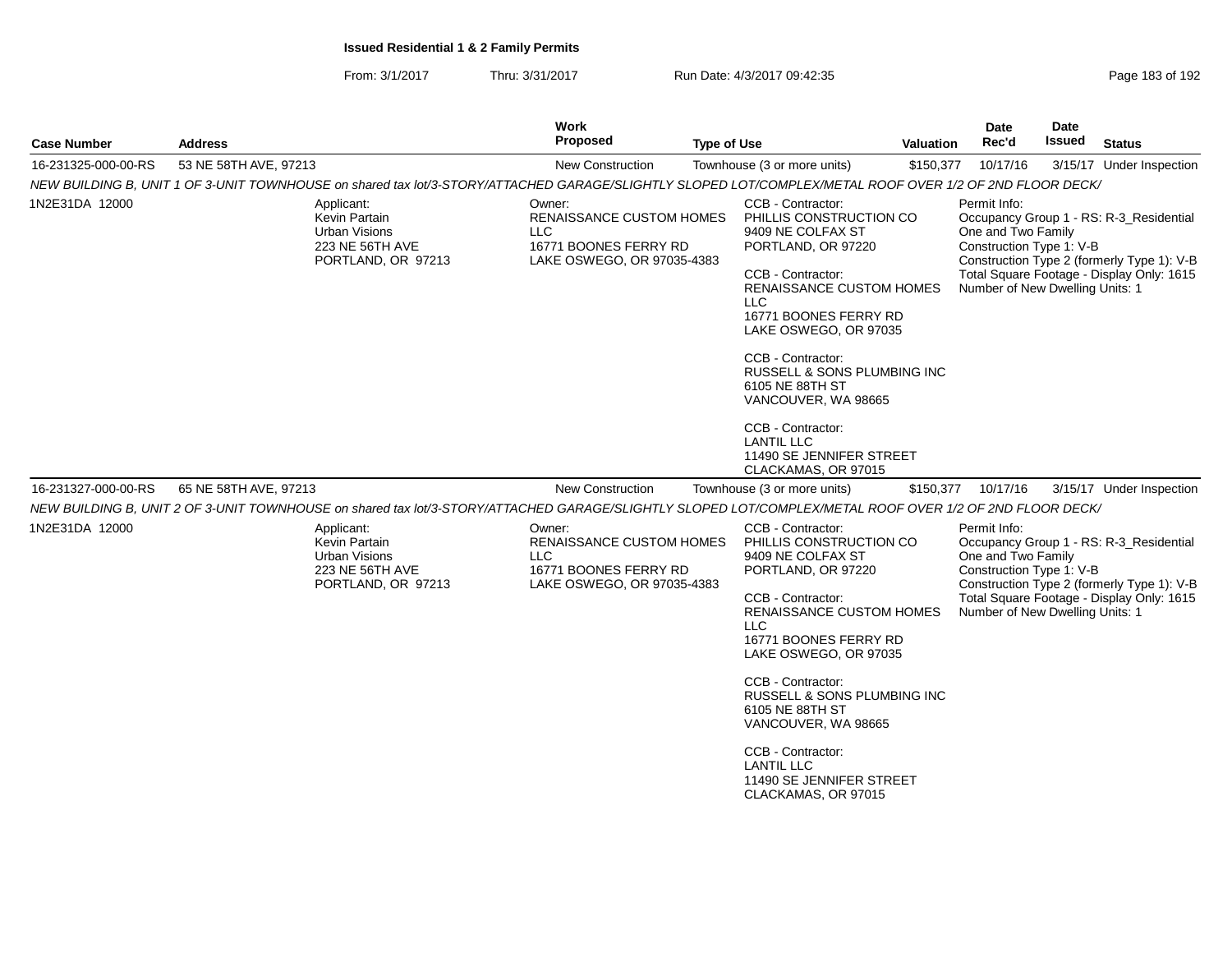| <b>Case Number</b>  | <b>Address</b>                                                                                                                                          | Work<br><b>Proposed</b><br><b>Type of Use</b>                                                                                                                                                                                                                                                                                                                                                                                                                                                                                                               |            |                                                                                                                                                                                                                                                                                                                                                                                              | <b>Valuation</b> | Date<br>Rec'd                                                                                     | <b>Date</b><br>Issued                                       | <b>Status</b>                                                                                                                      |
|---------------------|---------------------------------------------------------------------------------------------------------------------------------------------------------|-------------------------------------------------------------------------------------------------------------------------------------------------------------------------------------------------------------------------------------------------------------------------------------------------------------------------------------------------------------------------------------------------------------------------------------------------------------------------------------------------------------------------------------------------------------|------------|----------------------------------------------------------------------------------------------------------------------------------------------------------------------------------------------------------------------------------------------------------------------------------------------------------------------------------------------------------------------------------------------|------------------|---------------------------------------------------------------------------------------------------|-------------------------------------------------------------|------------------------------------------------------------------------------------------------------------------------------------|
| 16-231325-000-00-RS | 53 NE 58TH AVE, 97213                                                                                                                                   | New Construction                                                                                                                                                                                                                                                                                                                                                                                                                                                                                                                                            |            | Townhouse (3 or more units)                                                                                                                                                                                                                                                                                                                                                                  | \$150,377        | 10/17/16                                                                                          |                                                             | 3/15/17 Under Inspection                                                                                                           |
|                     | NEW BUILDING B, UNIT 1 OF 3-UNIT TOWNHOUSE on shared tax lot/3-STORY/ATTACHED GARAGE/SLIGHTLY SLOPED LOT/COMPLEX/METAL ROOF OVER 1/2 OF 2ND FLOOR DECK/ |                                                                                                                                                                                                                                                                                                                                                                                                                                                                                                                                                             |            |                                                                                                                                                                                                                                                                                                                                                                                              |                  |                                                                                                   |                                                             |                                                                                                                                    |
| 1N2E31DA 12000      | Applicant:<br>Kevin Partain<br><b>Urban Visions</b><br>223 NE 56TH AVE<br>PORTLAND, OR 97213                                                            | CCB - Contractor:<br>Permit Info:<br>Owner:<br><b>RENAISSANCE CUSTOM HOMES</b><br>PHILLIS CONSTRUCTION CO<br>One and Two Family<br>9409 NE COLFAX ST<br><b>LLC</b><br>16771 BOONES FERRY RD<br>PORTLAND, OR 97220<br>LAKE OSWEGO, OR 97035-4383<br>CCB - Contractor:<br><b>RENAISSANCE CUSTOM HOMES</b><br>LLC<br>16771 BOONES FERRY RD<br>LAKE OSWEGO, OR 97035<br>CCB - Contractor:<br>RUSSELL & SONS PLUMBING INC<br>6105 NE 88TH ST<br>VANCOUVER, WA 98665<br>CCB - Contractor:<br><b>LANTIL LLC</b><br>11490 SE JENNIFER STREET<br>CLACKAMAS, OR 97015 |            |                                                                                                                                                                                                                                                                                                                                                                                              |                  |                                                                                                   | Construction Type 1: V-B<br>Number of New Dwelling Units: 1 | Occupancy Group 1 - RS: R-3 Residential<br>Construction Type 2 (formerly Type 1): V-B<br>Total Square Footage - Display Only: 1615 |
| 16-231327-000-00-RS | 65 NE 58TH AVE, 97213                                                                                                                                   | New Construction                                                                                                                                                                                                                                                                                                                                                                                                                                                                                                                                            |            | Townhouse (3 or more units)                                                                                                                                                                                                                                                                                                                                                                  | \$150,377        | 10/17/16                                                                                          |                                                             | 3/15/17 Under Inspection                                                                                                           |
|                     | NEW BUILDING B, UNIT 2 OF 3-UNIT TOWNHOUSE on shared tax lot/3-STORY/ATTACHED GARAGE/SLIGHTLY SLOPED LOT/COMPLEX/METAL ROOF OVER 1/2 OF 2ND FLOOR DECK/ |                                                                                                                                                                                                                                                                                                                                                                                                                                                                                                                                                             |            |                                                                                                                                                                                                                                                                                                                                                                                              |                  |                                                                                                   |                                                             |                                                                                                                                    |
| 1N2E31DA 12000      | Applicant:<br>Kevin Partain<br><b>Urban Visions</b><br>223 NE 56TH AVE<br>PORTLAND, OR 97213                                                            | Owner:<br><b>RENAISSANCE CUSTOM HOMES</b><br><b>LLC</b><br>16771 BOONES FERRY RD<br>LAKE OSWEGO, OR 97035-4383                                                                                                                                                                                                                                                                                                                                                                                                                                              | <b>LLC</b> | CCB - Contractor:<br>PHILLIS CONSTRUCTION CO<br>9409 NE COLFAX ST<br>PORTLAND, OR 97220<br>CCB - Contractor:<br><b>RENAISSANCE CUSTOM HOMES</b><br>16771 BOONES FERRY RD<br>LAKE OSWEGO, OR 97035<br>CCB - Contractor:<br>RUSSELL & SONS PLUMBING INC<br>6105 NE 88TH ST<br>VANCOUVER, WA 98665<br>CCB - Contractor:<br><b>LANTIL LLC</b><br>11490 SE JENNIFER STREET<br>CLACKAMAS, OR 97015 |                  | Permit Info:<br>One and Two Family<br>Construction Type 1: V-B<br>Number of New Dwelling Units: 1 |                                                             | Occupancy Group 1 - RS: R-3_Residential<br>Construction Type 2 (formerly Type 1): V-B<br>Total Square Footage - Display Only: 1615 |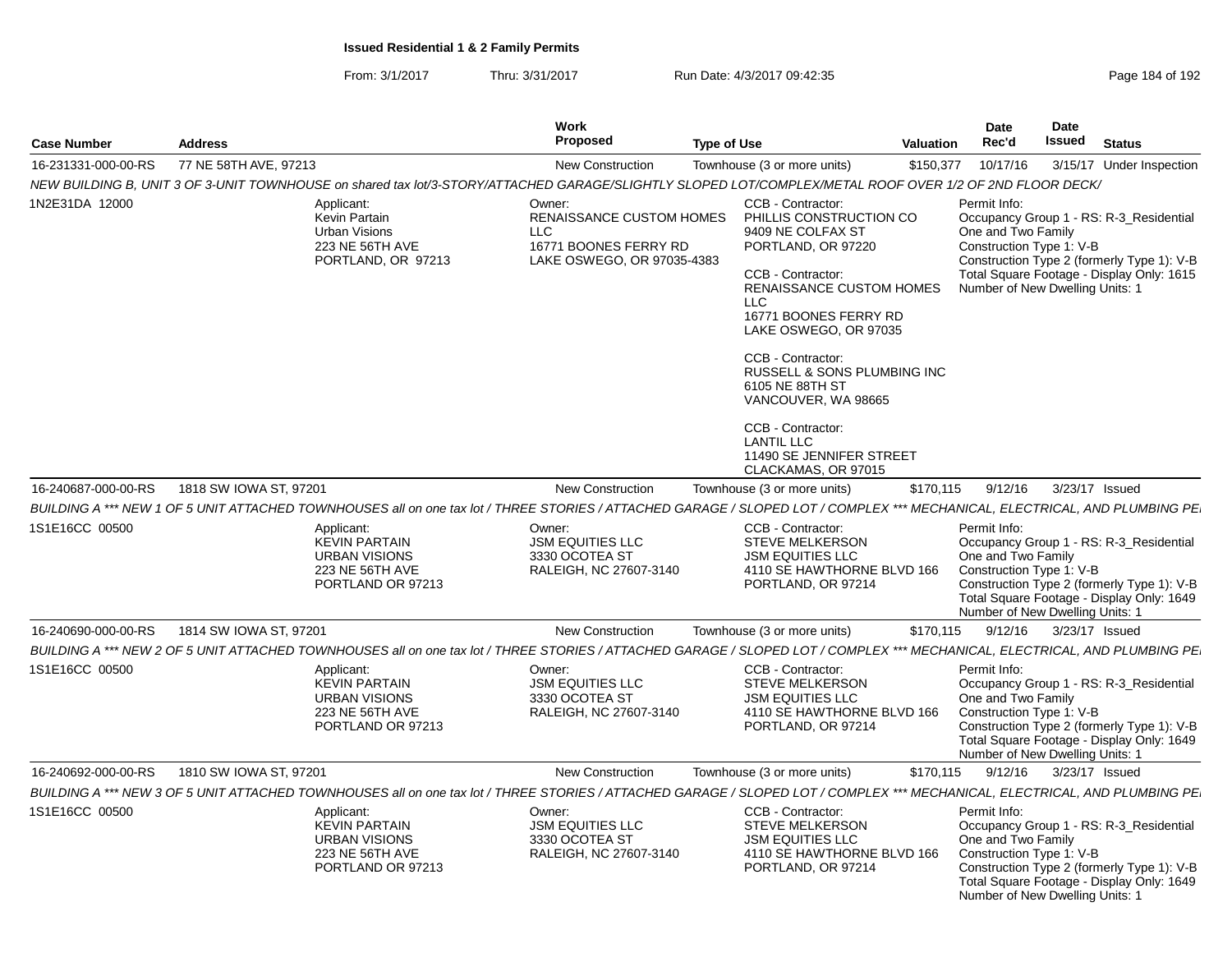From: 3/1/2017Thru: 3/31/2017 Run Date: 4/3/2017 09:42:35 Research 2010 192

| <b>Case Number</b>  | <b>Address</b>                                                                                                                                                             | <b>Work</b><br>Proposed                                                                                        | <b>Type of Use</b>                                                                                                                                                                                                                                                                                                                                                                                  | Valuation | Date<br>Rec'd                                                                                     | <b>Date</b><br><b>Issued</b> | <b>Status</b>                                                                                                                      |
|---------------------|----------------------------------------------------------------------------------------------------------------------------------------------------------------------------|----------------------------------------------------------------------------------------------------------------|-----------------------------------------------------------------------------------------------------------------------------------------------------------------------------------------------------------------------------------------------------------------------------------------------------------------------------------------------------------------------------------------------------|-----------|---------------------------------------------------------------------------------------------------|------------------------------|------------------------------------------------------------------------------------------------------------------------------------|
| 16-231331-000-00-RS | 77 NE 58TH AVE, 97213                                                                                                                                                      | <b>New Construction</b>                                                                                        | Townhouse (3 or more units)                                                                                                                                                                                                                                                                                                                                                                         | \$150,377 | 10/17/16                                                                                          |                              | 3/15/17 Under Inspection                                                                                                           |
|                     | NEW BUILDING B, UNIT 3 OF 3-UNIT TOWNHOUSE on shared tax lot/3-STORY/ATTACHED GARAGE/SLIGHTLY SLOPED LOT/COMPLEX/METAL ROOF OVER 1/2 OF 2ND FLOOR DECK/                    |                                                                                                                |                                                                                                                                                                                                                                                                                                                                                                                                     |           |                                                                                                   |                              |                                                                                                                                    |
| 1N2E31DA 12000      | Applicant:<br>Kevin Partain<br><b>Urban Visions</b><br>223 NE 56TH AVE<br>PORTLAND, OR 97213                                                                               | Owner:<br><b>RENAISSANCE CUSTOM HOMES</b><br><b>LLC</b><br>16771 BOONES FERRY RD<br>LAKE OSWEGO, OR 97035-4383 | CCB - Contractor:<br>PHILLIS CONSTRUCTION CO<br>9409 NE COLFAX ST<br>PORTLAND, OR 97220<br>CCB - Contractor:<br>RENAISSANCE CUSTOM HOMES<br><b>LLC</b><br>16771 BOONES FERRY RD<br>LAKE OSWEGO, OR 97035<br>CCB - Contractor:<br>RUSSELL & SONS PLUMBING INC<br>6105 NE 88TH ST<br>VANCOUVER, WA 98665<br>CCB - Contractor:<br><b>LANTIL LLC</b><br>11490 SE JENNIFER STREET<br>CLACKAMAS, OR 97015 |           | Permit Info:<br>One and Two Family<br>Construction Type 1: V-B<br>Number of New Dwelling Units: 1 |                              | Occupancy Group 1 - RS: R-3_Residential<br>Construction Type 2 (formerly Type 1): V-B<br>Total Square Footage - Display Only: 1615 |
| 16-240687-000-00-RS | 1818 SW IOWA ST, 97201                                                                                                                                                     | <b>New Construction</b>                                                                                        | Townhouse (3 or more units)                                                                                                                                                                                                                                                                                                                                                                         | \$170,115 | 9/12/16                                                                                           |                              | 3/23/17 Issued                                                                                                                     |
|                     | BUILDING A *** NEW 1 OF 5 UNIT ATTACHED TOWNHOUSES all on one tax lot / THREE STORIES / ATTACHED GARAGE / SLOPED LOT / COMPLEX *** MECHANICAL, ELECTRICAL, AND PLUMBING PE |                                                                                                                |                                                                                                                                                                                                                                                                                                                                                                                                     |           |                                                                                                   |                              |                                                                                                                                    |
| 1S1E16CC 00500      | Applicant:<br><b>KEVIN PARTAIN</b><br><b>URBAN VISIONS</b><br>223 NE 56TH AVE<br>PORTLAND OR 97213                                                                         | Owner:<br><b>JSM EQUITIES LLC</b><br>3330 OCOTEA ST<br>RALEIGH, NC 27607-3140                                  | CCB - Contractor:<br><b>STEVE MELKERSON</b><br><b>JSM EQUITIES LLC</b><br>4110 SE HAWTHORNE BLVD 166<br>PORTLAND, OR 97214                                                                                                                                                                                                                                                                          |           | Permit Info:<br>One and Two Family<br>Construction Type 1: V-B<br>Number of New Dwelling Units: 1 |                              | Occupancy Group 1 - RS: R-3_Residential<br>Construction Type 2 (formerly Type 1): V-B<br>Total Square Footage - Display Only: 1649 |
| 16-240690-000-00-RS | 1814 SW IOWA ST, 97201                                                                                                                                                     | New Construction                                                                                               | Townhouse (3 or more units)                                                                                                                                                                                                                                                                                                                                                                         | \$170,115 | 9/12/16                                                                                           |                              | 3/23/17 Issued                                                                                                                     |
|                     | BUILDING A *** NEW 2 OF 5 UNIT ATTACHED TOWNHOUSES all on one tax lot / THREE STORIES / ATTACHED GARAGE / SLOPED LOT / COMPLEX *** MECHANICAL, ELECTRICAL, AND PLUMBING PE |                                                                                                                |                                                                                                                                                                                                                                                                                                                                                                                                     |           |                                                                                                   |                              |                                                                                                                                    |
| 1S1E16CC 00500      | Applicant:<br><b>KEVIN PARTAIN</b><br><b>URBAN VISIONS</b><br>223 NE 56TH AVE<br>PORTLAND OR 97213                                                                         | Owner:<br><b>JSM EQUITIES LLC</b><br>3330 OCOTEA ST<br>RALEIGH, NC 27607-3140                                  | CCB - Contractor:<br><b>STEVE MELKERSON</b><br><b>JSM EQUITIES LLC</b><br>4110 SE HAWTHORNE BLVD 166<br>PORTLAND, OR 97214                                                                                                                                                                                                                                                                          |           | Permit Info:<br>One and Two Family<br>Construction Type 1: V-B<br>Number of New Dwelling Units: 1 |                              | Occupancy Group 1 - RS: R-3_Residential<br>Construction Type 2 (formerly Type 1): V-B<br>Total Square Footage - Display Only: 1649 |
| 16-240692-000-00-RS | 1810 SW IOWA ST, 97201                                                                                                                                                     | <b>New Construction</b>                                                                                        | Townhouse (3 or more units)                                                                                                                                                                                                                                                                                                                                                                         | \$170,115 | 9/12/16                                                                                           |                              | 3/23/17 Issued                                                                                                                     |
|                     | BUILDING A *** NEW 3 OF 5 UNIT ATTACHED TOWNHOUSES all on one tax lot / THREE STORIES / ATTACHED GARAGE / SLOPED LOT / COMPLEX *** MECHANICAL, ELECTRICAL, AND PLUMBING PE |                                                                                                                |                                                                                                                                                                                                                                                                                                                                                                                                     |           |                                                                                                   |                              |                                                                                                                                    |
| 1S1E16CC 00500      | Applicant:<br><b>KEVIN PARTAIN</b><br><b>URBAN VISIONS</b><br>223 NE 56TH AVE<br>PORTLAND OR 97213                                                                         | Owner:<br><b>JSM EQUITIES LLC</b><br>3330 OCOTEA ST<br>RALEIGH, NC 27607-3140                                  | CCB - Contractor:<br>STEVE MELKERSON<br><b>JSM EQUITIES LLC</b><br>4110 SE HAWTHORNE BLVD 166<br>PORTLAND, OR 97214                                                                                                                                                                                                                                                                                 |           | Permit Info:<br>One and Two Family<br>Construction Type 1: V-B<br>Number of New Dwelling Units: 1 |                              | Occupancy Group 1 - RS: R-3_Residential<br>Construction Type 2 (formerly Type 1): V-B<br>Total Square Footage - Display Only: 1649 |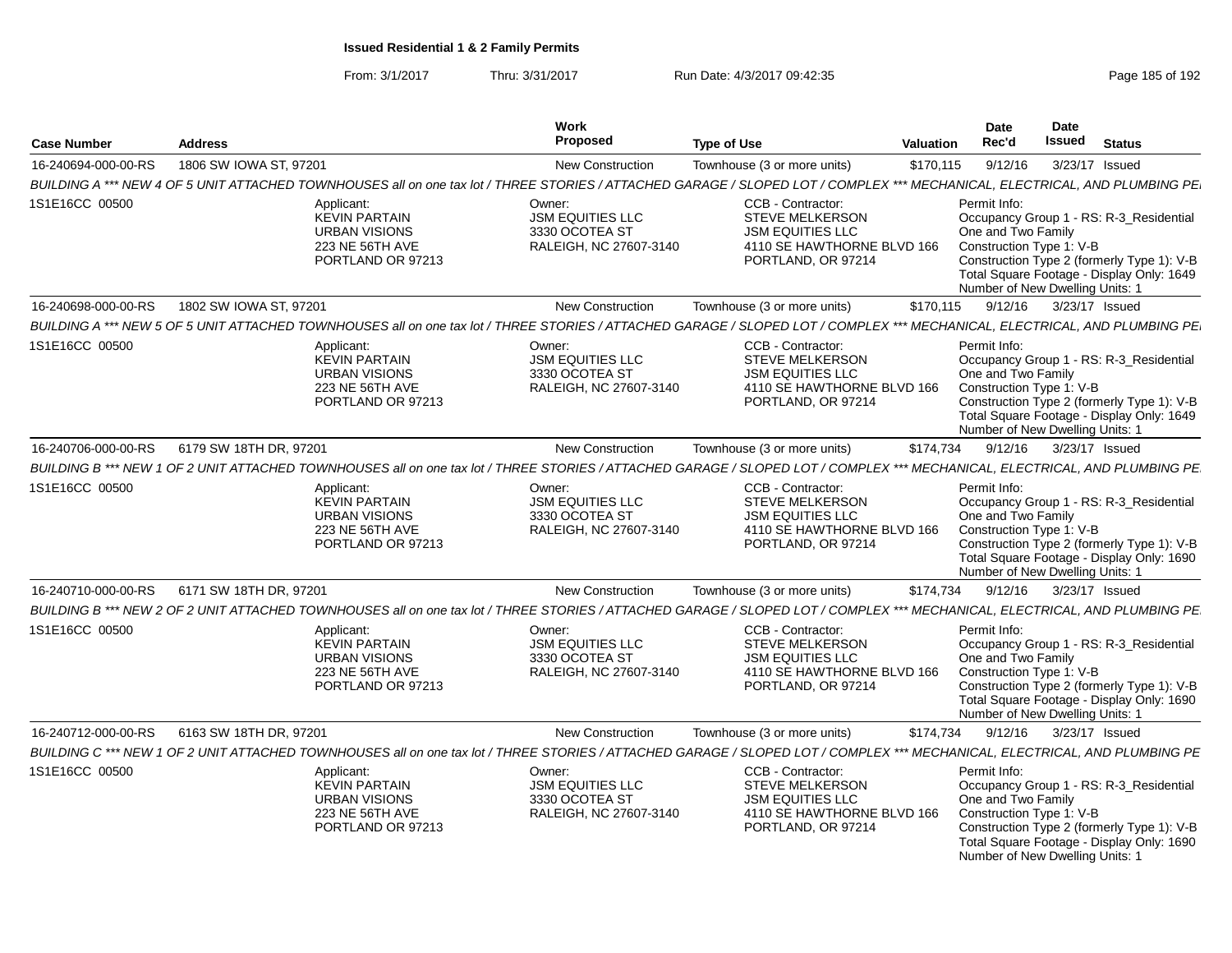| <b>Case Number</b>  | <b>Address</b>                                                                                                                                                             | Work<br>Proposed                                                              | <b>Type of Use</b>                                                                                                         | <b>Valuation</b> | Date<br>Rec'd                                                                                     | <b>Date</b><br><b>Issued</b> | <b>Status</b>                                                                                                                      |
|---------------------|----------------------------------------------------------------------------------------------------------------------------------------------------------------------------|-------------------------------------------------------------------------------|----------------------------------------------------------------------------------------------------------------------------|------------------|---------------------------------------------------------------------------------------------------|------------------------------|------------------------------------------------------------------------------------------------------------------------------------|
| 16-240694-000-00-RS | 1806 SW IOWA ST, 97201                                                                                                                                                     | <b>New Construction</b>                                                       | Townhouse (3 or more units)                                                                                                | \$170,115        | 9/12/16                                                                                           | 3/23/17 Issued               |                                                                                                                                    |
|                     | BUILDING A *** NEW 4 OF 5 UNIT ATTACHED TOWNHOUSES all on one tax lot / THREE STORIES / ATTACHED GARAGE / SLOPED LOT / COMPLEX *** MECHANICAL, ELECTRICAL, AND PLUMBING PE |                                                                               |                                                                                                                            |                  |                                                                                                   |                              |                                                                                                                                    |
| 1S1E16CC 00500      | Applicant:<br><b>KEVIN PARTAIN</b><br><b>URBAN VISIONS</b><br>223 NE 56TH AVE<br>PORTLAND OR 97213                                                                         | Owner:<br><b>JSM EQUITIES LLC</b><br>3330 OCOTEA ST<br>RALEIGH, NC 27607-3140 | CCB - Contractor:<br><b>STEVE MELKERSON</b><br><b>JSM EQUITIES LLC</b><br>4110 SE HAWTHORNE BLVD 166<br>PORTLAND, OR 97214 |                  | Permit Info:<br>One and Two Family<br>Construction Type 1: V-B<br>Number of New Dwelling Units: 1 |                              | Occupancy Group 1 - RS: R-3 Residential<br>Construction Type 2 (formerly Type 1): V-B<br>Total Square Footage - Display Only: 1649 |
| 16-240698-000-00-RS | 1802 SW IOWA ST, 97201                                                                                                                                                     | New Construction                                                              | Townhouse (3 or more units)                                                                                                | \$170,115        | 9/12/16                                                                                           | 3/23/17 Issued               |                                                                                                                                    |
|                     | BUILDING A *** NEW 5 OF 5 UNIT ATTACHED TOWNHOUSES all on one tax lot / THREE STORIES / ATTACHED GARAGE / SLOPED LOT / COMPLEX *** MECHANICAL, ELECTRICAL, AND PLUMBING PE |                                                                               |                                                                                                                            |                  |                                                                                                   |                              |                                                                                                                                    |
| 1S1E16CC 00500      | Applicant:<br><b>KEVIN PARTAIN</b><br><b>URBAN VISIONS</b><br>223 NE 56TH AVE<br>PORTLAND OR 97213                                                                         | Owner:<br><b>JSM EQUITIES LLC</b><br>3330 OCOTEA ST<br>RALEIGH, NC 27607-3140 | CCB - Contractor:<br><b>STEVE MELKERSON</b><br><b>JSM EQUITIES LLC</b><br>4110 SE HAWTHORNE BLVD 166<br>PORTLAND, OR 97214 |                  | Permit Info:<br>One and Two Family<br>Construction Type 1: V-B<br>Number of New Dwelling Units: 1 |                              | Occupancy Group 1 - RS: R-3_Residential<br>Construction Type 2 (formerly Type 1): V-B<br>Total Square Footage - Display Only: 1649 |
| 16-240706-000-00-RS | 6179 SW 18TH DR, 97201                                                                                                                                                     | <b>New Construction</b>                                                       | Townhouse (3 or more units)                                                                                                | \$174,734        | 9/12/16                                                                                           |                              | 3/23/17 Issued                                                                                                                     |
|                     | BUILDING B *** NEW 1 OF 2 UNIT ATTACHED TOWNHOUSES all on one tax lot / THREE STORIES / ATTACHED GARAGE / SLOPED LOT / COMPLEX *** MECHANICAL, ELECTRICAL, AND PLUMBING PE |                                                                               |                                                                                                                            |                  |                                                                                                   |                              |                                                                                                                                    |
| 1S1E16CC 00500      | Applicant:<br><b>KEVIN PARTAIN</b><br><b>URBAN VISIONS</b><br>223 NE 56TH AVE<br>PORTLAND OR 97213                                                                         | Owner:<br><b>JSM EQUITIES LLC</b><br>3330 OCOTEA ST<br>RALEIGH, NC 27607-3140 | CCB - Contractor:<br><b>STEVE MELKERSON</b><br><b>JSM EQUITIES LLC</b><br>4110 SE HAWTHORNE BLVD 166<br>PORTLAND, OR 97214 |                  | Permit Info:<br>One and Two Family<br>Construction Type 1: V-B<br>Number of New Dwelling Units: 1 |                              | Occupancy Group 1 - RS: R-3 Residential<br>Construction Type 2 (formerly Type 1): V-B<br>Total Square Footage - Display Only: 1690 |
| 16-240710-000-00-RS | 6171 SW 18TH DR, 97201                                                                                                                                                     | <b>New Construction</b>                                                       | Townhouse (3 or more units)                                                                                                | \$174,734        | 9/12/16                                                                                           |                              | 3/23/17 Issued                                                                                                                     |
|                     | BUILDING B *** NEW 2 OF 2 UNIT ATTACHED TOWNHOUSES all on one tax lot / THREE STORIES / ATTACHED GARAGE / SLOPED LOT / COMPLEX *** MECHANICAL, ELECTRICAL, AND PLUMBING PE |                                                                               |                                                                                                                            |                  |                                                                                                   |                              |                                                                                                                                    |
| 1S1E16CC 00500      | Applicant:<br><b>KEVIN PARTAIN</b><br><b>URBAN VISIONS</b><br>223 NE 56TH AVE<br>PORTLAND OR 97213                                                                         | Owner:<br><b>JSM EQUITIES LLC</b><br>3330 OCOTEA ST<br>RALEIGH, NC 27607-3140 | CCB - Contractor:<br><b>STEVE MELKERSON</b><br><b>JSM EQUITIES LLC</b><br>4110 SE HAWTHORNE BLVD 166<br>PORTLAND, OR 97214 |                  | Permit Info:<br>One and Two Family<br>Construction Type 1: V-B<br>Number of New Dwelling Units: 1 |                              | Occupancy Group 1 - RS: R-3_Residential<br>Construction Type 2 (formerly Type 1): V-B<br>Total Square Footage - Display Only: 1690 |
| 16-240712-000-00-RS | 6163 SW 18TH DR, 97201                                                                                                                                                     | New Construction                                                              | Townhouse (3 or more units)                                                                                                | \$174,734        | 9/12/16                                                                                           |                              | 3/23/17 Issued                                                                                                                     |
|                     | BUILDING C *** NEW 1 OF 2 UNIT ATTACHED TOWNHOUSES all on one tax lot / THREE STORIES / ATTACHED GARAGE / SLOPED LOT / COMPLEX *** MECHANICAL, ELECTRICAL, AND PLUMBING PE |                                                                               |                                                                                                                            |                  |                                                                                                   |                              |                                                                                                                                    |
| 1S1E16CC 00500      | Applicant:<br><b>KEVIN PARTAIN</b><br><b>URBAN VISIONS</b><br>223 NE 56TH AVE<br>PORTLAND OR 97213                                                                         | Owner:<br><b>JSM EQUITIES LLC</b><br>3330 OCOTEA ST<br>RALEIGH, NC 27607-3140 | CCB - Contractor:<br><b>STEVE MELKERSON</b><br><b>JSM EQUITIES LLC</b><br>4110 SE HAWTHORNE BLVD 166<br>PORTLAND, OR 97214 |                  | Permit Info:<br>One and Two Family<br>Construction Type 1: V-B<br>Number of New Dwelling Units: 1 |                              | Occupancy Group 1 - RS: R-3_Residential<br>Construction Type 2 (formerly Type 1): V-B<br>Total Square Footage - Display Only: 1690 |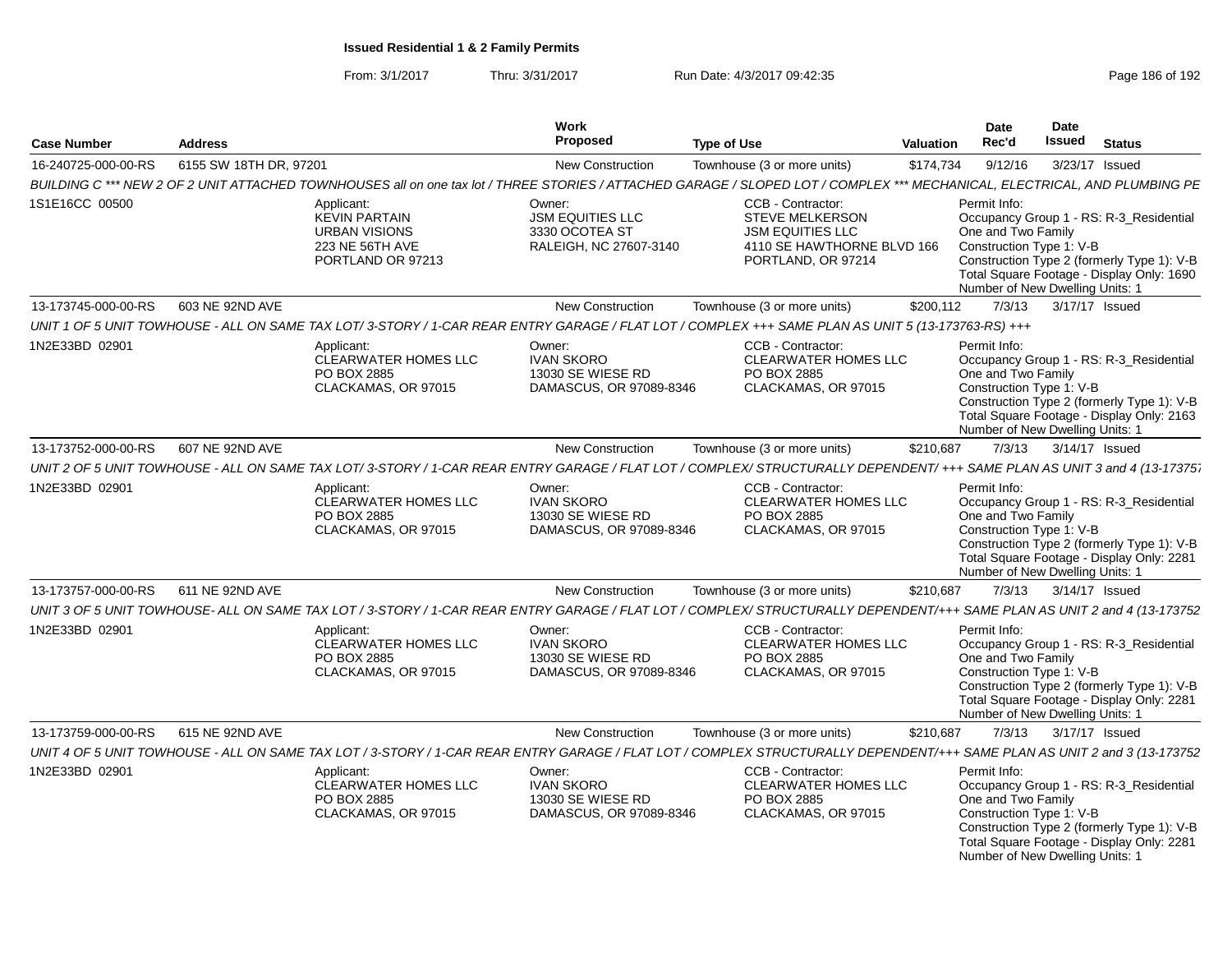| <b>Case Number</b>  | <b>Address</b>         |                                                                                                                                                                            | <b>Work</b><br>Proposed                                                       | <b>Type of Use</b>                                                                                                         | <b>Valuation</b> | Date<br>Rec'd                                                                                     | <b>Date</b><br>Issued | <b>Status</b>                                                                                                                      |
|---------------------|------------------------|----------------------------------------------------------------------------------------------------------------------------------------------------------------------------|-------------------------------------------------------------------------------|----------------------------------------------------------------------------------------------------------------------------|------------------|---------------------------------------------------------------------------------------------------|-----------------------|------------------------------------------------------------------------------------------------------------------------------------|
| 16-240725-000-00-RS | 6155 SW 18TH DR. 97201 |                                                                                                                                                                            | New Construction                                                              | Townhouse (3 or more units)                                                                                                | \$174,734        | 9/12/16                                                                                           | 3/23/17 Issued        |                                                                                                                                    |
|                     |                        | BUILDING C *** NEW 2 OF 2 UNIT ATTACHED TOWNHOUSES all on one tax lot / THREE STORIES / ATTACHED GARAGE / SLOPED LOT / COMPLEX *** MECHANICAL, ELECTRICAL, AND PLUMBING PE |                                                                               |                                                                                                                            |                  |                                                                                                   |                       |                                                                                                                                    |
| 1S1E16CC 00500      |                        | Applicant:<br><b>KEVIN PARTAIN</b><br><b>URBAN VISIONS</b><br>223 NE 56TH AVE<br>PORTLAND OR 97213                                                                         | Owner:<br><b>JSM EQUITIES LLC</b><br>3330 OCOTEA ST<br>RALEIGH, NC 27607-3140 | CCB - Contractor:<br><b>STEVE MELKERSON</b><br><b>JSM EQUITIES LLC</b><br>4110 SE HAWTHORNE BLVD 166<br>PORTLAND, OR 97214 |                  | Permit Info:<br>One and Two Family<br>Construction Type 1: V-B<br>Number of New Dwelling Units: 1 |                       | Occupancy Group 1 - RS: R-3 Residential<br>Construction Type 2 (formerly Type 1): V-B<br>Total Square Footage - Display Only: 1690 |
| 13-173745-000-00-RS | 603 NE 92ND AVE        |                                                                                                                                                                            | New Construction                                                              | Townhouse (3 or more units)                                                                                                | \$200,112        | 7/3/13                                                                                            | 3/17/17 Issued        |                                                                                                                                    |
|                     |                        | UNIT 1 OF 5 UNIT TOWHOUSE - ALL ON SAME TAX LOT/ 3-STORY / 1-CAR REAR ENTRY GARAGE / FLAT LOT / COMPLEX +++ SAME PLAN AS UNIT 5 (13-173763-RS) +++                         |                                                                               |                                                                                                                            |                  |                                                                                                   |                       |                                                                                                                                    |
| 1N2E33BD 02901      |                        | Applicant:<br><b>CLEARWATER HOMES LLC</b><br>PO BOX 2885<br>CLACKAMAS, OR 97015                                                                                            | Owner:<br><b>IVAN SKORO</b><br>13030 SE WIESE RD<br>DAMASCUS, OR 97089-8346   | CCB - Contractor:<br><b>CLEARWATER HOMES LLC</b><br>PO BOX 2885<br>CLACKAMAS, OR 97015                                     |                  | Permit Info:<br>One and Two Family<br>Construction Type 1: V-B<br>Number of New Dwelling Units: 1 |                       | Occupancy Group 1 - RS: R-3_Residential<br>Construction Type 2 (formerly Type 1): V-B<br>Total Square Footage - Display Only: 2163 |
| 13-173752-000-00-RS | 607 NE 92ND AVE        |                                                                                                                                                                            | <b>New Construction</b>                                                       | Townhouse (3 or more units)                                                                                                | \$210,687        | 7/3/13                                                                                            | 3/14/17 Issued        |                                                                                                                                    |
|                     |                        | UNIT 2 OF 5 UNIT TOWHOUSE - ALL ON SAME TAX LOT/ 3-STORY / 1-CAR REAR ENTRY GARAGE / FLAT LOT / COMPLEX/ STRUCTURALLY DEPENDENT/ +++ SAME PLAN AS UNIT 3 and 4 (13-17375;  |                                                                               |                                                                                                                            |                  |                                                                                                   |                       |                                                                                                                                    |
| 1N2E33BD 02901      |                        | Applicant:<br><b>CLEARWATER HOMES LLC</b><br>PO BOX 2885<br>CLACKAMAS, OR 97015                                                                                            | Owner:<br><b>IVAN SKORO</b><br>13030 SE WIESE RD<br>DAMASCUS, OR 97089-8346   | CCB - Contractor:<br><b>CLEARWATER HOMES LLC</b><br>PO BOX 2885<br>CLACKAMAS, OR 97015                                     |                  | Permit Info:<br>One and Two Family<br>Construction Type 1: V-B<br>Number of New Dwelling Units: 1 |                       | Occupancy Group 1 - RS: R-3_Residential<br>Construction Type 2 (formerly Type 1): V-B<br>Total Square Footage - Display Only: 2281 |
| 13-173757-000-00-RS | 611 NE 92ND AVE        |                                                                                                                                                                            | <b>New Construction</b>                                                       | Townhouse (3 or more units)                                                                                                | \$210,687        | 7/3/13                                                                                            | 3/14/17 Issued        |                                                                                                                                    |
|                     |                        | UNIT 3 OF 5 UNIT TOWHOUSE- ALL ON SAME TAX LOT / 3-STORY / 1-CAR REAR ENTRY GARAGE / FLAT LOT / COMPLEX/ STRUCTURALLY DEPENDENT/+++ SAME PLAN AS UNIT 2 and 4 (13-173752   |                                                                               |                                                                                                                            |                  |                                                                                                   |                       |                                                                                                                                    |
| 1N2E33BD 02901      |                        | Applicant:<br>CLEARWATER HOMES LLC<br>PO BOX 2885<br>CLACKAMAS, OR 97015                                                                                                   | Owner:<br><b>IVAN SKORO</b><br>13030 SE WIESE RD<br>DAMASCUS, OR 97089-8346   | CCB - Contractor:<br>CLEARWATER HOMES LLC<br>PO BOX 2885<br>CLACKAMAS, OR 97015                                            |                  | Permit Info:<br>One and Two Family<br>Construction Type 1: V-B<br>Number of New Dwelling Units: 1 |                       | Occupancy Group 1 - RS: R-3_Residential<br>Construction Type 2 (formerly Type 1): V-B<br>Total Square Footage - Display Only: 2281 |
| 13-173759-000-00-RS | 615 NE 92ND AVE        |                                                                                                                                                                            | <b>New Construction</b>                                                       | Townhouse (3 or more units)                                                                                                | \$210,687        | 7/3/13                                                                                            | 3/17/17 Issued        |                                                                                                                                    |
|                     |                        | UNIT 4 OF 5 UNIT TOWHOUSE - ALL ON SAME TAX LOT / 3-STORY / 1-CAR REAR ENTRY GARAGE / FLAT LOT / COMPLEX STRUCTURALLY DEPENDENT/+++ SAME PLAN AS UNIT 2 and 3 (13-173752   |                                                                               |                                                                                                                            |                  |                                                                                                   |                       |                                                                                                                                    |
| 1N2E33BD 02901      |                        | Applicant:<br>CLEARWATER HOMES LLC<br>PO BOX 2885<br>CLACKAMAS, OR 97015                                                                                                   | Owner:<br><b>IVAN SKORO</b><br>13030 SE WIESE RD<br>DAMASCUS, OR 97089-8346   | CCB - Contractor:<br><b>CLEARWATER HOMES LLC</b><br>PO BOX 2885<br>CLACKAMAS, OR 97015                                     |                  | Permit Info:<br>One and Two Family<br>Construction Type 1: V-B<br>Number of New Dwelling Units: 1 |                       | Occupancy Group 1 - RS: R-3_Residential<br>Construction Type 2 (formerly Type 1): V-B<br>Total Square Footage - Display Only: 2281 |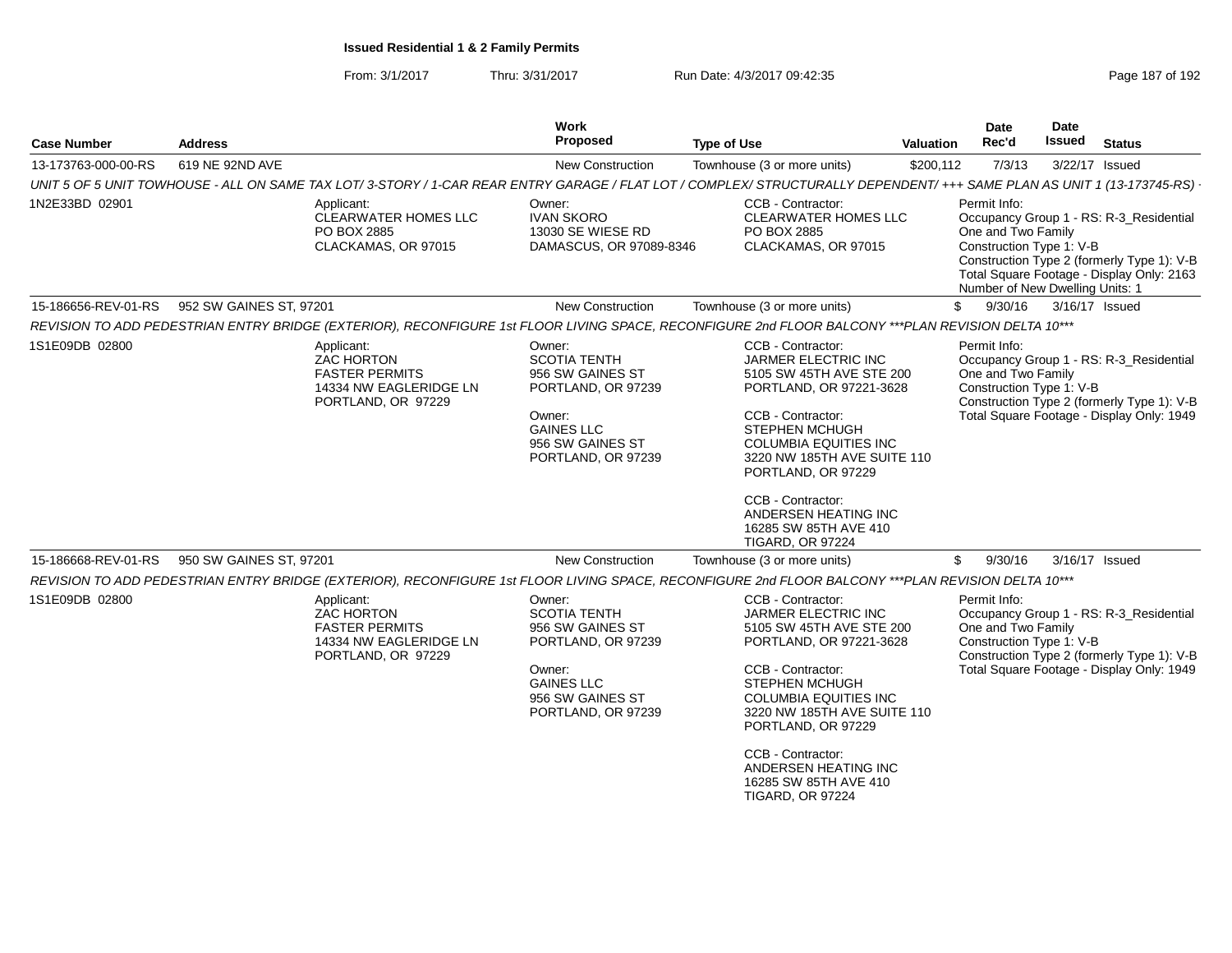| <b>Case Number</b>  | <b>Address</b>                                                                                                                                                                                         |                                                                                                          | <b>Work</b><br>Proposed                                                                                                                          | <b>Type of Use</b>                                                                                                                                                                                                                                                                                                                         | Valuation                                                                                         | Date<br>Rec'd                                                  | Date<br><b>Issued</b>                                                                                                              | <b>Status</b>                                                                                                                      |
|---------------------|--------------------------------------------------------------------------------------------------------------------------------------------------------------------------------------------------------|----------------------------------------------------------------------------------------------------------|--------------------------------------------------------------------------------------------------------------------------------------------------|--------------------------------------------------------------------------------------------------------------------------------------------------------------------------------------------------------------------------------------------------------------------------------------------------------------------------------------------|---------------------------------------------------------------------------------------------------|----------------------------------------------------------------|------------------------------------------------------------------------------------------------------------------------------------|------------------------------------------------------------------------------------------------------------------------------------|
| 13-173763-000-00-RS | 619 NE 92ND AVE                                                                                                                                                                                        |                                                                                                          | <b>New Construction</b>                                                                                                                          | Townhouse (3 or more units)                                                                                                                                                                                                                                                                                                                | \$200,112                                                                                         | 7/3/13                                                         | 3/22/17 Issued                                                                                                                     |                                                                                                                                    |
|                     |                                                                                                                                                                                                        |                                                                                                          |                                                                                                                                                  | UNIT 5 OF 5 UNIT TOWHOUSE - ALL ON SAME TAX LOT/3-STORY / 1-CAR REAR ENTRY GARAGE / FLAT LOT / COMPLEX/ STRUCTURALLY DEPENDENT/ +++ SAME PLAN AS UNIT 1 (13-173745-RS) ·                                                                                                                                                                   |                                                                                                   |                                                                |                                                                                                                                    |                                                                                                                                    |
| 1N2E33BD 02901      | Applicant:<br>Owner:<br>CLEARWATER HOMES LLC<br><b>IVAN SKORO</b><br>13030 SE WIESE RD<br>PO BOX 2885<br>CLACKAMAS, OR 97015<br>DAMASCUS, OR 97089-8346<br>952 SW GAINES ST, 97201<br>New Construction |                                                                                                          | CCB - Contractor:<br><b>CLEARWATER HOMES LLC</b><br>PO BOX 2885<br>CLACKAMAS, OR 97015                                                           |                                                                                                                                                                                                                                                                                                                                            | Permit Info:<br>One and Two Family<br>Construction Type 1: V-B<br>Number of New Dwelling Units: 1 |                                                                | Occupancy Group 1 - RS: R-3_Residential<br>Construction Type 2 (formerly Type 1): V-B<br>Total Square Footage - Display Only: 2163 |                                                                                                                                    |
| 15-186656-REV-01-RS |                                                                                                                                                                                                        |                                                                                                          |                                                                                                                                                  | Townhouse (3 or more units)                                                                                                                                                                                                                                                                                                                | \$                                                                                                | 9/30/16                                                        | 3/16/17 Issued                                                                                                                     |                                                                                                                                    |
|                     |                                                                                                                                                                                                        |                                                                                                          |                                                                                                                                                  | REVISION TO ADD PEDESTRIAN ENTRY BRIDGE (EXTERIOR), RECONFIGURE 1st FLOOR LIVING SPACE, RECONFIGURE 2nd FLOOR BALCONY ***PLAN REVISION DELTA 10***                                                                                                                                                                                         |                                                                                                   |                                                                |                                                                                                                                    |                                                                                                                                    |
| 1S1E09DB 02800      |                                                                                                                                                                                                        | Applicant:<br><b>ZAC HORTON</b><br><b>FASTER PERMITS</b><br>14334 NW EAGLERIDGE LN<br>PORTLAND, OR 97229 | Owner:<br><b>SCOTIA TENTH</b><br>956 SW GAINES ST<br>PORTLAND, OR 97239<br>Owner:<br><b>GAINES LLC</b><br>956 SW GAINES ST<br>PORTLAND, OR 97239 | CCB - Contractor:<br><b>JARMER ELECTRIC INC</b><br>5105 SW 45TH AVE STE 200<br>PORTLAND, OR 97221-3628<br>CCB - Contractor:<br><b>STEPHEN MCHUGH</b><br><b>COLUMBIA EQUITIES INC</b><br>3220 NW 185TH AVE SUITE 110<br>PORTLAND, OR 97229<br>CCB - Contractor:<br>ANDERSEN HEATING INC<br>16285 SW 85TH AVE 410<br><b>TIGARD, OR 97224</b> |                                                                                                   | Permit Info:<br>One and Two Family<br>Construction Type 1: V-B |                                                                                                                                    | Occupancy Group 1 - RS: R-3_Residential<br>Construction Type 2 (formerly Type 1): V-B<br>Total Square Footage - Display Only: 1949 |
| 15-186668-REV-01-RS | 950 SW GAINES ST, 97201                                                                                                                                                                                |                                                                                                          | <b>New Construction</b>                                                                                                                          | Townhouse (3 or more units)                                                                                                                                                                                                                                                                                                                | \$                                                                                                | 9/30/16                                                        | 3/16/17 Issued                                                                                                                     |                                                                                                                                    |
|                     |                                                                                                                                                                                                        |                                                                                                          |                                                                                                                                                  | REVISION TO ADD PEDESTRIAN ENTRY BRIDGE (EXTERIOR), RECONFIGURE 1st FLOOR LIVING SPACE, RECONFIGURE 2nd FLOOR BALCONY ***PLAN REVISION DELTA 10***                                                                                                                                                                                         |                                                                                                   |                                                                |                                                                                                                                    |                                                                                                                                    |
| 1S1E09DB 02800      |                                                                                                                                                                                                        | Applicant:<br><b>ZAC HORTON</b><br><b>FASTER PERMITS</b><br>14334 NW EAGLERIDGE LN<br>PORTLAND, OR 97229 | Owner:<br><b>SCOTIA TENTH</b><br>956 SW GAINES ST<br>PORTLAND, OR 97239<br>Owner:<br><b>GAINES LLC</b><br>956 SW GAINES ST<br>PORTLAND, OR 97239 | CCB - Contractor:<br><b>JARMER ELECTRIC INC</b><br>5105 SW 45TH AVE STE 200<br>PORTLAND, OR 97221-3628<br>CCB - Contractor:<br><b>STEPHEN MCHUGH</b><br><b>COLUMBIA EQUITIES INC</b><br>3220 NW 185TH AVE SUITE 110<br>PORTLAND, OR 97229<br>CCB - Contractor:<br>ANDERSEN HEATING INC<br>16285 SW 85TH AVE 410<br><b>TIGARD, OR 97224</b> |                                                                                                   | Permit Info:<br>One and Two Family<br>Construction Type 1: V-B |                                                                                                                                    | Occupancy Group 1 - RS: R-3_Residential<br>Construction Type 2 (formerly Type 1): V-B<br>Total Square Footage - Display Only: 1949 |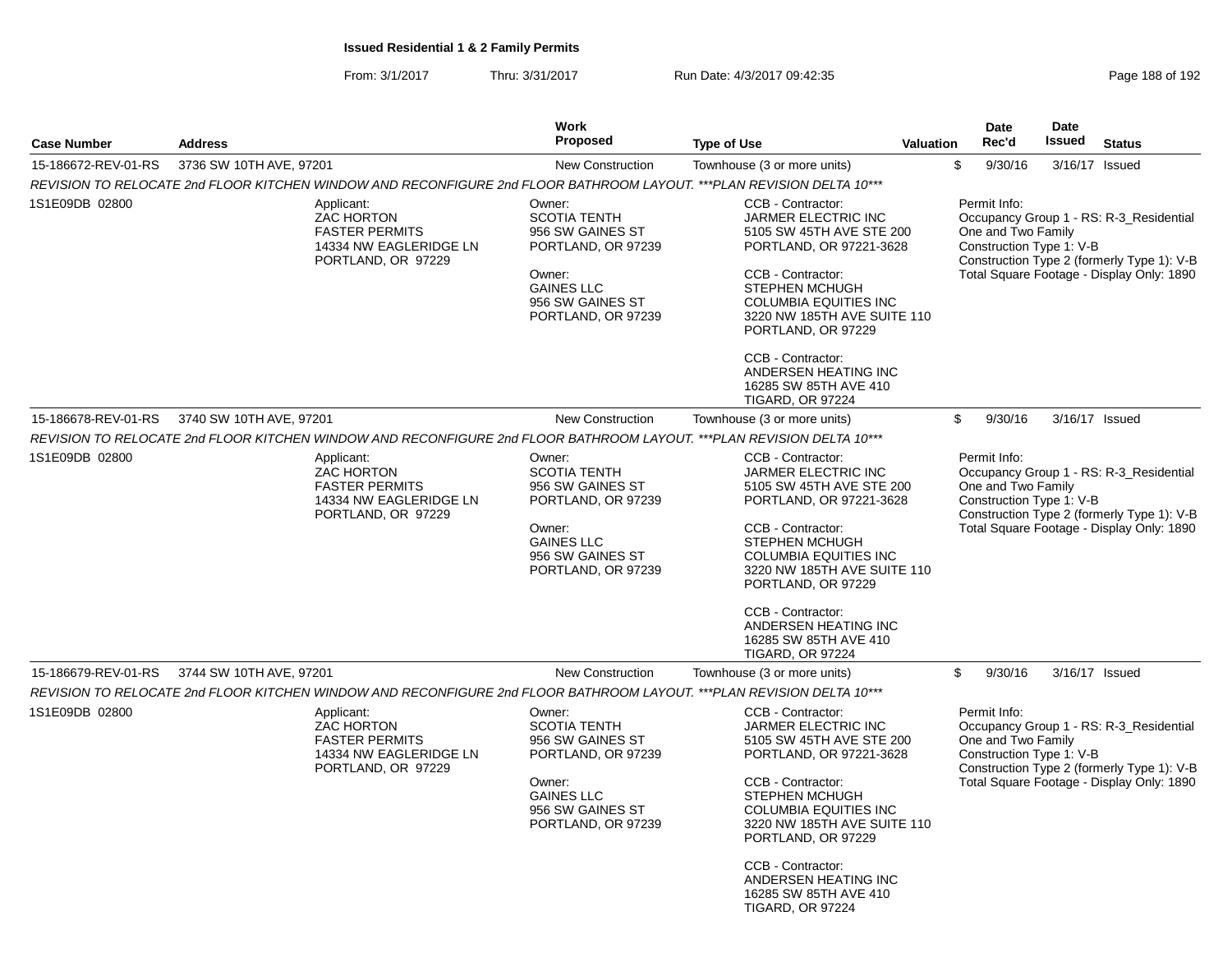| <b>Case Number</b>  | <b>Address</b>                                                                                                        | <b>Work</b><br><b>Proposed</b>                                                                                                                   | <b>Type of Use</b><br><b>Valuation</b>                                                                                                                                                                                             | Date<br>Rec'd                                                  | <b>Date</b><br><b>Issued</b> | <b>Status</b>                                                                                                                      |
|---------------------|-----------------------------------------------------------------------------------------------------------------------|--------------------------------------------------------------------------------------------------------------------------------------------------|------------------------------------------------------------------------------------------------------------------------------------------------------------------------------------------------------------------------------------|----------------------------------------------------------------|------------------------------|------------------------------------------------------------------------------------------------------------------------------------|
| 15-186672-REV-01-RS | 3736 SW 10TH AVE, 97201                                                                                               | New Construction                                                                                                                                 | Townhouse (3 or more units)                                                                                                                                                                                                        | \$<br>9/30/16                                                  |                              | 3/16/17 Issued                                                                                                                     |
|                     | REVISION TO RELOCATE 2nd FLOOR KITCHEN WINDOW AND RECONFIGURE 2nd FLOOR BATHROOM LAYOUT. ***PLAN REVISION DELTA 10*** |                                                                                                                                                  |                                                                                                                                                                                                                                    |                                                                |                              |                                                                                                                                    |
| 1S1E09DB 02800      | Applicant:<br><b>ZAC HORTON</b><br><b>FASTER PERMITS</b><br>14334 NW EAGLERIDGE LN<br>PORTLAND, OR 97229              | Owner:<br><b>SCOTIA TENTH</b><br>956 SW GAINES ST<br>PORTLAND, OR 97239<br>Owner:<br><b>GAINES LLC</b><br>956 SW GAINES ST<br>PORTLAND, OR 97239 | CCB - Contractor:<br>JARMER ELECTRIC INC<br>5105 SW 45TH AVE STE 200<br>PORTLAND, OR 97221-3628<br>CCB - Contractor:<br><b>STEPHEN MCHUGH</b><br><b>COLUMBIA EQUITIES INC</b><br>3220 NW 185TH AVE SUITE 110<br>PORTLAND, OR 97229 | Permit Info:<br>One and Two Family<br>Construction Type 1: V-B |                              | Occupancy Group 1 - RS: R-3_Residential<br>Construction Type 2 (formerly Type 1): V-B<br>Total Square Footage - Display Only: 1890 |
|                     |                                                                                                                       |                                                                                                                                                  | CCB - Contractor:<br>ANDERSEN HEATING INC<br>16285 SW 85TH AVE 410<br><b>TIGARD, OR 97224</b>                                                                                                                                      |                                                                |                              |                                                                                                                                    |
| 15-186678-REV-01-RS | 3740 SW 10TH AVE, 97201                                                                                               | New Construction                                                                                                                                 | Townhouse (3 or more units)                                                                                                                                                                                                        | \$<br>9/30/16                                                  |                              | 3/16/17 Issued                                                                                                                     |
|                     | REVISION TO RELOCATE 2nd FLOOR KITCHEN WINDOW AND RECONFIGURE 2nd FLOOR BATHROOM LAYOUT. ***PLAN REVISION DELTA 10*** |                                                                                                                                                  |                                                                                                                                                                                                                                    |                                                                |                              |                                                                                                                                    |
| 1S1E09DB 02800      | Applicant:<br><b>ZAC HORTON</b><br><b>FASTER PERMITS</b><br>14334 NW EAGLERIDGE LN<br>PORTLAND, OR 97229              | Owner:<br><b>SCOTIA TENTH</b><br>956 SW GAINES ST<br>PORTLAND, OR 97239<br>Owner:<br><b>GAINES LLC</b>                                           | CCB - Contractor:<br>JARMER ELECTRIC INC<br>5105 SW 45TH AVE STE 200<br>PORTLAND, OR 97221-3628<br>CCB - Contractor:<br><b>STEPHEN MCHUGH</b>                                                                                      | Permit Info:<br>One and Two Family<br>Construction Type 1: V-B |                              | Occupancy Group 1 - RS: R-3_Residential<br>Construction Type 2 (formerly Type 1): V-B<br>Total Square Footage - Display Only: 1890 |
|                     |                                                                                                                       | 956 SW GAINES ST<br>PORTLAND, OR 97239                                                                                                           | <b>COLUMBIA EQUITIES INC</b><br>3220 NW 185TH AVE SUITE 110<br>PORTLAND, OR 97229                                                                                                                                                  |                                                                |                              |                                                                                                                                    |
|                     |                                                                                                                       |                                                                                                                                                  | CCB - Contractor:<br>ANDERSEN HEATING INC<br>16285 SW 85TH AVE 410<br><b>TIGARD, OR 97224</b>                                                                                                                                      |                                                                |                              |                                                                                                                                    |
| 15-186679-REV-01-RS | 3744 SW 10TH AVE, 97201                                                                                               | <b>New Construction</b>                                                                                                                          | Townhouse (3 or more units)                                                                                                                                                                                                        | \$<br>9/30/16                                                  |                              | 3/16/17 Issued                                                                                                                     |
|                     | REVISION TO RELOCATE 2nd FLOOR KITCHEN WINDOW AND RECONFIGURE 2nd FLOOR BATHROOM LAYOUT. ***PLAN REVISION DELTA 10*** |                                                                                                                                                  |                                                                                                                                                                                                                                    |                                                                |                              |                                                                                                                                    |
| 1S1E09DB 02800      | Applicant:<br>ZAC HORTON<br><b>FASTER PERMITS</b><br>14334 NW EAGLERIDGE LN<br>PORTLAND, OR 97229                     | Owner:<br><b>SCOTIA TENTH</b><br>956 SW GAINES ST<br>PORTLAND, OR 97239                                                                          | CCB - Contractor:<br>JARMER ELECTRIC INC<br>5105 SW 45TH AVE STE 200<br>PORTLAND, OR 97221-3628                                                                                                                                    | Permit Info:<br>One and Two Family<br>Construction Type 1: V-B |                              | Occupancy Group 1 - RS: R-3_Residential<br>Construction Type 2 (formerly Type 1): V-B                                              |
|                     |                                                                                                                       | Owner:<br><b>GAINES LLC</b><br>956 SW GAINES ST<br>PORTLAND, OR 97239                                                                            | CCB - Contractor:<br><b>STEPHEN MCHUGH</b><br><b>COLUMBIA EQUITIES INC</b><br>3220 NW 185TH AVE SUITE 110<br>PORTLAND, OR 97229                                                                                                    |                                                                |                              | Total Square Footage - Display Only: 1890                                                                                          |
|                     |                                                                                                                       |                                                                                                                                                  | CCB - Contractor:<br>ANDERSEN HEATING INC<br>16285 SW 85TH AVE 410<br><b>TIGARD, OR 97224</b>                                                                                                                                      |                                                                |                              |                                                                                                                                    |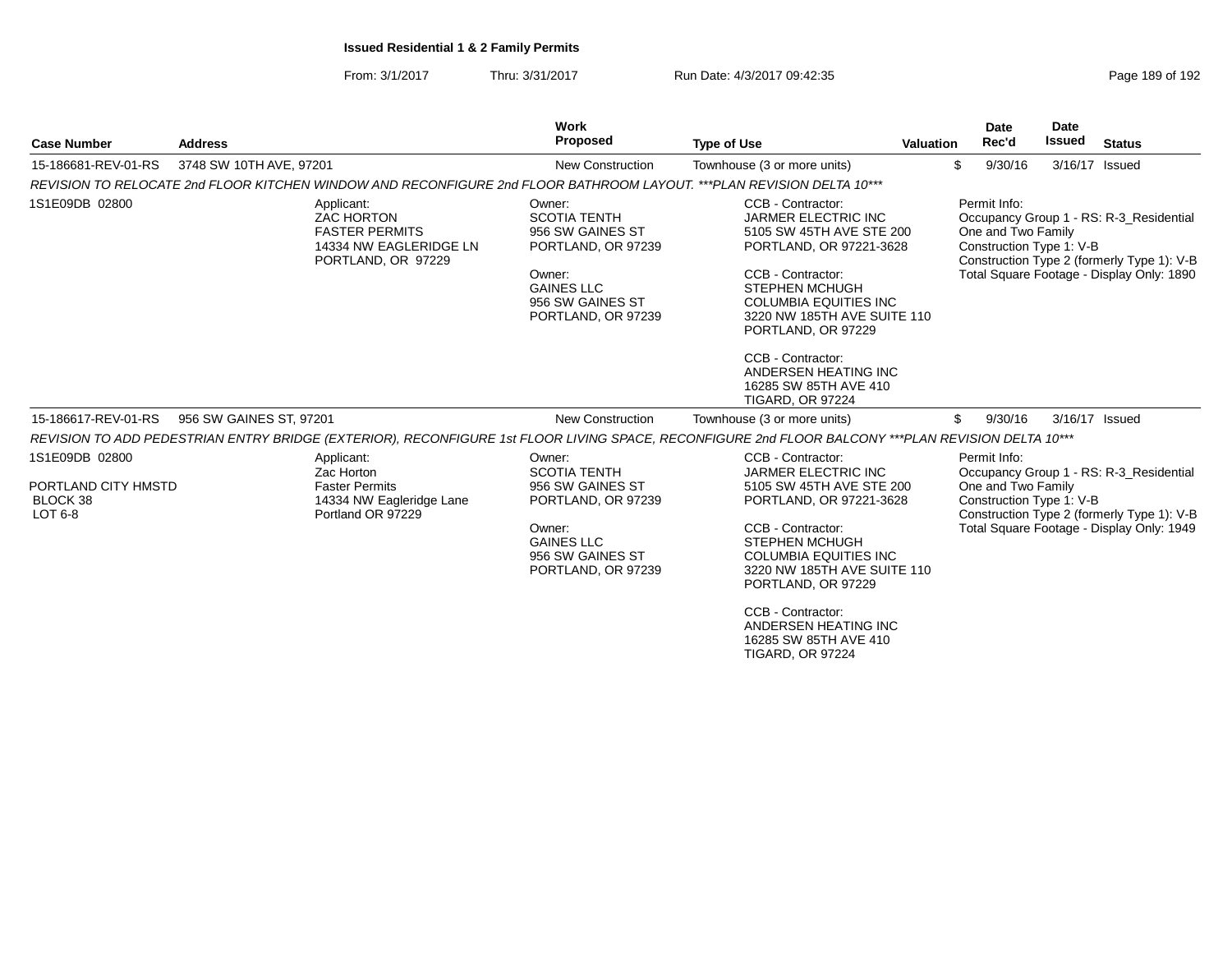| <b>Case Number</b>                                           | <b>Address</b>          |                                                                                                          | <b>Work</b><br>Proposed                                                                                                                          | <b>Type of Use</b>                                                                                                                                                                                                                                                                                                                         | <b>Valuation</b> |    | <b>Date</b><br>Rec'd                                           | <b>Date</b><br><b>Issued</b> | <b>Status</b>                                                                                                                      |
|--------------------------------------------------------------|-------------------------|----------------------------------------------------------------------------------------------------------|--------------------------------------------------------------------------------------------------------------------------------------------------|--------------------------------------------------------------------------------------------------------------------------------------------------------------------------------------------------------------------------------------------------------------------------------------------------------------------------------------------|------------------|----|----------------------------------------------------------------|------------------------------|------------------------------------------------------------------------------------------------------------------------------------|
| 15-186681-REV-01-RS                                          | 3748 SW 10TH AVE, 97201 |                                                                                                          | New Construction                                                                                                                                 | Townhouse (3 or more units)                                                                                                                                                                                                                                                                                                                |                  | \$ | 9/30/16                                                        |                              | 3/16/17 Issued                                                                                                                     |
|                                                              |                         |                                                                                                          |                                                                                                                                                  | REVISION TO RELOCATE 2nd FLOOR KITCHEN WINDOW AND RECONFIGURE 2nd FLOOR BATHROOM LAYOUT. ***PLAN REVISION DELTA 10***                                                                                                                                                                                                                      |                  |    |                                                                |                              |                                                                                                                                    |
| 1S1E09DB 02800                                               |                         | Applicant:<br><b>ZAC HORTON</b><br><b>FASTER PERMITS</b><br>14334 NW EAGLERIDGE LN<br>PORTLAND, OR 97229 | Owner:<br><b>SCOTIA TENTH</b><br>956 SW GAINES ST<br>PORTLAND, OR 97239<br>Owner:<br><b>GAINES LLC</b><br>956 SW GAINES ST<br>PORTLAND, OR 97239 | CCB - Contractor:<br><b>JARMER ELECTRIC INC</b><br>5105 SW 45TH AVE STE 200<br>PORTLAND, OR 97221-3628<br>CCB - Contractor:<br><b>STEPHEN MCHUGH</b><br><b>COLUMBIA EQUITIES INC</b><br>3220 NW 185TH AVE SUITE 110<br>PORTLAND, OR 97229<br>CCB - Contractor:<br>ANDERSEN HEATING INC<br>16285 SW 85TH AVE 410<br><b>TIGARD, OR 97224</b> |                  |    | Permit Info:<br>One and Two Family<br>Construction Type 1: V-B |                              | Occupancy Group 1 - RS: R-3_Residential<br>Construction Type 2 (formerly Type 1): V-B<br>Total Square Footage - Display Only: 1890 |
| 15-186617-REV-01-RS                                          | 956 SW GAINES ST, 97201 |                                                                                                          | <b>New Construction</b>                                                                                                                          | Townhouse (3 or more units)                                                                                                                                                                                                                                                                                                                |                  | \$ | 9/30/16                                                        |                              | 3/16/17 Issued                                                                                                                     |
|                                                              |                         |                                                                                                          |                                                                                                                                                  | REVISION TO ADD PEDESTRIAN ENTRY BRIDGE (EXTERIOR), RECONFIGURE 1st FLOOR LIVING SPACE, RECONFIGURE 2nd FLOOR BALCONY ***PLAN REVISION DELTA 10***                                                                                                                                                                                         |                  |    |                                                                |                              |                                                                                                                                    |
| 1S1E09DB 02800<br>PORTLAND CITY HMSTD<br>BLOCK 38<br>LOT 6-8 |                         | Applicant:<br>Zac Horton<br><b>Faster Permits</b><br>14334 NW Eagleridge Lane<br>Portland OR 97229       | Owner:<br><b>SCOTIA TENTH</b><br>956 SW GAINES ST<br>PORTLAND, OR 97239<br>Owner:<br><b>GAINES LLC</b><br>956 SW GAINES ST<br>PORTLAND, OR 97239 | CCB - Contractor:<br><b>JARMER ELECTRIC INC</b><br>5105 SW 45TH AVE STE 200<br>PORTLAND, OR 97221-3628<br>CCB - Contractor:<br><b>STEPHEN MCHUGH</b><br><b>COLUMBIA EQUITIES INC</b><br>3220 NW 185TH AVE SUITE 110<br>PORTLAND, OR 97229<br>CCB - Contractor:<br>ANDERSEN HEATING INC<br>16285 SW 85TH AVE 410<br><b>TIGARD, OR 97224</b> |                  |    | Permit Info:<br>One and Two Family<br>Construction Type 1: V-B |                              | Occupancy Group 1 - RS: R-3_Residential<br>Construction Type 2 (formerly Type 1): V-B<br>Total Square Footage - Display Only: 1949 |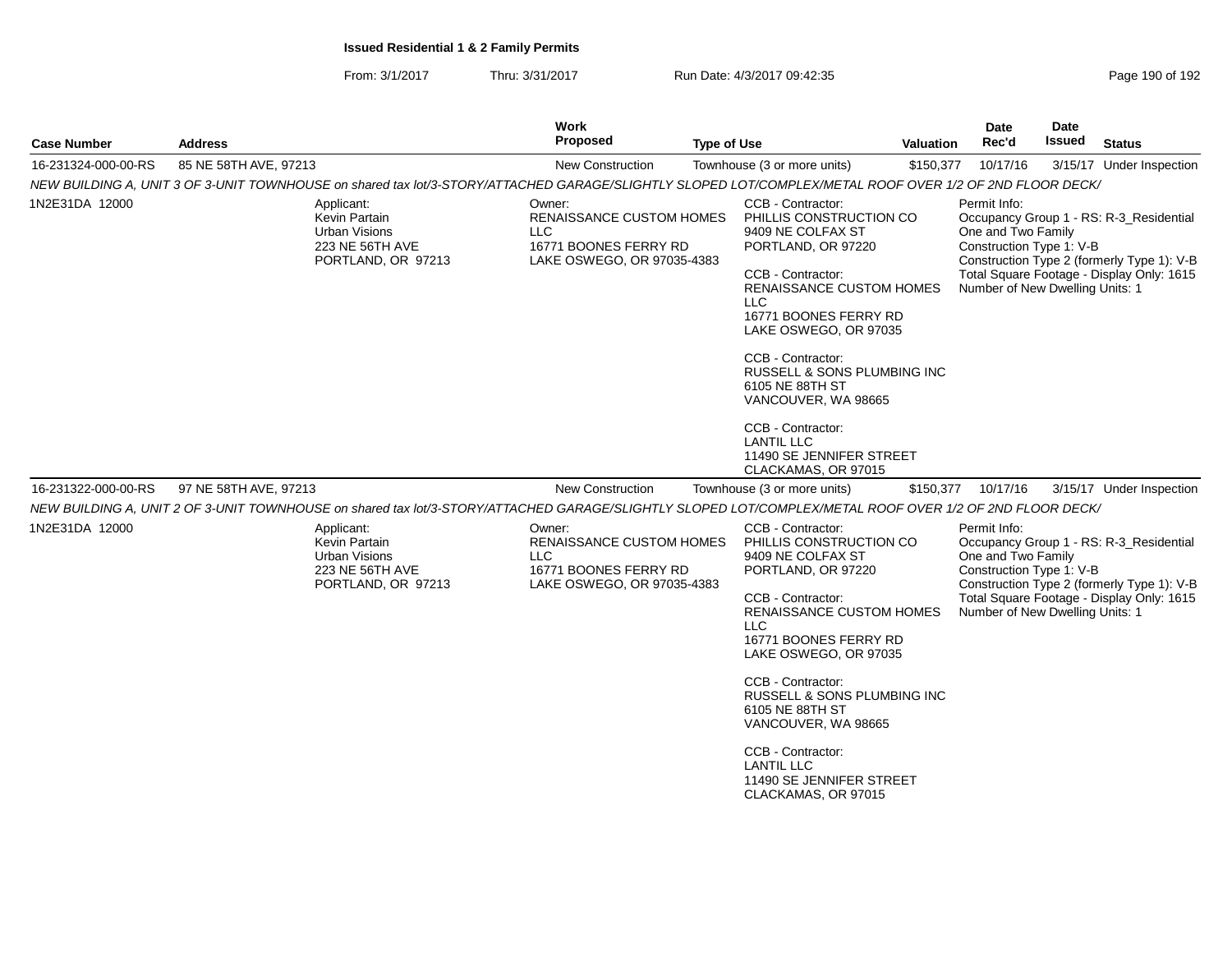| <b>Case Number</b>  | <b>Address</b>                                                                                                                                          | Work<br><b>Proposed</b><br><b>Type of Use</b>                                                           |                                                                                                                                                                                                                                                                                                                                                                                                     | <b>Valuation</b> | Date<br>Rec'd                                                                                     | <b>Date</b><br>Issued | <b>Status</b>                                                                                                                      |
|---------------------|---------------------------------------------------------------------------------------------------------------------------------------------------------|---------------------------------------------------------------------------------------------------------|-----------------------------------------------------------------------------------------------------------------------------------------------------------------------------------------------------------------------------------------------------------------------------------------------------------------------------------------------------------------------------------------------------|------------------|---------------------------------------------------------------------------------------------------|-----------------------|------------------------------------------------------------------------------------------------------------------------------------|
| 16-231324-000-00-RS | 85 NE 58TH AVE, 97213                                                                                                                                   | New Construction                                                                                        | Townhouse (3 or more units)                                                                                                                                                                                                                                                                                                                                                                         | \$150,377        | 10/17/16                                                                                          |                       | 3/15/17 Under Inspection                                                                                                           |
|                     | NEW BUILDING A, UNIT 3 OF 3-UNIT TOWNHOUSE on shared tax lot/3-STORY/ATTACHED GARAGE/SLIGHTLY SLOPED LOT/COMPLEX/METAL ROOF OVER 1/2 OF 2ND FLOOR DECK/ |                                                                                                         |                                                                                                                                                                                                                                                                                                                                                                                                     |                  |                                                                                                   |                       |                                                                                                                                    |
| 1N2E31DA 12000      | Applicant:<br>Kevin Partain<br>Urban Visions<br>223 NE 56TH AVE<br>PORTLAND, OR 97213                                                                   | Owner:<br><b>RENAISSANCE CUSTOM HOMES</b><br>LLC<br>16771 BOONES FERRY RD<br>LAKE OSWEGO, OR 97035-4383 | CCB - Contractor:<br>PHILLIS CONSTRUCTION CO<br>9409 NE COLFAX ST<br>PORTLAND, OR 97220<br>CCB - Contractor:<br><b>RENAISSANCE CUSTOM HOMES</b><br>LLC<br>16771 BOONES FERRY RD<br>LAKE OSWEGO, OR 97035<br>CCB - Contractor:<br>RUSSELL & SONS PLUMBING INC<br>6105 NE 88TH ST<br>VANCOUVER, WA 98665<br>CCB - Contractor:<br><b>LANTIL LLC</b><br>11490 SE JENNIFER STREET<br>CLACKAMAS, OR 97015 |                  | Permit Info:<br>One and Two Family<br>Construction Type 1: V-B<br>Number of New Dwelling Units: 1 |                       | Occupancy Group 1 - RS: R-3_Residential<br>Construction Type 2 (formerly Type 1): V-B<br>Total Square Footage - Display Only: 1615 |
| 16-231322-000-00-RS | 97 NE 58TH AVE, 97213                                                                                                                                   | <b>New Construction</b>                                                                                 | Townhouse (3 or more units)                                                                                                                                                                                                                                                                                                                                                                         |                  | \$150,377 10/17/16                                                                                |                       | 3/15/17 Under Inspection                                                                                                           |
|                     | NEW BUILDING A, UNIT 2 OF 3-UNIT TOWNHOUSE on shared tax lot/3-STORY/ATTACHED GARAGE/SLIGHTLY SLOPED LOT/COMPLEX/METAL ROOF OVER 1/2 OF 2ND FLOOR DECK/ |                                                                                                         |                                                                                                                                                                                                                                                                                                                                                                                                     |                  |                                                                                                   |                       |                                                                                                                                    |
| 1N2E31DA 12000      | Applicant:<br>Kevin Partain<br><b>Urban Visions</b><br>223 NE 56TH AVE<br>PORTLAND, OR 97213                                                            | Owner:<br>RENAISSANCE CUSTOM HOMES<br><b>LLC</b><br>16771 BOONES FERRY RD<br>LAKE OSWEGO, OR 97035-4383 | CCB - Contractor:<br>PHILLIS CONSTRUCTION CO<br>9409 NE COLFAX ST<br>PORTLAND, OR 97220<br>CCB - Contractor:<br>RENAISSANCE CUSTOM HOMES<br>LLC<br>16771 BOONES FERRY RD<br>LAKE OSWEGO, OR 97035<br>CCB - Contractor:<br>RUSSELL & SONS PLUMBING INC<br>6105 NE 88TH ST<br>VANCOUVER, WA 98665<br>CCB - Contractor:<br><b>LANTIL LLC</b><br>11490 SE JENNIFER STREET<br>CLACKAMAS, OR 97015        |                  | Permit Info:<br>One and Two Family<br>Construction Type 1: V-B<br>Number of New Dwelling Units: 1 |                       | Occupancy Group 1 - RS: R-3_Residential<br>Construction Type 2 (formerly Type 1): V-B<br>Total Square Footage - Display Only: 1615 |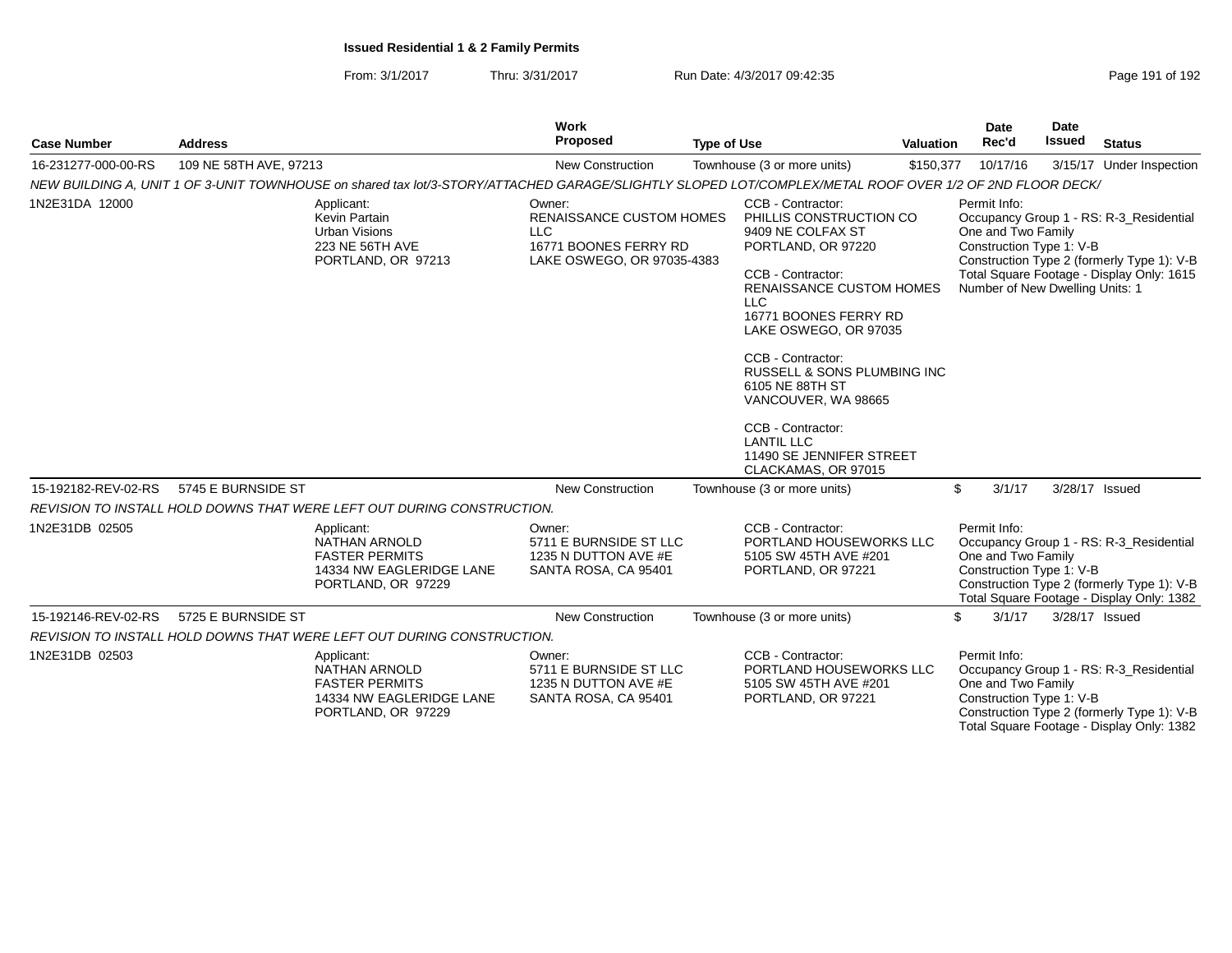From: 3/1/2017Thru: 3/31/2017 **Run Date: 4/3/2017 09:42:35 Page 191 of 192** 

| <b>Case Number</b>  | <b>Address</b>         |                                                                                                                                                         | <b>Work</b><br>Proposed                                                                                        | <b>Type of Use</b> |                                                                                                                                                                                                                                                                                                                                                                                                                        | <b>Valuation</b> | <b>Date</b><br>Rec'd                                                                              | <b>Date</b><br><b>Issued</b> | <b>Status</b>                                                                                                                      |
|---------------------|------------------------|---------------------------------------------------------------------------------------------------------------------------------------------------------|----------------------------------------------------------------------------------------------------------------|--------------------|------------------------------------------------------------------------------------------------------------------------------------------------------------------------------------------------------------------------------------------------------------------------------------------------------------------------------------------------------------------------------------------------------------------------|------------------|---------------------------------------------------------------------------------------------------|------------------------------|------------------------------------------------------------------------------------------------------------------------------------|
| 16-231277-000-00-RS | 109 NE 58TH AVE, 97213 |                                                                                                                                                         | New Construction                                                                                               |                    | Townhouse (3 or more units)                                                                                                                                                                                                                                                                                                                                                                                            | \$150,377        | 10/17/16                                                                                          |                              | 3/15/17 Under Inspection                                                                                                           |
|                     |                        | NEW BUILDING A, UNIT 1 OF 3-UNIT TOWNHOUSE on shared tax lot/3-STORY/ATTACHED GARAGE/SLIGHTLY SLOPED LOT/COMPLEX/METAL ROOF OVER 1/2 OF 2ND FLOOR DECK/ |                                                                                                                |                    |                                                                                                                                                                                                                                                                                                                                                                                                                        |                  |                                                                                                   |                              |                                                                                                                                    |
| 1N2E31DA 12000      |                        | Applicant:<br>Kevin Partain<br><b>Urban Visions</b><br>223 NE 56TH AVE<br>PORTLAND, OR 97213                                                            | Owner:<br><b>RENAISSANCE CUSTOM HOMES</b><br><b>LLC</b><br>16771 BOONES FERRY RD<br>LAKE OSWEGO, OR 97035-4383 |                    | CCB - Contractor:<br>PHILLIS CONSTRUCTION CO<br>9409 NE COLFAX ST<br>PORTLAND, OR 97220<br>CCB - Contractor:<br><b>RENAISSANCE CUSTOM HOMES</b><br><b>LLC</b><br>16771 BOONES FERRY RD<br>LAKE OSWEGO, OR 97035<br>CCB - Contractor:<br><b>RUSSELL &amp; SONS PLUMBING INC.</b><br>6105 NE 88TH ST<br>VANCOUVER, WA 98665<br>CCB - Contractor:<br><b>LANTIL LLC</b><br>11490 SE JENNIFER STREET<br>CLACKAMAS, OR 97015 |                  | Permit Info:<br>One and Two Family<br>Construction Type 1: V-B<br>Number of New Dwelling Units: 1 |                              | Occupancy Group 1 - RS: R-3_Residential<br>Construction Type 2 (formerly Type 1): V-B<br>Total Square Footage - Display Only: 1615 |
| 15-192182-REV-02-RS | 5745 E BURNSIDE ST     |                                                                                                                                                         | <b>New Construction</b>                                                                                        |                    | Townhouse (3 or more units)                                                                                                                                                                                                                                                                                                                                                                                            |                  | \$<br>3/1/17                                                                                      |                              | 3/28/17 Issued                                                                                                                     |
|                     |                        | REVISION TO INSTALL HOLD DOWNS THAT WERE LEFT OUT DURING CONSTRUCTION.                                                                                  |                                                                                                                |                    |                                                                                                                                                                                                                                                                                                                                                                                                                        |                  |                                                                                                   |                              |                                                                                                                                    |
| 1N2E31DB 02505      |                        | Applicant:<br><b>NATHAN ARNOLD</b><br><b>FASTER PERMITS</b><br>14334 NW EAGLERIDGE LANE<br>PORTLAND, OR 97229                                           | Owner:<br>5711 E BURNSIDE ST LLC<br>1235 N DUTTON AVE #E<br>SANTA ROSA, CA 95401                               |                    | CCB - Contractor:<br>PORTLAND HOUSEWORKS LLC<br>5105 SW 45TH AVE #201<br>PORTLAND, OR 97221                                                                                                                                                                                                                                                                                                                            |                  | Permit Info:<br>One and Two Family<br>Construction Type 1: V-B                                    |                              | Occupancy Group 1 - RS: R-3_Residential<br>Construction Type 2 (formerly Type 1): V-B<br>Total Square Footage - Display Only: 1382 |
| 15-192146-REV-02-RS | 5725 E BURNSIDE ST     |                                                                                                                                                         | <b>New Construction</b>                                                                                        |                    | Townhouse (3 or more units)                                                                                                                                                                                                                                                                                                                                                                                            |                  | \$<br>3/1/17                                                                                      |                              | 3/28/17 Issued                                                                                                                     |
|                     |                        | REVISION TO INSTALL HOLD DOWNS THAT WERE LEFT OUT DURING CONSTRUCTION.                                                                                  |                                                                                                                |                    |                                                                                                                                                                                                                                                                                                                                                                                                                        |                  |                                                                                                   |                              |                                                                                                                                    |
| 1N2E31DB 02503      |                        | Applicant:<br><b>NATHAN ARNOLD</b><br><b>FASTER PERMITS</b><br>14334 NW EAGLERIDGE LANE<br>PORTLAND, OR 97229                                           | Owner:<br>5711 E BURNSIDE ST LLC<br>1235 N DUTTON AVE #E<br>SANTA ROSA, CA 95401                               |                    | CCB - Contractor:<br>PORTLAND HOUSEWORKS LLC<br>5105 SW 45TH AVE #201<br>PORTLAND, OR 97221                                                                                                                                                                                                                                                                                                                            |                  | Permit Info:<br>One and Two Family<br>Construction Type 1: V-B                                    |                              | Occupancy Group 1 - RS: R-3_Residential<br>Construction Type 2 (formerly Type 1): V-B<br>Total Square Footage - Display Only: 1382 |